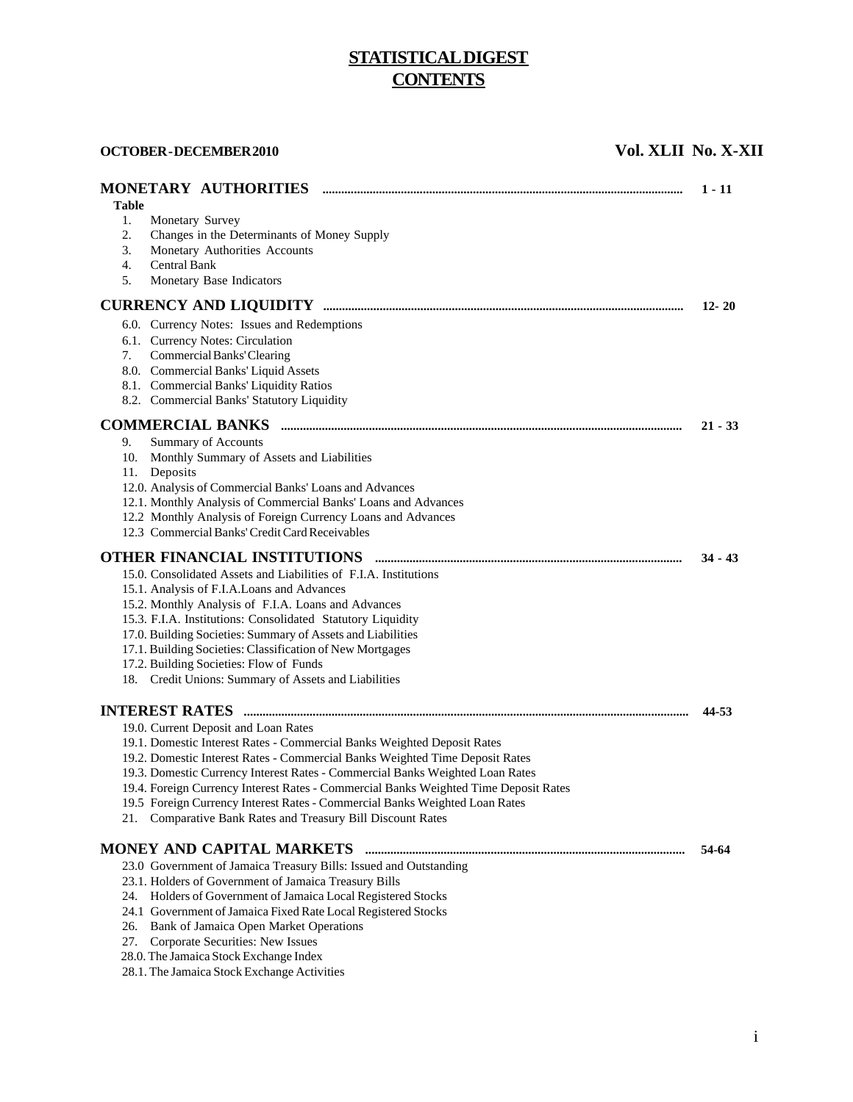# **STATISTICAL DIGEST CONTENTS**

**OCTOBER - DECEMBER 2010** Vol. XLII No. X-XII

| MONETARY AUTHORITIES<br>Table                                                                                                                                                                                                                                                                                                                                                                                                                                                                                             | $1 - 11$  |
|---------------------------------------------------------------------------------------------------------------------------------------------------------------------------------------------------------------------------------------------------------------------------------------------------------------------------------------------------------------------------------------------------------------------------------------------------------------------------------------------------------------------------|-----------|
| Monetary Survey<br>1.<br>2.<br>Changes in the Determinants of Money Supply<br>Monetary Authorities Accounts<br>3.<br><b>Central Bank</b><br>4.<br>5.<br>Monetary Base Indicators                                                                                                                                                                                                                                                                                                                                          |           |
|                                                                                                                                                                                                                                                                                                                                                                                                                                                                                                                           | $12 - 20$ |
| 6.0. Currency Notes: Issues and Redemptions<br>6.1. Currency Notes: Circulation<br>Commercial Banks' Clearing<br>7.<br>8.0. Commercial Banks' Liquid Assets<br>8.1. Commercial Banks' Liquidity Ratios<br>8.2. Commercial Banks' Statutory Liquidity                                                                                                                                                                                                                                                                      |           |
|                                                                                                                                                                                                                                                                                                                                                                                                                                                                                                                           | $21 - 33$ |
| 9.<br>Summary of Accounts<br>10. Monthly Summary of Assets and Liabilities<br>Deposits<br>11.<br>12.0. Analysis of Commercial Banks' Loans and Advances<br>12.1. Monthly Analysis of Commercial Banks' Loans and Advances<br>12.2 Monthly Analysis of Foreign Currency Loans and Advances<br>12.3 Commercial Banks' Credit Card Receivables                                                                                                                                                                               |           |
|                                                                                                                                                                                                                                                                                                                                                                                                                                                                                                                           | $34 - 43$ |
| 15.0. Consolidated Assets and Liabilities of F.I.A. Institutions<br>15.1. Analysis of F.I.A. Loans and Advances<br>15.2. Monthly Analysis of F.I.A. Loans and Advances<br>15.3. F.I.A. Institutions: Consolidated Statutory Liquidity<br>17.0. Building Societies: Summary of Assets and Liabilities<br>17.1. Building Societies: Classification of New Mortgages<br>17.2. Building Societies: Flow of Funds<br>18. Credit Unions: Summary of Assets and Liabilities                                                      |           |
|                                                                                                                                                                                                                                                                                                                                                                                                                                                                                                                           | 44-53     |
| 19.0. Current Deposit and Loan Rates<br>19.1. Domestic Interest Rates - Commercial Banks Weighted Deposit Rates<br>19.2. Domestic Interest Rates - Commercial Banks Weighted Time Deposit Rates<br>19.3. Domestic Currency Interest Rates - Commercial Banks Weighted Loan Rates<br>19.4. Foreign Currency Interest Rates - Commercial Banks Weighted Time Deposit Rates<br>19.5 Foreign Currency Interest Rates - Commercial Banks Weighted Loan Rates<br>Comparative Bank Rates and Treasury Bill Discount Rates<br>21. |           |
|                                                                                                                                                                                                                                                                                                                                                                                                                                                                                                                           | 54-64     |
| 23.0 Government of Jamaica Treasury Bills: Issued and Outstanding<br>23.1. Holders of Government of Jamaica Treasury Bills<br>24. Holders of Government of Jamaica Local Registered Stocks<br>24.1 Government of Jamaica Fixed Rate Local Registered Stocks<br>Bank of Jamaica Open Market Operations<br>26.<br>Corporate Securities: New Issues<br>27.<br>28.0. The Jamaica Stock Exchange Index<br>28.1. The Jamaica Stock Exchange Activities                                                                          |           |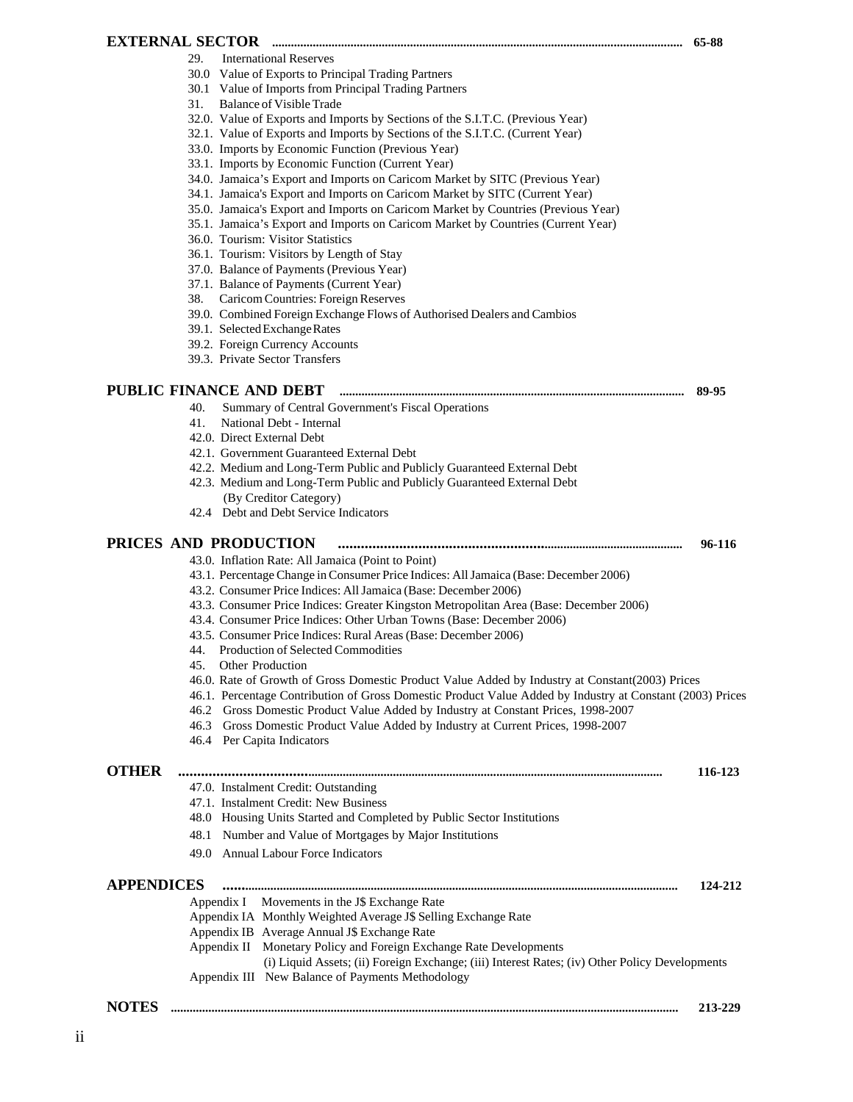# **EXTERNAL SECTOR ................................................................................................................................... 65-88**

- 29. International Reserves
- 30.0 Value of Exports to Principal Trading Partners
- 30.1 Value of Imports from Principal Trading Partners
- 31. Balance of Visible Trade
- 32.0. Value of Exports and Imports by Sections of the S.I.T.C. (Previous Year)
- 32.1. Value of Exports and Imports by Sections of the S.I.T.C. (Current Year)
- 33.0. Imports by Economic Function (Previous Year)
- 33.1. Imports by Economic Function (Current Year)
- 34.0. Jamaica's Export and Imports on Caricom Market by SITC (Previous Year)
- 34.1. Jamaica's Export and Imports on Caricom Market by SITC (Current Year)
- 35.0. Jamaica's Export and Imports on Caricom Market by Countries (Previous Year)
- 35.1. Jamaica's Export and Imports on Caricom Market by Countries (Current Year)
- 36.0. Tourism: Visitor Statistics
- 36.1. Tourism: Visitors by Length of Stay
- 37.0. Balance of Payments (Previous Year)
- 37.1. Balance of Payments (Current Year)
- 38. Caricom Countries: Foreign Reserves
- 39.0. Combined Foreign Exchange Flows of Authorised Dealers and Cambios
- 39.1. Selected Exchange Rates
- 39.2. Foreign Currency Accounts
- 39.3. Private Sector Transfers

# **PUBLIC FINANCE AND DEBT .............................................................................................................. 89-95**

- 40. Summary of Central Government's Fiscal Operations
- 41. National Debt Internal
- 42.0. Direct External Debt
- 42.1. Government Guaranteed External Debt
- 42.2. Medium and Long-Term Public and Publicly Guaranteed External Debt
- 42.3. Medium and Long-Term Public and Publicly Guaranteed External Debt (By Creditor Category)
- 42.4 Debt and Debt Service Indicators

# **PRICES AND PRODUCTION .................................................................................................. 96-116**

- 43.0. Inflation Rate: All Jamaica (Point to Point)
- 43.1. Percentage Change in Consumer Price Indices: All Jamaica (Base: December 2006)
- 43.2. Consumer Price Indices: All Jamaica (Base: December 2006)
- 43.3. Consumer Price Indices: Greater Kingston Metropolitan Area (Base: December 2006)
- 43.4. Consumer Price Indices: Other Urban Towns (Base: December 2006)
- 43.5. Consumer Price Indices: Rural Areas (Base: December 2006)
- 44. Production of Selected Commodities
- 45. Other Production
- 46.0. Rate of Growth of Gross Domestic Product Value Added by Industry at Constant(2003) Prices
- 46.1. Percentage Contribution of Gross Domestic Product Value Added by Industry at Constant (2003) Prices
- 46.2 Gross Domestic Product Value Added by Industry at Constant Prices, 1998-2007
- 46.3 Gross Domestic Product Value Added by Industry at Current Prices, 1998-2007
- 46.4 Per Capita Indicators

#### **OTHER ................................................................................................................................................... 116-123**

47.0. Instalment Credit: Outstanding 47.1. Instalment Credit: New Business 48.0 Housing Units Started and Completed by Public Sector Institutions 48.1 Number and Value of Mortgages by Major Institutions 49.0 Annual Labour Force Indicators **APPENDICES ................................................................................................................................................ 124-212** Appendix I Movements in the J\$ Exchange Rate Appendix IA Monthly Weighted Average J\$ Selling Exchange Rate Appendix IB Average Annual J\$ Exchange Rate Appendix II Monetary Policy and Foreign Exchange Rate Developments (i) Liquid Assets; (ii) Foreign Exchange; (iii) Interest Rates; (iv) Other Policy Developments Appendix III New Balance of Payments Methodology

**NOTES .................................................................................................................................................................. 213-229**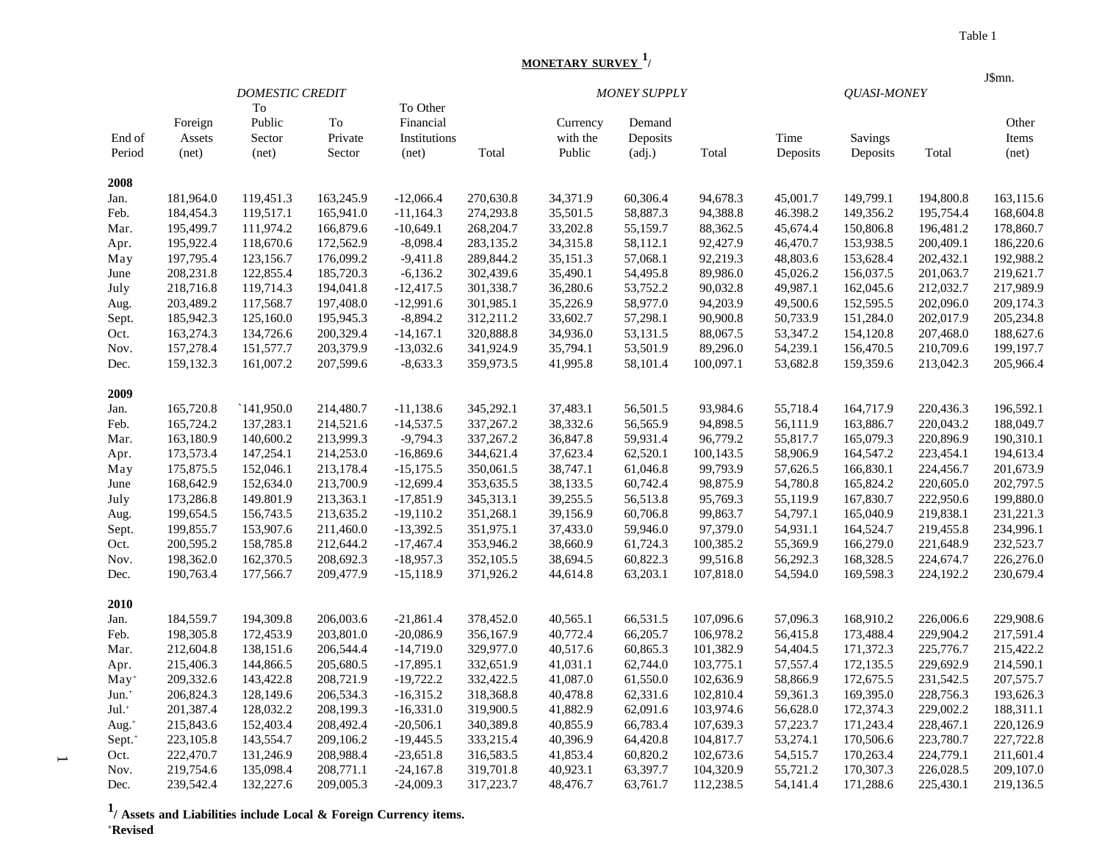# **MONETARY SURVEY 1/**

| <b>DOMESTIC CREDIT</b><br><b>MONEY SUPPLY</b>                                                                               |          | <b>QUASI-MONEY</b> |           |           |  |
|-----------------------------------------------------------------------------------------------------------------------------|----------|--------------------|-----------|-----------|--|
| To<br>To Other                                                                                                              |          |                    |           |           |  |
| Public<br>To<br>Financial<br>Foreign<br>Currency<br>Demand                                                                  |          |                    |           | Other     |  |
| Sector<br>Private<br>End of<br>Assets<br>Institutions<br>with the<br>Deposits                                               | Time     | <b>Savings</b>     |           | Items     |  |
| Total<br>Period<br>(net)<br>(net)<br>Sector<br>Public<br>(adj.)<br>Total<br>(net)                                           | Deposits | Deposits           | Total     | (net)     |  |
| 2008                                                                                                                        |          |                    |           |           |  |
| 34,371.9<br>181,964.0<br>119,451.3<br>163,245.9<br>$-12,066.4$<br>270,630.8<br>60,306.4<br>94,678.3<br>Jan.                 | 45,001.7 | 149,799.1          | 194,800.8 | 163,115.6 |  |
| 35,501.5<br>184,454.3<br>119,517.1<br>165,941.0<br>$-11,164.3$<br>274,293.8<br>58,887.3<br>94,388.8<br>Feb.                 | 46.398.2 | 149,356.2          | 195,754.4 | 168,604.8 |  |
| 195,499.7<br>111,974.2<br>166,879.6<br>$-10,649.1$<br>268,204.7<br>33,202.8<br>55,159.7<br>88,362.5<br>Mar.                 | 45,674.4 | 150,806.8          | 196,481.2 | 178,860.7 |  |
| 92,427.9<br>195,922.4<br>118,670.6<br>172,562.9<br>$-8,098.4$<br>283,135.2<br>34,315.8<br>58,112.1<br>Apr.                  | 46,470.7 | 153,938.5          | 200,409.1 | 186,220.6 |  |
| 92,219.3<br>197,795.4<br>123,156.7<br>176,099.2<br>$-9,411.8$<br>289,844.2<br>35,151.3<br>57,068.1<br>May                   | 48,803.6 | 153,628.4          | 202,432.1 | 192,988.2 |  |
| 208,231.8<br>122,855.4<br>185,720.3<br>$-6,136.2$<br>302,439.6<br>35,490.1<br>54,495.8<br>89,986.0<br>June                  | 45,026.2 | 156,037.5          | 201,063.7 | 219,621.7 |  |
| 218,716.8<br>119,714.3<br>194,041.8<br>$-12,417.5$<br>301,338.7<br>36,280.6<br>53,752.2<br>90,032.8<br>July                 | 49,987.1 | 162,045.6          | 212,032.7 | 217,989.9 |  |
| $-12,991.6$<br>35,226.9<br>58,977.0<br>94,203.9<br>203,489.2<br>117,568.7<br>197,408.0<br>301,985.1<br>Aug.                 | 49,500.6 | 152,595.5          | 202,096.0 | 209,174.3 |  |
| 185,942.3<br>125,160.0<br>195,945.3<br>$-8,894.2$<br>312,211.2<br>33,602.7<br>57,298.1<br>90,900.8<br>Sept.                 | 50,733.9 | 151,284.0          | 202,017.9 | 205,234.8 |  |
| 320,888.8<br>34,936.0<br>53,131.5<br>163,274.3<br>134,726.6<br>200,329.4<br>$-14,167.1$<br>88,067.5<br>Oct.                 | 53,347.2 | 154,120.8          | 207,468.0 | 188,627.6 |  |
| 157,278.4<br>203,379.9<br>341,924.9<br>53,501.9<br>89,296.0<br>151,577.7<br>$-13,032.6$<br>35,794.1<br>Nov.                 | 54,239.1 | 156,470.5          | 210,709.6 | 199,197.7 |  |
| 159,132.3<br>161,007.2<br>207,599.6<br>$-8,633.3$<br>359,973.5<br>41,995.8<br>58,101.4<br>100,097.1<br>Dec.                 | 53,682.8 | 159,359.6          | 213,042.3 | 205,966.4 |  |
| 2009                                                                                                                        |          |                    |           |           |  |
| 165,720.8<br>141,950.0<br>214,480.7<br>345,292.1<br>37,483.1<br>56,501.5<br>93,984.6<br>$-11,138.6$<br>Jan.                 | 55,718.4 | 164,717.9          | 220,436.3 | 196,592.1 |  |
| 165,724.2<br>137,283.1<br>214,521.6<br>$-14,537.5$<br>337,267.2<br>38,332.6<br>56,565.9<br>94,898.5<br>Feb.                 | 56,111.9 | 163,886.7          | 220,043.2 | 188,049.7 |  |
| 163,180.9<br>213,999.3<br>$-9,794.3$<br>36,847.8<br>59,931.4<br>96,779.2<br>Mar.<br>140,600.2<br>337,267.2                  | 55,817.7 | 165,079.3          | 220,896.9 | 190,310.1 |  |
| 173,573.4<br>147,254.1<br>214,253.0<br>344,621.4<br>37,623.4<br>62,520.1<br>100,143.5<br>$-16,869.6$<br>Apr.                | 58,906.9 | 164,547.2          | 223,454.1 | 194,613.4 |  |
| 38,747.1<br>99,793.9<br>175,875.5<br>152,046.1<br>213,178.4<br>$-15,175.5$<br>350,061.5<br>61,046.8<br>May                  | 57,626.5 | 166,830.1          | 224,456.7 | 201,673.9 |  |
| 168,642.9<br>213,700.9<br>353,635.5<br>38,133.5<br>60,742.4<br>98,875.9<br>152,634.0<br>$-12,699.4$<br>June                 | 54,780.8 | 165,824.2          | 220,605.0 | 202,797.5 |  |
| 149.801.9<br>345,313.1<br>39,255.5<br>95,769.3<br>173,286.8<br>213,363.1<br>$-17,851.9$<br>56,513.8<br>July                 | 55,119.9 | 167,830.7          | 222,950.6 | 199,880.0 |  |
| 199,654.5<br>156,743.5<br>213,635.2<br>$-19,110.2$<br>351,268.1<br>39,156.9<br>60,706.8<br>99,863.7<br>Aug.                 | 54,797.1 | 165,040.9          | 219,838.1 | 231,221.3 |  |
| 97,379.0<br>199,855.7<br>153,907.6<br>211,460.0<br>$-13,392.5$<br>351,975.1<br>37,433.0<br>59,946.0<br>Sept.                | 54,931.1 | 164,524.7          | 219,455.8 | 234,996.1 |  |
| 200,595.2<br>158,785.8<br>212,644.2<br>$-17,467.4$<br>353,946.2<br>38,660.9<br>61,724.3<br>100,385.2<br>Oct.                | 55,369.9 | 166,279.0          | 221,648.9 | 232,523.7 |  |
| 60,822.3<br>99,516.8<br>198,362.0<br>162,370.5<br>208,692.3<br>$-18,957.3$<br>352,105.5<br>38,694.5<br>Nov.                 | 56,292.3 | 168,328.5          | 224,674.7 | 226,276.0 |  |
| 177,566.7<br>371,926.2<br>44,614.8<br>63,203.1<br>107,818.0<br>190,763.4<br>209,477.9<br>$-15,118.9$<br>Dec.                | 54,594.0 | 169,598.3          | 224,192.2 | 230,679.4 |  |
| 2010                                                                                                                        |          |                    |           |           |  |
| 184,559.7<br>194,309.8<br>206,003.6<br>$-21,861.4$<br>378,452.0<br>40,565.1<br>66,531.5<br>107,096.6<br>Jan.                | 57,096.3 | 168,910.2          | 226,006.6 | 229,908.6 |  |
| 203,801.0<br>356,167.9<br>40,772.4<br>106,978.2<br>Feb.<br>198,305.8<br>172,453.9<br>$-20,086.9$<br>66,205.7                | 56,415.8 | 173,488.4          | 229,904.2 | 217,591.4 |  |
| $-14,719.0$<br>329,977.0<br>40,517.6<br>60,865.3<br>101,382.9<br>Mar.<br>212,604.8<br>138,151.6<br>206,544.4                | 54,404.5 | 171,372.3          | 225,776.7 | 215,422.2 |  |
| 103,775.1<br>215,406.3<br>144,866.5<br>205,680.5<br>$-17,895.1$<br>332,651.9<br>41,031.1<br>62,744.0<br>Apr.                | 57,557.4 | 172,135.5          | 229,692.9 | 214,590.1 |  |
| 209,332.6<br>143,422.8<br>208,721.9<br>$-19,722.2$<br>332,422.5<br>41,087.0<br>61,550.0<br>102,636.9<br>$May+$              | 58,866.9 | 172,675.5          | 231,542.5 | 207,575.7 |  |
| 206,824.3<br>128,149.6<br>206,534.3<br>$-16,315.2$<br>318,368.8<br>40,478.8<br>62,331.6<br>102,810.4<br>Jun. <sup>+</sup>   | 59,361.3 | 169,395.0          | 228,756.3 | 193,626.3 |  |
| $Jul.$ <sup>+</sup><br>201,387.4<br>128,032.2<br>208,199.3<br>$-16,331.0$<br>319,900.5<br>41,882.9<br>62,091.6<br>103,974.6 | 56,628.0 | 172,374.3          | 229,002.2 | 188,311.1 |  |
| 215,843.6<br>152,403.4<br>208,492.4<br>$-20,506.1$<br>340,389.8<br>40,855.9<br>66,783.4<br>107,639.3<br>Aug. $+$            | 57,223.7 | 171,243.4          | 228,467.1 | 220,126.9 |  |
| 143,554.7<br>Sept. <sup>+</sup><br>223,105.8<br>209,106.2<br>$-19,445.5$<br>333,215.4<br>40,396.9<br>64,420.8<br>104,817.7  | 53,274.1 | 170,506.6          | 223,780.7 | 227,722.8 |  |
| 222,470.7<br>131,246.9<br>208,988.4<br>$-23,651.8$<br>316,583.5<br>41,853.4<br>60,820.2<br>102,673.6<br>Oct.                | 54,515.7 | 170,263.4          | 224,779.1 | 211,601.4 |  |
| 219,754.6<br>135,098.4<br>319,701.8<br>40,923.1<br>63,397.7<br>104,320.9<br>Nov.<br>208,771.1<br>$-24,167.8$                | 55,721.2 | 170,307.3          | 226,028.5 | 209,107.0 |  |
| 239,542.4<br>132,227.6<br>$-24,009.3$<br>317,223.7<br>112,238.5<br>Dec.<br>209,005.3<br>48,476.7<br>63,761.7                | 54,141.4 | 171,288.6          | 225,430.1 | 219,136.5 |  |

**1/ Assets and Liabilities include Local & Foreign Currency items. +Revised**

 $\overline{\phantom{a}}$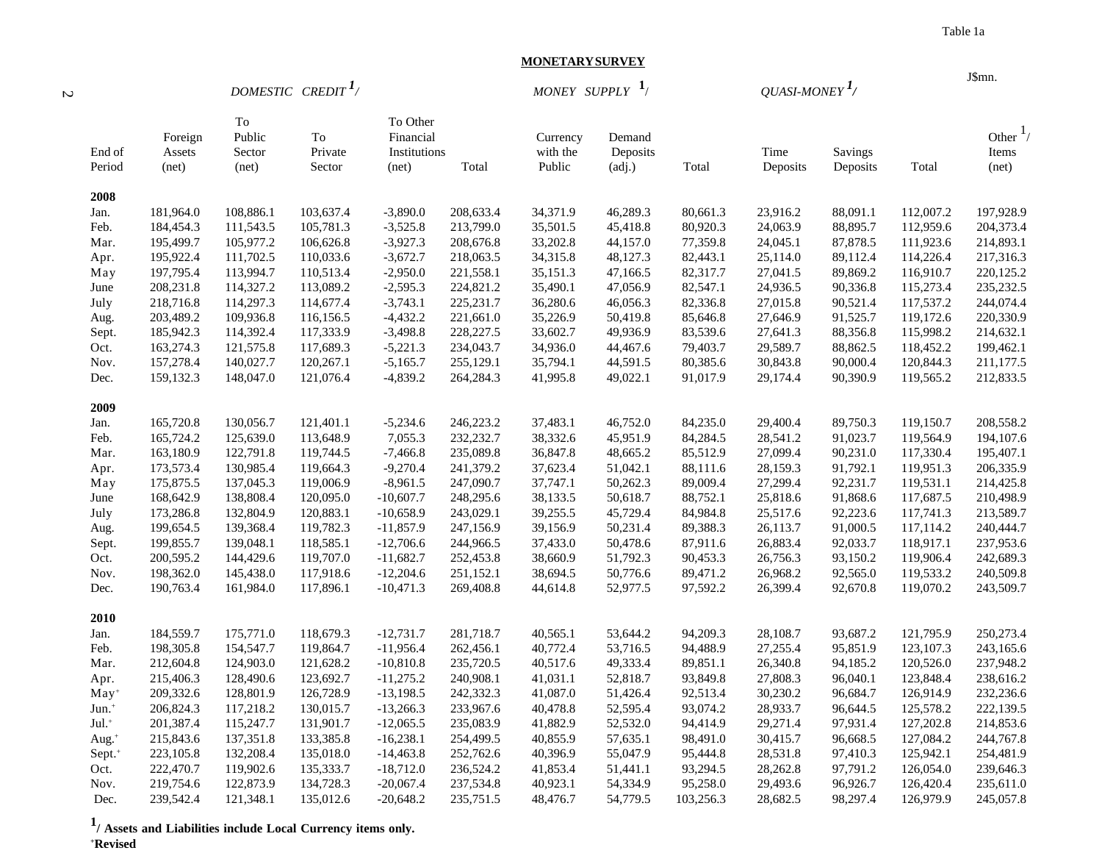J\$mn.

#### **MONETARY SURVEY**

|         | ٠ |
|---------|---|
| ×<br>M. | ٦ |

 *DOMESTIC CREDIT <sup>1</sup>/ MONEY SUPPLY* **1**/ *QUASI-MONEY 1/*

| End of              | Foreign<br>Assets | To<br>Public<br>Sector | To<br>Private | To Other<br>Financial<br>Institutions |            | Currency<br>with the | Demand<br>Deposits |           | Time     | Savings  |           | Other $\frac{1}{4}$<br>Items |
|---------------------|-------------------|------------------------|---------------|---------------------------------------|------------|----------------------|--------------------|-----------|----------|----------|-----------|------------------------------|
| Period              | net)              | (net)                  | Sector        | (net)                                 | Total      | Public               | (adj.)             | Total     | Deposits | Deposits | Total     | net)                         |
| 2008                |                   |                        |               |                                       |            |                      |                    |           |          |          |           |                              |
| Jan.                | 181,964.0         | 108,886.1              | 103,637.4     | $-3,890.0$                            | 208,633.4  | 34,371.9             | 46,289.3           | 80,661.3  | 23,916.2 | 88,091.1 | 112,007.2 | 197,928.9                    |
| Feb.                | 184,454.3         | 111,543.5              | 105,781.3     | $-3,525.8$                            | 213,799.0  | 35,501.5             | 45,418.8           | 80,920.3  | 24,063.9 | 88,895.7 | 112,959.6 | 204,373.4                    |
| Mar.                | 195,499.7         | 105,977.2              | 106,626.8     | $-3,927.3$                            | 208,676.8  | 33,202.8             | 44,157.0           | 77,359.8  | 24,045.1 | 87,878.5 | 111,923.6 | 214,893.1                    |
| Apr.                | 195,922.4         | 111,702.5              | 110,033.6     | $-3,672.7$                            | 218,063.5  | 34,315.8             | 48,127.3           | 82,443.1  | 25,114.0 | 89,112.4 | 114,226.4 | 217,316.3                    |
| May                 | 197,795.4         | 113,994.7              | 110,513.4     | $-2,950.0$                            | 221,558.1  | 35,151.3             | 47,166.5           | 82,317.7  | 27,041.5 | 89,869.2 | 116,910.7 | 220,125.2                    |
| June                | 208,231.8         | 114,327.2              | 113,089.2     | $-2,595.3$                            | 224,821.2  | 35,490.1             | 47,056.9           | 82,547.1  | 24,936.5 | 90,336.8 | 115,273.4 | 235, 232.5                   |
| July                | 218,716.8         | 114,297.3              | 114,677.4     | $-3,743.1$                            | 225, 231.7 | 36,280.6             | 46,056.3           | 82,336.8  | 27,015.8 | 90,521.4 | 117,537.2 | 244,074.4                    |
| Aug.                | 203,489.2         | 109,936.8              | 116,156.5     | $-4,432.2$                            | 221,661.0  | 35,226.9             | 50,419.8           | 85,646.8  | 27,646.9 | 91,525.7 | 119,172.6 | 220,330.9                    |
| Sept.               | 185,942.3         | 114,392.4              | 117,333.9     | $-3,498.8$                            | 228, 227.5 | 33,602.7             | 49,936.9           | 83,539.6  | 27,641.3 | 88,356.8 | 115,998.2 | 214,632.1                    |
| Oct.                | 163,274.3         | 121,575.8              | 117,689.3     | $-5,221.3$                            | 234,043.7  | 34,936.0             | 44,467.6           | 79,403.7  | 29,589.7 | 88,862.5 | 118,452.2 | 199,462.1                    |
| Nov.                | 157,278.4         | 140,027.7              | 120,267.1     | $-5,165.7$                            | 255,129.1  | 35,794.1             | 44,591.5           | 80,385.6  | 30,843.8 | 90,000.4 | 120,844.3 | 211,177.5                    |
| Dec.                | 159,132.3         | 148,047.0              | 121,076.4     | $-4,839.2$                            | 264,284.3  | 41,995.8             | 49,022.1           | 91,017.9  | 29,174.4 | 90,390.9 | 119,565.2 | 212,833.5                    |
|                     |                   |                        |               |                                       |            |                      |                    |           |          |          |           |                              |
| 2009                |                   |                        |               |                                       |            |                      |                    |           |          |          |           |                              |
| Jan.                | 165,720.8         | 130,056.7              | 121,401.1     | $-5,234.6$                            | 246,223.2  | 37,483.1             | 46,752.0           | 84,235.0  | 29,400.4 | 89,750.3 | 119,150.7 | 208,558.2                    |
| Feb.                | 165,724.2         | 125,639.0              | 113,648.9     | 7,055.3                               | 232,232.7  | 38,332.6             | 45,951.9           | 84,284.5  | 28,541.2 | 91,023.7 | 119,564.9 | 194,107.6                    |
| Mar.                | 163,180.9         | 122,791.8              | 119,744.5     | $-7,466.8$                            | 235,089.8  | 36,847.8             | 48,665.2           | 85,512.9  | 27,099.4 | 90,231.0 | 117,330.4 | 195,407.1                    |
| Apr.                | 173,573.4         | 130,985.4              | 119,664.3     | $-9,270.4$                            | 241,379.2  | 37,623.4             | 51,042.1           | 88,111.6  | 28,159.3 | 91,792.1 | 119,951.3 | 206,335.9                    |
| May                 | 175,875.5         | 137,045.3              | 119,006.9     | $-8,961.5$                            | 247,090.7  | 37,747.1             | 50,262.3           | 89,009.4  | 27,299.4 | 92,231.7 | 119,531.1 | 214,425.8                    |
| June                | 168,642.9         | 138,808.4              | 120,095.0     | $-10,607.7$                           | 248,295.6  | 38,133.5             | 50,618.7           | 88,752.1  | 25,818.6 | 91,868.6 | 117,687.5 | 210,498.9                    |
| July                | 173,286.8         | 132,804.9              | 120,883.1     | $-10,658.9$                           | 243,029.1  | 39,255.5             | 45,729.4           | 84,984.8  | 25,517.6 | 92,223.6 | 117,741.3 | 213,589.7                    |
| Aug.                | 199,654.5         | 139,368.4              | 119,782.3     | $-11,857.9$                           | 247,156.9  | 39,156.9             | 50,231.4           | 89,388.3  | 26,113.7 | 91,000.5 | 117,114.2 | 240,444.7                    |
| Sept.               | 199,855.7         | 139,048.1              | 118,585.1     | $-12,706.6$                           | 244,966.5  | 37,433.0             | 50,478.6           | 87,911.6  | 26,883.4 | 92,033.7 | 118,917.1 | 237,953.6                    |
| Oct.                | 200,595.2         | 144,429.6              | 119,707.0     | $-11,682.7$                           | 252,453.8  | 38,660.9             | 51,792.3           | 90,453.3  | 26,756.3 | 93,150.2 | 119,906.4 | 242,689.3                    |
| Nov.                | 198,362.0         | 145,438.0              | 117,918.6     | $-12,204.6$                           | 251,152.1  | 38,694.5             | 50,776.6           | 89,471.2  | 26,968.2 | 92,565.0 | 119,533.2 | 240,509.8                    |
| Dec.                | 190,763.4         | 161,984.0              | 117,896.1     | $-10,471.3$                           | 269,408.8  | 44,614.8             | 52,977.5           | 97,592.2  | 26,399.4 | 92,670.8 | 119,070.2 | 243,509.7                    |
| 2010                |                   |                        |               |                                       |            |                      |                    |           |          |          |           |                              |
| Jan.                | 184,559.7         | 175,771.0              | 118,679.3     | $-12,731.7$                           | 281,718.7  | 40,565.1             | 53,644.2           | 94,209.3  | 28,108.7 | 93,687.2 | 121,795.9 | 250,273.4                    |
| Feb.                | 198,305.8         | 154,547.7              | 119,864.7     | $-11,956.4$                           | 262,456.1  | 40,772.4             | 53,716.5           | 94,488.9  | 27,255.4 | 95,851.9 | 123,107.3 | 243,165.6                    |
| Mar.                | 212,604.8         | 124,903.0              | 121,628.2     | $-10,810.8$                           | 235,720.5  | 40,517.6             | 49,333.4           | 89,851.1  | 26,340.8 | 94,185.2 | 120,526.0 | 237,948.2                    |
| Apr.                | 215,406.3         | 128,490.6              | 123,692.7     | $-11,275.2$                           | 240,908.1  | 41,031.1             | 52,818.7           | 93,849.8  | 27,808.3 | 96,040.1 | 123,848.4 | 238,616.2                    |
| $May+$              | 209,332.6         | 128,801.9              | 126,728.9     | $-13,198.5$                           | 242,332.3  | 41,087.0             | 51,426.4           | 92,513.4  | 30,230.2 | 96,684.7 | 126,914.9 | 232,236.6                    |
| $Jun.$ <sup>+</sup> | 206,824.3         | 117,218.2              | 130,015.7     | $-13,266.3$                           | 233,967.6  | 40,478.8             | 52,595.4           | 93,074.2  | 28,933.7 | 96,644.5 | 125,578.2 | 222,139.5                    |
|                     | 201,387.4         | 115,247.7              | 131,901.7     |                                       | 235,083.9  | 41,882.9             | 52,532.0           | 94,414.9  | 29,271.4 | 97,931.4 | 127,202.8 | 214,853.6                    |
| Jul. <sup>+</sup>   | 215,843.6         | 137,351.8              | 133,385.8     | $-12,065.5$<br>$-16,238.1$            | 254,499.5  | 40,855.9             | 57,635.1           | 98,491.0  | 30,415.7 | 96,668.5 | 127,084.2 | 244,767.8                    |
| Aug. <sup>+</sup>   |                   |                        |               |                                       |            |                      |                    |           |          |          | 125,942.1 |                              |
| Sept. <sup>+</sup>  | 223,105.8         | 132,208.4              | 135,018.0     | $-14,463.8$                           | 252,762.6  | 40,396.9             | 55,047.9           | 95,444.8  | 28,531.8 | 97,410.3 |           | 254,481.9                    |
| Oct.                | 222,470.7         | 119,902.6              | 135,333.7     | $-18,712.0$                           | 236,524.2  | 41,853.4             | 51,441.1           | 93,294.5  | 28,262.8 | 97,791.2 | 126,054.0 | 239,646.3                    |
| Nov.                | 219,754.6         | 122,873.9              | 134,728.3     | $-20,067.4$                           | 237,534.8  | 40,923.1             | 54,334.9           | 95,258.0  | 29,493.6 | 96,926.7 | 126,420.4 | 235,611.0                    |
| Dec.                | 239,542.4         | 121,348.1              | 135,012.6     | $-20,648.2$                           | 235,751.5  | 48,476.7             | 54,779.5           | 103,256.3 | 28,682.5 | 98,297.4 | 126,979.9 | 245,057.8                    |

**1/ Assets and Liabilities include Local Currency items only. +Revised**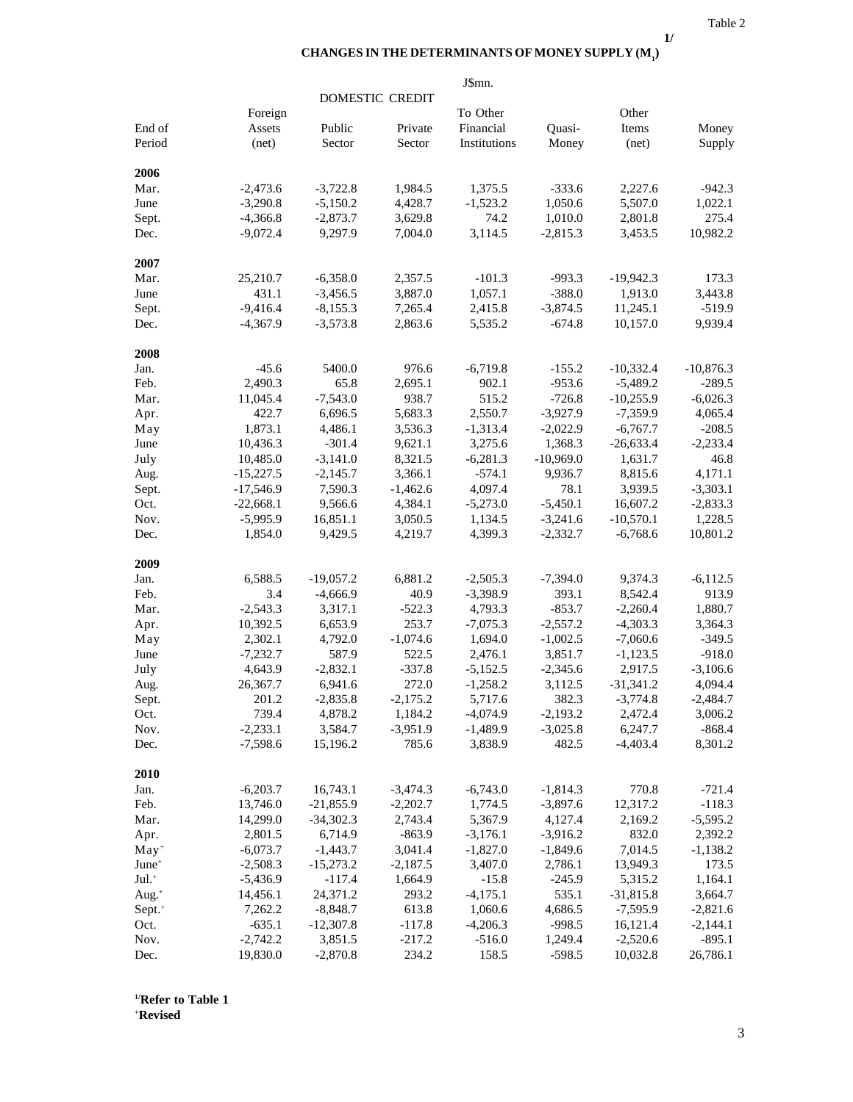**1/**

### **CHANGES IN THE DETERMINANTS OF MONEY SUPPLY (M1 )**

|                     |             |             |                        | J\$mn.       |             |             |             |
|---------------------|-------------|-------------|------------------------|--------------|-------------|-------------|-------------|
|                     |             |             | <b>DOMESTIC CREDIT</b> |              |             |             |             |
|                     | Foreign     |             |                        | To Other     |             | Other       |             |
| End of              | Assets      | Public      | Private                | Financial    | Quasi-      | Items       | Money       |
| Period              | net)        | Sector      | Sector                 | Institutions | Money       | (net)       | Supply      |
| 2006                |             |             |                        |              |             |             |             |
| Mar.                | $-2,473.6$  | $-3,722.8$  | 1,984.5                | 1,375.5      | $-333.6$    | 2,227.6     | $-942.3$    |
| June                | $-3,290.8$  | $-5,150.2$  | 4,428.7                | $-1,523.2$   | 1,050.6     | 5,507.0     | 1,022.1     |
| Sept.               | $-4,366.8$  | $-2,873.7$  | 3,629.8                | 74.2         | 1,010.0     | 2,801.8     | 275.4       |
| Dec.                | $-9,072.4$  | 9,297.9     | 7,004.0                | 3,114.5      | $-2,815.3$  | 3,453.5     | 10,982.2    |
| 2007                |             |             |                        |              |             |             |             |
| Mar.                | 25,210.7    | $-6,358.0$  | 2,357.5                | $-101.3$     | $-993.3$    | $-19,942.3$ | 173.3       |
| June                | 431.1       | $-3,456.5$  | 3,887.0                | 1,057.1      | $-388.0$    | 1,913.0     | 3,443.8     |
| Sept.               | $-9,416.4$  | $-8,155.3$  | 7,265.4                | 2,415.8      | $-3,874.5$  | 11,245.1    | $-519.9$    |
| Dec.                | $-4,367.9$  | $-3,573.8$  | 2,863.6                | 5,535.2      | $-674.8$    | 10,157.0    | 9,939.4     |
| 2008                |             |             |                        |              |             |             |             |
| Jan.                | $-45.6$     | 5400.0      | 976.6                  | $-6,719.8$   | $-155.2$    | $-10,332.4$ | $-10,876.3$ |
| Feb.                | 2,490.3     | 65.8        | 2,695.1                | 902.1        | $-953.6$    | $-5,489.2$  | $-289.5$    |
| Mar.                | 11,045.4    | $-7,543.0$  | 938.7                  | 515.2        | $-726.8$    | $-10,255.9$ | $-6,026.3$  |
| Apr.                | 422.7       | 6,696.5     | 5,683.3                | 2,550.7      | $-3,927.9$  | $-7,359.9$  | 4,065.4     |
| May                 | 1,873.1     | 4,486.1     | 3,536.3                | $-1,313.4$   | $-2,022.9$  | $-6,767.7$  | $-208.5$    |
| June                | 10,436.3    | $-301.4$    | 9,621.1                | 3,275.6      | 1,368.3     | $-26,633.4$ | $-2,233.4$  |
| July                | 10,485.0    | $-3,141.0$  | 8,321.5                | $-6,281.3$   | $-10,969.0$ | 1,631.7     | 46.8        |
| Aug.                | $-15,227.5$ | $-2,145.7$  | 3,366.1                | $-574.1$     | 9,936.7     | 8,815.6     | 4,171.1     |
| Sept.               | $-17,546.9$ | 7,590.3     | $-1,462.6$             | 4,097.4      | 78.1        | 3,939.5     | $-3,303.1$  |
| Oct.                | $-22,668.1$ | 9,566.6     | 4,384.1                | $-5,273.0$   | $-5,450.1$  | 16,607.2    | $-2,833.3$  |
| Nov.                | $-5,995.9$  | 16,851.1    | 3,050.5                | 1,134.5      | $-3,241.6$  | $-10,570.1$ | 1,228.5     |
| Dec.                | 1,854.0     | 9,429.5     | 4,219.7                | 4,399.3      | $-2,332.7$  | $-6,768.6$  | 10,801.2    |
| 2009                |             |             |                        |              |             |             |             |
| Jan.                | 6,588.5     | $-19,057.2$ | 6,881.2                | $-2,505.3$   | $-7,394.0$  | 9,374.3     | $-6,112.5$  |
| Feb.                | 3.4         | $-4,666.9$  | 40.9                   | $-3,398.9$   | 393.1       | 8,542.4     | 913.9       |
| Mar.                | $-2,543.3$  | 3,317.1     | $-522.3$               | 4,793.3      | $-853.7$    | $-2,260.4$  | 1,880.7     |
| Apr.                | 10,392.5    | 6,653.9     | 253.7                  | $-7,075.3$   | $-2,557.2$  | $-4,303.3$  | 3,364.3     |
| May                 | 2,302.1     | 4,792.0     | $-1,074.6$             | 1,694.0      | $-1,002.5$  | $-7,060.6$  | $-349.5$    |
| June                | $-7,232.7$  | 587.9       | 522.5                  | 2,476.1      | 3,851.7     | $-1,123.5$  | $-918.0$    |
| July                | 4,643.9     | $-2,832.1$  | $-337.8$               | $-5,152.5$   | $-2,345.6$  | 2,917.5     | $-3,106.6$  |
| Aug.                | 26,367.7    | 6,941.6     | 272.0                  | $-1,258.2$   | 3,112.5     | $-31,341.2$ | 4,094.4     |
| Sept.               | 201.2       | $-2,835.8$  | $-2,175.2$             | 5,717.6      | 382.3       | $-3,774.8$  | $-2,484.7$  |
| Oct.                | 739.4       | 4,878.2     | 1,184.2                | $-4,074.9$   | $-2,193.2$  | 2,472.4     | 3,006.2     |
| Nov.                | $-2,233.1$  | 3,584.7     | $-3,951.9$             | $-1,489.9$   | $-3,025.8$  | 6,247.7     | $-868.4$    |
| Dec.                | $-7,598.6$  | 15,196.2    | 785.6                  | 3,838.9      | 482.5       | $-4,403.4$  | 8,301.2     |
| 2010                |             |             |                        |              |             |             |             |
| Jan.                | $-6,203.7$  | 16,743.1    | $-3,474.3$             | $-6,743.0$   | $-1,814.3$  | 770.8       | $-721.4$    |
| Feb.                | 13,746.0    | $-21,855.9$ | $-2,202.7$             | 1,774.5      | $-3,897.6$  | 12,317.2    | $-118.3$    |
| Mar.                | 14,299.0    | $-34,302.3$ | 2,743.4                | 5,367.9      | 4,127.4     | 2,169.2     | $-5,595.2$  |
| Apr.                | 2,801.5     | 6,714.9     | $-863.9$               | $-3,176.1$   | $-3,916.2$  | 832.0       | 2,392.2     |
| $May+$              | $-6,073.7$  | $-1,443.7$  | 3,041.4                | $-1,827.0$   | $-1,849.6$  | 7,014.5     | $-1,138.2$  |
| June <sup>+</sup>   | $-2,508.3$  | $-15,273.2$ | $-2,187.5$             | 3,407.0      | 2,786.1     | 13,949.3    | 173.5       |
| $Jul.$ <sup>+</sup> | $-5,436.9$  | $-117.4$    | 1,664.9                | $-15.8$      | $-245.9$    | 5,315.2     | 1,164.1     |
| Aug. <sup>+</sup>   | 14,456.1    | 24,371.2    | 293.2                  | $-4,175.1$   | 535.1       | $-31,815.8$ | 3,664.7     |
| Sept. <sup>+</sup>  | 7,262.2     | $-8,848.7$  | 613.8                  | 1,060.6      | 4,686.5     | $-7,595.9$  | $-2,821.6$  |
| Oct.                | $-635.1$    | $-12,307.8$ | $-117.8$               | $-4,206.3$   | $-998.5$    | 16,121.4    | $-2,144.1$  |
| Nov.                | $-2,742.2$  | 3,851.5     | $-217.2$               | $-516.0$     | 1,249.4     | $-2,520.6$  | $-895.1$    |
| Dec.                | 19,830.0    | $-2,870.8$  | 234.2                  | 158.5        | $-598.5$    | 10,032.8    | 26,786.1    |

**1/Refer to Table 1 +Revised**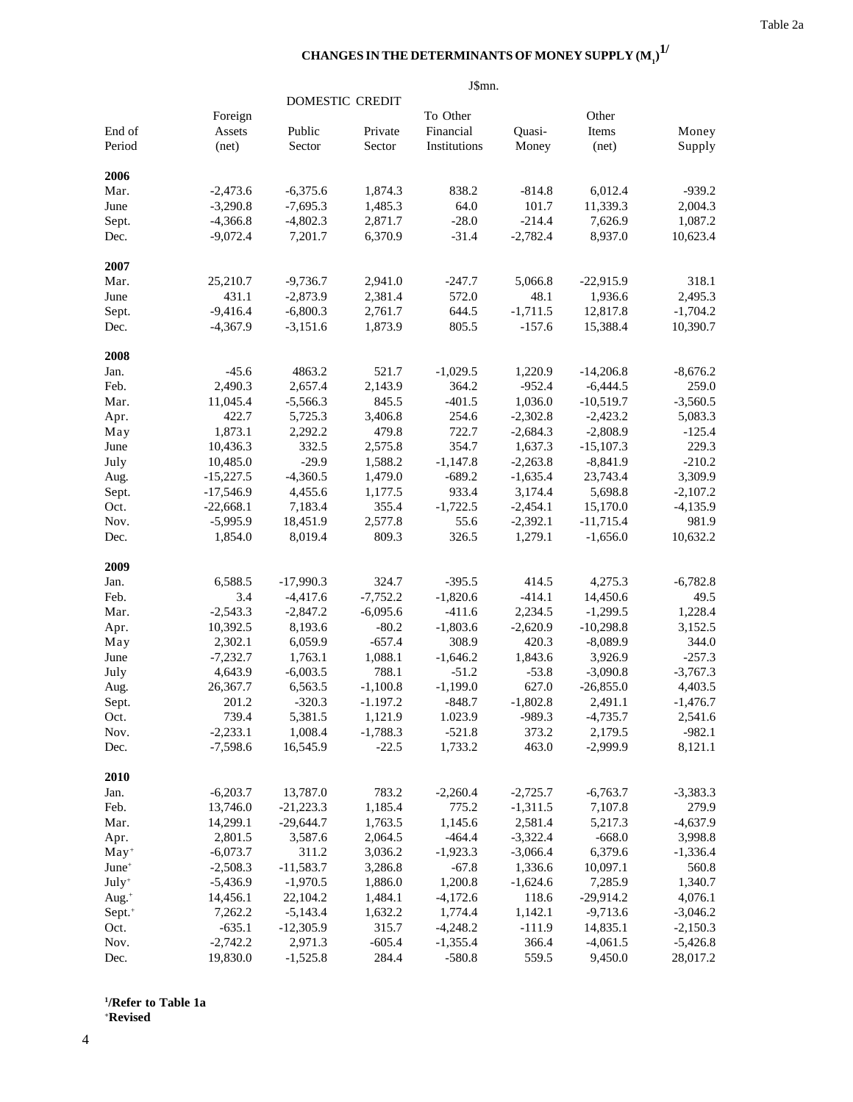# CHANGES IN THE DETERMINANTS OF MONEY SUPPLY  ${{\bf (M}_{{\bf 1}})}^{\bf 1}$

|                    |             |             |                 | J\$mn.       |            |             |            |
|--------------------|-------------|-------------|-----------------|--------------|------------|-------------|------------|
|                    |             |             | DOMESTIC CREDIT |              |            |             |            |
|                    | Foreign     |             |                 | To Other     |            | Other       |            |
| End of             | Assets      | Public      | Private         | Financial    | Ouasi-     | Items       | Money      |
| Period             | (net)       | Sector      | Sector          | Institutions | Money      | (net)       | Supply     |
| 2006               |             |             |                 |              |            |             |            |
| Mar.               | $-2,473.6$  | $-6,375.6$  | 1,874.3         | 838.2        | $-814.8$   | 6,012.4     | $-939.2$   |
| June               | $-3,290.8$  | $-7,695.3$  | 1,485.3         | 64.0         | 101.7      | 11,339.3    | 2,004.3    |
| Sept.              | $-4,366.8$  | $-4,802.3$  | 2,871.7         | $-28.0$      | $-214.4$   | 7,626.9     | 1,087.2    |
| Dec.               | $-9,072.4$  | 7,201.7     | 6,370.9         | $-31.4$      | $-2,782.4$ | 8,937.0     | 10,623.4   |
| 2007               |             |             |                 |              |            |             |            |
| Mar.               | 25,210.7    | $-9,736.7$  | 2,941.0         | $-247.7$     | 5,066.8    | $-22,915.9$ | 318.1      |
| June               | 431.1       | $-2,873.9$  | 2,381.4         | 572.0        | 48.1       | 1,936.6     | 2,495.3    |
| Sept.              | $-9,416.4$  | $-6,800.3$  | 2,761.7         | 644.5        | $-1,711.5$ | 12,817.8    | $-1,704.2$ |
| Dec.               | $-4,367.9$  | $-3,151.6$  | 1,873.9         | 805.5        | $-157.6$   | 15,388.4    | 10,390.7   |
| 2008               |             |             |                 |              |            |             |            |
| Jan.               | $-45.6$     | 4863.2      | 521.7           | $-1,029.5$   | 1,220.9    | $-14,206.8$ | $-8,676.2$ |
| Feb.               | 2,490.3     | 2,657.4     | 2,143.9         | 364.2        | $-952.4$   | $-6,444.5$  | 259.0      |
| Mar.               | 11,045.4    | $-5,566.3$  | 845.5           | $-401.5$     | 1,036.0    | $-10,519.7$ | $-3,560.5$ |
| Apr.               | 422.7       | 5,725.3     | 3,406.8         | 254.6        | $-2,302.8$ | $-2,423.2$  | 5,083.3    |
| May                | 1,873.1     | 2,292.2     | 479.8           | 722.7        | $-2,684.3$ | $-2,808.9$  | $-125.4$   |
| June               | 10,436.3    | 332.5       | 2,575.8         | 354.7        | 1,637.3    | $-15,107.3$ | 229.3      |
| July               | 10,485.0    | $-29.9$     | 1,588.2         | $-1,147.8$   | $-2,263.8$ | $-8,841.9$  | $-210.2$   |
| Aug.               | $-15,227.5$ | $-4,360.5$  | 1,479.0         | $-689.2$     | $-1,635.4$ | 23,743.4    | 3,309.9    |
| Sept.              | $-17,546.9$ | 4,455.6     | 1,177.5         | 933.4        | 3,174.4    | 5,698.8     | $-2,107.2$ |
| Oct.               | $-22,668.1$ | 7,183.4     | 355.4           | $-1,722.5$   | $-2,454.1$ | 15,170.0    | $-4,135.9$ |
| Nov.               | $-5,995.9$  | 18,451.9    | 2,577.8         | 55.6         | $-2,392.1$ | $-11,715.4$ | 981.9      |
| Dec.               | 1,854.0     | 8,019.4     | 809.3           | 326.5        | 1,279.1    | $-1,656.0$  | 10,632.2   |
| 2009               |             |             |                 |              |            |             |            |
| Jan.               | 6,588.5     | $-17,990.3$ | 324.7           | $-395.5$     | 414.5      | 4,275.3     | $-6,782.8$ |
| Feb.               | 3.4         | $-4,417.6$  | $-7,752.2$      | $-1,820.6$   | $-414.1$   | 14,450.6    | 49.5       |
| Mar.               | $-2,543.3$  | $-2,847.2$  | $-6,095.6$      | $-411.6$     | 2,234.5    | $-1,299.5$  | 1,228.4    |
| Apr.               | 10,392.5    | 8,193.6     | $-80.2$         | $-1,803.6$   | $-2,620.9$ | $-10,298.8$ | 3,152.5    |
| May                | 2,302.1     | 6,059.9     | $-657.4$        | 308.9        | 420.3      | $-8,089.9$  | 344.0      |
| June               | $-7,232.7$  | 1,763.1     | 1,088.1         | $-1,646.2$   | 1,843.6    | 3,926.9     | $-257.3$   |
| July               | 4,643.9     | $-6,003.5$  | 788.1           | $-51.2$      | $-53.8$    | $-3,090.8$  | $-3,767.3$ |
| Aug.               | 26,367.7    | 6,563.5     | $-1,100.8$      | $-1,199.0$   | 627.0      | $-26,855.0$ | 4,403.5    |
| Sept.              | 201.2       | $-320.3$    | $-1.197.2$      | $-848.7$     | $-1,802.8$ | 2,491.1     | $-1,476.7$ |
| Oct.               | 739.4       | 5,381.5     | 1,121.9         | 1.023.9      | $-989.3$   | $-4,735.7$  | 2,541.6    |
| Nov.               | $-2,233.1$  | 1,008.4     | $-1,788.3$      | $-521.8$     | 373.2      | 2,179.5     | $-982.1$   |
| Dec.               | $-7,598.6$  | 16,545.9    | $-22.5$         | 1,733.2      | 463.0      | $-2,999.9$  | 8,121.1    |
| 2010               |             |             |                 |              |            |             |            |
| Jan.               | $-6,203.7$  | 13,787.0    | 783.2           | $-2,260.4$   | $-2,725.7$ | $-6,763.7$  | $-3,383.3$ |
| Feb.               | 13,746.0    | $-21,223.3$ | 1,185.4         | 775.2        | $-1,311.5$ | 7,107.8     | 279.9      |
| Mar.               | 14,299.1    | $-29,644.7$ | 1,763.5         | 1,145.6      | 2,581.4    | 5,217.3     | $-4,637.9$ |
| Apr.               | 2,801.5     | 3,587.6     | 2,064.5         | $-464.4$     | $-3,322.4$ | $-668.0$    | 3,998.8    |
| $May+$             | $-6,073.7$  | 311.2       | 3,036.2         | $-1,923.3$   | $-3,066.4$ | 6,379.6     | $-1,336.4$ |
| June <sup>+</sup>  | $-2,508.3$  | $-11,583.7$ | 3,286.8         | $-67.8$      | 1,336.6    | 10,097.1    | 560.8      |
| July <sup>+</sup>  | $-5,436.9$  | $-1,970.5$  | 1,886.0         | 1,200.8      | $-1,624.6$ | 7,285.9     | 1,340.7    |
| Aug. $+$           | 14,456.1    | 22,104.2    | 1,484.1         | $-4,172.6$   | 118.6      | $-29,914.2$ | 4,076.1    |
| Sept. <sup>+</sup> | 7,262.2     | $-5,143.4$  | 1,632.2         | 1,774.4      | 1,142.1    | $-9,713.6$  | $-3,046.2$ |
| Oct.               | $-635.1$    | $-12,305.9$ | 315.7           | $-4,248.2$   | $-111.9$   | 14,835.1    | $-2,150.3$ |
| Nov.               | $-2,742.2$  | 2,971.3     | $-605.4$        | $-1,355.4$   | 366.4      | $-4,061.5$  | $-5,426.8$ |
| Dec.               | 19,830.0    | $-1,525.8$  | 284.4           | $-580.8$     | 559.5      | 9,450.0     | 28,017.2   |

**1 /Refer to Table 1a + Revised**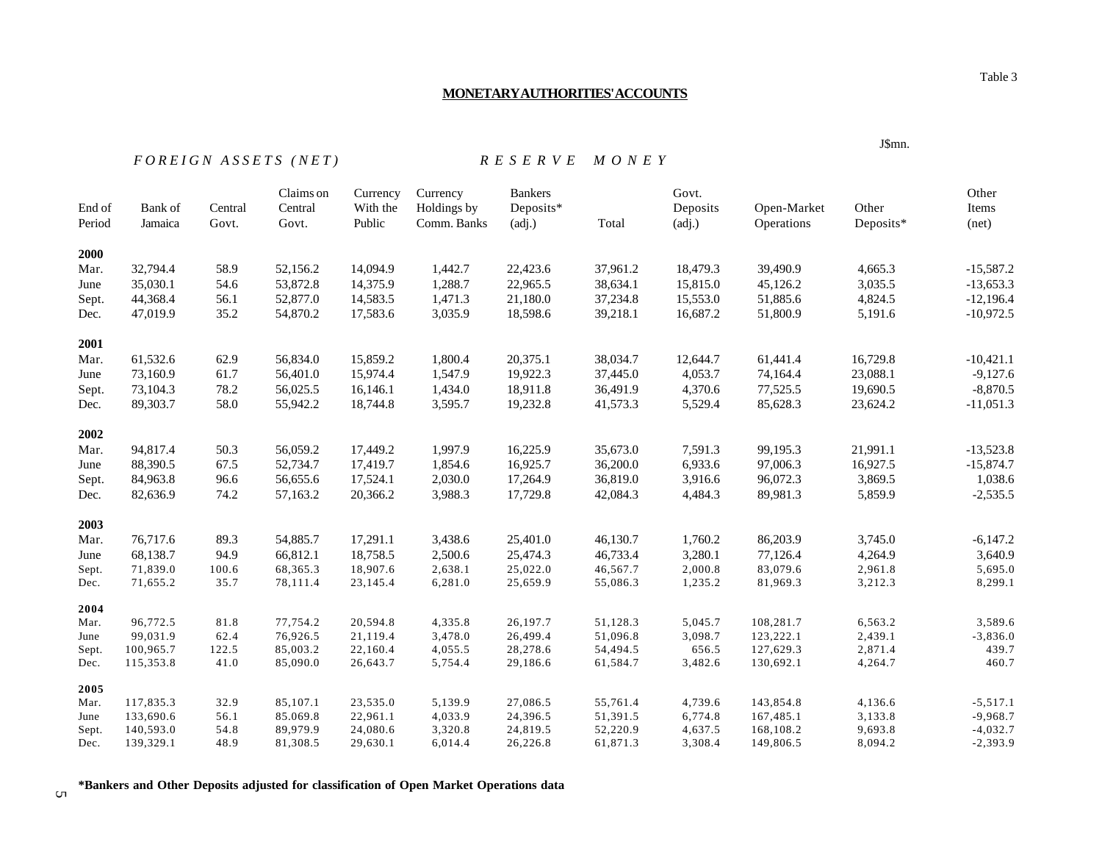# **MONETARY AUTHORITIES' ACCOUNTS**

# *F O R E I G N A S S E T S ( N E T ) R E S E R V E M O N E Y*

| End of<br>Period | Bank of<br>Jamaica     | Central<br>Govt. | Claims on<br>Central<br>Govt. | Currency<br>With the<br>Public | Currency<br>Holdings by<br>Comm. Banks | <b>Bankers</b><br>Deposits*<br>(adi.) | Total                | Govt.<br>Deposits<br>(adi.) | Open-Market<br>Operations | Other<br>Deposits* | Other<br>Items<br>net)   |
|------------------|------------------------|------------------|-------------------------------|--------------------------------|----------------------------------------|---------------------------------------|----------------------|-----------------------------|---------------------------|--------------------|--------------------------|
| 2000             |                        |                  |                               |                                |                                        |                                       |                      |                             |                           |                    |                          |
| Mar.             | 32,794.4               | 58.9             | 52,156.2                      | 14,094.9                       | 1,442.7                                | 22,423.6                              | 37,961.2             | 18,479.3                    | 39,490.9                  | 4,665.3            | $-15,587.2$              |
| June             | 35,030.1               | 54.6             | 53,872.8                      | 14,375.9                       | 1,288.7                                | 22,965.5                              | 38,634.1             | 15,815.0                    | 45,126.2                  | 3,035.5            | $-13,653.3$              |
| Sept.            | 44,368.4               | 56.1             | 52,877.0                      | 14,583.5                       | 1,471.3                                | 21,180.0                              | 37,234.8             | 15,553.0                    | 51,885.6                  | 4,824.5            | $-12,196.4$              |
| Dec.             | 47,019.9               | 35.2             | 54,870.2                      | 17,583.6                       | 3,035.9                                | 18,598.6                              | 39,218.1             | 16,687.2                    | 51,800.9                  | 5,191.6            | $-10,972.5$              |
| 2001             |                        |                  |                               |                                |                                        |                                       |                      |                             |                           |                    |                          |
| Mar.             | 61,532.6               | 62.9             | 56,834.0                      | 15,859.2                       | 1,800.4                                | 20,375.1                              | 38,034.7             | 12,644.7                    | 61,441.4                  | 16,729.8           | $-10,421.1$              |
| June             | 73,160.9               | 61.7             | 56,401.0                      | 15,974.4                       | 1,547.9                                | 19,922.3                              | 37,445.0             | 4,053.7                     | 74,164.4                  | 23,088.1           | $-9,127.6$               |
| Sept.            | 73,104.3               | 78.2             | 56,025.5                      | 16,146.1                       | 1,434.0                                | 18,911.8                              | 36,491.9             | 4,370.6                     | 77,525.5                  | 19,690.5           | $-8,870.5$               |
| Dec.             | 89,303.7               | 58.0             | 55,942.2                      | 18,744.8                       | 3,595.7                                | 19,232.8                              | 41,573.3             | 5,529.4                     | 85,628.3                  | 23,624.2           | $-11,051.3$              |
| 2002             |                        |                  |                               |                                |                                        |                                       |                      |                             |                           |                    |                          |
| Mar.             | 94,817.4               | 50.3             | 56,059.2                      | 17,449.2                       | 1,997.9                                | 16,225.9                              | 35,673.0             | 7,591.3                     | 99,195.3                  | 21,991.1           | $-13,523.8$              |
| June             | 88,390.5               | 67.5             | 52,734.7                      | 17,419.7                       | 1,854.6                                | 16,925.7                              | 36,200.0             | 6,933.6                     | 97,006.3                  | 16,927.5           | $-15,874.7$              |
| Sept.            | 84,963.8               | 96.6             | 56,655.6                      | 17,524.1                       | 2,030.0                                | 17,264.9                              | 36,819.0             | 3,916.6                     | 96,072.3                  | 3,869.5            | 1,038.6                  |
| Dec.             | 82,636.9               | 74.2             | 57,163.2                      | 20,366.2                       | 3,988.3                                | 17,729.8                              | 42,084.3             | 4,484.3                     | 89,981.3                  | 5,859.9            | $-2,535.5$               |
| 2003             |                        |                  |                               |                                |                                        |                                       |                      |                             |                           |                    |                          |
| Mar.             | 76,717.6               | 89.3             | 54,885.7                      | 17,291.1                       | 3,438.6                                | 25,401.0                              | 46,130.7             | 1,760.2                     | 86,203.9                  | 3,745.0            | $-6,147.2$               |
| June             | 68,138.7               | 94.9             | 66,812.1                      | 18,758.5                       | 2,500.6                                | 25,474.3                              | 46,733.4             | 3,280.1                     | 77,126.4                  | 4,264.9            | 3,640.9                  |
| Sept.            | 71,839.0               | 100.6            | 68,365.3                      | 18,907.6                       | 2,638.1                                | 25,022.0                              | 46,567.7             | 2,000.8                     | 83,079.6                  | 2,961.8            | 5,695.0                  |
| Dec.             | 71,655.2               | 35.7             | 78,111.4                      | 23,145.4                       | 6,281.0                                | 25,659.9                              | 55,086.3             | 1,235.2                     | 81,969.3                  | 3,212.3            | 8,299.1                  |
| 2004             |                        |                  |                               |                                |                                        |                                       |                      |                             |                           |                    |                          |
| Mar.             | 96,772.5               | 81.8             | 77,754.2                      | 20,594.8                       | 4,335.8                                | 26,197.7                              | 51,128.3             | 5,045.7                     | 108,281.7                 | 6,563.2            | 3,589.6                  |
| June             | 99,031.9               | 62.4             | 76,926.5                      | 21,119.4                       | 3,478.0                                | 26,499.4                              | 51,096.8             | 3,098.7                     | 123,222.1                 | 2,439.1            | $-3,836.0$               |
| Sept.            | 100,965.7              | 122.5            | 85,003.2                      | 22,160.4                       | 4,055.5                                | 28,278.6                              | 54,494.5             | 656.5                       | 127,629.3                 | 2,871.4            | 439.7                    |
| Dec.             | 115,353.8              | 41.0             | 85,090.0                      | 26,643.7                       | 5,754.4                                | 29,186.6                              | 61,584.7             | 3,482.6                     | 130,692.1                 | 4,264.7            | 460.7                    |
| 2005             |                        |                  |                               |                                |                                        |                                       |                      |                             |                           |                    |                          |
| Mar.             | 117,835.3              | 32.9             | 85,107.1                      | 23,535.0                       | 5,139.9                                | 27,086.5                              | 55,761.4             | 4,739.6                     | 143,854.8                 | 4,136.6            | $-5,517.1$               |
| June<br>Sept.    | 133,690.6<br>140,593.0 | 56.1<br>54.8     | 85.069.8<br>89,979.9          | 22,961.1<br>24,080.6           | 4,033.9<br>3,320.8                     | 24,396.5<br>24,819.5                  | 51,391.5<br>52,220.9 | 6,774.8<br>4,637.5          | 167,485.1<br>168,108.2    | 3,133.8<br>9,693.8 | $-9,968.7$<br>$-4,032.7$ |
| Dec.             | 139,329.1              | 48.9             | 81,308.5                      | 29,630.1                       | 6,014.4                                | 26,226.8                              | 61,871.3             | 3,308.4                     | 149,806.5                 | 8,094.2            | $-2,393.9$               |
|                  |                        |                  |                               |                                |                                        |                                       |                      |                             |                           |                    |                          |

**\*Bankers and Other Deposits adjusted for classification of Open Market Operations data**

J\$mn.

 $\sigma$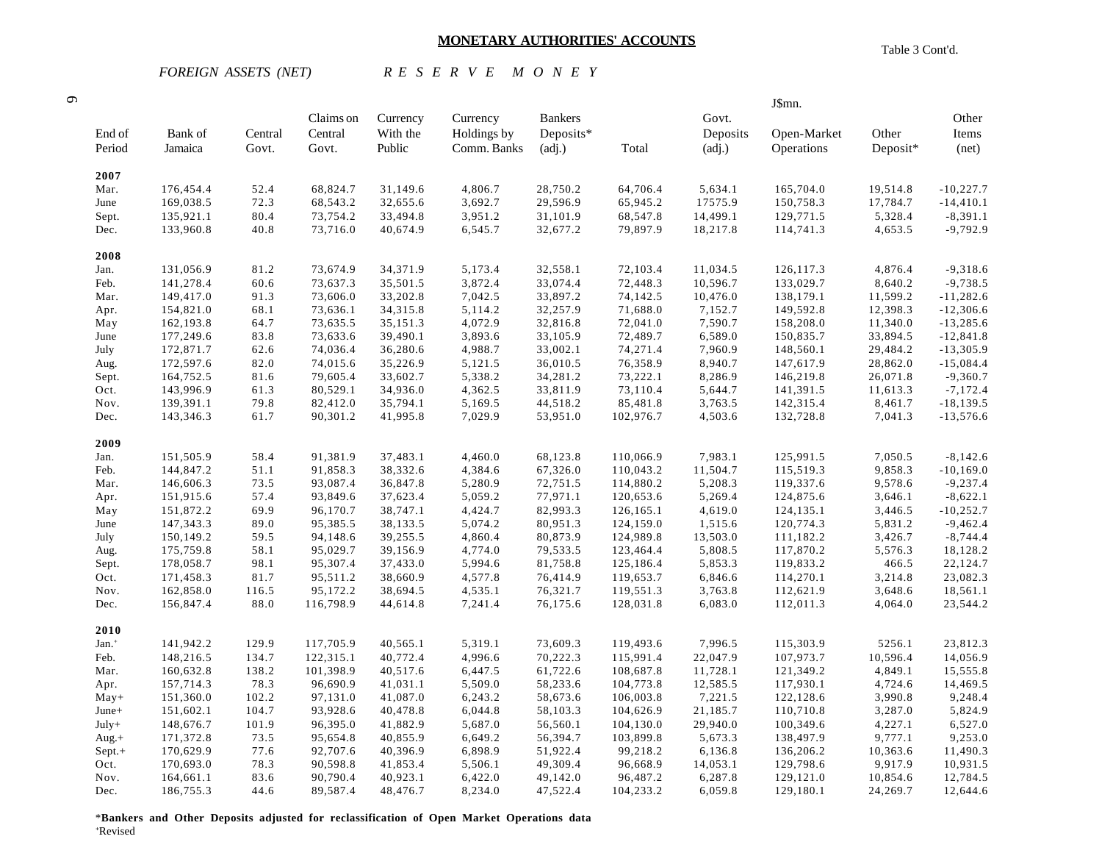# **MONETARY AUTHORITIES' ACCOUNTS**

 $\sigma$ 

*FOREIGN ASSETS (NET) R E S E R V E M O N E Y*

|  | Table 3 Cont'd. |
|--|-----------------|
|  |                 |

J\$mn.

|                   |                        |                  | Claims on            | Currency             | Currency           | <b>Bankers</b>       |                      | Govt.              |                        |                      | Other                     |
|-------------------|------------------------|------------------|----------------------|----------------------|--------------------|----------------------|----------------------|--------------------|------------------------|----------------------|---------------------------|
| End of            | Bank of                | Central          | Central              | With the             | Holdings by        | Deposits*            |                      | Deposits           | Open-Market            | Other                | Items                     |
| Period            | Jamaica                | Govt.            | Govt.                | Public               | Comm. Banks        | (adj.)               | Total                | (adj.)             | Operations             | Deposit*             | (net)                     |
|                   |                        |                  |                      |                      |                    |                      |                      |                    |                        |                      |                           |
| 2007              |                        |                  |                      |                      |                    |                      |                      |                    |                        |                      |                           |
| Mar.              | 176,454.4              | 52.4             | 68,824.7             | 31,149.6             | 4,806.7            | 28,750.2             | 64,706.4             | 5,634.1            | 165,704.0              | 19,514.8             | $-10,227.7$               |
| June              | 169,038.5              | 72.3             | 68,543.2             | 32,655.6             | 3,692.7            | 29,596.9             | 65,945.2             | 17575.9            | 150,758.3              | 17,784.7             | $-14,410.1$               |
| Sept.             | 135,921.1              | 80.4             | 73,754.2             | 33,494.8             | 3,951.2            | 31,101.9             | 68,547.8             | 14,499.1           | 129,771.5              | 5,328.4              | $-8,391.1$                |
| Dec.              | 133,960.8              | 40.8             | 73,716.0             | 40,674.9             | 6,545.7            | 32,677.2             | 79,897.9             | 18,217.8           | 114,741.3              | 4,653.5              | $-9,792.9$                |
| 2008              |                        |                  |                      |                      |                    |                      |                      |                    |                        |                      |                           |
| Jan.              | 131,056.9              | 81.2             | 73,674.9             | 34,371.9             | 5,173.4            | 32,558.1             | 72,103.4             | 11,034.5           | 126,117.3              | 4,876.4              | $-9,318.6$                |
| Feb.              | 141,278.4              | 60.6             | 73,637.3             | 35,501.5             | 3,872.4            | 33,074.4             | 72,448.3             | 10,596.7           | 133,029.7              | 8,640.2              | $-9,738.5$                |
| Mar.              | 149,417.0              | 91.3             | 73,606.0             | 33,202.8             | 7,042.5            | 33,897.2             | 74,142.5             | 10,476.0           | 138,179.1              | 11,599.2             | $-11,282.6$               |
| Apr.              | 154,821.0              | 68.1             | 73,636.1             | 34, 315.8            | 5,114.2            | 32,257.9             | 71,688.0             | 7,152.7            | 149,592.8              | 12,398.3             | $-12,306.6$               |
|                   | 162,193.8              | 64.7             | 73,635.5             | 35,151.3             | 4,072.9            | 32,816.8             | 72,041.0             | 7,590.7            | 158,208.0              | 11,340.0             | $-13,285.6$               |
| May               | 177,249.6              | 83.8             | 73,633.6             | 39,490.1             | 3,893.6            | 33,105.9             | 72,489.7             | 6,589.0            | 150,835.7              | 33,894.5             | $-12,841.8$               |
| June              |                        |                  |                      | 36,280.6             |                    | 33,002.1             | 74,271.4             | 7,960.9            |                        | 29,484.2             | $-13,305.9$               |
| July              | 172,871.7              | 62.6             | 74,036.4             |                      | 4,988.7            |                      |                      |                    | 148,560.1              |                      |                           |
| Aug.              | 172,597.6<br>164,752.5 | 82.0<br>$81.6\,$ | 74,015.6<br>79,605.4 | 35,226.9<br>33,602.7 | 5,121.5<br>5,338.2 | 36,010.5<br>34,281.2 | 76,358.9<br>73,222.1 | 8,940.7<br>8,286.9 | 147,617.9<br>146,219.8 | 28,862.0<br>26,071.8 | $-15,084.4$<br>$-9,360.7$ |
| Sept.             |                        |                  |                      |                      |                    |                      | 73,110.4             |                    |                        |                      |                           |
| Oct.              | 143,996.9              | 61.3             | 80,529.1             | 34,936.0             | 4,362.5            | 33,811.9             |                      | 5,644.7            | 141,391.5              | 11,613.3             | $-7,172.4$                |
| Nov.              | 139,391.1              | 79.8             | 82,412.0             | 35,794.1             | 5,169.5            | 44,518.2             | 85,481.8             | 3,763.5            | 142,315.4              | 8,461.7              | $-18, 139.5$              |
| Dec.              | 143,346.3              | 61.7             | 90,301.2             | 41,995.8             | 7,029.9            | 53,951.0             | 102,976.7            | 4,503.6            | 132,728.8              | 7,041.3              | $-13,576.6$               |
| 2009              |                        |                  |                      |                      |                    |                      |                      |                    |                        |                      |                           |
| Jan.              | 151,505.9              | 58.4             | 91,381.9             | 37,483.1             | 4,460.0            | 68,123.8             | 110,066.9            | 7,983.1            | 125,991.5              | 7,050.5              | $-8,142.6$                |
| Feb.              | 144,847.2              | 51.1             | 91,858.3             | 38,332.6             | 4,384.6            | 67,326.0             | 110,043.2            | 11,504.7           | 115,519.3              | 9,858.3              | $-10,169.0$               |
| Mar.              | 146,606.3              | 73.5             | 93,087.4             | 36,847.8             | 5,280.9            | 72,751.5             | 114,880.2            | 5,208.3            | 119,337.6              | 9,578.6              | $-9,237.4$                |
| Apr.              | 151,915.6              | 57.4             | 93,849.6             | 37,623.4             | 5,059.2            | 77,971.1             | 120,653.6            | 5,269.4            | 124,875.6              | 3,646.1              | $-8,622.1$                |
| May               | 151,872.2              | 69.9             | 96,170.7             | 38,747.1             | 4,424.7            | 82,993.3             | 126,165.1            | 4,619.0            | 124, 135.1             | 3,446.5              | $-10,252.7$               |
| June              | 147,343.3              | 89.0             | 95,385.5             | 38,133.5             | 5,074.2            | 80,951.3             | 124,159.0            | 1,515.6            | 120,774.3              | 5,831.2              | $-9,462.4$                |
| July              | 150,149.2              | 59.5             | 94,148.6             | 39,255.5             | 4,860.4            | 80,873.9             | 124,989.8            | 13,503.0           | 111,182.2              | 3,426.7              | $-8,744.4$                |
| Aug.              | 175,759.8              | 58.1             | 95,029.7             | 39,156.9             | 4,774.0            | 79,533.5             | 123,464.4            | 5,808.5            | 117,870.2              | 5,576.3              | 18,128.2                  |
| Sept.             | 178,058.7              | 98.1             | 95,307.4             | 37,433.0             | 5,994.6            | 81,758.8             | 125,186.4            | 5,853.3            | 119,833.2              | 466.5                | 22,124.7                  |
| Oct.              | 171,458.3              | 81.7             | 95,511.2             | 38,660.9             | 4,577.8            | 76,414.9             | 119,653.7            | 6,846.6            | 114,270.1              | 3,214.8              | 23,082.3                  |
| Nov.              | 162,858.0              | 116.5            | 95,172.2             | 38,694.5             | 4,535.1            | 76,321.7             | 119,551.3            | 3,763.8            | 112,621.9              | 3,648.6              | 18,561.1                  |
| Dec.              | 156,847.4              | 88.0             | 116,798.9            | 44,614.8             | 7,241.4            | 76,175.6             | 128,031.8            | 6,083.0            | 112,011.3              | 4,064.0              | 23,544.2                  |
|                   |                        |                  |                      |                      |                    |                      |                      |                    |                        |                      |                           |
| 2010              |                        |                  |                      |                      |                    |                      |                      | 7,996.5            |                        |                      | 23,812.3                  |
| Jan. <sup>+</sup> | 141,942.2              | 129.9            | 117,705.9            | 40,565.1             | 5,319.1            | 73,609.3             | 119,493.6            |                    | 115,303.9              | 5256.1               |                           |
| Feb.              | 148,216.5              | 134.7            | 122,315.1            | 40,772.4             | 4,996.6            | 70,222.3             | 115,991.4            | 22,047.9           | 107,973.7              | 10,596.4             | 14,056.9                  |
| Mar.              | 160,632.8              | 138.2            | 101,398.9            | 40,517.6             | 6,447.5            | 61,722.6             | 108,687.8            | 11,728.1           | 121,349.2              | 4,849.1              | 15,555.8                  |
| Apr.              | 157,714.3              | 78.3             | 96,690.9             | 41,031.1             | 5,509.0            | 58,233.6             | 104,773.8            | 12,585.5           | 117,930.1              | 4,724.6              | 14,469.5                  |
| $May+$            | 151,360.0              | 102.2            | 97,131.0             | 41,087.0             | 6,243.2            | 58,673.6             | 106,003.8            | 7,221.5            | 122,128.6              | 3,990.8              | 9,248.4                   |
| June+             | 151,602.1              | 104.7            | 93,928.6             | 40,478.8             | 6,044.8            | 58,103.3             | 104,626.9            | 21,185.7           | 110,710.8              | 3,287.0              | 5,824.9                   |
| July+             | 148,676.7              | 101.9            | 96,395.0             | 41,882.9             | 5,687.0            | 56,560.1             | 104,130.0            | 29,940.0           | 100,349.6              | 4,227.1              | 6,527.0                   |
| $Aug.+$           | 171,372.8              | 73.5             | 95,654.8             | 40,855.9             | 6,649.2            | 56,394.7             | 103,899.8            | 5,673.3            | 138,497.9              | 9,777.1              | 9,253.0                   |
| $Sept.+$          | 170,629.9              | 77.6             | 92,707.6             | 40,396.9             | 6,898.9            | 51,922.4             | 99,218.2             | 6,136.8            | 136,206.2              | 10,363.6             | 11,490.3                  |
| Oct.              | 170,693.0              | 78.3             | 90,598.8             | 41,853.4             | 5,506.1            | 49,309.4             | 96,668.9             | 14,053.1           | 129,798.6              | 9,917.9              | 10,931.5                  |
| Nov.              | 164,661.1              | 83.6             | 90,790.4             | 40,923.1             | 6,422.0            | 49,142.0             | 96,487.2             | 6,287.8            | 129,121.0              | 10,854.6             | 12,784.5                  |
| Dec.              | 186,755.3              | 44.6             | 89,587.4             | 48,476.7             | 8,234.0            | 47,522.4             | 104,233.2            | 6,059.8            | 129,180.1              | 24,269.7             | 12,644.6                  |

\***Bankers and Other Deposits adjusted for reclassification of Open Market Operations data <sup>+</sup>**Revised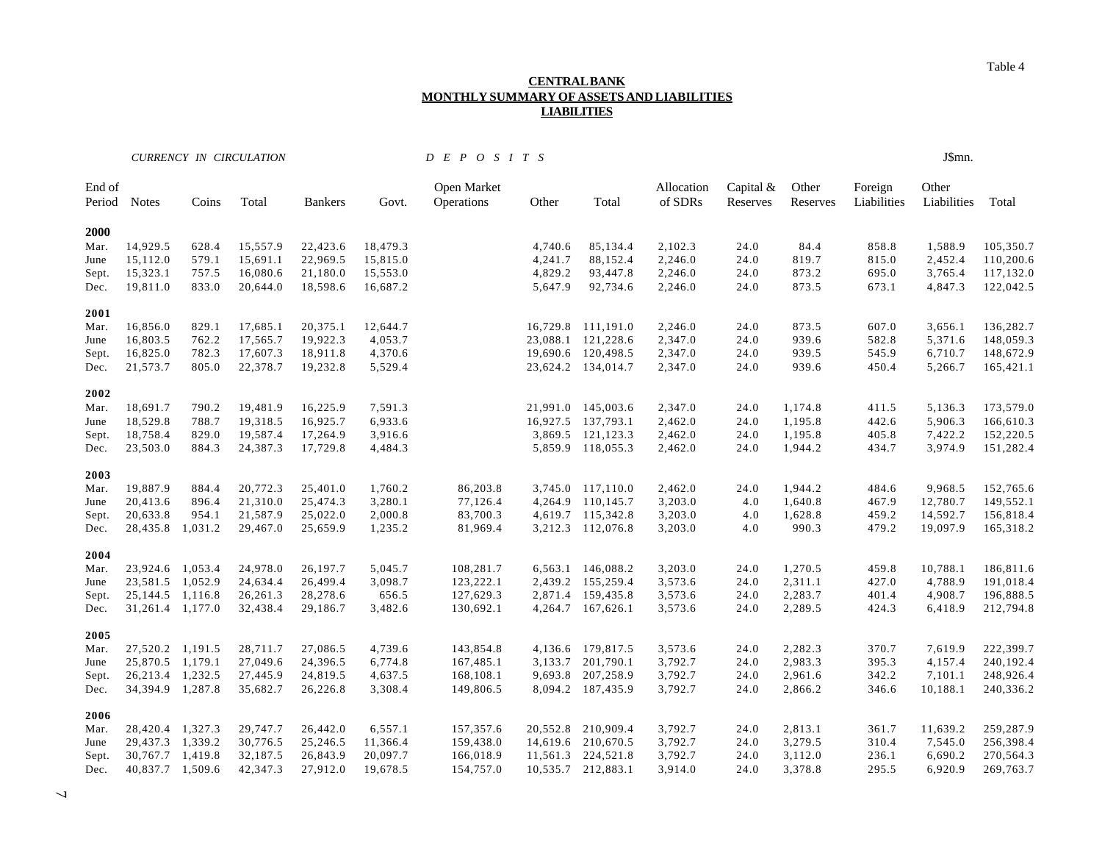#### **CENTRAL BANK MONTHLY SUMMARY OF ASSETS AND LIABILITIES LIABILITIES**

*CURRENCY IN CIRCULATION D E P O S I T S* J\$mn.

| End of<br>Period | <b>Notes</b>         | Coins   | Total    | <b>Bankers</b> | Govt.    | Open Market<br>Operations | Other    | Total              | Allocation<br>of SDRs | Capital $&$<br>Reserves | Other<br>Reserves | Foreign<br>Liabilities | Other<br>Liabilities | Total     |
|------------------|----------------------|---------|----------|----------------|----------|---------------------------|----------|--------------------|-----------------------|-------------------------|-------------------|------------------------|----------------------|-----------|
| 2000             |                      |         |          |                |          |                           |          |                    |                       |                         |                   |                        |                      |           |
| Mar.             | 14,929.5             | 628.4   | 15,557.9 | 22,423.6       | 18,479.3 |                           | 4,740.6  | 85,134.4           | 2,102.3               | 24.0                    | 84.4              | 858.8                  | 1,588.9              | 105,350.7 |
| June             | 15,112.0             | 579.1   | 15,691.1 | 22,969.5       | 15,815.0 |                           | 4,241.7  | 88,152.4           | 2,246.0               | 24.0                    | 819.7             | 815.0                  | 2,452.4              | 110,200.6 |
| Sept.            | 15,323.1             | 757.5   | 16,080.6 | 21,180.0       | 15,553.0 |                           | 4,829.2  | 93,447.8           | 2,246.0               | 24.0                    | 873.2             | 695.0                  | 3,765.4              | 117,132.0 |
| Dec.             | 19,811.0             | 833.0   | 20,644.0 | 18,598.6       | 16,687.2 |                           | 5,647.9  | 92,734.6           | 2,246.0               | 24.0                    | 873.5             | 673.1                  | 4,847.3              | 122,042.5 |
| 2001             |                      |         |          |                |          |                           |          |                    |                       |                         |                   |                        |                      |           |
| Mar.             | 16,856.0             | 829.1   | 17,685.1 | 20,375.1       | 12,644.7 |                           |          | 16,729.8 111,191.0 | 2,246.0               | 24.0                    | 873.5             | 607.0                  | 3,656.1              | 136,282.7 |
| June             | 16,803.5             | 762.2   | 17,565.7 | 19,922.3       | 4,053.7  |                           |          | 23,088.1 121,228.6 | 2,347.0               | 24.0                    | 939.6             | 582.8                  | 5,371.6              | 148,059.3 |
| Sept.            | 16,825.0             | 782.3   | 17,607.3 | 18,911.8       | 4,370.6  |                           | 19,690.6 | 120,498.5          | 2,347.0               | 24.0                    | 939.5             | 545.9                  | 6,710.7              | 148,672.9 |
| Dec.             | 21,573.7             | 805.0   | 22,378.7 | 19,232.8       | 5,529.4  |                           |          | 23,624.2 134,014.7 | 2,347.0               | 24.0                    | 939.6             | 450.4                  | 5,266.7              | 165,421.1 |
| 2002             |                      |         |          |                |          |                           |          |                    |                       |                         |                   |                        |                      |           |
| Mar.             | 18,691.7             | 790.2   | 19,481.9 | 16,225.9       | 7,591.3  |                           |          | 21,991.0 145,003.6 | 2,347.0               | 24.0                    | 1,174.8           | 411.5                  | 5,136.3              | 173,579.0 |
| June             | 18,529.8             | 788.7   | 19,318.5 | 16,925.7       | 6,933.6  |                           |          | 16,927.5 137,793.1 | 2,462.0               | 24.0                    | 1,195.8           | 442.6                  | 5,906.3              | 166,610.3 |
| Sept.            | 18,758.4             | 829.0   | 19,587.4 | 17,264.9       | 3,916.6  |                           |          | 3,869.5 121,123.3  | 2,462.0               | 24.0                    | 1,195.8           | 405.8                  | 7,422.2              | 152,220.5 |
| Dec.             | 23,503.0             | 884.3   | 24,387.3 | 17,729.8       | 4,484.3  |                           |          | 5,859.9 118,055.3  | 2,462.0               | 24.0                    | 1,944.2           | 434.7                  | 3,974.9              | 151,282.4 |
| 2003             |                      |         |          |                |          |                           |          |                    |                       |                         |                   |                        |                      |           |
| Mar.             | 19,887.9             | 884.4   | 20,772.3 | 25,401.0       | 1,760.2  | 86,203.8                  |          | 3,745.0 117,110.0  | 2,462.0               | 24.0                    | 1,944.2           | 484.6                  | 9,968.5              | 152,765.6 |
| June             | 20,413.6             | 896.4   | 21,310.0 | 25,474.3       | 3,280.1  | 77,126.4                  | 4,264.9  | 110,145.7          | 3,203.0               | 4.0                     | 1,640.8           | 467.9                  | 12,780.7             | 149,552.1 |
| Sept.            | 20,633.8             | 954.1   | 21,587.9 | 25,022.0       | 2,000.8  | 83,700.3                  |          | 4,619.7 115,342.8  | 3,203.0               | 4.0                     | 1,628.8           | 459.2                  | 14,592.7             | 156,818.4 |
| Dec.             | 28,435.8             | 1,031.2 | 29,467.0 | 25,659.9       | 1,235.2  | 81,969.4                  |          | 3,212.3 112,076.8  | 3,203.0               | 4.0                     | 990.3             | 479.2                  | 19,097.9             | 165,318.2 |
| 2004             |                      |         |          |                |          |                           |          |                    |                       |                         |                   |                        |                      |           |
| Mar.             | 23,924.6 1,053.4     |         | 24,978.0 | 26,197.7       | 5,045.7  | 108,281.7                 |          | 6,563.1 146,088.2  | 3,203.0               | 24.0                    | 1,270.5           | 459.8                  | 10,788.1             | 186,811.6 |
| June             | 23,581.5             | 1,052.9 | 24,634.4 | 26,499.4       | 3,098.7  | 123,222.1                 |          | 2,439.2 155,259.4  | 3,573.6               | 24.0                    | 2,311.1           | 427.0                  | 4,788.9              | 191,018.4 |
| Sept.            | 25,144.5             | 1,116.8 | 26,261.3 | 28,278.6       | 656.5    | 127,629.3                 |          | 2,871.4 159,435.8  | 3,573.6               | 24.0                    | 2,283.7           | 401.4                  | 4,908.7              | 196,888.5 |
| Dec.             | 31,261.4 1,177.0     |         | 32,438.4 | 29,186.7       | 3,482.6  | 130,692.1                 |          | 4,264.7 167,626.1  | 3,573.6               | 24.0                    | 2,289.5           | 424.3                  | 6,418.9              | 212,794.8 |
| 2005             |                      |         |          |                |          |                           |          |                    |                       |                         |                   |                        |                      |           |
| Mar.             | 27,520.2 1,191.5     |         | 28,711.7 | 27,086.5       | 4,739.6  | 143,854.8                 |          | 4,136.6 179,817.5  | 3,573.6               | 24.0                    | 2,282.3           | 370.7                  | 7,619.9              | 222,399.7 |
| June             | 25,870.5             | 1,179.1 | 27,049.6 | 24,396.5       | 6,774.8  | 167,485.1                 | 3,133.7  | 201,790.1          | 3,792.7               | 24.0                    | 2,983.3           | 395.3                  | 4,157.4              | 240,192.4 |
| Sept.            | 26,213.4             | 1,232.5 | 27,445.9 | 24,819.5       | 4,637.5  | 168,108.1                 | 9,693.8  | 207,258.9          | 3,792.7               | 24.0                    | 2,961.6           | 342.2                  | 7,101.1              | 248,926.4 |
| Dec.             | 34, 394. 9 1, 287. 8 |         | 35,682.7 | 26,226.8       | 3,308.4  | 149,806.5                 |          | 8,094.2 187,435.9  | 3,792.7               | 24.0                    | 2,866.2           | 346.6                  | 10,188.1             | 240,336.2 |
| 2006             |                      |         |          |                |          |                           |          |                    |                       |                         |                   |                        |                      |           |
| Mar.             | 28,420.4             | 1,327.3 | 29,747.7 | 26,442.0       | 6,557.1  | 157,357.6                 | 20,552.8 | 210,909.4          | 3,792.7               | 24.0                    | 2,813.1           | 361.7                  | 11,639.2             | 259,287.9 |
| June             | 29,437.3             | 1,339.2 | 30,776.5 | 25,246.5       | 11,366.4 | 159,438.0                 |          | 14,619.6 210,670.5 | 3,792.7               | 24.0                    | 3,279.5           | 310.4                  | 7,545.0              | 256,398.4 |
| Sept.            | 30,767.7             | 1,419.8 | 32,187.5 | 26,843.9       | 20,097.7 | 166,018.9                 | 11,561.3 | 224,521.8          | 3,792.7               | 24.0                    | 3,112.0           | 236.1                  | 6,690.2              | 270,564.3 |

Dec. 40,837.7 1,509.6 42,347.3 27,912.0 19,678.5 154,757.0 10,535.7 212,883.1 3,914.0 24.0 3,378.8 295.5 6,920.9 269,763.7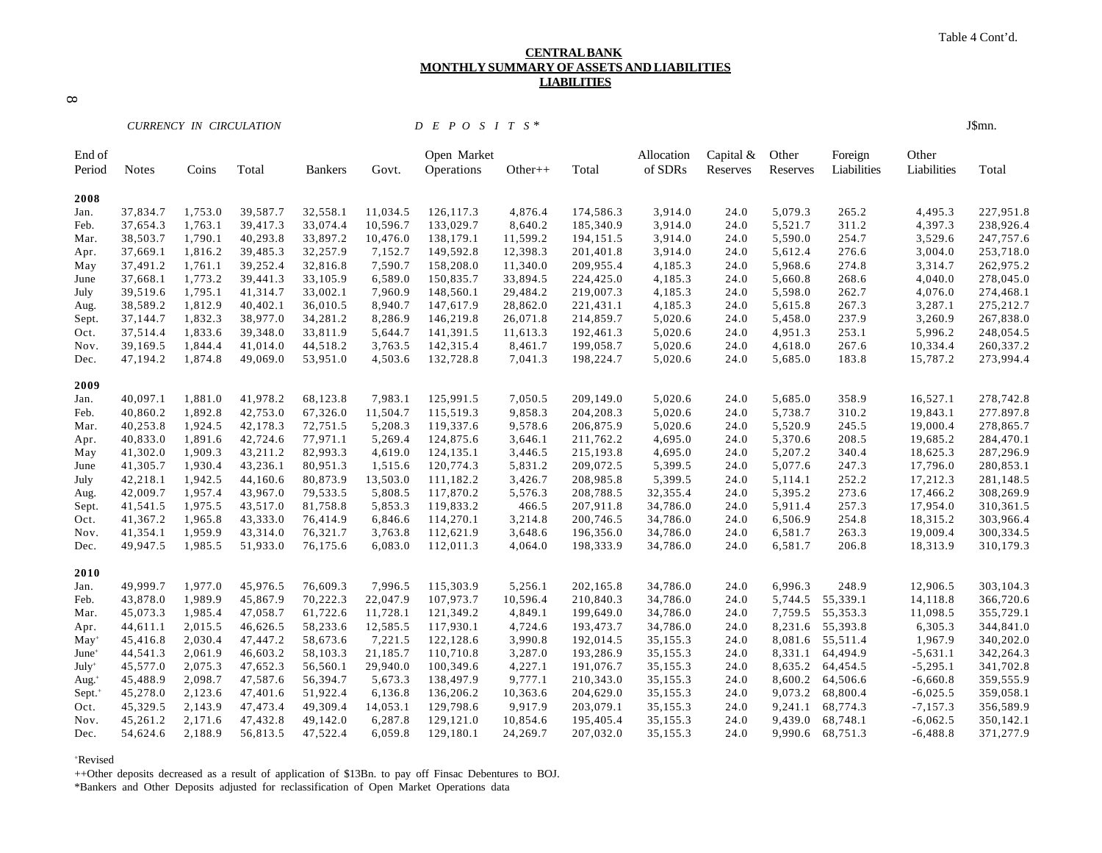#### **CENTRAL BANK MONTHLY SUMMARY OF ASSETS AND LIABILITIES LIABILITIES**

 $\infty$ 

*CURRENCY IN CIRCULATION D E P O S I T S \** J\$mn.

| End of<br>Period     | <b>Notes</b> | Coins   | Total    | <b>Bankers</b> | Govt.    | Open Market<br>Operations | $Other++$ | Total     | Allocation<br>of SDRs | Capital $&$<br>Reserves | Other<br>Reserves | Foreign<br>Liabilities | Other<br>Liabilities | Total     |
|----------------------|--------------|---------|----------|----------------|----------|---------------------------|-----------|-----------|-----------------------|-------------------------|-------------------|------------------------|----------------------|-----------|
|                      |              |         |          |                |          |                           |           |           |                       |                         |                   |                        |                      |           |
| 2008                 |              |         |          |                |          |                           |           |           |                       |                         |                   |                        |                      |           |
| Jan.                 | 37,834.7     | 1,753.0 | 39,587.7 | 32,558.1       | 11,034.5 | 126, 117.3                | 4,876.4   | 174,586.3 | 3,914.0               | 24.0                    | 5,079.3           | 265.2                  | 4,495.3              | 227,951.8 |
| Feb.                 | 37,654.3     | 1,763.1 | 39,417.3 | 33,074.4       | 10,596.7 | 133,029.7                 | 8,640.2   | 185,340.9 | 3,914.0               | 24.0                    | 5,521.7           | 311.2                  | 4,397.3              | 238,926.4 |
| Mar.                 | 38,503.7     | 1,790.1 | 40,293.8 | 33,897.2       | 10,476.0 | 138,179.1                 | 11,599.2  | 194,151.5 | 3,914.0               | 24.0                    | 5,590.0           | 254.7                  | 3,529.6              | 247,757.6 |
| Apr.                 | 37,669.1     | 1,816.2 | 39,485.3 | 32,257.9       | 7,152.7  | 149,592.8                 | 12,398.3  | 201,401.8 | 3,914.0               | 24.0                    | 5,612.4           | 276.6                  | 3,004.0              | 253,718.0 |
| May                  | 37,491.2     | 1,761.1 | 39,252.4 | 32,816.8       | 7,590.7  | 158,208.0                 | 11,340.0  | 209,955.4 | 4,185.3               | 24.0                    | 5,968.6           | 274.8                  | 3,314.7              | 262,975.2 |
| June                 | 37,668.1     | 1,773.2 | 39,441.3 | 33,105.9       | 6,589.0  | 150,835.7                 | 33,894.5  | 224,425.0 | 4,185.3               | 24.0                    | 5,660.8           | 268.6                  | 4,040.0              | 278,045.0 |
| July                 | 39,519.6     | 1,795.1 | 41,314.7 | 33,002.1       | 7,960.9  | 148,560.1                 | 29,484.2  | 219,007.3 | 4,185.3               | 24.0                    | 5,598.0           | 262.7                  | 4,076.0              | 274,468.1 |
| Aug.                 | 38,589.2     | 1,812.9 | 40,402.1 | 36,010.5       | 8,940.7  | 147,617.9                 | 28,862.0  | 221,431.1 | 4,185.3               | 24.0                    | 5,615.8           | 267.3                  | 3,287.1              | 275,212.7 |
| Sept.                | 37,144.7     | 1,832.3 | 38,977.0 | 34,281.2       | 8,286.9  | 146,219.8                 | 26,071.8  | 214,859.7 | 5,020.6               | 24.0                    | 5,458.0           | 237.9                  | 3,260.9              | 267,838.0 |
| Oct.                 | 37,514.4     | 1,833.6 | 39,348.0 | 33,811.9       | 5,644.7  | 141,391.5                 | 11,613.3  | 192,461.3 | 5,020.6               | 24.0                    | 4,951.3           | 253.1                  | 5,996.2              | 248,054.5 |
| Nov.                 | 39,169.5     | 1,844.4 | 41,014.0 | 44,518.2       | 3,763.5  | 142,315.4                 | 8,461.7   | 199,058.7 | 5,020.6               | 24.0                    | 4,618.0           | 267.6                  | 10,334.4             | 260,337.2 |
| Dec.                 | 47,194.2     | 1,874.8 | 49,069.0 | 53,951.0       | 4,503.6  | 132,728.8                 | 7,041.3   | 198,224.7 | 5,020.6               | 24.0                    | 5,685.0           | 183.8                  | 15,787.2             | 273,994.4 |
| 2009                 |              |         |          |                |          |                           |           |           |                       |                         |                   |                        |                      |           |
| Jan.                 | 40,097.1     | 1,881.0 | 41,978.2 | 68,123.8       | 7,983.1  | 125,991.5                 | 7,050.5   | 209,149.0 | 5,020.6               | 24.0                    | 5,685.0           | 358.9                  | 16,527.1             | 278,742.8 |
| Feb.                 | 40,860.2     | 1,892.8 | 42,753.0 | 67,326.0       | 11,504.7 | 115,519.3                 | 9,858.3   | 204,208.3 | 5,020.6               | 24.0                    | 5,738.7           | 310.2                  | 19,843.1             | 277.897.8 |
| Mar.                 | 40,253.8     | 1,924.5 | 42,178.3 | 72,751.5       | 5,208.3  | 119,337.6                 | 9,578.6   | 206,875.9 | 5,020.6               | 24.0                    | 5,520.9           | 245.5                  | 19,000.4             | 278,865.7 |
| Apr.                 | 40,833.0     | 1,891.6 | 42,724.6 | 77,971.1       | 5,269.4  | 124,875.6                 | 3,646.1   | 211,762.2 | 4,695.0               | 24.0                    | 5,370.6           | 208.5                  | 19,685.2             | 284,470.1 |
| May                  | 41,302.0     | 1,909.3 | 43,211.2 | 82,993.3       | 4,619.0  | 124,135.1                 | 3,446.5   | 215,193.8 | 4,695.0               | 24.0                    | 5,207.2           | 340.4                  | 18,625.3             | 287,296.9 |
| June                 | 41,305.7     | 1,930.4 | 43,236.1 | 80,951.3       | 1,515.6  | 120,774.3                 | 5,831.2   | 209,072.5 | 5,399.5               | 24.0                    | 5,077.6           | 247.3                  | 17,796.0             | 280,853.1 |
| July                 | 42,218.1     | 1,942.5 | 44,160.6 | 80,873.9       | 13,503.0 | 111,182.2                 | 3,426.7   | 208,985.8 | 5,399.5               | 24.0                    | 5,114.1           | 252.2                  | 17,212.3             | 281,148.5 |
| Aug.                 | 42,009.7     | 1,957.4 | 43,967.0 | 79,533.5       | 5,808.5  | 117,870.2                 | 5,576.3   | 208,788.5 | 32,355.4              | 24.0                    | 5,395.2           | 273.6                  | 17,466.2             | 308,269.9 |
| Sept.                | 41,541.5     | 1,975.5 | 43,517.0 | 81,758.8       | 5,853.3  | 119,833.2                 | 466.5     | 207,911.8 | 34,786.0              | 24.0                    | 5,911.4           | 257.3                  | 17,954.0             | 310,361.5 |
| Oct.                 | 41,367.2     | 1,965.8 | 43,333.0 | 76,414.9       | 6,846.6  | 114,270.1                 | 3,214.8   | 200,746.5 | 34,786.0              | 24.0                    | 6,506.9           | 254.8                  | 18,315.2             | 303,966.4 |
| Nov.                 | 41,354.1     | 1,959.9 | 43,314.0 | 76,321.7       | 3,763.8  | 112,621.9                 | 3,648.6   | 196,356.0 | 34,786.0              | 24.0                    | 6,581.7           | 263.3                  | 19,009.4             | 300,334.5 |
| Dec.                 | 49,947.5     | 1,985.5 | 51,933.0 | 76,175.6       | 6,083.0  | 112,011.3                 | 4,064.0   | 198,333.9 | 34,786.0              | 24.0                    | 6,581.7           | 206.8                  | 18,313.9             | 310,179.3 |
| 2010                 |              |         |          |                |          |                           |           |           |                       |                         |                   |                        |                      |           |
| Jan.                 | 49,999.7     | 1,977.0 | 45,976.5 | 76,609.3       | 7,996.5  | 115,303.9                 | 5,256.1   | 202,165.8 | 34,786.0              | 24.0                    | 6,996.3           | 248.9                  | 12,906.5             | 303,104.3 |
| Feb.                 | 43,878.0     | 1,989.9 | 45,867.9 | 70,222.3       | 22,047.9 | 107,973.7                 | 10,596.4  | 210,840.3 | 34,786.0              | 24.0                    | 5,744.5           | 55,339.1               | 14,118.8             | 366,720.6 |
| Mar.                 | 45,073.3     | 1,985.4 | 47,058.7 | 61,722.6       | 11,728.1 | 121,349.2                 | 4,849.1   | 199,649.0 | 34,786.0              | 24.0                    | 7,759.5           | 55,353.3               | 11,098.5             | 355,729.1 |
| Apr.                 | 44,611.1     | 2,015.5 | 46,626.5 | 58,233.6       | 12,585.5 | 117,930.1                 | 4,724.6   | 193,473.7 | 34,786.0              | 24.0                    | 8,231.6           | 55,393.8               | 6,305.3              | 344,841.0 |
| $May+$               | 45,416.8     | 2,030.4 | 47,447.2 | 58,673.6       | 7,221.5  | 122,128.6                 | 3,990.8   | 192,014.5 | 35,155.3              | 24.0                    | 8,081.6           | 55,511.4               | 1,967.9              | 340,202.0 |
| $June+$              | 44,541.3     | 2,061.9 | 46,603.2 | 58,103.3       | 21,185.7 | 110,710.8                 | 3,287.0   | 193,286.9 | 35,155.3              | 24.0                    | 8,331.1           | 64,494.9               | $-5,631.1$           | 342,264.3 |
| July <sup>+</sup>    | 45,577.0     | 2,075.3 | 47,652.3 | 56,560.1       | 29,940.0 | 100,349.6                 | 4,227.1   | 191,076.7 | 35,155.3              | 24.0                    | 8,635.2           | 64,454.5               | $-5,295.1$           | 341,702.8 |
| Aug. $+$             | 45,488.9     | 2,098.7 | 47,587.6 | 56,394.7       | 5,673.3  | 138,497.9                 | 9,777.1   | 210,343.0 | 35,155.3              | 24.0                    | 8,600.2           | 64,506.6               | $-6,660.8$           | 359,555.9 |
| $Sept.$ <sup>+</sup> | 45,278.0     | 2,123.6 | 47,401.6 | 51,922.4       | 6,136.8  | 136,206.2                 | 10,363.6  | 204,629.0 | 35,155.3              | 24.0                    | 9,073.2           | 68,800.4               | $-6,025.5$           | 359,058.1 |
| Oct.                 | 45,329.5     | 2,143.9 | 47,473.4 | 49,309.4       | 14,053.1 | 129,798.6                 | 9,917.9   | 203,079.1 | 35,155.3              | 24.0                    | 9,241.1           | 68,774.3               | $-7,157.3$           | 356,589.9 |
| Nov.                 | 45,261.2     | 2,171.6 | 47,432.8 | 49,142.0       | 6,287.8  | 129,121.0                 | 10,854.6  | 195,405.4 | 35,155.3              | 24.0                    | 9,439.0           | 68,748.1               | $-6,062.5$           | 350,142.1 |
| Dec.                 | 54,624.6     | 2,188.9 | 56,813.5 | 47,522.4       | 6,059.8  | 129,180.1                 | 24,269.7  | 207,032.0 | 35,155.3              | 24.0                    | 9,990.6           | 68,751.3               | $-6,488.8$           | 371,277.9 |
|                      |              |         |          |                |          |                           |           |           |                       |                         |                   |                        |                      |           |

+Revised

++Other deposits decreased as a result of application of \$13Bn. to pay off Finsac Debentures to BOJ.

\*Bankers and Other Deposits adjusted for reclassification of Open Market Operations data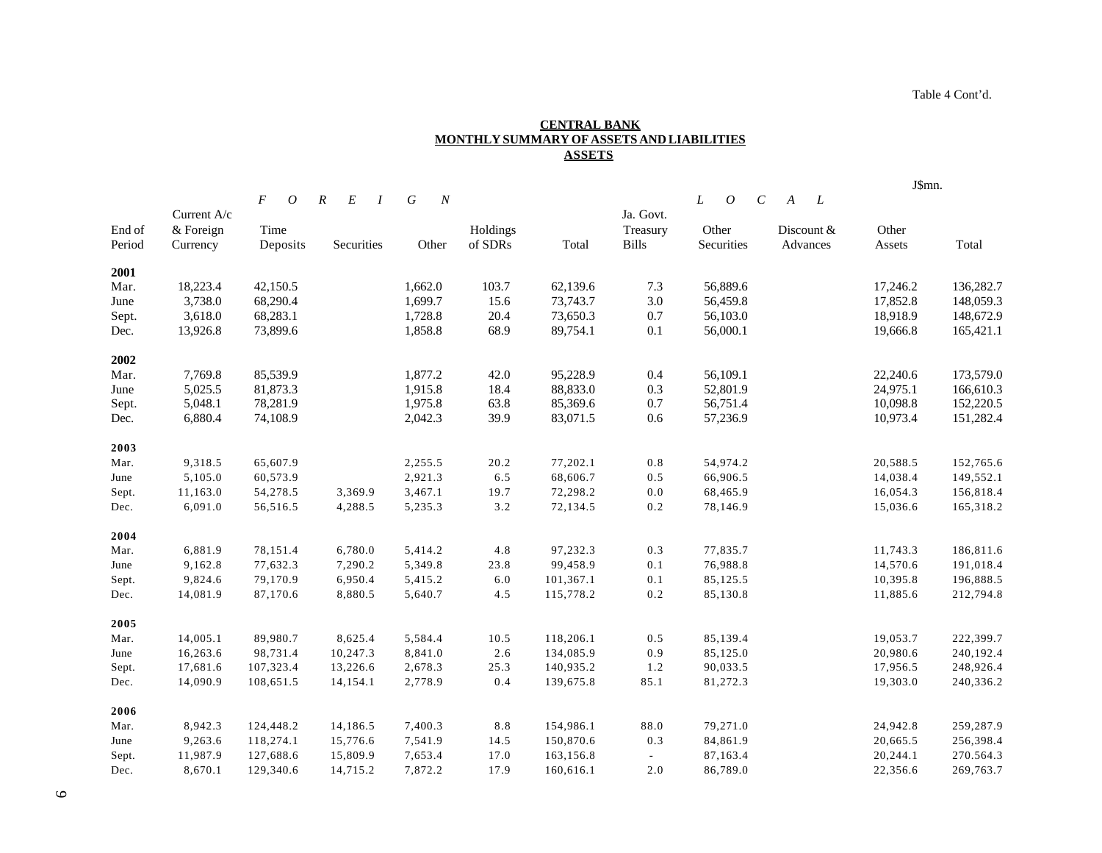Table 4 Cont'd.

#### **CENTRAL BANK MONTHLY SUMMARY OF ASSETS AND LIABILITIES ASSETS**

|        |             |                                  |                                    |                     |          |           |                          |                                            |                     | J\$mn.   |           |  |
|--------|-------------|----------------------------------|------------------------------------|---------------------|----------|-----------|--------------------------|--------------------------------------------|---------------------|----------|-----------|--|
|        |             | $\overline{F}$<br>$\overline{O}$ | $E_{\rm}$<br>$\boldsymbol{R}$<br>I | G<br>$\overline{N}$ |          |           |                          | L<br>$\boldsymbol{O}$<br>$\mathcal{C}_{0}$ | $\overline{L}$<br>A |          |           |  |
|        | Current A/c |                                  |                                    |                     |          |           | Ja. Govt.                |                                            |                     |          |           |  |
| End of | & Foreign   | Time                             |                                    |                     | Holdings |           | Treasury                 | Other                                      | Discount &          | Other    |           |  |
| Period | Currency    | Deposits                         | Securities                         | Other               | of SDRs  | Total     | <b>Bills</b>             | Securities                                 | Advances            | Assets   | Total     |  |
| 2001   |             |                                  |                                    |                     |          |           |                          |                                            |                     |          |           |  |
| Mar.   | 18,223.4    | 42,150.5                         |                                    | 1,662.0             | 103.7    | 62,139.6  | 7.3                      | 56,889.6                                   |                     | 17,246.2 | 136,282.7 |  |
| June   | 3,738.0     | 68,290.4                         |                                    | 1,699.7             | 15.6     | 73,743.7  | 3.0                      | 56,459.8                                   |                     | 17,852.8 | 148,059.3 |  |
| Sept.  | 3,618.0     | 68,283.1                         |                                    | 1,728.8             | 20.4     | 73,650.3  | 0.7                      | 56,103.0                                   |                     | 18,918.9 | 148,672.9 |  |
| Dec.   | 13,926.8    | 73,899.6                         |                                    | 1,858.8             | 68.9     | 89,754.1  | 0.1                      | 56,000.1                                   |                     | 19,666.8 | 165,421.1 |  |
| 2002   |             |                                  |                                    |                     |          |           |                          |                                            |                     |          |           |  |
| Mar.   | 7,769.8     | 85,539.9                         |                                    | 1,877.2             | 42.0     | 95,228.9  | 0.4                      | 56,109.1                                   |                     | 22,240.6 | 173,579.0 |  |
| June   | 5,025.5     | 81,873.3                         |                                    | 1,915.8             | 18.4     | 88,833.0  | 0.3                      | 52,801.9                                   |                     | 24,975.1 | 166,610.3 |  |
| Sept.  | 5,048.1     | 78,281.9                         |                                    | 1,975.8             | 63.8     | 85,369.6  | 0.7                      | 56,751.4                                   |                     | 10,098.8 | 152,220.5 |  |
| Dec.   | 6,880.4     | 74,108.9                         |                                    | 2,042.3             | 39.9     | 83,071.5  | 0.6                      | 57,236.9                                   |                     | 10,973.4 | 151,282.4 |  |
| 2003   |             |                                  |                                    |                     |          |           |                          |                                            |                     |          |           |  |
| Mar.   | 9,318.5     | 65,607.9                         |                                    | 2,255.5             | 20.2     | 77,202.1  | 0.8                      | 54,974.2                                   |                     | 20,588.5 | 152,765.6 |  |
| June   | 5,105.0     | 60,573.9                         |                                    | 2,921.3             | $6.5\,$  | 68,606.7  | 0.5                      | 66,906.5                                   |                     | 14,038.4 | 149,552.1 |  |
| Sept.  | 11,163.0    | 54,278.5                         | 3,369.9                            | 3,467.1             | 19.7     | 72,298.2  | 0.0                      | 68,465.9                                   |                     | 16,054.3 | 156,818.4 |  |
| Dec.   | 6,091.0     | 56,516.5                         | 4,288.5                            | 5,235.3             | 3.2      | 72,134.5  | 0.2                      | 78,146.9                                   |                     | 15,036.6 | 165,318.2 |  |
| 2004   |             |                                  |                                    |                     |          |           |                          |                                            |                     |          |           |  |
| Mar.   | 6,881.9     | 78,151.4                         | 6,780.0                            | 5,414.2             | $4.8\,$  | 97,232.3  | 0.3                      | 77,835.7                                   |                     | 11,743.3 | 186,811.6 |  |
| June   | 9,162.8     | 77,632.3                         | 7,290.2                            | 5,349.8             | 23.8     | 99,458.9  | 0.1                      | 76,988.8                                   |                     | 14,570.6 | 191,018.4 |  |
| Sept.  | 9,824.6     | 79,170.9                         | 6,950.4                            | 5,415.2             | 6.0      | 101,367.1 | 0.1                      | 85,125.5                                   |                     | 10,395.8 | 196,888.5 |  |
| Dec.   | 14,081.9    | 87,170.6                         | 8,880.5                            | 5,640.7             | 4.5      | 115,778.2 | 0.2                      | 85,130.8                                   |                     | 11,885.6 | 212,794.8 |  |
| 2005   |             |                                  |                                    |                     |          |           |                          |                                            |                     |          |           |  |
| Mar.   | 14,005.1    | 89,980.7                         | 8,625.4                            | 5,584.4             | 10.5     | 118,206.1 | 0.5                      | 85,139.4                                   |                     | 19,053.7 | 222,399.7 |  |
| June   | 16,263.6    | 98,731.4                         | 10,247.3                           | 8,841.0             | 2.6      | 134,085.9 | 0.9                      | 85,125.0                                   |                     | 20,980.6 | 240,192.4 |  |
| Sept.  | 17,681.6    | 107,323.4                        | 13,226.6                           | 2,678.3             | 25.3     | 140,935.2 | 1.2                      | 90,033.5                                   |                     | 17,956.5 | 248,926.4 |  |
| Dec.   | 14,090.9    | 108,651.5                        | 14,154.1                           | 2,778.9             | 0.4      | 139,675.8 | 85.1                     | 81,272.3                                   |                     | 19,303.0 | 240,336.2 |  |
| 2006   |             |                                  |                                    |                     |          |           |                          |                                            |                     |          |           |  |
| Mar.   | 8,942.3     | 124,448.2                        | 14,186.5                           | 7,400.3             | $8.8\,$  | 154,986.1 | 88.0                     | 79,271.0                                   |                     | 24,942.8 | 259,287.9 |  |
| June   | 9,263.6     | 118,274.1                        | 15,776.6                           | 7,541.9             | 14.5     | 150,870.6 | 0.3                      | 84,861.9                                   |                     | 20,665.5 | 256,398.4 |  |
| Sept.  | 11,987.9    | 127,688.6                        | 15,809.9                           | 7,653.4             | 17.0     | 163,156.8 | $\overline{\phantom{a}}$ | 87,163.4                                   |                     | 20,244.1 | 270.564.3 |  |
| Dec.   | 8,670.1     | 129,340.6                        | 14,715.2                           | 7,872.2             | 17.9     | 160,616.1 | 2.0                      | 86,789.0                                   |                     | 22,356.6 | 269,763.7 |  |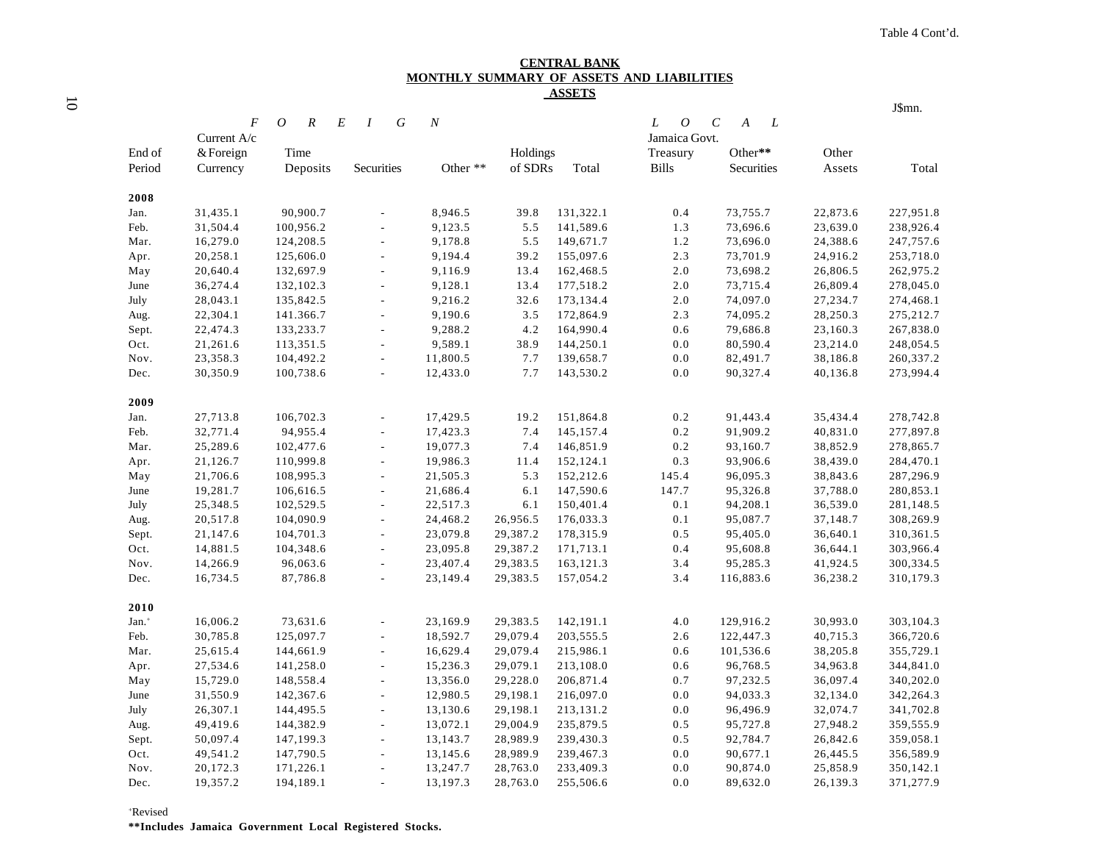#### **CENTRAL BANK MONTHLY SUMMARY OF ASSETS AND LIABILITIES ASSETS**

|                   |             |                                    |                            |                  |          |           |                       |                                       |          | J\$mn.    |
|-------------------|-------------|------------------------------------|----------------------------|------------------|----------|-----------|-----------------------|---------------------------------------|----------|-----------|
|                   | F           | $\boldsymbol{R}$<br>$\overline{O}$ | G<br>E<br>$\boldsymbol{I}$ | $\boldsymbol{N}$ |          |           | L<br>$\boldsymbol{O}$ | $\mathcal C$<br>$\boldsymbol{A}$<br>L |          |           |
|                   | Current A/c |                                    |                            |                  |          |           | Jamaica Govt.         |                                       |          |           |
| End of            | & Foreign   | Time                               |                            |                  | Holdings |           | Treasury              | Other**                               | Other    |           |
| Period            | Currency    | Deposits                           | Securities                 | Other **         | of SDRs  | Total     | <b>Bills</b>          | Securities                            | Assets   | Total     |
| 2008              |             |                                    |                            |                  |          |           |                       |                                       |          |           |
| Jan.              | 31,435.1    | 90,900.7                           |                            | 8,946.5          | 39.8     | 131,322.1 | 0.4                   | 73,755.7                              | 22,873.6 | 227,951.8 |
| Feb.              | 31,504.4    | 100,956.2                          | $\frac{1}{2}$              | 9,123.5          | 5.5      | 141,589.6 | 1.3                   | 73,696.6                              | 23,639.0 | 238,926.4 |
| Mar.              | 16,279.0    | 124,208.5                          | ÷,                         | 9,178.8          | 5.5      | 149,671.7 | 1.2                   | 73,696.0                              | 24,388.6 | 247,757.6 |
| Apr.              | 20,258.1    | 125,606.0                          | $\overline{a}$             | 9,194.4          | 39.2     | 155,097.6 | 2.3                   | 73,701.9                              | 24,916.2 | 253,718.0 |
| May               | 20,640.4    | 132,697.9                          | $\overline{a}$             | 9,116.9          | 13.4     | 162,468.5 | 2.0                   | 73,698.2                              | 26,806.5 | 262,975.2 |
| June              | 36,274.4    | 132,102.3                          | $\overline{\phantom{a}}$   | 9,128.1          | 13.4     | 177,518.2 | 2.0                   | 73,715.4                              | 26,809.4 | 278,045.0 |
| July              | 28,043.1    | 135,842.5                          | L.                         | 9,216.2          | 32.6     | 173,134.4 | 2.0                   | 74,097.0                              | 27,234.7 | 274,468.1 |
| Aug.              | 22,304.1    | 141.366.7                          | ÷,                         | 9,190.6          | 3.5      | 172,864.9 | 2.3                   | 74,095.2                              | 28,250.3 | 275,212.7 |
| Sept.             | 22,474.3    | 133,233.7                          |                            | 9,288.2          | 4.2      | 164,990.4 | 0.6                   | 79,686.8                              | 23,160.3 | 267,838.0 |
| Oct.              | 21,261.6    | 113,351.5                          | $\overline{\phantom{a}}$   | 9,589.1          | 38.9     | 144,250.1 | 0.0                   | 80,590.4                              | 23,214.0 | 248,054.5 |
| Nov.              | 23,358.3    | 104,492.2                          | $\overline{\phantom{a}}$   | 11,800.5         | 7.7      | 139,658.7 | 0.0                   | 82,491.7                              | 38,186.8 | 260,337.2 |
| Dec.              | 30,350.9    | 100,738.6                          | $\blacksquare$             | 12,433.0         | 7.7      | 143,530.2 | 0.0                   | 90,327.4                              | 40,136.8 | 273,994.4 |
| 2009              |             |                                    |                            |                  |          |           |                       |                                       |          |           |
| Jan.              | 27,713.8    | 106,702.3                          |                            | 17,429.5         | 19.2     | 151,864.8 | $0.2\,$               | 91,443.4                              | 35,434.4 | 278,742.8 |
| Feb.              | 32,771.4    | 94,955.4                           | $\overline{\phantom{a}}$   | 17,423.3         | 7.4      | 145,157.4 | 0.2                   | 91,909.2                              | 40,831.0 | 277,897.8 |
| Mar.              | 25,289.6    | 102,477.6                          | ÷,                         | 19,077.3         | 7.4      | 146,851.9 | 0.2                   | 93,160.7                              | 38,852.9 | 278,865.7 |
| Apr.              | 21,126.7    | 110,999.8                          | $\overline{a}$             | 19,986.3         | 11.4     | 152,124.1 | 0.3                   | 93,906.6                              | 38,439.0 | 284,470.1 |
| May               | 21,706.6    | 108,995.3                          | $\frac{1}{2}$              | 21,505.3         | 5.3      | 152,212.6 | 145.4                 | 96,095.3                              | 38,843.6 | 287,296.9 |
| June              | 19,281.7    | 106,616.5                          | $\overline{\phantom{a}}$   | 21,686.4         | 6.1      | 147,590.6 | 147.7                 | 95,326.8                              | 37,788.0 | 280,853.1 |
| July              | 25,348.5    | 102,529.5                          | $\overline{a}$             | 22,517.3         | 6.1      | 150,401.4 | 0.1                   | 94,208.1                              | 36,539.0 | 281,148.5 |
| Aug.              | 20,517.8    | 104,090.9                          | $\overline{\phantom{a}}$   | 24,468.2         | 26,956.5 | 176,033.3 | 0.1                   | 95,087.7                              | 37,148.7 | 308,269.9 |
| Sept.             | 21,147.6    | 104,701.3                          | $\overline{\phantom{a}}$   | 23,079.8         | 29,387.2 | 178,315.9 | 0.5                   | 95,405.0                              | 36,640.1 | 310,361.5 |
| Oct.              | 14,881.5    | 104,348.6                          | $\frac{1}{2}$              | 23,095.8         | 29,387.2 | 171,713.1 | 0.4                   | 95,608.8                              | 36,644.1 | 303,966.4 |
| Nov.              | 14,266.9    | 96,063.6                           | $\overline{\phantom{a}}$   | 23,407.4         | 29,383.5 | 163,121.3 | 3.4                   | 95,285.3                              | 41,924.5 | 300,334.5 |
| Dec.              | 16,734.5    | 87,786.8                           | $\overline{a}$             | 23,149.4         | 29,383.5 | 157,054.2 | 3.4                   | 116,883.6                             | 36,238.2 | 310,179.3 |
| 2010              |             |                                    |                            |                  |          |           |                       |                                       |          |           |
| Jan. <sup>+</sup> | 16,006.2    | 73,631.6                           |                            | 23,169.9         | 29,383.5 | 142,191.1 | 4.0                   | 129,916.2                             | 30,993.0 | 303,104.3 |
| Feb.              | 30,785.8    | 125,097.7                          | $\overline{\phantom{a}}$   | 18,592.7         | 29,079.4 | 203,555.5 | 2.6                   | 122,447.3                             | 40,715.3 | 366,720.6 |
| Mar.              | 25,615.4    | 144,661.9                          | ÷,                         | 16,629.4         | 29,079.4 | 215,986.1 | 0.6                   | 101,536.6                             | 38,205.8 | 355,729.1 |
| Apr.              | 27,534.6    | 141,258.0                          | $\overline{\phantom{a}}$   | 15,236.3         | 29,079.1 | 213,108.0 | 0.6                   | 96,768.5                              | 34,963.8 | 344,841.0 |
| May               | 15,729.0    | 148,558.4                          | $\overline{\phantom{a}}$   | 13,356.0         | 29,228.0 | 206,871.4 | 0.7                   | 97,232.5                              | 36,097.4 | 340,202.0 |
| June              | 31,550.9    | 142,367.6                          | $\overline{\phantom{a}}$   | 12,980.5         | 29,198.1 | 216,097.0 | 0.0                   | 94,033.3                              | 32,134.0 | 342,264.3 |
| July              | 26,307.1    | 144,495.5                          | $\overline{\phantom{a}}$   | 13,130.6         | 29,198.1 | 213,131.2 | 0.0                   | 96,496.9                              | 32,074.7 | 341,702.8 |
| Aug.              | 49,419.6    | 144,382.9                          | $\frac{1}{2}$              | 13,072.1         | 29,004.9 | 235,879.5 | 0.5                   | 95,727.8                              | 27,948.2 | 359,555.9 |
| Sept.             | 50,097.4    | 147,199.3                          | $\blacksquare$             | 13,143.7         | 28,989.9 | 239,430.3 | 0.5                   | 92,784.7                              | 26,842.6 | 359,058.1 |
| Oct.              | 49,541.2    | 147,790.5                          |                            | 13,145.6         | 28,989.9 | 239,467.3 | 0.0                   | 90,677.1                              | 26,445.5 | 356,589.9 |
| Nov.              | 20,172.3    | 171,226.1                          | $\blacksquare$             | 13,247.7         | 28,763.0 | 233,409.3 | 0.0                   | 90,874.0                              | 25,858.9 | 350,142.1 |
| Dec.              | 19,357.2    | 194,189.1                          | $\overline{\phantom{a}}$   | 13,197.3         | 28,763.0 | 255,506.6 | 0.0                   | 89,632.0                              | 26,139.3 | 371,277.9 |
|                   |             |                                    |                            |                  |          |           |                       |                                       |          |           |

+Revised

**\*\*Includes Jamaica Government Local Registered Stocks.**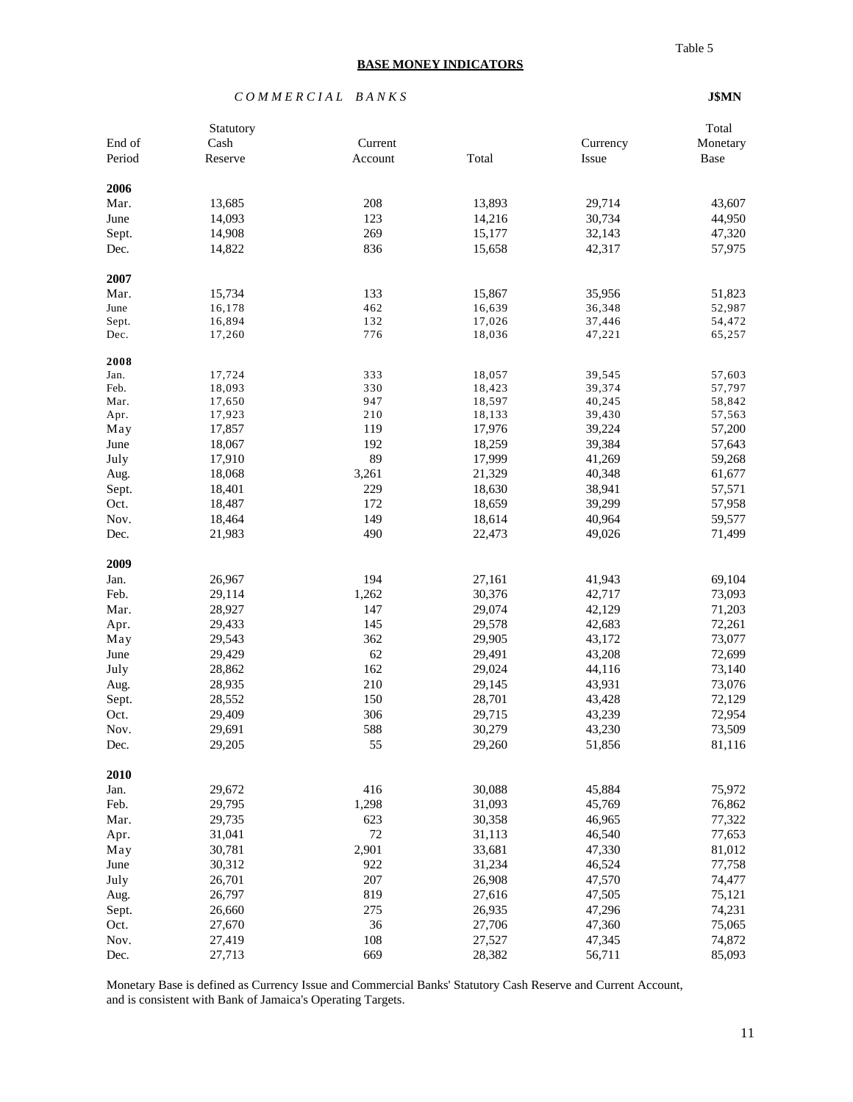#### *C O M M E R C I A L B A N K S* **J\$MN**

|             | Statutory |         |        |          | Total    |
|-------------|-----------|---------|--------|----------|----------|
| End of      | Cash      | Current |        | Currency | Monetary |
| Period      | Reserve   | Account | Total  | Issue    | Base     |
|             |           |         |        |          |          |
| 2006        |           |         |        |          |          |
| Mar.        | 13,685    | 208     | 13,893 | 29,714   | 43,607   |
| June        | 14,093    | 123     | 14,216 | 30,734   | 44,950   |
| Sept.       | 14,908    | 269     | 15,177 | 32,143   | 47,320   |
| Dec.        | 14,822    | 836     | 15,658 | 42,317   | 57,975   |
| 2007        |           |         |        |          |          |
| Mar.        | 15,734    | 133     | 15,867 | 35,956   | 51,823   |
| June        | 16,178    | 462     | 16,639 | 36,348   | 52,987   |
| Sept.       | 16,894    | 132     | 17,026 | 37,446   | 54,472   |
| Dec.        | 17,260    | 776     | 18,036 | 47,221   | 65,257   |
| 2008        |           |         |        |          |          |
| Jan.        | 17,724    | 333     | 18,057 | 39,545   | 57,603   |
| Feb.        | 18,093    | 330     | 18,423 | 39,374   | 57,797   |
| Mar.        | 17,650    | 947     | 18,597 | 40,245   | 58,842   |
| Apr.        | 17,923    | 210     | 18,133 | 39,430   | 57,563   |
| May         | 17,857    | 119     | 17,976 | 39,224   | 57,200   |
| June        | 18,067    | 192     | 18,259 | 39,384   | 57,643   |
| July        | 17,910    | 89      | 17,999 | 41,269   | 59,268   |
| Aug.        | 18,068    | 3,261   | 21,329 | 40,348   | 61,677   |
| Sept.       | 18,401    | 229     | 18,630 | 38,941   | 57,571   |
| Oct.        | 18,487    | 172     | 18,659 | 39,299   | 57,958   |
| Nov.        | 18,464    | 149     | 18,614 | 40,964   | 59,577   |
| Dec.        | 21,983    | 490     | 22,473 | 49,026   | 71,499   |
| 2009        |           |         |        |          |          |
|             | 26,967    | 194     |        |          | 69,104   |
| Jan.        |           |         | 27,161 | 41,943   |          |
| Feb.        | 29,114    | 1,262   | 30,376 | 42,717   | 73,093   |
| Mar.        | 28,927    | 147     | 29,074 | 42,129   | 71,203   |
| Apr.        | 29,433    | 145     | 29,578 | 42,683   | 72,261   |
| May         | 29,543    | 362     | 29,905 | 43,172   | 73,077   |
| June        | 29,429    | 62      | 29,491 | 43,208   | 72,699   |
| July        | 28,862    | 162     | 29,024 | 44,116   | 73,140   |
| Aug.        | 28,935    | 210     | 29,145 | 43,931   | 73,076   |
| Sept.       | 28,552    | 150     | 28,701 | 43,428   | 72,129   |
| Oct.        | 29,409    | 306     | 29,715 | 43,239   | 72,954   |
| Nov.        | 29,691    | 588     | 30,279 | 43,230   | 73,509   |
| Dec.        | 29,205    | 55      | 29,260 | 51,856   | 81,116   |
| 2010        |           |         |        |          |          |
| Jan.        | 29,672    | 416     | 30,088 | 45,884   | 75,972   |
| Feb.        | 29,795    | 1,298   | 31,093 | 45,769   | 76,862   |
| Mar.        | 29,735    | 623     | 30,358 | 46,965   | 77,322   |
| Apr.        | 31,041    | 72      | 31,113 | 46,540   | 77,653   |
|             | 30,781    | 2,901   | 33,681 | 47,330   | 81,012   |
| May<br>June | 30,312    | 922     | 31,234 | 46,524   | 77,758   |
|             |           |         |        |          |          |
| July        | 26,701    | 207     | 26,908 | 47,570   | 74,477   |
| Aug.        | 26,797    | 819     | 27,616 | 47,505   | 75,121   |
| Sept.       | 26,660    | 275     | 26,935 | 47,296   | 74,231   |
| Oct.        | 27,670    | 36      | 27,706 | 47,360   | 75,065   |
| Nov.        | 27,419    | 108     | 27,527 | 47,345   | 74,872   |
| Dec.        | 27,713    | 669     | 28,382 | 56,711   | 85,093   |

Monetary Base is defined as Currency Issue and Commercial Banks' Statutory Cash Reserve and Current Account, and is consistent with Bank of Jamaica's Operating Targets.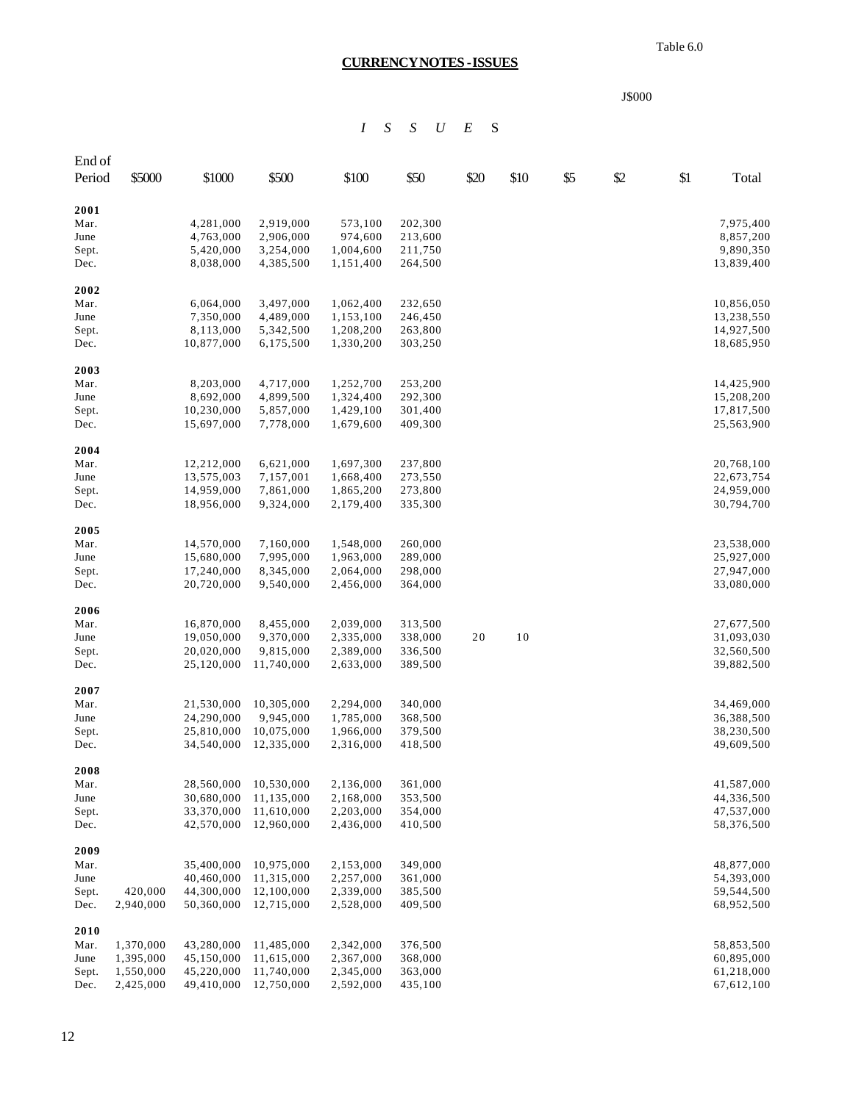Table 6.0

# **CURRENCY NOTES - ISSUES**

| J.<br>SOO( |
|------------|
|------------|

# *I S S U E* S

| End of        |           |                          |                          |                        |                    |      |      |     |     |     |                          |
|---------------|-----------|--------------------------|--------------------------|------------------------|--------------------|------|------|-----|-----|-----|--------------------------|
| Period        | \$5000    | \$1000                   | \$500                    | \$100                  | \$50               | \$20 | \$10 | \$5 | \$2 | \$1 | Total                    |
| 2001          |           |                          |                          |                        |                    |      |      |     |     |     |                          |
| Mar.          |           | 4,281,000                | 2,919,000                | 573,100                | 202,300            |      |      |     |     |     | 7,975,400                |
| June          |           | 4,763,000                | 2,906,000                | 974,600                | 213,600            |      |      |     |     |     | 8,857,200                |
| Sept.         |           | 5,420,000                | 3,254,000                | 1,004,600              | 211,750            |      |      |     |     |     | 9,890,350                |
| Dec.          |           | 8,038,000                | 4,385,500                | 1,151,400              | 264,500            |      |      |     |     |     | 13,839,400               |
| 2002<br>Mar.  |           | 6,064,000                | 3,497,000                | 1,062,400              | 232,650            |      |      |     |     |     | 10,856,050               |
| June          |           | 7,350,000                | 4,489,000                | 1,153,100              | 246,450            |      |      |     |     |     | 13,238,550               |
| Sept.         |           | 8,113,000                | 5,342,500                | 1,208,200              | 263,800            |      |      |     |     |     | 14,927,500               |
| Dec.          |           | 10,877,000               | 6,175,500                | 1,330,200              | 303,250            |      |      |     |     |     | 18,685,950               |
| 2003          |           |                          |                          |                        |                    |      |      |     |     |     |                          |
| Mar.          |           | 8,203,000                | 4,717,000                | 1,252,700              | 253,200            |      |      |     |     |     | 14,425,900               |
| June          |           | 8,692,000                | 4,899,500                | 1,324,400              | 292,300            |      |      |     |     |     | 15,208,200               |
| Sept.         |           | 10,230,000               | 5,857,000                | 1,429,100              | 301,400            |      |      |     |     |     | 17,817,500               |
| Dec.          |           | 15,697,000               | 7,778,000                | 1,679,600              | 409,300            |      |      |     |     |     | 25,563,900               |
| 2004          |           |                          |                          |                        |                    |      |      |     |     |     |                          |
| Mar.          |           | 12,212,000               | 6,621,000                | 1,697,300              | 237,800            |      |      |     |     |     | 20,768,100               |
| June<br>Sept. |           | 13,575,003<br>14,959,000 | 7,157,001<br>7,861,000   | 1,668,400<br>1,865,200 | 273,550<br>273,800 |      |      |     |     |     | 22,673,754<br>24,959,000 |
| Dec.          |           | 18,956,000               | 9,324,000                | 2,179,400              | 335,300            |      |      |     |     |     | 30,794,700               |
| 2005          |           |                          |                          |                        |                    |      |      |     |     |     |                          |
| Mar.          |           | 14,570,000               | 7,160,000                | 1,548,000              | 260,000            |      |      |     |     |     | 23,538,000               |
| June          |           | 15,680,000               | 7,995,000                | 1,963,000              | 289,000            |      |      |     |     |     | 25,927,000               |
| Sept.         |           | 17,240,000               | 8,345,000                | 2,064,000              | 298,000            |      |      |     |     |     | 27,947,000               |
| Dec.          |           | 20,720,000               | 9,540,000                | 2,456,000              | 364,000            |      |      |     |     |     | 33,080,000               |
| 2006          |           |                          |                          |                        |                    |      |      |     |     |     |                          |
| Mar.          |           | 16,870,000               | 8,455,000                | 2,039,000              | 313,500            | 20   | 10   |     |     |     | 27,677,500               |
| June          |           | 19,050,000<br>20,020,000 | 9,370,000<br>9,815,000   | 2,335,000<br>2,389,000 | 338,000<br>336,500 |      |      |     |     |     | 31,093,030<br>32,560,500 |
| Sept.<br>Dec. |           | 25,120,000               | 11,740,000               | 2,633,000              | 389,500            |      |      |     |     |     | 39,882,500               |
| 2007          |           |                          |                          |                        |                    |      |      |     |     |     |                          |
| Mar.          |           | 21,530,000               | 10,305,000               | 2,294,000              | 340,000            |      |      |     |     |     | 34,469,000               |
| June          |           | 24,290,000               | 9,945,000                | 1,785,000              | 368,500            |      |      |     |     |     | 36,388,500               |
| Sept.         |           | 25,810,000               | 10,075,000               | 1,966,000              | 379,500            |      |      |     |     |     | 38,230,500               |
| Dec.          |           | 34,540,000               | 12,335,000               | 2,316,000              | 418,500            |      |      |     |     |     | 49,609,500               |
| 2008          |           |                          |                          |                        |                    |      |      |     |     |     |                          |
| Mar.          |           | 28,560,000               | 10,530,000               | 2,136,000              | 361,000            |      |      |     |     |     | 41,587,000               |
| June          |           | 30,680,000               | 11,135,000               | 2,168,000              | 353,500            |      |      |     |     |     | 44,336,500               |
| Sept.         |           | 33,370,000               | 11,610,000               | 2,203,000<br>2,436,000 | 354,000            |      |      |     |     |     | 47,537,000               |
| Dec.          |           | 42,570,000               | 12,960,000               |                        | 410,500            |      |      |     |     |     | 58,376,500               |
| 2009<br>Mar.  |           | 35,400,000               | 10,975,000               | 2,153,000              | 349,000            |      |      |     |     |     | 48,877,000               |
| June          |           | 40,460,000               | 11,315,000               | 2,257,000              | 361,000            |      |      |     |     |     | 54,393,000               |
| Sept.         | 420,000   | 44,300,000               | 12,100,000               | 2,339,000              | 385,500            |      |      |     |     |     | 59,544,500               |
| Dec.          | 2,940,000 | 50,360,000               | 12,715,000               | 2,528,000              | 409,500            |      |      |     |     |     | 68,952,500               |
| 2010          |           |                          |                          |                        |                    |      |      |     |     |     |                          |
| Mar.          | 1,370,000 | 43,280,000               | 11,485,000               | 2,342,000              | 376,500            |      |      |     |     |     | 58,853,500               |
| June          | 1,395,000 | 45,150,000               | 11,615,000               | 2,367,000              | 368,000            |      |      |     |     |     | 60,895,000               |
| Sept.         | 1,550,000 | 45,220,000               | 11,740,000<br>12,750,000 | 2,345,000              | 363,000            |      |      |     |     |     | 61,218,000               |
| Dec.          | 2,425,000 | 49,410,000               |                          | 2,592,000              | 435,100            |      |      |     |     |     | 67,612,100               |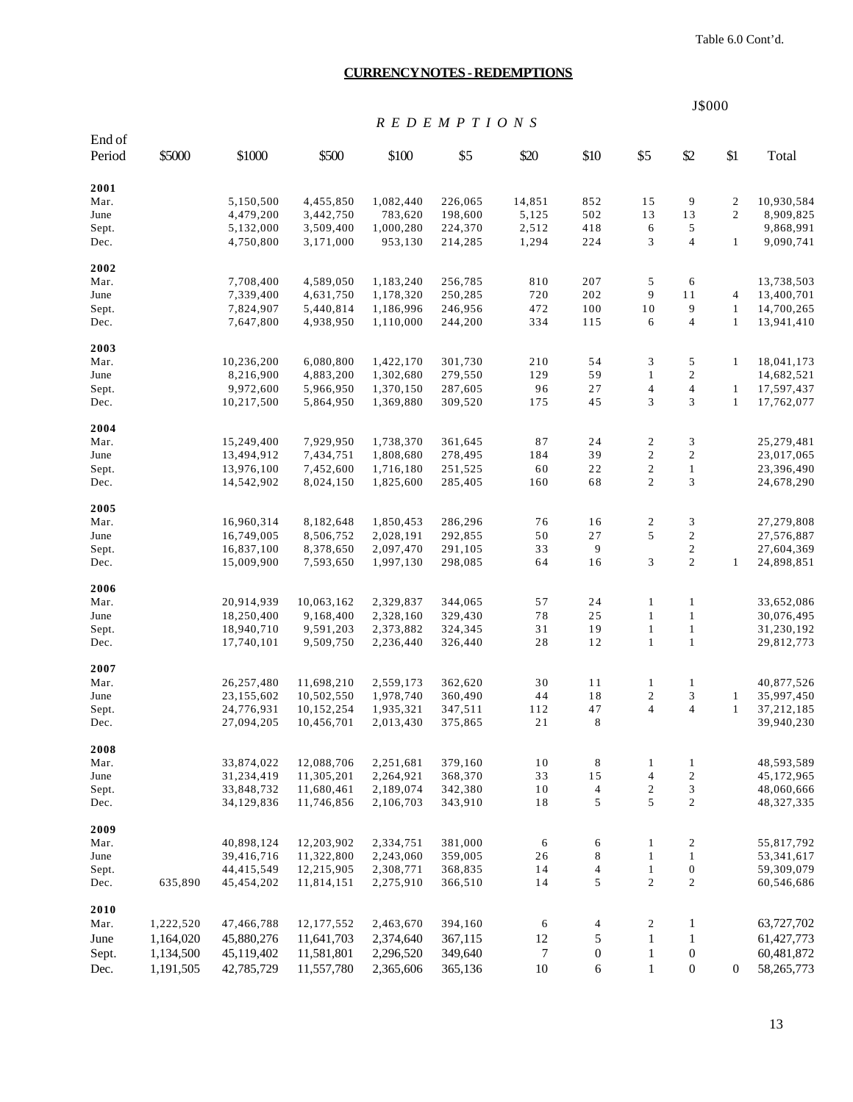Table 6.0 Cont'd.

#### **CURRENCY NOTES - REDEMPTIONS**

J\$000 *R E D E M P T I O N S* End of Period \$5000 \$1000 \$500 \$100 \$5 \$20 \$10 \$5 \$2 \$1 Total **2001** Mar. 5,150,500 4,455,850 1,082,440 226,065 14,851 852 15 9 2 10,930,584 June 4,479,200 3,442,750 783,620 198,600 5,125 502 13 13 2 8,909,825 Sept. 5,132,000 3,509,400 1,000,280 224,370 2,512 418 6 5 9,868,991 Dec. 4,750,800 3,171,000 953,130 214,285 1,294 224 3 4 1 9,090,741 **2002** Mar. 7,708,400 4,589,050 1,183,240 256,785 810 207 5 6 13,738,503 June 7,339,400 4,631,750 1,178,320 250,285 720 202 9 11 4 13,400,701 Sept. 7,824,907 5,440,814 1,186,996 246,956 472 100 10 9 1 14,700,265 Dec. 7,647,800 4,938,950 1,110,000 244,200 334 115 6 4 1 13,941,410 **2003** Mar. 10,236,200 6,080,800 1,422,170 301,730 210 54 3 5 1 18,041,173 June 8,216,900 4,883,200 1,302,680 279,550 129 59 1 2 14,682,521 Sept. 9,972,600 5,966,950 1,370,150 287,605 96 27 4 4 1 17,597,437 Dec. 10,217,500 5,864,950 1,369,880 309,520 175 45 3 3 1 17,762,077 **2004** Mar. 15,249,400 7,929,950 1,738,370 361,645 87 24 2 3 25,279,481 June 13,494,912 7,434,751 1,808,680 278,495 184 39 2 2 23,017,065 Sept. 13,976,100 7,452,600 1,716,180 251,525 60 22 2 1 23,396,490 Dec. 14,542,902 8,024,150 1,825,600 285,405 160 68 2 3 24,678,290 **2005** Mar. 16,960,314 8,182,648 1,850,453 286,296 76 16 2 3 27,279,808 June 16,749,005 8,506,752 2,028,191 292,855 50 27 5 2 27,576,887 Sept. 16,837,100 8,378,650 2,097,470 291,105 33 9 2 27,604,369 Dec. 15,009,900 7,593,650 1,997,130 298,085 64 16 3 2 1 24,898,851 **2006** Mar. 20,914,939 10,063,162 2,329,837 344,065 57 24 1 1 33,652,086 June 18,250,400 9,168,400 2,328,160 329,430 78 25 1 1 30,076,495 Sept. 18,940,710 9,591,203 2,373,882 324,345 31 19 1 1 31,230,192 Dec. 17,740,101 9,509,750 2,236,440 326,440 28 12 1 1 29,812,773 **2007** Mar. 26,257,480 11,698,210 2,559,173 362,620 30 11 1 1 40,877,526 June 23,155,602 10,502,550 1,978,740 360,490 44 18 2 3 1 35,997,450 Sept. 24,776,931 10,152,254 1,935,321 347,511 112 47 4 4 1 37,212,185 Dec. 27,094,205 10,456,701 2,013,430 375,865 21 8 39,940,230 **2008** Mar. 33,874,022 12,088,706 2,251,681 379,160 10 8 1 1 48,593,589 June 31,234,419 11,305,201 2,264,921 368,370 33 15 4 2 45,172,965 Sept. 33,848,732 11,680,461 2,189,074 342,380 10 4 2 3 48,060,666 Dec. 34,129,836 11,746,856 2,106,703 343,910 18 5 5 2 48,327,335 **2009** Mar. 40,898,124 12,203,902 2,334,751 381,000 6 6 1 2 55,817,792 June 39,416,716 11,322,800 2,243,060 359,005 26 8 1 1 53,341,617 Sept. 44,415,549 12,215,905 2,308,771 368,835 14 4 1 0 59,309,079 Dec. 635,890 45,454,202 11,814,151 2,275,910 366,510 14 5 2 2 60,546,686 **2010** Mar. 1,222,520 47,466,788 12,177,552 2,463,670 394,160 6 4 2 1 63,727,702 June 1,164,020 45,880,276 11,641,703 2,374,640 367,115 12 5 1 1 61,427,773 Sept. 1,134,500 45,119,402 11,581,801 2,296,520 349,640 7 0 1 0 60,481,872 Dec. 1,191,505 42,785,729 11,557,780 2,365,606 365,136 10 6 1 0 0 58,265,773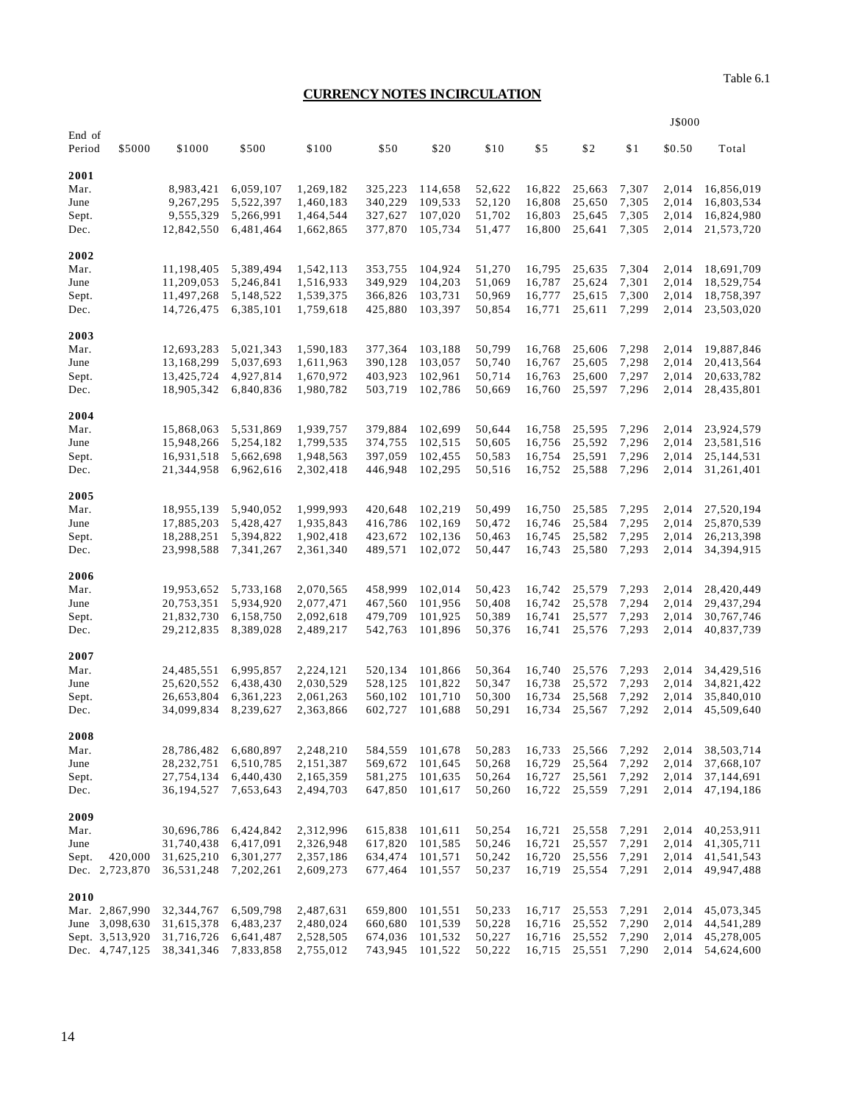# **CURRENCY NOTES IN CIRCULATION**

|                  |                 |              |           |           |         |         |        |        |        |       | J\$000 |              |
|------------------|-----------------|--------------|-----------|-----------|---------|---------|--------|--------|--------|-------|--------|--------------|
| End of<br>Period | \$5000          | \$1000       | \$500     | \$100     | \$50    | \$20    | \$10   | \$5    | \$2    | \$1   | \$0.50 | Total        |
| 2001             |                 |              |           |           |         |         |        |        |        |       |        |              |
| Mar.             |                 | 8,983,421    | 6,059,107 | 1,269,182 | 325,223 | 114,658 | 52,622 | 16,822 | 25,663 | 7,307 | 2,014  | 16,856,019   |
| June             |                 | 9,267,295    | 5,522,397 | 1,460,183 | 340,229 | 109,533 | 52,120 | 16,808 | 25,650 | 7,305 | 2,014  | 16,803,534   |
| Sept.            |                 | 9,555,329    | 5,266,991 | 1,464,544 | 327,627 | 107,020 | 51,702 | 16,803 | 25,645 | 7,305 | 2,014  | 16,824,980   |
| Dec.             |                 | 12,842,550   | 6,481,464 | 1,662,865 | 377,870 | 105,734 | 51,477 | 16,800 | 25,641 | 7,305 | 2,014  | 21,573,720   |
| 2002             |                 |              |           |           |         |         |        |        |        |       |        |              |
| Mar.             |                 | 11,198,405   | 5,389,494 | 1,542,113 | 353,755 | 104,924 | 51,270 | 16,795 | 25,635 | 7,304 | 2,014  | 18,691,709   |
| June             |                 | 11,209,053   | 5,246,841 | 1,516,933 | 349,929 | 104,203 | 51,069 | 16,787 | 25,624 | 7,301 | 2,014  | 18,529,754   |
| Sept.            |                 | 11,497,268   | 5,148,522 | 1,539,375 | 366,826 | 103,731 | 50,969 | 16,777 | 25,615 | 7,300 | 2,014  | 18,758,397   |
| Dec.             |                 | 14,726,475   | 6,385,101 | 1,759,618 | 425,880 | 103,397 | 50,854 | 16,771 | 25,611 | 7,299 | 2,014  | 23,503,020   |
| 2003             |                 |              |           |           |         |         |        |        |        |       |        |              |
| Mar.             |                 | 12,693,283   | 5,021,343 | 1,590,183 | 377,364 | 103,188 | 50,799 | 16,768 | 25,606 | 7,298 | 2,014  | 19,887,846   |
| June             |                 | 13,168,299   | 5,037,693 | 1,611,963 | 390,128 | 103,057 | 50,740 | 16,767 | 25,605 | 7,298 | 2,014  | 20,413,564   |
| Sept.            |                 | 13,425,724   | 4,927,814 | 1,670,972 | 403,923 | 102,961 | 50,714 | 16,763 | 25,600 | 7,297 | 2,014  | 20,633,782   |
| Dec.             |                 | 18,905,342   | 6,840,836 | 1,980,782 | 503,719 | 102,786 | 50,669 | 16,760 | 25,597 | 7,296 | 2,014  | 28,435,801   |
| 2004             |                 |              |           |           |         |         |        |        |        |       |        |              |
| Mar.             |                 | 15,868,063   | 5,531,869 | 1,939,757 | 379,884 | 102,699 | 50,644 | 16,758 | 25,595 | 7,296 | 2,014  | 23,924,579   |
| June             |                 | 15,948,266   | 5,254,182 | 1,799,535 | 374,755 | 102,515 | 50,605 | 16,756 | 25,592 | 7,296 | 2,014  | 23,581,516   |
| Sept.            |                 | 16,931,518   | 5,662,698 | 1,948,563 | 397,059 | 102,455 | 50,583 | 16,754 | 25,591 | 7,296 | 2,014  | 25, 144, 531 |
| Dec.             |                 | 21,344,958   | 6,962,616 | 2,302,418 | 446,948 | 102,295 | 50,516 | 16,752 | 25,588 | 7,296 | 2,014  | 31,261,401   |
| 2005             |                 |              |           |           |         |         |        |        |        |       |        |              |
| Mar.             |                 | 18,955,139   | 5,940,052 | 1,999,993 | 420,648 | 102,219 | 50,499 | 16,750 | 25,585 | 7,295 | 2,014  | 27,520,194   |
| June             |                 | 17,885,203   | 5,428,427 | 1,935,843 | 416,786 | 102,169 | 50,472 | 16,746 | 25,584 | 7,295 | 2,014  | 25,870,539   |
| Sept.            |                 | 18,288,251   | 5,394,822 | 1,902,418 | 423,672 | 102,136 | 50,463 | 16,745 | 25,582 | 7,295 | 2,014  | 26,213,398   |
| Dec.             |                 | 23,998,588   | 7,341,267 | 2,361,340 | 489,571 | 102,072 | 50,447 | 16,743 | 25,580 | 7,293 | 2,014  | 34,394,915   |
| 2006             |                 |              |           |           |         |         |        |        |        |       |        |              |
| Mar.             |                 | 19,953,652   | 5,733,168 | 2,070,565 | 458,999 | 102,014 | 50,423 | 16,742 | 25,579 | 7,293 | 2,014  | 28,420,449   |
| June             |                 | 20,753,351   | 5,934,920 | 2,077,471 | 467,560 | 101,956 | 50,408 | 16,742 | 25,578 | 7,294 | 2,014  | 29,437,294   |
| Sept.            |                 | 21,832,730   | 6,158,750 | 2,092,618 | 479,709 | 101,925 | 50,389 | 16,741 | 25,577 | 7,293 | 2,014  | 30,767,746   |
| Dec.             |                 | 29, 212, 835 | 8,389,028 | 2,489,217 | 542,763 | 101,896 | 50,376 | 16,741 | 25,576 | 7,293 | 2,014  | 40,837,739   |
| 2007             |                 |              |           |           |         |         |        |        |        |       |        |              |
| Mar.             |                 | 24,485,551   | 6,995,857 | 2,224,121 | 520,134 | 101,866 | 50,364 | 16,740 | 25,576 | 7,293 | 2,014  | 34,429,516   |
| June             |                 | 25,620,552   | 6,438,430 | 2,030,529 | 528,125 | 101,822 | 50,347 | 16,738 | 25,572 | 7,293 | 2,014  | 34,821,422   |
| Sept.            |                 | 26,653,804   | 6,361,223 | 2,061,263 | 560,102 | 101,710 | 50,300 | 16,734 | 25,568 | 7,292 | 2,014  | 35,840,010   |
| Dec.             |                 | 34,099,834   | 8,239,627 | 2,363,866 | 602,727 | 101,688 | 50,291 | 16,734 | 25,567 | 7,292 | 2,014  | 45,509,640   |
| 2008             |                 |              |           |           |         |         |        |        |        |       |        |              |
| Mar.             |                 | 28,786,482   | 6,680,897 | 2,248,210 | 584,559 | 101,678 | 50,283 | 16,733 | 25,566 | 7,292 | 2,014  | 38,503,714   |
| June             |                 | 28, 232, 751 | 6,510,785 | 2,151,387 | 569,672 | 101,645 | 50,268 | 16,729 | 25,564 | 7,292 | 2,014  | 37,668,107   |
| Sept.            |                 | 27,754,134   | 6,440,430 | 2,165,359 | 581,275 | 101,635 | 50,264 | 16,727 | 25,561 | 7,292 | 2,014  | 37,144,691   |
| Dec.             |                 | 36,194,527   | 7,653,643 | 2,494,703 | 647,850 | 101,617 | 50,260 | 16,722 | 25,559 | 7,291 | 2,014  | 47,194,186   |
| 2009             |                 |              |           |           |         |         |        |        |        |       |        |              |
| Mar.             |                 | 30,696,786   | 6,424,842 | 2,312,996 | 615,838 | 101,611 | 50,254 | 16,721 | 25,558 | 7,291 | 2,014  | 40,253,911   |
| June             |                 | 31,740,438   | 6,417,091 | 2,326,948 | 617,820 | 101,585 | 50,246 | 16,721 | 25,557 | 7,291 | 2,014  | 41,305,711   |
| Sept.            | 420,000         | 31,625,210   | 6,301,277 | 2,357,186 | 634,474 | 101,571 | 50,242 | 16,720 | 25,556 | 7,291 | 2,014  | 41,541,543   |
|                  | Dec. 2,723,870  | 36,531,248   | 7,202,261 | 2,609,273 | 677,464 | 101,557 | 50,237 | 16,719 | 25,554 | 7,291 | 2,014  | 49,947,488   |
| 2010             |                 |              |           |           |         |         |        |        |        |       |        |              |
|                  | Mar. 2,867,990  | 32,344,767   | 6,509,798 | 2,487,631 | 659,800 | 101,551 | 50,233 | 16,717 | 25,553 | 7,291 | 2,014  | 45,073,345   |
|                  | June 3,098,630  | 31,615,378   | 6,483,237 | 2,480,024 | 660,680 | 101,539 | 50,228 | 16,716 | 25,552 | 7,290 | 2,014  | 44,541,289   |
|                  | Sept. 3,513,920 | 31,716,726   | 6,641,487 | 2,528,505 | 674,036 | 101,532 | 50,227 | 16,716 | 25,552 | 7,290 | 2,014  | 45,278,005   |
|                  | Dec. 4,747,125  | 38, 341, 346 | 7,833,858 | 2,755,012 | 743,945 | 101,522 | 50,222 | 16,715 | 25,551 | 7,290 | 2,014  | 54,624,600   |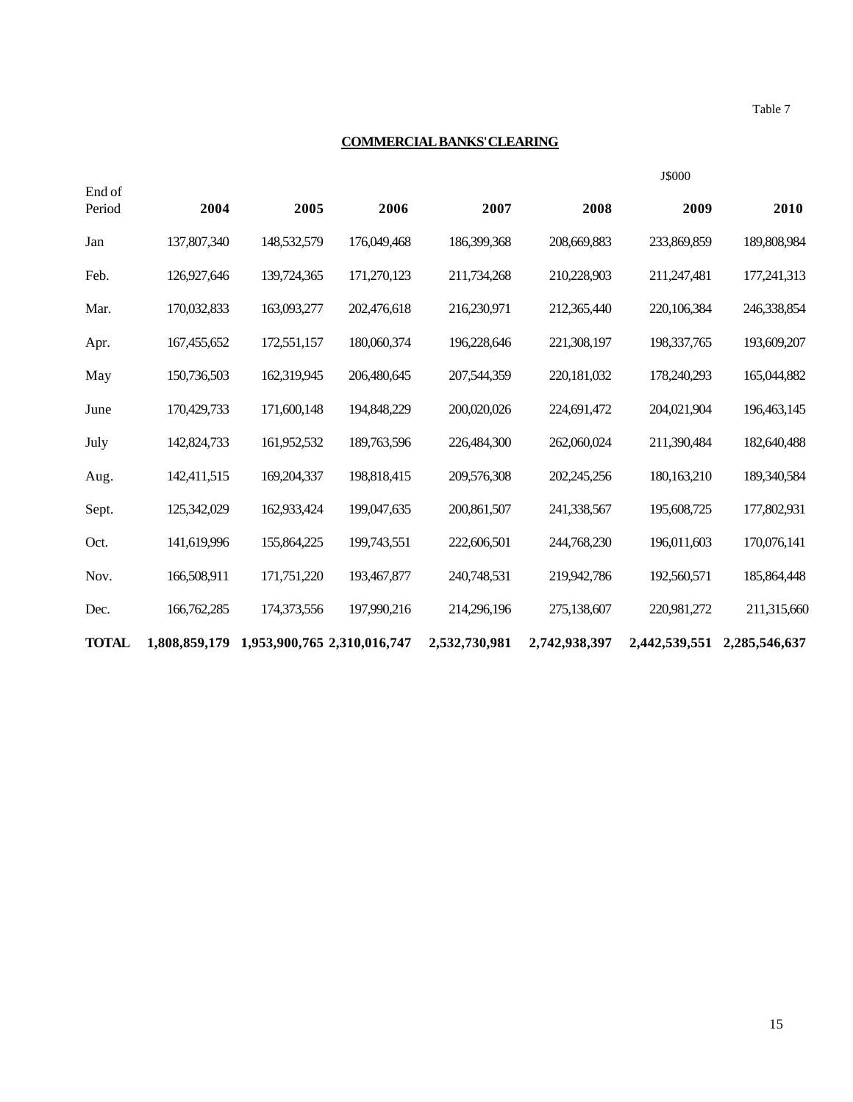Table 7

J\$000

# **COMMERCIAL BANKS' CLEARING**

| End of<br>Period | 2004          | 2005                        | 2006        | 2007          | 2008          | 2009          | 2010          |
|------------------|---------------|-----------------------------|-------------|---------------|---------------|---------------|---------------|
| Jan              | 137,807,340   | 148,532,579                 | 176,049,468 | 186,399,368   | 208,669,883   | 233,869,859   | 189,808,984   |
| Feb.             | 126,927,646   | 139,724,365                 | 171,270,123 | 211,734,268   | 210,228,903   | 211,247,481   | 177,241,313   |
| Mar.             | 170,032,833   | 163,093,277                 | 202,476,618 | 216,230,971   | 212,365,440   | 220,106,384   | 246,338,854   |
| Apr.             | 167,455,652   | 172,551,157                 | 180,060,374 | 196,228,646   | 221,308,197   | 198, 337, 765 | 193,609,207   |
| May              | 150,736,503   | 162,319,945                 | 206,480,645 | 207,544,359   | 220,181,032   | 178,240,293   | 165,044,882   |
| June             | 170,429,733   | 171,600,148                 | 194,848,229 | 200,020,026   | 224,691,472   | 204,021,904   | 196,463,145   |
| July             | 142,824,733   | 161,952,532                 | 189,763,596 | 226,484,300   | 262,060,024   | 211,390,484   | 182,640,488   |
| Aug.             | 142,411,515   | 169,204,337                 | 198,818,415 | 209,576,308   | 202,245,256   | 180, 163, 210 | 189,340,584   |
| Sept.            | 125,342,029   | 162,933,424                 | 199,047,635 | 200,861,507   | 241,338,567   | 195,608,725   | 177,802,931   |
| Oct.             | 141,619,996   | 155,864,225                 | 199,743,551 | 222,606,501   | 244,768,230   | 196,011,603   | 170,076,141   |
| Nov.             | 166,508,911   | 171,751,220                 | 193,467,877 | 240,748,531   | 219,942,786   | 192,560,571   | 185,864,448   |
| Dec.             | 166,762,285   | 174,373,556                 | 197,990,216 | 214,296,196   | 275,138,607   | 220,981,272   | 211,315,660   |
| <b>TOTAL</b>     | 1,808,859,179 | 1,953,900,765 2,310,016,747 |             | 2,532,730,981 | 2,742,938,397 | 2,442,539,551 | 2,285,546,637 |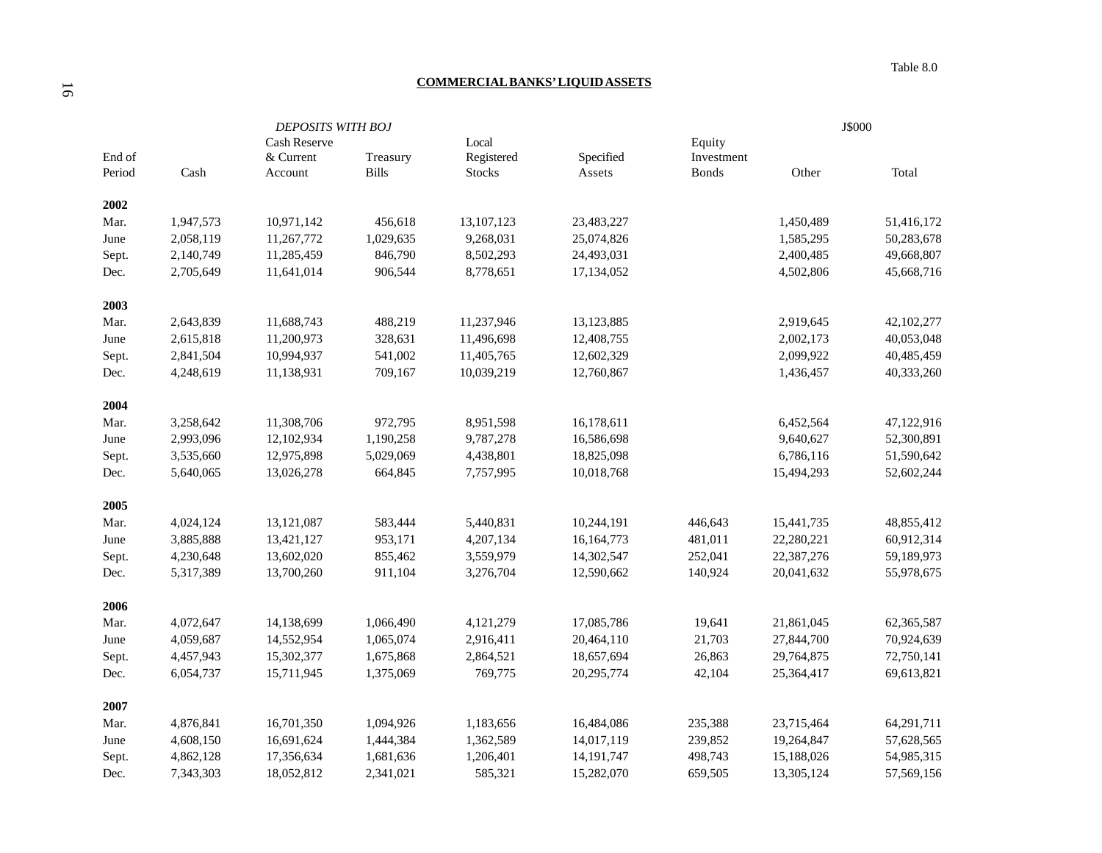#### **COMMERCIAL BANKS' LIQUID ASSETS**

|        |           | <b>DEPOSITS WITH BOJ</b> |              |               |              | J\$000       |            |            |
|--------|-----------|--------------------------|--------------|---------------|--------------|--------------|------------|------------|
|        |           | Cash Reserve             |              | Local         |              | Equity       |            |            |
| End of |           | & Current                | Treasury     | Registered    | Specified    | Investment   |            |            |
| Period | Cash      | Account                  | <b>Bills</b> | <b>Stocks</b> | Assets       | <b>Bonds</b> | Other      | Total      |
| 2002   |           |                          |              |               |              |              |            |            |
| Mar.   | 1,947,573 | 10,971,142               | 456,618      | 13,107,123    | 23,483,227   |              | 1,450,489  | 51,416,172 |
| June   | 2,058,119 | 11,267,772               | 1,029,635    | 9,268,031     | 25,074,826   |              | 1,585,295  | 50,283,678 |
| Sept.  | 2,140,749 | 11,285,459               | 846,790      | 8,502,293     | 24,493,031   |              | 2,400,485  | 49,668,807 |
| Dec.   | 2,705,649 | 11,641,014               | 906,544      | 8,778,651     | 17,134,052   |              | 4,502,806  | 45,668,716 |
| 2003   |           |                          |              |               |              |              |            |            |
| Mar.   | 2,643,839 | 11,688,743               | 488,219      | 11,237,946    | 13,123,885   |              | 2,919,645  | 42,102,277 |
| June   | 2,615,818 | 11,200,973               | 328,631      | 11,496,698    | 12,408,755   |              | 2,002,173  | 40,053,048 |
| Sept.  | 2,841,504 | 10,994,937               | 541,002      | 11,405,765    | 12,602,329   |              | 2,099,922  | 40,485,459 |
| Dec.   | 4,248,619 | 11,138,931               | 709,167      | 10,039,219    | 12,760,867   |              | 1,436,457  | 40,333,260 |
| 2004   |           |                          |              |               |              |              |            |            |
| Mar.   | 3,258,642 | 11,308,706               | 972,795      | 8,951,598     | 16,178,611   |              | 6,452,564  | 47,122,916 |
| June   | 2,993,096 | 12,102,934               | 1,190,258    | 9,787,278     | 16,586,698   |              | 9,640,627  | 52,300,891 |
| Sept.  | 3,535,660 | 12,975,898               | 5,029,069    | 4,438,801     | 18,825,098   |              | 6,786,116  | 51,590,642 |
| Dec.   | 5,640,065 | 13,026,278               | 664,845      | 7,757,995     | 10,018,768   |              | 15,494,293 | 52,602,244 |
| 2005   |           |                          |              |               |              |              |            |            |
| Mar.   | 4,024,124 | 13,121,087               | 583,444      | 5,440,831     | 10,244,191   | 446,643      | 15,441,735 | 48,855,412 |
| June   | 3,885,888 | 13,421,127               | 953,171      | 4,207,134     | 16,164,773   | 481,011      | 22,280,221 | 60,912,314 |
| Sept.  | 4,230,648 | 13,602,020               | 855,462      | 3,559,979     | 14,302,547   | 252,041      | 22,387,276 | 59,189,973 |
| Dec.   | 5,317,389 | 13,700,260               | 911,104      | 3,276,704     | 12,590,662   | 140,924      | 20,041,632 | 55,978,675 |
| 2006   |           |                          |              |               |              |              |            |            |
| Mar.   | 4,072,647 | 14,138,699               | 1,066,490    | 4,121,279     | 17,085,786   | 19,641       | 21,861,045 | 62,365,587 |
| June   | 4,059,687 | 14,552,954               | 1,065,074    | 2,916,411     | 20,464,110   | 21,703       | 27,844,700 | 70,924,639 |
| Sept.  | 4,457,943 | 15,302,377               | 1,675,868    | 2,864,521     | 18,657,694   | 26,863       | 29,764,875 | 72,750,141 |
| Dec.   | 6,054,737 | 15,711,945               | 1,375,069    | 769,775       | 20,295,774   | 42,104       | 25,364,417 | 69,613,821 |
| 2007   |           |                          |              |               |              |              |            |            |
| Mar.   | 4,876,841 | 16,701,350               | 1,094,926    | 1,183,656     | 16,484,086   | 235,388      | 23,715,464 | 64,291,711 |
| June   | 4,608,150 | 16,691,624               | 1,444,384    | 1,362,589     | 14,017,119   | 239,852      | 19,264,847 | 57,628,565 |
| Sept.  | 4,862,128 | 17,356,634               | 1,681,636    | 1,206,401     | 14, 191, 747 | 498,743      | 15,188,026 | 54,985,315 |
| Dec.   | 7,343,303 | 18,052,812               | 2,341,021    | 585,321       | 15,282,070   | 659,505      | 13,305,124 | 57,569,156 |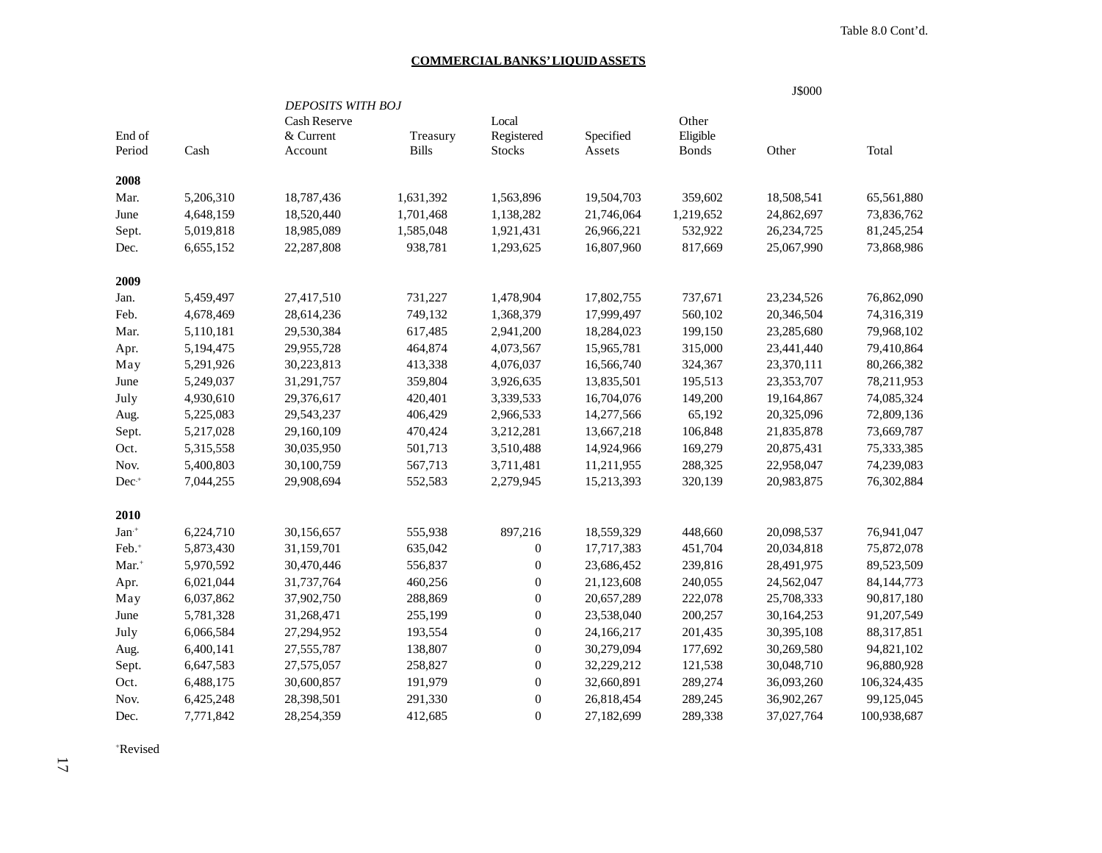Table 8.0 Cont'd.

#### **COMMERCIAL BANKS' LIQUID ASSETS**

|                   |           |                          |              |                  |            |              | J\$000       |              |
|-------------------|-----------|--------------------------|--------------|------------------|------------|--------------|--------------|--------------|
|                   |           | <b>DEPOSITS WITH BOJ</b> |              |                  |            |              |              |              |
|                   |           | Cash Reserve             |              | Local            |            | Other        |              |              |
| End of            |           | & Current                | Treasury     | Registered       | Specified  | Eligible     |              |              |
| Period            | Cash      | Account                  | <b>Bills</b> | <b>Stocks</b>    | Assets     | <b>Bonds</b> | Other        | Total        |
| 2008              |           |                          |              |                  |            |              |              |              |
| Mar.              | 5,206,310 | 18,787,436               | 1,631,392    | 1,563,896        | 19,504,703 | 359,602      | 18,508,541   | 65,561,880   |
| June              | 4,648,159 | 18,520,440               | 1,701,468    | 1,138,282        | 21,746,064 | 1,219,652    | 24,862,697   | 73,836,762   |
| Sept.             | 5,019,818 | 18,985,089               | 1,585,048    | 1,921,431        | 26,966,221 | 532,922      | 26, 234, 725 | 81,245,254   |
| Dec.              | 6,655,152 | 22,287,808               | 938,781      | 1,293,625        | 16,807,960 | 817,669      | 25,067,990   | 73,868,986   |
| 2009              |           |                          |              |                  |            |              |              |              |
| Jan.              | 5,459,497 | 27,417,510               | 731,227      | 1,478,904        | 17,802,755 | 737,671      | 23, 234, 526 | 76,862,090   |
| Feb.              | 4,678,469 | 28,614,236               | 749,132      | 1,368,379        | 17,999,497 | 560,102      | 20,346,504   | 74,316,319   |
| Mar.              | 5,110,181 | 29,530,384               | 617,485      | 2,941,200        | 18,284,023 | 199,150      | 23,285,680   | 79,968,102   |
| Apr.              | 5,194,475 | 29,955,728               | 464,874      | 4,073,567        | 15,965,781 | 315,000      | 23,441,440   | 79,410,864   |
| May               | 5,291,926 | 30,223,813               | 413,338      | 4,076,037        | 16,566,740 | 324,367      | 23,370,111   | 80,266,382   |
| June              | 5,249,037 | 31,291,757               | 359,804      | 3,926,635        | 13,835,501 | 195,513      | 23,353,707   | 78,211,953   |
| July              | 4,930,610 | 29,376,617               | 420,401      | 3,339,533        | 16,704,076 | 149,200      | 19,164,867   | 74,085,324   |
| Aug.              | 5,225,083 | 29,543,237               | 406,429      | 2,966,533        | 14,277,566 | 65,192       | 20,325,096   | 72,809,136   |
| Sept.             | 5,217,028 | 29,160,109               | 470,424      | 3,212,281        | 13,667,218 | 106,848      | 21,835,878   | 73,669,787   |
| Oct.              | 5,315,558 | 30,035,950               | 501,713      | 3,510,488        | 14,924,966 | 169,279      | 20,875,431   | 75,333,385   |
| Nov.              | 5,400,803 | 30,100,759               | 567,713      | 3,711,481        | 11,211,955 | 288,325      | 22,958,047   | 74,239,083   |
| $Dec^{+}$         | 7,044,255 | 29,908,694               | 552,583      | 2,279,945        | 15,213,393 | 320,139      | 20,983,875   | 76,302,884   |
| 2010              |           |                          |              |                  |            |              |              |              |
| $Jan+$            | 6,224,710 | 30,156,657               | 555,938      | 897,216          | 18,559,329 | 448,660      | 20,098,537   | 76,941,047   |
| Feb. <sup>+</sup> | 5,873,430 | 31,159,701               | 635,042      | $\boldsymbol{0}$ | 17,717,383 | 451,704      | 20,034,818   | 75,872,078   |
| Mar. <sup>+</sup> | 5,970,592 | 30,470,446               | 556,837      | $\boldsymbol{0}$ | 23,686,452 | 239,816      | 28,491,975   | 89,523,509   |
| Apr.              | 6,021,044 | 31,737,764               | 460,256      | $\boldsymbol{0}$ | 21,123,608 | 240,055      | 24,562,047   | 84, 144, 773 |
| May               | 6,037,862 | 37,902,750               | 288,869      | $\boldsymbol{0}$ | 20,657,289 | 222,078      | 25,708,333   | 90,817,180   |
| June              | 5,781,328 | 31,268,471               | 255,199      | $\boldsymbol{0}$ | 23,538,040 | 200,257      | 30,164,253   | 91,207,549   |
| July              | 6,066,584 | 27,294,952               | 193,554      | $\boldsymbol{0}$ | 24,166,217 | 201,435      | 30,395,108   | 88,317,851   |
| Aug.              | 6,400,141 | 27,555,787               | 138,807      | $\boldsymbol{0}$ | 30,279,094 | 177,692      | 30,269,580   | 94,821,102   |
| Sept.             | 6,647,583 | 27,575,057               | 258,827      | $\boldsymbol{0}$ | 32,229,212 | 121,538      | 30,048,710   | 96,880,928   |
| Oct.              | 6,488,175 | 30,600,857               | 191,979      | $\boldsymbol{0}$ | 32,660,891 | 289,274      | 36,093,260   | 106,324,435  |
| Nov.              | 6,425,248 | 28,398,501               | 291,330      | $\boldsymbol{0}$ | 26,818,454 | 289,245      | 36,902,267   | 99,125,045   |
| Dec.              | 7,771,842 | 28,254,359               | 412,685      | $\overline{0}$   | 27,182,699 | 289,338      | 37,027,764   | 100,938,687  |

+Revised

17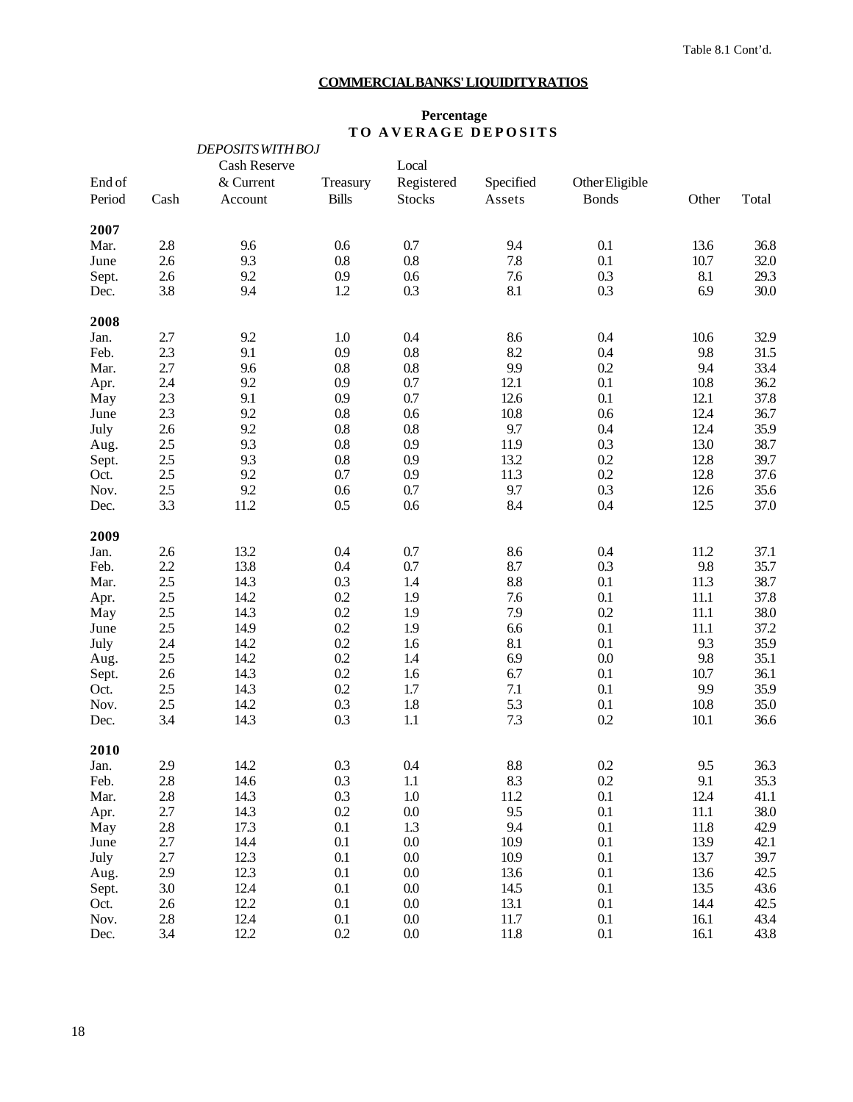# **COMMERCIAL BANKS' LIQUIDITY RATIOS**

# **Percentage TO AVERAGE DEPOSITS**

|        |         | <b>DEPOSITS WITH BOJ</b> |              |               |           |                |       |       |
|--------|---------|--------------------------|--------------|---------------|-----------|----------------|-------|-------|
|        |         | Cash Reserve             |              | Local         |           |                |       |       |
| End of |         | & Current                | Treasury     | Registered    | Specified | Other Eligible |       |       |
| Period | Cash    | Account                  | <b>Bills</b> | <b>Stocks</b> | Assets    | <b>Bonds</b>   | Other | Total |
| 2007   |         |                          |              |               |           |                |       |       |
| Mar.   | 2.8     | 9.6                      | 0.6          | 0.7           | 9.4       | 0.1            | 13.6  | 36.8  |
| June   | 2.6     | 9.3                      | $0.8\,$      | $0.8\,$       | 7.8       | 0.1            | 10.7  | 32.0  |
| Sept.  | 2.6     | 9.2                      | 0.9          | 0.6           | 7.6       | 0.3            | 8.1   | 29.3  |
| Dec.   | 3.8     | 9.4                      | 1.2          | 0.3           | 8.1       | 0.3            | 6.9   | 30.0  |
| 2008   |         |                          |              |               |           |                |       |       |
| Jan.   | 2.7     | 9.2                      | 1.0          | 0.4           | 8.6       | 0.4            | 10.6  | 32.9  |
| Feb.   | 2.3     | 9.1                      | 0.9          | $0.8\,$       | 8.2       | 0.4            | 9.8   | 31.5  |
| Mar.   | 2.7     | 9.6                      | 0.8          | $0.8\,$       | 9.9       | 0.2            | 9.4   | 33.4  |
| Apr.   | 2.4     | 9.2                      | 0.9          | 0.7           | 12.1      | 0.1            | 10.8  | 36.2  |
| May    | 2.3     | 9.1                      | 0.9          | 0.7           | 12.6      | 0.1            | 12.1  | 37.8  |
| June   | 2.3     | 9.2                      | $0.8\,$      | 0.6           | 10.8      | 0.6            | 12.4  | 36.7  |
| July   | 2.6     | 9.2                      | $0.8\,$      | $0.8\,$       | 9.7       | 0.4            | 12.4  | 35.9  |
| Aug.   | 2.5     | 9.3                      | 0.8          | 0.9           | 11.9      | 0.3            | 13.0  | 38.7  |
| Sept.  | 2.5     | 9.3                      | 0.8          | 0.9           | 13.2      | 0.2            | 12.8  | 39.7  |
| Oct.   | 2.5     | 9.2                      | 0.7          | 0.9           | 11.3      | 0.2            | 12.8  | 37.6  |
| Nov.   | $2.5\,$ | 9.2                      | 0.6          | $0.7\,$       | 9.7       | 0.3            | 12.6  | 35.6  |
| Dec.   | 3.3     | 11.2                     | 0.5          | 0.6           | 8.4       | 0.4            | 12.5  | 37.0  |
| 2009   |         |                          |              |               |           |                |       |       |
| Jan.   | 2.6     | 13.2                     | 0.4          | 0.7           | 8.6       | 0.4            | 11.2  | 37.1  |
| Feb.   | 2.2     | 13.8                     | 0.4          | 0.7           | 8.7       | 0.3            | 9.8   | 35.7  |
| Mar.   | 2.5     | 14.3                     | 0.3          | 1.4           | 8.8       | 0.1            | 11.3  | 38.7  |
| Apr.   | 2.5     | 14.2                     | 0.2          | 1.9           | 7.6       | 0.1            | 11.1  | 37.8  |
| May    | $2.5\,$ | 14.3                     | 0.2          | 1.9           | 7.9       | 0.2            | 11.1  | 38.0  |
| June   | 2.5     | 14.9                     | 0.2          | 1.9           | 6.6       | 0.1            | 11.1  | 37.2  |
| July   | 2.4     | 14.2                     | 0.2          | 1.6           | 8.1       | 0.1            | 9.3   | 35.9  |
| Aug.   | 2.5     | 14.2                     | 0.2          | 1.4           | 6.9       | 0.0            | 9.8   | 35.1  |
| Sept.  | 2.6     | 14.3                     | 0.2          | 1.6           | 6.7       | 0.1            | 10.7  | 36.1  |
| Oct.   | 2.5     | 14.3                     | 0.2          | 1.7           | 7.1       | 0.1            | 9.9   | 35.9  |
| Nov.   | $2.5\,$ | 14.2                     | 0.3          | 1.8           | 5.3       | 0.1            | 10.8  | 35.0  |
| Dec.   | 3.4     | 14.3                     | 0.3          | $1.1\,$       | 7.3       | 0.2            | 10.1  | 36.6  |
| 2010   |         |                          |              |               |           |                |       |       |
| Jan.   | 2.9     | 14.2                     | 0.3          | 0.4           | $\!\!8.8$ | 0.2            | 9.5   | 36.3  |
| Feb.   | 2.8     | 14.6                     | 0.3          | $1.1\,$       | 8.3       | 0.2            | 9.1   | 35.3  |
| Mar.   | $2.8\,$ | 14.3                     | 0.3          | 1.0           | 11.2      | 0.1            | 12.4  | 41.1  |
| Apr.   | 2.7     | 14.3                     | 0.2          | $0.0\,$       | 9.5       | 0.1            | 11.1  | 38.0  |
| May    | 2.8     | 17.3                     | 0.1          | 1.3           | 9.4       | 0.1            | 11.8  | 42.9  |
| June   | 2.7     | 14.4                     | 0.1          | $0.0\,$       | 10.9      | 0.1            | 13.9  | 42.1  |
| July   | 2.7     | 12.3                     | 0.1          | 0.0           | 10.9      | 0.1            | 13.7  | 39.7  |
| Aug.   | 2.9     | 12.3                     | 0.1          | $0.0\,$       | 13.6      | 0.1            | 13.6  | 42.5  |
| Sept.  | 3.0     | 12.4                     | 0.1          | $0.0\,$       | 14.5      | 0.1            | 13.5  | 43.6  |
| Oct.   | 2.6     | 12.2                     | 0.1          | $0.0\,$       | 13.1      | 0.1            | 14.4  | 42.5  |
| Nov.   | $2.8\,$ | 12.4                     | 0.1          | $0.0\,$       | 11.7      | 0.1            | 16.1  | 43.4  |
| Dec.   | 3.4     | 12.2                     | 0.2          | 0.0           | 11.8      | 0.1            | 16.1  | 43.8  |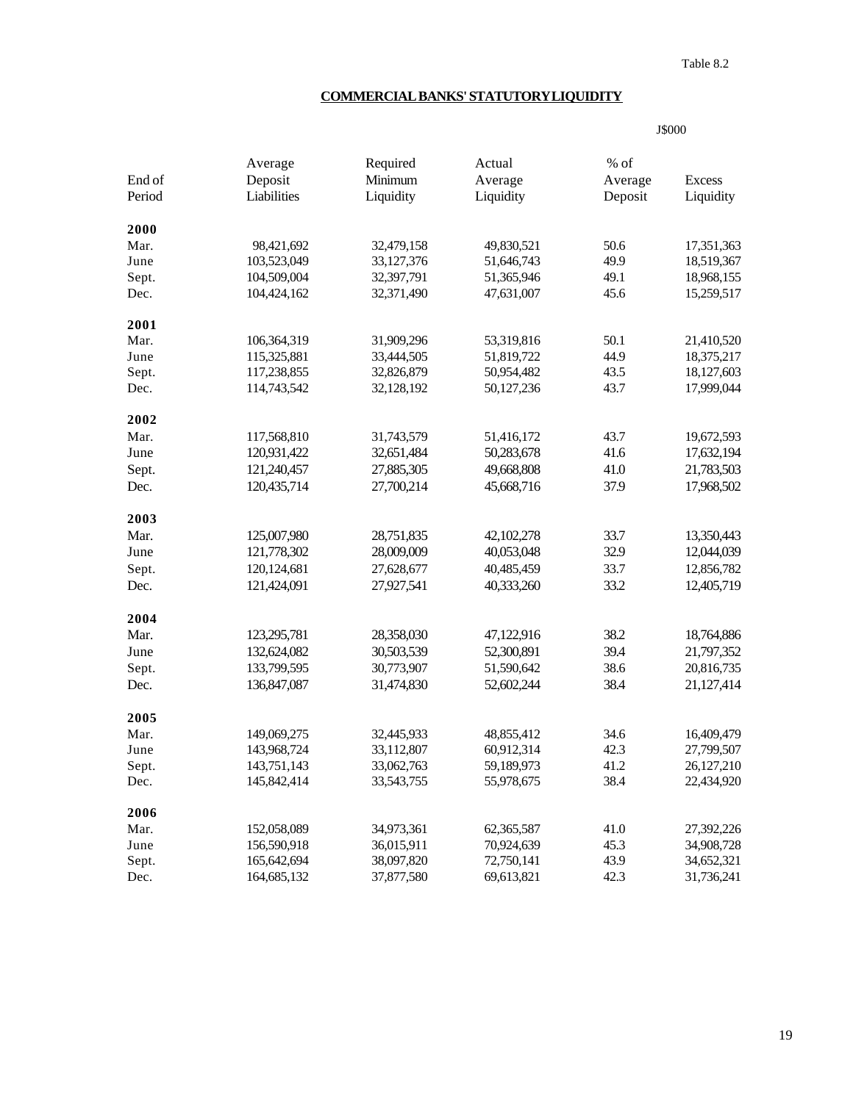Table 8.2

J\$000

# **COMMERCIAL BANKS' STATUTORY LIQUIDITY**

|               | Average       | Required   | Actual     | $%$ of  |               |
|---------------|---------------|------------|------------|---------|---------------|
| End of        | Deposit       | Minimum    | Average    | Average | <b>Excess</b> |
| Period        | Liabilities   | Liquidity  | Liquidity  | Deposit | Liquidity     |
| 2000          |               |            |            |         |               |
| Mar.          | 98,421,692    | 32,479,158 | 49,830,521 | 50.6    | 17,351,363    |
| June          | 103,523,049   | 33,127,376 | 51,646,743 | 49.9    | 18,519,367    |
| Sept.         | 104,509,004   | 32,397,791 | 51,365,946 | 49.1    | 18,968,155    |
| Dec.          | 104,424,162   | 32,371,490 | 47,631,007 | 45.6    | 15,259,517    |
| 2001          |               |            |            |         |               |
| Mar.          | 106,364,319   | 31,909,296 | 53,319,816 | 50.1    | 21,410,520    |
| June          | 115,325,881   | 33,444,505 | 51,819,722 | 44.9    | 18,375,217    |
| Sept.         | 117,238,855   | 32,826,879 | 50,954,482 | 43.5    | 18,127,603    |
| Dec.          | 114,743,542   | 32,128,192 | 50,127,236 | 43.7    | 17,999,044    |
| 2002          |               |            |            |         |               |
| Mar.          | 117,568,810   | 31,743,579 | 51,416,172 | 43.7    | 19,672,593    |
| June          | 120,931,422   | 32,651,484 | 50,283,678 | 41.6    | 17,632,194    |
| Sept.         | 121,240,457   | 27,885,305 | 49,668,808 | 41.0    | 21,783,503    |
| Dec.          | 120,435,714   | 27,700,214 | 45,668,716 | 37.9    | 17,968,502    |
| 2003          |               |            |            |         |               |
| Mar.          | 125,007,980   | 28,751,835 | 42,102,278 | 33.7    | 13,350,443    |
| June          | 121,778,302   | 28,009,009 | 40,053,048 | 32.9    | 12,044,039    |
| Sept.         | 120, 124, 681 | 27,628,677 | 40,485,459 | 33.7    | 12,856,782    |
| Dec.          | 121,424,091   | 27,927,541 | 40,333,260 | 33.2    | 12,405,719    |
| 2004          |               |            |            |         |               |
| Mar.          | 123,295,781   | 28,358,030 | 47,122,916 | 38.2    | 18,764,886    |
| June          | 132,624,082   | 30,503,539 | 52,300,891 | 39.4    | 21,797,352    |
|               | 133,799,595   | 30,773,907 | 51,590,642 | 38.6    | 20,816,735    |
| Sept.<br>Dec. | 136,847,087   | 31,474,830 | 52,602,244 | 38.4    | 21,127,414    |
|               |               |            |            |         |               |
| 2005          |               |            |            |         |               |
| Mar.          | 149,069,275   | 32,445,933 | 48,855,412 | 34.6    | 16,409,479    |
| June          | 143,968,724   | 33,112,807 | 60,912,314 | 42.3    | 27,799,507    |
| Sept.         | 143,751,143   | 33,062,763 | 59,189,973 | 41.2    | 26,127,210    |
| Dec.          | 145,842,414   | 33,543,755 | 55,978,675 | 38.4    | 22,434,920    |
| 2006          |               |            |            |         |               |
| Mar.          | 152,058,089   | 34,973,361 | 62,365,587 | 41.0    | 27,392,226    |
| June          | 156,590,918   | 36,015,911 | 70,924,639 | 45.3    | 34,908,728    |
| Sept.         | 165,642,694   | 38,097,820 | 72,750,141 | 43.9    | 34,652,321    |
| Dec.          | 164,685,132   | 37,877,580 | 69,613,821 | 42.3    | 31,736,241    |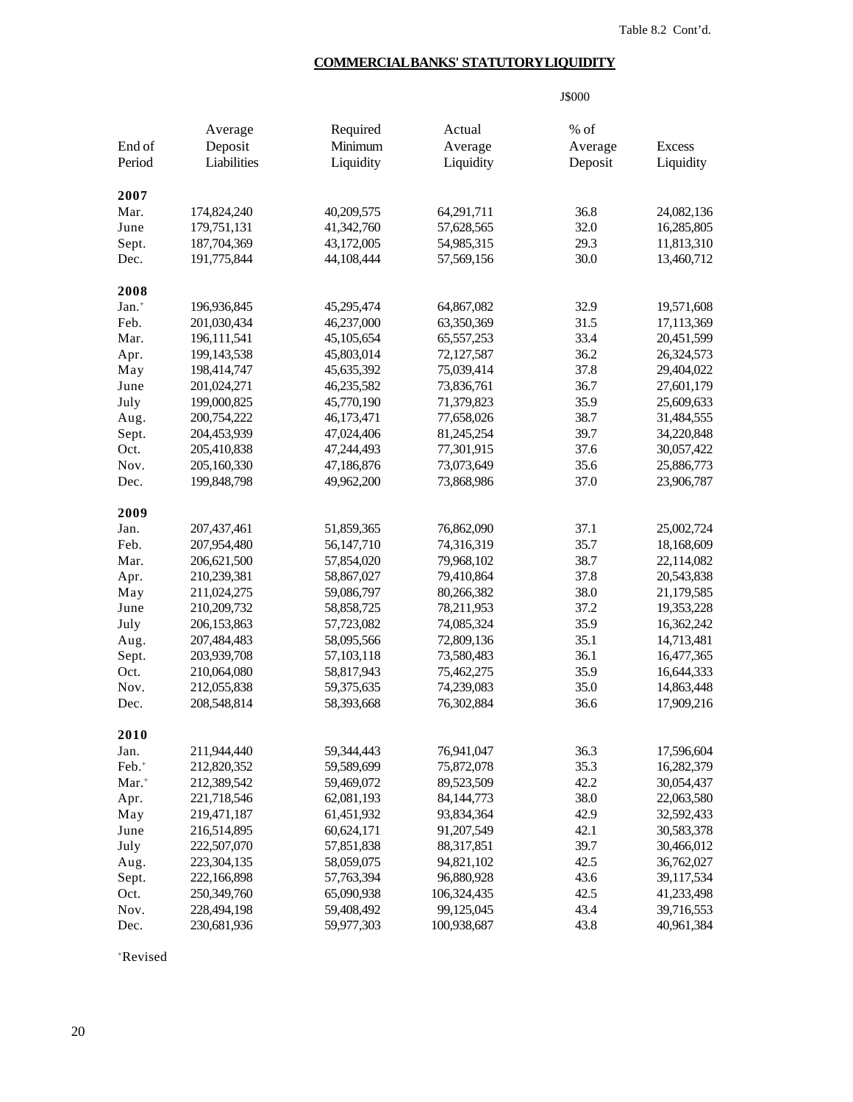# **COMMERCIAL BANKS' STATUTORY LIQUIDITY**

|                     |               |              |              | J\$000  |               |
|---------------------|---------------|--------------|--------------|---------|---------------|
|                     | Average       | Required     | Actual       | $%$ of  |               |
| End of              | Deposit       | Minimum      | Average      | Average | <b>Excess</b> |
| Period              | Liabilities   | Liquidity    | Liquidity    | Deposit | Liquidity     |
|                     |               |              |              |         |               |
| 2007                |               |              |              |         |               |
| Mar.                | 174,824,240   | 40,209,575   | 64,291,711   | 36.8    | 24,082,136    |
| June                | 179,751,131   | 41,342,760   | 57,628,565   | 32.0    | 16,285,805    |
| Sept.               | 187,704,369   | 43,172,005   | 54,985,315   | 29.3    | 11,813,310    |
| Dec.                | 191,775,844   | 44,108,444   | 57,569,156   | 30.0    | 13,460,712    |
| 2008                |               |              |              |         |               |
| Jan. <sup>+</sup>   | 196,936,845   | 45,295,474   | 64,867,082   | 32.9    | 19,571,608    |
| Feb.                | 201,030,434   | 46,237,000   | 63,350,369   | 31.5    | 17,113,369    |
| Mar.                | 196, 111, 541 | 45,105,654   | 65,557,253   | 33.4    | 20,451,599    |
| Apr.                | 199,143,538   | 45,803,014   | 72,127,587   | 36.2    | 26,324,573    |
| May                 | 198,414,747   | 45,635,392   | 75,039,414   | 37.8    | 29,404,022    |
| June                | 201,024,271   | 46,235,582   | 73,836,761   | 36.7    | 27,601,179    |
| July                | 199,000,825   | 45,770,190   | 71,379,823   | 35.9    | 25,609,633    |
| Aug.                | 200,754,222   | 46,173,471   | 77,658,026   | 38.7    | 31,484,555    |
| Sept.               | 204,453,939   | 47,024,406   | 81,245,254   | 39.7    | 34,220,848    |
| Oct.                | 205,410,838   | 47,244,493   | 77,301,915   | 37.6    | 30,057,422    |
| Nov.                | 205,160,330   | 47,186,876   | 73,073,649   | 35.6    | 25,886,773    |
| Dec.                | 199,848,798   | 49,962,200   | 73,868,986   | 37.0    | 23,906,787    |
|                     |               |              |              |         |               |
| 2009                |               |              |              |         |               |
| Jan.                | 207,437,461   | 51,859,365   | 76,862,090   | 37.1    | 25,002,724    |
| Feb.                | 207,954,480   | 56, 147, 710 | 74,316,319   | 35.7    | 18,168,609    |
| Mar.                | 206,621,500   | 57,854,020   | 79,968,102   | 38.7    | 22,114,082    |
| Apr.                | 210,239,381   | 58,867,027   | 79,410,864   | 37.8    | 20,543,838    |
| May                 | 211,024,275   | 59,086,797   | 80,266,382   | 38.0    | 21,179,585    |
| June                | 210,209,732   | 58,858,725   | 78,211,953   | 37.2    | 19,353,228    |
| July                | 206,153,863   | 57,723,082   | 74,085,324   | 35.9    | 16,362,242    |
| Aug.                | 207,484,483   | 58,095,566   | 72,809,136   | 35.1    | 14,713,481    |
| Sept.               | 203,939,708   | 57,103,118   | 73,580,483   | 36.1    | 16,477,365    |
| Oct.                | 210,064,080   | 58,817,943   | 75,462,275   | 35.9    | 16,644,333    |
| Nov.                | 212,055,838   | 59,375,635   | 74,239,083   | 35.0    | 14,863,448    |
| Dec.                | 208,548,814   | 58,393,668   | 76,302,884   | 36.6    | 17,909,216    |
| 2010                |               |              |              |         |               |
| Jan.                | 211,944,440   | 59,344,443   | 76,941,047   | 36.3    | 17,596,604    |
| Feb. <sup>+</sup>   | 212,820,352   | 59,589,699   | 75,872,078   | 35.3    | 16,282,379    |
| $Mar.$ <sup>+</sup> | 212,389,542   | 59,469,072   | 89,523,509   | 42.2    | 30,054,437    |
| Apr.                | 221,718,546   | 62,081,193   | 84, 144, 773 | 38.0    | 22,063,580    |
| May                 | 219,471,187   | 61,451,932   | 93,834,364   | 42.9    | 32,592,433    |
| June                | 216,514,895   | 60,624,171   | 91,207,549   | 42.1    | 30,583,378    |
| July                | 222,507,070   | 57,851,838   | 88,317,851   | 39.7    | 30,466,012    |
| Aug.                | 223,304,135   | 58,059,075   | 94,821,102   | 42.5    | 36,762,027    |
| Sept.               | 222,166,898   | 57,763,394   | 96,880,928   | 43.6    | 39,117,534    |
| Oct.                | 250,349,760   | 65,090,938   | 106,324,435  | 42.5    | 41,233,498    |
| Nov.                | 228,494,198   | 59,408,492   | 99,125,045   | 43.4    | 39,716,553    |
| Dec.                | 230,681,936   | 59,977,303   | 100,938,687  | 43.8    | 40,961,384    |
|                     |               |              |              |         |               |

+Revised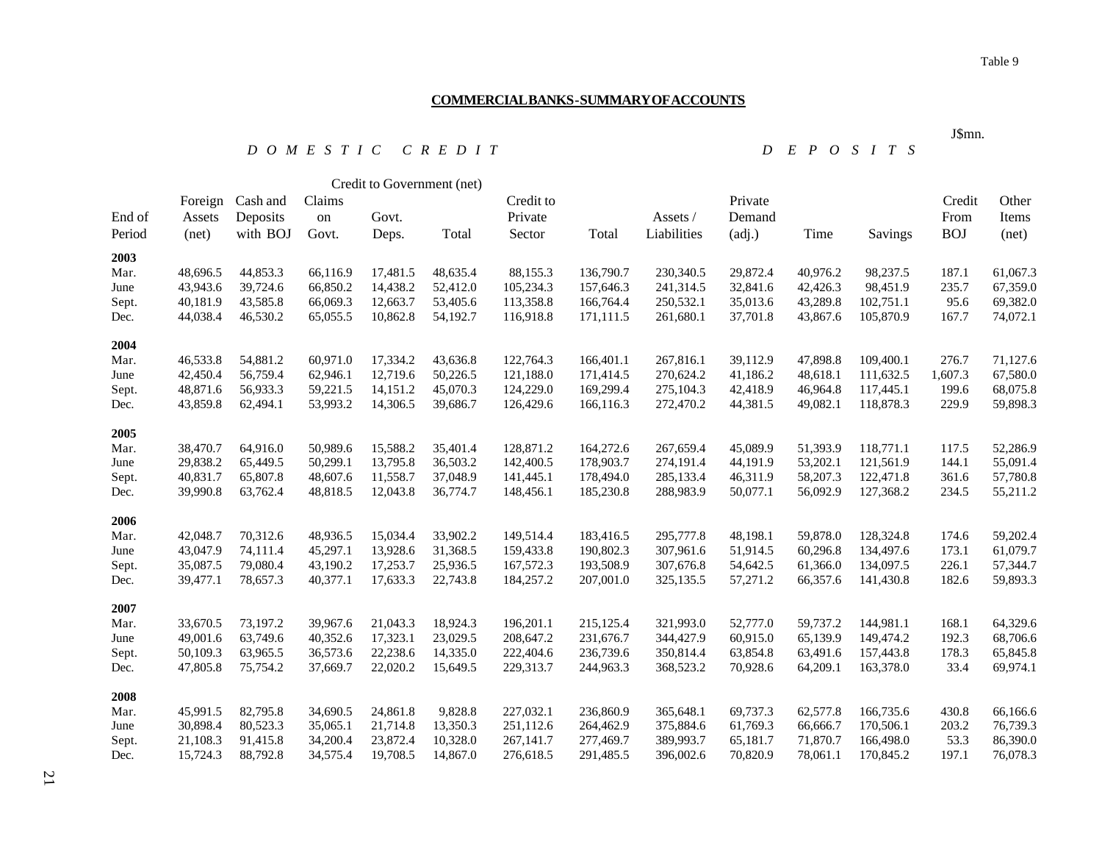# **COMMERCIAL BANKS - SUMMARY OF ACCOUNTS**

#### *D O M E S T I C C R E D I T D E P O S I T S*

|        |          |          |          | Credit to Government (net) |          |           |            |             |          |          |           |            |          |
|--------|----------|----------|----------|----------------------------|----------|-----------|------------|-------------|----------|----------|-----------|------------|----------|
|        | Foreign  | Cash and | Claims   |                            |          | Credit to |            |             | Private  |          |           | Credit     | Other    |
| End of | Assets   | Deposits | on       | Govt.                      |          | Private   |            | Assets /    | Demand   |          |           | From       | Items    |
| Period | (net)    | with BOJ | Govt.    | Deps.                      | Total    | Sector    | Total      | Liabilities | (adj.)   | Time     | Savings   | <b>BOJ</b> | (net)    |
| 2003   |          |          |          |                            |          |           |            |             |          |          |           |            |          |
| Mar.   | 48,696.5 | 44,853.3 | 66,116.9 | 17,481.5                   | 48,635.4 | 88,155.3  | 136,790.7  | 230,340.5   | 29,872.4 | 40,976.2 | 98,237.5  | 187.1      | 61,067.3 |
| June   | 43,943.6 | 39,724.6 | 66,850.2 | 14,438.2                   | 52,412.0 | 105,234.3 | 157,646.3  | 241,314.5   | 32,841.6 | 42,426.3 | 98,451.9  | 235.7      | 67,359.0 |
| Sept.  | 40,181.9 | 43,585.8 | 66,069.3 | 12,663.7                   | 53,405.6 | 113,358.8 | 166,764.4  | 250,532.1   | 35,013.6 | 43,289.8 | 102,751.1 | 95.6       | 69,382.0 |
| Dec.   | 44,038.4 | 46,530.2 | 65,055.5 | 10,862.8                   | 54,192.7 | 116,918.8 | 171,111.5  | 261,680.1   | 37,701.8 | 43,867.6 | 105,870.9 | 167.7      | 74,072.1 |
| 2004   |          |          |          |                            |          |           |            |             |          |          |           |            |          |
| Mar.   | 46,533.8 | 54,881.2 | 60,971.0 | 17,334.2                   | 43,636.8 | 122,764.3 | 166,401.1  | 267,816.1   | 39,112.9 | 47,898.8 | 109,400.1 | 276.7      | 71,127.6 |
| June   | 42,450.4 | 56,759.4 | 62,946.1 | 12,719.6                   | 50,226.5 | 121,188.0 | 171,414.5  | 270,624.2   | 41,186.2 | 48,618.1 | 111,632.5 | 1,607.3    | 67,580.0 |
| Sept.  | 48,871.6 | 56,933.3 | 59,221.5 | 14,151.2                   | 45,070.3 | 124,229.0 | 169,299.4  | 275,104.3   | 42,418.9 | 46,964.8 | 117,445.1 | 199.6      | 68,075.8 |
| Dec.   | 43,859.8 | 62,494.1 | 53,993.2 | 14,306.5                   | 39,686.7 | 126,429.6 | 166,116.3  | 272,470.2   | 44,381.5 | 49,082.1 | 118,878.3 | 229.9      | 59,898.3 |
| 2005   |          |          |          |                            |          |           |            |             |          |          |           |            |          |
| Mar.   | 38,470.7 | 64,916.0 | 50,989.6 | 15,588.2                   | 35,401.4 | 128,871.2 | 164,272.6  | 267,659.4   | 45,089.9 | 51,393.9 | 118,771.1 | 117.5      | 52,286.9 |
| June   | 29,838.2 | 65,449.5 | 50,299.1 | 13,795.8                   | 36,503.2 | 142,400.5 | 178,903.7  | 274,191.4   | 44,191.9 | 53,202.1 | 121,561.9 | 144.1      | 55,091.4 |
| Sept.  | 40,831.7 | 65,807.8 | 48,607.6 | 11,558.7                   | 37,048.9 | 141,445.1 | 178,494.0  | 285,133.4   | 46,311.9 | 58,207.3 | 122,471.8 | 361.6      | 57,780.8 |
| Dec.   | 39,990.8 | 63,762.4 | 48,818.5 | 12,043.8                   | 36,774.7 | 148,456.1 | 185,230.8  | 288,983.9   | 50,077.1 | 56,092.9 | 127,368.2 | 234.5      | 55,211.2 |
| 2006   |          |          |          |                            |          |           |            |             |          |          |           |            |          |
| Mar.   | 42,048.7 | 70,312.6 | 48,936.5 | 15,034.4                   | 33,902.2 | 149,514.4 | 183,416.5  | 295,777.8   | 48,198.1 | 59,878.0 | 128,324.8 | 174.6      | 59,202.4 |
| June   | 43,047.9 | 74,111.4 | 45,297.1 | 13,928.6                   | 31,368.5 | 159,433.8 | 190,802.3  | 307,961.6   | 51,914.5 | 60,296.8 | 134,497.6 | 173.1      | 61,079.7 |
| Sept.  | 35,087.5 | 79,080.4 | 43,190.2 | 17,253.7                   | 25,936.5 | 167,572.3 | 193,508.9  | 307,676.8   | 54,642.5 | 61,366.0 | 134,097.5 | 226.1      | 57,344.7 |
| Dec.   | 39,477.1 | 78,657.3 | 40,377.1 | 17,633.3                   | 22,743.8 | 184,257.2 | 207,001.0  | 325,135.5   | 57,271.2 | 66,357.6 | 141,430.8 | 182.6      | 59,893.3 |
| 2007   |          |          |          |                            |          |           |            |             |          |          |           |            |          |
| Mar.   | 33,670.5 | 73,197.2 | 39,967.6 | 21,043.3                   | 18,924.3 | 196,201.1 | 215, 125.4 | 321,993.0   | 52,777.0 | 59,737.2 | 144,981.1 | 168.1      | 64,329.6 |
| June   | 49,001.6 | 63,749.6 | 40,352.6 | 17,323.1                   | 23,029.5 | 208,647.2 | 231,676.7  | 344,427.9   | 60,915.0 | 65,139.9 | 149,474.2 | 192.3      | 68,706.6 |
| Sept.  | 50,109.3 | 63,965.5 | 36,573.6 | 22,238.6                   | 14,335.0 | 222,404.6 | 236,739.6  | 350,814.4   | 63,854.8 | 63,491.6 | 157,443.8 | 178.3      | 65,845.8 |
| Dec.   | 47,805.8 | 75,754.2 | 37,669.7 | 22,020.2                   | 15,649.5 | 229,313.7 | 244,963.3  | 368,523.2   | 70,928.6 | 64,209.1 | 163,378.0 | 33.4       | 69,974.1 |
| 2008   |          |          |          |                            |          |           |            |             |          |          |           |            |          |
| Mar.   | 45,991.5 | 82,795.8 | 34,690.5 | 24,861.8                   | 9,828.8  | 227,032.1 | 236,860.9  | 365,648.1   | 69,737.3 | 62,577.8 | 166,735.6 | 430.8      | 66,166.6 |
| June   | 30,898.4 | 80,523.3 | 35,065.1 | 21,714.8                   | 13,350.3 | 251,112.6 | 264,462.9  | 375,884.6   | 61,769.3 | 66,666.7 | 170,506.1 | 203.2      | 76,739.3 |
| Sept.  | 21,108.3 | 91,415.8 | 34,200.4 | 23,872.4                   | 10,328.0 | 267,141.7 | 277,469.7  | 389,993.7   | 65,181.7 | 71,870.7 | 166,498.0 | 53.3       | 86,390.0 |
| Dec.   | 15,724.3 | 88,792.8 | 34,575.4 | 19,708.5                   | 14,867.0 | 276,618.5 | 291,485.5  | 396,002.6   | 70,820.9 | 78,061.1 | 170,845.2 | 197.1      | 76,078.3 |

J\$mn.

21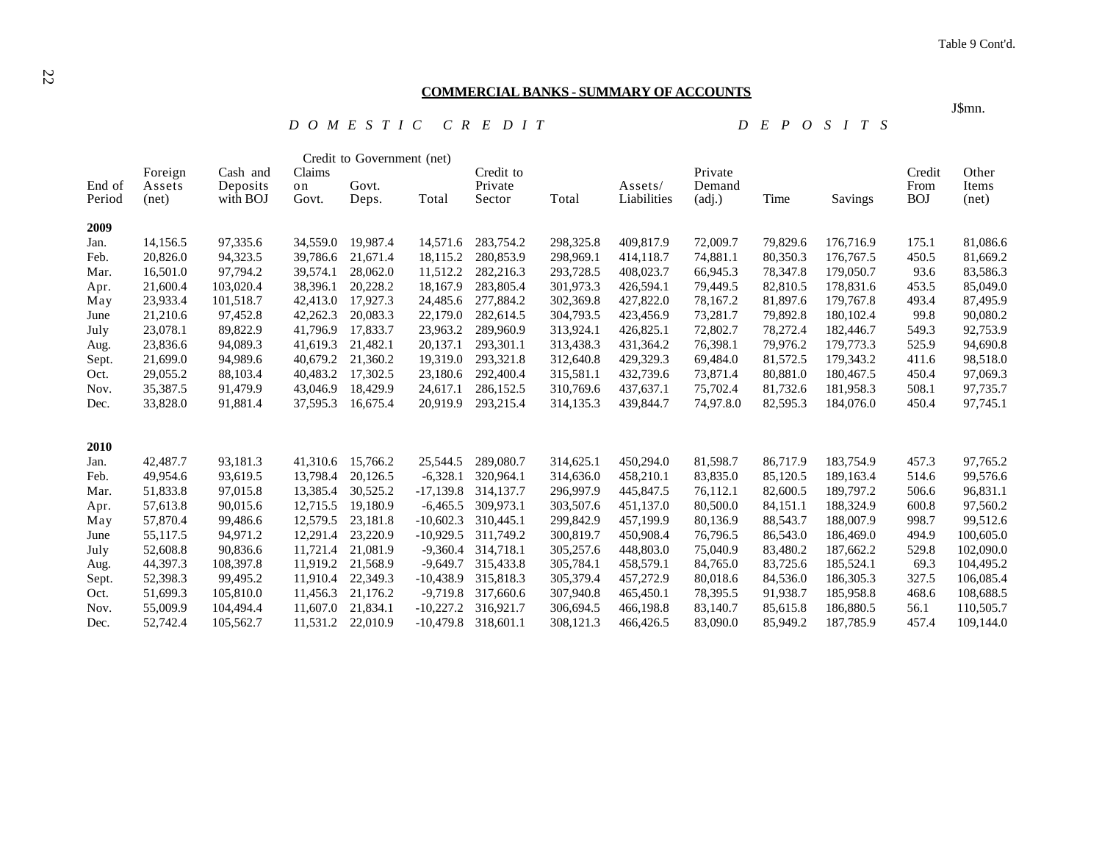J\$mn.

#### **COMMERCIAL BANKS - SUMMARY OF ACCOUNTS**

 *D O M E S T I C C R E D I T D E P O S I T S*

|                  |                            |                                  |                       | Credit to Government (net) |             |                                |            |                        |                                            |          |           |                              |                         |
|------------------|----------------------------|----------------------------------|-----------------------|----------------------------|-------------|--------------------------------|------------|------------------------|--------------------------------------------|----------|-----------|------------------------------|-------------------------|
| End of<br>Period | Foreign<br>Assets<br>(net) | Cash and<br>Deposits<br>with BOJ | Claims<br>on<br>Govt. | Govt.<br>Deps.             | Total       | Credit to<br>Private<br>Sector | Total      | Assets/<br>Liabilities | Private<br>Demand<br>$\left( adj. \right)$ | Time     | Savings   | Credit<br>From<br><b>BOJ</b> | Other<br>Items<br>(net) |
| 2009             |                            |                                  |                       |                            |             |                                |            |                        |                                            |          |           |                              |                         |
| Jan.             | 14,156.5                   | 97,335.6                         | 34,559.0              | 19,987.4                   | 14,571.6    | 283,754.2                      | 298,325.8  | 409,817.9              | 72,009.7                                   | 79,829.6 | 176,716.9 | 175.1                        | 81,086.6                |
| Feb.             | 20,826.0                   | 94,323.5                         | 39,786.6              | 21,671.4                   | 18,115.2    | 280,853.9                      | 298,969.1  | 414,118.7              | 74,881.1                                   | 80,350.3 | 176,767.5 | 450.5                        | 81,669.2                |
| Mar.             | 16,501.0                   | 97,794.2                         | 39,574.1              | 28,062.0                   | 11,512.2    | 282,216.3                      | 293,728.5  | 408,023.7              | 66,945.3                                   | 78,347.8 | 179,050.7 | 93.6                         | 83,586.3                |
| Apr.             | 21,600.4                   | 103,020.4                        | 38,396.1              | 20,228.2                   | 18,167.9    | 283,805.4                      | 301,973.3  | 426,594.1              | 79,449.5                                   | 82,810.5 | 178,831.6 | 453.5                        | 85,049.0                |
| May              | 23,933.4                   | 101,518.7                        | 42,413.0              | 17,927.3                   | 24,485.6    | 277,884.2                      | 302,369.8  | 427,822.0              | 78,167.2                                   | 81,897.6 | 179,767.8 | 493.4                        | 87,495.9                |
| June             | 21,210.6                   | 97,452.8                         | 42,262.3              | 20,083.3                   | 22,179.0    | 282,614.5                      | 304,793.5  | 423,456.9              | 73,281.7                                   | 79,892.8 | 180,102.4 | 99.8                         | 90,080.2                |
| July             | 23,078.1                   | 89,822.9                         | 41,796.9              | 17,833.7                   | 23,963.2    | 289,960.9                      | 313,924.1  | 426,825.1              | 72,802.7                                   | 78,272.4 | 182,446.7 | 549.3                        | 92,753.9                |
| Aug.             | 23,836.6                   | 94,089.3                         | 41,619.3              | 21,482.1                   | 20,137.1    | 293,301.1                      | 313,438.3  | 431,364.2              | 76,398.1                                   | 79,976.2 | 179,773.3 | 525.9                        | 94,690.8                |
| Sept.            | 21,699.0                   | 94,989.6                         | 40,679.2              | 21,360.2                   | 19,319.0    | 293,321.8                      | 312,640.8  | 429,329.3              | 69,484.0                                   | 81,572.5 | 179,343.2 | 411.6                        | 98,518.0                |
| Oct.             | 29,055.2                   | 88,103.4                         | 40,483.2              | 17,302.5                   | 23,180.6    | 292,400.4                      | 315,581.1  | 432,739.6              | 73,871.4                                   | 80,881.0 | 180,467.5 | 450.4                        | 97,069.3                |
| Nov.             | 35,387.5                   | 91,479.9                         | 43,046.9              | 18,429.9                   | 24,617.1    | 286,152.5                      | 310,769.6  | 437,637.1              | 75,702.4                                   | 81,732.6 | 181,958.3 | 508.1                        | 97,735.7                |
| Dec.             | 33,828.0                   | 91,881.4                         | 37,595.3              | 16,675.4                   | 20.919.9    | 293,215.4                      | 314, 135.3 | 439,844.7              | 74,97.8.0                                  | 82,595.3 | 184,076.0 | 450.4                        | 97,745.1                |
| 2010             |                            |                                  |                       |                            |             |                                |            |                        |                                            |          |           |                              |                         |
| Jan.             | 42,487.7                   | 93,181.3                         | 41,310.6              | 15,766.2                   | 25,544.5    | 289,080.7                      | 314,625.1  | 450,294.0              | 81,598.7                                   | 86,717.9 | 183,754.9 | 457.3                        | 97,765.2                |
| Feb.             | 49,954.6                   | 93,619.5                         | 13,798.4              | 20,126.5                   | $-6,328.1$  | 320.964.1                      | 314,636.0  | 458,210.1              | 83,835.0                                   | 85,120.5 | 189,163.4 | 514.6                        | 99,576.6                |
| Mar.             | 51,833.8                   | 97,015.8                         | 13,385.4              | 30,525.2                   | $-17,139.8$ | 314, 137.7                     | 296,997.9  | 445,847.5              | 76,112.1                                   | 82,600.5 | 189,797.2 | 506.6                        | 96,831.1                |
| Apr.             | 57,613.8                   | 90,015.6                         | 12,715.5              | 19,180.9                   | $-6,465.5$  | 309,973.1                      | 303,507.6  | 451,137.0              | 80,500.0                                   | 84,151.1 | 188,324.9 | 600.8                        | 97,560.2                |
| May              | 57,870.4                   | 99,486.6                         | 12,579.5              | 23,181.8                   | $-10,602.3$ | 310,445.1                      | 299,842.9  | 457,199.9              | 80,136.9                                   | 88,543.7 | 188,007.9 | 998.7                        | 99,512.6                |
| June             | 55,117.5                   | 94,971.2                         | 12,291.4              | 23,220.9                   | $-10,929.5$ | 311,749.2                      | 300,819.7  | 450,908.4              | 76,796.5                                   | 86,543.0 | 186,469.0 | 494.9                        | 100,605.0               |
| July             | 52,608.8                   | 90,836.6                         | 11,721.4              | 21,081.9                   | $-9,360.4$  | 314,718.1                      | 305,257.6  | 448,803.0              | 75,040.9                                   | 83,480.2 | 187,662.2 | 529.8                        | 102,090.0               |
| Aug.             | 44,397.3                   | 108,397.8                        | 11,919.2              | 21,568.9                   | $-9,649.7$  | 315,433.8                      | 305,784.1  | 458,579.1              | 84,765.0                                   | 83,725.6 | 185,524.1 | 69.3                         | 104,495.2               |
| Sept.            | 52,398.3                   | 99,495.2                         | 11,910.4              | 22,349.3                   | $-10,438.9$ | 315,818.3                      | 305,379.4  | 457,272.9              | 80,018.6                                   | 84,536.0 | 186,305.3 | 327.5                        | 106,085.4               |
| Oct.             | 51,699.3                   | 105,810.0                        | 11,456.3              | 21,176.2                   | $-9,719.8$  | 317,660.6                      | 307,940.8  | 465,450.1              | 78,395.5                                   | 91,938.7 | 185,958.8 | 468.6                        | 108,688.5               |
| Nov.             | 55,009.9                   | 104,494.4                        | 11,607.0              | 21,834.1                   | $-10,227.2$ | 316,921.7                      | 306,694.5  | 466,198.8              | 83,140.7                                   | 85,615.8 | 186,880.5 | 56.1                         | 110,505.7               |
| Dec.             | 52,742.4                   | 105.562.7                        | 11.531.2              | 22,010.9                   | $-10,479.8$ | 318,601.1                      | 308.121.3  | 466,426.5              | 83,090.0                                   | 85,949.2 | 187,785.9 | 457.4                        | 109,144.0               |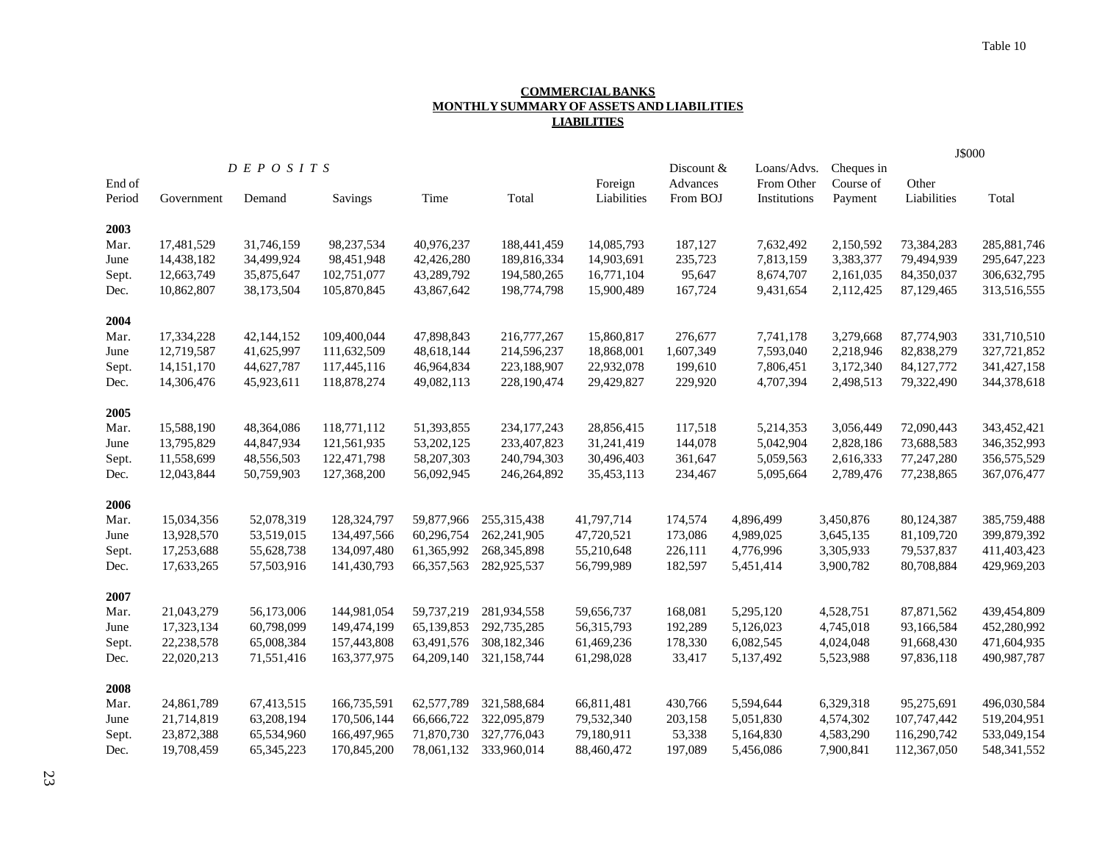#### **COMMERCIAL BANKS MONTHLY SUMMARY OF ASSETS AND LIABILITIES LIABILITIES**

|        |            |                 |               |              |               | J\$000      |                        |                           |                         |             |               |
|--------|------------|-----------------|---------------|--------------|---------------|-------------|------------------------|---------------------------|-------------------------|-------------|---------------|
| End of |            | D E P O S I T S |               |              |               | Foreign     | Discount &<br>Advances | Loans/Advs.<br>From Other | Cheques in<br>Course of | Other       |               |
| Period | Government | Demand          | Savings       | Time         | Total         | Liabilities | From BOJ               | Institutions              | Payment                 | Liabilities | Total         |
| 2003   |            |                 |               |              |               |             |                        |                           |                         |             |               |
| Mar.   | 17,481,529 | 31,746,159      | 98,237,534    | 40,976,237   | 188,441,459   | 14,085,793  | 187,127                | 7,632,492                 | 2,150,592               | 73,384,283  | 285,881,746   |
| June   | 14,438,182 | 34,499,924      | 98,451,948    | 42,426,280   | 189,816,334   | 14,903,691  | 235,723                | 7,813,159                 | 3,383,377               | 79,494,939  | 295,647,223   |
| Sept.  | 12,663,749 | 35,875,647      | 102,751,077   | 43,289,792   | 194,580,265   | 16,771,104  | 95,647                 | 8,674,707                 | 2,161,035               | 84,350,037  | 306,632,795   |
| Dec.   | 10,862,807 | 38,173,504      | 105,870,845   | 43,867,642   | 198,774,798   | 15,900,489  | 167,724                | 9,431,654                 | 2,112,425               | 87,129,465  | 313,516,555   |
| 2004   |            |                 |               |              |               |             |                        |                           |                         |             |               |
| Mar.   | 17,334,228 | 42,144,152      | 109,400,044   | 47,898,843   | 216,777,267   | 15,860,817  | 276,677                | 7,741,178                 | 3,279,668               | 87,774,903  | 331,710,510   |
| June   | 12,719,587 | 41,625,997      | 111,632,509   | 48,618,144   | 214,596,237   | 18,868,001  | 1,607,349              | 7,593,040                 | 2,218,946               | 82,838,279  | 327,721,852   |
| Sept.  | 14,151,170 | 44,627,787      | 117,445,116   | 46,964,834   | 223,188,907   | 22,932,078  | 199,610                | 7,806,451                 | 3,172,340               | 84,127,772  | 341, 427, 158 |
| Dec.   | 14,306,476 | 45,923,611      | 118,878,274   | 49,082,113   | 228,190,474   | 29,429,827  | 229,920                | 4,707,394                 | 2,498,513               | 79,322,490  | 344,378,618   |
| 2005   |            |                 |               |              |               |             |                        |                           |                         |             |               |
| Mar.   | 15,588,190 | 48,364,086      | 118,771,112   | 51,393,855   | 234, 177, 243 | 28,856,415  | 117,518                | 5,214,353                 | 3,056,449               | 72,090,443  | 343,452,421   |
| June   | 13,795,829 | 44,847,934      | 121,561,935   | 53, 202, 125 | 233,407,823   | 31,241,419  | 144,078                | 5,042,904                 | 2,828,186               | 73,688,583  | 346,352,993   |
| Sept.  | 11,558,699 | 48,556,503      | 122,471,798   | 58,207,303   | 240,794,303   | 30,496,403  | 361,647                | 5,059,563                 | 2,616,333               | 77,247,280  | 356,575,529   |
| Dec.   | 12,043,844 | 50,759,903      | 127,368,200   | 56,092,945   | 246,264,892   | 35,453,113  | 234,467                | 5,095,664                 | 2,789,476               | 77,238,865  | 367,076,477   |
| 2006   |            |                 |               |              |               |             |                        |                           |                         |             |               |
| Mar.   | 15,034,356 | 52,078,319      | 128,324,797   | 59,877,966   | 255, 315, 438 | 41,797,714  | 174,574                | 4,896,499                 | 3,450,876               | 80,124,387  | 385,759,488   |
| June   | 13,928,570 | 53,519,015      | 134,497,566   | 60,296,754   | 262,241,905   | 47,720,521  | 173,086                | 4,989,025                 | 3,645,135               | 81,109,720  | 399,879,392   |
| Sept.  | 17,253,688 | 55,628,738      | 134,097,480   | 61,365,992   | 268, 345, 898 | 55,210,648  | 226,111                | 4,776,996                 | 3,305,933               | 79,537,837  | 411,403,423   |
| Dec.   | 17,633,265 | 57,503,916      | 141,430,793   | 66, 357, 563 | 282,925,537   | 56,799,989  | 182,597                | 5,451,414                 | 3,900,782               | 80,708,884  | 429,969,203   |
| 2007   |            |                 |               |              |               |             |                        |                           |                         |             |               |
| Mar.   | 21,043,279 | 56,173,006      | 144,981,054   | 59,737,219   | 281,934,558   | 59,656,737  | 168,081                | 5,295,120                 | 4,528,751               | 87,871,562  | 439,454,809   |
| June   | 17,323,134 | 60,798,099      | 149,474,199   | 65,139,853   | 292,735,285   | 56,315,793  | 192,289                | 5,126,023                 | 4,745,018               | 93,166,584  | 452,280,992   |
| Sept.  | 22,238,578 | 65,008,384      | 157,443,808   | 63,491,576   | 308,182,346   | 61,469,236  | 178,330                | 6,082,545                 | 4,024,048               | 91,668,430  | 471,604,935   |
| Dec.   | 22,020,213 | 71,551,416      | 163, 377, 975 | 64,209,140   | 321,158,744   | 61,298,028  | 33,417                 | 5,137,492                 | 5,523,988               | 97,836,118  | 490,987,787   |
| 2008   |            |                 |               |              |               |             |                        |                           |                         |             |               |
| Mar.   | 24,861,789 | 67,413,515      | 166,735,591   | 62,577,789   | 321,588,684   | 66,811,481  | 430,766                | 5,594,644                 | 6,329,318               | 95,275,691  | 496,030,584   |
| June   | 21,714,819 | 63,208,194      | 170,506,144   | 66,666,722   | 322,095,879   | 79,532,340  | 203,158                | 5,051,830                 | 4,574,302               | 107,747,442 | 519,204,951   |
| Sept.  | 23,872,388 | 65,534,960      | 166,497,965   | 71,870,730   | 327,776,043   | 79,180,911  | 53,338                 | 5,164,830                 | 4,583,290               | 116,290,742 | 533,049,154   |
| Dec.   | 19,708,459 | 65, 345, 223    | 170,845,200   | 78,061,132   | 333,960,014   | 88,460,472  | 197,089                | 5,456,086                 | 7,900,841               | 112,367,050 | 548,341,552   |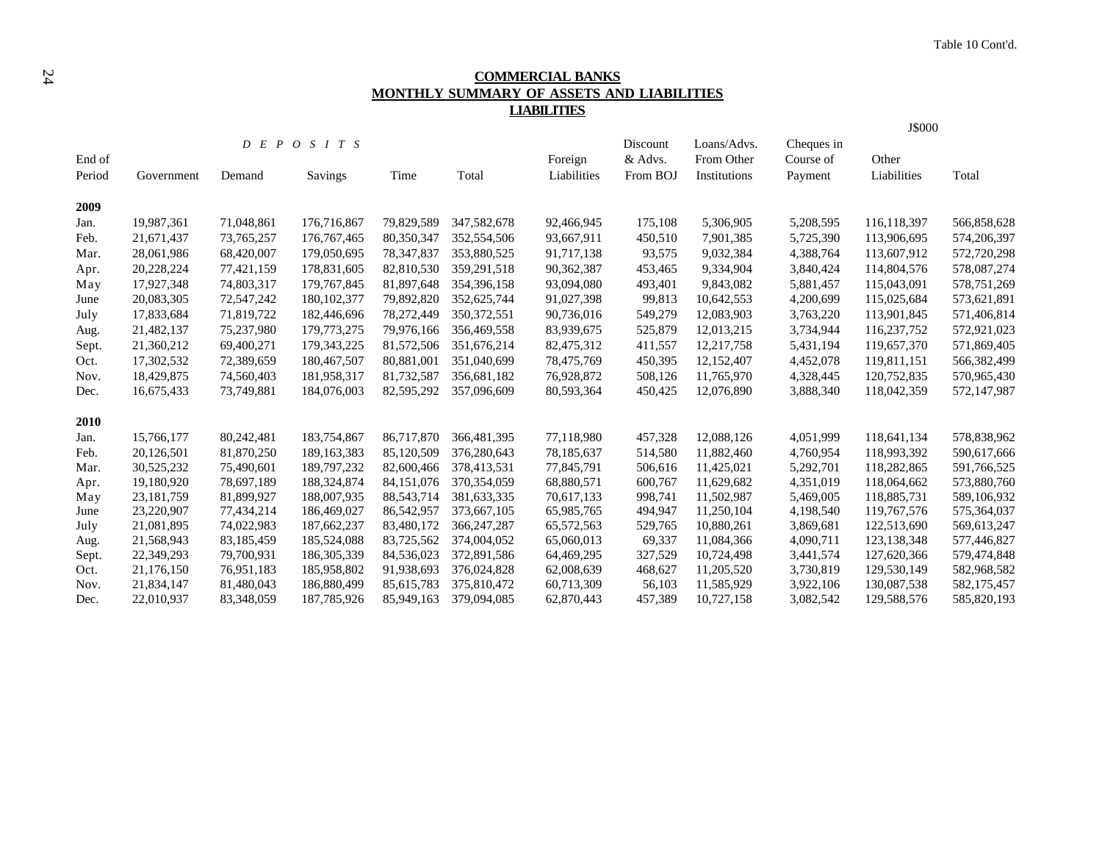# **COMMERCIAL BANKS MONTHLY SUMMARY OF ASSETS AND LIABILITIES LIABILITIES**

|        |              |              |                 |            |               |             |          |              |            | J\$000        |             |
|--------|--------------|--------------|-----------------|------------|---------------|-------------|----------|--------------|------------|---------------|-------------|
|        |              |              | D E P O S I T S |            |               |             | Discount | Loans/Advs.  | Cheques in |               |             |
| End of |              |              |                 |            |               | Foreign     | & Advs.  | From Other   | Course of  | Other         |             |
| Period | Government   | Demand       | Savings         | Time       | Total         | Liabilities | From BOJ | Institutions | Payment    | Liabilities   | Total       |
| 2009   |              |              |                 |            |               |             |          |              |            |               |             |
| Jan.   | 19,987,361   | 71,048,861   | 176,716,867     | 79,829,589 | 347,582,678   | 92,466,945  | 175,108  | 5,306,905    | 5,208,595  | 116,118,397   | 566,858,628 |
| Feb.   | 21,671,437   | 73, 765, 257 | 176, 767, 465   | 80,350,347 | 352,554,506   | 93,667,911  | 450,510  | 7,901,385    | 5,725,390  | 113,906,695   | 574,206,397 |
| Mar.   | 28,061,986   | 68,420,007   | 179,050,695     | 78,347,837 | 353,880,525   | 91,717,138  | 93,575   | 9,032,384    | 4,388,764  | 113,607,912   | 572,720,298 |
| Apr.   | 20,228,224   | 77,421,159   | 178,831,605     | 82,810,530 | 359,291,518   | 90,362,387  | 453,465  | 9,334,904    | 3,840,424  | 114,804,576   | 578,087,274 |
| May    | 17,927,348   | 74,803,317   | 179,767,845     | 81,897,648 | 354,396,158   | 93,094,080  | 493,401  | 9,843,082    | 5,881,457  | 115,043,091   | 578,751,269 |
| June   | 20,083,305   | 72,547,242   | 180, 102, 377   | 79,892,820 | 352,625,744   | 91,027,398  | 99,813   | 10,642,553   | 4,200,699  | 115,025,684   | 573,621,891 |
| July   | 17,833,684   | 71,819,722   | 182,446,696     | 78,272,449 | 350, 372, 551 | 90,736,016  | 549,279  | 12,083,903   | 3,763,220  | 113,901,845   | 571,406,814 |
| Aug.   | 21,482,137   | 75,237,980   | 179,773,275     | 79,976,166 | 356,469,558   | 83,939,675  | 525,879  | 12,013,215   | 3,734,944  | 116,237,752   | 572,921,023 |
| Sept.  | 21,360,212   | 69,400,271   | 179, 343, 225   | 81,572,506 | 351,676,214   | 82,475,312  | 411,557  | 12,217,758   | 5,431,194  | 119,657,370   | 571,869,405 |
| Oct.   | 17,302,532   | 72,389,659   | 180,467,507     | 80,881,001 | 351,040,699   | 78,475,769  | 450,395  | 12,152,407   | 4,452,078  | 119,811,151   | 566,382,499 |
| Nov.   | 18,429,875   | 74,560,403   | 181,958,317     | 81,732,587 | 356,681,182   | 76,928,872  | 508,126  | 11,765,970   | 4,328,445  | 120,752,835   | 570,965,430 |
| Dec.   | 16,675,433   | 73,749,881   | 184,076,003     | 82,595,292 | 357,096,609   | 80,593,364  | 450,425  | 12,076,890   | 3,888,340  | 118,042,359   | 572,147,987 |
| 2010   |              |              |                 |            |               |             |          |              |            |               |             |
| Jan.   | 15,766,177   | 80,242,481   | 183,754,867     | 86,717,870 | 366,481,395   | 77,118,980  | 457,328  | 12,088,126   | 4,051,999  | 118,641,134   | 578,838,962 |
| Feb.   | 20,126,501   | 81,870,250   | 189.163.383     | 85,120,509 | 376,280,643   | 78,185,637  | 514,580  | 11,882,460   | 4,760,954  | 118,993,392   | 590,617,666 |
| Mar.   | 30,525,232   | 75,490,601   | 189,797,232     | 82,600,466 | 378,413,531   | 77,845,791  | 506,616  | 11,425,021   | 5,292,701  | 118,282,865   | 591,766,525 |
| Apr.   | 19,180,920   | 78,697,189   | 188,324,874     | 84,151,076 | 370, 354, 059 | 68,880,571  | 600,767  | 11,629,682   | 4,351,019  | 118,064,662   | 573,880,760 |
| May    | 23, 181, 759 | 81,899,927   | 188,007,935     | 88,543,714 | 381,633,335   | 70,617,133  | 998,741  | 11,502,987   | 5,469,005  | 118,885,731   | 589,106,932 |
| June   | 23,220,907   | 77,434,214   | 186,469,027     | 86,542,957 | 373,667,105   | 65,985,765  | 494,947  | 11,250,104   | 4,198,540  | 119,767,576   | 575,364,037 |
| July   | 21,081,895   | 74,022,983   | 187,662,237     | 83,480,172 | 366, 247, 287 | 65,572,563  | 529,765  | 10,880,261   | 3,869,681  | 122,513,690   | 569,613,247 |
| Aug.   | 21,568,943   | 83,185,459   | 185,524,088     | 83,725,562 | 374,004,052   | 65,060,013  | 69,337   | 11,084,366   | 4,090,711  | 123, 138, 348 | 577,446,827 |
| Sept.  | 22,349,293   | 79,700,931   | 186, 305, 339   | 84,536,023 | 372,891,586   | 64,469,295  | 327,529  | 10,724,498   | 3,441,574  | 127,620,366   | 579,474,848 |
| Oct.   | 21,176,150   | 76,951,183   | 185,958,802     | 91,938,693 | 376,024,828   | 62,008,639  | 468,627  | 11,205,520   | 3,730,819  | 129,530,149   | 582,968,582 |
| Nov.   | 21,834,147   | 81,480,043   | 186,880,499     | 85,615,783 | 375,810,472   | 60,713,309  | 56,103   | 11,585,929   | 3,922,106  | 130,087,538   | 582,175,457 |
| Dec.   | 22,010,937   | 83,348,059   | 187,785,926     | 85,949,163 | 379,094,085   | 62,870,443  | 457,389  | 10,727,158   | 3,082,542  | 129,588,576   | 585,820,193 |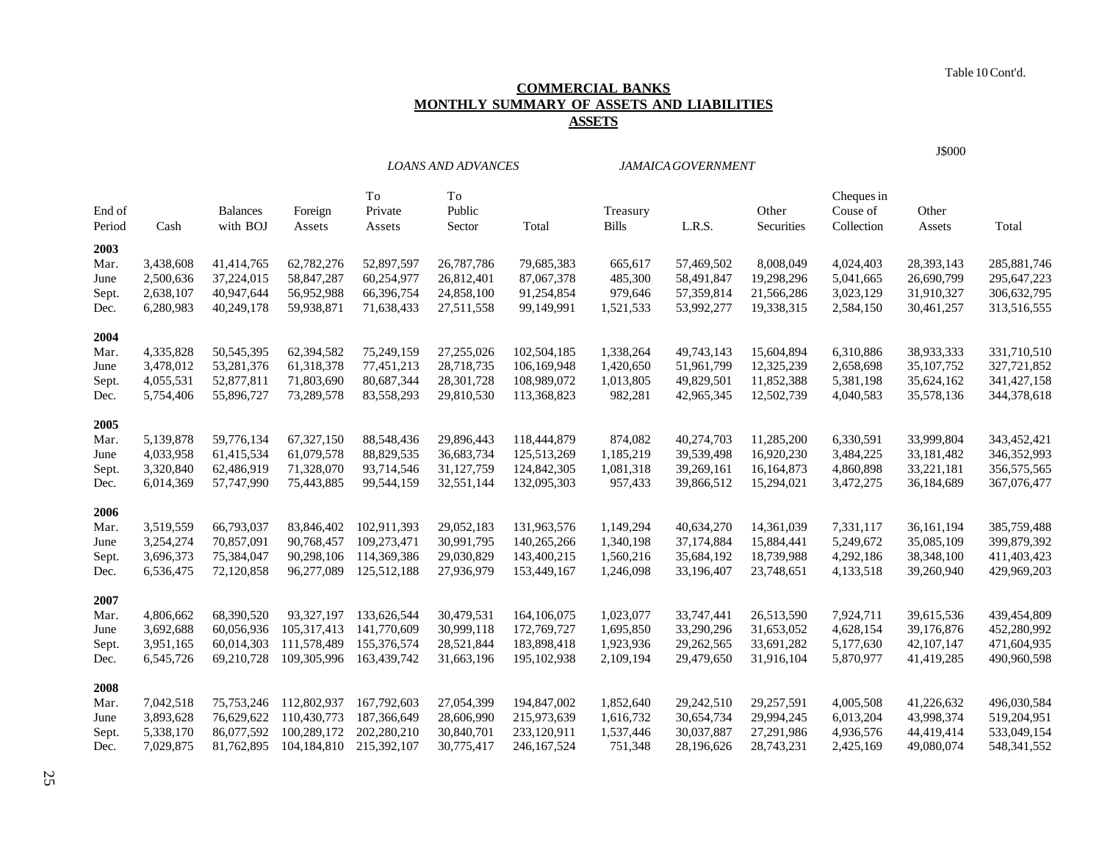Table 10 Cont'd.

# **COMMERCIAL BANKS MONTHLY SUMMARY OF ASSETS AND LIABILITIES ASSETS**

*LOANS AND ADVANCES JAMAICA GOVERNMENT*

| <b>J\$000</b> |
|---------------|
|               |

|        |           |                          |                             | To          | To         |               |              |            |            | Cheques in |                          |               |
|--------|-----------|--------------------------|-----------------------------|-------------|------------|---------------|--------------|------------|------------|------------|--------------------------|---------------|
| End of |           | <b>Balances</b>          | Foreign                     | Private     | Public     |               | Treasury     |            | Other      | Couse of   | Other                    |               |
| Period | Cash      | with BOJ                 | Assets                      | Assets      | Sector     | Total         | <b>Bills</b> | L.R.S.     | Securities | Collection | Assets                   | Total         |
| 2003   |           |                          |                             |             |            |               |              |            |            |            |                          |               |
| Mar.   | 3,438,608 | 41,414,765               | 62,782,276                  | 52,897,597  | 26,787,786 | 79,685,383    | 665,617      | 57,469,502 | 8,008,049  | 4,024,403  | 28,393,143               | 285,881,746   |
| June   | 2,500,636 | 37,224,015               | 58,847,287                  | 60,254,977  | 26,812,401 | 87,067,378    | 485,300      | 58,491,847 | 19,298,296 | 5,041,665  | 26,690,799               | 295,647,223   |
| Sept.  | 2,638,107 | 40,947,644               | 56,952,988                  | 66,396,754  | 24,858,100 | 91,254,854    | 979,646      | 57,359,814 | 21,566,286 | 3,023,129  | 31,910,327               | 306,632,795   |
| Dec.   | 6,280,983 | 40,249,178               | 59,938,871                  | 71,638,433  | 27,511,558 | 99,149,991    | 1,521,533    | 53,992,277 | 19,338,315 | 2,584,150  | 30,461,257               | 313,516,555   |
| 2004   |           |                          |                             |             |            |               |              |            |            |            |                          |               |
| Mar.   | 4,335,828 | 50,545,395               | 62,394,582                  | 75,249,159  | 27,255,026 | 102,504,185   | 1,338,264    | 49,743,143 | 15,604,894 | 6,310,886  | 38,933,333               | 331,710,510   |
| June   | 3,478,012 | 53,281,376               | 61,318,378                  | 77,451,213  | 28,718,735 | 106,169,948   | 1,420,650    | 51,961,799 | 12,325,239 | 2,658,698  | 35,107,752               | 327,721,852   |
| Sept.  | 4,055,531 | 52,877,811               | 71,803,690                  | 80,687,344  | 28,301,728 | 108,989,072   | 1,013,805    | 49,829,501 | 11,852,388 | 5,381,198  | 35,624,162               | 341, 427, 158 |
| Dec.   | 5,754,406 | 55,896,727               | 73,289,578                  | 83,558,293  | 29,810,530 | 113,368,823   | 982,281      | 42,965,345 | 12,502,739 | 4,040,583  | 35,578,136               | 344,378,618   |
| 2005   |           |                          |                             |             |            |               |              |            |            |            |                          |               |
| Mar.   | 5,139,878 | 59,776,134               | 67,327,150                  | 88,548,436  | 29,896,443 | 118,444,879   | 874,082      | 40,274,703 | 11,285,200 | 6,330,591  | 33,999,804               | 343,452,421   |
| June   | 4,033,958 | 61,415,534               | 61,079,578                  | 88,829,535  | 36,683,734 | 125,513,269   | 1,185,219    | 39,539,498 | 16,920,230 | 3,484,225  | 33,181,482               | 346, 352, 993 |
| Sept.  | 3,320,840 | 62,486,919               | 71,328,070                  | 93,714,546  | 31,127,759 | 124,842,305   | 1,081,318    | 39,269,161 | 16,164,873 | 4,860,898  | 33,221,181               | 356,575,565   |
| Dec.   | 6,014,369 | 57,747,990               | 75,443,885                  | 99,544,159  | 32,551,144 | 132,095,303   | 957,433      | 39,866,512 | 15,294,021 | 3,472,275  | 36,184,689               | 367,076,477   |
| 2006   |           |                          |                             |             |            |               |              |            |            |            |                          |               |
| Mar.   | 3,519,559 | 66,793,037               | 83,846,402                  | 102.911.393 | 29,052,183 | 131,963,576   | 1.149.294    | 40,634,270 | 14,361,039 | 7,331,117  | 36,161,194               | 385,759,488   |
| June   | 3,254,274 | 70,857,091               | 90,768,457                  | 109,273,471 | 30,991,795 | 140,265,266   | 1,340,198    | 37,174,884 | 15,884,441 | 5,249,672  | 35,085,109               | 399,879,392   |
| Sept.  | 3,696,373 | 75,384,047               | 90,298,106                  | 114,369,386 | 29,030,829 | 143,400,215   | 1,560,216    | 35,684,192 | 18,739,988 | 4,292,186  | 38,348,100               | 411,403,423   |
| Dec.   | 6,536,475 | 72,120,858               | 96,277,089                  | 125,512,188 | 27,936,979 | 153,449,167   | 1,246,098    | 33,196,407 | 23,748,651 | 4,133,518  | 39,260,940               | 429,969,203   |
|        |           |                          |                             |             |            |               |              |            |            |            |                          |               |
| 2007   |           |                          |                             |             |            |               |              |            |            |            |                          |               |
| Mar.   | 4,806,662 | 68,390,520<br>60,056,936 | 93,327,197<br>105, 317, 413 | 133,626,544 | 30,479,531 | 164,106,075   | 1,023,077    | 33,747,441 | 26,513,590 | 7,924,711  | 39,615,536<br>39,176,876 | 439,454,809   |
| June   | 3,692,688 |                          |                             | 141,770,609 | 30,999,118 | 172,769,727   | 1,695,850    | 33,290,296 | 31,653,052 | 4,628,154  |                          | 452,280,992   |
| Sept.  | 3,951,165 | 60,014,303               | 111,578,489                 | 155,376,574 | 28,521,844 | 183,898,418   | 1,923,936    | 29,262,565 | 33,691,282 | 5,177,630  | 42,107,147               | 471,604,935   |
| Dec.   | 6,545,726 | 69,210,728               | 109,305,996                 | 163,439,742 | 31,663,196 | 195, 102, 938 | 2,109,194    | 29,479,650 | 31,916,104 | 5,870,977  | 41,419,285               | 490,960,598   |
| 2008   |           |                          |                             |             |            |               |              |            |            |            |                          |               |
| Mar.   | 7,042,518 | 75,753,246               | 112,802,937                 | 167,792,603 | 27,054,399 | 194,847,002   | 1,852,640    | 29,242,510 | 29,257,591 | 4,005,508  | 41,226,632               | 496,030,584   |
| June   | 3,893,628 | 76,629,622               | 110,430,773                 | 187,366,649 | 28,606,990 | 215,973,639   | 1,616,732    | 30,654,734 | 29,994,245 | 6,013,204  | 43,998,374               | 519,204,951   |
| Sept.  | 5,338,170 | 86,077,592               | 100,289,172                 | 202,280,210 | 30,840,701 | 233,120,911   | 1,537,446    | 30,037,887 | 27,291,986 | 4,936,576  | 44,419,414               | 533,049,154   |
| Dec.   | 7,029,875 | 81,762,895               | 104,184,810                 | 215,392,107 | 30,775,417 | 246, 167, 524 | 751.348      | 28,196,626 | 28,743,231 | 2,425,169  | 49,080,074               | 548, 341, 552 |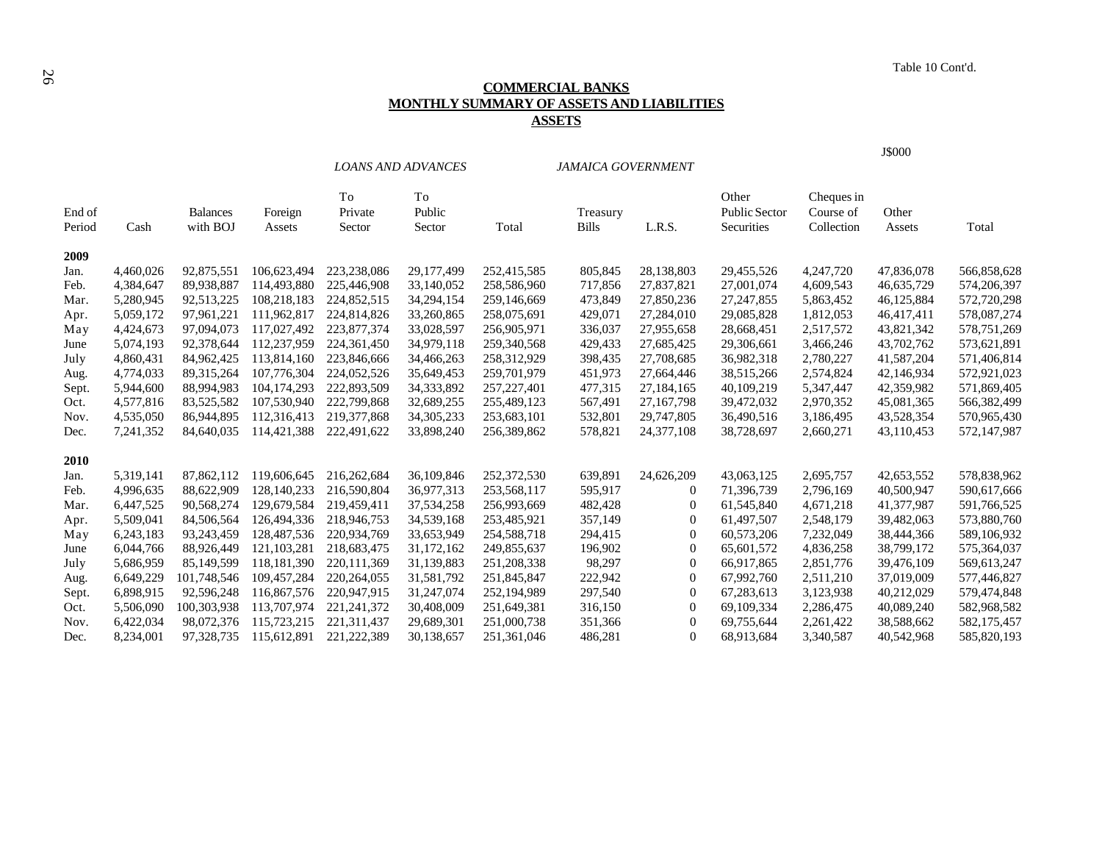# <sup>26</sup>Table 10 Cont'd. **COMMERCIAL BANKS MONTHLY SUMMARY OF ASSETS AND LIABILITIES ASSETS**

|                  |           |                             |                   |                         | <b>LOANS AND ADVANCES</b> |               | <b>JAMAICA GOVERNMENT</b> |                  |                                             |                                       | J\$000          |             |
|------------------|-----------|-----------------------------|-------------------|-------------------------|---------------------------|---------------|---------------------------|------------------|---------------------------------------------|---------------------------------------|-----------------|-------------|
| End of<br>Period | Cash      | <b>Balances</b><br>with BOJ | Foreign<br>Assets | To<br>Private<br>Sector | To<br>Public<br>Sector    | Total         | Treasury<br><b>Bills</b>  | L.R.S.           | Other<br><b>Public Sector</b><br>Securities | Cheques in<br>Course of<br>Collection | Other<br>Assets | Total       |
| 2009             |           |                             |                   |                         |                           |               |                           |                  |                                             |                                       |                 |             |
| Jan.             | 4,460,026 | 92,875,551                  | 106,623,494       | 223,238,086             | 29,177,499                | 252,415,585   | 805,845                   | 28,138,803       | 29,455,526                                  | 4,247,720                             | 47,836,078      | 566,858,628 |
| Feb.             | 4,384,647 | 89,938,887                  | 114,493,880       | 225,446,908             | 33,140,052                | 258,586,960   | 717,856                   | 27,837,821       | 27,001,074                                  | 4,609,543                             | 46,635,729      | 574,206,397 |
| Mar.             | 5,280,945 | 92,513,225                  | 108,218,183       | 224,852,515             | 34,294,154                | 259,146,669   | 473,849                   | 27,850,236       | 27, 247, 855                                | 5,863,452                             | 46,125,884      | 572,720,298 |
| Apr.             | 5,059,172 | 97,961,221                  | 111,962,817       | 224,814,826             | 33,260,865                | 258,075,691   | 429,071                   | 27,284,010       | 29,085,828                                  | 1,812,053                             | 46,417,411      | 578,087,274 |
| May              | 4,424,673 | 97,094,073                  | 117,027,492       | 223,877,374             | 33,028,597                | 256,905,971   | 336,037                   | 27,955,658       | 28,668,451                                  | 2,517,572                             | 43,821,342      | 578,751,269 |
| June             | 5,074,193 | 92,378,644                  | 112,237,959       | 224, 361, 450           | 34,979,118                | 259,340,568   | 429,433                   | 27,685,425       | 29,306,661                                  | 3,466,246                             | 43,702,762      | 573,621,891 |
| July             | 4,860,431 | 84,962,425                  | 113,814,160       | 223,846,666             | 34,466,263                | 258,312,929   | 398,435                   | 27,708,685       | 36,982,318                                  | 2,780,227                             | 41,587,204      | 571,406,814 |
| Aug.             | 4,774,033 | 89, 315, 264                | 107,776,304       | 224,052,526             | 35,649,453                | 259,701,979   | 451,973                   | 27,664,446       | 38,515,266                                  | 2,574,824                             | 42,146,934      | 572,921,023 |
| Sept.            | 5,944,600 | 88,994,983                  | 104, 174, 293     | 222,893,509             | 34, 333, 892              | 257, 227, 401 | 477,315                   | 27,184,165       | 40,109,219                                  | 5,347,447                             | 42,359,982      | 571,869,405 |
| Oct.             | 4,577,816 | 83,525,582                  | 107,530,940       | 222,799,868             | 32,689,255                | 255,489,123   | 567,491                   | 27, 167, 798     | 39,472,032                                  | 2,970,352                             | 45,081,365      | 566,382,499 |
| Nov.             | 4,535,050 | 86,944,895                  | 112,316,413       | 219, 377, 868           | 34, 305, 233              | 253,683,101   | 532,801                   | 29,747,805       | 36,490,516                                  | 3,186,495                             | 43,528,354      | 570,965,430 |
| Dec.             | 7,241,352 | 84,640,035                  | 114,421,388       | 222,491,622             | 33,898,240                | 256,389,862   | 578,821                   | 24, 377, 108     | 38,728,697                                  | 2,660,271                             | 43,110,453      | 572,147,987 |
| 2010             |           |                             |                   |                         |                           |               |                           |                  |                                             |                                       |                 |             |
| Jan.             | 5,319,141 | 87,862,112                  | 119,606,645       | 216,262,684             | 36,109,846                | 252,372,530   | 639,891                   | 24,626,209       | 43,063,125                                  | 2,695,757                             | 42,653,552      | 578,838,962 |
| Feb.             | 4,996,635 | 88,622,909                  | 128, 140, 233     | 216,590,804             | 36,977,313                | 253,568,117   | 595,917                   | 0                | 71,396,739                                  | 2,796,169                             | 40,500,947      | 590,617,666 |
| Mar.             | 6,447,525 | 90,568,274                  | 129,679,584       | 219,459,411             | 37,534,258                | 256,993,669   | 482,428                   | 0                | 61,545,840                                  | 4,671,218                             | 41,377,987      | 591,766,525 |
| Apr.             | 5,509,041 | 84,506,564                  | 126,494,336       | 218,946,753             | 34,539,168                | 253,485,921   | 357,149                   | $\boldsymbol{0}$ | 61,497,507                                  | 2,548,179                             | 39,482,063      | 573,880,760 |
| May              | 6,243,183 | 93,243,459                  | 128,487,536       | 220,934,769             | 33,653,949                | 254,588,718   | 294,415                   | $\boldsymbol{0}$ | 60,573,206                                  | 7,232,049                             | 38,444,366      | 589,106,932 |
| June             | 6,044,766 | 88,926,449                  | 121, 103, 281     | 218,683,475             | 31,172,162                | 249,855,637   | 196,902                   | $\boldsymbol{0}$ | 65,601,572                                  | 4,836,258                             | 38,799,172      | 575,364,037 |
| July             | 5,686,959 | 85,149,599                  | 118, 181, 390     | 220, 111, 369           | 31,139,883                | 251,208,338   | 98,297                    | 0                | 66,917,865                                  | 2,851,776                             | 39,476,109      | 569,613,247 |
| Aug.             | 6,649,229 | 101,748,546                 | 109,457,284       | 220, 264, 055           | 31,581,792                | 251,845,847   | 222,942                   | 0                | 67,992,760                                  | 2,511,210                             | 37,019,009      | 577,446,827 |
| Sept.            | 6,898,915 | 92,596,248                  | 116,867,576       | 220,947,915             | 31,247,074                | 252,194,989   | 297,540                   | $\mathbf{0}$     | 67,283,613                                  | 3,123,938                             | 40,212,029      | 579,474,848 |
| Oct.             | 5,506,090 | 100,303,938                 | 113,707,974       | 221, 241, 372           | 30,408,009                | 251,649,381   | 316,150                   | $\boldsymbol{0}$ | 69,109,334                                  | 2,286,475                             | 40,089,240      | 582,968,582 |
| Nov.             | 6,422,034 | 98,072,376                  | 115,723,215       | 221,311,437             | 29,689,301                | 251,000,738   | 351,366                   | $\boldsymbol{0}$ | 69,755,644                                  | 2,261,422                             | 38,588,662      | 582,175,457 |
| Dec.             | 8.234.001 | 97,328,735                  | 115,612,891       | 221,222,389             | 30,138,657                | 251,361,046   | 486,281                   | $\Omega$         | 68,913,684                                  | 3,340,587                             | 40,542,968      | 585,820,193 |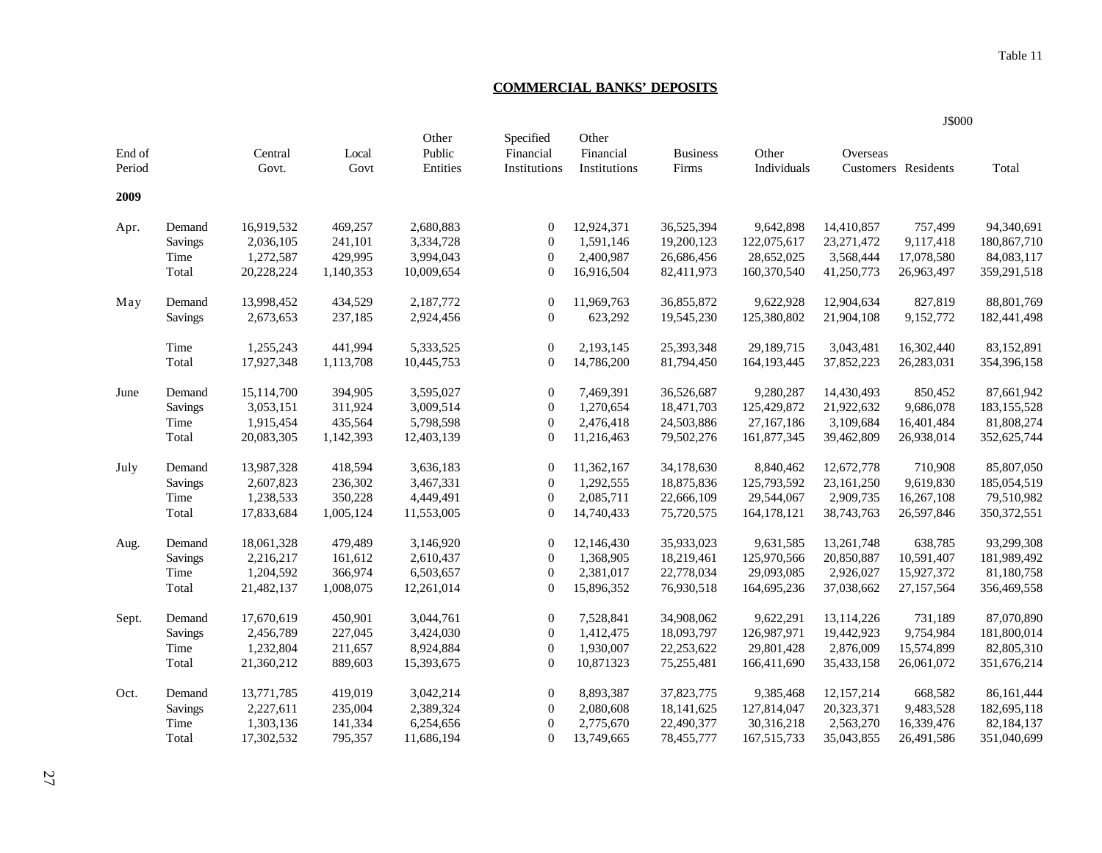# **COMMERCIAL BANKS' DEPOSITS**

|                  |                |                  |               |                             |                                        |                                    |                          |                      |              | J\$000              |               |
|------------------|----------------|------------------|---------------|-----------------------------|----------------------------------------|------------------------------------|--------------------------|----------------------|--------------|---------------------|---------------|
| End of<br>Period |                | Central<br>Govt. | Local<br>Govt | Other<br>Public<br>Entities | Specified<br>Financial<br>Institutions | Other<br>Financial<br>Institutions | <b>Business</b><br>Firms | Other<br>Individuals | Overseas     | Customers Residents | Total         |
| 2009             |                |                  |               |                             |                                        |                                    |                          |                      |              |                     |               |
| Apr.             | Demand         | 16,919,532       | 469,257       | 2,680,883                   | $\mathbf{0}$                           | 12,924,371                         | 36,525,394               | 9,642,898            | 14,410,857   | 757,499             | 94,340,691    |
|                  | <b>Savings</b> | 2,036,105        | 241,101       | 3,334,728                   | $\mathbf{0}$                           | 1,591,146                          | 19,200,123               | 122,075,617          | 23, 271, 472 | 9,117,418           | 180,867,710   |
|                  | Time           | 1,272,587        | 429,995       | 3,994,043                   | $\overline{0}$                         | 2,400,987                          | 26,686,456               | 28,652,025           | 3,568,444    | 17,078,580          | 84,083,117    |
|                  | Total          | 20,228,224       | 1,140,353     | 10,009,654                  | $\mathbf{0}$                           | 16,916,504                         | 82,411,973               | 160,370,540          | 41,250,773   | 26,963,497          | 359,291,518   |
| May              | Demand         | 13,998,452       | 434,529       | 2,187,772                   | $\mathbf{0}$                           | 11,969,763                         | 36,855,872               | 9,622,928            | 12,904,634   | 827,819             | 88,801,769    |
|                  | Savings        | 2,673,653        | 237,185       | 2,924,456                   | $\overline{0}$                         | 623,292                            | 19,545,230               | 125,380,802          | 21,904,108   | 9,152,772           | 182,441,498   |
|                  | Time           | 1,255,243        | 441,994       | 5,333,525                   | $\overline{0}$                         | 2,193,145                          | 25,393,348               | 29,189,715           | 3,043,481    | 16,302,440          | 83,152,891    |
|                  | Total          | 17,927,348       | 1,113,708     | 10,445,753                  | $\mathbf{0}$                           | 14,786,200                         | 81,794,450               | 164, 193, 445        | 37,852,223   | 26,283,031          | 354,396,158   |
| June             | Demand         | 15,114,700       | 394,905       | 3,595,027                   | $\overline{0}$                         | 7,469,391                          | 36,526,687               | 9,280,287            | 14,430,493   | 850,452             | 87,661,942    |
|                  | <b>Savings</b> | 3,053,151        | 311,924       | 3,009,514                   | $\mathbf{0}$                           | 1,270,654                          | 18,471,703               | 125,429,872          | 21,922,632   | 9,686,078           | 183, 155, 528 |
|                  | Time           | 1,915,454        | 435,564       | 5,798,598                   | $\overline{0}$                         | 2,476,418                          | 24,503,886               | 27,167,186           | 3,109,684    | 16,401,484          | 81,808,274    |
|                  | Total          | 20,083,305       | 1,142,393     | 12,403,139                  | $\mathbf{0}$                           | 11,216,463                         | 79,502,276               | 161,877,345          | 39,462,809   | 26,938,014          | 352,625,744   |
| July             | Demand         | 13,987,328       | 418,594       | 3,636,183                   | $\mathbf{0}$                           | 11,362,167                         | 34,178,630               | 8,840,462            | 12,672,778   | 710,908             | 85,807,050    |
|                  | <b>Savings</b> | 2,607,823        | 236,302       | 3,467,331                   | $\mathbf{0}$                           | 1,292,555                          | 18,875,836               | 125,793,592          | 23,161,250   | 9,619,830           | 185,054,519   |
|                  | Time           | 1,238,533        | 350,228       | 4,449,491                   | $\mathbf{0}$                           | 2,085,711                          | 22,666,109               | 29,544,067           | 2,909,735    | 16,267,108          | 79,510,982    |
|                  | Total          | 17,833,684       | 1,005,124     | 11,553,005                  | $\mathbf{0}$                           | 14,740,433                         | 75,720,575               | 164,178,121          | 38,743,763   | 26,597,846          | 350, 372, 551 |
| Aug.             | Demand         | 18,061,328       | 479,489       | 3,146,920                   | $\mathbf{0}$                           | 12,146,430                         | 35,933,023               | 9,631,585            | 13,261,748   | 638,785             | 93,299,308    |
|                  | <b>Savings</b> | 2,216,217        | 161,612       | 2,610,437                   | $\mathbf{0}$                           | 1,368,905                          | 18,219,461               | 125,970,566          | 20,850,887   | 10,591,407          | 181,989,492   |
|                  | Time           | 1,204,592        | 366,974       | 6,503,657                   | $\theta$                               | 2,381,017                          | 22,778,034               | 29,093,085           | 2,926,027    | 15,927,372          | 81,180,758    |
|                  | Total          | 21,482,137       | 1,008,075     | 12,261,014                  | $\mathbf{0}$                           | 15,896,352                         | 76,930,518               | 164,695,236          | 37,038,662   | 27,157,564          | 356,469,558   |
| Sept.            | Demand         | 17,670,619       | 450,901       | 3,044,761                   | $\mathbf{0}$                           | 7,528,841                          | 34,908,062               | 9,622,291            | 13,114,226   | 731,189             | 87,070,890    |
|                  | <b>Savings</b> | 2,456,789        | 227,045       | 3,424,030                   | $\boldsymbol{0}$                       | 1,412,475                          | 18,093,797               | 126,987,971          | 19,442,923   | 9,754,984           | 181,800,014   |
|                  | Time           | 1,232,804        | 211,657       | 8,924,884                   | $\mathbf{0}$                           | 1,930,007                          | 22,253,622               | 29,801,428           | 2,876,009    | 15,574,899          | 82,805,310    |
|                  | Total          | 21,360,212       | 889,603       | 15,393,675                  | $\overline{0}$                         | 10,871323                          | 75,255,481               | 166,411,690          | 35,433,158   | 26,061,072          | 351,676,214   |
| Oct.             | Demand         | 13,771,785       | 419,019       | 3,042,214                   | $\mathbf{0}$                           | 8,893,387                          | 37,823,775               | 9,385,468            | 12,157,214   | 668,582             | 86,161,444    |
|                  | Savings        | 2,227,611        | 235,004       | 2,389,324                   | $\mathbf{0}$                           | 2,080,608                          | 18, 141, 625             | 127,814,047          | 20,323,371   | 9,483,528           | 182,695,118   |
|                  | Time           | 1,303,136        | 141,334       | 6,254,656                   | $\theta$                               | 2,775,670                          | 22,490,377               | 30,316,218           | 2,563,270    | 16,339,476          | 82,184,137    |
|                  | Total          | 17,302,532       | 795,357       | 11,686,194                  | $\Omega$                               | 13,749,665                         | 78,455,777               | 167, 515, 733        | 35,043,855   | 26,491,586          | 351,040,699   |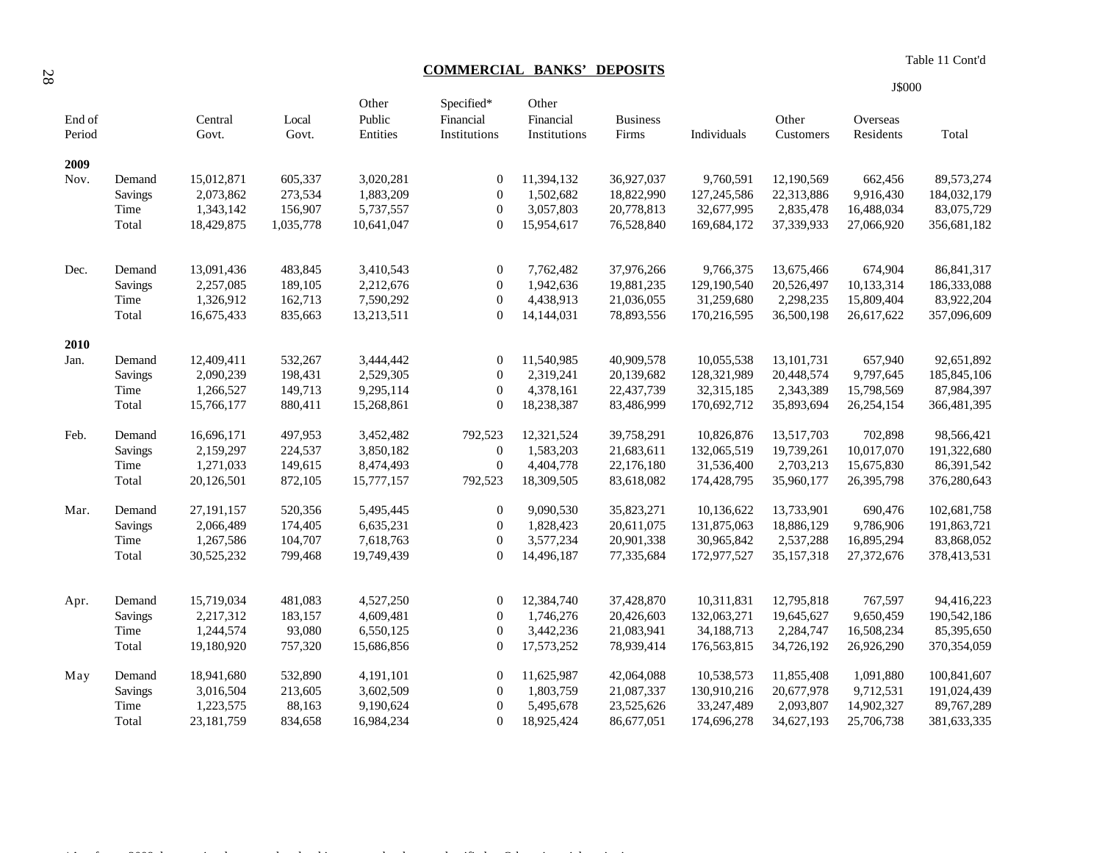**COMMERCIAL BANKS' DEPOSITS** 

| Table 11 Cont'd |  |
|-----------------|--|
|                 |  |

| End of<br>Period |                | Central<br>Govt. | Local<br>Govt. | Other<br>Public<br>Entities | Specified*<br>Financial<br>Institutions | Other<br>Financial<br>Institutions | <b>Business</b><br>Firms | Individuals | Other<br>Customers | Overseas<br>Residents | Total        |
|------------------|----------------|------------------|----------------|-----------------------------|-----------------------------------------|------------------------------------|--------------------------|-------------|--------------------|-----------------------|--------------|
| 2009             |                |                  |                |                             |                                         |                                    |                          |             |                    |                       |              |
| Nov.             | Demand         | 15,012,871       | 605,337        | 3,020,281                   | $\mathbf{0}$                            | 11,394,132                         | 36,927,037               | 9,760,591   | 12,190,569         | 662,456               | 89,573,274   |
|                  | Savings        | 2,073,862        | 273,534        | 1,883,209                   | $\boldsymbol{0}$                        | 1,502,682                          | 18,822,990               | 127,245,586 | 22,313,886         | 9,916,430             | 184,032,179  |
|                  | Time           | 1,343,142        | 156,907        | 5,737,557                   | $\mathbf{0}$                            | 3,057,803                          | 20,778,813               | 32,677,995  | 2,835,478          | 16,488,034            | 83,075,729   |
|                  | Total          | 18,429,875       | 1,035,778      | 10,641,047                  | $\mathbf{0}$                            | 15,954,617                         | 76,528,840               | 169,684,172 | 37,339,933         | 27,066,920            | 356,681,182  |
| Dec.             | Demand         | 13,091,436       | 483,845        | 3,410,543                   | $\boldsymbol{0}$                        | 7,762,482                          | 37,976,266               | 9,766,375   | 13,675,466         | 674,904               | 86, 841, 317 |
|                  | Savings        | 2,257,085        | 189,105        | 2,212,676                   | $\mathbf{0}$                            | 1,942,636                          | 19,881,235               | 129,190,540 | 20,526,497         | 10,133,314            | 186,333,088  |
|                  | Time           | 1,326,912        | 162,713        | 7,590,292                   | $\mathbf{0}$                            | 4,438,913                          | 21,036,055               | 31,259,680  | 2,298,235          | 15,809,404            | 83,922,204   |
|                  | Total          | 16,675,433       | 835,663        | 13,213,511                  | $\Omega$                                | 14,144,031                         | 78,893,556               | 170,216,595 | 36,500,198         | 26,617,622            | 357,096,609  |
| 2010             |                |                  |                |                             |                                         |                                    |                          |             |                    |                       |              |
| Jan.             | Demand         | 12,409,411       | 532,267        | 3,444,442                   | $\boldsymbol{0}$                        | 11,540,985                         | 40,909,578               | 10,055,538  | 13, 101, 731       | 657,940               | 92,651,892   |
|                  | Savings        | 2,090,239        | 198,431        | 2,529,305                   | $\mathbf{0}$                            | 2,319,241                          | 20,139,682               | 128,321,989 | 20,448,574         | 9,797,645             | 185,845,106  |
|                  | Time           | 1,266,527        | 149,713        | 9,295,114                   | $\boldsymbol{0}$                        | 4,378,161                          | 22,437,739               | 32,315,185  | 2,343,389          | 15,798,569            | 87,984,397   |
|                  | Total          | 15,766,177       | 880,411        | 15,268,861                  | $\overline{0}$                          | 18,238,387                         | 83,486,999               | 170,692,712 | 35,893,694         | 26,254,154            | 366,481,395  |
| Feb.             | Demand         | 16,696,171       | 497,953        | 3,452,482                   | 792,523                                 | 12,321,524                         | 39,758,291               | 10,826,876  | 13,517,703         | 702,898               | 98,566,421   |
|                  | Savings        | 2,159,297        | 224,537        | 3,850,182                   | $\theta$                                | 1,583,203                          | 21,683,611               | 132,065,519 | 19,739,261         | 10,017,070            | 191,322,680  |
|                  | Time           | 1,271,033        | 149,615        | 8,474,493                   | $\boldsymbol{0}$                        | 4,404,778                          | 22,176,180               | 31,536,400  | 2,703,213          | 15,675,830            | 86,391,542   |
|                  | Total          | 20,126,501       | 872,105        | 15,777,157                  | 792,523                                 | 18,309,505                         | 83,618,082               | 174,428,795 | 35,960,177         | 26,395,798            | 376,280,643  |
| Mar.             | Demand         | 27, 191, 157     | 520,356        | 5,495,445                   | $\boldsymbol{0}$                        | 9,090,530                          | 35,823,271               | 10,136,622  | 13,733,901         | 690,476               | 102,681,758  |
|                  | Savings        | 2,066,489        | 174,405        | 6,635,231                   | $\boldsymbol{0}$                        | 1,828,423                          | 20,611,075               | 131,875,063 | 18,886,129         | 9,786,906             | 191,863,721  |
|                  | Time           | 1,267,586        | 104,707        | 7,618,763                   | $\boldsymbol{0}$                        | 3,577,234                          | 20,901,338               | 30,965,842  | 2,537,288          | 16,895,294            | 83,868,052   |
|                  | Total          | 30,525,232       | 799,468        | 19,749,439                  | $\mathbf{0}$                            | 14,496,187                         | 77,335,684               | 172,977,527 | 35,157,318         | 27,372,676            | 378,413,531  |
| Apr.             | Demand         | 15,719,034       | 481,083        | 4,527,250                   | $\boldsymbol{0}$                        | 12,384,740                         | 37,428,870               | 10,311,831  | 12,795,818         | 767,597               | 94,416,223   |
|                  | <b>Savings</b> | 2,217,312        | 183,157        | 4,609,481                   | $\overline{0}$                          | 1,746,276                          | 20,426,603               | 132,063,271 | 19,645,627         | 9,650,459             | 190,542,186  |
|                  | Time           | 1,244,574        | 93,080         | 6,550,125                   | $\overline{0}$                          | 3,442,236                          | 21,083,941               | 34,188,713  | 2,284,747          | 16,508,234            | 85,395,650   |
|                  | Total          | 19,180,920       | 757,320        | 15,686,856                  | $\mathbf{0}$                            | 17,573,252                         | 78,939,414               | 176,563,815 | 34,726,192         | 26,926,290            | 370,354,059  |
| May              | Demand         | 18,941,680       | 532,890        | 4,191,101                   | $\boldsymbol{0}$                        | 11,625,987                         | 42,064,088               | 10,538,573  | 11,855,408         | 1,091,880             | 100,841,607  |
|                  | Savings        | 3,016,504        | 213,605        | 3,602,509                   | $\boldsymbol{0}$                        | 1,803,759                          | 21,087,337               | 130,910,216 | 20,677,978         | 9,712,531             | 191,024,439  |
|                  | Time           | 1,223,575        | 88,163         | 9,190,624                   | $\mathbf{0}$                            | 5,495,678                          | 23,525,626               | 33,247,489  | 2,093,807          | 14,902,327            | 89,767,289   |
|                  | Total          | 23,181,759       | 834,658        | 16,984,234                  | $\Omega$                                | 18,925,424                         | 86,677,051               | 174,696,278 | 34,627,193         | 25,706,738            | 381,633,335  |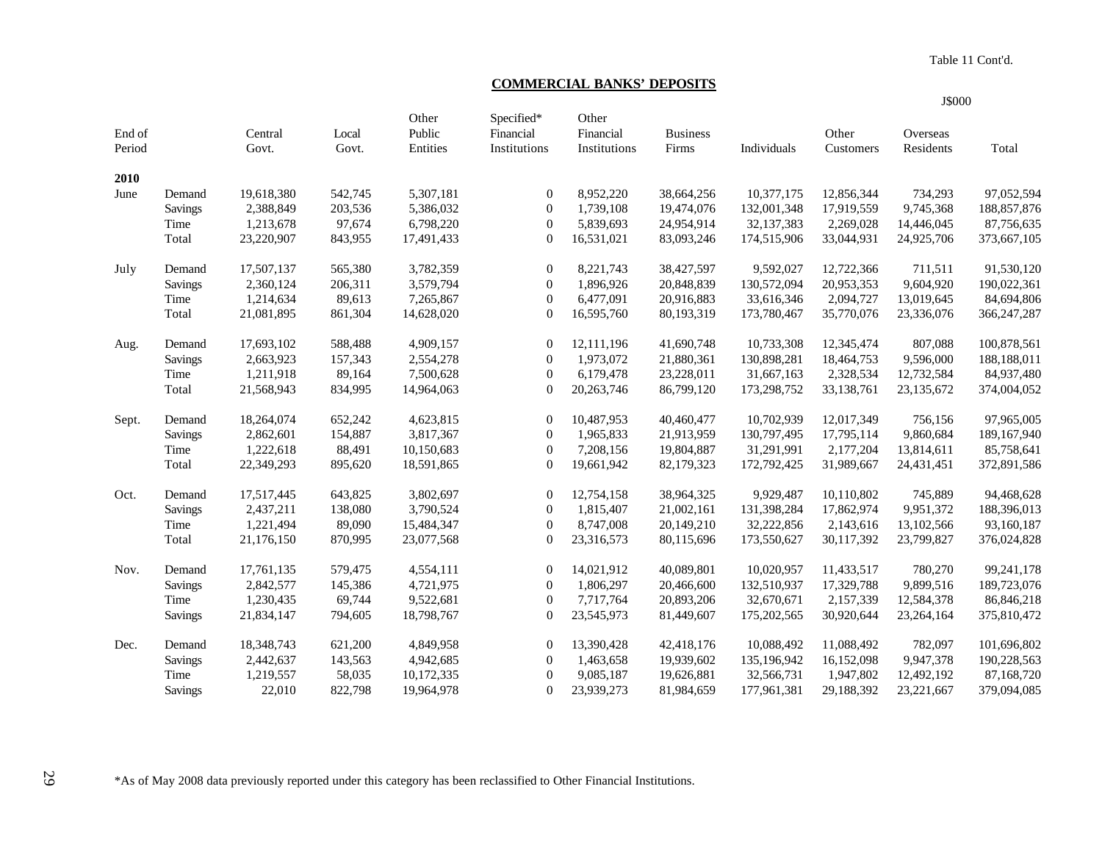Table 11 Cont'd.

# **COMMERCIAL BANKS' DEPOSITS**

|                  |                |                  |                |                             |                                         |                                    |                          |             |                    | J\$000                |               |
|------------------|----------------|------------------|----------------|-----------------------------|-----------------------------------------|------------------------------------|--------------------------|-------------|--------------------|-----------------------|---------------|
| End of<br>Period |                | Central<br>Govt. | Local<br>Govt. | Other<br>Public<br>Entities | Specified*<br>Financial<br>Institutions | Other<br>Financial<br>Institutions | <b>Business</b><br>Firms | Individuals | Other<br>Customers | Overseas<br>Residents | Total         |
| 2010             |                |                  |                |                             |                                         |                                    |                          |             |                    |                       |               |
| June             | Demand         | 19,618,380       | 542,745        | 5,307,181                   | $\mathbf{0}$                            | 8,952,220                          | 38,664,256               | 10,377,175  | 12,856,344         | 734,293               | 97,052,594    |
|                  | Savings        | 2,388,849        | 203,536        | 5,386,032                   | $\mathbf{0}$                            | 1,739,108                          | 19,474,076               | 132,001,348 | 17,919,559         | 9,745,368             | 188, 857, 876 |
|                  | Time           | 1,213,678        | 97,674         | 6,798,220                   | $\overline{0}$                          | 5,839,693                          | 24,954,914               | 32,137,383  | 2,269,028          | 14,446,045            | 87,756,635    |
|                  | Total          | 23,220,907       | 843,955        | 17,491,433                  | $\mathbf{0}$                            | 16,531,021                         | 83,093,246               | 174,515,906 | 33,044,931         | 24,925,706            | 373,667,105   |
| July             | Demand         | 17,507,137       | 565,380        | 3,782,359                   | $\mathbf{0}$                            | 8,221,743                          | 38,427,597               | 9,592,027   | 12,722,366         | 711,511               | 91,530,120    |
|                  | Savings        | 2,360,124        | 206,311        | 3,579,794                   | $\mathbf{0}$                            | 1,896,926                          | 20,848,839               | 130,572,094 | 20,953,353         | 9,604,920             | 190,022,361   |
|                  | Time           | 1,214,634        | 89,613         | 7,265,867                   | $\theta$                                | 6,477,091                          | 20,916,883               | 33,616,346  | 2,094,727          | 13,019,645            | 84,694,806    |
|                  | Total          | 21,081,895       | 861,304        | 14,628,020                  | $\overline{0}$                          | 16,595,760                         | 80,193,319               | 173,780,467 | 35,770,076         | 23,336,076            | 366,247,287   |
| Aug.             | Demand         | 17,693,102       | 588,488        | 4,909,157                   | $\mathbf{0}$                            | 12,111,196                         | 41,690,748               | 10,733,308  | 12,345,474         | 807,088               | 100,878,561   |
|                  | <b>Savings</b> | 2,663,923        | 157,343        | 2,554,278                   | $\mathbf{0}$                            | 1,973,072                          | 21,880,361               | 130,898,281 | 18,464,753         | 9,596,000             | 188,188,011   |
|                  | Time           | 1,211,918        | 89,164         | 7,500,628                   | $\mathbf{0}$                            | 6,179,478                          | 23,228,011               | 31,667,163  | 2,328,534          | 12,732,584            | 84,937,480    |
|                  | Total          | 21,568,943       | 834,995        | 14,964,063                  | $\overline{0}$                          | 20,263,746                         | 86,799,120               | 173,298,752 | 33,138,761         | 23,135,672            | 374,004,052   |
| Sept.            | Demand         | 18,264,074       | 652,242        | 4,623,815                   | $\boldsymbol{0}$                        | 10,487,953                         | 40,460,477               | 10,702,939  | 12,017,349         | 756,156               | 97,965,005    |
|                  | Savings        | 2,862,601        | 154,887        | 3,817,367                   | $\boldsymbol{0}$                        | 1,965,833                          | 21,913,959               | 130,797,495 | 17,795,114         | 9,860,684             | 189, 167, 940 |
|                  | Time           | 1,222,618        | 88,491         | 10,150,683                  | $\overline{0}$                          | 7,208,156                          | 19,804,887               | 31,291,991  | 2,177,204          | 13,814,611            | 85,758,641    |
|                  | Total          | 22,349,293       | 895,620        | 18,591,865                  | $\mathbf{0}$                            | 19,661,942                         | 82,179,323               | 172,792,425 | 31,989,667         | 24,431,451            | 372,891,586   |
| Oct.             | Demand         | 17,517,445       | 643,825        | 3,802,697                   | $\mathbf{0}$                            | 12,754,158                         | 38,964,325               | 9,929,487   | 10,110,802         | 745,889               | 94,468,628    |
|                  | <b>Savings</b> | 2,437,211        | 138,080        | 3,790,524                   | $\overline{0}$                          | 1,815,407                          | 21,002,161               | 131,398,284 | 17,862,974         | 9,951,372             | 188,396,013   |
|                  | Time           | 1,221,494        | 89,090         | 15,484,347                  | $\mathbf{0}$                            | 8,747,008                          | 20,149,210               | 32,222,856  | 2,143,616          | 13,102,566            | 93,160,187    |
|                  | Total          | 21,176,150       | 870,995        | 23,077,568                  | $\overline{0}$                          | 23,316,573                         | 80,115,696               | 173,550,627 | 30,117,392         | 23,799,827            | 376,024,828   |
| Nov.             | Demand         | 17,761,135       | 579,475        | 4,554,111                   | $\mathbf{0}$                            | 14,021,912                         | 40,089,801               | 10,020,957  | 11,433,517         | 780,270               | 99,241,178    |
|                  | Savings        | 2,842,577        | 145,386        | 4,721,975                   | $\mathbf{0}$                            | 1,806,297                          | 20,466,600               | 132,510,937 | 17,329,788         | 9,899,516             | 189,723,076   |
|                  | Time           | 1,230,435        | 69,744         | 9,522,681                   | $\mathbf{0}$                            | 7,717,764                          | 20,893,206               | 32,670,671  | 2,157,339          | 12,584,378            | 86, 846, 218  |
|                  | Savings        | 21,834,147       | 794,605        | 18,798,767                  | $\overline{0}$                          | 23,545,973                         | 81,449,607               | 175,202,565 | 30,920,644         | 23,264,164            | 375,810,472   |
| Dec.             | Demand         | 18,348,743       | 621,200        | 4,849,958                   | $\boldsymbol{0}$                        | 13,390,428                         | 42,418,176               | 10,088,492  | 11,088,492         | 782,097               | 101,696,802   |
|                  | Savings        | 2,442,637        | 143,563        | 4,942,685                   | $\boldsymbol{0}$                        | 1,463,658                          | 19,939,602               | 135,196,942 | 16,152,098         | 9,947,378             | 190,228,563   |
|                  | Time           | 1,219,557        | 58,035         | 10,172,335                  | $\mathbf{0}$                            | 9,085,187                          | 19,626,881               | 32,566,731  | 1,947,802          | 12,492,192            | 87,168,720    |
|                  | Savings        | 22,010           | 822,798        | 19,964,978                  | $\mathbf{0}$                            | 23,939,273                         | 81,984,659               | 177,961,381 | 29,188,392         | 23,221,667            | 379,094,085   |

\*As of May 2008 data previously reported under this category has been reclassified to Other Financial Institutions.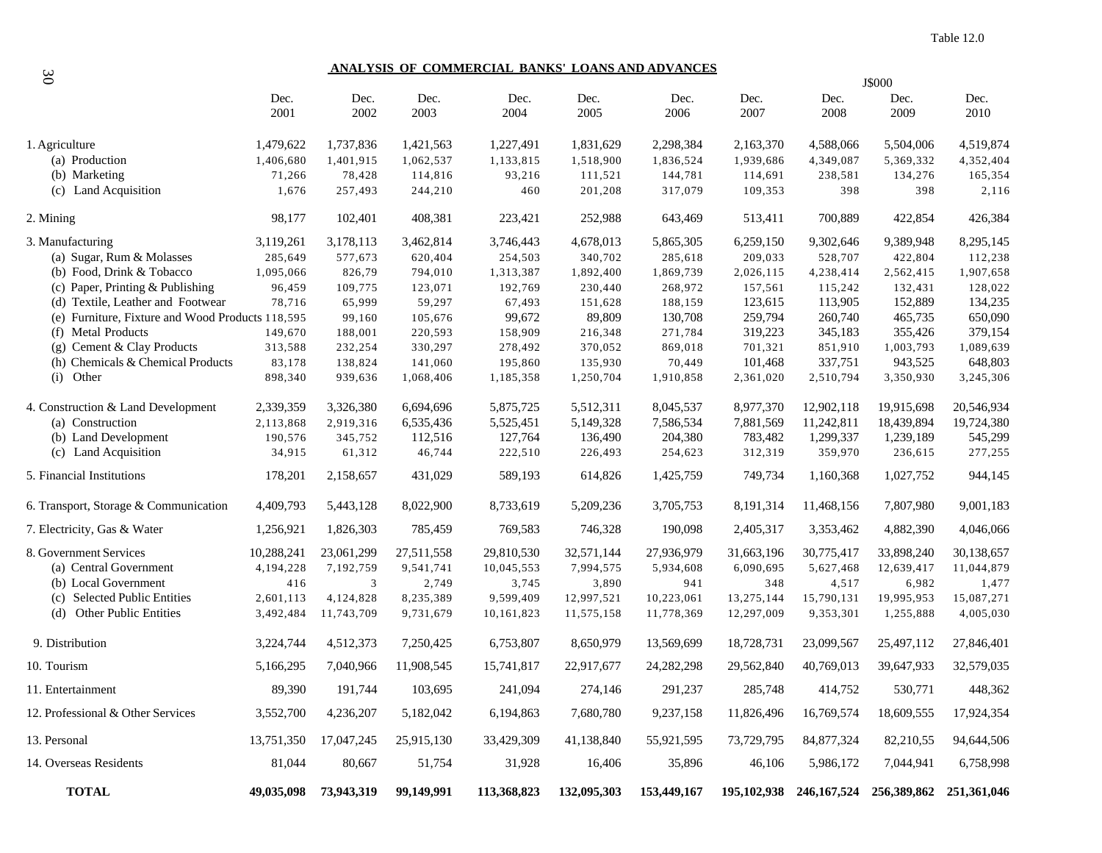# **ANALYSIS OF COMMERCIAL BANKS' LOANS AND ADVANCES**

| 30                                               |              | <u>ANALYSIS OF COMMERCIAL BANKS' LOANS AND ADVANCES</u><br>J\$000 |              |              |              |              |              |                                                 |              |              |  |  |  |
|--------------------------------------------------|--------------|-------------------------------------------------------------------|--------------|--------------|--------------|--------------|--------------|-------------------------------------------------|--------------|--------------|--|--|--|
|                                                  | Dec.<br>2001 | Dec.<br>2002                                                      | Dec.<br>2003 | Dec.<br>2004 | Dec.<br>2005 | Dec.<br>2006 | Dec.<br>2007 | Dec.<br>2008                                    | Dec.<br>2009 | Dec.<br>2010 |  |  |  |
| 1. Agriculture                                   | 1,479,622    | 1,737,836                                                         | 1,421,563    | 1,227,491    | 1,831,629    | 2,298,384    | 2,163,370    | 4,588,066                                       | 5,504,006    | 4,519,874    |  |  |  |
| (a) Production                                   | 1,406,680    | 1,401,915                                                         | 1,062,537    | 1,133,815    | 1,518,900    | 1,836,524    | 1,939,686    | 4,349,087                                       | 5,369,332    | 4,352,404    |  |  |  |
| (b) Marketing                                    | 71,266       | 78,428                                                            | 114,816      | 93,216       | 111,521      | 144,781      | 114,691      | 238,581                                         | 134,276      | 165,354      |  |  |  |
| (c) Land Acquisition                             | 1,676        | 257,493                                                           | 244,210      | 460          | 201,208      | 317,079      | 109,353      | 398                                             | 398          | 2,116        |  |  |  |
| 2. Mining                                        | 98,177       | 102,401                                                           | 408,381      | 223,421      | 252,988      | 643,469      | 513,411      | 700,889                                         | 422,854      | 426,384      |  |  |  |
| 3. Manufacturing                                 | 3,119,261    | 3,178,113                                                         | 3,462,814    | 3,746,443    | 4,678,013    | 5,865,305    | 6,259,150    | 9,302,646                                       | 9,389,948    | 8,295,145    |  |  |  |
| (a) Sugar, Rum & Molasses                        | 285,649      | 577,673                                                           | 620,404      | 254,503      | 340,702      | 285,618      | 209,033      | 528,707                                         | 422,804      | 112,238      |  |  |  |
| (b) Food, Drink & Tobacco                        | 1,095,066    | 826,79                                                            | 794,010      | 1,313,387    | 1,892,400    | 1,869,739    | 2,026,115    | 4,238,414                                       | 2,562,415    | 1,907,658    |  |  |  |
| (c) Paper, Printing & Publishing                 | 96,459       | 109,775                                                           | 123,071      | 192,769      | 230,440      | 268,972      | 157,561      | 115,242                                         | 132,431      | 128,022      |  |  |  |
| (d) Textile, Leather and Footwear                | 78,716       | 65,999                                                            | 59,297       | 67,493       | 151,628      | 188,159      | 123,615      | 113,905                                         | 152,889      | 134,235      |  |  |  |
| (e) Furniture, Fixture and Wood Products 118,595 |              | 99,160                                                            | 105,676      | 99,672       | 89,809       | 130,708      | 259,794      | 260,740                                         | 465,735      | 650,090      |  |  |  |
| (f) Metal Products                               | 149,670      | 188,001                                                           | 220,593      | 158,909      | 216,348      | 271,784      | 319,223      | 345,183                                         | 355,426      | 379,154      |  |  |  |
| (g) Cement & Clay Products                       | 313,588      | 232,254                                                           | 330,297      | 278,492      | 370,052      | 869,018      | 701,321      | 851,910                                         | 1,003,793    | 1,089,639    |  |  |  |
| (h) Chemicals & Chemical Products                | 83,178       | 138,824                                                           | 141,060      | 195,860      | 135,930      | 70,449       | 101,468      | 337,751                                         | 943,525      | 648,803      |  |  |  |
| (i) Other                                        | 898,340      | 939,636                                                           | 1,068,406    | 1,185,358    | 1,250,704    | 1,910,858    | 2,361,020    | 2,510,794                                       | 3,350,930    | 3,245,306    |  |  |  |
| 4. Construction & Land Development               | 2,339,359    | 3,326,380                                                         | 6,694,696    | 5,875,725    | 5,512,311    | 8,045,537    | 8,977,370    | 12,902,118                                      | 19,915,698   | 20,546,934   |  |  |  |
| (a) Construction                                 | 2,113,868    | 2,919,316                                                         | 6,535,436    | 5,525,451    | 5,149,328    | 7,586,534    | 7,881,569    | 11,242,811                                      | 18,439,894   | 19,724,380   |  |  |  |
| (b) Land Development                             | 190,576      | 345,752                                                           | 112,516      | 127,764      | 136,490      | 204,380      | 783,482      | 1,299,337                                       | 1,239,189    | 545,299      |  |  |  |
| (c) Land Acquisition                             | 34,915       | 61,312                                                            | 46,744       | 222,510      | 226,493      | 254,623      | 312,319      | 359,970                                         | 236,615      | 277,255      |  |  |  |
| 5. Financial Institutions                        | 178,201      | 2,158,657                                                         | 431,029      | 589,193      | 614,826      | 1,425,759    | 749,734      | 1,160,368                                       | 1,027,752    | 944,145      |  |  |  |
| 6. Transport, Storage & Communication            | 4,409,793    | 5,443,128                                                         | 8,022,900    | 8,733,619    | 5,209,236    | 3,705,753    | 8,191,314    | 11,468,156                                      | 7,807,980    | 9,001,183    |  |  |  |
| 7. Electricity, Gas & Water                      | 1,256,921    | 1,826,303                                                         | 785,459      | 769,583      | 746,328      | 190,098      | 2,405,317    | 3,353,462                                       | 4,882,390    | 4,046,066    |  |  |  |
| 8. Government Services                           | 10,288,241   | 23,061,299                                                        | 27,511,558   | 29,810,530   | 32,571,144   | 27,936,979   | 31,663,196   | 30,775,417                                      | 33,898,240   | 30,138,657   |  |  |  |
| (a) Central Government                           | 4,194,228    | 7,192,759                                                         | 9,541,741    | 10,045,553   | 7,994,575    | 5,934,608    | 6,090,695    | 5,627,468                                       | 12,639,417   | 11,044,879   |  |  |  |
| (b) Local Government                             | 416          | 3                                                                 | 2,749        | 3,745        | 3,890        | 941          | 348          | 4,517                                           | 6,982        | 1,477        |  |  |  |
| (c) Selected Public Entities                     | 2,601,113    | 4,124,828                                                         | 8,235,389    | 9,599,409    | 12,997,521   | 10,223,061   | 13,275,144   | 15,790,131                                      | 19,995,953   | 15,087,271   |  |  |  |
| (d) Other Public Entities                        | 3,492,484    | 11,743,709                                                        | 9,731,679    | 10,161,823   | 11,575,158   | 11,778,369   | 12,297,009   | 9,353,301                                       | 1,255,888    | 4,005,030    |  |  |  |
| 9. Distribution                                  | 3,224,744    | 4,512,373                                                         | 7,250,425    | 6,753,807    | 8,650,979    | 13,569,699   | 18,728,731   | 23,099,567                                      | 25,497,112   | 27,846,401   |  |  |  |
| 10. Tourism                                      | 5,166,295    | 7,040,966                                                         | 11,908,545   | 15,741,817   | 22,917,677   | 24,282,298   | 29,562,840   | 40,769,013                                      | 39,647,933   | 32,579,035   |  |  |  |
| 11. Entertainment                                | 89,390       | 191,744                                                           | 103,695      | 241,094      | 274,146      | 291,237      | 285,748      | 414,752                                         | 530,771      | 448,362      |  |  |  |
| 12. Professional & Other Services                | 3,552,700    | 4,236,207                                                         | 5,182,042    | 6,194,863    | 7,680,780    | 9,237,158    | 11,826,496   | 16,769,574                                      | 18,609,555   | 17,924,354   |  |  |  |
| 13. Personal                                     | 13,751,350   | 17,047,245                                                        | 25,915,130   | 33,429,309   | 41,138,840   | 55,921,595   | 73,729,795   | 84, 877, 324                                    | 82,210,55    | 94,644,506   |  |  |  |
| 14. Overseas Residents                           | 81,044       | 80,667                                                            | 51,754       | 31,928       | 16,406       | 35,896       | 46,106       | 5,986,172                                       | 7,044,941    | 6,758,998    |  |  |  |
| <b>TOTAL</b>                                     |              | 49,035,098 73,943,319                                             | 99,149,991   | 113,368,823  | 132,095,303  | 153,449,167  |              | 195,102,938 246,167,524 256,389,862 251,361,046 |              |              |  |  |  |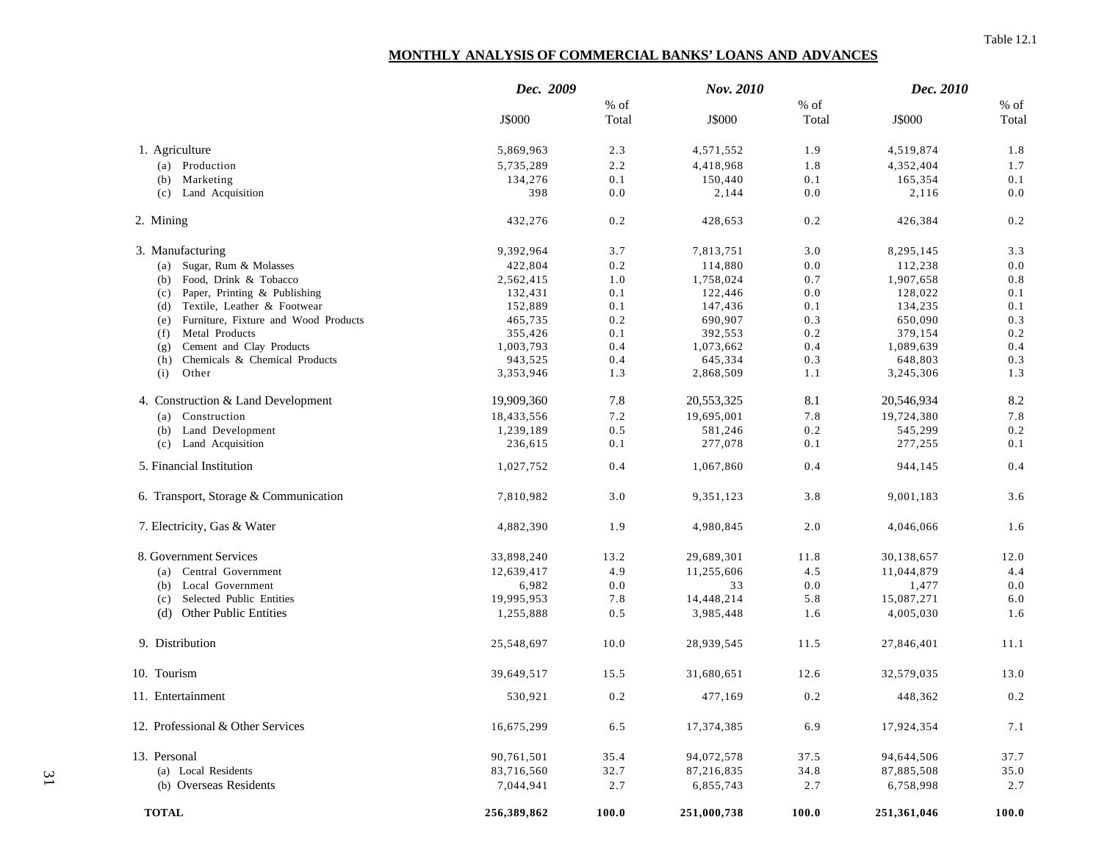### Table 12.1

# **MONTHLY ANALYSIS OF COMMERCIAL BANKS' LOANS AND ADVANCES**

|                                             | Dec. 2009   |         | Nov. 2010   |              | Dec. 2010   |         |
|---------------------------------------------|-------------|---------|-------------|--------------|-------------|---------|
|                                             |             | % of    |             | $%$ of       |             | $\%$ of |
|                                             | J\$000      | Total   | J\$000      | Total        | J\$000      | Total   |
| 1. Agriculture                              | 5,869,963   | 2.3     | 4,571,552   | 1.9          | 4,519,874   | 1.8     |
| (a) Production                              | 5,735,289   | 2.2     | 4,418,968   | 1.8          | 4,352,404   | 1.7     |
| Marketing<br>(b)                            | 134,276     | $0.1\,$ | 150,440     | 0.1          | 165,354     | $0.1\,$ |
| Land Acquisition<br>(c)                     | 398         | 0.0     | 2,144       | 0.0          | 2,116       | $0.0\,$ |
| 2. Mining                                   | 432,276     | $0.2\,$ | 428,653     | 0.2          | 426,384     | 0.2     |
| 3. Manufacturing                            | 9,392,964   | 3.7     | 7,813,751   | 3.0          | 8,295,145   | 3.3     |
| Sugar, Rum & Molasses<br>(a)                | 422,804     | 0.2     | 114,880     | 0.0          | 112,238     | 0.0     |
| Food, Drink & Tobacco<br>(b)                | 2,562,415   | 1.0     | 1,758,024   | 0.7          | 1,907,658   | $0.8\,$ |
| Paper, Printing & Publishing<br>(c)         | 132,431     | 0.1     | 122,446     | 0.0          | 128,022     | 0.1     |
| Textile, Leather & Footwear<br>(d)          | 152,889     | 0.1     | 147,436     | 0.1          | 134,235     | 0.1     |
| Furniture, Fixture and Wood Products<br>(e) | 465,735     | 0.2     | 690,907     | 0.3          | 650,090     | 0.3     |
| Metal Products<br>(f)                       | 355,426     | 0.1     | 392,553     | 0.2          | 379,154     | 0.2     |
| Cement and Clay Products<br>(g)             | 1,003,793   | 0.4     | 1,073,662   | 0.4          | 1,089,639   | 0.4     |
| Chemicals & Chemical Products<br>(h)        | 943,525     | 0.4     | 645,334     | 0.3          | 648,803     | 0.3     |
| Other<br>(i)                                | 3,353,946   | 1.3     | 2,868,509   | 1.1          | 3,245,306   | 1.3     |
| 4. Construction & Land Development          | 19,909,360  | 7.8     | 20,553,325  | 8.1          | 20,546,934  | 8.2     |
| Construction<br>(a)                         | 18,433,556  | 7.2     | 19,695,001  | 7.8          | 19,724,380  | 7.8     |
| Land Development<br>(b)                     | 1,239,189   | 0.5     | 581,246     | 0.2          | 545,299     | $0.2\,$ |
| Land Acquisition<br>(c)                     | 236,615     | 0.1     | 277,078     | 0.1          | 277,255     | 0.1     |
| 5. Financial Institution                    | 1,027,752   | 0.4     | 1,067,860   | 0.4          | 944,145     | 0.4     |
| 6. Transport, Storage & Communication       | 7,810,982   | 3.0     | 9,351,123   | 3.8          | 9,001,183   | 3.6     |
| 7. Electricity, Gas & Water                 | 4,882,390   | 1.9     | 4,980,845   | 2.0          | 4,046,066   | 1.6     |
| 8. Government Services                      | 33,898,240  | 13.2    | 29,689,301  | 11.8         | 30,138,657  | 12.0    |
| (a) Central Government                      | 12,639,417  | 4.9     | 11,255,606  | 4.5          | 11,044,879  | 4.4     |
| Local Government<br>(b)                     | 6,982       | 0.0     | 33          | 0.0          | 1,477       | 0.0     |
| Selected Public Entities<br>(c)             | 19,995,953  | 7.8     | 14,448,214  | 5.8          | 15,087,271  | 6.0     |
| <b>Other Public Entities</b><br>(d)         | 1,255,888   | 0.5     | 3,985,448   | 1.6          | 4,005,030   | 1.6     |
| 9. Distribution                             | 25,548,697  | 10.0    | 28,939,545  | 11.5         | 27,846,401  | 11.1    |
| 10. Tourism                                 | 39,649,517  | 15.5    | 31,680,651  | 12.6         | 32,579,035  | 13.0    |
| 11. Entertainment                           | 530,921     | $0.2\,$ | 477,169     | 0.2          | 448,362     | $0.2\,$ |
| 12. Professional & Other Services           | 16,675,299  | 6.5     | 17,374,385  | 6.9          | 17,924,354  | 7.1     |
| 13. Personal                                | 90,761,501  | 35.4    | 94,072,578  | 37.5         | 94,644,506  | 37.7    |
| (a) Local Residents                         | 83,716,560  | 32.7    | 87,216,835  | 34.8         | 87,885,508  | 35.0    |
| (b) Overseas Residents                      | 7,044,941   | 2.7     | 6,855,743   | 2.7          | 6,758,998   | 2.7     |
| <b>TOTAL</b>                                | 256,389,862 | 100.0   | 251,000,738 | <b>100.0</b> | 251,361,046 | 100.0   |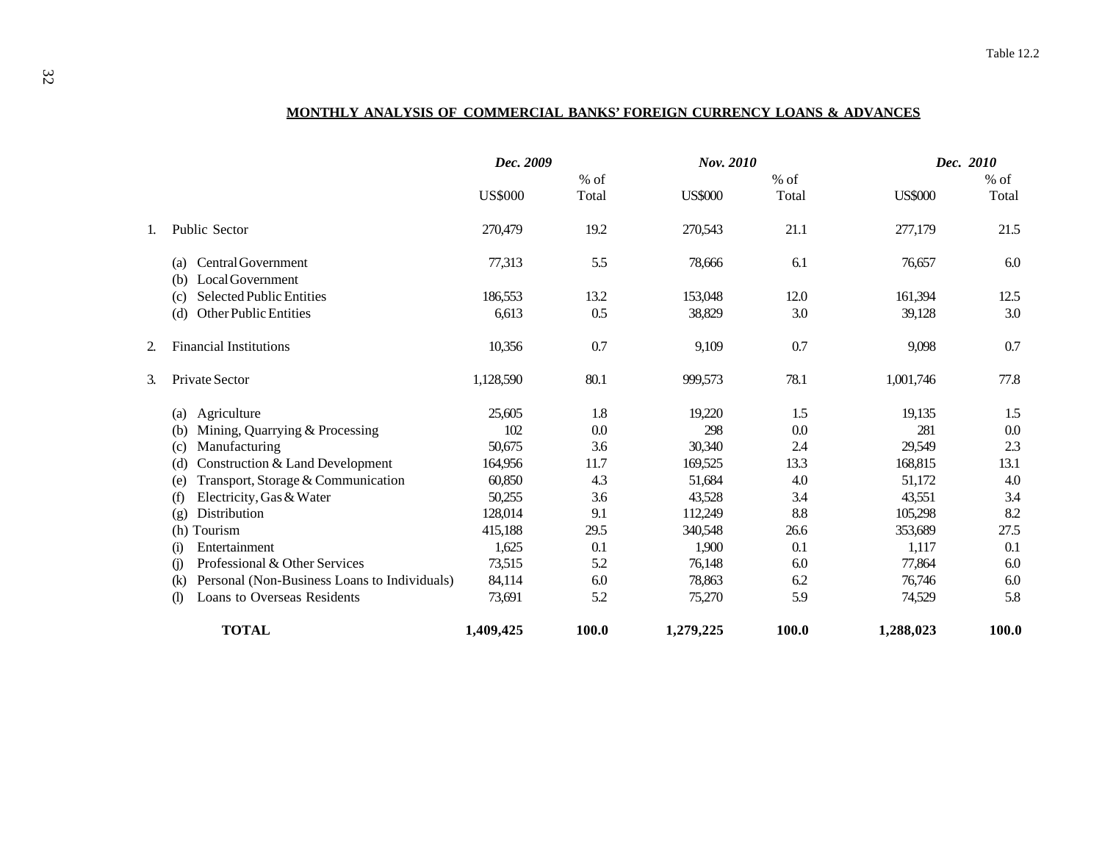# **MONTHLY ANALYSIS OF COMMERCIAL BANKS' FOREIGN CURRENCY LOANS & ADVANCES**

|              |                                                             | Dec. 2009      |        | Nov. 2010      |        | Dec. 2010      |        |  |
|--------------|-------------------------------------------------------------|----------------|--------|----------------|--------|----------------|--------|--|
|              |                                                             |                | $%$ of |                | $%$ of |                | $%$ of |  |
|              |                                                             | <b>US\$000</b> | Total  | <b>US\$000</b> | Total  | <b>US\$000</b> | Total  |  |
|              | Public Sector                                               | 270,479        | 19.2   | 270,543        | 21.1   | 277,179        | 21.5   |  |
|              | <b>Central Government</b><br>(a)<br>Local Government<br>(b) | 77,313         | 5.5    | 78,666         | 6.1    | 76,657         | 6.0    |  |
|              | Selected Public Entities<br>(c)                             | 186,553        | 13.2   | 153,048        | 12.0   | 161,394        | 12.5   |  |
|              | Other Public Entities<br>(d)                                | 6,613          | 0.5    | 38,829         | 3.0    | 39,128         | 3.0    |  |
|              | <b>Financial Institutions</b>                               | 10,356         | 0.7    | 9,109          | 0.7    | 9,098          | 0.7    |  |
|              | Private Sector                                              | 1,128,590      | 80.1   | 999,573        | 78.1   | 1,001,746      | 77.8   |  |
|              | Agriculture<br>(a)                                          | 25,605         | 1.8    | 19,220         | 1.5    | 19,135         | 1.5    |  |
|              | Mining, Quarrying & Processing<br>(b)                       | 102            | 0.0    | 298            | 0.0    | 281            | 0.0    |  |
|              | Manufacturing<br>(c)                                        | 50,675         | 3.6    | 30,340         | 2.4    | 29,549         | 2.3    |  |
|              | Construction & Land Development<br>(d)                      | 164,956        | 11.7   | 169,525        | 13.3   | 168,815        | 13.1   |  |
|              | Transport, Storage & Communication<br>(e)                   | 60,850         | 4.3    | 51,684         | 4.0    | 51,172         | 4.0    |  |
|              | Electricity, Gas & Water<br>(f)                             | 50,255         | 3.6    | 43,528         | 3.4    | 43,551         | 3.4    |  |
|              | Distribution<br>(g)                                         | 128,014        | 9.1    | 112,249        | 8.8    | 105,298        | 8.2    |  |
|              | (h) Tourism                                                 | 415,188        | 29.5   | 340,548        | 26.6   | 353,689        | 27.5   |  |
|              | Entertainment<br>(i)                                        | 1,625          | 0.1    | 1,900          | 0.1    | 1,117          | 0.1    |  |
|              | Professional & Other Services<br>(i)                        | 73,515         | 5.2    | 76,148         | 6.0    | 77,864         | 6.0    |  |
|              | Personal (Non-Business Loans to Individuals)<br>(k)         | 84,114         | 6.0    | 78,863         | 6.2    | 76,746         | 6.0    |  |
|              | <b>Loans to Overseas Residents</b><br>(1)                   | 73,691         | 5.2    | 75,270         | 5.9    | 74,529         | 5.8    |  |
| <b>TOTAL</b> |                                                             | 1,409,425      | 100.0  | 1,279,225      | 100.0  | 1,288,023      | 100.0  |  |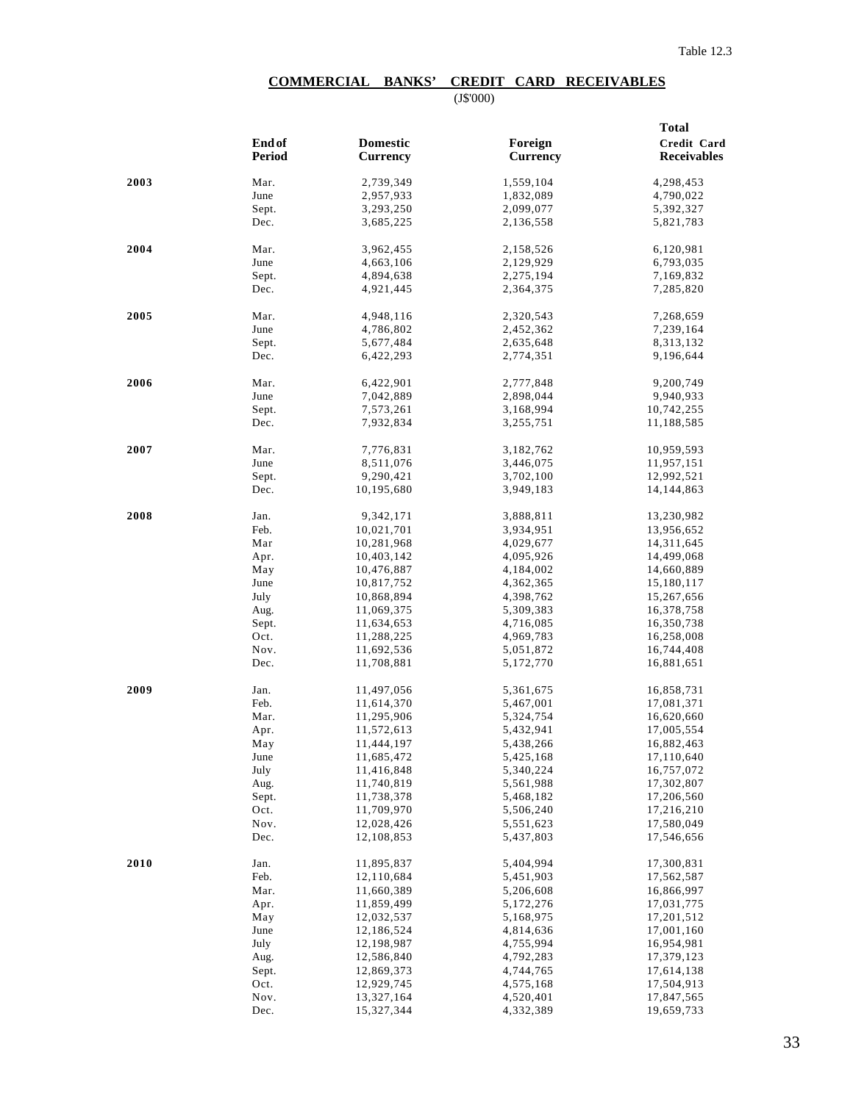# **COMMERCIAL BANKS' CREDIT CARD RECEIVABLES**

(J\$'000)

|      |              |                          |                        | <b>Total</b><br>Credit Card |  |  |
|------|--------------|--------------------------|------------------------|-----------------------------|--|--|
|      | End of       | <b>Domestic</b>          | Foreign                |                             |  |  |
|      | Period       | <b>Currency</b>          | <b>Currency</b>        | <b>Receivables</b>          |  |  |
|      |              |                          |                        |                             |  |  |
| 2003 | Mar.<br>June | 2,739,349<br>2,957,933   | 1,559,104              | 4,298,453<br>4,790,022      |  |  |
|      |              |                          | 1,832,089              |                             |  |  |
|      | Sept.        | 3,293,250                | 2,099,077              | 5,392,327                   |  |  |
|      | Dec.         | 3,685,225                | 2,136,558              | 5,821,783                   |  |  |
| 2004 | Mar.         | 3,962,455                | 2,158,526              | 6,120,981                   |  |  |
|      | June         | 4,663,106                | 2,129,929              | 6,793,035                   |  |  |
|      | Sept.        | 4,894,638                | 2,275,194              | 7,169,832                   |  |  |
|      | Dec.         | 4,921,445                | 2,364,375              | 7,285,820                   |  |  |
| 2005 | Mar.         | 4,948,116                | 2,320,543              | 7,268,659                   |  |  |
|      | June         | 4,786,802                | 2,452,362              | 7,239,164                   |  |  |
|      | Sept.        | 5,677,484                | 2,635,648              | 8,313,132                   |  |  |
|      | Dec.         | 6,422,293                | 2,774,351              | 9,196,644                   |  |  |
|      |              |                          |                        |                             |  |  |
| 2006 | Mar.         | 6,422,901                | 2,777,848              | 9,200,749                   |  |  |
|      | June         | 7,042,889                | 2,898,044              | 9,940,933                   |  |  |
|      | Sept.        | 7,573,261                | 3,168,994              | 10,742,255                  |  |  |
|      | Dec.         | 7,932,834                | 3,255,751              | 11,188,585                  |  |  |
| 2007 | Mar.         | 7,776,831                | 3,182,762              | 10,959,593                  |  |  |
|      | June         | 8,511,076                | 3,446,075              | 11,957,151                  |  |  |
|      | Sept.        | 9,290,421                | 3,702,100              | 12,992,521                  |  |  |
|      | Dec.         | 10,195,680               | 3,949,183              | 14, 144, 863                |  |  |
| 2008 | Jan.         | 9,342,171                | 3,888,811              |                             |  |  |
|      | Feb.         | 10,021,701               | 3,934,951              | 13,230,982<br>13,956,652    |  |  |
|      | Mar          | 10,281,968               | 4,029,677              | 14, 311, 645                |  |  |
|      | Apr.         | 10,403,142               | 4,095,926              | 14,499,068                  |  |  |
|      | May          | 10,476,887               | 4,184,002              | 14,660,889                  |  |  |
|      | June         | 10,817,752               | 4,362,365              | 15,180,117                  |  |  |
|      | July         | 10,868,894               | 4,398,762              | 15,267,656                  |  |  |
|      | Aug.         | 11,069,375               | 5,309,383              | 16,378,758                  |  |  |
|      | Sept.        | 11,634,653               | 4,716,085              | 16,350,738                  |  |  |
|      | Oct.         | 11,288,225               | 4,969,783              | 16,258,008                  |  |  |
|      | Nov.         | 11,692,536               | 5,051,872              | 16,744,408                  |  |  |
|      | Dec.         | 11,708,881               | 5,172,770              | 16,881,651                  |  |  |
|      |              |                          |                        |                             |  |  |
| 2009 | Jan.         | 11,497,056               | 5,361,675              | 16,858,731                  |  |  |
|      | Feb.         | 11,614,370<br>11,295,906 | 5,467,001              | 17,081,371                  |  |  |
|      | Mar.         | 11,572,613               | 5,324,754<br>5,432,941 | 16,620,660                  |  |  |
|      | Apr.         | 11,444,197               | 5,438,266              | 17,005,554<br>16,882,463    |  |  |
|      | May<br>June  | 11,685,472               | 5,425,168              | 17,110,640                  |  |  |
|      | July         | 11,416,848               | 5,340,224              | 16,757,072                  |  |  |
|      | Aug.         | 11,740,819               | 5,561,988              | 17,302,807                  |  |  |
|      | Sept.        | 11,738,378               | 5,468,182              | 17,206,560                  |  |  |
|      | Oct.         | 11,709,970               | 5,506,240              | 17,216,210                  |  |  |
|      | Nov.         | 12,028,426               | 5,551,623              | 17,580,049                  |  |  |
|      | Dec.         | 12,108,853               | 5,437,803              | 17,546,656                  |  |  |
|      |              |                          |                        |                             |  |  |
| 2010 | Jan.<br>Feb. | 11,895,837<br>12,110,684 | 5,404,994<br>5,451,903 | 17,300,831<br>17,562,587    |  |  |
|      | Mar.         | 11,660,389               |                        |                             |  |  |
|      | Apr.         | 11,859,499               | 5,206,608<br>5,172,276 | 16,866,997<br>17,031,775    |  |  |
|      | May          | 12,032,537               | 5,168,975              | 17,201,512                  |  |  |
|      | June         | 12,186,524               | 4,814,636              | 17,001,160                  |  |  |
|      | July         | 12,198,987               | 4,755,994              | 16,954,981                  |  |  |
|      | Aug.         | 12,586,840               | 4,792,283              | 17,379,123                  |  |  |
|      | Sept.        | 12,869,373               | 4,744,765              | 17,614,138                  |  |  |
|      | Oct.         | 12,929,745               | 4,575,168              | 17,504,913                  |  |  |
|      | Nov.         | 13,327,164               | 4,520,401              | 17,847,565                  |  |  |
|      | Dec.         | 15,327,344               | 4,332,389              | 19,659,733                  |  |  |
|      |              |                          |                        |                             |  |  |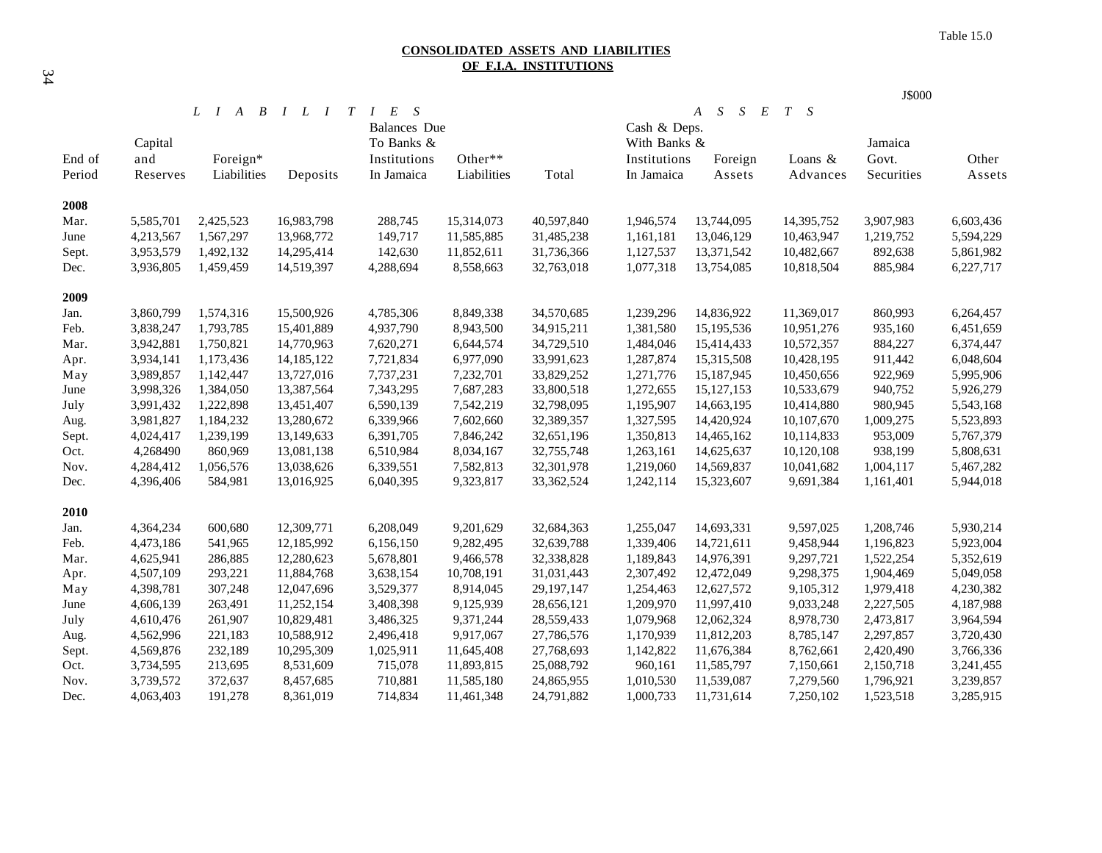#### **CONSOLIDATED ASSETS AND LIABILITIES OF F.I.A. INSTITUTIONS**

|        |                                                                       |             |            |              |                                 |            |              |                            |            | J\$000     |           |  |  |
|--------|-----------------------------------------------------------------------|-------------|------------|--------------|---------------------------------|------------|--------------|----------------------------|------------|------------|-----------|--|--|
|        | $\overline{B}$<br>$I$ $L$ $I$<br>T<br>$L \quad I$<br>$\boldsymbol{A}$ |             |            |              | S<br>I E<br><b>Balances</b> Due |            |              | S<br>S<br>S<br>E<br>T<br>A |            |            |           |  |  |
|        |                                                                       |             |            |              |                                 |            |              | Cash & Deps.               |            |            |           |  |  |
|        | Capital                                                               |             |            | To Banks &   |                                 |            | With Banks & |                            |            | Jamaica    |           |  |  |
| End of | and                                                                   | Foreign*    |            | Institutions | Other**                         |            | Institutions | Foreign                    | Loans $&$  | Govt.      | Other     |  |  |
| Period | Reserves                                                              | Liabilities | Deposits   | In Jamaica   | Liabilities                     | Total      | In Jamaica   | Assets                     | Advances   | Securities | Assets    |  |  |
|        |                                                                       |             |            |              |                                 |            |              |                            |            |            |           |  |  |
| 2008   |                                                                       |             |            |              |                                 |            |              |                            |            |            |           |  |  |
| Mar.   | 5,585,701                                                             | 2,425,523   | 16,983,798 | 288,745      | 15,314,073                      | 40,597,840 | 1,946,574    | 13,744,095                 | 14,395,752 | 3,907,983  | 6,603,436 |  |  |
| June   | 4,213,567                                                             | 1,567,297   | 13,968,772 | 149,717      | 11,585,885                      | 31,485,238 | 1,161,181    | 13,046,129                 | 10,463,947 | 1,219,752  | 5,594,229 |  |  |
| Sept.  | 3,953,579                                                             | 1,492,132   | 14,295,414 | 142,630      | 11,852,611                      | 31,736,366 | 1,127,537    | 13,371,542                 | 10,482,667 | 892,638    | 5,861,982 |  |  |
| Dec.   | 3,936,805                                                             | 1,459,459   | 14,519,397 | 4,288,694    | 8,558,663                       | 32,763,018 | 1,077,318    | 13,754,085                 | 10,818,504 | 885,984    | 6,227,717 |  |  |
| 2009   |                                                                       |             |            |              |                                 |            |              |                            |            |            |           |  |  |
| Jan.   | 3,860,799                                                             | 1,574,316   | 15,500,926 | 4,785,306    | 8,849,338                       | 34,570,685 | 1,239,296    | 14,836,922                 | 11,369,017 | 860,993    | 6,264,457 |  |  |
| Feb.   | 3,838,247                                                             | 1,793,785   | 15,401,889 | 4,937,790    | 8,943,500                       | 34,915,211 | 1,381,580    | 15,195,536                 | 10,951,276 | 935,160    | 6,451,659 |  |  |
| Mar.   | 3,942,881                                                             | 1,750,821   | 14,770,963 | 7,620,271    | 6,644,574                       | 34,729,510 | 1,484,046    | 15,414,433                 | 10,572,357 | 884,227    | 6,374,447 |  |  |
| Apr.   | 3,934,141                                                             | 1,173,436   | 14,185,122 | 7,721,834    | 6,977,090                       | 33,991,623 | 1,287,874    | 15,315,508                 | 10,428,195 | 911,442    | 6,048,604 |  |  |
| May    | 3,989,857                                                             | 1,142,447   | 13,727,016 | 7,737,231    | 7,232,701                       | 33,829,252 | 1,271,776    | 15,187,945                 | 10,450,656 | 922,969    | 5,995,906 |  |  |
| June   | 3,998,326                                                             | 1,384,050   | 13,387,564 | 7,343,295    | 7,687,283                       | 33,800,518 | 1,272,655    | 15, 127, 153               | 10,533,679 | 940,752    | 5,926,279 |  |  |
| July   | 3,991,432                                                             | 1,222,898   | 13,451,407 | 6,590,139    | 7,542,219                       | 32,798,095 | 1,195,907    | 14,663,195                 | 10,414,880 | 980,945    | 5,543,168 |  |  |
| Aug.   | 3,981,827                                                             | 1,184,232   | 13,280,672 | 6,339,966    | 7,602,660                       | 32,389,357 | 1,327,595    | 14,420,924                 | 10,107,670 | 1,009,275  | 5,523,893 |  |  |
| Sept.  | 4,024,417                                                             | 1,239,199   | 13,149,633 | 6,391,705    | 7,846,242                       | 32,651,196 | 1,350,813    | 14,465,162                 | 10,114,833 | 953,009    | 5,767,379 |  |  |
| Oct.   | 4,268490                                                              | 860,969     | 13,081,138 | 6,510,984    | 8,034,167                       | 32,755,748 | 1,263,161    | 14,625,637                 | 10,120,108 | 938,199    | 5,808,631 |  |  |
| Nov.   | 4,284,412                                                             | 1,056,576   | 13,038,626 | 6,339,551    | 7,582,813                       | 32,301,978 | 1,219,060    | 14,569,837                 | 10,041,682 | 1,004,117  | 5,467,282 |  |  |
| Dec.   | 4,396,406                                                             | 584,981     | 13,016,925 | 6,040,395    | 9,323,817                       | 33,362,524 | 1,242,114    | 15,323,607                 | 9,691,384  | 1,161,401  | 5,944,018 |  |  |
| 2010   |                                                                       |             |            |              |                                 |            |              |                            |            |            |           |  |  |
| Jan.   | 4,364,234                                                             | 600,680     | 12,309,771 | 6,208,049    | 9,201,629                       | 32,684,363 | 1,255,047    | 14,693,331                 | 9,597,025  | 1,208,746  | 5,930,214 |  |  |
| Feb.   | 4,473,186                                                             | 541,965     | 12,185,992 | 6,156,150    | 9,282,495                       | 32,639,788 | 1,339,406    | 14,721,611                 | 9,458,944  | 1,196,823  | 5,923,004 |  |  |
| Mar.   | 4,625,941                                                             | 286,885     | 12,280,623 | 5,678,801    | 9,466,578                       | 32,338,828 | 1,189,843    | 14,976,391                 | 9,297,721  | 1,522,254  | 5,352,619 |  |  |
| Apr.   | 4,507,109                                                             | 293,221     | 11,884,768 | 3,638,154    | 10,708,191                      | 31,031,443 | 2,307,492    | 12,472,049                 | 9,298,375  | 1,904,469  | 5,049,058 |  |  |
| May    | 4,398,781                                                             | 307,248     | 12,047,696 | 3,529,377    | 8,914,045                       | 29,197,147 | 1,254,463    | 12,627,572                 | 9,105,312  | 1,979,418  | 4,230,382 |  |  |
| June   | 4,606,139                                                             | 263,491     | 11,252,154 | 3,408,398    | 9,125,939                       | 28,656,121 | 1,209,970    | 11,997,410                 | 9,033,248  | 2,227,505  | 4,187,988 |  |  |
| July   | 4,610,476                                                             | 261,907     | 10,829,481 | 3,486,325    | 9,371,244                       | 28,559,433 | 1,079,968    | 12,062,324                 | 8,978,730  | 2,473,817  | 3,964,594 |  |  |
| Aug.   | 4,562,996                                                             | 221,183     | 10,588,912 | 2,496,418    | 9,917,067                       | 27,786,576 | 1,170,939    | 11,812,203                 | 8,785,147  | 2,297,857  | 3,720,430 |  |  |
| Sept.  | 4,569,876                                                             | 232,189     | 10,295,309 | 1,025,911    | 11,645,408                      | 27,768,693 | 1,142,822    | 11,676,384                 | 8,762,661  | 2,420,490  | 3,766,336 |  |  |
| Oct.   | 3,734,595                                                             | 213,695     | 8,531,609  | 715,078      | 11,893,815                      | 25,088,792 | 960,161      | 11,585,797                 | 7,150,661  | 2,150,718  | 3,241,455 |  |  |
| Nov.   | 3,739,572                                                             | 372,637     | 8,457,685  | 710,881      | 11,585,180                      | 24,865,955 | 1,010,530    | 11,539,087                 | 7,279,560  | 1,796,921  | 3,239,857 |  |  |
| Dec.   | 4,063,403                                                             | 191,278     | 8,361,019  | 714,834      | 11,461,348                      | 24,791,882 | 1,000,733    | 11,731,614                 | 7,250,102  | 1,523,518  | 3,285,915 |  |  |
|        |                                                                       |             |            |              |                                 |            |              |                            |            |            |           |  |  |

34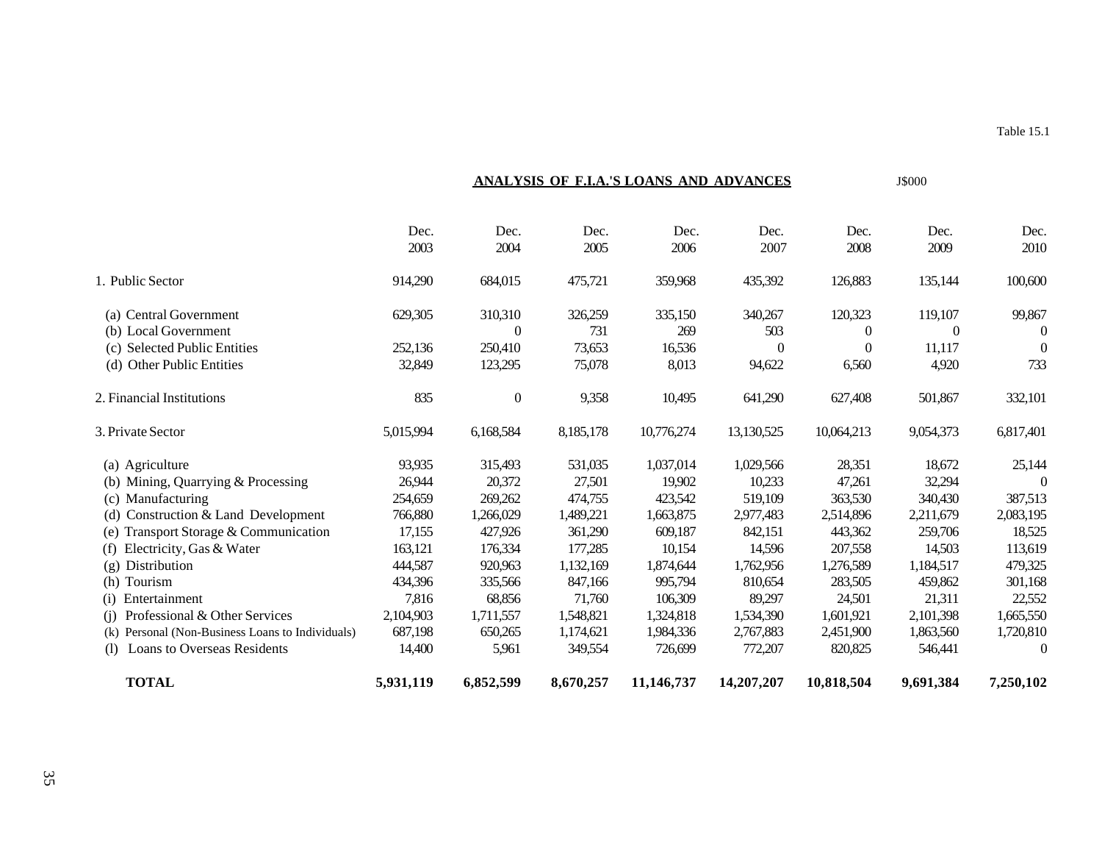|                                                      | Dec.<br>2003 | Dec.<br>2004     | Dec.<br>2005 | Dec.<br>2006 | Dec.<br>2007 | Dec.<br>2008 | Dec.<br>2009 | Dec.<br>2010 |
|------------------------------------------------------|--------------|------------------|--------------|--------------|--------------|--------------|--------------|--------------|
| 1. Public Sector                                     | 914,290      | 684,015          | 475,721      | 359,968      | 435,392      | 126,883      | 135,144      | 100,600      |
| (a) Central Government                               | 629,305      | 310,310          | 326,259      | 335,150      | 340,267      | 120,323      | 119,107      | 99,867       |
| (b) Local Government                                 |              | $\theta$         | 731          | 269          | 503          | $\Omega$     | $\Omega$     | $\Omega$     |
| (c) Selected Public Entities                         | 252,136      | 250,410          | 73,653       | 16,536       | $\Omega$     | $\theta$     | 11,117       | $\theta$     |
| (d) Other Public Entities                            | 32,849       | 123,295          | 75,078       | 8,013        | 94,622       | 6,560        | 4,920        | 733          |
| 2. Financial Institutions                            | 835          | $\boldsymbol{0}$ | 9,358        | 10,495       | 641,290      | 627,408      | 501,867      | 332,101      |
| 3. Private Sector                                    | 5,015,994    | 6,168,584        | 8,185,178    | 10,776,274   | 13,130,525   | 10,064,213   | 9,054,373    | 6,817,401    |
| (a) Agriculture                                      | 93,935       | 315,493          | 531,035      | 1,037,014    | 1,029,566    | 28,351       | 18,672       | 25,144       |
| Mining, Quarrying & Processing<br>(b)                | 26,944       | 20,372           | 27,501       | 19,902       | 10,233       | 47,261       | 32,294       | $\Omega$     |
| Manufacturing<br>(c)                                 | 254,659      | 269,262          | 474,755      | 423,542      | 519,109      | 363,530      | 340,430      | 387,513      |
| Construction & Land Development<br>(d)               | 766,880      | 1,266,029        | 1,489,221    | 1,663,875    | 2,977,483    | 2,514,896    | 2,211,679    | 2,083,195    |
| Transport Storage & Communication                    | 17,155       | 427,926          | 361,290      | 609,187      | 842,151      | 443,362      | 259,706      | 18,525       |
| Electricity, Gas & Water<br>(f)                      | 163,121      | 176,334          | 177,285      | 10,154       | 14,596       | 207,558      | 14,503       | 113,619      |
| Distribution<br>(g)                                  | 444,587      | 920,963          | 1,132,169    | 1,874,644    | 1,762,956    | 1,276,589    | 1,184,517    | 479,325      |
| Tourism<br>(h)                                       | 434,396      | 335,566          | 847,166      | 995,794      | 810,654      | 283,505      | 459,862      | 301,168      |
| Entertainment<br>(i)                                 | 7,816        | 68,856           | 71,760       | 106,309      | 89,297       | 24,501       | 21,311       | 22,552       |
| Professional & Other Services<br>(i)                 | 2,104,903    | 1,711,557        | 1,548,821    | 1,324,818    | 1,534,390    | 1,601,921    | 2,101,398    | 1,665,550    |
| Personal (Non-Business Loans to Individuals)<br>(k)  | 687,198      | 650,265          | 1,174,621    | 1,984,336    | 2,767,883    | 2,451,900    | 1,863,560    | 1,720,810    |
| <b>Loans to Overseas Residents</b><br><sup>(1)</sup> | 14,400       | 5,961            | 349,554      | 726,699      | 772,207      | 820,825      | 546,441      | $\theta$     |
| <b>TOTAL</b>                                         | 5,931,119    | 6,852,599        | 8,670,257    | 11,146,737   | 14,207,207   | 10,818,504   | 9,691,384    | 7,250,102    |

**ANALYSIS OF F.I.A.'S LOANS AND ADVANCES** J\$000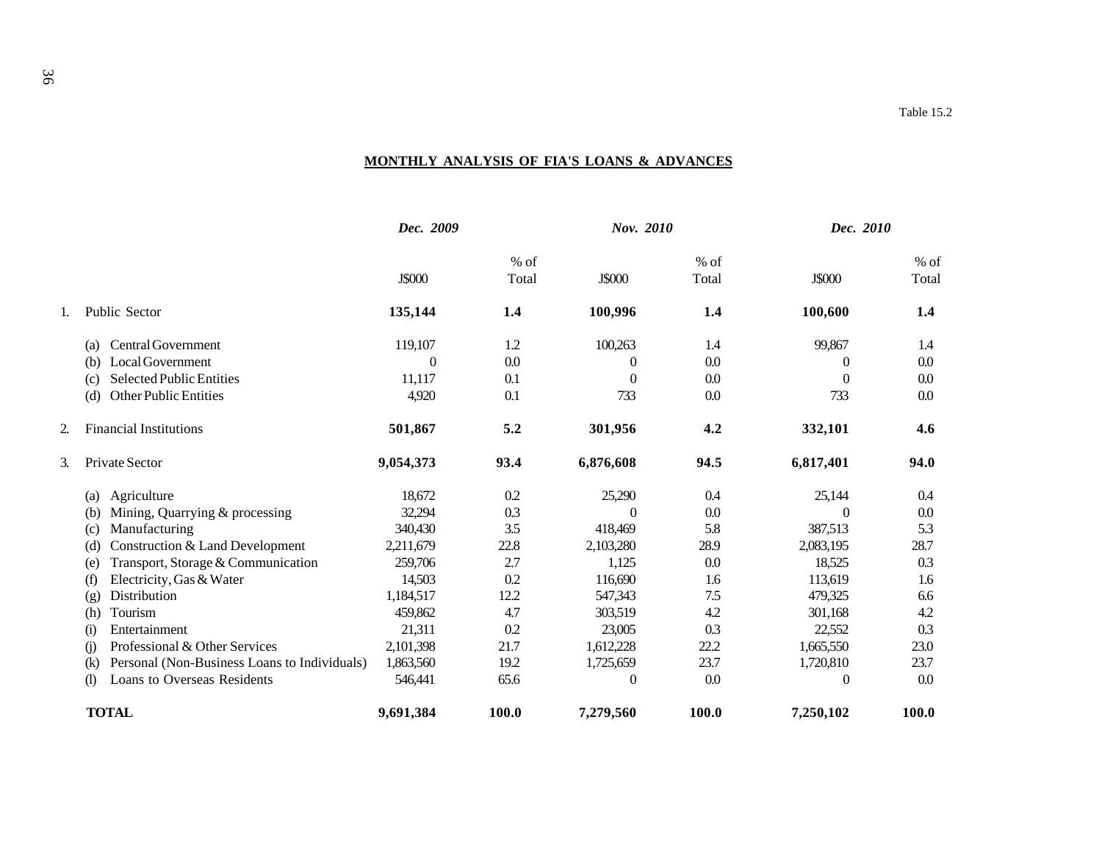## **MONTHLY ANALYSIS OF FIA'S LOANS & ADVANCES**

|    |                                                            | Dec. 2009     |               | <b>Nov.</b> 2010 |                 | Dec. 2010     |                 |
|----|------------------------------------------------------------|---------------|---------------|------------------|-----------------|---------------|-----------------|
|    |                                                            | <b>J\$000</b> | % of<br>Total | <b>J\$000</b>    | $%$ of<br>Total | <b>J\$000</b> | $%$ of<br>Total |
|    | Public Sector                                              | 135,144       | 1.4           | 100,996          | 1.4             | 100,600       | 1.4             |
|    | <b>Central Government</b><br>(a)                           | 119,107       | 1.2           | 100,263          | 1.4             | 99,867        | 1.4             |
|    | Local Government<br>(b)                                    | $\theta$      | 0.0           | $\theta$         | 0.0             | $\theta$      | 0.0             |
|    | <b>Selected Public Entities</b><br>(c)                     | 11,117        | 0.1           | $\theta$         | 0.0             | $\Omega$      | 0.0             |
|    | <b>Other Public Entities</b><br>(d)                        | 4,920         | 0.1           | 733              | 0.0             | 733           | 0.0             |
| 2. | <b>Financial Institutions</b>                              | 501,867       | 5.2           | 301,956          | 4.2             | 332,101       | 4.6             |
| 3. | Private Sector                                             | 9,054,373     | 93.4          | 6,876,608        | 94.5            | 6,817,401     | 94.0            |
|    | Agriculture<br>(a)                                         | 18,672        | 0.2           | 25,290           | 0.4             | 25,144        | 0.4             |
|    | Mining, Quarrying & processing<br>(b)                      | 32,294        | 0.3           | $\theta$         | 0.0             | $\theta$      | 0.0             |
|    | Manufacturing<br>(c)                                       | 340,430       | 3.5           | 418,469          | 5.8             | 387,513       | 5.3             |
|    | Construction & Land Development<br>(d)                     | 2,211,679     | 22.8          | 2,103,280        | 28.9            | 2,083,195     | 28.7            |
|    | Transport, Storage & Communication<br>(e)                  | 259,706       | 2.7           | 1,125            | 0.0             | 18,525        | 0.3             |
|    | Electricity, Gas & Water<br>(f)                            | 14,503        | 0.2           | 116,690          | 1.6             | 113,619       | 1.6             |
|    | Distribution<br>(g)                                        | 1,184,517     | 12.2          | 547,343          | 7.5             | 479,325       | 6.6             |
|    | Tourism<br>(h)                                             | 459,862       | 4.7           | 303,519          | 4.2             | 301,168       | 4.2             |
|    | Entertainment<br>$\rm _{(1)}$                              | 21,311        | 0.2           | 23,005           | 0.3             | 22,552        | 0.3             |
|    | Professional & Other Services<br>$\circ$                   | 2,101,398     | 21.7          | 1,612,228        | 22.2            | 1,665,550     | 23.0            |
|    | Personal (Non-Business Loans to Individuals)<br>$\rm(k)$   | 1,863,560     | 19.2          | 1,725,659        | 23.7            | 1,720,810     | 23.7            |
|    | Loans to Overseas Residents<br>$\left( \mathbf{l} \right)$ | 546,441       | 65.6          | $\boldsymbol{0}$ | 0.0             | $\theta$      | 0.0             |
|    | <b>TOTAL</b>                                               | 9,691,384     | 100.0         | 7,279,560        | 100.0           | 7,250,102     | <b>100.0</b>    |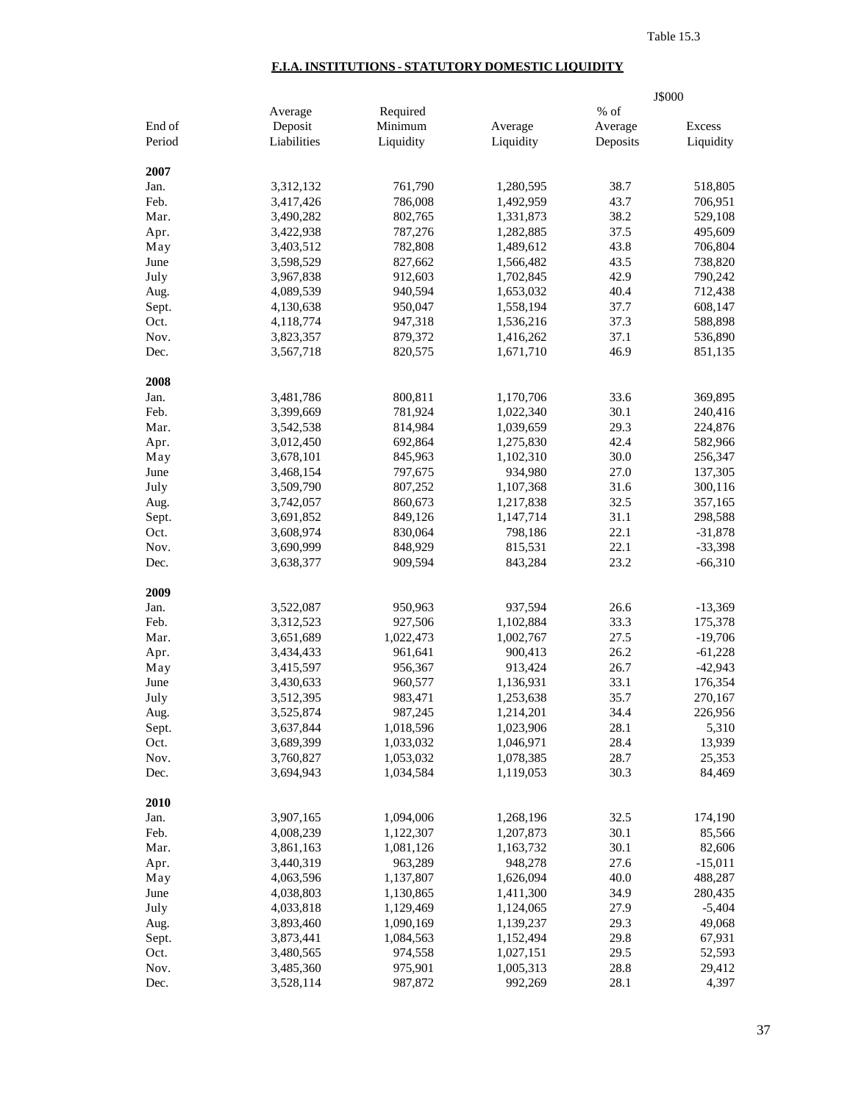## **F.I.A. INSTITUTIONS - STATUTORY DOMESTIC LIQUIDITY**

|        |             |           |           |          | J\$000    |
|--------|-------------|-----------|-----------|----------|-----------|
|        | Average     | Required  |           | % of     |           |
| End of | Deposit     | Minimum   | Average   | Average  | Excess    |
| Period | Liabilities | Liquidity | Liquidity | Deposits | Liquidity |
| 2007   |             |           |           |          |           |
| Jan.   | 3,312,132   | 761,790   | 1,280,595 | 38.7     | 518,805   |
| Feb.   | 3,417,426   | 786,008   | 1,492,959 | 43.7     | 706,951   |
| Mar.   | 3,490,282   | 802,765   | 1,331,873 | 38.2     | 529,108   |
| Apr.   | 3,422,938   | 787,276   | 1,282,885 | 37.5     | 495,609   |
| May    | 3,403,512   | 782,808   | 1,489,612 | 43.8     | 706,804   |
| June   | 3,598,529   | 827,662   | 1,566,482 | 43.5     | 738,820   |
| July   | 3,967,838   | 912,603   | 1,702,845 | 42.9     | 790,242   |
| Aug.   | 4,089,539   | 940,594   | 1,653,032 | 40.4     | 712,438   |
| Sept.  | 4,130,638   | 950,047   | 1,558,194 | 37.7     | 608,147   |
| Oct.   | 4,118,774   | 947,318   | 1,536,216 | 37.3     | 588,898   |
| Nov.   | 3,823,357   | 879,372   | 1,416,262 | 37.1     | 536,890   |
| Dec.   |             | 820,575   |           | 46.9     | 851,135   |
|        | 3,567,718   |           | 1,671,710 |          |           |
| 2008   |             |           |           |          |           |
| Jan.   | 3,481,786   | 800,811   | 1,170,706 | 33.6     | 369,895   |
| Feb.   | 3,399,669   | 781,924   | 1,022,340 | 30.1     | 240,416   |
| Mar.   | 3,542,538   | 814,984   | 1,039,659 | 29.3     | 224,876   |
| Apr.   | 3,012,450   | 692,864   | 1,275,830 | 42.4     | 582,966   |
| May    | 3,678,101   | 845,963   | 1,102,310 | 30.0     | 256,347   |
| June   | 3,468,154   | 797,675   | 934,980   | 27.0     | 137,305   |
| July   | 3,509,790   | 807,252   | 1,107,368 | 31.6     | 300,116   |
| Aug.   | 3,742,057   | 860,673   | 1,217,838 | 32.5     | 357,165   |
| Sept.  | 3,691,852   | 849,126   | 1,147,714 | 31.1     | 298,588   |
| Oct.   | 3,608,974   | 830,064   | 798,186   | 22.1     | $-31,878$ |
| Nov.   | 3,690,999   | 848,929   | 815,531   | 22.1     | $-33,398$ |
| Dec.   | 3,638,377   | 909,594   | 843,284   | 23.2     | $-66,310$ |
| 2009   |             |           |           |          |           |
| Jan.   | 3,522,087   | 950,963   | 937,594   | 26.6     | $-13,369$ |
| Feb.   | 3,312,523   | 927,506   | 1,102,884 | 33.3     | 175,378   |
| Mar.   | 3,651,689   | 1,022,473 | 1,002,767 | 27.5     | $-19,706$ |
| Apr.   | 3,434,433   | 961,641   | 900,413   | 26.2     | $-61,228$ |
| May    | 3,415,597   | 956,367   | 913,424   | 26.7     | $-42,943$ |
| June   | 3,430,633   | 960,577   | 1,136,931 | 33.1     | 176,354   |
| July   | 3,512,395   | 983,471   | 1,253,638 | 35.7     | 270,167   |
| Aug.   | 3,525,874   | 987,245   | 1,214,201 | 34.4     | 226,956   |
| Sept.  | 3,637,844   | 1,018,596 | 1,023,906 | 28.1     | 5,310     |
| Oct.   | 3,689,399   | 1,033,032 | 1,046,971 | 28.4     | 13,939    |
| Nov.   | 3,760,827   | 1,053,032 | 1,078,385 | 28.7     | 25,353    |
| Dec.   | 3,694,943   | 1,034,584 | 1,119,053 | 30.3     | 84,469    |
| 2010   |             |           |           |          |           |
| Jan.   | 3,907,165   | 1,094,006 | 1,268,196 | 32.5     | 174,190   |
| Feb.   | 4,008,239   | 1,122,307 | 1,207,873 | 30.1     | 85,566    |
| Mar.   | 3,861,163   | 1,081,126 | 1,163,732 | 30.1     | 82,606    |
| Apr.   | 3,440,319   | 963,289   | 948,278   | 27.6     | $-15,011$ |
| May    | 4,063,596   | 1,137,807 | 1,626,094 | 40.0     | 488,287   |
| June   | 4,038,803   | 1,130,865 | 1,411,300 | 34.9     | 280,435   |
| July   | 4,033,818   | 1,129,469 | 1,124,065 | 27.9     | $-5,404$  |
| Aug.   | 3,893,460   | 1,090,169 | 1,139,237 | 29.3     | 49,068    |
| Sept.  | 3,873,441   | 1,084,563 | 1,152,494 | 29.8     | 67,931    |
| Oct.   | 3,480,565   | 974,558   | 1,027,151 | 29.5     | 52,593    |
| Nov.   | 3,485,360   | 975,901   | 1,005,313 | 28.8     | 29,412    |
| Dec.   | 3,528,114   | 987,872   | 992,269   | 28.1     | 4,397     |
|        |             |           |           |          |           |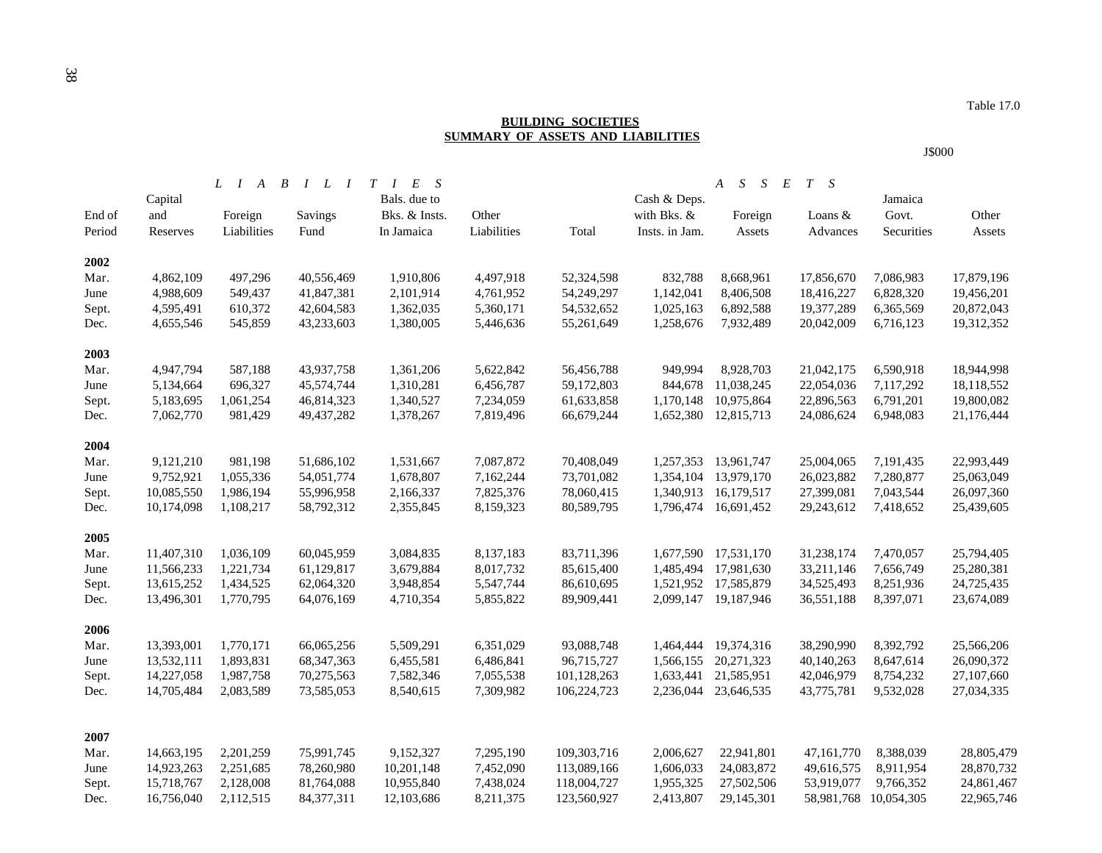### **BUILDING SOCIETIES SUMMARY OF ASSETS AND LIABILITIES**

### J\$000

|               |                          | $\boldsymbol{B}$<br>$L \quad I \quad A$ | $I$ $L$ $I$ $T$ $I$ | $E$ S         |                        |             |                        | S<br>$\boldsymbol{A}$<br>S<br>$E_{\rm}$ | $T \quad S$           |                        |            |
|---------------|--------------------------|-----------------------------------------|---------------------|---------------|------------------------|-------------|------------------------|-----------------------------------------|-----------------------|------------------------|------------|
|               | Capital                  |                                         |                     | Bals. due to  |                        |             | Cash & Deps.           |                                         |                       | Jamaica                |            |
| End of        | and                      | Foreign                                 | Savings             | Bks. & Insts. | Other                  |             | with Bks. &            | Foreign                                 | Loans &               | Govt.                  | Other      |
| Period        | Reserves                 | Liabilities                             | Fund                | In Jamaica    | Liabilities            | Total       | Insts. in Jam.         | Assets                                  | Advances              | Securities             | Assets     |
| 2002          |                          |                                         |                     |               |                        |             |                        |                                         |                       |                        |            |
| Mar.          | 4,862,109                | 497,296                                 | 40,556,469          | 1,910,806     | 4,497,918              | 52,324,598  | 832,788                | 8,668,961                               | 17,856,670            | 7,086,983              | 17,879,196 |
| June          | 4,988,609                | 549,437                                 | 41,847,381          | 2,101,914     | 4,761,952              | 54,249,297  | 1,142,041              | 8,406,508                               | 18,416,227            | 6,828,320              | 19,456,201 |
| Sept.         | 4,595,491                | 610,372                                 | 42,604,583          | 1,362,035     | 5,360,171              | 54,532,652  | 1,025,163              | 6,892,588                               | 19,377,289            | 6,365,569              | 20,872,043 |
| Dec.          | 4,655,546                | 545,859                                 | 43,233,603          | 1,380,005     | 5,446,636              | 55,261,649  | 1,258,676              | 7,932,489                               | 20,042,009            | 6,716,123              | 19,312,352 |
| 2003          |                          |                                         |                     |               |                        |             |                        |                                         |                       |                        |            |
| Mar.          | 4,947,794                | 587,188                                 | 43,937,758          | 1,361,206     | 5,622,842              | 56,456,788  | 949,994                | 8,928,703                               | 21,042,175            | 6,590,918              | 18,944,998 |
| June          | 5,134,664                | 696,327                                 | 45,574,744          | 1,310,281     | 6,456,787              | 59,172,803  | 844,678                | 11,038,245                              | 22,054,036            | 7,117,292              | 18,118,552 |
| Sept.         | 5,183,695                | 1,061,254                               | 46,814,323          | 1,340,527     | 7,234,059              | 61,633,858  | 1,170,148              | 10,975,864                              | 22,896,563            | 6,791,201              | 19,800,082 |
| Dec.          | 7,062,770                | 981,429                                 | 49, 437, 282        | 1,378,267     | 7,819,496              | 66,679,244  | 1,652,380              | 12,815,713                              | 24,086,624            | 6,948,083              | 21,176,444 |
| 2004          |                          |                                         |                     |               |                        |             |                        |                                         |                       |                        |            |
| Mar.          | 9,121,210                | 981,198                                 | 51,686,102          | 1,531,667     | 7,087,872              | 70,408,049  | 1,257,353              | 13,961,747                              | 25,004,065            | 7,191,435              | 22,993,449 |
| June          | 9,752,921                | 1,055,336                               | 54,051,774          | 1,678,807     | 7,162,244              | 73,701,082  | 1,354,104              | 13,979,170                              | 26,023,882            | 7,280,877              | 25,063,049 |
| Sept.         | 10,085,550               | 1,986,194                               | 55,996,958          | 2,166,337     | 7,825,376              | 78,060,415  | 1,340,913              | 16,179,517                              | 27,399,081            | 7,043,544              | 26,097,360 |
| Dec.          | 10,174,098               | 1,108,217                               | 58,792,312          | 2,355,845     | 8,159,323              | 80,589,795  | 1,796,474              | 16,691,452                              | 29,243,612            | 7,418,652              | 25,439,605 |
| 2005          |                          |                                         |                     |               |                        |             |                        |                                         |                       |                        |            |
| Mar.          | 11,407,310               | 1,036,109                               | 60,045,959          | 3,084,835     | 8,137,183              | 83,711,396  | 1,677,590              | 17,531,170                              | 31,238,174            | 7,470,057              | 25,794,405 |
| June          | 11,566,233               | 1,221,734                               | 61,129,817          | 3,679,884     | 8,017,732              | 85,615,400  | 1,485,494              | 17,981,630                              | 33,211,146            | 7,656,749              | 25,280,381 |
| Sept.         | 13,615,252               | 1,434,525                               | 62,064,320          | 3,948,854     | 5,547,744              | 86,610,695  | 1,521,952              | 17,585,879                              | 34,525,493            | 8,251,936              | 24,725,435 |
| Dec.          | 13,496,301               | 1,770,795                               | 64,076,169          | 4,710,354     | 5,855,822              | 89,909,441  | 2,099,147              | 19,187,946                              | 36,551,188            | 8,397,071              | 23,674,089 |
| 2006          |                          |                                         |                     |               |                        |             |                        |                                         |                       |                        |            |
| Mar.          | 13,393,001               | 1,770,171                               | 66,065,256          | 5,509,291     | 6,351,029              | 93,088,748  | 1,464,444              | 19,374,316                              | 38,290,990            | 8,392,792              | 25,566,206 |
| June          | 13,532,111               | 1,893,831                               | 68, 347, 363        | 6,455,581     | 6,486,841              | 96,715,727  | 1,566,155              | 20,271,323                              | 40,140,263            | 8,647,614              | 26,090,372 |
| Sept.         | 14,227,058               | 1,987,758                               | 70,275,563          | 7,582,346     | 7,055,538              | 101,128,263 | 1,633,441              | 21,585,951                              | 42,046,979            | 8,754,232              | 27,107,660 |
| Dec.          | 14,705,484               | 2,083,589                               | 73,585,053          | 8,540,615     | 7,309,982              | 106,224,723 | 2,236,044              | 23,646,535                              | 43,775,781            | 9,532,028              | 27,034,335 |
|               |                          |                                         |                     |               |                        |             |                        |                                         |                       |                        |            |
| 2007          |                          |                                         | 75,991,745          | 9,152,327     |                        | 109,303,716 |                        |                                         | 47,161,770            |                        | 28,805,479 |
| Mar.<br>June  | 14,663,195<br>14,923,263 | 2,201,259<br>2,251,685                  | 78,260,980          | 10,201,148    | 7,295,190<br>7,452,090 | 113,089,166 | 2,006,627<br>1,606,033 | 22,941,801<br>24,083,872                | 49,616,575            | 8,388,039<br>8,911,954 | 28,870,732 |
|               | 15,718,767               | 2,128,008                               | 81,764,088          | 10,955,840    | 7,438,024              | 118,004,727 | 1,955,325              | 27,502,506                              | 53,919,077            | 9,766,352              | 24,861,467 |
| Sept.<br>Dec. | 16,756,040               | 2,112,515                               | 84, 377, 311        | 12,103,686    | 8,211,375              | 123,560,927 | 2,413,807              | 29,145,301                              | 58,981,768 10,054,305 |                        | 22,965,746 |
|               |                          |                                         |                     |               |                        |             |                        |                                         |                       |                        |            |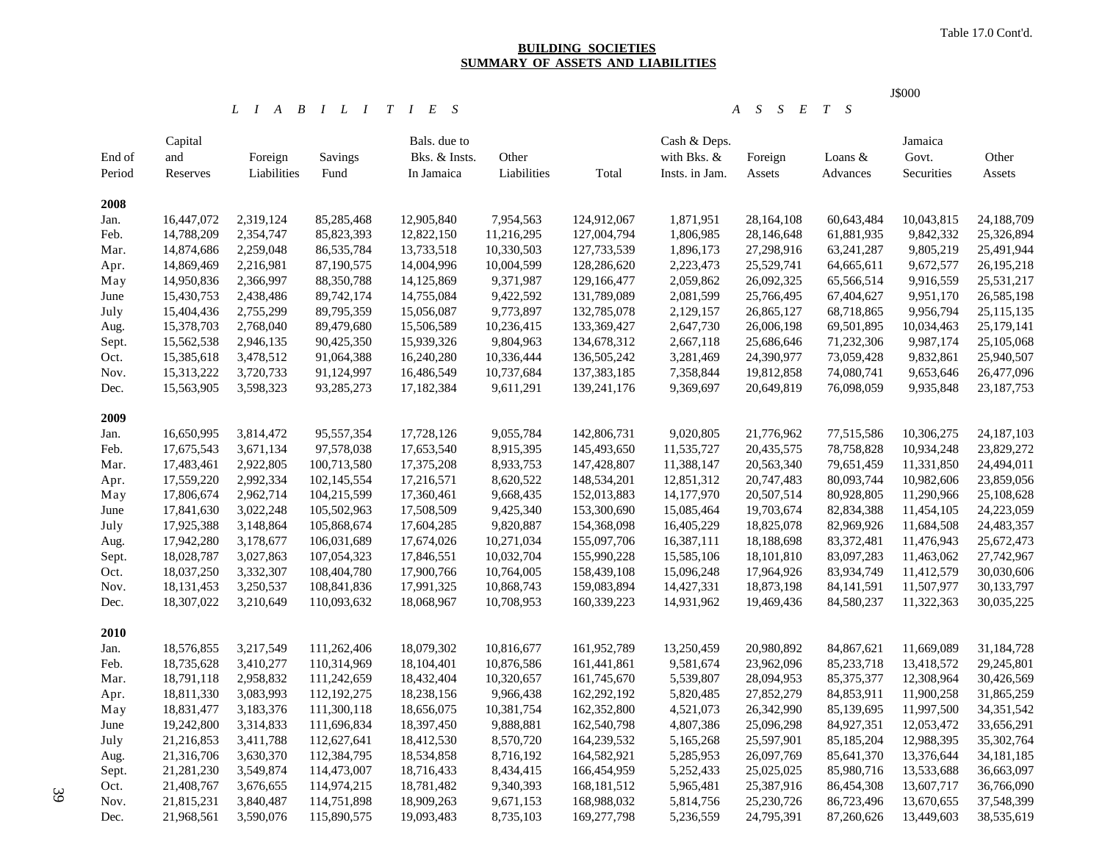### **BUILDING SOCIETIES SUMMARY OF ASSETS AND LIABILITIES**

J\$000

#### *L I A B I L I T I E S A S S E T S*

| End of<br>Period | Capital<br>and<br>Reserves | Foreign<br>Liabilities | Savings<br>Fund | Bals. due to<br>Bks. & Insts.<br>In Jamaica | Other<br>Liabilities | Total         | Cash & Deps.<br>with Bks. &<br>Insts. in Jam. | Foreign<br>Assets | Loans &<br>Advances | Jamaica<br>Govt.<br>Securities | Other<br>Assets |
|------------------|----------------------------|------------------------|-----------------|---------------------------------------------|----------------------|---------------|-----------------------------------------------|-------------------|---------------------|--------------------------------|-----------------|
| 2008             |                            |                        |                 |                                             |                      |               |                                               |                   |                     |                                |                 |
| Jan.             | 16,447,072                 | 2,319,124              | 85,285,468      | 12,905,840                                  | 7,954,563            | 124,912,067   | 1,871,951                                     | 28,164,108        | 60,643,484          | 10,043,815                     | 24,188,709      |
| Feb.             | 14,788,209                 | 2,354,747              | 85,823,393      | 12,822,150                                  | 11,216,295           | 127,004,794   | 1,806,985                                     | 28,146,648        | 61,881,935          | 9,842,332                      | 25,326,894      |
| Mar.             | 14,874,686                 | 2,259,048              | 86,535,784      | 13,733,518                                  | 10,330,503           | 127,733,539   | 1,896,173                                     | 27,298,916        | 63,241,287          | 9,805,219                      | 25,491,944      |
| Apr.             | 14,869,469                 | 2,216,981              | 87,190,575      | 14,004,996                                  | 10,004,599           | 128,286,620   | 2,223,473                                     | 25,529,741        | 64,665,611          | 9,672,577                      | 26, 195, 218    |
| May              | 14,950,836                 | 2,366,997              | 88,350,788      | 14,125,869                                  | 9,371,987            | 129,166,477   | 2,059,862                                     | 26,092,325        | 65,566,514          | 9,916,559                      | 25,531,217      |
| June             | 15,430,753                 | 2,438,486              | 89,742,174      | 14,755,084                                  | 9,422,592            | 131,789,089   | 2,081,599                                     | 25,766,495        | 67,404,627          | 9,951,170                      | 26,585,198      |
| July             | 15,404,436                 | 2,755,299              | 89,795,359      | 15,056,087                                  | 9,773,897            | 132,785,078   | 2,129,157                                     | 26,865,127        | 68,718,865          | 9,956,794                      | 25,115,135      |
| Aug.             | 15,378,703                 | 2,768,040              | 89,479,680      | 15,506,589                                  | 10,236,415           | 133,369,427   | 2,647,730                                     | 26,006,198        | 69,501,895          | 10,034,463                     | 25,179,141      |
| Sept.            | 15,562,538                 | 2,946,135              | 90,425,350      | 15,939,326                                  | 9,804,963            | 134,678,312   | 2,667,118                                     | 25,686,646        | 71,232,306          | 9,987,174                      | 25,105,068      |
| Oct.             | 15,385,618                 | 3,478,512              | 91,064,388      | 16,240,280                                  | 10,336,444           | 136,505,242   | 3,281,469                                     | 24,390,977        | 73,059,428          | 9,832,861                      | 25,940,507      |
| Nov.             | 15,313,222                 | 3,720,733              | 91,124,997      | 16,486,549                                  | 10,737,684           | 137, 383, 185 | 7,358,844                                     | 19,812,858        | 74,080,741          | 9,653,646                      | 26,477,096      |
| Dec.             | 15,563,905                 | 3,598,323              | 93,285,273      | 17,182,384                                  | 9,611,291            | 139,241,176   | 9,369,697                                     | 20,649,819        | 76,098,059          | 9,935,848                      | 23, 187, 753    |
| 2009             |                            |                        |                 |                                             |                      |               |                                               |                   |                     |                                |                 |
| Jan.             | 16,650,995                 | 3,814,472              | 95,557,354      | 17,728,126                                  | 9,055,784            | 142,806,731   | 9,020,805                                     | 21,776,962        | 77,515,586          | 10,306,275                     | 24,187,103      |
| Feb.             | 17,675,543                 | 3,671,134              | 97,578,038      | 17,653,540                                  | 8,915,395            | 145,493,650   | 11,535,727                                    | 20,435,575        | 78,758,828          | 10,934,248                     | 23,829,272      |
| Mar.             | 17,483,461                 | 2,922,805              | 100,713,580     | 17,375,208                                  | 8,933,753            | 147,428,807   | 11,388,147                                    | 20,563,340        | 79,651,459          | 11,331,850                     | 24,494,011      |
| Apr.             | 17,559,220                 | 2,992,334              | 102,145,554     | 17,216,571                                  | 8,620,522            | 148,534,201   | 12,851,312                                    | 20,747,483        | 80,093,744          | 10,982,606                     | 23,859,056      |
| May              | 17,806,674                 | 2,962,714              | 104,215,599     | 17,360,461                                  | 9,668,435            | 152,013,883   | 14,177,970                                    | 20,507,514        | 80,928,805          | 11,290,966                     | 25,108,628      |
| June             | 17,841,630                 | 3,022,248              | 105,502,963     | 17,508,509                                  | 9,425,340            | 153,300,690   | 15,085,464                                    | 19,703,674        | 82,834,388          | 11,454,105                     | 24,223,059      |
| July             | 17,925,388                 | 3,148,864              | 105,868,674     | 17,604,285                                  | 9,820,887            | 154,368,098   | 16,405,229                                    | 18,825,078        | 82,969,926          | 11,684,508                     | 24,483,357      |
| Aug.             | 17,942,280                 | 3,178,677              | 106,031,689     | 17,674,026                                  | 10,271,034           | 155,097,706   | 16,387,111                                    | 18,188,698        | 83,372,481          | 11,476,943                     | 25,672,473      |
| Sept.            | 18,028,787                 | 3,027,863              | 107,054,323     | 17,846,551                                  | 10,032,704           | 155,990,228   | 15,585,106                                    | 18,101,810        | 83,097,283          | 11,463,062                     | 27,742,967      |
| Oct.             | 18,037,250                 | 3,332,307              | 108,404,780     | 17,900,766                                  | 10,764,005           | 158,439,108   | 15,096,248                                    | 17,964,926        | 83,934,749          | 11,412,579                     | 30,030,606      |
| Nov.             | 18, 131, 453               | 3,250,537              | 108,841,836     | 17,991,325                                  | 10,868,743           | 159,083,894   | 14,427,331                                    | 18,873,198        | 84, 141, 591        | 11,507,977                     | 30,133,797      |
| Dec.             | 18,307,022                 | 3,210,649              | 110,093,632     | 18,068,967                                  | 10,708,953           | 160,339,223   | 14,931,962                                    | 19,469,436        | 84,580,237          | 11,322,363                     | 30,035,225      |
| 2010             |                            |                        |                 |                                             |                      |               |                                               |                   |                     |                                |                 |
| Jan.             | 18,576,855                 | 3,217,549              | 111,262,406     | 18,079,302                                  | 10,816,677           | 161,952,789   | 13,250,459                                    | 20,980,892        | 84,867,621          | 11,669,089                     | 31,184,728      |
| Feb.             | 18,735,628                 | 3,410,277              | 110,314,969     | 18,104,401                                  | 10,876,586           | 161,441,861   | 9,581,674                                     | 23,962,096        | 85,233,718          | 13,418,572                     | 29,245,801      |
| Mar.             | 18,791,118                 | 2,958,832              | 111,242,659     | 18,432,404                                  | 10,320,657           | 161,745,670   | 5,539,807                                     | 28,094,953        | 85, 375, 377        | 12,308,964                     | 30,426,569      |
| Apr.             | 18,811,330                 | 3,083,993              | 112,192,275     | 18,238,156                                  | 9,966,438            | 162,292,192   | 5,820,485                                     | 27,852,279        | 84,853,911          | 11,900,258                     | 31,865,259      |
| May              | 18,831,477                 | 3,183,376              | 111,300,118     | 18,656,075                                  | 10,381,754           | 162,352,800   | 4,521,073                                     | 26,342,990        | 85,139,695          | 11,997,500                     | 34, 351, 542    |
| June             | 19,242,800                 | 3,314,833              | 111,696,834     | 18,397,450                                  | 9,888,881            | 162,540,798   | 4,807,386                                     | 25,096,298        | 84,927,351          | 12,053,472                     | 33,656,291      |
| July             | 21,216,853                 | 3,411,788              | 112,627,641     | 18,412,530                                  | 8,570,720            | 164,239,532   | 5,165,268                                     | 25,597,901        | 85,185,204          | 12,988,395                     | 35,302,764      |
| Aug.             | 21,316,706                 | 3,630,370              | 112,384,795     | 18,534,858                                  | 8,716,192            | 164,582,921   | 5,285,953                                     | 26,097,769        | 85,641,370          | 13,376,644                     | 34, 181, 185    |
| Sept.            | 21,281,230                 | 3,549,874              | 114,473,007     | 18,716,433                                  | 8,434,415            | 166,454,959   | 5,252,433                                     | 25,025,025        | 85,980,716          | 13,533,688                     | 36,663,097      |
| Oct.             | 21,408,767                 | 3,676,655              | 114,974,215     | 18,781,482                                  | 9,340,393            | 168, 181, 512 | 5,965,481                                     | 25,387,916        | 86,454,308          | 13,607,717                     | 36,766,090      |
| Nov.             | 21,815,231                 | 3,840,487              | 114,751,898     | 18,909,263                                  | 9,671,153            | 168,988,032   | 5,814,756                                     | 25,230,726        | 86,723,496          | 13,670,655                     | 37,548,399      |
| Dec.             | 21,968,561                 | 3,590,076              | 115,890,575     | 19,093,483                                  | 8,735,103            | 169,277,798   | 5,236,559                                     | 24,795,391        | 87,260,626          | 13,449,603                     | 38,535,619      |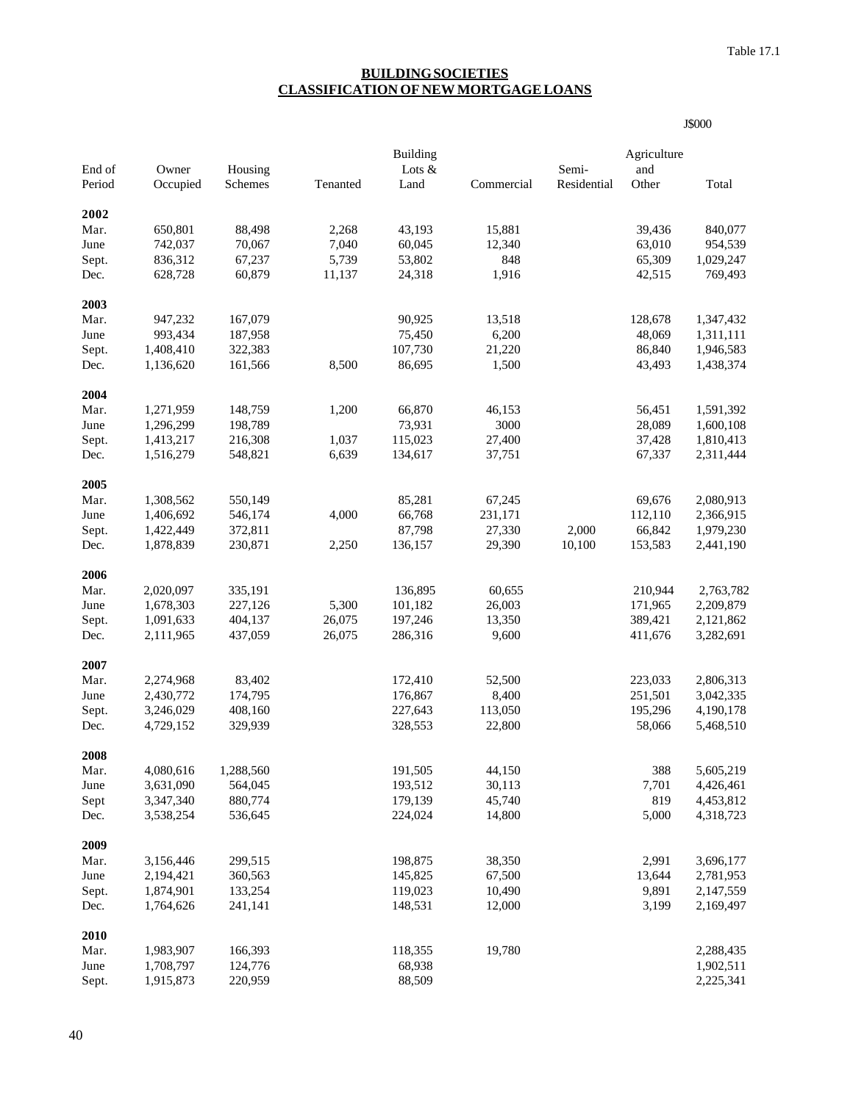J\$000

### **BUILDING SOCIETIES CLASSIFICATION OF NEW MORTGAGE LOANS**

| End of | Owner     | Housing   |          | <b>Building</b><br>Lots & |            | Semi-       | Agriculture<br>and |           |
|--------|-----------|-----------|----------|---------------------------|------------|-------------|--------------------|-----------|
| Period | Occupied  | Schemes   | Tenanted | Land                      | Commercial | Residential | Other              | Total     |
|        |           |           |          |                           |            |             |                    |           |
| 2002   |           |           |          |                           |            |             |                    |           |
| Mar.   | 650,801   | 88,498    | 2,268    | 43,193                    | 15,881     |             | 39,436             | 840,077   |
| June   | 742,037   | 70,067    | 7,040    | 60,045                    | 12,340     |             | 63,010             | 954,539   |
| Sept.  | 836,312   | 67,237    | 5,739    | 53,802                    | 848        |             | 65,309             | 1,029,247 |
| Dec.   | 628,728   | 60,879    | 11,137   | 24,318                    | 1,916      |             | 42,515             | 769,493   |
| 2003   |           |           |          |                           |            |             |                    |           |
| Mar.   | 947,232   | 167,079   |          | 90,925                    | 13,518     |             | 128,678            | 1,347,432 |
| June   | 993,434   | 187,958   |          | 75,450                    | 6,200      |             | 48,069             | 1,311,111 |
| Sept.  | 1,408,410 | 322,383   |          | 107,730                   | 21,220     |             | 86,840             | 1,946,583 |
| Dec.   | 1,136,620 | 161,566   | 8,500    | 86,695                    | 1,500      |             | 43,493             | 1,438,374 |
| 2004   |           |           |          |                           |            |             |                    |           |
| Mar.   | 1,271,959 | 148,759   | 1,200    | 66,870                    | 46,153     |             | 56,451             | 1,591,392 |
| June   | 1,296,299 | 198,789   |          | 73,931                    | 3000       |             | 28,089             | 1,600,108 |
| Sept.  | 1,413,217 | 216,308   | 1,037    | 115,023                   | 27,400     |             | 37,428             | 1,810,413 |
| Dec.   | 1,516,279 | 548,821   | 6,639    | 134,617                   | 37,751     |             | 67,337             | 2,311,444 |
| 2005   |           |           |          |                           |            |             |                    |           |
| Mar.   | 1,308,562 | 550,149   |          | 85,281                    | 67,245     |             | 69,676             | 2,080,913 |
| June   | 1,406,692 | 546,174   | 4,000    | 66,768                    | 231,171    |             | 112,110            | 2,366,915 |
| Sept.  | 1,422,449 | 372,811   |          | 87,798                    | 27,330     | 2,000       | 66,842             | 1,979,230 |
| Dec.   | 1,878,839 | 230,871   | 2,250    | 136,157                   | 29,390     | 10,100      | 153,583            | 2,441,190 |
| 2006   |           |           |          |                           |            |             |                    |           |
| Mar.   | 2,020,097 | 335,191   |          | 136,895                   | 60,655     |             | 210,944            | 2,763,782 |
| June   | 1,678,303 | 227,126   | 5,300    | 101,182                   | 26,003     |             | 171,965            | 2,209,879 |
| Sept.  | 1,091,633 | 404,137   | 26,075   | 197,246                   | 13,350     |             | 389,421            | 2,121,862 |
| Dec.   | 2,111,965 | 437,059   | 26,075   | 286,316                   | 9,600      |             | 411,676            | 3,282,691 |
|        |           |           |          |                           |            |             |                    |           |
| 2007   |           |           |          |                           |            |             |                    |           |
| Mar.   | 2,274,968 | 83,402    |          | 172,410                   | 52,500     |             | 223,033            | 2,806,313 |
| June   | 2,430,772 | 174,795   |          | 176,867                   | 8,400      |             | 251,501            | 3,042,335 |
| Sept.  | 3,246,029 | 408,160   |          | 227,643                   | 113,050    |             | 195,296            | 4,190,178 |
| Dec.   | 4,729,152 | 329,939   |          | 328,553                   | 22,800     |             | 58,066             | 5,468,510 |
| 2008   |           |           |          |                           |            |             |                    |           |
| Mar.   | 4,080,616 | 1,288,560 |          | 191,505                   | 44,150     |             | 388                | 5,605,219 |
| June   | 3,631,090 | 564,045   |          | 193,512                   | 30,113     |             | 7,701              | 4,426,461 |
| Sept   | 3,347,340 | 880,774   |          | 179,139                   | 45,740     |             | 819                | 4,453,812 |
| Dec.   | 3,538,254 | 536,645   |          | 224,024                   | 14,800     |             | 5,000              | 4,318,723 |
| 2009   |           |           |          |                           |            |             |                    |           |
| Mar.   | 3,156,446 | 299,515   |          | 198,875                   | 38,350     |             | 2,991              | 3,696,177 |
| June   | 2,194,421 | 360,563   |          | 145,825                   | 67,500     |             | 13,644             | 2,781,953 |
| Sept.  | 1,874,901 | 133,254   |          | 119,023                   | 10,490     |             | 9,891              | 2,147,559 |
| Dec.   | 1,764,626 | 241,141   |          | 148,531                   | 12,000     |             | 3,199              | 2,169,497 |
| 2010   |           |           |          |                           |            |             |                    |           |
| Mar.   | 1,983,907 | 166,393   |          | 118,355                   | 19,780     |             |                    | 2,288,435 |
| June   | 1,708,797 | 124,776   |          | 68,938                    |            |             |                    | 1,902,511 |
| Sept.  | 1,915,873 | 220,959   |          | 88,509                    |            |             |                    | 2,225,341 |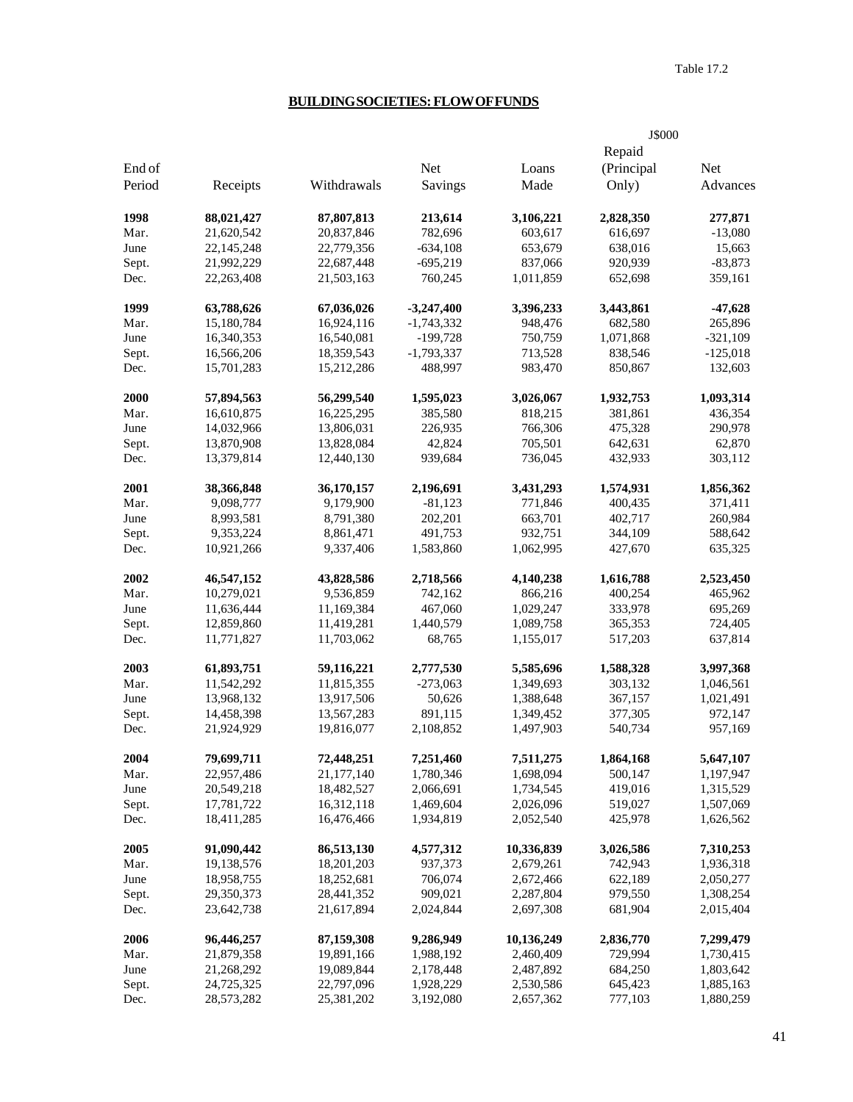## **BUILDING SOCIETIES: FLOW OF FUNDS**

|        |            |             |              |            | J\$000     |            |
|--------|------------|-------------|--------------|------------|------------|------------|
|        |            |             |              |            | Repaid     |            |
| End of |            |             | Net          | Loans      | (Principal | <b>Net</b> |
| Period | Receipts   | Withdrawals | Savings      | Made       | Only)      | Advances   |
| 1998   | 88,021,427 | 87,807,813  | 213,614      | 3,106,221  | 2,828,350  | 277,871    |
| Mar.   | 21,620,542 | 20,837,846  | 782,696      | 603,617    | 616,697    | $-13,080$  |
| June   | 22,145,248 | 22,779,356  | $-634,108$   | 653,679    | 638,016    | 15,663     |
| Sept.  | 21,992,229 | 22,687,448  | $-695,219$   | 837,066    | 920,939    | $-83,873$  |
| Dec.   | 22,263,408 | 21,503,163  | 760,245      | 1,011,859  | 652,698    | 359,161    |
| 1999   | 63,788,626 | 67,036,026  | $-3,247,400$ | 3,396,233  | 3,443,861  | $-47,628$  |
| Mar.   | 15,180,784 | 16,924,116  | $-1,743,332$ | 948,476    | 682,580    | 265,896    |
| June   | 16,340,353 | 16,540,081  | $-199,728$   | 750,759    | 1,071,868  | $-321,109$ |
| Sept.  | 16,566,206 | 18,359,543  | $-1,793,337$ | 713,528    | 838,546    | $-125,018$ |
| Dec.   | 15,701,283 | 15,212,286  | 488,997      | 983,470    | 850,867    | 132,603    |
| 2000   | 57,894,563 | 56,299,540  | 1,595,023    | 3,026,067  | 1,932,753  | 1,093,314  |
| Mar.   | 16,610,875 | 16,225,295  | 385,580      | 818,215    | 381,861    | 436,354    |
| June   | 14,032,966 | 13,806,031  | 226,935      | 766,306    | 475,328    | 290,978    |
| Sept.  | 13,870,908 | 13,828,084  | 42,824       | 705,501    | 642,631    | 62,870     |
| Dec.   | 13,379,814 | 12,440,130  | 939,684      | 736,045    | 432,933    | 303,112    |
| 2001   | 38,366,848 | 36,170,157  | 2,196,691    | 3,431,293  | 1,574,931  | 1,856,362  |
| Mar.   | 9,098,777  | 9,179,900   | $-81,123$    | 771,846    | 400,435    | 371,411    |
| June   | 8,993,581  | 8,791,380   | 202,201      | 663,701    | 402,717    | 260,984    |
| Sept.  | 9,353,224  | 8,861,471   | 491,753      | 932,751    | 344,109    | 588,642    |
| Dec.   | 10,921,266 | 9,337,406   | 1,583,860    | 1,062,995  | 427,670    | 635,325    |
| 2002   | 46,547,152 | 43,828,586  | 2,718,566    | 4,140,238  | 1,616,788  | 2,523,450  |
| Mar.   | 10,279,021 | 9,536,859   | 742,162      | 866,216    | 400,254    | 465,962    |
| June   | 11,636,444 | 11,169,384  | 467,060      | 1,029,247  | 333,978    | 695,269    |
| Sept.  | 12,859,860 | 11,419,281  | 1,440,579    | 1,089,758  | 365,353    | 724,405    |
| Dec.   | 11,771,827 | 11,703,062  | 68,765       | 1,155,017  | 517,203    | 637,814    |
| 2003   | 61,893,751 | 59,116,221  | 2,777,530    | 5,585,696  | 1,588,328  | 3,997,368  |
| Mar.   | 11,542,292 | 11,815,355  | $-273,063$   | 1,349,693  | 303,132    | 1,046,561  |
| June   | 13,968,132 | 13,917,506  | 50,626       | 1,388,648  | 367,157    | 1,021,491  |
| Sept.  | 14,458,398 | 13,567,283  | 891,115      | 1,349,452  | 377,305    | 972,147    |
| Dec.   | 21,924,929 | 19,816,077  | 2,108,852    | 1,497,903  | 540,734    | 957,169    |
| 2004   | 79,699,711 | 72,448,251  | 7,251,460    | 7,511,275  | 1,864,168  | 5,647,107  |
| Mar.   | 22,957,486 | 21,177,140  | 1,780,346    | 1,698,094  | 500,147    | 1,197,947  |
| June   | 20,549,218 | 18,482,527  | 2,066,691    | 1,734,545  | 419,016    | 1,315,529  |
| Sept.  | 17,781,722 | 16,312,118  | 1,469,604    | 2,026,096  | 519,027    | 1,507,069  |
| Dec.   | 18,411,285 | 16,476,466  | 1,934,819    | 2,052,540  | 425,978    | 1,626,562  |
| 2005   | 91,090,442 | 86,513,130  | 4,577,312    | 10,336,839 | 3,026,586  | 7,310,253  |
| Mar.   | 19,138,576 | 18,201,203  | 937,373      | 2,679,261  | 742,943    | 1,936,318  |
| June   | 18,958,755 | 18,252,681  | 706,074      | 2,672,466  | 622,189    | 2,050,277  |
| Sept.  | 29,350,373 | 28,441,352  | 909,021      | 2,287,804  | 979,550    | 1,308,254  |
| Dec.   | 23,642,738 | 21,617,894  | 2,024,844    | 2,697,308  | 681,904    | 2,015,404  |
| 2006   | 96,446,257 | 87,159,308  | 9,286,949    | 10,136,249 | 2,836,770  | 7,299,479  |
| Mar.   | 21,879,358 | 19,891,166  | 1,988,192    | 2,460,409  | 729,994    | 1,730,415  |
| June   | 21,268,292 | 19,089,844  | 2,178,448    | 2,487,892  | 684,250    | 1,803,642  |
| Sept.  | 24,725,325 | 22,797,096  | 1,928,229    | 2,530,586  | 645,423    | 1,885,163  |
| Dec.   | 28,573,282 | 25,381,202  | 3,192,080    | 2,657,362  | 777,103    | 1,880,259  |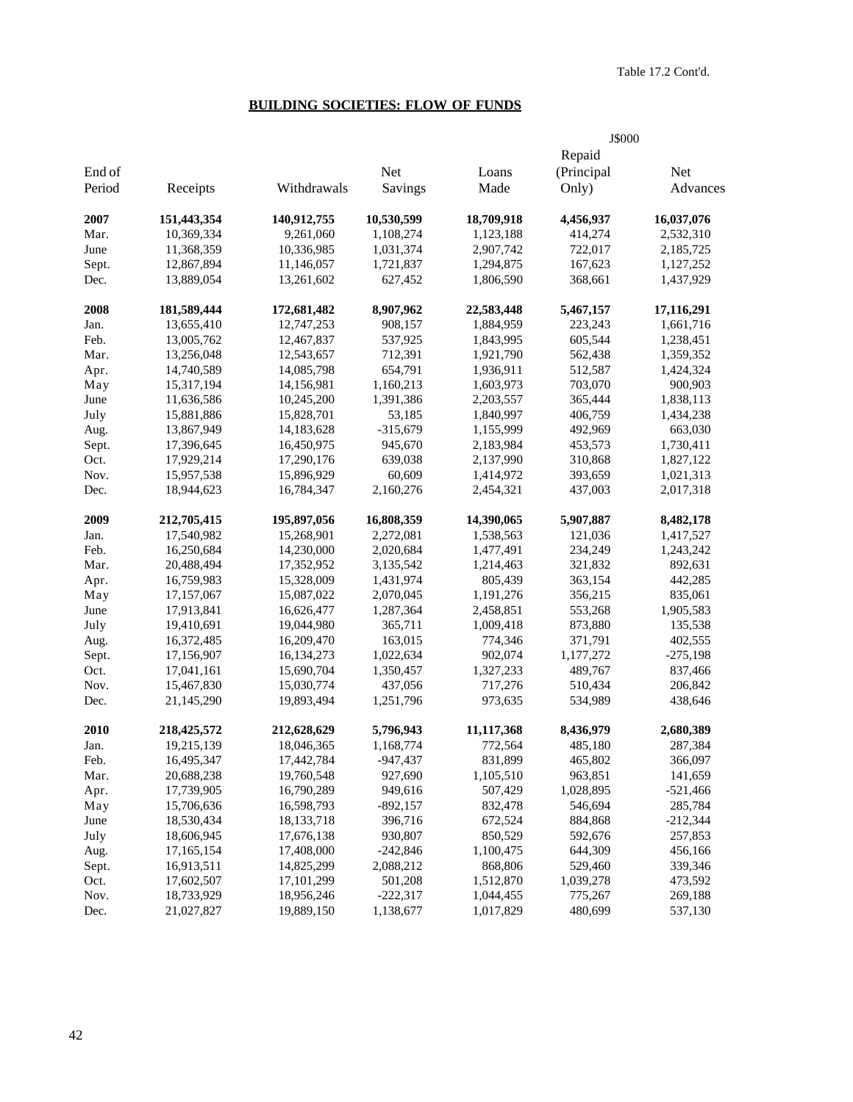# **BUILDING SOCIETIES: FLOW OF FUNDS**

|        |             |              |            |            | J\$000     |            |
|--------|-------------|--------------|------------|------------|------------|------------|
|        |             |              |            |            | Repaid     |            |
| End of |             |              | Net        | Loans      | (Principal | <b>Net</b> |
| Period | Receipts    | Withdrawals  | Savings    | Made       | Only)      | Advances   |
| 2007   | 151,443,354 | 140,912,755  | 10,530,599 | 18,709,918 | 4,456,937  | 16,037,076 |
| Mar.   | 10,369,334  | 9,261,060    | 1,108,274  | 1,123,188  | 414,274    | 2,532,310  |
| June   | 11,368,359  | 10,336,985   | 1,031,374  | 2,907,742  | 722,017    | 2,185,725  |
| Sept.  | 12,867,894  | 11,146,057   | 1,721,837  | 1,294,875  | 167,623    | 1,127,252  |
| Dec.   | 13,889,054  | 13,261,602   | 627,452    | 1,806,590  | 368,661    | 1,437,929  |
| 2008   | 181,589,444 | 172,681,482  | 8,907,962  | 22,583,448 | 5,467,157  | 17,116,291 |
| Jan.   | 13,655,410  | 12,747,253   | 908,157    | 1,884,959  | 223,243    | 1,661,716  |
| Feb.   | 13,005,762  | 12,467,837   | 537,925    | 1,843,995  | 605,544    | 1,238,451  |
| Mar.   | 13,256,048  | 12,543,657   | 712,391    | 1,921,790  | 562,438    | 1,359,352  |
| Apr.   | 14,740,589  | 14,085,798   | 654,791    | 1,936,911  | 512,587    | 1,424,324  |
| May    | 15,317,194  | 14,156,981   | 1,160,213  | 1,603,973  | 703,070    | 900,903    |
| June   | 11,636,586  | 10,245,200   | 1,391,386  | 2,203,557  | 365,444    | 1,838,113  |
| July   | 15,881,886  | 15,828,701   | 53,185     | 1,840,997  | 406,759    | 1,434,238  |
| Aug.   | 13,867,949  | 14,183,628   | $-315,679$ | 1,155,999  | 492,969    | 663,030    |
| Sept.  | 17,396,645  | 16,450,975   | 945,670    | 2,183,984  | 453,573    | 1,730,411  |
| Oct.   | 17,929,214  | 17,290,176   | 639,038    | 2,137,990  | 310,868    | 1,827,122  |
| Nov.   | 15,957,538  | 15,896,929   | 60,609     | 1,414,972  | 393,659    | 1,021,313  |
| Dec.   | 18,944,623  | 16,784,347   | 2,160,276  | 2,454,321  | 437,003    | 2,017,318  |
| 2009   | 212,705,415 | 195,897,056  | 16,808,359 | 14,390,065 | 5,907,887  | 8,482,178  |
| Jan.   | 17,540,982  | 15,268,901   | 2,272,081  | 1,538,563  | 121,036    | 1,417,527  |
| Feb.   | 16,250,684  | 14,230,000   | 2,020,684  | 1,477,491  | 234,249    | 1,243,242  |
| Mar.   | 20,488,494  | 17,352,952   | 3,135,542  | 1,214,463  | 321,832    | 892,631    |
| Apr.   | 16,759,983  | 15,328,009   | 1,431,974  | 805,439    | 363,154    | 442,285    |
| May    | 17,157,067  | 15,087,022   | 2,070,045  | 1,191,276  | 356,215    | 835,061    |
| June   | 17,913,841  | 16,626,477   | 1,287,364  | 2,458,851  | 553,268    | 1,905,583  |
| July   | 19,410,691  | 19,044,980   | 365,711    | 1,009,418  | 873,880    | 135,538    |
| Aug.   | 16,372,485  | 16,209,470   | 163,015    | 774,346    | 371,791    | 402,555    |
| Sept.  | 17,156,907  | 16, 134, 273 | 1,022,634  | 902,074    | 1,177,272  | $-275,198$ |
| Oct.   | 17,041,161  | 15,690,704   | 1,350,457  | 1,327,233  | 489,767    | 837,466    |
| Nov.   | 15,467,830  | 15,030,774   | 437,056    | 717,276    | 510,434    | 206,842    |
| Dec.   | 21,145,290  | 19,893,494   | 1,251,796  | 973,635    | 534,989    | 438,646    |
| 2010   | 218,425,572 | 212,628,629  | 5,796,943  | 11,117,368 | 8,436,979  | 2,680,389  |
| Jan.   | 19,215,139  | 18,046,365   | 1,168,774  | 772,564    | 485,180    | 287,384    |
| Feb.   | 16,495,347  | 17,442,784   | -947,437   | 831,899    | 465,802    | 366,097    |
| Mar.   | 20,688,238  | 19,760,548   | 927,690    | 1,105,510  | 963,851    | 141,659    |
| Apr.   | 17,739,905  | 16,790,289   | 949,616    | 507,429    | 1,028,895  | $-521,466$ |
| May    | 15,706,636  | 16,598,793   | $-892,157$ | 832,478    | 546,694    | 285,784    |
| June   | 18,530,434  | 18, 133, 718 | 396,716    | 672,524    | 884,868    | $-212,344$ |
| July   | 18,606,945  | 17,676,138   | 930,807    | 850,529    | 592,676    | 257,853    |
| Aug.   | 17,165,154  | 17,408,000   | $-242,846$ | 1,100,475  | 644,309    | 456,166    |
| Sept.  | 16,913,511  | 14,825,299   | 2,088,212  | 868,806    | 529,460    | 339,346    |
| Oct.   | 17,602,507  | 17,101,299   | 501,208    | 1,512,870  | 1,039,278  | 473,592    |
| Nov.   | 18,733,929  | 18,956,246   | $-222,317$ | 1,044,455  | 775,267    | 269,188    |
| Dec.   | 21,027,827  | 19,889,150   | 1,138,677  | 1,017,829  | 480,699    | 537,130    |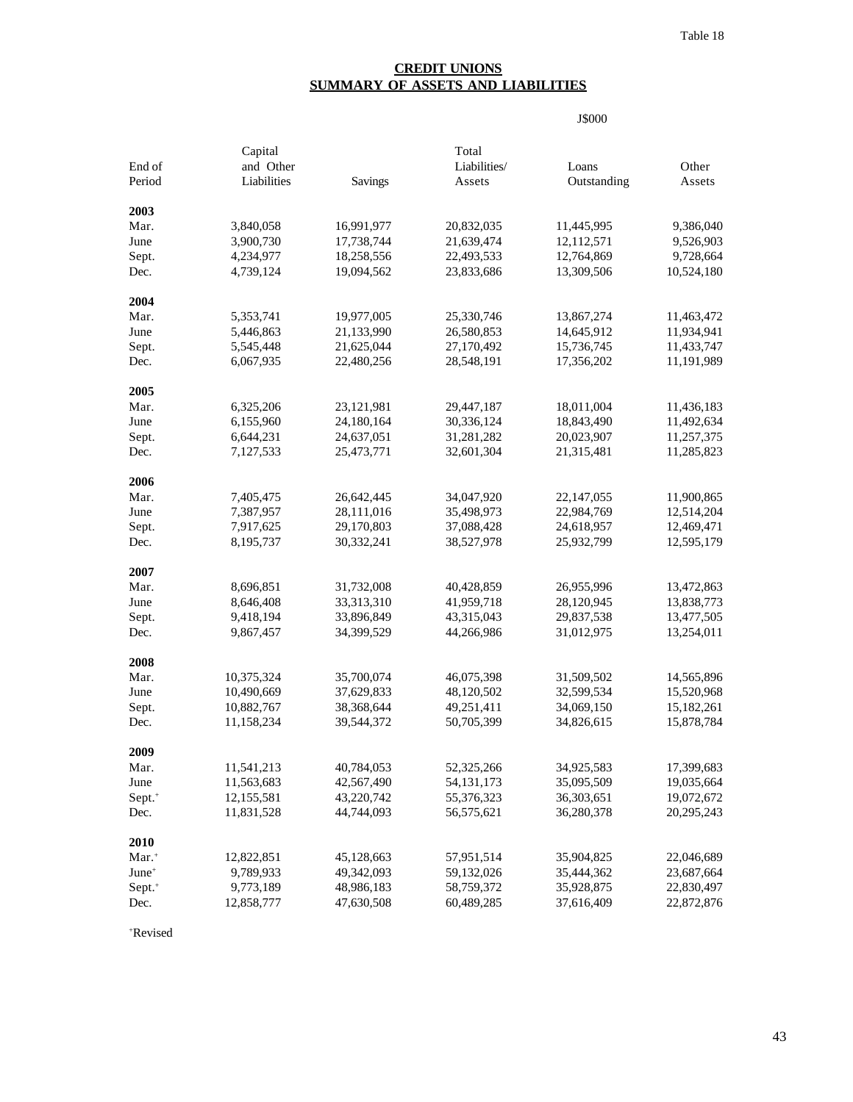## **CREDIT UNIONS SUMMARY OF ASSETS AND LIABILITIES**

J\$000

|                    | Capital     |            | Total        |              |            |
|--------------------|-------------|------------|--------------|--------------|------------|
| End of             | and Other   |            | Liabilities/ | Loans        | Other      |
| Period             | Liabilities | Savings    | Assets       | Outstanding  | Assets     |
| 2003               |             |            |              |              |            |
| Mar.               | 3,840,058   | 16,991,977 | 20,832,035   | 11,445,995   | 9,386,040  |
| June               | 3,900,730   | 17,738,744 | 21,639,474   | 12,112,571   | 9,526,903  |
| Sept.              | 4,234,977   | 18,258,556 | 22,493,533   | 12,764,869   | 9,728,664  |
| Dec.               | 4,739,124   | 19,094,562 | 23,833,686   | 13,309,506   | 10,524,180 |
| 2004               |             |            |              |              |            |
| Mar.               | 5,353,741   | 19,977,005 | 25,330,746   | 13,867,274   | 11,463,472 |
| June               | 5,446,863   | 21,133,990 | 26,580,853   | 14,645,912   | 11,934,941 |
| Sept.              | 5,545,448   | 21,625,044 | 27,170,492   | 15,736,745   | 11,433,747 |
| Dec.               | 6,067,935   | 22,480,256 | 28,548,191   | 17,356,202   | 11,191,989 |
| 2005               |             |            |              |              |            |
| Mar.               | 6,325,206   | 23,121,981 | 29,447,187   | 18,011,004   | 11,436,183 |
| June               | 6,155,960   | 24,180,164 | 30,336,124   | 18,843,490   | 11,492,634 |
| Sept.              | 6,644,231   | 24,637,051 | 31,281,282   | 20,023,907   | 11,257,375 |
| Dec.               | 7,127,533   | 25,473,771 | 32,601,304   | 21,315,481   | 11,285,823 |
| 2006               |             |            |              |              |            |
| Mar.               | 7,405,475   | 26,642,445 | 34,047,920   | 22, 147, 055 | 11,900,865 |
| June               | 7,387,957   | 28,111,016 | 35,498,973   | 22,984,769   | 12,514,204 |
| Sept.              | 7,917,625   | 29,170,803 | 37,088,428   | 24,618,957   | 12,469,471 |
| Dec.               | 8,195,737   | 30,332,241 | 38,527,978   | 25,932,799   | 12,595,179 |
| 2007               |             |            |              |              |            |
| Mar.               | 8,696,851   | 31,732,008 | 40,428,859   | 26,955,996   | 13,472,863 |
| June               | 8,646,408   | 33,313,310 | 41,959,718   | 28,120,945   | 13,838,773 |
| Sept.              | 9,418,194   | 33,896,849 | 43,315,043   | 29,837,538   | 13,477,505 |
| Dec.               | 9,867,457   | 34,399,529 | 44,266,986   | 31,012,975   | 13,254,011 |
| 2008               |             |            |              |              |            |
| Mar.               | 10,375,324  | 35,700,074 | 46,075,398   | 31,509,502   | 14,565,896 |
| June               | 10,490,669  | 37,629,833 | 48,120,502   | 32,599,534   | 15,520,968 |
| Sept.              | 10,882,767  | 38,368,644 | 49,251,411   | 34,069,150   | 15,182,261 |
| Dec.               | 11,158,234  | 39,544,372 | 50,705,399   | 34,826,615   | 15,878,784 |
| 2009               |             |            |              |              |            |
| Mar.               | 11,541,213  | 40,784,053 | 52,325,266   | 34,925,583   | 17,399,683 |
| June               | 11,563,683  | 42,567,490 | 54, 131, 173 | 35,095,509   | 19,035,664 |
| Sept. <sup>+</sup> | 12,155,581  | 43,220,742 | 55,376,323   | 36,303,651   | 19,072,672 |
| Dec.               | 11,831,528  | 44,744,093 | 56,575,621   | 36,280,378   | 20,295,243 |
| 2010               |             |            |              |              |            |
| Mar. <sup>+</sup>  | 12,822,851  | 45,128,663 | 57,951,514   | 35,904,825   | 22,046,689 |
| June <sup>+</sup>  | 9,789,933   | 49,342,093 | 59,132,026   | 35,444,362   | 23,687,664 |
| Sept. <sup>+</sup> | 9,773,189   | 48,986,183 | 58,759,372   | 35,928,875   | 22,830,497 |
| Dec.               | 12,858,777  | 47,630,508 | 60,489,285   | 37,616,409   | 22,872,876 |

+ Revised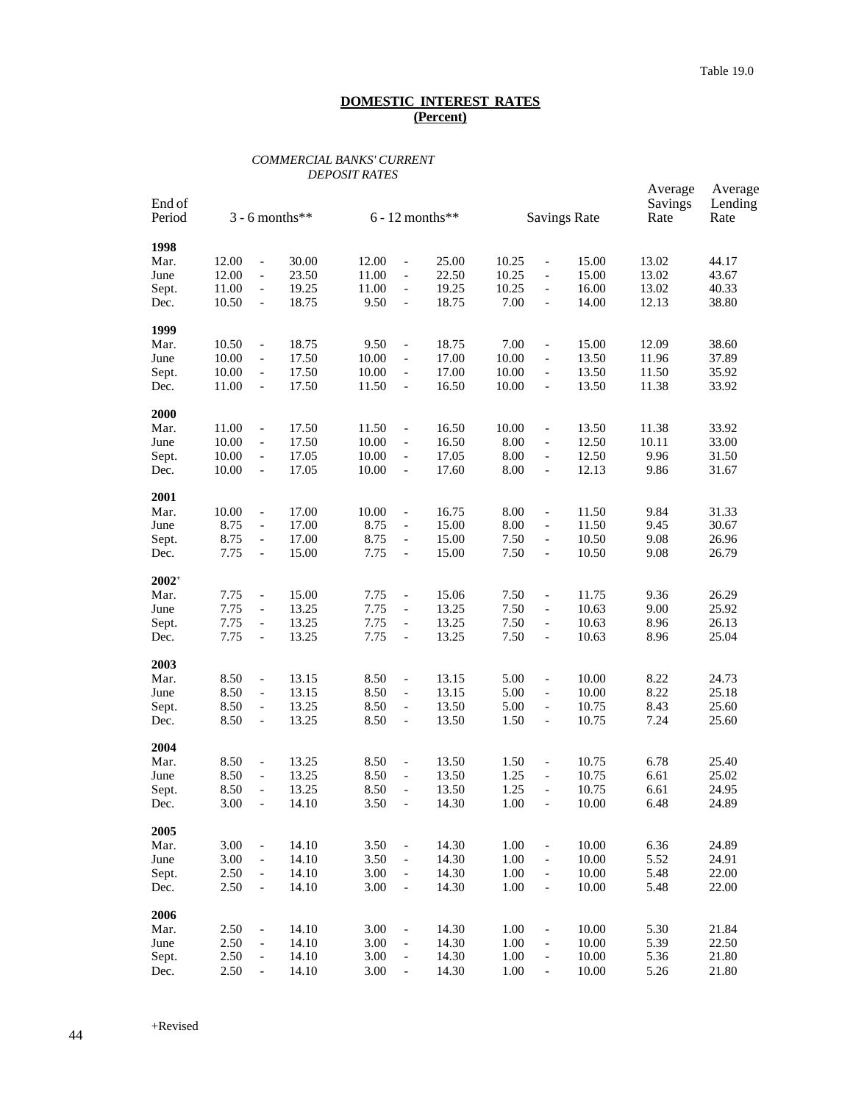### *COMMERCIAL BANKS' CURRENT DEPOSIT RATES*

| End of<br>Period<br>$3 - 6$ months** |              |                                                      |                | $6 - 12$ months** |                                                      |                | <b>Savings Rate</b> | Average<br>Savings<br>Rate                           | Average<br>Lending<br>Rate |              |                |
|--------------------------------------|--------------|------------------------------------------------------|----------------|-------------------|------------------------------------------------------|----------------|---------------------|------------------------------------------------------|----------------------------|--------------|----------------|
| 1998                                 |              |                                                      |                |                   |                                                      |                |                     |                                                      |                            |              |                |
| Mar.                                 | 12.00        | $\blacksquare$                                       | 30.00          | 12.00             | $\overline{\phantom{a}}$                             | 25.00          | 10.25               | $\qquad \qquad \Box$                                 | 15.00                      | 13.02        | 44.17          |
| June                                 | 12.00        | $\blacksquare$                                       | 23.50          | 11.00             | $\overline{\phantom{a}}$                             | 22.50          | 10.25               | $\qquad \qquad -$                                    | 15.00                      | 13.02        | 43.67          |
| Sept.                                | 11.00        | $\overline{\phantom{a}}$                             | 19.25          | 11.00             | $\overline{\phantom{a}}$                             | 19.25          | 10.25               | $\overline{\phantom{0}}$                             | 16.00                      | 13.02        | 40.33          |
| Dec.                                 | 10.50        | $\overline{\phantom{a}}$                             | 18.75          | 9.50              | $\overline{\phantom{a}}$                             | 18.75          | 7.00                | $\overline{a}$                                       | 14.00                      | 12.13        | 38.80          |
| 1999                                 |              |                                                      |                |                   |                                                      |                |                     |                                                      |                            |              |                |
| Mar.                                 | 10.50        | $\blacksquare$                                       | 18.75          | 9.50              | $\overline{\phantom{a}}$                             | 18.75          | 7.00                | $\overline{a}$                                       | 15.00                      | 12.09        | 38.60          |
| June                                 | 10.00        | $\overline{\phantom{a}}$                             | 17.50          | 10.00             | $\blacksquare$                                       | 17.00          | 10.00               | $\overline{\phantom{0}}$                             | 13.50                      | 11.96        | 37.89          |
| Sept.                                | 10.00        | $\overline{\phantom{a}}$                             | 17.50          | 10.00             | $\overline{\phantom{a}}$                             | 17.00          | 10.00               | $\overline{\phantom{0}}$                             | 13.50                      | 11.50        | 35.92          |
| Dec.                                 | 11.00        | $\overline{\phantom{a}}$                             | 17.50          | 11.50             | $\overline{\phantom{a}}$                             | 16.50          | 10.00               | $\qquad \qquad -$                                    | 13.50                      | 11.38        | 33.92          |
| 2000                                 |              |                                                      |                |                   |                                                      |                |                     |                                                      |                            |              |                |
| Mar.                                 | 11.00        | $\blacksquare$                                       | 17.50          | 11.50             | $\overline{\phantom{a}}$                             | 16.50          | 10.00               | $\overline{a}$                                       | 13.50                      | 11.38        | 33.92          |
| June                                 | 10.00        | $\overline{\phantom{a}}$                             | 17.50          | 10.00             | $\overline{\phantom{a}}$                             | 16.50          | 8.00                | $\overline{\phantom{0}}$                             | 12.50                      | 10.11        | 33.00          |
| Sept.                                | 10.00        | $\overline{\phantom{a}}$                             | 17.05          | 10.00             | $\overline{\phantom{a}}$                             | 17.05          | 8.00                | $\overline{\phantom{0}}$                             | 12.50                      | 9.96         | 31.50          |
| Dec.                                 | 10.00        | $\overline{\phantom{a}}$                             | 17.05          | 10.00             | $\overline{\phantom{a}}$                             | 17.60          | 8.00                | $\overline{a}$                                       | 12.13                      | 9.86         | 31.67          |
| 2001                                 |              |                                                      |                |                   |                                                      |                |                     |                                                      |                            |              |                |
| Mar.                                 | 10.00        | $\overline{\phantom{a}}$                             | 17.00          | 10.00             | $\overline{\phantom{a}}$                             | 16.75          | 8.00                | $\overline{a}$                                       | 11.50                      | 9.84         | 31.33          |
| June                                 | 8.75<br>8.75 | $\overline{\phantom{a}}$                             | 17.00<br>17.00 | 8.75<br>8.75      | $\overline{\phantom{a}}$                             | 15.00          | 8.00<br>7.50        | $\overline{\phantom{0}}$                             | 11.50<br>10.50             | 9.45<br>9.08 | 30.67<br>26.96 |
| Sept.<br>Dec.                        | 7.75         | $\overline{\phantom{a}}$<br>$\overline{\phantom{a}}$ | 15.00          | 7.75              | $\overline{\phantom{a}}$<br>$\overline{\phantom{a}}$ | 15.00<br>15.00 | 7.50                | $\overline{\phantom{0}}$<br>$\overline{\phantom{m}}$ | 10.50                      | 9.08         | 26.79          |
|                                      |              |                                                      |                |                   |                                                      |                |                     |                                                      |                            |              |                |
| $2002^+$                             |              |                                                      |                |                   |                                                      |                |                     |                                                      |                            |              |                |
| Mar.                                 | 7.75         | $\overline{\phantom{a}}$                             | 15.00          | 7.75              | $\overline{\phantom{a}}$                             | 15.06          | 7.50                | $\qquad \qquad \Box$                                 | 11.75                      | 9.36         | 26.29          |
| June                                 | 7.75<br>7.75 | $\overline{\phantom{a}}$                             | 13.25<br>13.25 | 7.75<br>7.75      | $\overline{\phantom{a}}$                             | 13.25          | 7.50<br>7.50        | $\overline{\phantom{a}}$                             | 10.63<br>10.63             | 9.00<br>8.96 | 25.92          |
| Sept.<br>Dec.                        | 7.75         | $\overline{\phantom{a}}$<br>$\overline{\phantom{a}}$ | 13.25          | 7.75              | $\overline{\phantom{a}}$<br>$\overline{\phantom{a}}$ | 13.25<br>13.25 | 7.50                | $\overline{\phantom{0}}$<br>$\overline{\phantom{m}}$ | 10.63                      | 8.96         | 26.13<br>25.04 |
|                                      |              |                                                      |                |                   |                                                      |                |                     |                                                      |                            |              |                |
| 2003                                 |              |                                                      |                |                   |                                                      |                | 5.00                |                                                      | 10.00                      |              | 24.73          |
| Mar.<br>June                         | 8.50<br>8.50 | $\overline{\phantom{a}}$<br>$\overline{\phantom{a}}$ | 13.15<br>13.15 | 8.50<br>8.50      | $\overline{\phantom{a}}$<br>$\overline{\phantom{a}}$ | 13.15<br>13.15 | 5.00                | $\overline{a}$                                       | 10.00                      | 8.22<br>8.22 | 25.18          |
| Sept.                                | 8.50         | $\overline{\phantom{a}}$                             | 13.25          | 8.50              | $\overline{\phantom{a}}$                             | 13.50          | 5.00                | $\overline{\phantom{0}}$<br>$\overline{\phantom{0}}$ | 10.75                      | 8.43         | 25.60          |
| Dec.                                 | 8.50         | $\overline{\phantom{a}}$                             | 13.25          | 8.50              | $\overline{\phantom{a}}$                             | 13.50          | 1.50                | $\overline{\phantom{m}}$                             | 10.75                      | 7.24         | 25.60          |
|                                      |              |                                                      |                |                   |                                                      |                |                     |                                                      |                            |              |                |
| 2004                                 |              |                                                      |                |                   |                                                      |                |                     |                                                      |                            |              |                |
| Mar.                                 | 8.50         | $\blacksquare$                                       | 13.25          | 8.50              | $\overline{\phantom{a}}$                             | 13.50          | 1.50                | $\overline{a}$                                       | 10.75                      | 6.78         | 25.40          |
| June                                 | 8.50         | $\overline{\phantom{a}}$                             | 13.25          | 8.50              | $\overline{\phantom{a}}$                             | 13.50          | 1.25                | $\qquad \qquad -$                                    | 10.75                      | 6.61         | 25.02          |
| Sept.                                | 8.50         | $\overline{\phantom{a}}$                             | 13.25          | 8.50              | $\overline{\phantom{a}}$                             | 13.50          | 1.25                | $\overline{\phantom{0}}$                             | 10.75                      | 6.61         | 24.95          |
| Dec.                                 | 3.00         |                                                      | 14.10          | 3.50              |                                                      | 14.30          | 1.00                |                                                      | 10.00                      | 6.48         | 24.89          |
| 2005                                 |              |                                                      |                |                   |                                                      |                |                     |                                                      |                            |              |                |
| Mar.                                 | 3.00         | $\blacksquare$                                       | 14.10          | 3.50              | $\Box$                                               | 14.30          | 1.00                | $\overline{a}$                                       | 10.00                      | 6.36         | 24.89          |
| June                                 | 3.00         | $\overline{\phantom{a}}$                             | 14.10          | 3.50              | $\overline{\phantom{a}}$                             | 14.30          | 1.00                | $\overline{\phantom{0}}$                             | 10.00                      | 5.52         | 24.91          |
| Sept.                                | 2.50         | $\overline{\phantom{a}}$                             | 14.10          | 3.00              | $\overline{\phantom{m}}$                             | 14.30          | 1.00                | $\qquad \qquad \Box$                                 | 10.00                      | 5.48         | 22.00          |
| Dec.                                 | 2.50         | $\blacksquare$                                       | 14.10          | 3.00              | $\blacksquare$                                       | 14.30          | 1.00                | $\overline{a}$                                       | 10.00                      | 5.48         | 22.00          |
| 2006                                 |              |                                                      |                |                   |                                                      |                |                     |                                                      |                            |              |                |
| Mar.                                 | 2.50         | $\blacksquare$                                       | 14.10          | 3.00              | $\overline{\phantom{a}}$                             | 14.30          | 1.00                | $\overline{a}$                                       | 10.00                      | 5.30         | 21.84          |
| June                                 | 2.50         | $\overline{\phantom{a}}$                             | 14.10          | 3.00              | $\overline{\phantom{a}}$                             | 14.30          | 1.00                | $\overline{\phantom{0}}$                             | 10.00                      | 5.39         | 22.50          |
| Sept.                                | 2.50         | $\overline{\phantom{a}}$                             | 14.10          | 3.00              | $\blacksquare$                                       | 14.30          | 1.00                | $\overline{\phantom{0}}$                             | 10.00                      | 5.36         | 21.80          |
| Dec.                                 | 2.50         | $\blacksquare$                                       | 14.10          | 3.00              | $\qquad \qquad -$                                    | 14.30          | 1.00                | $\overline{a}$                                       | 10.00                      | 5.26         | 21.80          |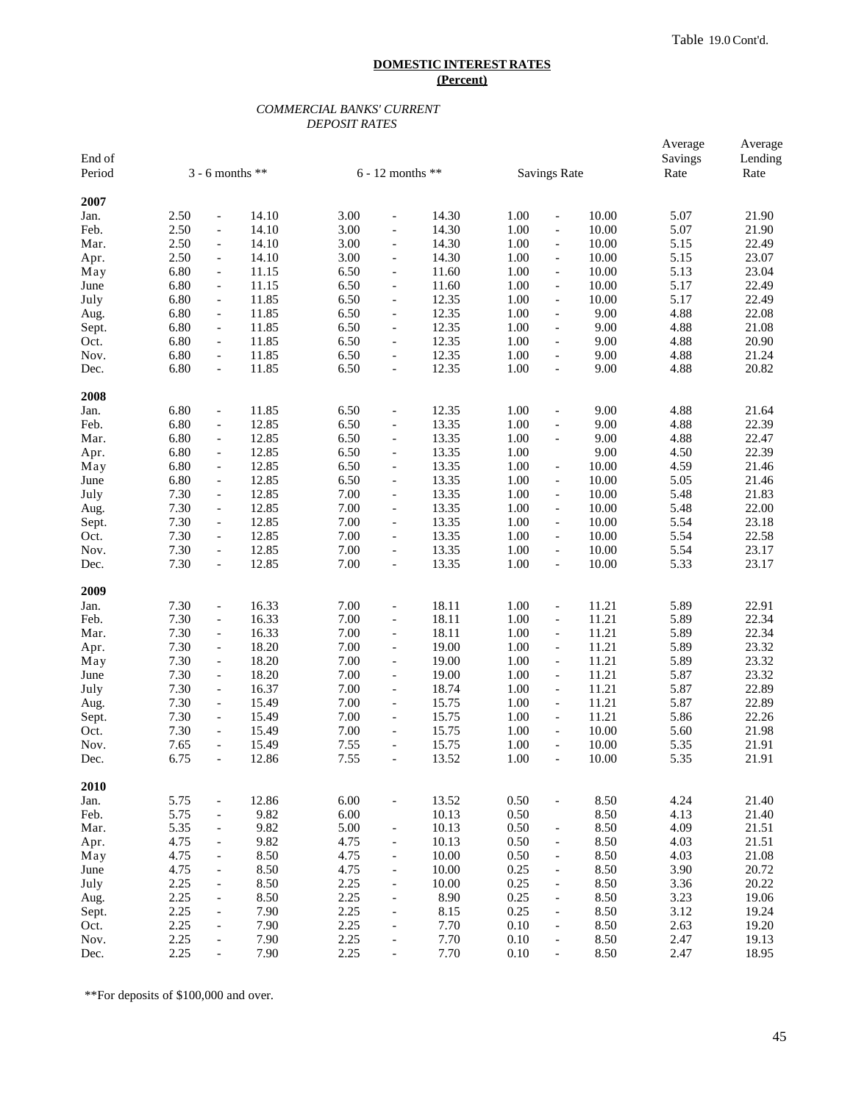### *COMMERCIAL BANKS' CURRENT DEPOSIT RATES*

| End of<br>Period |      | $3 - 6$ months **        |       |      | $6 - 12$ months **       |       |      | <b>Savings Rate</b>      |       | Average<br>Savings<br>Rate | Average<br>Lending<br>Rate |
|------------------|------|--------------------------|-------|------|--------------------------|-------|------|--------------------------|-------|----------------------------|----------------------------|
| 2007             |      |                          |       |      |                          |       |      |                          |       |                            |                            |
| Jan.             | 2.50 | $\overline{\phantom{0}}$ | 14.10 | 3.00 | $\overline{a}$           | 14.30 | 1.00 | $\overline{\phantom{a}}$ | 10.00 | 5.07                       | 21.90                      |
| Feb.             | 2.50 | $\overline{\phantom{a}}$ | 14.10 | 3.00 | $\frac{1}{2}$            | 14.30 | 1.00 | $\blacksquare$           | 10.00 | 5.07                       | 21.90                      |
| Mar.             | 2.50 | $\overline{\phantom{0}}$ | 14.10 | 3.00 | $\overline{a}$           | 14.30 | 1.00 | $\overline{\phantom{a}}$ | 10.00 | 5.15                       | 22.49                      |
| Apr.             | 2.50 | $\overline{\phantom{0}}$ | 14.10 | 3.00 | $\blacksquare$           | 14.30 | 1.00 | $\overline{\phantom{a}}$ | 10.00 | 5.15                       | 23.07                      |
| May              | 6.80 | $\overline{\phantom{a}}$ | 11.15 | 6.50 | $\frac{1}{2}$            | 11.60 | 1.00 | $\overline{\phantom{a}}$ | 10.00 | 5.13                       | 23.04                      |
| June             | 6.80 | $\overline{\phantom{0}}$ | 11.15 | 6.50 | $\overline{a}$           | 11.60 | 1.00 | $\overline{\phantom{a}}$ | 10.00 | 5.17                       | 22.49                      |
| July             | 6.80 | $\overline{\phantom{0}}$ | 11.85 | 6.50 | $\overline{a}$           | 12.35 | 1.00 | $\overline{\phantom{a}}$ | 10.00 | 5.17                       | 22.49                      |
| Aug.             | 6.80 | $\overline{\phantom{a}}$ | 11.85 | 6.50 | $\frac{1}{2}$            | 12.35 | 1.00 | $\overline{\phantom{a}}$ | 9.00  | 4.88                       | 22.08                      |
| Sept.            | 6.80 | $\overline{\phantom{0}}$ | 11.85 | 6.50 | $\blacksquare$           | 12.35 | 1.00 | $\overline{\phantom{a}}$ | 9.00  | 4.88                       | 21.08                      |
| Oct.             | 6.80 | $\overline{\phantom{0}}$ | 11.85 | 6.50 | $\blacksquare$           | 12.35 | 1.00 | $\blacksquare$           | 9.00  | 4.88                       | 20.90                      |
| Nov.             | 6.80 | $\overline{\phantom{a}}$ | 11.85 | 6.50 | $\frac{1}{2}$            | 12.35 | 1.00 | $\overline{\phantom{a}}$ | 9.00  | 4.88                       | 21.24                      |
| Dec.             | 6.80 | $\overline{\phantom{0}}$ | 11.85 | 6.50 | $\overline{\phantom{a}}$ | 12.35 | 1.00 | $\overline{\phantom{a}}$ | 9.00  | 4.88                       | 20.82                      |
| 2008             |      |                          |       |      |                          |       |      |                          |       |                            |                            |
| Jan.             | 6.80 | $\overline{\phantom{0}}$ | 11.85 | 6.50 | $\blacksquare$           | 12.35 | 1.00 | $\blacksquare$           | 9.00  | 4.88                       | 21.64                      |
| Feb.             | 6.80 | $\overline{\phantom{0}}$ | 12.85 | 6.50 | $\overline{a}$           | 13.35 | 1.00 | $\blacksquare$           | 9.00  | 4.88                       | 22.39                      |
| Mar.             | 6.80 | $\overline{\phantom{a}}$ | 12.85 | 6.50 | $\overline{\phantom{a}}$ | 13.35 | 1.00 | $\overline{\phantom{a}}$ | 9.00  | 4.88                       | 22.47                      |
| Apr.             | 6.80 | $\overline{\phantom{0}}$ | 12.85 | 6.50 | $\blacksquare$           | 13.35 | 1.00 |                          | 9.00  | 4.50                       | 22.39                      |
| May              | 6.80 | $\overline{\phantom{0}}$ | 12.85 | 6.50 | $\blacksquare$           | 13.35 | 1.00 | $\overline{\phantom{a}}$ | 10.00 | 4.59                       | 21.46                      |
| June             | 6.80 | $\overline{\phantom{a}}$ | 12.85 | 6.50 | $\overline{\phantom{a}}$ | 13.35 | 1.00 | $\overline{\phantom{a}}$ | 10.00 | 5.05                       | 21.46                      |
| July             | 7.30 | $\overline{\phantom{0}}$ | 12.85 | 7.00 | $\overline{a}$           | 13.35 | 1.00 | $\overline{\phantom{a}}$ | 10.00 | 5.48                       | 21.83                      |
| Aug.             | 7.30 | $\overline{\phantom{0}}$ | 12.85 | 7.00 | $\blacksquare$           | 13.35 | 1.00 | $\overline{\phantom{a}}$ | 10.00 | 5.48                       | 22.00                      |
| Sept.            | 7.30 | $\overline{\phantom{a}}$ | 12.85 | 7.00 | $\frac{1}{2}$            | 13.35 | 1.00 | $\blacksquare$           | 10.00 | 5.54                       | 23.18                      |
| Oct.             | 7.30 | $\overline{\phantom{0}}$ | 12.85 | 7.00 | $\blacksquare$           | 13.35 | 1.00 | $\overline{\phantom{a}}$ | 10.00 | 5.54                       | 22.58                      |
| Nov.             | 7.30 | $\overline{\phantom{0}}$ | 12.85 | 7.00 | $\overline{a}$           | 13.35 | 1.00 | $\overline{\phantom{a}}$ | 10.00 | 5.54                       | 23.17                      |
| Dec.             | 7.30 | $\overline{\phantom{a}}$ | 12.85 | 7.00 | $\overline{\phantom{a}}$ | 13.35 | 1.00 | $\overline{\phantom{a}}$ | 10.00 | 5.33                       | 23.17                      |
| 2009             |      |                          |       |      |                          |       |      |                          |       |                            |                            |
| Jan.             | 7.30 | $\overline{\phantom{0}}$ | 16.33 | 7.00 | $\overline{a}$           | 18.11 | 1.00 | $\overline{\phantom{a}}$ | 11.21 | 5.89                       | 22.91                      |
| Feb.             | 7.30 | $\overline{\phantom{0}}$ | 16.33 | 7.00 | $\overline{a}$           | 18.11 | 1.00 | $\overline{\phantom{a}}$ | 11.21 | 5.89                       | 22.34                      |
| Mar.             | 7.30 | $\overline{\phantom{0}}$ | 16.33 | 7.00 | $\blacksquare$           | 18.11 | 1.00 | $\overline{\phantom{a}}$ | 11.21 | 5.89                       | 22.34                      |
| Apr.             | 7.30 | $\overline{\phantom{a}}$ | 18.20 | 7.00 | $\overline{\phantom{a}}$ | 19.00 | 1.00 | $\overline{\phantom{a}}$ | 11.21 | 5.89                       | 23.32                      |
| May              | 7.30 | $\blacksquare$           | 18.20 | 7.00 | $\overline{a}$           | 19.00 | 1.00 | $\overline{\phantom{a}}$ | 11.21 | 5.89                       | 23.32                      |
| June             | 7.30 | $\overline{\phantom{0}}$ | 18.20 | 7.00 | $\overline{a}$           | 19.00 | 1.00 | $\overline{\phantom{a}}$ | 11.21 | 5.87                       | 23.32                      |
| July             | 7.30 | $\overline{\phantom{a}}$ | 16.37 | 7.00 | $\frac{1}{2}$            | 18.74 | 1.00 | $\overline{\phantom{a}}$ | 11.21 | 5.87                       | 22.89                      |
| Aug.             | 7.30 | $\overline{\phantom{0}}$ | 15.49 | 7.00 | $\blacksquare$           | 15.75 | 1.00 | $\overline{\phantom{a}}$ | 11.21 | 5.87                       | 22.89                      |
| Sept.            | 7.30 | $\overline{\phantom{0}}$ | 15.49 | 7.00 | $\blacksquare$           | 15.75 | 1.00 | $\overline{\phantom{a}}$ | 11.21 | 5.86                       | 22.26                      |
| Oct.             | 7.30 | $\overline{\phantom{a}}$ | 15.49 | 7.00 | $\frac{1}{2}$            | 15.75 | 1.00 | $\overline{\phantom{a}}$ | 10.00 | 5.60                       | 21.98                      |
| Nov.             | 7.65 | $\overline{\phantom{0}}$ | 15.49 | 7.55 | $\overline{\phantom{a}}$ | 15.75 | 1.00 | $\overline{\phantom{a}}$ | 10.00 | 5.35                       | 21.91                      |
| Dec.             | 6.75 |                          | 12.86 | 7.55 |                          | 13.52 | 1.00 |                          | 10.00 | 5.35                       | 21.91                      |
| 2010             |      |                          |       |      |                          |       |      |                          |       |                            |                            |
| Jan.             | 5.75 | $\overline{\phantom{0}}$ | 12.86 | 6.00 | $\overline{a}$           | 13.52 | 0.50 | $\overline{\phantom{a}}$ | 8.50  | 4.24                       | 21.40                      |
| Feb.             | 5.75 | $\blacksquare$           | 9.82  | 6.00 |                          | 10.13 | 0.50 |                          | 8.50  | 4.13                       | 21.40                      |
| Mar.             | 5.35 | $\overline{\phantom{0}}$ | 9.82  | 5.00 | $\qquad \qquad -$        | 10.13 | 0.50 | $\overline{\phantom{a}}$ | 8.50  | 4.09                       | 21.51                      |
| Apr.             | 4.75 | $\overline{\phantom{0}}$ | 9.82  | 4.75 | $\overline{a}$           | 10.13 | 0.50 | $\overline{\phantom{a}}$ | 8.50  | 4.03                       | 21.51                      |
| May              | 4.75 | $\overline{\phantom{0}}$ | 8.50  | 4.75 | $\overline{\phantom{a}}$ | 10.00 | 0.50 | $\overline{\phantom{a}}$ | 8.50  | 4.03                       | 21.08                      |
| June             | 4.75 | $\overline{\phantom{0}}$ | 8.50  | 4.75 | $\overline{\phantom{a}}$ | 10.00 | 0.25 | $\overline{\phantom{a}}$ | 8.50  | 3.90                       | 20.72                      |
| July             | 2.25 | $\overline{\phantom{0}}$ | 8.50  | 2.25 | $\overline{\phantom{a}}$ | 10.00 | 0.25 | $\overline{\phantom{a}}$ | 8.50  | 3.36                       | 20.22                      |
| Aug.             | 2.25 | $\overline{\phantom{0}}$ | 8.50  | 2.25 | $\overline{\phantom{a}}$ | 8.90  | 0.25 | $\overline{\phantom{a}}$ | 8.50  | 3.23                       | 19.06                      |
| Sept.            | 2.25 | $\overline{\phantom{0}}$ | 7.90  | 2.25 | $\overline{a}$           | 8.15  | 0.25 | $\blacksquare$           | 8.50  | 3.12                       | 19.24                      |
| Oct.             | 2.25 | $\overline{\phantom{0}}$ | 7.90  | 2.25 | $\overline{a}$           | 7.70  | 0.10 | $\overline{\phantom{a}}$ | 8.50  | 2.63                       | 19.20                      |
| Nov.             | 2.25 | $\overline{\phantom{0}}$ | 7.90  | 2.25 | $\overline{a}$           | 7.70  | 0.10 | $\overline{\phantom{a}}$ | 8.50  | 2.47                       | 19.13                      |
| Dec.             | 2.25 | $\overline{\phantom{0}}$ | 7.90  | 2.25 | $\blacksquare$           | 7.70  | 0.10 | $\overline{\phantom{0}}$ | 8.50  | 2.47                       | 18.95                      |

\*\*For deposits of \$100,000 and over.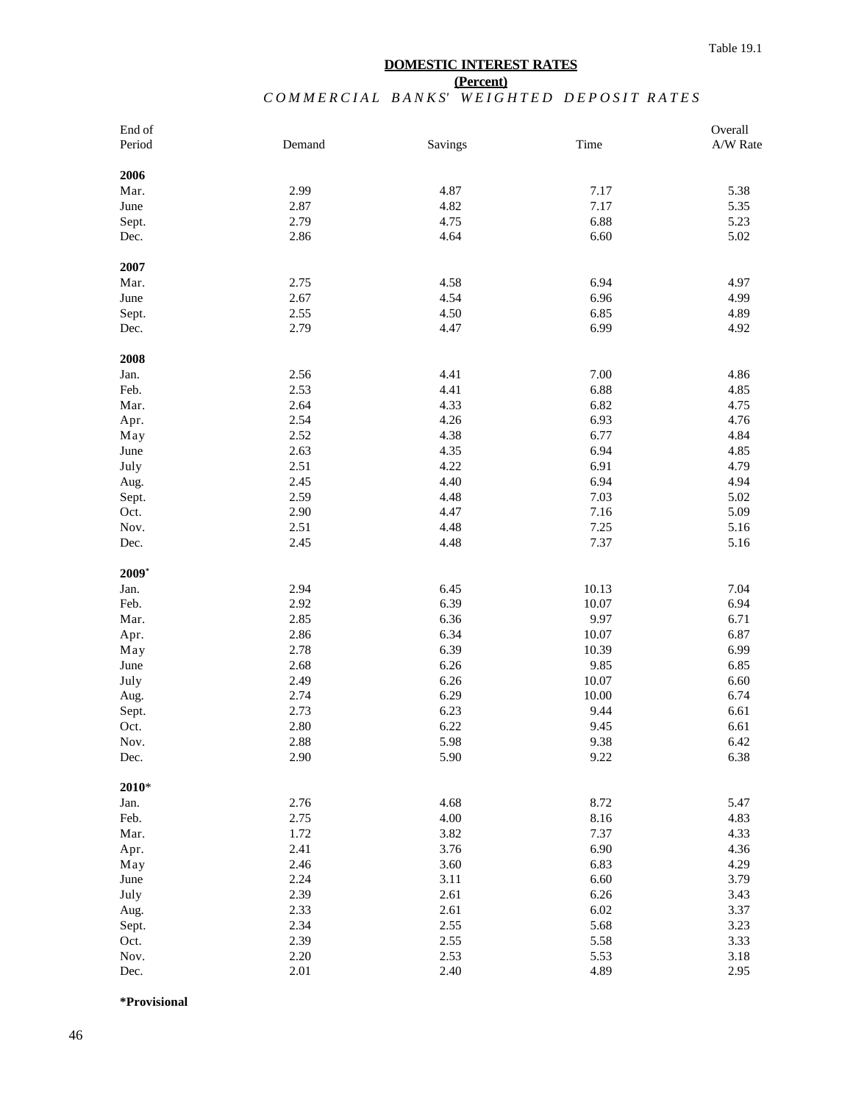## **DOMESTIC INTEREST RATES**

### **(Percent)** COMMERCIAL BANKS' WEIGHTED DEPOSIT RATES

| End of  |        |         |       | Overall  |
|---------|--------|---------|-------|----------|
| Period  | Demand | Savings | Time  | A/W Rate |
| 2006    |        |         |       |          |
| Mar.    | 2.99   | 4.87    | 7.17  | 5.38     |
| June    | 2.87   | 4.82    | 7.17  | 5.35     |
| Sept.   | 2.79   | 4.75    | 6.88  | 5.23     |
| Dec.    | 2.86   | 4.64    | 6.60  | 5.02     |
| 2007    |        |         |       |          |
| Mar.    | 2.75   | 4.58    | 6.94  | 4.97     |
| June    | 2.67   | 4.54    | 6.96  | 4.99     |
| Sept.   | 2.55   | 4.50    | 6.85  | 4.89     |
| Dec.    | 2.79   | 4.47    | 6.99  | 4.92     |
| 2008    |        |         |       |          |
| Jan.    | 2.56   | 4.41    | 7.00  | 4.86     |
| Feb.    | 2.53   | 4.41    | 6.88  | 4.85     |
| Mar.    | 2.64   | 4.33    | 6.82  | 4.75     |
| Apr.    | 2.54   | 4.26    | 6.93  | 4.76     |
| May     | 2.52   | 4.38    | 6.77  | 4.84     |
| June    | 2.63   | 4.35    | 6.94  | 4.85     |
| July    | 2.51   | 4.22    | 6.91  | 4.79     |
| Aug.    | 2.45   | 4.40    | 6.94  | 4.94     |
| Sept.   | 2.59   | 4.48    | 7.03  | 5.02     |
| Oct.    | 2.90   | 4.47    | 7.16  | 5.09     |
| Nov.    | 2.51   | 4.48    | 7.25  | 5.16     |
| Dec.    | 2.45   | 4.48    | 7.37  | 5.16     |
| $2009*$ |        |         |       |          |
| Jan.    | 2.94   | 6.45    | 10.13 | 7.04     |
| Feb.    | 2.92   | 6.39    | 10.07 | 6.94     |
| Mar.    | 2.85   | 6.36    | 9.97  | 6.71     |
| Apr.    | 2.86   | 6.34    | 10.07 | 6.87     |
| May     | 2.78   | 6.39    | 10.39 | 6.99     |
| June    | 2.68   | 6.26    | 9.85  | 6.85     |
| July    | 2.49   | 6.26    | 10.07 | 6.60     |
| Aug.    | 2.74   | 6.29    | 10.00 | 6.74     |
| Sept.   | 2.73   | 6.23    | 9.44  | 6.61     |
| Oct.    | 2.80   | 6.22    | 9.45  | 6.61     |
| Nov.    | 2.88   | 5.98    | 9.38  | 6.42     |
| Dec.    | 2.90   | 5.90    | 9.22  | 6.38     |
| $2010*$ |        |         |       |          |
| Jan.    | 2.76   | 4.68    | 8.72  | 5.47     |
| Feb.    | 2.75   | 4.00    | 8.16  | 4.83     |
| Mar.    | 1.72   | 3.82    | 7.37  | 4.33     |
| Apr.    | 2.41   | 3.76    | 6.90  | 4.36     |
| May     | 2.46   | 3.60    | 6.83  | 4.29     |
| June    | 2.24   | 3.11    | 6.60  | 3.79     |
| July    | 2.39   | 2.61    | 6.26  | 3.43     |
| Aug.    | 2.33   | 2.61    | 6.02  | 3.37     |
| Sept.   | 2.34   | 2.55    | 5.68  | 3.23     |
| Oct.    | 2.39   | 2.55    | 5.58  | 3.33     |
| Nov.    | 2.20   | 2.53    | 5.53  | 3.18     |
| Dec.    | 2.01   | 2.40    | 4.89  | 2.95     |

**\*Provisional**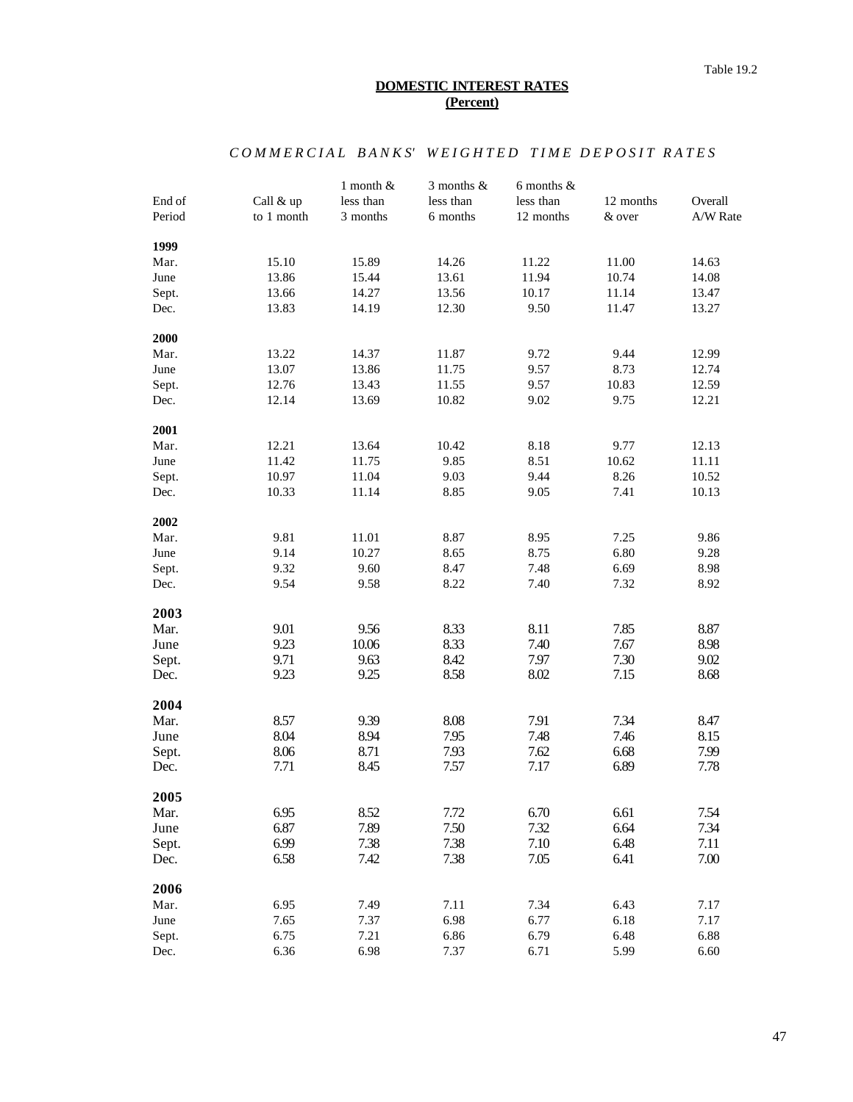## COMMERCIAL BANKS' WEIGHTED TIME DEPOSIT RATES

| End of | Call & up  | 1 month $&$<br>less than | 3 months $&$<br>less than | 6 months $\&$<br>less than | 12 months | Overall  |
|--------|------------|--------------------------|---------------------------|----------------------------|-----------|----------|
| Period | to 1 month | 3 months                 | 6 months                  | 12 months                  | & over    | A/W Rate |
| 1999   |            |                          |                           |                            |           |          |
| Mar.   | 15.10      | 15.89                    | 14.26                     | 11.22                      | 11.00     | 14.63    |
| June   | 13.86      | 15.44                    | 13.61                     | 11.94                      | 10.74     | 14.08    |
| Sept.  | 13.66      | 14.27                    | 13.56                     | 10.17                      | 11.14     | 13.47    |
| Dec.   | 13.83      | 14.19                    | 12.30                     | 9.50                       | 11.47     | 13.27    |
| 2000   |            |                          |                           |                            |           |          |
| Mar.   | 13.22      | 14.37                    | 11.87                     | 9.72                       | 9.44      | 12.99    |
| June   | 13.07      | 13.86                    | 11.75                     | 9.57                       | 8.73      | 12.74    |
| Sept.  | 12.76      | 13.43                    | 11.55                     | 9.57                       | 10.83     | 12.59    |
| Dec.   | 12.14      | 13.69                    | 10.82                     | 9.02                       | 9.75      | 12.21    |
| 2001   |            |                          |                           |                            |           |          |
| Mar.   | 12.21      | 13.64                    | 10.42                     | 8.18                       | 9.77      | 12.13    |
| June   | 11.42      | 11.75                    | 9.85                      | 8.51                       | 10.62     | 11.11    |
| Sept.  | 10.97      | 11.04                    | 9.03                      | 9.44                       | 8.26      | 10.52    |
| Dec.   | 10.33      | 11.14                    | 8.85                      | 9.05                       | 7.41      | 10.13    |
| 2002   |            |                          |                           |                            |           |          |
| Mar.   | 9.81       | 11.01                    | 8.87                      | 8.95                       | 7.25      | 9.86     |
| June   | 9.14       | 10.27                    | 8.65                      | 8.75                       | 6.80      | 9.28     |
| Sept.  | 9.32       | 9.60                     | 8.47                      | 7.48                       | 6.69      | 8.98     |
| Dec.   | 9.54       | 9.58                     | 8.22                      | 7.40                       | 7.32      | 8.92     |
| 2003   |            |                          |                           |                            |           |          |
| Mar.   | 9.01       | 9.56                     | 8.33                      | 8.11                       | 7.85      | 8.87     |
| June   | 9.23       | 10.06                    | 8.33                      | 7.40                       | 7.67      | 8.98     |
| Sept.  | 9.71       | 9.63                     | 8.42                      | 7.97                       | 7.30      | 9.02     |
| Dec.   | 9.23       | 9.25                     | 8.58                      | 8.02                       | 7.15      | 8.68     |
| 2004   |            |                          |                           |                            |           |          |
| Mar.   | 8.57       | 9.39                     | 8.08                      | 7.91                       | 7.34      | 8.47     |
| June   | 8.04       | 8.94                     | 7.95                      | 7.48                       | 7.46      | 8.15     |
| Sept.  | 8.06       | 8.71                     | 7.93                      | 7.62                       | 6.68      | 7.99     |
| Dec.   | 7.71       | 8.45                     | 7.57                      | 7.17                       | 6.89      | 7.78     |
| 2005   |            |                          |                           |                            |           |          |
| Mar.   | 6.95       | 8.52                     | 7.72                      | 6.70                       | 6.61      | 7.54     |
| June   | 6.87       | 7.89                     | 7.50                      | 7.32                       | 6.64      | 7.34     |
| Sept.  | 6.99       | 7.38                     | 7.38                      | 7.10                       | 6.48      | 7.11     |
| Dec.   | 6.58       | 7.42                     | 7.38                      | 7.05                       | 6.41      | 7.00     |
| 2006   |            |                          |                           |                            |           |          |
| Mar.   | 6.95       | 7.49                     | 7.11                      | 7.34                       | 6.43      | 7.17     |
| June   | 7.65       | 7.37                     | 6.98                      | 6.77                       | 6.18      | 7.17     |
| Sept.  | 6.75       | 7.21                     | 6.86                      | 6.79                       | 6.48      | 6.88     |
| Dec.   | 6.36       | 6.98                     | 7.37                      | 6.71                       | 5.99      | 6.60     |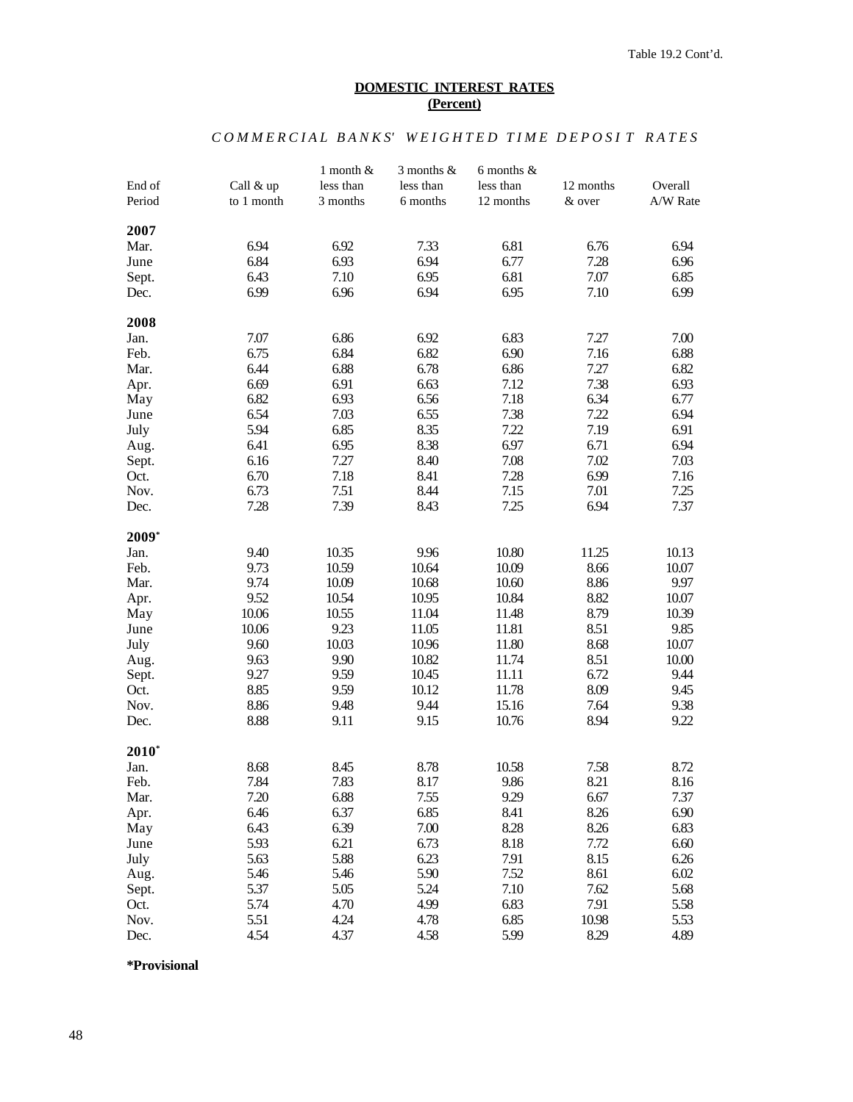# COMMERCIAL BANKS' WEIGHTED TIME DEPOSIT RATES

|         |            | $1$ month $\&$ | $3$ months $\&$ | 6 months $\&$ |           |          |
|---------|------------|----------------|-----------------|---------------|-----------|----------|
| End of  | Call & up  | less than      | less than       | less than     | 12 months | Overall  |
| Period  | to 1 month | 3 months       | 6 months        | 12 months     | & over    | A/W Rate |
|         |            |                |                 |               |           |          |
| 2007    |            |                |                 |               |           |          |
| Mar.    | 6.94       | 6.92           | 7.33            | 6.81          | 6.76      | 6.94     |
| June    | 6.84       | 6.93           | 6.94            | 6.77          | 7.28      | 6.96     |
| Sept.   | 6.43       | 7.10           | 6.95            | 6.81          | 7.07      | 6.85     |
| Dec.    | 6.99       | 6.96           | 6.94            | 6.95          | 7.10      | 6.99     |
| 2008    |            |                |                 |               |           |          |
| Jan.    | 7.07       | 6.86           | 6.92            | 6.83          | 7.27      | 7.00     |
| Feb.    | 6.75       | 6.84           | 6.82            | 6.90          | 7.16      | 6.88     |
| Mar.    | 6.44       | 6.88           | 6.78            | 6.86          | 7.27      | 6.82     |
| Apr.    | 6.69       | 6.91           | 6.63            | 7.12          | 7.38      | 6.93     |
| May     | 6.82       | 6.93           | 6.56            | 7.18          | 6.34      | 6.77     |
| June    | 6.54       | 7.03           | 6.55            | 7.38          | 7.22      | 6.94     |
| July    | 5.94       | 6.85           | 8.35            | 7.22          | 7.19      | 6.91     |
| Aug.    | 6.41       | 6.95           | 8.38            | 6.97          | 6.71      | 6.94     |
| Sept.   | 6.16       | 7.27           | 8.40            | 7.08          | 7.02      | 7.03     |
| Oct.    | 6.70       | 7.18           | 8.41            | 7.28          | 6.99      | 7.16     |
| Nov.    | 6.73       | 7.51           | 8.44            | 7.15          | 7.01      | 7.25     |
|         | 7.28       | 7.39           | 8.43            | 7.25          | 6.94      | 7.37     |
| Dec.    |            |                |                 |               |           |          |
| 2009*   |            |                |                 |               |           |          |
| Jan.    | 9.40       | 10.35          | 9.96            | 10.80         | 11.25     | 10.13    |
| Feb.    | 9.73       | 10.59          | 10.64           | 10.09         | 8.66      | 10.07    |
| Mar.    | 9.74       | 10.09          | 10.68           | 10.60         | 8.86      | 9.97     |
| Apr.    | 9.52       | 10.54          | 10.95           | 10.84         | 8.82      | 10.07    |
| May     | 10.06      | 10.55          | 11.04           | 11.48         | 8.79      | 10.39    |
| June    | 10.06      | 9.23           | 11.05           | 11.81         | 8.51      | 9.85     |
| July    | 9.60       | 10.03          | 10.96           | 11.80         | 8.68      | 10.07    |
| Aug.    | 9.63       | 9.90           | 10.82           | 11.74         | 8.51      | 10.00    |
| Sept.   | 9.27       | 9.59           | 10.45           | 11.11         | 6.72      | 9.44     |
| Oct.    | 8.85       | 9.59           | 10.12           | 11.78         | 8.09      | 9.45     |
| Nov.    | 8.86       | 9.48           | 9.44            | 15.16         | 7.64      | 9.38     |
| Dec.    | 8.88       | 9.11           | 9.15            | 10.76         | 8.94      | 9.22     |
|         |            |                |                 |               |           |          |
| $2010*$ |            |                |                 |               |           |          |
| Jan.    | 8.68       | 8.45           | 8.78            | 10.58         | 7.58      | 8.72     |
| Feb.    | 7.84       | 7.83           | 8.17            | 9.86          | 8.21      | 8.16     |
| Mar.    | 7.20       | 6.88           | 7.55            | 9.29          | 6.67      | 7.37     |
| Apr.    | 6.46       | 6.37           | 6.85            | 8.41          | 8.26      | 6.90     |
| May     | 6.43       | 6.39           | 7.00            | 8.28          | 8.26      | 6.83     |
| June    | 5.93       | 6.21           | 6.73            | 8.18          | 7.72      | 6.60     |
| July    | 5.63       | 5.88           | 6.23            | 7.91          | 8.15      | 6.26     |
| Aug.    | 5.46       | 5.46           | 5.90            | 7.52          | 8.61      | 6.02     |
| Sept.   | 5.37       | 5.05           | 5.24            | 7.10          | 7.62      | 5.68     |
| Oct.    | 5.74       | 4.70           | 4.99            | 6.83          | 7.91      | 5.58     |
| Nov.    | 5.51       | 4.24           | 4.78            | 6.85          | 10.98     | 5.53     |
| Dec.    | 4.54       | 4.37           | 4.58            | 5.99          | 8.29      | 4.89     |

**\*Provisional**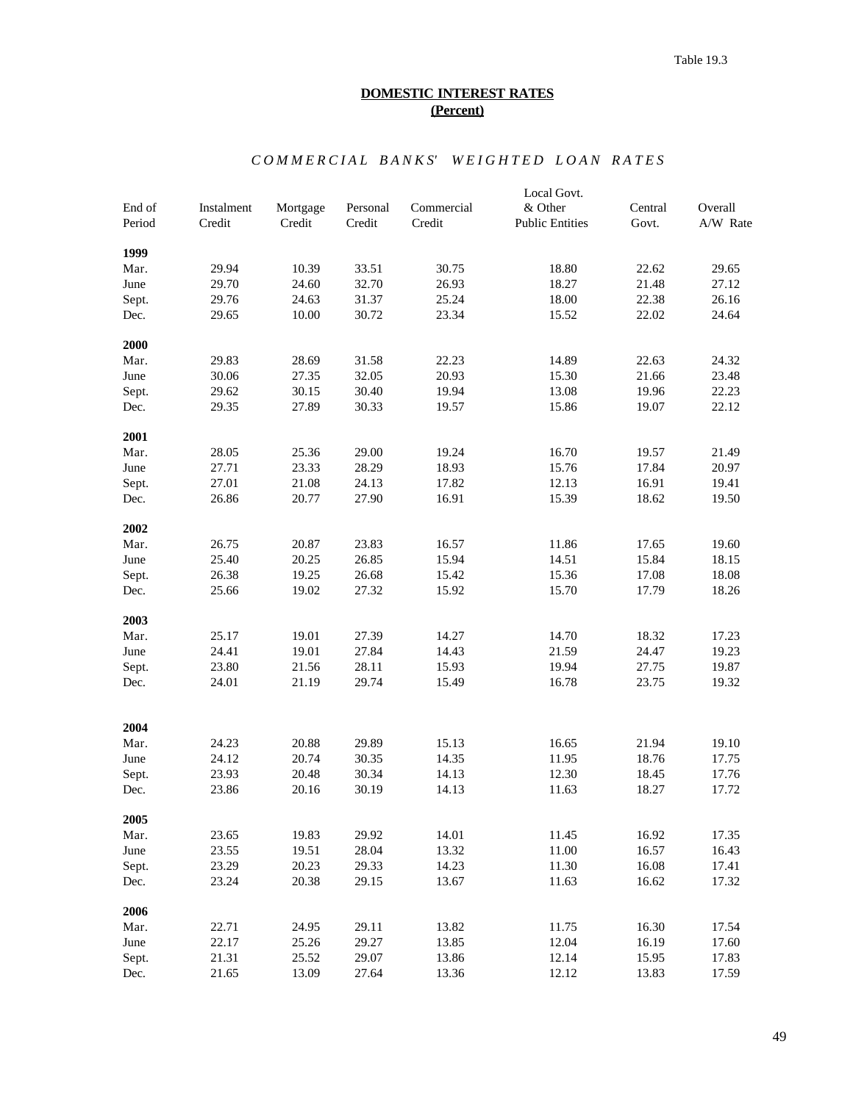# *C O M M E R C I A L B A N K S' W E I G H T E D L O A N R A T E S*

| Instalment<br>Mortgage<br>Personal<br>Commercial<br>Central<br>Overall<br>Credit<br>A/W Rate<br>Period<br>Credit<br>Credit<br>Credit<br><b>Public Entities</b><br>Govt.<br>1999<br>29.94<br>18.80<br>10.39<br>33.51<br>30.75<br>22.62<br>29.65<br>Mar.<br>29.70<br>32.70<br>26.93<br>18.27<br>21.48<br>27.12<br>June<br>24.60<br>25.24<br>18.00<br>Sept.<br>29.76<br>24.63<br>31.37<br>22.38<br>26.16<br>10.00<br>30.72<br>23.34<br>15.52<br>29.65<br>22.02<br>24.64<br>Dec.<br>2000<br>29.83<br>22.23<br>14.89<br>22.63<br>28.69<br>31.58<br>24.32<br>Mar.<br>30.06<br>32.05<br>20.93<br>15.30<br>23.48<br>June<br>27.35<br>21.66<br>30.15<br>30.40<br>19.94<br>13.08<br>22.23<br>Sept.<br>29.62<br>19.96<br>27.89<br>22.12<br>29.35<br>30.33<br>19.57<br>15.86<br>19.07<br>Dec.<br>2001<br>28.05<br>25.36<br>29.00<br>16.70<br>19.57<br>Mar.<br>19.24<br>21.49<br>28.29<br>15.76<br>June<br>27.71<br>23.33<br>18.93<br>17.84<br>20.97<br>27.01<br>21.08<br>17.82<br>12.13<br>16.91<br>Sept.<br>24.13<br>19.41<br>20.77<br>27.90<br>16.91<br>15.39<br>26.86<br>18.62<br>19.50<br>Dec.<br>2002<br>26.75<br>20.87<br>23.83<br>11.86<br>16.57<br>17.65<br>19.60<br>Mar.<br>25.40<br>20.25<br>26.85<br>15.94<br>14.51<br>15.84<br>18.15<br>June<br>26.38<br>19.25<br>15.36<br>18.08<br>26.68<br>15.42<br>17.08<br>Sept.<br>25.66<br>19.02<br>27.32<br>15.92<br>15.70<br>17.79<br>18.26<br>Dec.<br>2003<br>25.17<br>19.01<br>27.39<br>14.70<br>18.32<br>Mar.<br>14.27<br>17.23<br>19.01<br>27.84<br>19.23<br>June<br>24.41<br>14.43<br>21.59<br>24.47<br>23.80<br>28.11<br>15.93<br>19.94<br>27.75<br>19.87<br>Sept.<br>21.56<br>24.01<br>21.19<br>29.74<br>15.49<br>16.78<br>23.75<br>19.32<br>Dec.<br>2004<br>24.23<br>20.88<br>29.89<br>15.13<br>16.65<br>21.94<br>19.10<br>Mar.<br>20.74<br>June<br>24.12<br>30.35<br>14.35<br>11.95<br>18.76<br>17.75<br>23.93<br>20.48<br>12.30<br>30.34<br>14.13<br>18.45<br>17.76<br>Sept.<br>23.86<br>20.16<br>30.19<br>14.13<br>11.63<br>18.27<br>17.72<br>Dec.<br>2005<br>19.83<br>14.01<br>11.45<br>16.92<br>Mar.<br>23.65<br>29.92<br>17.35<br>June<br>23.55<br>19.51<br>28.04<br>13.32<br>11.00<br>16.57<br>16.43<br>23.29<br>20.23<br>29.33<br>14.23<br>11.30<br>16.08<br>Sept.<br>17.41<br>20.38<br>23.24<br>29.15<br>13.67<br>11.63<br>16.62<br>17.32<br>Dec.<br>2006<br>Mar.<br>22.71<br>24.95<br>29.11<br>13.82<br>11.75<br>16.30<br>17.54<br>June<br>22.17<br>25.26<br>29.27<br>13.85<br>12.04<br>16.19<br>17.60<br>21.31<br>25.52<br>29.07<br>13.86<br>12.14<br>15.95<br>17.83<br>Sept.<br>13.09<br>12.12<br>13.83<br>Dec.<br>21.65<br>27.64<br>13.36<br>17.59 |        |  |  | Local Govt. |  |
|-----------------------------------------------------------------------------------------------------------------------------------------------------------------------------------------------------------------------------------------------------------------------------------------------------------------------------------------------------------------------------------------------------------------------------------------------------------------------------------------------------------------------------------------------------------------------------------------------------------------------------------------------------------------------------------------------------------------------------------------------------------------------------------------------------------------------------------------------------------------------------------------------------------------------------------------------------------------------------------------------------------------------------------------------------------------------------------------------------------------------------------------------------------------------------------------------------------------------------------------------------------------------------------------------------------------------------------------------------------------------------------------------------------------------------------------------------------------------------------------------------------------------------------------------------------------------------------------------------------------------------------------------------------------------------------------------------------------------------------------------------------------------------------------------------------------------------------------------------------------------------------------------------------------------------------------------------------------------------------------------------------------------------------------------------------------------------------------------------------------------------------------------------------------------------------------------------------------------------------------------------------------------------------------------------------------------------------------------------------------------------------------------------------------------------------------------------------------------------------------------------------------------------------------------------------------------------------------------------------------|--------|--|--|-------------|--|
|                                                                                                                                                                                                                                                                                                                                                                                                                                                                                                                                                                                                                                                                                                                                                                                                                                                                                                                                                                                                                                                                                                                                                                                                                                                                                                                                                                                                                                                                                                                                                                                                                                                                                                                                                                                                                                                                                                                                                                                                                                                                                                                                                                                                                                                                                                                                                                                                                                                                                                                                                                                                                 | End of |  |  | & Other     |  |
|                                                                                                                                                                                                                                                                                                                                                                                                                                                                                                                                                                                                                                                                                                                                                                                                                                                                                                                                                                                                                                                                                                                                                                                                                                                                                                                                                                                                                                                                                                                                                                                                                                                                                                                                                                                                                                                                                                                                                                                                                                                                                                                                                                                                                                                                                                                                                                                                                                                                                                                                                                                                                 |        |  |  |             |  |
|                                                                                                                                                                                                                                                                                                                                                                                                                                                                                                                                                                                                                                                                                                                                                                                                                                                                                                                                                                                                                                                                                                                                                                                                                                                                                                                                                                                                                                                                                                                                                                                                                                                                                                                                                                                                                                                                                                                                                                                                                                                                                                                                                                                                                                                                                                                                                                                                                                                                                                                                                                                                                 |        |  |  |             |  |
|                                                                                                                                                                                                                                                                                                                                                                                                                                                                                                                                                                                                                                                                                                                                                                                                                                                                                                                                                                                                                                                                                                                                                                                                                                                                                                                                                                                                                                                                                                                                                                                                                                                                                                                                                                                                                                                                                                                                                                                                                                                                                                                                                                                                                                                                                                                                                                                                                                                                                                                                                                                                                 |        |  |  |             |  |
|                                                                                                                                                                                                                                                                                                                                                                                                                                                                                                                                                                                                                                                                                                                                                                                                                                                                                                                                                                                                                                                                                                                                                                                                                                                                                                                                                                                                                                                                                                                                                                                                                                                                                                                                                                                                                                                                                                                                                                                                                                                                                                                                                                                                                                                                                                                                                                                                                                                                                                                                                                                                                 |        |  |  |             |  |
|                                                                                                                                                                                                                                                                                                                                                                                                                                                                                                                                                                                                                                                                                                                                                                                                                                                                                                                                                                                                                                                                                                                                                                                                                                                                                                                                                                                                                                                                                                                                                                                                                                                                                                                                                                                                                                                                                                                                                                                                                                                                                                                                                                                                                                                                                                                                                                                                                                                                                                                                                                                                                 |        |  |  |             |  |
|                                                                                                                                                                                                                                                                                                                                                                                                                                                                                                                                                                                                                                                                                                                                                                                                                                                                                                                                                                                                                                                                                                                                                                                                                                                                                                                                                                                                                                                                                                                                                                                                                                                                                                                                                                                                                                                                                                                                                                                                                                                                                                                                                                                                                                                                                                                                                                                                                                                                                                                                                                                                                 |        |  |  |             |  |
|                                                                                                                                                                                                                                                                                                                                                                                                                                                                                                                                                                                                                                                                                                                                                                                                                                                                                                                                                                                                                                                                                                                                                                                                                                                                                                                                                                                                                                                                                                                                                                                                                                                                                                                                                                                                                                                                                                                                                                                                                                                                                                                                                                                                                                                                                                                                                                                                                                                                                                                                                                                                                 |        |  |  |             |  |
|                                                                                                                                                                                                                                                                                                                                                                                                                                                                                                                                                                                                                                                                                                                                                                                                                                                                                                                                                                                                                                                                                                                                                                                                                                                                                                                                                                                                                                                                                                                                                                                                                                                                                                                                                                                                                                                                                                                                                                                                                                                                                                                                                                                                                                                                                                                                                                                                                                                                                                                                                                                                                 |        |  |  |             |  |
|                                                                                                                                                                                                                                                                                                                                                                                                                                                                                                                                                                                                                                                                                                                                                                                                                                                                                                                                                                                                                                                                                                                                                                                                                                                                                                                                                                                                                                                                                                                                                                                                                                                                                                                                                                                                                                                                                                                                                                                                                                                                                                                                                                                                                                                                                                                                                                                                                                                                                                                                                                                                                 |        |  |  |             |  |
|                                                                                                                                                                                                                                                                                                                                                                                                                                                                                                                                                                                                                                                                                                                                                                                                                                                                                                                                                                                                                                                                                                                                                                                                                                                                                                                                                                                                                                                                                                                                                                                                                                                                                                                                                                                                                                                                                                                                                                                                                                                                                                                                                                                                                                                                                                                                                                                                                                                                                                                                                                                                                 |        |  |  |             |  |
|                                                                                                                                                                                                                                                                                                                                                                                                                                                                                                                                                                                                                                                                                                                                                                                                                                                                                                                                                                                                                                                                                                                                                                                                                                                                                                                                                                                                                                                                                                                                                                                                                                                                                                                                                                                                                                                                                                                                                                                                                                                                                                                                                                                                                                                                                                                                                                                                                                                                                                                                                                                                                 |        |  |  |             |  |
|                                                                                                                                                                                                                                                                                                                                                                                                                                                                                                                                                                                                                                                                                                                                                                                                                                                                                                                                                                                                                                                                                                                                                                                                                                                                                                                                                                                                                                                                                                                                                                                                                                                                                                                                                                                                                                                                                                                                                                                                                                                                                                                                                                                                                                                                                                                                                                                                                                                                                                                                                                                                                 |        |  |  |             |  |
|                                                                                                                                                                                                                                                                                                                                                                                                                                                                                                                                                                                                                                                                                                                                                                                                                                                                                                                                                                                                                                                                                                                                                                                                                                                                                                                                                                                                                                                                                                                                                                                                                                                                                                                                                                                                                                                                                                                                                                                                                                                                                                                                                                                                                                                                                                                                                                                                                                                                                                                                                                                                                 |        |  |  |             |  |
|                                                                                                                                                                                                                                                                                                                                                                                                                                                                                                                                                                                                                                                                                                                                                                                                                                                                                                                                                                                                                                                                                                                                                                                                                                                                                                                                                                                                                                                                                                                                                                                                                                                                                                                                                                                                                                                                                                                                                                                                                                                                                                                                                                                                                                                                                                                                                                                                                                                                                                                                                                                                                 |        |  |  |             |  |
|                                                                                                                                                                                                                                                                                                                                                                                                                                                                                                                                                                                                                                                                                                                                                                                                                                                                                                                                                                                                                                                                                                                                                                                                                                                                                                                                                                                                                                                                                                                                                                                                                                                                                                                                                                                                                                                                                                                                                                                                                                                                                                                                                                                                                                                                                                                                                                                                                                                                                                                                                                                                                 |        |  |  |             |  |
|                                                                                                                                                                                                                                                                                                                                                                                                                                                                                                                                                                                                                                                                                                                                                                                                                                                                                                                                                                                                                                                                                                                                                                                                                                                                                                                                                                                                                                                                                                                                                                                                                                                                                                                                                                                                                                                                                                                                                                                                                                                                                                                                                                                                                                                                                                                                                                                                                                                                                                                                                                                                                 |        |  |  |             |  |
|                                                                                                                                                                                                                                                                                                                                                                                                                                                                                                                                                                                                                                                                                                                                                                                                                                                                                                                                                                                                                                                                                                                                                                                                                                                                                                                                                                                                                                                                                                                                                                                                                                                                                                                                                                                                                                                                                                                                                                                                                                                                                                                                                                                                                                                                                                                                                                                                                                                                                                                                                                                                                 |        |  |  |             |  |
|                                                                                                                                                                                                                                                                                                                                                                                                                                                                                                                                                                                                                                                                                                                                                                                                                                                                                                                                                                                                                                                                                                                                                                                                                                                                                                                                                                                                                                                                                                                                                                                                                                                                                                                                                                                                                                                                                                                                                                                                                                                                                                                                                                                                                                                                                                                                                                                                                                                                                                                                                                                                                 |        |  |  |             |  |
|                                                                                                                                                                                                                                                                                                                                                                                                                                                                                                                                                                                                                                                                                                                                                                                                                                                                                                                                                                                                                                                                                                                                                                                                                                                                                                                                                                                                                                                                                                                                                                                                                                                                                                                                                                                                                                                                                                                                                                                                                                                                                                                                                                                                                                                                                                                                                                                                                                                                                                                                                                                                                 |        |  |  |             |  |
|                                                                                                                                                                                                                                                                                                                                                                                                                                                                                                                                                                                                                                                                                                                                                                                                                                                                                                                                                                                                                                                                                                                                                                                                                                                                                                                                                                                                                                                                                                                                                                                                                                                                                                                                                                                                                                                                                                                                                                                                                                                                                                                                                                                                                                                                                                                                                                                                                                                                                                                                                                                                                 |        |  |  |             |  |
|                                                                                                                                                                                                                                                                                                                                                                                                                                                                                                                                                                                                                                                                                                                                                                                                                                                                                                                                                                                                                                                                                                                                                                                                                                                                                                                                                                                                                                                                                                                                                                                                                                                                                                                                                                                                                                                                                                                                                                                                                                                                                                                                                                                                                                                                                                                                                                                                                                                                                                                                                                                                                 |        |  |  |             |  |
|                                                                                                                                                                                                                                                                                                                                                                                                                                                                                                                                                                                                                                                                                                                                                                                                                                                                                                                                                                                                                                                                                                                                                                                                                                                                                                                                                                                                                                                                                                                                                                                                                                                                                                                                                                                                                                                                                                                                                                                                                                                                                                                                                                                                                                                                                                                                                                                                                                                                                                                                                                                                                 |        |  |  |             |  |
|                                                                                                                                                                                                                                                                                                                                                                                                                                                                                                                                                                                                                                                                                                                                                                                                                                                                                                                                                                                                                                                                                                                                                                                                                                                                                                                                                                                                                                                                                                                                                                                                                                                                                                                                                                                                                                                                                                                                                                                                                                                                                                                                                                                                                                                                                                                                                                                                                                                                                                                                                                                                                 |        |  |  |             |  |
|                                                                                                                                                                                                                                                                                                                                                                                                                                                                                                                                                                                                                                                                                                                                                                                                                                                                                                                                                                                                                                                                                                                                                                                                                                                                                                                                                                                                                                                                                                                                                                                                                                                                                                                                                                                                                                                                                                                                                                                                                                                                                                                                                                                                                                                                                                                                                                                                                                                                                                                                                                                                                 |        |  |  |             |  |
|                                                                                                                                                                                                                                                                                                                                                                                                                                                                                                                                                                                                                                                                                                                                                                                                                                                                                                                                                                                                                                                                                                                                                                                                                                                                                                                                                                                                                                                                                                                                                                                                                                                                                                                                                                                                                                                                                                                                                                                                                                                                                                                                                                                                                                                                                                                                                                                                                                                                                                                                                                                                                 |        |  |  |             |  |
|                                                                                                                                                                                                                                                                                                                                                                                                                                                                                                                                                                                                                                                                                                                                                                                                                                                                                                                                                                                                                                                                                                                                                                                                                                                                                                                                                                                                                                                                                                                                                                                                                                                                                                                                                                                                                                                                                                                                                                                                                                                                                                                                                                                                                                                                                                                                                                                                                                                                                                                                                                                                                 |        |  |  |             |  |
|                                                                                                                                                                                                                                                                                                                                                                                                                                                                                                                                                                                                                                                                                                                                                                                                                                                                                                                                                                                                                                                                                                                                                                                                                                                                                                                                                                                                                                                                                                                                                                                                                                                                                                                                                                                                                                                                                                                                                                                                                                                                                                                                                                                                                                                                                                                                                                                                                                                                                                                                                                                                                 |        |  |  |             |  |
|                                                                                                                                                                                                                                                                                                                                                                                                                                                                                                                                                                                                                                                                                                                                                                                                                                                                                                                                                                                                                                                                                                                                                                                                                                                                                                                                                                                                                                                                                                                                                                                                                                                                                                                                                                                                                                                                                                                                                                                                                                                                                                                                                                                                                                                                                                                                                                                                                                                                                                                                                                                                                 |        |  |  |             |  |
|                                                                                                                                                                                                                                                                                                                                                                                                                                                                                                                                                                                                                                                                                                                                                                                                                                                                                                                                                                                                                                                                                                                                                                                                                                                                                                                                                                                                                                                                                                                                                                                                                                                                                                                                                                                                                                                                                                                                                                                                                                                                                                                                                                                                                                                                                                                                                                                                                                                                                                                                                                                                                 |        |  |  |             |  |
|                                                                                                                                                                                                                                                                                                                                                                                                                                                                                                                                                                                                                                                                                                                                                                                                                                                                                                                                                                                                                                                                                                                                                                                                                                                                                                                                                                                                                                                                                                                                                                                                                                                                                                                                                                                                                                                                                                                                                                                                                                                                                                                                                                                                                                                                                                                                                                                                                                                                                                                                                                                                                 |        |  |  |             |  |
|                                                                                                                                                                                                                                                                                                                                                                                                                                                                                                                                                                                                                                                                                                                                                                                                                                                                                                                                                                                                                                                                                                                                                                                                                                                                                                                                                                                                                                                                                                                                                                                                                                                                                                                                                                                                                                                                                                                                                                                                                                                                                                                                                                                                                                                                                                                                                                                                                                                                                                                                                                                                                 |        |  |  |             |  |
|                                                                                                                                                                                                                                                                                                                                                                                                                                                                                                                                                                                                                                                                                                                                                                                                                                                                                                                                                                                                                                                                                                                                                                                                                                                                                                                                                                                                                                                                                                                                                                                                                                                                                                                                                                                                                                                                                                                                                                                                                                                                                                                                                                                                                                                                                                                                                                                                                                                                                                                                                                                                                 |        |  |  |             |  |
|                                                                                                                                                                                                                                                                                                                                                                                                                                                                                                                                                                                                                                                                                                                                                                                                                                                                                                                                                                                                                                                                                                                                                                                                                                                                                                                                                                                                                                                                                                                                                                                                                                                                                                                                                                                                                                                                                                                                                                                                                                                                                                                                                                                                                                                                                                                                                                                                                                                                                                                                                                                                                 |        |  |  |             |  |
|                                                                                                                                                                                                                                                                                                                                                                                                                                                                                                                                                                                                                                                                                                                                                                                                                                                                                                                                                                                                                                                                                                                                                                                                                                                                                                                                                                                                                                                                                                                                                                                                                                                                                                                                                                                                                                                                                                                                                                                                                                                                                                                                                                                                                                                                                                                                                                                                                                                                                                                                                                                                                 |        |  |  |             |  |
|                                                                                                                                                                                                                                                                                                                                                                                                                                                                                                                                                                                                                                                                                                                                                                                                                                                                                                                                                                                                                                                                                                                                                                                                                                                                                                                                                                                                                                                                                                                                                                                                                                                                                                                                                                                                                                                                                                                                                                                                                                                                                                                                                                                                                                                                                                                                                                                                                                                                                                                                                                                                                 |        |  |  |             |  |
|                                                                                                                                                                                                                                                                                                                                                                                                                                                                                                                                                                                                                                                                                                                                                                                                                                                                                                                                                                                                                                                                                                                                                                                                                                                                                                                                                                                                                                                                                                                                                                                                                                                                                                                                                                                                                                                                                                                                                                                                                                                                                                                                                                                                                                                                                                                                                                                                                                                                                                                                                                                                                 |        |  |  |             |  |
|                                                                                                                                                                                                                                                                                                                                                                                                                                                                                                                                                                                                                                                                                                                                                                                                                                                                                                                                                                                                                                                                                                                                                                                                                                                                                                                                                                                                                                                                                                                                                                                                                                                                                                                                                                                                                                                                                                                                                                                                                                                                                                                                                                                                                                                                                                                                                                                                                                                                                                                                                                                                                 |        |  |  |             |  |
|                                                                                                                                                                                                                                                                                                                                                                                                                                                                                                                                                                                                                                                                                                                                                                                                                                                                                                                                                                                                                                                                                                                                                                                                                                                                                                                                                                                                                                                                                                                                                                                                                                                                                                                                                                                                                                                                                                                                                                                                                                                                                                                                                                                                                                                                                                                                                                                                                                                                                                                                                                                                                 |        |  |  |             |  |
|                                                                                                                                                                                                                                                                                                                                                                                                                                                                                                                                                                                                                                                                                                                                                                                                                                                                                                                                                                                                                                                                                                                                                                                                                                                                                                                                                                                                                                                                                                                                                                                                                                                                                                                                                                                                                                                                                                                                                                                                                                                                                                                                                                                                                                                                                                                                                                                                                                                                                                                                                                                                                 |        |  |  |             |  |
|                                                                                                                                                                                                                                                                                                                                                                                                                                                                                                                                                                                                                                                                                                                                                                                                                                                                                                                                                                                                                                                                                                                                                                                                                                                                                                                                                                                                                                                                                                                                                                                                                                                                                                                                                                                                                                                                                                                                                                                                                                                                                                                                                                                                                                                                                                                                                                                                                                                                                                                                                                                                                 |        |  |  |             |  |
|                                                                                                                                                                                                                                                                                                                                                                                                                                                                                                                                                                                                                                                                                                                                                                                                                                                                                                                                                                                                                                                                                                                                                                                                                                                                                                                                                                                                                                                                                                                                                                                                                                                                                                                                                                                                                                                                                                                                                                                                                                                                                                                                                                                                                                                                                                                                                                                                                                                                                                                                                                                                                 |        |  |  |             |  |
|                                                                                                                                                                                                                                                                                                                                                                                                                                                                                                                                                                                                                                                                                                                                                                                                                                                                                                                                                                                                                                                                                                                                                                                                                                                                                                                                                                                                                                                                                                                                                                                                                                                                                                                                                                                                                                                                                                                                                                                                                                                                                                                                                                                                                                                                                                                                                                                                                                                                                                                                                                                                                 |        |  |  |             |  |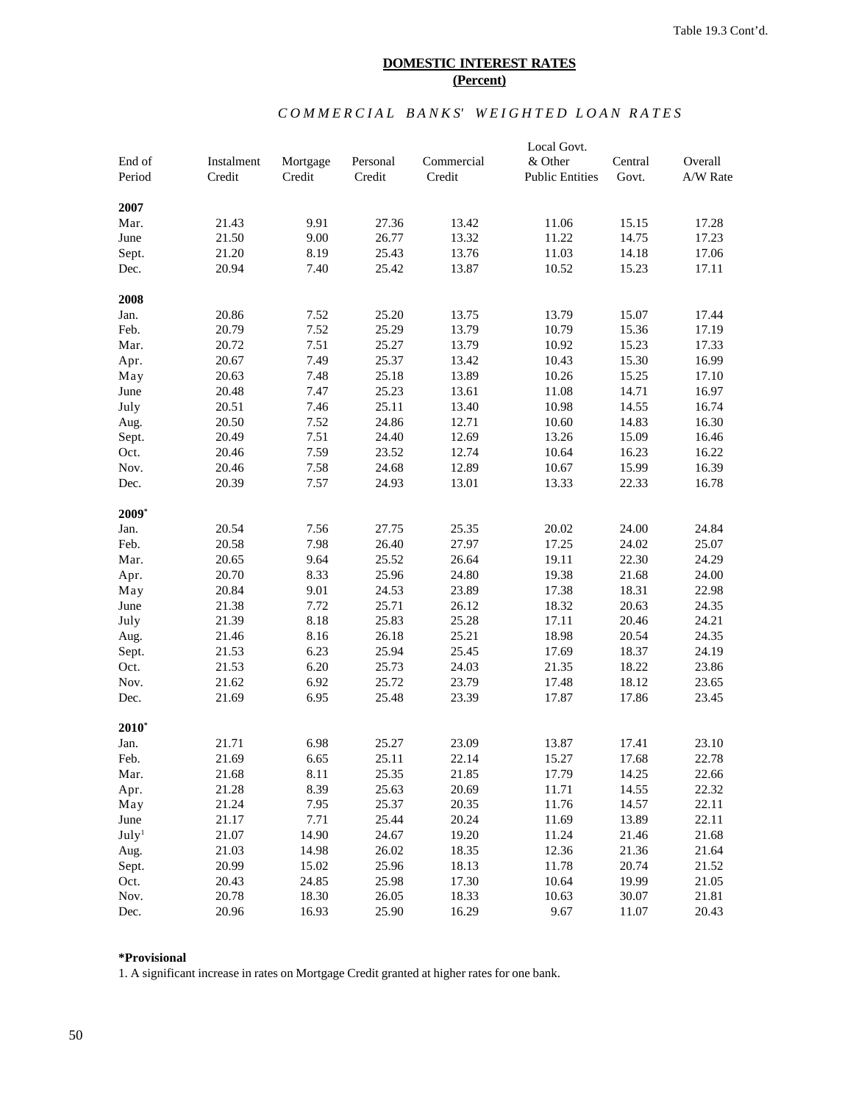## $COMMER CIAL$  BANKS' WEIGHTED LOAN RATES

|                   |            |              |          |            | Local Govt.            |         |                |
|-------------------|------------|--------------|----------|------------|------------------------|---------|----------------|
| End of            | Instalment | Mortgage     | Personal | Commercial | & Other                | Central | Overall        |
| Period            | Credit     | Credit       | Credit   | Credit     | <b>Public Entities</b> | Govt.   | A/W Rate       |
| 2007              |            |              |          |            |                        |         |                |
| Mar.              | 21.43      | 9.91         | 27.36    | 13.42      | 11.06                  | 15.15   | 17.28          |
| June              | 21.50      | 9.00         | 26.77    | 13.32      | 11.22                  | 14.75   | 17.23          |
| Sept.             | 21.20      | 8.19         | 25.43    | 13.76      | 11.03                  | 14.18   | 17.06          |
| Dec.              | 20.94      | 7.40         | 25.42    | 13.87      | 10.52                  | 15.23   | 17.11          |
| 2008              |            |              |          |            |                        |         |                |
| Jan.              | 20.86      | 7.52         | 25.20    | 13.75      | 13.79                  | 15.07   | 17.44          |
| Feb.              | 20.79      | 7.52         | 25.29    | 13.79      | 10.79                  | 15.36   | 17.19          |
| Mar.              | 20.72      | 7.51         | 25.27    | 13.79      | 10.92                  | 15.23   | 17.33          |
| Apr.              | 20.67      | 7.49         | 25.37    | 13.42      | 10.43                  | 15.30   | 16.99          |
| May               | 20.63      | 7.48         | 25.18    | 13.89      | 10.26                  | 15.25   | 17.10          |
| June              | 20.48      | 7.47         | 25.23    | 13.61      | 11.08                  | 14.71   | 16.97          |
| July              | 20.51      | 7.46         | 25.11    | 13.40      | 10.98                  | 14.55   | 16.74          |
|                   | 20.50      | 7.52         | 24.86    | 12.71      | 10.60                  | 14.83   | 16.30          |
| Aug.              |            |              | 24.40    |            |                        |         |                |
| Sept.             | 20.49      | 7.51<br>7.59 |          | 12.69      | 13.26                  | 15.09   | 16.46<br>16.22 |
| Oct.              | 20.46      |              | 23.52    | 12.74      | 10.64                  | 16.23   |                |
| Nov.              | 20.46      | 7.58         | 24.68    | 12.89      | 10.67                  | 15.99   | 16.39          |
| Dec.              | 20.39      | 7.57         | 24.93    | 13.01      | 13.33                  | 22.33   | 16.78          |
| $2009*$           |            |              |          |            |                        |         |                |
| Jan.              | 20.54      | 7.56         | 27.75    | 25.35      | 20.02                  | 24.00   | 24.84          |
| Feb.              | 20.58      | 7.98         | 26.40    | 27.97      | 17.25                  | 24.02   | 25.07          |
| Mar.              | 20.65      | 9.64         | 25.52    | 26.64      | 19.11                  | 22.30   | 24.29          |
| Apr.              | 20.70      | 8.33         | 25.96    | 24.80      | 19.38                  | 21.68   | 24.00          |
| May               | 20.84      | 9.01         | 24.53    | 23.89      | 17.38                  | 18.31   | 22.98          |
| June              | 21.38      | 7.72         | 25.71    | 26.12      | 18.32                  | 20.63   | 24.35          |
| July              | 21.39      | 8.18         | 25.83    | 25.28      | 17.11                  | 20.46   | 24.21          |
| Aug.              | 21.46      | 8.16         | 26.18    | 25.21      | 18.98                  | 20.54   | 24.35          |
| Sept.             | 21.53      | 6.23         | 25.94    | 25.45      | 17.69                  | 18.37   | 24.19          |
| Oct.              | 21.53      | 6.20         | 25.73    | 24.03      | 21.35                  | 18.22   | 23.86          |
| Nov.              | 21.62      | 6.92         | 25.72    | 23.79      | 17.48                  | 18.12   | 23.65          |
| Dec.              | 21.69      | 6.95         | 25.48    | 23.39      | 17.87                  | 17.86   | 23.45          |
| $2010*$           |            |              |          |            |                        |         |                |
| Jan.              | 21.71      | 6.98         | 25.27    | 23.09      | 13.87                  | 17.41   | 23.10          |
| Feb.              | 21.69      | 6.65         | 25.11    | 22.14      | 15.27                  | 17.68   | 22.78          |
| Mar.              | 21.68      | 8.11         | 25.35    | 21.85      | 17.79                  | 14.25   | 22.66          |
| Apr.              | 21.28      | 8.39         | 25.63    | 20.69      | 11.71                  | 14.55   | 22.32          |
| May               | 21.24      | 7.95         | 25.37    | 20.35      | 11.76                  | 14.57   | 22.11          |
| June              | 21.17      | 7.71         | 25.44    | 20.24      | 11.69                  | 13.89   | 22.11          |
| July <sup>1</sup> | 21.07      | 14.90        | 24.67    | 19.20      | 11.24                  | 21.46   | 21.68          |
| Aug.              | 21.03      | 14.98        | 26.02    | 18.35      | 12.36                  | 21.36   | 21.64          |
| Sept.             | 20.99      | 15.02        | 25.96    | 18.13      | 11.78                  | 20.74   | 21.52          |
| Oct.              | 20.43      | 24.85        | 25.98    | 17.30      | 10.64                  | 19.99   | 21.05          |
| Nov.              | 20.78      | 18.30        | 26.05    | 18.33      | 10.63                  | 30.07   | 21.81          |
| Dec.              | 20.96      | 16.93        | 25.90    | 16.29      | 9.67                   | 11.07   | 20.43          |
|                   |            |              |          |            |                        |         |                |

## **\*Provisional**

1. A significant increase in rates on Mortgage Credit granted at higher rates for one bank.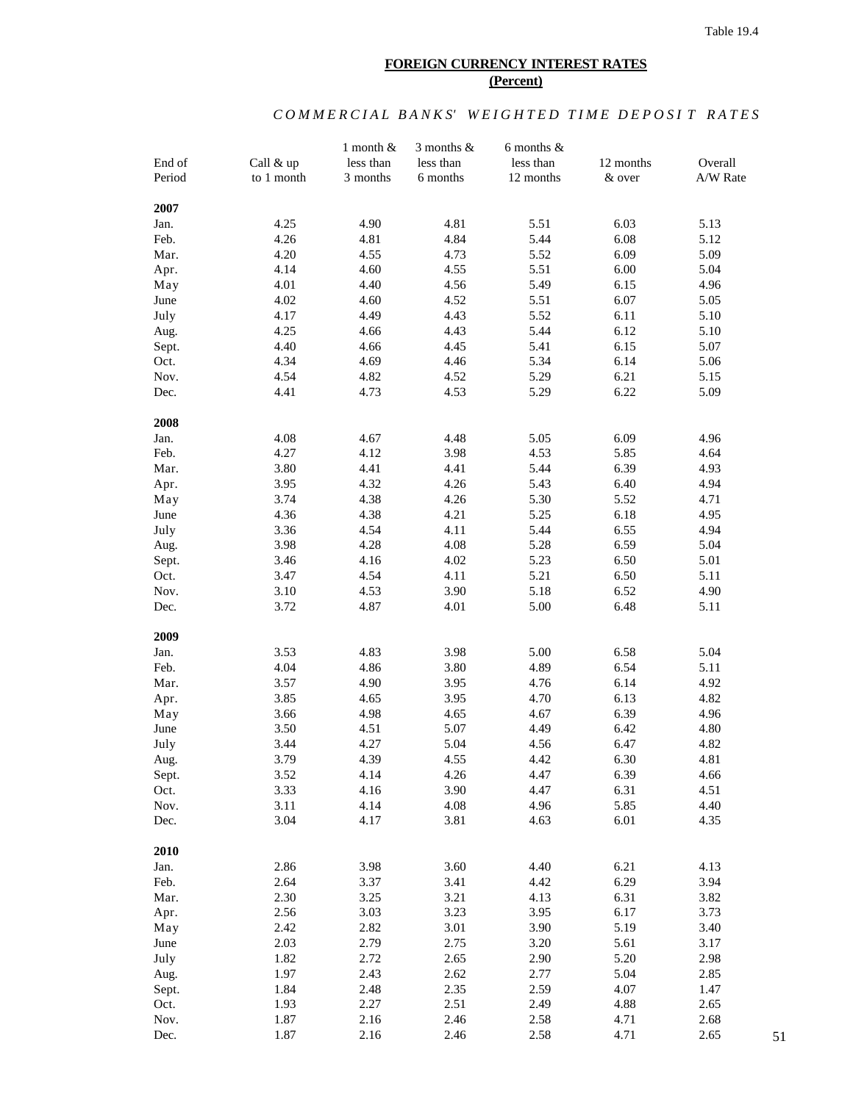### **FOREIGN CURRENCY INTEREST RATES (Percent)**

# *COMMERCIAL BANKS' WEIGHTED TIME DEPOSIT RATES*

|        |            | 1 month $&$  | 3 months $&$ | 6 months $\&$ |           |          |
|--------|------------|--------------|--------------|---------------|-----------|----------|
| End of | Call & up  | less than    | less than    | less than     | 12 months | Overall  |
| Period | to 1 month | 3 months     | 6 months     | 12 months     | & over    | A/W Rate |
|        |            |              |              |               |           |          |
| 2007   |            |              |              |               |           |          |
| Jan.   | 4.25       | 4.90         | 4.81         | 5.51          | 6.03      | 5.13     |
| Feb.   | 4.26       | 4.81         | 4.84         | 5.44          | 6.08      | 5.12     |
| Mar.   | 4.20       |              | 4.73         | 5.52          | 6.09      | 5.09     |
| Apr.   | 4.14       | 4.55<br>4.60 | 4.55         | 5.51          | 6.00      | 5.04     |
| May    | 4.01       | 4.40         | 4.56         | 5.49          | 6.15      | 4.96     |
| June   | 4.02       | 4.60         | 4.52         | 5.51          | 6.07      | 5.05     |
| July   | 4.17       | 4.49         | 4.43         | 5.52          | 6.11      | 5.10     |
|        |            |              |              |               |           |          |
| Aug.   | 4.25       | 4.66         | 4.43         | 5.44          | 6.12      | 5.10     |
| Sept.  | 4.40       | 4.66         | 4.45         | 5.41          | 6.15      | 5.07     |
| Oct.   | 4.34       | 4.69         | 4.46         | 5.34          | 6.14      | 5.06     |
| Nov.   | 4.54       | 4.82         | 4.52         | 5.29          | 6.21      | 5.15     |
| Dec.   | 4.41       | 4.73         | 4.53         | 5.29          | 6.22      | 5.09     |
|        |            |              |              |               |           |          |
| 2008   |            |              |              |               |           |          |
| Jan.   | 4.08       | 4.67         | 4.48         | 5.05          | 6.09      | 4.96     |
| Feb.   | 4.27       | 4.12         | 3.98         | 4.53          | 5.85      | 4.64     |
| Mar.   | 3.80       | 4.41         | 4.41         | 5.44          | 6.39      | 4.93     |
| Apr.   | 3.95       | 4.32         | 4.26         | 5.43          | 6.40      | 4.94     |
| May    | 3.74       | 4.38         | 4.26         | 5.30          | 5.52      | 4.71     |
| June   | 4.36       | 4.38         | 4.21         | 5.25          | 6.18      | 4.95     |
| July   | 3.36       | 4.54         | 4.11         | 5.44          | 6.55      | 4.94     |
| Aug.   | 3.98       | 4.28         | 4.08         | 5.28          | 6.59      | 5.04     |
| Sept.  | 3.46       | 4.16         | 4.02         | 5.23          | 6.50      | 5.01     |
| Oct.   | 3.47       | 4.54         | 4.11         | 5.21          | 6.50      | 5.11     |
| Nov.   | 3.10       | 4.53         | 3.90         | 5.18          | 6.52      | 4.90     |
| Dec.   | 3.72       | 4.87         | 4.01         | 5.00          | 6.48      | 5.11     |
|        |            |              |              |               |           |          |
| 2009   |            |              |              |               |           |          |
| Jan.   | 3.53       | 4.83         | 3.98         | 5.00          | 6.58      | 5.04     |
| Feb.   | 4.04       | 4.86         | 3.80         | 4.89          | 6.54      | 5.11     |
| Mar.   | 3.57       | 4.90         | 3.95         | 4.76          | 6.14      | 4.92     |
| Apr.   | 3.85       | 4.65         | 3.95         | 4.70          | 6.13      | 4.82     |
| May    | 3.66       | 4.98         | 4.65         | 4.67          | 6.39      | 4.96     |
| June   | 3.50       | 4.51         | 5.07         | 4.49          | 6.42      | 4.80     |
| July   | 3.44       | 4.27         | 5.04         | 4.56          | 6.47      | 4.82     |
| Aug.   | 3.79       | 4.39         | 4.55         | 4.42          | 6.30      | 4.81     |
| Sept.  | 3.52       | 4.14         | 4.26         | 4.47          | 6.39      | 4.66     |
| Oct.   | 3.33       | 4.16         | 3.90         | 4.47          | 6.31      | 4.51     |
| Nov.   | 3.11       | 4.14         | 4.08         | 4.96          | 5.85      | 4.40     |
| Dec.   | 3.04       | 4.17         | 3.81         | 4.63          | 6.01      | 4.35     |
|        |            |              |              |               |           |          |
| 2010   |            |              |              |               |           |          |
| Jan.   | 2.86       | 3.98         | 3.60         | 4.40          | 6.21      | 4.13     |
| Feb.   | 2.64       | 3.37         | 3.41         | 4.42          | 6.29      | 3.94     |
| Mar.   | 2.30       | 3.25         | 3.21         | 4.13          | 6.31      | 3.82     |
| Apr.   | 2.56       | 3.03         | 3.23         | 3.95          | 6.17      | 3.73     |
| May    | 2.42       | 2.82         | 3.01         | 3.90          | 5.19      | 3.40     |
| June   | 2.03       | 2.79         | 2.75         | 3.20          | 5.61      | 3.17     |
| July   | 1.82       | 2.72         | 2.65         | 2.90          | 5.20      | 2.98     |
|        | 1.97       | 2.43         | 2.62         | 2.77          | 5.04      | 2.85     |
| Aug.   |            |              |              |               |           |          |
| Sept.  | 1.84       | 2.48         | 2.35         | 2.59          | 4.07      | 1.47     |
| Oct.   | 1.93       | 2.27         | 2.51         | 2.49          | 4.88      | 2.65     |
| Nov.   | 1.87       | 2.16         | 2.46         | 2.58          | 4.71      | 2.68     |
| Dec.   | 1.87       | 2.16         | 2.46         | 2.58          | 4.71      | 2.65     |

51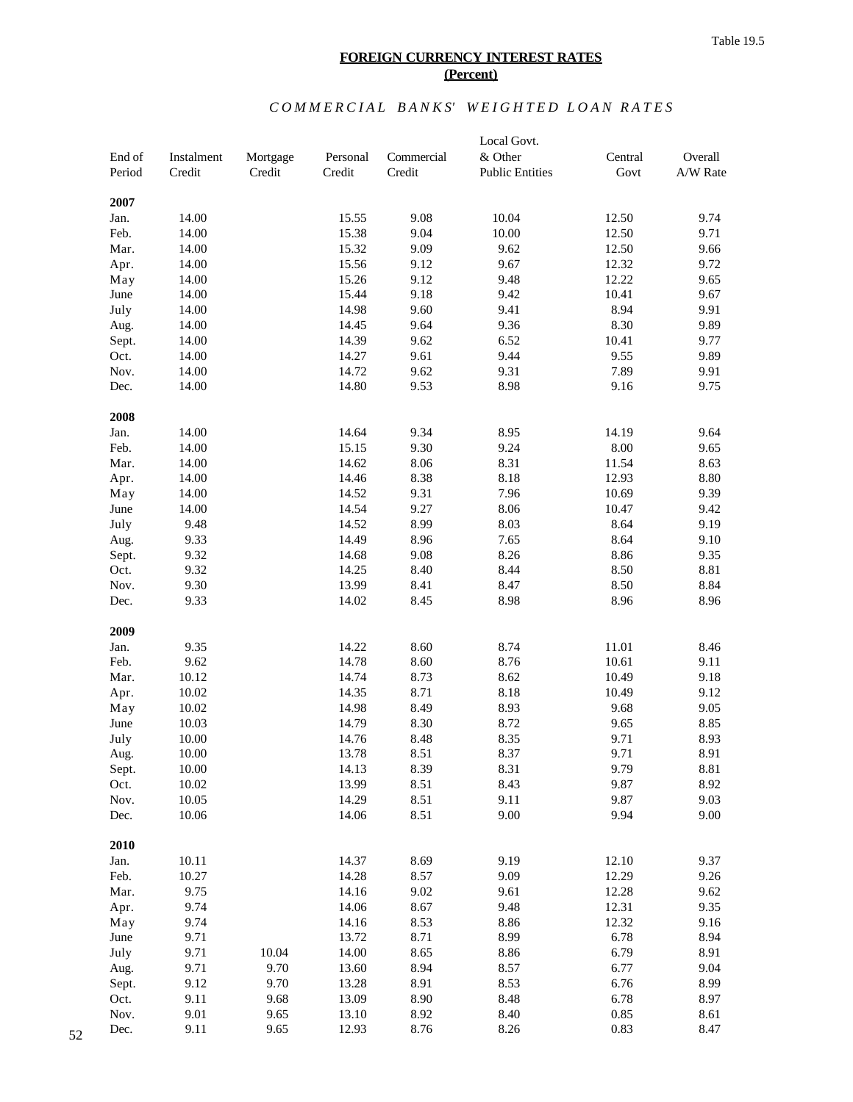#### Table 19.5

## **FOREIGN CURRENCY INTEREST RATES (Percent)**

# $COMMER CIAL$  BANKS' WEIGHTED LOAN RATES

|              |                |          |                |              | Local Govt.            |                |              |
|--------------|----------------|----------|----------------|--------------|------------------------|----------------|--------------|
| End of       | Instalment     | Mortgage | Personal       | Commercial   | & Other                | Central        | Overall      |
| Period       | Credit         | Credit   | Credit         | Credit       | <b>Public Entities</b> | Govt           | A/W Rate     |
|              |                |          |                |              |                        |                |              |
| 2007         |                |          |                |              |                        |                |              |
| Jan.         | 14.00<br>14.00 |          | 15.55          | 9.08<br>9.04 | 10.04<br>10.00         | 12.50          | 9.74<br>9.71 |
| Feb.<br>Mar. | 14.00          |          | 15.38<br>15.32 | 9.09         | 9.62                   | 12.50<br>12.50 | 9.66         |
| Apr.         | 14.00          |          | 15.56          | 9.12         | 9.67                   | 12.32          | 9.72         |
| May          | 14.00          |          | 15.26          | 9.12         | 9.48                   | 12.22          | 9.65         |
| June         | 14.00          |          | 15.44          | 9.18         | 9.42                   | 10.41          | 9.67         |
| July         | 14.00          |          | 14.98          | 9.60         | 9.41                   | 8.94           | 9.91         |
| Aug.         | 14.00          |          | 14.45          | 9.64         | 9.36                   | 8.30           | 9.89         |
| Sept.        | 14.00          |          | 14.39          | 9.62         | 6.52                   | 10.41          | 9.77         |
| Oct.         | 14.00          |          | 14.27          | 9.61         | 9.44                   | 9.55           | 9.89         |
| Nov.         | 14.00          |          | 14.72          | 9.62         | 9.31                   | 7.89           | 9.91         |
| Dec.         | 14.00          |          | 14.80          | 9.53         | 8.98                   | 9.16           | 9.75         |
|              |                |          |                |              |                        |                |              |
| 2008         |                |          |                |              |                        |                |              |
| Jan.         | 14.00          |          | 14.64          | 9.34         | 8.95                   | 14.19          | 9.64         |
| Feb.         | 14.00          |          | 15.15          | 9.30         | 9.24                   | 8.00           | 9.65         |
| Mar.         | 14.00          |          | 14.62          | 8.06         | 8.31                   | 11.54          | 8.63         |
| Apr.         | 14.00          |          | 14.46          | 8.38         | 8.18                   | 12.93          | 8.80         |
| May          | 14.00          |          | 14.52          | 9.31         | 7.96                   | 10.69          | 9.39         |
| June         | 14.00          |          | 14.54          | 9.27         | 8.06                   | 10.47          | 9.42         |
| July         | 9.48           |          | 14.52          | 8.99         | 8.03                   | 8.64           | 9.19         |
| Aug.         | 9.33           |          | 14.49          | 8.96         | 7.65                   | 8.64           | 9.10         |
| Sept.        | 9.32           |          | 14.68          | 9.08         | 8.26                   | 8.86           | 9.35         |
| Oct.         | 9.32           |          | 14.25          | 8.40         | 8.44                   | 8.50           | 8.81         |
| Nov.         | 9.30           |          | 13.99          | 8.41         | 8.47                   | 8.50           | 8.84         |
| Dec.         | 9.33           |          | 14.02          | 8.45         | 8.98                   | 8.96           | 8.96         |
|              |                |          |                |              |                        |                |              |
| 2009         |                |          |                |              |                        |                |              |
| Jan.         | 9.35           |          | 14.22          | 8.60         | 8.74                   | 11.01          | 8.46         |
| Feb.         | 9.62           |          | 14.78          | 8.60         | 8.76                   | 10.61          | 9.11         |
| Mar.         | 10.12          |          | 14.74          | 8.73         | 8.62                   | 10.49          | 9.18         |
| Apr.         | 10.02          |          | 14.35          | 8.71         | 8.18                   | 10.49          | 9.12         |
| May          | 10.02          |          | 14.98          | 8.49         | 8.93                   | 9.68           | 9.05         |
| June         | 10.03          |          | 14.79          | 8.30         | 8.72                   | 9.65           | 8.85         |
| July         | 10.00          |          | 14.76          | 8.48         | 8.35                   | 9.71           | 8.93         |
| Aug.         | 10.00          |          | 13.78          | 8.51         | 8.37                   | 9.71           | 8.91         |
| Sept.        | 10.00          |          | 14.13          | 8.39         | 8.31                   | 9.79           | 8.81         |
| Oct.         | 10.02          |          | 13.99          | 8.51         | 8.43                   | 9.87           | 8.92         |
| Nov.         | 10.05          |          | 14.29<br>14.06 | 8.51         | 9.11<br>9.00           | 9.87           | 9.03<br>9.00 |
| Dec.         | 10.06          |          |                | 8.51         |                        | 9.94           |              |
| 2010         |                |          |                |              |                        |                |              |
| Jan.         | 10.11          |          | 14.37          | 8.69         | 9.19                   | 12.10          | 9.37         |
| Feb.         | 10.27          |          | 14.28          | 8.57         | 9.09                   | 12.29          | 9.26         |
| Mar.         | 9.75           |          | 14.16          | 9.02         | 9.61                   | 12.28          | 9.62         |
| Apr.         | 9.74           |          | 14.06          | 8.67         | 9.48                   | 12.31          | 9.35         |
| May          | 9.74           |          | 14.16          | 8.53         | 8.86                   | 12.32          | 9.16         |
| June         | 9.71           |          | 13.72          | 8.71         | 8.99                   | 6.78           | 8.94         |
| July         | 9.71           | 10.04    | 14.00          | 8.65         | 8.86                   | 6.79           | 8.91         |
| Aug.         | 9.71           | 9.70     | 13.60          | 8.94         | 8.57                   | 6.77           | 9.04         |
| Sept.        | 9.12           | 9.70     | 13.28          | 8.91         | 8.53                   | 6.76           | 8.99         |
| Oct.         | 9.11           | 9.68     | 13.09          | 8.90         | 8.48                   | 6.78           | 8.97         |
| Nov.         | 9.01           | 9.65     | 13.10          | 8.92         | 8.40                   | 0.85           | 8.61         |
| Dec.         | 9.11           | 9.65     | 12.93          | 8.76         | 8.26                   | 0.83           | 8.47         |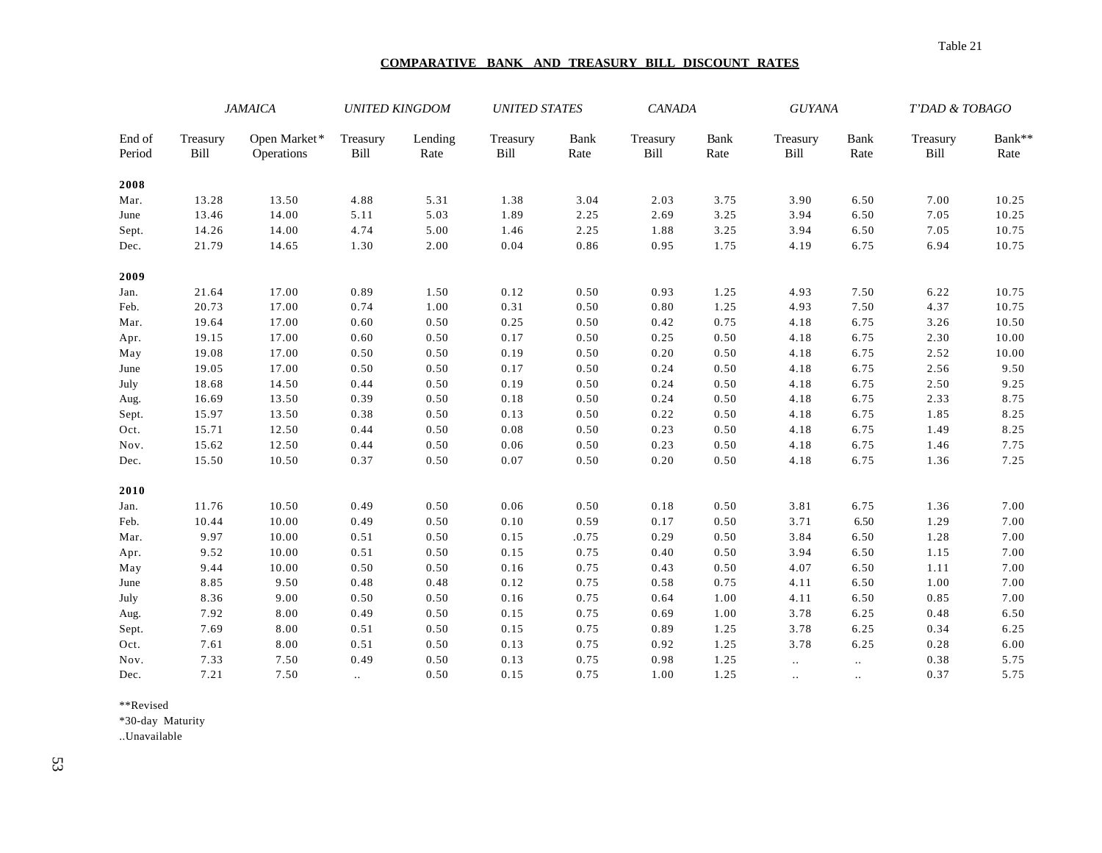### **COMPARATIVE BANK AND TREASURY BILL DISCOUNT RATES**

|                  |                  | <b>JAMAICA</b>             | <b>UNITED KINGDOM</b> |                 | <b>UNITED STATES</b> |              | <b>CANADA</b>    |              | <b>GUYANA</b>    |              | T'DAD & TOBAGO   |                |
|------------------|------------------|----------------------------|-----------------------|-----------------|----------------------|--------------|------------------|--------------|------------------|--------------|------------------|----------------|
| End of<br>Period | Treasury<br>Bill | Open Market*<br>Operations | Treasury<br>Bill      | Lending<br>Rate | Treasury<br>Bill     | Bank<br>Rate | Treasury<br>Bill | Bank<br>Rate | Treasury<br>Bill | Bank<br>Rate | Treasury<br>Bill | Bank**<br>Rate |
| 2008             |                  |                            |                       |                 |                      |              |                  |              |                  |              |                  |                |
| Mar.             | 13.28            | 13.50                      | 4.88                  | 5.31            | 1.38                 | 3.04         | 2.03             | 3.75         | 3.90             | 6.50         | 7.00             | 10.25          |
| June             | 13.46            | 14.00                      | 5.11                  | 5.03            | 1.89                 | 2.25         | 2.69             | 3.25         | 3.94             | 6.50         | 7.05             | 10.25          |
| Sept.            | 14.26            | 14.00                      | 4.74                  | 5.00            | 1.46                 | 2.25         | 1.88             | 3.25         | 3.94             | 6.50         | 7.05             | 10.75          |
| Dec.             | 21.79            | 14.65                      | 1.30                  | 2.00            | 0.04                 | 0.86         | 0.95             | 1.75         | 4.19             | 6.75         | 6.94             | 10.75          |
| 2009             |                  |                            |                       |                 |                      |              |                  |              |                  |              |                  |                |
| Jan.             | 21.64            | 17.00                      | 0.89                  | 1.50            | 0.12                 | 0.50         | 0.93             | 1.25         | 4.93             | 7.50         | 6.22             | 10.75          |
| Feb.             | 20.73            | 17.00                      | 0.74                  | 1.00            | 0.31                 | 0.50         | 0.80             | 1.25         | 4.93             | 7.50         | 4.37             | 10.75          |
| Mar.             | 19.64            | 17.00                      | 0.60                  | 0.50            | 0.25                 | 0.50         | 0.42             | 0.75         | 4.18             | 6.75         | 3.26             | 10.50          |
| Apr.             | 19.15            | 17.00                      | 0.60                  | $0.50\,$        | 0.17                 | 0.50         | 0.25             | 0.50         | 4.18             | 6.75         | 2.30             | 10.00          |
| May              | 19.08            | 17.00                      | 0.50                  | 0.50            | 0.19                 | 0.50         | 0.20             | 0.50         | 4.18             | 6.75         | 2.52             | 10.00          |
| June             | 19.05            | 17.00                      | 0.50                  | 0.50            | 0.17                 | 0.50         | 0.24             | 0.50         | 4.18             | 6.75         | 2.56             | 9.50           |
| July             | 18.68            | 14.50                      | 0.44                  | 0.50            | 0.19                 | 0.50         | 0.24             | 0.50         | 4.18             | 6.75         | 2.50             | 9.25           |
| Aug.             | 16.69            | 13.50                      | 0.39                  | 0.50            | 0.18                 | 0.50         | 0.24             | 0.50         | 4.18             | 6.75         | 2.33             | 8.75           |
| Sept.            | 15.97            | 13.50                      | 0.38                  | 0.50            | 0.13                 | 0.50         | 0.22             | 0.50         | 4.18             | 6.75         | 1.85             | 8.25           |
| Oct.             | 15.71            | 12.50                      | 0.44                  | 0.50            | 0.08                 | 0.50         | 0.23             | 0.50         | 4.18             | 6.75         | 1.49             | 8.25           |
| Nov.             | 15.62            | 12.50                      | 0.44                  | 0.50            | 0.06                 | 0.50         | 0.23             | 0.50         | 4.18             | 6.75         | 1.46             | 7.75           |
| Dec.             | 15.50            | 10.50                      | 0.37                  | 0.50            | 0.07                 | 0.50         | 0.20             | 0.50         | 4.18             | 6.75         | 1.36             | 7.25           |
| 2010             |                  |                            |                       |                 |                      |              |                  |              |                  |              |                  |                |
| Jan.             | 11.76            | 10.50                      | 0.49                  | 0.50            | 0.06                 | 0.50         | 0.18             | 0.50         | 3.81             | 6.75         | 1.36             | 7.00           |
| Feb.             | 10.44            | 10.00                      | 0.49                  | 0.50            | 0.10                 | 0.59         | 0.17             | 0.50         | 3.71             | 6.50         | 1.29             | 7.00           |
| Mar.             | 9.97             | 10.00                      | 0.51                  | 0.50            | 0.15                 | .0.75        | 0.29             | 0.50         | 3.84             | 6.50         | 1.28             | 7.00           |
| Apr.             | 9.52             | 10.00                      | 0.51                  | 0.50            | 0.15                 | 0.75         | 0.40             | 0.50         | 3.94             | 6.50         | 1.15             | 7.00           |
| May              | 9.44             | 10.00                      | 0.50                  | 0.50            | 0.16                 | 0.75         | 0.43             | 0.50         | 4.07             | 6.50         | 1.11             | 7.00           |
| June             | 8.85             | 9.50                       | 0.48                  | 0.48            | 0.12                 | 0.75         | 0.58             | 0.75         | 4.11             | 6.50         | 1.00             | 7.00           |
| July             | 8.36             | 9.00                       | 0.50                  | 0.50            | 0.16                 | 0.75         | 0.64             | 1.00         | 4.11             | 6.50         | 0.85             | 7.00           |
| Aug.             | 7.92             | 8.00                       | 0.49                  | 0.50            | 0.15                 | 0.75         | 0.69             | 1.00         | 3.78             | 6.25         | 0.48             | 6.50           |
| Sept.            | 7.69             | 8.00                       | 0.51                  | $0.50\,$        | 0.15                 | 0.75         | 0.89             | 1.25         | 3.78             | 6.25         | 0.34             | 6.25           |
| Oct.             | 7.61             | 8.00                       | 0.51                  | 0.50            | 0.13                 | 0.75         | 0.92             | 1.25         | 3.78             | 6.25         | 0.28             | 6.00           |
| Nov.             | 7.33             | 7.50                       | 0.49                  | 0.50            | 0.13                 | 0.75         | 0.98             | 1.25         | $\ddotsc$        | $\ddotsc$    | 0.38             | 5.75           |
| Dec.             | 7.21             | 7.50                       |                       | 0.50            | 0.15                 | 0.75         | 1.00             | 1.25         |                  | $\cdot$ .    | 0.37             | 5.75           |

\*\*Revised

\*30-day Maturity

..Unavailable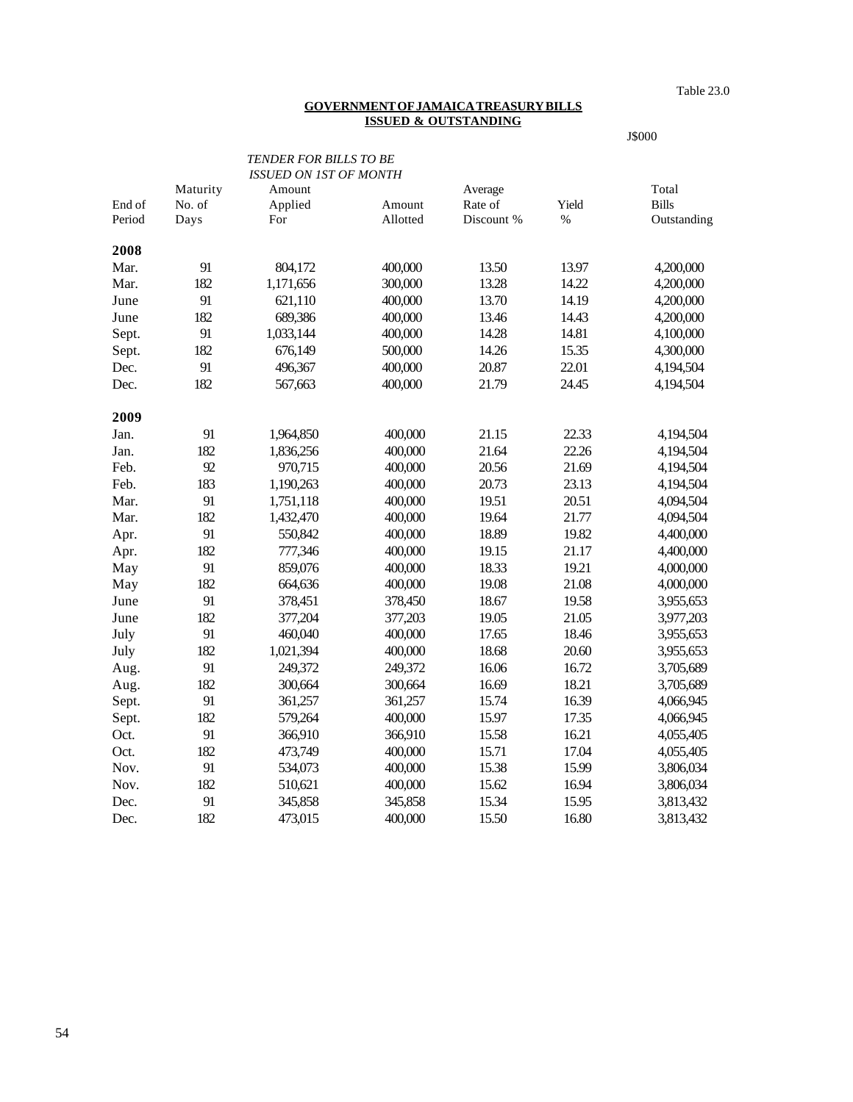Table 23.0

#### **GOVERNMENT OF JAMAICA TREASURY BILLS ISSUED & OUTSTANDING**

J\$000

|        |          | <b>TENDER FOR BILLS TO BE</b> |          |            |       |              |
|--------|----------|-------------------------------|----------|------------|-------|--------------|
|        |          | <b>ISSUED ON 1ST OF MONTH</b> |          |            |       |              |
|        | Maturity | Amount                        |          | Average    |       | Total        |
| End of | No. of   | Applied                       | Amount   | Rate of    | Yield | <b>Bills</b> |
| Period | Days     | For                           | Allotted | Discount % | $\%$  | Outstanding  |
| 2008   |          |                               |          |            |       |              |
| Mar.   | 91       | 804,172                       | 400,000  | 13.50      | 13.97 | 4,200,000    |
| Mar.   | 182      | 1,171,656                     | 300,000  | 13.28      | 14.22 | 4,200,000    |
| June   | 91       | 621,110                       | 400,000  | 13.70      | 14.19 | 4,200,000    |
| June   | 182      | 689,386                       | 400,000  | 13.46      | 14.43 | 4,200,000    |
| Sept.  | 91       | 1,033,144                     | 400,000  | 14.28      | 14.81 | 4,100,000    |
| Sept.  | 182      | 676,149                       | 500,000  | 14.26      | 15.35 | 4,300,000    |
| Dec.   | 91       | 496,367                       | 400,000  | 20.87      | 22.01 | 4,194,504    |
| Dec.   | 182      | 567,663                       | 400,000  | 21.79      | 24.45 | 4,194,504    |
| 2009   |          |                               |          |            |       |              |
| Jan.   | 91       | 1,964,850                     | 400,000  | 21.15      | 22.33 | 4,194,504    |
| Jan.   | 182      | 1,836,256                     | 400,000  | 21.64      | 22.26 | 4,194,504    |
| Feb.   | 92       | 970,715                       | 400,000  | 20.56      | 21.69 | 4,194,504    |
| Feb.   | 183      | 1,190,263                     | 400,000  | 20.73      | 23.13 | 4,194,504    |
| Mar.   | 91       | 1,751,118                     | 400,000  | 19.51      | 20.51 | 4,094,504    |
| Mar.   | 182      | 1,432,470                     | 400,000  | 19.64      | 21.77 | 4,094,504    |
| Apr.   | 91       | 550,842                       | 400,000  | 18.89      | 19.82 | 4,400,000    |
| Apr.   | 182      | 777,346                       | 400,000  | 19.15      | 21.17 | 4,400,000    |
| May    | 91       | 859,076                       | 400,000  | 18.33      | 19.21 | 4,000,000    |
| May    | 182      | 664,636                       | 400,000  | 19.08      | 21.08 | 4,000,000    |
| June   | 91       | 378,451                       | 378,450  | 18.67      | 19.58 | 3,955,653    |
| June   | 182      | 377,204                       | 377,203  | 19.05      | 21.05 | 3,977,203    |
| July   | 91       | 460,040                       | 400,000  | 17.65      | 18.46 | 3,955,653    |
| July   | 182      | 1,021,394                     | 400,000  | 18.68      | 20.60 | 3,955,653    |
| Aug.   | 91       | 249,372                       | 249,372  | 16.06      | 16.72 | 3,705,689    |
| Aug.   | 182      | 300,664                       | 300,664  | 16.69      | 18.21 | 3,705,689    |
| Sept.  | 91       | 361,257                       | 361,257  | 15.74      | 16.39 | 4,066,945    |
| Sept.  | 182      | 579,264                       | 400,000  | 15.97      | 17.35 | 4,066,945    |
| Oct.   | 91       | 366,910                       | 366,910  | 15.58      | 16.21 | 4,055,405    |
| Oct.   | 182      | 473,749                       | 400,000  | 15.71      | 17.04 | 4,055,405    |
| Nov.   | 91       | 534,073                       | 400,000  | 15.38      | 15.99 | 3,806,034    |
| Nov.   | 182      | 510,621                       | 400,000  | 15.62      | 16.94 | 3,806,034    |
| Dec.   | 91       | 345,858                       | 345,858  | 15.34      | 15.95 | 3,813,432    |
| Dec.   | 182      | 473,015                       | 400,000  | 15.50      | 16.80 | 3,813,432    |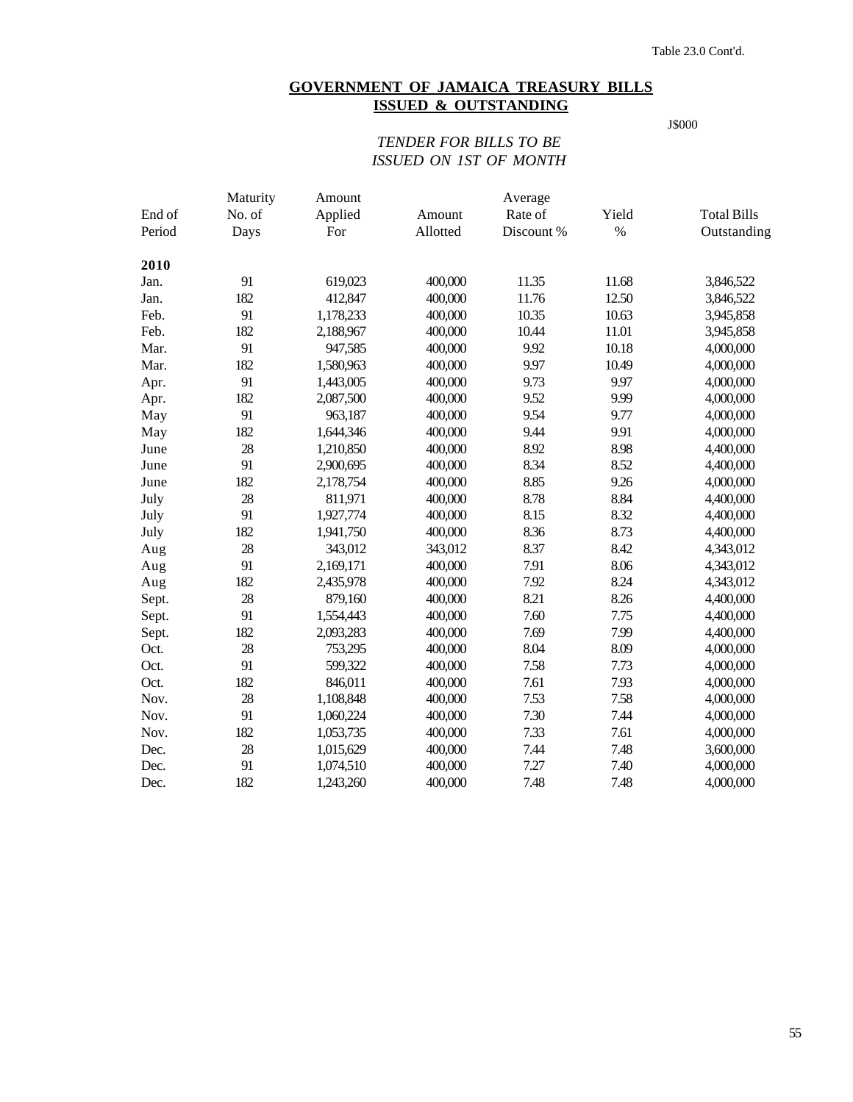# **GOVERNMENT OF JAMAICA TREASURY BILLS ISSUED & OUTSTANDING**

J\$000

# *TENDER FOR BILLS TO BE ISSUED ON 1ST OF MONTH*

|        | Maturity | Amount    |          | Average    |       |                    |
|--------|----------|-----------|----------|------------|-------|--------------------|
| End of | No. of   | Applied   | Amount   | Rate of    | Yield | <b>Total Bills</b> |
| Period | Days     | For       | Allotted | Discount % | $\%$  | Outstanding        |
| 2010   |          |           |          |            |       |                    |
| Jan.   | 91       | 619,023   | 400,000  | 11.35      | 11.68 | 3,846,522          |
| Jan.   | 182      | 412,847   | 400,000  | 11.76      | 12.50 | 3,846,522          |
| Feb.   | 91       | 1,178,233 | 400,000  | 10.35      | 10.63 | 3,945,858          |
| Feb.   | 182      | 2,188,967 | 400,000  | 10.44      | 11.01 | 3,945,858          |
| Mar.   | 91       | 947,585   | 400,000  | 9.92       | 10.18 | 4,000,000          |
| Mar.   | 182      | 1,580,963 | 400,000  | 9.97       | 10.49 | 4,000,000          |
| Apr.   | 91       | 1,443,005 | 400,000  | 9.73       | 9.97  | 4,000,000          |
| Apr.   | 182      | 2,087,500 | 400,000  | 9.52       | 9.99  | 4,000,000          |
| May    | 91       | 963,187   | 400,000  | 9.54       | 9.77  | 4,000,000          |
| May    | 182      | 1,644,346 | 400,000  | 9.44       | 9.91  | 4,000,000          |
| June   | 28       | 1,210,850 | 400,000  | 8.92       | 8.98  | 4,400,000          |
| June   | 91       | 2,900,695 | 400,000  | 8.34       | 8.52  | 4,400,000          |
| June   | 182      | 2,178,754 | 400,000  | 8.85       | 9.26  | 4,000,000          |
| July   | 28       | 811,971   | 400,000  | 8.78       | 8.84  | 4,400,000          |
| July   | 91       | 1,927,774 | 400,000  | 8.15       | 8.32  | 4,400,000          |
| July   | 182      | 1,941,750 | 400,000  | 8.36       | 8.73  | 4,400,000          |
| Aug    | 28       | 343,012   | 343,012  | 8.37       | 8.42  | 4,343,012          |
| Aug    | 91       | 2,169,171 | 400,000  | 7.91       | 8.06  | 4,343,012          |
| Aug    | 182      | 2,435,978 | 400,000  | 7.92       | 8.24  | 4,343,012          |
| Sept.  | 28       | 879,160   | 400,000  | 8.21       | 8.26  | 4,400,000          |
| Sept.  | 91       | 1,554,443 | 400,000  | 7.60       | 7.75  | 4,400,000          |
| Sept.  | 182      | 2,093,283 | 400,000  | 7.69       | 7.99  | 4,400,000          |
| Oct.   | 28       | 753,295   | 400,000  | 8.04       | 8.09  | 4,000,000          |
| Oct.   | 91       | 599,322   | 400,000  | 7.58       | 7.73  | 4,000,000          |
| Oct.   | 182      | 846,011   | 400,000  | 7.61       | 7.93  | 4,000,000          |
| Nov.   | 28       | 1,108,848 | 400,000  | 7.53       | 7.58  | 4,000,000          |
| Nov.   | 91       | 1,060,224 | 400,000  | 7.30       | 7.44  | 4,000,000          |
| Nov.   | 182      | 1,053,735 | 400,000  | 7.33       | 7.61  | 4,000,000          |
| Dec.   | 28       | 1,015,629 | 400,000  | 7.44       | 7.48  | 3,600,000          |
| Dec.   | 91       | 1,074,510 | 400,000  | 7.27       | 7.40  | 4,000,000          |
| Dec.   | 182      | 1,243,260 | 400,000  | 7.48       | 7.48  | 4,000,000          |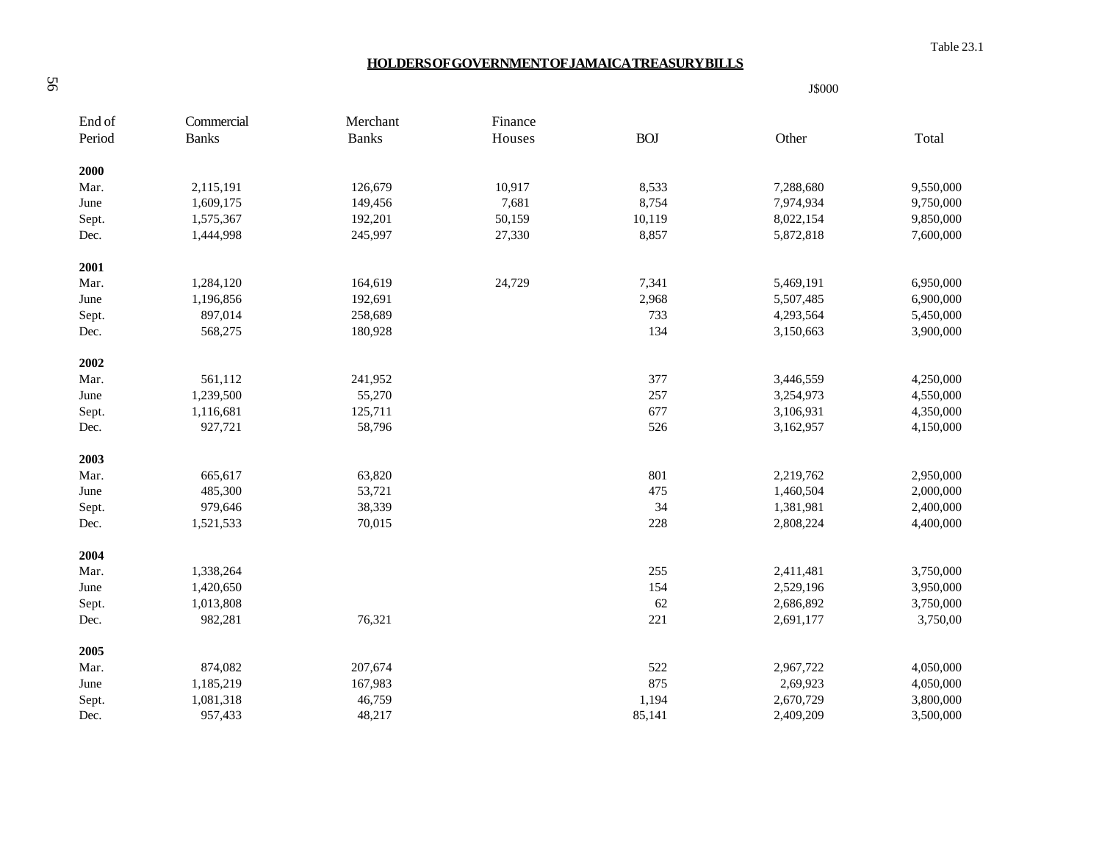Table 23.1

J\$000

### **HOLDERS OF GOVERNMENT OF JAMAICA TREASURY BILLS**

| End of | Commercial   | Merchant     | Finance |            |           |           |
|--------|--------------|--------------|---------|------------|-----------|-----------|
| Period | <b>Banks</b> | <b>Banks</b> | Houses  | <b>BOJ</b> | Other     | Total     |
| 2000   |              |              |         |            |           |           |
| Mar.   | 2,115,191    | 126,679      | 10,917  | 8,533      | 7,288,680 | 9,550,000 |
| June   | 1,609,175    | 149,456      | 7,681   | 8,754      | 7,974,934 | 9,750,000 |
| Sept.  | 1,575,367    | 192,201      | 50,159  | 10,119     | 8,022,154 | 9,850,000 |
| Dec.   | 1,444,998    | 245,997      | 27,330  | 8,857      | 5,872,818 | 7,600,000 |
| 2001   |              |              |         |            |           |           |
| Mar.   | 1,284,120    | 164,619      | 24,729  | 7,341      | 5,469,191 | 6,950,000 |
| June   | 1,196,856    | 192,691      |         | 2,968      | 5,507,485 | 6,900,000 |
| Sept.  | 897,014      | 258,689      |         | 733        | 4,293,564 | 5,450,000 |
| Dec.   | 568,275      | 180,928      |         | 134        | 3,150,663 | 3,900,000 |
| 2002   |              |              |         |            |           |           |
| Mar.   | 561,112      | 241,952      |         | 377        | 3,446,559 | 4,250,000 |
| June   | 1,239,500    | 55,270       |         | 257        | 3,254,973 | 4,550,000 |
| Sept.  | 1,116,681    | 125,711      |         | 677        | 3,106,931 | 4,350,000 |
| Dec.   | 927,721      | 58,796       |         | 526        | 3,162,957 | 4,150,000 |
| 2003   |              |              |         |            |           |           |
| Mar.   | 665,617      | 63,820       |         | 801        | 2,219,762 | 2,950,000 |
| June   | 485,300      | 53,721       |         | 475        | 1,460,504 | 2,000,000 |
| Sept.  | 979,646      | 38,339       |         | 34         | 1,381,981 | 2,400,000 |
| Dec.   | 1,521,533    | 70,015       |         | 228        | 2,808,224 | 4,400,000 |
| 2004   |              |              |         |            |           |           |
| Mar.   | 1,338,264    |              |         | 255        | 2,411,481 | 3,750,000 |
| June   | 1,420,650    |              |         | 154        | 2,529,196 | 3,950,000 |
| Sept.  | 1,013,808    |              |         | 62         | 2,686,892 | 3,750,000 |
| Dec.   | 982,281      | 76,321       |         | 221        | 2,691,177 | 3,750,00  |
| 2005   |              |              |         |            |           |           |
| Mar.   | 874,082      | 207,674      |         | 522        | 2,967,722 | 4,050,000 |
| June   | 1,185,219    | 167,983      |         | 875        | 2,69,923  | 4,050,000 |
| Sept.  | 1,081,318    | 46,759       |         | 1,194      | 2,670,729 | 3,800,000 |
| Dec.   | 957,433      | 48,217       |         | 85,141     | 2,409,209 | 3,500,000 |

56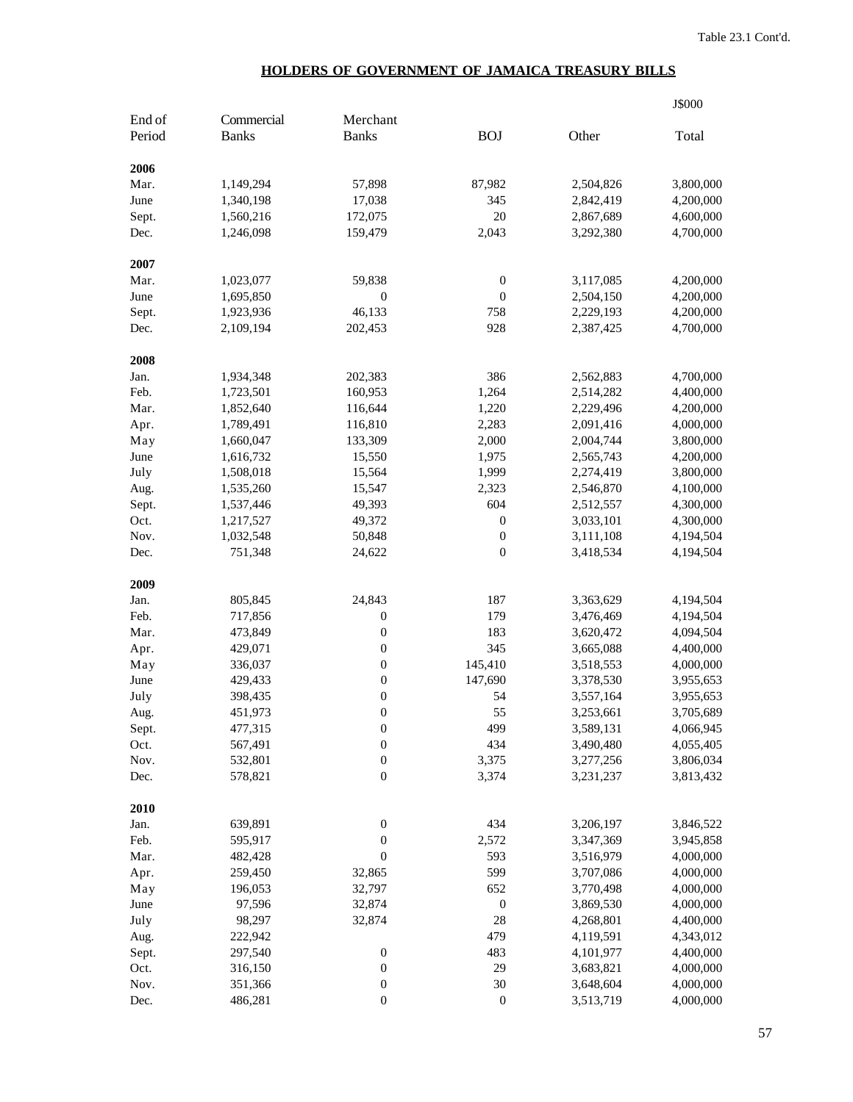# **HOLDERS OF GOVERNMENT OF JAMAICA TREASURY BILLS**

|        |              |                  |                  |           | J\$000    |
|--------|--------------|------------------|------------------|-----------|-----------|
| End of | Commercial   | Merchant         |                  |           |           |
| Period | <b>Banks</b> | <b>Banks</b>     | <b>BOJ</b>       | Other     | Total     |
| 2006   |              |                  |                  |           |           |
| Mar.   | 1,149,294    | 57,898           | 87,982           | 2,504,826 | 3,800,000 |
| June   | 1,340,198    | 17,038           | 345              | 2,842,419 | 4,200,000 |
| Sept.  | 1,560,216    | 172,075          | 20               | 2,867,689 | 4,600,000 |
| Dec.   | 1,246,098    | 159,479          | 2,043            | 3,292,380 | 4,700,000 |
| 2007   |              |                  |                  |           |           |
| Mar.   | 1,023,077    | 59,838           | $\boldsymbol{0}$ | 3,117,085 | 4,200,000 |
| June   | 1,695,850    | $\boldsymbol{0}$ | $\boldsymbol{0}$ | 2,504,150 | 4,200,000 |
| Sept.  | 1,923,936    | 46,133           | 758              | 2,229,193 | 4,200,000 |
| Dec.   | 2,109,194    | 202,453          | 928              | 2,387,425 | 4,700,000 |
| 2008   |              |                  |                  |           |           |
| Jan.   | 1,934,348    | 202,383          | 386              | 2,562,883 | 4,700,000 |
| Feb.   | 1,723,501    | 160,953          | 1,264            | 2,514,282 | 4,400,000 |
| Mar.   | 1,852,640    | 116,644          | 1,220            | 2,229,496 | 4,200,000 |
| Apr.   | 1,789,491    | 116,810          | 2,283            | 2,091,416 | 4,000,000 |
| May    | 1,660,047    | 133,309          | 2,000            | 2,004,744 | 3,800,000 |
| June   | 1,616,732    | 15,550           | 1,975            | 2,565,743 | 4,200,000 |
| July   | 1,508,018    | 15,564           | 1,999            | 2,274,419 | 3,800,000 |
| Aug.   | 1,535,260    | 15,547           | 2,323            | 2,546,870 | 4,100,000 |
| Sept.  | 1,537,446    | 49,393           | 604              | 2,512,557 | 4,300,000 |
| Oct.   | 1,217,527    | 49,372           | $\boldsymbol{0}$ | 3,033,101 | 4,300,000 |
| Nov.   | 1,032,548    | 50,848           | $\boldsymbol{0}$ | 3,111,108 | 4,194,504 |
| Dec.   | 751,348      | 24,622           | $\boldsymbol{0}$ | 3,418,534 | 4,194,504 |
| 2009   |              |                  |                  |           |           |
| Jan.   | 805,845      | 24,843           | 187              | 3,363,629 | 4,194,504 |
| Feb.   | 717,856      | $\boldsymbol{0}$ | 179              | 3,476,469 | 4,194,504 |
| Mar.   | 473,849      | $\boldsymbol{0}$ | 183              | 3,620,472 | 4,094,504 |
| Apr.   | 429,071      | $\boldsymbol{0}$ | 345              | 3,665,088 | 4,400,000 |
| May    | 336,037      | $\boldsymbol{0}$ | 145,410          | 3,518,553 | 4,000,000 |
| June   | 429,433      | $\boldsymbol{0}$ | 147,690          | 3,378,530 | 3,955,653 |
| July   | 398,435      | $\boldsymbol{0}$ | 54               | 3,557,164 | 3,955,653 |
| Aug.   | 451,973      | $\mathbf{0}$     | 55               | 3,253,661 | 3,705,689 |
| Sept.  | 477,315      | $\boldsymbol{0}$ | 499              | 3,589,131 | 4,066,945 |
| Oct.   | 567,491      | $\boldsymbol{0}$ | 434              | 3,490,480 | 4,055,405 |
| Nov.   | 532,801      | $\boldsymbol{0}$ | 3,375            | 3,277,256 | 3,806,034 |
| Dec.   | 578,821      | $\boldsymbol{0}$ | 3,374            | 3,231,237 | 3,813,432 |
| 2010   |              |                  |                  |           |           |
| Jan.   | 639,891      | $\boldsymbol{0}$ | 434              | 3,206,197 | 3,846,522 |
| Feb.   | 595,917      | $\boldsymbol{0}$ | 2,572            | 3,347,369 | 3,945,858 |
| Mar.   | 482,428      | $\boldsymbol{0}$ | 593              | 3,516,979 | 4,000,000 |
| Apr.   | 259,450      | 32,865           | 599              | 3,707,086 | 4,000,000 |
| May    | 196,053      | 32,797           | 652              | 3,770,498 | 4,000,000 |
| June   | 97,596       | 32,874           | $\boldsymbol{0}$ | 3,869,530 | 4,000,000 |
| July   | 98,297       | 32,874           | 28               | 4,268,801 | 4,400,000 |
| Aug.   | 222,942      |                  | 479              | 4,119,591 | 4,343,012 |
| Sept.  | 297,540      | $\boldsymbol{0}$ | 483              | 4,101,977 | 4,400,000 |
| Oct.   | 316,150      | $\boldsymbol{0}$ | 29               | 3,683,821 | 4,000,000 |
| Nov.   | 351,366      | $\boldsymbol{0}$ | 30               | 3,648,604 | 4,000,000 |
| Dec.   | 486,281      | $\boldsymbol{0}$ | $\boldsymbol{0}$ | 3,513,719 | 4,000,000 |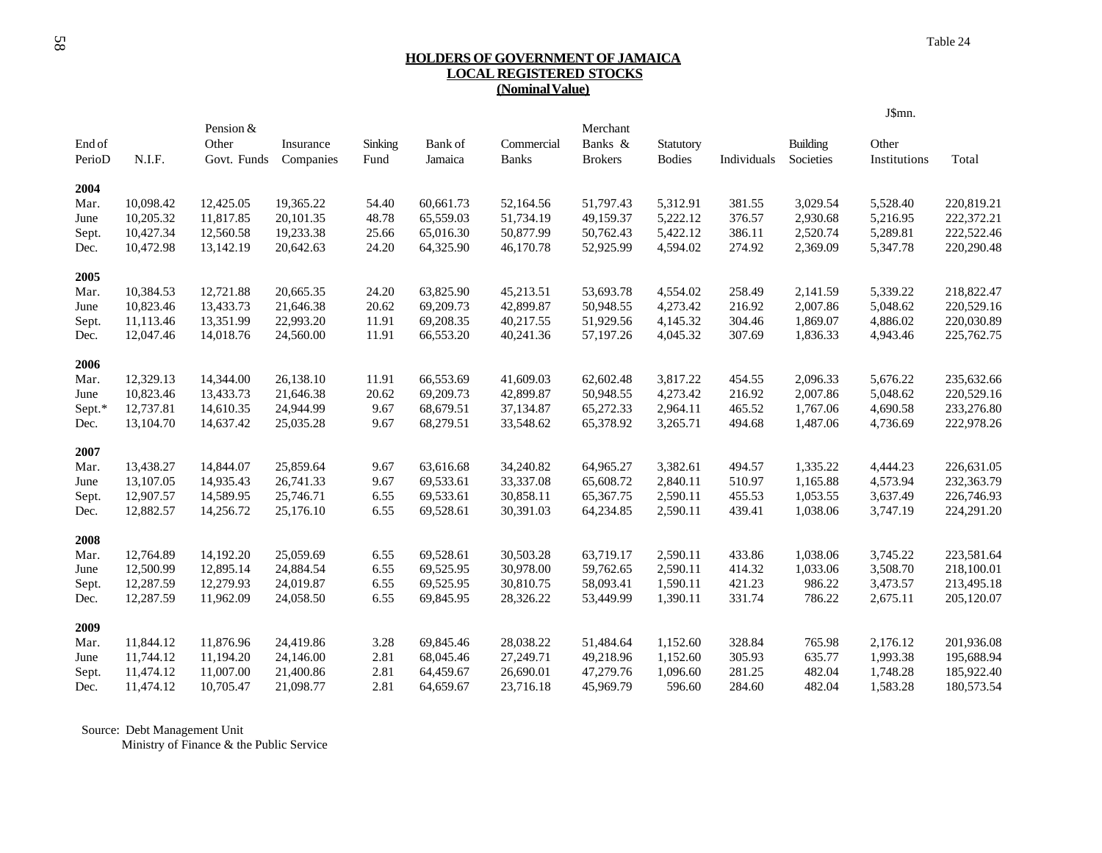### **HOLDERS OF GOVERNMENT OF JAMAICA LOCAL REGISTERED STOCKS (Nominal Value)**

|        |           |                    |           |         |           |              |                     |               |             |                 | J\$mn.       |            |
|--------|-----------|--------------------|-----------|---------|-----------|--------------|---------------------|---------------|-------------|-----------------|--------------|------------|
| End of |           | Pension &<br>Other | Insurance | Sinking | Bank of   | Commercial   | Merchant<br>Banks & | Statutory     |             | <b>Building</b> | Other        |            |
| PerioD | N.I.F.    | Govt. Funds        | Companies | Fund    | Jamaica   | <b>Banks</b> | <b>Brokers</b>      | <b>Bodies</b> | Individuals | Societies       | Institutions | Total      |
| 2004   |           |                    |           |         |           |              |                     |               |             |                 |              |            |
| Mar.   | 10,098.42 | 12,425.05          | 19,365.22 | 54.40   | 60.661.73 | 52,164.56    | 51,797.43           | 5,312.91      | 381.55      | 3,029.54        | 5,528.40     | 220,819.21 |
| June   | 10,205.32 | 11,817.85          | 20,101.35 | 48.78   | 65,559.03 | 51,734.19    | 49,159.37           | 5,222.12      | 376.57      | 2,930.68        | 5,216.95     | 222,372.21 |
| Sept.  | 10,427.34 | 12,560.58          | 19,233.38 | 25.66   | 65,016.30 | 50,877.99    | 50,762.43           | 5,422.12      | 386.11      | 2,520.74        | 5,289.81     | 222,522.46 |
| Dec.   | 10,472.98 | 13,142.19          | 20,642.63 | 24.20   | 64,325.90 | 46,170.78    | 52,925.99           | 4,594.02      | 274.92      | 2,369.09        | 5,347.78     | 220,290.48 |
| 2005   |           |                    |           |         |           |              |                     |               |             |                 |              |            |
| Mar.   | 10,384.53 | 12,721.88          | 20,665.35 | 24.20   | 63,825.90 | 45,213.51    | 53,693.78           | 4,554.02      | 258.49      | 2,141.59        | 5,339.22     | 218,822.47 |
| June   | 10,823.46 | 13,433.73          | 21,646.38 | 20.62   | 69,209.73 | 42,899.87    | 50,948.55           | 4,273.42      | 216.92      | 2,007.86        | 5,048.62     | 220,529.16 |
| Sept.  | 11,113.46 | 13,351.99          | 22,993.20 | 11.91   | 69,208.35 | 40,217.55    | 51,929.56           | 4,145.32      | 304.46      | 1,869.07        | 4,886.02     | 220,030.89 |
| Dec.   | 12,047.46 | 14,018.76          | 24,560.00 | 11.91   | 66,553.20 | 40,241.36    | 57,197.26           | 4,045.32      | 307.69      | 1,836.33        | 4,943.46     | 225,762.75 |
| 2006   |           |                    |           |         |           |              |                     |               |             |                 |              |            |
| Mar.   | 12,329.13 | 14,344.00          | 26,138.10 | 11.91   | 66,553.69 | 41,609.03    | 62,602.48           | 3,817.22      | 454.55      | 2,096.33        | 5,676.22     | 235,632.66 |
| June   | 10,823.46 | 13,433.73          | 21,646.38 | 20.62   | 69,209.73 | 42,899.87    | 50,948.55           | 4,273.42      | 216.92      | 2,007.86        | 5,048.62     | 220,529.16 |
| Sept.* | 12,737.81 | 14,610.35          | 24,944.99 | 9.67    | 68,679.51 | 37,134.87    | 65,272.33           | 2,964.11      | 465.52      | 1,767.06        | 4,690.58     | 233,276.80 |
| Dec.   | 13,104.70 | 14,637.42          | 25,035.28 | 9.67    | 68,279.51 | 33,548.62    | 65,378.92           | 3,265.71      | 494.68      | 1,487.06        | 4,736.69     | 222,978.26 |
| 2007   |           |                    |           |         |           |              |                     |               |             |                 |              |            |
| Mar.   | 13,438.27 | 14,844.07          | 25,859.64 | 9.67    | 63,616.68 | 34,240.82    | 64,965.27           | 3,382.61      | 494.57      | 1,335.22        | 4,444.23     | 226,631.05 |
| June   | 13,107.05 | 14,935.43          | 26,741.33 | 9.67    | 69,533.61 | 33,337.08    | 65,608.72           | 2,840.11      | 510.97      | 1,165.88        | 4,573.94     | 232,363.79 |
| Sept.  | 12,907.57 | 14,589.95          | 25,746.71 | 6.55    | 69,533.61 | 30,858.11    | 65,367.75           | 2,590.11      | 455.53      | 1,053.55        | 3,637.49     | 226,746.93 |
| Dec.   | 12,882.57 | 14,256.72          | 25,176.10 | 6.55    | 69,528.61 | 30,391.03    | 64,234.85           | 2,590.11      | 439.41      | 1,038.06        | 3,747.19     | 224,291.20 |
| 2008   |           |                    |           |         |           |              |                     |               |             |                 |              |            |
| Mar.   | 12,764.89 | 14,192.20          | 25,059.69 | 6.55    | 69,528.61 | 30,503.28    | 63,719.17           | 2,590.11      | 433.86      | 1,038.06        | 3,745.22     | 223,581.64 |
| June   | 12,500.99 | 12,895.14          | 24,884.54 | 6.55    | 69,525.95 | 30,978.00    | 59,762.65           | 2,590.11      | 414.32      | 1,033.06        | 3,508.70     | 218,100.01 |
| Sept.  | 12,287.59 | 12,279.93          | 24,019.87 | 6.55    | 69,525.95 | 30,810.75    | 58,093.41           | 1,590.11      | 421.23      | 986.22          | 3,473.57     | 213,495.18 |
| Dec.   | 12,287.59 | 11,962.09          | 24,058.50 | 6.55    | 69,845.95 | 28,326.22    | 53,449.99           | 1,390.11      | 331.74      | 786.22          | 2,675.11     | 205,120.07 |
| 2009   |           |                    |           |         |           |              |                     |               |             |                 |              |            |
| Mar.   | 11,844.12 | 11,876.96          | 24,419.86 | 3.28    | 69,845.46 | 28,038.22    | 51,484.64           | 1,152.60      | 328.84      | 765.98          | 2,176.12     | 201,936.08 |
| June   | 11,744.12 | 11,194.20          | 24,146.00 | 2.81    | 68,045.46 | 27,249.71    | 49,218.96           | 1,152.60      | 305.93      | 635.77          | 1,993.38     | 195,688.94 |
| Sept.  | 11,474.12 | 11,007.00          | 21,400.86 | 2.81    | 64,459.67 | 26,690.01    | 47,279.76           | 1,096.60      | 281.25      | 482.04          | 1,748.28     | 185,922.40 |
| Dec.   | 11,474.12 | 10,705.47          | 21,098.77 | 2.81    | 64,659.67 | 23,716.18    | 45,969.79           | 596.60        | 284.60      | 482.04          | 1,583.28     | 180,573.54 |

Source: Debt Management Unit

Ministry of Finance & the Public Service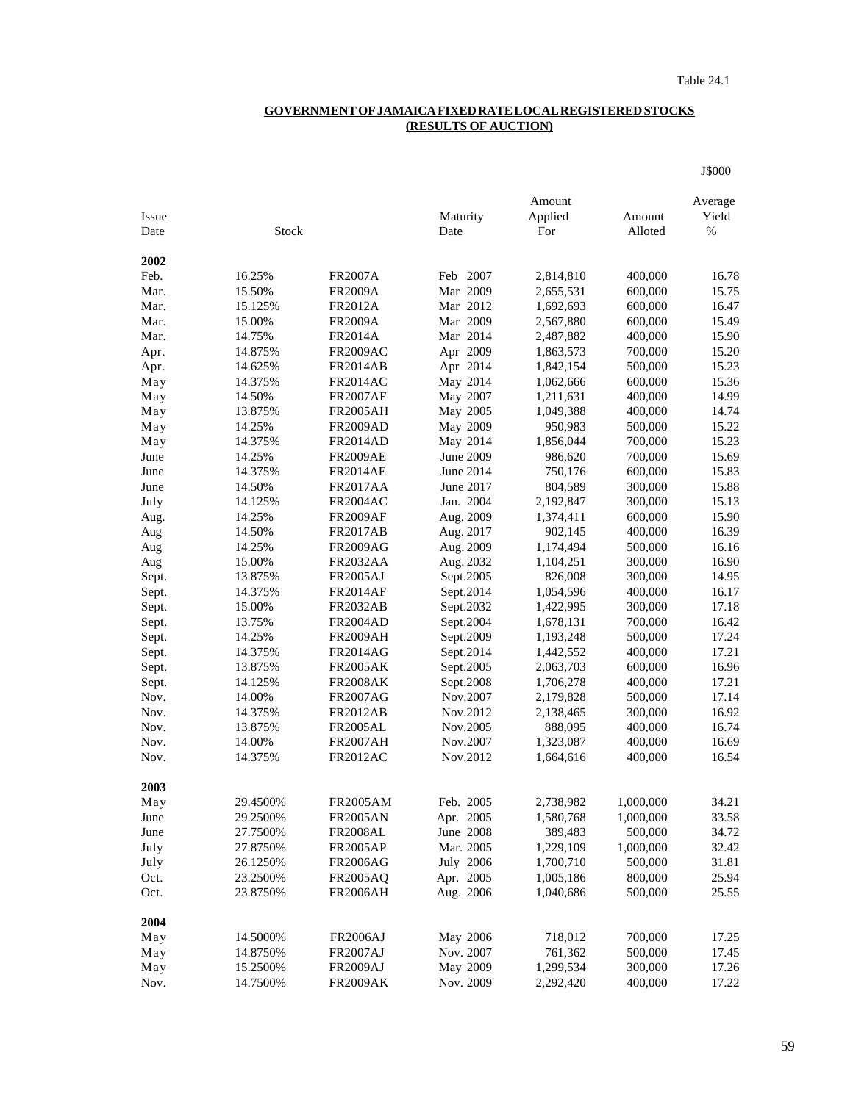## **GOVERNMENT OF JAMAICA FIXED RATE LOCAL REGISTERED STOCKS (RESULTS OF AUCTION)**

J\$000

| Issue |              |                 | Maturity  | Amount<br>Applied | Amount    | Average<br>Yield |
|-------|--------------|-----------------|-----------|-------------------|-----------|------------------|
| Date  | <b>Stock</b> |                 | Date      | For               | Alloted   | $\%$             |
|       |              |                 |           |                   |           |                  |
| 2002  |              |                 |           |                   |           |                  |
| Feb.  | 16.25%       | <b>FR2007A</b>  | Feb 2007  | 2,814,810         | 400,000   | 16.78            |
| Mar.  | 15.50%       | <b>FR2009A</b>  | Mar 2009  | 2,655,531         | 600,000   | 15.75            |
| Mar.  | 15.125%      | FR2012A         | Mar 2012  | 1,692,693         | 600,000   | 16.47            |
| Mar.  | 15.00%       | <b>FR2009A</b>  | Mar 2009  | 2,567,880         | 600,000   | 15.49            |
| Mar.  | 14.75%       | <b>FR2014A</b>  | Mar 2014  | 2,487,882         | 400,000   | 15.90            |
| Apr.  | 14.875%      | <b>FR2009AC</b> | Apr 2009  | 1,863,573         | 700,000   | 15.20            |
| Apr.  | 14.625%      | <b>FR2014AB</b> | Apr 2014  | 1,842,154         | 500,000   | 15.23            |
| May   | 14.375%      | <b>FR2014AC</b> | May 2014  | 1,062,666         | 600,000   | 15.36            |
| May   | 14.50%       | <b>FR2007AF</b> | May 2007  | 1,211,631         | 400,000   | 14.99            |
| May   | 13.875%      | <b>FR2005AH</b> | May 2005  | 1,049,388         | 400,000   | 14.74            |
| May   | 14.25%       | <b>FR2009AD</b> | May 2009  | 950,983           | 500,000   | 15.22            |
| May   | 14.375%      | <b>FR2014AD</b> | May 2014  | 1,856,044         | 700,000   | 15.23            |
| June  | 14.25%       | <b>FR2009AE</b> | June 2009 | 986,620           | 700,000   | 15.69            |
| June  | 14.375%      | <b>FR2014AE</b> | June 2014 | 750,176           | 600,000   | 15.83            |
| June  | 14.50%       | <b>FR2017AA</b> | June 2017 | 804,589           | 300,000   | 15.88            |
| July  | 14.125%      | <b>FR2004AC</b> | Jan. 2004 | 2,192,847         | 300,000   | 15.13            |
| Aug.  | 14.25%       | <b>FR2009AF</b> | Aug. 2009 | 1,374,411         | 600,000   | 15.90            |
| Aug   | 14.50%       | <b>FR2017AB</b> | Aug. 2017 | 902,145           | 400,000   | 16.39            |
| Aug   | 14.25%       | <b>FR2009AG</b> | Aug. 2009 | 1,174,494         | 500,000   | 16.16            |
| Aug   | 15.00%       | <b>FR2032AA</b> | Aug. 2032 | 1,104,251         | 300,000   | 16.90            |
| Sept. | 13.875%      | <b>FR2005AJ</b> | Sept.2005 | 826,008           | 300,000   | 14.95            |
| Sept. | 14.375%      | <b>FR2014AF</b> | Sept.2014 | 1,054,596         | 400,000   | 16.17            |
| Sept. | 15.00%       | <b>FR2032AB</b> | Sept.2032 | 1,422,995         | 300,000   | 17.18            |
| Sept. | 13.75%       | <b>FR2004AD</b> | Sept.2004 | 1,678,131         | 700,000   | 16.42            |
| Sept. | 14.25%       | <b>FR2009AH</b> | Sept.2009 | 1,193,248         | 500,000   | 17.24            |
| Sept. | 14.375%      | <b>FR2014AG</b> | Sept.2014 | 1,442,552         | 400,000   | 17.21            |
| Sept. | 13.875%      | <b>FR2005AK</b> | Sept.2005 | 2,063,703         | 600,000   | 16.96            |
| Sept. | 14.125%      | <b>FR2008AK</b> | Sept.2008 | 1,706,278         | 400,000   | 17.21            |
| Nov.  | 14.00%       | <b>FR2007AG</b> | Nov.2007  | 2,179,828         | 500,000   | 17.14            |
| Nov.  | 14.375%      | <b>FR2012AB</b> | Nov.2012  | 2,138,465         | 300,000   | 16.92            |
| Nov.  | 13.875%      | <b>FR2005AL</b> | Nov.2005  | 888,095           | 400,000   | 16.74            |
| Nov.  | 14.00%       | <b>FR2007AH</b> | Nov.2007  | 1,323,087         | 400,000   | 16.69            |
| Nov.  | 14.375%      | <b>FR2012AC</b> | Nov.2012  | 1,664,616         | 400,000   | 16.54            |
|       |              |                 |           |                   |           |                  |
| 2003  |              |                 |           |                   |           |                  |
| May   | 29.4500%     | <b>FR2005AM</b> | Feb. 2005 | 2,738,982         | 1,000,000 | 34.21            |
| June  | 29.2500%     | <b>FR2005AN</b> | Apr. 2005 | 1,580,768         | 1,000,000 | 33.58            |
| June  | 27.7500%     | <b>FR2008AL</b> | June 2008 | 389,483           | 500,000   | 34.72            |
| July  | 27.8750%     | <b>FR2005AP</b> | Mar. 2005 | 1,229,109         | 1,000,000 | 32.42            |
| July  | 26.1250%     | <b>FR2006AG</b> | July 2006 | 1,700,710         | 500,000   | 31.81            |
| Oct.  | 23.2500%     | <b>FR2005AQ</b> | Apr. 2005 | 1,005,186         | 800,000   | 25.94            |
| Oct.  | 23.8750%     | <b>FR2006AH</b> | Aug. 2006 | 1,040,686         | 500,000   | 25.55            |
|       |              |                 |           |                   |           |                  |
| 2004  |              |                 |           |                   |           |                  |
| May   | 14.5000%     | <b>FR2006AJ</b> | May 2006  | 718,012           | 700,000   | 17.25            |
| May   | 14.8750%     | <b>FR2007AJ</b> | Nov. 2007 | 761,362           | 500,000   | 17.45            |
| May   | 15.2500%     | <b>FR2009AJ</b> | May 2009  | 1,299,534         | 300,000   | 17.26            |
| Nov.  | 14.7500%     | <b>FR2009AK</b> | Nov. 2009 | 2,292,420         | 400,000   | 17.22            |
|       |              |                 |           |                   |           |                  |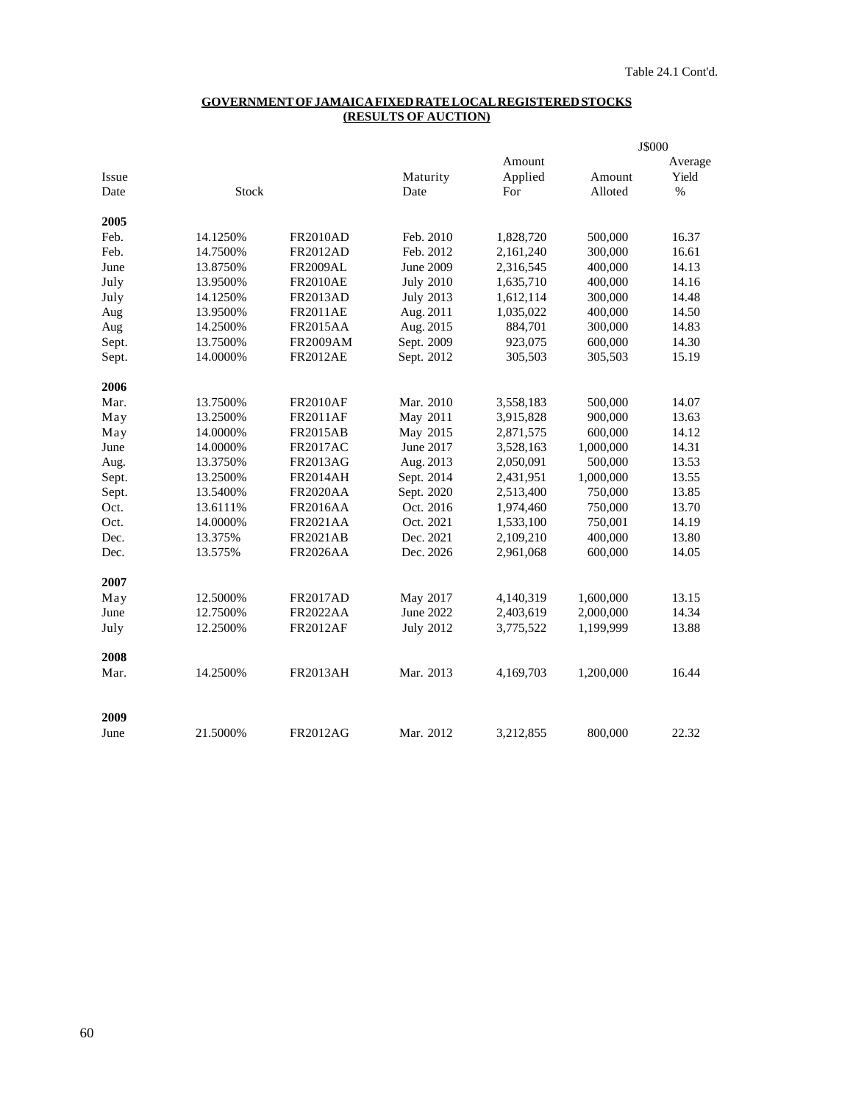## **GOVERNMENT OF JAMAICA FIXED RATE LOCAL REGISTERED STOCKS (RESULTS OF AUCTION)**

|       |          |                 |                  |           |           | J\$000  |  |
|-------|----------|-----------------|------------------|-----------|-----------|---------|--|
|       |          |                 |                  | Amount    |           | Average |  |
| Issue |          |                 | Maturity         | Applied   | Amount    | Yield   |  |
| Date  | Stock    |                 | Date             | For       | Alloted   | $\%$    |  |
| 2005  |          |                 |                  |           |           |         |  |
| Feb.  | 14.1250% | <b>FR2010AD</b> | Feb. 2010        | 1,828,720 | 500,000   | 16.37   |  |
| Feb.  | 14.7500% | <b>FR2012AD</b> | Feb. 2012        | 2,161,240 | 300,000   | 16.61   |  |
| June  | 13.8750% | <b>FR2009AL</b> | June 2009        | 2,316,545 | 400,000   | 14.13   |  |
| July  | 13.9500% | <b>FR2010AE</b> | <b>July 2010</b> | 1,635,710 | 400,000   | 14.16   |  |
| July  | 14.1250% | FR2013AD        | <b>July 2013</b> | 1,612,114 | 300,000   | 14.48   |  |
| Aug   | 13.9500% | <b>FR2011AE</b> | Aug. 2011        | 1,035,022 | 400,000   | 14.50   |  |
| Aug   | 14.2500% | <b>FR2015AA</b> | Aug. 2015        | 884,701   | 300,000   | 14.83   |  |
| Sept. | 13.7500% | FR2009AM        | Sept. 2009       | 923,075   | 600,000   | 14.30   |  |
| Sept. | 14.0000% | <b>FR2012AE</b> | Sept. 2012       | 305,503   | 305,503   | 15.19   |  |
| 2006  |          |                 |                  |           |           |         |  |
| Mar.  | 13.7500% | <b>FR2010AF</b> | Mar. 2010        | 3,558,183 | 500,000   | 14.07   |  |
| May   | 13.2500% | <b>FR2011AF</b> | May 2011         | 3,915,828 | 900,000   | 13.63   |  |
| May   | 14.0000% | <b>FR2015AB</b> | May 2015         | 2,871,575 | 600,000   | 14.12   |  |
| June  | 14.0000% | <b>FR2017AC</b> | June 2017        | 3,528,163 | 1,000,000 | 14.31   |  |
| Aug.  | 13.3750% | FR2013AG        | Aug. 2013        | 2,050,091 | 500,000   | 13.53   |  |
| Sept. | 13.2500% | <b>FR2014AH</b> | Sept. 2014       | 2,431,951 | 1,000,000 | 13.55   |  |
| Sept. | 13.5400% | <b>FR2020AA</b> | Sept. 2020       | 2,513,400 | 750,000   | 13.85   |  |
| Oct.  | 13.6111% | <b>FR2016AA</b> | Oct. 2016        | 1,974,460 | 750,000   | 13.70   |  |
| Oct.  | 14.0000% | <b>FR2021AA</b> | Oct. 2021        | 1,533,100 | 750,001   | 14.19   |  |
| Dec.  | 13.375%  | <b>FR2021AB</b> | Dec. 2021        | 2,109,210 | 400,000   | 13.80   |  |
| Dec.  | 13.575%  | <b>FR2026AA</b> | Dec. 2026        | 2,961,068 | 600,000   | 14.05   |  |
| 2007  |          |                 |                  |           |           |         |  |
| May   | 12.5000% | <b>FR2017AD</b> | May 2017         | 4,140,319 | 1,600,000 | 13.15   |  |
| June  | 12.7500% | <b>FR2022AA</b> | June 2022        | 2,403,619 | 2,000,000 | 14.34   |  |
| July  | 12.2500% | <b>FR2012AF</b> | <b>July 2012</b> | 3,775,522 | 1,199,999 | 13.88   |  |
| 2008  |          |                 |                  |           |           |         |  |
| Mar.  | 14.2500% | <b>FR2013AH</b> | Mar. 2013        | 4,169,703 | 1,200,000 | 16.44   |  |
| 2009  |          |                 |                  |           |           |         |  |
| June  | 21.5000% | <b>FR2012AG</b> | Mar. 2012        | 3,212,855 | 800,000   | 22.32   |  |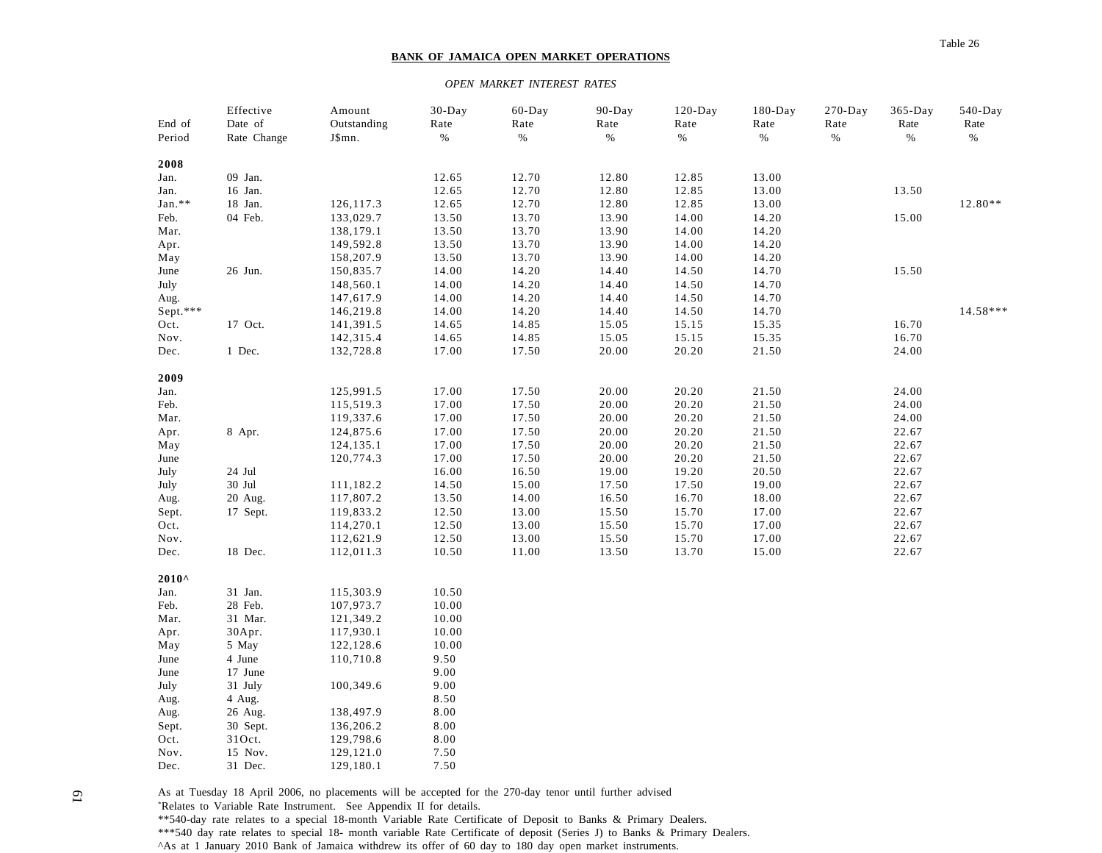#### **BANK OF JAMAICA OPEN MARKET OPERATIONS**

#### *OPEN MARKET INTEREST RATES*

|                | Effective   | Amount      | $30$ -Day    | 60-Day | $90 - Day$ | $120$ -Day | $180$ -Day | $270 - Day$ | $365-Day$ | $540$ -Day |
|----------------|-------------|-------------|--------------|--------|------------|------------|------------|-------------|-----------|------------|
| End of         | Date of     | Outstanding | Rate         | Rate   | Rate       | Rate       | Rate       | Rate        | Rate      | Rate       |
| Period         | Rate Change | J\$mn.      | $\%$         | $\%$   | $\%$       | $\%$       | $\%$       | $\%$        | $\%$      | $\%$       |
|                |             |             |              |        |            |            |            |             |           |            |
| 2008           |             |             |              |        |            |            |            |             |           |            |
| Jan.           | 09 Jan.     |             | 12.65        | 12.70  | 12.80      | 12.85      | 13.00      |             |           |            |
| Jan.           | 16 Jan.     |             | 12.65        | 12.70  | 12.80      | 12.85      | 13.00      |             | 13.50     |            |
| Jan.**         | 18 Jan.     | 126,117.3   | 12.65        | 12.70  | 12.80      | 12.85      | 13.00      |             |           | $12.80**$  |
| Feb.           | 04 Feb.     | 133,029.7   | 13.50        | 13.70  | 13.90      | 14.00      | 14.20      |             | 15.00     |            |
| Mar.           |             | 138,179.1   | 13.50        | 13.70  | 13.90      | 14.00      | 14.20      |             |           |            |
| Apr.           |             | 149,592.8   | 13.50        | 13.70  | 13.90      | 14.00      | 14.20      |             |           |            |
| May            |             | 158,207.9   | 13.50        | 13.70  | 13.90      | 14.00      | 14.20      |             |           |            |
| June           | 26 Jun.     | 150,835.7   | 14.00        | 14.20  | 14.40      | 14.50      | 14.70      |             | 15.50     |            |
| July           |             | 148,560.1   | 14.00        | 14.20  | 14.40      | 14.50      | 14.70      |             |           |            |
| Aug.           |             | 147,617.9   | 14.00        | 14.20  | 14.40      | 14.50      | 14.70      |             |           |            |
| Sept.***       |             | 146,219.8   | 14.00        | 14.20  | 14.40      | 14.50      | 14.70      |             |           | $14.58***$ |
| Oct.           | 17 Oct.     | 141,391.5   | 14.65        | 14.85  | 15.05      | 15.15      | 15.35      |             | 16.70     |            |
| Nov.           |             | 142,315.4   | 14.65        | 14.85  | 15.05      | 15.15      | 15.35      |             | 16.70     |            |
| Dec.           | 1 Dec.      | 132,728.8   | 17.00        | 17.50  | 20.00      | 20.20      | 21.50      |             | 24.00     |            |
|                |             |             |              |        |            |            |            |             |           |            |
| 2009           |             |             |              |        |            |            |            |             |           |            |
| Jan.           |             | 125,991.5   | 17.00        | 17.50  | 20.00      | 20.20      | 21.50      |             | 24.00     |            |
| Feb.           |             | 115,519.3   | 17.00        | 17.50  | 20.00      | 20.20      | 21.50      |             | 24.00     |            |
| Mar.           |             | 119,337.6   | 17.00        | 17.50  | 20.00      | 20.20      | 21.50      |             | 24.00     |            |
| Apr.           | 8 Apr.      | 124,875.6   | 17.00        | 17.50  | 20.00      | 20.20      | 21.50      |             | 22.67     |            |
| May            |             | 124, 135. 1 | 17.00        | 17.50  | 20.00      | 20.20      | 21.50      |             | 22.67     |            |
| June           |             | 120,774.3   | 17.00        | 17.50  | 20.00      | 20.20      | 21.50      |             | 22.67     |            |
| July           | 24 Jul      |             | 16.00        | 16.50  | 19.00      | 19.20      | 20.50      |             | 22.67     |            |
| July           | 30 Jul      | 111,182.2   | 14.50        | 15.00  | 17.50      | 17.50      | 19.00      |             | 22.67     |            |
| Aug.           | 20 Aug.     | 117,807.2   | 13.50        | 14.00  | 16.50      | 16.70      | 18.00      |             | 22.67     |            |
| Sept.          | 17 Sept.    | 119,833.2   | 12.50        | 13.00  | 15.50      | 15.70      | 17.00      |             | 22.67     |            |
| Oct.           |             | 114,270.1   | 12.50        | 13.00  | 15.50      | 15.70      | 17.00      |             | 22.67     |            |
| Nov.           |             | 112,621.9   | 12.50        | 13.00  | 15.50      | 15.70      | 17.00      |             | 22.67     |            |
| Dec.           | 18 Dec.     | 112,011.3   | 10.50        | 11.00  | 13.50      | 13.70      | 15.00      |             | 22.67     |            |
| $2010^{\circ}$ |             |             |              |        |            |            |            |             |           |            |
| Jan.           | 31 Jan.     | 115,303.9   | 10.50        |        |            |            |            |             |           |            |
| Feb.           | 28 Feb.     | 107,973.7   | 10.00        |        |            |            |            |             |           |            |
| Mar.           | 31 Mar.     | 121,349.2   | 10.00        |        |            |            |            |             |           |            |
| Apr.           | 30Apr.      | 117,930.1   | 10.00        |        |            |            |            |             |           |            |
| May            | 5 May       | 122,128.6   | 10.00        |        |            |            |            |             |           |            |
| June           | 4 June      | 110,710.8   | 9.50         |        |            |            |            |             |           |            |
| June           | 17 June     |             | 9.00         |        |            |            |            |             |           |            |
| July           | 31 July     | 100,349.6   | 9.00         |        |            |            |            |             |           |            |
|                |             |             |              |        |            |            |            |             |           |            |
| Aug.           | 4 Aug.      |             | 8.50<br>8.00 |        |            |            |            |             |           |            |
| Aug.           | 26 Aug.     | 138,497.9   |              |        |            |            |            |             |           |            |
| Sept.          | 30 Sept.    | 136,206.2   | 8.00         |        |            |            |            |             |           |            |
| Oct.           | 310ct.      | 129,798.6   | 8.00         |        |            |            |            |             |           |            |
| Nov.           | 15 Nov.     | 129,121.0   | 7.50         |        |            |            |            |             |           |            |
| Dec.           | 31 Dec.     | 129,180.1   | 7.50         |        |            |            |            |             |           |            |

As at Tuesday 18 April 2006, no placements will be accepted for the 270-day tenor until further advised \*Relates to Variable Rate Instrument. See Appendix II for details. \*\*540-day rate relates to a special 18-month Variable Rate Certificate of Deposit to Banks & Primary Dealers. \*\*\*540 day rate relates to special 18- month variable Rate Certificate of deposit (Series J) to Banks & Primary Dealers. ^As at 1 January 2010 Bank of Jamaica withdrew its offer of 60 day to 180 day open market instruments.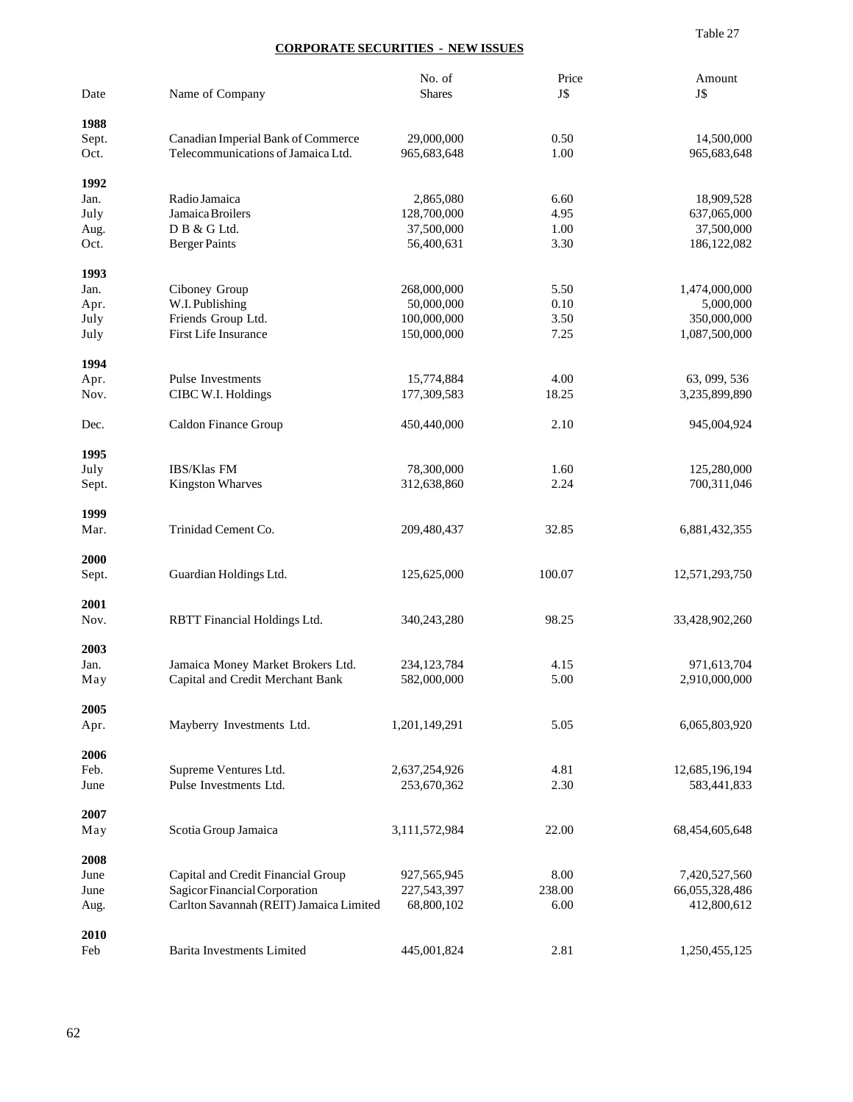#### Table 27

## **CORPORATE SECURITIES - NEW ISSUES**

| Date  | Name of Company                         | No. of<br><b>Shares</b> | Price<br>J\$ | Amount<br>J\$  |
|-------|-----------------------------------------|-------------------------|--------------|----------------|
| 1988  |                                         |                         |              |                |
| Sept. | Canadian Imperial Bank of Commerce      | 29,000,000              | 0.50         | 14,500,000     |
| Oct.  | Telecommunications of Jamaica Ltd.      | 965,683,648             | 1.00         | 965,683,648    |
| 1992  |                                         |                         |              |                |
| Jan.  | Radio Jamaica                           | 2,865,080               | 6.60         | 18,909,528     |
| July  | Jamaica Broilers                        | 128,700,000             | 4.95         | 637,065,000    |
| Aug.  | D B & G Ltd.                            | 37,500,000              | 1.00         | 37,500,000     |
| Oct.  | <b>Berger Paints</b>                    | 56,400,631              | 3.30         | 186, 122, 082  |
| 1993  |                                         |                         |              |                |
| Jan.  | Ciboney Group                           | 268,000,000             | 5.50         | 1,474,000,000  |
| Apr.  | W.I. Publishing                         | 50,000,000              | 0.10         | 5,000,000      |
| July  | Friends Group Ltd.                      | 100,000,000             | 3.50         | 350,000,000    |
| July  | First Life Insurance                    | 150,000,000             | 7.25         | 1,087,500,000  |
| 1994  |                                         |                         |              |                |
| Apr.  | Pulse Investments                       | 15,774,884              | 4.00         | 63, 099, 536   |
| Nov.  | CIBC W.I. Holdings                      | 177,309,583             | 18.25        | 3,235,899,890  |
|       |                                         |                         |              |                |
| Dec.  | Caldon Finance Group                    | 450,440,000             | 2.10         | 945,004,924    |
| 1995  |                                         |                         |              |                |
| July  | IBS/Klas FM                             | 78,300,000              | 1.60         | 125,280,000    |
| Sept. | <b>Kingston Wharves</b>                 | 312,638,860             | 2.24         | 700,311,046    |
| 1999  |                                         |                         |              |                |
| Mar.  | Trinidad Cement Co.                     | 209,480,437             | 32.85        | 6,881,432,355  |
| 2000  |                                         |                         |              |                |
| Sept. | Guardian Holdings Ltd.                  | 125,625,000             | 100.07       | 12,571,293,750 |
| 2001  |                                         |                         |              |                |
| Nov.  | RBTT Financial Holdings Ltd.            | 340,243,280             | 98.25        | 33,428,902,260 |
| 2003  |                                         |                         |              |                |
| Jan.  | Jamaica Money Market Brokers Ltd.       | 234, 123, 784           | 4.15         | 971,613,704    |
| May   | Capital and Credit Merchant Bank        | 582,000,000             | 5.00         | 2,910,000,000  |
| 2005  |                                         |                         |              |                |
| Apr.  | Mayberry Investments Ltd.               | 1,201,149,291           | 5.05         | 6,065,803,920  |
| 2006  |                                         |                         |              |                |
| Feb.  | Supreme Ventures Ltd.                   | 2,637,254,926           | 4.81         | 12,685,196,194 |
| June  | Pulse Investments Ltd.                  | 253,670,362             | 2.30         | 583,441,833    |
| 2007  |                                         |                         |              |                |
| May   | Scotia Group Jamaica                    | 3,111,572,984           | 22.00        | 68,454,605,648 |
| 2008  |                                         |                         |              |                |
| June  | Capital and Credit Financial Group      | 927,565,945             | 8.00         | 7,420,527,560  |
| June  | Sagicor Financial Corporation           | 227,543,397             | 238.00       | 66,055,328,486 |
| Aug.  | Carlton Savannah (REIT) Jamaica Limited | 68,800,102              | 6.00         | 412,800,612    |
| 2010  |                                         |                         |              |                |
| Feb   | <b>Barita Investments Limited</b>       | 445,001,824             | 2.81         | 1,250,455,125  |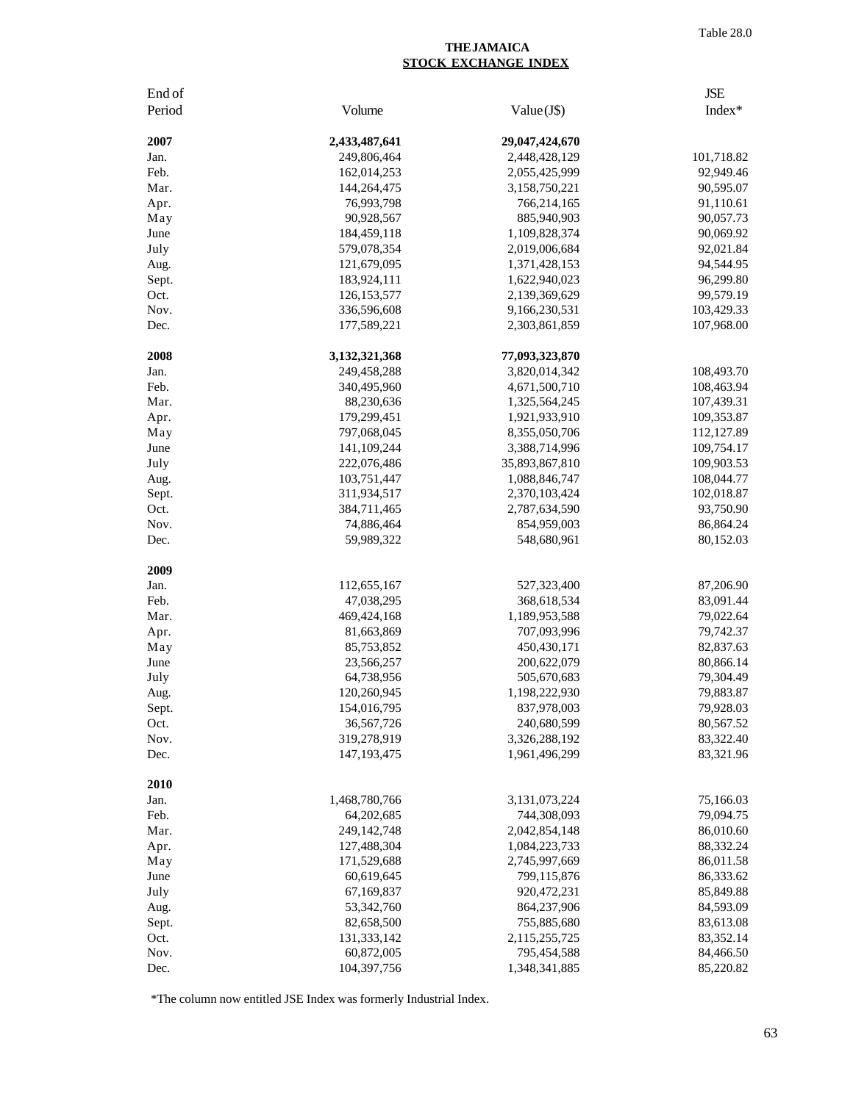### **THE JAMAICA STOCK EXCHANGE INDEX**

| End of       |                              |                                | <b>JSE</b>             |
|--------------|------------------------------|--------------------------------|------------------------|
| Period       | Volume                       | Value(J\$)                     | Index*                 |
| 2007         | 2,433,487,641                | 29,047,424,670                 |                        |
| Jan.         | 249,806,464                  | 2,448,428,129                  | 101,718.82             |
| Feb.         | 162,014,253                  | 2,055,425,999                  | 92,949.46              |
| Mar.         | 144,264,475                  | 3,158,750,221                  | 90,595.07              |
| Apr.         | 76,993,798                   | 766,214,165                    | 91,110.61              |
| May          | 90,928,567                   | 885,940,903                    | 90,057.73              |
| June         | 184,459,118                  | 1,109,828,374                  | 90,069.92              |
| July         | 579,078,354                  | 2,019,006,684                  | 92,021.84              |
| Aug.         | 121,679,095                  | 1,371,428,153                  | 94,544.95              |
| Sept.        | 183,924,111                  | 1,622,940,023                  | 96,299.80              |
| Oct.         | 126, 153, 577                | 2,139,369,629                  | 99,579.19              |
| Nov.         | 336,596,608                  | 9,166,230,531                  | 103,429.33             |
| Dec.         | 177,589,221                  | 2,303,861,859                  | 107,968.00             |
| 2008         | 3,132,321,368                | 77,093,323,870                 |                        |
| Jan.         | 249,458,288                  | 3,820,014,342                  | 108,493.70             |
| Feb.         | 340,495,960                  | 4,671,500,710                  | 108,463.94             |
| Mar.         | 88,230,636                   | 1,325,564,245                  | 107,439.31             |
| Apr.         | 179,299,451                  | 1,921,933,910                  | 109,353.87             |
| May          | 797,068,045                  | 8,355,050,706                  | 112,127.89             |
| June         | 141,109,244                  | 3,388,714,996                  | 109,754.17             |
| July         | 222,076,486                  | 35,893,867,810                 | 109,903.53             |
| Aug.         | 103,751,447                  | 1,088,846,747                  | 108,044.77             |
| Sept.        | 311,934,517                  | 2,370,103,424                  | 102,018.87             |
| Oct.         | 384,711,465                  | 2,787,634,590                  | 93,750.90              |
| Nov.         | 74,886,464                   | 854,959,003                    | 86,864.24              |
| Dec.         | 59,989,322                   | 548,680,961                    | 80,152.03              |
| 2009         |                              |                                |                        |
| Jan.         | 112,655,167                  | 527,323,400                    | 87,206.90              |
| Feb.         | 47,038,295                   | 368,618,534                    | 83,091.44              |
| Mar.         | 469, 424, 168                | 1,189,953,588                  | 79,022.64              |
| Apr.         | 81,663,869                   | 707,093,996                    | 79,742.37              |
| May          | 85,753,852                   | 450,430,171                    | 82,837.63              |
| June         | 23,566,257                   | 200,622,079                    | 80,866.14              |
| July         | 64,738,956                   | 505,670,683                    | 79,304.49              |
| Aug.         | 120,260,945                  | 1,198,222,930                  | 79,883.87              |
| Sept.        | 154,016,795                  | 837,978,003                    | 79,928.03              |
| Oct.         | 36,567,726                   | 240,680,599                    | 80,567.52              |
| Nov.<br>Dec. | 319,278,919<br>147, 193, 475 | 3,326,288,192<br>1,961,496,299 | 83,322.40<br>83,321.96 |
|              |                              |                                |                        |
| 2010<br>Jan. | 1,468,780,766                | 3,131,073,224                  | 75,166.03              |
| Feb.         | 64,202,685                   | 744,308,093                    | 79,094.75              |
| Mar.         | 249, 142, 748                | 2,042,854,148                  | 86,010.60              |
| Apr.         | 127,488,304                  | 1,084,223,733                  | 88,332.24              |
| May          | 171,529,688                  | 2,745,997,669                  | 86,011.58              |
| June         | 60,619,645                   | 799,115,876                    | 86,333.62              |
| July         | 67,169,837                   | 920, 472, 231                  | 85,849.88              |
| Aug.         | 53,342,760                   | 864,237,906                    | 84,593.09              |
| Sept.        | 82,658,500                   | 755,885,680                    | 83,613.08              |
| Oct.         | 131,333,142                  | 2,115,255,725                  | 83,352.14              |
| Nov.         | 60,872,005                   | 795,454,588                    | 84,466.50              |
| Dec.         | 104,397,756                  | 1,348,341,885                  | 85,220.82              |
|              |                              |                                |                        |

\*The column now entitled JSE Index was formerly Industrial Index.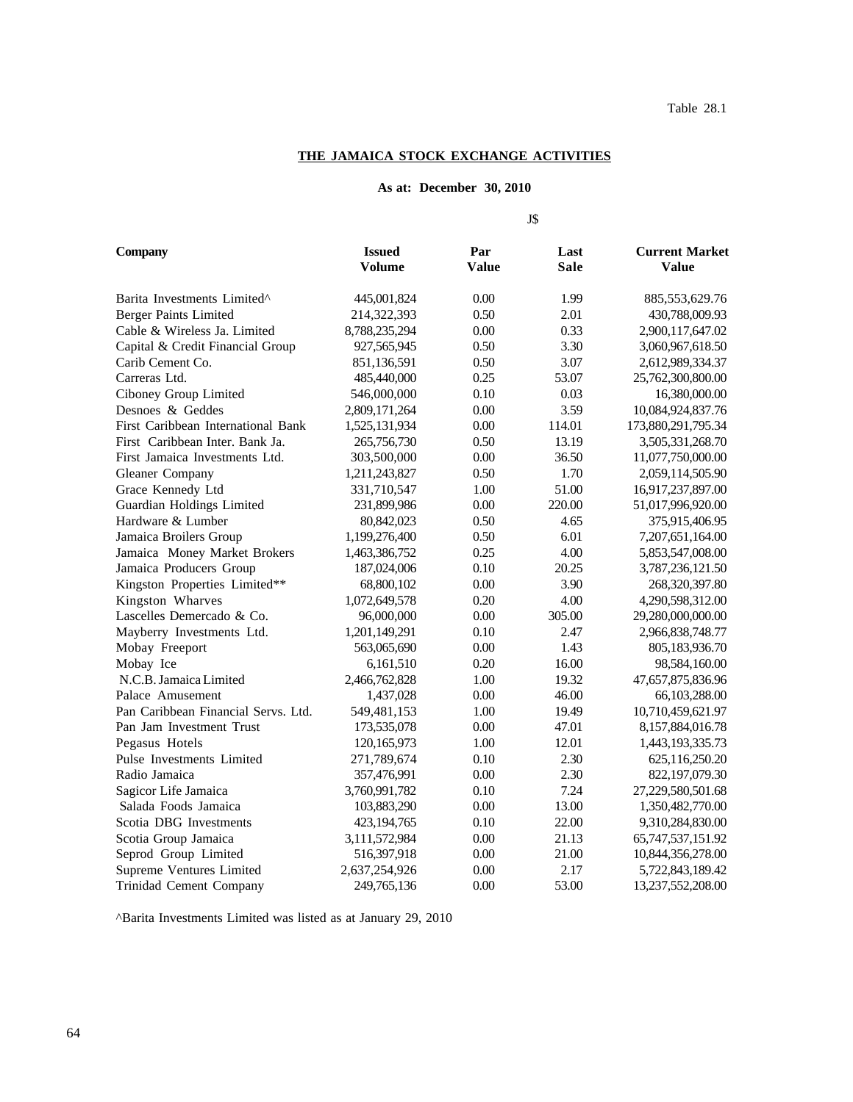#### **THE JAMAICA STOCK EXCHANGE ACTIVITIES**

#### **As at: December 30, 2010**

J\$

**Company 15 Company Issued Par Last Current Market Volume Value Sale Value** Barita Investments Limited^ 445,001,824 0.00 1.99 885,553,629.76 Berger Paints Limited 214,322,393 0.50 2.01 430,788,009.93 Cable & Wireless Ja. Limited 8,788,235,294 0.00 0.33 2,900,117,647.02 Capital & Credit Financial Group 927,565,945 0.50 3.30 3,060,967,618.50 Carib Cement Co. 2612,989,334.37 851,136,591 0.50 3.07 2,612,989,334.37 Carreras Ltd. 25,762,300,800.00 6.25 53.07 25,762,300,800.00 Ciboney Group Limited 546,000,000 0.10 0.03 16,380,000.00 Desnoes & Geddes 2,809,171,264 0.00 3.59 10,084,924,837.76 First Caribbean International Bank 1,525,131,934 0.00 114.01 173,880,291,795.34 First Caribbean Inter. Bank Ja. 265,756,730 0.50 13.19 3,505,331,268.70 First Jamaica Investments Ltd.  $303,500,000$   $0.00$   $36.50$   $11,077,750,000.00$ Gleaner Company 1,211,243,827 0.50 1.70 2,059,114,505.90 Grace Kennedy Ltd 331,710,547 1.00 51.00 16,917,237,897.00 Guardian Holdings Limited 231,899,986 0.00 220.00 51,017,996,920.00 Hardware & Lumber 80,842,023 0.50 4.65 375,915,406.95 Jamaica Broilers Group 1,199,276,400 0.50 6.01 7,207,651,164.00 Jamaica Money Market Brokers 1,463,386,752 0.25 4.00 5,853,547,008.00 Jamaica Producers Group 187,024,006 0.10 20.25 3,787,236,121.50 Kingston Properties Limited\*\* 68,800,102 0.00 3.90 268,320,397.80 Kingston Wharves 1,072,649,578 0.20 4.00 4,290,598,312.00 Lascelles Demercado & Co.  $96,000,000$   $0.00$   $305.00$   $29,280,000,000.00$ Mayberry Investments Ltd. 1,201,149,291 0.10 2.47 2,966,838,748.77 Mobay Freeport 563,065,690 0.00 1.43 805,183,936.70 Mobay Ice 6,161,510 0.20 16.00 98,584,160.00 N.C.B. Jamaica Limited 2,466,762,828 1.00 19.32 47,657,875,836.96 Palace Amusement 1,437,028 0.00 46.00 66,103,288.00 Pan Caribbean Financial Servs. Ltd. 549,481,153 1.00 19.49 10,710,459,621.97 Pan Jam Investment Trust 173,535,078 0.00 47.01 8,157,884,016.78 Pegasus Hotels 120,165,973 1.00 12.01 1,443,193,335.73 Pulse Investments Limited 271,789,674 0.10 2.30 625,116,250.20 Radio Jamaica **357,476,991** 0.00 2.30 822,197,079.30 Sagicor Life Jamaica 3,760,991,782 0.10 7.24 27,229,580,501.68 Salada Foods Jamaica 103,883,290 0.00 13.00 1,350,482,770.00 Scotia DBG Investments  $423,194,765$  0.10  $22.00$  9,310,284,830.00 Scotia Group Jamaica 3,111,572,984 0.00 21.13 65,747,537,151.92 Seprod Group Limited 516,397,918 0.00 21.00 10,844,356,278.00 Supreme Ventures Limited 2,637,254,926 0.00 2.17 5,722,843,189.42 Trinidad Cement Company 249,765,136 0.00 53.00 13,237,552,208.00

^Barita Investments Limited was listed as at January 29, 2010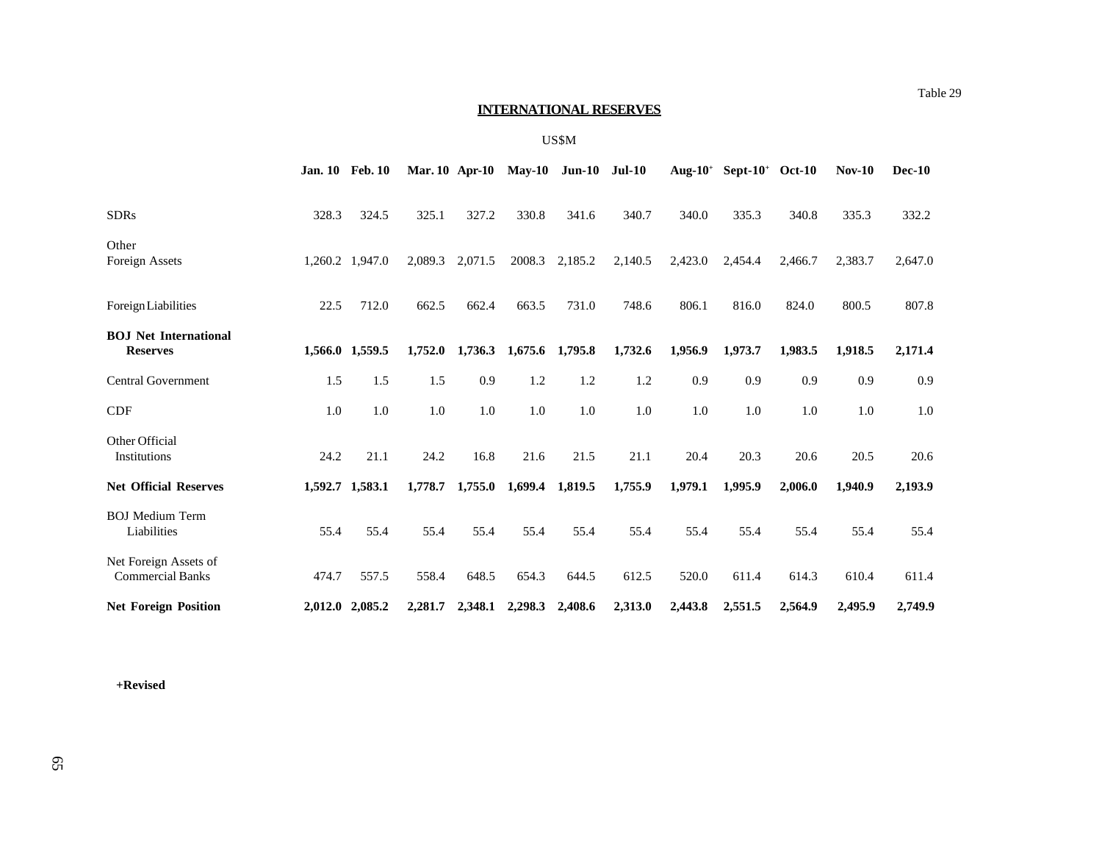## **INTERNATIONAL RESERVES**

#### US\$M

|                                                  |       | <b>Jan. 10 Feb. 10</b> |         |         |                 | Mar. 10 Apr-10 May-10 Jun-10 Jul-10 |         |         | Aug- $10^+$ Sept- $10^+$ Oct- $10$ |         | $Nov-10$ | $Dec-10$ |
|--------------------------------------------------|-------|------------------------|---------|---------|-----------------|-------------------------------------|---------|---------|------------------------------------|---------|----------|----------|
| <b>SDRs</b>                                      | 328.3 | 324.5                  | 325.1   | 327.2   | 330.8           | 341.6                               | 340.7   | 340.0   | 335.3                              | 340.8   | 335.3    | 332.2    |
| Other<br>Foreign Assets                          |       | 1,260.2 1,947.0        | 2,089.3 | 2,071.5 | 2008.3          | 2,185.2                             | 2,140.5 | 2,423.0 | 2,454.4                            | 2,466.7 | 2,383.7  | 2,647.0  |
| <b>Foreign Liabilities</b>                       | 22.5  | 712.0                  | 662.5   | 662.4   | 663.5           | 731.0                               | 748.6   | 806.1   | 816.0                              | 824.0   | 800.5    | 807.8    |
| <b>BOJ</b> Net International<br><b>Reserves</b>  |       | 1,566.0 1,559.5        | 1,752.0 | 1,736.3 | 1,675.6 1,795.8 |                                     | 1,732.6 | 1,956.9 | 1,973.7                            | 1,983.5 | 1,918.5  | 2,171.4  |
| <b>Central Government</b>                        | 1.5   | 1.5                    | 1.5     | 0.9     | 1.2             | 1.2                                 | 1.2     | 0.9     | 0.9                                | 0.9     | 0.9      | 0.9      |
| <b>CDF</b>                                       | 1.0   | 1.0                    | 1.0     | 1.0     | 1.0             | 1.0                                 | 1.0     | 1.0     | 1.0                                | 1.0     | 1.0      | 1.0      |
| Other Official<br>Institutions                   | 24.2  | 21.1                   | 24.2    | 16.8    | 21.6            | 21.5                                | 21.1    | 20.4    | 20.3                               | 20.6    | 20.5     | 20.6     |
| <b>Net Official Reserves</b>                     |       | 1,592.7 1,583.1        | 1,778.7 | 1,755.0 | 1,699.4         | 1,819.5                             | 1,755.9 | 1,979.1 | 1.995.9                            | 2,006.0 | 1.940.9  | 2,193.9  |
| <b>BOJ</b> Medium Term<br>Liabilities            | 55.4  | 55.4                   | 55.4    | 55.4    | 55.4            | 55.4                                | 55.4    | 55.4    | 55.4                               | 55.4    | 55.4     | 55.4     |
| Net Foreign Assets of<br><b>Commercial Banks</b> | 474.7 | 557.5                  | 558.4   | 648.5   | 654.3           | 644.5                               | 612.5   | 520.0   | 611.4                              | 614.3   | 610.4    | 611.4    |
| <b>Net Foreign Position</b>                      |       | 2,012.0 2,085.2        | 2,281.7 | 2,348.1 | 2,298.3         | 2,408.6                             | 2,313.0 | 2,443.8 | 2,551.5                            | 2,564.9 | 2,495.9  | 2,749.9  |

**+Revised**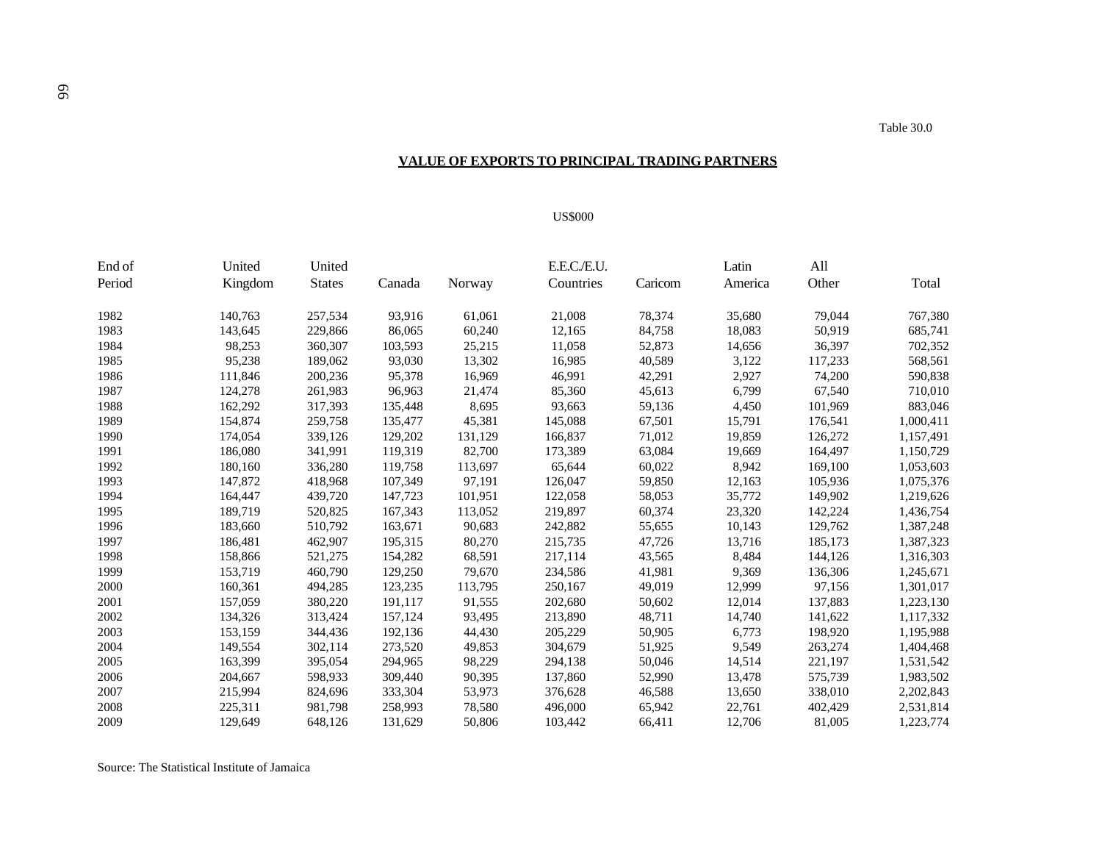## **VALUE OF EXPORTS TO PRINCIPAL TRADING PARTNERS**

#### US\$000

| End of | United  | United        |         |         | E.E.C./E.U. |         | Latin   | All     |           |
|--------|---------|---------------|---------|---------|-------------|---------|---------|---------|-----------|
| Period | Kingdom | <b>States</b> | Canada  | Norway  | Countries   | Caricom | America | Other   | Total     |
| 1982   | 140,763 | 257,534       | 93,916  | 61,061  | 21,008      | 78,374  | 35,680  | 79,044  | 767,380   |
| 1983   | 143,645 | 229,866       | 86,065  | 60,240  | 12,165      | 84,758  | 18,083  | 50,919  | 685,741   |
| 1984   | 98,253  | 360,307       | 103,593 | 25,215  | 11,058      | 52,873  | 14,656  | 36,397  | 702,352   |
| 1985   | 95,238  | 189,062       | 93,030  | 13,302  | 16,985      | 40,589  | 3,122   | 117,233 | 568,561   |
| 1986   | 111,846 | 200,236       | 95,378  | 16,969  | 46,991      | 42,291  | 2,927   | 74,200  | 590,838   |
| 1987   | 124,278 | 261,983       | 96,963  | 21,474  | 85,360      | 45,613  | 6,799   | 67,540  | 710,010   |
| 1988   | 162,292 | 317,393       | 135,448 | 8,695   | 93,663      | 59,136  | 4,450   | 101,969 | 883,046   |
| 1989   | 154,874 | 259,758       | 135,477 | 45,381  | 145,088     | 67,501  | 15,791  | 176,541 | 1,000,411 |
| 1990   | 174,054 | 339,126       | 129,202 | 131,129 | 166,837     | 71,012  | 19,859  | 126,272 | 1,157,491 |
| 1991   | 186,080 | 341,991       | 119,319 | 82,700  | 173,389     | 63,084  | 19,669  | 164,497 | 1,150,729 |
| 1992   | 180,160 | 336,280       | 119,758 | 113,697 | 65,644      | 60,022  | 8,942   | 169,100 | 1,053,603 |
| 1993   | 147,872 | 418,968       | 107,349 | 97,191  | 126,047     | 59,850  | 12,163  | 105,936 | 1,075,376 |
| 1994   | 164,447 | 439,720       | 147,723 | 101,951 | 122,058     | 58,053  | 35,772  | 149,902 | 1,219,626 |
| 1995   | 189,719 | 520,825       | 167,343 | 113,052 | 219,897     | 60,374  | 23,320  | 142,224 | 1,436,754 |
| 1996   | 183,660 | 510,792       | 163,671 | 90,683  | 242,882     | 55,655  | 10,143  | 129,762 | 1,387,248 |
| 1997   | 186,481 | 462,907       | 195,315 | 80,270  | 215,735     | 47,726  | 13,716  | 185,173 | 1,387,323 |
| 1998   | 158,866 | 521,275       | 154,282 | 68,591  | 217,114     | 43,565  | 8,484   | 144,126 | 1,316,303 |
| 1999   | 153,719 | 460,790       | 129,250 | 79,670  | 234,586     | 41,981  | 9,369   | 136,306 | 1,245,671 |
| 2000   | 160,361 | 494,285       | 123,235 | 113,795 | 250,167     | 49,019  | 12,999  | 97,156  | 1,301,017 |
| 2001   | 157,059 | 380,220       | 191,117 | 91,555  | 202,680     | 50,602  | 12,014  | 137,883 | 1,223,130 |
| 2002   | 134,326 | 313,424       | 157,124 | 93,495  | 213,890     | 48,711  | 14,740  | 141,622 | 1,117,332 |
| 2003   | 153,159 | 344,436       | 192,136 | 44,430  | 205,229     | 50,905  | 6,773   | 198,920 | 1,195,988 |
| 2004   | 149,554 | 302,114       | 273,520 | 49,853  | 304,679     | 51,925  | 9,549   | 263,274 | 1,404,468 |
| 2005   | 163,399 | 395,054       | 294,965 | 98,229  | 294,138     | 50,046  | 14,514  | 221,197 | 1,531,542 |
| 2006   | 204,667 | 598,933       | 309,440 | 90,395  | 137,860     | 52,990  | 13,478  | 575,739 | 1,983,502 |
| 2007   | 215,994 | 824,696       | 333,304 | 53,973  | 376,628     | 46,588  | 13,650  | 338,010 | 2,202,843 |
| 2008   | 225,311 | 981,798       | 258,993 | 78,580  | 496,000     | 65,942  | 22,761  | 402,429 | 2,531,814 |
| 2009   | 129,649 | 648,126       | 131,629 | 50,806  | 103,442     | 66,411  | 12.706  | 81,005  | 1,223,774 |

Source: The Statistical Institute of Jamaica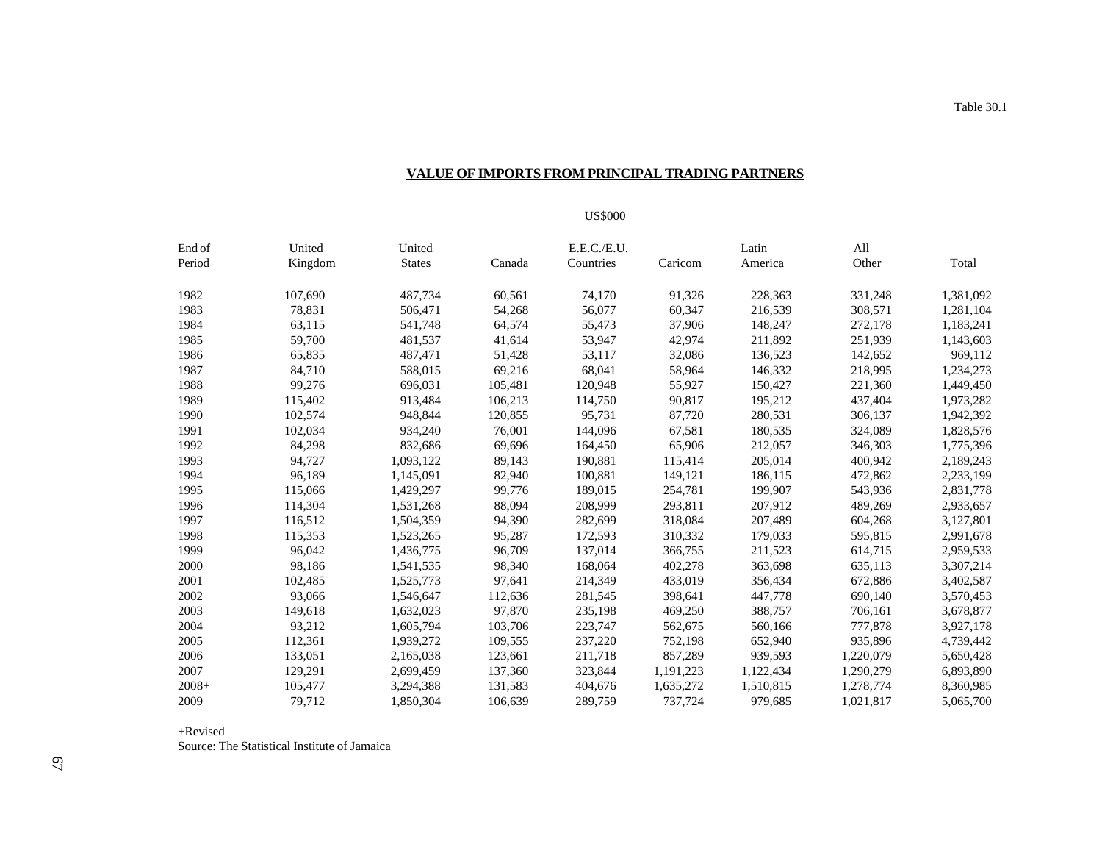## **VALUE OF IMPORTS FROM PRINCIPAL TRADING PARTNERS**

### US\$000

| End of  | United  | United        |         | E.E.C./E.U. |           | Latin     | All       |           |
|---------|---------|---------------|---------|-------------|-----------|-----------|-----------|-----------|
| Period  | Kingdom | <b>States</b> | Canada  | Countries   | Caricom   | America   | Other     | Total     |
| 1982    | 107,690 | 487,734       | 60,561  | 74,170      | 91,326    | 228,363   | 331,248   | 1,381,092 |
| 1983    | 78,831  | 506,471       | 54,268  | 56.077      | 60,347    | 216.539   | 308.571   | 1,281,104 |
| 1984    | 63,115  | 541,748       | 64,574  | 55,473      | 37,906    | 148,247   | 272,178   | 1,183,241 |
| 1985    | 59,700  | 481,537       | 41,614  | 53,947      | 42,974    | 211,892   | 251,939   | 1,143,603 |
| 1986    | 65,835  | 487,471       | 51,428  | 53,117      | 32,086    | 136,523   | 142,652   | 969,112   |
| 1987    | 84,710  | 588,015       | 69,216  | 68,041      | 58,964    | 146,332   | 218,995   | 1,234,273 |
| 1988    | 99,276  | 696,031       | 105,481 | 120,948     | 55,927    | 150,427   | 221,360   | 1,449,450 |
| 1989    | 115,402 | 913,484       | 106,213 | 114,750     | 90,817    | 195,212   | 437,404   | 1,973,282 |
| 1990    | 102.574 | 948,844       | 120,855 | 95.731      | 87,720    | 280,531   | 306,137   | 1,942,392 |
| 1991    | 102,034 | 934,240       | 76,001  | 144,096     | 67,581    | 180,535   | 324,089   | 1,828,576 |
| 1992    | 84,298  | 832,686       | 69,696  | 164,450     | 65,906    | 212,057   | 346,303   | 1,775,396 |
| 1993    | 94,727  | 1,093,122     | 89,143  | 190,881     | 115,414   | 205,014   | 400,942   | 2,189,243 |
| 1994    | 96,189  | 1,145,091     | 82,940  | 100,881     | 149,121   | 186,115   | 472,862   | 2,233,199 |
| 1995    | 115,066 | 1,429,297     | 99,776  | 189,015     | 254,781   | 199,907   | 543,936   | 2,831,778 |
| 1996    | 114,304 | 1,531,268     | 88,094  | 208,999     | 293,811   | 207,912   | 489,269   | 2,933,657 |
| 1997    | 116,512 | 1,504,359     | 94,390  | 282,699     | 318,084   | 207,489   | 604,268   | 3,127,801 |
| 1998    | 115,353 | 1,523,265     | 95,287  | 172,593     | 310,332   | 179,033   | 595,815   | 2,991,678 |
| 1999    | 96,042  | 1,436,775     | 96,709  | 137,014     | 366,755   | 211,523   | 614,715   | 2,959,533 |
| 2000    | 98,186  | 1,541,535     | 98,340  | 168,064     | 402,278   | 363,698   | 635,113   | 3,307,214 |
| 2001    | 102,485 | 1,525,773     | 97,641  | 214,349     | 433,019   | 356,434   | 672,886   | 3,402,587 |
| 2002    | 93,066  | 1,546,647     | 112,636 | 281,545     | 398,641   | 447,778   | 690,140   | 3,570,453 |
| 2003    | 149,618 | 1,632,023     | 97,870  | 235,198     | 469,250   | 388,757   | 706,161   | 3,678,877 |
| 2004    | 93,212  | 1,605,794     | 103,706 | 223,747     | 562,675   | 560,166   | 777,878   | 3,927,178 |
| 2005    | 112,361 | 1,939,272     | 109,555 | 237,220     | 752,198   | 652,940   | 935,896   | 4,739,442 |
| 2006    | 133,051 | 2,165,038     | 123,661 | 211,718     | 857,289   | 939,593   | 1,220,079 | 5,650,428 |
| 2007    | 129,291 | 2,699,459     | 137,360 | 323,844     | 1,191,223 | 1,122,434 | 1,290,279 | 6,893,890 |
| $2008+$ | 105,477 | 3,294,388     | 131,583 | 404,676     | 1,635,272 | 1,510,815 | 1,278,774 | 8,360,985 |
| 2009    | 79.712  | 1,850,304     | 106.639 | 289,759     | 737.724   | 979.685   | 1,021,817 | 5,065,700 |

+Revised

Source: The Statistical Institute of Jamaica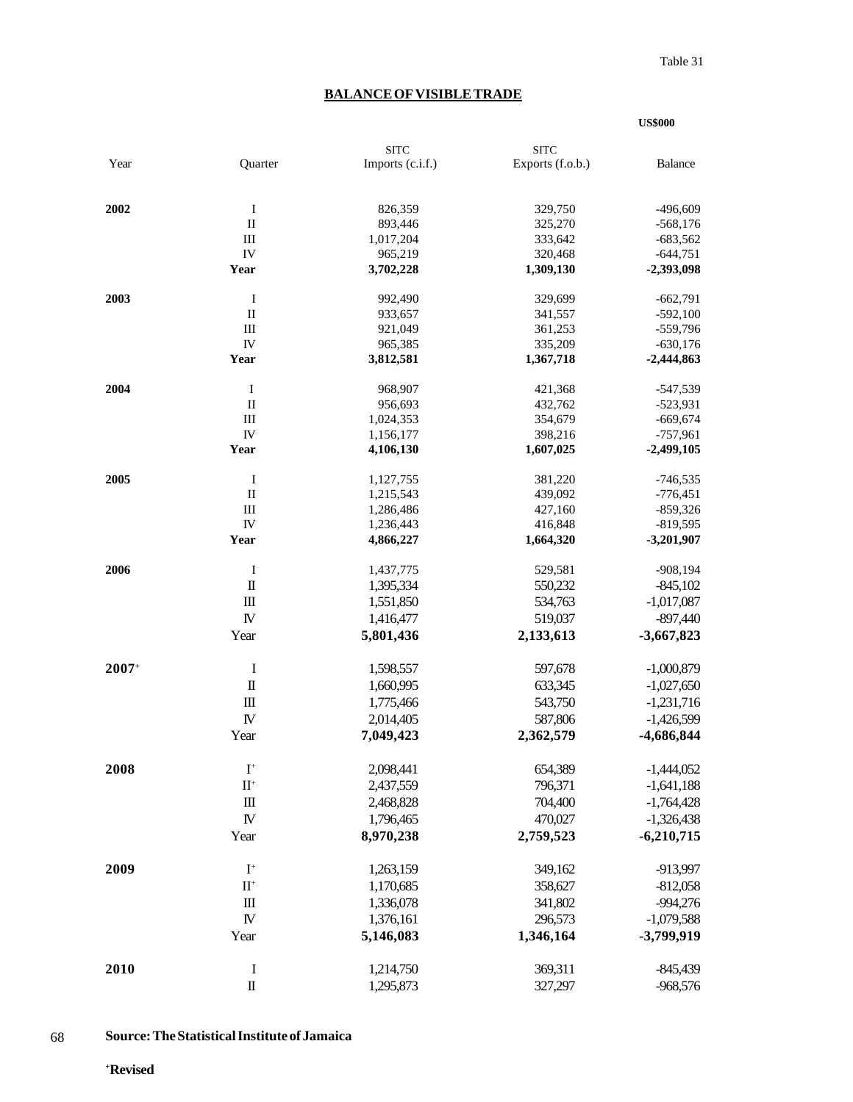**US\$000**

# **BALANCE OF VISIBLE TRADE**

|         |                        | <b>SITC</b>      | <b>SITC</b>      |                |
|---------|------------------------|------------------|------------------|----------------|
| Year    | Quarter                | Imports (c.i.f.) | Exports (f.o.b.) | <b>Balance</b> |
|         |                        |                  |                  |                |
| 2002    | $\mathbf I$            | 826,359          | 329,750          | $-496,609$     |
|         | $\rm II$               | 893,446          | 325,270          | $-568,176$     |
|         | III                    | 1,017,204        | 333,642          | $-683,562$     |
|         | ${\rm IV}$             | 965,219          | 320,468          | $-644,751$     |
|         | Year                   | 3,702,228        | 1,309,130        | -2,393,098     |
| 2003    | $\bf{I}$               | 992,490          | 329,699          | $-662,791$     |
|         | $\mathbf{I}$           | 933,657          | 341,557          | $-592,100$     |
|         | Ш                      | 921,049          | 361,253          | $-559,796$     |
|         | IV                     | 965,385          | 335,209          | $-630,176$     |
|         | Year                   | 3,812,581        | 1,367,718        | $-2,444,863$   |
| 2004    | $\bf{I}$               | 968,907          | 421,368          | $-547,539$     |
|         | $\rm II$               | 956,693          | 432,762          | $-523,931$     |
|         | Ш                      | 1,024,353        | 354,679          | $-669,674$     |
|         | IV                     | 1,156,177        | 398,216          | $-757,961$     |
|         | Year                   | 4,106,130        | 1,607,025        | $-2,499,105$   |
| 2005    | $\bf{I}$               | 1,127,755        | 381,220          | $-746,535$     |
|         | $\rm II$               | 1,215,543        | 439,092          | $-776,451$     |
|         | $\rm III$              | 1,286,486        | 427,160          | $-859,326$     |
|         | ${\rm IV}$             | 1,236,443        | 416,848          | $-819,595$     |
|         | Year                   | 4,866,227        | 1,664,320        | $-3,201,907$   |
| 2006    | Ι                      | 1,437,775        | 529,581          | $-908,194$     |
|         | $\rm I\hspace{-.1em}I$ | 1,395,334        | 550,232          | $-845,102$     |
|         | $\rm III$              | 1,551,850        | 534,763          | $-1,017,087$   |
|         | ${\rm I\!V}$           | 1,416,477        | 519,037          | $-897,440$     |
|         | Year                   | 5,801,436        | 2,133,613        | $-3,667,823$   |
| $2007+$ | I                      | 1,598,557        | 597,678          | $-1,000,879$   |
|         | $\rm I\hspace{-.1em}I$ | 1,660,995        | 633,345          | $-1,027,650$   |
|         | $\rm III$              | 1,775,466        | 543,750          | $-1,231,716$   |
|         | ${\rm I\!V}$           | 2,014,405        | 587,806          |                |
|         |                        |                  |                  | $-1,426,599$   |
|         | Year                   | 7,049,423        | 2,362,579        | -4,686,844     |
| 2008    | $\mathbf{I}^+$         | 2,098,441        | 654,389          | $-1,444,052$   |
|         | $\mathbf{II}^+$        | 2,437,559        | 796,371          | $-1,641,188$   |
|         | $\mathbf{m}$           | 2,468,828        | 704,400          | $-1,764,428$   |
|         | ${\bf I\!V}$           | 1,796,465        | 470,027          | $-1,326,438$   |
|         | Year                   | 8,970,238        | 2,759,523        | $-6,210,715$   |
| 2009    | $\mathbf{I}^+$         | 1,263,159        | 349,162          | -913,997       |
|         | $\rm II^+$             | 1,170,685        |                  |                |
|         |                        |                  | 358,627          | $-812,058$     |
|         | $\mathbf{m}$           | 1,336,078        | 341,802          | $-994,276$     |
|         | ${\bf I\!V}$           | 1,376,161        | 296,573          | $-1,079,588$   |
|         | Year                   | 5,146,083        | 1,346,164        | -3,799,919     |
| 2010    | $\bf{I}$               | 1,214,750        | 369,311          | $-845,439$     |
|         | $\rm I\hspace{-.1em}I$ | 1,295,873        | 327,297          | $-968,576$     |

 68 **Source: The Statistical Institute of Jamaica**

**+ Revised**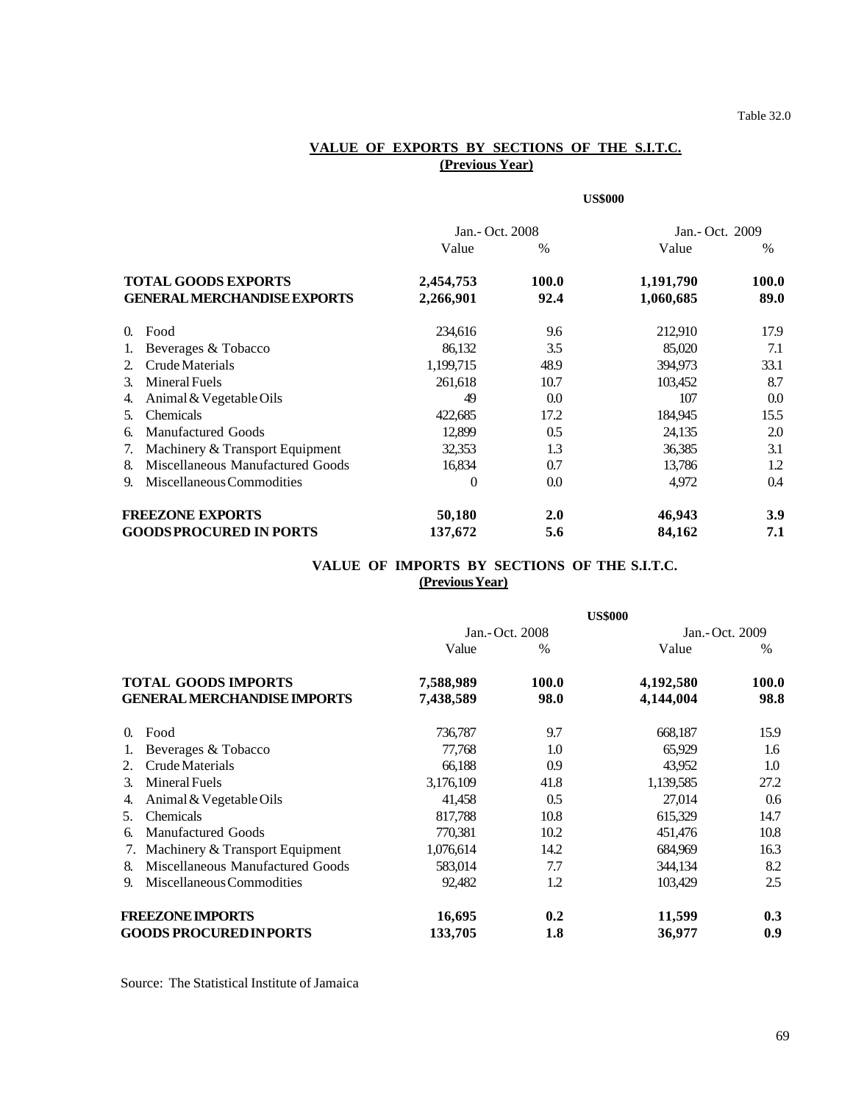## **VALUE OF EXPORTS BY SECTIONS OF THE S.I.T.C. (Previous Year)**

|          |                                    |                 |               | <b>US\$000</b>  |              |
|----------|------------------------------------|-----------------|---------------|-----------------|--------------|
|          |                                    | Jan.- Oct. 2008 |               | Jan.- Oct. 2009 |              |
|          |                                    | Value           | $\frac{0}{0}$ | Value           | $\%$         |
|          | <b>TOTAL GOODS EXPORTS</b>         | 2,454,753       | <b>100.0</b>  | 1,191,790       | <b>100.0</b> |
|          | <b>GENERAL MERCHANDISE EXPORTS</b> | 2,266,901       | 92.4          | 1,060,685       | 89.0         |
| $\Omega$ | Food                               | 234,616         | 9.6           | 212,910         | 17.9         |
|          | Beverages & Tobacco                | 86,132          | 3.5           | 85,020          | 7.1          |
| 2.       | Crude Materials                    | 1,199,715       | 48.9          | 394,973         | 33.1         |
| 3.       | <b>Mineral Fuels</b>               | 261,618         | 10.7          | 103,452         | 8.7          |
| 4.       | Animal & Vegetable Oils            | 49              | 0.0           | 107             | 0.0          |
| 5.       | <b>Chemicals</b>                   | 422,685         | 17.2          | 184,945         | 15.5         |
| 6.       | <b>Manufactured Goods</b>          | 12,899          | 0.5           | 24,135          | 2.0          |
| 7.       | Machinery & Transport Equipment    | 32,353          | 1.3           | 36,385          | 3.1          |
| 8.       | Miscellaneous Manufactured Goods   | 16,834          | 0.7           | 13,786          | 1.2          |
| 9.       | Miscellaneous Commodities          | $\overline{0}$  | 0.0           | 4,972           | 0.4          |
|          | <b>FREEZONE EXPORTS</b>            | 50,180          | 2.0           | 46,943          | 3.9          |
|          | <b>GOODSPROCURED IN PORTS</b>      | 137,672         | 5.6           | 84,162          | 7.1          |

## **VALUE OF IMPORTS BY SECTIONS OF THE S.I.T.C. (Previous Year)**

|                                        | <b>US\$000</b> |                 |           |                 |  |  |
|----------------------------------------|----------------|-----------------|-----------|-----------------|--|--|
|                                        |                | Jan.- Oct. 2008 |           | Jan.- Oct. 2009 |  |  |
|                                        | Value          | $\%$            | Value     | $\frac{0}{0}$   |  |  |
| <b>TOTAL GOODS IMPORTS</b>             | 7,588,989      | 100.0           | 4,192,580 | 100.0           |  |  |
| <b>GENERAL MERCHANDISE IMPORTS</b>     | 7,438,589      | 98.0            | 4,144,004 | 98.8            |  |  |
| Food<br>0.                             | 736,787        | 9.7             | 668,187   | 15.9            |  |  |
| Beverages & Tobacco                    | 77,768         | 1.0             | 65,929    | 1.6             |  |  |
| Crude Materials<br>2.                  | 66,188         | 0.9             | 43,952    | 1.0             |  |  |
| <b>Mineral Fuels</b><br>3.             | 3,176,109      | 41.8            | 1,139,585 | 27.2            |  |  |
| Animal & Vegetable Oils<br>4.          | 41,458         | 0.5             | 27,014    | 0.6             |  |  |
| Chemicals<br>5.                        | 817,788        | 10.8            | 615,329   | 14.7            |  |  |
| <b>Manufactured Goods</b><br>6.        | 770,381        | 10.2            | 451,476   | 10.8            |  |  |
| Machinery & Transport Equipment<br>7.  | 1,076,614      | 14.2            | 684,969   | 16.3            |  |  |
| Miscellaneous Manufactured Goods<br>8. | 583,014        | 7.7             | 344,134   | 8.2             |  |  |
| Miscellaneous Commodities<br>9.        | 92,482         | 1.2             | 103,429   | 2.5             |  |  |
| <b>FREEZONE IMPORTS</b>                | 16,695         | 0.2             | 11,599    | 0.3             |  |  |
| <b>GOODS PROCURED IN PORTS</b>         | 133,705        | 1.8             | 36,977    | 0.9             |  |  |

Source: The Statistical Institute of Jamaica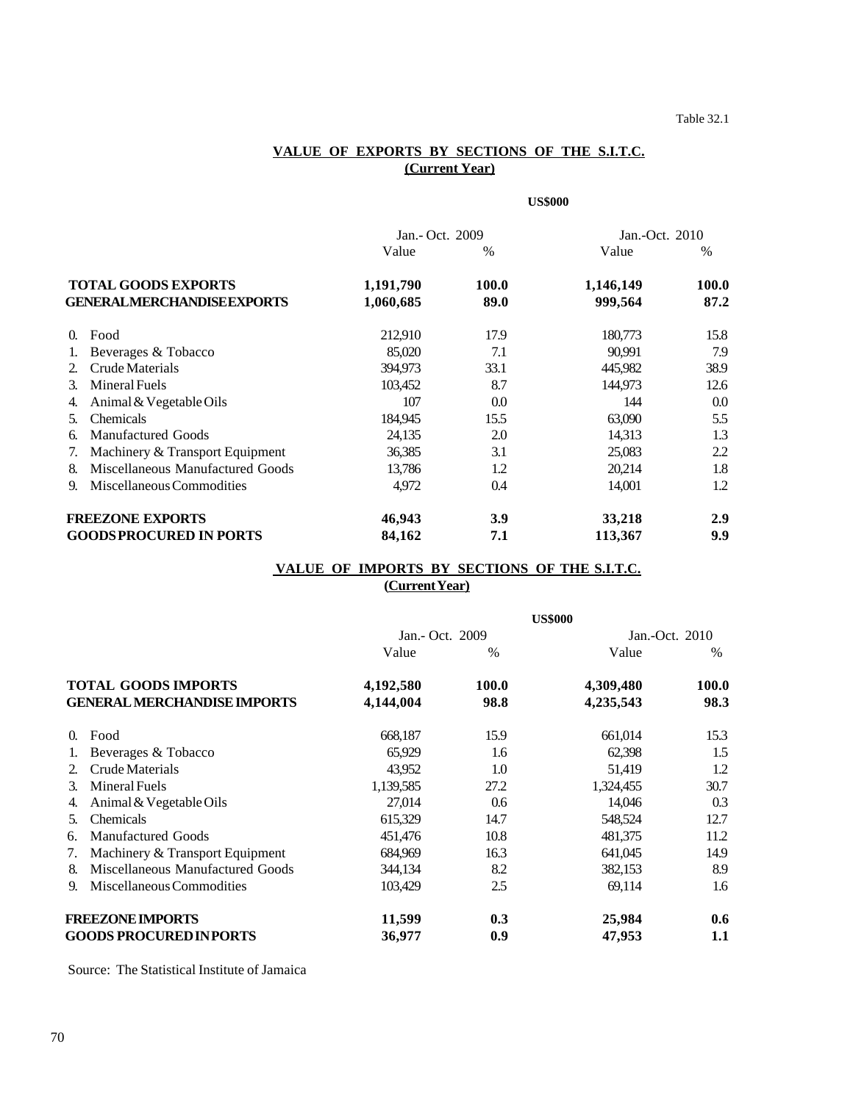## **VALUE OF EXPORTS BY SECTIONS OF THE S.I.T.C. (Current Year)**

#### **US\$000**

|                                        | Jan.- Oct. 2009 |       | Jan.-Oct. 2010 |               |
|----------------------------------------|-----------------|-------|----------------|---------------|
|                                        | Value           | $\%$  | Value          | $\frac{0}{0}$ |
| <b>TOTAL GOODS EXPORTS</b>             | 1,191,790       | 100.0 | 1,146,149      | 100.0         |
| GENERALMERCHANDISEEXPORTS              | 1,060,685       | 89.0  | 999,564        | 87.2          |
| Food<br>0.                             | 212,910         | 17.9  | 180,773        | 15.8          |
| Beverages & Tobacco                    | 85,020          | 7.1   | 90.991         | 7.9           |
| Crude Materials<br>2.                  | 394,973         | 33.1  | 445,982        | 38.9          |
| Mineral Fuels<br>3.                    | 103,452         | 8.7   | 144,973        | 12.6          |
| Animal & Vegetable Oils<br>4.          | 107             | 0.0   | 144            | 0.0           |
| <b>Chemicals</b><br>5.                 | 184,945         | 15.5  | 63,090         | 5.5           |
| <b>Manufactured Goods</b><br>6.        | 24,135          | 2.0   | 14,313         | 1.3           |
| Machinery & Transport Equipment<br>7.  | 36,385          | 3.1   | 25,083         | 2.2           |
| Miscellaneous Manufactured Goods<br>8. | 13,786          | 1.2   | 20,214         | 1.8           |
| Miscellaneous Commodities<br>9.        | 4,972           | 0.4   | 14,001         | 1.2           |
| <b>FREEZONE EXPORTS</b>                | 46,943          | 3.9   | 33,218         | 2.9           |
| <b>GOODSPROCURED IN PORTS</b>          | 84,162          | 7.1   | 113,367        | 9.9           |

## **VALUE OF IMPORTS BY SECTIONS OF THE S.I.T.C. (Current Year)**

|                                                                  |                                  | <b>US\$000</b>  |       |                |       |
|------------------------------------------------------------------|----------------------------------|-----------------|-------|----------------|-------|
|                                                                  |                                  | Jan.- Oct. 2009 |       | Jan.-Oct. 2010 |       |
|                                                                  |                                  | Value           | $\%$  | Value          | $\%$  |
| <b>TOTAL GOODS IMPORTS</b><br><b>GENERAL MERCHANDISE IMPORTS</b> |                                  | 4,192,580       | 100.0 | 4,309,480      | 100.0 |
|                                                                  |                                  | 4,144,004       | 98.8  | 4,235,543      | 98.3  |
| $\Omega$                                                         | Food                             | 668,187         | 15.9  | 661,014        | 15.3  |
|                                                                  | Beverages & Tobacco              | 65,929          | 1.6   | 62,398         | 1.5   |
| 2.                                                               | Crude Materials                  | 43,952          | 1.0   | 51,419         | 1.2   |
| 3.                                                               | <b>Mineral Fuels</b>             | 1,139,585       | 27.2  | 1,324,455      | 30.7  |
| 4.                                                               | Animal & Vegetable Oils          | 27,014          | 0.6   | 14,046         | 0.3   |
| 5.                                                               | Chemicals                        | 615,329         | 14.7  | 548,524        | 12.7  |
| 6.                                                               | <b>Manufactured Goods</b>        | 451,476         | 10.8  | 481,375        | 11.2  |
| 7.                                                               | Machinery & Transport Equipment  | 684,969         | 16.3  | 641,045        | 14.9  |
| 8.                                                               | Miscellaneous Manufactured Goods | 344,134         | 8.2   | 382,153        | 8.9   |
| 9.                                                               | Miscellaneous Commodities        | 103,429         | 2.5   | 69,114         | 1.6   |
| <b>FREEZONE IMPORTS</b>                                          |                                  | 11,599          | 0.3   | 25,984         | 0.6   |
| <b>GOODS PROCURED INPORTS</b>                                    |                                  | 36,977          | 0.9   | 47,953         | 1.1   |

Source: The Statistical Institute of Jamaica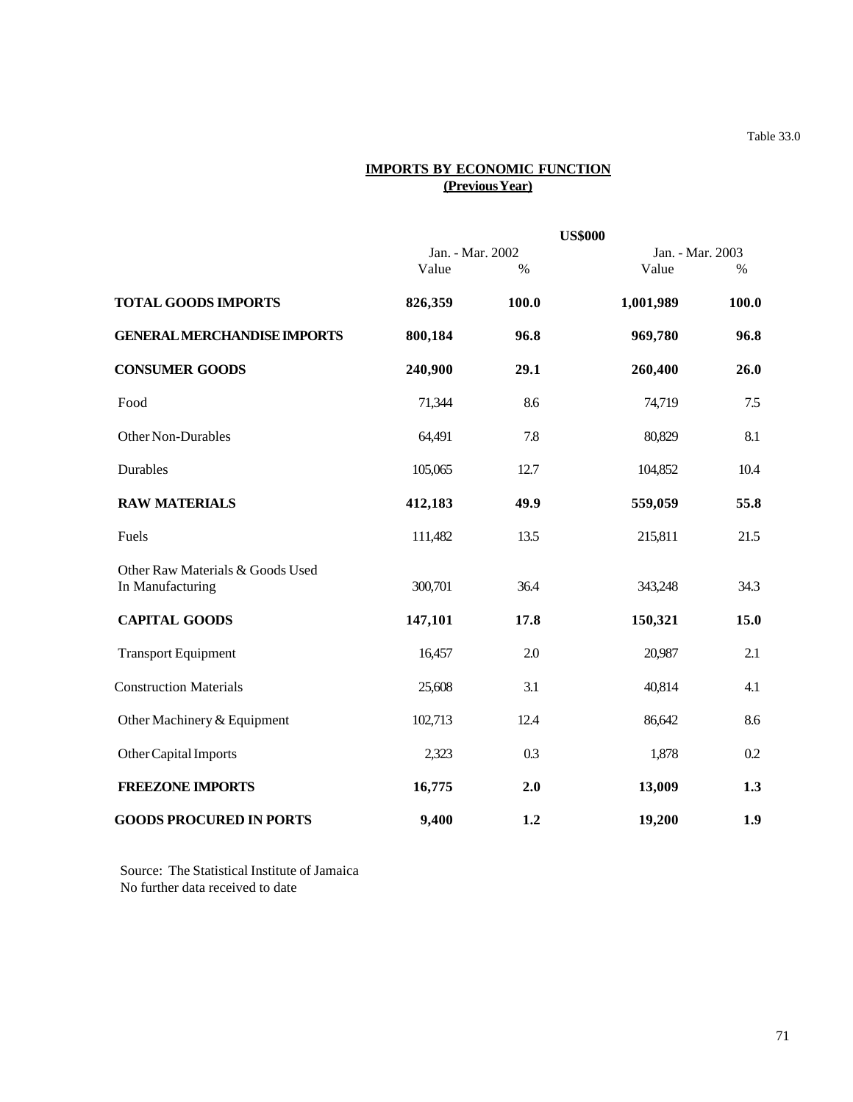Table 33.0

# **IMPORTS BY ECONOMIC FUNCTION (Previous Year)**

|                                                      |                           |       | <b>US\$000</b> |                          |
|------------------------------------------------------|---------------------------|-------|----------------|--------------------------|
|                                                      | Jan. - Mar. 2002<br>Value | $\%$  | Value          | Jan. - Mar. 2003<br>$\%$ |
| <b>TOTAL GOODS IMPORTS</b>                           | 826,359                   | 100.0 | 1,001,989      | 100.0                    |
| <b>GENERAL MERCHANDISE IMPORTS</b>                   | 800,184                   | 96.8  | 969,780        | 96.8                     |
| <b>CONSUMER GOODS</b>                                | 240,900                   | 29.1  | 260,400        | 26.0                     |
| Food                                                 | 71,344                    | 8.6   | 74,719         | 7.5                      |
| Other Non-Durables                                   | 64,491                    | 7.8   | 80,829         | 8.1                      |
| Durables                                             | 105,065                   | 12.7  | 104,852        | 10.4                     |
| <b>RAW MATERIALS</b>                                 | 412,183                   | 49.9  | 559,059        | 55.8                     |
| Fuels                                                | 111,482                   | 13.5  | 215,811        | 21.5                     |
| Other Raw Materials & Goods Used<br>In Manufacturing | 300,701                   | 36.4  | 343,248        | 34.3                     |
| <b>CAPITAL GOODS</b>                                 | 147,101                   | 17.8  | 150,321        | 15.0                     |
| <b>Transport Equipment</b>                           | 16,457                    | 2.0   | 20,987         | 2.1                      |
| <b>Construction Materials</b>                        | 25,608                    | 3.1   | 40,814         | 4.1                      |
| Other Machinery & Equipment                          | 102,713                   | 12.4  | 86,642         | 8.6                      |
| Other Capital Imports                                | 2,323                     | 0.3   | 1,878          | 0.2                      |
| <b>FREEZONE IMPORTS</b>                              | 16,775                    | 2.0   | 13,009         | 1.3                      |
| <b>GOODS PROCURED IN PORTS</b>                       | 9,400                     | 1.2   | 19,200         | 1.9                      |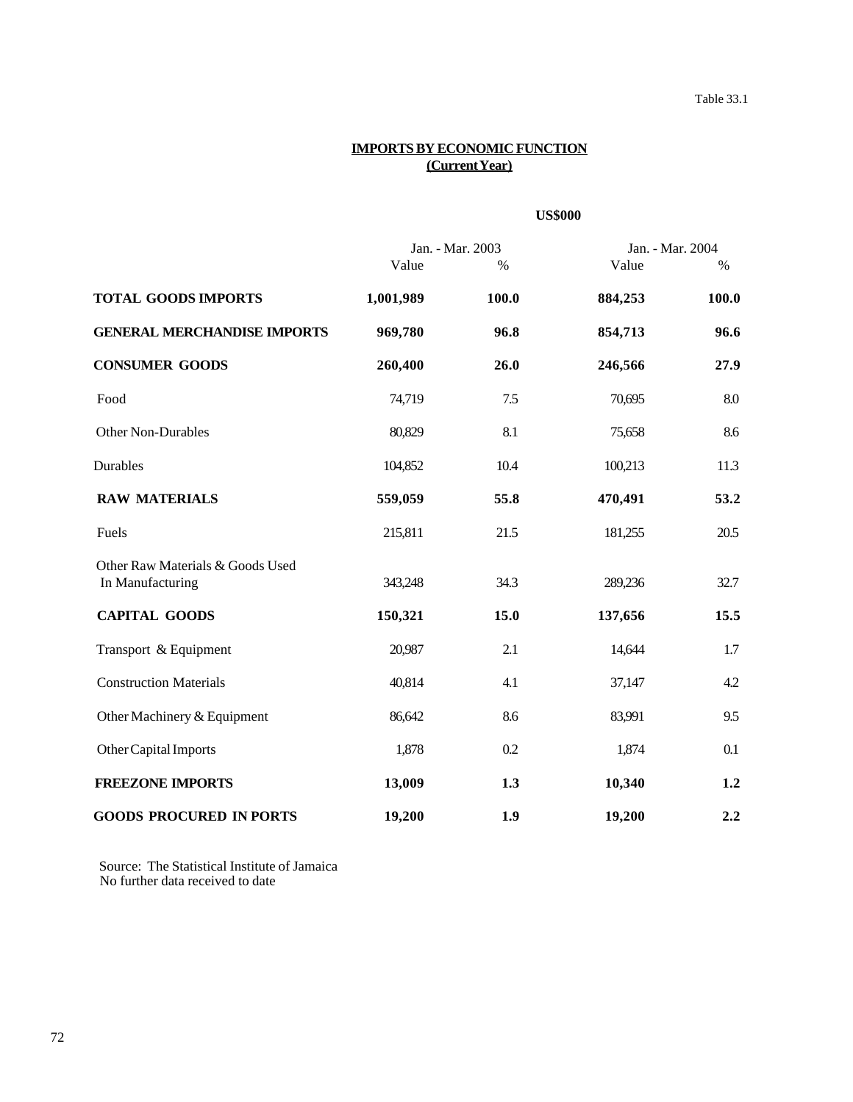#### **IMPORTS BY ECONOMIC FUNCTION (Current Year)**

### **US\$000**

|                                                      | Jan. - Mar. 2003 |       | Jan. - Mar. 2004 |       |
|------------------------------------------------------|------------------|-------|------------------|-------|
|                                                      | Value            | $\%$  | Value            | $\%$  |
| <b>TOTAL GOODS IMPORTS</b>                           | 1,001,989        | 100.0 | 884,253          | 100.0 |
| <b>GENERAL MERCHANDISE IMPORTS</b>                   | 969,780          | 96.8  | 854,713          | 96.6  |
| <b>CONSUMER GOODS</b>                                | 260,400          | 26.0  | 246,566          | 27.9  |
| Food                                                 | 74,719           | 7.5   | 70,695           | 8.0   |
| Other Non-Durables                                   | 80,829           | 8.1   | 75,658           | 8.6   |
| Durables                                             | 104,852          | 10.4  | 100,213          | 11.3  |
| <b>RAW MATERIALS</b>                                 | 559,059          | 55.8  | 470,491          | 53.2  |
| Fuels                                                | 215,811          | 21.5  | 181,255          | 20.5  |
| Other Raw Materials & Goods Used<br>In Manufacturing | 343,248          | 34.3  | 289,236          | 32.7  |
| <b>CAPITAL GOODS</b>                                 | 150,321          | 15.0  | 137,656          | 15.5  |
| Transport & Equipment                                | 20,987           | 2.1   | 14,644           | 1.7   |
| <b>Construction Materials</b>                        | 40,814           | 4.1   | 37,147           | 4.2   |
| Other Machinery & Equipment                          | 86,642           | 8.6   | 83,991           | 9.5   |
| Other Capital Imports                                | 1,878            | 0.2   | 1,874            | 0.1   |
| <b>FREEZONE IMPORTS</b>                              | 13,009           | 1.3   | 10,340           | 1.2   |
| <b>GOODS PROCURED IN PORTS</b>                       | 19,200           | 1.9   | 19,200           | 2.2   |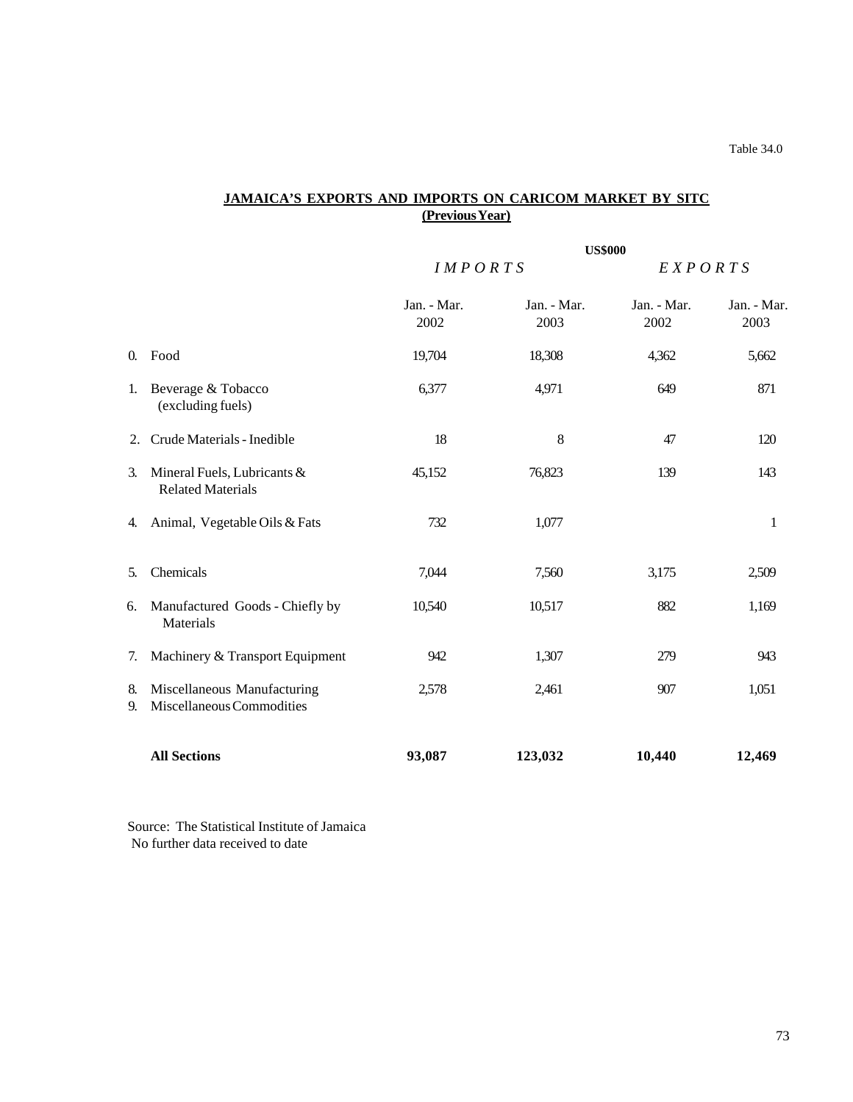# **JAMAICA'S EXPORTS AND IMPORTS ON CARICOM MARKET BY SITC (Previous Year)**

|            |                                                          | <b>US\$000</b>      |                     |                     |                     |  |
|------------|----------------------------------------------------------|---------------------|---------------------|---------------------|---------------------|--|
|            |                                                          | IMPORTS             |                     | EXPORTS             |                     |  |
|            |                                                          | Jan. - Mar.<br>2002 | Jan. - Mar.<br>2003 | Jan. - Mar.<br>2002 | Jan. - Mar.<br>2003 |  |
| $\Omega$ . | Food                                                     | 19,704              | 18,308              | 4,362               | 5,662               |  |
| 1.         | Beverage & Tobacco<br>(excluding fuels)                  | 6,377               | 4,971               | 649                 | 871                 |  |
| 2.         | Crude Materials - Inedible                               | 18                  | 8                   | 47                  | 120                 |  |
| 3.         | Mineral Fuels, Lubricants &<br><b>Related Materials</b>  | 45,152              | 76,823              | 139                 | 143                 |  |
| 4.         | Animal, Vegetable Oils & Fats                            | 732                 | 1,077               |                     | $\mathbf{1}$        |  |
| 5.         | Chemicals                                                | 7,044               | 7,560               | 3,175               | 2,509               |  |
| 6.         | Manufactured Goods - Chiefly by<br>Materials             | 10,540              | 10,517              | 882                 | 1,169               |  |
| 7.         | Machinery & Transport Equipment                          | 942                 | 1,307               | 279                 | 943                 |  |
| 8.<br>9.   | Miscellaneous Manufacturing<br>Miscellaneous Commodities | 2,578               | 2,461               | 907                 | 1,051               |  |
|            | <b>All Sections</b>                                      | 93,087              | 123,032             | 10,440              | 12,469              |  |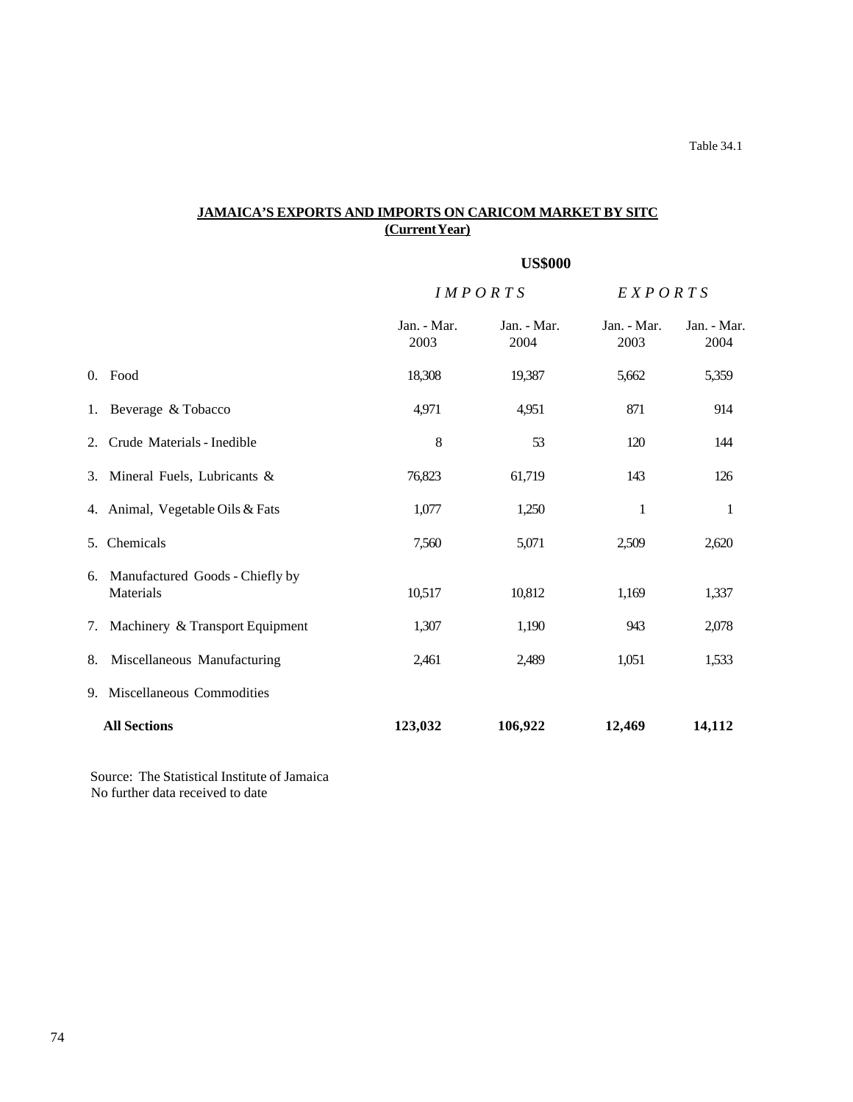# **JAMAICA'S EXPORTS AND IMPORTS ON CARICOM MARKET BY SITC (Current Year)**

# **US\$000**

|    |                                                 | <b>IMPORTS</b>      |                     | EXPORTS             |                     |
|----|-------------------------------------------------|---------------------|---------------------|---------------------|---------------------|
|    |                                                 | Jan. - Mar.<br>2003 | Jan. - Mar.<br>2004 | Jan. - Mar.<br>2003 | Jan. - Mar.<br>2004 |
|    | 0. Food                                         | 18,308              | 19,387              | 5,662               | 5,359               |
|    | 1. Beverage & Tobacco                           | 4,971               | 4,951               | 871                 | 914                 |
|    | 2. Crude Materials - Inedible                   | 8                   | 53                  | 120                 | 144                 |
|    | 3. Mineral Fuels, Lubricants &                  | 76,823              | 61,719              | 143                 | 126                 |
|    | 4. Animal, Vegetable Oils & Fats                | 1,077               | 1,250               | 1                   | 1                   |
|    | 5. Chemicals                                    | 7,560               | 5,071               | 2,509               | 2,620               |
|    | 6. Manufactured Goods - Chiefly by<br>Materials | 10,517              | 10,812              | 1,169               | 1,337               |
|    | 7. Machinery & Transport Equipment              | 1,307               | 1,190               | 943                 | 2,078               |
| 8. | Miscellaneous Manufacturing                     | 2,461               | 2,489               | 1,051               | 1,533               |
|    | 9. Miscellaneous Commodities                    |                     |                     |                     |                     |
|    | <b>All Sections</b>                             | 123,032             | 106,922             | 12,469              | 14,112              |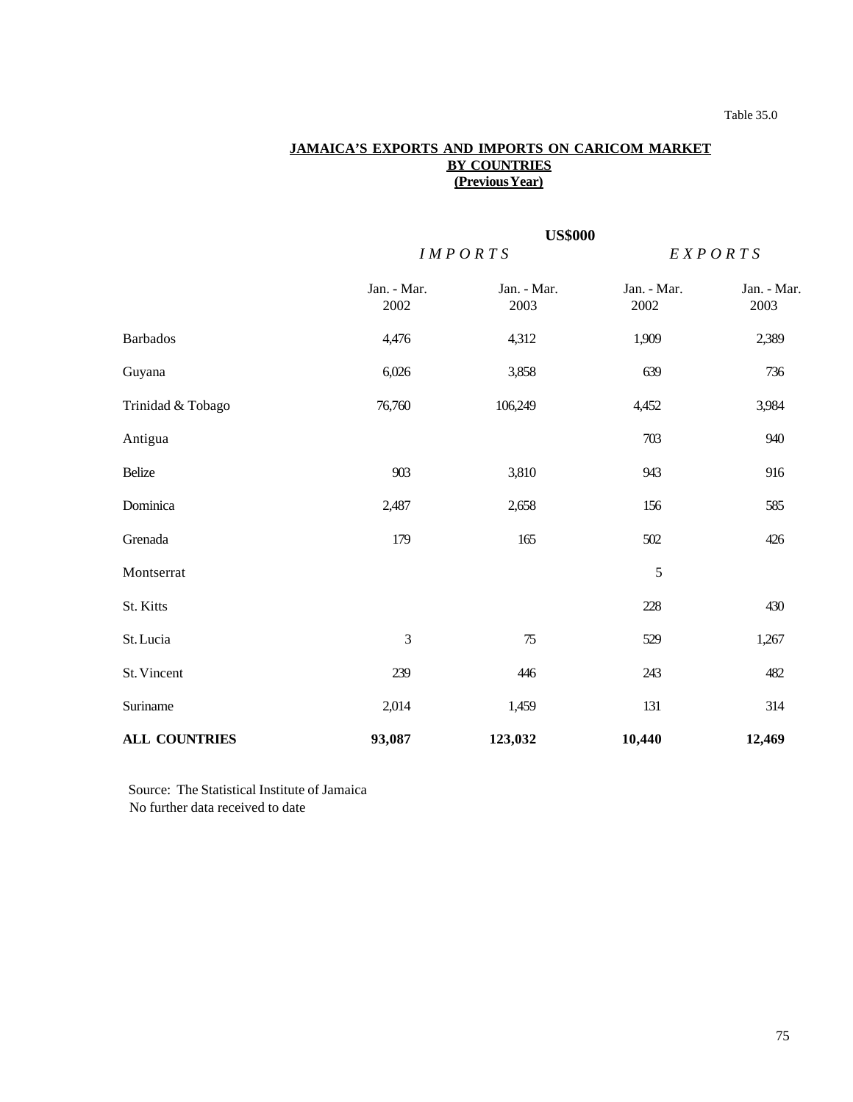# **JAMAICA'S EXPORTS AND IMPORTS ON CARICOM MARKET BY COUNTRIES (Previous Year)**

|                      |                     | <b>US\$000</b>      |                     |                     |  |
|----------------------|---------------------|---------------------|---------------------|---------------------|--|
|                      |                     | IMPORTS             |                     | EXPORTS             |  |
|                      | Jan. - Mar.<br>2002 | Jan. - Mar.<br>2003 | Jan. - Mar.<br>2002 | Jan. - Mar.<br>2003 |  |
| <b>Barbados</b>      | 4,476               | 4,312               | 1,909               | 2,389               |  |
| Guyana               | 6,026               | 3,858               | 639                 | 736                 |  |
| Trinidad & Tobago    | 76,760              | 106,249             | 4,452               | 3,984               |  |
| Antigua              |                     |                     | 703                 | 940                 |  |
| Belize               | 903                 | 3,810               | 943                 | 916                 |  |
| Dominica             | 2,487               | 2,658               | 156                 | 585                 |  |
| Grenada              | 179                 | 165                 | 502                 | 426                 |  |
| Montserrat           |                     |                     | 5                   |                     |  |
| St. Kitts            |                     |                     | 228                 | 430                 |  |
| St. Lucia            | 3                   | 75                  | 529                 | 1,267               |  |
| St. Vincent          | 239                 | 446                 | 243                 | 482                 |  |
| Suriname             | 2,014               | 1,459               | 131                 | 314                 |  |
| <b>ALL COUNTRIES</b> | 93,087              | 123,032             | 10,440              | 12,469              |  |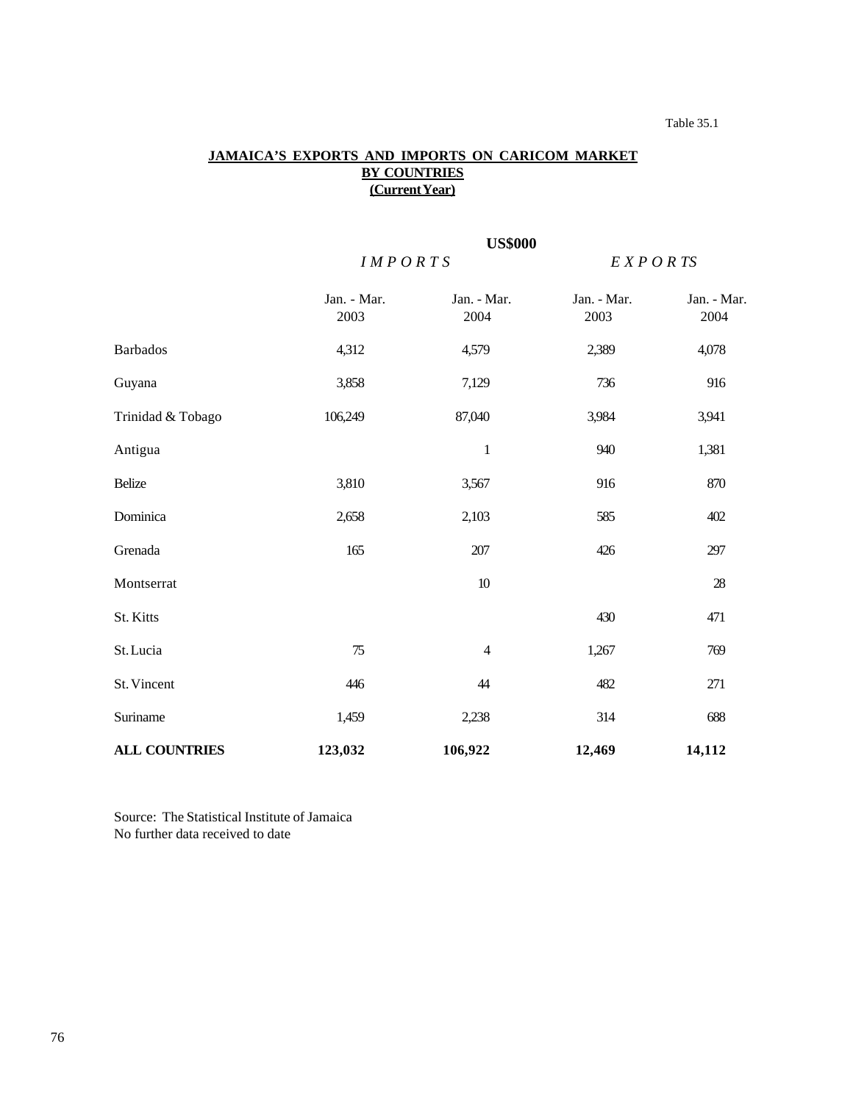# Table 35.1

# **JAMAICA'S EXPORTS AND IMPORTS ON CARICOM MARKET BY COUNTRIES (Current Year)**

|                      | <b>US\$000</b>      |                     |                     |                     |  |
|----------------------|---------------------|---------------------|---------------------|---------------------|--|
|                      | IMPORTS             |                     | E X P O R T S       |                     |  |
|                      | Jan. - Mar.<br>2003 | Jan. - Mar.<br>2004 | Jan. - Mar.<br>2003 | Jan. - Mar.<br>2004 |  |
| <b>Barbados</b>      | 4,312               | 4,579               | 2,389               | 4,078               |  |
| Guyana               | 3,858               | 7,129               | 736                 | 916                 |  |
| Trinidad & Tobago    | 106,249             | 87,040              | 3,984               | 3,941               |  |
| Antigua              |                     | $\mathbf{1}$        | 940                 | 1,381               |  |
| Belize               | 3,810               | 3,567               | 916                 | 870                 |  |
| Dominica             | 2,658               | 2,103               | 585                 | 402                 |  |
| Grenada              | 165                 | 207                 | 426                 | 297                 |  |
| Montserrat           |                     | $10\,$              |                     | $28\,$              |  |
| St. Kitts            |                     |                     | 430                 | 471                 |  |
| St. Lucia            | 75                  | $\overline{4}$      | 1,267               | 769                 |  |
| St. Vincent          | 446                 | 44                  | 482                 | 271                 |  |
| Suriname             | 1,459               | 2,238               | 314                 | 688                 |  |
| <b>ALL COUNTRIES</b> | 123,032             | 106,922             | 12,469              | 14,112              |  |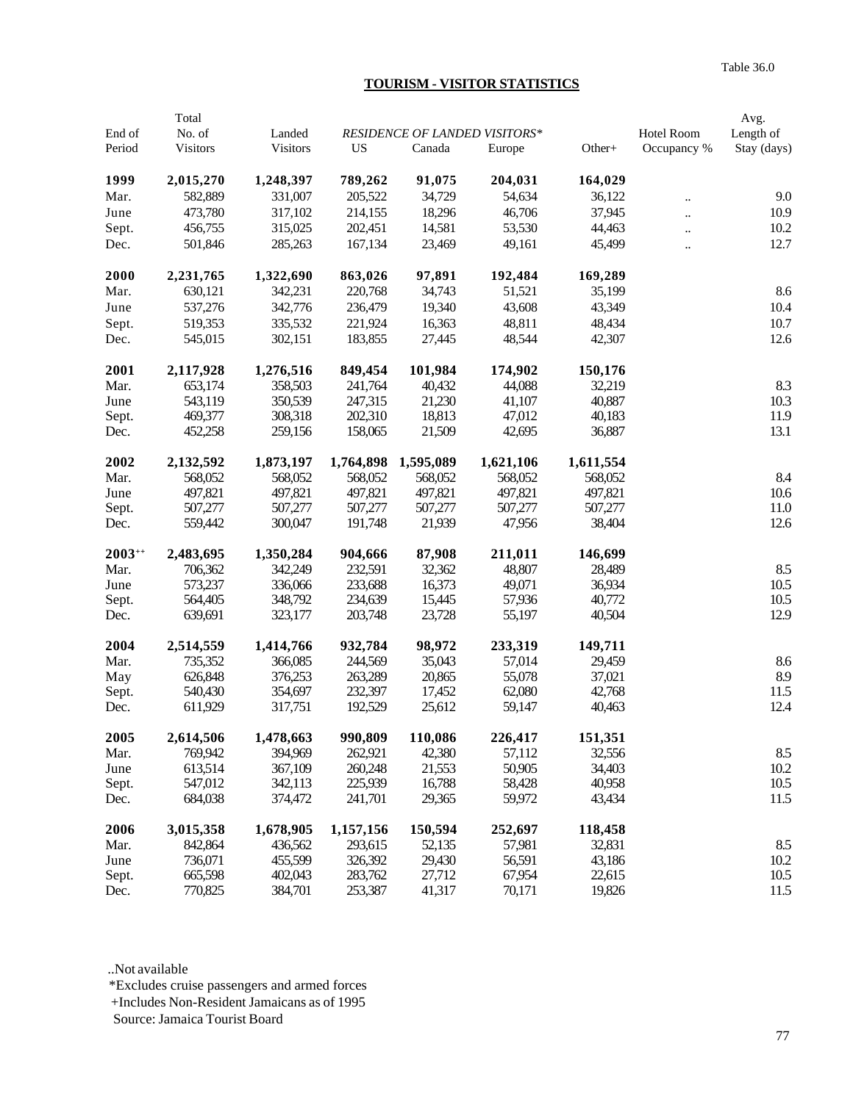# **TOURISM - VISITOR STATISTICS**

|             | Total           |                 |           |           |                               |           |                      | Avg.        |
|-------------|-----------------|-----------------|-----------|-----------|-------------------------------|-----------|----------------------|-------------|
| End of      | No. of          | Landed          |           |           | RESIDENCE OF LANDED VISITORS* |           | Hotel Room           | Length of   |
| Period      | <b>Visitors</b> | <b>Visitors</b> | <b>US</b> | Canada    | Europe                        | Other+    | Occupancy %          | Stay (days) |
| 1999        | 2,015,270       | 1,248,397       | 789,262   | 91,075    | 204,031                       | 164,029   |                      |             |
| Mar.        | 582,889         | 331,007         | 205,522   | 34,729    | 54,634                        | 36,122    | $\ddot{\phantom{a}}$ | 9.0         |
| June        | 473,780         | 317,102         | 214,155   | 18,296    | 46,706                        | 37,945    | $\ddot{\phantom{a}}$ | 10.9        |
| Sept.       | 456,755         | 315,025         | 202,451   | 14,581    | 53,530                        | 44,463    | $\ddot{\phantom{a}}$ | 10.2        |
| Dec.        | 501,846         | 285,263         | 167,134   | 23,469    | 49,161                        | 45,499    | $\ddot{\phantom{a}}$ | 12.7        |
| 2000        | 2,231,765       | 1,322,690       | 863,026   | 97,891    | 192,484                       | 169,289   |                      |             |
| Mar.        | 630,121         | 342,231         | 220,768   | 34,743    | 51,521                        | 35,199    |                      | 8.6         |
| June        | 537,276         | 342,776         | 236,479   | 19,340    | 43,608                        | 43,349    |                      | 10.4        |
| Sept.       | 519,353         | 335,532         | 221,924   | 16,363    | 48,811                        | 48,434    |                      | 10.7        |
| Dec.        | 545,015         | 302,151         | 183,855   | 27,445    | 48,544                        | 42,307    |                      | 12.6        |
| 2001        | 2,117,928       | 1,276,516       | 849,454   | 101,984   | 174,902                       | 150,176   |                      |             |
| Mar.        | 653,174         | 358,503         | 241,764   | 40,432    | 44,088                        | 32,219    |                      | 8.3         |
| June        | 543,119         | 350,539         | 247,315   | 21,230    | 41,107                        | 40,887    |                      | 10.3        |
| Sept.       | 469,377         | 308,318         | 202,310   | 18,813    | 47,012                        | 40,183    |                      | 11.9        |
| Dec.        | 452,258         | 259,156         | 158,065   | 21,509    | 42,695                        | 36,887    |                      | 13.1        |
| 2002        | 2,132,592       | 1,873,197       | 1,764,898 | 1,595,089 | 1,621,106                     | 1,611,554 |                      |             |
| Mar.        | 568,052         | 568,052         | 568,052   | 568,052   | 568,052                       | 568,052   |                      | 8.4         |
| June        | 497,821         | 497,821         | 497,821   | 497,821   | 497,821                       | 497,821   |                      | 10.6        |
| Sept.       | 507,277         | 507,277         | 507,277   | 507,277   | 507,277                       | 507,277   |                      | 11.0        |
| Dec.        | 559,442         | 300,047         | 191,748   | 21,939    | 47,956                        | 38,404    |                      | 12.6        |
| $2003^{++}$ | 2,483,695       | 1,350,284       | 904,666   | 87,908    | 211,011                       | 146,699   |                      |             |
| Mar.        | 706,362         | 342,249         | 232,591   | 32,362    | 48,807                        | 28,489    |                      | 8.5         |
| June        | 573,237         | 336,066         | 233,688   | 16,373    | 49,071                        | 36,934    |                      | 10.5        |
| Sept.       | 564,405         | 348,792         | 234,639   | 15,445    | 57,936                        | 40,772    |                      | 10.5        |
| Dec.        | 639,691         | 323,177         | 203,748   | 23,728    | 55,197                        | 40,504    |                      | 12.9        |
| 2004        | 2,514,559       | 1,414,766       | 932,784   | 98,972    | 233,319                       | 149,711   |                      |             |
| Mar.        | 735,352         | 366,085         | 244,569   | 35,043    | 57,014                        | 29,459    |                      | 8.6         |
| May         | 626,848         | 376,253         | 263,289   | 20,865    | 55,078                        | 37,021    |                      | 8.9         |
| Sept.       | 540,430         | 354,697         | 232,397   | 17,452    | 62,080                        | 42,768    |                      | 11.5        |
| Dec.        | 611,929         | 317,751         | 192,529   | 25,612    | 59,147                        | 40,463    |                      | 12.4        |
| 2005        | 2,614,506       | 1,478,663       | 990,809   | 110,086   | 226,417                       | 151,351   |                      |             |
| Mar.        | 769,942         | 394,969         | 262,921   | 42,380    | 57,112                        | 32,556    |                      | 8.5         |
| June        | 613,514         | 367,109         | 260,248   | 21,553    | 50,905                        | 34,403    |                      | 10.2        |
| Sept.       | 547,012         | 342,113         | 225,939   | 16,788    | 58,428                        | 40,958    |                      | 10.5        |
| Dec.        | 684,038         | 374,472         | 241,701   | 29,365    | 59,972                        | 43,434    |                      | 11.5        |
| 2006        | 3,015,358       | 1,678,905       | 1,157,156 | 150,594   | 252,697                       | 118,458   |                      |             |
| Mar.        | 842,864         | 436,562         | 293,615   | 52,135    | 57,981                        | 32,831    |                      | 8.5         |
| June        | 736,071         | 455,599         | 326,392   | 29,430    | 56,591                        | 43,186    |                      | 10.2        |
| Sept.       | 665,598         | 402,043         | 283,762   | 27,712    | 67,954                        | 22,615    |                      | 10.5        |
| Dec.        | 770,825         | 384,701         | 253,387   | 41,317    | 70,171                        | 19,826    |                      | 11.5        |

..Not available

\*Excludes cruise passengers and armed forces

+Includes Non-Resident Jamaicans as of 1995

Source: Jamaica Tourist Board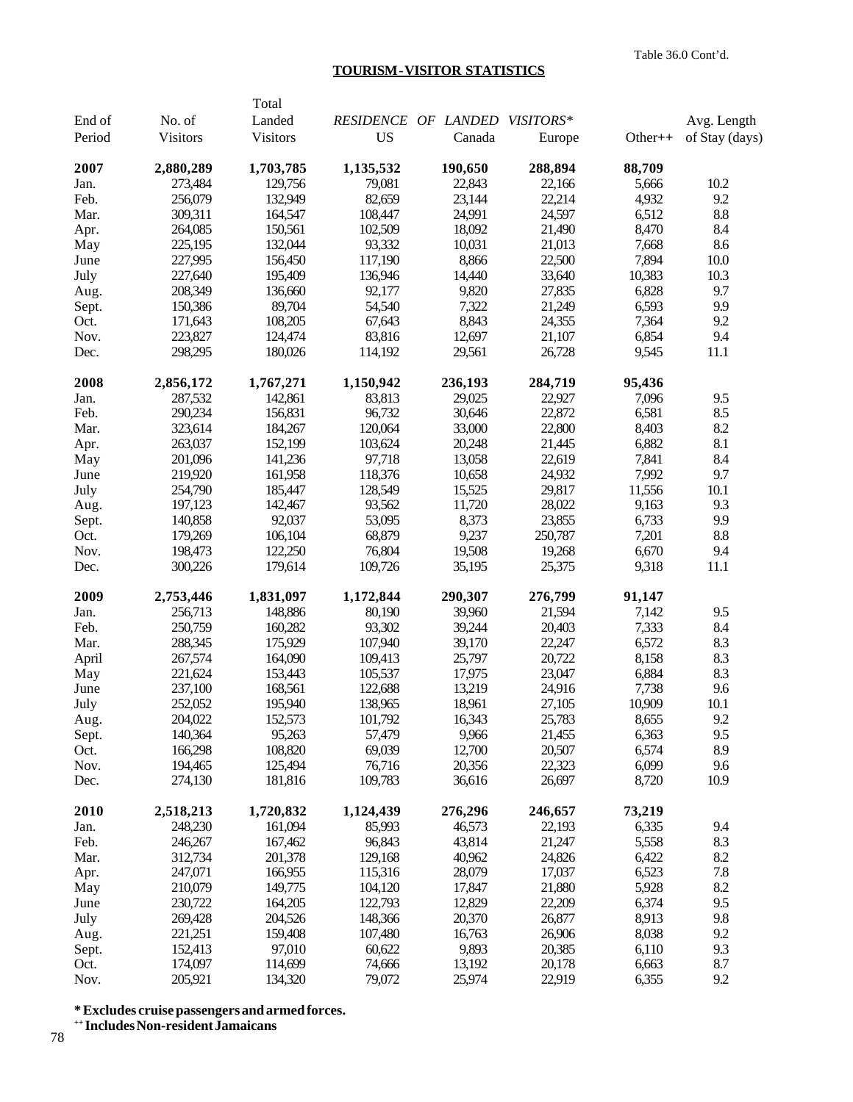### **TOURISM - VISITOR STATISTICS**

|        |           | Total           |                               |         |         |           |                |
|--------|-----------|-----------------|-------------------------------|---------|---------|-----------|----------------|
| End of | No. of    | Landed          | RESIDENCE OF LANDED VISITORS* |         |         |           | Avg. Length    |
| Period | Visitors  | <b>Visitors</b> | <b>US</b>                     | Canada  | Europe  | $Other++$ | of Stay (days) |
| 2007   | 2,880,289 | 1,703,785       | 1,135,532                     | 190,650 | 288,894 | 88,709    |                |
| Jan.   | 273,484   | 129,756         | 79,081                        | 22,843  | 22,166  | 5,666     | 10.2           |
| Feb.   | 256,079   | 132,949         | 82,659                        | 23,144  | 22,214  | 4,932     | 9.2            |
| Mar.   | 309,311   | 164,547         | 108,447                       | 24,991  | 24,597  | 6,512     | $\ \, 8.8$     |
| Apr.   | 264,085   | 150,561         | 102,509                       | 18,092  | 21,490  | 8,470     | 8.4            |
| May    | 225,195   | 132,044         | 93,332                        | 10,031  | 21,013  | 7,668     | 8.6            |
| June   | 227,995   | 156,450         | 117,190                       | 8,866   | 22,500  | 7,894     | 10.0           |
| July   | 227,640   | 195,409         | 136,946                       | 14,440  | 33,640  | 10,383    | 10.3           |
| Aug.   | 208,349   | 136,660         | 92,177                        | 9,820   | 27,835  | 6,828     | 9.7            |
| Sept.  | 150,386   | 89,704          | 54,540                        | 7,322   | 21,249  | 6,593     | 9.9            |
| Oct.   | 171,643   | 108,205         | 67,643                        | 8,843   | 24,355  | 7,364     | 9.2            |
| Nov.   | 223,827   | 124,474         | 83,816                        | 12,697  | 21,107  | 6,854     | 9.4            |
| Dec.   | 298,295   | 180,026         | 114,192                       | 29,561  | 26,728  | 9,545     | 11.1           |
| 2008   | 2,856,172 | 1,767,271       | 1,150,942                     | 236,193 | 284,719 | 95,436    |                |
| Jan.   | 287,532   | 142,861         | 83,813                        | 29,025  | 22,927  | 7,096     | 9.5            |
| Feb.   | 290,234   | 156,831         | 96,732                        | 30,646  | 22,872  | 6,581     | 8.5            |
| Mar.   | 323,614   | 184,267         | 120,064                       | 33,000  | 22,800  | 8,403     | 8.2            |
| Apr.   | 263,037   | 152,199         | 103,624                       | 20,248  | 21,445  | 6,882     | 8.1            |
| May    | 201,096   | 141,236         | 97,718                        | 13,058  | 22,619  | 7,841     | 8.4            |
| June   | 219,920   | 161,958         | 118,376                       | 10,658  | 24,932  | 7,992     | 9.7            |
| July   | 254,790   | 185,447         | 128,549                       | 15,525  | 29,817  | 11,556    | 10.1           |
| Aug.   | 197,123   | 142,467         | 93,562                        | 11,720  | 28,022  | 9,163     | 9.3            |
| Sept.  | 140,858   | 92,037          | 53,095                        | 8,373   | 23,855  | 6,733     | 9.9            |
| Oct.   | 179,269   | 106,104         | 68,879                        | 9,237   | 250,787 | 7,201     | 8.8            |
| Nov.   | 198,473   | 122,250         | 76,804                        | 19,508  | 19,268  | 6,670     | 9.4            |
| Dec.   | 300,226   | 179,614         | 109,726                       | 35,195  | 25,375  | 9,318     | 11.1           |
| 2009   | 2,753,446 | 1,831,097       | 1,172,844                     | 290,307 | 276,799 | 91,147    |                |
| Jan.   | 256,713   | 148,886         | 80,190                        | 39,960  | 21,594  | 7,142     | 9.5            |
| Feb.   | 250,759   | 160,282         | 93,302                        | 39,244  | 20,403  | 7,333     | 8.4            |
| Mar.   | 288,345   | 175,929         | 107,940                       | 39,170  | 22,247  | 6,572     | 8.3            |
| April  | 267,574   | 164,090         | 109,413                       | 25,797  | 20,722  | 8,158     | 8.3            |
| May    | 221,624   | 153,443         | 105,537                       | 17,975  | 23,047  | 6,884     | 8.3            |
| June   | 237,100   | 168,561         | 122,688                       | 13,219  | 24,916  | 7,738     | 9.6            |
| July   | 252,052   | 195,940         | 138,965                       | 18,961  | 27,105  | 10,909    | 10.1           |
| Aug.   | 204,022   | 152,573         | 101,792                       | 16,343  | 25,783  | 8,655     | 9.2            |
| Sept.  | 140,364   | 95,263          | 57,479                        | 9,966   | 21,455  | 6,363     | 9.5            |
| Oct.   | 166,298   | 108,820         | 69,039                        | 12,700  | 20,507  | 6,574     | 8.9            |
| Nov.   | 194,465   | 125,494         | 76,716                        | 20,356  | 22,323  | 6,099     | 9.6            |
| Dec.   | 274,130   | 181,816         | 109,783                       | 36,616  | 26,697  | 8,720     | 10.9           |
| 2010   | 2,518,213 | 1,720,832       | 1,124,439                     | 276,296 | 246,657 | 73,219    |                |
| Jan.   | 248,230   | 161,094         | 85,993                        | 46,573  | 22,193  | 6,335     | 9.4            |
| Feb.   | 246,267   | 167,462         | 96,843                        | 43,814  | 21,247  | 5,558     | 8.3            |
| Mar.   | 312,734   | 201,378         | 129,168                       | 40,962  | 24,826  | 6,422     | 8.2            |
| Apr.   | 247,071   | 166,955         | 115,316                       | 28,079  | 17,037  | 6,523     | 7.8            |
| May    | 210,079   | 149,775         | 104,120                       | 17,847  | 21,880  | 5,928     | 8.2            |
| June   | 230,722   | 164,205         | 122,793                       | 12,829  | 22,209  | 6,374     | 9.5            |
| July   | 269,428   | 204,526         | 148,366                       | 20,370  | 26,877  | 8,913     | 9.8            |
| Aug.   | 221,251   | 159,408         | 107,480                       | 16,763  | 26,906  | 8,038     | 9.2            |
| Sept.  | 152,413   | 97,010          | 60,622                        | 9,893   | 20,385  | 6,110     | 9.3            |
| Oct.   | 174,097   | 114,699         | 74,666                        | 13,192  | 20,178  | 6,663     | 8.7            |
| Nov.   | 205,921   | 134,320         | 79,072                        | 25,974  | 22,919  | 6,355     | 9.2            |

**\* Excludes cruise passengers and armed forces.**

**++ Includes Non-resident Jamaicans**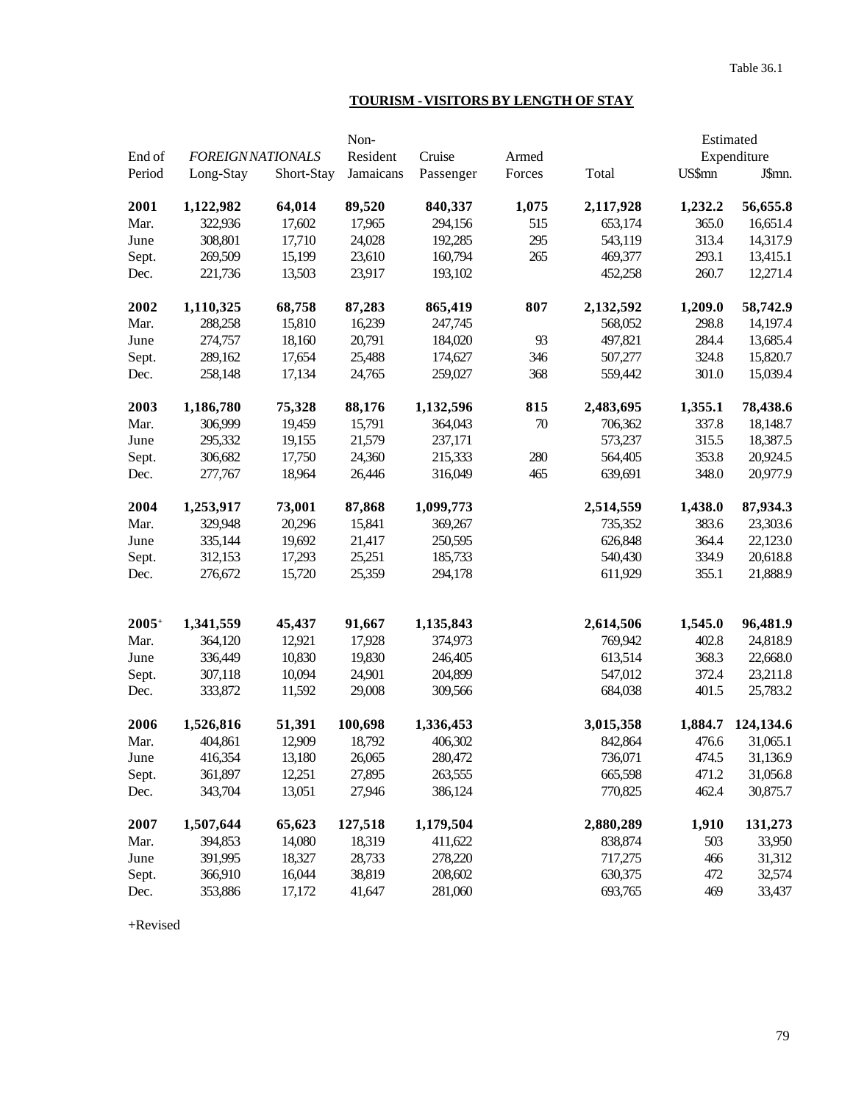# **TOURISM - VISITORS BY LENGTH OF STAY**

|         |                         |            | Non-      |           |        |           |               | Estimated   |
|---------|-------------------------|------------|-----------|-----------|--------|-----------|---------------|-------------|
| End of  | <b>FOREIGNNATIONALS</b> |            | Resident  | Cruise    | Armed  |           |               | Expenditure |
| Period  | Long-Stay               | Short-Stay | Jamaicans | Passenger | Forces | Total     | <b>US\$mn</b> | J\$mn.      |
| 2001    | 1,122,982               | 64,014     | 89,520    | 840,337   | 1,075  | 2,117,928 | 1,232.2       | 56,655.8    |
| Mar.    | 322,936                 | 17,602     | 17,965    | 294,156   | 515    | 653,174   | 365.0         | 16,651.4    |
| June    | 308,801                 | 17,710     | 24,028    | 192,285   | 295    | 543,119   | 313.4         | 14,317.9    |
| Sept.   | 269,509                 | 15,199     | 23,610    | 160,794   | 265    | 469,377   | 293.1         | 13,415.1    |
| Dec.    | 221,736                 | 13,503     | 23,917    | 193,102   |        | 452,258   | 260.7         | 12,271.4    |
| 2002    | 1,110,325               | 68,758     | 87,283    | 865,419   | 807    | 2,132,592 | 1,209.0       | 58,742.9    |
| Mar.    | 288,258                 | 15,810     | 16,239    | 247,745   |        | 568,052   | 298.8         | 14,197.4    |
| June    | 274,757                 | 18,160     | 20,791    | 184,020   | 93     | 497,821   | 284.4         | 13,685.4    |
| Sept.   | 289,162                 | 17,654     | 25,488    | 174,627   | 346    | 507,277   | 324.8         | 15,820.7    |
| Dec.    | 258,148                 | 17,134     | 24,765    | 259,027   | 368    | 559,442   | 301.0         | 15,039.4    |
| 2003    | 1,186,780               | 75,328     | 88,176    | 1,132,596 | 815    | 2,483,695 | 1,355.1       | 78,438.6    |
| Mar.    | 306,999                 | 19,459     | 15,791    | 364,043   | $70\,$ | 706,362   | 337.8         | 18,148.7    |
| June    | 295,332                 | 19,155     | 21,579    | 237,171   |        | 573,237   | 315.5         | 18,387.5    |
| Sept.   | 306,682                 | 17,750     | 24,360    | 215,333   | 280    | 564,405   | 353.8         | 20,924.5    |
| Dec.    | 277,767                 | 18,964     | 26,446    | 316,049   | 465    | 639,691   | 348.0         | 20,977.9    |
| 2004    | 1,253,917               | 73,001     | 87,868    | 1,099,773 |        | 2,514,559 | 1,438.0       | 87,934.3    |
| Mar.    | 329,948                 | 20,296     | 15,841    | 369,267   |        | 735,352   | 383.6         | 23,303.6    |
| June    | 335,144                 | 19,692     | 21,417    | 250,595   |        | 626,848   | 364.4         | 22,123.0    |
| Sept.   | 312,153                 | 17,293     | 25,251    | 185,733   |        | 540,430   | 334.9         | 20,618.8    |
| Dec.    | 276,672                 | 15,720     | 25,359    | 294,178   |        | 611,929   | 355.1         | 21,888.9    |
|         |                         |            |           |           |        |           |               |             |
| $2005+$ | 1,341,559               | 45,437     | 91,667    | 1,135,843 |        | 2,614,506 | 1,545.0       | 96,481.9    |
| Mar.    | 364,120                 | 12,921     | 17,928    | 374,973   |        | 769,942   | 402.8         | 24,818.9    |
| June    | 336,449                 | 10,830     | 19,830    | 246,405   |        | 613,514   | 368.3         | 22,668.0    |
| Sept.   | 307,118                 | 10,094     | 24,901    | 204,899   |        | 547,012   | 372.4         | 23,211.8    |
| Dec.    | 333,872                 | 11,592     | 29,008    | 309,566   |        | 684,038   | 401.5         | 25,783.2    |
| 2006    | 1,526,816               | 51,391     | 100,698   | 1,336,453 |        | 3,015,358 | 1,884.7       | 124,134.6   |
| Mar.    | 404,861                 | 12,909     | 18,792    | 406,302   |        | 842,864   | 476.6         | 31,065.1    |
| June    | 416,354                 | 13,180     | 26,065    | 280,472   |        | 736,071   | 474.5         | 31,136.9    |
| Sept.   | 361,897                 | 12,251     | 27,895    | 263,555   |        | 665,598   | 471.2         | 31,056.8    |
| Dec.    | 343,704                 | 13,051     | 27,946    | 386,124   |        | 770,825   | 462.4         | 30,875.7    |
| 2007    | 1,507,644               | 65,623     | 127,518   | 1,179,504 |        | 2,880,289 | 1,910         | 131,273     |
| Mar.    | 394,853                 | 14,080     | 18,319    | 411,622   |        | 838,874   | 503           | 33,950      |
| June    | 391,995                 | 18,327     | 28,733    | 278,220   |        | 717,275   | 466           | 31,312      |
| Sept.   | 366,910                 | 16,044     | 38,819    | 208,602   |        | 630,375   | 472           | 32,574      |
| Dec.    | 353,886                 | 17,172     | 41,647    | 281,060   |        | 693,765   | 469           | 33,437      |

+Revised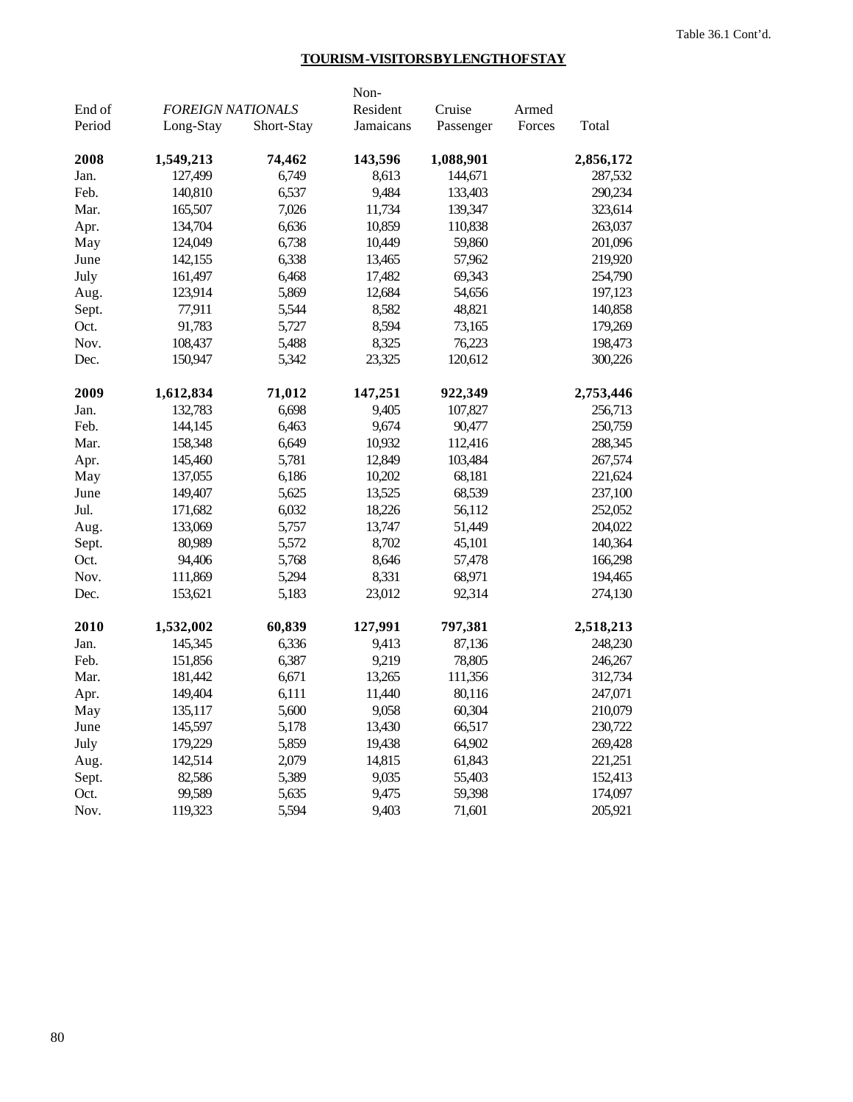# **TOURISM -VISITORS BY LENGTH OF STAY**

|        |                          |            | Non-      |           |        |           |
|--------|--------------------------|------------|-----------|-----------|--------|-----------|
| End of | <b>FOREIGN NATIONALS</b> |            | Resident  | Cruise    | Armed  |           |
| Period | Long-Stay                | Short-Stay | Jamaicans | Passenger | Forces | Total     |
| 2008   | 1,549,213                | 74,462     | 143,596   | 1,088,901 |        | 2,856,172 |
| Jan.   | 127,499                  | 6,749      | 8,613     | 144,671   |        | 287,532   |
| Feb.   | 140,810                  | 6,537      | 9,484     | 133,403   |        | 290,234   |
| Mar.   | 165,507                  | 7,026      | 11,734    | 139,347   |        | 323,614   |
| Apr.   | 134,704                  | 6,636      | 10,859    | 110,838   |        | 263,037   |
| May    | 124,049                  | 6,738      | 10,449    | 59,860    |        | 201,096   |
| June   | 142,155                  | 6,338      | 13,465    | 57,962    |        | 219,920   |
| July   | 161,497                  | 6,468      | 17,482    | 69,343    |        | 254,790   |
| Aug.   | 123,914                  | 5,869      | 12,684    | 54,656    |        | 197,123   |
| Sept.  | 77,911                   | 5,544      | 8,582     | 48,821    |        | 140,858   |
| Oct.   | 91,783                   | 5,727      | 8,594     | 73,165    |        | 179,269   |
| Nov.   | 108,437                  | 5,488      | 8,325     | 76,223    |        | 198,473   |
| Dec.   | 150,947                  | 5,342      | 23,325    | 120,612   |        | 300,226   |
| 2009   | 1,612,834                | 71,012     | 147,251   | 922,349   |        | 2,753,446 |
| Jan.   | 132,783                  | 6,698      | 9,405     | 107,827   |        | 256,713   |
| Feb.   | 144,145                  | 6,463      | 9,674     | 90,477    |        | 250,759   |
| Mar.   | 158,348                  | 6,649      | 10,932    | 112,416   |        | 288,345   |
| Apr.   | 145,460                  | 5,781      | 12,849    | 103,484   |        | 267,574   |
| May    | 137,055                  | 6,186      | 10,202    | 68,181    |        | 221,624   |
| June   | 149,407                  | 5,625      | 13,525    | 68,539    |        | 237,100   |
| Jul.   | 171,682                  | 6,032      | 18,226    | 56,112    |        | 252,052   |
| Aug.   | 133,069                  | 5,757      | 13,747    | 51,449    |        | 204,022   |
| Sept.  | 80,989                   | 5,572      | 8,702     | 45,101    |        | 140,364   |
| Oct.   | 94,406                   | 5,768      | 8,646     | 57,478    |        | 166,298   |
| Nov.   | 111,869                  | 5,294      | 8,331     | 68,971    |        | 194,465   |
| Dec.   | 153,621                  | 5,183      | 23,012    | 92,314    |        | 274,130   |
| 2010   | 1,532,002                | 60,839     | 127,991   | 797,381   |        | 2,518,213 |
| Jan.   | 145,345                  | 6,336      | 9,413     | 87,136    |        | 248,230   |
| Feb.   | 151,856                  | 6,387      | 9,219     | 78,805    |        | 246,267   |
| Mar.   | 181,442                  | 6,671      | 13,265    | 111,356   |        | 312,734   |
| Apr.   | 149,404                  | 6,111      | 11,440    | 80,116    |        | 247,071   |
| May    | 135,117                  | 5,600      | 9,058     | 60,304    |        | 210,079   |
| June   | 145,597                  | 5,178      | 13,430    | 66,517    |        | 230,722   |
| July   | 179,229                  | 5,859      | 19,438    | 64,902    |        | 269,428   |
| Aug.   | 142,514                  | 2,079      | 14,815    | 61,843    |        | 221,251   |
| Sept.  | 82,586                   | 5,389      | 9,035     | 55,403    |        | 152,413   |
| Oct.   | 99,589                   | 5,635      | 9,475     | 59,398    |        | 174,097   |
| Nov.   | 119,323                  | 5,594      | 9,403     | 71,601    |        | 205,921   |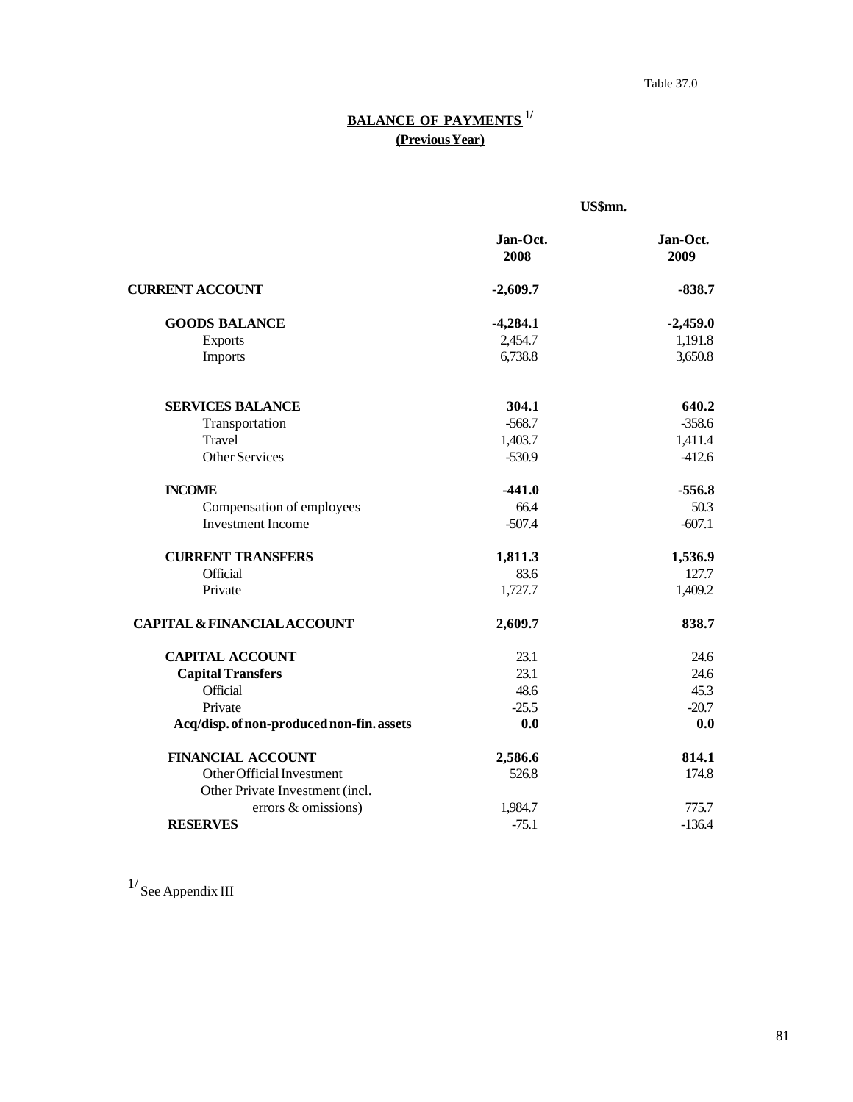### Table 37.0

# **BALANCE OF PAYMENTS 1/ (Previous Year)**

|                                           | US\$mn.          |                  |  |
|-------------------------------------------|------------------|------------------|--|
|                                           | Jan-Oct.<br>2008 | Jan-Oct.<br>2009 |  |
| <b>CURRENT ACCOUNT</b>                    | $-2,609.7$       | $-838.7$         |  |
| <b>GOODS BALANCE</b>                      | $-4,284.1$       | $-2,459.0$       |  |
| <b>Exports</b>                            | 2,454.7          | 1,191.8          |  |
| Imports                                   | 6,738.8          | 3,650.8          |  |
| <b>SERVICES BALANCE</b>                   | 304.1            | 640.2            |  |
| Transportation                            | $-568.7$         | $-358.6$         |  |
| Travel                                    | 1,403.7          | 1,411.4          |  |
| <b>Other Services</b>                     | $-530.9$         | $-412.6$         |  |
| <b>INCOME</b>                             | $-441.0$         | $-556.8$         |  |
| Compensation of employees                 | 66.4             | 50.3             |  |
| <b>Investment Income</b>                  | $-507.4$         | $-607.1$         |  |
| <b>CURRENT TRANSFERS</b>                  | 1,811.3          | 1,536.9          |  |
| Official                                  | 83.6             | 127.7            |  |
| Private                                   | 1,727.7          | 1,409.2          |  |
| <b>CAPITAL &amp; FINANCIAL ACCOUNT</b>    | 2,609.7          | 838.7            |  |
| <b>CAPITAL ACCOUNT</b>                    | 23.1             | 24.6             |  |
| <b>Capital Transfers</b>                  | 23.1             | 24.6             |  |
| Official                                  | 48.6             | 45.3             |  |
| Private                                   | $-25.5$          | $-20.7$          |  |
| Acq/disp. of non-produced non-fin. assets | 0.0              | 0.0              |  |
| <b>FINANCIAL ACCOUNT</b>                  | 2,586.6          | 814.1            |  |
| Other Official Investment                 | 526.8            | 174.8            |  |
| Other Private Investment (incl.           |                  |                  |  |
| errors & omissions)                       | 1,984.7          | 775.7            |  |
| <b>RESERVES</b>                           | $-75.1$          | $-136.4$         |  |

 $^{1/}$  See Appendix III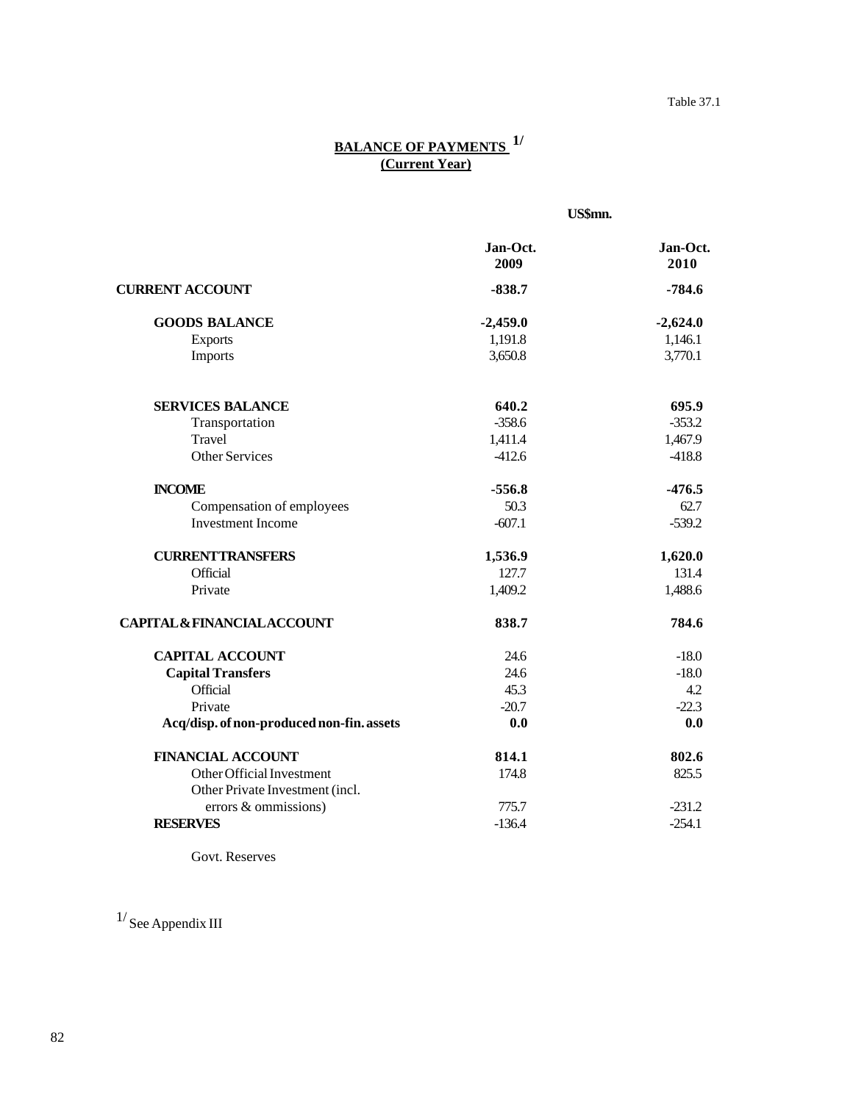# **BALANCE OF PAYMENTS 1/**  *(Current Year)*

|                                                              | US\$mn.          |                  |  |
|--------------------------------------------------------------|------------------|------------------|--|
|                                                              | Jan-Oct.<br>2009 | Jan-Oct.<br>2010 |  |
| <b>CURRENT ACCOUNT</b>                                       | $-838.7$         | $-784.6$         |  |
| <b>GOODS BALANCE</b>                                         | $-2,459.0$       | $-2,624.0$       |  |
| <b>Exports</b>                                               | 1,191.8          | 1,146.1          |  |
| Imports                                                      | 3,650.8          | 3,770.1          |  |
| <b>SERVICES BALANCE</b>                                      | 640.2            | 695.9            |  |
| Transportation                                               | $-358.6$         | $-353.2$         |  |
| Travel                                                       | 1,411.4          | 1,467.9          |  |
| <b>Other Services</b>                                        | $-412.6$         | $-418.8$         |  |
| <b>INCOME</b>                                                | $-556.8$         | $-476.5$         |  |
| Compensation of employees                                    | 50.3             | 62.7             |  |
| <b>Investment Income</b>                                     | $-607.1$         | $-539.2$         |  |
| <b>CURRENTTRANSFERS</b>                                      | 1,536.9          | 1,620.0          |  |
| Official                                                     | 127.7            | 131.4            |  |
| Private                                                      | 1,409.2          | 1,488.6          |  |
| <b>CAPITAL &amp; FINANCIAL ACCOUNT</b>                       | 838.7            | 784.6            |  |
| <b>CAPITAL ACCOUNT</b>                                       | 24.6             | $-18.0$          |  |
| <b>Capital Transfers</b>                                     | 24.6             | $-18.0$          |  |
| Official                                                     | 45.3             | 4.2              |  |
| Private                                                      | $-20.7$          | $-22.3$          |  |
| Acq/disp. of non-produced non-fin. assets                    | 0.0              | 0.0              |  |
| <b>FINANCIAL ACCOUNT</b>                                     | 814.1            | 802.6            |  |
| Other Official Investment<br>Other Private Investment (incl. | 174.8            | 825.5            |  |
| errors & ommissions)                                         | 775.7            | $-231.2$         |  |
| <b>RESERVES</b>                                              | $-136.4$         | $-254.1$         |  |

Govt. Reserves

 $^{1/}$  See Appendix III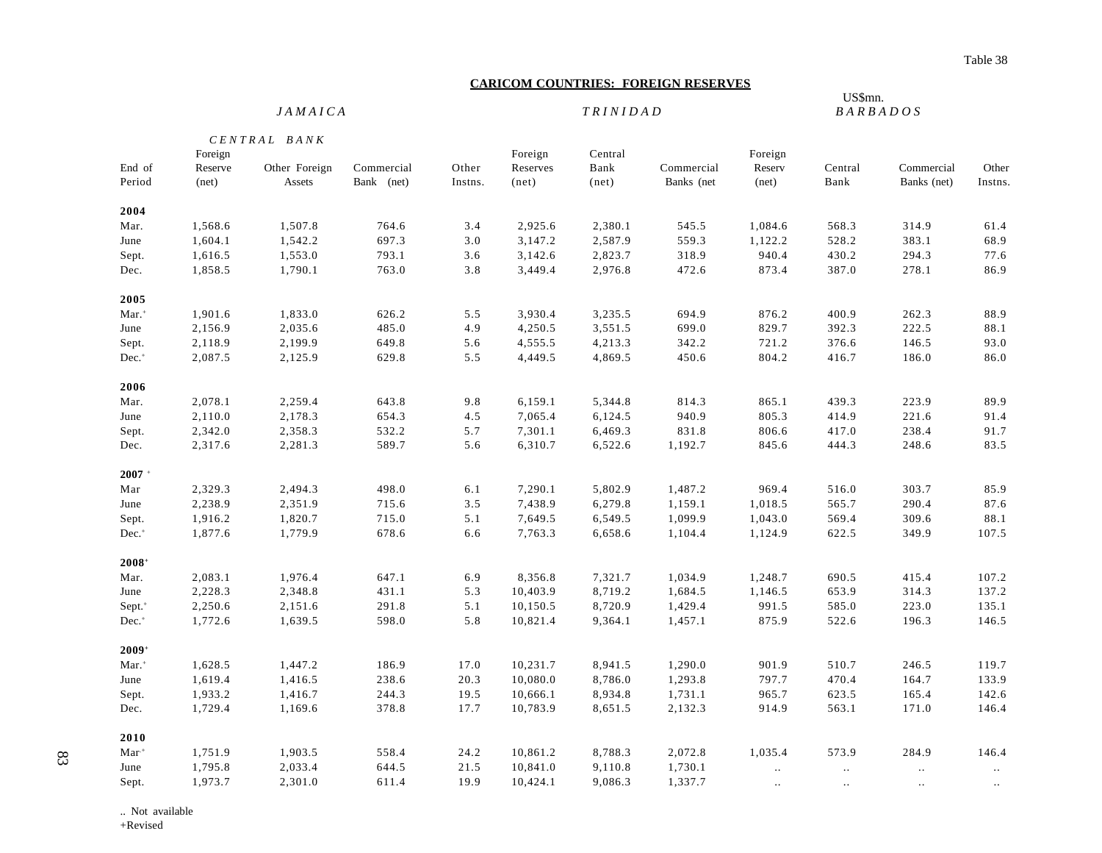#### **CARICOM COUNTRIES: FOREIGN RESERVES**

#### US\$mn. *JAMAICA TRINIDAD BARBADOS*

|                     |         | $CENTRAL$ $BANK$ |            |         |          |         |            |                             |           |             |          |  |
|---------------------|---------|------------------|------------|---------|----------|---------|------------|-----------------------------|-----------|-------------|----------|--|
|                     | Foreign |                  |            |         | Foreign  | Central |            | Foreign                     |           |             |          |  |
| End of              | Reserve | Other Foreign    | Commercial | Other   | Reserves | Bank    | Commercial | Reserv                      | Central   | Commercial  | Other    |  |
| Period              | net)    | Assets           | Bank (net) | Instns. | net)     | net)    | Banks (net | net)                        | Bank      | Banks (net) | Instns.  |  |
| 2004                |         |                  |            |         |          |         |            |                             |           |             |          |  |
| Mar.                | 1,568.6 | 1,507.8          | 764.6      | 3.4     | 2,925.6  | 2,380.1 | 545.5      | 1,084.6                     | 568.3     | 314.9       | 61.4     |  |
| June                | 1,604.1 | 1,542.2          | 697.3      | 3.0     | 3,147.2  | 2,587.9 | 559.3      | 1,122.2                     | 528.2     | 383.1       | 68.9     |  |
| Sept.               | 1,616.5 | 1,553.0          | 793.1      | 3.6     | 3,142.6  | 2,823.7 | 318.9      | 940.4                       | 430.2     | 294.3       | 77.6     |  |
| Dec.                | 1,858.5 | 1,790.1          | 763.0      | 3.8     | 3,449.4  | 2,976.8 | 472.6      | 873.4                       | 387.0     | 278.1       | 86.9     |  |
| 2005                |         |                  |            |         |          |         |            |                             |           |             |          |  |
| Mar. <sup>+</sup>   | 1,901.6 | 1,833.0          | 626.2      | 5.5     | 3,930.4  | 3,235.5 | 694.9      | 876.2                       | 400.9     | 262.3       | 88.9     |  |
| June                | 2,156.9 | 2,035.6          | 485.0      | 4.9     | 4,250.5  | 3,551.5 | 699.0      | 829.7                       | 392.3     | 222.5       | 88.1     |  |
| Sept.               | 2,118.9 | 2,199.9          | 649.8      | 5.6     | 4,555.5  | 4,213.3 | 342.2      | 721.2                       | 376.6     | 146.5       | 93.0     |  |
| Dec. <sup>+</sup>   | 2,087.5 | 2,125.9          | 629.8      | 5.5     | 4,449.5  | 4,869.5 | 450.6      | 804.2                       | 416.7     | 186.0       | 86.0     |  |
| 2006                |         |                  |            |         |          |         |            |                             |           |             |          |  |
| Mar.                | 2,078.1 | 2,259.4          | 643.8      | 9.8     | 6,159.1  | 5,344.8 | 814.3      | 865.1                       | 439.3     | 223.9       | 89.9     |  |
| June                | 2,110.0 | 2,178.3          | 654.3      | 4.5     | 7,065.4  | 6,124.5 | 940.9      | 805.3                       | 414.9     | 221.6       | 91.4     |  |
| Sept.               | 2,342.0 | 2,358.3          | 532.2      | 5.7     | 7,301.1  | 6,469.3 | 831.8      | 806.6                       | 417.0     | 238.4       | 91.7     |  |
| Dec.                | 2,317.6 | 2,281.3          | 589.7      | 5.6     | 6,310.7  | 6,522.6 | 1,192.7    | 845.6                       | 444.3     | 248.6       | 83.5     |  |
| $2007 +$            |         |                  |            |         |          |         |            |                             |           |             |          |  |
| Mar                 | 2,329.3 | 2,494.3          | 498.0      | 6.1     | 7,290.1  | 5,802.9 | 1,487.2    | 969.4                       | 516.0     | 303.7       | 85.9     |  |
| June                | 2,238.9 | 2,351.9          | 715.6      | 3.5     | 7,438.9  | 6,279.8 | 1,159.1    | 1,018.5                     | 565.7     | 290.4       | 87.6     |  |
| Sept.               | 1,916.2 | 1,820.7          | 715.0      | 5.1     | 7,649.5  | 6,549.5 | 1,099.9    | 1,043.0                     | 569.4     | 309.6       | 88.1     |  |
| Dec. <sup>+</sup>   | 1,877.6 | 1,779.9          | 678.6      | 6.6     | 7,763.3  | 6,658.6 | 1,104.4    | 1,124.9                     | 622.5     | 349.9       | 107.5    |  |
| $2008+$             |         |                  |            |         |          |         |            |                             |           |             |          |  |
| Mar.                | 2,083.1 | 1,976.4          | 647.1      | 6.9     | 8,356.8  | 7,321.7 | 1,034.9    | 1,248.7                     | 690.5     | 415.4       | 107.2    |  |
| June                | 2,228.3 | 2,348.8          | 431.1      | 5.3     | 10,403.9 | 8,719.2 | 1,684.5    | 1,146.5                     | 653.9     | 314.3       | 137.2    |  |
| Sept. <sup>+</sup>  | 2,250.6 | 2,151.6          | 291.8      | 5.1     | 10,150.5 | 8,720.9 | 1,429.4    | 991.5                       | 585.0     | 223.0       | 135.1    |  |
| $Dec.$ <sup>+</sup> | 1,772.6 | 1,639.5          | 598.0      | 5.8     | 10,821.4 | 9,364.1 | 1,457.1    | 875.9                       | 522.6     | 196.3       | 146.5    |  |
| $2009+$             |         |                  |            |         |          |         |            |                             |           |             |          |  |
| $Mar.$ <sup>+</sup> | 1,628.5 | 1,447.2          | 186.9      | 17.0    | 10,231.7 | 8,941.5 | 1,290.0    | 901.9                       | 510.7     | 246.5       | 119.7    |  |
| June                | 1,619.4 | 1,416.5          | 238.6      | 20.3    | 10,080.0 | 8,786.0 | 1,293.8    | 797.7                       | 470.4     | 164.7       | 133.9    |  |
| Sept.               | 1,933.2 | 1,416.7          | 244.3      | 19.5    | 10,666.1 | 8,934.8 | 1,731.1    | 965.7                       | 623.5     | 165.4       | 142.6    |  |
| Dec.                | 1,729.4 | 1,169.6          | 378.8      | 17.7    | 10,783.9 | 8,651.5 | 2,132.3    | 914.9                       | 563.1     | 171.0       | 146.4    |  |
| 2010                |         |                  |            |         |          |         |            |                             |           |             |          |  |
| $\mathbf{Mar}^+$    | 1,751.9 | 1,903.5          | 558.4      | 24.2    | 10,861.2 | 8,788.3 | 2,072.8    | 1,035.4                     | 573.9     | 284.9       | 146.4    |  |
| June                | 1,795.8 | 2,033.4          | 644.5      | 21.5    | 10,841.0 | 9,110.8 | 1,730.1    | $\mathcal{L}_{\mathcal{F}}$ | $\ddotsc$ | $\ldots$    | $\ldots$ |  |
| Sept.               | 1,973.7 | 2,301.0          | 611.4      | 19.9    | 10,424.1 | 9,086.3 | 1,337.7    | $\ldots$                    | $\ldots$  | $\ldots$    |          |  |

.. Not available

+Revised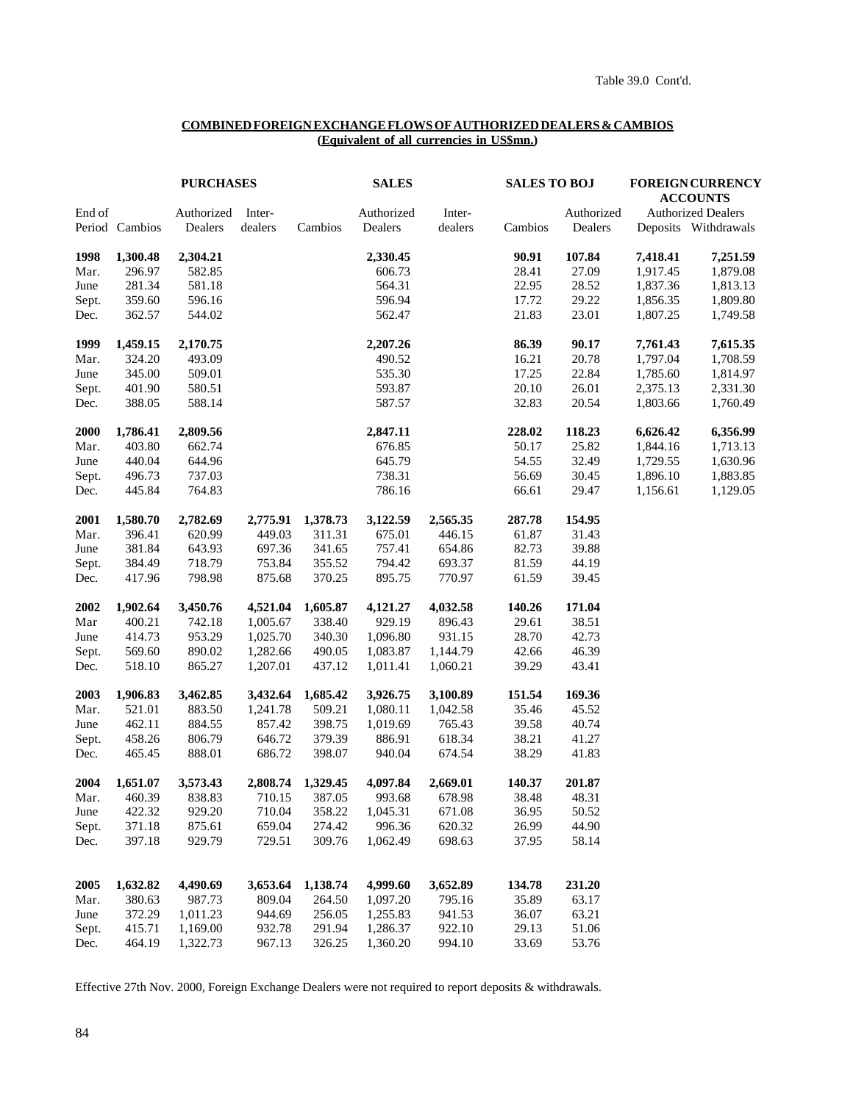#### **COMBINED FOREIGN EXCHANGE FLOWS OF AUTHORIZED DEALERS & CAMBIOS (Equivalent of all currencies in US\$mn.)**

|        |                | <b>PURCHASES</b>      |                   |                   | <b>SALES</b>          |                   | <b>SALES TO BOJ</b> |                       | <b>FOREIGN CURRENCY</b><br><b>ACCOUNTS</b> |                                                   |  |
|--------|----------------|-----------------------|-------------------|-------------------|-----------------------|-------------------|---------------------|-----------------------|--------------------------------------------|---------------------------------------------------|--|
| End of | Period Cambios | Authorized<br>Dealers | Inter-<br>dealers | Cambios           | Authorized<br>Dealers | Inter-<br>dealers | Cambios             | Authorized<br>Dealers |                                            | <b>Authorized Dealers</b><br>Deposits Withdrawals |  |
|        |                |                       |                   |                   |                       |                   |                     |                       |                                            |                                                   |  |
| 1998   | 1,300.48       | 2,304.21              |                   |                   | 2,330.45              |                   | 90.91               | 107.84                | 7,418.41                                   | 7,251.59                                          |  |
| Mar.   | 296.97         | 582.85                |                   |                   | 606.73                |                   | 28.41               | 27.09                 | 1,917.45                                   | 1,879.08                                          |  |
| June   | 281.34         | 581.18                |                   |                   | 564.31                |                   | 22.95               | 28.52                 | 1,837.36                                   | 1,813.13                                          |  |
| Sept.  | 359.60         | 596.16                |                   |                   | 596.94                |                   | 17.72               | 29.22                 | 1,856.35                                   | 1,809.80                                          |  |
| Dec.   | 362.57         | 544.02                |                   |                   | 562.47                |                   | 21.83               | 23.01                 | 1,807.25                                   | 1,749.58                                          |  |
| 1999   | 1,459.15       | 2,170.75              |                   |                   | 2,207.26              |                   | 86.39               | 90.17                 | 7,761.43                                   | 7,615.35                                          |  |
| Mar.   | 324.20         | 493.09                |                   |                   | 490.52                |                   | 16.21               | 20.78                 | 1,797.04                                   | 1,708.59                                          |  |
| June   | 345.00         | 509.01                |                   |                   | 535.30                |                   | 17.25               | 22.84                 | 1,785.60                                   | 1,814.97                                          |  |
| Sept.  | 401.90         | 580.51                |                   |                   | 593.87                |                   | 20.10               | 26.01                 | 2,375.13                                   | 2,331.30                                          |  |
| Dec.   | 388.05         | 588.14                |                   |                   | 587.57                |                   | 32.83               | 20.54                 | 1,803.66                                   | 1,760.49                                          |  |
| 2000   | 1,786.41       | 2,809.56              |                   |                   | 2,847.11              |                   | 228.02              | 118.23                | 6,626.42                                   | 6,356.99                                          |  |
| Mar.   | 403.80         | 662.74                |                   |                   | 676.85                |                   | 50.17               | 25.82                 | 1,844.16                                   | 1,713.13                                          |  |
| June   | 440.04         | 644.96                |                   |                   | 645.79                |                   | 54.55               | 32.49                 | 1,729.55                                   | 1,630.96                                          |  |
| Sept.  | 496.73         | 737.03                |                   |                   | 738.31                |                   | 56.69               | 30.45                 | 1,896.10                                   | 1,883.85                                          |  |
| Dec.   | 445.84         | 764.83                |                   |                   | 786.16                |                   | 66.61               | 29.47                 | 1,156.61                                   | 1,129.05                                          |  |
| 2001   | 1,580.70       | 2,782.69              | 2,775.91          | 1,378.73          | 3,122.59              | 2,565.35          | 287.78              | 154.95                |                                            |                                                   |  |
| Mar.   | 396.41         | 620.99                | 449.03            | 311.31            | 675.01                | 446.15            | 61.87               | 31.43                 |                                            |                                                   |  |
| June   | 381.84         | 643.93                | 697.36            | 341.65            | 757.41                | 654.86            | 82.73               | 39.88                 |                                            |                                                   |  |
| Sept.  | 384.49         | 718.79                | 753.84            | 355.52            | 794.42                | 693.37            | 81.59               | 44.19                 |                                            |                                                   |  |
| Dec.   | 417.96         | 798.98                | 875.68            | 370.25            | 895.75                | 770.97            | 61.59               | 39.45                 |                                            |                                                   |  |
| 2002   | 1,902.64       | 3,450.76              | 4,521.04          | 1,605.87          | 4,121.27              | 4,032.58          | 140.26              | 171.04                |                                            |                                                   |  |
| Mar    | 400.21         | 742.18                | 1,005.67          | 338.40            | 929.19                | 896.43            | 29.61               | 38.51                 |                                            |                                                   |  |
| June   | 414.73         | 953.29                | 1,025.70          | 340.30            | 1,096.80              | 931.15            | 28.70               | 42.73                 |                                            |                                                   |  |
| Sept.  | 569.60         | 890.02                | 1,282.66          | 490.05            | 1,083.87              | 1,144.79          | 42.66               | 46.39                 |                                            |                                                   |  |
| Dec.   | 518.10         | 865.27                | 1,207.01          | 437.12            | 1,011.41              | 1,060.21          | 39.29               | 43.41                 |                                            |                                                   |  |
| 2003   | 1,906.83       | 3,462.85              | 3,432.64          | 1,685.42          | 3,926.75              | 3,100.89          | 151.54              | 169.36                |                                            |                                                   |  |
| Mar.   | 521.01         | 883.50                | 1,241.78          | 509.21            | 1,080.11              | 1,042.58          | 35.46               | 45.52                 |                                            |                                                   |  |
| June   | 462.11         | 884.55                | 857.42            | 398.75            | 1,019.69              | 765.43            | 39.58               | 40.74                 |                                            |                                                   |  |
| Sept.  | 458.26         | 806.79                | 646.72            | 379.39            | 886.91                | 618.34            | 38.21               | 41.27                 |                                            |                                                   |  |
| Dec.   | 465.45         | 888.01                | 686.72            | 398.07            | 940.04                | 674.54            | 38.29               | 41.83                 |                                            |                                                   |  |
| 2004   | 1,651.07       | 3,573.43              |                   | 2,808.74 1,329.45 | 4,097.84              | 2,669.01          | 140.37              | 201.87                |                                            |                                                   |  |
| Mar.   | 460.39         | 838.83                |                   | 710.15 387.05     | 993.68                | 678.98            | 38.48               | 48.31                 |                                            |                                                   |  |
| June   | 422.32         | 929.20                | 710.04            | 358.22            | 1,045.31              | 671.08            | 36.95               | 50.52                 |                                            |                                                   |  |
| Sept.  | 371.18         | 875.61                | 659.04            | 274.42            | 996.36                | 620.32            | 26.99               | 44.90                 |                                            |                                                   |  |
| Dec.   | 397.18         | 929.79                | 729.51            | 309.76            | 1,062.49              | 698.63            | 37.95               | 58.14                 |                                            |                                                   |  |
| 2005   | 1,632.82       | 4,490.69              | 3,653.64          | 1,138.74          | 4,999.60              | 3,652.89          | 134.78              | 231.20                |                                            |                                                   |  |
| Mar.   | 380.63         | 987.73                | 809.04            | 264.50            | 1,097.20              | 795.16            | 35.89               | 63.17                 |                                            |                                                   |  |
| June   | 372.29         | 1,011.23              | 944.69            | 256.05            | 1,255.83              | 941.53            | 36.07               | 63.21                 |                                            |                                                   |  |
| Sept.  | 415.71         | 1,169.00              | 932.78            | 291.94            | 1,286.37              | 922.10            | 29.13               | 51.06                 |                                            |                                                   |  |
| Dec.   | 464.19         | 1,322.73              | 967.13            | 326.25            | 1,360.20              | 994.10            | 33.69               | 53.76                 |                                            |                                                   |  |
|        |                |                       |                   |                   |                       |                   |                     |                       |                                            |                                                   |  |

Effective 27th Nov. 2000, Foreign Exchange Dealers were not required to report deposits & withdrawals.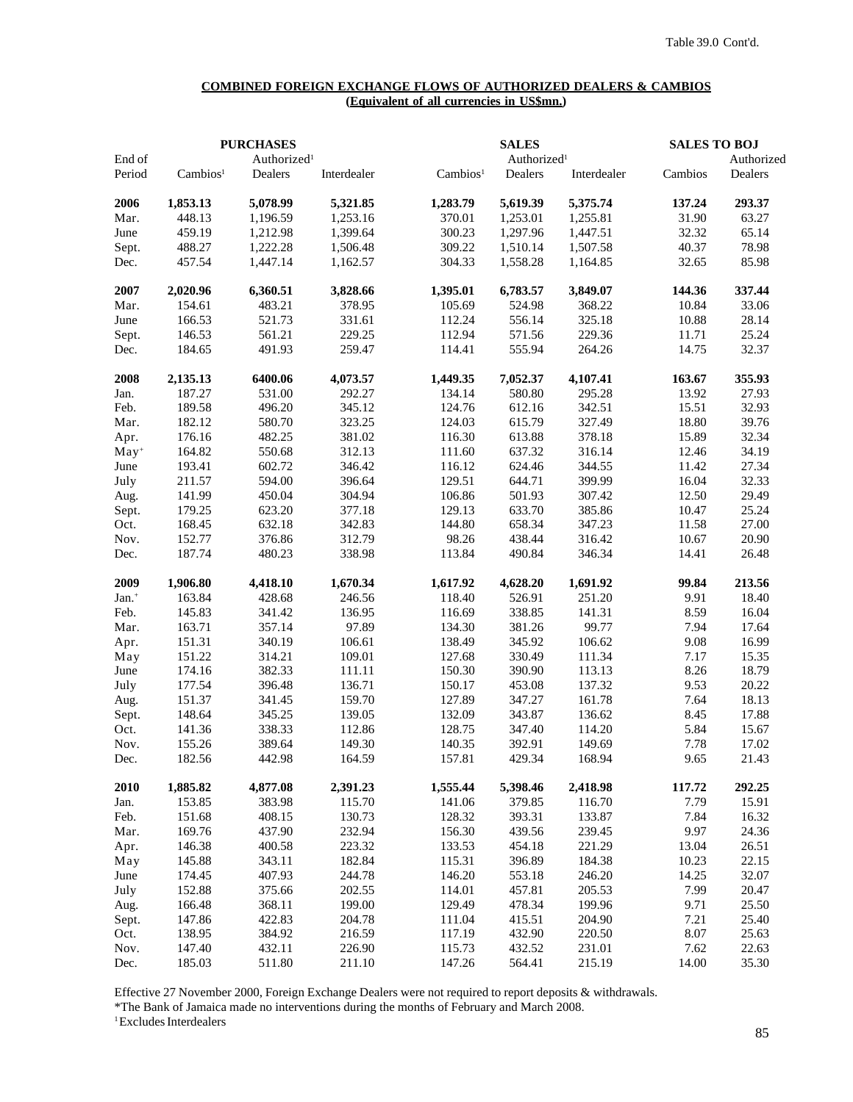#### **COMBINED FOREIGN EXCHANGE FLOWS OF AUTHORIZED DEALERS & CAMBIOS (Equivalent of all currencies in US\$mn.)**

| End of            |                      | <b>PURCHASES</b><br>Authorized <sup>1</sup> |                  |                      | <b>SALES</b><br>Authorized <sup>1</sup> |                  | <b>SALES TO BOJ</b><br>Authorized |         |  |
|-------------------|----------------------|---------------------------------------------|------------------|----------------------|-----------------------------------------|------------------|-----------------------------------|---------|--|
| Period            | Cambios <sup>1</sup> | Dealers                                     | Interdealer      | Cambios <sup>1</sup> | Dealers                                 | Interdealer      | Cambios                           | Dealers |  |
|                   |                      |                                             |                  |                      |                                         |                  |                                   |         |  |
| 2006              | 1,853.13             | 5,078.99                                    | 5,321.85         | 1,283.79             | 5,619.39                                | 5,375.74         | 137.24                            | 293.37  |  |
| Mar.              | 448.13               | 1,196.59                                    | 1,253.16         | 370.01               | 1,253.01                                | 1,255.81         | 31.90                             | 63.27   |  |
| June              | 459.19               | 1,212.98                                    | 1,399.64         | 300.23               | 1,297.96                                | 1,447.51         | 32.32                             | 65.14   |  |
| Sept.             | 488.27               | 1,222.28                                    | 1,506.48         | 309.22               | 1,510.14                                | 1,507.58         | 40.37                             | 78.98   |  |
| Dec.              | 457.54               | 1,447.14                                    | 1,162.57         | 304.33               | 1,558.28                                | 1,164.85         | 32.65                             | 85.98   |  |
| 2007              | 2,020.96             | 6,360.51                                    | 3,828.66         | 1,395.01             | 6,783.57                                | 3,849.07         | 144.36                            | 337.44  |  |
| Mar.              | 154.61               | 483.21                                      | 378.95           | 105.69               | 524.98                                  | 368.22           | 10.84                             | 33.06   |  |
| June              | 166.53               | 521.73                                      | 331.61           | 112.24               | 556.14                                  | 325.18           | 10.88                             | 28.14   |  |
| Sept.             | 146.53               | 561.21                                      | 229.25           | 112.94               | 571.56                                  | 229.36           | 11.71                             | 25.24   |  |
| Dec.              | 184.65               | 491.93                                      | 259.47           | 114.41               | 555.94                                  | 264.26           | 14.75                             | 32.37   |  |
| 2008              | 2,135.13             | 6400.06                                     | 4,073.57         | 1,449.35             | 7,052.37                                | 4,107.41         | 163.67                            | 355.93  |  |
| Jan.              | 187.27               | 531.00                                      | 292.27           | 134.14               | 580.80                                  | 295.28           | 13.92                             | 27.93   |  |
| Feb.              | 189.58               | 496.20                                      | 345.12           | 124.76               | 612.16                                  | 342.51           | 15.51                             | 32.93   |  |
| Mar.              | 182.12               | 580.70                                      | 323.25           | 124.03               | 615.79                                  | 327.49           | 18.80                             | 39.76   |  |
| Apr.              | 176.16               | 482.25                                      | 381.02           | 116.30               | 613.88                                  | 378.18           | 15.89                             | 32.34   |  |
| $May+$            | 164.82               | 550.68                                      | 312.13           | 111.60               | 637.32                                  | 316.14           | 12.46                             | 34.19   |  |
| June              | 193.41               | 602.72                                      | 346.42           | 116.12               | 624.46                                  | 344.55           | 11.42                             | 27.34   |  |
| July              | 211.57               | 594.00                                      | 396.64           | 129.51               | 644.71                                  | 399.99           | 16.04                             | 32.33   |  |
| Aug.              | 141.99               | 450.04                                      | 304.94           | 106.86               | 501.93                                  | 307.42           | 12.50                             | 29.49   |  |
| Sept.             | 179.25               | 623.20                                      | 377.18           | 129.13               | 633.70                                  | 385.86           | 10.47                             | 25.24   |  |
| Oct.              | 168.45               | 632.18                                      | 342.83           | 144.80               | 658.34                                  | 347.23           | 11.58                             | 27.00   |  |
| Nov.              | 152.77               | 376.86                                      | 312.79           | 98.26                | 438.44                                  | 316.42           | 10.67                             | 20.90   |  |
| Dec.              | 187.74               | 480.23                                      | 338.98           | 113.84               | 490.84                                  | 346.34           | 14.41                             | 26.48   |  |
| 2009              | 1,906.80             | 4,418.10                                    | 1,670.34         | 1,617.92             | 4,628.20                                | 1,691.92         | 99.84                             | 213.56  |  |
| Jan. <sup>+</sup> | 163.84               | 428.68                                      | 246.56           | 118.40               | 526.91                                  | 251.20           | 9.91                              | 18.40   |  |
| Feb.              | 145.83               | 341.42                                      | 136.95           | 116.69               | 338.85                                  | 141.31           | 8.59                              | 16.04   |  |
| Mar.              | 163.71               | 357.14                                      | 97.89            | 134.30               | 381.26                                  | 99.77            | 7.94                              | 17.64   |  |
| Apr.              | 151.31               | 340.19                                      | 106.61           | 138.49               | 345.92                                  | 106.62           | 9.08                              | 16.99   |  |
| May               | 151.22               | 314.21                                      | 109.01           | 127.68               | 330.49                                  | 111.34           | 7.17                              | 15.35   |  |
| June              | 174.16               | 382.33                                      | 111.11           | 150.30               | 390.90                                  | 113.13           | 8.26                              | 18.79   |  |
| July              | 177.54               | 396.48                                      | 136.71           | 150.17               | 453.08                                  | 137.32           | 9.53                              | 20.22   |  |
| Aug.              | 151.37               | 341.45                                      | 159.70           | 127.89               | 347.27                                  | 161.78           | 7.64                              | 18.13   |  |
| Sept.             | 148.64               | 345.25                                      | 139.05           | 132.09               | 343.87                                  | 136.62           | 8.45                              | 17.88   |  |
| Oct.              | 141.36               | 338.33                                      | 112.86           | 128.75               | 347.40                                  | 114.20           | 5.84                              | 15.67   |  |
| Nov.              | 155.26               | 389.64                                      | 149.30           | 140.35               | 392.91                                  | 149.69           | 7.78                              | 17.02   |  |
| Dec.              | 182.56               | 442.98                                      | 164.59           | 157.81               | 429.34                                  | 168.94           | 9.65                              | 21.43   |  |
| 2010              | 1,885.82             | 4,877.08                                    | 2,391.23         | 1,555.44             | 5,398.46                                | 2,418.98         | 117.72                            | 292.25  |  |
| Jan.              | 153.85               | 383.98                                      | 115.70           | 141.06               | 379.85                                  | 116.70           | 7.79                              | 15.91   |  |
| Feb.              | 151.68               | 408.15                                      | 130.73           | 128.32               | 393.31                                  | 133.87           | 7.84                              | 16.32   |  |
| Mar.              | 169.76               | 437.90                                      | 232.94           | 156.30               | 439.56                                  | 239.45           | 9.97                              | 24.36   |  |
|                   |                      |                                             |                  |                      |                                         | 221.29           |                                   | 26.51   |  |
| Apr.              | 146.38               | 400.58                                      | 223.32           | 133.53               | 454.18                                  |                  | 13.04                             |         |  |
| May               | 145.88               | 343.11                                      | 182.84           | 115.31               | 396.89                                  | 184.38           | 10.23                             | 22.15   |  |
| June              | 174.45               | 407.93                                      | 244.78<br>202.55 | 146.20<br>114.01     | 553.18                                  | 246.20           | 14.25<br>7.99                     | 32.07   |  |
| July              | 152.88               | 375.66                                      |                  |                      | 457.81                                  | 205.53<br>199.96 |                                   | 20.47   |  |
| Aug.              | 166.48               | 368.11                                      | 199.00           | 129.49               | 478.34                                  |                  | 9.71                              | 25.50   |  |
| Sept.             | 147.86               | 422.83                                      | 204.78           | 111.04               | 415.51                                  | 204.90           | 7.21                              | 25.40   |  |
| Oct.              | 138.95               | 384.92                                      | 216.59           | 117.19               | 432.90                                  | 220.50           | 8.07                              | 25.63   |  |
| Nov.              | 147.40               | 432.11                                      | 226.90           | 115.73               | 432.52                                  | 231.01           | 7.62                              | 22.63   |  |
| Dec.              | 185.03               | 511.80                                      | 211.10           | 147.26               | 564.41                                  | 215.19           | 14.00                             | 35.30   |  |

Effective 27 November 2000, Foreign Exchange Dealers were not required to report deposits & withdrawals.

\*The Bank of Jamaica made no interventions during the months of February and March 2008.

<sup>1</sup> Excludes Interdealers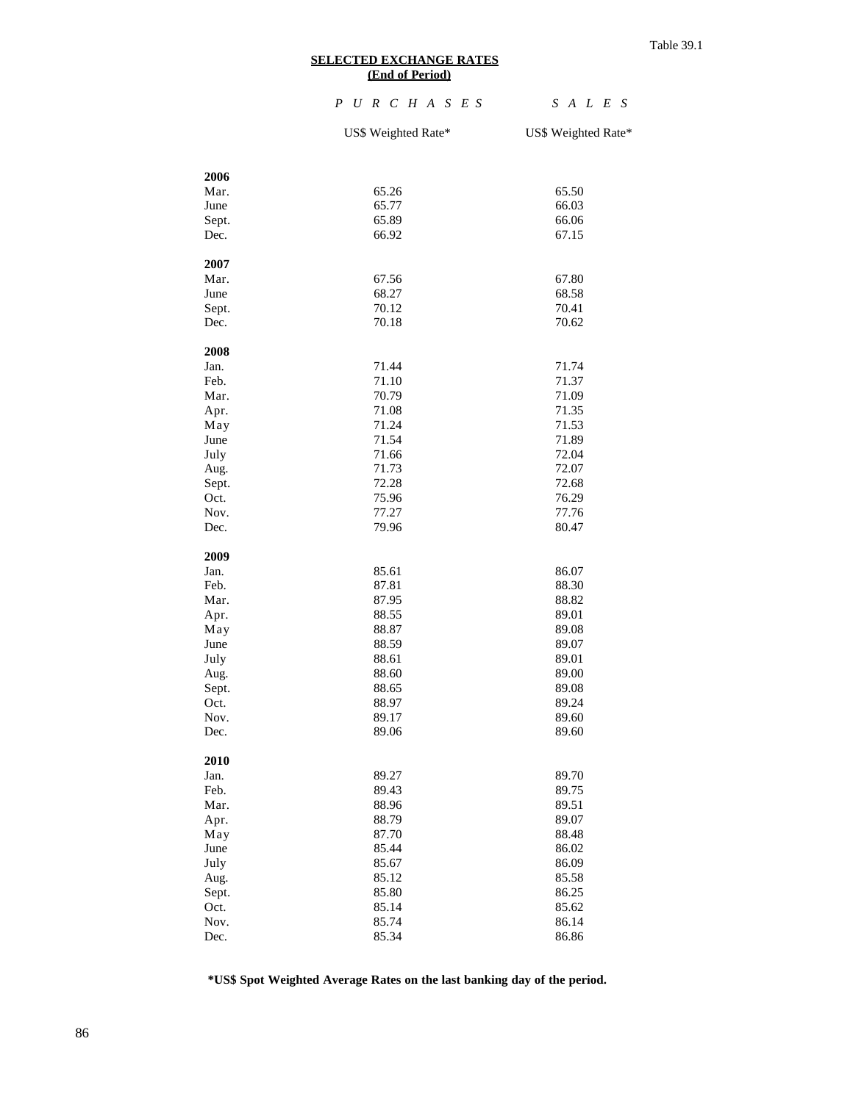#### **SELECTED EXCHANGE RATES (End of Period)**

### *P U R C H A S E S S A L E S*

US\$ Weighted Rate\* US\$ Weighted Rate\*

| 2006          |                |                |
|---------------|----------------|----------------|
| Mar.          | 65.26          | 65.50          |
| June          | 65.77          | 66.03          |
| Sept.         | 65.89          | 66.06          |
| Dec.          | 66.92          | 67.15          |
|               |                |                |
| 2007          |                |                |
| Mar.          | 67.56          | 67.80          |
| June          | 68.27          | 68.58          |
| Sept.         | 70.12          | 70.41          |
| Dec.          | 70.18          | 70.62          |
|               |                |                |
| 2008          |                |                |
| Jan.          | 71.44          | 71.74          |
| Feb.          | 71.10          | 71.37          |
| Mar.          | 70.79          | 71.09          |
| Apr.          | 71.08          | 71.35          |
| May           | 71.24          | 71.53          |
| June          | 71.54          | 71.89          |
| July          | 71.66<br>71.73 | 72.04          |
| Aug.          |                | 72.07          |
| Sept.<br>Oct. | 72.28<br>75.96 | 72.68          |
| Nov.          | 77.27          | 76.29<br>77.76 |
| Dec.          | 79.96          | 80.47          |
|               |                |                |
| 2009          |                |                |
| Jan.          | 85.61          | 86.07          |
| Feb.          | 87.81          | 88.30          |
| Mar.          | 87.95          | 88.82          |
| Apr.          | 88.55          | 89.01          |
| May           | 88.87          | 89.08          |
| June          | 88.59          | 89.07          |
| July          | 88.61          | 89.01          |
| Aug.          | 88.60          | 89.00          |
| Sept.         | 88.65          | 89.08          |
| Oct.          | 88.97          | 89.24          |
| Nov.          | 89.17          | 89.60          |
| Dec.          | 89.06          | 89.60          |
|               |                |                |
| 2010<br>Jan.  |                | 89.70          |
|               | 89.27          |                |
| Feb.          | 89.43          | 89.75<br>89.51 |
| Mar.          | 88.96<br>88.79 | 89.07          |
| Apr.          | 87.70          | 88.48          |
| May<br>June   | 85.44          | 86.02          |
| July          | 85.67          | 86.09          |
| Aug.          | 85.12          | 85.58          |
| Sept.         | 85.80          | 86.25          |
| Oct.          | 85.14          | 85.62          |
| Nov.          | 85.74          | 86.14          |
| Dec.          | 85.34          | 86.86          |
|               |                |                |

**\*US\$ Spot Weighted Average Rates on the last banking day of the period.**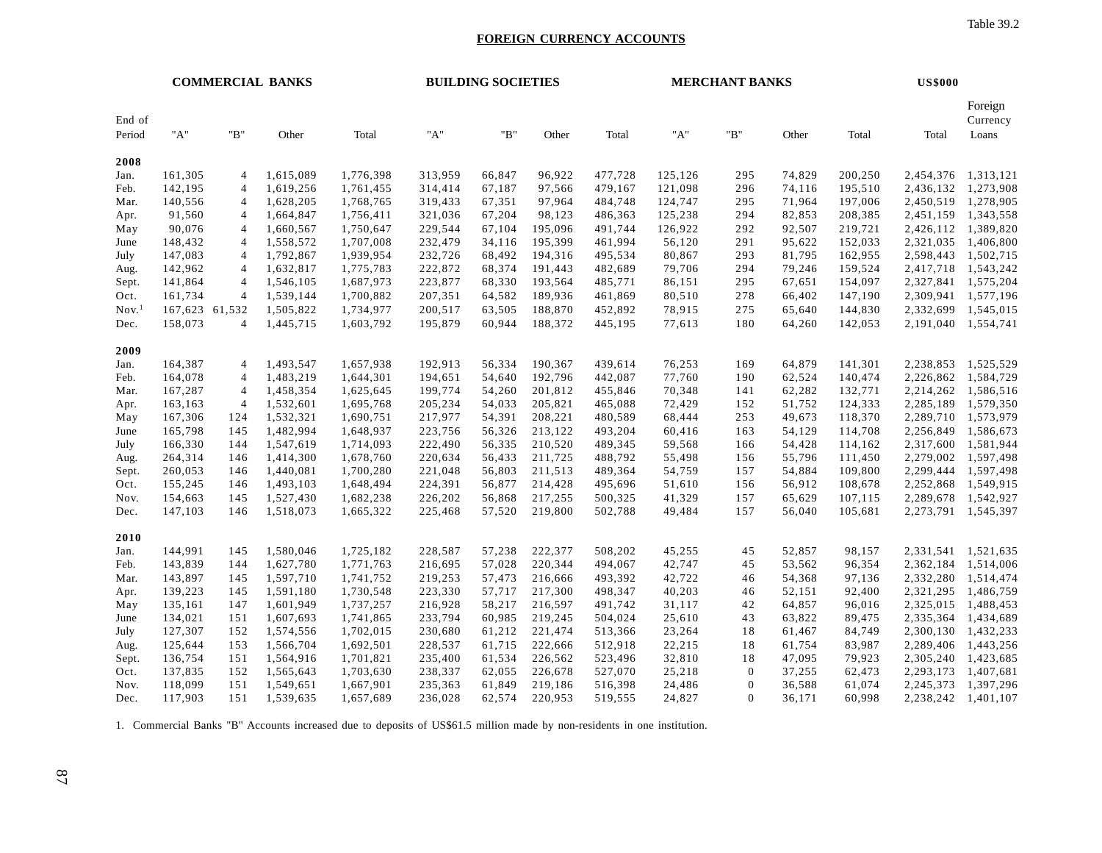Table 39.2

#### **FOREIGN CURRENCY ACCOUNTS**

| Foreign<br>End of<br>Currency<br>"B"<br>"A"<br>"B"<br>"A"<br>"B"<br>"A"<br>Other<br>Total<br>Other<br>Total<br>Other<br>Total<br>Total<br>Loans<br>Period<br>2008<br>161,305<br>313,959<br>96,922<br>125,126<br>295<br>74,829<br>200,250<br>1,313,121<br>1,615,089<br>1,776,398<br>66,847<br>477,728<br>2,454,376<br>4<br>Jan.<br>296<br>1,273,908<br>142,195<br>1,619,256<br>1,761,455<br>314,414<br>67,187<br>97,566<br>479,167<br>121,098<br>74,116<br>195,510<br>2,436,132<br>Feb.<br>4<br>1,278,905<br>140,556<br>1,628,205<br>1,768,765<br>319,433<br>67,351<br>97,964<br>484,748<br>124,747<br>295<br>71,964<br>197,006<br>2,450,519<br>Mar.<br>4<br>1,664,847<br>1,756,411<br>321,036<br>67,204<br>98,123<br>486,363<br>125,238<br>294<br>82,853<br>208,385<br>1,343,558<br>91,560<br>2,451,159<br>Apr.<br>4<br>90,076<br>1,660,567<br>1,750,647<br>92,507<br>1,389,820<br>229,544<br>67,104<br>195,096<br>491,744<br>126,922<br>292<br>219,721<br>2,426,112<br>May<br>4<br>148,432<br>1,558,572<br>1,707,008<br>232,479<br>34,116<br>195,399<br>461,994<br>291<br>95,622<br>152,033<br>2,321,035<br>56,120<br>4<br>June<br>1,792,867<br>293<br>1,502,715<br>147,083<br>1,939,954<br>232,726<br>68,492<br>194,316<br>495,534<br>80,867<br>81,795<br>162,955<br>2,598,443<br>July<br>4<br>142,962<br>1,632,817<br>1,775,783<br>222,872<br>79,706<br>294<br>159,524<br>4<br>68,374<br>191,443<br>482,689<br>79,246<br>2,417,718<br>Aug.<br>141,864<br>1,546,105<br>1,687,973<br>223,877<br>68,330<br>193,564<br>485,771<br>86,151<br>67,651<br>154,097<br>2,327,841<br>1,575,204<br>295<br>Sept.<br>4<br>1,577,196<br>161,734<br>4<br>1,539,144<br>1,700,882<br>207,351<br>64,582<br>189,936<br>461,869<br>80,510<br>278<br>66,402<br>147,190<br>2,309,941<br>Oct.<br>Nov <sup>1</sup><br>1,505,822<br>63,505<br>188,870<br>78,915<br>275<br>144,830<br>2,332,699<br>1,545,015<br>167,623 61,532<br>1,734,977<br>200,517<br>452,892<br>65,640<br>158,073<br>1,445,715<br>1,603,792<br>195,879<br>60,944<br>188,372<br>445,195<br>77,613<br>180<br>64,260<br>142,053<br>2,191,040<br>1,554,741<br>4<br>Dec.<br>2009<br>164,387<br>1,493,547<br>192,913<br>56,334<br>190,367<br>439,614<br>76,253<br>64,879<br>141,301<br>2,238,853<br>1,525,529<br>1,657,938<br>169<br>Jan.<br>4<br>164,078<br>1,483,219<br>194,651<br>54,640<br>192,796<br>77,760<br>62,524<br>140,474<br>2,226,862<br>1,584,729<br>4<br>1,644,301<br>442,087<br>190<br>Feb.<br>167,287<br>1,458,354<br>1,625,645<br>199,774<br>54,260<br>201,812<br>455,846<br>70,348<br>62,282<br>132,771<br>2,214,262<br>1,586,516<br>Mar.<br>141<br>4<br>1,532,601<br>1,695,768<br>205,234<br>205,821<br>465,088<br>72,429<br>152<br>51,752<br>124,333<br>2,285,189<br>1,579,350<br>163,163<br>4<br>54,033<br>Apr.<br>167,306<br>1,532,321<br>1,690,751<br>217,977<br>54,391<br>208,221<br>480,589<br>68,444<br>253<br>49,673<br>118,370<br>2,289,710<br>1,573,979<br>124<br>May<br>1,482,994<br>223,756<br>213,122<br>493,204<br>54,129<br>2,256,849<br>1,586,673<br>165,798<br>145<br>1,648,937<br>56,326<br>60,416<br>163<br>114,708<br>June<br>166,330<br>1,547,619<br>222,490<br>489,345<br>59,568<br>54,428<br>1,581,944<br>144<br>1,714,093<br>56,335<br>210,520<br>166<br>114,162<br>2,317,600<br>July<br>264,314<br>1,414,300<br>1,678,760<br>220,634<br>56,433<br>211,725<br>488,792<br>55,498<br>55,796<br>111,450<br>2,279,002<br>1,597,498<br>146<br>156<br>Aug.<br>260,053<br>1,440,081<br>1,700,280<br>221,048<br>56,803<br>211,513<br>489,364<br>54,759<br>157<br>54,884<br>109,800<br>2,299,444<br>1,597,498<br>146<br>Sept.<br>155,245<br>1,493,103<br>1,648,494<br>224,391<br>56,877<br>214,428<br>495,696<br>51,610<br>56,912<br>108,678<br>2,252,868<br>1,549,915<br>146<br>156<br>Oct.<br>1,527,430<br>1,682,238<br>226,202<br>56,868<br>217,255<br>41,329<br>157<br>65,629<br>107,115<br>1,542,927<br>154,663<br>145<br>500,325<br>2,289,678<br>Nov.<br>57,520<br>219,800<br>49,484<br>56,040<br>1,545,397<br>Dec.<br>147,103<br>146<br>1,518,073<br>1,665,322<br>225,468<br>502,788<br>157<br>105,681<br>2,273,791<br>2010<br>144,991<br>145<br>1,580,046<br>1,725,182<br>228,587<br>57,238<br>222,377<br>508,202<br>45,255<br>45<br>52,857<br>98,157<br>2,331,541<br>1,521,635<br>Jan.<br>143,839<br>144<br>1,627,780<br>1,771,763<br>216,695<br>57,028<br>220,344<br>494,067<br>42,747<br>45<br>53,562<br>96,354<br>2,362,184<br>1,514,006<br>Feb.<br>42,722<br>143,897<br>1,597,710<br>1,741,752<br>219,253<br>57,473<br>216,666<br>493,392<br>54,368<br>97,136<br>2,332,280<br>1,514,474<br>Mar.<br>145<br>46<br>223,330<br>40,203<br>139,223<br>1,591,180<br>1,730,548<br>57,717<br>217,300<br>498,347<br>52,151<br>92,400<br>2,321,295<br>1,486,759<br>145<br>46<br>Apr.<br>1,488,453<br>135,161<br>147<br>1,601,949<br>1,737,257<br>216,928<br>58,217<br>216,597<br>491,742<br>31,117<br>42<br>64,857<br>96,016<br>2,325,015<br>May<br>1,434,689<br>134,021<br>151<br>1,607,693<br>1,741,865<br>233,794<br>60,985<br>219,245<br>504,024<br>25,610<br>43<br>63,822<br>89,475<br>2,335,364<br>June<br>127,307<br>1,574,556<br>1,702,015<br>230,680<br>61,212<br>221,474<br>513,366<br>23,264<br>18<br>61,467<br>84,749<br>2,300,130<br>1,432,233<br>152<br>July<br>22,215<br>125,644<br>1,566,704<br>1,692,501<br>228,537<br>61,715<br>222,666<br>512,918<br>18<br>61,754<br>83,987<br>2,289,406<br>1,443,256<br>153<br>Aug.<br>32,810<br>136,754<br>1,564,916<br>1,701,821<br>235,400<br>61,534<br>226,562<br>523,496<br>18<br>47,095<br>79,923<br>2,305,240<br>1,423,685<br>Sept.<br>151<br>137,835<br>152<br>1,565,643<br>1,703,630<br>238,337<br>62,055<br>226,678<br>527,070<br>25,218<br>$\mathbf{0}$<br>37,255<br>62,473<br>2,293,173<br>1,407,681<br>Oct.<br>118,099<br>2,245,373<br>1,397,296<br>151<br>1,549,651<br>1,667,901<br>235,363<br>61,849<br>219,186<br>516,398<br>24,486<br>$\mathbf{0}$<br>36,588<br>61,074<br>Nov.<br>60.998<br>2,238,242<br>117,903<br>151<br>1,539,635<br>1,657,689<br>236,028<br>62.574<br>220,953<br>519,555<br>24,827<br>$\Omega$<br>36,171<br>1,401,107<br>Dec. | <b>COMMERCIAL BANKS</b> |  |  | <b>BUILDING SOCIETIES</b> |  |  |  | <b>MERCHANT BANKS</b> |  |  |  | <b>US\$000</b> |  |           |  |
|----------------------------------------------------------------------------------------------------------------------------------------------------------------------------------------------------------------------------------------------------------------------------------------------------------------------------------------------------------------------------------------------------------------------------------------------------------------------------------------------------------------------------------------------------------------------------------------------------------------------------------------------------------------------------------------------------------------------------------------------------------------------------------------------------------------------------------------------------------------------------------------------------------------------------------------------------------------------------------------------------------------------------------------------------------------------------------------------------------------------------------------------------------------------------------------------------------------------------------------------------------------------------------------------------------------------------------------------------------------------------------------------------------------------------------------------------------------------------------------------------------------------------------------------------------------------------------------------------------------------------------------------------------------------------------------------------------------------------------------------------------------------------------------------------------------------------------------------------------------------------------------------------------------------------------------------------------------------------------------------------------------------------------------------------------------------------------------------------------------------------------------------------------------------------------------------------------------------------------------------------------------------------------------------------------------------------------------------------------------------------------------------------------------------------------------------------------------------------------------------------------------------------------------------------------------------------------------------------------------------------------------------------------------------------------------------------------------------------------------------------------------------------------------------------------------------------------------------------------------------------------------------------------------------------------------------------------------------------------------------------------------------------------------------------------------------------------------------------------------------------------------------------------------------------------------------------------------------------------------------------------------------------------------------------------------------------------------------------------------------------------------------------------------------------------------------------------------------------------------------------------------------------------------------------------------------------------------------------------------------------------------------------------------------------------------------------------------------------------------------------------------------------------------------------------------------------------------------------------------------------------------------------------------------------------------------------------------------------------------------------------------------------------------------------------------------------------------------------------------------------------------------------------------------------------------------------------------------------------------------------------------------------------------------------------------------------------------------------------------------------------------------------------------------------------------------------------------------------------------------------------------------------------------------------------------------------------------------------------------------------------------------------------------------------------------------------------------------------------------------------------------------------------------------------------------------------------------------------------------------------------------------------------------------------------------------------------------------------------------------------------------------------------------------------------------------------------------------------------------------------------------------------------------------------------------------------------------------------------------------------------------------------------------------------------------------------------------------------------------------------------------------------------------------------------------------------------------------------------------------------------------------------------------------------------------------------------------------------------------------------------------------------------------------------------------------------------------------------------------------------------------------------------------------------------------------------------------------------------------------------------------------------------------------------------------------------------------------------------------------------------------------------------------------------------------------------------------------------|-------------------------|--|--|---------------------------|--|--|--|-----------------------|--|--|--|----------------|--|-----------|--|
|                                                                                                                                                                                                                                                                                                                                                                                                                                                                                                                                                                                                                                                                                                                                                                                                                                                                                                                                                                                                                                                                                                                                                                                                                                                                                                                                                                                                                                                                                                                                                                                                                                                                                                                                                                                                                                                                                                                                                                                                                                                                                                                                                                                                                                                                                                                                                                                                                                                                                                                                                                                                                                                                                                                                                                                                                                                                                                                                                                                                                                                                                                                                                                                                                                                                                                                                                                                                                                                                                                                                                                                                                                                                                                                                                                                                                                                                                                                                                                                                                                                                                                                                                                                                                                                                                                                                                                                                                                                                                                                                                                                                                                                                                                                                                                                                                                                                                                                                                                                                                                                                                                                                                                                                                                                                                                                                                                                                                                                                                                                                                                                                                                                                                                                                                                                                                                                                                                                                                                                                                                                                                                    |                         |  |  |                           |  |  |  |                       |  |  |  |                |  |           |  |
|                                                                                                                                                                                                                                                                                                                                                                                                                                                                                                                                                                                                                                                                                                                                                                                                                                                                                                                                                                                                                                                                                                                                                                                                                                                                                                                                                                                                                                                                                                                                                                                                                                                                                                                                                                                                                                                                                                                                                                                                                                                                                                                                                                                                                                                                                                                                                                                                                                                                                                                                                                                                                                                                                                                                                                                                                                                                                                                                                                                                                                                                                                                                                                                                                                                                                                                                                                                                                                                                                                                                                                                                                                                                                                                                                                                                                                                                                                                                                                                                                                                                                                                                                                                                                                                                                                                                                                                                                                                                                                                                                                                                                                                                                                                                                                                                                                                                                                                                                                                                                                                                                                                                                                                                                                                                                                                                                                                                                                                                                                                                                                                                                                                                                                                                                                                                                                                                                                                                                                                                                                                                                                    |                         |  |  |                           |  |  |  |                       |  |  |  |                |  |           |  |
|                                                                                                                                                                                                                                                                                                                                                                                                                                                                                                                                                                                                                                                                                                                                                                                                                                                                                                                                                                                                                                                                                                                                                                                                                                                                                                                                                                                                                                                                                                                                                                                                                                                                                                                                                                                                                                                                                                                                                                                                                                                                                                                                                                                                                                                                                                                                                                                                                                                                                                                                                                                                                                                                                                                                                                                                                                                                                                                                                                                                                                                                                                                                                                                                                                                                                                                                                                                                                                                                                                                                                                                                                                                                                                                                                                                                                                                                                                                                                                                                                                                                                                                                                                                                                                                                                                                                                                                                                                                                                                                                                                                                                                                                                                                                                                                                                                                                                                                                                                                                                                                                                                                                                                                                                                                                                                                                                                                                                                                                                                                                                                                                                                                                                                                                                                                                                                                                                                                                                                                                                                                                                                    |                         |  |  |                           |  |  |  |                       |  |  |  |                |  |           |  |
|                                                                                                                                                                                                                                                                                                                                                                                                                                                                                                                                                                                                                                                                                                                                                                                                                                                                                                                                                                                                                                                                                                                                                                                                                                                                                                                                                                                                                                                                                                                                                                                                                                                                                                                                                                                                                                                                                                                                                                                                                                                                                                                                                                                                                                                                                                                                                                                                                                                                                                                                                                                                                                                                                                                                                                                                                                                                                                                                                                                                                                                                                                                                                                                                                                                                                                                                                                                                                                                                                                                                                                                                                                                                                                                                                                                                                                                                                                                                                                                                                                                                                                                                                                                                                                                                                                                                                                                                                                                                                                                                                                                                                                                                                                                                                                                                                                                                                                                                                                                                                                                                                                                                                                                                                                                                                                                                                                                                                                                                                                                                                                                                                                                                                                                                                                                                                                                                                                                                                                                                                                                                                                    |                         |  |  |                           |  |  |  |                       |  |  |  |                |  |           |  |
|                                                                                                                                                                                                                                                                                                                                                                                                                                                                                                                                                                                                                                                                                                                                                                                                                                                                                                                                                                                                                                                                                                                                                                                                                                                                                                                                                                                                                                                                                                                                                                                                                                                                                                                                                                                                                                                                                                                                                                                                                                                                                                                                                                                                                                                                                                                                                                                                                                                                                                                                                                                                                                                                                                                                                                                                                                                                                                                                                                                                                                                                                                                                                                                                                                                                                                                                                                                                                                                                                                                                                                                                                                                                                                                                                                                                                                                                                                                                                                                                                                                                                                                                                                                                                                                                                                                                                                                                                                                                                                                                                                                                                                                                                                                                                                                                                                                                                                                                                                                                                                                                                                                                                                                                                                                                                                                                                                                                                                                                                                                                                                                                                                                                                                                                                                                                                                                                                                                                                                                                                                                                                                    |                         |  |  |                           |  |  |  |                       |  |  |  |                |  |           |  |
|                                                                                                                                                                                                                                                                                                                                                                                                                                                                                                                                                                                                                                                                                                                                                                                                                                                                                                                                                                                                                                                                                                                                                                                                                                                                                                                                                                                                                                                                                                                                                                                                                                                                                                                                                                                                                                                                                                                                                                                                                                                                                                                                                                                                                                                                                                                                                                                                                                                                                                                                                                                                                                                                                                                                                                                                                                                                                                                                                                                                                                                                                                                                                                                                                                                                                                                                                                                                                                                                                                                                                                                                                                                                                                                                                                                                                                                                                                                                                                                                                                                                                                                                                                                                                                                                                                                                                                                                                                                                                                                                                                                                                                                                                                                                                                                                                                                                                                                                                                                                                                                                                                                                                                                                                                                                                                                                                                                                                                                                                                                                                                                                                                                                                                                                                                                                                                                                                                                                                                                                                                                                                                    |                         |  |  |                           |  |  |  |                       |  |  |  |                |  |           |  |
|                                                                                                                                                                                                                                                                                                                                                                                                                                                                                                                                                                                                                                                                                                                                                                                                                                                                                                                                                                                                                                                                                                                                                                                                                                                                                                                                                                                                                                                                                                                                                                                                                                                                                                                                                                                                                                                                                                                                                                                                                                                                                                                                                                                                                                                                                                                                                                                                                                                                                                                                                                                                                                                                                                                                                                                                                                                                                                                                                                                                                                                                                                                                                                                                                                                                                                                                                                                                                                                                                                                                                                                                                                                                                                                                                                                                                                                                                                                                                                                                                                                                                                                                                                                                                                                                                                                                                                                                                                                                                                                                                                                                                                                                                                                                                                                                                                                                                                                                                                                                                                                                                                                                                                                                                                                                                                                                                                                                                                                                                                                                                                                                                                                                                                                                                                                                                                                                                                                                                                                                                                                                                                    |                         |  |  |                           |  |  |  |                       |  |  |  |                |  |           |  |
|                                                                                                                                                                                                                                                                                                                                                                                                                                                                                                                                                                                                                                                                                                                                                                                                                                                                                                                                                                                                                                                                                                                                                                                                                                                                                                                                                                                                                                                                                                                                                                                                                                                                                                                                                                                                                                                                                                                                                                                                                                                                                                                                                                                                                                                                                                                                                                                                                                                                                                                                                                                                                                                                                                                                                                                                                                                                                                                                                                                                                                                                                                                                                                                                                                                                                                                                                                                                                                                                                                                                                                                                                                                                                                                                                                                                                                                                                                                                                                                                                                                                                                                                                                                                                                                                                                                                                                                                                                                                                                                                                                                                                                                                                                                                                                                                                                                                                                                                                                                                                                                                                                                                                                                                                                                                                                                                                                                                                                                                                                                                                                                                                                                                                                                                                                                                                                                                                                                                                                                                                                                                                                    |                         |  |  |                           |  |  |  |                       |  |  |  |                |  | 1,406,800 |  |
|                                                                                                                                                                                                                                                                                                                                                                                                                                                                                                                                                                                                                                                                                                                                                                                                                                                                                                                                                                                                                                                                                                                                                                                                                                                                                                                                                                                                                                                                                                                                                                                                                                                                                                                                                                                                                                                                                                                                                                                                                                                                                                                                                                                                                                                                                                                                                                                                                                                                                                                                                                                                                                                                                                                                                                                                                                                                                                                                                                                                                                                                                                                                                                                                                                                                                                                                                                                                                                                                                                                                                                                                                                                                                                                                                                                                                                                                                                                                                                                                                                                                                                                                                                                                                                                                                                                                                                                                                                                                                                                                                                                                                                                                                                                                                                                                                                                                                                                                                                                                                                                                                                                                                                                                                                                                                                                                                                                                                                                                                                                                                                                                                                                                                                                                                                                                                                                                                                                                                                                                                                                                                                    |                         |  |  |                           |  |  |  |                       |  |  |  |                |  |           |  |
|                                                                                                                                                                                                                                                                                                                                                                                                                                                                                                                                                                                                                                                                                                                                                                                                                                                                                                                                                                                                                                                                                                                                                                                                                                                                                                                                                                                                                                                                                                                                                                                                                                                                                                                                                                                                                                                                                                                                                                                                                                                                                                                                                                                                                                                                                                                                                                                                                                                                                                                                                                                                                                                                                                                                                                                                                                                                                                                                                                                                                                                                                                                                                                                                                                                                                                                                                                                                                                                                                                                                                                                                                                                                                                                                                                                                                                                                                                                                                                                                                                                                                                                                                                                                                                                                                                                                                                                                                                                                                                                                                                                                                                                                                                                                                                                                                                                                                                                                                                                                                                                                                                                                                                                                                                                                                                                                                                                                                                                                                                                                                                                                                                                                                                                                                                                                                                                                                                                                                                                                                                                                                                    |                         |  |  |                           |  |  |  |                       |  |  |  |                |  | 1,543,242 |  |
|                                                                                                                                                                                                                                                                                                                                                                                                                                                                                                                                                                                                                                                                                                                                                                                                                                                                                                                                                                                                                                                                                                                                                                                                                                                                                                                                                                                                                                                                                                                                                                                                                                                                                                                                                                                                                                                                                                                                                                                                                                                                                                                                                                                                                                                                                                                                                                                                                                                                                                                                                                                                                                                                                                                                                                                                                                                                                                                                                                                                                                                                                                                                                                                                                                                                                                                                                                                                                                                                                                                                                                                                                                                                                                                                                                                                                                                                                                                                                                                                                                                                                                                                                                                                                                                                                                                                                                                                                                                                                                                                                                                                                                                                                                                                                                                                                                                                                                                                                                                                                                                                                                                                                                                                                                                                                                                                                                                                                                                                                                                                                                                                                                                                                                                                                                                                                                                                                                                                                                                                                                                                                                    |                         |  |  |                           |  |  |  |                       |  |  |  |                |  |           |  |
|                                                                                                                                                                                                                                                                                                                                                                                                                                                                                                                                                                                                                                                                                                                                                                                                                                                                                                                                                                                                                                                                                                                                                                                                                                                                                                                                                                                                                                                                                                                                                                                                                                                                                                                                                                                                                                                                                                                                                                                                                                                                                                                                                                                                                                                                                                                                                                                                                                                                                                                                                                                                                                                                                                                                                                                                                                                                                                                                                                                                                                                                                                                                                                                                                                                                                                                                                                                                                                                                                                                                                                                                                                                                                                                                                                                                                                                                                                                                                                                                                                                                                                                                                                                                                                                                                                                                                                                                                                                                                                                                                                                                                                                                                                                                                                                                                                                                                                                                                                                                                                                                                                                                                                                                                                                                                                                                                                                                                                                                                                                                                                                                                                                                                                                                                                                                                                                                                                                                                                                                                                                                                                    |                         |  |  |                           |  |  |  |                       |  |  |  |                |  |           |  |
|                                                                                                                                                                                                                                                                                                                                                                                                                                                                                                                                                                                                                                                                                                                                                                                                                                                                                                                                                                                                                                                                                                                                                                                                                                                                                                                                                                                                                                                                                                                                                                                                                                                                                                                                                                                                                                                                                                                                                                                                                                                                                                                                                                                                                                                                                                                                                                                                                                                                                                                                                                                                                                                                                                                                                                                                                                                                                                                                                                                                                                                                                                                                                                                                                                                                                                                                                                                                                                                                                                                                                                                                                                                                                                                                                                                                                                                                                                                                                                                                                                                                                                                                                                                                                                                                                                                                                                                                                                                                                                                                                                                                                                                                                                                                                                                                                                                                                                                                                                                                                                                                                                                                                                                                                                                                                                                                                                                                                                                                                                                                                                                                                                                                                                                                                                                                                                                                                                                                                                                                                                                                                                    |                         |  |  |                           |  |  |  |                       |  |  |  |                |  |           |  |
|                                                                                                                                                                                                                                                                                                                                                                                                                                                                                                                                                                                                                                                                                                                                                                                                                                                                                                                                                                                                                                                                                                                                                                                                                                                                                                                                                                                                                                                                                                                                                                                                                                                                                                                                                                                                                                                                                                                                                                                                                                                                                                                                                                                                                                                                                                                                                                                                                                                                                                                                                                                                                                                                                                                                                                                                                                                                                                                                                                                                                                                                                                                                                                                                                                                                                                                                                                                                                                                                                                                                                                                                                                                                                                                                                                                                                                                                                                                                                                                                                                                                                                                                                                                                                                                                                                                                                                                                                                                                                                                                                                                                                                                                                                                                                                                                                                                                                                                                                                                                                                                                                                                                                                                                                                                                                                                                                                                                                                                                                                                                                                                                                                                                                                                                                                                                                                                                                                                                                                                                                                                                                                    |                         |  |  |                           |  |  |  |                       |  |  |  |                |  |           |  |
|                                                                                                                                                                                                                                                                                                                                                                                                                                                                                                                                                                                                                                                                                                                                                                                                                                                                                                                                                                                                                                                                                                                                                                                                                                                                                                                                                                                                                                                                                                                                                                                                                                                                                                                                                                                                                                                                                                                                                                                                                                                                                                                                                                                                                                                                                                                                                                                                                                                                                                                                                                                                                                                                                                                                                                                                                                                                                                                                                                                                                                                                                                                                                                                                                                                                                                                                                                                                                                                                                                                                                                                                                                                                                                                                                                                                                                                                                                                                                                                                                                                                                                                                                                                                                                                                                                                                                                                                                                                                                                                                                                                                                                                                                                                                                                                                                                                                                                                                                                                                                                                                                                                                                                                                                                                                                                                                                                                                                                                                                                                                                                                                                                                                                                                                                                                                                                                                                                                                                                                                                                                                                                    |                         |  |  |                           |  |  |  |                       |  |  |  |                |  |           |  |
|                                                                                                                                                                                                                                                                                                                                                                                                                                                                                                                                                                                                                                                                                                                                                                                                                                                                                                                                                                                                                                                                                                                                                                                                                                                                                                                                                                                                                                                                                                                                                                                                                                                                                                                                                                                                                                                                                                                                                                                                                                                                                                                                                                                                                                                                                                                                                                                                                                                                                                                                                                                                                                                                                                                                                                                                                                                                                                                                                                                                                                                                                                                                                                                                                                                                                                                                                                                                                                                                                                                                                                                                                                                                                                                                                                                                                                                                                                                                                                                                                                                                                                                                                                                                                                                                                                                                                                                                                                                                                                                                                                                                                                                                                                                                                                                                                                                                                                                                                                                                                                                                                                                                                                                                                                                                                                                                                                                                                                                                                                                                                                                                                                                                                                                                                                                                                                                                                                                                                                                                                                                                                                    |                         |  |  |                           |  |  |  |                       |  |  |  |                |  |           |  |
|                                                                                                                                                                                                                                                                                                                                                                                                                                                                                                                                                                                                                                                                                                                                                                                                                                                                                                                                                                                                                                                                                                                                                                                                                                                                                                                                                                                                                                                                                                                                                                                                                                                                                                                                                                                                                                                                                                                                                                                                                                                                                                                                                                                                                                                                                                                                                                                                                                                                                                                                                                                                                                                                                                                                                                                                                                                                                                                                                                                                                                                                                                                                                                                                                                                                                                                                                                                                                                                                                                                                                                                                                                                                                                                                                                                                                                                                                                                                                                                                                                                                                                                                                                                                                                                                                                                                                                                                                                                                                                                                                                                                                                                                                                                                                                                                                                                                                                                                                                                                                                                                                                                                                                                                                                                                                                                                                                                                                                                                                                                                                                                                                                                                                                                                                                                                                                                                                                                                                                                                                                                                                                    |                         |  |  |                           |  |  |  |                       |  |  |  |                |  |           |  |
|                                                                                                                                                                                                                                                                                                                                                                                                                                                                                                                                                                                                                                                                                                                                                                                                                                                                                                                                                                                                                                                                                                                                                                                                                                                                                                                                                                                                                                                                                                                                                                                                                                                                                                                                                                                                                                                                                                                                                                                                                                                                                                                                                                                                                                                                                                                                                                                                                                                                                                                                                                                                                                                                                                                                                                                                                                                                                                                                                                                                                                                                                                                                                                                                                                                                                                                                                                                                                                                                                                                                                                                                                                                                                                                                                                                                                                                                                                                                                                                                                                                                                                                                                                                                                                                                                                                                                                                                                                                                                                                                                                                                                                                                                                                                                                                                                                                                                                                                                                                                                                                                                                                                                                                                                                                                                                                                                                                                                                                                                                                                                                                                                                                                                                                                                                                                                                                                                                                                                                                                                                                                                                    |                         |  |  |                           |  |  |  |                       |  |  |  |                |  |           |  |
|                                                                                                                                                                                                                                                                                                                                                                                                                                                                                                                                                                                                                                                                                                                                                                                                                                                                                                                                                                                                                                                                                                                                                                                                                                                                                                                                                                                                                                                                                                                                                                                                                                                                                                                                                                                                                                                                                                                                                                                                                                                                                                                                                                                                                                                                                                                                                                                                                                                                                                                                                                                                                                                                                                                                                                                                                                                                                                                                                                                                                                                                                                                                                                                                                                                                                                                                                                                                                                                                                                                                                                                                                                                                                                                                                                                                                                                                                                                                                                                                                                                                                                                                                                                                                                                                                                                                                                                                                                                                                                                                                                                                                                                                                                                                                                                                                                                                                                                                                                                                                                                                                                                                                                                                                                                                                                                                                                                                                                                                                                                                                                                                                                                                                                                                                                                                                                                                                                                                                                                                                                                                                                    |                         |  |  |                           |  |  |  |                       |  |  |  |                |  |           |  |
|                                                                                                                                                                                                                                                                                                                                                                                                                                                                                                                                                                                                                                                                                                                                                                                                                                                                                                                                                                                                                                                                                                                                                                                                                                                                                                                                                                                                                                                                                                                                                                                                                                                                                                                                                                                                                                                                                                                                                                                                                                                                                                                                                                                                                                                                                                                                                                                                                                                                                                                                                                                                                                                                                                                                                                                                                                                                                                                                                                                                                                                                                                                                                                                                                                                                                                                                                                                                                                                                                                                                                                                                                                                                                                                                                                                                                                                                                                                                                                                                                                                                                                                                                                                                                                                                                                                                                                                                                                                                                                                                                                                                                                                                                                                                                                                                                                                                                                                                                                                                                                                                                                                                                                                                                                                                                                                                                                                                                                                                                                                                                                                                                                                                                                                                                                                                                                                                                                                                                                                                                                                                                                    |                         |  |  |                           |  |  |  |                       |  |  |  |                |  |           |  |
|                                                                                                                                                                                                                                                                                                                                                                                                                                                                                                                                                                                                                                                                                                                                                                                                                                                                                                                                                                                                                                                                                                                                                                                                                                                                                                                                                                                                                                                                                                                                                                                                                                                                                                                                                                                                                                                                                                                                                                                                                                                                                                                                                                                                                                                                                                                                                                                                                                                                                                                                                                                                                                                                                                                                                                                                                                                                                                                                                                                                                                                                                                                                                                                                                                                                                                                                                                                                                                                                                                                                                                                                                                                                                                                                                                                                                                                                                                                                                                                                                                                                                                                                                                                                                                                                                                                                                                                                                                                                                                                                                                                                                                                                                                                                                                                                                                                                                                                                                                                                                                                                                                                                                                                                                                                                                                                                                                                                                                                                                                                                                                                                                                                                                                                                                                                                                                                                                                                                                                                                                                                                                                    |                         |  |  |                           |  |  |  |                       |  |  |  |                |  |           |  |
|                                                                                                                                                                                                                                                                                                                                                                                                                                                                                                                                                                                                                                                                                                                                                                                                                                                                                                                                                                                                                                                                                                                                                                                                                                                                                                                                                                                                                                                                                                                                                                                                                                                                                                                                                                                                                                                                                                                                                                                                                                                                                                                                                                                                                                                                                                                                                                                                                                                                                                                                                                                                                                                                                                                                                                                                                                                                                                                                                                                                                                                                                                                                                                                                                                                                                                                                                                                                                                                                                                                                                                                                                                                                                                                                                                                                                                                                                                                                                                                                                                                                                                                                                                                                                                                                                                                                                                                                                                                                                                                                                                                                                                                                                                                                                                                                                                                                                                                                                                                                                                                                                                                                                                                                                                                                                                                                                                                                                                                                                                                                                                                                                                                                                                                                                                                                                                                                                                                                                                                                                                                                                                    |                         |  |  |                           |  |  |  |                       |  |  |  |                |  |           |  |
|                                                                                                                                                                                                                                                                                                                                                                                                                                                                                                                                                                                                                                                                                                                                                                                                                                                                                                                                                                                                                                                                                                                                                                                                                                                                                                                                                                                                                                                                                                                                                                                                                                                                                                                                                                                                                                                                                                                                                                                                                                                                                                                                                                                                                                                                                                                                                                                                                                                                                                                                                                                                                                                                                                                                                                                                                                                                                                                                                                                                                                                                                                                                                                                                                                                                                                                                                                                                                                                                                                                                                                                                                                                                                                                                                                                                                                                                                                                                                                                                                                                                                                                                                                                                                                                                                                                                                                                                                                                                                                                                                                                                                                                                                                                                                                                                                                                                                                                                                                                                                                                                                                                                                                                                                                                                                                                                                                                                                                                                                                                                                                                                                                                                                                                                                                                                                                                                                                                                                                                                                                                                                                    |                         |  |  |                           |  |  |  |                       |  |  |  |                |  |           |  |
|                                                                                                                                                                                                                                                                                                                                                                                                                                                                                                                                                                                                                                                                                                                                                                                                                                                                                                                                                                                                                                                                                                                                                                                                                                                                                                                                                                                                                                                                                                                                                                                                                                                                                                                                                                                                                                                                                                                                                                                                                                                                                                                                                                                                                                                                                                                                                                                                                                                                                                                                                                                                                                                                                                                                                                                                                                                                                                                                                                                                                                                                                                                                                                                                                                                                                                                                                                                                                                                                                                                                                                                                                                                                                                                                                                                                                                                                                                                                                                                                                                                                                                                                                                                                                                                                                                                                                                                                                                                                                                                                                                                                                                                                                                                                                                                                                                                                                                                                                                                                                                                                                                                                                                                                                                                                                                                                                                                                                                                                                                                                                                                                                                                                                                                                                                                                                                                                                                                                                                                                                                                                                                    |                         |  |  |                           |  |  |  |                       |  |  |  |                |  |           |  |
|                                                                                                                                                                                                                                                                                                                                                                                                                                                                                                                                                                                                                                                                                                                                                                                                                                                                                                                                                                                                                                                                                                                                                                                                                                                                                                                                                                                                                                                                                                                                                                                                                                                                                                                                                                                                                                                                                                                                                                                                                                                                                                                                                                                                                                                                                                                                                                                                                                                                                                                                                                                                                                                                                                                                                                                                                                                                                                                                                                                                                                                                                                                                                                                                                                                                                                                                                                                                                                                                                                                                                                                                                                                                                                                                                                                                                                                                                                                                                                                                                                                                                                                                                                                                                                                                                                                                                                                                                                                                                                                                                                                                                                                                                                                                                                                                                                                                                                                                                                                                                                                                                                                                                                                                                                                                                                                                                                                                                                                                                                                                                                                                                                                                                                                                                                                                                                                                                                                                                                                                                                                                                                    |                         |  |  |                           |  |  |  |                       |  |  |  |                |  |           |  |
|                                                                                                                                                                                                                                                                                                                                                                                                                                                                                                                                                                                                                                                                                                                                                                                                                                                                                                                                                                                                                                                                                                                                                                                                                                                                                                                                                                                                                                                                                                                                                                                                                                                                                                                                                                                                                                                                                                                                                                                                                                                                                                                                                                                                                                                                                                                                                                                                                                                                                                                                                                                                                                                                                                                                                                                                                                                                                                                                                                                                                                                                                                                                                                                                                                                                                                                                                                                                                                                                                                                                                                                                                                                                                                                                                                                                                                                                                                                                                                                                                                                                                                                                                                                                                                                                                                                                                                                                                                                                                                                                                                                                                                                                                                                                                                                                                                                                                                                                                                                                                                                                                                                                                                                                                                                                                                                                                                                                                                                                                                                                                                                                                                                                                                                                                                                                                                                                                                                                                                                                                                                                                                    |                         |  |  |                           |  |  |  |                       |  |  |  |                |  |           |  |
|                                                                                                                                                                                                                                                                                                                                                                                                                                                                                                                                                                                                                                                                                                                                                                                                                                                                                                                                                                                                                                                                                                                                                                                                                                                                                                                                                                                                                                                                                                                                                                                                                                                                                                                                                                                                                                                                                                                                                                                                                                                                                                                                                                                                                                                                                                                                                                                                                                                                                                                                                                                                                                                                                                                                                                                                                                                                                                                                                                                                                                                                                                                                                                                                                                                                                                                                                                                                                                                                                                                                                                                                                                                                                                                                                                                                                                                                                                                                                                                                                                                                                                                                                                                                                                                                                                                                                                                                                                                                                                                                                                                                                                                                                                                                                                                                                                                                                                                                                                                                                                                                                                                                                                                                                                                                                                                                                                                                                                                                                                                                                                                                                                                                                                                                                                                                                                                                                                                                                                                                                                                                                                    |                         |  |  |                           |  |  |  |                       |  |  |  |                |  |           |  |
|                                                                                                                                                                                                                                                                                                                                                                                                                                                                                                                                                                                                                                                                                                                                                                                                                                                                                                                                                                                                                                                                                                                                                                                                                                                                                                                                                                                                                                                                                                                                                                                                                                                                                                                                                                                                                                                                                                                                                                                                                                                                                                                                                                                                                                                                                                                                                                                                                                                                                                                                                                                                                                                                                                                                                                                                                                                                                                                                                                                                                                                                                                                                                                                                                                                                                                                                                                                                                                                                                                                                                                                                                                                                                                                                                                                                                                                                                                                                                                                                                                                                                                                                                                                                                                                                                                                                                                                                                                                                                                                                                                                                                                                                                                                                                                                                                                                                                                                                                                                                                                                                                                                                                                                                                                                                                                                                                                                                                                                                                                                                                                                                                                                                                                                                                                                                                                                                                                                                                                                                                                                                                                    |                         |  |  |                           |  |  |  |                       |  |  |  |                |  |           |  |
|                                                                                                                                                                                                                                                                                                                                                                                                                                                                                                                                                                                                                                                                                                                                                                                                                                                                                                                                                                                                                                                                                                                                                                                                                                                                                                                                                                                                                                                                                                                                                                                                                                                                                                                                                                                                                                                                                                                                                                                                                                                                                                                                                                                                                                                                                                                                                                                                                                                                                                                                                                                                                                                                                                                                                                                                                                                                                                                                                                                                                                                                                                                                                                                                                                                                                                                                                                                                                                                                                                                                                                                                                                                                                                                                                                                                                                                                                                                                                                                                                                                                                                                                                                                                                                                                                                                                                                                                                                                                                                                                                                                                                                                                                                                                                                                                                                                                                                                                                                                                                                                                                                                                                                                                                                                                                                                                                                                                                                                                                                                                                                                                                                                                                                                                                                                                                                                                                                                                                                                                                                                                                                    |                         |  |  |                           |  |  |  |                       |  |  |  |                |  |           |  |
|                                                                                                                                                                                                                                                                                                                                                                                                                                                                                                                                                                                                                                                                                                                                                                                                                                                                                                                                                                                                                                                                                                                                                                                                                                                                                                                                                                                                                                                                                                                                                                                                                                                                                                                                                                                                                                                                                                                                                                                                                                                                                                                                                                                                                                                                                                                                                                                                                                                                                                                                                                                                                                                                                                                                                                                                                                                                                                                                                                                                                                                                                                                                                                                                                                                                                                                                                                                                                                                                                                                                                                                                                                                                                                                                                                                                                                                                                                                                                                                                                                                                                                                                                                                                                                                                                                                                                                                                                                                                                                                                                                                                                                                                                                                                                                                                                                                                                                                                                                                                                                                                                                                                                                                                                                                                                                                                                                                                                                                                                                                                                                                                                                                                                                                                                                                                                                                                                                                                                                                                                                                                                                    |                         |  |  |                           |  |  |  |                       |  |  |  |                |  |           |  |
|                                                                                                                                                                                                                                                                                                                                                                                                                                                                                                                                                                                                                                                                                                                                                                                                                                                                                                                                                                                                                                                                                                                                                                                                                                                                                                                                                                                                                                                                                                                                                                                                                                                                                                                                                                                                                                                                                                                                                                                                                                                                                                                                                                                                                                                                                                                                                                                                                                                                                                                                                                                                                                                                                                                                                                                                                                                                                                                                                                                                                                                                                                                                                                                                                                                                                                                                                                                                                                                                                                                                                                                                                                                                                                                                                                                                                                                                                                                                                                                                                                                                                                                                                                                                                                                                                                                                                                                                                                                                                                                                                                                                                                                                                                                                                                                                                                                                                                                                                                                                                                                                                                                                                                                                                                                                                                                                                                                                                                                                                                                                                                                                                                                                                                                                                                                                                                                                                                                                                                                                                                                                                                    |                         |  |  |                           |  |  |  |                       |  |  |  |                |  |           |  |
|                                                                                                                                                                                                                                                                                                                                                                                                                                                                                                                                                                                                                                                                                                                                                                                                                                                                                                                                                                                                                                                                                                                                                                                                                                                                                                                                                                                                                                                                                                                                                                                                                                                                                                                                                                                                                                                                                                                                                                                                                                                                                                                                                                                                                                                                                                                                                                                                                                                                                                                                                                                                                                                                                                                                                                                                                                                                                                                                                                                                                                                                                                                                                                                                                                                                                                                                                                                                                                                                                                                                                                                                                                                                                                                                                                                                                                                                                                                                                                                                                                                                                                                                                                                                                                                                                                                                                                                                                                                                                                                                                                                                                                                                                                                                                                                                                                                                                                                                                                                                                                                                                                                                                                                                                                                                                                                                                                                                                                                                                                                                                                                                                                                                                                                                                                                                                                                                                                                                                                                                                                                                                                    |                         |  |  |                           |  |  |  |                       |  |  |  |                |  |           |  |
|                                                                                                                                                                                                                                                                                                                                                                                                                                                                                                                                                                                                                                                                                                                                                                                                                                                                                                                                                                                                                                                                                                                                                                                                                                                                                                                                                                                                                                                                                                                                                                                                                                                                                                                                                                                                                                                                                                                                                                                                                                                                                                                                                                                                                                                                                                                                                                                                                                                                                                                                                                                                                                                                                                                                                                                                                                                                                                                                                                                                                                                                                                                                                                                                                                                                                                                                                                                                                                                                                                                                                                                                                                                                                                                                                                                                                                                                                                                                                                                                                                                                                                                                                                                                                                                                                                                                                                                                                                                                                                                                                                                                                                                                                                                                                                                                                                                                                                                                                                                                                                                                                                                                                                                                                                                                                                                                                                                                                                                                                                                                                                                                                                                                                                                                                                                                                                                                                                                                                                                                                                                                                                    |                         |  |  |                           |  |  |  |                       |  |  |  |                |  |           |  |
|                                                                                                                                                                                                                                                                                                                                                                                                                                                                                                                                                                                                                                                                                                                                                                                                                                                                                                                                                                                                                                                                                                                                                                                                                                                                                                                                                                                                                                                                                                                                                                                                                                                                                                                                                                                                                                                                                                                                                                                                                                                                                                                                                                                                                                                                                                                                                                                                                                                                                                                                                                                                                                                                                                                                                                                                                                                                                                                                                                                                                                                                                                                                                                                                                                                                                                                                                                                                                                                                                                                                                                                                                                                                                                                                                                                                                                                                                                                                                                                                                                                                                                                                                                                                                                                                                                                                                                                                                                                                                                                                                                                                                                                                                                                                                                                                                                                                                                                                                                                                                                                                                                                                                                                                                                                                                                                                                                                                                                                                                                                                                                                                                                                                                                                                                                                                                                                                                                                                                                                                                                                                                                    |                         |  |  |                           |  |  |  |                       |  |  |  |                |  |           |  |
|                                                                                                                                                                                                                                                                                                                                                                                                                                                                                                                                                                                                                                                                                                                                                                                                                                                                                                                                                                                                                                                                                                                                                                                                                                                                                                                                                                                                                                                                                                                                                                                                                                                                                                                                                                                                                                                                                                                                                                                                                                                                                                                                                                                                                                                                                                                                                                                                                                                                                                                                                                                                                                                                                                                                                                                                                                                                                                                                                                                                                                                                                                                                                                                                                                                                                                                                                                                                                                                                                                                                                                                                                                                                                                                                                                                                                                                                                                                                                                                                                                                                                                                                                                                                                                                                                                                                                                                                                                                                                                                                                                                                                                                                                                                                                                                                                                                                                                                                                                                                                                                                                                                                                                                                                                                                                                                                                                                                                                                                                                                                                                                                                                                                                                                                                                                                                                                                                                                                                                                                                                                                                                    |                         |  |  |                           |  |  |  |                       |  |  |  |                |  |           |  |
|                                                                                                                                                                                                                                                                                                                                                                                                                                                                                                                                                                                                                                                                                                                                                                                                                                                                                                                                                                                                                                                                                                                                                                                                                                                                                                                                                                                                                                                                                                                                                                                                                                                                                                                                                                                                                                                                                                                                                                                                                                                                                                                                                                                                                                                                                                                                                                                                                                                                                                                                                                                                                                                                                                                                                                                                                                                                                                                                                                                                                                                                                                                                                                                                                                                                                                                                                                                                                                                                                                                                                                                                                                                                                                                                                                                                                                                                                                                                                                                                                                                                                                                                                                                                                                                                                                                                                                                                                                                                                                                                                                                                                                                                                                                                                                                                                                                                                                                                                                                                                                                                                                                                                                                                                                                                                                                                                                                                                                                                                                                                                                                                                                                                                                                                                                                                                                                                                                                                                                                                                                                                                                    |                         |  |  |                           |  |  |  |                       |  |  |  |                |  |           |  |
|                                                                                                                                                                                                                                                                                                                                                                                                                                                                                                                                                                                                                                                                                                                                                                                                                                                                                                                                                                                                                                                                                                                                                                                                                                                                                                                                                                                                                                                                                                                                                                                                                                                                                                                                                                                                                                                                                                                                                                                                                                                                                                                                                                                                                                                                                                                                                                                                                                                                                                                                                                                                                                                                                                                                                                                                                                                                                                                                                                                                                                                                                                                                                                                                                                                                                                                                                                                                                                                                                                                                                                                                                                                                                                                                                                                                                                                                                                                                                                                                                                                                                                                                                                                                                                                                                                                                                                                                                                                                                                                                                                                                                                                                                                                                                                                                                                                                                                                                                                                                                                                                                                                                                                                                                                                                                                                                                                                                                                                                                                                                                                                                                                                                                                                                                                                                                                                                                                                                                                                                                                                                                                    |                         |  |  |                           |  |  |  |                       |  |  |  |                |  |           |  |
|                                                                                                                                                                                                                                                                                                                                                                                                                                                                                                                                                                                                                                                                                                                                                                                                                                                                                                                                                                                                                                                                                                                                                                                                                                                                                                                                                                                                                                                                                                                                                                                                                                                                                                                                                                                                                                                                                                                                                                                                                                                                                                                                                                                                                                                                                                                                                                                                                                                                                                                                                                                                                                                                                                                                                                                                                                                                                                                                                                                                                                                                                                                                                                                                                                                                                                                                                                                                                                                                                                                                                                                                                                                                                                                                                                                                                                                                                                                                                                                                                                                                                                                                                                                                                                                                                                                                                                                                                                                                                                                                                                                                                                                                                                                                                                                                                                                                                                                                                                                                                                                                                                                                                                                                                                                                                                                                                                                                                                                                                                                                                                                                                                                                                                                                                                                                                                                                                                                                                                                                                                                                                                    |                         |  |  |                           |  |  |  |                       |  |  |  |                |  |           |  |
|                                                                                                                                                                                                                                                                                                                                                                                                                                                                                                                                                                                                                                                                                                                                                                                                                                                                                                                                                                                                                                                                                                                                                                                                                                                                                                                                                                                                                                                                                                                                                                                                                                                                                                                                                                                                                                                                                                                                                                                                                                                                                                                                                                                                                                                                                                                                                                                                                                                                                                                                                                                                                                                                                                                                                                                                                                                                                                                                                                                                                                                                                                                                                                                                                                                                                                                                                                                                                                                                                                                                                                                                                                                                                                                                                                                                                                                                                                                                                                                                                                                                                                                                                                                                                                                                                                                                                                                                                                                                                                                                                                                                                                                                                                                                                                                                                                                                                                                                                                                                                                                                                                                                                                                                                                                                                                                                                                                                                                                                                                                                                                                                                                                                                                                                                                                                                                                                                                                                                                                                                                                                                                    |                         |  |  |                           |  |  |  |                       |  |  |  |                |  |           |  |
|                                                                                                                                                                                                                                                                                                                                                                                                                                                                                                                                                                                                                                                                                                                                                                                                                                                                                                                                                                                                                                                                                                                                                                                                                                                                                                                                                                                                                                                                                                                                                                                                                                                                                                                                                                                                                                                                                                                                                                                                                                                                                                                                                                                                                                                                                                                                                                                                                                                                                                                                                                                                                                                                                                                                                                                                                                                                                                                                                                                                                                                                                                                                                                                                                                                                                                                                                                                                                                                                                                                                                                                                                                                                                                                                                                                                                                                                                                                                                                                                                                                                                                                                                                                                                                                                                                                                                                                                                                                                                                                                                                                                                                                                                                                                                                                                                                                                                                                                                                                                                                                                                                                                                                                                                                                                                                                                                                                                                                                                                                                                                                                                                                                                                                                                                                                                                                                                                                                                                                                                                                                                                                    |                         |  |  |                           |  |  |  |                       |  |  |  |                |  |           |  |

1. Commercial Banks "B" Accounts increased due to deposits of US\$61.5 million made by non-residents in one institution.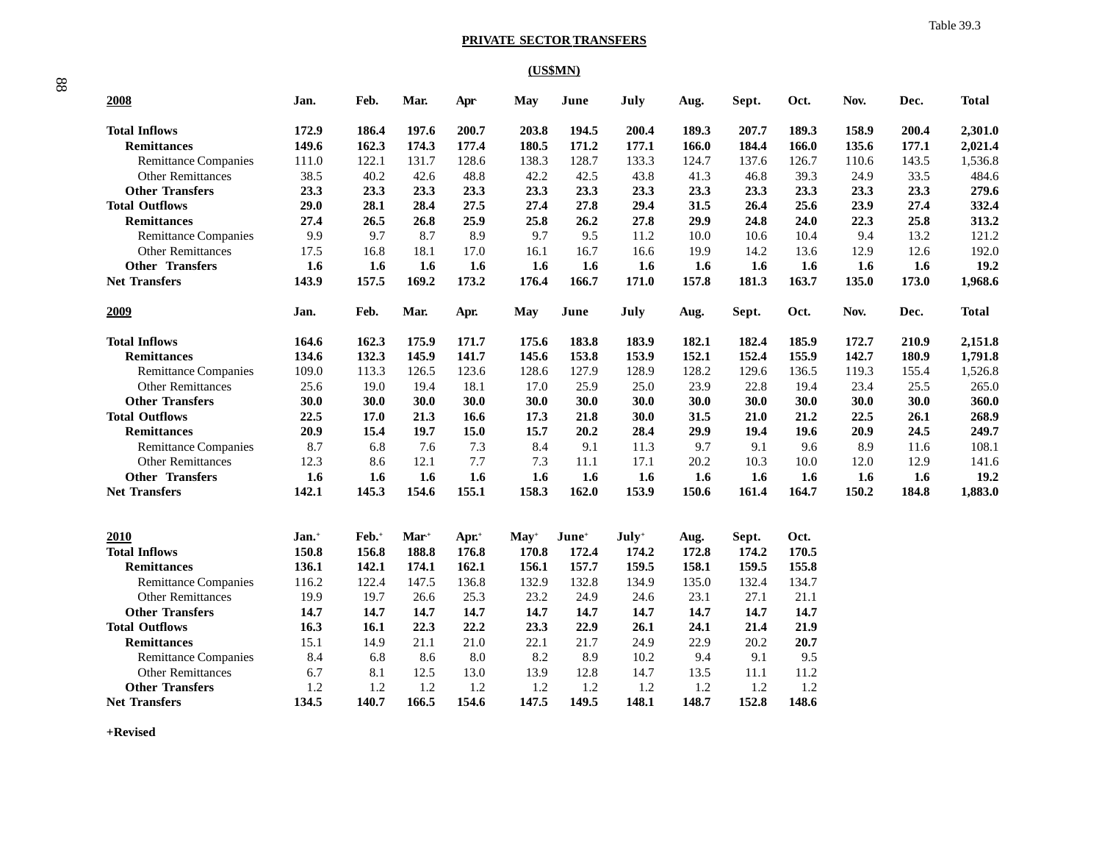#### **PRIVATE SECTOR TRANSFERS**

### **(US\$MN)**

| 2008                        | Jan.              | Feb.              | Mar.   | Apr   | May        | June              | July    | Aug.  | Sept. | Oct.  | Nov.  | Dec.  | Total        |
|-----------------------------|-------------------|-------------------|--------|-------|------------|-------------------|---------|-------|-------|-------|-------|-------|--------------|
| <b>Total Inflows</b>        | 172.9             | 186.4             | 197.6  | 200.7 | 203.8      | 194.5             | 200.4   | 189.3 | 207.7 | 189.3 | 158.9 | 200.4 | 2,301.0      |
| <b>Remittances</b>          | 149.6             | 162.3             | 174.3  | 177.4 | 180.5      | 171.2             | 177.1   | 166.0 | 184.4 | 166.0 | 135.6 | 177.1 | 2,021.4      |
| <b>Remittance Companies</b> | 111.0             | 122.1             | 131.7  | 128.6 | 138.3      | 128.7             | 133.3   | 124.7 | 137.6 | 126.7 | 110.6 | 143.5 | 1,536.8      |
| <b>Other Remittances</b>    | 38.5              | 40.2              | 42.6   | 48.8  | 42.2       | 42.5              | 43.8    | 41.3  | 46.8  | 39.3  | 24.9  | 33.5  | 484.6        |
| <b>Other Transfers</b>      | 23.3              | 23.3              | 23.3   | 23.3  | 23.3       | 23.3              | 23.3    | 23.3  | 23.3  | 23.3  | 23.3  | 23.3  | 279.6        |
| <b>Total Outflows</b>       | 29.0              | 28.1              | 28.4   | 27.5  | 27.4       | 27.8              | 29.4    | 31.5  | 26.4  | 25.6  | 23.9  | 27.4  | 332.4        |
| <b>Remittances</b>          | 27.4              | 26.5              | 26.8   | 25.9  | 25.8       | 26.2              | 27.8    | 29.9  | 24.8  | 24.0  | 22.3  | 25.8  | 313.2        |
| <b>Remittance Companies</b> | 9.9               | 9.7               | 8.7    | 8.9   | 9.7        | 9.5               | 11.2    | 10.0  | 10.6  | 10.4  | 9.4   | 13.2  | 121.2        |
| <b>Other Remittances</b>    | 17.5              | 16.8              | 18.1   | 17.0  | 16.1       | 16.7              | 16.6    | 19.9  | 14.2  | 13.6  | 12.9  | 12.6  | 192.0        |
| <b>Other Transfers</b>      | 1.6               | 1.6               | 1.6    | 1.6   | 1.6        | 1.6               | 1.6     | 1.6   | 1.6   | 1.6   | 1.6   | 1.6   | 19.2         |
| <b>Net Transfers</b>        | 143.9             | 157.5             | 169.2  | 173.2 | 176.4      | 166.7             | 171.0   | 157.8 | 181.3 | 163.7 | 135.0 | 173.0 | 1,968.6      |
| 2009                        | Jan.              | Feb.              | Mar.   | Apr.  | <b>May</b> | June              | July    | Aug.  | Sept. | Oct.  | Nov.  | Dec.  | <b>Total</b> |
| <b>Total Inflows</b>        | 164.6             | 162.3             | 175.9  | 171.7 | 175.6      | 183.8             | 183.9   | 182.1 | 182.4 | 185.9 | 172.7 | 210.9 | 2,151.8      |
| <b>Remittances</b>          | 134.6             | 132.3             | 145.9  | 141.7 | 145.6      | 153.8             | 153.9   | 152.1 | 152.4 | 155.9 | 142.7 | 180.9 | 1,791.8      |
| <b>Remittance Companies</b> | 109.0             | 113.3             | 126.5  | 123.6 | 128.6      | 127.9             | 128.9   | 128.2 | 129.6 | 136.5 | 119.3 | 155.4 | 1,526.8      |
| <b>Other Remittances</b>    | 25.6              | 19.0              | 19.4   | 18.1  | 17.0       | 25.9              | 25.0    | 23.9  | 22.8  | 19.4  | 23.4  | 25.5  | 265.0        |
| <b>Other Transfers</b>      | 30.0              | 30.0              | 30.0   | 30.0  | 30.0       | 30.0              | 30.0    | 30.0  | 30.0  | 30.0  | 30.0  | 30.0  | 360.0        |
| <b>Total Outflows</b>       | 22.5              | 17.0              | 21.3   | 16.6  | 17.3       | 21.8              | 30.0    | 31.5  | 21.0  | 21.2  | 22.5  | 26.1  | 268.9        |
| <b>Remittances</b>          | 20.9              | 15.4              | 19.7   | 15.0  | 15.7       | 20.2              | 28.4    | 29.9  | 19.4  | 19.6  | 20.9  | 24.5  | 249.7        |
| <b>Remittance Companies</b> | 8.7               | 6.8               | 7.6    | 7.3   | 8.4        | 9.1               | 11.3    | 9.7   | 9.1   | 9.6   | 8.9   | 11.6  | 108.1        |
| <b>Other Remittances</b>    | 12.3              | 8.6               | 12.1   | 7.7   | 7.3        | 11.1              | 17.1    | 20.2  | 10.3  | 10.0  | 12.0  | 12.9  | 141.6        |
| <b>Other Transfers</b>      | 1.6               | 1.6               | 1.6    | 1.6   | 1.6        | 1.6               | 1.6     | 1.6   | 1.6   | 1.6   | 1.6   | 1.6   | 19.2         |
| <b>Net Transfers</b>        | 142.1             | 145.3             | 154.6  | 155.1 | 158.3      | 162.0             | 153.9   | 150.6 | 161.4 | 164.7 | 150.2 | 184.8 | 1,883.0      |
| 2010                        | Jan. <sup>+</sup> | Feb. <sup>+</sup> | $Mar+$ | Apr.+ | $May+$     | $\mathbf{June}^+$ | $July+$ | Aug.  | Sept. | Oct.  |       |       |              |
| <b>Total Inflows</b>        | 150.8             | 156.8             | 188.8  | 176.8 | 170.8      | 172.4             | 174.2   | 172.8 | 174.2 | 170.5 |       |       |              |
| <b>Remittances</b>          | 136.1             | 142.1             | 174.1  | 162.1 | 156.1      | 157.7             | 159.5   | 158.1 | 159.5 | 155.8 |       |       |              |
| <b>Remittance Companies</b> | 116.2             | 122.4             | 147.5  | 136.8 | 132.9      | 132.8             | 134.9   | 135.0 | 132.4 | 134.7 |       |       |              |
| <b>Other Remittances</b>    | 19.9              | 19.7              | 26.6   | 25.3  | 23.2       | 24.9              | 24.6    | 23.1  | 27.1  | 21.1  |       |       |              |
| <b>Other Transfers</b>      | 14.7              | 14.7              | 14.7   | 14.7  | 14.7       | 14.7              | 14.7    | 14.7  | 14.7  | 14.7  |       |       |              |
| <b>Total Outflows</b>       | 16.3              | 16.1              | 22.3   | 22.2  | 23.3       | 22.9              | 26.1    | 24.1  | 21.4  | 21.9  |       |       |              |
| <b>Remittances</b>          | 15.1              | 14.9              | 21.1   | 21.0  | 22.1       | 21.7              | 24.9    | 22.9  | 20.2  | 20.7  |       |       |              |
| <b>Remittance Companies</b> | 8.4               | 6.8               | 8.6    | 8.0   | 8.2        | 8.9               | 10.2    | 9.4   | 9.1   | 9.5   |       |       |              |
| <b>Other Remittances</b>    | 6.7               | 8.1               | 12.5   | 13.0  | 13.9       | 12.8              | 14.7    | 13.5  | 11.1  | 11.2  |       |       |              |
| <b>Other Transfers</b>      | 1.2               | 1.2               | 1.2    | 1.2   | 1.2        | 1.2               | 1.2     | 1.2   | 1.2   | 1.2   |       |       |              |
| <b>Net Transfers</b>        | 134.5             | 140.7             | 166.5  | 154.6 | 147.5      | 149.5             | 148.1   | 148.7 | 152.8 | 148.6 |       |       |              |

**+Revised**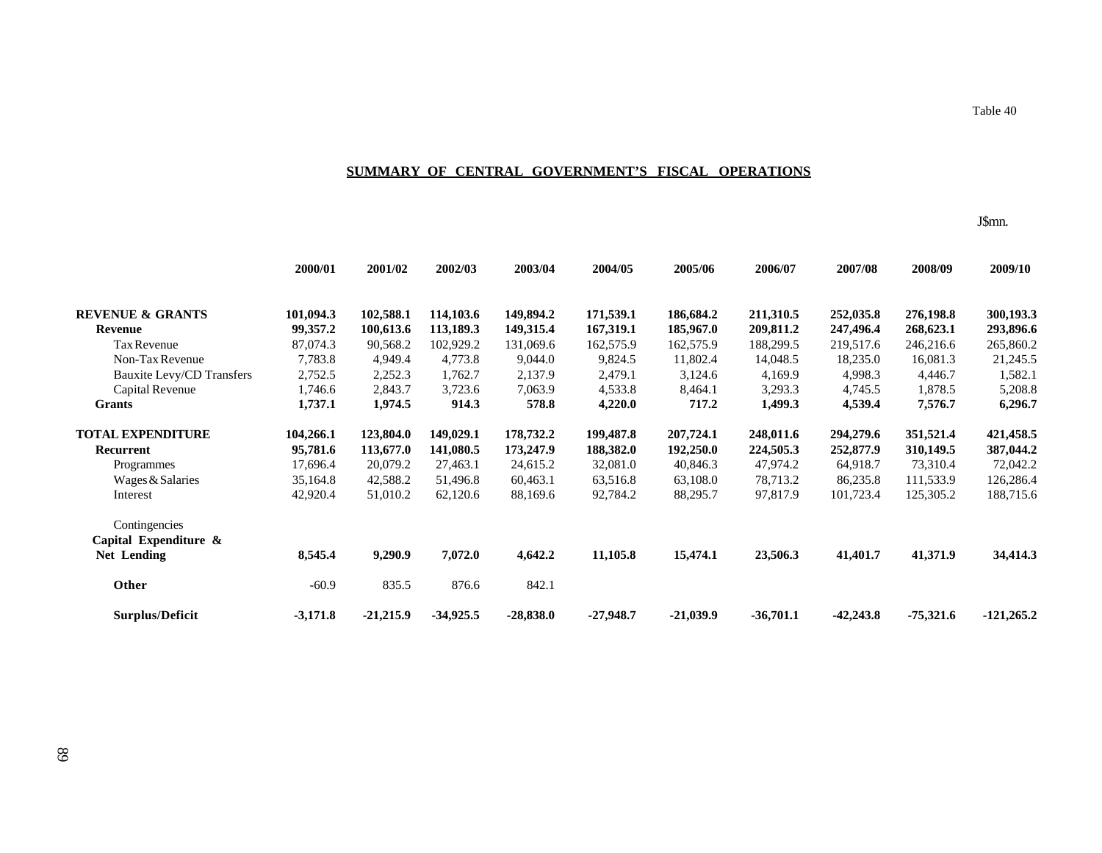# **SUMMARY OF CENTRAL GOVERNMENT'S FISCAL OPERATIONS**

J\$mn.

Table 40

|                             | 2000/01    | 2001/02     | 2002/03     | 2003/04     | 2004/05     | 2005/06     | 2006/07     | 2007/08     | 2008/09     | 2009/10      |
|-----------------------------|------------|-------------|-------------|-------------|-------------|-------------|-------------|-------------|-------------|--------------|
| <b>REVENUE &amp; GRANTS</b> | 101,094.3  | 102,588.1   | 114,103.6   | 149,894.2   | 171,539.1   | 186,684.2   | 211,310.5   | 252,035.8   | 276,198.8   | 300,193.3    |
| <b>Revenue</b>              | 99,357.2   | 100,613.6   | 113,189.3   | 149,315.4   | 167,319.1   | 185,967.0   | 209,811.2   | 247,496.4   | 268,623.1   | 293,896.6    |
| Tax Revenue                 | 87,074.3   | 90,568.2    | 102,929.2   | 131,069.6   | 162,575.9   | 162,575.9   | 188,299.5   | 219,517.6   | 246,216.6   | 265,860.2    |
| Non-Tax Revenue             | 7,783.8    | 4,949.4     | 4,773.8     | 9,044.0     | 9,824.5     | 11,802.4    | 14,048.5    | 18,235.0    | 16,081.3    | 21,245.5     |
| Bauxite Levy/CD Transfers   | 2,752.5    | 2,252.3     | 1,762.7     | 2,137.9     | 2,479.1     | 3,124.6     | 4,169.9     | 4,998.3     | 4,446.7     | 1,582.1      |
| Capital Revenue             | 1,746.6    | 2,843.7     | 3,723.6     | 7,063.9     | 4,533.8     | 8,464.1     | 3,293.3     | 4,745.5     | 1,878.5     | 5,208.8      |
| <b>Grants</b>               | 1,737.1    | 1,974.5     | 914.3       | 578.8       | 4,220.0     | 717.2       | 1,499.3     | 4,539.4     | 7,576.7     | 6,296.7      |
| <b>TOTAL EXPENDITURE</b>    | 104,266.1  | 123,804.0   | 149,029.1   | 178,732.2   | 199,487.8   | 207,724.1   | 248,011.6   | 294,279.6   | 351,521.4   | 421,458.5    |
| Recurrent                   | 95,781.6   | 113,677.0   | 141,080.5   | 173,247.9   | 188,382.0   | 192,250.0   | 224,505.3   | 252,877.9   | 310,149.5   | 387,044.2    |
| Programmes                  | 17,696.4   | 20,079.2    | 27,463.1    | 24,615.2    | 32,081.0    | 40,846.3    | 47,974.2    | 64,918.7    | 73,310.4    | 72,042.2     |
| Wages & Salaries            | 35,164.8   | 42,588.2    | 51,496.8    | 60,463.1    | 63,516.8    | 63,108.0    | 78,713.2    | 86,235.8    | 111,533.9   | 126,286.4    |
| Interest                    | 42,920.4   | 51,010.2    | 62,120.6    | 88,169.6    | 92,784.2    | 88,295.7    | 97,817.9    | 101,723.4   | 125,305.2   | 188,715.6    |
| Contingencies               |            |             |             |             |             |             |             |             |             |              |
| Capital Expenditure &       |            |             |             |             |             |             |             |             |             |              |
| <b>Net Lending</b>          | 8,545.4    | 9,290.9     | 7,072.0     | 4,642.2     | 11,105.8    | 15,474.1    | 23,506.3    | 41,401.7    | 41,371.9    | 34,414.3     |
| Other                       | $-60.9$    | 835.5       | 876.6       | 842.1       |             |             |             |             |             |              |
| <b>Surplus/Deficit</b>      | $-3,171.8$ | $-21,215.9$ | $-34,925.5$ | $-28,838.0$ | $-27,948.7$ | $-21,039.9$ | $-36,701.1$ | $-42,243.8$ | $-75,321.6$ | $-121,265.2$ |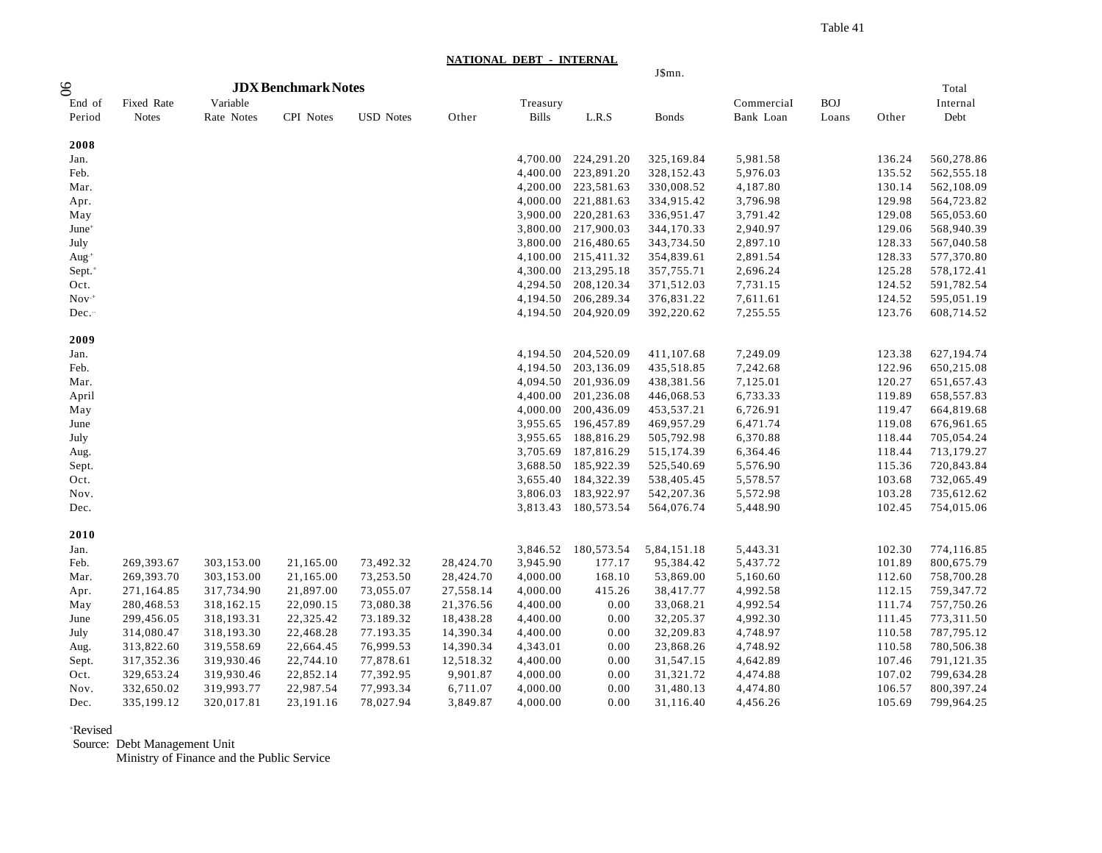Table 41

**NATIONAL DEBT - INTERNAL**

|  |  | $1\$ {sr} |  |
|--|--|-----------|--|
|  |  |           |  |

|                      |              |            |                            |                  |           |              |                     | J\$mn.      |            |            |        |              |
|----------------------|--------------|------------|----------------------------|------------------|-----------|--------------|---------------------|-------------|------------|------------|--------|--------------|
| 8 <sup>o</sup>       |              |            | <b>JDX Benchmark Notes</b> |                  |           |              |                     |             |            |            |        | Total        |
| End of               | Fixed Rate   | Variable   |                            |                  |           | Treasury     |                     |             | Commercial | <b>BOJ</b> |        | Internal     |
| Period               | <b>Notes</b> | Rate Notes | CPI Notes                  | <b>USD Notes</b> | Other     | <b>Bills</b> | L.R.S               | Bonds       | Bank Loan  | Loans      | Other  | Debt         |
|                      |              |            |                            |                  |           |              |                     |             |            |            |        |              |
| 2008                 |              |            |                            |                  |           |              |                     |             |            |            |        |              |
| Jan.                 |              |            |                            |                  |           | 4,700.00     | 224,291.20          | 325,169.84  | 5,981.58   |            | 136.24 | 560,278.86   |
| Feb.                 |              |            |                            |                  |           | 4,400.00     | 223,891.20          | 328,152.43  | 5,976.03   |            | 135.52 | 562, 555.18  |
| Mar.                 |              |            |                            |                  |           | 4,200.00     | 223,581.63          | 330,008.52  | 4,187.80   |            | 130.14 | 562,108.09   |
| Apr.                 |              |            |                            |                  |           | 4,000.00     | 221,881.63          | 334,915.42  | 3,796.98   |            | 129.98 | 564,723.82   |
| May                  |              |            |                            |                  |           | 3,900.00     | 220, 281.63         | 336,951.47  | 3,791.42   |            | 129.08 | 565,053.60   |
| June <sup>+</sup>    |              |            |                            |                  |           | 3,800.00     | 217,900.03          | 344,170.33  | 2,940.97   |            | 129.06 | 568,940.39   |
| July                 |              |            |                            |                  |           |              | 3,800.00 216,480.65 | 343,734.50  | 2,897.10   |            | 128.33 | 567,040.58   |
| Aug $+$              |              |            |                            |                  |           | 4,100.00     | 215,411.32          | 354,839.61  | 2,891.54   |            | 128.33 | 577,370.80   |
| $Sept.$ <sup>+</sup> |              |            |                            |                  |           | 4,300.00     | 213,295.18          | 357,755.71  | 2,696.24   |            | 125.28 | 578,172.41   |
| Oct.                 |              |            |                            |                  |           | 4,294.50     | 208,120.34          | 371,512.03  | 7,731.15   |            | 124.52 | 591,782.54   |
| $Nov+$               |              |            |                            |                  |           | 4,194.50     | 206,289.34          | 376,831.22  | 7,611.61   |            | 124.52 | 595,051.19   |
| Dec.                 |              |            |                            |                  |           | 4,194.50     | 204,920.09          | 392,220.62  | 7,255.55   |            | 123.76 | 608,714.52   |
|                      |              |            |                            |                  |           |              |                     |             |            |            |        |              |
| 2009                 |              |            |                            |                  |           |              |                     |             |            |            |        |              |
| Jan.                 |              |            |                            |                  |           | 4,194.50     | 204,520.09          | 411,107.68  | 7,249.09   |            | 123.38 | 627,194.74   |
| Feb.                 |              |            |                            |                  |           | 4,194.50     | 203,136.09          | 435,518.85  | 7,242.68   |            | 122.96 | 650,215.08   |
| Mar.                 |              |            |                            |                  |           | 4,094.50     | 201,936.09          | 438,381.56  | 7,125.01   |            | 120.27 | 651, 657. 43 |
| April                |              |            |                            |                  |           | 4,400.00     | 201,236.08          | 446,068.53  | 6,733.33   |            | 119.89 | 658,557.83   |
| May                  |              |            |                            |                  |           | 4,000.00     | 200,436.09          | 453,537.21  | 6,726.91   |            | 119.47 | 664,819.68   |
| June                 |              |            |                            |                  |           | 3,955.65     | 196,457.89          | 469,957.29  | 6,471.74   |            | 119.08 | 676,961.65   |
| July                 |              |            |                            |                  |           | 3,955.65     | 188,816.29          | 505,792.98  | 6,370.88   |            | 118.44 | 705,054.24   |
| Aug.                 |              |            |                            |                  |           | 3,705.69     | 187,816.29          | 515,174.39  | 6,364.46   |            | 118.44 | 713,179.27   |
| Sept.                |              |            |                            |                  |           | 3,688.50     | 185,922.39          | 525,540.69  | 5,576.90   |            | 115.36 | 720,843.84   |
| Oct.                 |              |            |                            |                  |           | 3,655.40     | 184,322.39          | 538,405.45  | 5,578.57   |            | 103.68 | 732,065.49   |
| Nov.                 |              |            |                            |                  |           | 3,806.03     | 183,922.97          | 542,207.36  | 5,572.98   |            | 103.28 | 735,612.62   |
| Dec.                 |              |            |                            |                  |           | 3,813.43     | 180,573.54          | 564,076.74  | 5,448.90   |            | 102.45 | 754,015.06   |
| 2010                 |              |            |                            |                  |           |              |                     |             |            |            |        |              |
| Jan.                 |              |            |                            |                  |           | 3,846.52     | 180,573.54          | 5,84,151.18 | 5,443.31   |            | 102.30 | 774,116.85   |
| Feb.                 | 269,393.67   | 303,153.00 | 21,165.00                  | 73,492.32        | 28,424.70 | 3,945.90     | 177.17              | 95,384.42   | 5,437.72   |            | 101.89 | 800,675.79   |
| Mar.                 | 269,393.70   | 303,153.00 | 21,165.00                  | 73,253.50        | 28,424.70 | 4,000.00     | 168.10              | 53,869.00   | 5,160.60   |            | 112.60 | 758,700.28   |
| Apr.                 | 271,164.85   | 317,734.90 | 21,897.00                  | 73,055.07        | 27,558.14 | 4,000.00     | 415.26              | 38,417.77   | 4,992.58   |            | 112.15 | 759,347.72   |
| May                  | 280,468.53   | 318,162.15 | 22,090.15                  | 73,080.38        | 21,376.56 | 4,400.00     | 0.00                | 33,068.21   | 4,992.54   |            | 111.74 | 757,750.26   |
| June                 | 299,456.05   | 318,193.31 | 22,325.42                  | 73.189.32        | 18,438.28 | 4,400.00     | 0.00                | 32,205.37   | 4,992.30   |            | 111.45 | 773,311.50   |
| July                 | 314,080.47   | 318,193.30 | 22,468.28                  | 77.193.35        | 14,390.34 | 4,400.00     | 0.00                | 32,209.83   | 4,748.97   |            | 110.58 | 787,795.12   |
| Aug.                 | 313,822.60   | 319,558.69 | 22,664.45                  | 76,999.53        | 14,390.34 | 4,343.01     | 0.00                | 23,868.26   | 4,748.92   |            | 110.58 | 780,506.38   |
| Sept.                | 317,352.36   | 319,930.46 | 22,744.10                  | 77,878.61        | 12,518.32 | 4,400.00     | 0.00                | 31,547.15   | 4,642.89   |            | 107.46 | 791,121.35   |
| Oct.                 | 329,653.24   | 319,930.46 | 22,852.14                  | 77,392.95        | 9,901.87  | 4,000.00     | 0.00                | 31,321.72   | 4,474.88   |            | 107.02 | 799,634.28   |
| Nov.                 | 332,650.02   | 319,993.77 | 22,987.54                  | 77,993.34        | 6,711.07  | 4,000.00     | 0.00                | 31,480.13   | 4,474.80   |            | 106.57 | 800,397.24   |
| Dec.                 | 335,199.12   | 320,017.81 | 23,191.16                  | 78,027.94        | 3,849.87  | 4,000.00     | 0.00                | 31,116.40   | 4,456.26   |            | 105.69 | 799,964.25   |
|                      |              |            |                            |                  |           |              |                     |             |            |            |        |              |

#### +Revised

Source: Debt Management Unit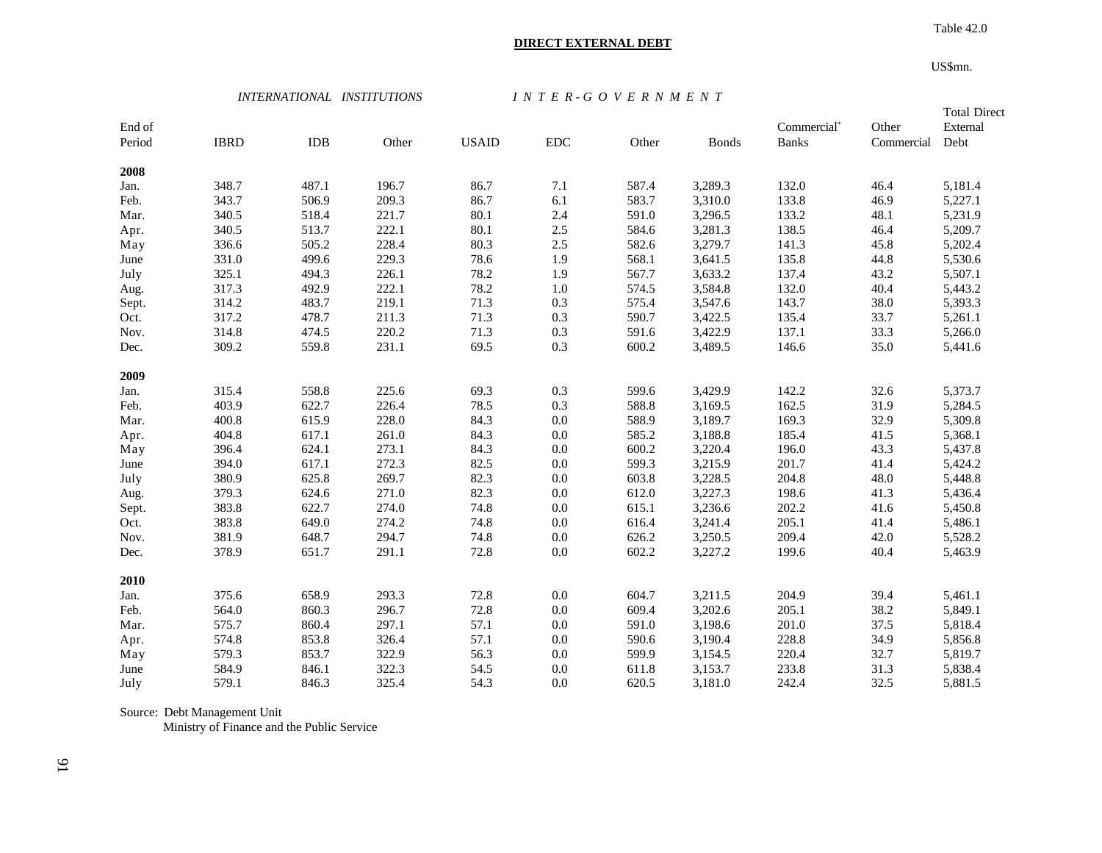# **DIRECT EXTERNAL DEBT**

 Table 42.0 US\$mn.

 *INTERNATIONAL INSTITUTIONS I N T E R - G O V E R N M E N T*

| End of<br>Period | <b>IBRD</b> | <b>IDB</b> | Other | <b>USAID</b> | ${\rm EDC}$ | Other | <b>Bonds</b> | Commercial*<br><b>Banks</b> | Other<br>Commercial | <b>Total Direct</b><br>External<br>Debt |
|------------------|-------------|------------|-------|--------------|-------------|-------|--------------|-----------------------------|---------------------|-----------------------------------------|
| 2008             |             |            |       |              |             |       |              |                             |                     |                                         |
| Jan.             | 348.7       | 487.1      | 196.7 | 86.7         | 7.1         | 587.4 | 3,289.3      | 132.0                       | 46.4                | 5,181.4                                 |
| Feb.             | 343.7       | 506.9      | 209.3 | 86.7         | 6.1         | 583.7 | 3,310.0      | 133.8                       | 46.9                | 5,227.1                                 |
| Mar.             | 340.5       | 518.4      | 221.7 | 80.1         | 2.4         | 591.0 | 3,296.5      | 133.2                       | 48.1                | 5,231.9                                 |
| Apr.             | 340.5       | 513.7      | 222.1 | 80.1         | $2.5\,$     | 584.6 | 3,281.3      | 138.5                       | 46.4                | 5,209.7                                 |
| May              | 336.6       | 505.2      | 228.4 | 80.3         | $2.5\,$     | 582.6 | 3,279.7      | 141.3                       | 45.8                | 5,202.4                                 |
| June             | 331.0       | 499.6      | 229.3 | 78.6         | 1.9         | 568.1 | 3,641.5      | 135.8                       | 44.8                | 5,530.6                                 |
| July             | 325.1       | 494.3      | 226.1 | 78.2         | 1.9         | 567.7 | 3,633.2      | 137.4                       | 43.2                | 5,507.1                                 |
| Aug.             | 317.3       | 492.9      | 222.1 | 78.2         | $1.0\,$     | 574.5 | 3,584.8      | 132.0                       | 40.4                | 5,443.2                                 |
| Sept.            | 314.2       | 483.7      | 219.1 | 71.3         | 0.3         | 575.4 | 3,547.6      | 143.7                       | 38.0                | 5,393.3                                 |
| Oct.             | 317.2       | 478.7      | 211.3 | 71.3         | 0.3         | 590.7 | 3,422.5      | 135.4                       | 33.7                | 5,261.1                                 |
| Nov.             | 314.8       | 474.5      | 220.2 | 71.3         | 0.3         | 591.6 | 3,422.9      | 137.1                       | 33.3                | 5,266.0                                 |
| Dec.             | 309.2       | 559.8      | 231.1 | 69.5         | 0.3         | 600.2 | 3,489.5      | 146.6                       | 35.0                | 5,441.6                                 |
| 2009             |             |            |       |              |             |       |              |                             |                     |                                         |
| Jan.             | 315.4       | 558.8      | 225.6 | 69.3         | 0.3         | 599.6 | 3,429.9      | 142.2                       | 32.6                | 5,373.7                                 |
| Feb.             | 403.9       | 622.7      | 226.4 | 78.5         | 0.3         | 588.8 | 3,169.5      | 162.5                       | 31.9                | 5,284.5                                 |
| Mar.             | 400.8       | 615.9      | 228.0 | 84.3         | $0.0\,$     | 588.9 | 3,189.7      | 169.3                       | 32.9                | 5,309.8                                 |
| Apr.             | 404.8       | 617.1      | 261.0 | 84.3         | $0.0\,$     | 585.2 | 3,188.8      | 185.4                       | 41.5                | 5,368.1                                 |
| May              | 396.4       | 624.1      | 273.1 | 84.3         | $0.0\,$     | 600.2 | 3,220.4      | 196.0                       | 43.3                | 5,437.8                                 |
| June             | 394.0       | 617.1      | 272.3 | 82.5         | $0.0\,$     | 599.3 | 3,215.9      | 201.7                       | 41.4                | 5,424.2                                 |
| July             | 380.9       | 625.8      | 269.7 | 82.3         | $0.0\,$     | 603.8 | 3,228.5      | 204.8                       | 48.0                | 5,448.8                                 |
| Aug.             | 379.3       | 624.6      | 271.0 | 82.3         | $0.0\,$     | 612.0 | 3,227.3      | 198.6                       | 41.3                | 5,436.4                                 |
| Sept.            | 383.8       | 622.7      | 274.0 | 74.8         | $0.0\,$     | 615.1 | 3,236.6      | 202.2                       | 41.6                | 5,450.8                                 |
| Oct.             | 383.8       | 649.0      | 274.2 | 74.8         | $0.0\,$     | 616.4 | 3,241.4      | 205.1                       | 41.4                | 5,486.1                                 |
| Nov.             | 381.9       | 648.7      | 294.7 | 74.8         | 0.0         | 626.2 | 3,250.5      | 209.4                       | 42.0                | 5,528.2                                 |
| Dec.             | 378.9       | 651.7      | 291.1 | 72.8         | 0.0         | 602.2 | 3,227.2      | 199.6                       | 40.4                | 5,463.9                                 |
| 2010             |             |            |       |              |             |       |              |                             |                     |                                         |
| Jan.             | 375.6       | 658.9      | 293.3 | 72.8         | 0.0         | 604.7 | 3,211.5      | 204.9                       | 39.4                | 5,461.1                                 |
| Feb.             | 564.0       | 860.3      | 296.7 | 72.8         | $0.0\,$     | 609.4 | 3,202.6      | 205.1                       | 38.2                | 5,849.1                                 |
| Mar.             | 575.7       | 860.4      | 297.1 | 57.1         | $0.0\,$     | 591.0 | 3,198.6      | 201.0                       | 37.5                | 5,818.4                                 |
| Apr.             | 574.8       | 853.8      | 326.4 | 57.1         | $0.0\,$     | 590.6 | 3,190.4      | 228.8                       | 34.9                | 5,856.8                                 |
| May              | 579.3       | 853.7      | 322.9 | 56.3         | 0.0         | 599.9 | 3,154.5      | 220.4                       | 32.7                | 5,819.7                                 |
| June             | 584.9       | 846.1      | 322.3 | 54.5         | 0.0         | 611.8 | 3,153.7      | 233.8                       | 31.3                | 5,838.4                                 |
| July             | 579.1       | 846.3      | 325.4 | 54.3         | 0.0         | 620.5 | 3,181.0      | 242.4                       | 32.5                | 5,881.5                                 |

Source: Debt Management Unit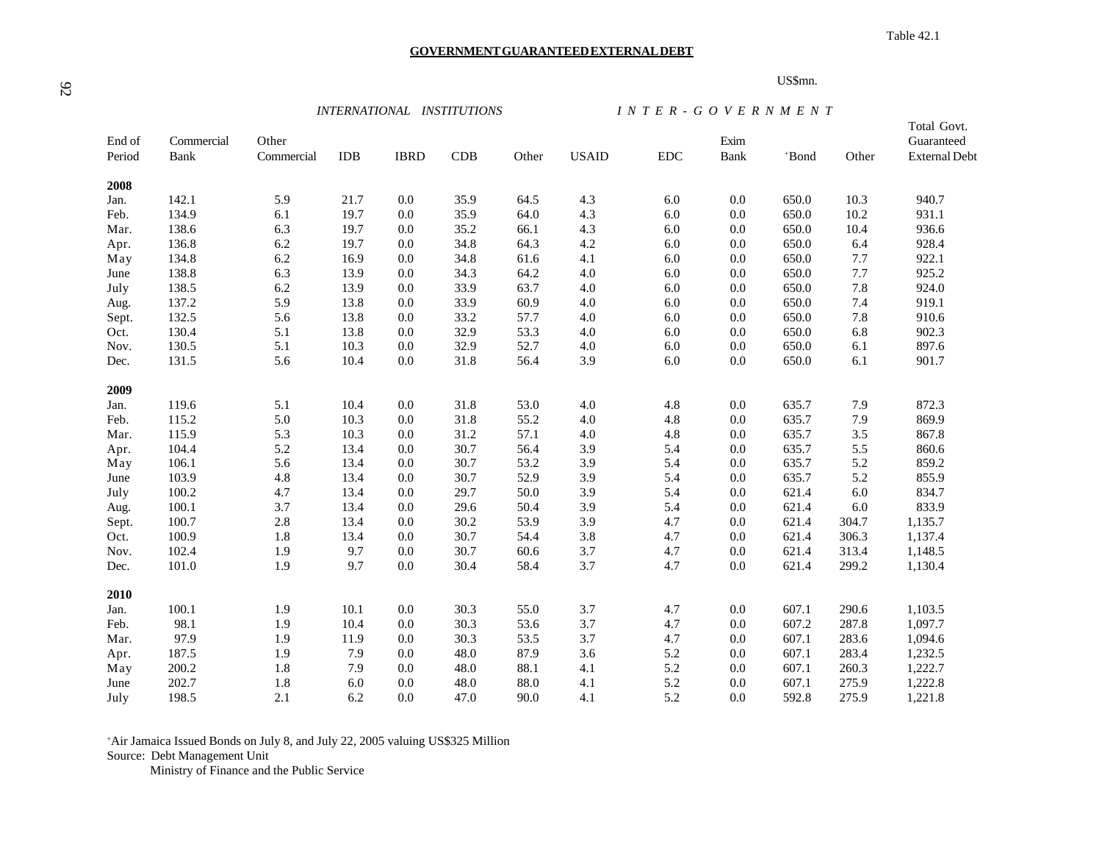**GOVERNMENT GUARANTEED EXTERNAL DEBT**

Table 42.1

#### US\$mn.

*INTERNATIONAL INSTITUTIONS I N T E R - G O V E R N M E N T*

| End of<br>Period | Commercial<br>Bank | Other<br>Commercial | <b>IDB</b> | <b>IBRD</b> | CDB  | Other | <b>USAID</b> | ${\rm EDC}$ | Exim<br>Bank | *Bond | Other   | Total Govt.<br>Guaranteed<br><b>External Debt</b> |
|------------------|--------------------|---------------------|------------|-------------|------|-------|--------------|-------------|--------------|-------|---------|---------------------------------------------------|
| 2008             |                    |                     |            |             |      |       |              |             |              |       |         |                                                   |
| Jan.             | 142.1              | 5.9                 | 21.7       | 0.0         | 35.9 | 64.5  | 4.3          | 6.0         | 0.0          | 650.0 | 10.3    | 940.7                                             |
| Feb.             | 134.9              | 6.1                 | 19.7       | 0.0         | 35.9 | 64.0  | 4.3          | 6.0         | 0.0          | 650.0 | 10.2    | 931.1                                             |
| Mar.             | 138.6              | 6.3                 | 19.7       | 0.0         | 35.2 | 66.1  | 4.3          | 6.0         | 0.0          | 650.0 | 10.4    | 936.6                                             |
| Apr.             | 136.8              | 6.2                 | 19.7       | 0.0         | 34.8 | 64.3  | $4.2\,$      | 6.0         | 0.0          | 650.0 | 6.4     | 928.4                                             |
| May              | 134.8              | 6.2                 | 16.9       | $0.0\,$     | 34.8 | 61.6  | 4.1          | 6.0         | 0.0          | 650.0 | 7.7     | 922.1                                             |
| June             | 138.8              | 6.3                 | 13.9       | 0.0         | 34.3 | 64.2  | $4.0\,$      | 6.0         | 0.0          | 650.0 | 7.7     | 925.2                                             |
| July             | 138.5              | 6.2                 | 13.9       | 0.0         | 33.9 | 63.7  | 4.0          | 6.0         | 0.0          | 650.0 | 7.8     | 924.0                                             |
| Aug.             | 137.2              | 5.9                 | 13.8       | 0.0         | 33.9 | 60.9  | $4.0\,$      | 6.0         | 0.0          | 650.0 | 7.4     | 919.1                                             |
| Sept.            | 132.5              | 5.6                 | 13.8       | $0.0\,$     | 33.2 | 57.7  | $4.0\,$      | 6.0         | 0.0          | 650.0 | $7.8\,$ | 910.6                                             |
| Oct.             | 130.4              | 5.1                 | 13.8       | 0.0         | 32.9 | 53.3  | 4.0          | 6.0         | 0.0          | 650.0 | 6.8     | 902.3                                             |
| Nov.             | 130.5              | 5.1                 | 10.3       | 0.0         | 32.9 | 52.7  | $4.0\,$      | 6.0         | 0.0          | 650.0 | 6.1     | 897.6                                             |
| Dec.             | 131.5              | 5.6                 | 10.4       | 0.0         | 31.8 | 56.4  | 3.9          | 6.0         | 0.0          | 650.0 | 6.1     | 901.7                                             |
| 2009             |                    |                     |            |             |      |       |              |             |              |       |         |                                                   |
| Jan.             | 119.6              | 5.1                 | 10.4       | $0.0\,$     | 31.8 | 53.0  | 4.0          | 4.8         | 0.0          | 635.7 | 7.9     | 872.3                                             |
| Feb.             | 115.2              | 5.0                 | 10.3       | 0.0         | 31.8 | 55.2  | $4.0$        | 4.8         | 0.0          | 635.7 | 7.9     | 869.9                                             |
| Mar.             | 115.9              | 5.3                 | 10.3       | 0.0         | 31.2 | 57.1  | $4.0\,$      | 4.8         | 0.0          | 635.7 | $3.5$   | 867.8                                             |
| Apr.             | 104.4              | 5.2                 | 13.4       | 0.0         | 30.7 | 56.4  | 3.9          | 5.4         | 0.0          | 635.7 | 5.5     | 860.6                                             |
| May              | 106.1              | 5.6                 | 13.4       | 0.0         | 30.7 | 53.2  | 3.9          | 5.4         | 0.0          | 635.7 | 5.2     | 859.2                                             |
| June             | 103.9              | 4.8                 | 13.4       | $0.0\,$     | 30.7 | 52.9  | 3.9          | 5.4         | 0.0          | 635.7 | 5.2     | 855.9                                             |
| July             | 100.2              | 4.7                 | 13.4       | $0.0\,$     | 29.7 | 50.0  | 3.9          | 5.4         | 0.0          | 621.4 | 6.0     | 834.7                                             |
| Aug.             | 100.1              | 3.7                 | 13.4       | 0.0         | 29.6 | 50.4  | 3.9          | 5.4         | 0.0          | 621.4 | 6.0     | 833.9                                             |
| Sept.            | 100.7              | 2.8                 | 13.4       | 0.0         | 30.2 | 53.9  | 3.9          | 4.7         | 0.0          | 621.4 | 304.7   | 1,135.7                                           |
| Oct.             | 100.9              | 1.8                 | 13.4       | 0.0         | 30.7 | 54.4  | $3.8\,$      | 4.7         | 0.0          | 621.4 | 306.3   | 1,137.4                                           |
| Nov.             | 102.4              | 1.9                 | 9.7        | 0.0         | 30.7 | 60.6  | 3.7          | 4.7         | 0.0          | 621.4 | 313.4   | 1,148.5                                           |
| Dec.             | 101.0              | 1.9                 | 9.7        | $0.0\,$     | 30.4 | 58.4  | 3.7          | 4.7         | 0.0          | 621.4 | 299.2   | 1,130.4                                           |
| 2010             |                    |                     |            |             |      |       |              |             |              |       |         |                                                   |
| Jan.             | 100.1              | 1.9                 | 10.1       | $0.0\,$     | 30.3 | 55.0  | 3.7          | 4.7         | 0.0          | 607.1 | 290.6   | 1,103.5                                           |
| Feb.             | 98.1               | 1.9                 | 10.4       | $0.0\,$     | 30.3 | 53.6  | 3.7          | 4.7         | 0.0          | 607.2 | 287.8   | 1,097.7                                           |
| Mar.             | 97.9               | 1.9                 | 11.9       | 0.0         | 30.3 | 53.5  | 3.7          | 4.7         | 0.0          | 607.1 | 283.6   | 1,094.6                                           |
| Apr.             | 187.5              | 1.9                 | 7.9        | 0.0         | 48.0 | 87.9  | 3.6          | 5.2         | 0.0          | 607.1 | 283.4   | 1,232.5                                           |
| May              | 200.2              | 1.8                 | 7.9        | 0.0         | 48.0 | 88.1  | 4.1          | 5.2         | 0.0          | 607.1 | 260.3   | 1,222.7                                           |
| June             | 202.7              | 1.8                 | 6.0        | 0.0         | 48.0 | 88.0  | 4.1          | 5.2         | 0.0          | 607.1 | 275.9   | 1,222.8                                           |
| July             | 198.5              | 2.1                 | 6.2        | 0.0         | 47.0 | 90.0  | 4.1          | 5.2         | 0.0          | 592.8 | 275.9   | 1,221.8                                           |

+Air Jamaica Issued Bonds on July 8, and July 22, 2005 valuing US\$325 Million Source: Debt Management Unit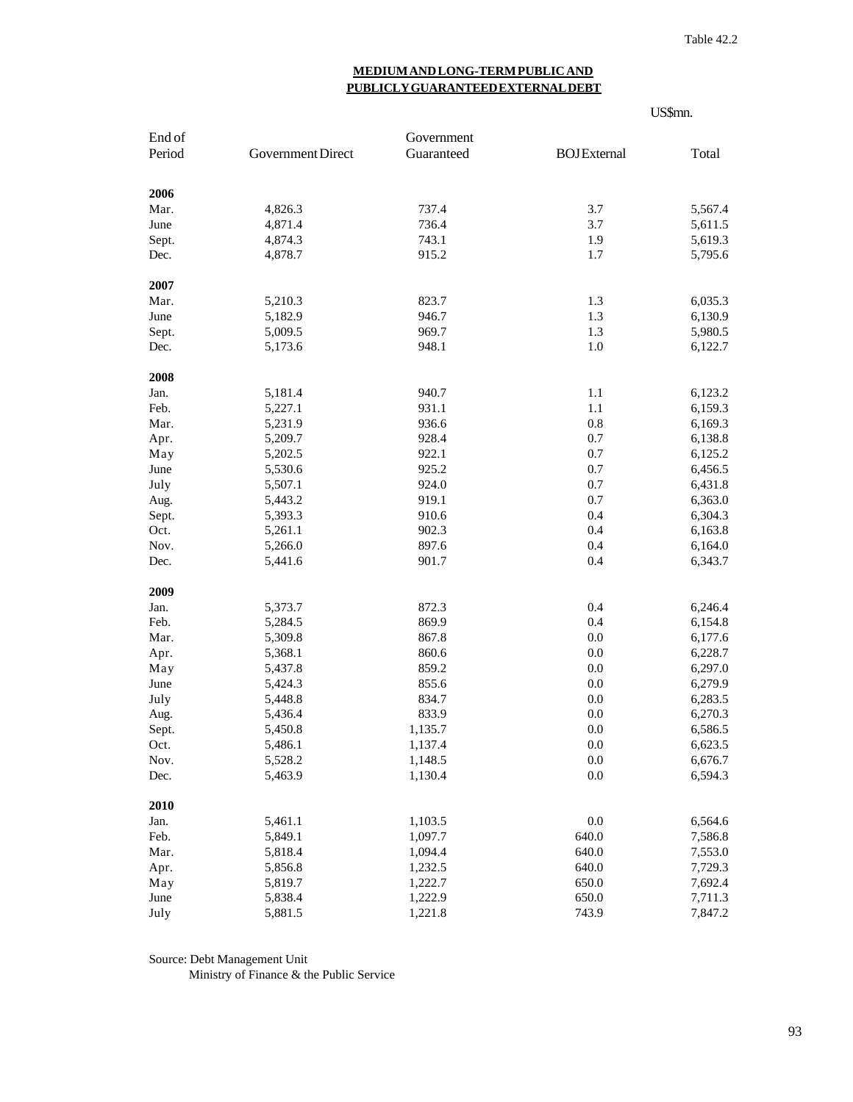# **MEDIUM AND LONG-TERM PUBLIC AND PUBLICLY GUARANTEED EXTERNAL DEBT**

|              |                    |                    | US\$mn.             |                    |  |
|--------------|--------------------|--------------------|---------------------|--------------------|--|
| End of       |                    | Government         |                     |                    |  |
| Period       | Government Direct  | Guaranteed         | <b>BOJ</b> External | Total              |  |
| 2006         |                    |                    |                     |                    |  |
| Mar.         | 4,826.3            | 737.4              | 3.7                 | 5,567.4            |  |
| June         | 4,871.4            | 736.4              | 3.7                 | 5,611.5            |  |
| Sept.        | 4,874.3            | 743.1              | 1.9                 | 5,619.3            |  |
| Dec.         | 4,878.7            | 915.2              | 1.7                 | 5,795.6            |  |
| 2007         |                    |                    |                     |                    |  |
| Mar.         | 5,210.3            | 823.7              | 1.3                 | 6,035.3            |  |
| June         | 5,182.9            | 946.7              | 1.3                 | 6,130.9            |  |
| Sept.        | 5,009.5            | 969.7              | 1.3                 | 5,980.5            |  |
| Dec.         | 5,173.6            | 948.1              | 1.0                 | 6,122.7            |  |
| 2008         |                    |                    |                     |                    |  |
| Jan.         | 5,181.4            | 940.7              | 1.1                 | 6,123.2            |  |
| Feb.         | 5,227.1            | 931.1              | 1.1                 | 6,159.3            |  |
| Mar.         | 5,231.9            | 936.6              | 0.8                 | 6,169.3            |  |
| Apr.         | 5,209.7            | 928.4              | 0.7                 | 6,138.8            |  |
| May          | 5,202.5            | 922.1              | 0.7                 | 6,125.2            |  |
| June         | 5,530.6            | 925.2              | 0.7                 | 6,456.5            |  |
| July         | 5,507.1            | 924.0              | 0.7                 | 6,431.8            |  |
| Aug.         | 5,443.2            | 919.1              | 0.7                 | 6,363.0            |  |
| Sept.        | 5,393.3            | 910.6              | 0.4                 | 6,304.3            |  |
| Oct.         | 5,261.1            | 902.3              | 0.4                 | 6,163.8            |  |
| Nov.         | 5,266.0            | 897.6              | 0.4                 | 6,164.0            |  |
| Dec.         | 5,441.6            | 901.7              | 0.4                 | 6,343.7            |  |
| 2009         |                    |                    |                     |                    |  |
| Jan.         | 5,373.7            | 872.3              | 0.4                 | 6,246.4            |  |
| Feb.         | 5,284.5            | 869.9              | 0.4                 | 6,154.8            |  |
| Mar.         | 5,309.8            | 867.8              | 0.0                 | 6,177.6            |  |
| Apr.         | 5,368.1            | 860.6              | 0.0                 | 6,228.7            |  |
| May          | 5,437.8            | 859.2              | 0.0                 | 6,297.0            |  |
| June         | 5,424.3            | 855.6              | 0.0                 | 6,279.9            |  |
| July         | 5,448.8            | 834.7              | 0.0                 | 6,283.5            |  |
| Aug.         | 5,436.4            | 833.9              | 0.0                 | 6,270.3            |  |
| Sept.        | 5,450.8            | 1,135.7            | 0.0                 | 6,586.5            |  |
| Oct.         | 5,486.1            | 1,137.4            | 0.0<br>$0.0\,$      | 6,623.5            |  |
| Nov.<br>Dec. | 5,528.2<br>5,463.9 | 1,148.5<br>1,130.4 | 0.0                 | 6,676.7<br>6,594.3 |  |
|              |                    |                    |                     |                    |  |
| 2010<br>Jan. |                    |                    | 0.0                 | 6,564.6            |  |
|              | 5,461.1            | 1,103.5            | 640.0               |                    |  |
| Feb.         | 5,849.1            | 1,097.7            | 640.0               | 7,586.8            |  |
| Mar.         | 5,818.4<br>5,856.8 | 1,094.4            |                     | 7,553.0            |  |
| Apr.         |                    | 1,232.5            | 640.0<br>650.0      | 7,729.3            |  |
| May          | 5,819.7            | 1,222.7            |                     | 7,692.4            |  |
| June         | 5,838.4            | 1,222.9            | 650.0               | 7,711.3            |  |
| July         | 5,881.5            | 1,221.8            | 743.9               | 7,847.2            |  |

Source: Debt Management Unit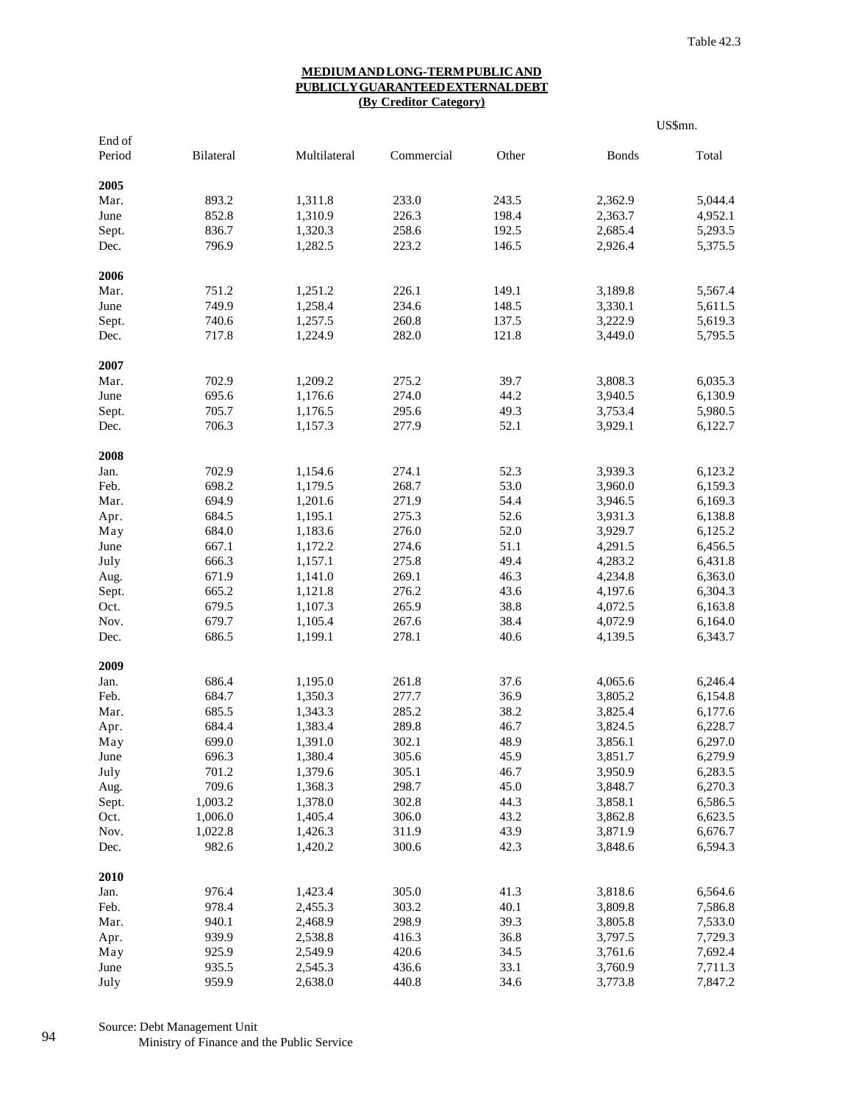#### **MEDIUM AND LONG-TERM PUBLIC AND PUBLICLY GUARANTEED EXTERNAL DEBT (By Creditor Category)**

|                  |           |              |            |       |              | US\$mn. |
|------------------|-----------|--------------|------------|-------|--------------|---------|
| End of<br>Period | Bilateral | Multilateral | Commercial | Other | <b>Bonds</b> | Total   |
| 2005             |           |              |            |       |              |         |
| Mar.             | 893.2     | 1,311.8      | 233.0      | 243.5 | 2,362.9      | 5,044.4 |
| June             | 852.8     | 1,310.9      | 226.3      | 198.4 | 2,363.7      | 4,952.1 |
| Sept.            | 836.7     | 1,320.3      | 258.6      | 192.5 | 2,685.4      | 5,293.5 |
| Dec.             | 796.9     | 1,282.5      | 223.2      | 146.5 | 2,926.4      | 5,375.5 |
| 2006             |           |              |            |       |              |         |
| Mar.             | 751.2     | 1,251.2      | 226.1      | 149.1 | 3,189.8      | 5,567.4 |
| June             | 749.9     | 1,258.4      | 234.6      | 148.5 | 3,330.1      | 5,611.5 |
| Sept.            | 740.6     | 1,257.5      | 260.8      | 137.5 | 3,222.9      | 5,619.3 |
| Dec.             | 717.8     | 1,224.9      | 282.0      | 121.8 | 3,449.0      | 5,795.5 |
| 2007             |           |              |            |       |              |         |
| Mar.             | 702.9     | 1,209.2      | 275.2      | 39.7  | 3,808.3      | 6,035.3 |
| June             | 695.6     | 1,176.6      | 274.0      | 44.2  | 3,940.5      | 6,130.9 |
| Sept.            | 705.7     | 1,176.5      | 295.6      | 49.3  | 3,753.4      | 5,980.5 |
| Dec.             | 706.3     | 1,157.3      | 277.9      | 52.1  | 3,929.1      | 6,122.7 |
| 2008             |           |              |            |       |              |         |
| Jan.             | 702.9     | 1,154.6      | 274.1      | 52.3  | 3,939.3      | 6,123.2 |
| Feb.             | 698.2     | 1,179.5      | 268.7      | 53.0  | 3,960.0      | 6,159.3 |
| Mar.             | 694.9     | 1,201.6      | 271.9      | 54.4  | 3,946.5      | 6,169.3 |
| Apr.             | 684.5     | 1,195.1      | 275.3      | 52.6  | 3,931.3      | 6,138.8 |
| May              | 684.0     | 1,183.6      | 276.0      | 52.0  | 3,929.7      | 6,125.2 |
| June             | 667.1     | 1,172.2      | 274.6      | 51.1  | 4,291.5      | 6,456.5 |
| July             | 666.3     | 1,157.1      | 275.8      | 49.4  | 4,283.2      | 6,431.8 |
| Aug.             | 671.9     | 1,141.0      | 269.1      | 46.3  | 4,234.8      | 6,363.0 |
| Sept.            | 665.2     | 1,121.8      | 276.2      | 43.6  | 4,197.6      | 6,304.3 |
| Oct.             | 679.5     | 1,107.3      | 265.9      | 38.8  | 4,072.5      | 6,163.8 |
| Nov.             | 679.7     | 1,105.4      | 267.6      | 38.4  | 4,072.9      | 6,164.0 |
| Dec.             | 686.5     | 1,199.1      | 278.1      | 40.6  | 4,139.5      | 6,343.7 |
| 2009             |           |              |            |       |              |         |
| Jan.             | 686.4     | 1,195.0      | 261.8      | 37.6  | 4,065.6      | 6,246.4 |
| Feb.             | 684.7     | 1,350.3      | 277.7      | 36.9  | 3,805.2      | 6,154.8 |
| Mar.             | 685.5     | 1,343.3      | 285.2      | 38.2  | 3,825.4      | 6,177.6 |
| Apr.             | 684.4     | 1,383.4      | 289.8      | 46.7  | 3,824.5      | 6,228.7 |
| May              | 699.0     | 1,391.0      | 302.1      | 48.9  | 3,856.1      | 6,297.0 |
| June             | 696.3     | 1,380.4      | 305.6      | 45.9  | 3,851.7      | 6,279.9 |
| July             | 701.2     | 1,379.6      | 305.1      | 46.7  | 3,950.9      | 6,283.5 |
| Aug.             | 709.6     | 1,368.3      | 298.7      | 45.0  | 3,848.7      | 6,270.3 |
| Sept.            | 1,003.2   | 1,378.0      | 302.8      | 44.3  | 3,858.1      | 6,586.5 |
| Oct.             | 1,006.0   | 1,405.4      | 306.0      | 43.2  | 3,862.8      | 6,623.5 |
| Nov.             | 1,022.8   | 1,426.3      | 311.9      | 43.9  | 3,871.9      | 6,676.7 |
| Dec.             | 982.6     | 1,420.2      | 300.6      | 42.3  | 3,848.6      | 6,594.3 |
| 2010             |           |              |            |       |              |         |
| Jan.             | 976.4     | 1,423.4      | 305.0      | 41.3  | 3,818.6      | 6,564.6 |
| Feb.             | 978.4     | 2,455.3      | 303.2      | 40.1  | 3,809.8      | 7,586.8 |
| Mar.             | 940.1     | 2,468.9      | 298.9      | 39.3  | 3,805.8      | 7,533.0 |
| Apr.             | 939.9     | 2,538.8      | 416.3      | 36.8  | 3,797.5      | 7,729.3 |
| May              | 925.9     | 2,549.9      | 420.6      | 34.5  | 3,761.6      | 7,692.4 |
| June             | 935.5     | 2,545.3      | 436.6      | 33.1  | 3,760.9      | 7,711.3 |
| July             | 959.9     | 2,638.0      | 440.8      | 34.6  | 3,773.8      | 7,847.2 |

Source: Debt Management Unit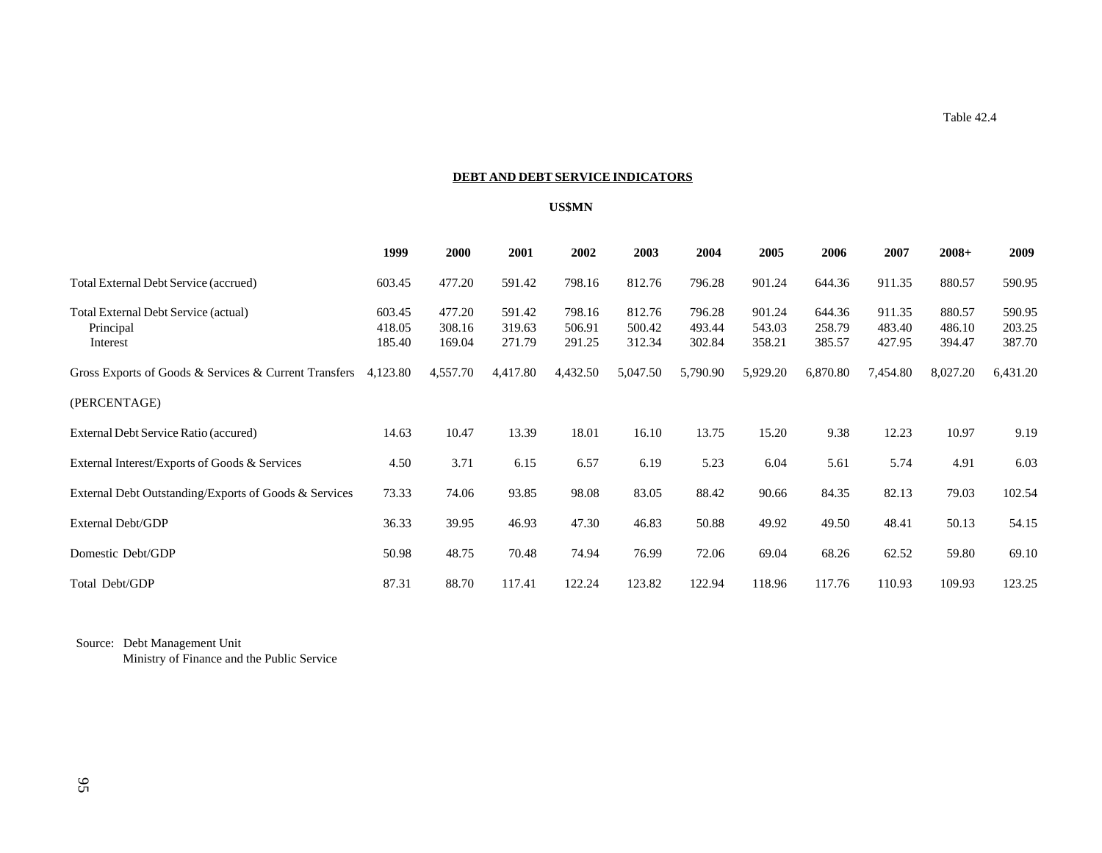### **DEBT AND DEBT SERVICE INDICATORS**

#### **US\$MN**

|                                                               | 1999                       | 2000                       | 2001                       | 2002                       | 2003                       | 2004                       | 2005                       | 2006                       | 2007                       | $2008+$                    | 2009                       |
|---------------------------------------------------------------|----------------------------|----------------------------|----------------------------|----------------------------|----------------------------|----------------------------|----------------------------|----------------------------|----------------------------|----------------------------|----------------------------|
| Total External Debt Service (accrued)                         | 603.45                     | 477.20                     | 591.42                     | 798.16                     | 812.76                     | 796.28                     | 901.24                     | 644.36                     | 911.35                     | 880.57                     | 590.95                     |
| Total External Debt Service (actual)<br>Principal<br>Interest | 603.45<br>418.05<br>185.40 | 477.20<br>308.16<br>169.04 | 591.42<br>319.63<br>271.79 | 798.16<br>506.91<br>291.25 | 812.76<br>500.42<br>312.34 | 796.28<br>493.44<br>302.84 | 901.24<br>543.03<br>358.21 | 644.36<br>258.79<br>385.57 | 911.35<br>483.40<br>427.95 | 880.57<br>486.10<br>394.47 | 590.95<br>203.25<br>387.70 |
| Gross Exports of Goods & Services & Current Transfers         | 4,123.80                   | 4,557.70                   | 4,417.80                   | 4,432.50                   | 5,047.50                   | 5,790.90                   | 5,929.20                   | 6,870.80                   | 7,454.80                   | 8,027.20                   | 6,431.20                   |
| (PERCENTAGE)                                                  |                            |                            |                            |                            |                            |                            |                            |                            |                            |                            |                            |
| External Debt Service Ratio (accured)                         | 14.63                      | 10.47                      | 13.39                      | 18.01                      | 16.10                      | 13.75                      | 15.20                      | 9.38                       | 12.23                      | 10.97                      | 9.19                       |
| External Interest/Exports of Goods & Services                 | 4.50                       | 3.71                       | 6.15                       | 6.57                       | 6.19                       | 5.23                       | 6.04                       | 5.61                       | 5.74                       | 4.91                       | 6.03                       |
| External Debt Outstanding/Exports of Goods & Services         | 73.33                      | 74.06                      | 93.85                      | 98.08                      | 83.05                      | 88.42                      | 90.66                      | 84.35                      | 82.13                      | 79.03                      | 102.54                     |
| External Debt/GDP                                             | 36.33                      | 39.95                      | 46.93                      | 47.30                      | 46.83                      | 50.88                      | 49.92                      | 49.50                      | 48.41                      | 50.13                      | 54.15                      |
| Domestic Debt/GDP                                             | 50.98                      | 48.75                      | 70.48                      | 74.94                      | 76.99                      | 72.06                      | 69.04                      | 68.26                      | 62.52                      | 59.80                      | 69.10                      |
| Total Debt/GDP                                                | 87.31                      | 88.70                      | 117.41                     | 122.24                     | 123.82                     | 122.94                     | 118.96                     | 117.76                     | 110.93                     | 109.93                     | 123.25                     |

Source: Debt Management Unit

Ministry of Finance and the Public Service

Table 42.4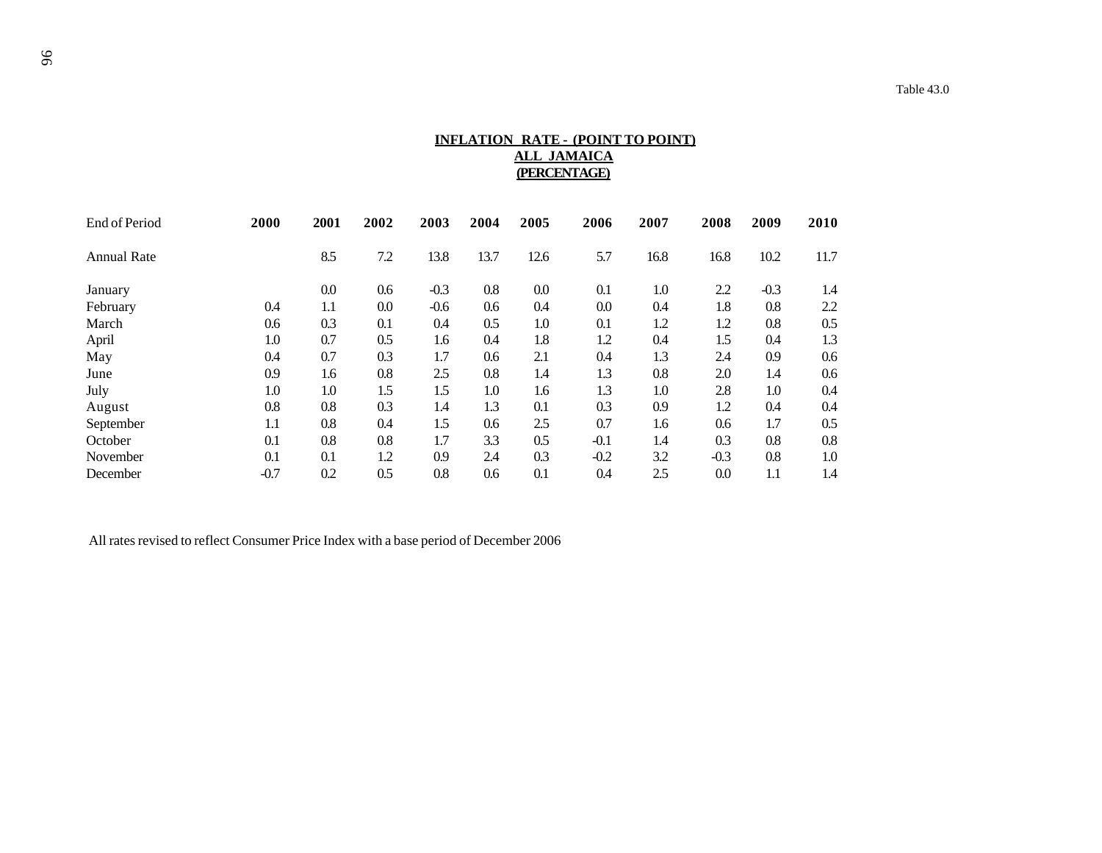# **INFLATION RATE - (POINT TO POINT) ALL JAMAICA (PERCENTAGE)**

| End of Period      | 2000   | 2001 | 2002 | 2003   | 2004 | 2005 | 2006    | 2007 | 2008   | 2009   | 2010 |
|--------------------|--------|------|------|--------|------|------|---------|------|--------|--------|------|
| <b>Annual Rate</b> |        | 8.5  | 7.2  | 13.8   | 13.7 | 12.6 | 5.7     | 16.8 | 16.8   | 10.2   | 11.7 |
| January            |        | 0.0  | 0.6  | $-0.3$ | 0.8  | 0.0  | 0.1     | 1.0  | 2.2    | $-0.3$ | 1.4  |
| February           | 0.4    | 1.1  | 0.0  | $-0.6$ | 0.6  | 0.4  | $0.0\,$ | 0.4  | 1.8    | 0.8    | 2.2  |
| March              | 0.6    | 0.3  | 0.1  | 0.4    | 0.5  | 1.0  | 0.1     | 1.2  | 1.2    | 0.8    | 0.5  |
| April              | 1.0    | 0.7  | 0.5  | 1.6    | 0.4  | 1.8  | 1.2     | 0.4  | 1.5    | 0.4    | 1.3  |
| May                | 0.4    | 0.7  | 0.3  | 1.7    | 0.6  | 2.1  | 0.4     | 1.3  | 2.4    | 0.9    | 0.6  |
| June               | 0.9    | 1.6  | 0.8  | 2.5    | 0.8  | 1.4  | 1.3     | 0.8  | 2.0    | 1.4    | 0.6  |
| July               | 1.0    | 1.0  | 1.5  | 1.5    | 1.0  | 1.6  | 1.3     | 1.0  | 2.8    | 1.0    | 0.4  |
| August             | 0.8    | 0.8  | 0.3  | 1.4    | 1.3  | 0.1  | 0.3     | 0.9  | 1.2    | 0.4    | 0.4  |
| September          | 1.1    | 0.8  | 0.4  | 1.5    | 0.6  | 2.5  | 0.7     | 1.6  | 0.6    | 1.7    | 0.5  |
| October            | 0.1    | 0.8  | 0.8  | 1.7    | 3.3  | 0.5  | $-0.1$  | 1.4  | 0.3    | 0.8    | 0.8  |
| November           | 0.1    | 0.1  | 1.2  | 0.9    | 2.4  | 0.3  | $-0.2$  | 3.2  | $-0.3$ | 0.8    | 1.0  |
| December           | $-0.7$ | 0.2  | 0.5  | 0.8    | 0.6  | 0.1  | 0.4     | 2.5  | 0.0    | 1.1    | 1.4  |

All rates revised to reflect Consumer Price Index with a base period of December 2006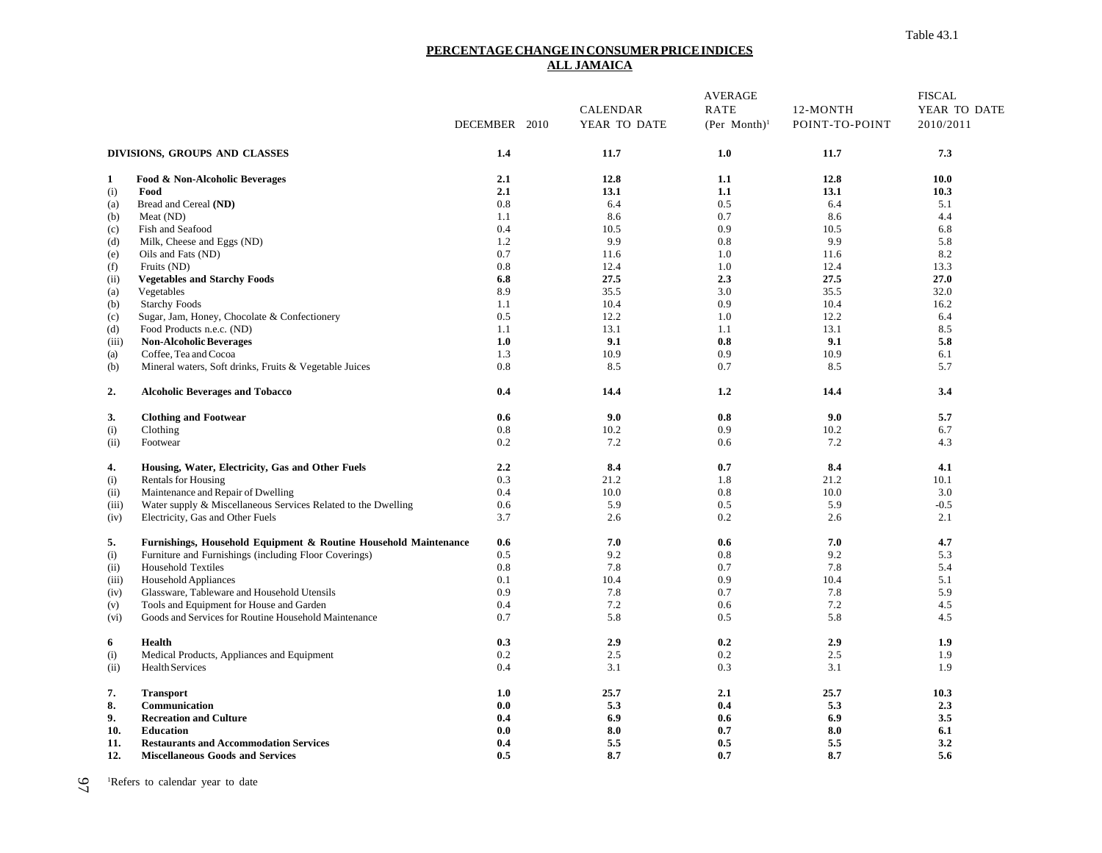#### **PERCENTAGE CHANGE IN CONSUMER PRICE INDICES ALL JAMAICA**

|       |                                                                  |               |                 | <b>AVERAGE</b>     |                | <b>FISCAL</b> |
|-------|------------------------------------------------------------------|---------------|-----------------|--------------------|----------------|---------------|
|       |                                                                  |               | <b>CALENDAR</b> | RATE               | 12-MONTH       | YEAR TO DATE  |
|       |                                                                  | DECEMBER 2010 | YEAR TO DATE    | $(Per$ Month $)^1$ | POINT-TO-POINT | 2010/2011     |
|       | DIVISIONS, GROUPS AND CLASSES                                    | 1.4           | 11.7            | 1.0                | 11.7           | 7.3           |
| 1     | Food & Non-Alcoholic Beverages                                   | 2.1           | 12.8            | 1.1                | 12.8           | 10.0          |
| (i)   | Food                                                             | 2.1           | 13.1            | 1.1                | 13.1           | 10.3          |
| (a)   | Bread and Cereal (ND)                                            | 0.8           | 6.4             | 0.5                | 6.4            | 5.1           |
| (b)   | Meat (ND)                                                        | 1.1           | 8.6             | 0.7                | 8.6            | 4.4           |
| (c)   | Fish and Seafood                                                 | 0.4           | 10.5            | 0.9                | 10.5           | 6.8           |
| (d)   | Milk, Cheese and Eggs (ND)                                       | 1.2           | 9.9             | 0.8                | 9.9            | 5.8           |
| (e)   | Oils and Fats (ND)                                               | 0.7           | 11.6            | 1.0                | 11.6           | 8.2           |
| (f)   | Fruits (ND)                                                      | 0.8           | 12.4            | 1.0                | 12.4           | 13.3          |
| (ii)  | <b>Vegetables and Starchy Foods</b>                              | 6.8           | 27.5            | 2.3                | 27.5           | 27.0          |
| (a)   | Vegetables                                                       | 8.9           | 35.5            | 3.0                | 35.5           | 32.0          |
| (b)   | <b>Starchy Foods</b>                                             | 1.1           | 10.4            | 0.9                | 10.4           | 16.2          |
| (c)   | Sugar, Jam, Honey, Chocolate & Confectionery                     | 0.5           | 12.2            | 1.0                | 12.2           | 6.4           |
| (d)   | Food Products n.e.c. (ND)                                        | 1.1           | 13.1            | 1.1                | 13.1           | 8.5           |
| (iii) | <b>Non-Alcoholic Beverages</b>                                   | 1.0           | 9.1             | 0.8                | 9.1            | 5.8           |
| (a)   | Coffee, Tea and Cocoa                                            | 1.3           | 10.9            | 0.9                | 10.9           | 6.1           |
| (b)   | Mineral waters, Soft drinks, Fruits & Vegetable Juices           | 0.8           | 8.5             | 0.7                | 8.5            | 5.7           |
| 2.    | <b>Alcoholic Beverages and Tobacco</b>                           | 0.4           | 14.4            | 1.2                | 14.4           | 3.4           |
| 3.    | <b>Clothing and Footwear</b>                                     | 0.6           | 9.0             | 0.8                | 9.0            | 5.7           |
| (i)   | Clothing                                                         | 0.8           | 10.2            | 0.9                | 10.2           | 6.7           |
| (ii)  | Footwear                                                         | 0.2           | 7.2             | 0.6                | 7.2            | 4.3           |
| 4.    | Housing, Water, Electricity, Gas and Other Fuels                 | 2.2           | 8.4             | 0.7                | 8.4            | 4.1           |
| (i)   | <b>Rentals for Housing</b>                                       | 0.3           | 21.2            | 1.8                | 21.2           | 10.1          |
| (ii)  | Maintenance and Repair of Dwelling                               | 0.4           | 10.0            | 0.8                | 10.0           | 3.0           |
| (iii) | Water supply & Miscellaneous Services Related to the Dwelling    | 0.6           | 5.9             | 0.5                | 5.9            | $-0.5$        |
| (iv)  | Electricity, Gas and Other Fuels                                 | 3.7           | 2.6             | 0.2                | 2.6            | 2.1           |
| 5.    | Furnishings, Household Equipment & Routine Household Maintenance | 0.6           | 7.0             | 0.6                | 7.0            | 4.7           |
| (i)   | Furniture and Furnishings (including Floor Coverings)            | 0.5           | 9.2             | 0.8                | 9.2            | 5.3           |
| (ii)  | <b>Household Textiles</b>                                        | 0.8           | 7.8             | 0.7                | 7.8            | 5.4           |
| (iii) | Household Appliances                                             | 0.1           | 10.4            | 0.9                | 10.4           | 5.1           |
| (iv)  | Glassware, Tableware and Household Utensils                      | 0.9           | 7.8             | 0.7                | 7.8            | 5.9           |
| (v)   | Tools and Equipment for House and Garden                         | 0.4           | 7.2             | 0.6                | 7.2            | 4.5           |
| (vi)  | Goods and Services for Routine Household Maintenance             | 0.7           | 5.8             | 0.5                | 5.8            | 4.5           |
| 6     | <b>Health</b>                                                    | 0.3           | 2.9             | 0.2                | 2.9            | 1.9           |
| (i)   | Medical Products, Appliances and Equipment                       | 0.2           | 2.5             | 0.2                | 2.5            | 1.9           |
| (ii)  | Health Services                                                  | 0.4           | 3.1             | 0.3                | 3.1            | 1.9           |
| 7.    | <b>Transport</b>                                                 | 1.0           | 25.7            | 2.1                | 25.7           | 10.3          |
| 8.    | Communication                                                    | 0.0           | 5.3             | 0.4                | 5.3            | 2.3           |
| 9.    | <b>Recreation and Culture</b>                                    | 0.4           | 6.9             | 0.6                | 6.9            | 3.5           |
| 10.   | <b>Education</b>                                                 | 0.0           | 8.0             | 0.7                | 8.0            | 6.1           |
| 11.   | <b>Restaurants and Accommodation Services</b>                    | 0.4           | 5.5             | 0.5                | 5.5            | 3.2           |
| 12.   | <b>Miscellaneous Goods and Services</b>                          | 0.5           | 8.7             | 0.7                | 8.7            | 5.6           |

97 <sup>1</sup>Refers to calendar year to date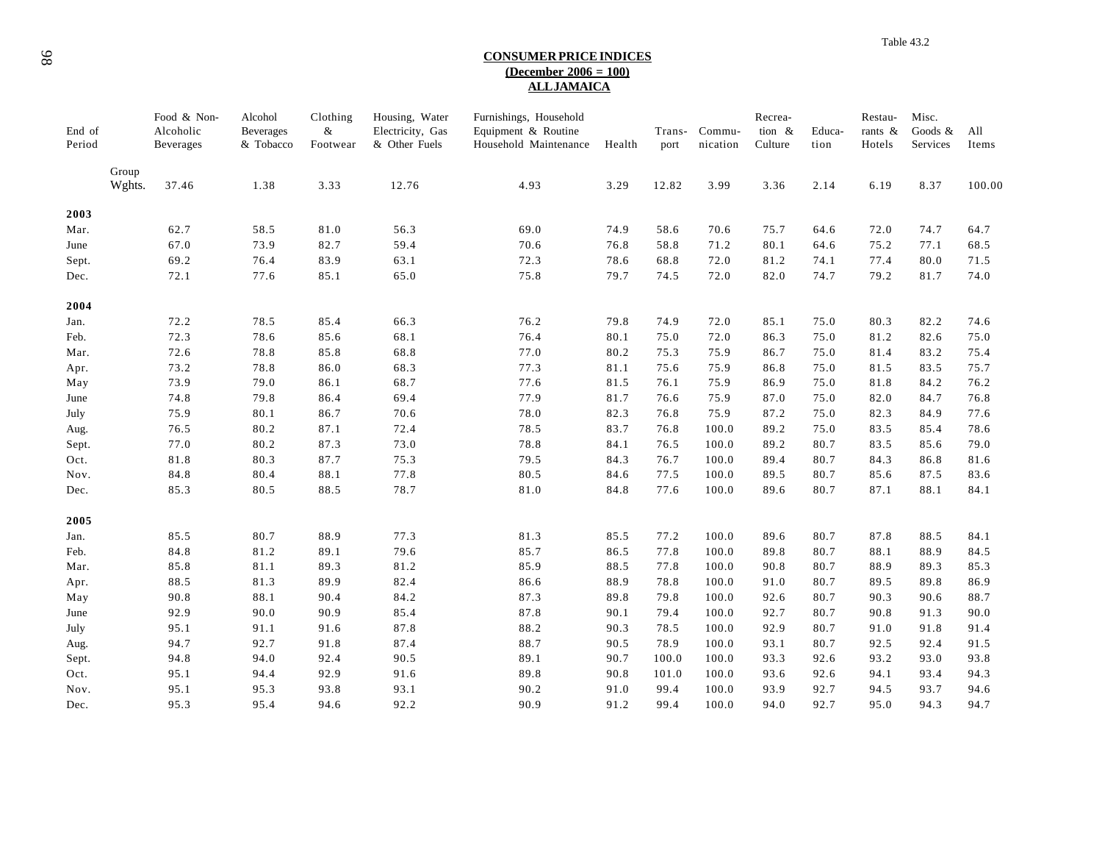#### **CONSUMER PRICE INDICES (December 2006 = 100) ALL JAMAICA**

| End of<br>Period |                 | Food & Non-<br>Alcoholic<br>Beverages | Alcohol<br><b>Beverages</b><br>& Tobacco | Clothing<br>$\&$<br>Footwear | Housing, Water<br>Electricity, Gas<br>& Other Fuels | Furnishings, Household<br>Equipment & Routine<br>Household Maintenance | Health | Trans-<br>port | Commu-<br>nication | Recrea-<br>tion &<br>Culture | Educa-<br>tion | Restau-<br>rants &<br>Hotels | Misc.<br>Goods &<br>Services | All<br>Items |
|------------------|-----------------|---------------------------------------|------------------------------------------|------------------------------|-----------------------------------------------------|------------------------------------------------------------------------|--------|----------------|--------------------|------------------------------|----------------|------------------------------|------------------------------|--------------|
|                  | Group<br>Wghts. | 37.46                                 | 1.38                                     | 3.33                         | 12.76                                               | 4.93                                                                   | 3.29   | 12.82          | 3.99               | 3.36                         | 2.14           | 6.19                         | 8.37                         | 100.00       |
|                  |                 |                                       |                                          |                              |                                                     |                                                                        |        |                |                    |                              |                |                              |                              |              |
| 2003             |                 | 62.7                                  | 58.5                                     | 81.0                         | 56.3                                                | 69.0                                                                   | 74.9   | 58.6           | 70.6               | 75.7                         | 64.6           | 72.0                         | 74.7                         | 64.7         |
| Mar.<br>June     |                 | 67.0                                  | 73.9                                     | 82.7                         | 59.4                                                | 70.6                                                                   | 76.8   | 58.8           | 71.2               | 80.1                         | 64.6           | 75.2                         | 77.1                         | 68.5         |
|                  |                 | 69.2                                  | 76.4                                     | 83.9                         | 63.1                                                | 72.3                                                                   | 78.6   | 68.8           | 72.0               | 81.2                         | 74.1           | 77.4                         | 80.0                         | 71.5         |
| Sept.            |                 |                                       |                                          |                              |                                                     |                                                                        |        |                |                    |                              |                |                              | 81.7                         |              |
| Dec.             |                 | 72.1                                  | 77.6                                     | 85.1                         | 65.0                                                | 75.8                                                                   | 79.7   | 74.5           | 72.0               | 82.0                         | 74.7           | 79.2                         |                              | 74.0         |
| 2004             |                 |                                       |                                          |                              |                                                     |                                                                        |        |                |                    |                              |                |                              |                              |              |
| Jan.             |                 | 72.2                                  | 78.5                                     | 85.4                         | 66.3                                                | 76.2                                                                   | 79.8   | 74.9           | 72.0               | 85.1                         | 75.0           | 80.3                         | 82.2                         | 74.6         |
| Feb.             |                 | 72.3                                  | 78.6                                     | 85.6                         | 68.1                                                | 76.4                                                                   | 80.1   | 75.0           | 72.0               | 86.3                         | 75.0           | 81.2                         | 82.6                         | 75.0         |
| Mar.             |                 | 72.6                                  | 78.8                                     | 85.8                         | 68.8                                                | 77.0                                                                   | 80.2   | 75.3           | 75.9               | 86.7                         | 75.0           | 81.4                         | 83.2                         | 75.4         |
| Apr.             |                 | 73.2                                  | 78.8                                     | 86.0                         | 68.3                                                | 77.3                                                                   | 81.1   | 75.6           | 75.9               | 86.8                         | 75.0           | 81.5                         | 83.5                         | 75.7         |
| May              |                 | 73.9                                  | 79.0                                     | 86.1                         | 68.7                                                | 77.6                                                                   | 81.5   | 76.1           | 75.9               | 86.9                         | 75.0           | 81.8                         | 84.2                         | 76.2         |
| June             |                 | 74.8                                  | 79.8                                     | 86.4                         | 69.4                                                | 77.9                                                                   | 81.7   | 76.6           | 75.9               | 87.0                         | 75.0           | 82.0                         | 84.7                         | 76.8         |
| July             |                 | 75.9                                  | 80.1                                     | 86.7                         | 70.6                                                | 78.0                                                                   | 82.3   | 76.8           | 75.9               | 87.2                         | 75.0           | 82.3                         | 84.9                         | 77.6         |
| Aug.             |                 | 76.5                                  | 80.2                                     | 87.1                         | 72.4                                                | 78.5                                                                   | 83.7   | 76.8           | 100.0              | 89.2                         | 75.0           | 83.5                         | 85.4                         | 78.6         |
| Sept.            |                 | 77.0                                  | 80.2                                     | 87.3                         | 73.0                                                | 78.8                                                                   | 84.1   | 76.5           | 100.0              | 89.2                         | 80.7           | 83.5                         | 85.6                         | 79.0         |
| Oct.             |                 | 81.8                                  | 80.3                                     | 87.7                         | 75.3                                                | 79.5                                                                   | 84.3   | 76.7           | 100.0              | 89.4                         | 80.7           | 84.3                         | 86.8                         | 81.6         |
| Nov.             |                 | 84.8                                  | 80.4                                     | 88.1                         | 77.8                                                | 80.5                                                                   | 84.6   | 77.5           | 100.0              | 89.5                         | 80.7           | 85.6                         | 87.5                         | 83.6         |
| Dec.             |                 | 85.3                                  | 80.5                                     | 88.5                         | 78.7                                                | 81.0                                                                   | 84.8   | 77.6           | 100.0              | 89.6                         | 80.7           | 87.1                         | 88.1                         | 84.1         |
|                  |                 |                                       |                                          |                              |                                                     |                                                                        |        |                |                    |                              |                |                              |                              |              |
| 2005             |                 |                                       |                                          |                              |                                                     |                                                                        |        |                |                    |                              |                |                              |                              |              |
| Jan.             |                 | 85.5                                  | 80.7                                     | 88.9                         | 77.3                                                | 81.3                                                                   | 85.5   | 77.2           | 100.0              | 89.6                         | 80.7           | 87.8                         | 88.5                         | 84.1         |
| Feb.             |                 | 84.8                                  | 81.2                                     | 89.1                         | 79.6<br>$81.2\,$                                    | 85.7<br>85.9                                                           | 86.5   | 77.8           | 100.0              | 89.8                         | 80.7           | 88.1                         | 88.9                         | 84.5         |
| Mar.             |                 | 85.8                                  | 81.1                                     | 89.3                         |                                                     |                                                                        | 88.5   | 77.8           | 100.0              | 90.8                         | 80.7           | 88.9                         | 89.3                         | 85.3         |
| Apr.             |                 | 88.5                                  | 81.3                                     | 89.9                         | 82.4                                                | 86.6                                                                   | 88.9   | 78.8           | 100.0              | 91.0                         | 80.7           | 89.5                         | 89.8                         | 86.9         |
| May              |                 | 90.8                                  | 88.1                                     | 90.4                         | 84.2                                                | 87.3                                                                   | 89.8   | 79.8           | 100.0              | 92.6                         | 80.7           | 90.3                         | 90.6                         | 88.7         |
| June             |                 | 92.9                                  | 90.0                                     | 90.9                         | 85.4                                                | 87.8                                                                   | 90.1   | 79.4           | 100.0              | 92.7                         | 80.7           | 90.8                         | 91.3                         | 90.0         |
| July             |                 | 95.1                                  | 91.1                                     | 91.6                         | 87.8                                                | 88.2                                                                   | 90.3   | 78.5           | 100.0              | 92.9                         | 80.7           | 91.0                         | 91.8                         | 91.4         |
| Aug.             |                 | 94.7                                  | 92.7                                     | 91.8                         | 87.4                                                | 88.7                                                                   | 90.5   | 78.9           | 100.0              | 93.1                         | 80.7           | 92.5                         | 92.4                         | 91.5         |
| Sept.            |                 | 94.8                                  | 94.0                                     | 92.4                         | 90.5                                                | 89.1                                                                   | 90.7   | 100.0          | 100.0              | 93.3                         | 92.6           | 93.2                         | 93.0                         | 93.8         |
| Oct.             |                 | 95.1                                  | 94.4                                     | 92.9                         | 91.6                                                | 89.8                                                                   | 90.8   | 101.0          | 100.0              | 93.6                         | 92.6           | 94.1                         | 93.4                         | 94.3         |
| Nov.             |                 | 95.1                                  | 95.3                                     | 93.8                         | 93.1                                                | 90.2                                                                   | 91.0   | 99.4           | 100.0              | 93.9                         | 92.7           | 94.5                         | 93.7                         | 94.6         |
| Dec.             |                 | 95.3                                  | 95.4                                     | 94.6                         | 92.2                                                | 90.9                                                                   | 91.2   | 99.4           | 100.0              | 94.0                         | 92.7           | 95.0                         | 94.3                         | 94.7         |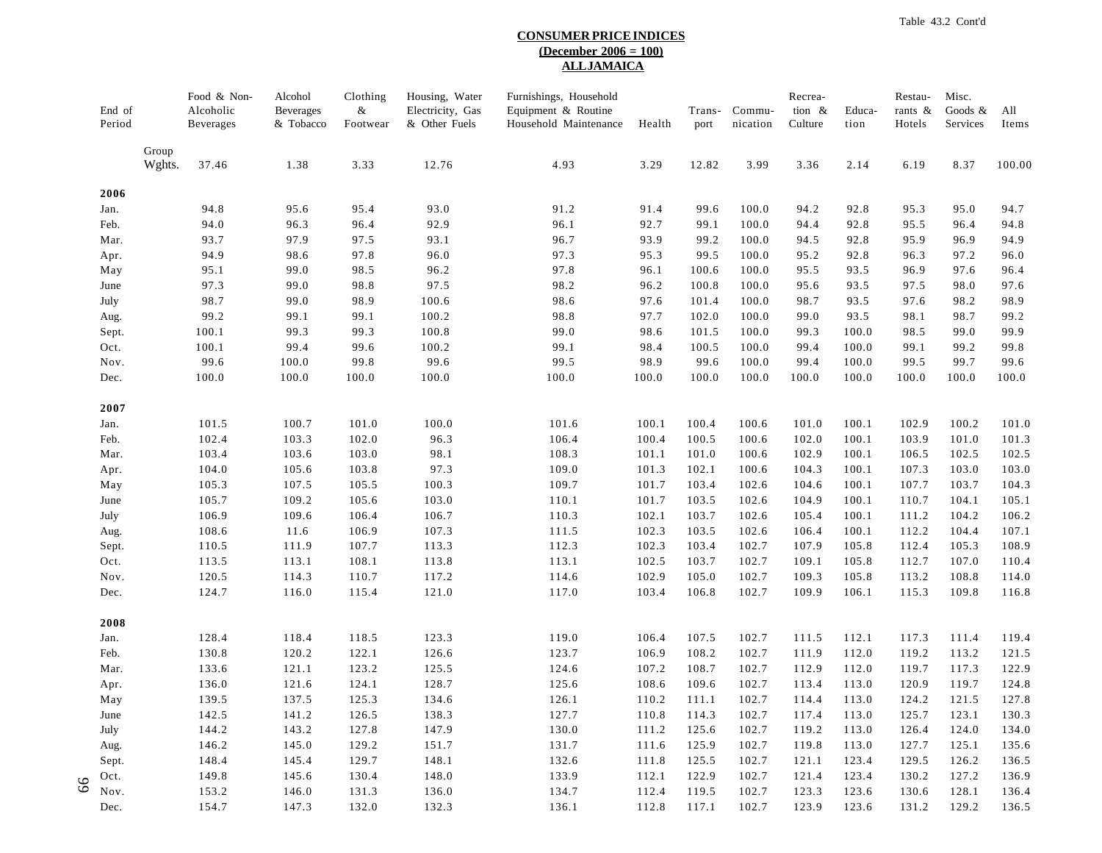#### **CONSUMER PRICE INDICES (December 2006 = 100) ALL JAMAICA**

| End of<br>Period   |                 | Food & Non-<br>Alcoholic<br>Beverages | Alcohol<br><b>Beverages</b><br>& Tobacco | Clothing<br>&<br>Footwear | Housing, Water<br>Electricity, Gas<br>& Other Fuels | Furnishings, Household<br>Equipment & Routine<br>Household Maintenance | Health         | Trans-<br>port | Commu-<br>nication | Recrea-<br>tion $\&$<br>Culture | Educa-<br>tion | Restau-<br>rants &<br>Hotels | Misc.<br>Goods &<br>Services | All<br>Items   |
|--------------------|-----------------|---------------------------------------|------------------------------------------|---------------------------|-----------------------------------------------------|------------------------------------------------------------------------|----------------|----------------|--------------------|---------------------------------|----------------|------------------------------|------------------------------|----------------|
|                    | Group<br>Wghts. | 37.46                                 | 1.38                                     | 3.33                      | 12.76                                               | 4.93                                                                   | 3.29           | 12.82          | 3.99               | 3.36                            | 2.14           | 6.19                         | 8.37                         | 100.00         |
| 2006               |                 |                                       |                                          |                           |                                                     |                                                                        |                |                |                    |                                 |                |                              |                              |                |
| Jan.               |                 | 94.8                                  | 95.6                                     | 95.4                      | 93.0                                                | 91.2                                                                   | 91.4           | 99.6           | 100.0              | 94.2                            | 92.8           | 95.3                         | 95.0                         | 94.7           |
| Feb.               |                 | 94.0                                  | 96.3                                     | 96.4                      | 92.9                                                | 96.1                                                                   | 92.7           | 99.1           | 100.0              | 94.4                            | 92.8           | 95.5                         | 96.4                         | 94.8           |
| Mar.               |                 | 93.7                                  | 97.9                                     | 97.5                      | 93.1                                                | 96.7                                                                   | 93.9           | 99.2           | 100.0              | 94.5                            | 92.8           | 95.9                         | 96.9                         | 94.9           |
| Apr.               |                 | 94.9                                  | 98.6                                     | 97.8                      | 96.0                                                | 97.3                                                                   | 95.3           | 99.5           | 100.0              | 95.2                            | 92.8           | 96.3                         | 97.2                         | 96.0           |
| May                |                 | 95.1                                  | 99.0                                     | 98.5                      | 96.2                                                | 97.8                                                                   | 96.1           | 100.6          | 100.0              | 95.5                            | 93.5           | 96.9                         | 97.6                         | 96.4           |
| June               |                 | 97.3                                  | 99.0                                     | 98.8                      | 97.5                                                | 98.2                                                                   | 96.2           | 100.8          | 100.0              | 95.6                            | 93.5           | 97.5                         | 98.0                         | 97.6           |
| July               |                 | 98.7                                  | 99.0                                     | 98.9                      | 100.6                                               | 98.6                                                                   | 97.6           | 101.4          | 100.0              | 98.7                            | 93.5           | 97.6                         | 98.2                         | 98.9           |
| Aug.               |                 | 99.2                                  | 99.1                                     | 99.1                      | 100.2                                               | 98.8                                                                   | 97.7           | 102.0          | 100.0              | 99.0                            | 93.5           | 98.1                         | 98.7                         | 99.2           |
| Sept.              |                 | 100.1                                 | 99.3                                     | 99.3                      | 100.8                                               | 99.0                                                                   | 98.6           | 101.5          | 100.0              | 99.3                            | 100.0          | 98.5                         | 99.0                         | 99.9           |
| Oct.               |                 | 100.1                                 | 99.4                                     | 99.6                      | 100.2                                               | 99.1                                                                   | 98.4           | 100.5          | 100.0              | 99.4                            | 100.0          | 99.1                         | 99.2                         | 99.8           |
| Nov.<br>Dec.       |                 | 99.6<br>100.0                         | 100.0<br>100.0                           | 99.8<br>100.0             | 99.6<br>100.0                                       | 99.5<br>100.0                                                          | 98.9<br>100.0  | 99.6<br>100.0  | 100.0<br>100.0     | 99.4<br>100.0                   | 100.0<br>100.0 | 99.5<br>100.0                | 99.7<br>100.0                | 99.6<br>100.0  |
| 2007               |                 |                                       |                                          |                           |                                                     |                                                                        |                |                |                    |                                 |                |                              |                              |                |
| Jan.               |                 | 101.5                                 | 100.7                                    | 101.0                     | 100.0                                               | 101.6                                                                  | 100.1          | 100.4          | 100.6              | 101.0                           | 100.1          | 102.9                        | 100.2                        | 101.0          |
| Feb.               |                 | 102.4                                 | 103.3                                    | 102.0                     | 96.3                                                | 106.4                                                                  | 100.4          | 100.5          | 100.6              | 102.0                           | 100.1          | 103.9                        | 101.0                        | 101.3          |
| Mar.               |                 | 103.4                                 | 103.6                                    | 103.0                     | 98.1                                                | 108.3                                                                  | 101.1          | 101.0          | 100.6              | 102.9                           | 100.1          | 106.5                        | 102.5                        | 102.5          |
| Apr.               |                 | 104.0                                 | 105.6                                    | 103.8                     | 97.3                                                | 109.0                                                                  | 101.3          | 102.1          | 100.6              | 104.3                           | 100.1          | 107.3                        | 103.0                        | 103.0          |
| May                |                 | 105.3                                 | 107.5                                    | 105.5                     | 100.3                                               | 109.7                                                                  | 101.7          | 103.4          | 102.6              | 104.6                           | 100.1          | 107.7                        | 103.7                        | 104.3          |
| June               |                 | 105.7                                 | 109.2                                    | 105.6                     | 103.0                                               | 110.1                                                                  | 101.7          | 103.5          | 102.6              | 104.9                           | 100.1          | 110.7                        | 104.1                        | 105.1          |
| July               |                 | 106.9                                 | 109.6                                    | 106.4                     | 106.7                                               | 110.3                                                                  | 102.1          | 103.7          | 102.6              | 105.4                           | 100.1          | 111.2                        | 104.2                        | 106.2          |
| Aug.               |                 | 108.6                                 | 11.6                                     | 106.9                     | 107.3                                               | 111.5                                                                  | 102.3          | 103.5          | 102.6              | 106.4                           | 100.1          | 112.2                        | 104.4                        | 107.1          |
| Sept.              |                 | 110.5                                 | 111.9                                    | 107.7                     | 113.3                                               | 112.3                                                                  | 102.3          | 103.4          | 102.7              | 107.9                           | 105.8          | 112.4                        | 105.3                        | 108.9          |
| Oct.               |                 | 113.5                                 | 113.1                                    | 108.1                     | 113.8                                               | 113.1                                                                  | 102.5          | 103.7          | 102.7              | 109.1                           | 105.8          | 112.7                        | 107.0                        | 110.4          |
| Nov.<br>Dec.       |                 | 120.5<br>124.7                        | 114.3<br>116.0                           | 110.7<br>115.4            | 117.2<br>121.0                                      | 114.6<br>117.0                                                         | 102.9<br>103.4 | 105.0<br>106.8 | 102.7<br>102.7     | 109.3<br>109.9                  | 105.8<br>106.1 | 113.2<br>115.3               | 108.8<br>109.8               | 114.0<br>116.8 |
| 2008               |                 |                                       |                                          |                           |                                                     |                                                                        |                |                |                    |                                 |                |                              |                              |                |
| Jan.               |                 | 128.4                                 | 118.4                                    | 118.5                     | 123.3                                               | 119.0                                                                  | 106.4          | 107.5          | 102.7              | 111.5                           | 112.1          | 117.3                        | 111.4                        | 119.4          |
| Feb.               |                 | 130.8                                 | 120.2                                    | 122.1                     | 126.6                                               | 123.7                                                                  | 106.9          | 108.2          | 102.7              | 111.9                           | 112.0          | 119.2                        | 113.2                        | 121.5          |
| Mar.               |                 | 133.6                                 | 121.1                                    | 123.2                     | 125.5                                               | 124.6                                                                  | 107.2          | 108.7          | 102.7              | 112.9                           | 112.0          | 119.7                        | 117.3                        | 122.9          |
| Apr.               |                 | 136.0                                 | 121.6                                    | 124.1                     | 128.7                                               | 125.6                                                                  | 108.6          | 109.6          | 102.7              | 113.4                           | 113.0          | 120.9                        | 119.7                        | 124.8          |
| May                |                 | 139.5                                 | 137.5                                    | 125.3                     | 134.6                                               | 126.1                                                                  | 110.2          | 111.1          | 102.7              | 114.4                           | 113.0          | 124.2                        | 121.5                        | 127.8          |
| June               |                 | 142.5                                 | 141.2                                    | 126.5                     | 138.3                                               | 127.7                                                                  | 110.8          | 114.3          | 102.7              | 117.4                           | 113.0          | 125.7                        | 123.1                        | 130.3          |
| July               |                 | 144.2                                 | 143.2                                    | 127.8                     | 147.9                                               | 130.0                                                                  | 111.2          | 125.6          | 102.7              | 119.2                           | 113.0          | 126.4                        | 124.0                        | 134.0          |
| Aug.               |                 | 146.2                                 | 145.0                                    | 129.2                     | 151.7                                               | 131.7                                                                  | 111.6          | 125.9          | 102.7              | 119.8                           | 113.0          | 127.7                        | 125.1                        | 135.6          |
| Sept.              |                 | 148.4<br>149.8                        | 145.4<br>145.6                           | 129.7<br>130.4            | 148.1<br>148.0                                      | 132.6<br>133.9                                                         | 111.8<br>112.1 | 125.5<br>122.9 | 102.7<br>102.7     | 121.1<br>121.4                  | 123.4<br>123.4 | 129.5<br>130.2               | 126.2<br>127.2               | 136.5<br>136.9 |
| Oct.<br>89<br>Nov. |                 | 153.2                                 | 146.0                                    | 131.3                     | 136.0                                               | 134.7                                                                  | 112.4          | 119.5          | 102.7              | 123.3                           | 123.6          | 130.6                        | 128.1                        | 136.4          |
| Dec.               |                 | 154.7                                 | 147.3                                    | 132.0                     | 132.3                                               | 136.1                                                                  | 112.8          | 117.1          | 102.7              | 123.9                           | 123.6          | 131.2                        | 129.2                        | 136.5          |
|                    |                 |                                       |                                          |                           |                                                     |                                                                        |                |                |                    |                                 |                |                              |                              |                |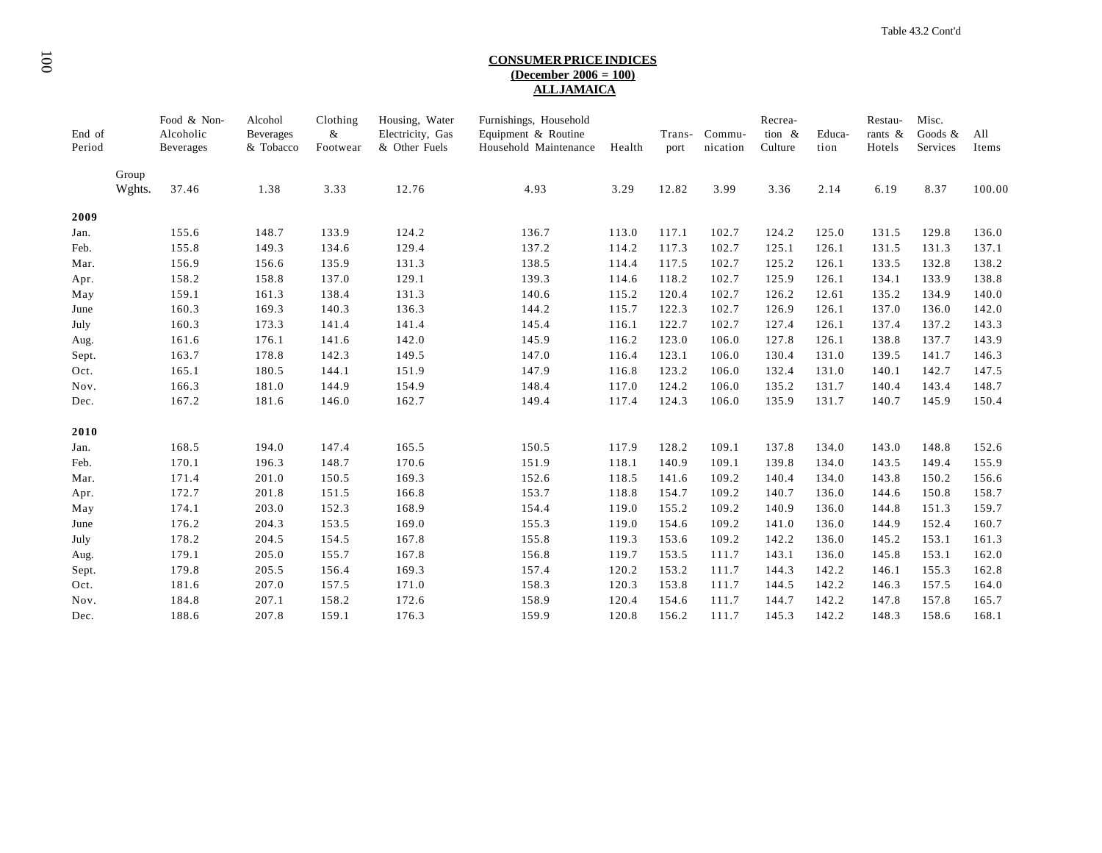# 100**CONSUMER PRICE INDICES (December 2006 = 100) ALL JAMAICA**

| End of<br>Period |                 | Food & Non-<br>Alcoholic<br><b>Beverages</b> | Alcohol<br><b>Beverages</b><br>& Tobacco | Clothing<br>&<br>Footwear | Housing, Water<br>Electricity, Gas<br>& Other Fuels | Furnishings, Household<br>Equipment & Routine<br>Household Maintenance | Health | Trans-<br>port | Commu-<br>nication | Recrea-<br>tion $\&$<br>Culture | Educa-<br>tion | Restau-<br>rants &<br>Hotels | Misc.<br>Goods $\&$<br>Services | All<br>Items |
|------------------|-----------------|----------------------------------------------|------------------------------------------|---------------------------|-----------------------------------------------------|------------------------------------------------------------------------|--------|----------------|--------------------|---------------------------------|----------------|------------------------------|---------------------------------|--------------|
|                  | Group<br>Wghts. | 37.46                                        | 1.38                                     | 3.33                      | 12.76                                               | 4.93                                                                   | 3.29   | 12.82          | 3.99               | 3.36                            | 2.14           | 6.19                         | 8.37                            | 100.00       |
| 2009             |                 |                                              |                                          |                           |                                                     |                                                                        |        |                |                    |                                 |                |                              |                                 |              |
| Jan.             |                 | 155.6                                        | 148.7                                    | 133.9                     | 124.2                                               | 136.7                                                                  | 113.0  | 117.1          | 102.7              | 124.2                           | 125.0          | 131.5                        | 129.8                           | 136.0        |
| Feb.             |                 | 155.8                                        | 149.3                                    | 134.6                     | 129.4                                               | 137.2                                                                  | 114.2  | 117.3          | 102.7              | 125.1                           | 126.1          | 131.5                        | 131.3                           | 137.1        |
| Mar.             |                 | 156.9                                        | 156.6                                    | 135.9                     | 131.3                                               | 138.5                                                                  | 114.4  | 117.5          | 102.7              | 125.2                           | 126.1          | 133.5                        | 132.8                           | 138.2        |
| Apr.             |                 | 158.2                                        | 158.8                                    | 137.0                     | 129.1                                               | 139.3                                                                  | 114.6  | 118.2          | 102.7              | 125.9                           | 126.1          | 134.1                        | 133.9                           | 138.8        |
| May              |                 | 159.1                                        | 161.3                                    | 138.4                     | 131.3                                               | 140.6                                                                  | 115.2  | 120.4          | 102.7              | 126.2                           | 12.61          | 135.2                        | 134.9                           | 140.0        |
| June             |                 | 160.3                                        | 169.3                                    | 140.3                     | 136.3                                               | 144.2                                                                  | 115.7  | 122.3          | 102.7              | 126.9                           | 126.1          | 137.0                        | 136.0                           | 142.0        |
| July             |                 | 160.3                                        | 173.3                                    | 141.4                     | 141.4                                               | 145.4                                                                  | 116.1  | 122.7          | 102.7              | 127.4                           | 126.1          | 137.4                        | 137.2                           | 143.3        |
| Aug.             |                 | 161.6                                        | 176.1                                    | 141.6                     | 142.0                                               | 145.9                                                                  | 116.2  | 123.0          | 106.0              | 127.8                           | 126.1          | 138.8                        | 137.7                           | 143.9        |
| Sept.            |                 | 163.7                                        | 178.8                                    | 142.3                     | 149.5                                               | 147.0                                                                  | 116.4  | 123.1          | 106.0              | 130.4                           | 131.0          | 139.5                        | 141.7                           | 146.3        |
| Oct.             |                 | 165.1                                        | 180.5                                    | 144.1                     | 151.9                                               | 147.9                                                                  | 116.8  | 123.2          | 106.0              | 132.4                           | 131.0          | 140.1                        | 142.7                           | 147.5        |
| Nov.             |                 | 166.3                                        | 181.0                                    | 144.9                     | 154.9                                               | 148.4                                                                  | 117.0  | 124.2          | 106.0              | 135.2                           | 131.7          | 140.4                        | 143.4                           | 148.7        |
| Dec.             |                 | 167.2                                        | 181.6                                    | 146.0                     | 162.7                                               | 149.4                                                                  | 117.4  | 124.3          | 106.0              | 135.9                           | 131.7          | 140.7                        | 145.9                           | 150.4        |
| 2010             |                 |                                              |                                          |                           |                                                     |                                                                        |        |                |                    |                                 |                |                              |                                 |              |
| Jan.             |                 | 168.5                                        | 194.0                                    | 147.4                     | 165.5                                               | 150.5                                                                  | 117.9  | 128.2          | 109.1              | 137.8                           | 134.0          | 143.0                        | 148.8                           | 152.6        |
| Feb.             |                 | 170.1                                        | 196.3                                    | 148.7                     | 170.6                                               | 151.9                                                                  | 118.1  | 140.9          | 109.1              | 139.8                           | 134.0          | 143.5                        | 149.4                           | 155.9        |
| Mar.             |                 | 171.4                                        | 201.0                                    | 150.5                     | 169.3                                               | 152.6                                                                  | 118.5  | 141.6          | 109.2              | 140.4                           | 134.0          | 143.8                        | 150.2                           | 156.6        |
| Apr.             |                 | 172.7                                        | 201.8                                    | 151.5                     | 166.8                                               | 153.7                                                                  | 118.8  | 154.7          | 109.2              | 140.7                           | 136.0          | 144.6                        | 150.8                           | 158.7        |
| May              |                 | 174.1                                        | 203.0                                    | 152.3                     | 168.9                                               | 154.4                                                                  | 119.0  | 155.2          | 109.2              | 140.9                           | 136.0          | 144.8                        | 151.3                           | 159.7        |
| June             |                 | 176.2                                        | 204.3                                    | 153.5                     | 169.0                                               | 155.3                                                                  | 119.0  | 154.6          | 109.2              | 141.0                           | 136.0          | 144.9                        | 152.4                           | 160.7        |
| July             |                 | 178.2                                        | 204.5                                    | 154.5                     | 167.8                                               | 155.8                                                                  | 119.3  | 153.6          | 109.2              | 142.2                           | 136.0          | 145.2                        | 153.1                           | 161.3        |
| Aug.             |                 | 179.1                                        | 205.0                                    | 155.7                     | 167.8                                               | 156.8                                                                  | 119.7  | 153.5          | 111.7              | 143.1                           | 136.0          | 145.8                        | 153.1                           | 162.0        |
| Sept.            |                 | 179.8                                        | 205.5                                    | 156.4                     | 169.3                                               | 157.4                                                                  | 120.2  | 153.2          | 111.7              | 144.3                           | 142.2          | 146.1                        | 155.3                           | 162.8        |
| Oct.             |                 | 181.6                                        | 207.0                                    | 157.5                     | 171.0                                               | 158.3                                                                  | 120.3  | 153.8          | 111.7              | 144.5                           | 142.2          | 146.3                        | 157.5                           | 164.0        |
| Nov.             |                 | 184.8                                        | 207.1                                    | 158.2                     | 172.6                                               | 158.9                                                                  | 120.4  | 154.6          | 111.7              | 144.7                           | 142.2          | 147.8                        | 157.8                           | 165.7        |
| Dec.             |                 | 188.6                                        | 207.8                                    | 159.1                     | 176.3                                               | 159.9                                                                  | 120.8  | 156.2          | 111.7              | 145.3                           | 142.2          | 148.3                        | 158.6                           | 168.1        |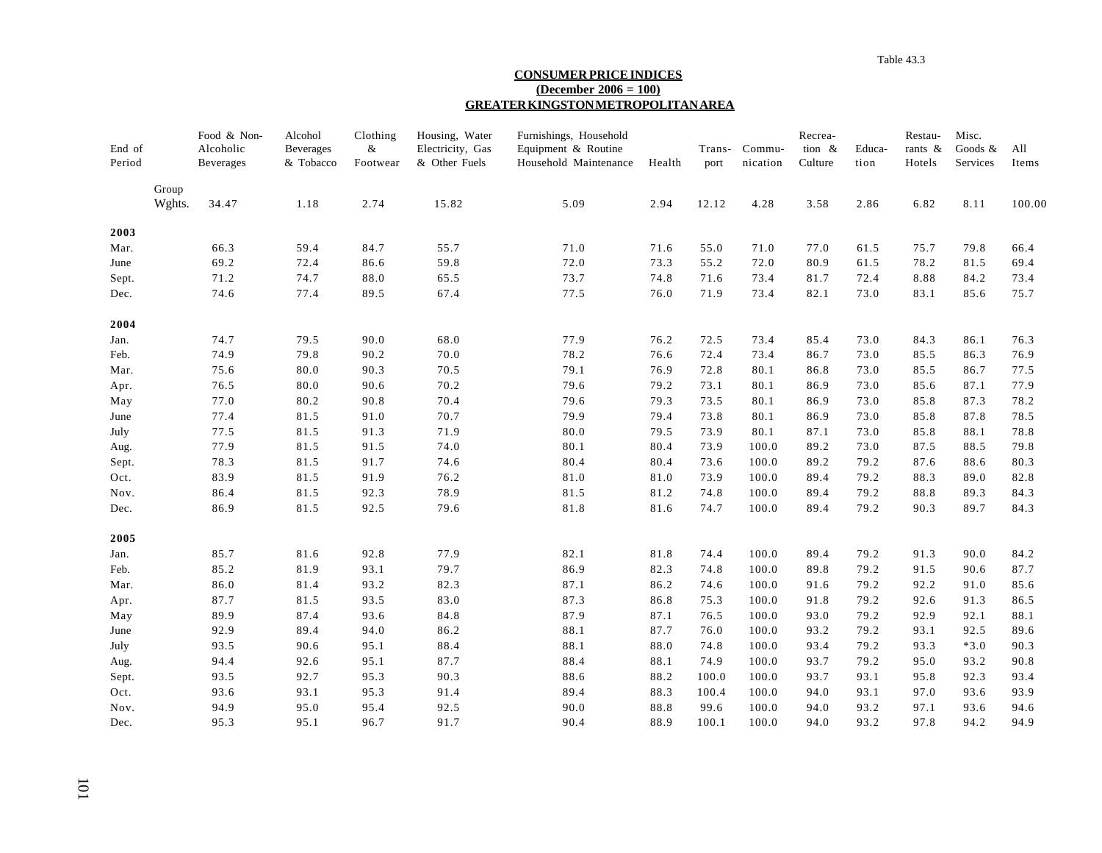#### **CONSUMER PRICE INDICES (December 2006 = 100) GREATER KINGSTON METROPOLITAN AREA**

| End of<br>Period |                 | Food & Non-<br>Alcoholic<br><b>Beverages</b> | Alcohol<br><b>Beverages</b><br>& Tobacco | Clothing<br>$\&$<br>Footwear | Housing, Water<br>Electricity, Gas<br>& Other Fuels | Furnishings, Household<br>Equipment & Routine<br>Household Maintenance | Health | Trans-<br>port | Commu-<br>nication | Recrea-<br>tion &<br>Culture | Educa-<br>tion | Restau-<br>rants &<br>Hotels | Misc.<br>Goods &<br>Services | All<br>Items |
|------------------|-----------------|----------------------------------------------|------------------------------------------|------------------------------|-----------------------------------------------------|------------------------------------------------------------------------|--------|----------------|--------------------|------------------------------|----------------|------------------------------|------------------------------|--------------|
|                  | Group<br>Wghts. | 34.47                                        | 1.18                                     | 2.74                         | 15.82                                               | 5.09                                                                   | 2.94   | 12.12          | 4.28               | 3.58                         | 2.86           | 6.82                         | 8.11                         | 100.00       |
| 2003             |                 |                                              |                                          |                              |                                                     |                                                                        |        |                |                    |                              |                |                              |                              |              |
| Mar.             |                 | 66.3                                         | 59.4                                     | 84.7                         | 55.7                                                | 71.0                                                                   | 71.6   | 55.0           | 71.0               | 77.0                         | 61.5           | 75.7                         | 79.8                         | 66.4         |
| June             |                 | 69.2                                         | 72.4                                     | 86.6                         | 59.8                                                | 72.0                                                                   | 73.3   | 55.2           | 72.0               | 80.9                         | 61.5           | 78.2                         | 81.5                         | 69.4         |
| Sept.            |                 | 71.2                                         | 74.7                                     | 88.0                         | 65.5                                                | 73.7                                                                   | 74.8   | 71.6           | 73.4               | 81.7                         | 72.4           | 8.88                         | 84.2                         | 73.4         |
| Dec.             |                 | 74.6                                         | 77.4                                     | 89.5                         | 67.4                                                | 77.5                                                                   | 76.0   | 71.9           | 73.4               | 82.1                         | 73.0           | 83.1                         | 85.6                         | 75.7         |
| 2004             |                 |                                              |                                          |                              |                                                     |                                                                        |        |                |                    |                              |                |                              |                              |              |
| Jan.             |                 | 74.7                                         | 79.5                                     | 90.0                         | 68.0                                                | 77.9                                                                   | 76.2   | 72.5           | 73.4               | 85.4                         | 73.0           | 84.3                         | 86.1                         | 76.3         |
| Feb.             |                 | 74.9                                         | 79.8                                     | 90.2                         | 70.0                                                | 78.2                                                                   | 76.6   | 72.4           | 73.4               | 86.7                         | 73.0           | 85.5                         | 86.3                         | 76.9         |
| Mar.             |                 | 75.6                                         | 80.0                                     | 90.3                         | 70.5                                                | 79.1                                                                   | 76.9   | 72.8           | 80.1               | 86.8                         | 73.0           | 85.5                         | 86.7                         | 77.5         |
| Apr.             |                 | 76.5                                         | 80.0                                     | 90.6                         | 70.2                                                | 79.6                                                                   | 79.2   | 73.1           | 80.1               | 86.9                         | 73.0           | 85.6                         | 87.1                         | 77.9         |
| May              |                 | 77.0                                         | 80.2                                     | 90.8                         | 70.4                                                | 79.6                                                                   | 79.3   | 73.5           | 80.1               | 86.9                         | 73.0           | 85.8                         | 87.3                         | 78.2         |
| June             |                 | 77.4                                         | 81.5                                     | 91.0                         | 70.7                                                | 79.9                                                                   | 79.4   | 73.8           | 80.1               | 86.9                         | 73.0           | 85.8                         | 87.8                         | 78.5         |
| July             |                 | 77.5                                         | 81.5                                     | 91.3                         | 71.9                                                | 80.0                                                                   | 79.5   | 73.9           | 80.1               | 87.1                         | 73.0           | 85.8                         | 88.1                         | 78.8         |
| Aug.             |                 | 77.9                                         | 81.5                                     | 91.5                         | 74.0                                                | 80.1                                                                   | 80.4   | 73.9           | 100.0              | 89.2                         | 73.0           | 87.5                         | 88.5                         | 79.8         |
| Sept.            |                 | 78.3                                         | 81.5                                     | 91.7                         | 74.6                                                | 80.4                                                                   | 80.4   | 73.6           | 100.0              | 89.2                         | 79.2           | 87.6                         | 88.6                         | 80.3         |
| Oct.             |                 | 83.9                                         | 81.5                                     | 91.9                         | 76.2                                                | 81.0                                                                   | 81.0   | 73.9           | 100.0              | 89.4                         | 79.2           | 88.3                         | 89.0                         | 82.8         |
| Nov.             |                 | 86.4                                         | 81.5                                     | 92.3                         | 78.9                                                | 81.5                                                                   | 81.2   | 74.8           | 100.0              | 89.4                         | 79.2           | 88.8                         | 89.3                         | 84.3         |
| Dec.             |                 | 86.9                                         | 81.5                                     | 92.5                         | 79.6                                                | 81.8                                                                   | 81.6   | 74.7           | 100.0              | 89.4                         | 79.2           | 90.3                         | 89.7                         | 84.3         |
| 2005             |                 |                                              |                                          |                              |                                                     |                                                                        |        |                |                    |                              |                |                              |                              |              |
| Jan.             |                 | 85.7                                         | 81.6                                     | 92.8                         | 77.9                                                | 82.1                                                                   | 81.8   | 74.4           | 100.0              | 89.4                         | 79.2           | 91.3                         | 90.0                         | 84.2         |
| Feb.             |                 | 85.2                                         | 81.9                                     | 93.1                         | 79.7                                                | 86.9                                                                   | 82.3   | 74.8           | 100.0              | 89.8                         | 79.2           | 91.5                         | 90.6                         | 87.7         |
| Mar.             |                 | 86.0                                         | 81.4                                     | 93.2                         | 82.3                                                | 87.1                                                                   | 86.2   | 74.6           | 100.0              | 91.6                         | 79.2           | 92.2                         | 91.0                         | 85.6         |
| Apr.             |                 | 87.7                                         | 81.5                                     | 93.5                         | 83.0                                                | 87.3                                                                   | 86.8   | 75.3           | 100.0              | 91.8                         | 79.2           | 92.6                         | 91.3                         | 86.5         |
| May              |                 | 89.9                                         | 87.4                                     | 93.6                         | 84.8                                                | 87.9                                                                   | 87.1   | 76.5           | 100.0              | 93.0                         | 79.2           | 92.9                         | 92.1                         | 88.1         |
| June             |                 | 92.9                                         | 89.4                                     | 94.0                         | 86.2                                                | 88.1                                                                   | 87.7   | 76.0           | 100.0              | 93.2                         | 79.2           | 93.1                         | 92.5                         | 89.6         |
| July             |                 | 93.5                                         | 90.6                                     | 95.1                         | 88.4                                                | 88.1                                                                   | 88.0   | 74.8           | 100.0              | 93.4                         | 79.2           | 93.3                         | $*3.0$                       | 90.3         |
| Aug.             |                 | 94.4                                         | 92.6                                     | 95.1                         | 87.7                                                | 88.4                                                                   | 88.1   | 74.9           | 100.0              | 93.7                         | 79.2           | 95.0                         | 93.2                         | 90.8         |
| Sept.            |                 | 93.5                                         | 92.7                                     | 95.3                         | 90.3                                                | 88.6                                                                   | 88.2   | 100.0          | 100.0              | 93.7                         | 93.1           | 95.8                         | 92.3                         | 93.4         |
| Oct.             |                 | 93.6                                         | 93.1                                     | 95.3                         | 91.4                                                | 89.4                                                                   | 88.3   | 100.4          | 100.0              | 94.0                         | 93.1           | 97.0                         | 93.6                         | 93.9         |
| Nov.             |                 | 94.9                                         | 95.0                                     | 95.4                         | 92.5                                                | 90.0                                                                   | 88.8   | 99.6           | 100.0              | 94.0                         | 93.2           | 97.1                         | 93.6                         | 94.6         |
| Dec.             |                 | 95.3                                         | 95.1                                     | 96.7                         | 91.7                                                | 90.4                                                                   | 88.9   | 100.1          | 100.0              | 94.0                         | 93.2           | 97.8                         | 94.2                         | 94.9         |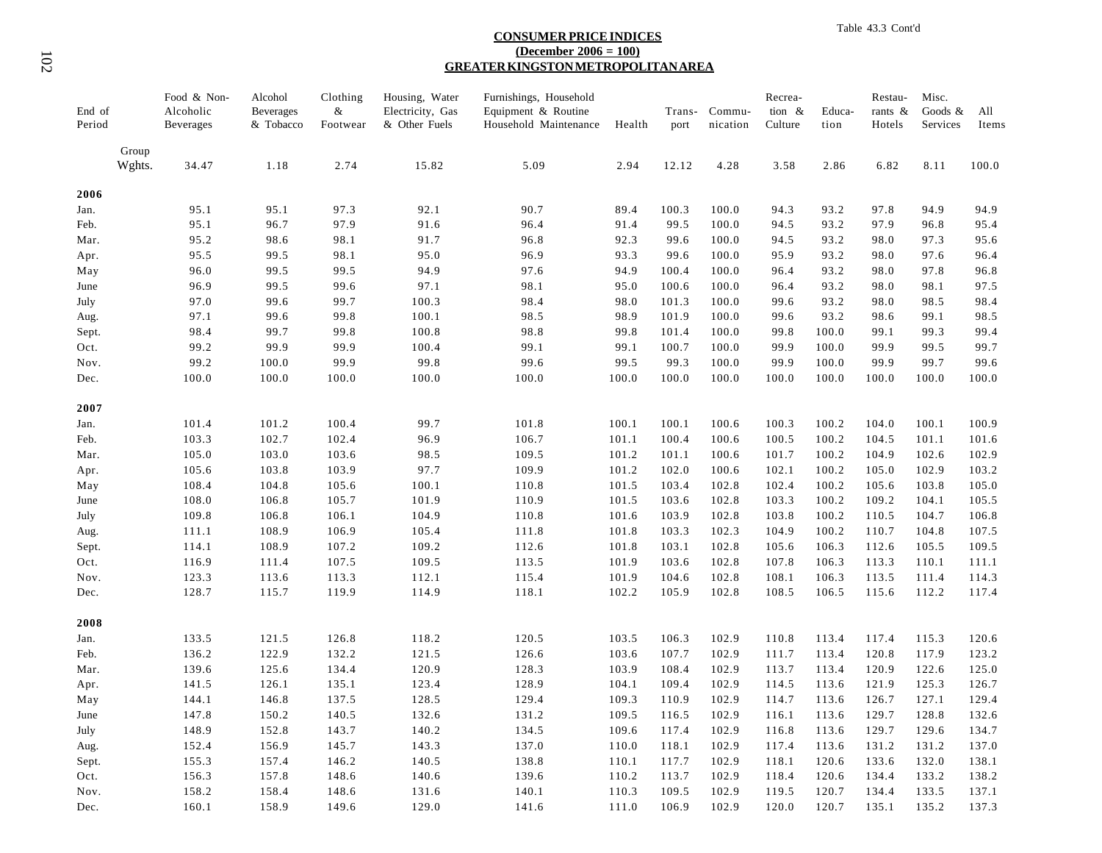#### **CONSUMER PRICE INDICES (December 2006 = 100) GREATER KINGSTON METROPOLITAN AREA**

| End of<br>Period |                 | Food & Non-<br>Alcoholic<br><b>Beverages</b> | Alcohol<br><b>Beverages</b><br>& Tobacco | Clothing<br>$\&$<br>Footwear | Housing, Water<br>Electricity, Gas<br>& Other Fuels | Furnishings, Household<br>Equipment & Routine<br>Household Maintenance | Health | port  | Trans- Commu-<br>nication | Recrea-<br>tion $\&$<br>Culture | Educa-<br>tion | Restau-<br>rants &<br>Hotels | Misc.<br>Goods $\&$<br>Services | All<br>Items |
|------------------|-----------------|----------------------------------------------|------------------------------------------|------------------------------|-----------------------------------------------------|------------------------------------------------------------------------|--------|-------|---------------------------|---------------------------------|----------------|------------------------------|---------------------------------|--------------|
|                  | Group<br>Wghts. | 34.47                                        | 1.18                                     | 2.74                         | 15.82                                               | 5.09                                                                   | 2.94   | 12.12 | 4.28                      | 3.58                            | 2.86           | 6.82                         | 8.11                            | 100.0        |
| 2006             |                 |                                              |                                          |                              |                                                     |                                                                        |        |       |                           |                                 |                |                              |                                 |              |
| Jan.             |                 | 95.1                                         | 95.1                                     | 97.3                         | 92.1                                                | 90.7                                                                   | 89.4   | 100.3 | 100.0                     | 94.3                            | 93.2           | 97.8                         | 94.9                            | 94.9         |
| Feb.             |                 | 95.1                                         | 96.7                                     | 97.9                         | 91.6                                                | 96.4                                                                   | 91.4   | 99.5  | 100.0                     | 94.5                            | 93.2           | 97.9                         | 96.8                            | 95.4         |
| Mar.             |                 | 95.2                                         | 98.6                                     | 98.1                         | 91.7                                                | 96.8                                                                   | 92.3   | 99.6  | 100.0                     | 94.5                            | 93.2           | 98.0                         | 97.3                            | 95.6         |
| Apr.             |                 | 95.5                                         | 99.5                                     | 98.1                         | 95.0                                                | 96.9                                                                   | 93.3   | 99.6  | 100.0                     | 95.9                            | 93.2           | 98.0                         | 97.6                            | 96.4         |
| May              |                 | 96.0                                         | 99.5                                     | 99.5                         | 94.9                                                | 97.6                                                                   | 94.9   | 100.4 | 100.0                     | 96.4                            | 93.2           | 98.0                         | 97.8                            | 96.8         |
| June             |                 | 96.9                                         | 99.5                                     | 99.6                         | 97.1                                                | 98.1                                                                   | 95.0   | 100.6 | 100.0                     | 96.4                            | 93.2           | 98.0                         | 98.1                            | 97.5         |
| July             |                 | 97.0                                         | 99.6                                     | 99.7                         | 100.3                                               | 98.4                                                                   | 98.0   | 101.3 | 100.0                     | 99.6                            | 93.2           | 98.0                         | 98.5                            | 98.4         |
| Aug.             |                 | 97.1                                         | 99.6                                     | 99.8                         | 100.1                                               | 98.5                                                                   | 98.9   | 101.9 | 100.0                     | 99.6                            | 93.2           | 98.6                         | 99.1                            | 98.5         |
| Sept.            |                 | 98.4                                         | 99.7                                     | 99.8                         | 100.8                                               | 98.8                                                                   | 99.8   | 101.4 | 100.0                     | 99.8                            | 100.0          | 99.1                         | 99.3                            | 99.4         |
| Oct.             |                 | 99.2                                         | 99.9                                     | 99.9                         | 100.4                                               | 99.1                                                                   | 99.1   | 100.7 | 100.0                     | 99.9                            | 100.0          | 99.9                         | 99.5                            | 99.7         |
| Nov.             |                 | 99.2                                         | 100.0                                    | 99.9                         | 99.8                                                | 99.6                                                                   | 99.5   | 99.3  | 100.0                     | 99.9                            | 100.0          | 99.9                         | 99.7                            | 99.6         |
| Dec.             |                 | 100.0                                        | 100.0                                    | 100.0                        | 100.0                                               | 100.0                                                                  | 100.0  | 100.0 | 100.0                     | 100.0                           | 100.0          | 100.0                        | 100.0                           | 100.0        |
| 2007             |                 |                                              |                                          |                              |                                                     |                                                                        |        |       |                           |                                 |                |                              |                                 |              |
| Jan.             |                 | 101.4                                        | 101.2                                    | 100.4                        | 99.7                                                | 101.8                                                                  | 100.1  | 100.1 | 100.6                     | 100.3                           | 100.2          | 104.0                        | 100.1                           | 100.9        |
| Feb.             |                 | 103.3                                        | 102.7                                    | 102.4                        | 96.9                                                | 106.7                                                                  | 101.1  | 100.4 | 100.6                     | 100.5                           | 100.2          | 104.5                        | 101.1                           | 101.6        |
| Mar.             |                 | 105.0                                        | 103.0                                    | 103.6                        | 98.5                                                | 109.5                                                                  | 101.2  | 101.1 | 100.6                     | 101.7                           | 100.2          | 104.9                        | 102.6                           | 102.9        |
| Apr.             |                 | 105.6                                        | 103.8                                    | 103.9                        | 97.7                                                | 109.9                                                                  | 101.2  | 102.0 | 100.6                     | 102.1                           | 100.2          | 105.0                        | 102.9                           | 103.2        |
| May              |                 | 108.4                                        | 104.8                                    | 105.6                        | 100.1                                               | 110.8                                                                  | 101.5  | 103.4 | 102.8                     | 102.4                           | 100.2          | 105.6                        | 103.8                           | 105.0        |
| June             |                 | 108.0                                        | 106.8                                    | 105.7                        | 101.9                                               | 110.9                                                                  | 101.5  | 103.6 | 102.8                     | 103.3                           | 100.2          | 109.2                        | 104.1                           | 105.5        |
| July             |                 | 109.8                                        | 106.8                                    | 106.1                        | 104.9                                               | 110.8                                                                  | 101.6  | 103.9 | 102.8                     | 103.8                           | 100.2          | 110.5                        | 104.7                           | 106.8        |
| Aug.             |                 | 111.1                                        | 108.9                                    | 106.9                        | 105.4                                               | 111.8                                                                  | 101.8  | 103.3 | 102.3                     | 104.9                           | 100.2          | 110.7                        | 104.8                           | 107.5        |
| Sept.            |                 | 114.1                                        | 108.9                                    | 107.2                        | 109.2                                               | 112.6                                                                  | 101.8  | 103.1 | 102.8                     | 105.6                           | 106.3          | 112.6                        | 105.5                           | 109.5        |
| Oct.             |                 | 116.9                                        | 111.4                                    | 107.5                        | 109.5                                               | 113.5                                                                  | 101.9  | 103.6 | 102.8                     | 107.8                           | 106.3          | 113.3                        | 110.1                           | 111.1        |
| Nov.             |                 | 123.3                                        | 113.6                                    | 113.3                        | 112.1                                               | 115.4                                                                  | 101.9  | 104.6 | 102.8                     | 108.1                           | 106.3          | 113.5                        | 111.4                           | 114.3        |
| Dec.             |                 | 128.7                                        | 115.7                                    | 119.9                        | 114.9                                               | 118.1                                                                  | 102.2  | 105.9 | 102.8                     | 108.5                           | 106.5          | 115.6                        | 112.2                           | 117.4        |
| 2008             |                 |                                              |                                          |                              |                                                     |                                                                        |        |       |                           |                                 |                |                              |                                 |              |
| Jan.             |                 | 133.5                                        | 121.5                                    | 126.8                        | 118.2                                               | 120.5                                                                  | 103.5  | 106.3 | 102.9                     | 110.8                           | 113.4          | 117.4                        | 115.3                           | 120.6        |
| Feb.             |                 | 136.2                                        | 122.9                                    | 132.2                        | 121.5                                               | 126.6                                                                  | 103.6  | 107.7 | 102.9                     | 111.7                           | 113.4          | 120.8                        | 117.9                           | 123.2        |
| Mar.             |                 | 139.6                                        | 125.6                                    | 134.4                        | 120.9                                               | 128.3                                                                  | 103.9  | 108.4 | 102.9                     | 113.7                           | 113.4          | 120.9                        | 122.6                           | 125.0        |
| Apr.             |                 | 141.5                                        | 126.1                                    | 135.1                        | 123.4                                               | 128.9                                                                  | 104.1  | 109.4 | 102.9                     | 114.5                           | 113.6          | 121.9                        | 125.3                           | 126.7        |
| May              |                 | 144.1                                        | 146.8                                    | 137.5                        | 128.5                                               | 129.4                                                                  | 109.3  | 110.9 | 102.9                     | 114.7                           | 113.6          | 126.7                        | 127.1                           | 129.4        |
| June             |                 | 147.8                                        | 150.2                                    | 140.5                        | 132.6                                               | 131.2                                                                  | 109.5  | 116.5 | 102.9                     | 116.1                           | 113.6          | 129.7                        | 128.8                           | 132.6        |
| July             |                 | 148.9                                        | 152.8                                    | 143.7                        | 140.2                                               | 134.5                                                                  | 109.6  | 117.4 | 102.9                     | 116.8                           | 113.6          | 129.7                        | 129.6                           | 134.7        |
| Aug.             |                 | 152.4                                        | 156.9                                    | 145.7                        | 143.3                                               | 137.0                                                                  | 110.0  | 118.1 | 102.9                     | 117.4                           | 113.6          | 131.2                        | 131.2                           | 137.0        |
| Sept.            |                 | 155.3                                        | 157.4                                    | 146.2                        | 140.5                                               | 138.8                                                                  | 110.1  | 117.7 | 102.9                     | 118.1                           | 120.6          | 133.6                        | 132.0                           | 138.1        |
| Oct.             |                 | 156.3                                        | 157.8                                    | 148.6                        | 140.6                                               | 139.6                                                                  | 110.2  | 113.7 | 102.9                     | 118.4                           | 120.6          | 134.4                        | 133.2                           | 138.2        |
| Nov.             |                 | 158.2                                        | 158.4                                    | 148.6                        | 131.6                                               | 140.1                                                                  | 110.3  | 109.5 | 102.9                     | 119.5                           | 120.7          | 134.4                        | 133.5                           | 137.1        |
| Dec.             |                 | 160.1                                        | 158.9                                    | 149.6                        | 129.0                                               | 141.6                                                                  | 111.0  | 106.9 | 102.9                     | 120.0                           | 120.7          | 135.1                        | 135.2                           | 137.3        |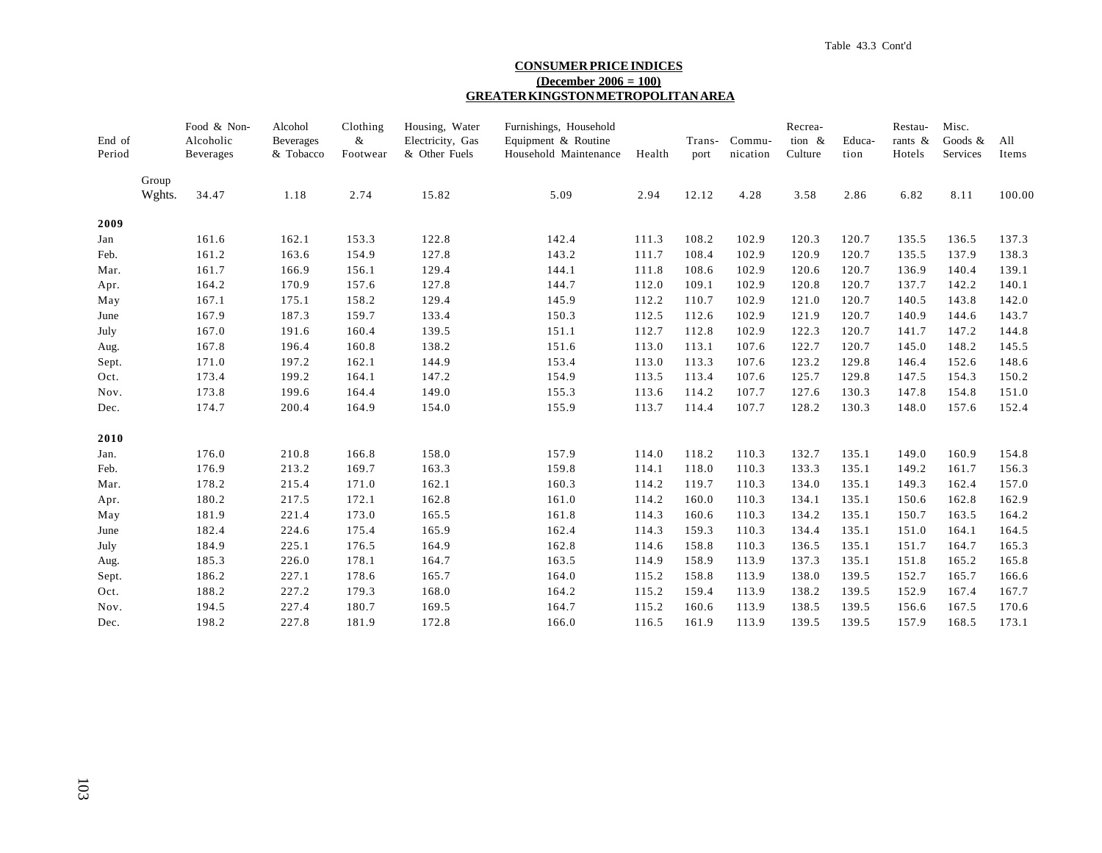#### **CONSUMER PRICE INDICES (December 2006 = 100) GREATER KINGSTON METROPOLITAN AREA**

| End of<br>Period |                 | Food & Non-<br>Alcoholic<br><b>Beverages</b> | Alcohol<br>Beverages<br>& Tobacco | Clothing<br>&<br>Footwear | Housing, Water<br>Electricity, Gas<br>& Other Fuels | Furnishings, Household<br>Equipment & Routine<br>Household Maintenance | Health | Trans-<br>port | Commu-<br>nication | Recrea-<br>tion $\&$<br>Culture | Educa-<br>tion | Restau-<br>rants $\&$<br>Hotels | Misc.<br>Goods $\&$<br>Services | All<br>Items |
|------------------|-----------------|----------------------------------------------|-----------------------------------|---------------------------|-----------------------------------------------------|------------------------------------------------------------------------|--------|----------------|--------------------|---------------------------------|----------------|---------------------------------|---------------------------------|--------------|
|                  | Group<br>Wghts. | 34.47                                        | 1.18                              | 2.74                      | 15.82                                               | 5.09                                                                   | 2.94   | 12.12          | 4.28               | 3.58                            | 2.86           | 6.82                            | 8.11                            | 100.00       |
| 2009             |                 |                                              |                                   |                           |                                                     |                                                                        |        |                |                    |                                 |                |                                 |                                 |              |
| Jan              |                 | 161.6                                        | 162.1                             | 153.3                     | 122.8                                               | 142.4                                                                  | 111.3  | 108.2          | 102.9              | 120.3                           | 120.7          | 135.5                           | 136.5                           | 137.3        |
| Feb.             |                 | 161.2                                        | 163.6                             | 154.9                     | 127.8                                               | 143.2                                                                  | 111.7  | 108.4          | 102.9              | 120.9                           | 120.7          | 135.5                           | 137.9                           | 138.3        |
| Mar.             |                 | 161.7                                        | 166.9                             | 156.1                     | 129.4                                               | 144.1                                                                  | 111.8  | 108.6          | 102.9              | 120.6                           | 120.7          | 136.9                           | 140.4                           | 139.1        |
| Apr.             |                 | 164.2                                        | 170.9                             | 157.6                     | 127.8                                               | 144.7                                                                  | 112.0  | 109.1          | 102.9              | 120.8                           | 120.7          | 137.7                           | 142.2                           | 140.1        |
| May              |                 | 167.1                                        | 175.1                             | 158.2                     | 129.4                                               | 145.9                                                                  | 112.2  | 110.7          | 102.9              | 121.0                           | 120.7          | 140.5                           | 143.8                           | 142.0        |
| June             |                 | 167.9                                        | 187.3                             | 159.7                     | 133.4                                               | 150.3                                                                  | 112.5  | 112.6          | 102.9              | 121.9                           | 120.7          | 140.9                           | 144.6                           | 143.7        |
| July             |                 | 167.0                                        | 191.6                             | 160.4                     | 139.5                                               | 151.1                                                                  | 112.7  | 112.8          | 102.9              | 122.3                           | 120.7          | 141.7                           | 147.2                           | 144.8        |
| Aug.             |                 | 167.8                                        | 196.4                             | 160.8                     | 138.2                                               | 151.6                                                                  | 113.0  | 113.1          | 107.6              | 122.7                           | 120.7          | 145.0                           | 148.2                           | 145.5        |
| Sept.            |                 | 171.0                                        | 197.2                             | 162.1                     | 144.9                                               | 153.4                                                                  | 113.0  | 113.3          | 107.6              | 123.2                           | 129.8          | 146.4                           | 152.6                           | 148.6        |
| Oct.             |                 | 173.4                                        | 199.2                             | 164.1                     | 147.2                                               | 154.9                                                                  | 113.5  | 113.4          | 107.6              | 125.7                           | 129.8          | 147.5                           | 154.3                           | 150.2        |
| Nov.             |                 | 173.8                                        | 199.6                             | 164.4                     | 149.0                                               | 155.3                                                                  | 113.6  | 114.2          | 107.7              | 127.6                           | 130.3          | 147.8                           | 154.8                           | 151.0        |
| Dec.             |                 | 174.7                                        | 200.4                             | 164.9                     | 154.0                                               | 155.9                                                                  | 113.7  | 114.4          | 107.7              | 128.2                           | 130.3          | 148.0                           | 157.6                           | 152.4        |
| 2010             |                 |                                              |                                   |                           |                                                     |                                                                        |        |                |                    |                                 |                |                                 |                                 |              |
| Jan.             |                 | 176.0                                        | 210.8                             | 166.8                     | 158.0                                               | 157.9                                                                  | 114.0  | 118.2          | 110.3              | 132.7                           | 135.1          | 149.0                           | 160.9                           | 154.8        |
| Feb.             |                 | 176.9                                        | 213.2                             | 169.7                     | 163.3                                               | 159.8                                                                  | 114.1  | 118.0          | 110.3              | 133.3                           | 135.1          | 149.2                           | 161.7                           | 156.3        |
| Mar.             |                 | 178.2                                        | 215.4                             | 171.0                     | 162.1                                               | 160.3                                                                  | 114.2  | 119.7          | 110.3              | 134.0                           | 135.1          | 149.3                           | 162.4                           | 157.0        |
| Apr.             |                 | 180.2                                        | 217.5                             | 172.1                     | 162.8                                               | 161.0                                                                  | 114.2  | 160.0          | 110.3              | 134.1                           | 135.1          | 150.6                           | 162.8                           | 162.9        |
| May              |                 | 181.9                                        | 221.4                             | 173.0                     | 165.5                                               | 161.8                                                                  | 114.3  | 160.6          | 110.3              | 134.2                           | 135.1          | 150.7                           | 163.5                           | 164.2        |
| June             |                 | 182.4                                        | 224.6                             | 175.4                     | 165.9                                               | 162.4                                                                  | 114.3  | 159.3          | 110.3              | 134.4                           | 135.1          | 151.0                           | 164.1                           | 164.5        |
| July             |                 | 184.9                                        | 225.1                             | 176.5                     | 164.9                                               | 162.8                                                                  | 114.6  | 158.8          | 110.3              | 136.5                           | 135.1          | 151.7                           | 164.7                           | 165.3        |
| Aug.             |                 | 185.3                                        | 226.0                             | 178.1                     | 164.7                                               | 163.5                                                                  | 114.9  | 158.9          | 113.9              | 137.3                           | 135.1          | 151.8                           | 165.2                           | 165.8        |
| Sept.            |                 | 186.2                                        | 227.1                             | 178.6                     | 165.7                                               | 164.0                                                                  | 115.2  | 158.8          | 113.9              | 138.0                           | 139.5          | 152.7                           | 165.7                           | 166.6        |
| Oct.             |                 | 188.2                                        | 227.2                             | 179.3                     | 168.0                                               | 164.2                                                                  | 115.2  | 159.4          | 113.9              | 138.2                           | 139.5          | 152.9                           | 167.4                           | 167.7        |
| Nov.             |                 | 194.5                                        | 227.4                             | 180.7                     | 169.5                                               | 164.7                                                                  | 115.2  | 160.6          | 113.9              | 138.5                           | 139.5          | 156.6                           | 167.5                           | 170.6        |
| Dec.             |                 | 198.2                                        | 227.8                             | 181.9                     | 172.8                                               | 166.0                                                                  | 116.5  | 161.9          | 113.9              | 139.5                           | 139.5          | 157.9                           | 168.5                           | 173.1        |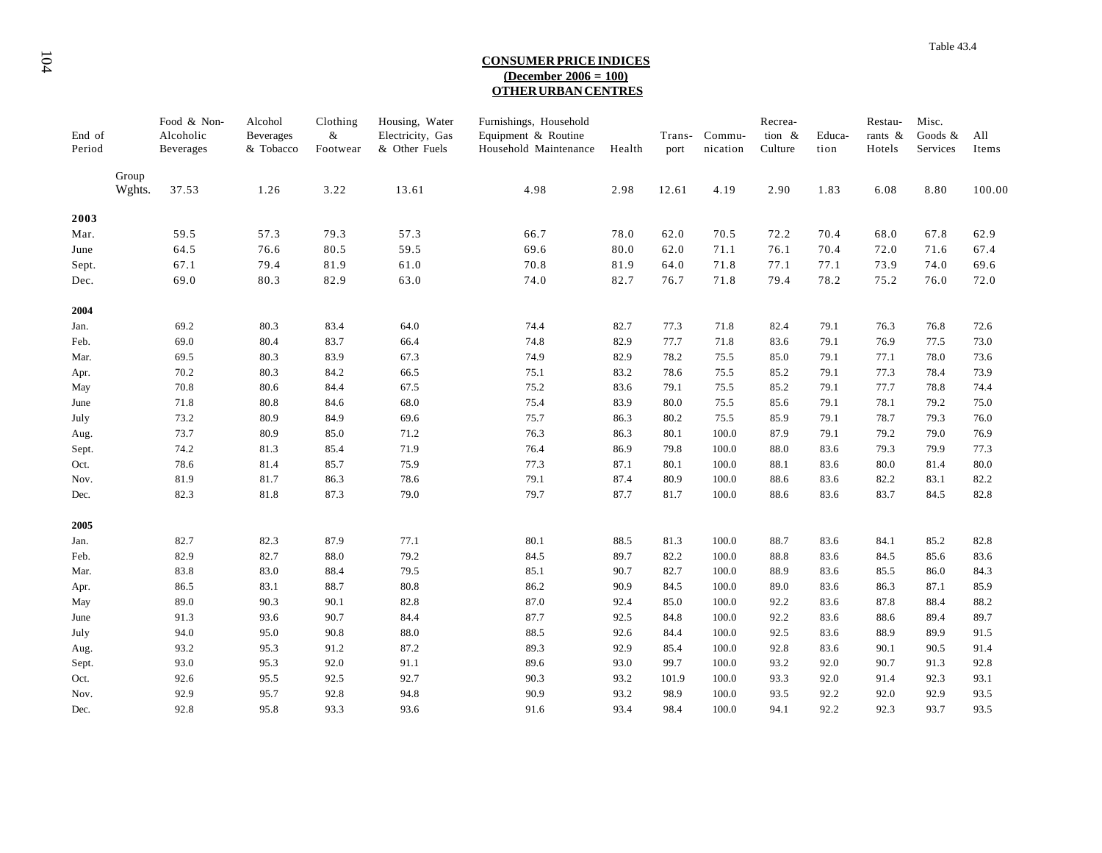#### **CONSUMER PRICE INDICES (December 2006 = 100) OTHER URBAN CENTRES**

| End of<br>Period |                 | Food & Non-<br>Alcoholic<br>Beverages | Alcohol<br><b>Beverages</b><br>& Tobacco | Clothing<br>$\&$<br>Footwear | Housing, Water<br>Electricity, Gas<br>& Other Fuels | Furnishings, Household<br>Equipment & Routine<br>Household Maintenance | Health | Trans-<br>port | Commu-<br>nication | Recrea-<br>tion &<br>Culture | Educa-<br>tion | Restau-<br>rants &<br>Hotels | Misc.<br>Goods &<br>Services | All<br>Items |
|------------------|-----------------|---------------------------------------|------------------------------------------|------------------------------|-----------------------------------------------------|------------------------------------------------------------------------|--------|----------------|--------------------|------------------------------|----------------|------------------------------|------------------------------|--------------|
|                  | Group<br>Wghts. | 37.53                                 | 1.26                                     | 3.22                         | 13.61                                               | 4.98                                                                   | 2.98   | 12.61          | 4.19               | 2.90                         | 1.83           | 6.08                         | 8.80                         | 100.00       |
|                  |                 |                                       |                                          |                              |                                                     |                                                                        |        |                |                    |                              |                |                              |                              |              |
| 2003             |                 |                                       |                                          |                              |                                                     |                                                                        |        |                |                    |                              |                |                              |                              |              |
| Mar.             |                 | 59.5                                  | 57.3                                     | 79.3                         | 57.3                                                | 66.7                                                                   | 78.0   | 62.0           | 70.5               | 72.2                         | 70.4           | 68.0                         | 67.8                         | 62.9         |
| June             |                 | 64.5                                  | 76.6                                     | 80.5                         | 59.5                                                | 69.6                                                                   | 80.0   | 62.0           | 71.1               | 76.1                         | 70.4           | 72.0                         | 71.6                         | 67.4         |
| Sept.            |                 | 67.1                                  | 79.4                                     | 81.9                         | $61.0\,$                                            | 70.8                                                                   | 81.9   | 64.0           | 71.8               | 77.1                         | 77.1           | 73.9                         | 74.0                         | 69.6         |
| Dec.             |                 | 69.0                                  | 80.3                                     | 82.9                         | 63.0                                                | 74.0                                                                   | 82.7   | 76.7           | 71.8               | 79.4                         | 78.2           | 75.2                         | 76.0                         | 72.0         |
| 2004             |                 |                                       |                                          |                              |                                                     |                                                                        |        |                |                    |                              |                |                              |                              |              |
| Jan.             |                 | 69.2                                  | 80.3                                     | 83.4                         | 64.0                                                | 74.4                                                                   | 82.7   | 77.3           | 71.8               | 82.4                         | 79.1           | 76.3                         | 76.8                         | 72.6         |
| Feb.             |                 | 69.0                                  | 80.4                                     | 83.7                         | 66.4                                                | 74.8                                                                   | 82.9   | 77.7           | 71.8               | 83.6                         | 79.1           | 76.9                         | 77.5                         | 73.0         |
| Mar.             |                 | 69.5                                  | 80.3                                     | 83.9                         | 67.3                                                | 74.9                                                                   | 82.9   | 78.2           | 75.5               | 85.0                         | 79.1           | 77.1                         | 78.0                         | 73.6         |
| Apr.             |                 | 70.2                                  | 80.3                                     | 84.2                         | 66.5                                                | 75.1                                                                   | 83.2   | 78.6           | 75.5               | 85.2                         | 79.1           | 77.3                         | 78.4                         | 73.9         |
| May              |                 | 70.8                                  | 80.6                                     | 84.4                         | 67.5                                                | 75.2                                                                   | 83.6   | 79.1           | 75.5               | 85.2                         | 79.1           | 77.7                         | 78.8                         | 74.4         |
| June             |                 | 71.8                                  | 80.8                                     | 84.6                         | 68.0                                                | 75.4                                                                   | 83.9   | 80.0           | 75.5               | 85.6                         | 79.1           | 78.1                         | 79.2                         | 75.0         |
| July             |                 | 73.2                                  | 80.9                                     | 84.9                         | 69.6                                                | 75.7                                                                   | 86.3   | 80.2           | 75.5               | 85.9                         | 79.1           | 78.7                         | 79.3                         | 76.0         |
| Aug.             |                 | 73.7                                  | 80.9                                     | 85.0                         | 71.2                                                | 76.3                                                                   | 86.3   | 80.1           | 100.0              | 87.9                         | 79.1           | 79.2                         | 79.0                         | 76.9         |
| Sept.            |                 | 74.2                                  | 81.3                                     | 85.4                         | 71.9                                                | 76.4                                                                   | 86.9   | 79.8           | 100.0              | 88.0                         | 83.6           | 79.3                         | 79.9                         | 77.3         |
| Oct.             |                 | 78.6                                  | 81.4                                     | 85.7                         | 75.9                                                | 77.3                                                                   | 87.1   | 80.1           | 100.0              | 88.1                         | 83.6           | 80.0                         | 81.4                         | 80.0         |
| Nov.             |                 | 81.9                                  | 81.7                                     | 86.3                         | 78.6                                                | 79.1                                                                   | 87.4   | 80.9           | 100.0              |                              |                | 82.2                         | 83.1                         | 82.2         |
|                  |                 |                                       |                                          |                              |                                                     |                                                                        |        |                |                    | 88.6                         | 83.6           |                              |                              |              |
| Dec.             |                 | 82.3                                  | 81.8                                     | 87.3                         | 79.0                                                | 79.7                                                                   | 87.7   | 81.7           | 100.0              | 88.6                         | 83.6           | 83.7                         | 84.5                         | 82.8         |
| 2005             |                 |                                       |                                          |                              |                                                     |                                                                        |        |                |                    |                              |                |                              |                              |              |
| Jan.             |                 | 82.7                                  | 82.3                                     | 87.9                         | 77.1                                                | 80.1                                                                   | 88.5   | 81.3           | 100.0              | 88.7                         | 83.6           | 84.1                         | 85.2                         | 82.8         |
| Feb.             |                 | 82.9                                  | 82.7                                     | 88.0                         | 79.2                                                | 84.5                                                                   | 89.7   | 82.2           | 100.0              | 88.8                         | 83.6           | 84.5                         | 85.6                         | 83.6         |
| Mar.             |                 | 83.8                                  | 83.0                                     | 88.4                         | 79.5                                                | 85.1                                                                   | 90.7   | 82.7           | 100.0              | 88.9                         | 83.6           | 85.5                         | 86.0                         | 84.3         |
| Apr.             |                 | 86.5                                  | 83.1                                     | 88.7                         | 80.8                                                | 86.2                                                                   | 90.9   | 84.5           | 100.0              | 89.0                         | 83.6           | 86.3                         | 87.1                         | 85.9         |
| May              |                 | 89.0                                  | 90.3                                     | 90.1                         | 82.8                                                | 87.0                                                                   | 92.4   | 85.0           | 100.0              | 92.2                         | 83.6           | 87.8                         | 88.4                         | 88.2         |
| June             |                 | 91.3                                  | 93.6                                     | 90.7                         | 84.4                                                | 87.7                                                                   | 92.5   | 84.8           | 100.0              | 92.2                         | 83.6           | 88.6                         | 89.4                         | 89.7         |
| July             |                 | 94.0                                  | 95.0                                     | 90.8                         | 88.0                                                | 88.5                                                                   | 92.6   | 84.4           | 100.0              | 92.5                         | 83.6           | 88.9                         | 89.9                         | 91.5         |
| Aug.             |                 | 93.2                                  | 95.3                                     | 91.2                         | 87.2                                                | 89.3                                                                   | 92.9   | 85.4           | 100.0              | 92.8                         | 83.6           | 90.1                         | 90.5                         | 91.4         |
| Sept.            |                 | 93.0                                  | 95.3                                     | 92.0                         | 91.1                                                | 89.6                                                                   | 93.0   | 99.7           | 100.0              | 93.2                         | 92.0           | 90.7                         | 91.3                         | 92.8         |
| Oct.             |                 | 92.6                                  | 95.5                                     | 92.5                         | 92.7                                                | 90.3                                                                   | 93.2   | 101.9          | 100.0              | 93.3                         | 92.0           | 91.4                         | 92.3                         | 93.1         |
| Nov.             |                 | 92.9                                  | 95.7                                     | 92.8                         | 94.8                                                | 90.9                                                                   | 93.2   | 98.9           | 100.0              | 93.5                         | 92.2           | 92.0                         | 92.9                         | 93.5         |
| Dec.             |                 | 92.8                                  | 95.8                                     | 93.3                         | 93.6                                                | 91.6                                                                   | 93.4   | 98.4           | 100.0              | 94.1                         | 92.2           | 92.3                         | 93.7                         | 93.5         |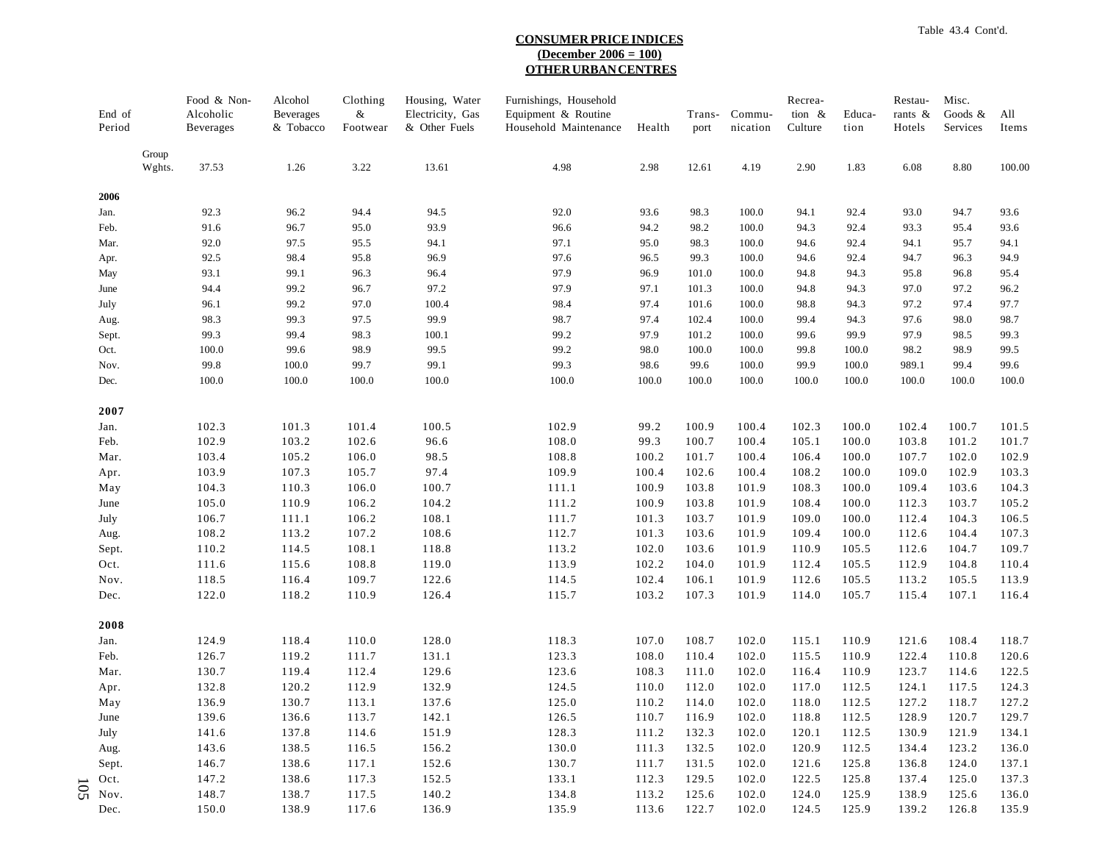#### **CONSUMER PRICE INDICES (December 2006 = 100) OTHER URBAN CENTRES**

| End of<br>Period |                 | Food & Non-<br>Alcoholic<br>Beverages | Alcohol<br><b>Beverages</b><br>& Tobacco | Clothing<br>&<br>Footwear | Housing, Water<br>Electricity, Gas<br>& Other Fuels | Furnishings, Household<br>Equipment & Routine<br>Household Maintenance | Health         | Trans-<br>port | Commu-<br>nication | Recrea-<br>tion &<br>Culture | Educa-<br>tion | Restau-<br>rants &<br>Hotels | Misc.<br>Goods &<br>Services | All<br>Items   |
|------------------|-----------------|---------------------------------------|------------------------------------------|---------------------------|-----------------------------------------------------|------------------------------------------------------------------------|----------------|----------------|--------------------|------------------------------|----------------|------------------------------|------------------------------|----------------|
|                  | Group<br>Wghts. | 37.53                                 | 1.26                                     | 3.22                      | 13.61                                               | 4.98                                                                   | 2.98           | 12.61          | 4.19               | 2.90                         | 1.83           | 6.08                         | 8.80                         | 100.00         |
| 2006             |                 |                                       |                                          |                           |                                                     |                                                                        |                |                |                    |                              |                |                              |                              |                |
| Jan.             |                 | 92.3                                  | 96.2                                     | 94.4                      | 94.5                                                | 92.0                                                                   | 93.6           | 98.3           | 100.0              | 94.1                         | 92.4           | 93.0                         | 94.7                         | 93.6           |
| Feb.             |                 | 91.6                                  | 96.7                                     | 95.0                      | 93.9                                                | 96.6                                                                   | 94.2           | 98.2           | 100.0              | 94.3                         | 92.4           | 93.3                         | 95.4                         | 93.6           |
| Mar.             |                 | 92.0                                  | 97.5                                     | 95.5                      | 94.1                                                | 97.1                                                                   | 95.0           | 98.3           | 100.0              | 94.6                         | 92.4           | 94.1                         | 95.7                         | 94.1           |
| Apr.             |                 | 92.5                                  | 98.4                                     | 95.8                      | 96.9                                                | 97.6                                                                   | 96.5           | 99.3           | 100.0              | 94.6                         | 92.4           | 94.7                         | 96.3                         | 94.9           |
| May              |                 | 93.1                                  | 99.1                                     | 96.3                      | 96.4                                                | 97.9                                                                   | 96.9           | 101.0          | 100.0              | 94.8                         | 94.3           | 95.8                         | 96.8                         | 95.4           |
| June             |                 | 94.4                                  | 99.2                                     | 96.7                      | 97.2                                                | 97.9                                                                   | 97.1           | 101.3          | 100.0              | 94.8                         | 94.3           | 97.0                         | 97.2                         | 96.2           |
| July             |                 | 96.1                                  | 99.2                                     | 97.0                      | 100.4                                               | 98.4                                                                   | 97.4           | 101.6          | 100.0              | 98.8                         | 94.3           | 97.2                         | 97.4                         | 97.7           |
| Aug.             |                 | 98.3                                  | 99.3                                     | 97.5                      | 99.9                                                | 98.7                                                                   | 97.4           | 102.4          | 100.0              | 99.4                         | 94.3           | 97.6                         | 98.0                         | 98.7           |
| Sept.            |                 | 99.3                                  | 99.4                                     | 98.3                      | 100.1                                               | 99.2                                                                   | 97.9           | 101.2          | 100.0              | 99.6                         | 99.9           | 97.9                         | 98.5                         | 99.3           |
| Oct.             |                 | 100.0                                 | 99.6                                     | 98.9                      | 99.5                                                | 99.2                                                                   | 98.0           | 100.0          | 100.0              | 99.8                         | 100.0          | 98.2                         | 98.9                         | 99.5           |
| Nov.<br>Dec.     |                 | 99.8<br>100.0                         | $100.0\,$<br>$100.0\,$                   | 99.7<br>100.0             | 99.1<br>100.0                                       | 99.3<br>100.0                                                          | 98.6<br>100.0  | 99.6<br>100.0  | 100.0<br>100.0     | 99.9<br>100.0                | 100.0<br>100.0 | 989.1<br>100.0               | 99.4<br>100.0                | 99.6<br>100.0  |
| 2007             |                 |                                       |                                          |                           |                                                     |                                                                        |                |                |                    |                              |                |                              |                              |                |
| Jan.             |                 | 102.3                                 | 101.3                                    | 101.4                     | 100.5                                               | 102.9                                                                  | 99.2           | 100.9          | 100.4              | 102.3                        | 100.0          | 102.4                        | 100.7                        | 101.5          |
| Feb.             |                 | 102.9                                 | 103.2                                    | 102.6                     | 96.6                                                | 108.0                                                                  | 99.3           | 100.7          | 100.4              | 105.1                        | 100.0          | 103.8                        | 101.2                        | 101.7          |
| Mar.             |                 | 103.4                                 | 105.2                                    | 106.0                     | 98.5                                                | 108.8                                                                  | 100.2          | 101.7          | 100.4              | 106.4                        | 100.0          | 107.7                        | 102.0                        | 102.9          |
| Apr.             |                 | 103.9                                 | 107.3                                    | 105.7                     | 97.4                                                | 109.9                                                                  | 100.4          | 102.6          | 100.4              | 108.2                        | 100.0          | 109.0                        | 102.9                        | 103.3          |
| May              |                 | 104.3                                 | 110.3                                    | 106.0                     | 100.7                                               | 111.1                                                                  | 100.9          | 103.8          | 101.9              | 108.3                        | 100.0          | 109.4                        | 103.6                        | 104.3          |
| June             |                 | 105.0                                 | 110.9                                    | 106.2                     | 104.2                                               | 111.2                                                                  | 100.9          | 103.8          | 101.9              | 108.4                        | 100.0          | 112.3                        | 103.7                        | 105.2          |
| July             |                 | 106.7                                 | 111.1                                    | 106.2                     | 108.1                                               | 111.7                                                                  | 101.3          | 103.7          | 101.9              | 109.0                        | 100.0          | 112.4                        | 104.3                        | 106.5          |
| Aug.             |                 | 108.2                                 | 113.2                                    | 107.2                     | 108.6                                               | 112.7                                                                  | 101.3          | 103.6          | 101.9              | 109.4                        | 100.0          | 112.6                        | 104.4                        | 107.3          |
| Sept.            |                 | 110.2                                 | 114.5                                    | 108.1                     | 118.8                                               | 113.2                                                                  | 102.0          | 103.6          | 101.9              | 110.9                        | 105.5          | 112.6                        | 104.7                        | 109.7          |
| Oct.             |                 | 111.6                                 | 115.6                                    | 108.8                     | 119.0                                               | 113.9                                                                  | 102.2          | 104.0          | 101.9              | 112.4                        | 105.5          | 112.9                        | 104.8                        | 110.4          |
| Nov.<br>Dec.     |                 | 118.5<br>122.0                        | 116.4<br>118.2                           | 109.7<br>110.9            | 122.6<br>126.4                                      | 114.5<br>115.7                                                         | 102.4<br>103.2 | 106.1<br>107.3 | 101.9<br>101.9     | 112.6<br>114.0               | 105.5<br>105.7 | 113.2<br>115.4               | 105.5<br>107.1               | 113.9<br>116.4 |
|                  |                 |                                       |                                          |                           |                                                     |                                                                        |                |                |                    |                              |                |                              |                              |                |
| 2008             |                 |                                       |                                          |                           |                                                     |                                                                        | 107.0          | 108.7          | 102.0              |                              | 110.9          | 121.6                        | 108.4                        |                |
| Jan.<br>Feb.     |                 | 124.9<br>126.7                        | 118.4<br>119.2                           | 110.0<br>111.7            | 128.0<br>131.1                                      | 118.3<br>123.3                                                         | 108.0          | 110.4          | 102.0              | 115.1<br>115.5               | 110.9          | 122.4                        | 110.8                        | 118.7<br>120.6 |
| Mar.             |                 | 130.7                                 | 119.4                                    | 112.4                     | 129.6                                               | 123.6                                                                  | 108.3          | 111.0          | 102.0              | 116.4                        | 110.9          | 123.7                        | 114.6                        | 122.5          |
| Apr.             |                 | 132.8                                 | 120.2                                    | 112.9                     | 132.9                                               | 124.5                                                                  | 110.0          | 112.0          | 102.0              | 117.0                        | 112.5          | 124.1                        | 117.5                        | 124.3          |
| May              |                 | 136.9                                 | 130.7                                    | 113.1                     | 137.6                                               | 125.0                                                                  | 110.2          | 114.0          | 102.0              | 118.0                        | 112.5          | 127.2                        | 118.7                        | 127.2          |
| June             |                 | 139.6                                 | 136.6                                    | 113.7                     | 142.1                                               | 126.5                                                                  | 110.7          | 116.9          | 102.0              | 118.8                        | 112.5          | 128.9                        | 120.7                        | 129.7          |
| July             |                 | 141.6                                 | 137.8                                    | 114.6                     | 151.9                                               | 128.3                                                                  | 111.2          | 132.3          | 102.0              | 120.1                        | 112.5          | 130.9                        | 121.9                        | 134.1          |
| Aug.             |                 | 143.6                                 | 138.5                                    | 116.5                     | 156.2                                               | 130.0                                                                  | 111.3          | 132.5          | 102.0              | 120.9                        | 112.5          | 134.4                        | 123.2                        | 136.0          |
| Sept.            |                 | 146.7                                 | 138.6                                    | 117.1                     | 152.6                                               | 130.7                                                                  | 111.7          | 131.5          | 102.0              | 121.6                        | 125.8          | 136.8                        | 124.0                        | 137.1          |
| Oct.             |                 | 147.2                                 | 138.6                                    | 117.3                     | 152.5                                               | 133.1                                                                  | 112.3          | 129.5          | 102.0              | 122.5                        | 125.8          | 137.4                        | 125.0                        | 137.3          |
| 105<br>Nov.      |                 | 148.7                                 | 138.7                                    | 117.5                     | 140.2                                               | 134.8                                                                  | 113.2          | 125.6          | 102.0              | 124.0                        | 125.9          | 138.9                        | 125.6                        | 136.0          |
| Dec.             |                 | 150.0                                 | 138.9                                    | 117.6                     | 136.9                                               | 135.9                                                                  | 113.6          | 122.7          | 102.0              | 124.5                        | 125.9          | 139.2                        | 126.8                        | 135.9          |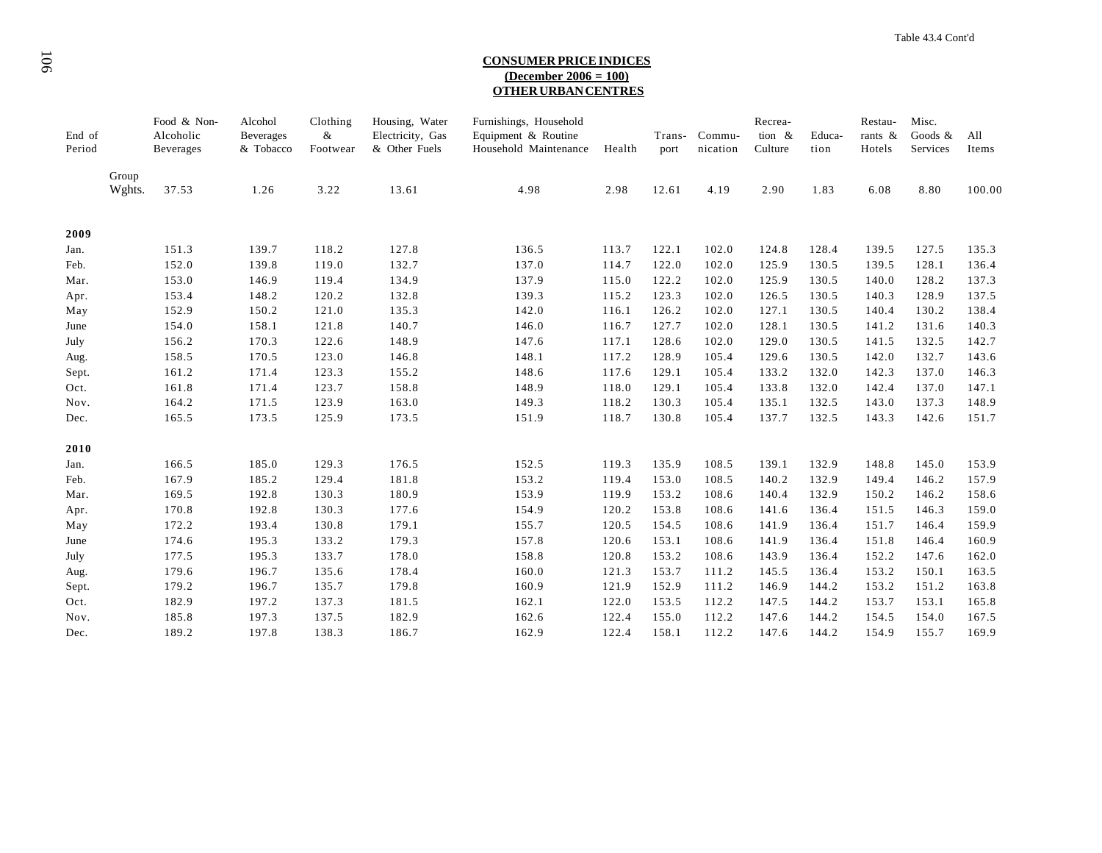# <sup>106</sup>**CONSUMER PRICE INDICES (December 2006 = 100) OTHER URBAN CENTRES**

| End of<br>Period |                 | Food & Non-<br>Alcoholic<br><b>Beverages</b> | Alcohol<br>Beverages<br>& Tobacco | Clothing<br>&<br>Footwear | Housing, Water<br>Electricity, Gas<br>& Other Fuels | Furnishings, Household<br>Equipment & Routine<br>Household Maintenance | Health | Trans-<br>port | Commu-<br>nication | Recrea-<br>tion &<br>Culture | Educa-<br>tion | Restau-<br>rants $\&$<br>Hotels | Misc.<br>Goods &<br>Services | All<br>Items |
|------------------|-----------------|----------------------------------------------|-----------------------------------|---------------------------|-----------------------------------------------------|------------------------------------------------------------------------|--------|----------------|--------------------|------------------------------|----------------|---------------------------------|------------------------------|--------------|
|                  | Group<br>Wghts. | 37.53                                        | 1.26                              | 3.22                      | 13.61                                               | 4.98                                                                   | 2.98   | 12.61          | 4.19               | 2.90                         | 1.83           | 6.08                            | 8.80                         | 100.00       |
| 2009             |                 |                                              |                                   |                           |                                                     |                                                                        |        |                |                    |                              |                |                                 |                              |              |
| Jan.             |                 | 151.3                                        | 139.7                             | 118.2                     | 127.8                                               | 136.5                                                                  | 113.7  | 122.1          | 102.0              | 124.8                        | 128.4          | 139.5                           | 127.5                        | 135.3        |
| Feb.             |                 | 152.0                                        | 139.8                             | 119.0                     | 132.7                                               | 137.0                                                                  | 114.7  | 122.0          | 102.0              | 125.9                        | 130.5          | 139.5                           | 128.1                        | 136.4        |
| Mar.             |                 | 153.0                                        | 146.9                             | 119.4                     | 134.9                                               | 137.9                                                                  | 115.0  | 122.2          | 102.0              | 125.9                        | 130.5          | 140.0                           | 128.2                        | 137.3        |
| Apr.             |                 | 153.4                                        | 148.2                             | 120.2                     | 132.8                                               | 139.3                                                                  | 115.2  | 123.3          | 102.0              | 126.5                        | 130.5          | 140.3                           | 128.9                        | 137.5        |
| May              |                 | 152.9                                        | 150.2                             | 121.0                     | 135.3                                               | 142.0                                                                  | 116.1  | 126.2          | 102.0              | 127.1                        | 130.5          | 140.4                           | 130.2                        | 138.4        |
| June             |                 | 154.0                                        | 158.1                             | 121.8                     | 140.7                                               | 146.0                                                                  | 116.7  | 127.7          | 102.0              | 128.1                        | 130.5          | 141.2                           | 131.6                        | 140.3        |
| July             |                 | 156.2                                        | 170.3                             | 122.6                     | 148.9                                               | 147.6                                                                  | 117.1  | 128.6          | 102.0              | 129.0                        | 130.5          | 141.5                           | 132.5                        | 142.7        |
| Aug.             |                 | 158.5                                        | 170.5                             | 123.0                     | 146.8                                               | 148.1                                                                  | 117.2  | 128.9          | 105.4              | 129.6                        | 130.5          | 142.0                           | 132.7                        | 143.6        |
| Sept.            |                 | 161.2                                        | 171.4                             | 123.3                     | 155.2                                               | 148.6                                                                  | 117.6  | 129.1          | 105.4              | 133.2                        | 132.0          | 142.3                           | 137.0                        | 146.3        |
| Oct.             |                 | 161.8                                        | 171.4                             | 123.7                     | 158.8                                               | 148.9                                                                  | 118.0  | 129.1          | 105.4              | 133.8                        | 132.0          | 142.4                           | 137.0                        | 147.1        |
| Nov.             |                 | 164.2                                        | 171.5                             | 123.9                     | 163.0                                               | 149.3                                                                  | 118.2  | 130.3          | 105.4              | 135.1                        | 132.5          | 143.0                           | 137.3                        | 148.9        |
| Dec.             |                 | 165.5                                        | 173.5                             | 125.9                     | 173.5                                               | 151.9                                                                  | 118.7  | 130.8          | 105.4              | 137.7                        | 132.5          | 143.3                           | 142.6                        | 151.7        |
| 2010             |                 |                                              |                                   |                           |                                                     |                                                                        |        |                |                    |                              |                |                                 |                              |              |
| Jan.             |                 | 166.5                                        | 185.0                             | 129.3                     | 176.5                                               | 152.5                                                                  | 119.3  | 135.9          | 108.5              | 139.1                        | 132.9          | 148.8                           | 145.0                        | 153.9        |
| Feb.             |                 | 167.9                                        | 185.2                             | 129.4                     | 181.8                                               | 153.2                                                                  | 119.4  | 153.0          | 108.5              | 140.2                        | 132.9          | 149.4                           | 146.2                        | 157.9        |
| Mar.             |                 | 169.5                                        | 192.8                             | 130.3                     | 180.9                                               | 153.9                                                                  | 119.9  | 153.2          | 108.6              | 140.4                        | 132.9          | 150.2                           | 146.2                        | 158.6        |
| Apr.             |                 | 170.8                                        | 192.8                             | 130.3                     | 177.6                                               | 154.9                                                                  | 120.2  | 153.8          | 108.6              | 141.6                        | 136.4          | 151.5                           | 146.3                        | 159.0        |
| May              |                 | 172.2                                        | 193.4                             | 130.8                     | 179.1                                               | 155.7                                                                  | 120.5  | 154.5          | 108.6              | 141.9                        | 136.4          | 151.7                           | 146.4                        | 159.9        |
| June             |                 | 174.6                                        | 195.3                             | 133.2                     | 179.3                                               | 157.8                                                                  | 120.6  | 153.1          | 108.6              | 141.9                        | 136.4          | 151.8                           | 146.4                        | 160.9        |
| July             |                 | 177.5                                        | 195.3                             | 133.7                     | 178.0                                               | 158.8                                                                  | 120.8  | 153.2          | 108.6              | 143.9                        | 136.4          | 152.2                           | 147.6                        | 162.0        |
| Aug.             |                 | 179.6                                        | 196.7                             | 135.6                     | 178.4                                               | 160.0                                                                  | 121.3  | 153.7          | 111.2              | 145.5                        | 136.4          | 153.2                           | 150.1                        | 163.5        |
| Sept.            |                 | 179.2                                        | 196.7                             | 135.7                     | 179.8                                               | 160.9                                                                  | 121.9  | 152.9          | 111.2              | 146.9                        | 144.2          | 153.2                           | 151.2                        | 163.8        |
| Oct.             |                 | 182.9                                        | 197.2                             | 137.3                     | 181.5                                               | 162.1                                                                  | 122.0  | 153.5          | 112.2              | 147.5                        | 144.2          | 153.7                           | 153.1                        | 165.8        |
| Nov.             |                 | 185.8                                        | 197.3                             | 137.5                     | 182.9                                               | 162.6                                                                  | 122.4  | 155.0          | 112.2              | 147.6                        | 144.2          | 154.5                           | 154.0                        | 167.5        |
| Dec.             |                 | 189.2                                        | 197.8                             | 138.3                     | 186.7                                               | 162.9                                                                  | 122.4  | 158.1          | 112.2              | 147.6                        | 144.2          | 154.9                           | 155.7                        | 169.9        |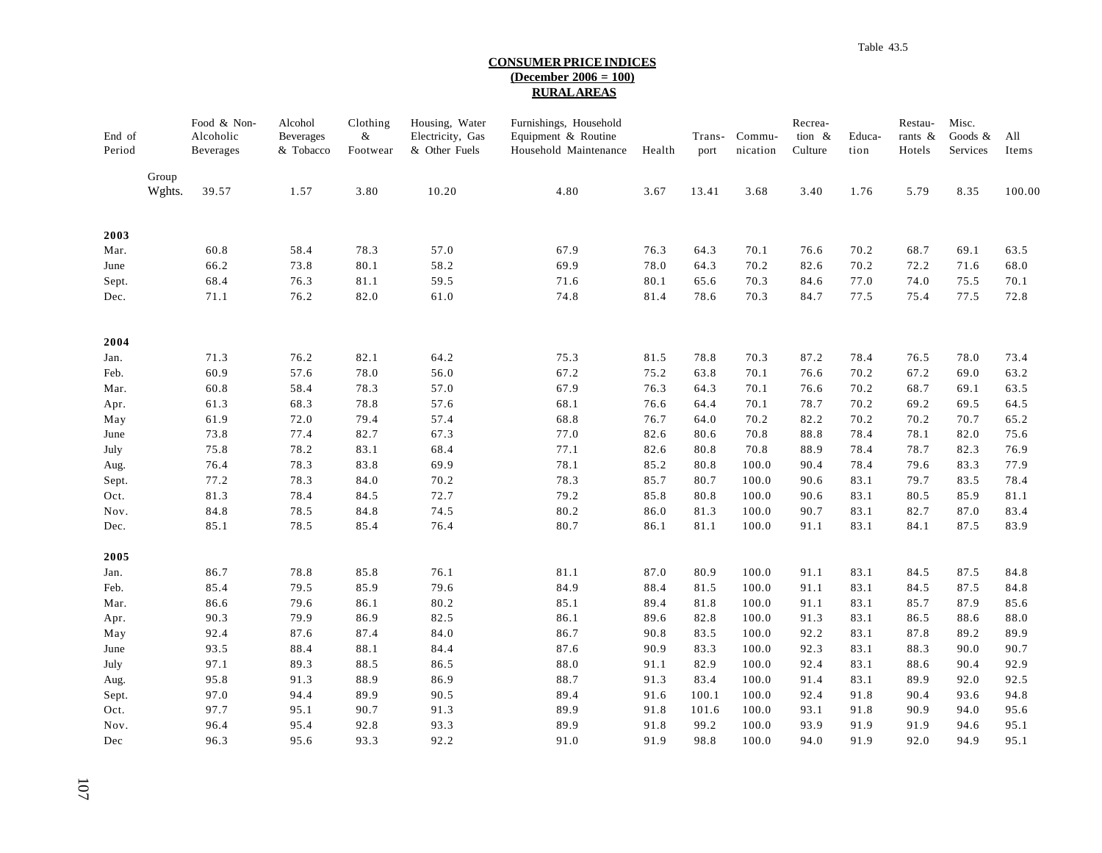### **CONSUMER PRICE INDICES (December 2006 = 100) RURAL AREAS**

| End of<br>Period |                 | Food & Non-<br>Alcoholic<br>Beverages | Alcohol<br><b>Beverages</b><br>& Tobacco | Clothing<br>$\&$<br>Footwear | Housing, Water<br>Electricity, Gas<br>& Other Fuels | Furnishings, Household<br>Equipment & Routine<br>Household Maintenance | Health | Trans-<br>port | Commu-<br>nication | Recrea-<br>tion &<br>Culture | Educa-<br>tion | Restau-<br>rants $\&$<br>Hotels | Misc.<br>Goods $&$<br>Services | All<br>Items |
|------------------|-----------------|---------------------------------------|------------------------------------------|------------------------------|-----------------------------------------------------|------------------------------------------------------------------------|--------|----------------|--------------------|------------------------------|----------------|---------------------------------|--------------------------------|--------------|
|                  | Group<br>Wghts. | 39.57                                 | 1.57                                     | 3.80                         | 10.20                                               | 4.80                                                                   | 3.67   | 13.41          | 3.68               | 3.40                         | 1.76           | 5.79                            | 8.35                           | 100.00       |
| 2003             |                 |                                       |                                          |                              |                                                     |                                                                        |        |                |                    |                              |                |                                 |                                |              |
| Mar.             |                 | 60.8                                  | 58.4                                     | 78.3                         | 57.0                                                | 67.9                                                                   | 76.3   | 64.3           | 70.1               | 76.6                         | 70.2           | 68.7                            | 69.1                           | 63.5         |
| June             |                 | 66.2                                  | 73.8                                     | 80.1                         | 58.2                                                | 69.9                                                                   | 78.0   | 64.3           | 70.2               | 82.6                         | 70.2           | 72.2                            | 71.6                           | 68.0         |
| Sept.            |                 | 68.4                                  | 76.3                                     | 81.1                         | 59.5                                                | 71.6                                                                   | 80.1   | 65.6           | 70.3               | 84.6                         | 77.0           | 74.0                            | 75.5                           | 70.1         |
| Dec.             |                 | 71.1                                  | 76.2                                     | 82.0                         | 61.0                                                | 74.8                                                                   | 81.4   | 78.6           | 70.3               | 84.7                         | 77.5           | 75.4                            | 77.5                           | 72.8         |
| 2004             |                 |                                       |                                          |                              |                                                     |                                                                        |        |                |                    |                              |                |                                 |                                |              |
| Jan.             |                 | 71.3                                  | 76.2                                     | 82.1                         | 64.2                                                | 75.3                                                                   | 81.5   | 78.8           | 70.3               | 87.2                         | 78.4           | 76.5                            | 78.0                           | 73.4         |
| Feb.             |                 | 60.9                                  | 57.6                                     | 78.0                         | 56.0                                                | 67.2                                                                   | 75.2   | 63.8           | 70.1               | 76.6                         | 70.2           | 67.2                            | 69.0                           | 63.2         |
| Mar.             |                 | 60.8                                  | 58.4                                     | 78.3                         | 57.0                                                | 67.9                                                                   | 76.3   | 64.3           | 70.1               | 76.6                         | 70.2           | 68.7                            | 69.1                           | 63.5         |
| Apr.             |                 | 61.3                                  | 68.3                                     | 78.8                         | 57.6                                                | 68.1                                                                   | 76.6   | 64.4           | 70.1               | 78.7                         | 70.2           | 69.2                            | 69.5                           | 64.5         |
| May              |                 | 61.9                                  | 72.0                                     | 79.4                         | 57.4                                                | 68.8                                                                   | 76.7   | 64.0           | 70.2               | 82.2                         | 70.2           | 70.2                            | 70.7                           | 65.2         |
| June             |                 | 73.8                                  | 77.4                                     | 82.7                         | 67.3                                                | 77.0                                                                   | 82.6   | 80.6           | 70.8               | 88.8                         | 78.4           | 78.1                            | 82.0                           | 75.6         |
| July             |                 | 75.8                                  | 78.2                                     | 83.1                         | 68.4                                                | 77.1                                                                   | 82.6   | 80.8           | 70.8               | 88.9                         | 78.4           | 78.7                            | 82.3                           | 76.9         |
| Aug.             |                 | 76.4                                  | 78.3                                     | 83.8                         | 69.9                                                | 78.1                                                                   | 85.2   | 80.8           | 100.0              | 90.4                         | 78.4           | 79.6                            | 83.3                           | 77.9         |
| Sept.            |                 | 77.2                                  | 78.3                                     | 84.0                         | 70.2                                                | 78.3                                                                   | 85.7   | 80.7           | 100.0              | 90.6                         | 83.1           | 79.7                            | 83.5                           | 78.4         |
| Oct.             |                 | 81.3                                  | 78.4                                     | 84.5                         | 72.7                                                | 79.2                                                                   | 85.8   | 80.8           | 100.0              | 90.6                         | 83.1           | 80.5                            | 85.9                           | 81.1         |
| Nov.             |                 | 84.8                                  | 78.5                                     | 84.8                         | 74.5                                                | 80.2                                                                   | 86.0   | 81.3           | 100.0              | 90.7                         | 83.1           | 82.7                            | 87.0                           | 83.4         |
| Dec.             |                 | 85.1                                  | 78.5                                     | 85.4                         | 76.4                                                | 80.7                                                                   | 86.1   | 81.1           | 100.0              | 91.1                         | 83.1           | 84.1                            | 87.5                           | 83.9         |
| 2005             |                 |                                       |                                          |                              |                                                     |                                                                        |        |                |                    |                              |                |                                 |                                |              |
| Jan.             |                 | 86.7                                  | 78.8                                     | 85.8                         | 76.1                                                | 81.1                                                                   | 87.0   | 80.9           | 100.0              | 91.1                         | 83.1           | 84.5                            | 87.5                           | 84.8         |
| Feb.             |                 | 85.4                                  | 79.5                                     | 85.9                         | 79.6                                                | 84.9                                                                   | 88.4   | 81.5           | 100.0              | 91.1                         | 83.1           | 84.5                            | 87.5                           | 84.8         |
| Mar.             |                 | 86.6                                  | 79.6                                     | 86.1                         | 80.2                                                | 85.1                                                                   | 89.4   | 81.8           | 100.0              | 91.1                         | 83.1           | 85.7                            | 87.9                           | 85.6         |
| Apr.             |                 | 90.3                                  | 79.9                                     | 86.9                         | 82.5                                                | 86.1                                                                   | 89.6   | 82.8           | 100.0              | 91.3                         | 83.1           | 86.5                            | 88.6                           | 88.0         |
| May              |                 | 92.4                                  | 87.6                                     | 87.4                         | 84.0                                                | 86.7                                                                   | 90.8   | 83.5           | 100.0              | 92.2                         | 83.1           | 87.8                            | 89.2                           | 89.9         |
| June             |                 | 93.5                                  | 88.4                                     | 88.1                         | 84.4                                                | 87.6                                                                   | 90.9   | 83.3           | 100.0              | 92.3                         | 83.1           | 88.3                            | 90.0                           | 90.7         |
| July             |                 | 97.1                                  | 89.3                                     | 88.5                         | 86.5                                                | 88.0                                                                   | 91.1   | 82.9           | 100.0              | 92.4                         | 83.1           | 88.6                            | 90.4                           | 92.9         |
| Aug.             |                 | 95.8                                  | 91.3                                     | 88.9                         | 86.9                                                | 88.7                                                                   | 91.3   | 83.4           | 100.0              | 91.4                         | 83.1           | 89.9                            | 92.0                           | 92.5         |
| Sept.            |                 | 97.0                                  | 94.4                                     | 89.9                         | 90.5                                                | 89.4                                                                   | 91.6   | 100.1          | 100.0              | 92.4                         | 91.8           | 90.4                            | 93.6                           | 94.8         |
| Oct.             |                 | 97.7                                  | 95.1                                     | 90.7                         | 91.3                                                | 89.9                                                                   | 91.8   | 101.6          | 100.0              | 93.1                         | 91.8           | 90.9                            | 94.0                           | 95.6         |
| Nov.             |                 | 96.4                                  | 95.4                                     | 92.8                         | 93.3                                                | 89.9                                                                   | 91.8   | 99.2           | 100.0              | 93.9                         | 91.9           | 91.9                            | 94.6                           | 95.1         |
| Dec              |                 | 96.3                                  | 95.6                                     | 93.3                         | 92.2                                                | 91.0                                                                   | 91.9   | 98.8           | 100.0              | 94.0                         | 91.9           | 92.0                            | 94.9                           | 95.1         |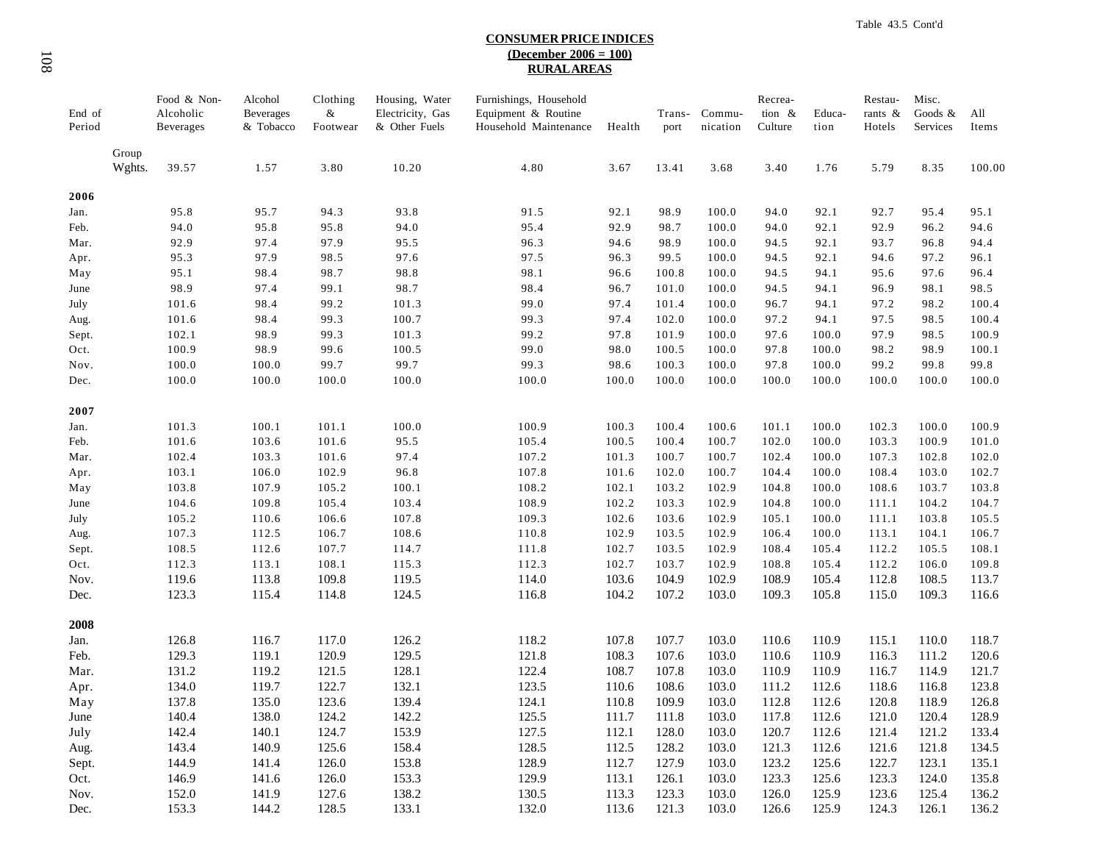## **CONSUMER PRICE INDICES (December 2006 = 100) RURAL AREAS**

| End of<br>Period |                 | Food & Non-<br>Alcoholic<br>Beverages | Alcohol<br><b>Beverages</b><br>& Tobacco | Clothing<br>&<br>Footwear | Housing, Water<br>Electricity, Gas<br>& Other Fuels | Furnishings, Household<br>Equipment & Routine<br>Household Maintenance | Health | Trans-<br>port | Commu-<br>nication | Recrea-<br>tion &<br>Culture | Educa-<br>tion | Restau-<br>rants &<br>Hotels | Misc.<br>Goods &<br>Services | All<br>Items |
|------------------|-----------------|---------------------------------------|------------------------------------------|---------------------------|-----------------------------------------------------|------------------------------------------------------------------------|--------|----------------|--------------------|------------------------------|----------------|------------------------------|------------------------------|--------------|
|                  | Group<br>Wghts. | 39.57                                 | 1.57                                     | 3.80                      | 10.20                                               | 4.80                                                                   | 3.67   | 13.41          | 3.68               | 3.40                         | 1.76           | 5.79                         | 8.35                         | 100.00       |
| 2006             |                 |                                       |                                          |                           |                                                     |                                                                        |        |                |                    |                              |                |                              |                              |              |
| Jan.             |                 | 95.8                                  | 95.7                                     | 94.3                      | 93.8                                                | 91.5                                                                   | 92.1   | 98.9           | 100.0              | 94.0                         | 92.1           | 92.7                         | 95.4                         | 95.1         |
| Feb.             |                 | 94.0                                  | 95.8                                     | 95.8                      | 94.0                                                | 95.4                                                                   | 92.9   | 98.7           | 100.0              | 94.0                         | 92.1           | 92.9                         | 96.2                         | 94.6         |
| Mar.             |                 | 92.9                                  | 97.4                                     | 97.9                      | 95.5                                                | 96.3                                                                   | 94.6   | 98.9           | 100.0              | 94.5                         | 92.1           | 93.7                         | 96.8                         | 94.4         |
| Apr.             |                 | 95.3                                  | 97.9                                     | 98.5                      | 97.6                                                | 97.5                                                                   | 96.3   | 99.5           | 100.0              | 94.5                         | 92.1           | 94.6                         | 97.2                         | 96.1         |
| May              |                 | 95.1                                  | 98.4                                     | 98.7                      | 98.8                                                | 98.1                                                                   | 96.6   | 100.8          | 100.0              | 94.5                         | 94.1           | 95.6                         | 97.6                         | 96.4         |
| June             |                 | 98.9                                  | 97.4                                     | 99.1                      | 98.7                                                | 98.4                                                                   | 96.7   | 101.0          | 100.0              | 94.5                         | 94.1           | 96.9                         | 98.1                         | 98.5         |
| July             |                 | 101.6                                 | 98.4                                     | 99.2                      | 101.3                                               | 99.0                                                                   | 97.4   | 101.4          | 100.0              | 96.7                         | 94.1           | 97.2                         | 98.2                         | 100.4        |
| Aug.             |                 | 101.6                                 | 98.4                                     | 99.3                      | 100.7                                               | 99.3                                                                   | 97.4   | 102.0          | 100.0              | 97.2                         | 94.1           | 97.5                         | 98.5                         | 100.4        |
| Sept.            |                 | 102.1                                 | 98.9                                     | 99.3                      | 101.3                                               | 99.2                                                                   | 97.8   | 101.9          | 100.0              | 97.6                         | 100.0          | 97.9                         | 98.5                         | 100.9        |
| Oct.             |                 | 100.9                                 | 98.9                                     | 99.6                      | 100.5                                               | 99.0                                                                   | 98.0   | 100.5          | 100.0              | 97.8                         | 100.0          | 98.2                         | 98.9                         | 100.1        |
| Nov.             |                 | 100.0                                 | 100.0                                    | 99.7                      | 99.7                                                | 99.3                                                                   | 98.6   | 100.3          | 100.0              | 97.8                         | 100.0          | 99.2                         | 99.8                         | 99.8         |
| Dec.             |                 | 100.0                                 | 100.0                                    | 100.0                     | 100.0                                               | 100.0                                                                  | 100.0  | 100.0          | 100.0              | 100.0                        | 100.0          | 100.0                        | 100.0                        | 100.0        |
| 2007             |                 |                                       |                                          |                           |                                                     |                                                                        |        |                |                    |                              |                |                              |                              |              |
| Jan.             |                 | 101.3                                 | 100.1                                    | 101.1                     | 100.0                                               | 100.9                                                                  | 100.3  | 100.4          | 100.6              | 101.1                        | 100.0          | 102.3                        | 100.0                        | 100.9        |
| Feb.             |                 | 101.6                                 | 103.6                                    | 101.6                     | 95.5                                                | 105.4                                                                  | 100.5  | 100.4          | 100.7              | 102.0                        | 100.0          | 103.3                        | 100.9                        | 101.0        |
| Mar.             |                 | 102.4                                 | 103.3                                    | 101.6                     | 97.4                                                | 107.2                                                                  | 101.3  | 100.7          | 100.7              | 102.4                        | 100.0          | 107.3                        | 102.8                        | 102.0        |
| Apr.             |                 | 103.1                                 | 106.0                                    | 102.9                     | 96.8                                                | 107.8                                                                  | 101.6  | 102.0          | 100.7              | 104.4                        | 100.0          | 108.4                        | 103.0                        | 102.7        |
| May              |                 | 103.8                                 | 107.9                                    | 105.2                     | 100.1                                               | 108.2                                                                  | 102.1  | 103.2          | 102.9              | 104.8                        | 100.0          | 108.6                        | 103.7                        | 103.8        |
| June             |                 | 104.6                                 | 109.8                                    | 105.4                     | 103.4                                               | 108.9                                                                  | 102.2  | 103.3          | 102.9              | 104.8                        | 100.0          | 111.1                        | 104.2                        | 104.7        |
| July             |                 | 105.2                                 | 110.6                                    | 106.6                     | 107.8                                               | 109.3                                                                  | 102.6  | 103.6          | 102.9              | 105.1                        | 100.0          | 111.1                        | 103.8                        | 105.5        |
| Aug.             |                 | 107.3                                 | 112.5                                    | 106.7                     | 108.6                                               | 110.8                                                                  | 102.9  | 103.5          | 102.9              | 106.4                        | 100.0          | 113.1                        | 104.1                        | 106.7        |
| Sept.            |                 | 108.5                                 | 112.6                                    | 107.7                     | 114.7                                               | 111.8                                                                  | 102.7  | 103.5          | 102.9              | 108.4                        | 105.4          | 112.2                        | 105.5                        | 108.1        |
| Oct.             |                 | 112.3                                 | 113.1                                    | 108.1                     | 115.3                                               | 112.3                                                                  | 102.7  | 103.7          | 102.9              | 108.8                        | 105.4          | 112.2                        | 106.0                        | 109.8        |
| Nov.             |                 | 119.6                                 | 113.8                                    | 109.8                     | 119.5                                               | 114.0                                                                  | 103.6  | 104.9          | 102.9              | 108.9                        | 105.4          | 112.8                        | 108.5                        | 113.7        |
| Dec.             |                 | 123.3                                 | 115.4                                    | 114.8                     | 124.5                                               | 116.8                                                                  | 104.2  | 107.2          | 103.0              | 109.3                        | 105.8          | 115.0                        | 109.3                        | 116.6        |
| 2008             |                 |                                       |                                          |                           |                                                     |                                                                        |        |                |                    |                              |                |                              |                              |              |
| Jan.             |                 | 126.8                                 | 116.7                                    | 117.0                     | 126.2                                               | 118.2                                                                  | 107.8  | 107.7          | 103.0              | 110.6                        | 110.9          | 115.1                        | 110.0                        | 118.7        |
| Feb.             |                 | 129.3                                 | 119.1                                    | 120.9                     | 129.5                                               | 121.8                                                                  | 108.3  | 107.6          | 103.0              | 110.6                        | 110.9          | 116.3                        | 111.2                        | 120.6        |
| Mar.             |                 | 131.2                                 | 119.2                                    | 121.5                     | 128.1                                               | 122.4                                                                  | 108.7  | 107.8          | 103.0              | 110.9                        | 110.9          | 116.7                        | 114.9                        | 121.7        |
| Apr.             |                 | 134.0                                 | 119.7                                    | 122.7                     | 132.1                                               | 123.5                                                                  | 110.6  | 108.6          | 103.0              | 111.2                        | 112.6          | 118.6                        | 116.8                        | 123.8        |
| May              |                 | 137.8                                 | 135.0                                    | 123.6                     | 139.4                                               | 124.1                                                                  | 110.8  | 109.9          | 103.0              | 112.8                        | 112.6          | 120.8                        | 118.9                        | 126.8        |
| June             |                 | 140.4                                 | 138.0                                    | 124.2                     | 142.2                                               | 125.5                                                                  | 111.7  | 111.8          | 103.0              | 117.8                        | 112.6          | 121.0                        | 120.4                        | 128.9        |
| July             |                 | 142.4                                 | 140.1                                    | 124.7                     | 153.9                                               | 127.5                                                                  | 112.1  | 128.0          | 103.0              | 120.7                        | 112.6          | 121.4                        | 121.2                        | 133.4        |
| Aug.             |                 | 143.4                                 | 140.9                                    | 125.6                     | 158.4                                               | 128.5                                                                  | 112.5  | 128.2          | 103.0              | 121.3                        | 112.6          | 121.6                        | 121.8                        | 134.5        |
| Sept.            |                 | 144.9                                 | 141.4                                    | 126.0                     | 153.8                                               | 128.9                                                                  | 112.7  | 127.9          | 103.0              | 123.2                        | 125.6          | 122.7                        | 123.1                        | 135.1        |
| Oct.             |                 | 146.9                                 | 141.6                                    | 126.0                     | 153.3                                               | 129.9                                                                  | 113.1  | 126.1          | 103.0              | 123.3                        | 125.6          | 123.3                        | 124.0                        | 135.8        |
| Nov.             |                 | 152.0                                 | 141.9                                    | 127.6                     | 138.2                                               | 130.5                                                                  | 113.3  | 123.3          | 103.0              | 126.0                        | 125.9          | 123.6                        | 125.4                        | 136.2        |
| Dec.             |                 | 153.3                                 | 144.2                                    | 128.5                     | 133.1                                               | 132.0                                                                  | 113.6  | 121.3          | 103.0              | 126.6                        | 125.9          | 124.3                        | 126.1                        | 136.2        |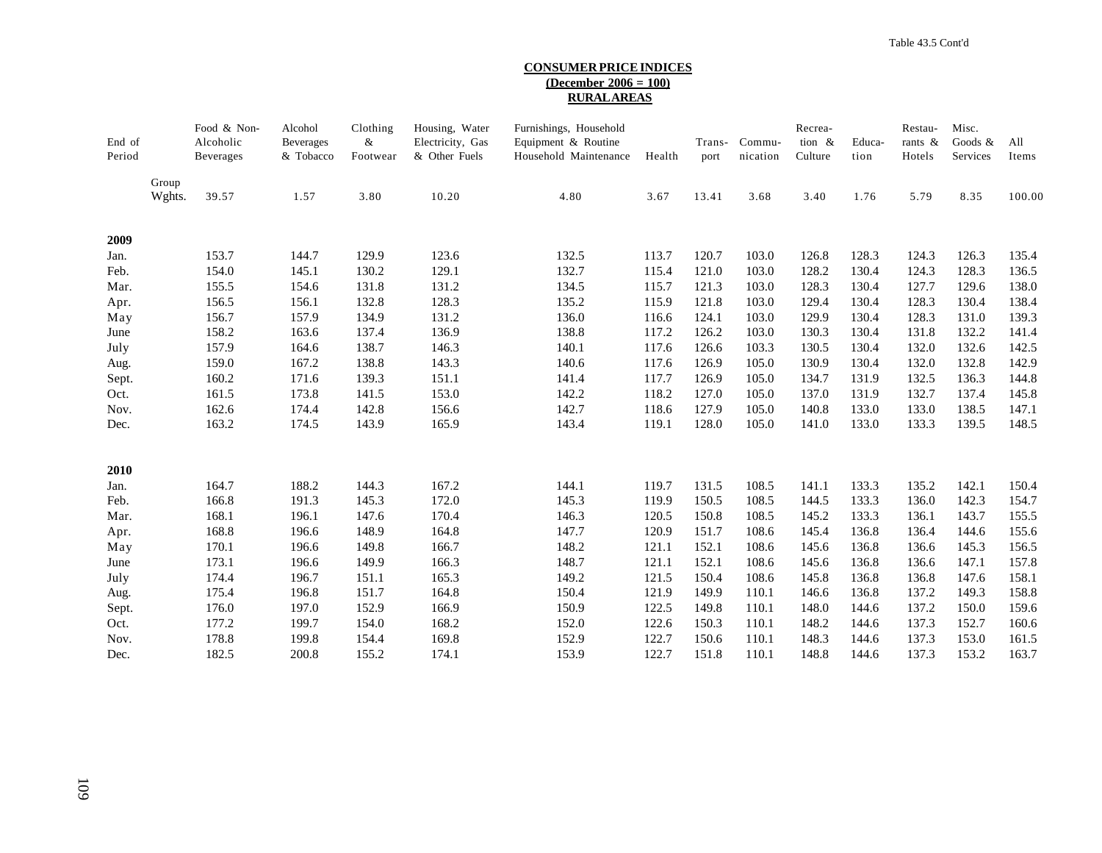## **CONSUMER PRICE INDICES (December 2006 = 100) RURAL AREAS**

| End of<br>Period |                 | Food & Non-<br>Alcoholic<br>Beverages | Alcohol<br>Beverages<br>& Tobacco | Clothing<br>&<br>Footwear | Housing, Water<br>Electricity, Gas<br>& Other Fuels | Furnishings, Household<br>Equipment & Routine<br>Household Maintenance | Health | Trans-<br>port | Commu-<br>nication | Recrea-<br>tion &<br>Culture | Educa-<br>tion | Restau-<br>rants $\&$<br>Hotels | Misc.<br>Goods &<br>Services | All<br>Items |
|------------------|-----------------|---------------------------------------|-----------------------------------|---------------------------|-----------------------------------------------------|------------------------------------------------------------------------|--------|----------------|--------------------|------------------------------|----------------|---------------------------------|------------------------------|--------------|
|                  | Group<br>Wghts. | 39.57                                 | 1.57                              | 3.80                      | 10.20                                               | 4.80                                                                   | 3.67   | 13.41          | 3.68               | 3.40                         | 1.76           | 5.79                            | 8.35                         | 100.00       |
| 2009             |                 |                                       |                                   |                           |                                                     |                                                                        |        |                |                    |                              |                |                                 |                              |              |
| Jan.             |                 | 153.7                                 | 144.7                             | 129.9                     | 123.6                                               | 132.5                                                                  | 113.7  | 120.7          | 103.0              | 126.8                        | 128.3          | 124.3                           | 126.3                        | 135.4        |
| Feb.             |                 | 154.0                                 | 145.1                             | 130.2                     | 129.1                                               | 132.7                                                                  | 115.4  | 121.0          | 103.0              | 128.2                        | 130.4          | 124.3                           | 128.3                        | 136.5        |
| Mar.             |                 | 155.5                                 | 154.6                             | 131.8                     | 131.2                                               | 134.5                                                                  | 115.7  | 121.3          | 103.0              | 128.3                        | 130.4          | 127.7                           | 129.6                        | 138.0        |
| Apr.             |                 | 156.5                                 | 156.1                             | 132.8                     | 128.3                                               | 135.2                                                                  | 115.9  | 121.8          | 103.0              | 129.4                        | 130.4          | 128.3                           | 130.4                        | 138.4        |
| May              |                 | 156.7                                 | 157.9                             | 134.9                     | 131.2                                               | 136.0                                                                  | 116.6  | 124.1          | 103.0              | 129.9                        | 130.4          | 128.3                           | 131.0                        | 139.3        |
| June             |                 | 158.2                                 | 163.6                             | 137.4                     | 136.9                                               | 138.8                                                                  | 117.2  | 126.2          | 103.0              | 130.3                        | 130.4          | 131.8                           | 132.2                        | 141.4        |
| July             |                 | 157.9                                 | 164.6                             | 138.7                     | 146.3                                               | 140.1                                                                  | 117.6  | 126.6          | 103.3              | 130.5                        | 130.4          | 132.0                           | 132.6                        | 142.5        |
| Aug.             |                 | 159.0                                 | 167.2                             | 138.8                     | 143.3                                               | 140.6                                                                  | 117.6  | 126.9          | 105.0              | 130.9                        | 130.4          | 132.0                           | 132.8                        | 142.9        |
| Sept.            |                 | 160.2                                 | 171.6                             | 139.3                     | 151.1                                               | 141.4                                                                  | 117.7  | 126.9          | 105.0              | 134.7                        | 131.9          | 132.5                           | 136.3                        | 144.8        |
| Oct.             |                 | 161.5                                 | 173.8                             | 141.5                     | 153.0                                               | 142.2                                                                  | 118.2  | 127.0          | 105.0              | 137.0                        | 131.9          | 132.7                           | 137.4                        | 145.8        |
| Nov.             |                 | 162.6                                 | 174.4                             | 142.8                     | 156.6                                               | 142.7                                                                  | 118.6  | 127.9          | 105.0              | 140.8                        | 133.0          | 133.0                           | 138.5                        | 147.1        |
| Dec.             |                 | 163.2                                 | 174.5                             | 143.9                     | 165.9                                               | 143.4                                                                  | 119.1  | 128.0          | 105.0              | 141.0                        | 133.0          | 133.3                           | 139.5                        | 148.5        |
| 2010             |                 |                                       |                                   |                           |                                                     |                                                                        |        |                |                    |                              |                |                                 |                              |              |
| Jan.             |                 | 164.7                                 | 188.2                             | 144.3                     | 167.2                                               | 144.1                                                                  | 119.7  | 131.5          | 108.5              | 141.1                        | 133.3          | 135.2                           | 142.1                        | 150.4        |
| Feb.             |                 | 166.8                                 | 191.3                             | 145.3                     | 172.0                                               | 145.3                                                                  | 119.9  | 150.5          | 108.5              | 144.5                        | 133.3          | 136.0                           | 142.3                        | 154.7        |
| Mar.             |                 | 168.1                                 | 196.1                             | 147.6                     | 170.4                                               | 146.3                                                                  | 120.5  | 150.8          | 108.5              | 145.2                        | 133.3          | 136.1                           | 143.7                        | 155.5        |
| Apr.             |                 | 168.8                                 | 196.6                             | 148.9                     | 164.8                                               | 147.7                                                                  | 120.9  | 151.7          | 108.6              | 145.4                        | 136.8          | 136.4                           | 144.6                        | 155.6        |
| May              |                 | 170.1                                 | 196.6                             | 149.8                     | 166.7                                               | 148.2                                                                  | 121.1  | 152.1          | 108.6              | 145.6                        | 136.8          | 136.6                           | 145.3                        | 156.5        |
| June             |                 | 173.1                                 | 196.6                             | 149.9                     | 166.3                                               | 148.7                                                                  | 121.1  | 152.1          | 108.6              | 145.6                        | 136.8          | 136.6                           | 147.1                        | 157.8        |
| July             |                 | 174.4                                 | 196.7                             | 151.1                     | 165.3                                               | 149.2                                                                  | 121.5  | 150.4          | 108.6              | 145.8                        | 136.8          | 136.8                           | 147.6                        | 158.1        |
| Aug.             |                 | 175.4                                 | 196.8                             | 151.7                     | 164.8                                               | 150.4                                                                  | 121.9  | 149.9          | 110.1              | 146.6                        | 136.8          | 137.2                           | 149.3                        | 158.8        |
| Sept.            |                 | 176.0                                 | 197.0                             | 152.9                     | 166.9                                               | 150.9                                                                  | 122.5  | 149.8          | 110.1              | 148.0                        | 144.6          | 137.2                           | 150.0                        | 159.6        |
| Oct.             |                 | 177.2                                 | 199.7                             | 154.0                     | 168.2                                               | 152.0                                                                  | 122.6  | 150.3          | 110.1              | 148.2                        | 144.6          | 137.3                           | 152.7                        | 160.6        |
| Nov.             |                 | 178.8                                 | 199.8                             | 154.4                     | 169.8                                               | 152.9                                                                  | 122.7  | 150.6          | 110.1              | 148.3                        | 144.6          | 137.3                           | 153.0                        | 161.5        |
| Dec.             |                 | 182.5                                 | 200.8                             | 155.2                     | 174.1                                               | 153.9                                                                  | 122.7  | 151.8          | 110.1              | 148.8                        | 144.6          | 137.3                           | 153.2                        | 163.7        |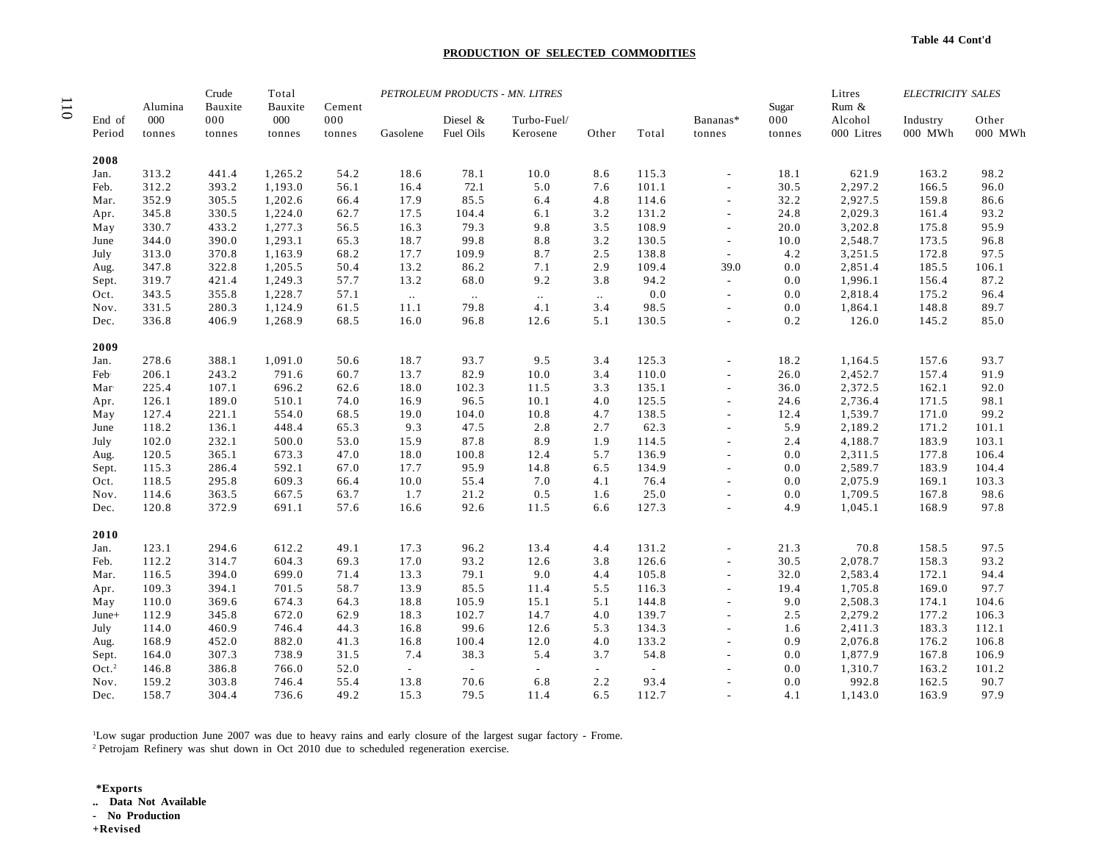## **PRODUCTION OF SELECTED COMMODITIES**

|                            | Alumina | Crude<br>Bauxite | Total<br>Bauxite | Cement |          |           | PETROLEUM PRODUCTS - MN. LITRES |        |        |                          | Sugar  | Litres<br>Rum & | <b>ELECTRICITY SALES</b> |         |
|----------------------------|---------|------------------|------------------|--------|----------|-----------|---------------------------------|--------|--------|--------------------------|--------|-----------------|--------------------------|---------|
| End of                     | 000     | 000              | 000              | 000    |          | Diesel &  | Turbo-Fuel/                     |        |        | Bananas*                 | 000    | Alcohol         | Industry                 | Other   |
| Period                     | tonnes  | tonnes           | tonnes           | tonnes | Gasolene | Fuel Oils | Kerosene                        | Other  | Total  | tonnes                   | tonnes | 000 Litres      | 000 MWh                  | 000 MWh |
| 2008                       |         |                  |                  |        |          |           |                                 |        |        |                          |        |                 |                          |         |
| Jan.                       | 313.2   | 441.4            | 1,265.2          | 54.2   | 18.6     | 78.1      | 10.0                            | 8.6    | 115.3  |                          | 18.1   | 621.9           | 163.2                    | 98.2    |
| Feb.                       | 312.2   | 393.2            | 1,193.0          | 56.1   | 16.4     | 72.1      | 5.0                             | 7.6    | 101.1  |                          | 30.5   | 2,297.2         | 166.5                    | 96.0    |
| Mar.                       | 352.9   | 305.5            | 1,202.6          | 66.4   | 17.9     | 85.5      | 6.4                             | 4.8    | 114.6  | $\sim$                   | 32.2   | 2,927.5         | 159.8                    | 86.6    |
| Apr.                       | 345.8   | 330.5            | 1,224.0          | 62.7   | 17.5     | 104.4     | 6.1                             | 3.2    | 131.2  | $\sim$                   | 24.8   | 2,029.3         | 161.4                    | 93.2    |
| May                        | 330.7   | 433.2            | 1,277.3          | 56.5   | 16.3     | 79.3      | 9.8                             | 3.5    | 108.9  | $\sim$                   | 20.0   | 3,202.8         | 175.8                    | 95.9    |
| June                       | 344.0   | 390.0            | 1,293.1          | 65.3   | 18.7     | 99.8      | 8.8                             | 3.2    | 130.5  | $\overline{a}$           | 10.0   | 2,548.7         | 173.5                    | 96.8    |
| July                       | 313.0   | 370.8            | 1,163.9          | 68.2   | 17.7     | 109.9     | 8.7                             | 2.5    | 138.8  | $\overline{\phantom{a}}$ | 4.2    | 3,251.5         | 172.8                    | 97.5    |
| Aug.                       | 347.8   | 322.8            | 1,205.5          | 50.4   | 13.2     | 86.2      | 7.1                             | 2.9    | 109.4  | 39.0                     | 0.0    | 2,851.4         | 185.5                    | 106.1   |
| Sept.                      | 319.7   | 421.4            | 1,249.3          | 57.7   | 13.2     | 68.0      | 9.2                             | 3.8    | 94.2   | $\omega$                 | 0.0    | 1,996.1         | 156.4                    | 87.2    |
| Oct.                       | 343.5   | 355.8            | 1,228.7          | 57.1   | $\sim$   | $\sim$    | $\ddotsc$                       | $\sim$ | 0.0    | $\sim$                   | 0.0    | 2,818.4         | 175.2                    | 96.4    |
| Nov.                       | 331.5   | 280.3            | 1,124.9          | 61.5   | 11.1     | 79.8      | 4.1                             | 3.4    | 98.5   | $\overline{a}$           | 0.0    | 1,864.1         | 148.8                    | 89.7    |
| Dec.                       | 336.8   | 406.9            | 1,268.9          | 68.5   | 16.0     | 96.8      | 12.6                            | 5.1    | 130.5  | $\overline{a}$           | 0.2    | 126.0           | 145.2                    | 85.0    |
| 2009                       |         |                  |                  |        |          |           |                                 |        |        |                          |        |                 |                          |         |
| Jan.                       | 278.6   | 388.1            | 1,091.0          | 50.6   | 18.7     | 93.7      | 9.5                             | 3.4    | 125.3  |                          | 18.2   | 1,164.5         | 157.6                    | 93.7    |
| Feb                        | 206.1   | 243.2            | 791.6            | 60.7   | 13.7     | 82.9      | 10.0                            | 3.4    | 110.0  |                          | 26.0   | 2,452.7         | 157.4                    | 91.9    |
| Mar                        | 225.4   | 107.1            | 696.2            | 62.6   | 18.0     | 102.3     | 11.5                            | 3.3    | 135.1  | $\sim$                   | 36.0   | 2,372.5         | 162.1                    | 92.0    |
| Apr.                       | 126.1   | 189.0            | 510.1            | 74.0   | 16.9     | 96.5      | 10.1                            | 4.0    | 125.5  |                          | 24.6   | 2,736.4         | 171.5                    | 98.1    |
| May                        | 127.4   | 221.1            | 554.0            | 68.5   | 19.0     | 104.0     | 10.8                            | 4.7    | 138.5  |                          | 12.4   | 1,539.7         | 171.0                    | 99.2    |
| June                       | 118.2   | 136.1            | 448.4            | 65.3   | 9.3      | 47.5      | 2.8                             | 2.7    | 62.3   | $\sim$                   | 5.9    | 2,189.2         | 171.2                    | 101.1   |
| July                       | 102.0   | 232.1            | 500.0            | 53.0   | 15.9     | 87.8      | 8.9                             | 1.9    | 114.5  |                          | 2.4    | 4,188.7         | 183.9                    | 103.1   |
| Aug.                       | 120.5   | 365.1            | 673.3            | 47.0   | 18.0     | 100.8     | 12.4                            | 5.7    | 136.9  | $\sim$                   | 0.0    | 2,311.5         | 177.8                    | 106.4   |
| Sept.                      | 115.3   | 286.4            | 592.1            | 67.0   | 17.7     | 95.9      | 14.8                            | 6.5    | 134.9  | $\sim$                   | 0.0    | 2,589.7         | 183.9                    | 104.4   |
| Oct.                       | 118.5   | 295.8            | 609.3            | 66.4   | 10.0     | 55.4      | 7.0                             | 4.1    | 76.4   |                          | 0.0    | 2,075.9         | 169.1                    | 103.3   |
| Nov.                       | 114.6   | 363.5            | 667.5            | 63.7   | 1.7      | 21.2      | 0.5                             | 1.6    | 25.0   | $\sim$                   | 0.0    | 1,709.5         | 167.8                    | 98.6    |
| Dec.                       | 120.8   | 372.9            | 691.1            | 57.6   | 16.6     | 92.6      | 11.5                            | 6.6    | 127.3  |                          | 4.9    | 1,045.1         | 168.9                    | 97.8    |
| 2010                       |         |                  |                  |        |          |           |                                 |        |        |                          |        |                 |                          |         |
| Jan.                       | 123.1   | 294.6            | 612.2            | 49.1   | 17.3     | 96.2      | 13.4                            | 4.4    | 131.2  |                          | 21.3   | 70.8            | 158.5                    | 97.5    |
| Feb.                       | 112.2   | 314.7            | 604.3            | 69.3   | 17.0     | 93.2      | 12.6                            | 3.8    | 126.6  | $\overline{a}$           | 30.5   | 2,078.7         | 158.3                    | 93.2    |
| Mar.                       | 116.5   | 394.0            | 699.0            | 71.4   | 13.3     | 79.1      | 9.0                             | 4.4    | 105.8  | $\sim$                   | 32.0   | 2,583.4         | 172.1                    | 94.4    |
| Apr.                       | 109.3   | 394.1            | 701.5            | 58.7   | 13.9     | 85.5      | 11.4                            | 5.5    | 116.3  |                          | 19.4   | 1,705.8         | 169.0                    | 97.7    |
| May                        | 110.0   | 369.6            | 674.3            | 64.3   | 18.8     | 105.9     | 15.1                            | 5.1    | 144.8  |                          | 9.0    | 2,508.3         | 174.1                    | 104.6   |
| June+                      | 112.9   | 345.8            | 672.0            | 62.9   | 18.3     | 102.7     | 14.7                            | 4.0    | 139.7  | $\overline{a}$           | 2.5    | 2,279.2         | 177.2                    | 106.3   |
| July                       | 114.0   | 460.9            | 746.4            | 44.3   | 16.8     | 99.6      | 12.6                            | 5.3    | 134.3  |                          | 1.6    | 2,411.3         | 183.3                    | 112.1   |
|                            | 168.9   | 452.0            | 882.0            | 41.3   | 16.8     | 100.4     | 12.0                            | 4.0    | 133.2  | $\sim$                   | 0.9    | 2,076.8         | 176.2                    | 106.8   |
| Aug.                       | 164.0   | 307.3            | 738.9            | 31.5   | 7.4      | 38.3      | 5.4                             | 3.7    | 54.8   |                          | 0.0    | 1,877.9         | 167.8                    | 106.9   |
| Sept.<br>Oct. <sup>2</sup> | 146.8   | 386.8            | 766.0            | 52.0   | $\sim$   | $\sim$    | $\sim$                          | $\sim$ | $\sim$ |                          | 0.0    | 1,310.7         | 163.2                    | 101.2   |
| Nov.                       | 159.2   | 303.8            | 746.4            | 55.4   | 13.8     | 70.6      | 6.8                             | 2.2    | 93.4   |                          | 0.0    | 992.8           | 162.5                    | 90.7    |
|                            | 158.7   | 304.4            |                  | 49.2   | 15.3     | 79.5      | 11.4                            | 6.5    | 112.7  |                          |        | 1,143.0         | 163.9                    | 97.9    |
| Dec.                       |         |                  | 736.6            |        |          |           |                                 |        |        |                          | 4.1    |                 |                          |         |

1Low sugar production June 2007 was due to heavy rains and early closure of the largest sugar factory - Frome.

2 Petrojam Refinery was shut down in Oct 2010 due to scheduled regeneration exercise.

**\*Exports .. Data Not Available - No Production +Revised**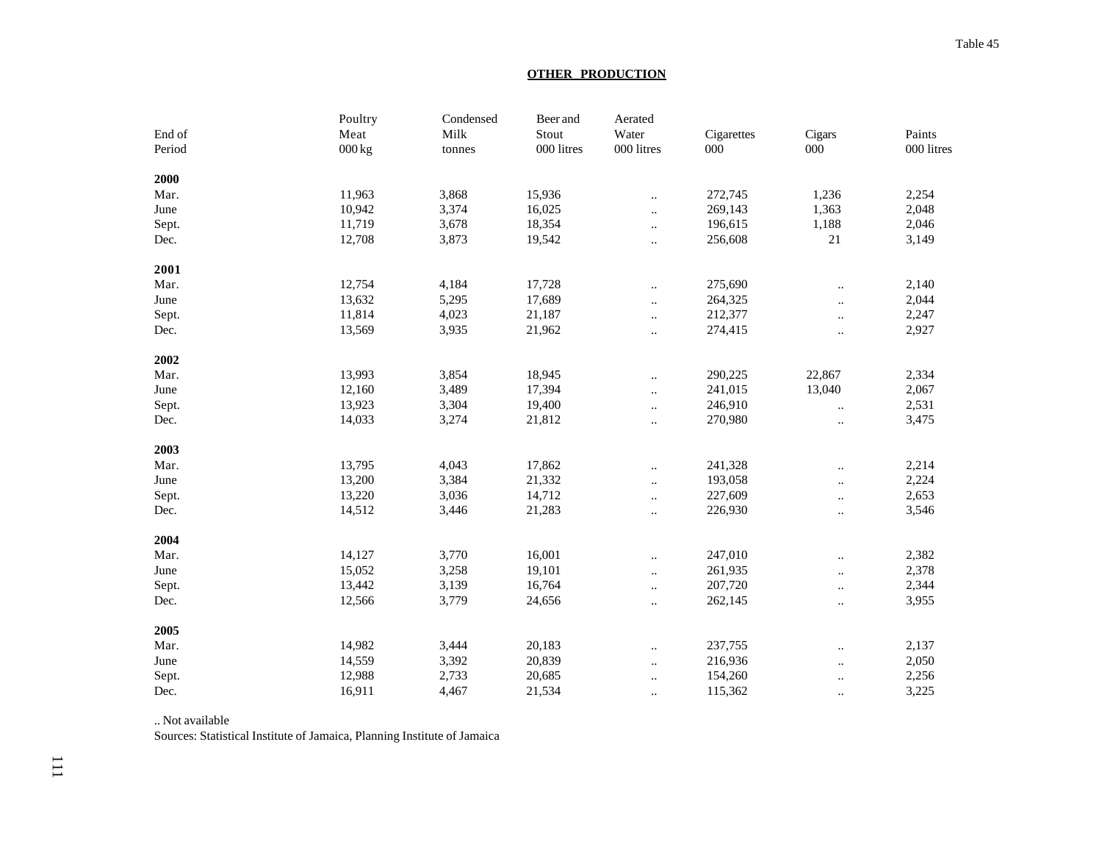# **OTHER PRODUCTION**

|        | Poultry            | Condensed | Beer and   | Aerated              |            |                      |            |
|--------|--------------------|-----------|------------|----------------------|------------|----------------------|------------|
| End of | Meat               | Milk      | Stout      | Water                | Cigarettes | Cigars               | Paints     |
| Period | $000\,\mathrm{kg}$ | tonnes    | 000 litres | 000 litres           | $000\,$    | 000                  | 000 litres |
| 2000   |                    |           |            |                      |            |                      |            |
| Mar.   | 11,963             | 3,868     | 15,936     | $\ddotsc$            | 272,745    | 1,236                | 2,254      |
| June   | 10,942             | 3,374     | 16,025     | $\ddotsc$            | 269,143    | 1,363                | 2,048      |
| Sept.  | 11,719             | 3,678     | 18,354     | $\ddotsc$            | 196,615    | 1,188                | 2,046      |
| Dec.   | 12,708             | 3,873     | 19,542     | $\ldots$             | 256,608    | 21                   | 3,149      |
| 2001   |                    |           |            |                      |            |                      |            |
| Mar.   | 12,754             | 4,184     | 17,728     | $\ddotsc$            | 275,690    |                      | 2,140      |
| June   | 13,632             | 5,295     | 17,689     | $\ddotsc$            | 264,325    | $\ddotsc$            | 2,044      |
| Sept.  | 11,814             | 4,023     | 21,187     | $\ddotsc$            | 212,377    | $\ddotsc$            | 2,247      |
| Dec.   | 13,569             | 3,935     | 21,962     | $\ddotsc$            | 274,415    | $\ddot{\phantom{a}}$ | 2,927      |
| 2002   |                    |           |            |                      |            |                      |            |
| Mar.   | 13,993             | 3,854     | 18,945     | $\ddotsc$            | 290,225    | 22,867               | 2,334      |
| June   | 12,160             | 3,489     | 17,394     | $\ddotsc$            | 241,015    | 13,040               | 2,067      |
| Sept.  | 13,923             | 3,304     | 19,400     | $\ddotsc$            | 246,910    | $\ddotsc$            | 2,531      |
| Dec.   | 14,033             | 3,274     | 21,812     | $\ddot{\phantom{a}}$ | 270,980    | $\ddotsc$            | 3,475      |
| 2003   |                    |           |            |                      |            |                      |            |
| Mar.   | 13,795             | 4,043     | 17,862     | $\ddotsc$            | 241,328    |                      | 2,214      |
| June   | 13,200             | 3,384     | 21,332     | $\ldots$             | 193,058    | $\cdot$ .            | 2,224      |
| Sept.  | 13,220             | 3,036     | 14,712     | $\ddotsc$            | 227,609    | $\ddotsc$            | 2,653      |
| Dec.   | 14,512             | 3,446     | 21,283     | $\ddot{\phantom{a}}$ | 226,930    |                      | 3,546      |
| 2004   |                    |           |            |                      |            |                      |            |
| Mar.   | 14,127             | 3,770     | 16,001     | $\ddotsc$            | 247,010    |                      | 2,382      |
| June   | 15,052             | 3,258     | 19,101     | $\ddotsc$            | 261,935    | $\ddotsc$            | 2,378      |
| Sept.  | 13,442             | 3,139     | 16,764     | $\ldots$             | 207,720    | $\ldots$             | 2,344      |
| Dec.   | 12,566             | 3,779     | 24,656     | $\ddotsc$            | 262,145    | $\ddotsc$            | 3,955      |
| 2005   |                    |           |            |                      |            |                      |            |
| Mar.   | 14,982             | 3,444     | 20,183     | $\ddotsc$            | 237,755    |                      | 2,137      |
| June   | 14,559             | 3,392     | 20,839     | $\ddotsc$            | 216,936    |                      | 2,050      |
| Sept.  | 12,988             | 2,733     | 20,685     | $\ddotsc$            | 154,260    | $\ddot{\phantom{a}}$ | 2,256      |
| Dec.   | 16,911             | 4,467     | 21,534     |                      | 115,362    |                      | 3,225      |

.. Not available

Sources: Statistical Institute of Jamaica, Planning Institute of Jamaica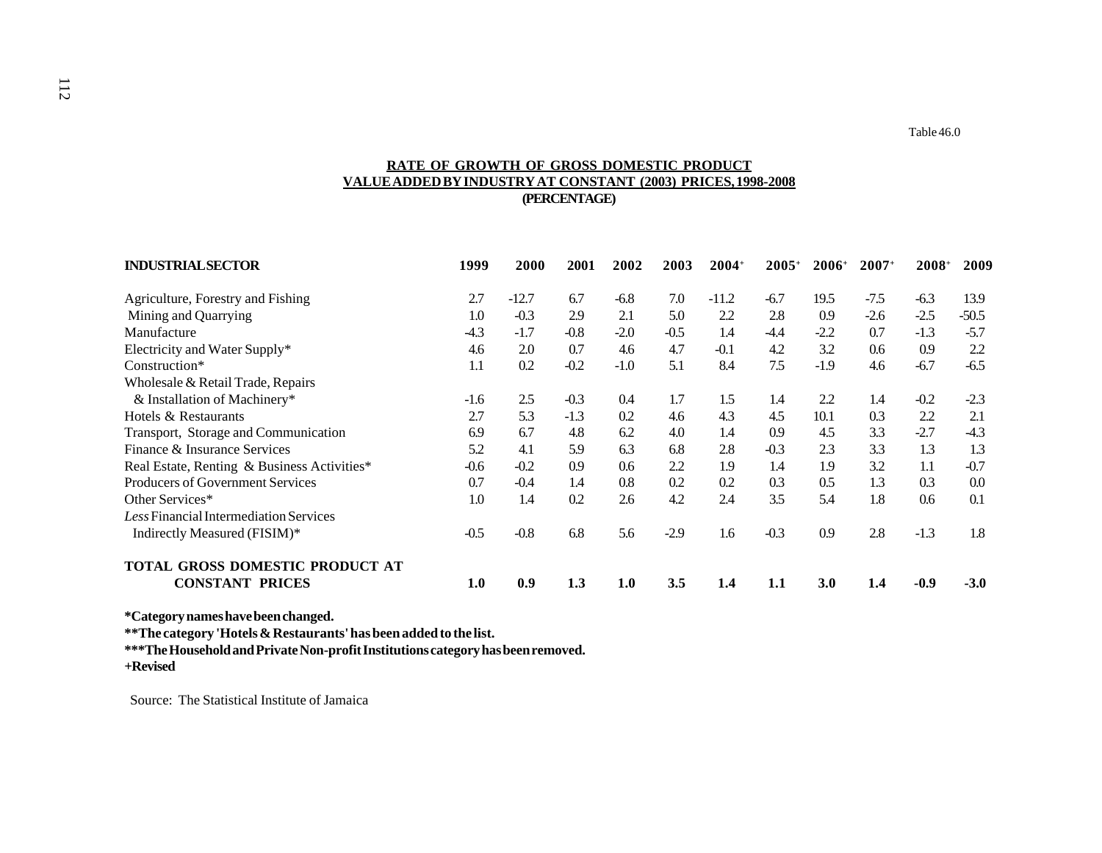# **RATE OF GROWTH OF GROSS DOMESTIC PRODUCT VALUE ADDED BY INDUSTRY AT CONSTANT (2003) PRICES, 1998-2008 (PERCENTAGE)**

| <b>INDUSTRIAL SECTOR</b>                    | 1999   | 2000    | 2001   | 2002   | 2003   | $2004+$ | $2005+$ | $2006+$ | $2007+$ | $2008+$ | 2009    |
|---------------------------------------------|--------|---------|--------|--------|--------|---------|---------|---------|---------|---------|---------|
| Agriculture, Forestry and Fishing           | 2.7    | $-12.7$ | 6.7    | $-6.8$ | 7.0    | $-11.2$ | $-6.7$  | 19.5    | $-7.5$  | $-6.3$  | 13.9    |
| Mining and Quarrying                        | 1.0    | $-0.3$  | 2.9    | 2.1    | 5.0    | 2.2     | 2.8     | 0.9     | $-2.6$  | $-2.5$  | $-50.5$ |
| Manufacture                                 | $-4.3$ | $-1.7$  | $-0.8$ | $-2.0$ | $-0.5$ | 1.4     | $-4.4$  | $-2.2$  | 0.7     | $-1.3$  | $-5.7$  |
| Electricity and Water Supply*               | 4.6    | 2.0     | 0.7    | 4.6    | 4.7    | $-0.1$  | 4.2     | 3.2     | 0.6     | 0.9     | 2.2     |
| Construction*                               | 1.1    | 0.2     | $-0.2$ | $-1.0$ | 5.1    | 8.4     | 7.5     | $-1.9$  | 4.6     | $-6.7$  | $-6.5$  |
| Wholesale & Retail Trade, Repairs           |        |         |        |        |        |         |         |         |         |         |         |
| & Installation of Machinery*                | $-1.6$ | 2.5     | $-0.3$ | 0.4    | 1.7    | 1.5     | 1.4     | 2.2     | 1.4     | $-0.2$  | $-2.3$  |
| Hotels & Restaurants                        | 2.7    | 5.3     | $-1.3$ | 0.2    | 4.6    | 4.3     | 4.5     | 10.1    | 0.3     | 2.2     | 2.1     |
| Transport, Storage and Communication        | 6.9    | 6.7     | 4.8    | 6.2    | 4.0    | 1.4     | 0.9     | 4.5     | 3.3     | $-2.7$  | $-4.3$  |
| Finance & Insurance Services                | 5.2    | 4.1     | 5.9    | 6.3    | 6.8    | 2.8     | $-0.3$  | 2.3     | 3.3     | 1.3     | 1.3     |
| Real Estate, Renting & Business Activities* | $-0.6$ | $-0.2$  | 0.9    | 0.6    | 2.2    | 1.9     | 1.4     | 1.9     | 3.2     | 1.1     | $-0.7$  |
| Producers of Government Services            | 0.7    | $-0.4$  | 1.4    | 0.8    | 0.2    | 0.2     | 0.3     | 0.5     | 1.3     | 0.3     | 0.0     |
| Other Services*                             | 1.0    | 1.4     | 0.2    | 2.6    | 4.2    | 2.4     | 3.5     | 5.4     | 1.8     | 0.6     | 0.1     |
| Less Financial Intermediation Services      |        |         |        |        |        |         |         |         |         |         |         |
| Indirectly Measured (FISIM)*                | $-0.5$ | $-0.8$  | 6.8    | 5.6    | $-2.9$ | 1.6     | $-0.3$  | 0.9     | 2.8     | $-1.3$  | 1.8     |
| TOTAL GROSS DOMESTIC PRODUCT AT             |        |         |        |        |        |         |         |         |         |         |         |
| <b>CONSTANT PRICES</b>                      | 1.0    | 0.9     | 1.3    | 1.0    | 3.5    | 1.4     | 1.1     | 3.0     | 1.4     | $-0.9$  | $-3.0$  |
| *Category names have been changed.          |        |         |        |        |        |         |         |         |         |         |         |

**\*\*The category 'Hotels & Restaurants' has been added to the list.**

**\*\*\*The Household and Private Non-profit Institutions category has been removed.**

**+Revised**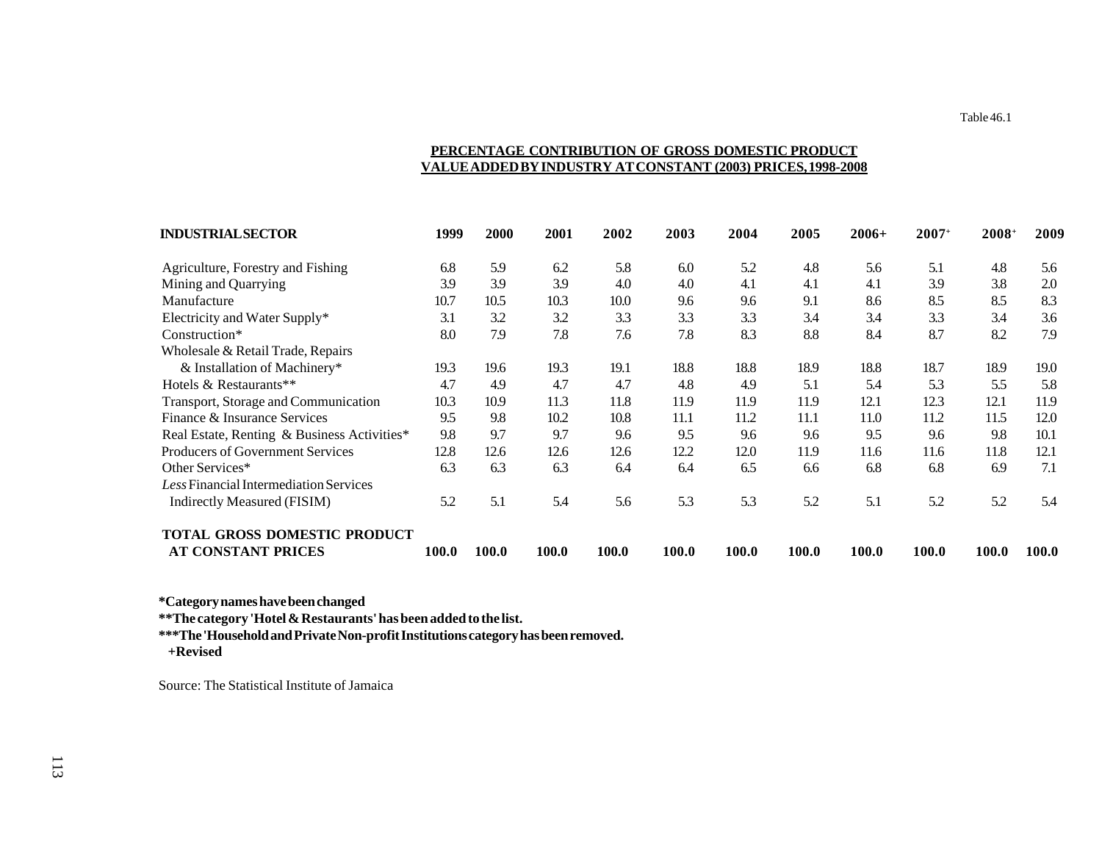# **PERCENTAGE CONTRIBUTION OF GROSS DOMESTIC PRODUCT VALUE ADDED BY INDUSTRY AT CONSTANT (2003) PRICES, 1998-2008**

| <b>INDUSTRIAL SECTOR</b>                    | 1999  | <b>2000</b> | 2001  | 2002  | 2003  | 2004  | 2005  | $2006+$ | $2007+$ | 2008+ | 2009  |
|---------------------------------------------|-------|-------------|-------|-------|-------|-------|-------|---------|---------|-------|-------|
| Agriculture, Forestry and Fishing           | 6.8   | 5.9         | 6.2   | 5.8   | 6.0   | 5.2   | 4.8   | 5.6     | 5.1     | 4.8   | 5.6   |
| Mining and Quarrying                        | 3.9   | 3.9         | 3.9   | 4.0   | 4.0   | 4.1   | 4.1   | 4.1     | 3.9     | 3.8   | 2.0   |
| Manufacture                                 | 10.7  | 10.5        | 10.3  | 10.0  | 9.6   | 9.6   | 9.1   | 8.6     | 8.5     | 8.5   | 8.3   |
| Electricity and Water Supply*               | 3.1   | 3.2         | 3.2   | 3.3   | 3.3   | 3.3   | 3.4   | 3.4     | 3.3     | 3.4   | 3.6   |
| Construction*                               | 8.0   | 7.9         | 7.8   | 7.6   | 7.8   | 8.3   | 8.8   | 8.4     | 8.7     | 8.2   | 7.9   |
| Wholesale & Retail Trade, Repairs           |       |             |       |       |       |       |       |         |         |       |       |
| & Installation of Machinery*                | 19.3  | 19.6        | 19.3  | 19.1  | 18.8  | 18.8  | 18.9  | 18.8    | 18.7    | 18.9  | 19.0  |
| Hotels & Restaurants**                      | 4.7   | 4.9         | 4.7   | 4.7   | 4.8   | 4.9   | 5.1   | 5.4     | 5.3     | 5.5   | 5.8   |
| Transport, Storage and Communication        | 10.3  | 10.9        | 11.3  | 11.8  | 11.9  | 11.9  | 11.9  | 12.1    | 12.3    | 12.1  | 11.9  |
| Finance & Insurance Services                | 9.5   | 9.8         | 10.2  | 10.8  | 11.1  | 11.2  | 11.1  | 11.0    | 11.2    | 11.5  | 12.0  |
| Real Estate, Renting & Business Activities* | 9.8   | 9.7         | 9.7   | 9.6   | 9.5   | 9.6   | 9.6   | 9.5     | 9.6     | 9.8   | 10.1  |
| Producers of Government Services            | 12.8  | 12.6        | 12.6  | 12.6  | 12.2  | 12.0  | 11.9  | 11.6    | 11.6    | 11.8  | 12.1  |
| Other Services*                             | 6.3   | 6.3         | 6.3   | 6.4   | 6.4   | 6.5   | 6.6   | 6.8     | 6.8     | 6.9   | 7.1   |
| Less Financial Intermediation Services      |       |             |       |       |       |       |       |         |         |       |       |
| Indirectly Measured (FISIM)                 | 5.2   | 5.1         | 5.4   | 5.6   | 5.3   | 5.3   | 5.2   | 5.1     | 5.2     | 5.2   | 5.4   |
| <b>TOTAL GROSS DOMESTIC PRODUCT</b>         |       |             |       |       |       |       |       |         |         |       |       |
| <b>AT CONSTANT PRICES</b>                   | 100.0 | 100.0       | 100.0 | 100.0 | 100.0 | 100.0 | 100.0 | 100.0   | 100.0   | 100.0 | 100.0 |

**\*Category names have been changed**

**\*\*The category 'Hotel & Restaurants' has been added to the list.**

**\*\*\*The 'Household and Private Non-profit Institutions category has been removed.**

 **+Revised**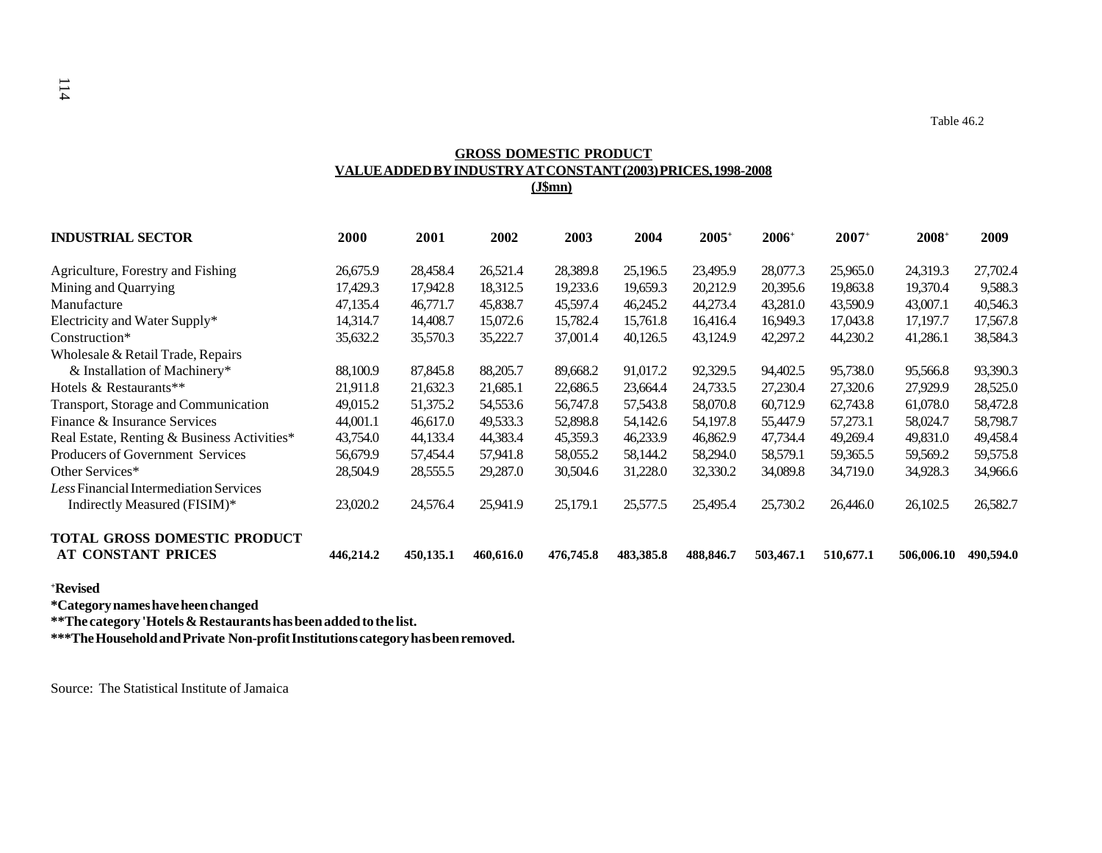# **GROSS DOMESTIC PRODUCT VALUE ADDED BY INDUSTRY AT CONSTANT (2003) PRICES, 1998-2008 (J\$mn)**

| <b>INDUSTRIAL SECTOR</b>                                  | 2000      | 2001      | 2002      | 2003      | 2004      | $2005+$   | $2006^{\circ}$ | $2007+$   | $2008^+$   | 2009      |
|-----------------------------------------------------------|-----------|-----------|-----------|-----------|-----------|-----------|----------------|-----------|------------|-----------|
| Agriculture, Forestry and Fishing                         | 26,675.9  | 28,458.4  | 26,521.4  | 28,389.8  | 25,196.5  | 23,495.9  | 28,077.3       | 25,965.0  | 24,319.3   | 27,702.4  |
| Mining and Quarrying                                      | 17,429.3  | 17.942.8  | 18,312.5  | 19,233.6  | 19,659.3  | 20,212.9  | 20,395.6       | 19,863.8  | 19.370.4   | 9,588.3   |
| Manufacture                                               | 47,135.4  | 46,771.7  | 45,838.7  | 45,597.4  | 46,245.2  | 44,273.4  | 43,281.0       | 43,590.9  | 43,007.1   | 40,546.3  |
| Electricity and Water Supply*                             | 14.314.7  | 14,408.7  | 15,072.6  | 15,782.4  | 15.761.8  | 16,416.4  | 16,949.3       | 17.043.8  | 17.197.7   | 17,567.8  |
| Construction*                                             | 35,632.2  | 35,570.3  | 35,222.7  | 37,001.4  | 40,126.5  | 43,124.9  | 42,297.2       | 44,230.2  | 41,286.1   | 38,584.3  |
| Wholesale & Retail Trade, Repairs                         |           |           |           |           |           |           |                |           |            |           |
| & Installation of Machinery*                              | 88,100.9  | 87,845.8  | 88,205.7  | 89,668.2  | 91,017.2  | 92,329.5  | 94,402.5       | 95,738.0  | 95,566.8   | 93,390.3  |
| Hotels & Restaurants**                                    | 21,911.8  | 21,632.3  | 21,685.1  | 22,686.5  | 23,664.4  | 24,733.5  | 27,230.4       | 27,320.6  | 27,929.9   | 28,525.0  |
| Transport, Storage and Communication                      | 49,015.2  | 51,375.2  | 54,553.6  | 56,747.8  | 57,543.8  | 58,070.8  | 60,712.9       | 62,743.8  | 61,078.0   | 58,472.8  |
| Finance & Insurance Services                              | 44,001.1  | 46,617.0  | 49,533.3  | 52,898.8  | 54,142.6  | 54,197.8  | 55,447.9       | 57,273.1  | 58,024.7   | 58,798.7  |
| Real Estate, Renting & Business Activities*               | 43,754.0  | 44,133.4  | 44,383.4  | 45,359.3  | 46,233.9  | 46,862.9  | 47,734.4       | 49,269.4  | 49,831.0   | 49,458.4  |
| Producers of Government Services                          | 56,679.9  | 57,454.4  | 57,941.8  | 58,055.2  | 58,144.2  | 58,294.0  | 58,579.1       | 59,365.5  | 59,569.2   | 59,575.8  |
| Other Services*                                           | 28,504.9  | 28,555.5  | 29,287.0  | 30,504.6  | 31,228.0  | 32,330.2  | 34,089.8       | 34,719.0  | 34,928.3   | 34,966.6  |
| Less Financial Intermediation Services                    |           |           |           |           |           |           |                |           |            |           |
| Indirectly Measured (FISIM)*                              | 23,020.2  | 24,576.4  | 25,941.9  | 25,179.1  | 25,577.5  | 25,495.4  | 25,730.2       | 26,446.0  | 26,102.5   | 26,582.7  |
| <b>TOTAL GROSS DOMESTIC PRODUCT</b><br>AT CONSTANT PRICES | 446,214.2 | 450,135.1 | 460,616.0 | 476,745.8 | 483,385.8 | 488,846.7 | 503,467.1      | 510,677.1 | 506,006.10 | 490,594.0 |

**+Revised**

**\*Category names have heen changed**

**\*\*The category 'Hotels & Restaurants has been added to the list.**

**\*\*\*The Household and Private Non-profit Institutions category has been removed.**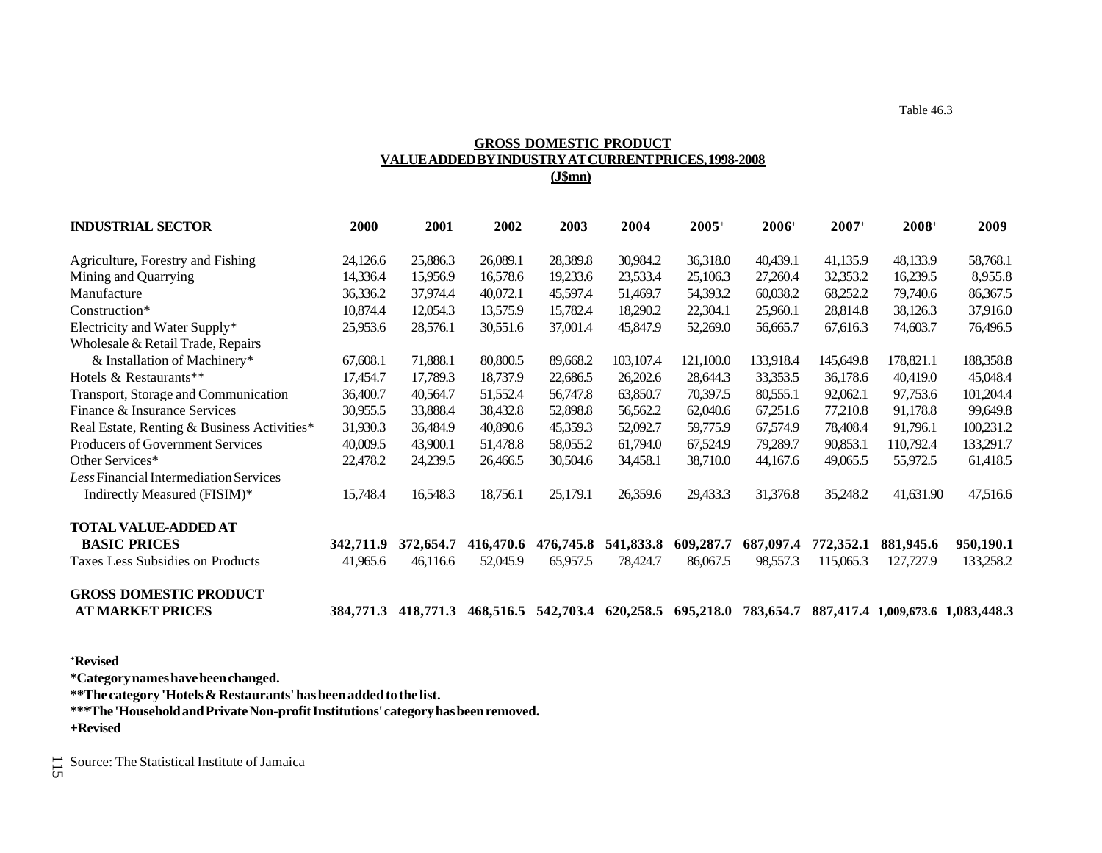# **GROSS DOMESTIC PRODUCT VALUE ADDED BY INDUSTRY AT CURRENT PRICES, 1998-2008 (J\$mn)**

| <b>INDUSTRIAL SECTOR</b>                    | <b>2000</b> | 2001      | 2002      | 2003      | 2004      | $2005+$             | $2006+$   | $2007+$   | $2008+$                           | 2009      |
|---------------------------------------------|-------------|-----------|-----------|-----------|-----------|---------------------|-----------|-----------|-----------------------------------|-----------|
| Agriculture, Forestry and Fishing           | 24,126.6    | 25,886.3  | 26,089.1  | 28,389.8  | 30,984.2  | 36,318.0            | 40,439.1  | 41,135.9  | 48,133.9                          | 58,768.1  |
| Mining and Quarrying                        | 14,336.4    | 15,956.9  | 16,578.6  | 19,233.6  | 23,533.4  | 25,106.3            | 27,260.4  | 32,353.2  | 16,239.5                          | 8,955.8   |
| Manufacture                                 | 36,336.2    | 37,974.4  | 40,072.1  | 45,597.4  | 51,469.7  | 54,393.2            | 60,038.2  | 68,252.2  | 79,740.6                          | 86,367.5  |
| Construction*                               | 10,874.4    | 12,054.3  | 13,575.9  | 15,782.4  | 18,290.2  | 22,304.1            | 25,960.1  | 28,814.8  | 38,126.3                          | 37,916.0  |
| Electricity and Water Supply*               | 25,953.6    | 28,576.1  | 30,551.6  | 37,001.4  | 45,847.9  | 52,269.0            | 56,665.7  | 67,616.3  | 74,603.7                          | 76,496.5  |
| Wholesale & Retail Trade, Repairs           |             |           |           |           |           |                     |           |           |                                   |           |
| & Installation of Machinery*                | 67,608.1    | 71,888.1  | 80,800.5  | 89,668.2  | 103,107.4 | 121,100.0           | 133,918.4 | 145,649.8 | 178,821.1                         | 188,358.8 |
| Hotels & Restaurants**                      | 17,454.7    | 17,789.3  | 18,737.9  | 22,686.5  | 26,202.6  | 28,644.3            | 33,353.5  | 36,178.6  | 40,419.0                          | 45,048.4  |
| Transport, Storage and Communication        | 36,400.7    | 40,564.7  | 51,552.4  | 56,747.8  | 63,850.7  | 70,397.5            | 80,555.1  | 92,062.1  | 97,753.6                          | 101,204.4 |
| Finance & Insurance Services                | 30,955.5    | 33,888.4  | 38,432.8  | 52,898.8  | 56,562.2  | 62,040.6            | 67,251.6  | 77,210.8  | 91,178.8                          | 99,649.8  |
| Real Estate, Renting & Business Activities* | 31,930.3    | 36,484.9  | 40,890.6  | 45,359.3  | 52,092.7  | 59,775.9            | 67,574.9  | 78,408.4  | 91,796.1                          | 100,231.2 |
| <b>Producers of Government Services</b>     | 40,009.5    | 43,900.1  | 51,478.8  | 58,055.2  | 61,794.0  | 67,524.9            | 79,289.7  | 90,853.1  | 110,792.4                         | 133,291.7 |
| Other Services*                             | 22,478.2    | 24,239.5  | 26,466.5  | 30,504.6  | 34,458.1  | 38,710.0            | 44,167.6  | 49,065.5  | 55,972.5                          | 61,418.5  |
| Less Financial Intermediation Services      |             |           |           |           |           |                     |           |           |                                   |           |
| Indirectly Measured (FISIM)*                | 15,748.4    | 16,548.3  | 18,756.1  | 25,179.1  | 26,359.6  | 29,433.3            | 31,376.8  | 35,248.2  | 41,631.90                         | 47,516.6  |
| <b>TOTAL VALUE-ADDED AT</b>                 |             |           |           |           |           |                     |           |           |                                   |           |
| <b>BASIC PRICES</b>                         | 342,711.9   | 372,654.7 | 416,470.6 | 476,745.8 | 541,833.8 | 609,287.7           | 687,097.4 | 772,352.1 | 881,945.6                         | 950,190.1 |
| Taxes Less Subsidies on Products            | 41,965.6    | 46,116.6  | 52,045.9  | 65,957.5  | 78,424.7  | 86,067.5            | 98,557.3  | 115,065.3 | 127,727.9                         | 133,258.2 |
| <b>GROSS DOMESTIC PRODUCT</b>               |             |           |           |           |           |                     |           |           |                                   |           |
| <b>AT MARKET PRICES</b>                     | 384,771.3   | 418,771.3 | 468,516.5 | 542,703.4 |           | 620,258.5 695,218.0 | 783,654.7 |           | 887,417.4 1,009,673.6 1,083,448.3 |           |

**+Revised**

**\*Category names have been changed.**

**\*\*The category 'Hotels & Restaurants' has been added to the list.**

**\*\*\*The 'Household and Private Non-profit Institutions' category has been removed. +Revised**

 $\frac{11}{50}$  Source: The Statistical Institute of Jamaica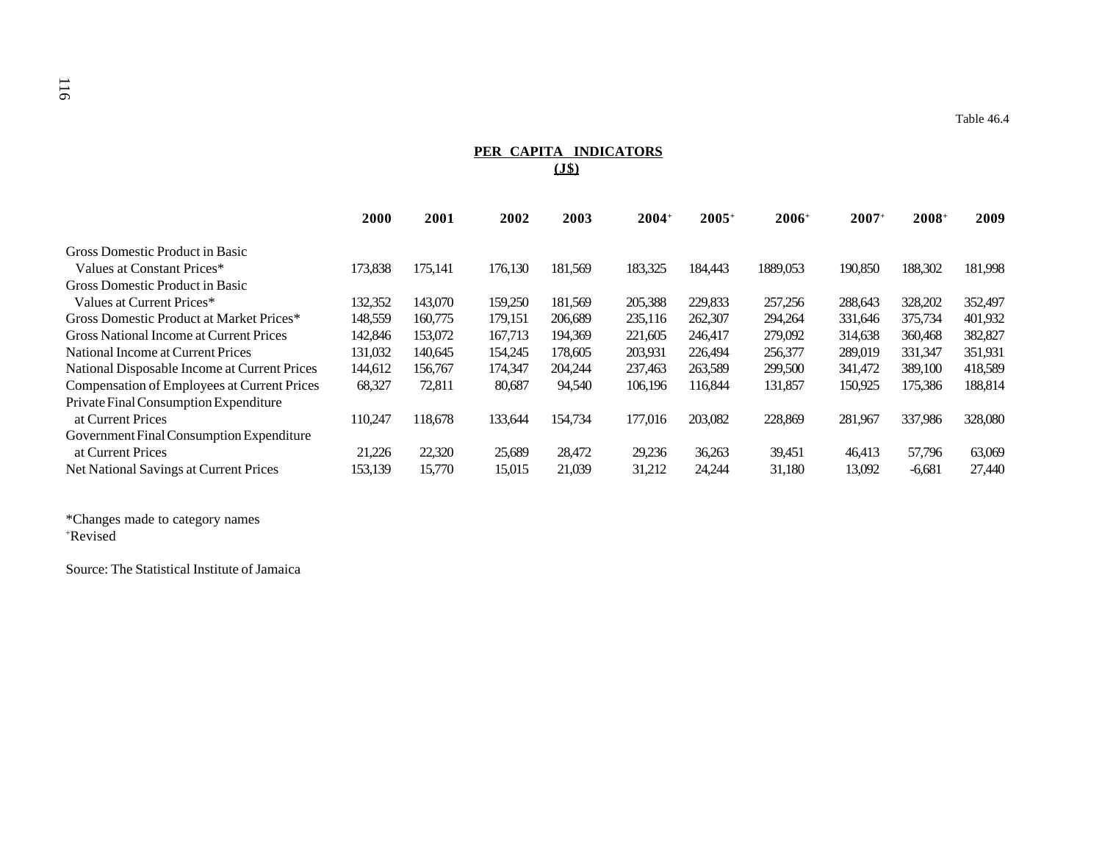# **PER CAPITA INDICATORS (J\$)**

| <b>2000</b> | 2001    | 2002    | 2003    | $2004+$ | $2005+$ | $2006+$  | $2007+$ | $2008+$  | 2009    |
|-------------|---------|---------|---------|---------|---------|----------|---------|----------|---------|
|             |         |         |         |         |         |          |         |          |         |
| 173,838     | 175,141 | 176,130 | 181,569 | 183,325 | 184,443 | 1889,053 | 190,850 | 188,302  | 181,998 |
|             |         |         |         |         |         |          |         |          |         |
| 132,352     | 143,070 | 159,250 | 181.569 | 205,388 | 229,833 | 257,256  | 288,643 | 328,202  | 352,497 |
| 148,559     | 160,775 | 179,151 | 206.689 | 235,116 | 262,307 | 294,264  | 331,646 | 375,734  | 401,932 |
| 142,846     | 153,072 | 167.713 | 194,369 | 221,605 | 246,417 | 279,092  | 314,638 | 360,468  | 382,827 |
| 131,032     | 140,645 | 154,245 | 178,605 | 203,931 | 226,494 | 256,377  | 289,019 | 331,347  | 351,931 |
| 144,612     | 156,767 | 174,347 | 204.244 | 237.463 | 263,589 | 299,500  | 341,472 | 389,100  | 418,589 |
| 68,327      | 72,811  | 80,687  | 94,540  | 106.196 | 116.844 | 131,857  | 150,925 | 175,386  | 188,814 |
|             |         |         |         |         |         |          |         |          |         |
| 110.247     | 118,678 | 133,644 | 154,734 | 177,016 | 203,082 | 228,869  | 281,967 | 337,986  | 328,080 |
|             |         |         |         |         |         |          |         |          |         |
|             |         |         |         |         |         |          |         |          | 63,069  |
| 153,139     | 15,770  | 15,015  | 21,039  | 31,212  | 24,244  | 31,180   | 13,092  | $-6,681$ | 27,440  |
|             | 21,226  | 22,320  | 25,689  | 28,472  | 29,236  | 36,263   | 39,451  | 46,413   | 57,796  |

\*Changes made to category names +Revised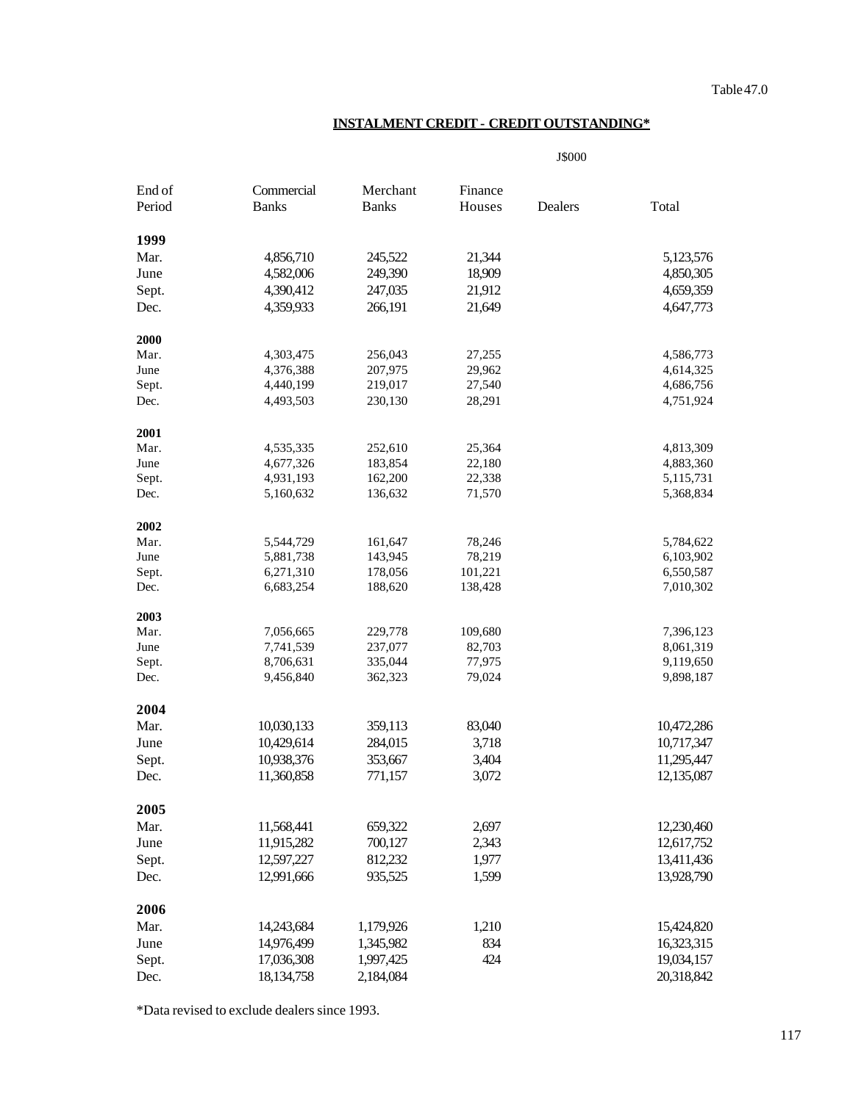# **INSTALMENT CREDIT - CREDIT OUTSTANDING\***

J\$000

| End of<br>Period | Commercial<br><b>Banks</b> | Merchant<br><b>Banks</b> | Finance<br>Houses | Dealers | Total      |
|------------------|----------------------------|--------------------------|-------------------|---------|------------|
|                  |                            |                          |                   |         |            |
| 1999             |                            |                          |                   |         |            |
| Mar.             | 4,856,710                  | 245,522                  | 21,344            |         | 5,123,576  |
| June             | 4,582,006                  | 249,390                  | 18,909            |         | 4,850,305  |
| Sept.            | 4,390,412                  | 247,035                  | 21,912            |         | 4,659,359  |
| Dec.             | 4,359,933                  | 266,191                  | 21,649            |         | 4,647,773  |
| 2000             |                            |                          |                   |         |            |
| Mar.             | 4,303,475                  | 256,043                  | 27,255            |         | 4,586,773  |
| June             | 4,376,388                  | 207,975                  | 29,962            |         | 4,614,325  |
| Sept.            | 4,440,199                  | 219,017                  | 27,540            |         | 4,686,756  |
| Dec.             | 4,493,503                  | 230,130                  | 28,291            |         | 4,751,924  |
| 2001             |                            |                          |                   |         |            |
| Mar.             | 4,535,335                  | 252,610                  | 25,364            |         | 4,813,309  |
| June             | 4,677,326                  | 183,854                  | 22,180            |         | 4,883,360  |
| Sept.            | 4,931,193                  | 162,200                  | 22,338            |         | 5,115,731  |
| Dec.             | 5,160,632                  | 136,632                  | 71,570            |         | 5,368,834  |
| 2002             |                            |                          |                   |         |            |
| Mar.             | 5,544,729                  | 161,647                  | 78,246            |         | 5,784,622  |
| June             | 5,881,738                  | 143,945                  | 78,219            |         | 6,103,902  |
| Sept.            | 6,271,310                  | 178,056                  | 101,221           |         | 6,550,587  |
| Dec.             | 6,683,254                  | 188,620                  | 138,428           |         | 7,010,302  |
| 2003             |                            |                          |                   |         |            |
| Mar.             | 7,056,665                  | 229,778                  | 109,680           |         | 7,396,123  |
| June             | 7,741,539                  | 237,077                  | 82,703            |         | 8,061,319  |
| Sept.            | 8,706,631                  | 335,044                  | 77,975            |         | 9,119,650  |
| Dec.             | 9,456,840                  | 362,323                  | 79,024            |         | 9,898,187  |
| 2004             |                            |                          |                   |         |            |
| Mar.             | 10,030,133                 | 359,113                  | 83,040            |         | 10,472,286 |
| June             | 10,429,614                 | 284,015                  | 3,718             |         | 10,717,347 |
| Sept.            | 10,938,376                 | 353,667                  | 3,404             |         | 11,295,447 |
| Dec.             | 11,360,858                 | 771,157                  | 3,072             |         | 12,135,087 |
| 2005             |                            |                          |                   |         |            |
| Mar.             | 11,568,441                 | 659,322                  | 2,697             |         | 12,230,460 |
| June             | 11,915,282                 | 700,127                  | 2,343             |         | 12,617,752 |
| Sept.            | 12,597,227                 | 812,232                  | 1,977             |         | 13,411,436 |
| Dec.             | 12,991,666                 | 935,525                  | 1,599             |         | 13,928,790 |
| 2006             |                            |                          |                   |         |            |
| Mar.             |                            |                          |                   |         | 15,424,820 |
|                  | 14,243,684                 | 1,179,926                | 1,210             |         |            |
| June             | 14,976,499                 | 1,345,982                | 834               |         | 16,323,315 |
| Sept.            | 17,036,308                 | 1,997,425                | 424               |         | 19,034,157 |
| Dec.             | 18, 134, 758               | 2,184,084                |                   |         | 20,318,842 |

\*Data revised to exclude dealers since 1993.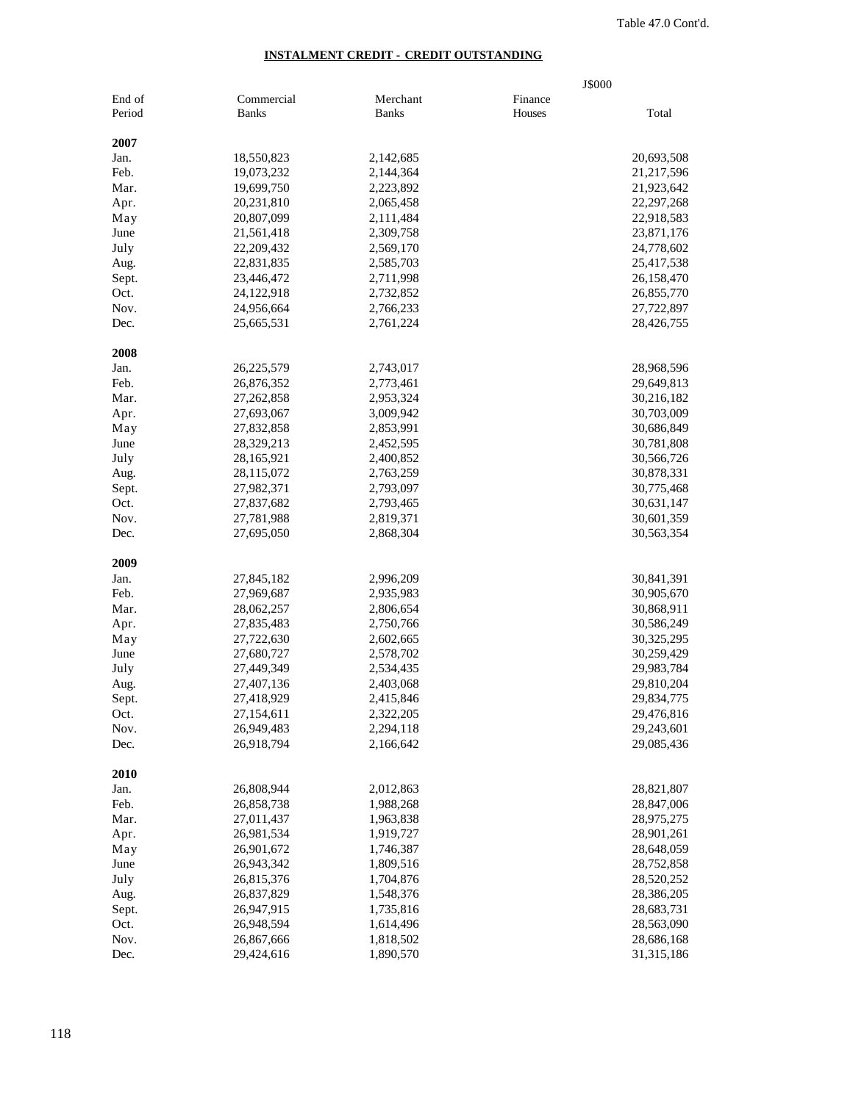## **INSTALMENT CREDIT - CREDIT OUTSTANDING**

|        |              |              | J\$000  |              |
|--------|--------------|--------------|---------|--------------|
| End of | Commercial   | Merchant     | Finance |              |
| Period | <b>Banks</b> | <b>Banks</b> | Houses  | Total        |
|        |              |              |         |              |
| 2007   |              |              |         |              |
| Jan.   | 18,550,823   | 2,142,685    |         | 20,693,508   |
| Feb.   | 19,073,232   | 2,144,364    |         | 21, 217, 596 |
| Mar.   | 19,699,750   | 2,223,892    |         | 21,923,642   |
| Apr.   | 20,231,810   | 2,065,458    |         | 22,297,268   |
| May    | 20,807,099   | 2,111,484    |         | 22,918,583   |
| June   | 21,561,418   | 2,309,758    |         | 23,871,176   |
| July   | 22, 209, 432 | 2,569,170    |         | 24,778,602   |
| Aug.   | 22,831,835   | 2,585,703    |         | 25,417,538   |
| Sept.  | 23,446,472   | 2,711,998    |         | 26,158,470   |
| Oct.   | 24,122,918   | 2,732,852    |         | 26,855,770   |
| Nov.   | 24,956,664   | 2,766,233    |         | 27,722,897   |
| Dec.   | 25,665,531   | 2,761,224    |         | 28,426,755   |
|        |              |              |         |              |
| 2008   |              |              |         |              |
| Jan.   | 26,225,579   | 2,743,017    |         |              |
|        |              |              |         | 28,968,596   |
| Feb.   | 26,876,352   | 2,773,461    |         | 29,649,813   |
| Mar.   | 27, 262, 858 | 2,953,324    |         | 30,216,182   |
| Apr.   | 27,693,067   | 3,009,942    |         | 30,703,009   |
| May    | 27,832,858   | 2,853,991    |         | 30,686,849   |
| June   | 28,329,213   | 2,452,595    |         | 30,781,808   |
| July   | 28,165,921   | 2,400,852    |         | 30,566,726   |
| Aug.   | 28,115,072   | 2,763,259    |         | 30,878,331   |
| Sept.  | 27,982,371   | 2,793,097    |         | 30,775,468   |
| Oct.   | 27,837,682   | 2,793,465    |         | 30,631,147   |
| Nov.   | 27,781,988   | 2,819,371    |         | 30,601,359   |
| Dec.   | 27,695,050   | 2,868,304    |         | 30,563,354   |
|        |              |              |         |              |
| 2009   |              |              |         |              |
| Jan.   | 27,845,182   | 2,996,209    |         | 30,841,391   |
| Feb.   | 27,969,687   | 2,935,983    |         | 30,905,670   |
| Mar.   | 28,062,257   | 2,806,654    |         | 30,868,911   |
| Apr.   | 27,835,483   | 2,750,766    |         | 30,586,249   |
| May    | 27,722,630   | 2,602,665    |         | 30,325,295   |
| June   | 27,680,727   | 2,578,702    |         | 30,259,429   |
| July   | 27,449,349   | 2,534,435    |         | 29,983,784   |
| Aug.   | 27,407,136   | 2,403,068    |         | 29,810,204   |
| Sept.  | 27,418,929   | 2,415,846    |         | 29,834,775   |
| Oct.   | 27,154,611   | 2,322,205    |         | 29,476,816   |
| Nov.   | 26,949,483   | 2,294,118    |         | 29,243,601   |
| Dec.   | 26,918,794   | 2,166,642    |         | 29,085,436   |
|        |              |              |         |              |
| 2010   |              |              |         |              |
| Jan.   | 26,808,944   | 2,012,863    |         | 28,821,807   |
|        |              |              |         |              |
| Feb.   | 26,858,738   | 1,988,268    |         | 28,847,006   |
| Mar.   | 27,011,437   | 1,963,838    |         | 28,975,275   |
| Apr.   | 26,981,534   | 1,919,727    |         | 28,901,261   |
| May    | 26,901,672   | 1,746,387    |         | 28,648,059   |
| June   | 26,943,342   | 1,809,516    |         | 28,752,858   |
| July   | 26,815,376   | 1,704,876    |         | 28,520,252   |
| Aug.   | 26,837,829   | 1,548,376    |         | 28,386,205   |
| Sept.  | 26,947,915   | 1,735,816    |         | 28,683,731   |
| Oct.   | 26,948,594   | 1,614,496    |         | 28,563,090   |
| Nov.   | 26,867,666   | 1,818,502    |         | 28,686,168   |
| Dec.   | 29,424,616   | 1,890,570    |         | 31,315,186   |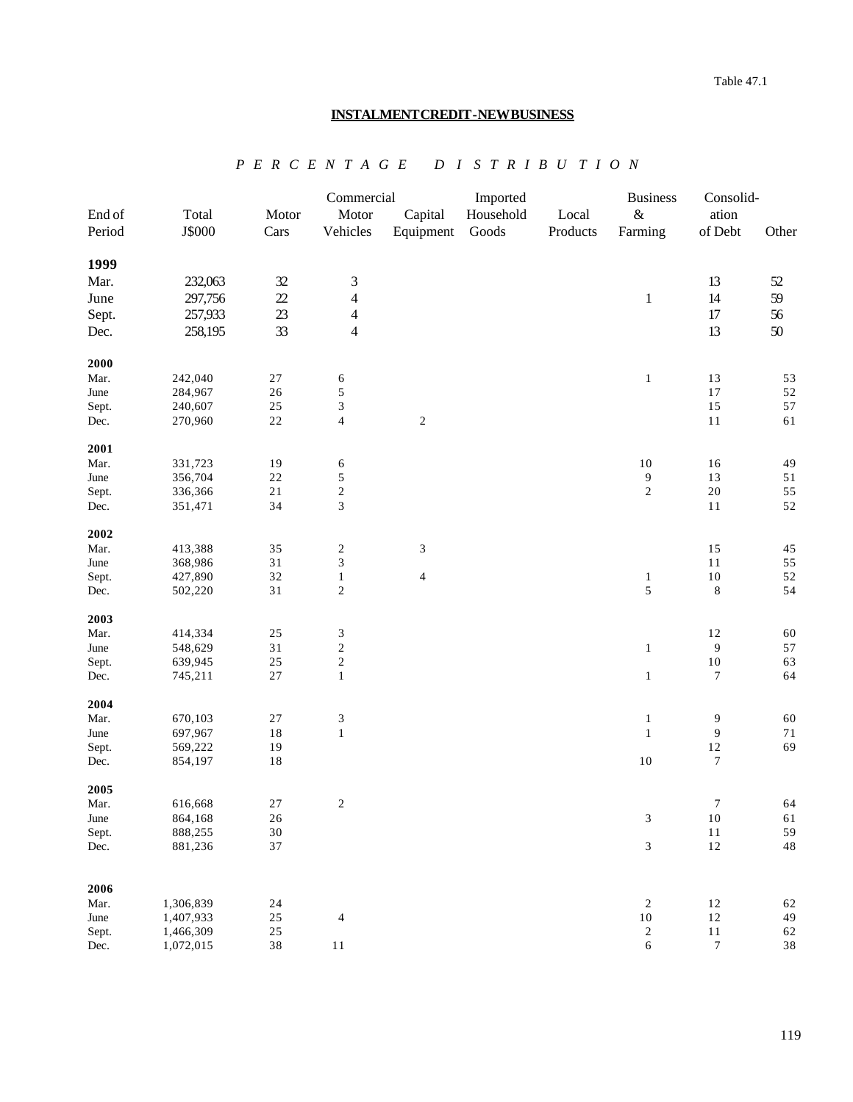# **INSTALMENT CREDIT - NEW BUSINESS**

|               |                        |                  | Commercial                                |                         | Imported  |          | <b>Business</b>                       | Consolid-                  |          |
|---------------|------------------------|------------------|-------------------------------------------|-------------------------|-----------|----------|---------------------------------------|----------------------------|----------|
| End of        | Total                  | Motor            | Motor                                     | Capital                 | Household | Local    | $\&$                                  | ation                      |          |
| Period        | J\$000                 | Cars             | Vehicles                                  | Equipment               | Goods     | Products | Farming                               | of Debt                    | Other    |
| 1999          |                        |                  |                                           |                         |           |          |                                       |                            |          |
| Mar.          | 232,063                | $32$             | $\ensuremath{\mathfrak{Z}}$               |                         |           |          |                                       | 13                         | 52       |
| June          | 297,756                | 22               | $\overline{4}$                            |                         |           |          | $\mathbf{1}$                          | 14                         | 59       |
| Sept.         | 257,933                | $23\,$           | $\overline{\mathbf{4}}$                   |                         |           |          |                                       | 17                         | 56       |
|               |                        |                  |                                           |                         |           |          |                                       |                            |          |
| Dec.          | 258,195                | 33               | $\overline{4}$                            |                         |           |          |                                       | 13                         | 50       |
| 2000          |                        |                  |                                           |                         |           |          |                                       |                            |          |
| Mar.          | 242,040                | $27\,$           | 6                                         |                         |           |          | $\,1$                                 | 13                         | 53       |
| June          | 284,967                | $26\,$           | 5                                         |                         |           |          |                                       | $17$                       | 52       |
| Sept.         | 240,607                | $25\,$           | 3                                         |                         |           |          |                                       | 15                         | 57       |
| Dec.          | 270,960                | $2\sqrt{2}$      | $\overline{4}$                            | $\sqrt{2}$              |           |          |                                       | $11\,$                     | 61       |
| 2001          |                        |                  |                                           |                         |           |          |                                       |                            |          |
| Mar.          | 331,723                | 19               | 6                                         |                         |           |          | $10\,$                                | 16                         | 49       |
| June          | 356,704                | $2\sqrt{2}$      | 5                                         |                         |           |          | 9<br>$\overline{c}$                   | 13                         | 51       |
| Sept.         | 336,366                | $2\sqrt{1}$      | $\overline{\mathbf{c}}$<br>$\overline{3}$ |                         |           |          |                                       | $20\,$                     | 55       |
| Dec.          | 351,471                | 34               |                                           |                         |           |          |                                       | 11                         | 52       |
| 2002          |                        |                  |                                           |                         |           |          |                                       |                            |          |
| Mar.          | 413,388                | 35<br>31         | $\boldsymbol{2}$                          | $\mathfrak{Z}$          |           |          |                                       | 15                         | 45       |
| June          | 368,986<br>427,890     | 32               | $\mathfrak{Z}$                            | $\overline{\mathbf{4}}$ |           |          |                                       | 11<br>$10\,$               | 55<br>52 |
| Sept.         |                        | 31               | $\mathbf{1}$<br>$\boldsymbol{2}$          |                         |           |          | $\,1$<br>5                            | $\,8\,$                    | 54       |
| Dec.          | 502,220                |                  |                                           |                         |           |          |                                       |                            |          |
| 2003          |                        |                  |                                           |                         |           |          |                                       |                            |          |
| Mar.          | 414,334                | $25\,$           | 3<br>$\sqrt{2}$                           |                         |           |          |                                       | 12                         | 60<br>57 |
| June<br>Sept. | 548,629<br>639,945     | 31<br>25         | $\boldsymbol{2}$                          |                         |           |          | $\mathbf{1}$                          | $\boldsymbol{9}$<br>$10\,$ | 63       |
|               |                        | $27\,$           | $\,1$                                     |                         |           |          | $\,1$                                 | 7                          | 64       |
| Dec.          | 745,211                |                  |                                           |                         |           |          |                                       |                            |          |
| 2004          |                        |                  |                                           |                         |           |          |                                       |                            |          |
| Mar.          | 670,103                | $27\,$           | 3                                         |                         |           |          | $\mathbf{1}$                          | 9                          | 60       |
| June          | 697,967                | $1\,8$           | $\mathbf{1}$                              |                         |           |          | $\mathbf{1}$                          | 9                          | 71       |
| Sept.         | 569,222                | 19               |                                           |                         |           |          |                                       | $12\,$                     | 69       |
| Dec.          | 854,197                | $1\,8$           |                                           |                         |           |          | $10\,$                                | $\tau$                     |          |
| 2005          |                        |                  |                                           |                         |           |          |                                       |                            |          |
| Mar.          | 616,668                | 27               | $\overline{\mathbf{c}}$                   |                         |           |          |                                       | $\boldsymbol{7}$           | 64       |
| June          | 864,168                | $26\,$           |                                           |                         |           |          | $\mathfrak{Z}$                        | $10\,$                     | 61       |
| Sept.         | 888,255                | $30\,$           |                                           |                         |           |          |                                       | $1\,1$                     | 59       |
| Dec.          | 881,236                | 37               |                                           |                         |           |          | $\mathfrak{Z}$                        | $12\,$                     | 48       |
|               |                        |                  |                                           |                         |           |          |                                       |                            |          |
| 2006          |                        |                  |                                           |                         |           |          |                                       |                            |          |
| Mar.<br>June  | 1,306,839              | $24\,$           |                                           |                         |           |          | $\overline{\mathbf{c}}$               | 12                         | 62       |
|               | 1,407,933<br>1,466,309 | $25\,$<br>$25\,$ | $\overline{4}$                            |                         |           |          | $10\,$                                | 12<br>$11\,$               | 49<br>62 |
| Sept.<br>Dec. | 1,072,015              | $3\,8$           | $11\,$                                    |                         |           |          | $\overline{\mathbf{c}}$<br>$\epsilon$ | $\boldsymbol{7}$           | 38       |
|               |                        |                  |                                           |                         |           |          |                                       |                            |          |

 *P E R C E N T A G E D I S T R I B U T I O N*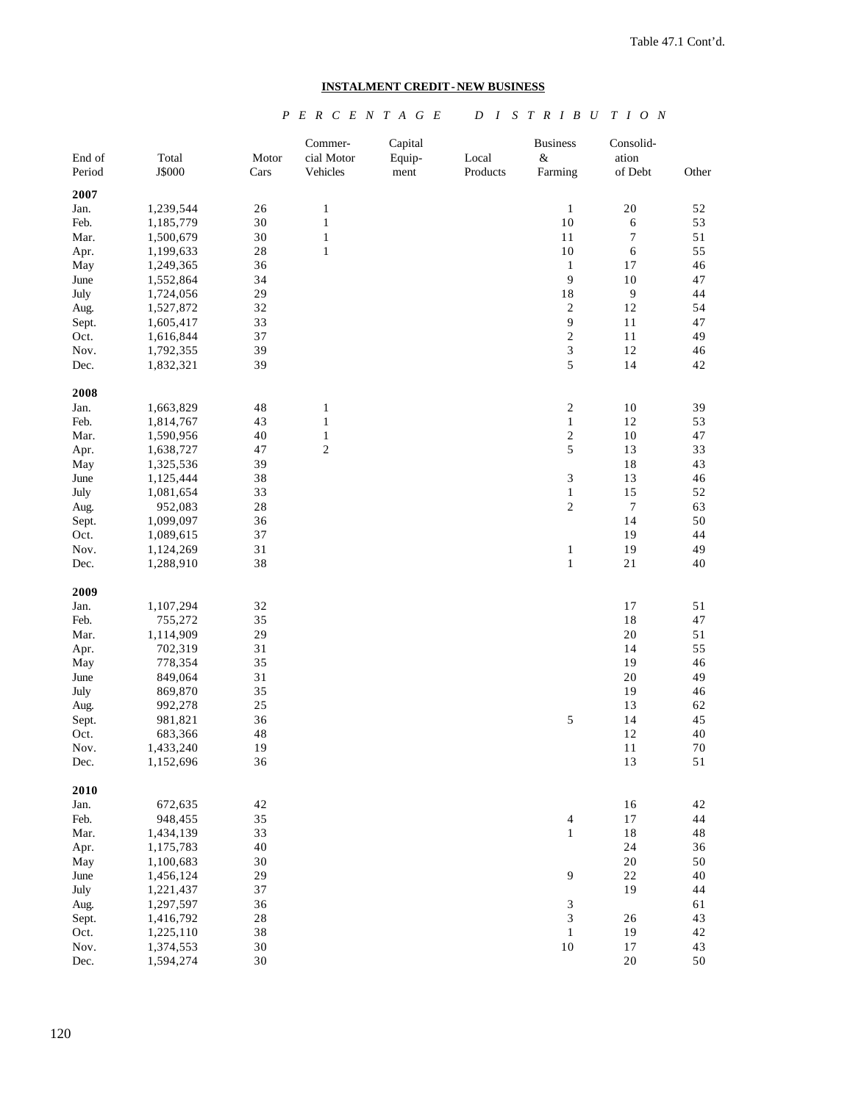# **INSTALMENT CREDIT - NEW BUSINESS**

# *P E R C E N T A G E D I S T R I B U T I O N*

| End of<br>Period | Total<br>J\$000        | Motor<br>Cars | Commer-<br>cial Motor<br>Vehicles | Capital<br>Equip- | Local<br>Products | <b>Business</b><br>$\&$ | Consolid-<br>ation<br>of Debt | Other        |
|------------------|------------------------|---------------|-----------------------------------|-------------------|-------------------|-------------------------|-------------------------------|--------------|
|                  |                        |               |                                   | ment              |                   | Farming                 |                               |              |
| 2007             |                        |               |                                   |                   |                   |                         | 20                            |              |
| Jan.<br>Feb.     | 1,239,544              | 26<br>30      | $\mathbf{1}$<br>$\,1\,$           |                   |                   | $\,1\,$<br>10           |                               | $52\,$<br>53 |
| Mar.             | 1,185,779              | 30            | $\,1\,$                           |                   |                   | 11                      | $\sqrt{6}$<br>7               | $5\sqrt{1}$  |
|                  | 1,500,679<br>1,199,633 | 28            | $\,1\,$                           |                   |                   | $10\,$                  | $\sqrt{6}$                    | 55           |
| Apr.<br>May      | 1,249,365              | 36            |                                   |                   |                   | $\mathbf{1}$            | 17                            | 46           |
| June             | 1,552,864              | 34            |                                   |                   |                   | 9                       | 10                            | 47           |
| July             | 1,724,056              | 29            |                                   |                   |                   | $1\,8$                  | $\mathbf{9}$                  | 44           |
| Aug.             | 1,527,872              | 32            |                                   |                   |                   | $\sqrt{2}$              | $12\,$                        | 54           |
| Sept.            | 1,605,417              | 33            |                                   |                   |                   | 9                       | 11                            | 47           |
| Oct.             | 1,616,844              | 37            |                                   |                   |                   | $\sqrt{2}$              | 11                            | 49           |
| Nov.             | 1,792,355              | 39            |                                   |                   |                   | $\overline{\mathbf{3}}$ | $12\,$                        | 46           |
| Dec.             | 1,832,321              | 39            |                                   |                   |                   | 5                       | 14                            | 42           |
| 2008             |                        |               |                                   |                   |                   |                         |                               |              |
| Jan.             | 1,663,829              | $4\,$         | $\mathbf{1}$                      |                   |                   | $\sqrt{2}$              | $10\,$                        | 39           |
| Feb.             | 1,814,767              | 43            | $\mathbf{1}$                      |                   |                   | $\mathbf{1}$            | 12                            | 53           |
| Mar.             | 1,590,956              | 40            | $\,1\,$                           |                   |                   | $\sqrt{2}$              | 10                            | 47           |
| Apr.             | 1,638,727              | 47            | $\overline{c}$                    |                   |                   | 5                       | 13                            | 33           |
| May              | 1,325,536              | 39            |                                   |                   |                   |                         | 18                            | 43           |
| June             | 1,125,444              | $3\,8$        |                                   |                   |                   | 3                       | 13                            | 46           |
| July             | 1,081,654              | 33            |                                   |                   |                   | $\,1$                   | 15                            | 52           |
| Aug.             | 952,083                | 28            |                                   |                   |                   | 2                       | $\boldsymbol{7}$              | 63           |
| Sept.            | 1,099,097              | 36            |                                   |                   |                   |                         | 14                            | 50           |
| Oct.             | 1,089,615              | 37            |                                   |                   |                   |                         | 19                            | 44           |
| Nov.             | 1,124,269              | 31            |                                   |                   |                   | $\mathbf{1}$            | 19                            | 49           |
| Dec.             | 1,288,910              | 38            |                                   |                   |                   | $\mathbf{1}$            | $2\sqrt{1}$                   | 40           |
| 2009             |                        |               |                                   |                   |                   |                         |                               |              |
| Jan.             | 1,107,294              | 32            |                                   |                   |                   |                         | $17\,$                        | $5\sqrt{1}$  |
| Feb.             | 755,272                | 35            |                                   |                   |                   |                         | $1\,8$                        | 47           |
| Mar.             | 1,114,909              | 29            |                                   |                   |                   |                         | $20\,$                        | 51           |
| Apr.             | 702,319                | 31            |                                   |                   |                   |                         | 14                            | 55           |
| May              | 778,354                | 35            |                                   |                   |                   |                         | 19                            | 46           |
| June             | 849,064                | 31            |                                   |                   |                   |                         | 20                            | 49           |
| July             | 869,870                | 35            |                                   |                   |                   |                         | 19                            | 46           |
| Aug.             | 992,278                | $25\,$        |                                   |                   |                   |                         | 13                            | 62           |
| Sept.            | 981,821                | 36            |                                   |                   |                   | 5                       | 14                            | 45           |
| Oct.             | 683,366                | 48            |                                   |                   |                   |                         | 12                            | $40\,$       |
| Nov.             | 1,433,240              | 19            |                                   |                   |                   |                         | 11                            | 70           |
| Dec.             | 1,152,696              | 36            |                                   |                   |                   |                         | 13                            | 51           |
| 2010             |                        |               |                                   |                   |                   |                         |                               |              |
| Jan.             | 672,635                | $42\,$        |                                   |                   |                   |                         | $16$                          | 42           |
| Feb.             | 948,455                | 35            |                                   |                   |                   | $\overline{4}$          | $17\,$                        | 44           |
| Mar.             | 1,434,139              | 33            |                                   |                   |                   | $\mathbf{1}$            | $1\,8$                        | 48           |
| Apr.             | 1,175,783              | 40            |                                   |                   |                   |                         | 24                            | 36           |
| May              | 1,100,683              | 30            |                                   |                   |                   |                         | 20                            | 50           |
| June             | 1,456,124              | 29            |                                   |                   |                   | 9                       | 22                            | 40           |
| July             | 1,221,437              | 37            |                                   |                   |                   |                         | 19                            | 44           |
| Aug.             | 1,297,597              | 36            |                                   |                   |                   | 3                       |                               | 61           |
| Sept.            | 1,416,792              | 28            |                                   |                   |                   | 3                       | $26\,$                        | 43           |
| Oct.             | 1,225,110              | 38            |                                   |                   |                   | $\mathbf{1}$            | 19                            | 42           |
| Nov.             | 1,374,553              | 30            |                                   |                   |                   | $10\,$                  | 17                            | 43           |
| Dec.             | 1,594,274              | 30            |                                   |                   |                   |                         | $20\,$                        | 50           |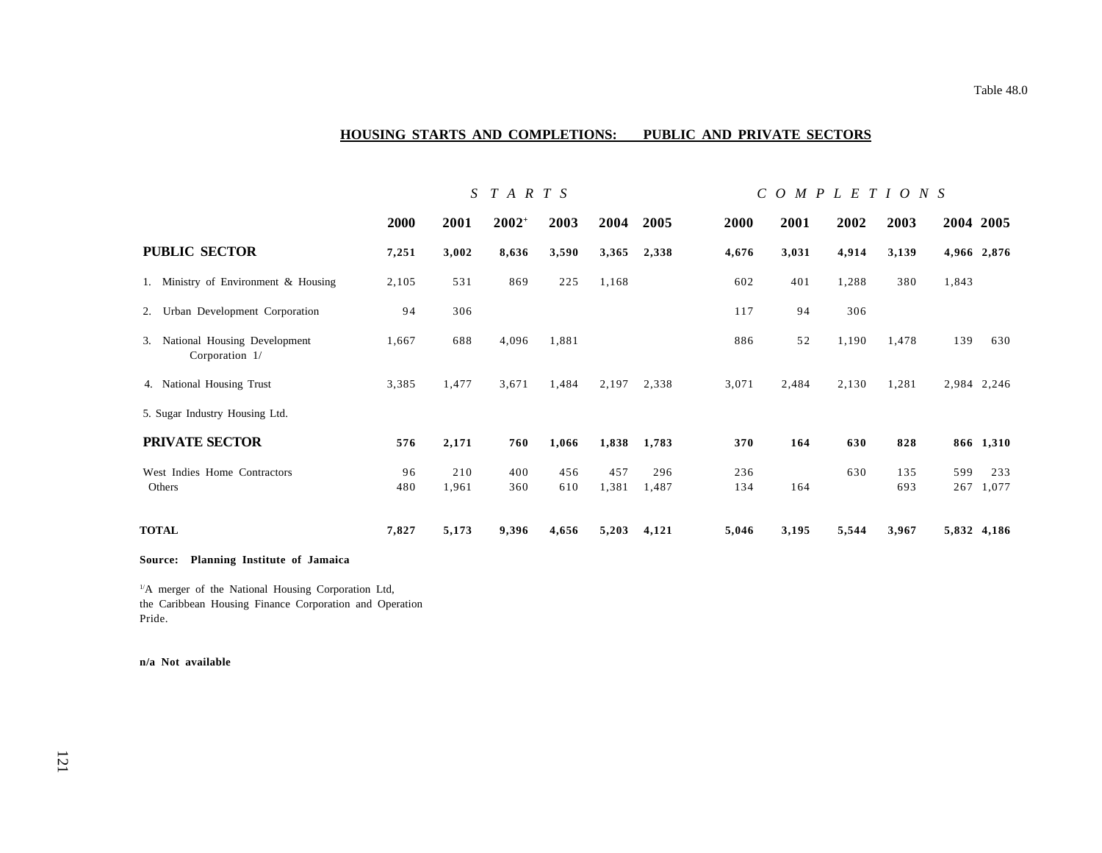## **HOUSING STARTS AND COMPLETIONS: PUBLIC AND PRIVATE SECTORS**

|                                                   |             | $S$ $T$ $A$ $R$ $T$ $S$ |            |            |              |              | $C$ O M P L E T I O N S |       |       |            |            |              |
|---------------------------------------------------|-------------|-------------------------|------------|------------|--------------|--------------|-------------------------|-------|-------|------------|------------|--------------|
|                                                   | <b>2000</b> | 2001                    | $2002+$    | 2003       | 2004         | 2005         | <b>2000</b>             | 2001  | 2002  | 2003       | 2004 2005  |              |
| <b>PUBLIC SECTOR</b>                              | 7,251       | 3,002                   | 8,636      | 3,590      | 3,365        | 2,338        | 4,676                   | 3,031 | 4,914 | 3,139      |            | 4,966 2,876  |
| 1. Ministry of Environment & Housing              | 2,105       | 531                     | 869        | 225        | 1,168        |              | 602                     | 401   | 1,288 | 380        | 1,843      |              |
| 2. Urban Development Corporation                  | 94          | 306                     |            |            |              |              | 117                     | 94    | 306   |            |            |              |
| 3. National Housing Development<br>Corporation 1/ | 1,667       | 688                     | 4,096      | 1,881      |              |              | 886                     | 52    | 1,190 | 1,478      | 139        | 630          |
| 4. National Housing Trust                         | 3,385       | 1,477                   | 3,671      | 1,484      | 2,197        | 2,338        | 3,071                   | 2,484 | 2,130 | 1,281      |            | 2,984 2,246  |
| 5. Sugar Industry Housing Ltd.                    |             |                         |            |            |              |              |                         |       |       |            |            |              |
| PRIVATE SECTOR                                    | 576         | 2,171                   | 760        | 1,066      | 1,838        | 1,783        | 370                     | 164   | 630   | 828        |            | 866 1,310    |
| West Indies Home Contractors<br>Others            | 96<br>480   | 210<br>1,961            | 400<br>360 | 456<br>610 | 457<br>1,381 | 296<br>1,487 | 236<br>134              | 164   | 630   | 135<br>693 | 599<br>267 | 233<br>1,077 |
| <b>TOTAL</b>                                      | 7,827       | 5,173                   | 9,396      | 4,656      | 5,203        | 4,121        | 5,046                   | 3,195 | 5,544 | 3,967      |            | 5,832 4,186  |

#### **Source: Planning Institute of Jamaica**

<sup>1/</sup>A merger of the National Housing Corporation Ltd, the Caribbean Housing Finance Corporation and Operation Pride.

#### **n/a Not available**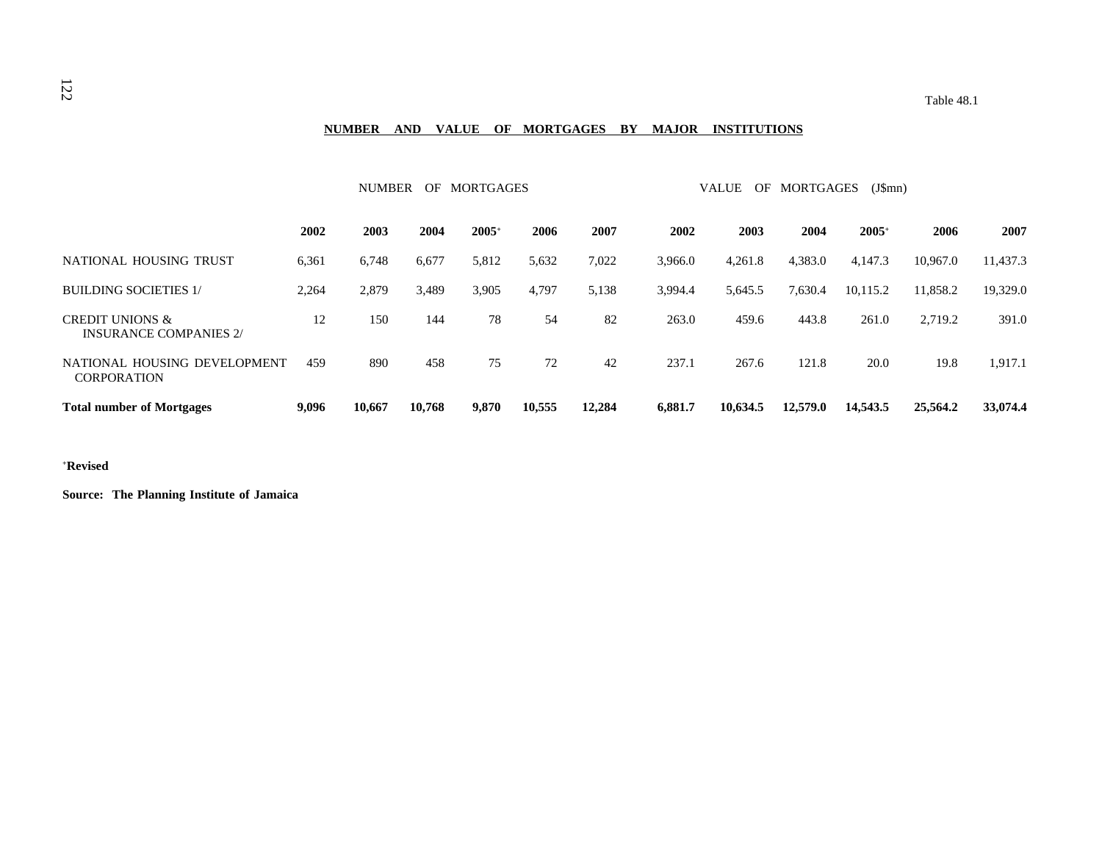# **NUMBER AND VALUE OF MORTGAGES BY MAJOR INSTITUTIONS**

|                                                             |       | <b>NUMBER</b> | OF     | MORTGAGES      |        |        | VALUE<br><b>MORTGAGES</b><br>OF<br>$(J\$ {Smn}) |          |          |                |          |          |
|-------------------------------------------------------------|-------|---------------|--------|----------------|--------|--------|-------------------------------------------------|----------|----------|----------------|----------|----------|
|                                                             | 2002  | 2003          | 2004   | $2005^{\circ}$ | 2006   | 2007   | 2002                                            | 2003     | 2004     | $2005^{\circ}$ | 2006     | 2007     |
| NATIONAL HOUSING TRUST                                      | 6,361 | 6,748         | 6,677  | 5,812          | 5,632  | 7,022  | 3,966.0                                         | 4,261.8  | 4,383.0  | 4,147.3        | 10,967.0 | 11,437.3 |
| <b>BUILDING SOCIETIES 1/</b>                                | 2,264 | 2,879         | 3,489  | 3,905          | 4,797  | 5,138  | 3,994.4                                         | 5,645.5  | 7,630.4  | 10,115.2       | 11,858.2 | 19,329.0 |
| <b>CREDIT UNIONS &amp;</b><br><b>INSURANCE COMPANIES 2/</b> | 12    | 150           | 144    | 78             | 54     | 82     | 263.0                                           | 459.6    | 443.8    | 261.0          | 2,719.2  | 391.0    |
| NATIONAL HOUSING DEVELOPMENT<br><b>CORPORATION</b>          | 459   | 890           | 458    | 75             | 72     | 42     | 237.1                                           | 267.6    | 121.8    | 20.0           | 19.8     | 1,917.1  |
| <b>Total number of Mortgages</b>                            | 9,096 | 10,667        | 10,768 | 9,870          | 10,555 | 12,284 | 6,881.7                                         | 10,634.5 | 12,579.0 | 14,543.5       | 25,564.2 | 33,074.4 |

# **+Revised**

**Source: The Planning Institute of Jamaica**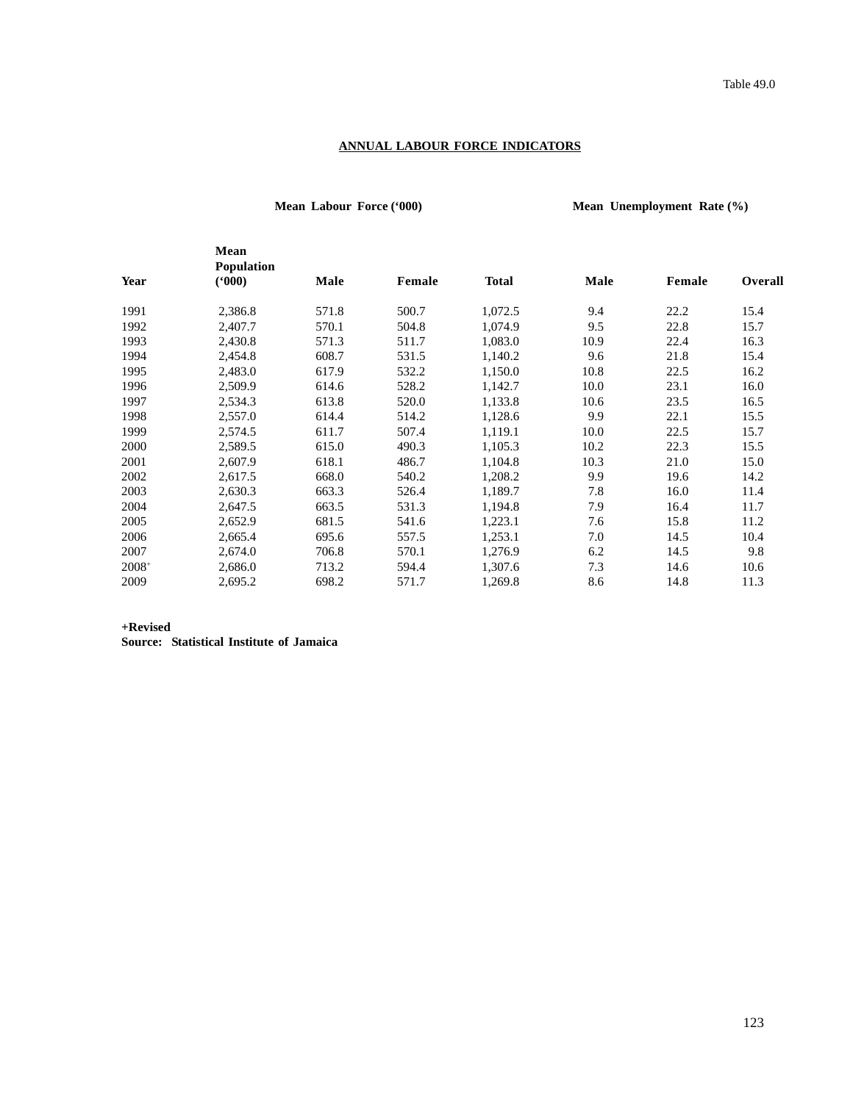# **ANNUAL LABOUR FORCE INDICATORS**

**Mean Labour Force ('000) Mean Unemployment Rate (%)**

|         | Mean<br><b>Population</b> |       |        |              |      |        |                |
|---------|---------------------------|-------|--------|--------------|------|--------|----------------|
| Year    | (900)                     | Male  | Female | <b>Total</b> | Male | Female | <b>Overall</b> |
| 1991    | 2,386.8                   | 571.8 | 500.7  | 1,072.5      | 9.4  | 22.2   | 15.4           |
| 1992    | 2,407.7                   | 570.1 | 504.8  | 1,074.9      | 9.5  | 22.8   | 15.7           |
| 1993    | 2,430.8                   | 571.3 | 511.7  | 1,083.0      | 10.9 | 22.4   | 16.3           |
| 1994    | 2,454.8                   | 608.7 | 531.5  | 1,140.2      | 9.6  | 21.8   | 15.4           |
| 1995    | 2,483.0                   | 617.9 | 532.2  | 1,150.0      | 10.8 | 22.5   | 16.2           |
| 1996    | 2,509.9                   | 614.6 | 528.2  | 1,142.7      | 10.0 | 23.1   | 16.0           |
| 1997    | 2,534.3                   | 613.8 | 520.0  | 1,133.8      | 10.6 | 23.5   | 16.5           |
| 1998    | 2,557.0                   | 614.4 | 514.2  | 1,128.6      | 9.9  | 22.1   | 15.5           |
| 1999    | 2,574.5                   | 611.7 | 507.4  | 1,119.1      | 10.0 | 22.5   | 15.7           |
| 2000    | 2,589.5                   | 615.0 | 490.3  | 1,105.3      | 10.2 | 22.3   | 15.5           |
| 2001    | 2,607.9                   | 618.1 | 486.7  | 1,104.8      | 10.3 | 21.0   | 15.0           |
| 2002    | 2,617.5                   | 668.0 | 540.2  | 1,208.2      | 9.9  | 19.6   | 14.2           |
| 2003    | 2,630.3                   | 663.3 | 526.4  | 1,189.7      | 7.8  | 16.0   | 11.4           |
| 2004    | 2,647.5                   | 663.5 | 531.3  | 1,194.8      | 7.9  | 16.4   | 11.7           |
| 2005    | 2,652.9                   | 681.5 | 541.6  | 1,223.1      | 7.6  | 15.8   | 11.2           |
| 2006    | 2,665.4                   | 695.6 | 557.5  | 1,253.1      | 7.0  | 14.5   | 10.4           |
| 2007    | 2,674.0                   | 706.8 | 570.1  | 1,276.9      | 6.2  | 14.5   | 9.8            |
| $2008+$ | 2,686.0                   | 713.2 | 594.4  | 1,307.6      | 7.3  | 14.6   | 10.6           |
| 2009    | 2,695.2                   | 698.2 | 571.7  | 1,269.8      | 8.6  | 14.8   | 11.3           |

**+Revised**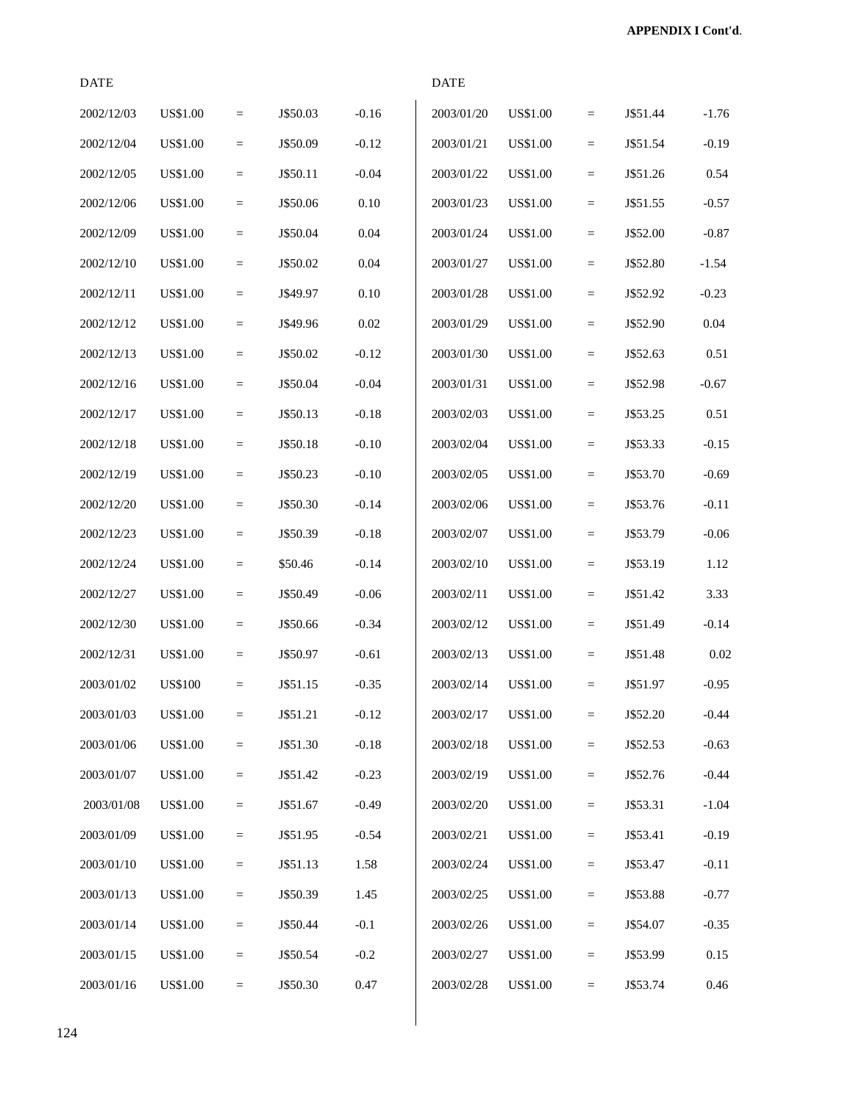| <b>DATE</b> |                 |                   |          |         | <b>DATE</b> |                 |                   |          |         |
|-------------|-----------------|-------------------|----------|---------|-------------|-----------------|-------------------|----------|---------|
| 2002/12/03  | <b>US\$1.00</b> | $\equiv$          | J\$50.03 | $-0.16$ | 2003/01/20  | <b>US\$1.00</b> | $\qquad \qquad =$ | J\$51.44 | $-1.76$ |
| 2002/12/04  | <b>US\$1.00</b> | $\quad =$         | J\$50.09 | $-0.12$ | 2003/01/21  | <b>US\$1.00</b> | $\qquad \qquad =$ | J\$51.54 | $-0.19$ |
| 2002/12/05  | <b>US\$1.00</b> | $\quad \  \  =$   | J\$50.11 | $-0.04$ | 2003/01/22  | <b>US\$1.00</b> | $=$               | J\$51.26 | 0.54    |
| 2002/12/06  | <b>US\$1.00</b> | $\equiv$          | J\$50.06 | 0.10    | 2003/01/23  | <b>US\$1.00</b> | $\qquad \qquad =$ | J\$51.55 | $-0.57$ |
| 2002/12/09  | <b>US\$1.00</b> | $\quad \  \  =$   | J\$50.04 | 0.04    | 2003/01/24  | <b>US\$1.00</b> | $\equiv$          | J\$52.00 | $-0.87$ |
| 2002/12/10  | <b>US\$1.00</b> | $\quad \  \  =$   | J\$50.02 | 0.04    | 2003/01/27  | <b>US\$1.00</b> | $\qquad \qquad =$ | J\$52.80 | $-1.54$ |
| 2002/12/11  | <b>US\$1.00</b> | $\qquad \qquad =$ | J\$49.97 | 0.10    | 2003/01/28  | <b>US\$1.00</b> | $\qquad \qquad =$ | J\$52.92 | $-0.23$ |
| 2002/12/12  | <b>US\$1.00</b> | $\equiv$          | J\$49.96 | 0.02    | 2003/01/29  | <b>US\$1.00</b> | $=$               | J\$52.90 | 0.04    |
| 2002/12/13  | <b>US\$1.00</b> | $\equiv$          | J\$50.02 | $-0.12$ | 2003/01/30  | <b>US\$1.00</b> | $\qquad \qquad =$ | J\$52.63 | 0.51    |
| 2002/12/16  | <b>US\$1.00</b> | $\equiv$          | J\$50.04 | $-0.04$ | 2003/01/31  | <b>US\$1.00</b> | $\equiv$          | J\$52.98 | $-0.67$ |
| 2002/12/17  | <b>US\$1.00</b> | $\quad =$         | J\$50.13 | $-0.18$ | 2003/02/03  | <b>US\$1.00</b> | $\qquad \qquad =$ | J\$53.25 | 0.51    |
| 2002/12/18  | <b>US\$1.00</b> | $\quad =$         | J\$50.18 | $-0.10$ | 2003/02/04  | <b>US\$1.00</b> | $\qquad \qquad =$ | J\$53.33 | $-0.15$ |
| 2002/12/19  | <b>US\$1.00</b> | $\equiv$          | J\$50.23 | $-0.10$ | 2003/02/05  | <b>US\$1.00</b> | $=$               | J\$53.70 | $-0.69$ |
| 2002/12/20  | <b>US\$1.00</b> | $\equiv$          | J\$50.30 | $-0.14$ | 2003/02/06  | US\$1.00        | $\qquad \qquad =$ | J\$53.76 | $-0.11$ |
| 2002/12/23  | <b>US\$1.00</b> | $\quad \  \  =$   | J\$50.39 | $-0.18$ | 2003/02/07  | <b>US\$1.00</b> | $\equiv$          | J\$53.79 | $-0.06$ |
| 2002/12/24  | <b>US\$1.00</b> | $\quad \  \  =$   | \$50.46  | $-0.14$ | 2003/02/10  | <b>US\$1.00</b> | $=$               | J\$53.19 | 1.12    |
| 2002/12/27  | <b>US\$1.00</b> | $\equiv$          | J\$50.49 | $-0.06$ | 2003/02/11  | US\$1.00        | $\qquad \qquad =$ | J\$51.42 | 3.33    |
| 2002/12/30  | <b>US\$1.00</b> | $\equiv$          | J\$50.66 | $-0.34$ | 2003/02/12  | <b>US\$1.00</b> | $=$               | J\$51.49 | $-0.14$ |
| 2002/12/31  | <b>US\$1.00</b> | $\qquad \qquad =$ | J\$50.97 | $-0.61$ | 2003/02/13  | US\$1.00        | $\qquad \qquad =$ | J\$51.48 | 0.02    |
| 2003/01/02  | <b>US\$100</b>  | $=$               | J\$51.15 | $-0.35$ | 2003/02/14  | <b>US\$1.00</b> | $\qquad \qquad =$ | J\$51.97 | $-0.95$ |
| 2003/01/03  | <b>US\$1.00</b> | $\quad \  \  =$   | J\$51.21 | $-0.12$ | 2003/02/17  | <b>US\$1.00</b> | $\qquad \qquad =$ | J\$52.20 | $-0.44$ |
| 2003/01/06  | <b>US\$1.00</b> | $\quad \  \  =$   | J\$51.30 | $-0.18$ | 2003/02/18  | <b>US\$1.00</b> | $\quad =$         | J\$52.53 | $-0.63$ |
| 2003/01/07  | <b>US\$1.00</b> | $\quad \  \  =$   | J\$51.42 | $-0.23$ | 2003/02/19  | US\$1.00        | $\equiv$          | J\$52.76 | $-0.44$ |
| 2003/01/08  | <b>US\$1.00</b> | $\quad \  \  =$   | J\$51.67 | $-0.49$ | 2003/02/20  | <b>US\$1.00</b> | $\quad \  \  =$   | J\$53.31 | $-1.04$ |
| 2003/01/09  | <b>US\$1.00</b> | $\quad \  \  =$   | J\$51.95 | $-0.54$ | 2003/02/21  | US\$1.00        | $\equiv$          | J\$53.41 | $-0.19$ |
| 2003/01/10  | US\$1.00        | $\quad \  \  =$   | J\$51.13 | 1.58    | 2003/02/24  | US\$1.00        | $\quad \  \  =$   | J\$53.47 | $-0.11$ |
| 2003/01/13  | US\$1.00        | $\quad \  \  =$   | J\$50.39 | 1.45    | 2003/02/25  | US\$1.00        | $\quad \  \  =$   | J\$53.88 | $-0.77$ |
| 2003/01/14  | <b>US\$1.00</b> | $\quad \  \  =$   | J\$50.44 | $-0.1$  | 2003/02/26  | US\$1.00        | $\equiv$          | J\$54.07 | $-0.35$ |
| 2003/01/15  | <b>US\$1.00</b> | $\quad \  \  =$   | J\$50.54 | $-0.2$  | 2003/02/27  | <b>US\$1.00</b> | $\quad =$         | J\$53.99 | 0.15    |
| 2003/01/16  | <b>US\$1.00</b> | $\quad \  \  =$   | J\$50.30 | 0.47    | 2003/02/28  | <b>US\$1.00</b> | $\equiv$          | J\$53.74 | 0.46    |

 $\overline{\phantom{a}}$  $\overline{\phantom{a}}$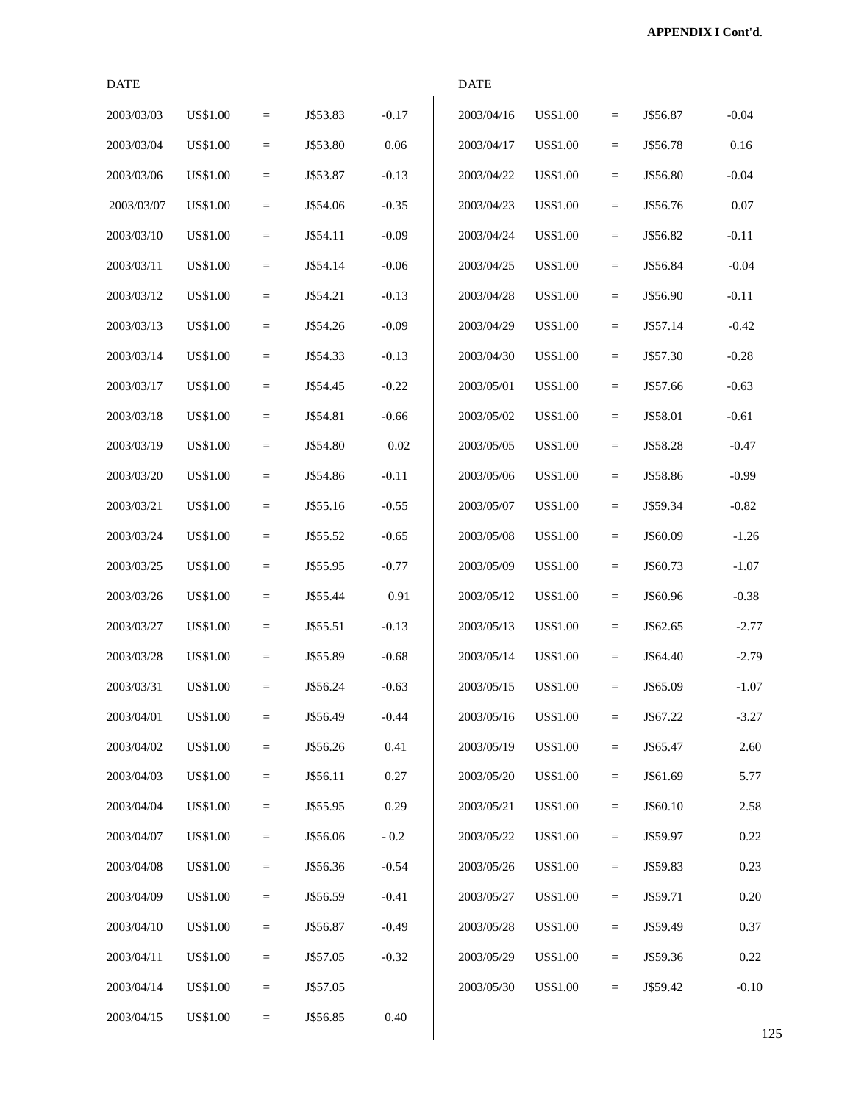| <b>DATE</b> |                 |                 |          |         | <b>DATE</b> |                 |           |          |         |
|-------------|-----------------|-----------------|----------|---------|-------------|-----------------|-----------|----------|---------|
| 2003/03/03  | <b>US\$1.00</b> | $\quad =$       | J\$53.83 | $-0.17$ | 2003/04/16  | <b>US\$1.00</b> | $\equiv$  | J\$56.87 | $-0.04$ |
| 2003/03/04  | <b>US\$1.00</b> | $\equiv$        | J\$53.80 | 0.06    | 2003/04/17  | <b>US\$1.00</b> | $=$       | J\$56.78 | 0.16    |
| 2003/03/06  | <b>US\$1.00</b> | $\equiv$        | J\$53.87 | $-0.13$ | 2003/04/22  | <b>US\$1.00</b> | $\equiv$  | J\$56.80 | $-0.04$ |
| 2003/03/07  | <b>US\$1.00</b> | $\quad =$       | J\$54.06 | $-0.35$ | 2003/04/23  | <b>US\$1.00</b> | $\quad =$ | J\$56.76 | 0.07    |
| 2003/03/10  | <b>US\$1.00</b> | $=$             | J\$54.11 | $-0.09$ | 2003/04/24  | US\$1.00        | $\equiv$  | J\$56.82 | $-0.11$ |
| 2003/03/11  | US\$1.00        | $\equiv$        | J\$54.14 | $-0.06$ | 2003/04/25  | US\$1.00        | $\equiv$  | J\$56.84 | $-0.04$ |
| 2003/03/12  | <b>US\$1.00</b> | $=$             | J\$54.21 | $-0.13$ | 2003/04/28  | <b>US\$1.00</b> | $\equiv$  | J\$56.90 | $-0.11$ |
| 2003/03/13  | <b>US\$1.00</b> | $\quad =$       | J\$54.26 | $-0.09$ | 2003/04/29  | <b>US\$1.00</b> | $\equiv$  | J\$57.14 | $-0.42$ |
| 2003/03/14  | <b>US\$1.00</b> | $\quad \  \  =$ | J\$54.33 | $-0.13$ | 2003/04/30  | <b>US\$1.00</b> | $\quad =$ | J\$57.30 | $-0.28$ |
| 2003/03/17  | US\$1.00        | $\quad =$       | J\$54.45 | $-0.22$ | 2003/05/01  | <b>US\$1.00</b> | $\equiv$  | J\$57.66 | $-0.63$ |
| 2003/03/18  | US\$1.00        | $\equiv$        | J\$54.81 | $-0.66$ | 2003/05/02  | US\$1.00        | $\equiv$  | J\$58.01 | $-0.61$ |
| 2003/03/19  | <b>US\$1.00</b> | $\equiv$        | J\$54.80 | 0.02    | 2003/05/05  | <b>US\$1.00</b> | $=$       | J\$58.28 | $-0.47$ |
| 2003/03/20  | US\$1.00        | $\quad =$       | J\$54.86 | $-0.11$ | 2003/05/06  | <b>US\$1.00</b> | $\equiv$  | J\$58.86 | $-0.99$ |
| 2003/03/21  | US\$1.00        | $\quad =$       | J\$55.16 | $-0.55$ | 2003/05/07  | <b>US\$1.00</b> | $\quad =$ | J\$59.34 | $-0.82$ |
| 2003/03/24  | US\$1.00        | $=$             | J\$55.52 | $-0.65$ | 2003/05/08  | <b>US\$1.00</b> | $\quad =$ | J\$60.09 | $-1.26$ |
| 2003/03/25  | US\$1.00        | $\equiv$        | J\$55.95 | $-0.77$ | 2003/05/09  | <b>US\$1.00</b> | $\equiv$  | J\$60.73 | $-1.07$ |
| 2003/03/26  | <b>US\$1.00</b> | $\equiv$        | J\$55.44 | 0.91    | 2003/05/12  | <b>US\$1.00</b> | $\equiv$  | J\$60.96 | $-0.38$ |
| 2003/03/27  | US\$1.00        | $\equiv$        | J\$55.51 | $-0.13$ | 2003/05/13  | <b>US\$1.00</b> | $\equiv$  | J\$62.65 | $-2.77$ |
| 2003/03/28  | <b>US\$1.00</b> | $\quad \  \  =$ | J\$55.89 | $-0.68$ | 2003/05/14  | <b>US\$1.00</b> | $\equiv$  | J\$64.40 | $-2.79$ |
| 2003/03/31  | US\$1.00        | $=$             | J\$56.24 | $-0.63$ | 2003/05/15  | <b>US\$1.00</b> | $\equiv$  | J\$65.09 | $-1.07$ |
| 2003/04/01  | US\$1.00        | $=$             | J\$56.49 | $-0.44$ | 2003/05/16  | <b>US\$1.00</b> | $\equiv$  | J\$67.22 | $-3.27$ |
| 2003/04/02  | US\$1.00        | $=$             | J\$56.26 | 0.41    | 2003/05/19  | <b>US\$1.00</b> | $\equiv$  | J\$65.47 | 2.60    |
| 2003/04/03  | US\$1.00        | $\equiv$        | J\$56.11 | 0.27    | 2003/05/20  | <b>US\$1.00</b> | $\equiv$  | J\$61.69 | 5.77    |
| 2003/04/04  | <b>US\$1.00</b> | $\equiv$        | J\$55.95 | 0.29    | 2003/05/21  | <b>US\$1.00</b> | $\equiv$  | J\$60.10 | 2.58    |
| 2003/04/07  | US\$1.00        | $=$             | J\$56.06 | $-0.2$  | 2003/05/22  | US\$1.00        | $=$       | J\$59.97 | 0.22    |
| 2003/04/08  | <b>US\$1.00</b> | $=$             | J\$56.36 | $-0.54$ | 2003/05/26  | US\$1.00        | $=$       | J\$59.83 | 0.23    |
| 2003/04/09  | <b>US\$1.00</b> | $=$             | J\$56.59 | $-0.41$ | 2003/05/27  | US\$1.00        | $=$       | J\$59.71 | 0.20    |
| 2003/04/10  | US\$1.00        | $\equiv$        | J\$56.87 | $-0.49$ | 2003/05/28  | US\$1.00        | $\equiv$  | J\$59.49 | 0.37    |
| 2003/04/11  | US\$1.00        | $\equiv$        | J\$57.05 | $-0.32$ | 2003/05/29  | <b>US\$1.00</b> | $\equiv$  | J\$59.36 | 0.22    |
| 2003/04/14  | US\$1.00        | $\quad =$       | J\$57.05 |         | 2003/05/30  | US\$1.00        | $=$       | J\$59.42 | $-0.10$ |
| 2003/04/15  | <b>US\$1.00</b> | $=$             | J\$56.85 | 0.40    |             |                 |           |          |         |

 $\overline{\phantom{a}}$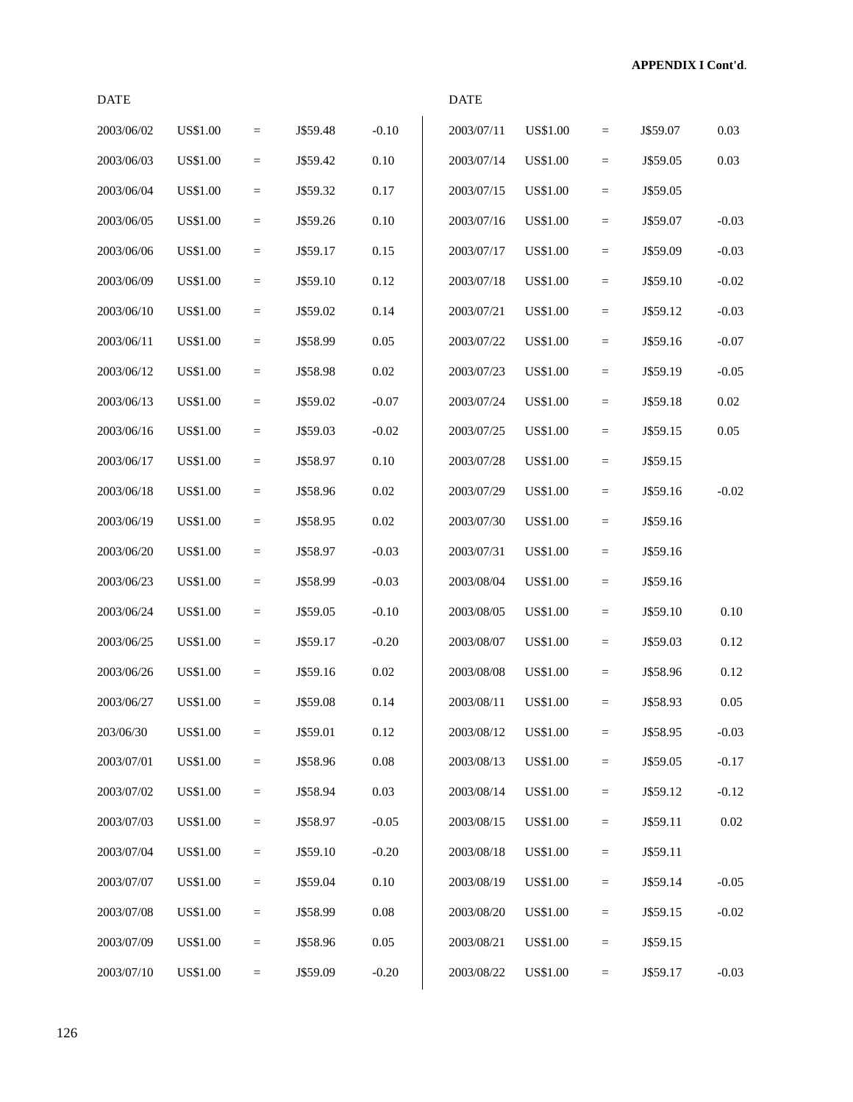| <b>DATE</b> |                 |                   |          |          | <b>DATE</b> |                 |                 |          |          |
|-------------|-----------------|-------------------|----------|----------|-------------|-----------------|-----------------|----------|----------|
| 2003/06/02  | <b>US\$1.00</b> | $\quad =$         | J\$59.48 | $-0.10$  | 2003/07/11  | <b>US\$1.00</b> | $\quad \  \  =$ | J\$59.07 | 0.03     |
| 2003/06/03  | <b>US\$1.00</b> | $\qquad \qquad =$ | J\$59.42 | 0.10     | 2003/07/14  | <b>US\$1.00</b> | $\quad =$       | J\$59.05 | 0.03     |
| 2003/06/04  | <b>US\$1.00</b> | $\equiv$          | J\$59.32 | 0.17     | 2003/07/15  | <b>US\$1.00</b> | $\quad =$       | J\$59.05 |          |
| 2003/06/05  | <b>US\$1.00</b> | $\qquad \qquad =$ | J\$59.26 | 0.10     | 2003/07/16  | <b>US\$1.00</b> | $\equiv$        | J\$59.07 | $-0.03$  |
| 2003/06/06  | <b>US\$1.00</b> | $\quad =$         | J\$59.17 | 0.15     | 2003/07/17  | <b>US\$1.00</b> | $\quad =$       | J\$59.09 | $-0.03$  |
| 2003/06/09  | <b>US\$1.00</b> | $\qquad \qquad =$ | J\$59.10 | 0.12     | 2003/07/18  | <b>US\$1.00</b> | $\quad =$       | J\$59.10 | $-0.02$  |
| 2003/06/10  | <b>US\$1.00</b> | $\qquad \qquad =$ | J\$59.02 | 0.14     | 2003/07/21  | US\$1.00        | $\quad =$       | J\$59.12 | $-0.03$  |
| 2003/06/11  | <b>US\$1.00</b> | $\equiv$          | J\$58.99 | 0.05     | 2003/07/22  | <b>US\$1.00</b> | $\quad =$       | J\$59.16 | $-0.07$  |
| 2003/06/12  | <b>US\$1.00</b> | $\equiv$          | J\$58.98 | 0.02     | 2003/07/23  | <b>US\$1.00</b> | $\quad =$       | J\$59.19 | $-0.05$  |
| 2003/06/13  | <b>US\$1.00</b> | $\equiv$          | J\$59.02 | $-0.07$  | 2003/07/24  | <b>US\$1.00</b> | $\equiv$        | J\$59.18 | 0.02     |
| 2003/06/16  | <b>US\$1.00</b> | $\qquad \qquad =$ | J\$59.03 | $-0.02$  | 2003/07/25  | <b>US\$1.00</b> | $\quad =$       | J\$59.15 | 0.05     |
| 2003/06/17  | <b>US\$1.00</b> | $\qquad \qquad =$ | J\$58.97 | 0.10     | 2003/07/28  | US\$1.00        | $\quad =$       | J\$59.15 |          |
| 2003/06/18  | <b>US\$1.00</b> | $\equiv$          | J\$58.96 | $0.02\,$ | 2003/07/29  | <b>US\$1.00</b> | $\quad =$       | J\$59.16 | $-0.02$  |
| 2003/06/19  | <b>US\$1.00</b> | $\equiv$          | J\$58.95 | 0.02     | 2003/07/30  | <b>US\$1.00</b> | $\equiv$        | J\$59.16 |          |
| 2003/06/20  | <b>US\$1.00</b> | $\quad =$         | J\$58.97 | $-0.03$  | 2003/07/31  | <b>US\$1.00</b> | $\quad =$       | J\$59.16 |          |
| 2003/06/23  | <b>US\$1.00</b> | $\equiv$          | J\$58.99 | $-0.03$  | 2003/08/04  | <b>US\$1.00</b> | $\quad =$       | J\$59.16 |          |
| 2003/06/24  | <b>US\$1.00</b> | $\qquad \qquad =$ | J\$59.05 | $-0.10$  | 2003/08/05  | US\$1.00        | $\quad =$       | J\$59.10 | 0.10     |
| 2003/06/25  | <b>US\$1.00</b> | $\equiv$          | J\$59.17 | $-0.20$  | 2003/08/07  | <b>US\$1.00</b> | $\equiv$        | J\$59.03 | 0.12     |
| 2003/06/26  | <b>US\$1.00</b> | $\equiv$          | J\$59.16 | 0.02     | 2003/08/08  | <b>US\$1.00</b> | $\quad =$       | J\$58.96 | 0.12     |
| 2003/06/27  | <b>US\$1.00</b> | $=$               | J\$59.08 | 0.14     | 2003/08/11  | <b>US\$1.00</b> | $\equiv$        | J\$58.93 | 0.05     |
| 203/06/30   | <b>US\$1.00</b> | $\qquad \qquad =$ | J\$59.01 | 0.12     | 2003/08/12  | <b>US\$1.00</b> | $\quad \  \  =$ | J\$58.95 | $-0.03$  |
| 2003/07/01  | US\$1.00        | $\equiv$          | J\$58.96 | $0.08\,$ | 2003/08/13  | <b>US\$1.00</b> | $\quad \  \  =$ | J\$59.05 | $-0.17$  |
| 2003/07/02  | <b>US\$1.00</b> | $\quad \  \  =$   | J\$58.94 | 0.03     | 2003/08/14  | US\$1.00        | $\quad \  \  =$ | J\$59.12 | $-0.12$  |
| 2003/07/03  | <b>US\$1.00</b> | $\qquad \qquad =$ | J\$58.97 | $-0.05$  | 2003/08/15  | <b>US\$1.00</b> | $\quad =$       | J\$59.11 | $0.02\,$ |
| 2003/07/04  | <b>US\$1.00</b> | $\quad \  \  =$   | J\$59.10 | $-0.20$  | 2003/08/18  | <b>US\$1.00</b> | $\quad \  \  =$ | J\$59.11 |          |
| 2003/07/07  | <b>US\$1.00</b> | $\equiv$          | J\$59.04 | 0.10     | 2003/08/19  | <b>US\$1.00</b> | $\quad \  \  =$ | J\$59.14 | $-0.05$  |
| 2003/07/08  | US\$1.00        | $\quad \  \  =$   | J\$58.99 | $0.08\,$ | 2003/08/20  | US\$1.00        | $\quad \  \  =$ | J\$59.15 | $-0.02$  |
| 2003/07/09  | <b>US\$1.00</b> | $\equiv$          | J\$58.96 | $0.05\,$ | 2003/08/21  | US\$1.00        | $\quad =$       | J\$59.15 |          |
| 2003/07/10  | <b>US\$1.00</b> | $\qquad \qquad =$ | J\$59.09 | $-0.20$  | 2003/08/22  | <b>US\$1.00</b> | $\quad =$       | J\$59.17 | $-0.03$  |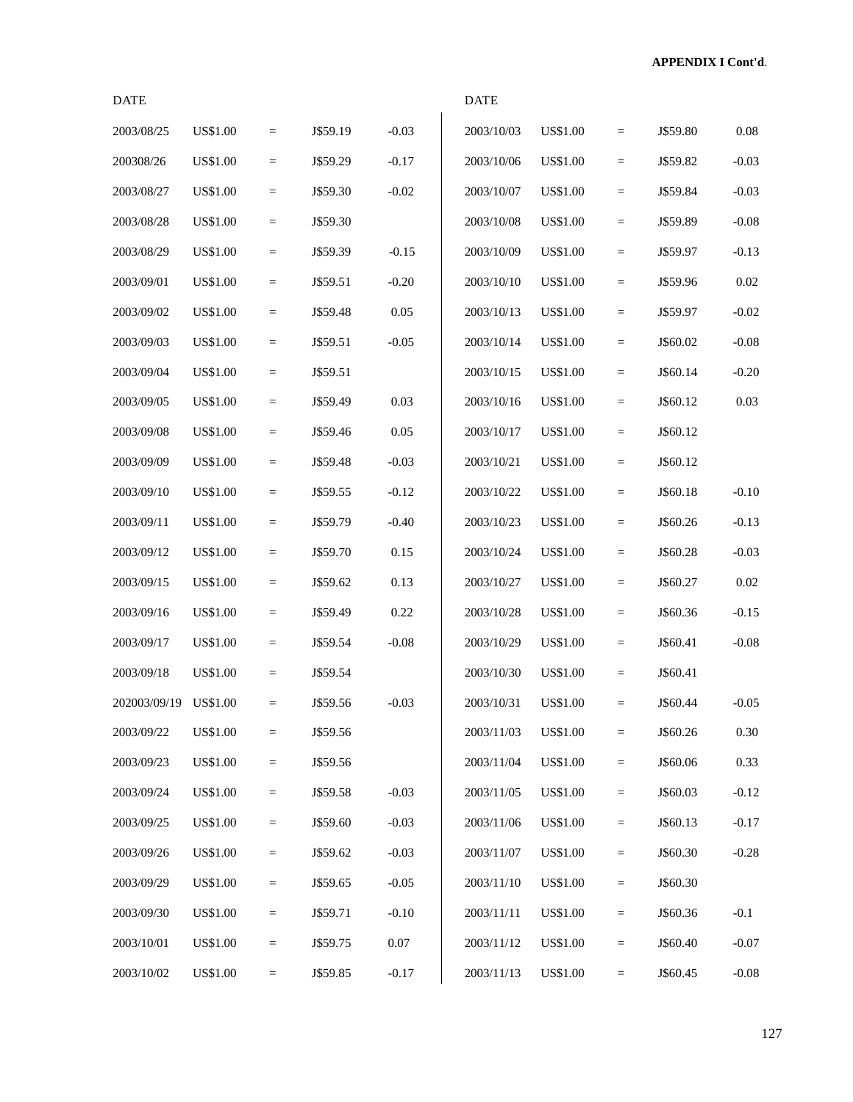| <b>DATE</b>  |                 |                 |          |          | <b>DATE</b> |                 |                            |          |         |
|--------------|-----------------|-----------------|----------|----------|-------------|-----------------|----------------------------|----------|---------|
| 2003/08/25   | <b>US\$1.00</b> | $\quad =$       | J\$59.19 | $-0.03$  | 2003/10/03  | <b>US\$1.00</b> | $\quad =$                  | J\$59.80 | 0.08    |
| 200308/26    | <b>US\$1.00</b> | $\equiv$        | J\$59.29 | $-0.17$  | 2003/10/06  | <b>US\$1.00</b> | $\equiv$                   | J\$59.82 | $-0.03$ |
| 2003/08/27   | <b>US\$1.00</b> | $\equiv$        | J\$59.30 | $-0.02$  | 2003/10/07  | <b>US\$1.00</b> | $\quad \  \, =\quad \  \,$ | J\$59.84 | $-0.03$ |
| 2003/08/28   | <b>US\$1.00</b> | $=$             | J\$59.30 |          | 2003/10/08  | <b>US\$1.00</b> | $\quad \  \  =$            | J\$59.89 | $-0.08$ |
| 2003/08/29   | US\$1.00        | $\equiv$        | J\$59.39 | $-0.15$  | 2003/10/09  | <b>US\$1.00</b> | $\equiv$                   | J\$59.97 | $-0.13$ |
| 2003/09/01   | <b>US\$1.00</b> | $\quad =$       | J\$59.51 | $-0.20$  | 2003/10/10  | <b>US\$1.00</b> | $\quad =$                  | J\$59.96 | 0.02    |
| 2003/09/02   | <b>US\$1.00</b> | $\equiv$        | J\$59.48 | 0.05     | 2003/10/13  | US\$1.00        | $\qquad \qquad =$          | J\$59.97 | $-0.02$ |
| 2003/09/03   | <b>US\$1.00</b> | $\equiv$        | J\$59.51 | $-0.05$  | 2003/10/14  | <b>US\$1.00</b> | $\quad =$                  | J\$60.02 | $-0.08$ |
| 2003/09/04   | <b>US\$1.00</b> | $=$             | J\$59.51 |          | 2003/10/15  | US\$1.00        | $\equiv$                   | J\$60.14 | $-0.20$ |
| 2003/09/05   | US\$1.00        | $\equiv$        | J\$59.49 | 0.03     | 2003/10/16  | <b>US\$1.00</b> | $\quad \  \  =$            | J\$60.12 | 0.03    |
| 2003/09/08   | <b>US\$1.00</b> | $\quad =$       | J\$59.46 | 0.05     | 2003/10/17  | <b>US\$1.00</b> | $\quad =$                  | J\$60.12 |         |
| 2003/09/09   | <b>US\$1.00</b> | $\equiv$        | J\$59.48 | $-0.03$  | 2003/10/21  | US\$1.00        | $\quad \  \, =\quad \  \,$ | J\$60.12 |         |
| 2003/09/10   | <b>US\$1.00</b> | $\equiv$        | J\$59.55 | $-0.12$  | 2003/10/22  | US\$1.00        | $\quad \  \, =\quad \  \,$ | J\$60.18 | $-0.10$ |
| 2003/09/11   | <b>US\$1.00</b> | $\quad =$       | J\$59.79 | $-0.40$  | 2003/10/23  | US\$1.00        | $\quad =$                  | J\$60.26 | $-0.13$ |
| 2003/09/12   | <b>US\$1.00</b> | $\equiv$        | J\$59.70 | 0.15     | 2003/10/24  | <b>US\$1.00</b> | $\quad \  \  =$            | J\$60.28 | $-0.03$ |
| 2003/09/15   | <b>US\$1.00</b> | $\quad =$       | J\$59.62 | 0.13     | 2003/10/27  | <b>US\$1.00</b> | $\quad =$                  | J\$60.27 | 0.02    |
| 2003/09/16   | US\$1.00        | $\equiv$        | J\$59.49 | 0.22     | 2003/10/28  | US\$1.00        | $\equiv$                   | J\$60.36 | $-0.15$ |
| 2003/09/17   | <b>US\$1.00</b> | $\equiv$        | J\$59.54 | $-0.08$  | 2003/10/29  | US\$1.00        | $\equiv$                   | J\$60.41 | $-0.08$ |
| 2003/09/18   | <b>US\$1.00</b> | $=$             | J\$59.54 |          | 2003/10/30  | <b>US\$1.00</b> | $\quad =$                  | J\$60.41 |         |
| 202003/09/19 | <b>US\$1.00</b> | $\equiv$        | J\$59.56 | $-0.03$  | 2003/10/31  | US\$1.00        | $\qquad \qquad =$          | J\$60.44 | $-0.05$ |
| 2003/09/22   | <b>US\$1.00</b> | $\quad =$       | J\$59.56 |          | 2003/11/03  | <b>US\$1.00</b> | $\quad =$                  | J\$60.26 | 0.30    |
| 2003/09/23   | US\$1.00        | $\equiv$        | J\$59.56 |          | 2003/11/04  | US\$1.00        | $\quad \  \  =$            | J\$60.06 | 0.33    |
| 2003/09/24   | <b>US\$1.00</b> | $\equiv$        | J\$59.58 | $-0.03$  | 2003/11/05  | US\$1.00        | $\quad \  \  =$            | J\$60.03 | $-0.12$ |
| 2003/09/25   | US\$1.00        | $\equiv$        | J\$59.60 | $-0.03$  | 2003/11/06  | US\$1.00        | $\quad \  \  =$            | J\$60.13 | $-0.17$ |
| 2003/09/26   | US\$1.00        | $\equiv$        | J\$59.62 | $-0.03$  | 2003/11/07  | US\$1.00        | $\quad \  \  =$            | J\$60.30 | $-0.28$ |
| 2003/09/29   | US\$1.00        | $\equiv$        | J\$59.65 | $-0.05$  | 2003/11/10  | <b>US\$1.00</b> | $\quad =$                  | J\$60.30 |         |
| 2003/09/30   | US\$1.00        | $\quad \  \  =$ | J\$59.71 | $-0.10$  | 2003/11/11  | US\$1.00        | $\quad \  \  =$            | J\$60.36 | $-0.1$  |
| 2003/10/01   | <b>US\$1.00</b> | $\equiv$        | J\$59.75 | $0.07\,$ | 2003/11/12  | US\$1.00        | $\quad \  \  =$            | J\$60.40 | $-0.07$ |
| 2003/10/02   | <b>US\$1.00</b> | $\equiv$        | J\$59.85 | $-0.17$  | 2003/11/13  | <b>US\$1.00</b> | $\quad \  \  =$            | J\$60.45 | $-0.08$ |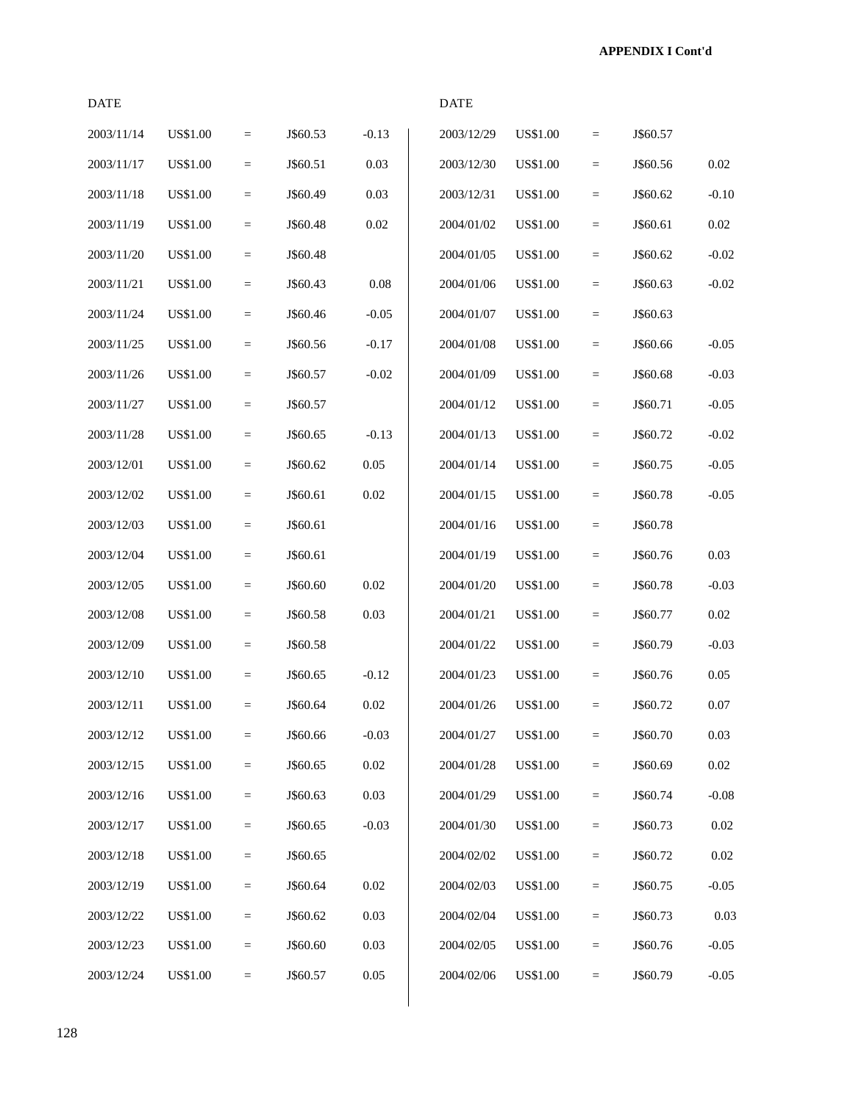| <b>DATE</b> |                 |                   |          |          | <b>DATE</b> |                 |                   |          |          |
|-------------|-----------------|-------------------|----------|----------|-------------|-----------------|-------------------|----------|----------|
| 2003/11/14  | <b>US\$1.00</b> | $\equiv$          | J\$60.53 | $-0.13$  | 2003/12/29  | <b>US\$1.00</b> | $=$               | J\$60.57 |          |
| 2003/11/17  | <b>US\$1.00</b> | $\quad \  \  =$   | J\$60.51 | 0.03     | 2003/12/30  | <b>US\$1.00</b> | $=$               | J\$60.56 | 0.02     |
| 2003/11/18  | <b>US\$1.00</b> | $\equiv$          | J\$60.49 | 0.03     | 2003/12/31  | <b>US\$1.00</b> | $=$               | J\$60.62 | $-0.10$  |
| 2003/11/19  | <b>US\$1.00</b> | $\qquad \qquad =$ | J\$60.48 | 0.02     | 2004/01/02  | <b>US\$1.00</b> | $=$               | J\$60.61 | 0.02     |
| 2003/11/20  | <b>US\$1.00</b> | $\equiv$          | J\$60.48 |          | 2004/01/05  | <b>US\$1.00</b> | $=$               | J\$60.62 | $-0.02$  |
| 2003/11/21  | <b>US\$1.00</b> | $\equiv$          | J\$60.43 | 0.08     | 2004/01/06  | <b>US\$1.00</b> | $=$               | J\$60.63 | $-0.02$  |
| 2003/11/24  | <b>US\$1.00</b> | $\quad \  \  =$   | J\$60.46 | $-0.05$  | 2004/01/07  | <b>US\$1.00</b> | $=$               | J\$60.63 |          |
| 2003/11/25  | <b>US\$1.00</b> | $\qquad \qquad =$ | J\$60.56 | $-0.17$  | 2004/01/08  | <b>US\$1.00</b> | $=$               | J\$60.66 | $-0.05$  |
| 2003/11/26  | <b>US\$1.00</b> | $\qquad \qquad =$ | J\$60.57 | $-0.02$  | 2004/01/09  | <b>US\$1.00</b> | $=$               | J\$60.68 | $-0.03$  |
| 2003/11/27  | <b>US\$1.00</b> | $\equiv$          | J\$60.57 |          | 2004/01/12  | <b>US\$1.00</b> | $=$               | J\$60.71 | $-0.05$  |
| 2003/11/28  | <b>US\$1.00</b> | $\quad \  \  =$   | J\$60.65 | $-0.13$  | 2004/01/13  | <b>US\$1.00</b> | $=$               | J\$60.72 | $-0.02$  |
| 2003/12/01  | <b>US\$1.00</b> | $\quad \  \  =$   | J\$60.62 | 0.05     | 2004/01/14  | <b>US\$1.00</b> | $=$               | J\$60.75 | $-0.05$  |
| 2003/12/02  | <b>US\$1.00</b> | $\equiv$          | J\$60.61 | 0.02     | 2004/01/15  | <b>US\$1.00</b> | $=$               | J\$60.78 | $-0.05$  |
| 2003/12/03  | <b>US\$1.00</b> | $\qquad \qquad =$ | J\$60.61 |          | 2004/01/16  | <b>US\$1.00</b> | $=$               | J\$60.78 |          |
| 2003/12/04  | <b>US\$1.00</b> | $\equiv$          | J\$60.61 |          | 2004/01/19  | <b>US\$1.00</b> | $=$               | J\$60.76 | 0.03     |
| 2003/12/05  | <b>US\$1.00</b> | $\equiv$          | J\$60.60 | 0.02     | 2004/01/20  | <b>US\$1.00</b> | $=$               | J\$60.78 | $-0.03$  |
| 2003/12/08  | <b>US\$1.00</b> | $\quad \  \  =$   | J\$60.58 | 0.03     | 2004/01/21  | <b>US\$1.00</b> | $=$               | J\$60.77 | 0.02     |
| 2003/12/09  | <b>US\$1.00</b> | $\qquad \qquad =$ | J\$60.58 |          | 2004/01/22  | <b>US\$1.00</b> | $=$               | J\$60.79 | $-0.03$  |
| 2003/12/10  | <b>US\$1.00</b> | $\qquad \qquad =$ | J\$60.65 | $-0.12$  | 2004/01/23  | <b>US\$1.00</b> | $=$               | J\$60.76 | 0.05     |
| 2003/12/11  | <b>US\$1.00</b> | $\equiv$          | J\$60.64 | 0.02     | 2004/01/26  | <b>US\$1.00</b> | $=$               | J\$60.72 | 0.07     |
| 2003/12/12  | <b>US\$1.00</b> | $\quad =$         | J\$60.66 | $-0.03$  | 2004/01/27  | <b>US\$1.00</b> | $=$               | J\$60.70 | 0.03     |
| 2003/12/15  | <b>US\$1.00</b> | $\quad \  \  =$   | J\$60.65 | $0.02\,$ | 2004/01/28  | <b>US\$1.00</b> | $=$               | J\$60.69 | $0.02\,$ |
| 2003/12/16  | <b>US\$1.00</b> | $\equiv$          | J\$60.63 | 0.03     | 2004/01/29  | <b>US\$1.00</b> | $\qquad \qquad =$ | J\$60.74 | $-0.08$  |
| 2003/12/17  | <b>US\$1.00</b> | $\quad \  \  =$   | J\$60.65 | $-0.03$  | 2004/01/30  | <b>US\$1.00</b> | $=$               | J\$60.73 | $0.02\,$ |
| 2003/12/18  | <b>US\$1.00</b> | $\equiv$          | J\$60.65 |          | 2004/02/02  | <b>US\$1.00</b> | $\quad =$         | J\$60.72 | 0.02     |
| 2003/12/19  | <b>US\$1.00</b> | $\quad \  \  =$   | J\$60.64 | $0.02\,$ | 2004/02/03  | US\$1.00        | $=$               | J\$60.75 | $-0.05$  |
| 2003/12/22  | <b>US\$1.00</b> | $\qquad \qquad =$ | J\$60.62 | 0.03     | 2004/02/04  | US\$1.00        | $\quad =$         | J\$60.73 | 0.03     |
| 2003/12/23  | <b>US\$1.00</b> | $\equiv$          | J\$60.60 | 0.03     | 2004/02/05  | <b>US\$1.00</b> | $=$               | J\$60.76 | $-0.05$  |
| 2003/12/24  | <b>US\$1.00</b> | $\quad \  \  =$   | J\$60.57 | $0.05\,$ | 2004/02/06  | <b>US\$1.00</b> | $\quad =$         | J\$60.79 | $-0.05$  |
|             |                 |                   |          |          |             |                 |                   |          |          |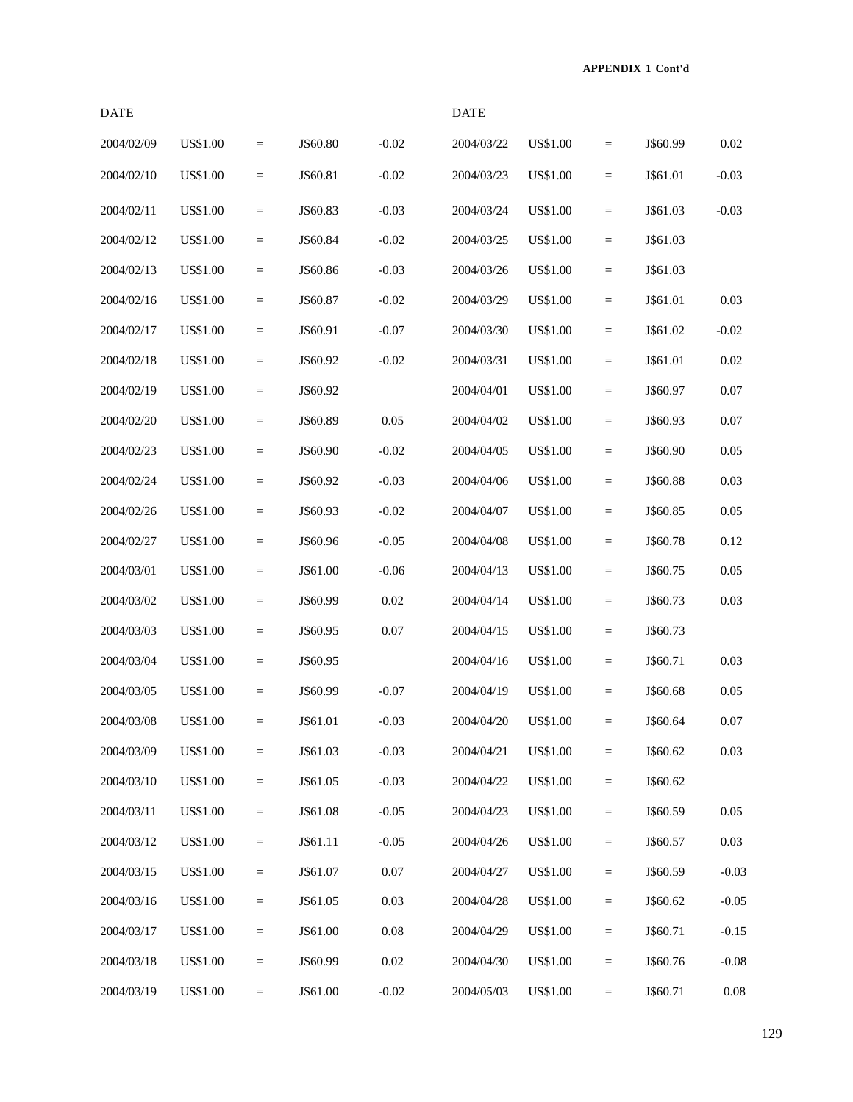| <b>DATE</b> |                 |                 |          |          | <b>DATE</b> |                 |                   |          |          |
|-------------|-----------------|-----------------|----------|----------|-------------|-----------------|-------------------|----------|----------|
| 2004/02/09  | <b>US\$1.00</b> | $\quad =$       | J\$60.80 | $-0.02$  | 2004/03/22  | <b>US\$1.00</b> | $\qquad \qquad =$ | J\$60.99 | 0.02     |
| 2004/02/10  | <b>US\$1.00</b> | $=$             | J\$60.81 | $-0.02$  | 2004/03/23  | <b>US\$1.00</b> | $=$               | J\$61.01 | $-0.03$  |
| 2004/02/11  | <b>US\$1.00</b> | $\quad =$       | J\$60.83 | $-0.03$  | 2004/03/24  | <b>US\$1.00</b> | $\qquad \qquad =$ | J\$61.03 | $-0.03$  |
| 2004/02/12  | <b>US\$1.00</b> | $\quad \  \  =$ | J\$60.84 | $-0.02$  | 2004/03/25  | <b>US\$1.00</b> | $=$               | J\$61.03 |          |
| 2004/02/13  | <b>US\$1.00</b> | $=$             | J\$60.86 | $-0.03$  | 2004/03/26  | <b>US\$1.00</b> | $=$               | J\$61.03 |          |
| 2004/02/16  | <b>US\$1.00</b> | $\quad \  \  =$ | J\$60.87 | $-0.02$  | 2004/03/29  | <b>US\$1.00</b> | $\quad =$         | J\$61.01 | 0.03     |
| 2004/02/17  | <b>US\$1.00</b> | $\quad =$       | J\$60.91 | $-0.07$  | 2004/03/30  | <b>US\$1.00</b> | $\equiv$          | J\$61.02 | $-0.02$  |
| 2004/02/18  | <b>US\$1.00</b> | $\quad =$       | J\$60.92 | $-0.02$  | 2004/03/31  | <b>US\$1.00</b> | $\qquad \qquad =$ | J\$61.01 | 0.02     |
| 2004/02/19  | <b>US\$1.00</b> | $=$             | J\$60.92 |          | 2004/04/01  | <b>US\$1.00</b> | $=$               | J\$60.97 | $0.07\,$ |
| 2004/02/20  | <b>US\$1.00</b> | $\quad \  \  =$ | J\$60.89 | 0.05     | 2004/04/02  | <b>US\$1.00</b> | $\quad =$         | J\$60.93 | 0.07     |
| 2004/02/23  | <b>US\$1.00</b> | $\quad \  \  =$ | J\$60.90 | $-0.02$  | 2004/04/05  | <b>US\$1.00</b> | $\quad =$         | J\$60.90 | 0.05     |
| 2004/02/24  | <b>US\$1.00</b> | $\quad =$       | J\$60.92 | $-0.03$  | 2004/04/06  | <b>US\$1.00</b> | $=$               | J\$60.88 | 0.03     |
| 2004/02/26  | <b>US\$1.00</b> | $\quad =$       | J\$60.93 | $-0.02$  | 2004/04/07  | <b>US\$1.00</b> | $\qquad \qquad =$ | J\$60.85 | 0.05     |
| 2004/02/27  | <b>US\$1.00</b> | $\quad \  \  =$ | J\$60.96 | $-0.05$  | 2004/04/08  | <b>US\$1.00</b> | $\quad =$         | J\$60.78 | 0.12     |
| 2004/03/01  | <b>US\$1.00</b> | $\quad \  \  =$ | J\$61.00 | $-0.06$  | 2004/04/13  | <b>US\$1.00</b> | $\quad =$         | J\$60.75 | 0.05     |
| 2004/03/02  | <b>US\$1.00</b> | $=$             | J\$60.99 | 0.02     | 2004/04/14  | <b>US\$1.00</b> | $=$               | J\$60.73 | 0.03     |
| 2004/03/03  | <b>US\$1.00</b> | $\equiv$        | J\$60.95 | 0.07     | 2004/04/15  | <b>US\$1.00</b> | $\equiv$          | J\$60.73 |          |
| 2004/03/04  | <b>US\$1.00</b> | $\quad \  \  =$ | J\$60.95 |          | 2004/04/16  | <b>US\$1.00</b> | $\quad =$         | J\$60.71 | 0.03     |
| 2004/03/05  | US\$1.00        | $\quad \  \  =$ | J\$60.99 | $-0.07$  | 2004/04/19  | <b>US\$1.00</b> | $\quad =$         | J\$60.68 | 0.05     |
| 2004/03/08  | US\$1.00        | $=$             | J\$61.01 | $-0.03$  | 2004/04/20  | <b>US\$1.00</b> | $=$               | J\$60.64 | 0.07     |
| 2004/03/09  | <b>US\$1.00</b> | $=$             | J\$61.03 | $-0.03$  | 2004/04/21  | <b>US\$1.00</b> | $\quad =$         | J\$60.62 | $0.03\,$ |
| 2004/03/10  | <b>US\$1.00</b> | $\quad \  \  =$ | J\$61.05 | $-0.03$  | 2004/04/22  | <b>US\$1.00</b> | $\quad \  \  =$   | J\$60.62 |          |
| 2004/03/11  | <b>US\$1.00</b> | $\quad \  \  =$ | J\$61.08 | $-0.05$  | 2004/04/23  | <b>US\$1.00</b> | $\quad =$         | J\$60.59 | $0.05\,$ |
| 2004/03/12  | US\$1.00        | $\quad \  \  =$ | J\$61.11 | $-0.05$  | 2004/04/26  | <b>US\$1.00</b> | $\quad =$         | J\$60.57 | 0.03     |
| 2004/03/15  | US\$1.00        | $\quad \  \  =$ | J\$61.07 | 0.07     | 2004/04/27  | <b>US\$1.00</b> | $\quad =$         | J\$60.59 | $-0.03$  |
| 2004/03/16  | <b>US\$1.00</b> | $\equiv$        | J\$61.05 | 0.03     | 2004/04/28  | <b>US\$1.00</b> | $\quad =$         | J\$60.62 | $-0.05$  |
| 2004/03/17  | <b>US\$1.00</b> | $\quad =$       | J\$61.00 | $0.08\,$ | 2004/04/29  | <b>US\$1.00</b> | $\quad =$         | J\$60.71 | $-0.15$  |
| 2004/03/18  | <b>US\$1.00</b> | $\equiv$        | J\$60.99 | 0.02     | 2004/04/30  | <b>US\$1.00</b> | $=$               | J\$60.76 | $-0.08$  |
| 2004/03/19  | <b>US\$1.00</b> | $=$             | J\$61.00 | $-0.02$  | 2004/05/03  | <b>US\$1.00</b> | $\qquad \qquad =$ | J\$60.71 | $0.08\,$ |
|             |                 |                 |          |          |             |                 |                   |          |          |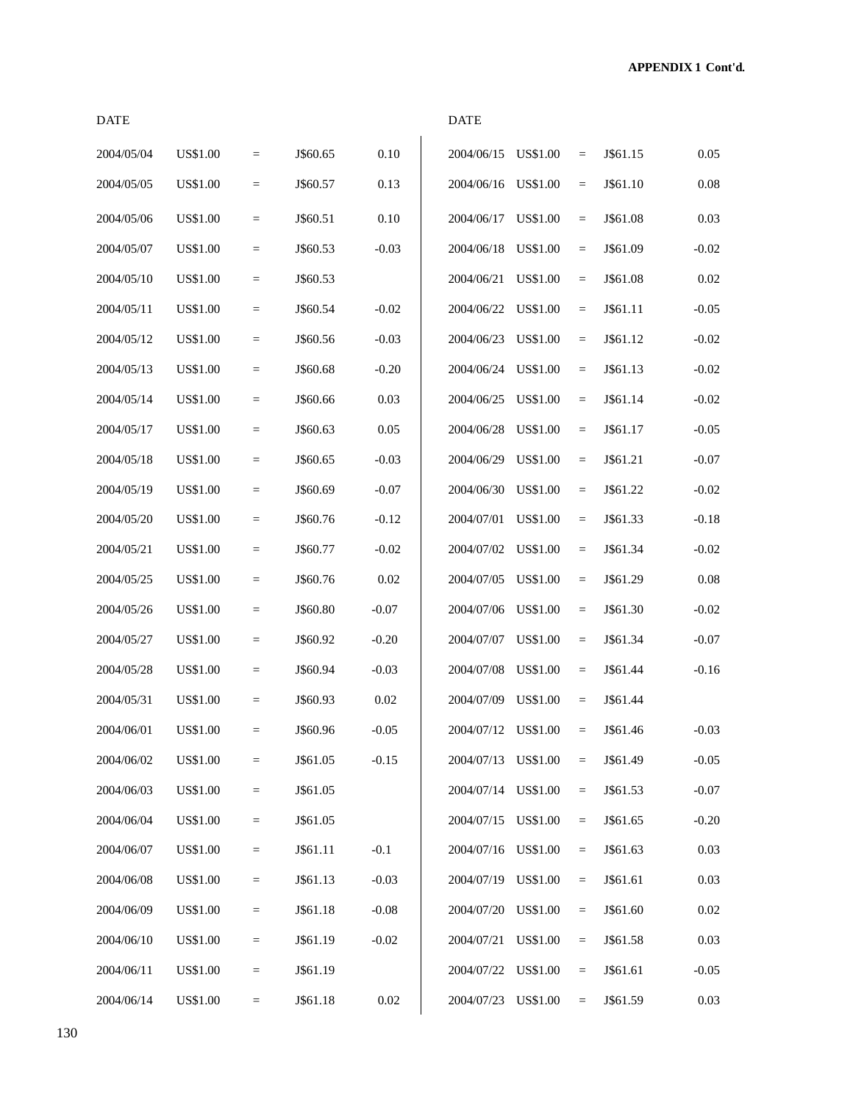| <b>DATE</b> |                 |                   |          |         | <b>DATE</b> |                 |                                |          |          |
|-------------|-----------------|-------------------|----------|---------|-------------|-----------------|--------------------------------|----------|----------|
| 2004/05/04  | <b>US\$1.00</b> | $\qquad \qquad =$ | J\$60.65 | 0.10    | 2004/06/15  | <b>US\$1.00</b> | $=$                            | J\$61.15 | 0.05     |
| 2004/05/05  | <b>US\$1.00</b> | $\qquad \qquad =$ | J\$60.57 | 0.13    | 2004/06/16  | <b>US\$1.00</b> | $\equiv$                       | J\$61.10 | 0.08     |
| 2004/05/06  | <b>US\$1.00</b> | $\qquad \qquad =$ | J\$60.51 | 0.10    | 2004/06/17  | <b>US\$1.00</b> | $\equiv$                       | J\$61.08 | 0.03     |
| 2004/05/07  | <b>US\$1.00</b> | $\qquad \qquad =$ | J\$60.53 | $-0.03$ | 2004/06/18  | US\$1.00        | $\equiv$                       | J\$61.09 | $-0.02$  |
| 2004/05/10  | <b>US\$1.00</b> | $=$               | J\$60.53 |         | 2004/06/21  | US\$1.00        | $\equiv$                       | J\$61.08 | 0.02     |
| 2004/05/11  | <b>US\$1.00</b> | $\quad =$         | J\$60.54 | $-0.02$ | 2004/06/22  | US\$1.00        | $\equiv$                       | J\$61.11 | $-0.05$  |
| 2004/05/12  | <b>US\$1.00</b> | $\qquad \qquad =$ | J\$60.56 | $-0.03$ | 2004/06/23  | <b>US\$1.00</b> | $\equiv$                       | J\$61.12 | $-0.02$  |
| 2004/05/13  | <b>US\$1.00</b> | $\qquad \qquad =$ | J\$60.68 | $-0.20$ | 2004/06/24  | US\$1.00        | $\equiv$                       | J\$61.13 | $-0.02$  |
| 2004/05/14  | <b>US\$1.00</b> | $\quad =$         | J\$60.66 | 0.03    | 2004/06/25  | US\$1.00        | $\equiv$                       | J\$61.14 | $-0.02$  |
| 2004/05/17  | <b>US\$1.00</b> | $\qquad \qquad =$ | J\$60.63 | 0.05    | 2004/06/28  | US\$1.00        | $\equiv$                       | J\$61.17 | $-0.05$  |
| 2004/05/18  | <b>US\$1.00</b> | $\qquad \qquad =$ | J\$60.65 | $-0.03$ | 2004/06/29  | <b>US\$1.00</b> | $\equiv$                       | J\$61.21 | $-0.07$  |
| 2004/05/19  | <b>US\$1.00</b> | $\equiv$          | J\$60.69 | $-0.07$ | 2004/06/30  | <b>US\$1.00</b> | $\equiv$                       | J\$61.22 | $-0.02$  |
| 2004/05/20  | <b>US\$1.00</b> | $\quad =$         | J\$60.76 | $-0.12$ | 2004/07/01  | US\$1.00        | $\equiv$                       | J\$61.33 | $-0.18$  |
| 2004/05/21  | <b>US\$1.00</b> | $\quad =$         | J\$60.77 | $-0.02$ | 2004/07/02  | US\$1.00        | $\equiv$                       | J\$61.34 | $-0.02$  |
| 2004/05/25  | <b>US\$1.00</b> | $\qquad \qquad =$ | J\$60.76 | 0.02    | 2004/07/05  | <b>US\$1.00</b> | $\equiv$                       | J\$61.29 | 0.08     |
| 2004/05/26  | US\$1.00        | $\equiv$          | J\$60.80 | $-0.07$ | 2004/07/06  | US\$1.00        | $\equiv$                       | J\$61.30 | $-0.02$  |
| 2004/05/27  | <b>US\$1.00</b> | $\qquad \qquad =$ | J\$60.92 | $-0.20$ | 2004/07/07  | <b>US\$1.00</b> | $\equiv$                       | J\$61.34 | $-0.07$  |
| 2004/05/28  | <b>US\$1.00</b> | $\qquad \qquad =$ | J\$60.94 | $-0.03$ | 2004/07/08  | US\$1.00        | $\qquad \qquad =$              | J\$61.44 | $-0.16$  |
| 2004/05/31  | <b>US\$1.00</b> | $\qquad \qquad =$ | J\$60.93 | 0.02    | 2004/07/09  | US\$1.00        | $\qquad \qquad =\qquad \qquad$ | J\$61.44 |          |
| 2004/06/01  | US\$1.00        | $\equiv$          | J\$60.96 | $-0.05$ | 2004/07/12  | <b>US\$1.00</b> | $\equiv$                       | J\$61.46 | $-0.03$  |
| 2004/06/02  | US\$1.00        | $\qquad \qquad =$ | J\$61.05 | $-0.15$ | 2004/07/13  | US\$1.00        | $=$                            | J\$61.49 | $-0.05$  |
| 2004/06/03  | <b>US\$1.00</b> | $\equiv$          | J\$61.05 |         | 2004/07/14  | US\$1.00        | $\quad \  \  =$                | J\$61.53 | $-0.07$  |
| 2004/06/04  | <b>US\$1.00</b> | $\equiv$          | J\$61.05 |         | 2004/07/15  | <b>US\$1.00</b> | $\equiv$                       | J\$61.65 | $-0.20$  |
| 2004/06/07  | <b>US\$1.00</b> | $\equiv$          | J\$61.11 | $-0.1$  | 2004/07/16  | <b>US\$1.00</b> | $\equiv$                       | J\$61.63 | $0.03\,$ |
| 2004/06/08  | <b>US\$1.00</b> | $\equiv$          | J\$61.13 | $-0.03$ | 2004/07/19  | <b>US\$1.00</b> | $\quad \  \  =$                | J\$61.61 | 0.03     |
| 2004/06/09  | <b>US\$1.00</b> | $\equiv$          | J\$61.18 | $-0.08$ | 2004/07/20  | <b>US\$1.00</b> | $\equiv$                       | J\$61.60 | 0.02     |
| 2004/06/10  | <b>US\$1.00</b> | $\equiv$          | J\$61.19 | $-0.02$ | 2004/07/21  | US\$1.00        | $\quad \  \  =$                | J\$61.58 | 0.03     |
| 2004/06/11  | <b>US\$1.00</b> | $\equiv$          | J\$61.19 |         | 2004/07/22  | <b>US\$1.00</b> | $\equiv$                       | J\$61.61 | $-0.05$  |
| 2004/06/14  | <b>US\$1.00</b> | $\equiv$          | J\$61.18 | 0.02    | 2004/07/23  | <b>US\$1.00</b> | $\equiv$                       | J\$61.59 | 0.03     |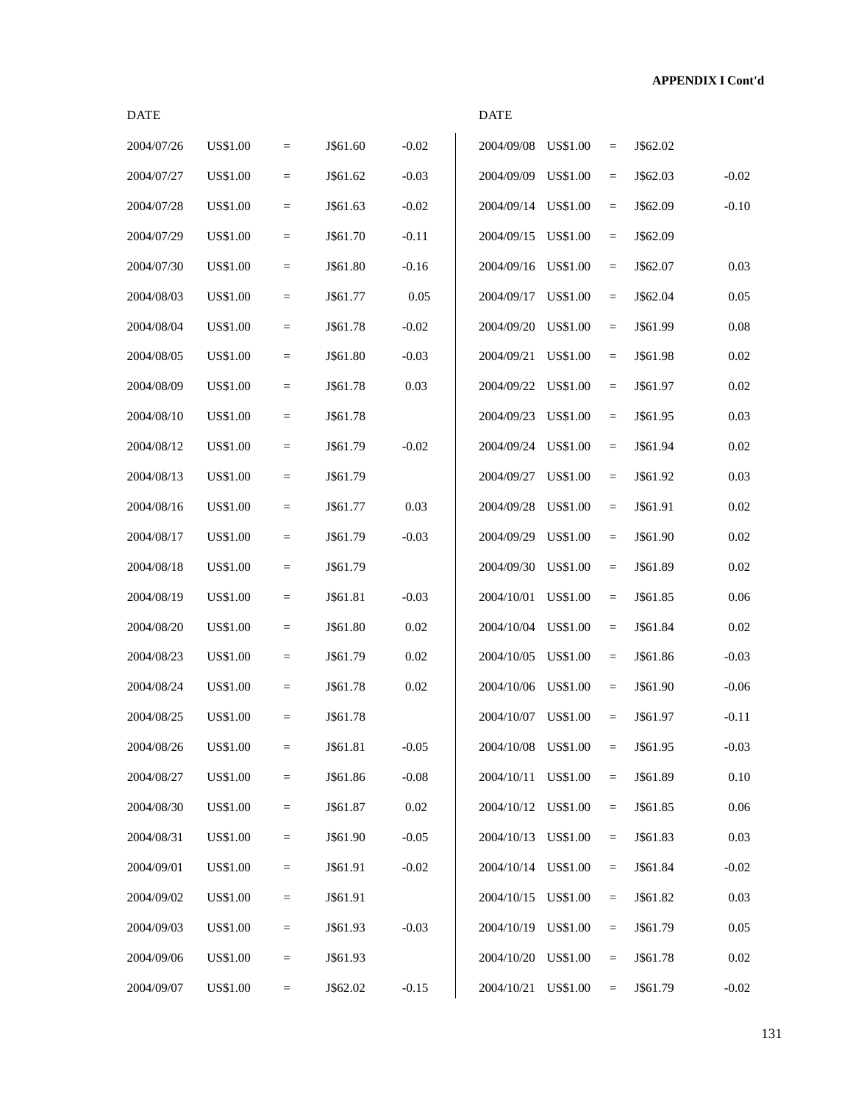| <b>DATE</b> |                 |                   |          |          | <b>DATE</b>         |                 |                   |          |          |
|-------------|-----------------|-------------------|----------|----------|---------------------|-----------------|-------------------|----------|----------|
| 2004/07/26  | <b>US\$1.00</b> | $=$               | J\$61.60 | $-0.02$  | 2004/09/08          | <b>US\$1.00</b> | $\equiv$          | J\$62.02 |          |
| 2004/07/27  | <b>US\$1.00</b> | $=$               | J\$61.62 | $-0.03$  | 2004/09/09          | <b>US\$1.00</b> | $\quad =$         | J\$62.03 | $-0.02$  |
| 2004/07/28  | <b>US\$1.00</b> | $=$               | J\$61.63 | $-0.02$  | 2004/09/14          | <b>US\$1.00</b> | $\quad =$         | J\$62.09 | $-0.10$  |
| 2004/07/29  | US\$1.00        | $\quad =$         | J\$61.70 | $-0.11$  | 2004/09/15          | <b>US\$1.00</b> | $\quad =$         | J\$62.09 |          |
| 2004/07/30  | US\$1.00        | $\equiv$          | J\$61.80 | $-0.16$  | 2004/09/16          | <b>US\$1.00</b> | $\qquad \qquad =$ | J\$62.07 | 0.03     |
| 2004/08/03  | US\$1.00        | $\qquad \qquad =$ | J\$61.77 | 0.05     | 2004/09/17          | <b>US\$1.00</b> | $\quad =$         | J\$62.04 | 0.05     |
| 2004/08/04  | <b>US\$1.00</b> | $=$               | J\$61.78 | $-0.02$  | 2004/09/20          | <b>US\$1.00</b> | $\quad =$         | J\$61.99 | 0.08     |
| 2004/08/05  | <b>US\$1.00</b> | $=$               | J\$61.80 | $-0.03$  | 2004/09/21          | US\$1.00        | $\quad =$         | J\$61.98 | 0.02     |
| 2004/08/09  | <b>US\$1.00</b> | $\quad =$         | J\$61.78 | 0.03     | 2004/09/22          | <b>US\$1.00</b> | $\quad =$         | J\$61.97 | 0.02     |
| 2004/08/10  | <b>US\$1.00</b> | $\qquad \qquad =$ | J\$61.78 |          | 2004/09/23          | <b>US\$1.00</b> | $\quad =$         | J\$61.95 | 0.03     |
| 2004/08/12  | US\$1.00        | $\qquad \qquad =$ | J\$61.79 | $-0.02$  | 2004/09/24          | <b>US\$1.00</b> | $\equiv$          | J\$61.94 | 0.02     |
| 2004/08/13  | <b>US\$1.00</b> | $=$               | J\$61.79 |          | 2004/09/27          | <b>US\$1.00</b> | $\quad =$         | J\$61.92 | 0.03     |
| 2004/08/16  | US\$1.00        | $=$               | J\$61.77 | 0.03     | 2004/09/28          | <b>US\$1.00</b> | $\quad =$         | J\$61.91 | 0.02     |
| 2004/08/17  | US\$1.00        | $\quad =$         | J\$61.79 | $-0.03$  | 2004/09/29          | <b>US\$1.00</b> | $\quad =$         | J\$61.90 | 0.02     |
| 2004/08/18  | US\$1.00        | $\equiv$          | J\$61.79 |          | 2004/09/30          | <b>US\$1.00</b> | $\qquad \qquad =$ | J\$61.89 | 0.02     |
| 2004/08/19  | US\$1.00        | $\qquad \qquad =$ | J\$61.81 | $-0.03$  | 2004/10/01          | <b>US\$1.00</b> | $\quad =$         | J\$61.85 | 0.06     |
| 2004/08/20  | <b>US\$1.00</b> | $=$               | J\$61.80 | 0.02     | 2004/10/04          | US\$1.00        | $\quad =$         | J\$61.84 | 0.02     |
| 2004/08/23  | US\$1.00        | $=$               | J\$61.79 | 0.02     | 2004/10/05          | <b>US\$1.00</b> | $\quad =$         | J\$61.86 | $-0.03$  |
| 2004/08/24  | US\$1.00        | $\quad =$         | J\$61.78 | 0.02     | 2004/10/06 US\$1.00 |                 | $\quad =$         | J\$61.90 | $-0.06$  |
| 2004/08/25  | <b>US\$1.00</b> | $\equiv$          | J\$61.78 |          | 2004/10/07 US\$1.00 |                 | $\equiv$          | J\$61.97 | $-0.11$  |
| 2004/08/26  | US\$1.00        | $\equiv$          | J\$61.81 | $-0.05$  | 2004/10/08 US\$1.00 |                 | $\qquad \qquad =$ | J\$61.95 | $-0.03$  |
| 2004/08/27  | US\$1.00        | $\quad =$         | J\$61.86 | $-0.08$  | 2004/10/11 US\$1.00 |                 | $\equiv$          | J\$61.89 | $0.10\,$ |
| 2004/08/30  | US\$1.00        | $=$               | J\$61.87 | $0.02\,$ | 2004/10/12          | <b>US\$1.00</b> | $\quad =$         | J\$61.85 | $0.06\,$ |
| 2004/08/31  | US\$1.00        | $\quad =$         | J\$61.90 | $-0.05$  | 2004/10/13          | <b>US\$1.00</b> | $\quad =$         | J\$61.83 | 0.03     |
| 2004/09/01  | US\$1.00        | $\qquad \qquad =$ | J\$61.91 | $-0.02$  | 2004/10/14          | <b>US\$1.00</b> | $\quad =$         | J\$61.84 | $-0.02$  |
| 2004/09/02  | US\$1.00        | $\qquad \qquad =$ | J\$61.91 |          | 2004/10/15          | <b>US\$1.00</b> | $\equiv$          | J\$61.82 | 0.03     |
| 2004/09/03  | US\$1.00        | $=$               | J\$61.93 | $-0.03$  | 2004/10/19 US\$1.00 |                 | $\equiv$          | J\$61.79 | 0.05     |
| 2004/09/06  | US\$1.00        | $=$               | J\$61.93 |          | 2004/10/20          | <b>US\$1.00</b> | $\quad =$         | J\$61.78 | $0.02\,$ |
| 2004/09/07  | <b>US\$1.00</b> | $\quad \  \  =$   | J\$62.02 | $-0.15$  | 2004/10/21          | <b>US\$1.00</b> | $\qquad \qquad =$ | J\$61.79 | $-0.02$  |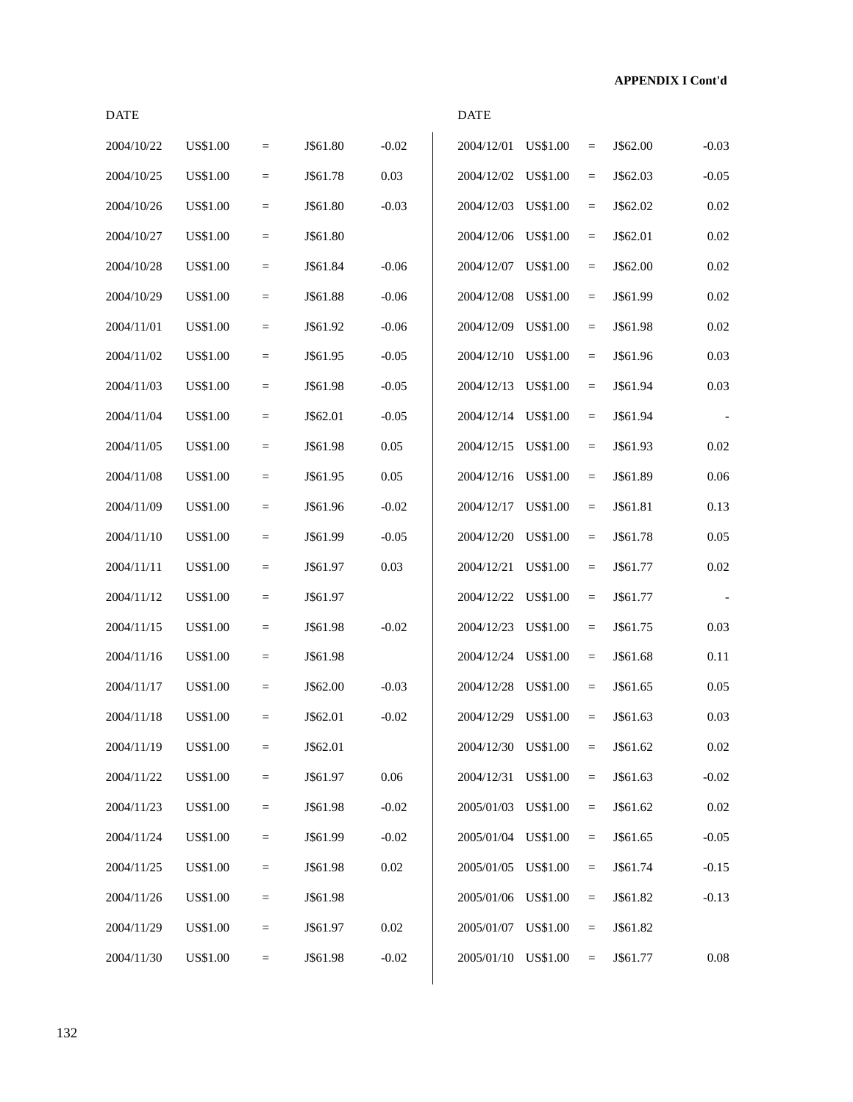| 2004/10/22 | <b>US\$1.00</b> | $\qquad \qquad =$ | J\$61.80 | $-0.02$  | 2004/12/01              | <b>US\$1.00</b> | $=$               | J\$62.00 | $-0.03$  |
|------------|-----------------|-------------------|----------|----------|-------------------------|-----------------|-------------------|----------|----------|
| 2004/10/25 | <b>US\$1.00</b> | $=$               | J\$61.78 | 0.03     | 2004/12/02              | <b>US\$1.00</b> | $\equiv$          | J\$62.03 | $-0.05$  |
| 2004/10/26 | <b>US\$1.00</b> | $\qquad \qquad =$ | J\$61.80 | $-0.03$  | 2004/12/03              | US\$1.00        | $\quad =$         | J\$62.02 | 0.02     |
| 2004/10/27 | <b>US\$1.00</b> | $\qquad \qquad =$ | J\$61.80 |          | 2004/12/06 US\$1.00     |                 | $\quad =$         | J\$62.01 | 0.02     |
| 2004/10/28 | <b>US\$1.00</b> | $\qquad \qquad =$ | J\$61.84 | $-0.06$  | 2004/12/07              | <b>US\$1.00</b> | $\quad =$         | J\$62.00 | 0.02     |
| 2004/10/29 | <b>US\$1.00</b> | $\quad =$         | J\$61.88 | $-0.06$  | 2004/12/08              | <b>US\$1.00</b> | $\qquad \qquad =$ | J\$61.99 | 0.02     |
| 2004/11/01 | <b>US\$1.00</b> | $=$               | J\$61.92 | $-0.06$  | 2004/12/09              | US\$1.00        | $\equiv$          | J\$61.98 | 0.02     |
| 2004/11/02 | <b>US\$1.00</b> | $\qquad \qquad =$ | J\$61.95 | $-0.05$  | 2004/12/10              | US\$1.00        | $\quad =$         | J\$61.96 | 0.03     |
| 2004/11/03 | <b>US\$1.00</b> | $=$               | J\$61.98 | $-0.05$  | 2004/12/13              | <b>US\$1.00</b> | $\quad =$         | J\$61.94 | 0.03     |
| 2004/11/04 | <b>US\$1.00</b> | $\qquad \qquad =$ | J\$62.01 | $-0.05$  | 2004/12/14              | <b>US\$1.00</b> | $\quad =$         | J\$61.94 |          |
| 2004/11/05 | <b>US\$1.00</b> | $=$               | J\$61.98 | 0.05     | 2004/12/15              | <b>US\$1.00</b> | $\quad =$         | J\$61.93 | 0.02     |
| 2004/11/08 | <b>US\$1.00</b> | $\quad =$         | J\$61.95 | 0.05     | 2004/12/16 US\$1.00     |                 | $=$               | J\$61.89 | 0.06     |
| 2004/11/09 | <b>US\$1.00</b> | $\qquad \qquad =$ | J\$61.96 | $-0.02$  | 2004/12/17              | US\$1.00        | $\quad =$         | J\$61.81 | 0.13     |
| 2004/11/10 | <b>US\$1.00</b> | $\qquad \qquad =$ | J\$61.99 | $-0.05$  | 2004/12/20              | <b>US\$1.00</b> | $\quad =$         | J\$61.78 | 0.05     |
| 2004/11/11 | <b>US\$1.00</b> | $\qquad \qquad =$ | J\$61.97 | 0.03     | 2004/12/21              | <b>US\$1.00</b> | $\quad =$         | J\$61.77 | $0.02\,$ |
| 2004/11/12 | <b>US\$1.00</b> | $=$               | J\$61.97 |          | 2004/12/22              | <b>US\$1.00</b> | $\quad =$         | J\$61.77 |          |
| 2004/11/15 | <b>US\$1.00</b> | $=$               | J\$61.98 | $-0.02$  | 2004/12/23              | <b>US\$1.00</b> | $\equiv$          | J\$61.75 | 0.03     |
| 2004/11/16 | <b>US\$1.00</b> | $\qquad \qquad =$ | J\$61.98 |          | 2004/12/24              | <b>US\$1.00</b> | $\quad =$         | J\$61.68 | 0.11     |
| 2004/11/17 | <b>US\$1.00</b> | $\qquad \qquad =$ | J\$62.00 | $-0.03$  | 2004/12/28              | US\$1.00        | $\quad =$         | J\$61.65 | 0.05     |
| 2004/11/18 | <b>US\$1.00</b> | $\qquad \qquad =$ | J\$62.01 | $-0.02$  | 2004/12/29              | US\$1.00        | $=$               | J\$61.63 | 0.03     |
| 2004/11/19 | <b>US\$1.00</b> | $\qquad \qquad -$ | J\$62.01 |          | $2004/12/30$ US\$1.00 = |                 |                   | J\$61.62 | $0.02\,$ |
| 2004/11/22 | <b>US\$1.00</b> | $=$               | J\$61.97 | $0.06\,$ | 2004/12/31 US\$1.00     |                 | $\equiv$          | J\$61.63 | $-0.02$  |
| 2004/11/23 | US\$1.00        | $\qquad \qquad =$ | J\$61.98 | $-0.02$  | 2005/01/03              | US\$1.00        | $\quad =$         | J\$61.62 | $0.02\,$ |
| 2004/11/24 | US\$1.00        | $=$               | J\$61.99 | $-0.02$  | 2005/01/04              | <b>US\$1.00</b> | $=$               | J\$61.65 | $-0.05$  |
| 2004/11/25 | <b>US\$1.00</b> | $\qquad \qquad =$ | J\$61.98 | $0.02\,$ | 2005/01/05              | <b>US\$1.00</b> | $\quad =$         | J\$61.74 | $-0.15$  |
| 2004/11/26 | <b>US\$1.00</b> | $=$               | J\$61.98 |          | 2005/01/06 US\$1.00     |                 | $=$               | J\$61.82 | $-0.13$  |
| 2004/11/29 | <b>US\$1.00</b> | $\quad =$         | J\$61.97 | $0.02\,$ | 2005/01/07 US\$1.00     |                 | $=$               | J\$61.82 |          |
| 2004/11/30 | US\$1.00        | $=$               | J\$61.98 | $-0.02$  | 2005/01/10 US\$1.00     |                 | $=$               | J\$61.77 | $0.08\,$ |
|            |                 |                   |          |          |                         |                 |                   |          |          |

DATE DATE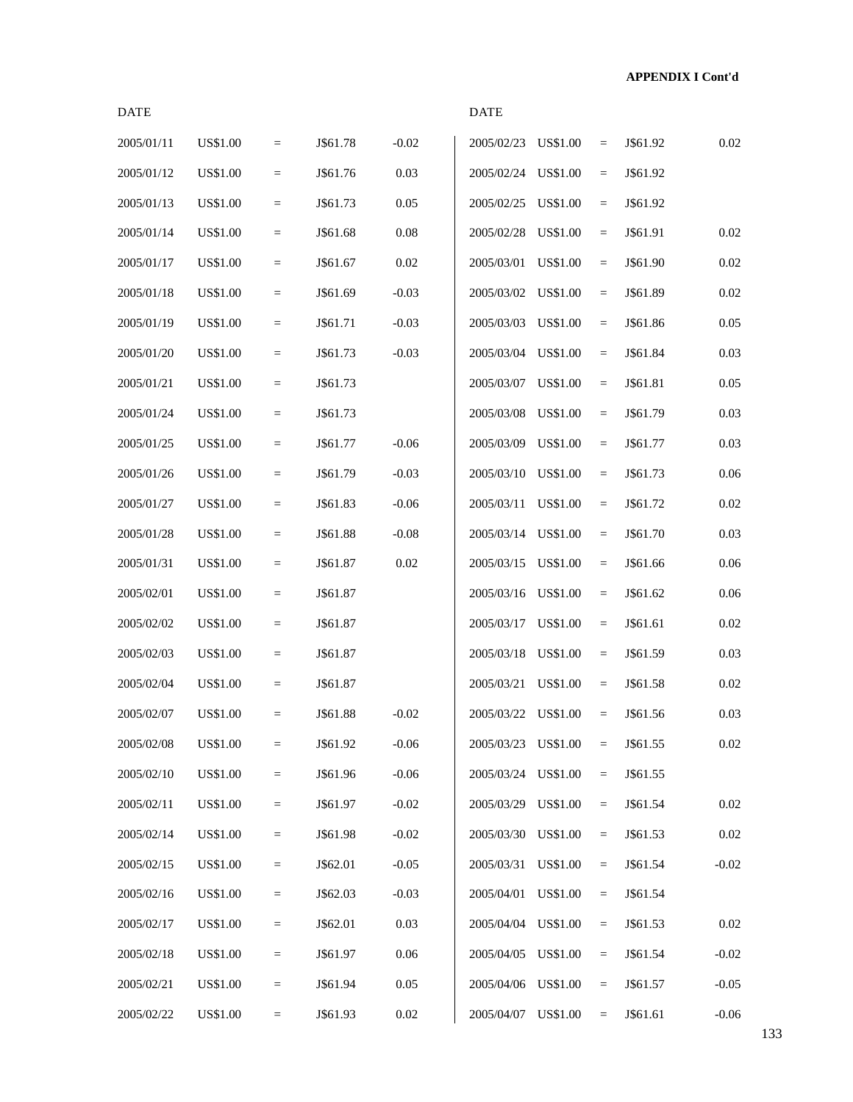| <b>DATE</b> |                 |           |          |          | <b>DATE</b> |                 |           |          |         |
|-------------|-----------------|-----------|----------|----------|-------------|-----------------|-----------|----------|---------|
| 2005/01/11  | <b>US\$1.00</b> | $=$       | J\$61.78 | $-0.02$  | 2005/02/23  | <b>US\$1.00</b> | $=$       | J\$61.92 | 0.02    |
| 2005/01/12  | <b>US\$1.00</b> | $=$       | J\$61.76 | 0.03     | 2005/02/24  | <b>US\$1.00</b> | $\quad =$ | J\$61.92 |         |
| 2005/01/13  | US\$1.00        | $\quad =$ | J\$61.73 | 0.05     | 2005/02/25  | <b>US\$1.00</b> | $=$       | J\$61.92 |         |
| 2005/01/14  | <b>US\$1.00</b> | $\quad =$ | J\$61.68 | 0.08     | 2005/02/28  | <b>US\$1.00</b> | $\quad =$ | J\$61.91 | 0.02    |
| 2005/01/17  | <b>US\$1.00</b> | $\quad =$ | J\$61.67 | 0.02     | 2005/03/01  | <b>US\$1.00</b> | $=$       | J\$61.90 | 0.02    |
| 2005/01/18  | <b>US\$1.00</b> | $=$       | J\$61.69 | $-0.03$  | 2005/03/02  | <b>US\$1.00</b> | $\equiv$  | J\$61.89 | 0.02    |
| 2005/01/19  | <b>US\$1.00</b> | $\quad =$ | J\$61.71 | $-0.03$  | 2005/03/03  | <b>US\$1.00</b> | $\equiv$  | J\$61.86 | 0.05    |
| 2005/01/20  | US\$1.00        | $\quad =$ | J\$61.73 | $-0.03$  | 2005/03/04  | <b>US\$1.00</b> | $\quad =$ | J\$61.84 | 0.03    |
| 2005/01/21  | <b>US\$1.00</b> | $=$       | J\$61.73 |          | 2005/03/07  | <b>US\$1.00</b> | $=$       | J\$61.81 | 0.05    |
| 2005/01/24  | <b>US\$1.00</b> | $=$       | J\$61.73 |          | 2005/03/08  | <b>US\$1.00</b> | $\quad =$ | J\$61.79 | 0.03    |
| 2005/01/25  | <b>US\$1.00</b> | $\quad =$ | J\$61.77 | $-0.06$  | 2005/03/09  | <b>US\$1.00</b> | $=$       | J\$61.77 | 0.03    |
| 2005/01/26  | <b>US\$1.00</b> | $\quad =$ | J\$61.79 | $-0.03$  | 2005/03/10  | <b>US\$1.00</b> | $\quad =$ | J\$61.73 | 0.06    |
| 2005/01/27  | US\$1.00        | $\quad =$ | J\$61.83 | $-0.06$  | 2005/03/11  | <b>US\$1.00</b> | $=$       | J\$61.72 | 0.02    |
| 2005/01/28  | <b>US\$1.00</b> | $\quad =$ | J\$61.88 | $-0.08$  | 2005/03/14  | <b>US\$1.00</b> | $\quad =$ | J\$61.70 | 0.03    |
| 2005/01/31  | <b>US\$1.00</b> | $=$       | J\$61.87 | 0.02     | 2005/03/15  | <b>US\$1.00</b> | $=$       | J\$61.66 | 0.06    |
| 2005/02/01  | <b>US\$1.00</b> | $=$       | J\$61.87 |          | 2005/03/16  | <b>US\$1.00</b> | $\equiv$  | J\$61.62 | 0.06    |
| 2005/02/02  | <b>US\$1.00</b> | $=$       | J\$61.87 |          | 2005/03/17  | <b>US\$1.00</b> | $\quad =$ | J\$61.61 | 0.02    |
| 2005/02/03  | US\$1.00        | $\quad =$ | J\$61.87 |          | 2005/03/18  | <b>US\$1.00</b> | $\quad =$ | J\$61.59 | 0.03    |
| 2005/02/04  | <b>US\$1.00</b> | $\quad =$ | J\$61.87 |          | 2005/03/21  | <b>US\$1.00</b> | $=$       | J\$61.58 | 0.02    |
| 2005/02/07  | <b>US\$1.00</b> | $=$       | J\$61.88 | $-0.02$  | 2005/03/22  | <b>US\$1.00</b> | $=$       | J\$61.56 | 0.03    |
| 2005/02/08  | US\$1.00        | $=$       | J\$61.92 | $-0.06$  | 2005/03/23  | <b>US\$1.00</b> | $=$       | J\$61.55 | 0.02    |
| 2005/02/10  | <b>US\$1.00</b> | $\quad =$ | J\$61.96 | $-0.06$  | 2005/03/24  | <b>US\$1.00</b> | $=$       | J\$61.55 |         |
| 2005/02/11  | US\$1.00        | $\quad =$ | J\$61.97 | $-0.02$  | 2005/03/29  | <b>US\$1.00</b> | $=$       | J\$61.54 | 0.02    |
| 2005/02/14  | US\$1.00        | $=$       | J\$61.98 | $-0.02$  | 2005/03/30  | <b>US\$1.00</b> | $=$       | J\$61.53 | 0.02    |
| 2005/02/15  | <b>US\$1.00</b> | $\quad =$ | J\$62.01 | $-0.05$  | 2005/03/31  | <b>US\$1.00</b> | $=$       | J\$61.54 | $-0.02$ |
| 2005/02/16  | <b>US\$1.00</b> | $=$       | J\$62.03 | $-0.03$  | 2005/04/01  | <b>US\$1.00</b> | $=$       | J\$61.54 |         |
| 2005/02/17  | <b>US\$1.00</b> | $=$       | J\$62.01 | 0.03     | 2005/04/04  | <b>US\$1.00</b> | $\quad =$ | J\$61.53 | 0.02    |
| 2005/02/18  | US\$1.00        | $\quad =$ | J\$61.97 | 0.06     | 2005/04/05  | <b>US\$1.00</b> | $=$       | J\$61.54 | $-0.02$ |
| 2005/02/21  | <b>US\$1.00</b> | $=$       | J\$61.94 | 0.05     | 2005/04/06  | <b>US\$1.00</b> | $=$       | J\$61.57 | $-0.05$ |
| 2005/02/22  | <b>US\$1.00</b> | $\quad =$ | J\$61.93 | $0.02\,$ | 2005/04/07  | <b>US\$1.00</b> | $=$       | J\$61.61 | $-0.06$ |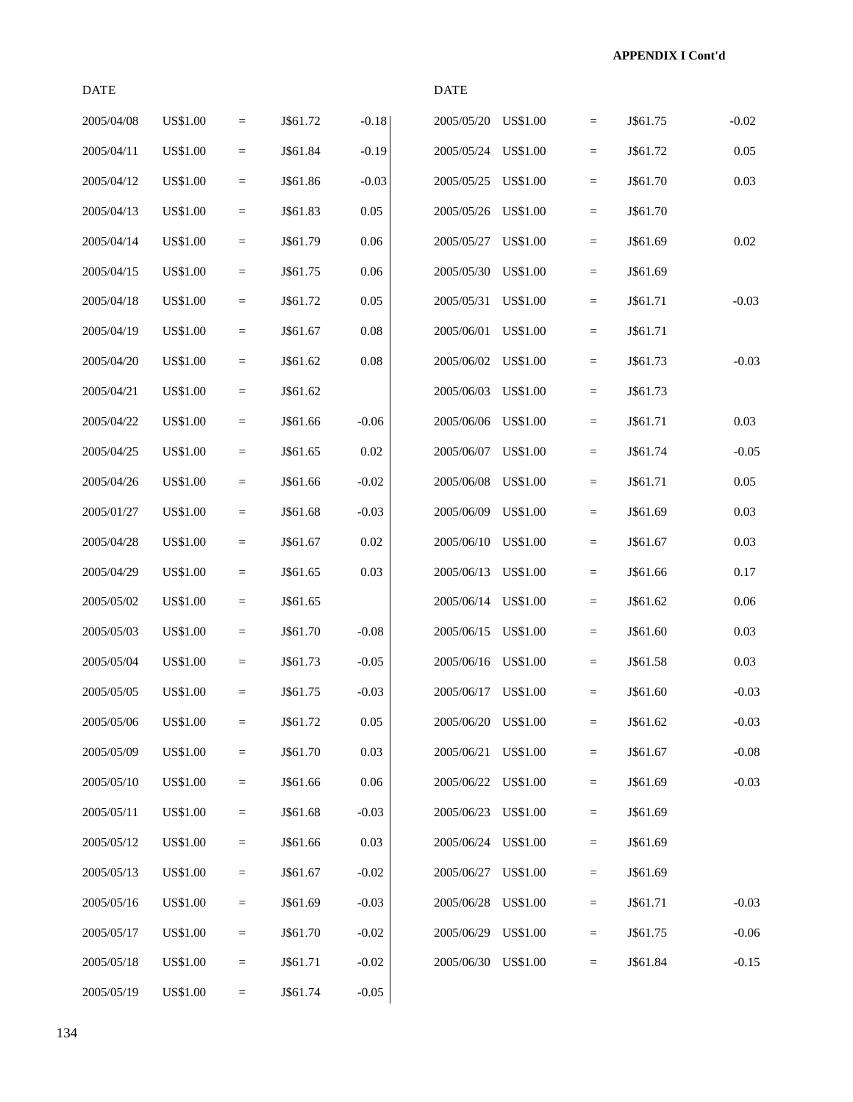| <b>DATE</b> |                 |                   |          |         | <b>DATE</b>         |                 |                            |          |         |
|-------------|-----------------|-------------------|----------|---------|---------------------|-----------------|----------------------------|----------|---------|
| 2005/04/08  | <b>US\$1.00</b> | $=$               | J\$61.72 | $-0.18$ | 2005/05/20          | <b>US\$1.00</b> | $\equiv$                   | J\$61.75 | $-0.02$ |
| 2005/04/11  | <b>US\$1.00</b> | $=$               | J\$61.84 | $-0.19$ | 2005/05/24          | <b>US\$1.00</b> | $\quad =$                  | J\$61.72 | 0.05    |
| 2005/04/12  | <b>US\$1.00</b> | $\quad =$         | J\$61.86 | $-0.03$ | 2005/05/25          | <b>US\$1.00</b> | $\quad =$                  | J\$61.70 | 0.03    |
| 2005/04/13  | <b>US\$1.00</b> | $\equiv$          | J\$61.83 | 0.05    | 2005/05/26          | <b>US\$1.00</b> | $\equiv$                   | J\$61.70 |         |
| 2005/04/14  | <b>US\$1.00</b> | $\quad =$         | J\$61.79 | 0.06    | 2005/05/27          | <b>US\$1.00</b> | $\quad =$                  | J\$61.69 | 0.02    |
| 2005/04/15  | <b>US\$1.00</b> | $=$               | J\$61.75 | 0.06    | 2005/05/30          | <b>US\$1.00</b> | $\equiv$                   | J\$61.69 |         |
| 2005/04/18  | <b>US\$1.00</b> | $\quad =$         | J\$61.72 | 0.05    | 2005/05/31          | <b>US\$1.00</b> | $\quad =$                  | J\$61.71 | $-0.03$ |
| 2005/04/19  | <b>US\$1.00</b> | $\quad =$         | J\$61.67 | 0.08    | 2005/06/01          | <b>US\$1.00</b> | $\quad =$                  | J\$61.71 |         |
| 2005/04/20  | <b>US\$1.00</b> | $\equiv$          | J\$61.62 | 0.08    | 2005/06/02          | <b>US\$1.00</b> | $\quad \  \, =\quad \  \,$ | J\$61.73 | $-0.03$ |
| 2005/04/21  | <b>US\$1.00</b> | $\qquad \qquad =$ | J\$61.62 |         | 2005/06/03          | <b>US\$1.00</b> | $\quad =$                  | J\$61.73 |         |
| 2005/04/22  | <b>US\$1.00</b> | $=$               | J\$61.66 | $-0.06$ | 2005/06/06          | <b>US\$1.00</b> | $\equiv$                   | J\$61.71 | 0.03    |
| 2005/04/25  | <b>US\$1.00</b> | $\qquad \qquad =$ | J\$61.65 | 0.02    | 2005/06/07          | <b>US\$1.00</b> | $\quad =$                  | J\$61.74 | $-0.05$ |
| 2005/04/26  | <b>US\$1.00</b> | $\qquad \qquad =$ | J\$61.66 | $-0.02$ | 2005/06/08          | <b>US\$1.00</b> | $\quad =$                  | J\$61.71 | 0.05    |
| 2005/01/27  | <b>US\$1.00</b> | $\equiv$          | J\$61.68 | $-0.03$ | 2005/06/09          | <b>US\$1.00</b> | $\quad \  \, =\quad \  \,$ | J\$61.69 | 0.03    |
| 2005/04/28  | <b>US\$1.00</b> | $\qquad \qquad =$ | J\$61.67 | 0.02    | 2005/06/10          | <b>US\$1.00</b> | $\quad =$                  | J\$61.67 | 0.03    |
| 2005/04/29  | <b>US\$1.00</b> | $=$               | J\$61.65 | 0.03    | 2005/06/13          | <b>US\$1.00</b> | $\equiv$                   | J\$61.66 | 0.17    |
| 2005/05/02  | <b>US\$1.00</b> | $\qquad \qquad =$ | J\$61.65 |         | 2005/06/14          | <b>US\$1.00</b> | $\quad =$                  | J\$61.62 | 0.06    |
| 2005/05/03  | <b>US\$1.00</b> | $\qquad \qquad =$ | J\$61.70 | $-0.08$ | 2005/06/15          | <b>US\$1.00</b> | $\quad =$                  | J\$61.60 | 0.03    |
| 2005/05/04  | <b>US\$1.00</b> | $\equiv$          | J\$61.73 | $-0.05$ | 2005/06/16          | <b>US\$1.00</b> | $\quad \  \, =\quad \  \,$ | J\$61.58 | 0.03    |
| 2005/05/05  | <b>US\$1.00</b> | $=$               | J\$61.75 | $-0.03$ | 2005/06/17 US\$1.00 |                 | $\quad =$                  | J\$61.60 | $-0.03$ |
| 2005/05/06  | US\$1.00        | $\qquad \qquad =$ | J\$61.72 | 0.05    | 2005/06/20 US\$1.00 |                 | $\quad =$                  | J\$61.62 | $-0.03$ |
| 2005/05/09  | US\$1.00        | $=$               | J\$61.70 | 0.03    | 2005/06/21 US\$1.00 |                 | $\equiv$                   | J\$61.67 | $-0.08$ |
| 2005/05/10  | US\$1.00        | $\qquad \qquad =$ | J\$61.66 | 0.06    | 2005/06/22          | <b>US\$1.00</b> | $\equiv$                   | J\$61.69 | $-0.03$ |
| 2005/05/11  | <b>US\$1.00</b> | $\equiv$          | J\$61.68 | $-0.03$ | 2005/06/23          | <b>US\$1.00</b> | $\quad \  \  =$            | J\$61.69 |         |
| 2005/05/12  | <b>US\$1.00</b> | $=$               | J\$61.66 | 0.03    | 2005/06/24          | <b>US\$1.00</b> | $\quad =$                  | J\$61.69 |         |
| 2005/05/13  | <b>US\$1.00</b> | $=$               | J\$61.67 | $-0.02$ | 2005/06/27          | <b>US\$1.00</b> | $\equiv$                   | J\$61.69 |         |
| 2005/05/16  | US\$1.00        | $=$               | J\$61.69 | $-0.03$ | 2005/06/28          | <b>US\$1.00</b> | $\equiv$                   | J\$61.71 | $-0.03$ |
| 2005/05/17  | US\$1.00        | $=$               | J\$61.70 | $-0.02$ | 2005/06/29          | <b>US\$1.00</b> | $\equiv$                   | J\$61.75 | $-0.06$ |
| 2005/05/18  | <b>US\$1.00</b> | $\equiv$          | J\$61.71 | $-0.02$ | 2005/06/30          | <b>US\$1.00</b> | $\equiv$                   | J\$61.84 | $-0.15$ |
| 2005/05/19  | <b>US\$1.00</b> | $=$               | J\$61.74 | $-0.05$ |                     |                 |                            |          |         |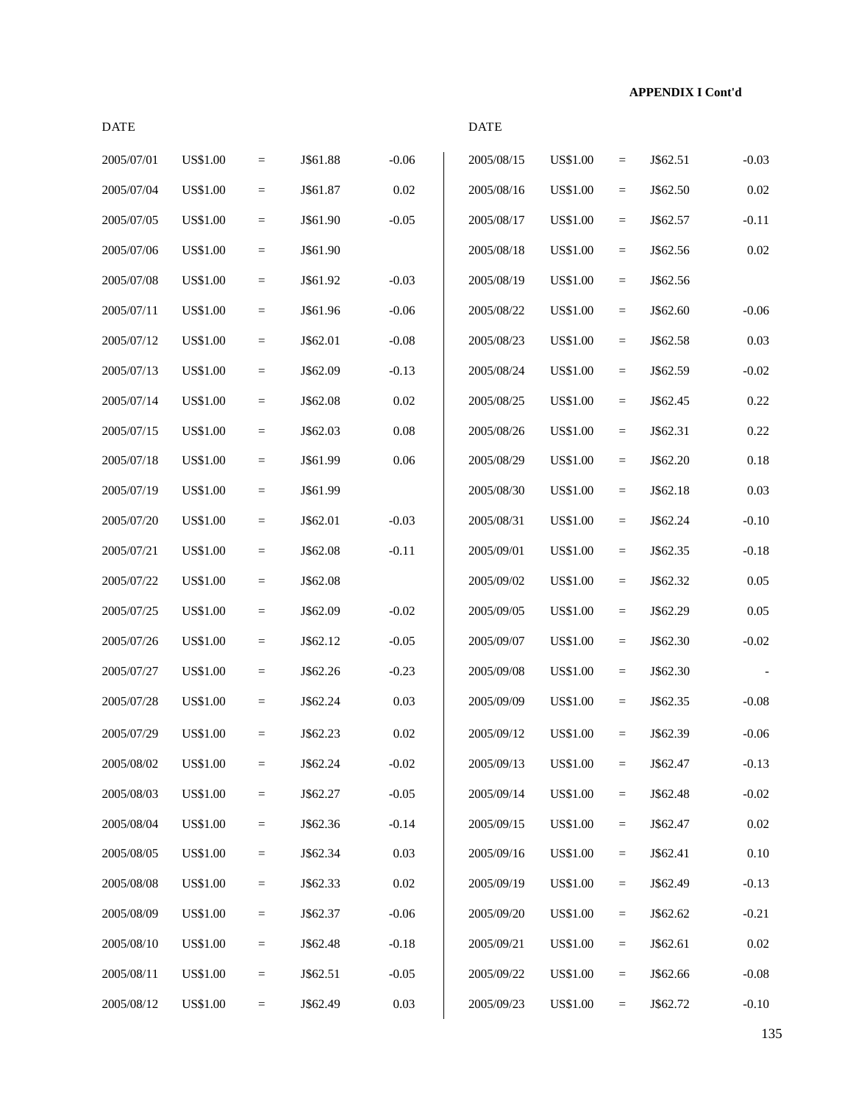| <b>DATE</b> |                 |           |          |          | <b>DATE</b> |                 |                   |          |          |
|-------------|-----------------|-----------|----------|----------|-------------|-----------------|-------------------|----------|----------|
| 2005/07/01  | <b>US\$1.00</b> | $\equiv$  | J\$61.88 | $-0.06$  | 2005/08/15  | <b>US\$1.00</b> | $\qquad \qquad =$ | J\$62.51 | $-0.03$  |
| 2005/07/04  | <b>US\$1.00</b> | $=$       | J\$61.87 | $0.02\,$ | 2005/08/16  | US\$1.00        | $\equiv$          | J\$62.50 | 0.02     |
| 2005/07/05  | <b>US\$1.00</b> | $\equiv$  | J\$61.90 | $-0.05$  | 2005/08/17  | US\$1.00        | $\equiv$          | J\$62.57 | $-0.11$  |
| 2005/07/06  | <b>US\$1.00</b> | $\quad =$ | J\$61.90 |          | 2005/08/18  | <b>US\$1.00</b> | $\equiv$          | J\$62.56 | $0.02\,$ |
| 2005/07/08  | <b>US\$1.00</b> | $\equiv$  | J\$61.92 | $-0.03$  | 2005/08/19  | US\$1.00        | $\qquad \qquad =$ | J\$62.56 |          |
| 2005/07/11  | <b>US\$1.00</b> | $\equiv$  | J\$61.96 | $-0.06$  | 2005/08/22  | US\$1.00        | $=$               | J\$62.60 | $-0.06$  |
| 2005/07/12  | <b>US\$1.00</b> | $=$       | J\$62.01 | $-0.08$  | 2005/08/23  | US\$1.00        | $\equiv$          | J\$62.58 | 0.03     |
| 2005/07/13  | <b>US\$1.00</b> | $\equiv$  | J\$62.09 | $-0.13$  | 2005/08/24  | US\$1.00        | $\equiv$          | J\$62.59 | $-0.02$  |
| 2005/07/14  | <b>US\$1.00</b> | $\quad =$ | J\$62.08 | 0.02     | 2005/08/25  | <b>US\$1.00</b> | $\equiv$          | J\$62.45 | 0.22     |
| 2005/07/15  | <b>US\$1.00</b> | $\quad =$ | J\$62.03 | 0.08     | 2005/08/26  | US\$1.00        | $\equiv$          | J\$62.31 | 0.22     |
| 2005/07/18  | <b>US\$1.00</b> | $\equiv$  | J\$61.99 | 0.06     | 2005/08/29  | US\$1.00        | $\qquad \qquad =$ | J\$62.20 | 0.18     |
| 2005/07/19  | <b>US\$1.00</b> | $\equiv$  | J\$61.99 |          | 2005/08/30  | US\$1.00        | $\equiv$          | J\$62.18 | 0.03     |
| 2005/07/20  | <b>US\$1.00</b> | $\equiv$  | J\$62.01 | $-0.03$  | 2005/08/31  | US\$1.00        | $\equiv$          | J\$62.24 | $-0.10$  |
| 2005/07/21  | <b>US\$1.00</b> | $\quad =$ | J\$62.08 | $-0.11$  | 2005/09/01  | US\$1.00        | $\equiv$          | J\$62.35 | $-0.18$  |
| 2005/07/22  | <b>US\$1.00</b> | $\quad =$ | J\$62.08 |          | 2005/09/02  | US\$1.00        | $\qquad \qquad =$ | J\$62.32 | 0.05     |
| 2005/07/25  | <b>US\$1.00</b> | $\equiv$  | J\$62.09 | $-0.02$  | 2005/09/05  | US\$1.00        | $\qquad \qquad =$ | J\$62.29 | 0.05     |
| 2005/07/26  | <b>US\$1.00</b> | $=$       | J\$62.12 | $-0.05$  | 2005/09/07  | US\$1.00        | $\equiv$          | J\$62.30 | $-0.02$  |
| 2005/07/27  | US\$1.00        | $\equiv$  | J\$62.26 | $-0.23$  | 2005/09/08  | US\$1.00        | $\equiv$          | J\$62.30 |          |
| 2005/07/28  | <b>US\$1.00</b> | $\quad =$ | J\$62.24 | 0.03     | 2005/09/09  | <b>US\$1.00</b> | $\equiv$          | J\$62.35 | $-0.08$  |
| 2005/07/29  | <b>US\$1.00</b> | $=$       | J\$62.23 | 0.02     | 2005/09/12  | <b>US\$1.00</b> | $\equiv$          | J\$62.39 | $-0.06$  |
| 2005/08/02  | US\$1.00        | $\equiv$  | J\$62.24 | $-0.02$  | 2005/09/13  | US\$1.00        | $=$               | J\$62.47 | $-0.13$  |
| 2005/08/03  | <b>US\$1.00</b> | $\equiv$  | J\$62.27 | $-0.05$  | 2005/09/14  | <b>US\$1.00</b> | $\equiv$          | J\$62.48 | $-0.02$  |
| 2005/08/04  | <b>US\$1.00</b> | $\equiv$  | J\$62.36 | $-0.14$  | 2005/09/15  | US\$1.00        | $\equiv$          | J\$62.47 | 0.02     |
| 2005/08/05  | US\$1.00        | $\equiv$  | J\$62.34 | 0.03     | 2005/09/16  | <b>US\$1.00</b> | $\qquad \qquad =$ | J\$62.41 | 0.10     |
| 2005/08/08  | US\$1.00        | $\equiv$  | J\$62.33 | $0.02\,$ | 2005/09/19  | US\$1.00        | $=$               | J\$62.49 | $-0.13$  |
| 2005/08/09  | US\$1.00        | $\equiv$  | J\$62.37 | $-0.06$  | 2005/09/20  | US\$1.00        | $\equiv$          | J\$62.62 | $-0.21$  |
| 2005/08/10  | US\$1.00        | $\equiv$  | J\$62.48 | $-0.18$  | 2005/09/21  | <b>US\$1.00</b> | $\equiv$          | J\$62.61 | $0.02\,$ |
| 2005/08/11  | US\$1.00        | $\equiv$  | J\$62.51 | $-0.05$  | 2005/09/22  | US\$1.00        | $\equiv$          | J\$62.66 | $-0.08$  |
| 2005/08/12  | <b>US\$1.00</b> | $\equiv$  | J\$62.49 | 0.03     | 2005/09/23  | <b>US\$1.00</b> | $\equiv$          | J\$62.72 | $-0.10$  |
|             |                 |           |          |          |             |                 |                   |          |          |

135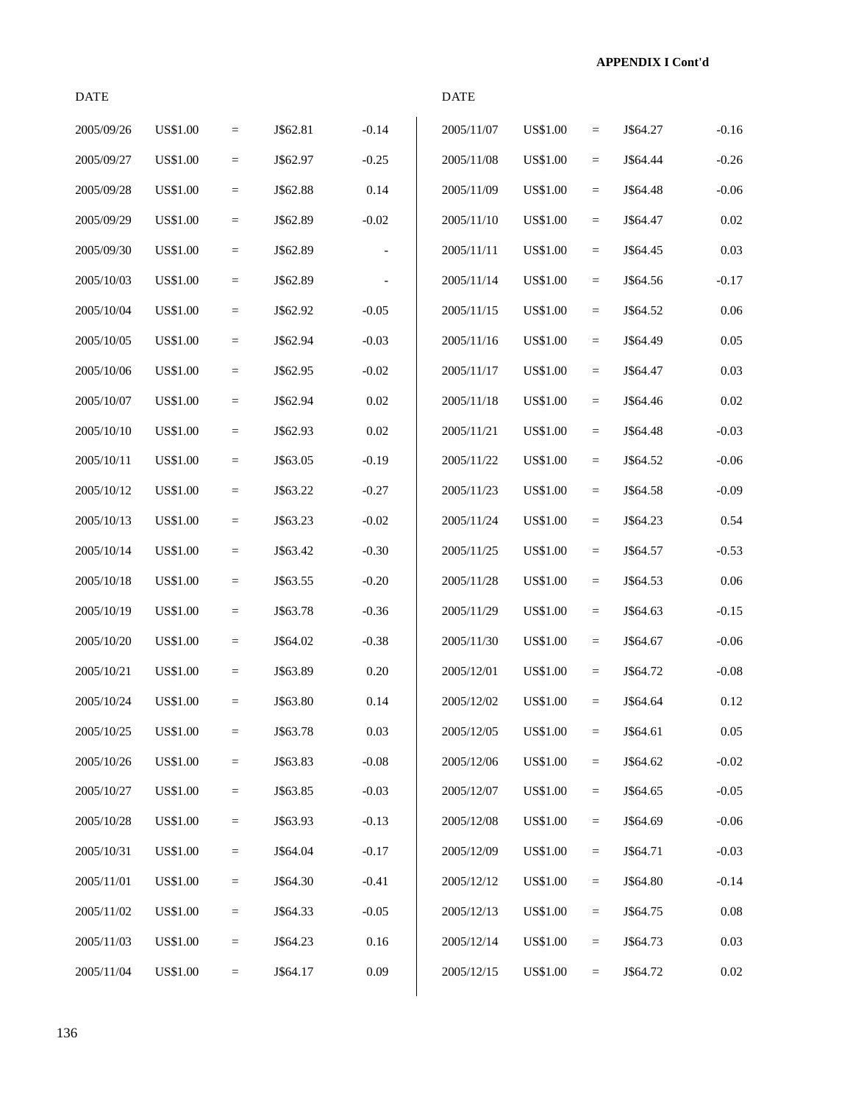DATE DATE 2005/09/26 US\$1.00 = J\$62.81 -0.14 2005/11/07 US\$1.00 = J\$64.27 -0.16 2005/09/27 US\$1.00 = J\$62.97 -0.25 2005/11/08 US\$1.00 = J\$64.44 -0.26 2005/09/28 US\$1.00 = J\$62.88 0.14 2005/11/09 US\$1.00 = J\$64.48 -0.06 2005/09/29 US\$1.00 = J\$62.89 -0.02 2005/11/10 US\$1.00 = J\$64.47 0.02 2005/09/30 US\$1.00 = J\$62.89 - 2005/11/11 US\$1.00 = J\$64.45 0.03 2005/10/03 US\$1.00 = J\$62.89 - 2005/11/14 US\$1.00 = J\$64.56 -0.17 2005/10/04 US\$1.00 = J\$62.92 -0.05 2005/11/15 US\$1.00 = J\$64.52 0.06 2005/10/05 US\$1.00 = J\$62.94 -0.03 2005/11/16 US\$1.00 = J\$64.49 0.05 2005/10/06 US\$1.00 = J\$62.95 -0.02 2005/11/17 US\$1.00 = J\$64.47 0.03 2005/10/07 US\$1.00 = J\$62.94 0.02 2005/11/18 US\$1.00 = J\$64.46 0.02 2005/10/10 US\$1.00 = J\$62.93 0.02 2005/11/21 US\$1.00 = J\$64.48 -0.03 2005/10/11 US\$1.00 = J\$63.05 -0.19 2005/11/22 US\$1.00 = J\$64.52 -0.06 2005/10/12 US\$1.00 = J\$63.22 -0.27 2005/11/23 US\$1.00 = J\$64.58 -0.09 2005/10/13 US\$1.00 = J\$63.23 -0.02 2005/11/24 US\$1.00 = J\$64.23 0.54 2005/10/14 US\$1.00 = J\$63.42 -0.30 2005/11/25 US\$1.00 = J\$64.57 -0.53 2005/10/18 US\$1.00 = J\$63.55 -0.20 2005/11/28 US\$1.00 = J\$64.53 0.06 2005/10/19 US\$1.00 = J\$63.78 -0.36 2005/11/29 US\$1.00 = J\$64.63 -0.15 2005/10/20 US\$1.00 = J\$64.02 -0.38 2005/11/30 US\$1.00 = J\$64.67 -0.06 2005/10/21 US\$1.00 = J\$63.89 0.20 2005/12/01 US\$1.00 = J\$64.72 -0.08 2005/10/24 US\$1.00 = J\$63.80 0.14 2005/12/02 US\$1.00 = J\$64.64 0.12 2005/10/25 US\$1.00 = J\$63.78 0.03 2005/12/05 US\$1.00 = J\$64.61 0.05 2005/10/26 US\$1.00 = J\$63.83 -0.08 2005/12/06 US\$1.00 = J\$64.62 -0.02 2005/10/27 US\$1.00 = J\$63.85 -0.03 2005/12/07 US\$1.00 = J\$64.65 -0.05 2005/10/28 US\$1.00 = J\$63.93 -0.13 2005/12/08 US\$1.00 = J\$64.69 -0.06 2005/10/31 US\$1.00 = J\$64.04 -0.17 2005/12/09 US\$1.00 = J\$64.71 -0.03 2005/11/01 US\$1.00 = J\$64.30 -0.41 2005/12/12 US\$1.00 = J\$64.80 -0.14 2005/11/02 US\$1.00 = J\$64.33 -0.05 2005/12/13 US\$1.00 = J\$64.75 0.08 2005/11/03 US\$1.00 = J\$64.23 0.16 2005/12/14 US\$1.00 = J\$64.73 0.03

2005/11/04 US\$1.00 = J\$64.17 0.09 2005/12/15 US\$1.00 = J\$64.72 0.02

| 2005/11/07 | US\$1.00        | $=$ | J\$64.27 | $-0.16$  |
|------------|-----------------|-----|----------|----------|
| 2005/11/08 | <b>US\$1.00</b> | $=$ | J\$64.44 | $-0.26$  |
| 2005/11/09 | <b>US\$1.00</b> | $=$ | J\$64.48 | $-0.06$  |
| 2005/11/10 | <b>US\$1.00</b> | $=$ | J\$64.47 | 0.02     |
| 2005/11/11 | <b>US\$1.00</b> | $=$ | J\$64.45 | 0.03     |
| 2005/11/14 | <b>US\$1.00</b> | $=$ | J\$64.56 | $-0.17$  |
| 2005/11/15 | <b>US\$1.00</b> | $=$ | J\$64.52 | 0.06     |
| 2005/11/16 | <b>US\$1.00</b> | $=$ | J\$64.49 | 0.05     |
| 2005/11/17 | <b>US\$1.00</b> | $=$ | J\$64.47 | 0.03     |
| 2005/11/18 | <b>US\$1.00</b> | $=$ | J\$64.46 | 0.02     |
| 2005/11/21 | <b>US\$1.00</b> | $=$ | J\$64.48 | $-0.03$  |
| 2005/11/22 | <b>US\$1.00</b> | $=$ | J\$64.52 | $-0.06$  |
| 2005/11/23 | <b>US\$1.00</b> | $=$ | J\$64.58 | $-0.09$  |
| 2005/11/24 | <b>US\$1.00</b> | $=$ | J\$64.23 | 0.54     |
| 2005/11/25 | <b>US\$1.00</b> | $=$ | J\$64.57 | $-0.53$  |
| 2005/11/28 | <b>US\$1.00</b> | $=$ | J\$64.53 | 0.06     |
| 2005/11/29 | <b>US\$1.00</b> | $=$ | J\$64.63 | $-0.15$  |
| 2005/11/30 | <b>US\$1.00</b> | $=$ | J\$64.67 | $-0.06$  |
| 2005/12/01 | <b>US\$1.00</b> | $=$ | J\$64.72 | $-0.08$  |
| 2005/12/02 | US\$1.00        | $=$ | J\$64.64 | 0.12     |
| 2005/12/05 | US\$1.00        | $=$ | J\$64.61 | 0.05     |
| 2005/12/06 | US\$1.00        | Ξ   | J\$64.62 | $-0.02$  |
| 2005/12/07 | <b>US\$1.00</b> | $=$ | J\$64.65 | $-0.05$  |
| 2005/12/08 | <b>US\$1.00</b> | $=$ | J\$64.69 | $-0.06$  |
| 2005/12/09 | <b>US\$1.00</b> | $=$ | J\$64.71 | $-0.03$  |
| 2005/12/12 | <b>US\$1.00</b> | $=$ | J\$64.80 | $-0.14$  |
| 2005/12/13 | <b>US\$1.00</b> | $=$ | J\$64.75 | $0.08\,$ |
|            |                 |     |          |          |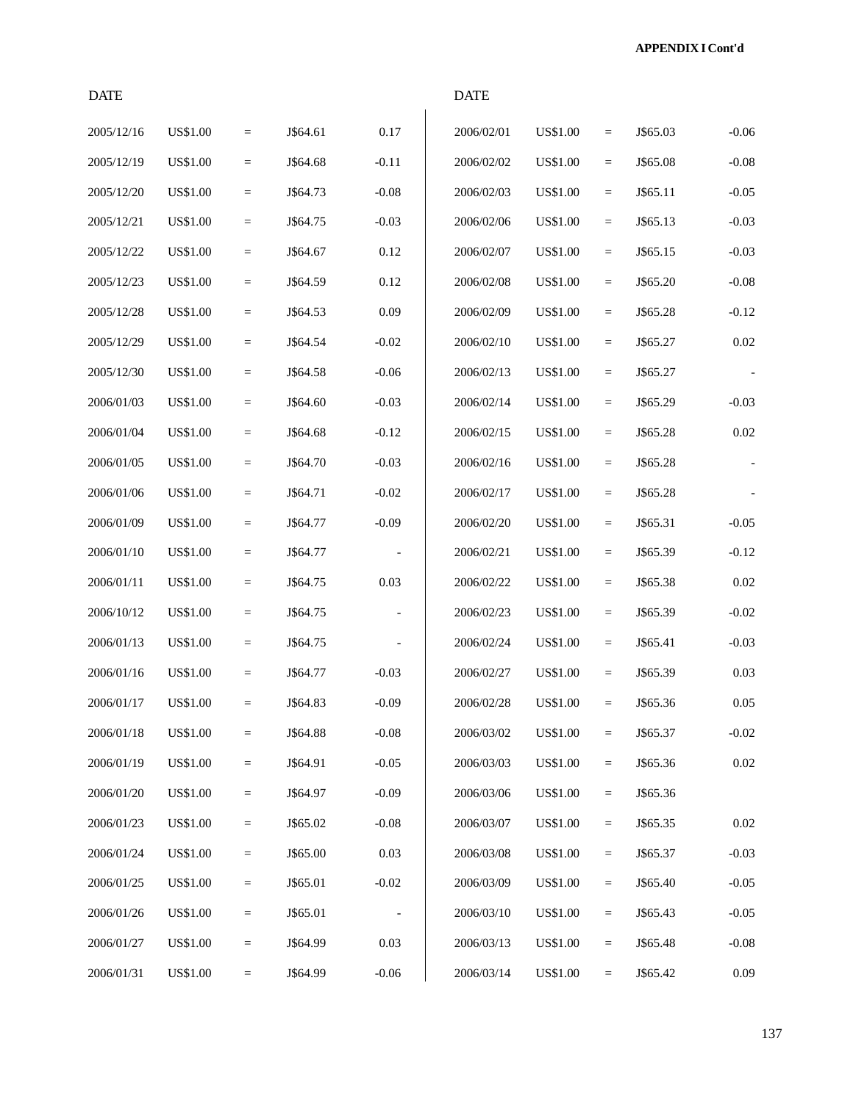| <b>DATE</b> |                 |                 |          |                          | <b>DATE</b> |                 |          |          |          |
|-------------|-----------------|-----------------|----------|--------------------------|-------------|-----------------|----------|----------|----------|
| 2005/12/16  | <b>US\$1.00</b> | $=$             | J\$64.61 | 0.17                     | 2006/02/01  | <b>US\$1.00</b> | $=$      | J\$65.03 | $-0.06$  |
| 2005/12/19  | <b>US\$1.00</b> | $\equiv$        | J\$64.68 | $-0.11$                  | 2006/02/02  | <b>US\$1.00</b> | $=$      | J\$65.08 | $-0.08$  |
| 2005/12/20  | <b>US\$1.00</b> | $\quad =$       | J\$64.73 | $-0.08$                  | 2006/02/03  | <b>US\$1.00</b> | $=$      | J\$65.11 | $-0.05$  |
| 2005/12/21  | <b>US\$1.00</b> | $\quad =$       | J\$64.75 | $-0.03$                  | 2006/02/06  | <b>US\$1.00</b> | $=$      | J\$65.13 | $-0.03$  |
| 2005/12/22  | <b>US\$1.00</b> | $\quad =$       | J\$64.67 | 0.12                     | 2006/02/07  | <b>US\$1.00</b> | $=$      | J\$65.15 | $-0.03$  |
| 2005/12/23  | <b>US\$1.00</b> | $\quad =$       | J\$64.59 | 0.12                     | 2006/02/08  | US\$1.00        | $=$      | J\$65.20 | $-0.08$  |
| 2005/12/28  | <b>US\$1.00</b> | $\equiv$        | J\$64.53 | 0.09                     | 2006/02/09  | <b>US\$1.00</b> | $=$      | J\$65.28 | $-0.12$  |
| 2005/12/29  | <b>US\$1.00</b> | $\quad =$       | J\$64.54 | $-0.02$                  | 2006/02/10  | <b>US\$1.00</b> | $=$      | J\$65.27 | 0.02     |
| 2005/12/30  | <b>US\$1.00</b> | $\equiv$        | J\$64.58 | $-0.06$                  | 2006/02/13  | US\$1.00        | $=$      | J\$65.27 |          |
| 2006/01/03  | <b>US\$1.00</b> | $\quad =$       | J\$64.60 | $-0.03$                  | 2006/02/14  | <b>US\$1.00</b> | $=$      | J\$65.29 | $-0.03$  |
| 2006/01/04  | <b>US\$1.00</b> | $\quad =$       | J\$64.68 | $-0.12$                  | 2006/02/15  | US\$1.00        | $=$      | J\$65.28 | $0.02\,$ |
| 2006/01/05  | <b>US\$1.00</b> | $\equiv$        | J\$64.70 | $-0.03$                  | 2006/02/16  | <b>US\$1.00</b> | $=$      | J\$65.28 |          |
| 2006/01/06  | <b>US\$1.00</b> | $\quad =$       | J\$64.71 | $-0.02$                  | 2006/02/17  | <b>US\$1.00</b> | $=$      | J\$65.28 |          |
| 2006/01/09  | <b>US\$1.00</b> | $\equiv$        | J\$64.77 | $-0.09$                  | 2006/02/20  | US\$1.00        | $=$      | J\$65.31 | $-0.05$  |
| 2006/01/10  | <b>US\$1.00</b> | $=$             | J\$64.77 |                          | 2006/02/21  | <b>US\$1.00</b> | $=$      | J\$65.39 | $-0.12$  |
| 2006/01/11  | <b>US\$1.00</b> | $\quad =$       | J\$64.75 | 0.03                     | 2006/02/22  | US\$1.00        | $=$      | J\$65.38 | 0.02     |
| 2006/10/12  | <b>US\$1.00</b> | $\quad =$       | J\$64.75 | $\overline{\phantom{a}}$ | 2006/02/23  | <b>US\$1.00</b> | $=$      | J\$65.39 | $-0.02$  |
| 2006/01/13  | <b>US\$1.00</b> | $\quad =$       | J\$64.75 |                          | 2006/02/24  | <b>US\$1.00</b> | $=$      | J\$65.41 | $-0.03$  |
| 2006/01/16  | <b>US\$1.00</b> | $\equiv$        | J\$64.77 | $-0.03$                  | 2006/02/27  | US\$1.00        | $=$      | J\$65.39 | 0.03     |
| 2006/01/17  | <b>US\$1.00</b> | $=$             | J\$64.83 | $-0.09$                  | 2006/02/28  | <b>US\$1.00</b> | $=$      | J\$65.36 | 0.05     |
| 2006/01/18  | US\$1.00        | $=$             | J\$64.88 | $-0.08$                  | 2006/03/02  | US\$1.00        | $=$      | J\$65.37 | $-0.02$  |
| 2006/01/19  | <b>US\$1.00</b> | $\quad \  \  =$ | J\$64.91 | $-0.05$                  | 2006/03/03  | <b>US\$1.00</b> | $\equiv$ | J\$65.36 | 0.02     |
| 2006/01/20  | <b>US\$1.00</b> | $\equiv$        | J\$64.97 | $-0.09$                  | 2006/03/06  | US\$1.00        | $=$      | J\$65.36 |          |
| 2006/01/23  | <b>US\$1.00</b> | $\equiv$        | J\$65.02 | $-0.08$                  | 2006/03/07  | US\$1.00        | $=$      | J\$65.35 | 0.02     |
| 2006/01/24  | <b>US\$1.00</b> | $=$             | J\$65.00 | 0.03                     | 2006/03/08  | <b>US\$1.00</b> | $=$      | J\$65.37 | $-0.03$  |
| 2006/01/25  | US\$1.00        | $\equiv$        | J\$65.01 | $-0.02$                  | 2006/03/09  | US\$1.00        | $=$      | J\$65.40 | $-0.05$  |
| 2006/01/26  | <b>US\$1.00</b> | $\quad \  \  =$ | J\$65.01 | $\overline{\phantom{a}}$ | 2006/03/10  | <b>US\$1.00</b> | $=$      | J\$65.43 | $-0.05$  |
| 2006/01/27  | <b>US\$1.00</b> | $\quad =$       | J\$64.99 | 0.03                     | 2006/03/13  | US\$1.00        | $=$      | J\$65.48 | $-0.08$  |
| 2006/01/31  | <b>US\$1.00</b> | $\equiv$        | J\$64.99 | $-0.06$                  | 2006/03/14  | <b>US\$1.00</b> | $\equiv$ | J\$65.42 | $0.09\,$ |

137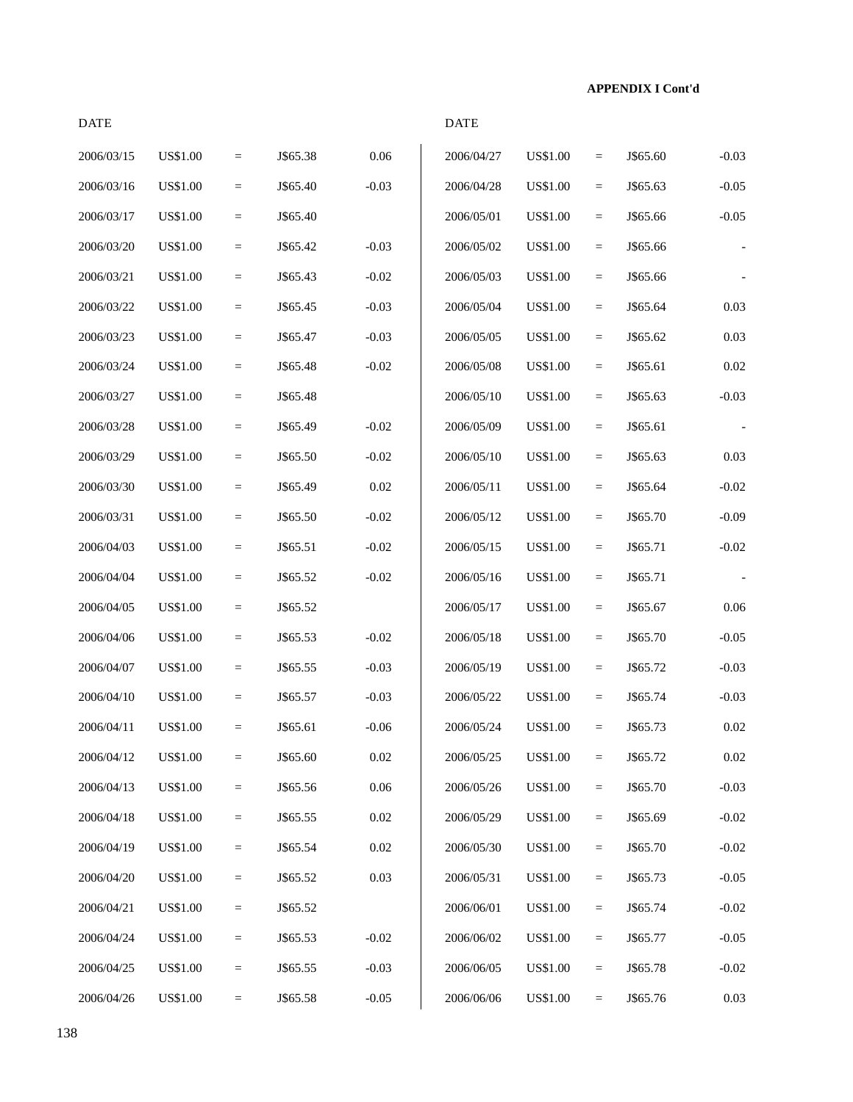| <b>DATE</b> |                 |           |          |          | <b>DATE</b> |                 |                         |          |          |
|-------------|-----------------|-----------|----------|----------|-------------|-----------------|-------------------------|----------|----------|
| 2006/03/15  | <b>US\$1.00</b> | $=$       | J\$65.38 | 0.06     | 2006/04/27  | <b>US\$1.00</b> | $\qquad \qquad =\qquad$ | J\$65.60 | $-0.03$  |
| 2006/03/16  | <b>US\$1.00</b> | $\quad =$ | J\$65.40 | $-0.03$  | 2006/04/28  | <b>US\$1.00</b> | $\equiv$                | J\$65.63 | $-0.05$  |
| 2006/03/17  | <b>US\$1.00</b> | $=$       | J\$65.40 |          | 2006/05/01  | US\$1.00        | $\equiv$                | J\$65.66 | $-0.05$  |
| 2006/03/20  | <b>US\$1.00</b> | $=$       | J\$65.42 | $-0.03$  | 2006/05/02  | <b>US\$1.00</b> | $\equiv$                | J\$65.66 |          |
| 2006/03/21  | <b>US\$1.00</b> | $\equiv$  | J\$65.43 | $-0.02$  | 2006/05/03  | US\$1.00        | $\equiv$                | J\$65.66 |          |
| 2006/03/22  | US\$1.00        | $\equiv$  | J\$65.45 | $-0.03$  | 2006/05/04  | <b>US\$1.00</b> | $\equiv$                | J\$65.64 | 0.03     |
| 2006/03/23  | <b>US\$1.00</b> | $=$       | J\$65.47 | $-0.03$  | 2006/05/05  | <b>US\$1.00</b> | $\equiv$                | J\$65.62 | 0.03     |
| 2006/03/24  | <b>US\$1.00</b> | $\equiv$  | J\$65.48 | $-0.02$  | 2006/05/08  | US\$1.00        | $\equiv$                | J\$65.61 | 0.02     |
| 2006/03/27  | <b>US\$1.00</b> | $=$       | J\$65.48 |          | 2006/05/10  | <b>US\$1.00</b> | $\equiv$                | J\$65.63 | $-0.03$  |
| 2006/03/28  | <b>US\$1.00</b> | $\equiv$  | J\$65.49 | $-0.02$  | 2006/05/09  | <b>US\$1.00</b> | $\equiv$                | J\$65.61 |          |
| 2006/03/29  | <b>US\$1.00</b> | $\equiv$  | J\$65.50 | $-0.02$  | 2006/05/10  | <b>US\$1.00</b> | $\equiv$                | J\$65.63 | 0.03     |
| 2006/03/30  | <b>US\$1.00</b> | $=$       | J\$65.49 | 0.02     | 2006/05/11  | <b>US\$1.00</b> | $\equiv$                | J\$65.64 | $-0.02$  |
| 2006/03/31  | <b>US\$1.00</b> | $\equiv$  | J\$65.50 | $-0.02$  | 2006/05/12  | <b>US\$1.00</b> | $\equiv$                | J\$65.70 | $-0.09$  |
| 2006/04/03  | <b>US\$1.00</b> | $=$       | J\$65.51 | $-0.02$  | 2006/05/15  | <b>US\$1.00</b> | $\equiv$                | J\$65.71 | $-0.02$  |
| 2006/04/04  | <b>US\$1.00</b> | $=$       | J\$65.52 | $-0.02$  | 2006/05/16  | <b>US\$1.00</b> | $\equiv$                | J\$65.71 |          |
| 2006/04/05  | <b>US\$1.00</b> | $\equiv$  | J\$65.52 |          | 2006/05/17  | <b>US\$1.00</b> | $\equiv$                | J\$65.67 | 0.06     |
| 2006/04/06  | <b>US\$1.00</b> | $\quad =$ | J\$65.53 | $-0.02$  | 2006/05/18  | <b>US\$1.00</b> | $\equiv$                | J\$65.70 | $-0.05$  |
| 2006/04/07  | <b>US\$1.00</b> | $\equiv$  | J\$65.55 | $-0.03$  | 2006/05/19  | <b>US\$1.00</b> | $\equiv$                | J\$65.72 | $-0.03$  |
| 2006/04/10  | <b>US\$1.00</b> | $=$       | J\$65.57 | $-0.03$  | 2006/05/22  | <b>US\$1.00</b> | $\equiv$                | J\$65.74 | $-0.03$  |
| 2006/04/11  | <b>US\$1.00</b> | $=$       | J\$65.61 | $-0.06$  | 2006/05/24  | <b>US\$1.00</b> | $\qquad \qquad =\qquad$ | J\$65.73 | 0.02     |
| 2006/04/12  | US\$1.00        | $=$       | J\$65.60 | $0.02\,$ | 2006/05/25  | <b>US\$1.00</b> | $\quad \  \  =$         | J\$65.72 | $0.02\,$ |
| 2006/04/13  | <b>US\$1.00</b> | $=$       | J\$65.56 | 0.06     | 2006/05/26  | <b>US\$1.00</b> | $\equiv$                | J\$65.70 | $-0.03$  |
| 2006/04/18  | <b>US\$1.00</b> | $\equiv$  | J\$65.55 | 0.02     | 2006/05/29  | US\$1.00        | $\equiv$                | J\$65.69 | $-0.02$  |
| 2006/04/19  | <b>US\$1.00</b> | $=$       | J\$65.54 | $0.02\,$ | 2006/05/30  | <b>US\$1.00</b> | $\equiv$                | J\$65.70 | $-0.02$  |
| 2006/04/20  | <b>US\$1.00</b> | $=$       | J\$65.52 | 0.03     | 2006/05/31  | <b>US\$1.00</b> | $\equiv$                | J\$65.73 | $-0.05$  |
| 2006/04/21  | <b>US\$1.00</b> | $=$       | J\$65.52 |          | 2006/06/01  | <b>US\$1.00</b> | $\equiv$                | J\$65.74 | $-0.02$  |
| 2006/04/24  | US\$1.00        | $=$       | J\$65.53 | $-0.02$  | 2006/06/02  | <b>US\$1.00</b> | $\equiv$                | J\$65.77 | $-0.05$  |
| 2006/04/25  | <b>US\$1.00</b> | $=$       | J\$65.55 | $-0.03$  | 2006/06/05  | US\$1.00        | $\quad \  \  =$         | J\$65.78 | $-0.02$  |
| 2006/04/26  | <b>US\$1.00</b> | $=$       | J\$65.58 | $-0.05$  | 2006/06/06  | <b>US\$1.00</b> | $\equiv$                | J\$65.76 | $0.03\,$ |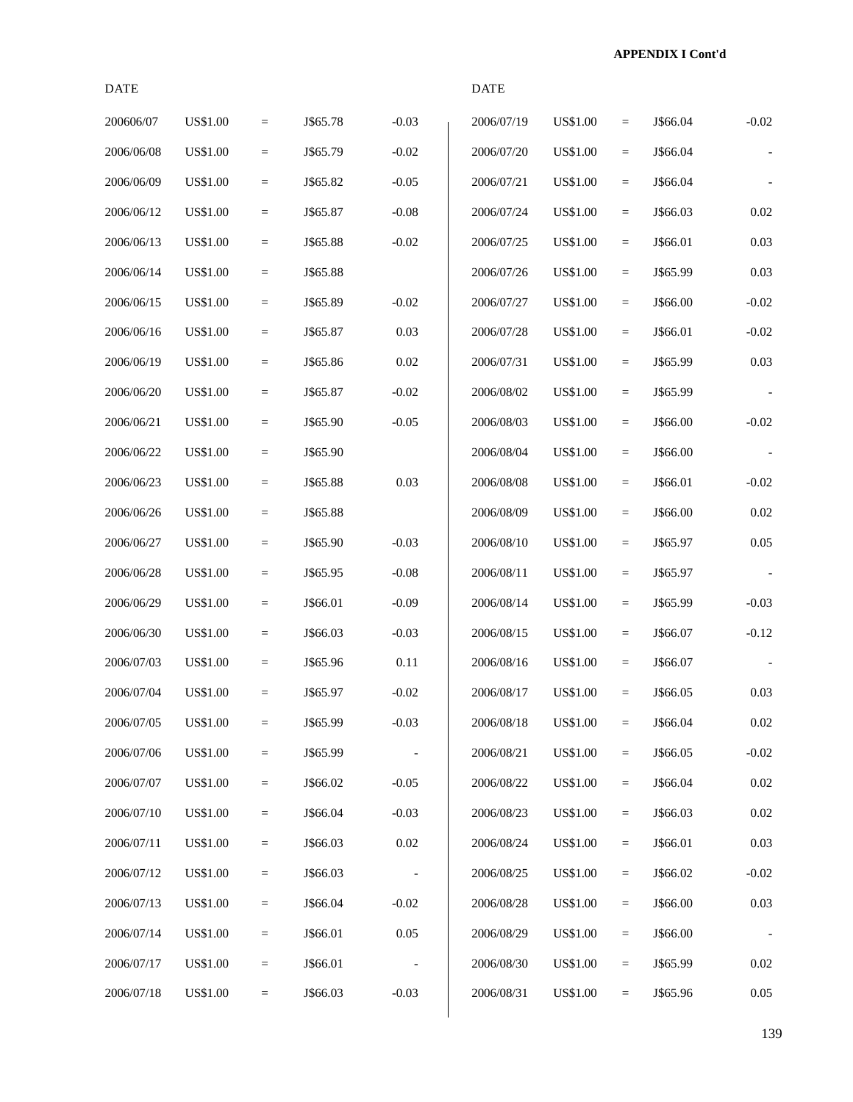| <b>DATE</b> |                 |           |          |                          | <b>DATE</b> |                 |          |          |          |
|-------------|-----------------|-----------|----------|--------------------------|-------------|-----------------|----------|----------|----------|
| 200606/07   | <b>US\$1.00</b> | $\equiv$  | J\$65.78 | $-0.03$                  | 2006/07/19  | <b>US\$1.00</b> | $=$      | J\$66.04 | $-0.02$  |
| 2006/06/08  | <b>US\$1.00</b> | $\quad =$ | J\$65.79 | $-0.02$                  | 2006/07/20  | <b>US\$1.00</b> | $=$      | J\$66.04 |          |
| 2006/06/09  | <b>US\$1.00</b> | $\quad =$ | J\$65.82 | $-0.05$                  | 2006/07/21  | <b>US\$1.00</b> | $=$      | J\$66.04 |          |
| 2006/06/12  | <b>US\$1.00</b> | $\equiv$  | J\$65.87 | $-0.08$                  | 2006/07/24  | <b>US\$1.00</b> | $=$      | J\$66.03 | 0.02     |
| 2006/06/13  | <b>US\$1.00</b> | $\quad =$ | J\$65.88 | $-0.02$                  | 2006/07/25  | US\$1.00        | $=$      | J\$66.01 | 0.03     |
| 2006/06/14  | <b>US\$1.00</b> | $\equiv$  | J\$65.88 |                          | 2006/07/26  | <b>US\$1.00</b> | $=$      | J\$65.99 | 0.03     |
| 2006/06/15  | <b>US\$1.00</b> | $\quad =$ | J\$65.89 | $-0.02$                  | 2006/07/27  | <b>US\$1.00</b> | $=$      | J\$66.00 | $-0.02$  |
| 2006/06/16  | <b>US\$1.00</b> | $\quad =$ | J\$65.87 | 0.03                     | 2006/07/28  | <b>US\$1.00</b> | $=$      | J\$66.01 | $-0.02$  |
| 2006/06/19  | <b>US\$1.00</b> | $\quad =$ | J\$65.86 | 0.02                     | 2006/07/31  | <b>US\$1.00</b> | $=$      | J\$65.99 | 0.03     |
| 2006/06/20  | <b>US\$1.00</b> | $\quad =$ | J\$65.87 | $-0.02$                  | 2006/08/02  | <b>US\$1.00</b> | $=$      | J\$65.99 |          |
| 2006/06/21  | <b>US\$1.00</b> | $=$       | J\$65.90 | $-0.05$                  | 2006/08/03  | <b>US\$1.00</b> | $=$      | J\$66.00 | $-0.02$  |
| 2006/06/22  | <b>US\$1.00</b> | $\quad =$ | J\$65.90 |                          | 2006/08/04  | <b>US\$1.00</b> | $=$      | J\$66.00 |          |
| 2006/06/23  | <b>US\$1.00</b> | $\quad =$ | J\$65.88 | 0.03                     | 2006/08/08  | <b>US\$1.00</b> | $=$      | J\$66.01 | $-0.02$  |
| 2006/06/26  | <b>US\$1.00</b> | $\equiv$  | J\$65.88 |                          | 2006/08/09  | <b>US\$1.00</b> | $=$      | J\$66.00 | 0.02     |
| 2006/06/27  | <b>US\$1.00</b> | $\quad =$ | J\$65.90 | $-0.03$                  | 2006/08/10  | <b>US\$1.00</b> | $=$      | J\$65.97 | $0.05\,$ |
| 2006/06/28  | <b>US\$1.00</b> | $=$       | J\$65.95 | $-0.08$                  | 2006/08/11  | <b>US\$1.00</b> | $=$      | J\$65.97 |          |
| 2006/06/29  | <b>US\$1.00</b> | $\quad =$ | J\$66.01 | $-0.09$                  | 2006/08/14  | <b>US\$1.00</b> | $=$      | J\$65.99 | $-0.03$  |
| 2006/06/30  | <b>US\$1.00</b> | $\quad =$ | J\$66.03 | $-0.03$                  | 2006/08/15  | <b>US\$1.00</b> | $=$      | J\$66.07 | $-0.12$  |
| 2006/07/03  | <b>US\$1.00</b> | $\equiv$  | J\$65.96 | 0.11                     | 2006/08/16  | US\$1.00        | $=$      | J\$66.07 |          |
| 2006/07/04  | <b>US\$1.00</b> | $=$       | J\$65.97 | $-0.02$                  | 2006/08/17  | <b>US\$1.00</b> | $=$      | J\$66.05 | 0.03     |
| 2006/07/05  | <b>US\$1.00</b> | $\equiv$  | J\$65.99 | $-0.03$                  | 2006/08/18  | <b>US\$1.00</b> | $=$      | J\$66.04 | $0.02\,$ |
| 2006/07/06  | <b>US\$1.00</b> | $\quad =$ | J\$65.99 |                          | 2006/08/21  | <b>US\$1.00</b> | $\equiv$ | J\$66.05 | $-0.02$  |
| 2006/07/07  | US\$1.00        | $\equiv$  | J\$66.02 | $-0.05$                  | 2006/08/22  | <b>US\$1.00</b> | $\equiv$ | J\$66.04 | $0.02\,$ |
| 2006/07/10  | US\$1.00        | $=$       | J\$66.04 | $-0.03$                  | 2006/08/23  | <b>US\$1.00</b> | $=$      | J\$66.03 | 0.02     |
| 2006/07/11  | <b>US\$1.00</b> | $=$       | J\$66.03 | 0.02                     | 2006/08/24  | <b>US\$1.00</b> | $=$      | J\$66.01 | 0.03     |
| 2006/07/12  | <b>US\$1.00</b> | $=$       | J\$66.03 | $\overline{\phantom{a}}$ | 2006/08/25  | <b>US\$1.00</b> | $=$      | J\$66.02 | $-0.02$  |
| 2006/07/13  | <b>US\$1.00</b> | $\quad =$ | J\$66.04 | $-0.02$                  | 2006/08/28  | <b>US\$1.00</b> | $=$      | J\$66.00 | $0.03\,$ |
| 2006/07/14  | US\$1.00        | $=$       | J\$66.01 | 0.05                     | 2006/08/29  | US\$1.00        | $\equiv$ | J\$66.00 |          |
| 2006/07/17  | US\$1.00        | $=$       | J\$66.01 |                          | 2006/08/30  | <b>US\$1.00</b> | $=$      | J\$65.99 | 0.02     |
| 2006/07/18  | <b>US\$1.00</b> | $=$       | J\$66.03 | $-0.03$                  | 2006/08/31  | <b>US\$1.00</b> | $=$      | J\$65.96 | 0.05     |

139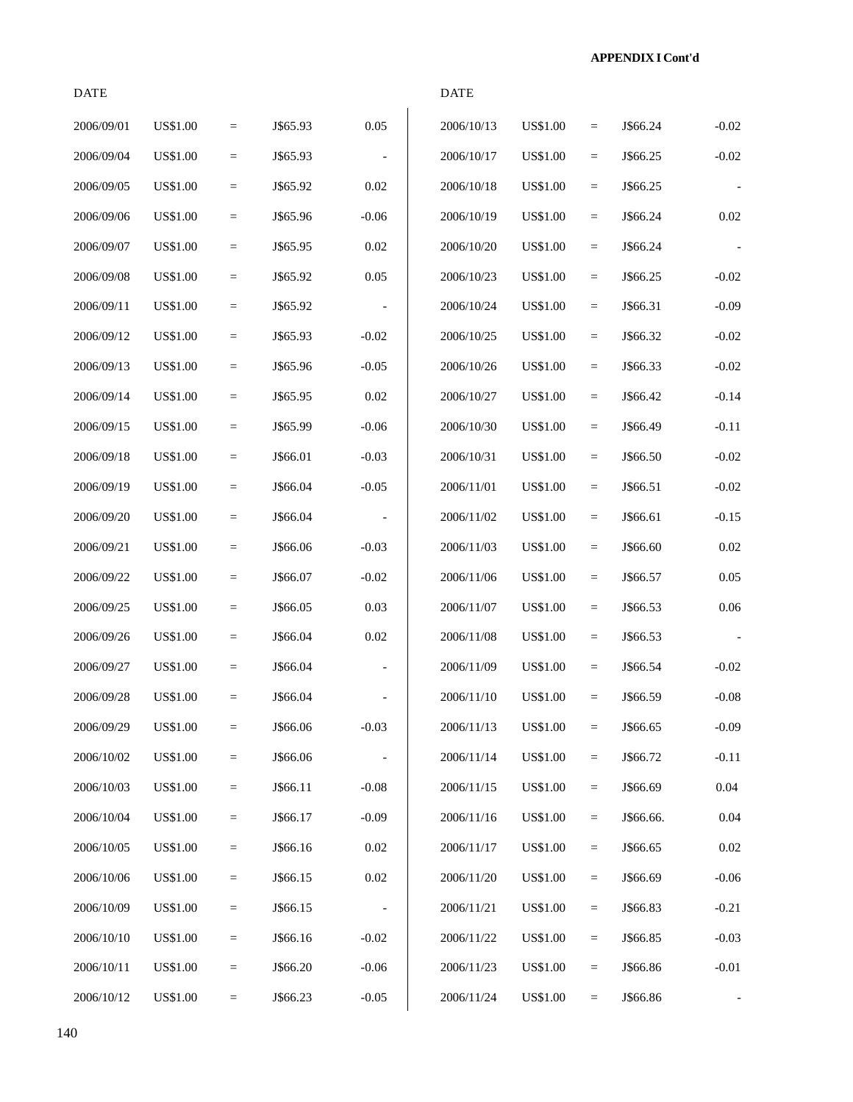| <b>DATE</b> |                 |                   |          |          | <b>DATE</b> |                 |                         |           |         |
|-------------|-----------------|-------------------|----------|----------|-------------|-----------------|-------------------------|-----------|---------|
| 2006/09/01  | <b>US\$1.00</b> | $=$               | J\$65.93 | 0.05     | 2006/10/13  | <b>US\$1.00</b> | $=$                     | J\$66.24  | $-0.02$ |
| 2006/09/04  | <b>US\$1.00</b> | $\qquad \qquad =$ | J\$65.93 |          | 2006/10/17  | <b>US\$1.00</b> | $\equiv$                | J\$66.25  | $-0.02$ |
| 2006/09/05  | <b>US\$1.00</b> | $\equiv$          | J\$65.92 | $0.02\,$ | 2006/10/18  | <b>US\$1.00</b> | $=$                     | J\$66.25  |         |
| 2006/09/06  | <b>US\$1.00</b> | $=$               | J\$65.96 | $-0.06$  | 2006/10/19  | <b>US\$1.00</b> | $\quad =$               | J\$66.24  | 0.02    |
| 2006/09/07  | <b>US\$1.00</b> | $\equiv$          | J\$65.95 | 0.02     | 2006/10/20  | US\$1.00        | $\equiv$                | J\$66.24  |         |
| 2006/09/08  | <b>US\$1.00</b> | $=$               | J\$65.92 | 0.05     | 2006/10/23  | <b>US\$1.00</b> | $\equiv$                | J\$66.25  | $-0.02$ |
| 2006/09/11  | US\$1.00        | $=$               | J\$65.92 |          | 2006/10/24  | <b>US\$1.00</b> | $\equiv$                | J\$66.31  | $-0.09$ |
| 2006/09/12  | <b>US\$1.00</b> | $=$               | J\$65.93 | $-0.02$  | 2006/10/25  | US\$1.00        | $=$                     | J\$66.32  | $-0.02$ |
| 2006/09/13  | <b>US\$1.00</b> | $=$               | J\$65.96 | $-0.05$  | 2006/10/26  | <b>US\$1.00</b> | $\equiv$                | J\$66.33  | $-0.02$ |
| 2006/09/14  | <b>US\$1.00</b> | $\equiv$          | J\$65.95 | 0.02     | 2006/10/27  | <b>US\$1.00</b> | $\equiv$                | J\$66.42  | $-0.14$ |
| 2006/09/15  | <b>US\$1.00</b> | $\equiv$          | J\$65.99 | $-0.06$  | 2006/10/30  | <b>US\$1.00</b> | $=$                     | J\$66.49  | $-0.11$ |
| 2006/09/18  | <b>US\$1.00</b> | $=$               | J\$66.01 | $-0.03$  | 2006/10/31  | <b>US\$1.00</b> | $\equiv$                | J\$66.50  | $-0.02$ |
| 2006/09/19  | <b>US\$1.00</b> | $\quad =$         | J\$66.04 | $-0.05$  | 2006/11/01  | US\$1.00        | $\equiv$                | J\$66.51  | $-0.02$ |
| 2006/09/20  | US\$1.00        | $=$               | J\$66.04 |          | 2006/11/02  | <b>US\$1.00</b> | $\quad =$               | J\$66.61  | $-0.15$ |
| 2006/09/21  | <b>US\$1.00</b> | $=$               | J\$66.06 | $-0.03$  | 2006/11/03  | <b>US\$1.00</b> | $=$                     | J\$66.60  | 0.02    |
| 2006/09/22  | <b>US\$1.00</b> | $=$               | J\$66.07 | $-0.02$  | 2006/11/06  | <b>US\$1.00</b> | $=$                     | J\$66.57  | 0.05    |
| 2006/09/25  | <b>US\$1.00</b> | $=$               | J\$66.05 | 0.03     | 2006/11/07  | <b>US\$1.00</b> | $\equiv$                | J\$66.53  | 0.06    |
| 2006/09/26  | US\$1.00        | $\equiv$          | J\$66.04 | $0.02\,$ | 2006/11/08  | <b>US\$1.00</b> | $=$                     | J\$66.53  |         |
| 2006/09/27  | <b>US\$1.00</b> | $\equiv$          | J\$66.04 |          | 2006/11/09  | <b>US\$1.00</b> | $\equiv$                | J\$66.54  | $-0.02$ |
| 2006/09/28  | <b>US\$1.00</b> | $\qquad \qquad =$ | J\$66.04 |          | 2006/11/10  | <b>US\$1.00</b> | $\qquad \qquad =\qquad$ | J\$66.59  | $-0.08$ |
| 2006/09/29  | <b>US\$1.00</b> | $=$               | J\$66.06 | $-0.03$  | 2006/11/13  | <b>US\$1.00</b> | $\quad \  \  =$         | J\$66.65  | $-0.09$ |
| 2006/10/02  | US\$1.00        | $\quad =$         | J\$66.06 |          | 2006/11/14  | <b>US\$1.00</b> | $\equiv$                | J\$66.72  | $-0.11$ |
| 2006/10/03  | US\$1.00        | $=$               | J\$66.11 | $-0.08$  | 2006/11/15  | US\$1.00        | $\equiv$                | J\$66.69  | 0.04    |
| 2006/10/04  | US\$1.00        | $=$               | J\$66.17 | $-0.09$  | 2006/11/16  | <b>US\$1.00</b> | $=$                     | J\$66.66. | 0.04    |
| 2006/10/05  | <b>US\$1.00</b> | $=$               | J\$66.16 | 0.02     | 2006/11/17  | <b>US\$1.00</b> | $=$                     | J\$66.65  | 0.02    |
| 2006/10/06  | <b>US\$1.00</b> | $=$               | J\$66.15 | $0.02\,$ | 2006/11/20  | <b>US\$1.00</b> | $\quad \  \  =$         | J\$66.69  | $-0.06$ |
| 2006/10/09  | US\$1.00        | $\quad =$         | J\$66.15 |          | 2006/11/21  | US\$1.00        | $\equiv$                | J\$66.83  | $-0.21$ |
| 2006/10/10  | US\$1.00        | $\equiv$          | J\$66.16 | $-0.02$  | 2006/11/22  | US\$1.00        | $\equiv$                | J\$66.85  | $-0.03$ |
| 2006/10/11  | <b>US\$1.00</b> | $\equiv$          | J\$66.20 | $-0.06$  | 2006/11/23  | US\$1.00        | $\equiv$                | J\$66.86  | $-0.01$ |
| 2006/10/12  | <b>US\$1.00</b> | $\equiv$          | J\$66.23 | $-0.05$  | 2006/11/24  | <b>US\$1.00</b> | $\equiv$                | J\$66.86  |         |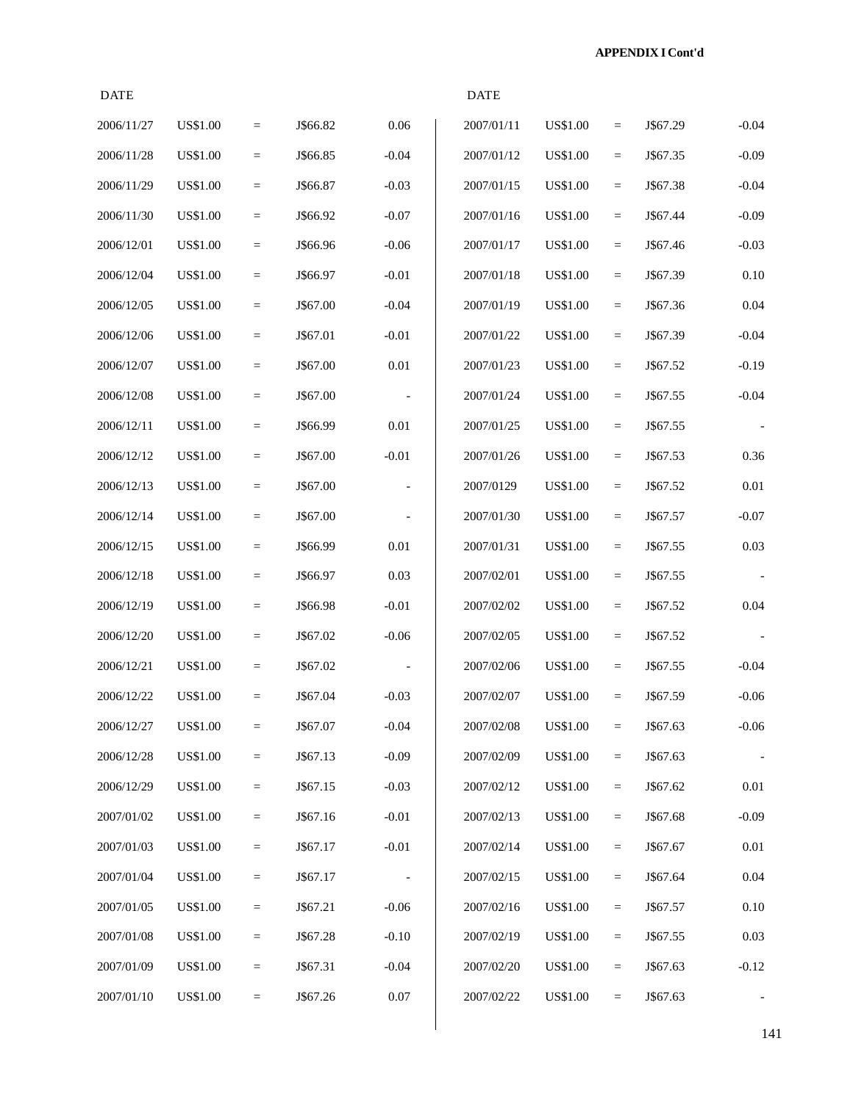| <b>DATE</b> |                 |                   |          |          | <b>DATE</b> |                 |     |          |          |
|-------------|-----------------|-------------------|----------|----------|-------------|-----------------|-----|----------|----------|
| 2006/11/27  | <b>US\$1.00</b> | $\quad \  \  =$   | J\$66.82 | 0.06     | 2007/01/11  | <b>US\$1.00</b> | $=$ | J\$67.29 | $-0.04$  |
| 2006/11/28  | US\$1.00        | $\qquad \qquad =$ | J\$66.85 | $-0.04$  | 2007/01/12  | <b>US\$1.00</b> | $=$ | J\$67.35 | $-0.09$  |
| 2006/11/29  | US\$1.00        | $\quad =$         | J\$66.87 | $-0.03$  | 2007/01/15  | <b>US\$1.00</b> | $=$ | J\$67.38 | $-0.04$  |
| 2006/11/30  | <b>US\$1.00</b> | $\equiv$          | J\$66.92 | $-0.07$  | 2007/01/16  | <b>US\$1.00</b> | $=$ | J\$67.44 | $-0.09$  |
| 2006/12/01  | <b>US\$1.00</b> | $\quad =$         | J\$66.96 | $-0.06$  | 2007/01/17  | US\$1.00        | $=$ | J\$67.46 | $-0.03$  |
| 2006/12/04  | <b>US\$1.00</b> | $\quad \  \  =$   | J\$66.97 | $-0.01$  | 2007/01/18  | <b>US\$1.00</b> | $=$ | J\$67.39 | 0.10     |
| 2006/12/05  | US\$1.00        | $\quad =$         | J\$67.00 | $-0.04$  | 2007/01/19  | <b>US\$1.00</b> | $=$ | J\$67.36 | 0.04     |
| 2006/12/06  | US\$1.00        | $\equiv$          | J\$67.01 | $-0.01$  | 2007/01/22  | <b>US\$1.00</b> | $=$ | J\$67.39 | $-0.04$  |
| 2006/12/07  | <b>US\$1.00</b> | $\quad =$         | J\$67.00 | 0.01     | 2007/01/23  | <b>US\$1.00</b> | $=$ | J\$67.52 | $-0.19$  |
| 2006/12/08  | <b>US\$1.00</b> | $\quad =$         | J\$67.00 |          | 2007/01/24  | US\$1.00        | $=$ | J\$67.55 | $-0.04$  |
| 2006/12/11  | <b>US\$1.00</b> | $\quad =$         | J\$66.99 | 0.01     | 2007/01/25  | <b>US\$1.00</b> | $=$ | J\$67.55 | $\sim$   |
| 2006/12/12  | US\$1.00        | $\qquad \qquad =$ | J\$67.00 | $-0.01$  | 2007/01/26  | <b>US\$1.00</b> | $=$ | J\$67.53 | 0.36     |
| 2006/12/13  | US\$1.00        | $\quad =$         | J\$67.00 |          | 2007/0129   | <b>US\$1.00</b> | $=$ | J\$67.52 | 0.01     |
| 2006/12/14  | <b>US\$1.00</b> | $\equiv$          | J\$67.00 |          | 2007/01/30  | <b>US\$1.00</b> | $=$ | J\$67.57 | $-0.07$  |
| 2006/12/15  | US\$1.00        | $\quad =$         | J\$66.99 | 0.01     | 2007/01/31  | US\$1.00        | $=$ | J\$67.55 | 0.03     |
| 2006/12/18  | <b>US\$1.00</b> | $\quad \  \  =$   | J\$66.97 | 0.03     | 2007/02/01  | <b>US\$1.00</b> | $=$ | J\$67.55 |          |
| 2006/12/19  | US\$1.00        | $\qquad \qquad =$ | J\$66.98 | $-0.01$  | 2007/02/02  | <b>US\$1.00</b> | $=$ | J\$67.52 | 0.04     |
| 2006/12/20  | US\$1.00        | $\quad =$         | J\$67.02 | $-0.06$  | 2007/02/05  | US\$1.00        | $=$ | J\$67.52 |          |
| 2006/12/21  | US\$1.00        | $\equiv$          | J\$67.02 |          | 2007/02/06  | <b>US\$1.00</b> | $=$ | J\$67.55 | $-0.04$  |
| 2006/12/22  | US\$1.00        | $\quad =$         | J\$67.04 | $-0.03$  | 2007/02/07  | <b>US\$1.00</b> | $=$ | J\$67.59 | $-0.06$  |
| 2006/12/27  | <b>US\$1.00</b> | $\quad =$         | J\$67.07 | $-0.04$  | 2007/02/08  | <b>US\$1.00</b> | $=$ | J\$67.63 | $-0.06$  |
| 2006/12/28  | US\$1.00        | $\equiv$          | J\$67.13 | $-0.09$  | 2007/02/09  | <b>US\$1.00</b> | $=$ | J\$67.63 |          |
| 2006/12/29  | US\$1.00        | $\equiv$          | J\$67.15 | $-0.03$  | 2007/02/12  | US\$1.00        | $=$ | J\$67.62 | $0.01\,$ |
| 2007/01/02  | US\$1.00        | $=$               | J\$67.16 | $-0.01$  | 2007/02/13  | <b>US\$1.00</b> | $=$ | J\$67.68 | $-0.09$  |
| 2007/01/03  | US\$1.00        | $\equiv$          | J\$67.17 | $-0.01$  | 2007/02/14  | <b>US\$1.00</b> | $=$ | J\$67.67 | $0.01\,$ |
| 2007/01/04  | <b>US\$1.00</b> | $\equiv$          | J\$67.17 |          | 2007/02/15  | <b>US\$1.00</b> | $=$ | J\$67.64 | $0.04\,$ |
| 2007/01/05  | US\$1.00        | $\equiv$          | J\$67.21 | $-0.06$  | 2007/02/16  | US\$1.00        | $=$ | J\$67.57 | 0.10     |
| 2007/01/08  | US\$1.00        | $\equiv$          | J\$67.28 | $-0.10$  | 2007/02/19  | US\$1.00        | $=$ | J\$67.55 | 0.03     |
| 2007/01/09  | US\$1.00        | $=$               | J\$67.31 | $-0.04$  | 2007/02/20  | <b>US\$1.00</b> | $=$ | J\$67.63 | $-0.12$  |
| 2007/01/10  | <b>US\$1.00</b> | $\equiv$          | J\$67.26 | $0.07\,$ | 2007/02/22  | <b>US\$1.00</b> | $=$ | J\$67.63 |          |
|             |                 |                   |          |          |             |                 |     |          |          |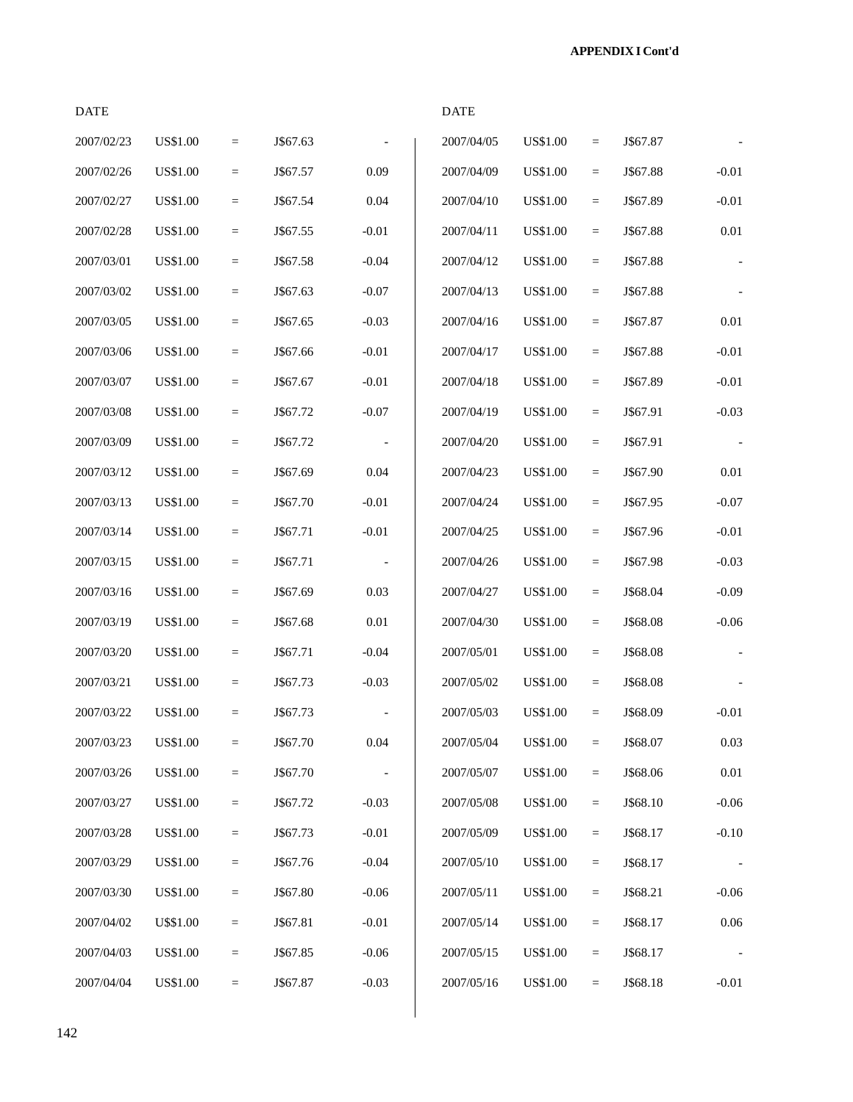| <b>DATE</b> |                 |           |          |         | <b>DATE</b> |                 |          |          |                |
|-------------|-----------------|-----------|----------|---------|-------------|-----------------|----------|----------|----------------|
| 2007/02/23  | <b>US\$1.00</b> | $\quad =$ | J\$67.63 |         | 2007/04/05  | <b>US\$1.00</b> | $=$      | J\$67.87 |                |
| 2007/02/26  | <b>US\$1.00</b> | $\quad =$ | J\$67.57 | 0.09    | 2007/04/09  | <b>US\$1.00</b> | $=$      | J\$67.88 | $-0.01$        |
| 2007/02/27  | <b>US\$1.00</b> | $\equiv$  | J\$67.54 | 0.04    | 2007/04/10  | <b>US\$1.00</b> | $=$      | J\$67.89 | $-0.01$        |
| 2007/02/28  | <b>US\$1.00</b> | $\equiv$  | J\$67.55 | $-0.01$ | 2007/04/11  | <b>US\$1.00</b> | $=$      | J\$67.88 | $0.01\,$       |
| 2007/03/01  | <b>US\$1.00</b> | $\quad =$ | J\$67.58 | $-0.04$ | 2007/04/12  | <b>US\$1.00</b> | $=$      | J\$67.88 | $\blacksquare$ |
| 2007/03/02  | <b>US\$1.00</b> | $\equiv$  | J\$67.63 | $-0.07$ | 2007/04/13  | <b>US\$1.00</b> | $=$      | J\$67.88 |                |
| 2007/03/05  | <b>US\$1.00</b> | $\equiv$  | J\$67.65 | $-0.03$ | 2007/04/16  | <b>US\$1.00</b> | $=$      | J\$67.87 | 0.01           |
| 2007/03/06  | <b>US\$1.00</b> | $\equiv$  | J\$67.66 | $-0.01$ | 2007/04/17  | <b>US\$1.00</b> | $=$      | J\$67.88 | $-0.01$        |
| 2007/03/07  | <b>US\$1.00</b> | $\equiv$  | J\$67.67 | $-0.01$ | 2007/04/18  | <b>US\$1.00</b> | $=$      | J\$67.89 | $-0.01$        |
| 2007/03/08  | <b>US\$1.00</b> | $\quad =$ | J\$67.72 | $-0.07$ | 2007/04/19  | <b>US\$1.00</b> | $=$      | J\$67.91 | $-0.03$        |
| 2007/03/09  | <b>US\$1.00</b> | $\equiv$  | J\$67.72 |         | 2007/04/20  | <b>US\$1.00</b> | $=$      | J\$67.91 |                |
| 2007/03/12  | <b>US\$1.00</b> | $\quad =$ | J\$67.69 | 0.04    | 2007/04/23  | <b>US\$1.00</b> | $=$      | J\$67.90 | 0.01           |
| 2007/03/13  | <b>US\$1.00</b> | $\equiv$  | J\$67.70 | $-0.01$ | 2007/04/24  | <b>US\$1.00</b> | $=$      | J\$67.95 | $-0.07$        |
| 2007/03/14  | <b>US\$1.00</b> | $\equiv$  | J\$67.71 | $-0.01$ | 2007/04/25  | <b>US\$1.00</b> | $=$      | J\$67.96 | $-0.01$        |
| 2007/03/15  | <b>US\$1.00</b> | $\quad =$ | J\$67.71 |         | 2007/04/26  | <b>US\$1.00</b> | $=$      | J\$67.98 | $-0.03$        |
| 2007/03/16  | <b>US\$1.00</b> | $\equiv$  | J\$67.69 | 0.03    | 2007/04/27  | <b>US\$1.00</b> | $=$      | J\$68.04 | $-0.09$        |
| 2007/03/19  | <b>US\$1.00</b> | $\quad =$ | J\$67.68 | 0.01    | 2007/04/30  | <b>US\$1.00</b> | $=$      | J\$68.08 | $-0.06$        |
| 2007/03/20  | <b>US\$1.00</b> | $\equiv$  | J\$67.71 | $-0.04$ | 2007/05/01  | US\$1.00        | $=$      | J\$68.08 |                |
| 2007/03/21  | <b>US\$1.00</b> | $\equiv$  | J\$67.73 | $-0.03$ | 2007/05/02  | <b>US\$1.00</b> | $=$      | J\$68.08 |                |
| 2007/03/22  | <b>US\$1.00</b> | $\quad =$ | J\$67.73 |         | 2007/05/03  | <b>US\$1.00</b> | $=$      | J\$68.09 | $-0.01$        |
| 2007/03/23  | <b>US\$1.00</b> | $\equiv$  | J\$67.70 | 0.04    | 2007/05/04  | <b>US\$1.00</b> | $=$      | J\$68.07 | 0.03           |
| 2007/03/26  | <b>US\$1.00</b> | $\equiv$  | J\$67.70 |         | 2007/05/07  | <b>US\$1.00</b> | $=$      | J\$68.06 | $0.01\,$       |
| 2007/03/27  | US\$1.00        | $\equiv$  | J\$67.72 | $-0.03$ | 2007/05/08  | US\$1.00        | $=$      | J\$68.10 | $-0.06$        |
| 2007/03/28  | <b>US\$1.00</b> | $=$       | J\$67.73 | $-0.01$ | 2007/05/09  | <b>US\$1.00</b> | $=$      | J\$68.17 | $-0.10$        |
| 2007/03/29  | <b>US\$1.00</b> | $=$       | J\$67.76 | $-0.04$ | 2007/05/10  | <b>US\$1.00</b> | $=$      | J\$68.17 |                |
| 2007/03/30  | US\$1.00        | $\equiv$  | J\$67.80 | $-0.06$ | 2007/05/11  | US\$1.00        | $=$      | J\$68.21 | $-0.06$        |
| 2007/04/02  | U\$\$1.00       | $\equiv$  | J\$67.81 | $-0.01$ | 2007/05/14  | <b>US\$1.00</b> | $=$      | J\$68.17 | $0.06\,$       |
| 2007/04/03  | US\$1.00        | $\equiv$  | J\$67.85 | $-0.06$ | 2007/05/15  | US\$1.00        | $=$      | J\$68.17 |                |
| 2007/04/04  | <b>US\$1.00</b> | $\equiv$  | J\$67.87 | $-0.03$ | 2007/05/16  | <b>US\$1.00</b> | $\equiv$ | J\$68.18 | $-0.01$        |
|             |                 |           |          |         |             |                 |          |          |                |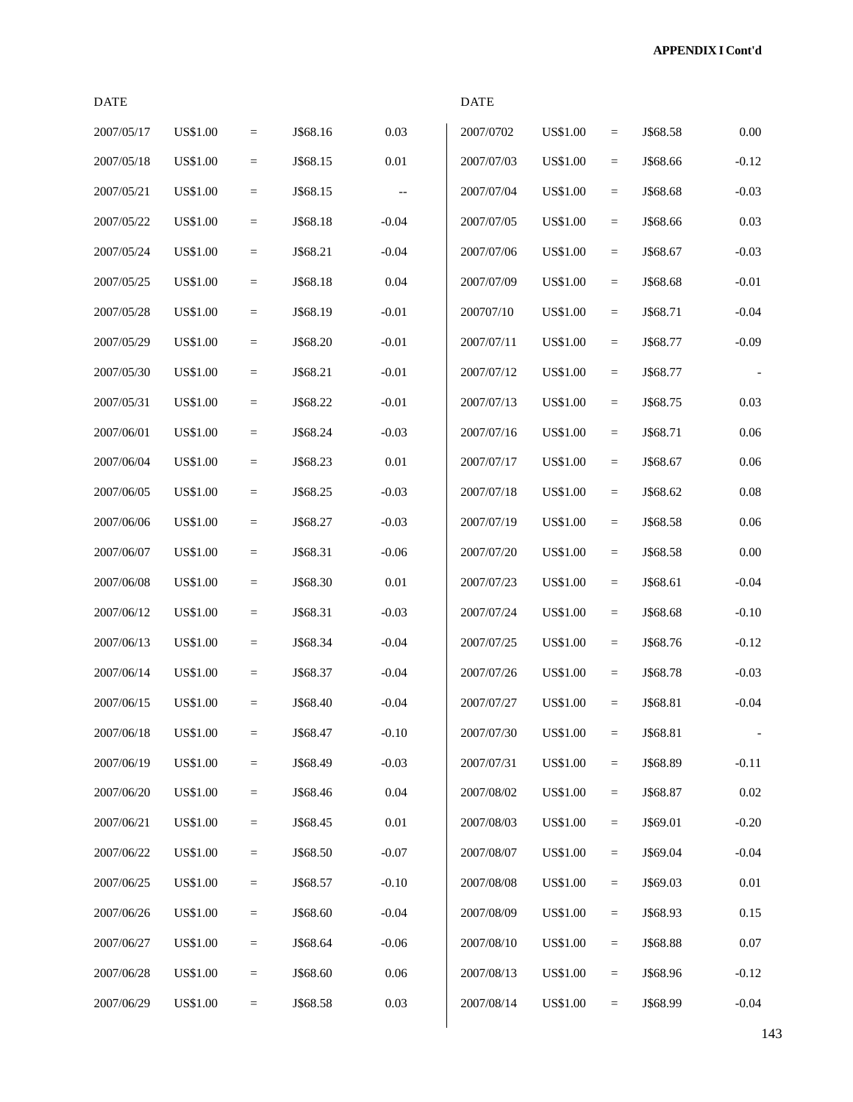**APPENDIX I Cont'd**

| <b>DATE</b> |                 |                 |          |                          | <b>DATE</b> |                 |           |          |                          |
|-------------|-----------------|-----------------|----------|--------------------------|-------------|-----------------|-----------|----------|--------------------------|
| 2007/05/17  | <b>US\$1.00</b> | $\equiv$        | J\$68.16 | 0.03                     | 2007/0702   | US\$1.00        | $\quad =$ | J\$68.58 | 0.00                     |
| 2007/05/18  | <b>US\$1.00</b> | $\quad \  \  =$ | J\$68.15 | $0.01\,$                 | 2007/07/03  | <b>US\$1.00</b> | $\quad =$ | J\$68.66 | $-0.12$                  |
| 2007/05/21  | <b>US\$1.00</b> | $\equiv$        | J\$68.15 | $\overline{\phantom{m}}$ | 2007/07/04  | <b>US\$1.00</b> | $\equiv$  | J\$68.68 | $-0.03$                  |
| 2007/05/22  | US\$1.00        | $\equiv$        | J\$68.18 | $-0.04$                  | 2007/07/05  | <b>US\$1.00</b> | $\equiv$  | J\$68.66 | 0.03                     |
| 2007/05/24  | US\$1.00        | $\equiv$        | J\$68.21 | $-0.04$                  | 2007/07/06  | <b>US\$1.00</b> | $\equiv$  | J\$68.67 | $-0.03$                  |
| 2007/05/25  | <b>US\$1.00</b> | $\equiv$        | J\$68.18 | 0.04                     | 2007/07/09  | <b>US\$1.00</b> | $\quad =$ | J\$68.68 | $-0.01$                  |
| 2007/05/28  | <b>US\$1.00</b> | $\equiv$        | J\$68.19 | $-0.01$                  | 200707/10   | <b>US\$1.00</b> | $\equiv$  | J\$68.71 | $-0.04$                  |
| 2007/05/29  | US\$1.00        | $\equiv$        | J\$68.20 | $-0.01$                  | 2007/07/11  | <b>US\$1.00</b> | $\equiv$  | J\$68.77 | $-0.09$                  |
| 2007/05/30  | US\$1.00        | $\equiv$        | J\$68.21 | $-0.01$                  | 2007/07/12  | <b>US\$1.00</b> | $\equiv$  | J\$68.77 |                          |
| 2007/05/31  | US\$1.00        | $\quad \  \  =$ | J\$68.22 | $-0.01$                  | 2007/07/13  | <b>US\$1.00</b> | $\equiv$  | J\$68.75 | 0.03                     |
| 2007/06/01  | <b>US\$1.00</b> | $\equiv$        | J\$68.24 | $-0.03$                  | 2007/07/16  | <b>US\$1.00</b> | $\quad =$ | J\$68.71 | 0.06                     |
| 2007/06/04  | <b>US\$1.00</b> | $\equiv$        | J\$68.23 | $0.01\,$                 | 2007/07/17  | <b>US\$1.00</b> | $\equiv$  | J\$68.67 | 0.06                     |
| 2007/06/05  | <b>US\$1.00</b> | $\equiv$        | J\$68.25 | $-0.03$                  | 2007/07/18  | <b>US\$1.00</b> | $\equiv$  | J\$68.62 | 0.08                     |
| 2007/06/06  | US\$1.00        | $\equiv$        | J\$68.27 | $-0.03$                  | 2007/07/19  | <b>US\$1.00</b> | $\equiv$  | J\$68.58 | 0.06                     |
| 2007/06/07  | US\$1.00        | $\equiv$        | J\$68.31 | $-0.06$                  | 2007/07/20  | <b>US\$1.00</b> | $\equiv$  | J\$68.58 | 0.00                     |
| 2007/06/08  | US\$1.00        | $\equiv$        | J\$68.30 | $0.01\,$                 | 2007/07/23  | <b>US\$1.00</b> | $\quad =$ | J\$68.61 | $-0.04$                  |
| 2007/06/12  | <b>US\$1.00</b> | $\equiv$        | J\$68.31 | $-0.03$                  | 2007/07/24  | <b>US\$1.00</b> | $\equiv$  | J\$68.68 | $-0.10$                  |
| 2007/06/13  | US\$1.00        | $\equiv$        | J\$68.34 | $-0.04$                  | 2007/07/25  | <b>US\$1.00</b> | $=$       | J\$68.76 | $-0.12$                  |
| 2007/06/14  | US\$1.00        | $\equiv$        | J\$68.37 | $-0.04$                  | 2007/07/26  | <b>US\$1.00</b> | $=$       | J\$68.78 | $-0.03$                  |
| 2007/06/15  | <b>US\$1.00</b> | $\equiv$        | J\$68.40 | $-0.04$                  | 2007/07/27  | <b>US\$1.00</b> | $\equiv$  | J\$68.81 | $-0.04$                  |
| 2007/06/18  | <b>US\$1.00</b> | $\quad =$       | J\$68.47 | $-0.10$                  | 2007/07/30  | <b>US\$1.00</b> | $\equiv$  | J\$68.81 | $\overline{\phantom{a}}$ |
| 2007/06/19  | <b>US\$1.00</b> | $\equiv$        | J\$68.49 | $-0.03$                  | 2007/07/31  | <b>US\$1.00</b> | $\equiv$  | J\$68.89 | $-0.11$                  |
| 2007/06/20  | US\$1.00        | $\quad \  \  =$ | J\$68.46 | 0.04                     | 2007/08/02  | <b>US\$1.00</b> | $\equiv$  | J\$68.87 | 0.02                     |
| 2007/06/21  | US\$1.00        | $\equiv$        | J\$68.45 | $0.01\,$                 | 2007/08/03  | US\$1.00        | $\equiv$  | J\$69.01 | $-0.20$                  |
| 2007/06/22  | US\$1.00        | $=$             | J\$68.50 | $-0.07$                  | 2007/08/07  | US\$1.00        | $=$       | J\$69.04 | $-0.04$                  |
| 2007/06/25  | <b>US\$1.00</b> | $\quad \  \  =$ | J\$68.57 | $-0.10$                  | 2007/08/08  | <b>US\$1.00</b> | $\equiv$  | J\$69.03 | 0.01                     |
| 2007/06/26  | US\$1.00        | $\equiv$        | J\$68.60 | $-0.04$                  | 2007/08/09  | <b>US\$1.00</b> | $\equiv$  | J\$68.93 | 0.15                     |
| 2007/06/27  | US\$1.00        | $\quad \  \  =$ | J\$68.64 | $-0.06$                  | 2007/08/10  | <b>US\$1.00</b> | $\equiv$  | J\$68.88 | $0.07\,$                 |
| 2007/06/28  | US\$1.00        | $=$             | J\$68.60 | 0.06                     | 2007/08/13  | <b>US\$1.00</b> | $=$       | J\$68.96 | $-0.12$                  |
| 2007/06/29  | US\$1.00        | $\equiv$        | J\$68.58 | 0.03                     | 2007/08/14  | <b>US\$1.00</b> | $=$       | J\$68.99 | $-0.04$                  |
|             |                 |                 |          |                          |             |                 |           |          |                          |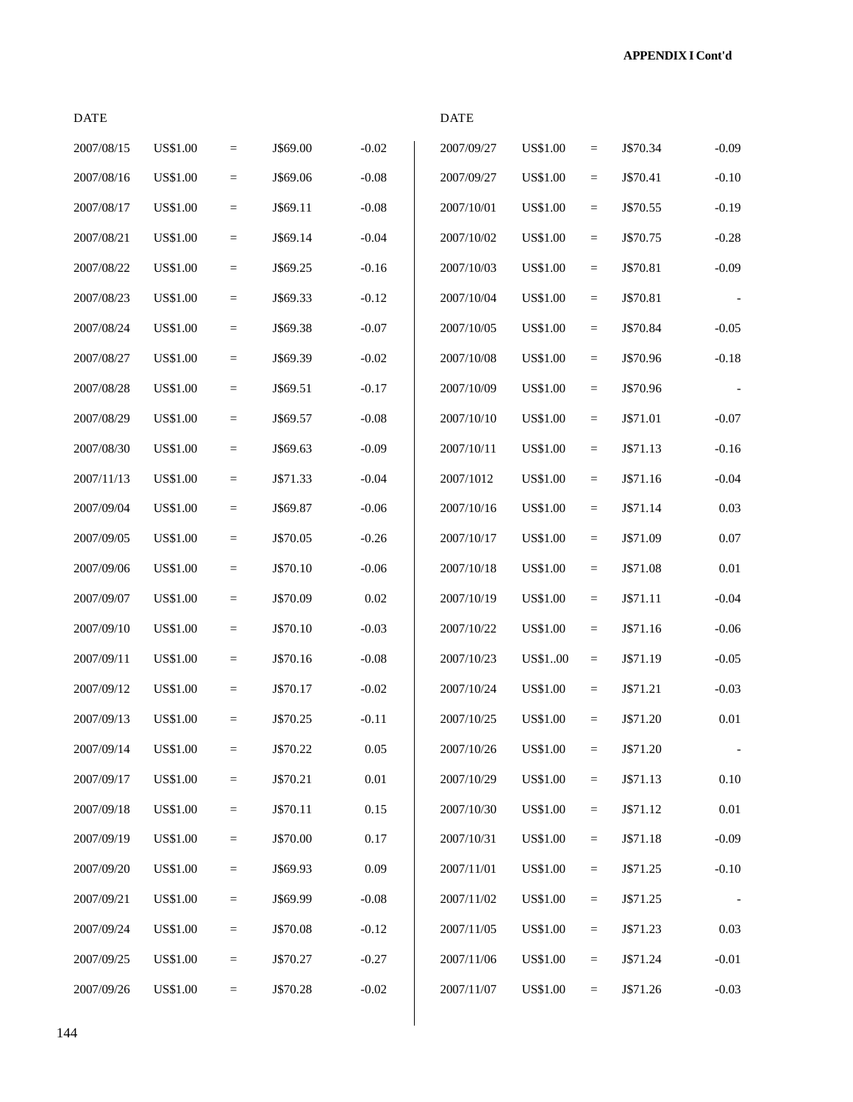**APPENDIX I Cont'd**

| <b>DATE</b> |                 |          |          |          | <b>DATE</b> |                 |                   |          |                          |
|-------------|-----------------|----------|----------|----------|-------------|-----------------|-------------------|----------|--------------------------|
| 2007/08/15  | <b>US\$1.00</b> | $=$      | J\$69.00 | $-0.02$  | 2007/09/27  | <b>US\$1.00</b> | $\qquad \qquad =$ | J\$70.34 | $-0.09$                  |
| 2007/08/16  | <b>US\$1.00</b> | $=$      | J\$69.06 | $-0.08$  | 2007/09/27  | <b>US\$1.00</b> | $\equiv$          | J\$70.41 | $-0.10$                  |
| 2007/08/17  | <b>US\$1.00</b> | $=$      | J\$69.11 | $-0.08$  | 2007/10/01  | <b>US\$1.00</b> | $\quad \  \  =$   | J\$70.55 | $-0.19$                  |
| 2007/08/21  | <b>US\$1.00</b> | $=$      | J\$69.14 | $-0.04$  | 2007/10/02  | <b>US\$1.00</b> | $\equiv$          | J\$70.75 | $-0.28$                  |
| 2007/08/22  | US\$1.00        | $=$      | J\$69.25 | $-0.16$  | 2007/10/03  | <b>US\$1.00</b> | $\equiv$          | J\$70.81 | $-0.09$                  |
| 2007/08/23  | <b>US\$1.00</b> | $=$      | J\$69.33 | $-0.12$  | 2007/10/04  | <b>US\$1.00</b> | $\equiv$          | J\$70.81 |                          |
| 2007/08/24  | <b>US\$1.00</b> | $\equiv$ | J\$69.38 | $-0.07$  | 2007/10/05  | <b>US\$1.00</b> | $\quad \  \  =$   | J\$70.84 | $-0.05$                  |
| 2007/08/27  | <b>US\$1.00</b> | $=$      | J\$69.39 | $-0.02$  | 2007/10/08  | <b>US\$1.00</b> | $\equiv$          | J\$70.96 | $-0.18$                  |
| 2007/08/28  | <b>US\$1.00</b> | $=$      | J\$69.51 | $-0.17$  | 2007/10/09  | <b>US\$1.00</b> | $\equiv$          | J\$70.96 |                          |
| 2007/08/29  | <b>US\$1.00</b> | $=$      | J\$69.57 | $-0.08$  | 2007/10/10  | <b>US\$1.00</b> | $\equiv$          | J\$71.01 | $-0.07$                  |
| 2007/08/30  | US\$1.00        | $\equiv$ | J\$69.63 | $-0.09$  | 2007/10/11  | <b>US\$1.00</b> | $\equiv$          | J\$71.13 | $-0.16$                  |
| 2007/11/13  | <b>US\$1.00</b> | $\equiv$ | J\$71.33 | $-0.04$  | 2007/1012   | <b>US\$1.00</b> | $\quad \  \  =$   | J\$71.16 | $-0.04$                  |
| 2007/09/04  | <b>US\$1.00</b> | $\equiv$ | J\$69.87 | $-0.06$  | 2007/10/16  | <b>US\$1.00</b> | $\equiv$          | J\$71.14 | 0.03                     |
| 2007/09/05  | US\$1.00        | $\equiv$ | J\$70.05 | $-0.26$  | 2007/10/17  | <b>US\$1.00</b> | $\equiv$          | J\$71.09 | $0.07\,$                 |
| 2007/09/06  | US\$1.00        | $=$      | J\$70.10 | $-0.06$  | 2007/10/18  | <b>US\$1.00</b> | $\equiv$          | J\$71.08 | $0.01\,$                 |
| 2007/09/07  | <b>US\$1.00</b> | $=$      | J\$70.09 | 0.02     | 2007/10/19  | <b>US\$1.00</b> | $\equiv$          | J\$71.11 | $-0.04$                  |
| 2007/09/10  | <b>US\$1.00</b> | $=$      | J\$70.10 | $-0.03$  | 2007/10/22  | <b>US\$1.00</b> | $\equiv$          | J\$71.16 | $-0.06$                  |
| 2007/09/11  | <b>US\$1.00</b> | $=$      | J\$70.16 | $-0.08$  | 2007/10/23  | US\$100         | $\quad \  \  =$   | J\$71.19 | $-0.05$                  |
| 2007/09/12  | US\$1.00        | $\equiv$ | J\$70.17 | $-0.02$  | 2007/10/24  | <b>US\$1.00</b> | $\equiv$          | J\$71.21 | $-0.03$                  |
| 2007/09/13  | <b>US\$1.00</b> | $=$      | J\$70.25 | $-0.11$  | 2007/10/25  | <b>US\$1.00</b> | $\qquad \qquad =$ | J\$71.20 | $0.01\,$                 |
| 2007/09/14  | <b>US\$1.00</b> | $=$      | J\$70.22 | 0.05     | 2007/10/26  | <b>US\$1.00</b> | $\quad \  \  =$   | J\$71.20 | $\overline{\phantom{a}}$ |
| 2007/09/17  | <b>US\$1.00</b> | $\equiv$ | J\$70.21 | $0.01\,$ | 2007/10/29  | <b>US\$1.00</b> | $\equiv$          | J\$71.13 | $0.10\,$                 |
| 2007/09/18  | <b>US\$1.00</b> | $=$      | J\$70.11 | 0.15     | 2007/10/30  | <b>US\$1.00</b> | $\equiv$          | J\$71.12 | $0.01\,$                 |
| 2007/09/19  | US\$1.00        | $=$      | J\$70.00 | 0.17     | 2007/10/31  | <b>US\$1.00</b> | $\equiv$          | J\$71.18 | $-0.09$                  |
| 2007/09/20  | US\$1.00        | $=$      | J\$69.93 | 0.09     | 2007/11/01  | <b>US\$1.00</b> | $\equiv$          | J\$71.25 | $-0.10$                  |
| 2007/09/21  | US\$1.00        | $=$      | J\$69.99 | $-0.08$  | 2007/11/02  | <b>US\$1.00</b> | $\equiv$          | J\$71.25 |                          |
| 2007/09/24  | <b>US\$1.00</b> | $=$      | J\$70.08 | $-0.12$  | 2007/11/05  | US\$1.00        | $\equiv$          | J\$71.23 | $0.03\,$                 |
| 2007/09/25  | <b>US\$1.00</b> | $=$      | J\$70.27 | $-0.27$  | 2007/11/06  | <b>US\$1.00</b> | $\equiv$          | J\$71.24 | $-0.01$                  |
| 2007/09/26  | <b>US\$1.00</b> | $=$      | J\$70.28 | $-0.02$  | 2007/11/07  | <b>US\$1.00</b> | $\equiv$          | J\$71.26 | $-0.03$                  |

 $\Box$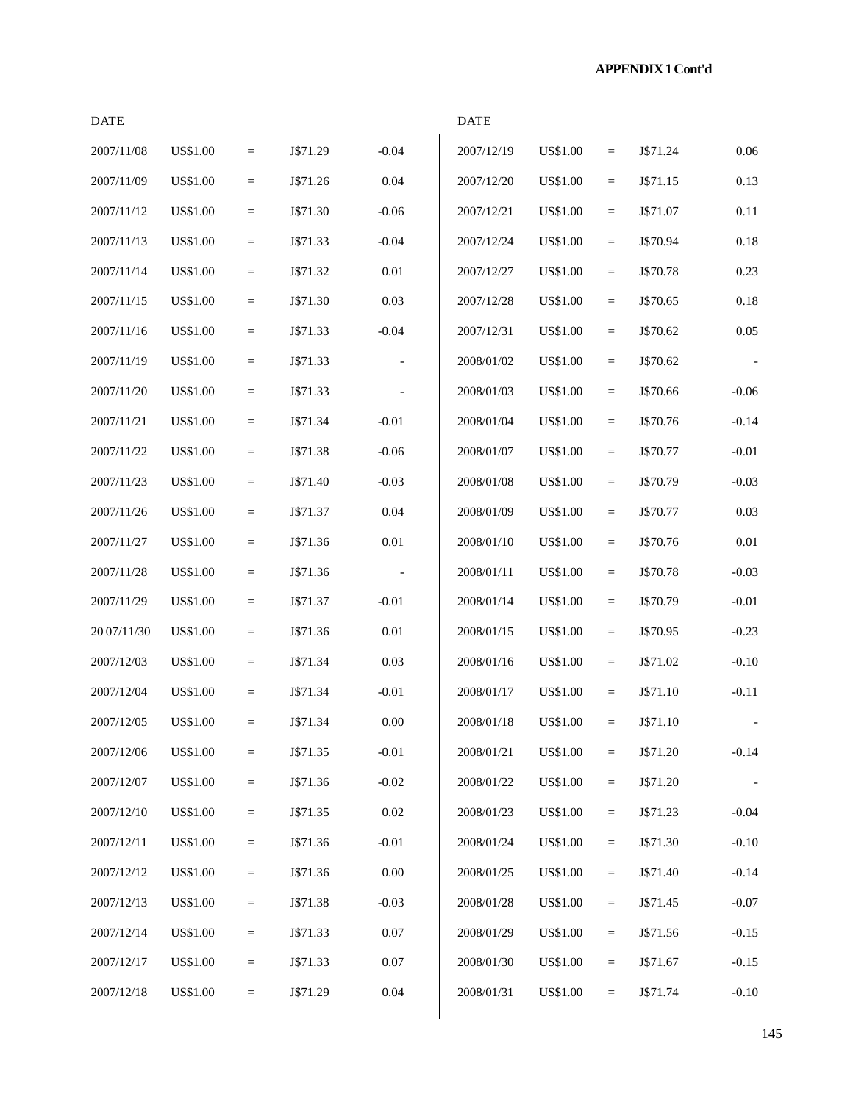# **APPENDIX 1 Cont'd**

| <b>DATE</b> |                 |          |          |                          | <b>DATE</b> |                 |                   |          |                          |
|-------------|-----------------|----------|----------|--------------------------|-------------|-----------------|-------------------|----------|--------------------------|
| 2007/11/08  | <b>US\$1.00</b> | $\equiv$ | J\$71.29 | $-0.04$                  | 2007/12/19  | <b>US\$1.00</b> | $\equiv$          | J\$71.24 | 0.06                     |
| 2007/11/09  | <b>US\$1.00</b> | $\equiv$ | J\$71.26 | 0.04                     | 2007/12/20  | <b>US\$1.00</b> | $\equiv$          | J\$71.15 | 0.13                     |
| 2007/11/12  | <b>US\$1.00</b> | $\equiv$ | J\$71.30 | $-0.06$                  | 2007/12/21  | <b>US\$1.00</b> | $\equiv$          | J\$71.07 | 0.11                     |
| 2007/11/13  | <b>US\$1.00</b> | $\equiv$ | J\$71.33 | $-0.04$                  | 2007/12/24  | <b>US\$1.00</b> | $\qquad \qquad =$ | J\$70.94 | $0.18\,$                 |
| 2007/11/14  | <b>US\$1.00</b> | $\equiv$ | J\$71.32 | 0.01                     | 2007/12/27  | <b>US\$1.00</b> | $\equiv$          | J\$70.78 | 0.23                     |
| 2007/11/15  | <b>US\$1.00</b> | $\equiv$ | J\$71.30 | 0.03                     | 2007/12/28  | <b>US\$1.00</b> | $\equiv$          | J\$70.65 | 0.18                     |
| 2007/11/16  | <b>US\$1.00</b> | $\equiv$ | J\$71.33 | $-0.04$                  | 2007/12/31  | <b>US\$1.00</b> | $\equiv$          | J\$70.62 | 0.05                     |
| 2007/11/19  | <b>US\$1.00</b> | $\equiv$ | J\$71.33 |                          | 2008/01/02  | <b>US\$1.00</b> | $\equiv$          | J\$70.62 | $\overline{\phantom{a}}$ |
| 2007/11/20  | <b>US\$1.00</b> | $\equiv$ | J\$71.33 |                          | 2008/01/03  | <b>US\$1.00</b> | $\equiv$          | J\$70.66 | $-0.06$                  |
| 2007/11/21  | <b>US\$1.00</b> | $\equiv$ | J\$71.34 | $-0.01$                  | 2008/01/04  | <b>US\$1.00</b> | $\equiv$          | J\$70.76 | $-0.14$                  |
| 2007/11/22  | <b>US\$1.00</b> | $\equiv$ | J\$71.38 | $-0.06$                  | 2008/01/07  | <b>US\$1.00</b> | $\equiv$          | J\$70.77 | $-0.01$                  |
| 2007/11/23  | <b>US\$1.00</b> | $\equiv$ | J\$71.40 | $-0.03$                  | 2008/01/08  | <b>US\$1.00</b> | $\equiv$          | J\$70.79 | $-0.03$                  |
| 2007/11/26  | <b>US\$1.00</b> | $=$      | J\$71.37 | 0.04                     | 2008/01/09  | <b>US\$1.00</b> | $=$               | J\$70.77 | 0.03                     |
| 2007/11/27  | <b>US\$1.00</b> | $\equiv$ | J\$71.36 | $0.01\,$                 | 2008/01/10  | <b>US\$1.00</b> | $\qquad \qquad =$ | J\$70.76 | $0.01\,$                 |
| 2007/11/28  | <b>US\$1.00</b> | $\equiv$ | J\$71.36 | $\overline{\phantom{a}}$ | 2008/01/11  | <b>US\$1.00</b> | $\equiv$          | J\$70.78 | $-0.03$                  |
| 2007/11/29  | <b>US\$1.00</b> | $\equiv$ | J\$71.37 | $-0.01$                  | 2008/01/14  | <b>US\$1.00</b> | $\equiv$          | J\$70.79 | $-0.01$                  |
| 20 07/11/30 | <b>US\$1.00</b> | $\equiv$ | J\$71.36 | $0.01\,$                 | 2008/01/15  | <b>US\$1.00</b> | $\equiv$          | J\$70.95 | $-0.23$                  |
| 2007/12/03  | US\$1.00        | $\equiv$ | J\$71.34 | 0.03                     | 2008/01/16  | <b>US\$1.00</b> | $\equiv$          | J\$71.02 | $-0.10$                  |
| 2007/12/04  | US\$1.00        | $\equiv$ | J\$71.34 | $-0.01$                  | 2008/01/17  | <b>US\$1.00</b> | $\equiv$          | J\$71.10 | $-0.11$                  |
| 2007/12/05  | <b>US\$1.00</b> | $\equiv$ | J\$71.34 | $0.00\,$                 | 2008/01/18  | <b>US\$1.00</b> | $\equiv$          | J\$71.10 |                          |
| 2007/12/06  | <b>US\$1.00</b> | $\equiv$ | J\$71.35 | $-0.01$                  | 2008/01/21  | <b>US\$1.00</b> | $\quad \  \  =$   | J\$71.20 | $-0.14$                  |
| 2007/12/07  | <b>US\$1.00</b> | $=$      | J\$71.36 | $-0.02$                  | 2008/01/22  | <b>US\$1.00</b> | $\equiv$          | J\$71.20 |                          |
| 2007/12/10  | US\$1.00        | $=$      | J\$71.35 | $0.02\,$                 | 2008/01/23  | <b>US\$1.00</b> | $\equiv$          | J\$71.23 | $-0.04$                  |
| 2007/12/11  | <b>US\$1.00</b> | $\equiv$ | J\$71.36 | $-0.01$                  | 2008/01/24  | <b>US\$1.00</b> | $\quad =$         | J\$71.30 | $-0.10$                  |
| 2007/12/12  | US\$1.00        | $\equiv$ | J\$71.36 | $0.00\,$                 | 2008/01/25  | <b>US\$1.00</b> | $\quad \  \  =$   | J\$71.40 | $-0.14$                  |
| 2007/12/13  | <b>US\$1.00</b> | $\equiv$ | J\$71.38 | $-0.03$                  | 2008/01/28  | <b>US\$1.00</b> | $\equiv$          | J\$71.45 | $-0.07$                  |
| 2007/12/14  | US\$1.00        | $=$      | J\$71.33 | $0.07\,$                 | 2008/01/29  | <b>US\$1.00</b> | $\equiv$          | J\$71.56 | $-0.15$                  |
| 2007/12/17  | US\$1.00        | $=$      | J\$71.33 | 0.07                     | 2008/01/30  | <b>US\$1.00</b> | $=$               | J\$71.67 | $-0.15$                  |
| 2007/12/18  | <b>US\$1.00</b> | $\equiv$ | J\$71.29 | $0.04\,$                 | 2008/01/31  | <b>US\$1.00</b> | $\equiv$          | J\$71.74 | $-0.10$                  |
|             |                 |          |          |                          |             |                 |                   |          |                          |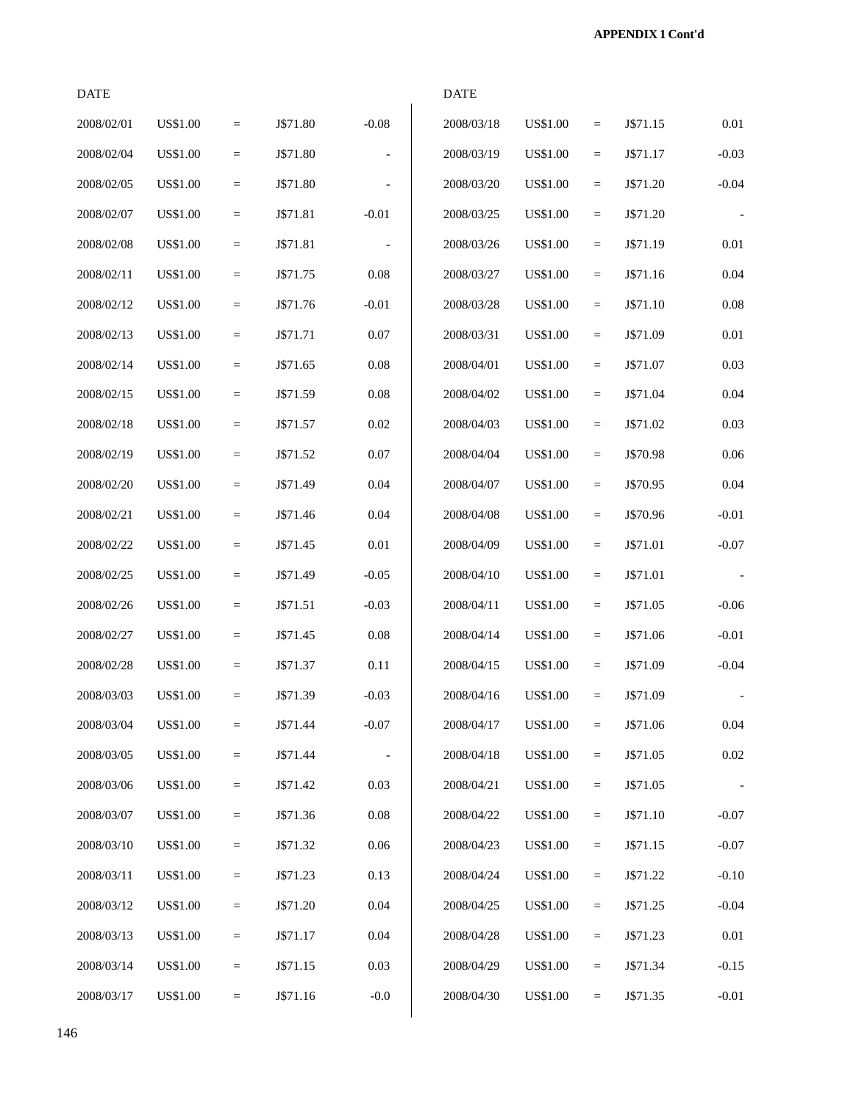| <b>DATE</b> |                 |                   |          |                          | <b>DATE</b> |                 |                   |          |         |
|-------------|-----------------|-------------------|----------|--------------------------|-------------|-----------------|-------------------|----------|---------|
| 2008/02/01  | <b>US\$1.00</b> | $\qquad \qquad =$ | J\$71.80 | $-0.08$                  | 2008/03/18  | <b>US\$1.00</b> | $\qquad \qquad =$ | J\$71.15 | 0.01    |
| 2008/02/04  | <b>US\$1.00</b> | $\quad =$         | J\$71.80 | $\overline{\phantom{a}}$ | 2008/03/19  | <b>US\$1.00</b> | $=$               | J\$71.17 | $-0.03$ |
| 2008/02/05  | <b>US\$1.00</b> | $=$               | J\$71.80 |                          | 2008/03/20  | <b>US\$1.00</b> | $=$               | J\$71.20 | $-0.04$ |
| 2008/02/07  | <b>US\$1.00</b> | $=$               | J\$71.81 | $-0.01$                  | 2008/03/25  | <b>US\$1.00</b> | $=$               | J\$71.20 | j.      |
| 2008/02/08  | <b>US\$1.00</b> | $=$               | J\$71.81 | $\overline{\phantom{a}}$ | 2008/03/26  | <b>US\$1.00</b> | $=$               | J\$71.19 | 0.01    |
| 2008/02/11  | <b>US\$1.00</b> | $=$               | J\$71.75 | 0.08                     | 2008/03/27  | <b>US\$1.00</b> | $=$               | J\$71.16 | 0.04    |
| 2008/02/12  | US\$1.00        | $=$               | J\$71.76 | $-0.01$                  | 2008/03/28  | US\$1.00        | $\qquad \qquad =$ | J\$71.10 | 0.08    |
| 2008/02/13  | <b>US\$1.00</b> | $=$               | J\$71.71 | $0.07\,$                 | 2008/03/31  | <b>US\$1.00</b> | $=$               | J\$71.09 | 0.01    |
| 2008/02/14  | <b>US\$1.00</b> | $\equiv$          | J\$71.65 | $0.08\,$                 | 2008/04/01  | <b>US\$1.00</b> | $\quad \  \  =$   | J\$71.07 | 0.03    |
| 2008/02/15  | <b>US\$1.00</b> | $=$               | J\$71.59 | $0.08\,$                 | 2008/04/02  | <b>US\$1.00</b> | $\quad \  \  =$   | J\$71.04 | 0.04    |
| 2008/02/18  | <b>US\$1.00</b> | $=$               | J\$71.57 | 0.02                     | 2008/04/03  | <b>US\$1.00</b> | $\qquad \qquad =$ | J\$71.02 | 0.03    |
| 2008/02/19  | US\$1.00        | $\quad =$         | J\$71.52 | $0.07\,$                 | 2008/04/04  | <b>US\$1.00</b> | $\quad =$         | J\$70.98 | 0.06    |
| 2008/02/20  | <b>US\$1.00</b> | $=$               | J\$71.49 | 0.04                     | 2008/04/07  | <b>US\$1.00</b> | $\quad =$         | J\$70.95 | 0.04    |
| 2008/02/21  | <b>US\$1.00</b> | $=$               | J\$71.46 | $0.04\,$                 | 2008/04/08  | <b>US\$1.00</b> | $\equiv$          | J\$70.96 | $-0.01$ |
| 2008/02/22  | <b>US\$1.00</b> | $=$               | J\$71.45 | $0.01\,$                 | 2008/04/09  | <b>US\$1.00</b> | $\equiv$          | J\$71.01 | $-0.07$ |
| 2008/02/25  | <b>US\$1.00</b> | $=$               | J\$71.49 | $-0.05$                  | 2008/04/10  | <b>US\$1.00</b> | $=$               | J\$71.01 |         |
| 2008/02/26  | US\$1.00        | $=$               | J\$71.51 | $-0.03$                  | 2008/04/11  | US\$1.00        | $=$               | J\$71.05 | $-0.06$ |
| 2008/02/27  | <b>US\$1.00</b> | $=$               | J\$71.45 | 0.08                     | 2008/04/14  | <b>US\$1.00</b> | $=$               | J\$71.06 | $-0.01$ |
| 2008/02/28  | US\$1.00        | $\quad =$         | J\$71.37 | 0.11                     | 2008/04/15  | <b>US\$1.00</b> | $\equiv$          | J\$71.09 | $-0.04$ |
| 2008/03/03  | <b>US\$1.00</b> | $=$               | J\$71.39 | $-0.03$                  | 2008/04/16  | <b>US\$1.00</b> | $=$               | J\$71.09 |         |
| 2008/03/04  | <b>US\$1.00</b> | $=$               | J\$71.44 | $-0.07$                  | 2008/04/17  | <b>US\$1.00</b> | $=$               | J\$71.06 | 0.04    |
| 2008/03/05  | US\$1.00        | $=$               | J\$71.44 | $\overline{\phantom{a}}$ | 2008/04/18  | <b>US\$1.00</b> | $\quad =$         | J\$71.05 | 0.02    |
| 2008/03/06  | US\$1.00        | $=$               | J\$71.42 | 0.03                     | 2008/04/21  | <b>US\$1.00</b> | $\quad =$         | J\$71.05 |         |
| 2008/03/07  | <b>US\$1.00</b> | $\equiv$          | J\$71.36 | 0.08                     | 2008/04/22  | <b>US\$1.00</b> | $\equiv$          | J\$71.10 | $-0.07$ |
| 2008/03/10  | <b>US\$1.00</b> | $\equiv$          | J\$71.32 | $0.06\,$                 | 2008/04/23  | <b>US\$1.00</b> | $\equiv$          | J\$71.15 | $-0.07$ |
| 2008/03/11  | <b>US\$1.00</b> | $=$               | J\$71.23 | 0.13                     | 2008/04/24  | <b>US\$1.00</b> | $\quad =$         | J\$71.22 | $-0.10$ |
| 2008/03/12  | US\$1.00        | $=$               | J\$71.20 | 0.04                     | 2008/04/25  | <b>US\$1.00</b> | $\quad =$         | J\$71.25 | $-0.04$ |
| 2008/03/13  | <b>US\$1.00</b> | $=$               | J\$71.17 | 0.04                     | 2008/04/28  | <b>US\$1.00</b> | $=$               | J\$71.23 | 0.01    |
| 2008/03/14  | US\$1.00        | $=$               | J\$71.15 | 0.03                     | 2008/04/29  | <b>US\$1.00</b> | $=$               | J\$71.34 | $-0.15$ |
| 2008/03/17  | <b>US\$1.00</b> | $=$               | J\$71.16 | $-0.0$                   | 2008/04/30  | <b>US\$1.00</b> | $=$               | J\$71.35 | $-0.01$ |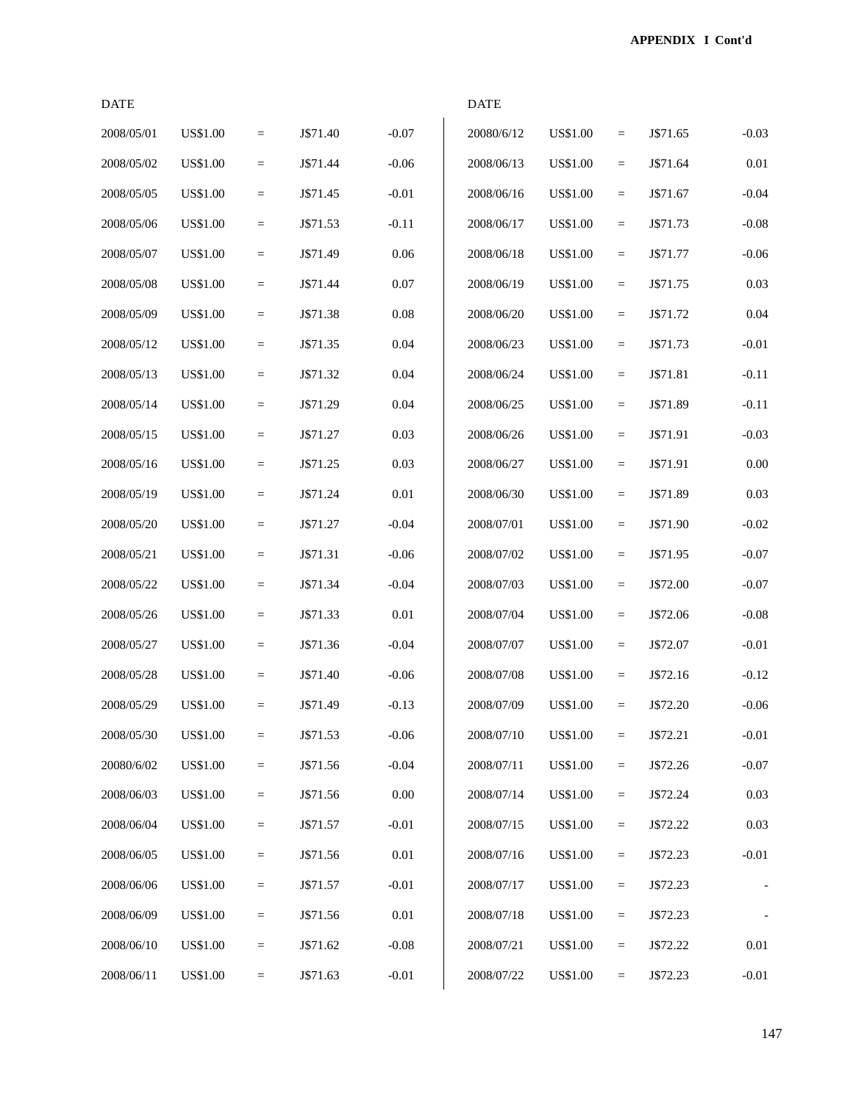| <b>DATE</b> |                 |                 |          |          | <b>DATE</b> |                 |                 |          |         |
|-------------|-----------------|-----------------|----------|----------|-------------|-----------------|-----------------|----------|---------|
| 2008/05/01  | <b>US\$1.00</b> | $\equiv$        | J\$71.40 | $-0.07$  | 20080/6/12  | <b>US\$1.00</b> | $\quad =$       | J\$71.65 | $-0.03$ |
| 2008/05/02  | US\$1.00        | $=$             | J\$71.44 | $-0.06$  | 2008/06/13  | <b>US\$1.00</b> | $\equiv$        | J\$71.64 | 0.01    |
| 2008/05/05  | <b>US\$1.00</b> | $\quad =$       | J\$71.45 | $-0.01$  | 2008/06/16  | <b>US\$1.00</b> | $\quad \  \  =$ | J\$71.67 | $-0.04$ |
| 2008/05/06  | US\$1.00        | $\equiv$        | J\$71.53 | $-0.11$  | 2008/06/17  | <b>US\$1.00</b> | $\equiv$        | J\$71.73 | $-0.08$ |
| 2008/05/07  | <b>US\$1.00</b> | $\equiv$        | J\$71.49 | 0.06     | 2008/06/18  | <b>US\$1.00</b> | $\equiv$        | J\$71.77 | $-0.06$ |
| 2008/05/08  | <b>US\$1.00</b> | $\quad \  \  =$ | J\$71.44 | $0.07\,$ | 2008/06/19  | <b>US\$1.00</b> | $\equiv$        | J\$71.75 | 0.03    |
| 2008/05/09  | US\$1.00        | $\quad =$       | J\$71.38 | $0.08\,$ | 2008/06/20  | <b>US\$1.00</b> | $\quad =$       | J\$71.72 | 0.04    |
| 2008/05/12  | <b>US\$1.00</b> | $\quad =$       | J\$71.35 | $0.04\,$ | 2008/06/23  | <b>US\$1.00</b> | $\quad \  \  =$ | J\$71.73 | $-0.01$ |
| 2008/05/13  | US\$1.00        | $=$             | J\$71.32 | 0.04     | 2008/06/24  | <b>US\$1.00</b> | $\equiv$        | J\$71.81 | $-0.11$ |
| 2008/05/14  | US\$1.00        | $=$             | J\$71.29 | 0.04     | 2008/06/25  | <b>US\$1.00</b> | $\equiv$        | J\$71.89 | $-0.11$ |
| 2008/05/15  | <b>US\$1.00</b> | $\quad \  \  =$ | J\$71.27 | 0.03     | 2008/06/26  | <b>US\$1.00</b> | $\equiv$        | J\$71.91 | $-0.03$ |
| 2008/05/16  | US\$1.00        | $\quad =$       | J\$71.25 | 0.03     | 2008/06/27  | <b>US\$1.00</b> | $\quad =$       | J\$71.91 | 0.00    |
| 2008/05/19  | <b>US\$1.00</b> | $\quad =$       | J\$71.24 | $0.01\,$ | 2008/06/30  | <b>US\$1.00</b> | $\quad \  \  =$ | J\$71.89 | 0.03    |
| 2008/05/20  | US\$1.00        | $=$             | J\$71.27 | $-0.04$  | 2008/07/01  | <b>US\$1.00</b> | $\equiv$        | J\$71.90 | $-0.02$ |
| 2008/05/21  | US\$1.00        | $\quad \  \  =$ | J\$71.31 | $-0.06$  | 2008/07/02  | <b>US\$1.00</b> | $\equiv$        | J\$71.95 | $-0.07$ |
| 2008/05/22  | <b>US\$1.00</b> | $=$             | J\$71.34 | $-0.04$  | 2008/07/03  | <b>US\$1.00</b> | $\equiv$        | J\$72.00 | $-0.07$ |
| 2008/05/26  | US\$1.00        | $\quad =$       | J\$71.33 | $0.01\,$ | 2008/07/04  | <b>US\$1.00</b> | $\quad =$       | J\$72.06 | $-0.08$ |
| 2008/05/27  | <b>US\$1.00</b> | $\quad =$       | J\$71.36 | $-0.04$  | 2008/07/07  | <b>US\$1.00</b> | $\quad \  \  =$ | J\$72.07 | $-0.01$ |
| 2008/05/28  | <b>US\$1.00</b> | $=$             | J\$71.40 | $-0.06$  | 2008/07/08  | <b>US\$1.00</b> | $=$             | J\$72.16 | $-0.12$ |
| 2008/05/29  | US\$1.00        | $=$             | J\$71.49 | $-0.13$  | 2008/07/09  | <b>US\$1.00</b> | $=$             | J\$72.20 | $-0.06$ |
| 2008/05/30  | <b>US\$1.00</b> | $\equiv$        | J\$71.53 | $-0.06$  | 2008/07/10  | <b>US\$1.00</b> | $\quad =$       | J\$72.21 | $-0.01$ |
| 20080/6/02  | <b>US\$1.00</b> | $\equiv$        | J\$71.56 | $-0.04$  | 2008/07/11  | US\$1.00        | $\quad \  \  =$ | J\$72.26 | $-0.07$ |
| 2008/06/03  | US\$1.00        | $\equiv$        | J\$71.56 | $0.00\,$ | 2008/07/14  | <b>US\$1.00</b> | $\quad \  \  =$ | J\$72.24 | 0.03    |
| 2008/06/04  | US\$1.00        | $=$             | J\$71.57 | $-0.01$  | 2008/07/15  | <b>US\$1.00</b> | $\equiv$        | J\$72.22 | 0.03    |
| 2008/06/05  | US\$1.00        | $\equiv$        | J\$71.56 | $0.01\,$ | 2008/07/16  | <b>US\$1.00</b> | $\equiv$        | J\$72.23 | $-0.01$ |
| 2008/06/06  | US\$1.00        | $=$             | J\$71.57 | $-0.01$  | 2008/07/17  | <b>US\$1.00</b> | $\equiv$        | J\$72.23 |         |
| 2008/06/09  | US\$1.00        | $\equiv$        | J\$71.56 | $0.01\,$ | 2008/07/18  | <b>US\$1.00</b> | $\quad \  \  =$ | J\$72.23 |         |
| 2008/06/10  | US\$1.00        | $\equiv$        | J\$71.62 | $-0.08$  | 2008/07/21  | <b>US\$1.00</b> | $\quad \  \  =$ | J\$72.22 | 0.01    |
| 2008/06/11  | <b>US\$1.00</b> | $=$             | J\$71.63 | $-0.01$  | 2008/07/22  | <b>US\$1.00</b> | $\equiv$        | J\$72.23 | $-0.01$ |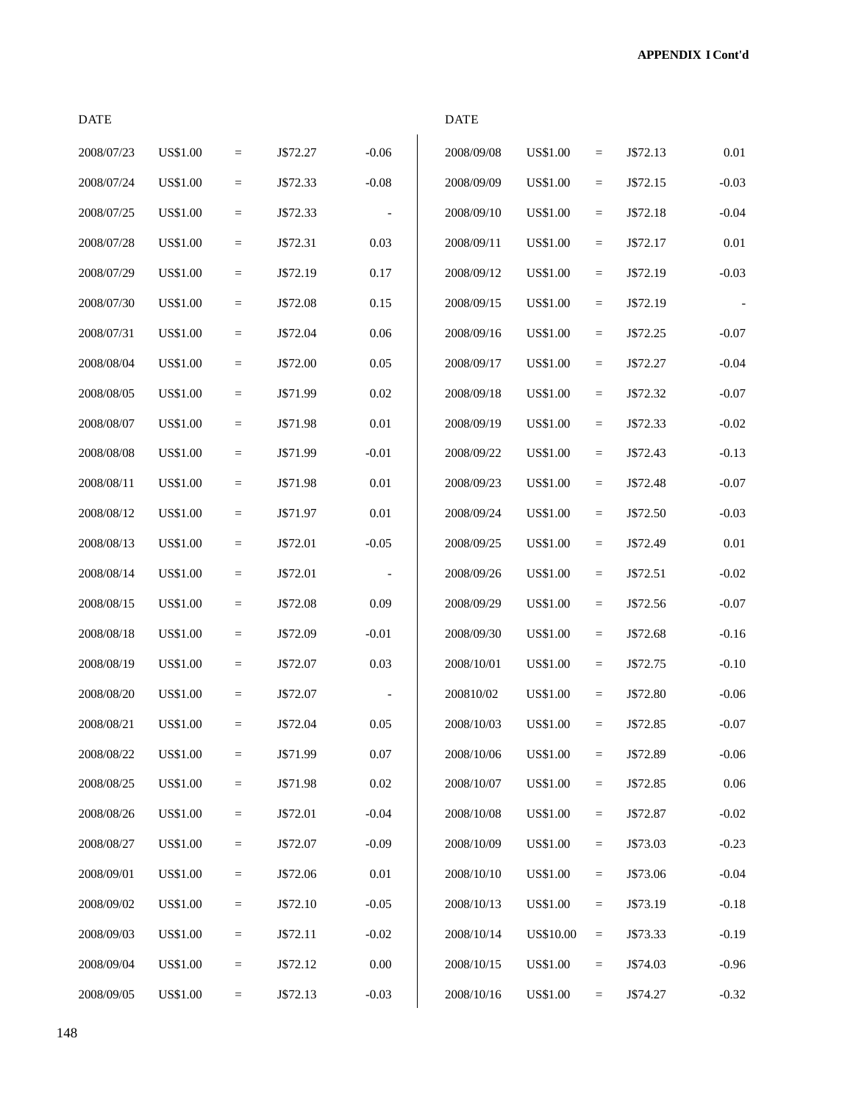| <b>DATE</b> |                 |           |          |          | <b>DATE</b> |                  |           |          |          |
|-------------|-----------------|-----------|----------|----------|-------------|------------------|-----------|----------|----------|
| 2008/07/23  | <b>US\$1.00</b> | $\quad =$ | J\$72.27 | $-0.06$  | 2008/09/08  | <b>US\$1.00</b>  | $\quad =$ | J\$72.13 | $0.01\,$ |
| 2008/07/24  | US\$1.00        | $\equiv$  | J\$72.33 | $-0.08$  | 2008/09/09  | <b>US\$1.00</b>  | $\equiv$  | J\$72.15 | $-0.03$  |
| 2008/07/25  | <b>US\$1.00</b> | $\equiv$  | J\$72.33 |          | 2008/09/10  | US\$1.00         | $\equiv$  | J\$72.18 | $-0.04$  |
| 2008/07/28  | US\$1.00        | $=$       | J\$72.31 | 0.03     | 2008/09/11  | <b>US\$1.00</b>  | $\equiv$  | J\$72.17 | $0.01\,$ |
| 2008/07/29  | US\$1.00        | $\equiv$  | J\$72.19 | 0.17     | 2008/09/12  | <b>US\$1.00</b>  | $=$       | J\$72.19 | $-0.03$  |
| 2008/07/30  | US\$1.00        | $\quad =$ | J\$72.08 | 0.15     | 2008/09/15  | US\$1.00         | $\equiv$  | J\$72.19 |          |
| 2008/07/31  | <b>US\$1.00</b> | $\equiv$  | J\$72.04 | 0.06     | 2008/09/16  | <b>US\$1.00</b>  | $\equiv$  | J\$72.25 | $-0.07$  |
| 2008/08/04  | <b>US\$1.00</b> | $\equiv$  | J\$72.00 | $0.05\,$ | 2008/09/17  | <b>US\$1.00</b>  | $\equiv$  | J\$72.27 | $-0.04$  |
| 2008/08/05  | US\$1.00        | $=$       | J\$71.99 | 0.02     | 2008/09/18  | <b>US\$1.00</b>  | $\equiv$  | J\$72.32 | $-0.07$  |
| 2008/08/07  | US\$1.00        | $\equiv$  | J\$71.98 | 0.01     | 2008/09/19  | <b>US\$1.00</b>  | $\equiv$  | J\$72.33 | $-0.02$  |
| 2008/08/08  | US\$1.00        | $\quad =$ | J\$71.99 | $-0.01$  | 2008/09/22  | US\$1.00         | $\quad =$ | J\$72.43 | $-0.13$  |
| 2008/08/11  | US\$1.00        | $\equiv$  | J\$71.98 | 0.01     | 2008/09/23  | <b>US\$1.00</b>  | $\equiv$  | J\$72.48 | $-0.07$  |
| 2008/08/12  | <b>US\$1.00</b> | $\equiv$  | J\$71.97 | 0.01     | 2008/09/24  | <b>US\$1.00</b>  | $\equiv$  | J\$72.50 | $-0.03$  |
| 2008/08/13  | US\$1.00        | $=$       | J\$72.01 | $-0.05$  | 2008/09/25  | <b>US\$1.00</b>  | $\equiv$  | J\$72.49 | $0.01\,$ |
| 2008/08/14  | US\$1.00        | $\equiv$  | J\$72.01 |          | 2008/09/26  | US\$1.00         | $=$       | J\$72.51 | $-0.02$  |
| 2008/08/15  | <b>US\$1.00</b> | $\equiv$  | J\$72.08 | 0.09     | 2008/09/29  | US\$1.00         | $\equiv$  | J\$72.56 | $-0.07$  |
| 2008/08/18  | US\$1.00        | $\equiv$  | J\$72.09 | $-0.01$  | 2008/09/30  | <b>US\$1.00</b>  | $\equiv$  | J\$72.68 | $-0.16$  |
| 2008/08/19  | US\$1.00        | $\equiv$  | J\$72.07 | 0.03     | 2008/10/01  | <b>US\$1.00</b>  | $\equiv$  | J\$72.75 | $-0.10$  |
| 2008/08/20  | <b>US\$1.00</b> | $=$       | J\$72.07 |          | 200810/02   | <b>US\$1.00</b>  | $\equiv$  | J\$72.80 | $-0.06$  |
| 2008/08/21  | US\$1.00        | $\equiv$  | J\$72.04 | 0.05     | 2008/10/03  | <b>US\$1.00</b>  | $=$       | J\$72.85 | $-0.07$  |
| 2008/08/22  | <b>US\$1.00</b> | $\equiv$  | J\$71.99 | $0.07\,$ | 2008/10/06  | <b>US\$1.00</b>  | $=$       | J\$72.89 | $-0.06$  |
| 2008/08/25  | US\$1.00        | $=$       | J\$71.98 | $0.02\,$ | 2008/10/07  | <b>US\$1.00</b>  | $\equiv$  | J\$72.85 | 0.06     |
| 2008/08/26  | <b>US\$1.00</b> | $\equiv$  | J\$72.01 | $-0.04$  | 2008/10/08  | <b>US\$1.00</b>  | $\equiv$  | J\$72.87 | $-0.02$  |
| 2008/08/27  | US\$1.00        | $=$       | J\$72.07 | $-0.09$  | 2008/10/09  | <b>US\$1.00</b>  | $=$       | J\$73.03 | $-0.23$  |
| 2008/09/01  | US\$1.00        | $=$       | J\$72.06 | $0.01\,$ | 2008/10/10  | <b>US\$1.00</b>  | $\equiv$  | J\$73.06 | $-0.04$  |
| 2008/09/02  | US\$1.00        | $\equiv$  | J\$72.10 | $-0.05$  | 2008/10/13  | US\$1.00         | $=$       | J\$73.19 | $-0.18$  |
| 2008/09/03  | US\$1.00        | $=$       | J\$72.11 | $-0.02$  | 2008/10/14  | <b>US\$10.00</b> | $=$       | J\$73.33 | $-0.19$  |
| 2008/09/04  | US\$1.00        | $\equiv$  | J\$72.12 | $0.00\,$ | 2008/10/15  | US\$1.00         | $\equiv$  | J\$74.03 | $-0.96$  |
| 2008/09/05  | <b>US\$1.00</b> | $=$       | J\$72.13 | $-0.03$  | 2008/10/16  | <b>US\$1.00</b>  | $\equiv$  | J\$74.27 | $-0.32$  |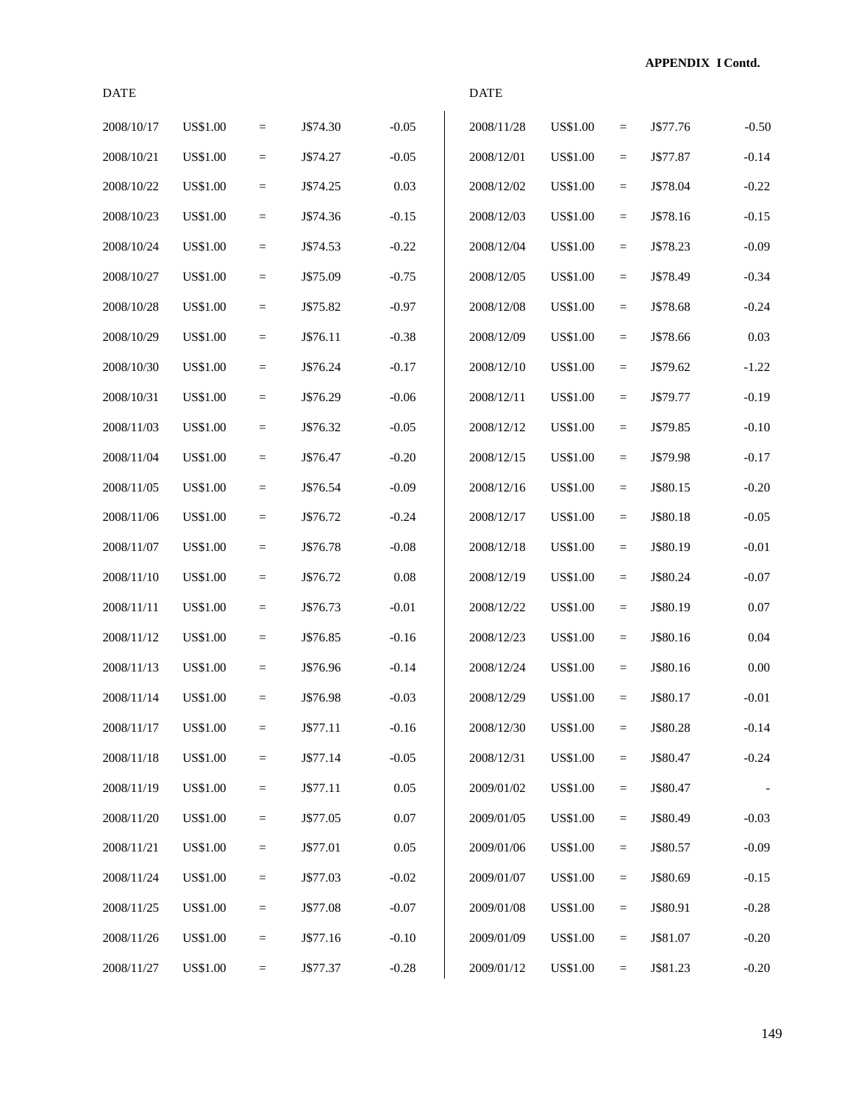**APPENDIX I Contd.**

| <b>DATE</b> |                 |     |          |          | <b>DATE</b> |                 |                   |          |         |
|-------------|-----------------|-----|----------|----------|-------------|-----------------|-------------------|----------|---------|
| 2008/10/17  | <b>US\$1.00</b> | $=$ | J\$74.30 | $-0.05$  | 2008/11/28  | <b>US\$1.00</b> | $\quad \  \  =$   | J\$77.76 | $-0.50$ |
| 2008/10/21  | <b>US\$1.00</b> | $=$ | J\$74.27 | $-0.05$  | 2008/12/01  | <b>US\$1.00</b> | $\quad \  \  =$   | J\$77.87 | $-0.14$ |
| 2008/10/22  | <b>US\$1.00</b> | $=$ | J\$74.25 | 0.03     | 2008/12/02  | <b>US\$1.00</b> | $\equiv$          | J\$78.04 | $-0.22$ |
| 2008/10/23  | <b>US\$1.00</b> | $=$ | J\$74.36 | $-0.15$  | 2008/12/03  | <b>US\$1.00</b> | $\quad \  \  =$   | J\$78.16 | $-0.15$ |
| 2008/10/24  | <b>US\$1.00</b> | $=$ | J\$74.53 | $-0.22$  | 2008/12/04  | <b>US\$1.00</b> | $\equiv$          | J\$78.23 | $-0.09$ |
| 2008/10/27  | <b>US\$1.00</b> | $=$ | J\$75.09 | $-0.75$  | 2008/12/05  | <b>US\$1.00</b> | $\equiv$          | J\$78.49 | $-0.34$ |
| 2008/10/28  | <b>US\$1.00</b> | $=$ | J\$75.82 | $-0.97$  | 2008/12/08  | <b>US\$1.00</b> | $\quad \  \  =$   | J\$78.68 | $-0.24$ |
| 2008/10/29  | <b>US\$1.00</b> | $=$ | J\$76.11 | $-0.38$  | 2008/12/09  | <b>US\$1.00</b> | $\equiv$          | J\$78.66 | 0.03    |
| 2008/10/30  | <b>US\$1.00</b> | $=$ | J\$76.24 | $-0.17$  | 2008/12/10  | <b>US\$1.00</b> | $\qquad \qquad =$ | J\$79.62 | $-1.22$ |
| 2008/10/31  | <b>US\$1.00</b> | $=$ | J\$76.29 | $-0.06$  | 2008/12/11  | <b>US\$1.00</b> | $\equiv$          | J\$79.77 | $-0.19$ |
| 2008/11/03  | <b>US\$1.00</b> | $=$ | J\$76.32 | $-0.05$  | 2008/12/12  | <b>US\$1.00</b> | $\equiv$          | J\$79.85 | $-0.10$ |
| 2008/11/04  | <b>US\$1.00</b> | $=$ | J\$76.47 | $-0.20$  | 2008/12/15  | <b>US\$1.00</b> | $\quad \  \  =$   | J\$79.98 | $-0.17$ |
| 2008/11/05  | <b>US\$1.00</b> | $=$ | J\$76.54 | $-0.09$  | 2008/12/16  | US\$1.00        | $\equiv$          | J\$80.15 | $-0.20$ |
| 2008/11/06  | <b>US\$1.00</b> | $=$ | J\$76.72 | $-0.24$  | 2008/12/17  | <b>US\$1.00</b> | $\qquad \qquad =$ | J\$80.18 | $-0.05$ |
| 2008/11/07  | <b>US\$1.00</b> | $=$ | J\$76.78 | $-0.08$  | 2008/12/18  | <b>US\$1.00</b> | $\equiv$          | J\$80.19 | $-0.01$ |
| 2008/11/10  | <b>US\$1.00</b> | $=$ | J\$76.72 | 0.08     | 2008/12/19  | <b>US\$1.00</b> | $\equiv$          | J\$80.24 | $-0.07$ |
| 2008/11/11  | <b>US\$1.00</b> | $=$ | J\$76.73 | $-0.01$  | 2008/12/22  | <b>US\$1.00</b> | $\quad \  \  =$   | J\$80.19 | 0.07    |
| 2008/11/12  | <b>US\$1.00</b> | $=$ | J\$76.85 | $-0.16$  | 2008/12/23  | US\$1.00        | $\equiv$          | J\$80.16 | 0.04    |
| 2008/11/13  | <b>US\$1.00</b> | $=$ | J\$76.96 | $-0.14$  | 2008/12/24  | <b>US\$1.00</b> | $\quad \  \  =$   | J\$80.16 | 0.00    |
| 2008/11/14  | <b>US\$1.00</b> | $=$ | J\$76.98 | $-0.03$  | 2008/12/29  | <b>US\$1.00</b> | $\equiv$          | J\$80.17 | $-0.01$ |
| 2008/11/17  | <b>US\$1.00</b> | $=$ | J\$77.11 | $-0.16$  | 2008/12/30  | <b>US\$1.00</b> | $\quad \  \  =$   | J\$80.28 | $-0.14$ |
| 2008/11/18  | <b>US\$1.00</b> | $=$ | J\$77.14 | $-0.05$  | 2008/12/31  | <b>US\$1.00</b> | $\quad \  \  =$   | J\$80.47 | $-0.24$ |
| 2008/11/19  | US\$1.00        | $=$ | J\$77.11 | 0.05     | 2009/01/02  | US\$1.00        | $\quad =$         | J\$80.47 |         |
| 2008/11/20  | <b>US\$1.00</b> | $=$ | J\$77.05 | $0.07\,$ | 2009/01/05  | <b>US\$1.00</b> | $\quad =$         | J\$80.49 | $-0.03$ |
| 2008/11/21  | <b>US\$1.00</b> | $=$ | J\$77.01 | 0.05     | 2009/01/06  | <b>US\$1.00</b> | $\quad \  \  =$   | J\$80.57 | $-0.09$ |
| 2008/11/24  | <b>US\$1.00</b> | $=$ | J\$77.03 | $-0.02$  | 2009/01/07  | <b>US\$1.00</b> | $\quad \  \  =$   | J\$80.69 | $-0.15$ |
| 2008/11/25  | <b>US\$1.00</b> | $=$ | J\$77.08 | $-0.07$  | 2009/01/08  | <b>US\$1.00</b> | $\quad \  \  =$   | J\$80.91 | $-0.28$ |
| 2008/11/26  | <b>US\$1.00</b> | $=$ | J\$77.16 | $-0.10$  | 2009/01/09  | US\$1.00        | $\quad =$         | J\$81.07 | $-0.20$ |
| 2008/11/27  | <b>US\$1.00</b> | $=$ | J\$77.37 | $-0.28$  | 2009/01/12  | <b>US\$1.00</b> | $\equiv$          | J\$81.23 | $-0.20$ |

149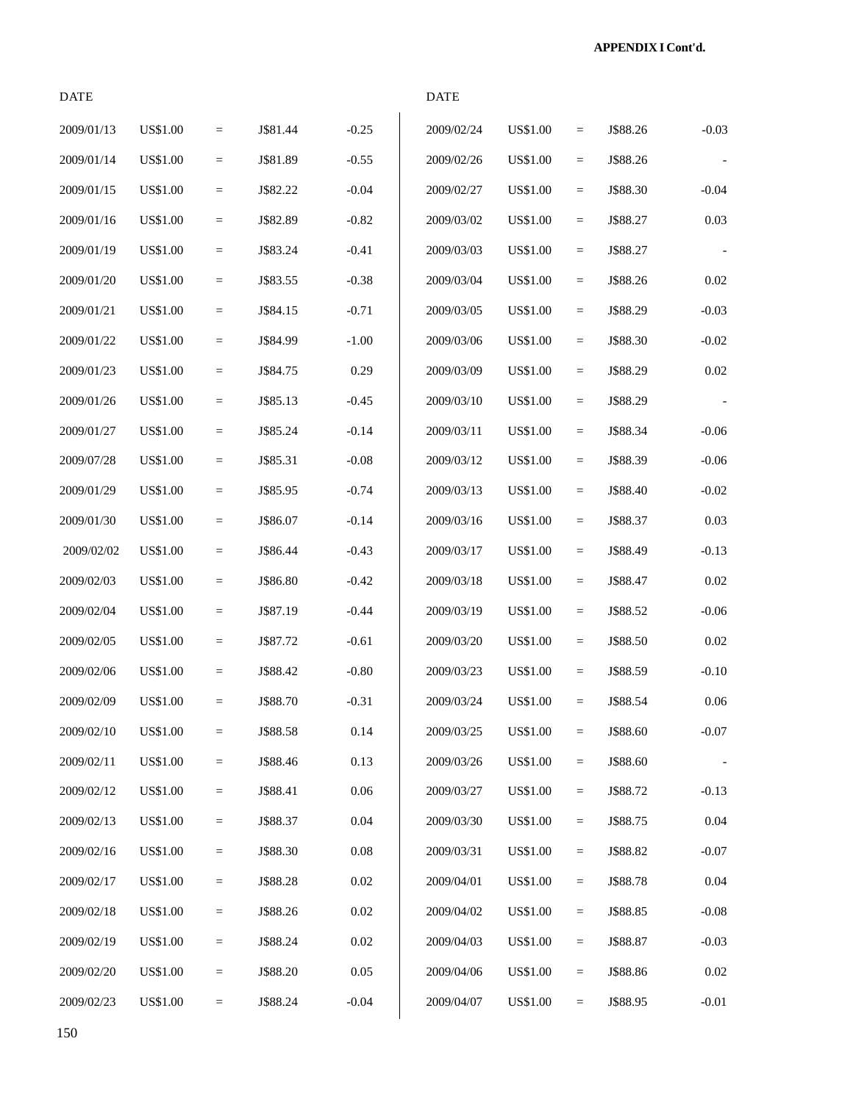**APPENDIX I Cont'd.**

| <b>DATE</b> |                 |                 |          |          | <b>DATE</b> |                 |                   |          |          |
|-------------|-----------------|-----------------|----------|----------|-------------|-----------------|-------------------|----------|----------|
| 2009/01/13  | <b>US\$1.00</b> | $\equiv$        | J\$81.44 | $-0.25$  | 2009/02/24  | <b>US\$1.00</b> | $\qquad \qquad =$ | J\$88.26 | $-0.03$  |
| 2009/01/14  | <b>US\$1.00</b> | $\quad =$       | J\$81.89 | $-0.55$  | 2009/02/26  | <b>US\$1.00</b> | $\quad =$         | J\$88.26 |          |
| 2009/01/15  | <b>US\$1.00</b> | $\equiv$        | J\$82.22 | $-0.04$  | 2009/02/27  | US\$1.00        | $\quad =$         | J\$88.30 | $-0.04$  |
| 2009/01/16  | <b>US\$1.00</b> | $\equiv$        | J\$82.89 | $-0.82$  | 2009/03/02  | US\$1.00        | $\quad =$         | J\$88.27 | 0.03     |
| 2009/01/19  | <b>US\$1.00</b> | $\equiv$        | J\$83.24 | $-0.41$  | 2009/03/03  | US\$1.00        | $\equiv$          | J\$88.27 |          |
| 2009/01/20  | <b>US\$1.00</b> | $\equiv$        | J\$83.55 | $-0.38$  | 2009/03/04  | <b>US\$1.00</b> | $\equiv$          | J\$88.26 | 0.02     |
| 2009/01/21  | <b>US\$1.00</b> | $\quad =$       | J\$84.15 | $-0.71$  | 2009/03/05  | <b>US\$1.00</b> | $\equiv$          | J\$88.29 | $-0.03$  |
| 2009/01/22  | <b>US\$1.00</b> | $\equiv$        | J\$84.99 | $-1.00$  | 2009/03/06  | US\$1.00        | $\quad =$         | J\$88.30 | $-0.02$  |
| 2009/01/23  | <b>US\$1.00</b> | $\equiv$        | J\$84.75 | 0.29     | 2009/03/09  | US\$1.00        | $\quad =$         | J\$88.29 | 0.02     |
| 2009/01/26  | <b>US\$1.00</b> | $\equiv$        | J\$85.13 | $-0.45$  | 2009/03/10  | US\$1.00        | $\equiv$          | J\$88.29 |          |
| 2009/01/27  | <b>US\$1.00</b> | $\equiv$        | J\$85.24 | $-0.14$  | 2009/03/11  | <b>US\$1.00</b> | $\equiv$          | J\$88.34 | $-0.06$  |
| 2009/07/28  | <b>US\$1.00</b> | $\quad =$       | J\$85.31 | $-0.08$  | 2009/03/12  | <b>US\$1.00</b> | $\equiv$          | J\$88.39 | $-0.06$  |
| 2009/01/29  | <b>US\$1.00</b> | $\equiv$        | J\$85.95 | $-0.74$  | 2009/03/13  | US\$1.00        | $\quad =$         | J\$88.40 | $-0.02$  |
| 2009/01/30  | <b>US\$1.00</b> | $\equiv$        | J\$86.07 | $-0.14$  | 2009/03/16  | US\$1.00        | $\quad =$         | J\$88.37 | 0.03     |
| 2009/02/02  | <b>US\$1.00</b> | $\equiv$        | J\$86.44 | $-0.43$  | 2009/03/17  | US\$1.00        | $\equiv$          | J\$88.49 | $-0.13$  |
| 2009/02/03  | <b>US\$1.00</b> | $\equiv$        | J\$86.80 | $-0.42$  | 2009/03/18  | <b>US\$1.00</b> | $\equiv$          | J\$88.47 | 0.02     |
| 2009/02/04  | <b>US\$1.00</b> | $\quad =$       | J\$87.19 | $-0.44$  | 2009/03/19  | <b>US\$1.00</b> | $\quad =$         | J\$88.52 | $-0.06$  |
| 2009/02/05  | <b>US\$1.00</b> | $\equiv$        | J\$87.72 | $-0.61$  | 2009/03/20  | US\$1.00        | $\quad =$         | J\$88.50 | 0.02     |
| 2009/02/06  | <b>US\$1.00</b> | $\equiv$        | J\$88.42 | $-0.80$  | 2009/03/23  | US\$1.00        | $\quad =$         | J\$88.59 | $-0.10$  |
| 2009/02/09  | <b>US\$1.00</b> | $=$             | J\$88.70 | $-0.31$  | 2009/03/24  | US\$1.00        | $\equiv$          | J\$88.54 | $0.06\,$ |
| 2009/02/10  | <b>US\$1.00</b> | $\equiv$        | J\$88.58 | 0.14     | 2009/03/25  | <b>US\$1.00</b> | $\quad =$         | J\$88.60 | $-0.07$  |
| 2009/02/11  | <b>US\$1.00</b> | $\quad \  \  =$ | J\$88.46 | 0.13     | 2009/03/26  | <b>US\$1.00</b> | $\equiv$          | J\$88.60 |          |
| 2009/02/12  | <b>US\$1.00</b> | $\quad =$       | J\$88.41 | 0.06     | 2009/03/27  | US\$1.00        | $\quad =$         | J\$88.72 | $-0.13$  |
| 2009/02/13  | <b>US\$1.00</b> | $\equiv$        | J\$88.37 | 0.04     | 2009/03/30  | US\$1.00        | $\quad =$         | J\$88.75 | 0.04     |
| 2009/02/16  | <b>US\$1.00</b> | $\equiv$        | J\$88.30 | 0.08     | 2009/03/31  | <b>US\$1.00</b> | $\equiv$          | J\$88.82 | $-0.07$  |
| 2009/02/17  | <b>US\$1.00</b> | $\equiv$        | J\$88.28 | $0.02\,$ | 2009/04/01  | <b>US\$1.00</b> | $\quad \  \  =$   | J\$88.78 | 0.04     |
| 2009/02/18  | <b>US\$1.00</b> | $\equiv$        | J\$88.26 | $0.02\,$ | 2009/04/02  | US\$1.00        | $\quad =$         | J\$88.85 | $-0.08$  |
| 2009/02/19  | <b>US\$1.00</b> | $\equiv$        | J\$88.24 | $0.02\,$ | 2009/04/03  | US\$1.00        | $\quad =$         | J\$88.87 | $-0.03$  |
| 2009/02/20  | <b>US\$1.00</b> | $\equiv$        | J\$88.20 | 0.05     | 2009/04/06  | US\$1.00        | $\quad =$         | J\$88.86 | 0.02     |
| 2009/02/23  | <b>US\$1.00</b> | $=$             | J\$88.24 | $-0.04$  | 2009/04/07  | <b>US\$1.00</b> | $\quad =$         | J\$88.95 | $-0.01$  |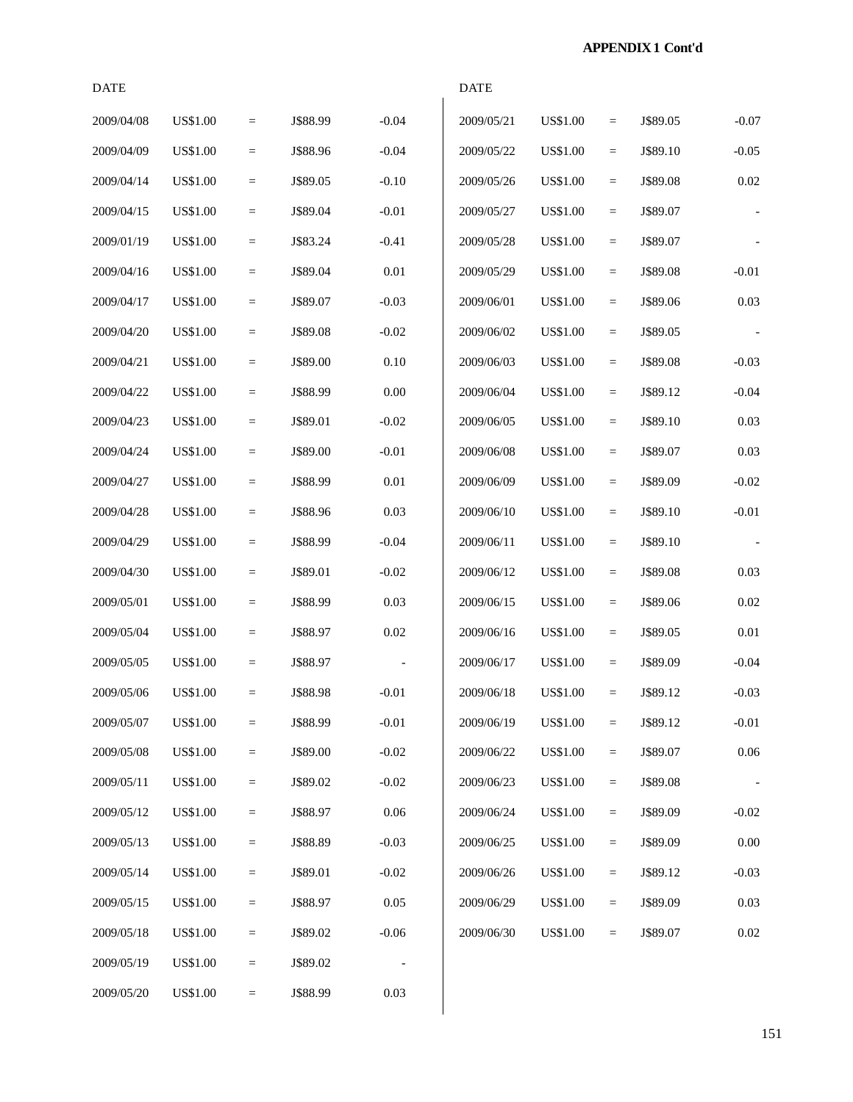**APPENDIX 1 Cont'd**

| <b>DATE</b> |                 |          |          |                          | <b>DATE</b> |                 |          |          |                          |
|-------------|-----------------|----------|----------|--------------------------|-------------|-----------------|----------|----------|--------------------------|
| 2009/04/08  | <b>US\$1.00</b> | $=$      | J\$88.99 | $-0.04$                  | 2009/05/21  | <b>US\$1.00</b> | $=$      | J\$89.05 | $-0.07$                  |
| 2009/04/09  | <b>US\$1.00</b> | $\equiv$ | J\$88.96 | $-0.04$                  | 2009/05/22  | <b>US\$1.00</b> | $=$      | J\$89.10 | $-0.05$                  |
| 2009/04/14  | <b>US\$1.00</b> | $\equiv$ | J\$89.05 | $-0.10$                  | 2009/05/26  | US\$1.00        | $=$      | J\$89.08 | 0.02                     |
| 2009/04/15  | <b>US\$1.00</b> | $\equiv$ | J\$89.04 | $-0.01$                  | 2009/05/27  | US\$1.00        | $=$      | J\$89.07 | $\overline{\phantom{a}}$ |
| 2009/01/19  | <b>US\$1.00</b> | $\equiv$ | J\$83.24 | $-0.41$                  | 2009/05/28  | US\$1.00        | $=$      | J\$89.07 |                          |
| 2009/04/16  | <b>US\$1.00</b> | $\equiv$ | J\$89.04 | $0.01\,$                 | 2009/05/29  | US\$1.00        | $=$      | J\$89.08 | $-0.01$                  |
| 2009/04/17  | <b>US\$1.00</b> | $\equiv$ | J\$89.07 | $-0.03$                  | 2009/06/01  | US\$1.00        | $=$      | J\$89.06 | 0.03                     |
| 2009/04/20  | <b>US\$1.00</b> | $\equiv$ | J\$89.08 | $-0.02$                  | 2009/06/02  | US\$1.00        | $=$      | J\$89.05 |                          |
| 2009/04/21  | <b>US\$1.00</b> | $\equiv$ | J\$89.00 | 0.10                     | 2009/06/03  | US\$1.00        | $=$      | J\$89.08 | $-0.03$                  |
| 2009/04/22  | <b>US\$1.00</b> | $=$      | J\$88.99 | 0.00                     | 2009/06/04  | US\$1.00        | $=$      | J\$89.12 | $-0.04$                  |
| 2009/04/23  | <b>US\$1.00</b> | $\equiv$ | J\$89.01 | $-0.02$                  | 2009/06/05  | <b>US\$1.00</b> | $=$      | J\$89.10 | 0.03                     |
| 2009/04/24  | <b>US\$1.00</b> | $\equiv$ | J\$89.00 | $-0.01$                  | 2009/06/08  | US\$1.00        | $=$      | J\$89.07 | 0.03                     |
| 2009/04/27  | <b>US\$1.00</b> | $\equiv$ | J\$88.99 | $0.01\,$                 | 2009/06/09  | US\$1.00        | $=$      | J\$89.09 | $-0.02$                  |
| 2009/04/28  | <b>US\$1.00</b> | $\equiv$ | J\$88.96 | 0.03                     | 2009/06/10  | US\$1.00        | $=$      | J\$89.10 | $-0.01$                  |
| 2009/04/29  | <b>US\$1.00</b> | $=$      | J\$88.99 | $-0.04$                  | 2009/06/11  | US\$1.00        | $=$      | J\$89.10 |                          |
| 2009/04/30  | <b>US\$1.00</b> | $\equiv$ | J\$89.01 | $-0.02$                  | 2009/06/12  | US\$1.00        | $=$      | J\$89.08 | 0.03                     |
| 2009/05/01  | <b>US\$1.00</b> | $\equiv$ | J\$88.99 | 0.03                     | 2009/06/15  | <b>US\$1.00</b> | $=$      | J\$89.06 | 0.02                     |
| 2009/05/04  | <b>US\$1.00</b> | $\equiv$ | J\$88.97 | 0.02                     | 2009/06/16  | US\$1.00        | $=$      | J\$89.05 | 0.01                     |
| 2009/05/05  | <b>US\$1.00</b> | $\equiv$ | J\$88.97 |                          | 2009/06/17  | US\$1.00        | $=$      | J\$89.09 | $-0.04$                  |
| 2009/05/06  | <b>US\$1.00</b> | $=$      | J\$88.98 | $-0.01$                  | 2009/06/18  | US\$1.00        | $=$      | J\$89.12 | $-0.03$                  |
| 2009/05/07  | <b>US\$1.00</b> | $\equiv$ | J\$88.99 | $-0.01$                  | 2009/06/19  | <b>US\$1.00</b> | $=$      | J\$89.12 | $-0.01$                  |
| 2009/05/08  | <b>US\$1.00</b> | $\equiv$ | J\$89.00 | $-0.02$                  | 2009/06/22  | <b>US\$1.00</b> | $=$      | J\$89.07 | $0.06\,$                 |
| 2009/05/11  | <b>US\$1.00</b> | $\equiv$ | J\$89.02 | $-0.02$                  | 2009/06/23  | US\$1.00        | $=$      | J\$89.08 |                          |
| 2009/05/12  | <b>US\$1.00</b> | $=$      | J\$88.97 | $0.06\,$                 | 2009/06/24  | US\$1.00        | $=$      | J\$89.09 | $-0.02$                  |
| 2009/05/13  | <b>US\$1.00</b> | $=$      | J\$88.89 | $-0.03$                  | 2009/06/25  | US\$1.00        | $=$      | J\$89.09 | $0.00\,$                 |
| 2009/05/14  | <b>US\$1.00</b> | $=$      | J\$89.01 | $-0.02$                  | 2009/06/26  | <b>US\$1.00</b> | $\equiv$ | J\$89.12 | $-0.03$                  |
| 2009/05/15  | US\$1.00        | $\equiv$ | J\$88.97 | 0.05                     | 2009/06/29  | US\$1.00        | $=$      | J\$89.09 | 0.03                     |
| 2009/05/18  | <b>US\$1.00</b> | $\equiv$ | J\$89.02 | $-0.06$                  | 2009/06/30  | US\$1.00        | $=$      | J\$89.07 | 0.02                     |
| 2009/05/19  | <b>US\$1.00</b> | $=$      | J\$89.02 | $\overline{\phantom{a}}$ |             |                 |          |          |                          |
| 2009/05/20  | <b>US\$1.00</b> | $=$      | J\$88.99 | 0.03                     |             |                 |          |          |                          |

151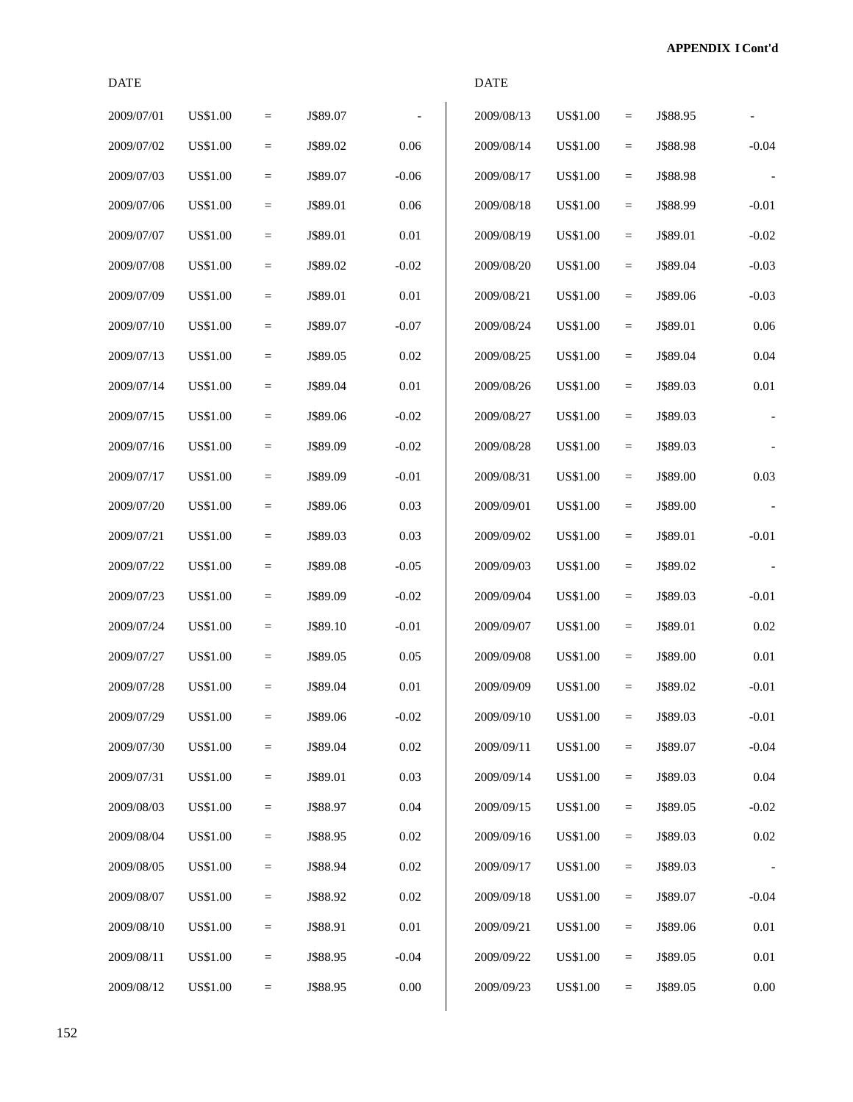| <b>DATE</b> |                 |                   |          |          | <b>DATE</b> |                 |                   |          |          |
|-------------|-----------------|-------------------|----------|----------|-------------|-----------------|-------------------|----------|----------|
| 2009/07/01  | <b>US\$1.00</b> | $\equiv$          | J\$89.07 |          | 2009/08/13  | <b>US\$1.00</b> | $=$               | J\$88.95 |          |
| 2009/07/02  | US\$1.00        | $\qquad \qquad =$ | J\$89.02 | $0.06\,$ | 2009/08/14  | <b>US\$1.00</b> | $\equiv$          | J\$88.98 | $-0.04$  |
| 2009/07/03  | US\$1.00        | $\equiv$          | J\$89.07 | $-0.06$  | 2009/08/17  | US\$1.00        | $\qquad \qquad =$ | J\$88.98 |          |
| 2009/07/06  | US\$1.00        | $\qquad \qquad =$ | J\$89.01 | 0.06     | 2009/08/18  | <b>US\$1.00</b> | $\qquad \qquad =$ | J\$88.99 | $-0.01$  |
| 2009/07/07  | US\$1.00        | $\quad =$         | J\$89.01 | 0.01     | 2009/08/19  | US\$1.00        | $\equiv$          | J\$89.01 | $-0.02$  |
| 2009/07/08  | <b>US\$1.00</b> | $=$               | J\$89.02 | $-0.02$  | 2009/08/20  | <b>US\$1.00</b> | $\equiv$          | J\$89.04 | $-0.03$  |
| 2009/07/09  | US\$1.00        | $\qquad \qquad =$ | J\$89.01 | 0.01     | 2009/08/21  | US\$1.00        | $\equiv$          | J\$89.06 | $-0.03$  |
| 2009/07/10  | US\$1.00        | $\equiv$          | J\$89.07 | $-0.07$  | 2009/08/24  | <b>US\$1.00</b> | $\qquad \qquad =$ | J\$89.01 | 0.06     |
| 2009/07/13  | US\$1.00        | $\qquad \qquad =$ | J\$89.05 | $0.02\,$ | 2009/08/25  | <b>US\$1.00</b> | $\qquad \qquad =$ | J\$89.04 | 0.04     |
| 2009/07/14  | US\$1.00        | $=$               | J\$89.04 | 0.01     | 2009/08/26  | US\$1.00        | $\equiv$          | J\$89.03 | $0.01\,$ |
| 2009/07/15  | <b>US\$1.00</b> | $=$               | J\$89.06 | $-0.02$  | 2009/08/27  | <b>US\$1.00</b> | $\equiv$          | J\$89.03 |          |
| 2009/07/16  | US\$1.00        | $\qquad \qquad =$ | J\$89.09 | $-0.02$  | 2009/08/28  | US\$1.00        | $\equiv$          | J\$89.03 |          |
| 2009/07/17  | US\$1.00        | $\quad =$         | J\$89.09 | $-0.01$  | 2009/08/31  | <b>US\$1.00</b> | $\equiv$          | J\$89.00 | 0.03     |
| 2009/07/20  | US\$1.00        | $\quad =$         | J\$89.06 | 0.03     | 2009/09/01  | <b>US\$1.00</b> | $\qquad \qquad =$ | J\$89.00 |          |
| 2009/07/21  | US\$1.00        | $\equiv$          | J\$89.03 | 0.03     | 2009/09/02  | US\$1.00        | $\equiv$          | J\$89.01 | $-0.01$  |
| 2009/07/22  | <b>US\$1.00</b> | $=$               | J\$89.08 | $-0.05$  | 2009/09/03  | <b>US\$1.00</b> | $\equiv$          | J\$89.02 |          |
| 2009/07/23  | US\$1.00        | $\qquad \qquad =$ | J\$89.09 | $-0.02$  | 2009/09/04  | <b>US\$1.00</b> | $\qquad \qquad =$ | J\$89.03 | $-0.01$  |
| 2009/07/24  | US\$1.00        | $\quad =$         | J\$89.10 | $-0.01$  | 2009/09/07  | <b>US\$1.00</b> | $\equiv$          | J\$89.01 | 0.02     |
| 2009/07/27  | US\$1.00        | $\quad =$         | J\$89.05 | 0.05     | 2009/09/08  | US\$1.00        | $\qquad \qquad =$ | J\$89.00 | 0.01     |
| 2009/07/28  | US\$1.00        | $\equiv$          | J\$89.04 | 0.01     | 2009/09/09  | <b>US\$1.00</b> | $=$               | J\$89.02 | $-0.01$  |
| 2009/07/29  | US\$1.00        | $\quad \  \  =$   | J\$89.06 | $-0.02$  | 2009/09/10  | <b>US\$1.00</b> | $\quad =$         | J\$89.03 | $-0.01$  |
| 2009/07/30  | US\$1.00        | $\equiv$          | J\$89.04 | $0.02\,$ | 2009/09/11  | <b>US\$1.00</b> | $\qquad \qquad =$ | J\$89.07 | $-0.04$  |
| 2009/07/31  | US\$1.00        | $=$               | J\$89.01 | 0.03     | 2009/09/14  | <b>US\$1.00</b> | $\equiv$          | J\$89.03 | 0.04     |
| 2009/08/03  | US\$1.00        | $=$               | J\$88.97 | $0.04\,$ | 2009/09/15  | <b>US\$1.00</b> | $\quad =$         | J\$89.05 | $-0.02$  |
| 2009/08/04  | US\$1.00        | $=$               | J\$88.95 | $0.02\,$ | 2009/09/16  | US\$1.00        | $=$               | J\$89.03 | $0.02\,$ |
| 2009/08/05  | US\$1.00        | $=$               | J\$88.94 | $0.02\,$ | 2009/09/17  | <b>US\$1.00</b> | $\equiv$          | J\$89.03 |          |
| 2009/08/07  | US\$1.00        | $\equiv$          | J\$88.92 | $0.02\,$ | 2009/09/18  | US\$1.00        | $\qquad \qquad =$ | J\$89.07 | $-0.04$  |
| 2009/08/10  | US\$1.00        | $=$               | J\$88.91 | 0.01     | 2009/09/21  | <b>US\$1.00</b> | $\equiv$          | J\$89.06 | $0.01\,$ |
| 2009/08/11  | US\$1.00        | $=$               | J\$88.95 | $-0.04$  | 2009/09/22  | US\$1.00        | $\quad =$         | J\$89.05 | 0.01     |
| 2009/08/12  | <b>US\$1.00</b> | $=$               | J\$88.95 | $0.00\,$ | 2009/09/23  | <b>US\$1.00</b> | $=$               | J\$89.05 | $0.00\,$ |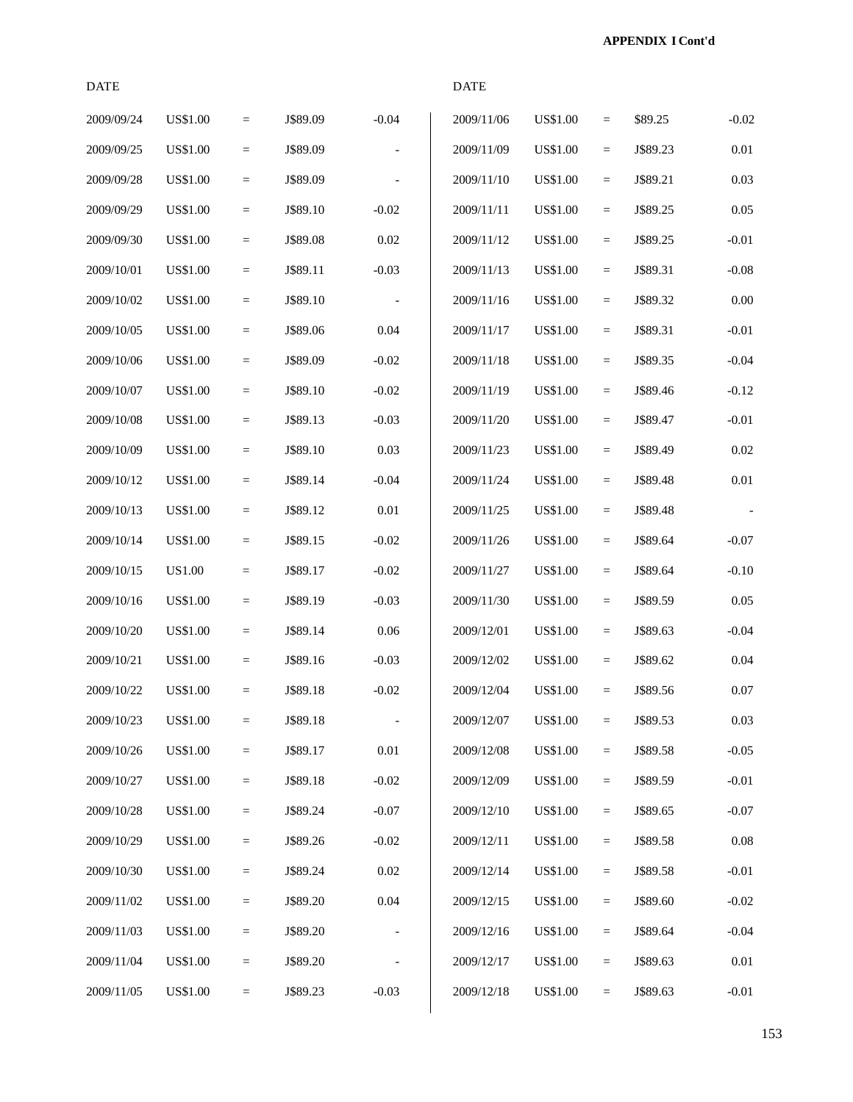**APPENDIX I Cont'd**

| <b>DATE</b> |                 |                   |          |          | <b>DATE</b> |                 |                         |          |          |
|-------------|-----------------|-------------------|----------|----------|-------------|-----------------|-------------------------|----------|----------|
| 2009/09/24  | <b>US\$1.00</b> | $\equiv$          | J\$89.09 | $-0.04$  | 2009/11/06  | <b>US\$1.00</b> | $\qquad \qquad =$       | \$89.25  | $-0.02$  |
| 2009/09/25  | <b>US\$1.00</b> | $\equiv$          | J\$89.09 |          | 2009/11/09  | <b>US\$1.00</b> | $\equiv$                | J\$89.23 | 0.01     |
| 2009/09/28  | <b>US\$1.00</b> | $\equiv$          | J\$89.09 |          | 2009/11/10  | <b>US\$1.00</b> | $\equiv$                | J\$89.21 | 0.03     |
| 2009/09/29  | <b>US\$1.00</b> | $\equiv$          | J\$89.10 | $-0.02$  | 2009/11/11  | <b>US\$1.00</b> | $\equiv$                | J\$89.25 | 0.05     |
| 2009/09/30  | <b>US\$1.00</b> | $\equiv$          | J\$89.08 | 0.02     | 2009/11/12  | <b>US\$1.00</b> | $\quad \  \  =$         | J\$89.25 | $-0.01$  |
| 2009/10/01  | <b>US\$1.00</b> | $\equiv$          | J\$89.11 | $-0.03$  | 2009/11/13  | <b>US\$1.00</b> | $\quad \  \  =$         | J\$89.31 | $-0.08$  |
| 2009/10/02  | US\$1.00        | $\equiv$          | J\$89.10 |          | 2009/11/16  | <b>US\$1.00</b> | $\equiv$                | J\$89.32 | 0.00     |
| 2009/10/05  | <b>US\$1.00</b> | $\equiv$          | J\$89.06 | $0.04\,$ | 2009/11/17  | US\$1.00        | $\quad \  \  =$         | J\$89.31 | $-0.01$  |
| 2009/10/06  | <b>US\$1.00</b> | $=$               | J\$89.09 | $-0.02$  | 2009/11/18  | <b>US\$1.00</b> | $\equiv$                | J\$89.35 | $-0.04$  |
| 2009/10/07  | <b>US\$1.00</b> | $\equiv$          | J\$89.10 | $-0.02$  | 2009/11/19  | <b>US\$1.00</b> | $\quad \  \  =$         | J\$89.46 | $-0.12$  |
| 2009/10/08  | <b>US\$1.00</b> | $\quad \  \  =$   | J\$89.13 | $-0.03$  | 2009/11/20  | <b>US\$1.00</b> | $\quad \  \  =$         | J\$89.47 | $-0.01$  |
| 2009/10/09  | <b>US\$1.00</b> | $\equiv$          | J\$89.10 | 0.03     | 2009/11/23  | <b>US\$1.00</b> | $\equiv$                | J\$89.49 | 0.02     |
| 2009/10/12  | <b>US\$1.00</b> | $\quad =$         | J\$89.14 | $-0.04$  | 2009/11/24  | US\$1.00        | $\equiv$                | J\$89.48 | 0.01     |
| 2009/10/13  | <b>US\$1.00</b> | $\equiv$          | J\$89.12 | 0.01     | 2009/11/25  | <b>US\$1.00</b> | $\equiv$                | J\$89.48 |          |
| 2009/10/14  | <b>US\$1.00</b> | $\equiv$          | J\$89.15 | $-0.02$  | 2009/11/26  | <b>US\$1.00</b> | $\quad \  \  =$         | J\$89.64 | $-0.07$  |
| 2009/10/15  | US1.00          | $\equiv$          | J\$89.17 | $-0.02$  | 2009/11/27  | <b>US\$1.00</b> | $\equiv$                | J\$89.64 | $-0.10$  |
| 2009/10/16  | <b>US\$1.00</b> | $\equiv$          | J\$89.19 | $-0.03$  | 2009/11/30  | <b>US\$1.00</b> | $\equiv$                | J\$89.59 | 0.05     |
| 2009/10/20  | <b>US\$1.00</b> | $\quad \  \  =$   | J\$89.14 | $0.06\,$ | 2009/12/01  | <b>US\$1.00</b> | $\quad \  \  =$         | J\$89.63 | $-0.04$  |
| 2009/10/21  | <b>US\$1.00</b> | $\quad \  \  =$   | J\$89.16 | $-0.03$  | 2009/12/02  | US\$1.00        | $\quad \  \  =$         | J\$89.62 | 0.04     |
| 2009/10/22  | <b>US\$1.00</b> | $\qquad \qquad =$ | J\$89.18 | $-0.02$  | 2009/12/04  | <b>US\$1.00</b> | $\qquad \qquad =\qquad$ | J\$89.56 | $0.07\,$ |
| 2009/10/23  | <b>US\$1.00</b> | $=$               | J\$89.18 |          | 2009/12/07  | <b>US\$1.00</b> | $\quad \  \  =$         | J\$89.53 | $0.03\,$ |
| 2009/10/26  | <b>US\$1.00</b> | $\equiv$          | J\$89.17 | $0.01\,$ | 2009/12/08  | <b>US\$1.00</b> | $\equiv$                | J\$89.58 | $-0.05$  |
| 2009/10/27  | US\$1.00        | $=$               | J\$89.18 | $-0.02$  | 2009/12/09  | <b>US\$1.00</b> | $\equiv$                | J\$89.59 | $-0.01$  |
| 2009/10/28  | <b>US\$1.00</b> | $=$               | J\$89.24 | $-0.07$  | 2009/12/10  | <b>US\$1.00</b> | $\equiv$                | J\$89.65 | $-0.07$  |
| 2009/10/29  | <b>US\$1.00</b> | $=$               | J\$89.26 | $-0.02$  | 2009/12/11  | <b>US\$1.00</b> | $=$                     | J\$89.58 | $0.08\,$ |
| 2009/10/30  | <b>US\$1.00</b> | $=$               | J\$89.24 | $0.02\,$ | 2009/12/14  | <b>US\$1.00</b> | $\equiv$                | J\$89.58 | $-0.01$  |
| 2009/11/02  | <b>US\$1.00</b> | $=$               | J\$89.20 | 0.04     | 2009/12/15  | <b>US\$1.00</b> | $\equiv$                | J\$89.60 | $-0.02$  |
| 2009/11/03  | US\$1.00        | $=$               | J\$89.20 |          | 2009/12/16  | US\$1.00        | $\equiv$                | J\$89.64 | $-0.04$  |
| 2009/11/04  | US\$1.00        | $=$               | J\$89.20 |          | 2009/12/17  | US\$1.00        | $\equiv$                | J\$89.63 | 0.01     |
| 2009/11/05  | <b>US\$1.00</b> | $=$               | J\$89.23 | $-0.03$  | 2009/12/18  | <b>US\$1.00</b> | $\equiv$                | J\$89.63 | $-0.01$  |
|             |                 |                   |          |          |             |                 |                         |          |          |

153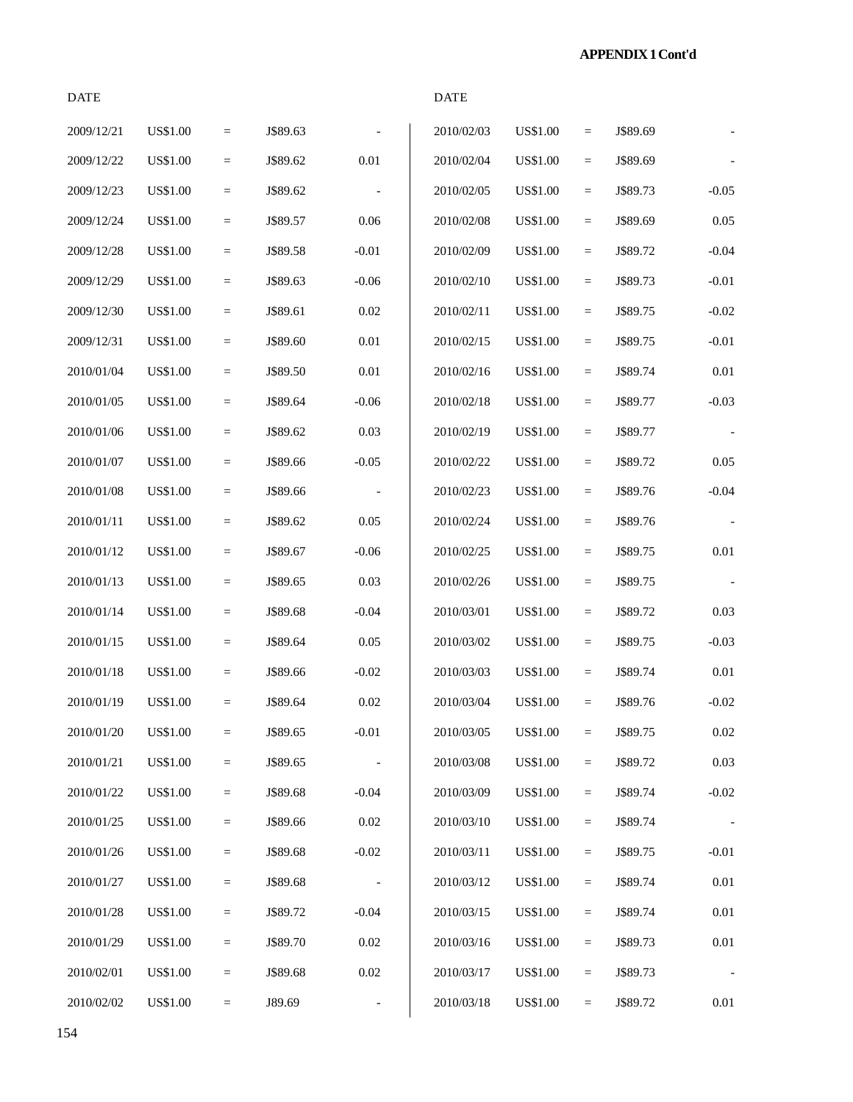**APPENDIX 1 Cont'd**

| <b>DATE</b> |                 |           |          |                          | <b>DATE</b> |                 |           |          |          |
|-------------|-----------------|-----------|----------|--------------------------|-------------|-----------------|-----------|----------|----------|
| 2009/12/21  | <b>US\$1.00</b> | $\equiv$  | J\$89.63 |                          | 2010/02/03  | <b>US\$1.00</b> | $\equiv$  | J\$89.69 |          |
| 2009/12/22  | <b>US\$1.00</b> | $\equiv$  | J\$89.62 | $0.01\,$                 | 2010/02/04  | <b>US\$1.00</b> | $\equiv$  | J\$89.69 |          |
| 2009/12/23  | <b>US\$1.00</b> | $\equiv$  | J\$89.62 | $\overline{\phantom{a}}$ | 2010/02/05  | US\$1.00        | $\equiv$  | J\$89.73 | $-0.05$  |
| 2009/12/24  | <b>US\$1.00</b> | $\equiv$  | J\$89.57 | 0.06                     | 2010/02/08  | US\$1.00        | $\quad =$ | J\$89.69 | 0.05     |
| 2009/12/28  | <b>US\$1.00</b> | $\equiv$  | J\$89.58 | $-0.01$                  | 2010/02/09  | <b>US\$1.00</b> | $\equiv$  | J\$89.72 | $-0.04$  |
| 2009/12/29  | <b>US\$1.00</b> | $\equiv$  | J\$89.63 | $-0.06$                  | 2010/02/10  | US\$1.00        | $\equiv$  | J\$89.73 | $-0.01$  |
| 2009/12/30  | <b>US\$1.00</b> | $\equiv$  | J\$89.61 | $0.02\,$                 | 2010/02/11  | <b>US\$1.00</b> | $\equiv$  | J\$89.75 | $-0.02$  |
| 2009/12/31  | <b>US\$1.00</b> | $\equiv$  | J\$89.60 | $0.01\,$                 | 2010/02/15  | <b>US\$1.00</b> | $\equiv$  | J\$89.75 | $-0.01$  |
| 2010/01/04  | <b>US\$1.00</b> | $\equiv$  | J\$89.50 | $0.01\,$                 | 2010/02/16  | US\$1.00        | $\equiv$  | J\$89.74 | 0.01     |
| 2010/01/05  | <b>US\$1.00</b> | $\equiv$  | J\$89.64 | $-0.06$                  | 2010/02/18  | <b>US\$1.00</b> | $\equiv$  | J\$89.77 | $-0.03$  |
| 2010/01/06  | <b>US\$1.00</b> | $\equiv$  | J\$89.62 | 0.03                     | 2010/02/19  | US\$1.00        | $\equiv$  | J\$89.77 |          |
| 2010/01/07  | <b>US\$1.00</b> | $\equiv$  | J\$89.66 | $-0.05$                  | 2010/02/22  | <b>US\$1.00</b> | $\equiv$  | J\$89.72 | 0.05     |
| 2010/01/08  | <b>US\$1.00</b> | $\quad =$ | J\$89.66 | $\overline{\phantom{a}}$ | 2010/02/23  | <b>US\$1.00</b> | $\equiv$  | J\$89.76 | $-0.04$  |
| 2010/01/11  | US\$1.00        | $\equiv$  | J\$89.62 | 0.05                     | 2010/02/24  | US\$1.00        | $\equiv$  | J\$89.76 |          |
| 2010/01/12  | <b>US\$1.00</b> | $\equiv$  | J\$89.67 | $-0.06$                  | 2010/02/25  | <b>US\$1.00</b> | $\equiv$  | J\$89.75 | $0.01\,$ |
| 2010/01/13  | US\$1.00        | $\equiv$  | J\$89.65 | 0.03                     | 2010/02/26  | US\$1.00        | $\equiv$  | J\$89.75 |          |
| 2010/01/14  | <b>US\$1.00</b> | $\equiv$  | J\$89.68 | $-0.04$                  | 2010/03/01  | <b>US\$1.00</b> | $\equiv$  | J\$89.72 | 0.03     |
| 2010/01/15  | <b>US\$1.00</b> | $\equiv$  | J\$89.64 | 0.05                     | 2010/03/02  | US\$1.00        | $\equiv$  | J\$89.75 | $-0.03$  |
| 2010/01/18  | US\$1.00        | $\equiv$  | J\$89.66 | $-0.02$                  | 2010/03/03  | US\$1.00        | $\equiv$  | J\$89.74 | 0.01     |
| 2010/01/19  | <b>US\$1.00</b> | $=$       | J\$89.64 | $0.02\,$                 | 2010/03/04  | <b>US\$1.00</b> | $\equiv$  | J\$89.76 | $-0.02$  |
| 2010/01/20  | <b>US\$1.00</b> | $\equiv$  | J\$89.65 | $-0.01$                  | 2010/03/05  | <b>US\$1.00</b> | $\equiv$  | J\$89.75 | $0.02\,$ |
| 2010/01/21  | <b>US\$1.00</b> | $\equiv$  | J\$89.65 | $\overline{\phantom{a}}$ | 2010/03/08  | <b>US\$1.00</b> | $\equiv$  | J\$89.72 | 0.03     |
| 2010/01/22  | US\$1.00        | $\equiv$  | J\$89.68 | $-0.04$                  | 2010/03/09  | US\$1.00        | $\equiv$  | J\$89.74 | $-0.02$  |
| 2010/01/25  | US\$1.00        | $\equiv$  | J\$89.66 | $0.02\,$                 | 2010/03/10  | US\$1.00        | $\equiv$  | J\$89.74 |          |
| 2010/01/26  | US\$1.00        | $\equiv$  | J\$89.68 | $-0.02$                  | 2010/03/11  | <b>US\$1.00</b> | $\equiv$  | J\$89.75 | $-0.01$  |
| 2010/01/27  | US\$1.00        | $\quad =$ | J\$89.68 | $\overline{\phantom{a}}$ | 2010/03/12  | US\$1.00        | $\equiv$  | J\$89.74 | 0.01     |
| 2010/01/28  | <b>US\$1.00</b> | $\equiv$  | J\$89.72 | $-0.04$                  | 2010/03/15  | <b>US\$1.00</b> | $\equiv$  | J\$89.74 | 0.01     |
| 2010/01/29  | US\$1.00        | $\equiv$  | J\$89.70 | $0.02\,$                 | 2010/03/16  | US\$1.00        | $\equiv$  | J\$89.73 | $0.01\,$ |
| 2010/02/01  | <b>US\$1.00</b> | $\equiv$  | J\$89.68 | $0.02\,$                 | 2010/03/17  | US\$1.00        | $\equiv$  | J\$89.73 |          |

2010/02/02 US\$1.00 = J89.69 - 2010/03/18 US\$1.00 = J\$89.72 0.01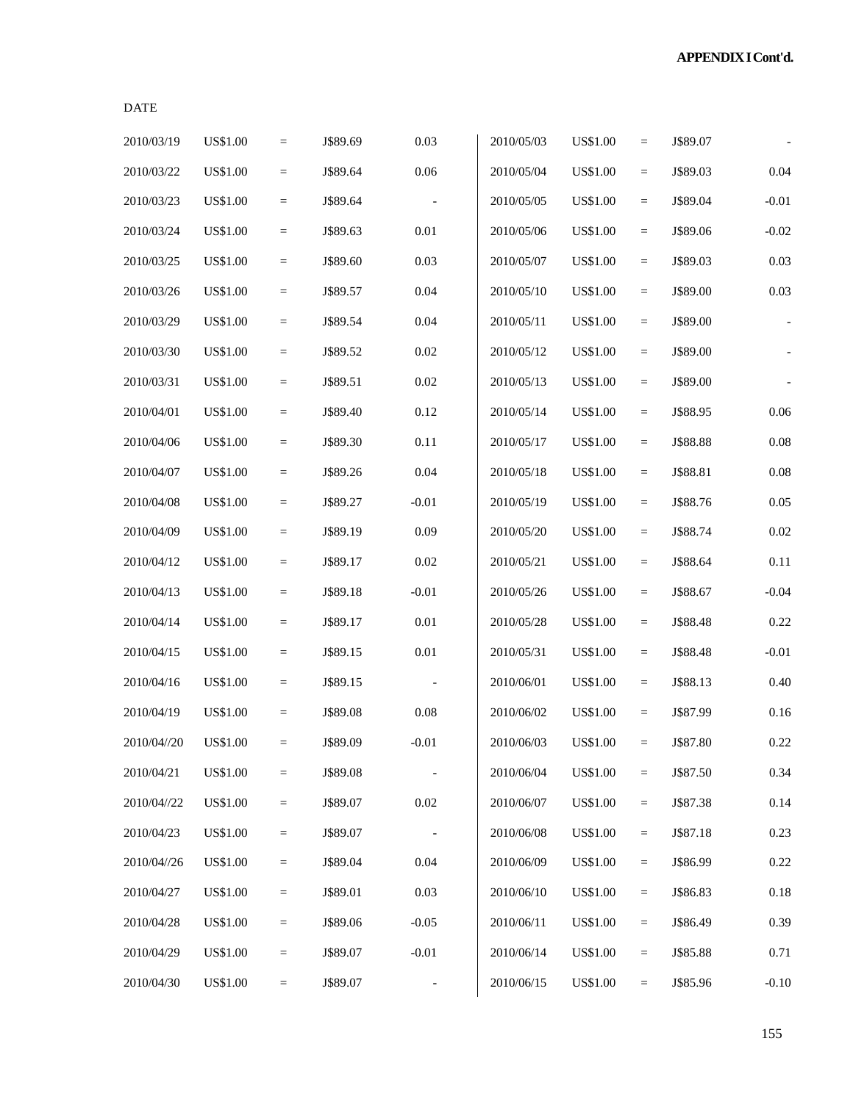|--|--|

| 2010/03/19  | <b>US\$1.00</b> | $\equiv$ | J\$89.69 | 0.03                     | 2010/05/03 | <b>US\$1.00</b> | $=$               | J\$89.07 |          |
|-------------|-----------------|----------|----------|--------------------------|------------|-----------------|-------------------|----------|----------|
| 2010/03/22  | <b>US\$1.00</b> | $=$      | J\$89.64 | 0.06                     | 2010/05/04 | <b>US\$1.00</b> | $=$               | J\$89.03 | 0.04     |
| 2010/03/23  | <b>US\$1.00</b> | $\equiv$ | J\$89.64 | $\overline{\phantom{a}}$ | 2010/05/05 | <b>US\$1.00</b> | $\quad =$         | J\$89.04 | $-0.01$  |
| 2010/03/24  | <b>US\$1.00</b> | $\equiv$ | J\$89.63 | $0.01\,$                 | 2010/05/06 | <b>US\$1.00</b> | $=$               | J\$89.06 | $-0.02$  |
| 2010/03/25  | <b>US\$1.00</b> | $=$      | J\$89.60 | 0.03                     | 2010/05/07 | <b>US\$1.00</b> | $=$               | J\$89.03 | 0.03     |
| 2010/03/26  | <b>US\$1.00</b> | $\equiv$ | J\$89.57 | 0.04                     | 2010/05/10 | <b>US\$1.00</b> | $=$               | J\$89.00 | 0.03     |
| 2010/03/29  | <b>US\$1.00</b> | $=$      | J\$89.54 | 0.04                     | 2010/05/11 | <b>US\$1.00</b> | $=$               | J\$89.00 |          |
| 2010/03/30  | <b>US\$1.00</b> | $\equiv$ | J\$89.52 | 0.02                     | 2010/05/12 | <b>US\$1.00</b> | $\quad =$         | J\$89.00 |          |
| 2010/03/31  | <b>US\$1.00</b> | $\equiv$ | J\$89.51 | 0.02                     | 2010/05/13 | <b>US\$1.00</b> | $=$               | J\$89.00 |          |
| 2010/04/01  | <b>US\$1.00</b> | $=$      | J\$89.40 | 0.12                     | 2010/05/14 | <b>US\$1.00</b> | $=$               | J\$88.95 | $0.06\,$ |
| 2010/04/06  | <b>US\$1.00</b> | $=$      | J\$89.30 | $0.11\,$                 | 2010/05/17 | <b>US\$1.00</b> | $=$               | J\$88.88 | $0.08\,$ |
| 2010/04/07  | <b>US\$1.00</b> | $=$      | J\$89.26 | 0.04                     | 2010/05/18 | <b>US\$1.00</b> | $=$               | J\$88.81 | 0.08     |
| 2010/04/08  | US\$1.00        | $\equiv$ | J\$89.27 | $-0.01$                  | 2010/05/19 | <b>US\$1.00</b> | $\quad =$         | J\$88.76 | 0.05     |
| 2010/04/09  | <b>US\$1.00</b> | $\equiv$ | J\$89.19 | 0.09                     | 2010/05/20 | <b>US\$1.00</b> | $=$               | J\$88.74 | 0.02     |
| 2010/04/12  | <b>US\$1.00</b> | $=$      | J\$89.17 | 0.02                     | 2010/05/21 | <b>US\$1.00</b> | $=$               | J\$88.64 | $0.11\,$ |
| 2010/04/13  | <b>US\$1.00</b> | $=$      | J\$89.18 | $-0.01$                  | 2010/05/26 | <b>US\$1.00</b> | $=$               | J\$88.67 | $-0.04$  |
| 2010/04/14  | <b>US\$1.00</b> | $=$      | J\$89.17 | $0.01\,$                 | 2010/05/28 | <b>US\$1.00</b> | $=$               | J\$88.48 | 0.22     |
| 2010/04/15  | <b>US\$1.00</b> | $\equiv$ | J\$89.15 | $0.01\,$                 | 2010/05/31 | <b>US\$1.00</b> | $\quad =$         | J\$88.48 | $-0.01$  |
| 2010/04/16  | <b>US\$1.00</b> | $\equiv$ | J\$89.15 |                          | 2010/06/01 | <b>US\$1.00</b> | $\qquad \qquad =$ | J\$88.13 | 0.40     |
| 2010/04/19  | <b>US\$1.00</b> | $=$      | J\$89.08 | 0.08                     | 2010/06/02 | <b>US\$1.00</b> | $=$               | J\$87.99 | 0.16     |
| 2010/04//20 | <b>US\$1.00</b> | $=$      | J\$89.09 | $-0.01$                  | 2010/06/03 | <b>US\$1.00</b> | $=$               | J\$87.80 | 0.22     |
| 2010/04/21  | <b>US\$1.00</b> | $=$      | J\$89.08 |                          | 2010/06/04 | <b>US\$1.00</b> | $=$               | J\$87.50 | 0.34     |
| 2010/04//22 | US\$1.00        | $=$      | J\$89.07 | 0.02                     | 2010/06/07 | <b>US\$1.00</b> | $=$               | J\$87.38 | 0.14     |
| 2010/04/23  | <b>US\$1.00</b> | $=$      | J\$89.07 |                          | 2010/06/08 | <b>US\$1.00</b> | $=$               | J\$87.18 | 0.23     |
| 2010/04//26 | US\$1.00        | $=$      | J\$89.04 | 0.04                     | 2010/06/09 | <b>US\$1.00</b> | $=$               | J\$86.99 | 0.22     |
| 2010/04/27  | <b>US\$1.00</b> | $=$      | J\$89.01 | 0.03                     | 2010/06/10 | <b>US\$1.00</b> | $=$               | J\$86.83 | 0.18     |
| 2010/04/28  | US\$1.00        | $=$      | J\$89.06 | $-0.05$                  | 2010/06/11 | <b>US\$1.00</b> | $=$               | J\$86.49 | 0.39     |
| 2010/04/29  | US\$1.00        | $=$      | J\$89.07 | $-0.01$                  | 2010/06/14 | <b>US\$1.00</b> | $=$               | J\$85.88 | 0.71     |
| 2010/04/30  | <b>US\$1.00</b> | $=$      | J\$89.07 | $\overline{\phantom{a}}$ | 2010/06/15 | <b>US\$1.00</b> | $=$               | J\$85.96 | $-0.10$  |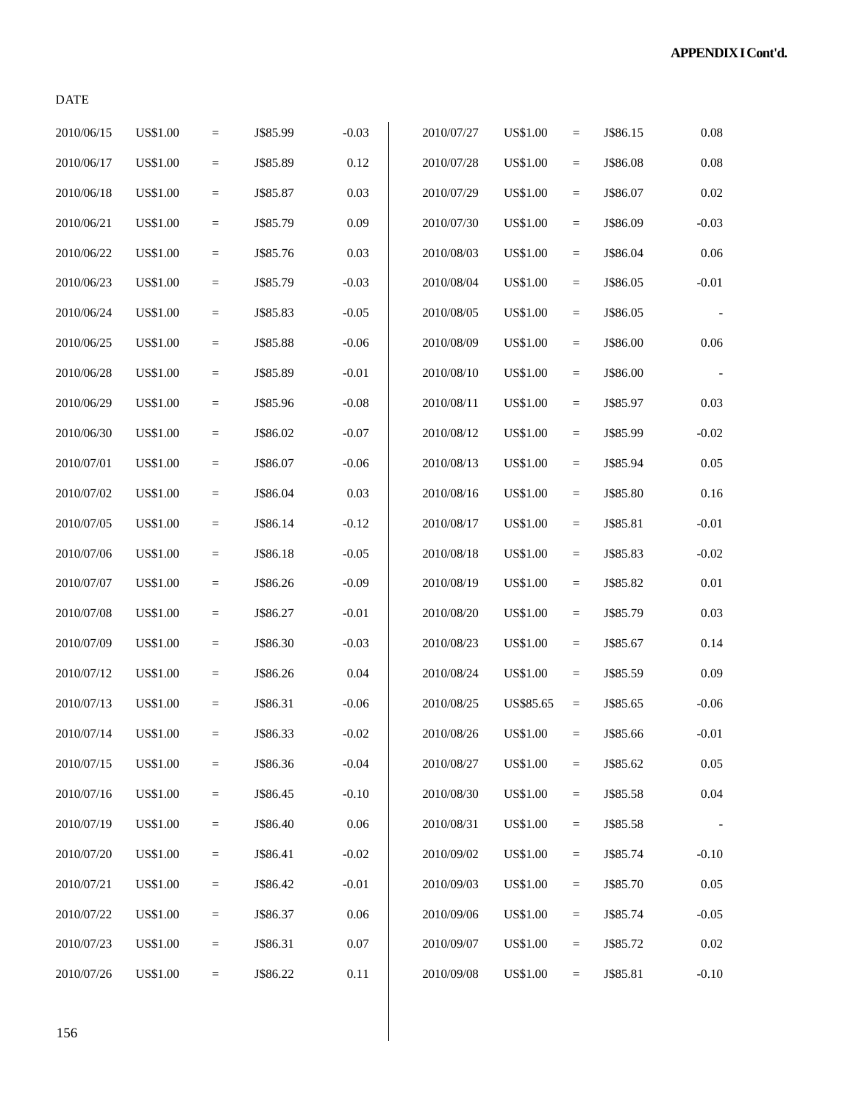# DATE

| 2010/06/15 | US\$1.00        | $\equiv$        | J\$85.99 | $-0.03$  | 2010/07/27 | <b>US\$1.00</b> | $=$ | J\$86.15 | $0.08\,$ |
|------------|-----------------|-----------------|----------|----------|------------|-----------------|-----|----------|----------|
| 2010/06/17 | US\$1.00        | $\quad \  \  =$ | J\$85.89 | 0.12     | 2010/07/28 | <b>US\$1.00</b> | $=$ | J\$86.08 | $0.08\,$ |
| 2010/06/18 | US\$1.00        | $\equiv$        | J\$85.87 | 0.03     | 2010/07/29 | <b>US\$1.00</b> | $=$ | J\$86.07 | 0.02     |
| 2010/06/21 | US\$1.00        | $\quad =$       | J\$85.79 | 0.09     | 2010/07/30 | <b>US\$1.00</b> | $=$ | J\$86.09 | $-0.03$  |
| 2010/06/22 | US\$1.00        | $=$             | J\$85.76 | 0.03     | 2010/08/03 | <b>US\$1.00</b> | $=$ | J\$86.04 | $0.06\,$ |
| 2010/06/23 | US\$1.00        | $\equiv$        | J\$85.79 | $-0.03$  | 2010/08/04 | <b>US\$1.00</b> | $=$ | J\$86.05 | $-0.01$  |
| 2010/06/24 | US\$1.00        | $=$             | J\$85.83 | $-0.05$  | 2010/08/05 | <b>US\$1.00</b> | $=$ | J\$86.05 |          |
| 2010/06/25 | US\$1.00        | $\quad =$       | J\$85.88 | $-0.06$  | 2010/08/09 | <b>US\$1.00</b> | $=$ | J\$86.00 | $0.06\,$ |
| 2010/06/28 | US\$1.00        | $\equiv$        | J\$85.89 | $-0.01$  | 2010/08/10 | <b>US\$1.00</b> | $=$ | J\$86.00 |          |
| 2010/06/29 | US\$1.00        | $=$             | J\$85.96 | $-0.08$  | 2010/08/11 | <b>US\$1.00</b> | $=$ | J\$85.97 | 0.03     |
| 2010/06/30 | US\$1.00        | $\equiv$        | J\$86.02 | $-0.07$  | 2010/08/12 | <b>US\$1.00</b> | $=$ | J\$85.99 | $-0.02$  |
| 2010/07/01 | US\$1.00        | $=$             | J\$86.07 | $-0.06$  | 2010/08/13 | <b>US\$1.00</b> | $=$ | J\$85.94 | 0.05     |
| 2010/07/02 | US\$1.00        | $\quad =$       | J\$86.04 | 0.03     | 2010/08/16 | <b>US\$1.00</b> | $=$ | J\$85.80 | 0.16     |
| 2010/07/05 | US\$1.00        | $\equiv$        | J\$86.14 | $-0.12$  | 2010/08/17 | <b>US\$1.00</b> | $=$ | J\$85.81 | $-0.01$  |
| 2010/07/06 | US\$1.00        | $=$             | J\$86.18 | $-0.05$  | 2010/08/18 | <b>US\$1.00</b> | $=$ | J\$85.83 | $-0.02$  |
| 2010/07/07 | US\$1.00        | $\equiv$        | J\$86.26 | $-0.09$  | 2010/08/19 | <b>US\$1.00</b> | $=$ | J\$85.82 | $0.01\,$ |
| 2010/07/08 | US\$1.00        | $\equiv$        | J\$86.27 | $-0.01$  | 2010/08/20 | <b>US\$1.00</b> | $=$ | J\$85.79 | 0.03     |
| 2010/07/09 | US\$1.00        | $\equiv$        | J\$86.30 | $-0.03$  | 2010/08/23 | <b>US\$1.00</b> | $=$ | J\$85.67 | 0.14     |
| 2010/07/12 | <b>US\$1.00</b> | $\equiv$        | J\$86.26 | 0.04     | 2010/08/24 | <b>US\$1.00</b> | $=$ | J\$85.59 | 0.09     |
| 2010/07/13 | <b>US\$1.00</b> | $\equiv$        | J\$86.31 | $-0.06$  | 2010/08/25 | US\$85.65       | $=$ | J\$85.65 | $-0.06$  |
| 2010/07/14 | <b>US\$1.00</b> | $=$             | J\$86.33 | $-0.02$  | 2010/08/26 | <b>US\$1.00</b> | $=$ | J\$85.66 | $-0.01$  |
| 2010/07/15 | US\$1.00        | $=$             | J\$86.36 | $-0.04$  | 2010/08/27 | <b>US\$1.00</b> | $=$ | J\$85.62 | 0.05     |
| 2010/07/16 | US\$1.00        | $=$             | J\$86.45 | $-0.10$  | 2010/08/30 | <b>US\$1.00</b> | $=$ | J\$85.58 | $0.04\,$ |
| 2010/07/19 | US\$1.00        | $\quad \  \  =$ | J\$86.40 | 0.06     | 2010/08/31 | <b>US\$1.00</b> | $=$ | J\$85.58 |          |
| 2010/07/20 | <b>US\$1.00</b> | $\quad \  \  =$ | J\$86.41 | $-0.02$  | 2010/09/02 | <b>US\$1.00</b> | $=$ | J\$85.74 | $-0.10$  |
| 2010/07/21 | US\$1.00        | $\equiv$        | J\$86.42 | $-0.01$  | 2010/09/03 | <b>US\$1.00</b> | $=$ | J\$85.70 | 0.05     |
| 2010/07/22 | <b>US\$1.00</b> | $\quad \  \  =$ | J\$86.37 | 0.06     | 2010/09/06 | <b>US\$1.00</b> | $=$ | J\$85.74 | $-0.05$  |
| 2010/07/23 | US\$1.00        | $=$             | J\$86.31 | 0.07     | 2010/09/07 | <b>US\$1.00</b> | $=$ | J\$85.72 | 0.02     |
| 2010/07/26 | <b>US\$1.00</b> | $\equiv$        | J\$86.22 | $0.11\,$ | 2010/09/08 | <b>US\$1.00</b> | $=$ | J\$85.81 | $-0.10$  |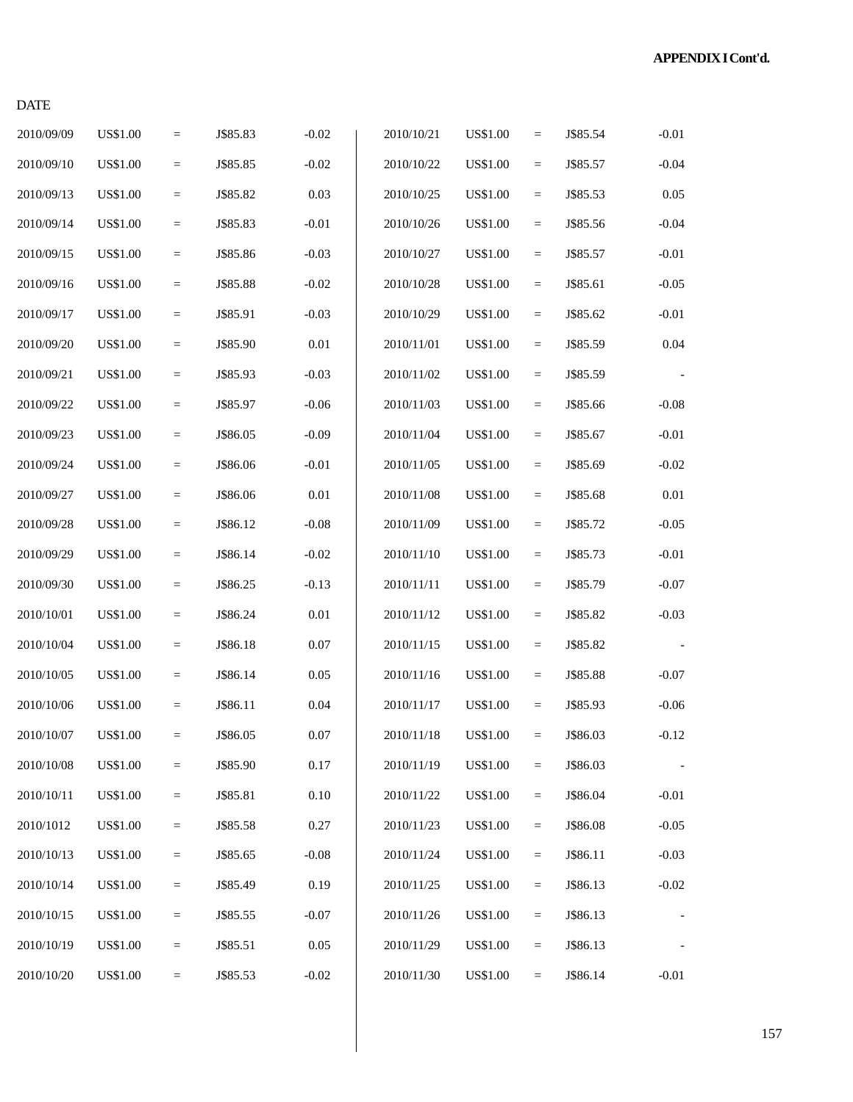# DATE

| 2010/09/09 | <b>US\$1.00</b> | $\quad \  \  =$ | J\$85.83 | $-0.02$  | 2010/10/21 | <b>US\$1.00</b> | $\qquad \qquad =$ | J\$85.54 | $-0.01$  |
|------------|-----------------|-----------------|----------|----------|------------|-----------------|-------------------|----------|----------|
| 2010/09/10 | <b>US\$1.00</b> | $\quad \  \  =$ | J\$85.85 | $-0.02$  | 2010/10/22 | <b>US\$1.00</b> | $\equiv$          | J\$85.57 | $-0.04$  |
| 2010/09/13 | <b>US\$1.00</b> | $\quad \  \  =$ | J\$85.82 | 0.03     | 2010/10/25 | <b>US\$1.00</b> | $\quad =$         | J\$85.53 | 0.05     |
| 2010/09/14 | <b>US\$1.00</b> | $\equiv$        | J\$85.83 | $-0.01$  | 2010/10/26 | <b>US\$1.00</b> | $\equiv$          | J\$85.56 | $-0.04$  |
| 2010/09/15 | <b>US\$1.00</b> | $\quad \  \  =$ | J\$85.86 | $-0.03$  | 2010/10/27 | <b>US\$1.00</b> | $\quad =$         | J\$85.57 | $-0.01$  |
| 2010/09/16 | <b>US\$1.00</b> | $\quad \  \  =$ | J\$85.88 | $-0.02$  | 2010/10/28 | <b>US\$1.00</b> | $\quad =$         | J\$85.61 | $-0.05$  |
| 2010/09/17 | <b>US\$1.00</b> | $\quad \  \  =$ | J\$85.91 | $-0.03$  | 2010/10/29 | <b>US\$1.00</b> | $\equiv$          | J\$85.62 | $-0.01$  |
| 2010/09/20 | <b>US\$1.00</b> | $\quad =$       | J\$85.90 | $0.01\,$ | 2010/11/01 | <b>US\$1.00</b> | $\quad =$         | J\$85.59 | $0.04\,$ |
| 2010/09/21 | <b>US\$1.00</b> | $\equiv$        | J\$85.93 | $-0.03$  | 2010/11/02 | <b>US\$1.00</b> | $\equiv$          | J\$85.59 |          |
| 2010/09/22 | <b>US\$1.00</b> | $\quad \  \  =$ | J\$85.97 | $-0.06$  | 2010/11/03 | <b>US\$1.00</b> | $\quad =$         | J\$85.66 | $-0.08$  |
| 2010/09/23 | <b>US\$1.00</b> | $\quad \  \  =$ | J\$86.05 | $-0.09$  | 2010/11/04 | <b>US\$1.00</b> | $\quad =$         | J\$85.67 | $-0.01$  |
| 2010/09/24 | <b>US\$1.00</b> | $\quad \  \  =$ | J\$86.06 | $-0.01$  | 2010/11/05 | <b>US\$1.00</b> | $\equiv$          | J\$85.69 | $-0.02$  |
| 2010/09/27 | <b>US\$1.00</b> | $\quad \  \  =$ | J\$86.06 | $0.01\,$ | 2010/11/08 | <b>US\$1.00</b> | $\quad =$         | J\$85.68 | 0.01     |
| 2010/09/28 | <b>US\$1.00</b> | $\equiv$        | J\$86.12 | $-0.08$  | 2010/11/09 | <b>US\$1.00</b> | $\quad =$         | J\$85.72 | $-0.05$  |
| 2010/09/29 | <b>US\$1.00</b> | $\quad \  \  =$ | J\$86.14 | $-0.02$  | 2010/11/10 | <b>US\$1.00</b> | $\quad =$         | J\$85.73 | $-0.01$  |
| 2010/09/30 | <b>US\$1.00</b> | $\quad \  \  =$ | J\$86.25 | $-0.13$  | 2010/11/11 | <b>US\$1.00</b> | $\equiv$          | J\$85.79 | $-0.07$  |
| 2010/10/01 | <b>US\$1.00</b> | $\quad \  \  =$ | J\$86.24 | $0.01\,$ | 2010/11/12 | <b>US\$1.00</b> | $\equiv$          | J\$85.82 | $-0.03$  |
| 2010/10/04 | <b>US\$1.00</b> | $\quad \  \  =$ | J\$86.18 | $0.07\,$ | 2010/11/15 | <b>US\$1.00</b> | $\quad =$         | J\$85.82 |          |
| 2010/10/05 | <b>US\$1.00</b> | $\equiv$        | J\$86.14 | $0.05\,$ | 2010/11/16 | <b>US\$1.00</b> | $\equiv$          | J\$85.88 | $-0.07$  |
| 2010/10/06 | <b>US\$1.00</b> | $\quad \  \  =$ | J\$86.11 | $0.04\,$ | 2010/11/17 | <b>US\$1.00</b> | $\quad =$         | J\$85.93 | $-0.06$  |
| 2010/10/07 | <b>US\$1.00</b> | $\quad \  \  =$ | J\$86.05 | 0.07     | 2010/11/18 | <b>US\$1.00</b> | $\equiv$          | J\$86.03 | $-0.12$  |
| 2010/10/08 | <b>US\$1.00</b> | $\equiv$        | J\$85.90 | 0.17     | 2010/11/19 | <b>US\$1.00</b> | $\equiv$          | J\$86.03 |          |
| 2010/10/11 | US\$1.00        | $\equiv$        | J\$85.81 | 0.10     | 2010/11/22 | <b>US\$1.00</b> | $\equiv$          | J\$86.04 | $-0.01$  |
| 2010/1012  | US\$1.00        | $\equiv$        | J\$85.58 | 0.27     | 2010/11/23 | <b>US\$1.00</b> | $\equiv$          | J\$86.08 | $-0.05$  |
| 2010/10/13 | US\$1.00        | $\equiv$        | J\$85.65 | $-0.08$  | 2010/11/24 | US\$1.00        | $\equiv$          | J\$86.11 | $-0.03$  |
| 2010/10/14 | US\$1.00        | $\equiv$        | J\$85.49 | 0.19     | 2010/11/25 | <b>US\$1.00</b> | $\equiv$          | J\$86.13 | $-0.02$  |
| 2010/10/15 | US\$1.00        | $\equiv$        | J\$85.55 | $-0.07$  | 2010/11/26 | <b>US\$1.00</b> | $\equiv$          | J\$86.13 |          |
| 2010/10/19 | US\$1.00        | $\quad \  \  =$ | J\$85.51 | 0.05     | 2010/11/29 | <b>US\$1.00</b> | $\equiv$          | J\$86.13 |          |
| 2010/10/20 | <b>US\$1.00</b> | $\equiv$        | J\$85.53 | $-0.02$  | 2010/11/30 | <b>US\$1.00</b> | $\equiv$          | J\$86.14 | $-0.01$  |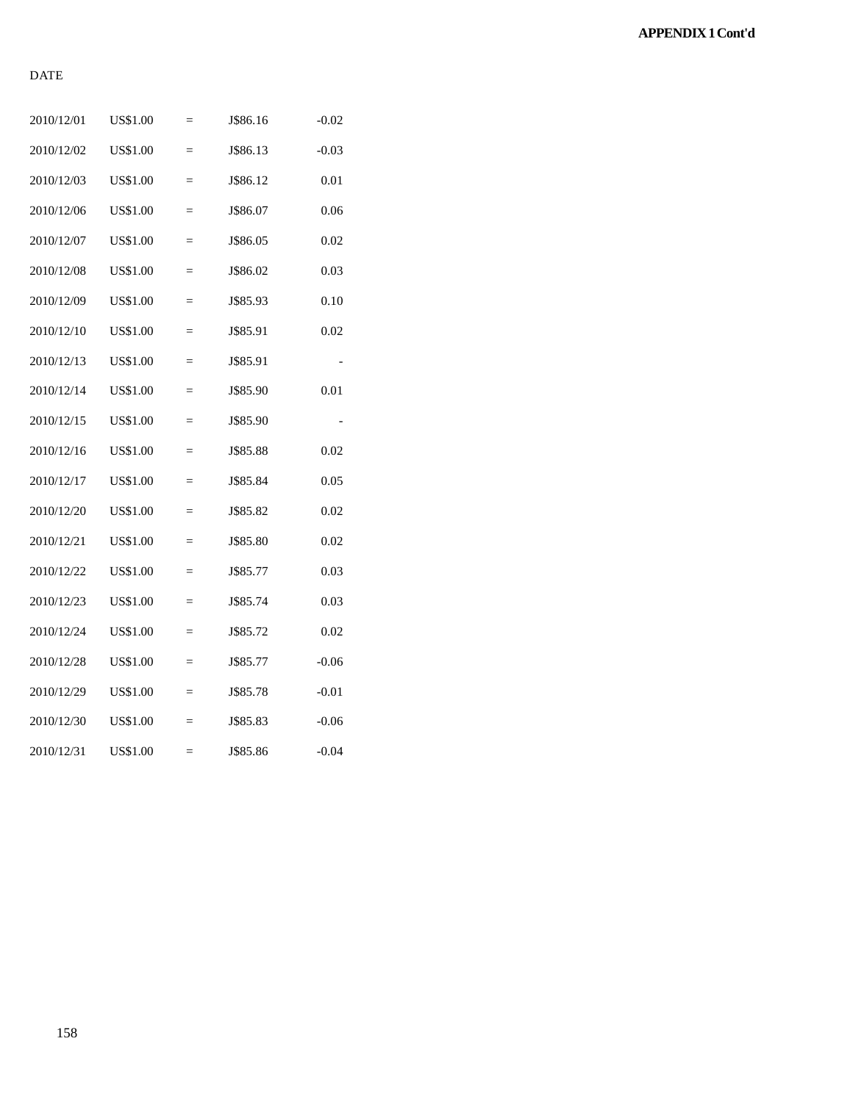## DATE

| 2010/12/01 | <b>US\$1.00</b> | $=$ | J\$86.16 | $-0.02$ |
|------------|-----------------|-----|----------|---------|
| 2010/12/02 | <b>US\$1.00</b> | $=$ | J\$86.13 | $-0.03$ |
| 2010/12/03 | <b>US\$1.00</b> | $=$ | J\$86.12 | 0.01    |
| 2010/12/06 | US\$1.00        | $=$ | J\$86.07 | 0.06    |
| 2010/12/07 | <b>US\$1.00</b> | $=$ | J\$86.05 | 0.02    |
| 2010/12/08 | <b>US\$1.00</b> | $=$ | J\$86.02 | 0.03    |
| 2010/12/09 | US\$1.00        | $=$ | J\$85.93 | 0.10    |
| 2010/12/10 | US\$1.00        | $=$ | J\$85.91 | 0.02    |
| 2010/12/13 | <b>US\$1.00</b> | $=$ | J\$85.91 |         |
| 2010/12/14 | <b>US\$1.00</b> | $=$ | J\$85.90 | 0.01    |
| 2010/12/15 | US\$1.00        | $=$ | J\$85.90 |         |
| 2010/12/16 | <b>US\$1.00</b> | $=$ | J\$85.88 | 0.02    |
| 2010/12/17 | <b>US\$1.00</b> | $=$ | J\$85.84 | 0.05    |
| 2010/12/20 | <b>US\$1.00</b> | $=$ | J\$85.82 | 0.02    |
| 2010/12/21 | US\$1.00        | $=$ | J\$85.80 | 0.02    |
| 2010/12/22 | <b>US\$1.00</b> | $=$ | J\$85.77 | 0.03    |
| 2010/12/23 | <b>US\$1.00</b> | $=$ | J\$85.74 | 0.03    |
| 2010/12/24 | US\$1.00        | $=$ | J\$85.72 | 0.02    |
| 2010/12/28 | US\$1.00        | $=$ | J\$85.77 | $-0.06$ |
| 2010/12/29 | US\$1.00        | $=$ | J\$85.78 | $-0.01$ |
| 2010/12/30 | US\$1.00        | $=$ | J\$85.83 | $-0.06$ |
| 2010/12/31 | <b>US\$1.00</b> | $=$ | J\$85.86 | $-0.04$ |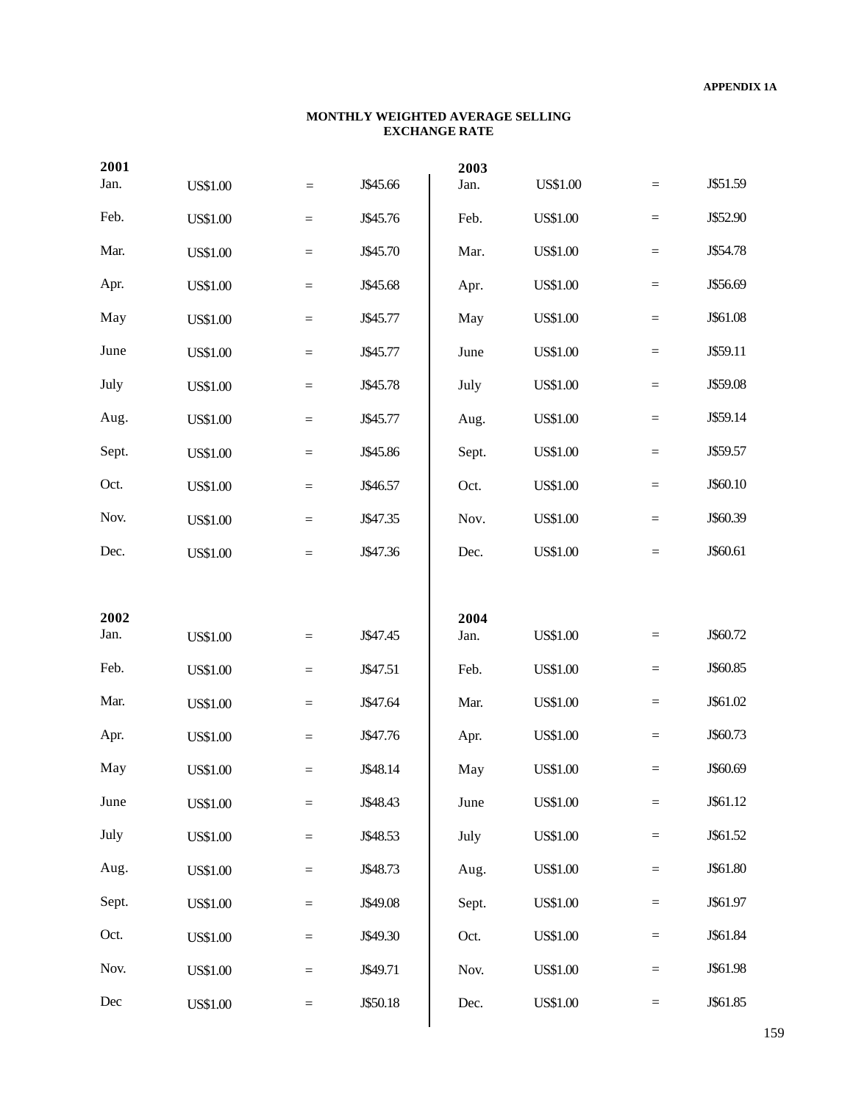#### **MONTHLY WEIGHTED AVERAGE SELLING EXCHANGE RATE**

| 2001  |                 |          |          | 2003  |                 |           |          |
|-------|-----------------|----------|----------|-------|-----------------|-----------|----------|
| Jan.  | <b>US\$1.00</b> | $=$      | J\$45.66 | Jan.  | <b>US\$1.00</b> | $\equiv$  | J\$51.59 |
| Feb.  | <b>US\$1.00</b> | $=$      | J\$45.76 | Feb.  | <b>US\$1.00</b> | $\quad =$ | J\$52.90 |
| Mar.  | <b>US\$1.00</b> | $=$      | J\$45.70 | Mar.  | <b>US\$1.00</b> | $\quad =$ | J\$54.78 |
| Apr.  | <b>US\$1.00</b> | $=$      | J\$45.68 | Apr.  | <b>US\$1.00</b> | $\quad =$ | J\$56.69 |
| May   | <b>US\$1.00</b> | $=$      | J\$45.77 | May   | <b>US\$1.00</b> | $\quad =$ | J\$61.08 |
| June  | <b>US\$1.00</b> | $=$      | J\$45.77 | June  | <b>US\$1.00</b> | $\quad =$ | J\$59.11 |
| July  | <b>US\$1.00</b> | $=$      | J\$45.78 | July  | <b>US\$1.00</b> | $\quad =$ | J\$59.08 |
| Aug.  | <b>US\$1.00</b> | $=$      | J\$45.77 | Aug.  | <b>US\$1.00</b> | $\quad =$ | J\$59.14 |
| Sept. | <b>US\$1.00</b> | $=$      | J\$45.86 | Sept. | <b>US\$1.00</b> | $\quad =$ | J\$59.57 |
| Oct.  | <b>US\$1.00</b> | $=$      | J\$46.57 | Oct.  | <b>US\$1.00</b> | $\quad =$ | J\$60.10 |
| Nov.  | <b>US\$1.00</b> | $=$      | J\$47.35 | Nov.  | <b>US\$1.00</b> | $\quad =$ | J\$60.39 |
| Dec.  | <b>US\$1.00</b> | $=$      | J\$47.36 | Dec.  | <b>US\$1.00</b> | $\equiv$  | J\$60.61 |
|       |                 |          |          |       |                 |           |          |
|       |                 |          |          |       |                 |           |          |
| 2002  |                 |          |          | 2004  |                 |           |          |
| Jan.  | <b>US\$1.00</b> | $=$      | J\$47.45 | Jan.  | <b>US\$1.00</b> | $\equiv$  | J\$60.72 |
| Feb.  | <b>US\$1.00</b> | $=$      | J\$47.51 | Feb.  | <b>US\$1.00</b> | $=$       | J\$60.85 |
| Mar.  | <b>US\$1.00</b> | $=$      | J\$47.64 | Mar.  | <b>US\$1.00</b> | $=$       | J\$61.02 |
| Apr.  | <b>US\$1.00</b> | $=$      | J\$47.76 | Apr.  | <b>US\$1.00</b> | $=$       | J\$60.73 |
| May   | <b>US\$1.00</b> | $=$      | J\$48.14 | May   | <b>US\$1.00</b> | $=$       | J\$60.69 |
| June  | <b>US\$1.00</b> | $\equiv$ | J\$48.43 | June  | <b>US\$1.00</b> | $\quad =$ | J\$61.12 |
| July  | <b>US\$1.00</b> | $\equiv$ | J\$48.53 | July  | <b>US\$1.00</b> | $\quad =$ | J\$61.52 |
| Aug.  | <b>US\$1.00</b> | $\equiv$ | J\$48.73 | Aug.  | <b>US\$1.00</b> | $\quad =$ | J\$61.80 |
| Sept. | <b>US\$1.00</b> | $\equiv$ | J\$49.08 | Sept. | <b>US\$1.00</b> | $\quad =$ | J\$61.97 |
| Oct.  | <b>US\$1.00</b> | $\equiv$ | J\$49.30 | Oct.  | <b>US\$1.00</b> | $\quad =$ | J\$61.84 |
| Nov.  | <b>US\$1.00</b> | $\equiv$ | J\$49.71 | Nov.  | <b>US\$1.00</b> | $=$       | J\$61.98 |
| Dec   | <b>US\$1.00</b> | $\equiv$ | J\$50.18 | Dec.  | <b>US\$1.00</b> | $\equiv$  | J\$61.85 |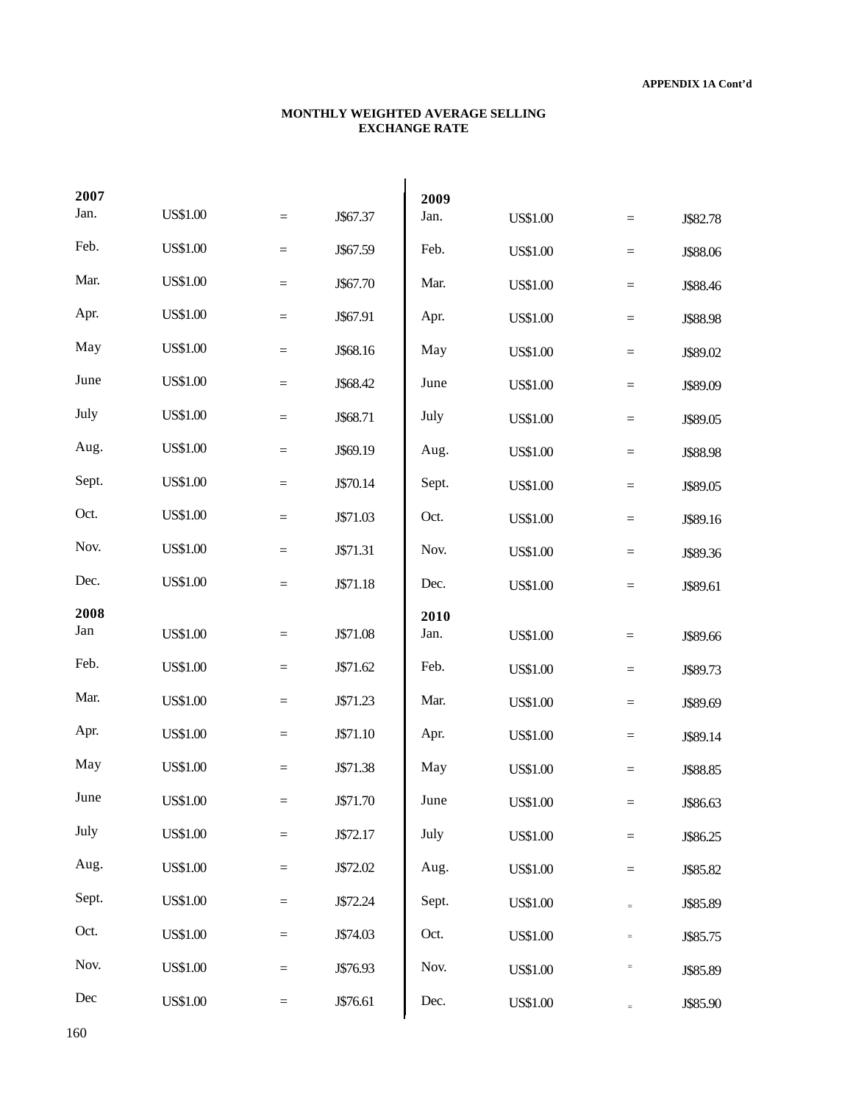#### **MONTHLY WEIGHTED AVERAGE SELLING EXCHANGE RATE**

| 2007  |                 |          |          | 2009         |                 |                   |          |
|-------|-----------------|----------|----------|--------------|-----------------|-------------------|----------|
| Jan.  | <b>US\$1.00</b> | $=$      | J\$67.37 | Jan.         | <b>US\$1.00</b> | $\equiv$          | J\$82.78 |
| Feb.  | <b>US\$1.00</b> | $=$      | J\$67.59 | Feb.         | <b>US\$1.00</b> | $\equiv$          | J\$88.06 |
| Mar.  | <b>US\$1.00</b> | $\equiv$ | J\$67.70 | Mar.         | <b>US\$1.00</b> | $\equiv$          | J\$88.46 |
| Apr.  | <b>US\$1.00</b> | $\equiv$ | J\$67.91 | Apr.         | <b>US\$1.00</b> | $\equiv$          | J\$88.98 |
| May   | <b>US\$1.00</b> | $\equiv$ | J\$68.16 | May          | <b>US\$1.00</b> | $\quad =$         | J\$89.02 |
| June  | <b>US\$1.00</b> | $\equiv$ | J\$68.42 | June         | <b>US\$1.00</b> | $\quad = \quad$   | J\$89.09 |
| July  | <b>US\$1.00</b> | $=$      | J\$68.71 | July         | <b>US\$1.00</b> | $\quad = \quad$   | J\$89.05 |
| Aug.  | <b>US\$1.00</b> | $=$      | J\$69.19 | Aug.         | <b>US\$1.00</b> | $\quad = \quad$   | J\$88.98 |
| Sept. | <b>US\$1.00</b> | $=$      | J\$70.14 | Sept.        | <b>US\$1.00</b> | $\quad = \quad$   | J\$89.05 |
| Oct.  | <b>US\$1.00</b> | $=$      | J\$71.03 | Oct.         | <b>US\$1.00</b> | $\quad = \quad$   | J\$89.16 |
| Nov.  | <b>US\$1.00</b> | $=$      | J\$71.31 | Nov.         | <b>US\$1.00</b> | $\equiv$          | J\$89.36 |
| Dec.  | <b>US\$1.00</b> | $=$      | J\$71.18 | Dec.         | <b>US\$1.00</b> | $\equiv$          | J\$89.61 |
|       |                 |          |          |              |                 |                   |          |
| 2008  |                 |          |          |              |                 |                   |          |
| Jan   | <b>US\$1.00</b> | $=$      | J\$71.08 | 2010<br>Jan. | <b>US\$1.00</b> | $=$               | J\$89.66 |
| Feb.  | <b>US\$1.00</b> | $=$      | J\$71.62 | Feb.         | <b>US\$1.00</b> | $\equiv$          | J\$89.73 |
| Mar.  | <b>US\$1.00</b> | $=$      | J\$71.23 | Mar.         | <b>US\$1.00</b> | $\equiv$          | J\$89.69 |
| Apr.  | <b>US\$1.00</b> | $=$      | J\$71.10 | Apr.         | <b>US\$1.00</b> | $\quad =$         | J\$89.14 |
| May   | <b>US\$1.00</b> | $=$      | J\$71.38 | May          | <b>US\$1.00</b> | $\quad =$         | J\$88.85 |
| June  | <b>US\$1.00</b> | $=$      | J\$71.70 | June         | <b>US\$1.00</b> | $\quad = \quad$   | J\$86.63 |
| July  | <b>US\$1.00</b> | $=$      | J\$72.17 | July         | <b>US\$1.00</b> | $\equiv$          | J\$86.25 |
| Aug.  | <b>US\$1.00</b> | $=$      | J\$72.02 | Aug.         | <b>US\$1.00</b> | $\equiv$          | J\$85.82 |
| Sept. | <b>US\$1.00</b> | $=$      | J\$72.24 | Sept.        | <b>US\$1.00</b> | $\equiv$          | J\$85.89 |
| Oct.  | <b>US\$1.00</b> | $=$      | J\$74.03 | Oct.         | <b>US\$1.00</b> | $\equiv$          | J\$85.75 |
| Nov.  | <b>US\$1.00</b> | $=$      | J\$76.93 | Nov.         | <b>US\$1.00</b> | $\qquad \qquad =$ | J\$85.89 |
| Dec   | <b>US\$1.00</b> | $=$      | J\$76.61 | Dec.         | <b>US\$1.00</b> | $=$               | J\$85.90 |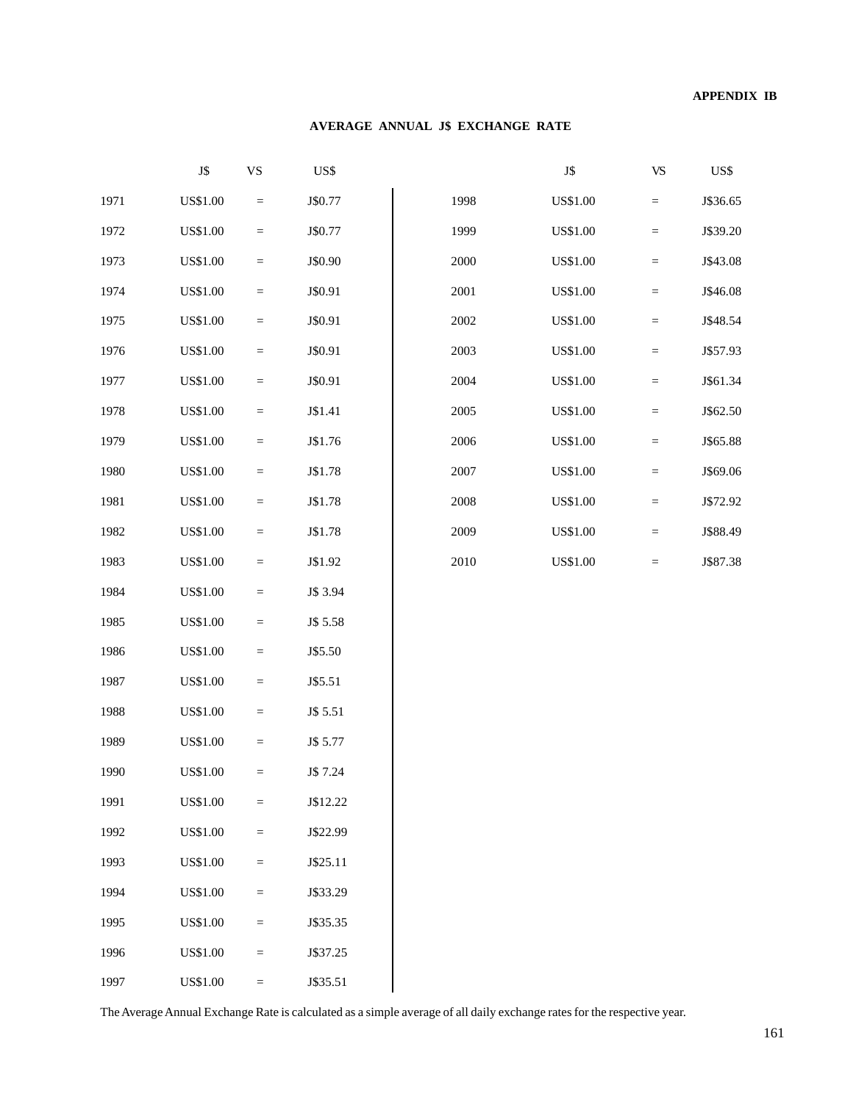#### **AVERAGE ANNUAL J\$ EXCHANGE RATE**

|      | J\$             | $\mathbf{V}\mathbf{S}$            | US\$     |          | ${\bf J}\$      | <b>VS</b>         | US\$     |
|------|-----------------|-----------------------------------|----------|----------|-----------------|-------------------|----------|
| 1971 | <b>US\$1.00</b> | $\equiv$                          | J\$0.77  | 1998     | <b>US\$1.00</b> | $\qquad \qquad =$ | J\$36.65 |
| 1972 | <b>US\$1.00</b> | $\quad \  \  =$                   | J\$0.77  | 1999     | <b>US\$1.00</b> | $\quad =$         | J\$39.20 |
| 1973 | <b>US\$1.00</b> | $\hspace{1.6cm} = \hspace{1.6cm}$ | J\$0.90  | 2000     | <b>US\$1.00</b> | $\quad =$         | J\$43.08 |
| 1974 | <b>US\$1.00</b> | $\quad \  \  =$                   | J\$0.91  | 2001     | <b>US\$1.00</b> | $\qquad \qquad =$ | J\$46.08 |
| 1975 | <b>US\$1.00</b> | $\quad =$                         | J\$0.91  | 2002     | <b>US\$1.00</b> | $\qquad \qquad =$ | J\$48.54 |
| 1976 | <b>US\$1.00</b> | $\quad \  \  =$                   | J\$0.91  | 2003     | <b>US\$1.00</b> | $\qquad \qquad =$ | J\$57.93 |
| 1977 | <b>US\$1.00</b> | $\quad \  \  =$                   | J\$0.91  | 2004     | <b>US\$1.00</b> | $\quad =$         | J\$61.34 |
| 1978 | <b>US\$1.00</b> | $\hspace{1.6cm} = \hspace{1.6cm}$ | J\$1.41  | 2005     | <b>US\$1.00</b> | $\quad =$         | J\$62.50 |
| 1979 | <b>US\$1.00</b> | $\equiv$                          | J\$1.76  | 2006     | <b>US\$1.00</b> | $\quad =$         | J\$65.88 |
| 1980 | <b>US\$1.00</b> | $\qquad \qquad =$                 | J\$1.78  | $2007\,$ | <b>US\$1.00</b> | $\qquad \qquad =$ | J\$69.06 |
| 1981 | <b>US\$1.00</b> | $\equiv$                          | J\$1.78  | 2008     | <b>US\$1.00</b> | $\qquad \qquad =$ | J\$72.92 |
| 1982 | <b>US\$1.00</b> | $\quad \  \  =$                   | J\$1.78  | 2009     | <b>US\$1.00</b> | $\qquad \qquad =$ | J\$88.49 |
| 1983 | <b>US\$1.00</b> | $\quad =$                         | J\$1.92  | 2010     | <b>US\$1.00</b> | $\qquad \qquad =$ | J\$87.38 |
| 1984 | <b>US\$1.00</b> | $\quad \  \  =$                   | J\$ 3.94 |          |                 |                   |          |
| 1985 | <b>US\$1.00</b> | $\quad =$                         | J\$ 5.58 |          |                 |                   |          |
| 1986 | <b>US\$1.00</b> | $\equiv$                          | J\$5.50  |          |                 |                   |          |
| 1987 | <b>US\$1.00</b> | $\quad \  \  =$                   | J\$5.51  |          |                 |                   |          |
| 1988 | <b>US\$1.00</b> | $\hspace{1.6cm} = \hspace{1.6cm}$ | J\$ 5.51 |          |                 |                   |          |
| 1989 | <b>US\$1.00</b> | $\quad =$                         | J\$ 5.77 |          |                 |                   |          |
| 1990 | <b>US\$1.00</b> | $\quad =$                         | J\$ 7.24 |          |                 |                   |          |
| 1991 | <b>US\$1.00</b> | $\equiv$                          | J\$12.22 |          |                 |                   |          |
| 1992 | <b>US\$1.00</b> | $\quad = \quad$                   | J\$22.99 |          |                 |                   |          |
| 1993 | <b>US\$1.00</b> | $\hspace{1.6cm} = \hspace{1.6cm}$ | J\$25.11 |          |                 |                   |          |
| 1994 | <b>US\$1.00</b> | $\equiv$                          | J\$33.29 |          |                 |                   |          |
| 1995 | <b>US\$1.00</b> | $\hspace{1.6cm} = \hspace{1.6cm}$ | J\$35.35 |          |                 |                   |          |
| 1996 | US\$1.00        | $\quad =$                         | J\$37.25 |          |                 |                   |          |
| 1997 | <b>US\$1.00</b> | $\equiv$                          | J\$35.51 |          |                 |                   |          |

The Average Annual Exchange Rate is calculated as a simple average of all daily exchange rates for the respective year.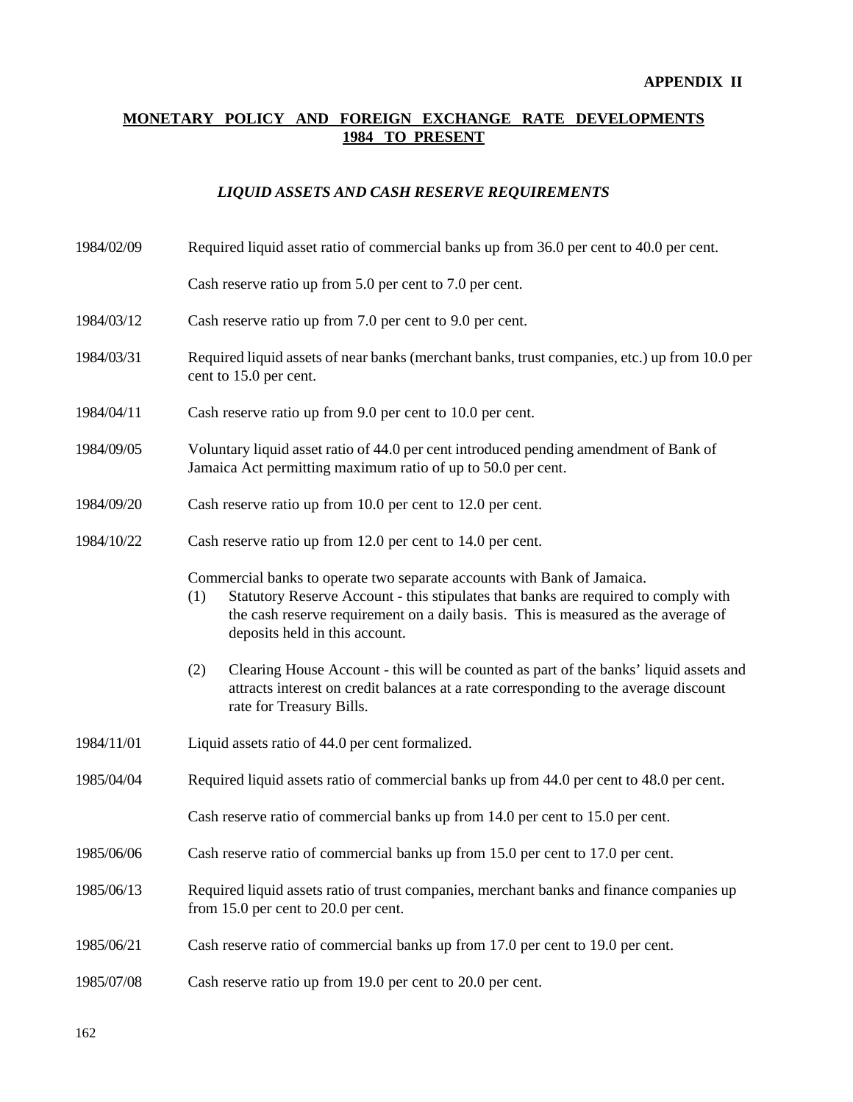# **MONETARY POLICY AND FOREIGN EXCHANGE RATE DEVELOPMENTS 1984 TO PRESENT**

# *LIQUID ASSETS AND CASH RESERVE REQUIREMENTS*

| 1984/02/09 | Required liquid asset ratio of commercial banks up from 36.0 per cent to 40.0 per cent.                                                                                                                                                                                                     |  |  |  |  |  |
|------------|---------------------------------------------------------------------------------------------------------------------------------------------------------------------------------------------------------------------------------------------------------------------------------------------|--|--|--|--|--|
|            | Cash reserve ratio up from 5.0 per cent to 7.0 per cent.                                                                                                                                                                                                                                    |  |  |  |  |  |
| 1984/03/12 | Cash reserve ratio up from 7.0 per cent to 9.0 per cent.                                                                                                                                                                                                                                    |  |  |  |  |  |
| 1984/03/31 | Required liquid assets of near banks (merchant banks, trust companies, etc.) up from 10.0 per<br>cent to 15.0 per cent.                                                                                                                                                                     |  |  |  |  |  |
| 1984/04/11 | Cash reserve ratio up from 9.0 per cent to 10.0 per cent.                                                                                                                                                                                                                                   |  |  |  |  |  |
| 1984/09/05 | Voluntary liquid asset ratio of 44.0 per cent introduced pending amendment of Bank of<br>Jamaica Act permitting maximum ratio of up to 50.0 per cent.                                                                                                                                       |  |  |  |  |  |
| 1984/09/20 | Cash reserve ratio up from 10.0 per cent to 12.0 per cent.                                                                                                                                                                                                                                  |  |  |  |  |  |
| 1984/10/22 | Cash reserve ratio up from 12.0 per cent to 14.0 per cent.                                                                                                                                                                                                                                  |  |  |  |  |  |
|            | Commercial banks to operate two separate accounts with Bank of Jamaica.<br>Statutory Reserve Account - this stipulates that banks are required to comply with<br>(1)<br>the cash reserve requirement on a daily basis. This is measured as the average of<br>deposits held in this account. |  |  |  |  |  |
|            | Clearing House Account - this will be counted as part of the banks' liquid assets and<br>(2)<br>attracts interest on credit balances at a rate corresponding to the average discount<br>rate for Treasury Bills.                                                                            |  |  |  |  |  |
| 1984/11/01 | Liquid assets ratio of 44.0 per cent formalized.                                                                                                                                                                                                                                            |  |  |  |  |  |
| 1985/04/04 | Required liquid assets ratio of commercial banks up from 44.0 per cent to 48.0 per cent.                                                                                                                                                                                                    |  |  |  |  |  |
|            | Cash reserve ratio of commercial banks up from 14.0 per cent to 15.0 per cent.                                                                                                                                                                                                              |  |  |  |  |  |
| 1985/06/06 | Cash reserve ratio of commercial banks up from 15.0 per cent to 17.0 per cent.                                                                                                                                                                                                              |  |  |  |  |  |
| 1985/06/13 | Required liquid assets ratio of trust companies, merchant banks and finance companies up<br>from 15.0 per cent to 20.0 per cent.                                                                                                                                                            |  |  |  |  |  |
| 1985/06/21 | Cash reserve ratio of commercial banks up from 17.0 per cent to 19.0 per cent.                                                                                                                                                                                                              |  |  |  |  |  |
| 1985/07/08 | Cash reserve ratio up from 19.0 per cent to 20.0 per cent.                                                                                                                                                                                                                                  |  |  |  |  |  |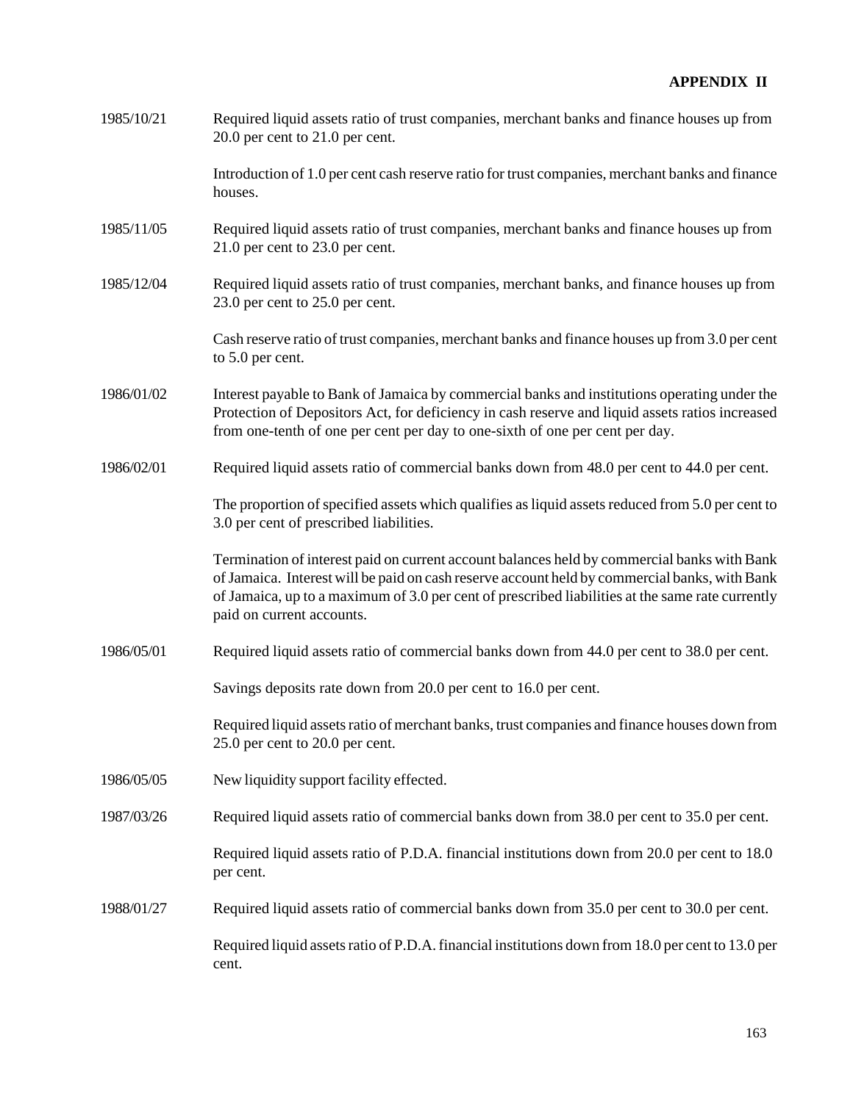| 1985/10/21 | Required liquid assets ratio of trust companies, merchant banks and finance houses up from<br>$20.0$ per cent to $21.0$ per cent.                                                                                                                                                                                             |
|------------|-------------------------------------------------------------------------------------------------------------------------------------------------------------------------------------------------------------------------------------------------------------------------------------------------------------------------------|
|            | Introduction of 1.0 per cent cash reserve ratio for trust companies, merchant banks and finance<br>houses.                                                                                                                                                                                                                    |
| 1985/11/05 | Required liquid assets ratio of trust companies, merchant banks and finance houses up from<br>$21.0$ per cent to $23.0$ per cent.                                                                                                                                                                                             |
| 1985/12/04 | Required liquid assets ratio of trust companies, merchant banks, and finance houses up from<br>23.0 per cent to 25.0 per cent.                                                                                                                                                                                                |
|            | Cash reserve ratio of trust companies, merchant banks and finance houses up from 3.0 per cent<br>to 5.0 per cent.                                                                                                                                                                                                             |
| 1986/01/02 | Interest payable to Bank of Jamaica by commercial banks and institutions operating under the<br>Protection of Depositors Act, for deficiency in cash reserve and liquid assets ratios increased<br>from one-tenth of one per cent per day to one-sixth of one per cent per day.                                               |
| 1986/02/01 | Required liquid assets ratio of commercial banks down from 48.0 per cent to 44.0 per cent.                                                                                                                                                                                                                                    |
|            | The proportion of specified assets which qualifies as liquid assets reduced from 5.0 per cent to<br>3.0 per cent of prescribed liabilities.                                                                                                                                                                                   |
|            | Termination of interest paid on current account balances held by commercial banks with Bank<br>of Jamaica. Interest will be paid on cash reserve account held by commercial banks, with Bank<br>of Jamaica, up to a maximum of 3.0 per cent of prescribed liabilities at the same rate currently<br>paid on current accounts. |
| 1986/05/01 | Required liquid assets ratio of commercial banks down from 44.0 per cent to 38.0 per cent.                                                                                                                                                                                                                                    |
|            | Savings deposits rate down from 20.0 per cent to 16.0 per cent.                                                                                                                                                                                                                                                               |
|            | Required liquid assets ratio of merchant banks, trust companies and finance houses down from<br>25.0 per cent to 20.0 per cent.                                                                                                                                                                                               |
| 1986/05/05 | New liquidity support facility effected.                                                                                                                                                                                                                                                                                      |
| 1987/03/26 | Required liquid assets ratio of commercial banks down from 38.0 per cent to 35.0 per cent.                                                                                                                                                                                                                                    |
|            | Required liquid assets ratio of P.D.A. financial institutions down from 20.0 per cent to 18.0<br>per cent.                                                                                                                                                                                                                    |
| 1988/01/27 | Required liquid assets ratio of commercial banks down from 35.0 per cent to 30.0 per cent.                                                                                                                                                                                                                                    |
|            | Required liquid assets ratio of P.D.A. financial institutions down from 18.0 per cent to 13.0 per<br>cent.                                                                                                                                                                                                                    |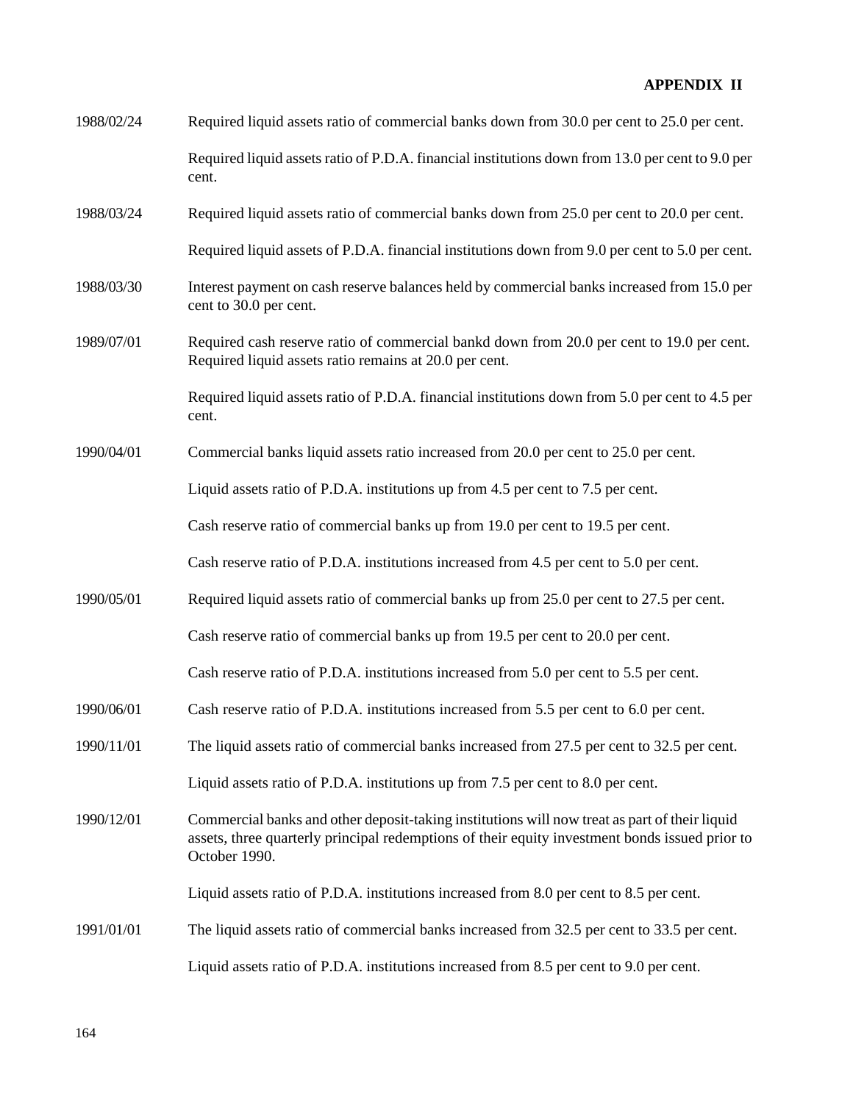| 1988/02/24 | Required liquid assets ratio of commercial banks down from 30.0 per cent to 25.0 per cent.                                                                                                                       |
|------------|------------------------------------------------------------------------------------------------------------------------------------------------------------------------------------------------------------------|
|            | Required liquid assets ratio of P.D.A. financial institutions down from 13.0 per cent to 9.0 per<br>cent.                                                                                                        |
| 1988/03/24 | Required liquid assets ratio of commercial banks down from 25.0 per cent to 20.0 per cent.                                                                                                                       |
|            | Required liquid assets of P.D.A. financial institutions down from 9.0 per cent to 5.0 per cent.                                                                                                                  |
| 1988/03/30 | Interest payment on cash reserve balances held by commercial banks increased from 15.0 per<br>cent to 30.0 per cent.                                                                                             |
| 1989/07/01 | Required cash reserve ratio of commercial bankd down from 20.0 per cent to 19.0 per cent.<br>Required liquid assets ratio remains at 20.0 per cent.                                                              |
|            | Required liquid assets ratio of P.D.A. financial institutions down from 5.0 per cent to 4.5 per<br>cent.                                                                                                         |
| 1990/04/01 | Commercial banks liquid assets ratio increased from 20.0 per cent to 25.0 per cent.                                                                                                                              |
|            | Liquid assets ratio of P.D.A. institutions up from 4.5 per cent to 7.5 per cent.                                                                                                                                 |
|            | Cash reserve ratio of commercial banks up from 19.0 per cent to 19.5 per cent.                                                                                                                                   |
|            | Cash reserve ratio of P.D.A. institutions increased from 4.5 per cent to 5.0 per cent.                                                                                                                           |
| 1990/05/01 | Required liquid assets ratio of commercial banks up from 25.0 per cent to 27.5 per cent.                                                                                                                         |
|            | Cash reserve ratio of commercial banks up from 19.5 per cent to 20.0 per cent.                                                                                                                                   |
|            | Cash reserve ratio of P.D.A. institutions increased from 5.0 per cent to 5.5 per cent.                                                                                                                           |
| 1990/06/01 | Cash reserve ratio of P.D.A. institutions increased from 5.5 per cent to 6.0 per cent.                                                                                                                           |
| 1990/11/01 | The liquid assets ratio of commercial banks increased from 27.5 per cent to 32.5 per cent.                                                                                                                       |
|            | Liquid assets ratio of P.D.A. institutions up from 7.5 per cent to 8.0 per cent.                                                                                                                                 |
| 1990/12/01 | Commercial banks and other deposit-taking institutions will now treat as part of their liquid<br>assets, three quarterly principal redemptions of their equity investment bonds issued prior to<br>October 1990. |
|            | Liquid assets ratio of P.D.A. institutions increased from 8.0 per cent to 8.5 per cent.                                                                                                                          |
| 1991/01/01 | The liquid assets ratio of commercial banks increased from 32.5 per cent to 33.5 per cent.                                                                                                                       |
|            | Liquid assets ratio of P.D.A. institutions increased from 8.5 per cent to 9.0 per cent.                                                                                                                          |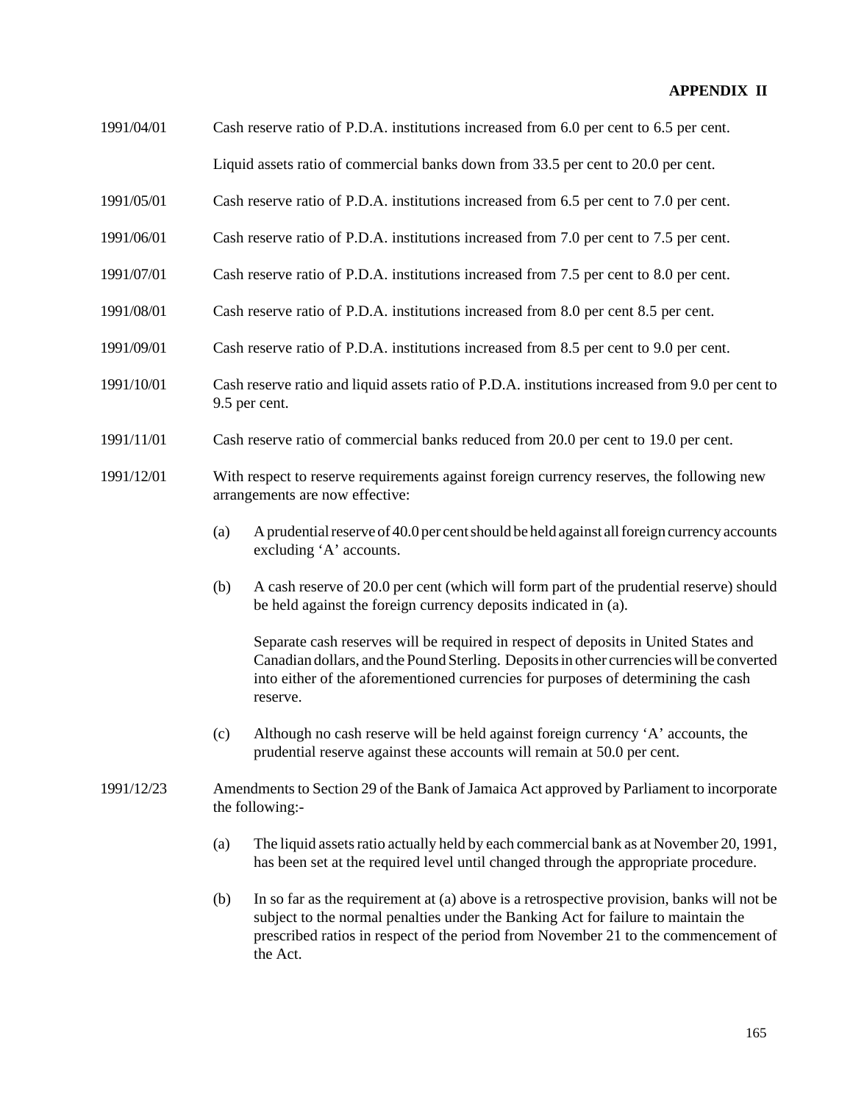- 1991/04/01 Cash reserve ratio of P.D.A. institutions increased from 6.0 per cent to 6.5 per cent. Liquid assets ratio of commercial banks down from 33.5 per cent to 20.0 per cent.
- 1991/05/01 Cash reserve ratio of P.D.A. institutions increased from 6.5 per cent to 7.0 per cent.
- 1991/06/01 Cash reserve ratio of P.D.A. institutions increased from 7.0 per cent to 7.5 per cent.
- 1991/07/01 Cash reserve ratio of P.D.A. institutions increased from 7.5 per cent to 8.0 per cent.
- 1991/08/01 Cash reserve ratio of P.D.A. institutions increased from 8.0 per cent 8.5 per cent.
- 1991/09/01 Cash reserve ratio of P.D.A. institutions increased from 8.5 per cent to 9.0 per cent.
- 1991/10/01 Cash reserve ratio and liquid assets ratio of P.D.A. institutions increased from 9.0 per cent to 9.5 per cent.
- 1991/11/01 Cash reserve ratio of commercial banks reduced from 20.0 per cent to 19.0 per cent.
- 1991/12/01 With respect to reserve requirements against foreign currency reserves, the following new arrangements are now effective:
	- (a) A prudential reserve of 40.0 per cent should be held against all foreign currency accounts excluding 'A' accounts.
	- (b) A cash reserve of 20.0 per cent (which will form part of the prudential reserve) should be held against the foreign currency deposits indicated in (a).

Separate cash reserves will be required in respect of deposits in United States and Canadian dollars, and the Pound Sterling. Deposits in other currencies will be converted into either of the aforementioned currencies for purposes of determining the cash reserve.

- (c) Although no cash reserve will be held against foreign currency 'A' accounts, the prudential reserve against these accounts will remain at 50.0 per cent.
- 1991/12/23 Amendments to Section 29 of the Bank of Jamaica Act approved by Parliament to incorporate the following:-
	- (a) The liquid assets ratio actually held by each commercial bank as at November 20, 1991, has been set at the required level until changed through the appropriate procedure.
	- (b) In so far as the requirement at (a) above is a retrospective provision, banks will not be subject to the normal penalties under the Banking Act for failure to maintain the prescribed ratios in respect of the period from November 21 to the commencement of the Act.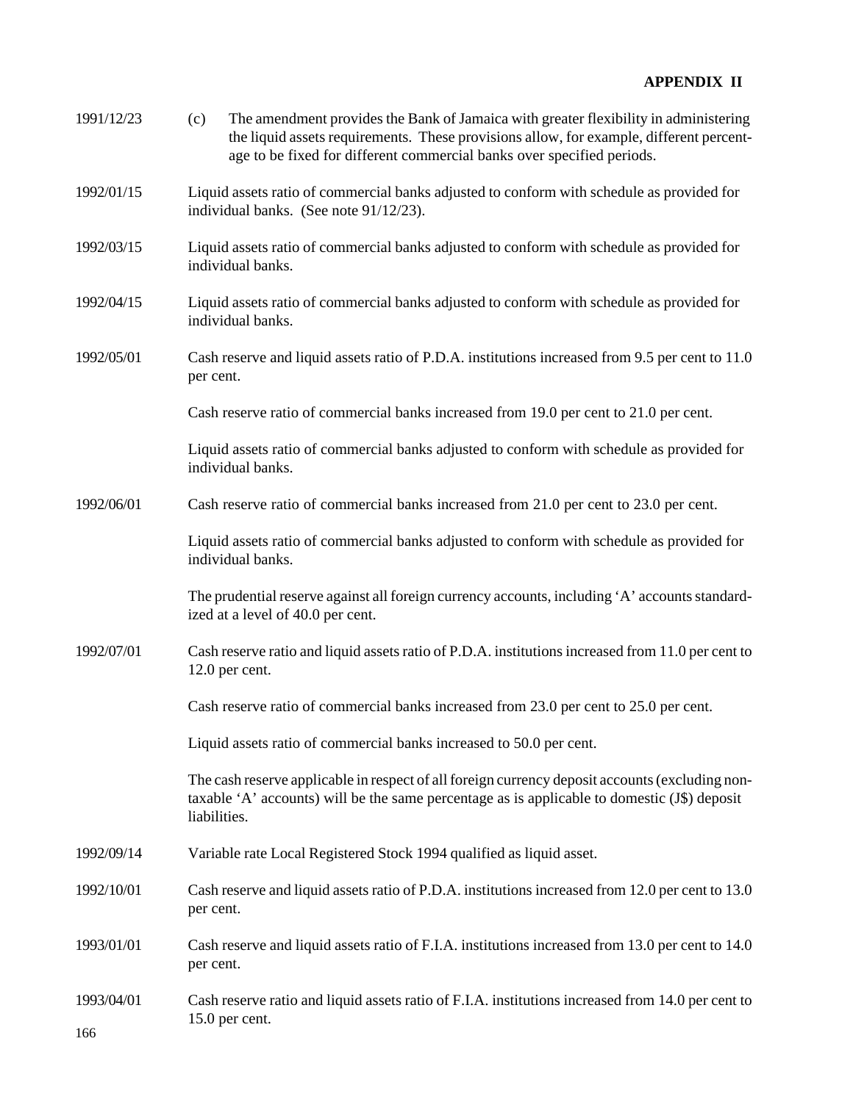| 1991/12/23 | The amendment provides the Bank of Jamaica with greater flexibility in administering<br>(c)<br>the liquid assets requirements. These provisions allow, for example, different percent-<br>age to be fixed for different commercial banks over specified periods. |  |  |  |  |  |  |
|------------|------------------------------------------------------------------------------------------------------------------------------------------------------------------------------------------------------------------------------------------------------------------|--|--|--|--|--|--|
| 1992/01/15 | Liquid assets ratio of commercial banks adjusted to conform with schedule as provided for<br>individual banks. (See note 91/12/23).                                                                                                                              |  |  |  |  |  |  |
| 1992/03/15 | Liquid assets ratio of commercial banks adjusted to conform with schedule as provided for<br>individual banks.                                                                                                                                                   |  |  |  |  |  |  |
| 1992/04/15 | Liquid assets ratio of commercial banks adjusted to conform with schedule as provided for<br>individual banks.                                                                                                                                                   |  |  |  |  |  |  |
| 1992/05/01 | Cash reserve and liquid assets ratio of P.D.A. institutions increased from 9.5 per cent to 11.0<br>per cent.                                                                                                                                                     |  |  |  |  |  |  |
|            | Cash reserve ratio of commercial banks increased from 19.0 per cent to 21.0 per cent.                                                                                                                                                                            |  |  |  |  |  |  |
|            | Liquid assets ratio of commercial banks adjusted to conform with schedule as provided for<br>individual banks.                                                                                                                                                   |  |  |  |  |  |  |
| 1992/06/01 | Cash reserve ratio of commercial banks increased from 21.0 per cent to 23.0 per cent.                                                                                                                                                                            |  |  |  |  |  |  |
|            | Liquid assets ratio of commercial banks adjusted to conform with schedule as provided for<br>individual banks.                                                                                                                                                   |  |  |  |  |  |  |
|            | The prudential reserve against all foreign currency accounts, including 'A' accounts standard-<br>ized at a level of 40.0 per cent.                                                                                                                              |  |  |  |  |  |  |
| 1992/07/01 | Cash reserve ratio and liquid assets ratio of P.D.A. institutions increased from 11.0 per cent to<br>12.0 per cent.                                                                                                                                              |  |  |  |  |  |  |
|            | Cash reserve ratio of commercial banks increased from 23.0 per cent to 25.0 per cent.                                                                                                                                                                            |  |  |  |  |  |  |
|            | Liquid assets ratio of commercial banks increased to 50.0 per cent.                                                                                                                                                                                              |  |  |  |  |  |  |
|            | The cash reserve applicable in respect of all foreign currency deposit accounts (excluding non-<br>taxable 'A' accounts) will be the same percentage as is applicable to domestic (J\$) deposit<br>liabilities.                                                  |  |  |  |  |  |  |
| 1992/09/14 | Variable rate Local Registered Stock 1994 qualified as liquid asset.                                                                                                                                                                                             |  |  |  |  |  |  |
| 1992/10/01 | Cash reserve and liquid assets ratio of P.D.A. institutions increased from 12.0 per cent to 13.0<br>per cent.                                                                                                                                                    |  |  |  |  |  |  |
| 1993/01/01 | Cash reserve and liquid assets ratio of F.I.A. institutions increased from 13.0 per cent to 14.0<br>per cent.                                                                                                                                                    |  |  |  |  |  |  |
| 1993/04/01 | Cash reserve ratio and liquid assets ratio of F.I.A. institutions increased from 14.0 per cent to                                                                                                                                                                |  |  |  |  |  |  |
| 166        | 15.0 per cent.                                                                                                                                                                                                                                                   |  |  |  |  |  |  |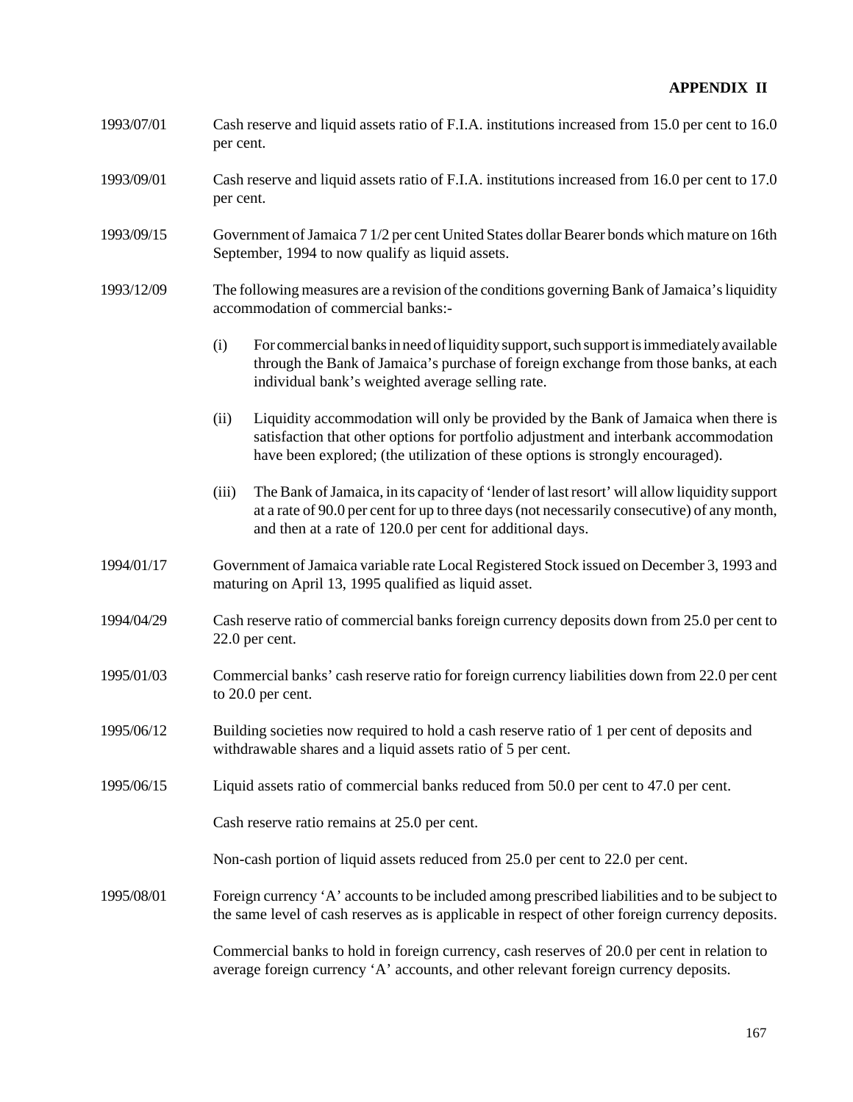- 1993/07/01 Cash reserve and liquid assets ratio of F.I.A. institutions increased from 15.0 per cent to 16.0 per cent.
- 1993/09/01 Cash reserve and liquid assets ratio of F.I.A. institutions increased from 16.0 per cent to 17.0 per cent.
- 1993/09/15 Government of Jamaica 7 1/2 per cent United States dollar Bearer bonds which mature on 16th September, 1994 to now qualify as liquid assets.
- 1993/12/09 The following measures are a revision of the conditions governing Bank of Jamaica's liquidity accommodation of commercial banks:-
	- (i) For commercial banks in need of liquidity support, such support is immediately available through the Bank of Jamaica's purchase of foreign exchange from those banks, at each individual bank's weighted average selling rate.
	- (ii) Liquidity accommodation will only be provided by the Bank of Jamaica when there is satisfaction that other options for portfolio adjustment and interbank accommodation have been explored; (the utilization of these options is strongly encouraged).
	- (iii) The Bank of Jamaica, in its capacity of 'lender of last resort' will allow liquidity support at a rate of 90.0 per cent for up to three days (not necessarily consecutive) of any month, and then at a rate of 120.0 per cent for additional days.
- 1994/01/17 Government of Jamaica variable rate Local Registered Stock issued on December 3, 1993 and maturing on April 13, 1995 qualified as liquid asset.
- 1994/04/29 Cash reserve ratio of commercial banks foreign currency deposits down from 25.0 per cent to 22.0 per cent.
- 1995/01/03 Commercial banks' cash reserve ratio for foreign currency liabilities down from 22.0 per cent to 20.0 per cent.
- 1995/06/12 Building societies now required to hold a cash reserve ratio of 1 per cent of deposits and withdrawable shares and a liquid assets ratio of 5 per cent.
- 1995/06/15 Liquid assets ratio of commercial banks reduced from 50.0 per cent to 47.0 per cent.

Cash reserve ratio remains at 25.0 per cent.

Non-cash portion of liquid assets reduced from 25.0 per cent to 22.0 per cent.

1995/08/01 Foreign currency 'A' accounts to be included among prescribed liabilities and to be subject to the same level of cash reserves as is applicable in respect of other foreign currency deposits.

> Commercial banks to hold in foreign currency, cash reserves of 20.0 per cent in relation to average foreign currency 'A' accounts, and other relevant foreign currency deposits.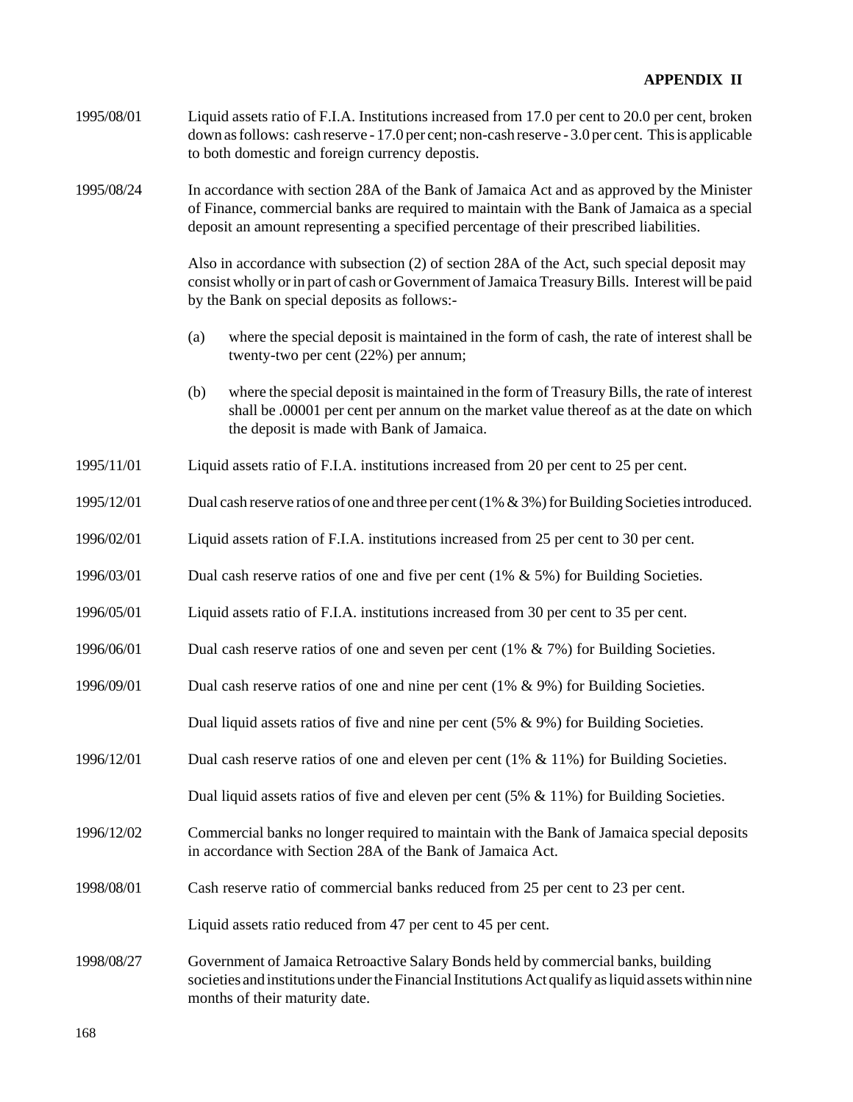1995/08/01 Liquid assets ratio of F.I.A. Institutions increased from 17.0 per cent to 20.0 per cent, broken down as follows: cash reserve - 17.0 per cent; non-cash reserve - 3.0 per cent. This is applicable to both domestic and foreign currency depostis.

1995/08/24 In accordance with section 28A of the Bank of Jamaica Act and as approved by the Minister of Finance, commercial banks are required to maintain with the Bank of Jamaica as a special deposit an amount representing a specified percentage of their prescribed liabilities.

> Also in accordance with subsection (2) of section 28A of the Act, such special deposit may consist wholly or in part of cash or Government of Jamaica Treasury Bills. Interest will be paid by the Bank on special deposits as follows:-

- (a) where the special deposit is maintained in the form of cash, the rate of interest shall be twenty-two per cent (22%) per annum;
- (b) where the special deposit is maintained in the form of Treasury Bills, the rate of interest shall be .00001 per cent per annum on the market value thereof as at the date on which the deposit is made with Bank of Jamaica.
- 1995/11/01 Liquid assets ratio of F.I.A. institutions increased from 20 per cent to 25 per cent.
- 1995/12/01 Dual cash reserve ratios of one and three per cent (1% & 3%) for Building Societies introduced.
- 1996/02/01 Liquid assets ration of F.I.A. institutions increased from 25 per cent to 30 per cent.
- 1996/03/01 Dual cash reserve ratios of one and five per cent (1% & 5%) for Building Societies.
- 1996/05/01 Liquid assets ratio of F.I.A. institutions increased from 30 per cent to 35 per cent.
- 1996/06/01 Dual cash reserve ratios of one and seven per cent (1% & 7%) for Building Societies.
- 1996/09/01 Dual cash reserve ratios of one and nine per cent (1% & 9%) for Building Societies. Dual liquid assets ratios of five and nine per cent (5% & 9%) for Building Societies.
- 1996/12/01 Dual cash reserve ratios of one and eleven per cent (1% & 11%) for Building Societies.

Dual liquid assets ratios of five and eleven per cent (5% & 11%) for Building Societies.

- 1996/12/02 Commercial banks no longer required to maintain with the Bank of Jamaica special deposits in accordance with Section 28A of the Bank of Jamaica Act.
- 1998/08/01 Cash reserve ratio of commercial banks reduced from 25 per cent to 23 per cent.

Liquid assets ratio reduced from 47 per cent to 45 per cent.

1998/08/27 Government of Jamaica Retroactive Salary Bonds held by commercial banks, building societies and institutions under the Financial Institutions Act qualify as liquid assets within nine months of their maturity date.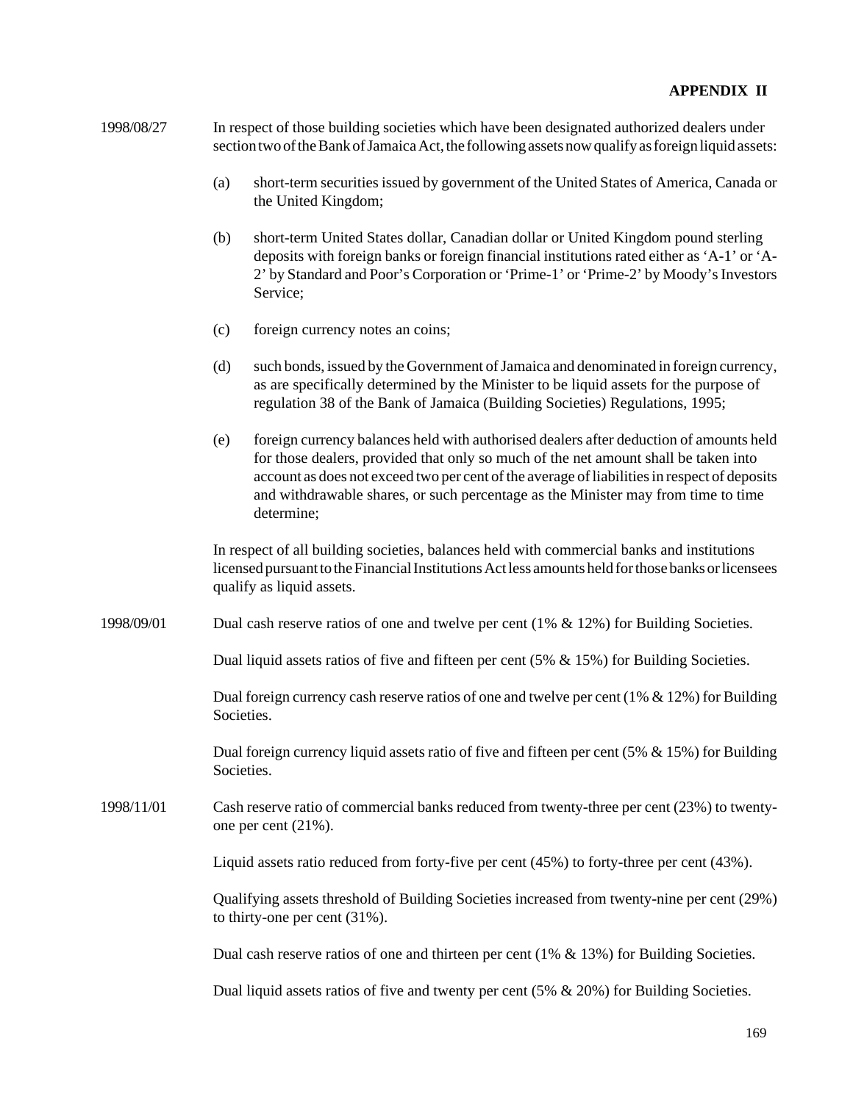| 1998/08/27 | In respect of those building societies which have been designated authorized dealers under         |
|------------|----------------------------------------------------------------------------------------------------|
|            | section two of the Bank of Jamaica Act, the following assets now qualify as foreign liquid assets: |

- (a) short-term securities issued by government of the United States of America, Canada or the United Kingdom;
- (b) short-term United States dollar, Canadian dollar or United Kingdom pound sterling deposits with foreign banks or foreign financial institutions rated either as 'A-1' or 'A-2' by Standard and Poor's Corporation or 'Prime-1' or 'Prime-2' by Moody's Investors Service;
- (c) foreign currency notes an coins;
- (d) such bonds, issued by the Government of Jamaica and denominated in foreign currency, as are specifically determined by the Minister to be liquid assets for the purpose of regulation 38 of the Bank of Jamaica (Building Societies) Regulations, 1995;
- (e) foreign currency balances held with authorised dealers after deduction of amounts held for those dealers, provided that only so much of the net amount shall be taken into account as does not exceed two per cent of the average of liabilities in respect of deposits and withdrawable shares, or such percentage as the Minister may from time to time determine;

In respect of all building societies, balances held with commercial banks and institutions licensed pursuant to the Financial Institutions Act less amounts held for those banks or licensees qualify as liquid assets.

1998/09/01 Dual cash reserve ratios of one and twelve per cent (1% & 12%) for Building Societies.

Dual liquid assets ratios of five and fifteen per cent  $(5\% \& 15\%)$  for Building Societies.

Dual foreign currency cash reserve ratios of one and twelve per cent  $(1\% \& 12\%)$  for Building Societies.

Dual foreign currency liquid assets ratio of five and fifteen per cent  $(5\% \& 15\%)$  for Building Societies.

1998/11/01 Cash reserve ratio of commercial banks reduced from twenty-three per cent (23%) to twentyone per cent (21%).

Liquid assets ratio reduced from forty-five per cent (45%) to forty-three per cent (43%).

Qualifying assets threshold of Building Societies increased from twenty-nine per cent (29%) to thirty-one per cent (31%).

Dual cash reserve ratios of one and thirteen per cent  $(1% \& 13%)$  for Building Societies.

Dual liquid assets ratios of five and twenty per cent (5%  $\&$  20%) for Building Societies.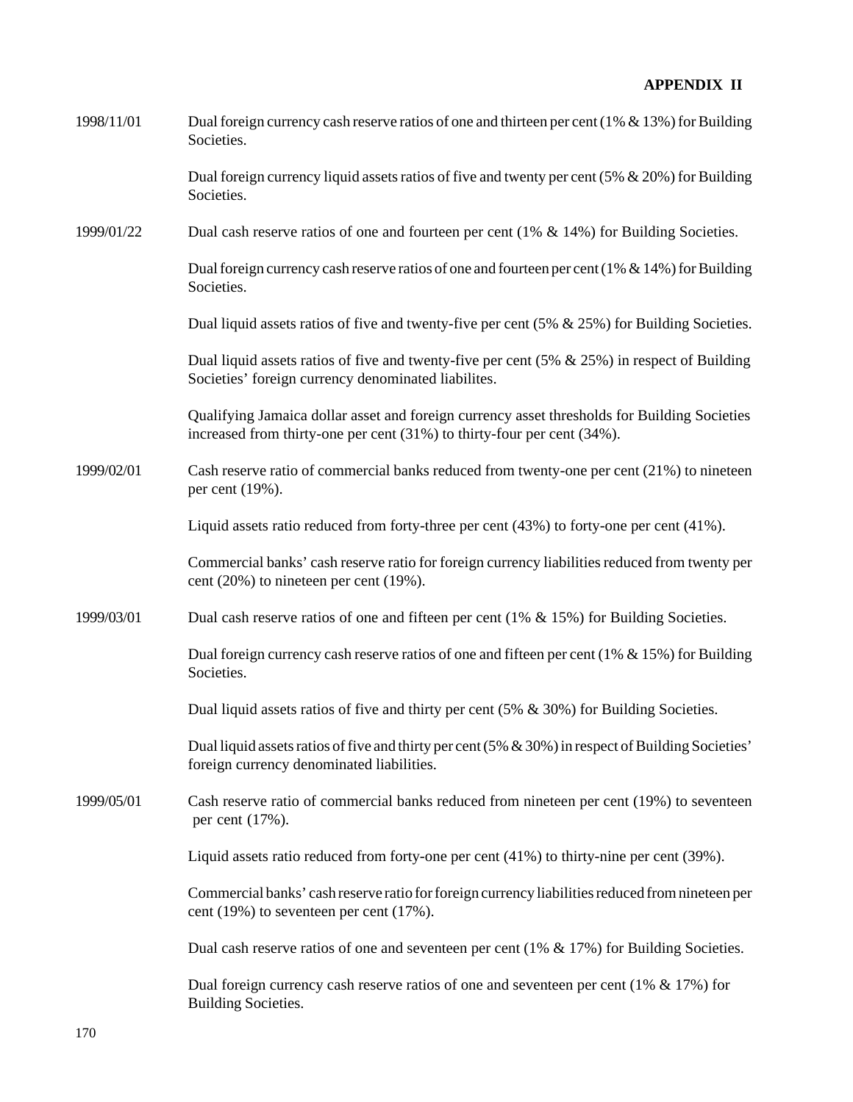| 1998/11/01 | Dual foreign currency cash reserve ratios of one and thirteen per cent (1% & 13%) for Building<br>Societies.                                                            |
|------------|-------------------------------------------------------------------------------------------------------------------------------------------------------------------------|
|            | Dual foreign currency liquid assets ratios of five and twenty per cent (5% $& 20\%$ ) for Building<br>Societies.                                                        |
| 1999/01/22 | Dual cash reserve ratios of one and fourteen per cent $(1\% \& 14\%)$ for Building Societies.                                                                           |
|            | Dual foreign currency cash reserve ratios of one and fourteen per cent (1% $&$ 14%) for Building<br>Societies.                                                          |
|            | Dual liquid assets ratios of five and twenty-five per cent $(5\% \& 25\%)$ for Building Societies.                                                                      |
|            | Dual liquid assets ratios of five and twenty-five per cent $(5\% \& 25\%)$ in respect of Building<br>Societies' foreign currency denominated liabilites.                |
|            | Qualifying Jamaica dollar asset and foreign currency asset thresholds for Building Societies<br>increased from thirty-one per cent (31%) to thirty-four per cent (34%). |
| 1999/02/01 | Cash reserve ratio of commercial banks reduced from twenty-one per cent (21%) to nineteen<br>per cent (19%).                                                            |
|            | Liquid assets ratio reduced from forty-three per cent $(43%)$ to forty-one per cent $(41%)$ .                                                                           |
|            | Commercial banks' cash reserve ratio for foreign currency liabilities reduced from twenty per<br>cent $(20\%)$ to nineteen per cent $(19\%).$                           |
| 1999/03/01 | Dual cash reserve ratios of one and fifteen per cent (1% $\&$ 15%) for Building Societies.                                                                              |
|            | Dual foreign currency cash reserve ratios of one and fifteen per cent $(1% \& 15%)$ for Building<br>Societies.                                                          |
|            | Dual liquid assets ratios of five and thirty per cent $(5\% \& 30\%)$ for Building Societies.                                                                           |
|            | Dual liquid assets ratios of five and thirty per cent $(5\% \& 30\%)$ in respect of Building Societies'<br>foreign currency denominated liabilities.                    |
| 1999/05/01 | Cash reserve ratio of commercial banks reduced from nineteen per cent (19%) to seventeen<br>per cent (17%).                                                             |
|            | Liquid assets ratio reduced from forty-one per cent (41%) to thirty-nine per cent (39%).                                                                                |
|            | Commercial banks' cash reserve ratio for foreign currency liabilities reduced from nineteen per<br>cent $(19\%)$ to seventeen per cent $(17\%).$                        |
|            | Dual cash reserve ratios of one and seventeen per cent $(1\% \& 17\%)$ for Building Societies.                                                                          |
|            | Dual foreign currency cash reserve ratios of one and seventeen per cent (1% $& 17\%$ ) for<br><b>Building Societies.</b>                                                |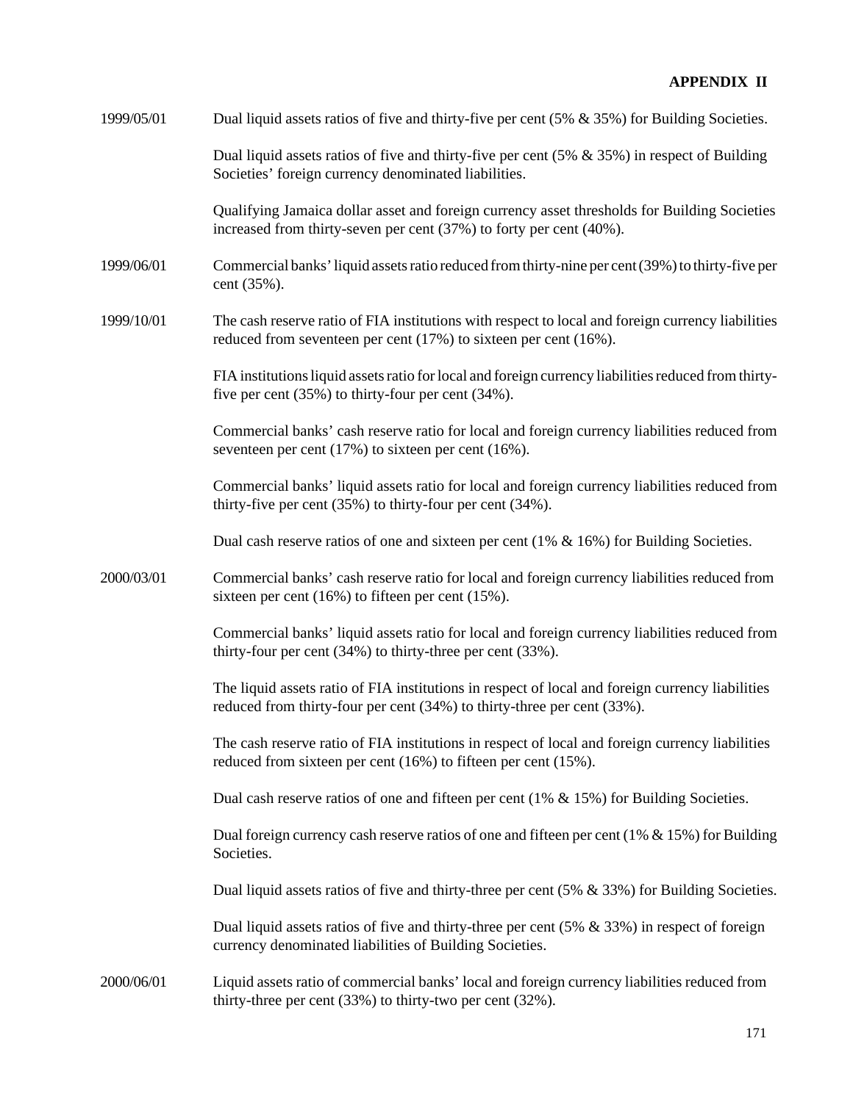| 1999/05/01 | Dual liquid assets ratios of five and thirty-five per cent $(5\% \& 35\%)$ for Building Societies.                                                                          |
|------------|-----------------------------------------------------------------------------------------------------------------------------------------------------------------------------|
|            | Dual liquid assets ratios of five and thirty-five per cent $(5\% \& 35\%)$ in respect of Building<br>Societies' foreign currency denominated liabilities.                   |
|            | Qualifying Jamaica dollar asset and foreign currency asset thresholds for Building Societies<br>increased from thirty-seven per cent (37%) to forty per cent (40%).         |
| 1999/06/01 | Commercial banks' liquid assets ratio reduced from thirty-nine per cent (39%) to thirty-five per<br>cent (35%).                                                             |
| 1999/10/01 | The cash reserve ratio of FIA institutions with respect to local and foreign currency liabilities<br>reduced from seventeen per cent (17%) to sixteen per cent (16%).       |
|            | FIA institutions liquid assets ratio for local and foreign currency liabilities reduced from thirty-<br>five per cent $(35\%)$ to thirty-four per cent $(34\%)$ .           |
|            | Commercial banks' cash reserve ratio for local and foreign currency liabilities reduced from<br>seventeen per cent $(17%)$ to sixteen per cent $(16%).$                     |
|            | Commercial banks' liquid assets ratio for local and foreign currency liabilities reduced from<br>thirty-five per cent $(35\%)$ to thirty-four per cent $(34\%)$ .           |
|            | Dual cash reserve ratios of one and sixteen per cent $(1\% \& 16\%)$ for Building Societies.                                                                                |
| 2000/03/01 | Commercial banks' cash reserve ratio for local and foreign currency liabilities reduced from<br>sixteen per cent $(16%)$ to fifteen per cent $(15%)$ .                      |
|            | Commercial banks' liquid assets ratio for local and foreign currency liabilities reduced from<br>thirty-four per cent $(34%)$ to thirty-three per cent $(33%)$ .            |
|            | The liquid assets ratio of FIA institutions in respect of local and foreign currency liabilities<br>reduced from thirty-four per cent (34%) to thirty-three per cent (33%). |
|            | The cash reserve ratio of FIA institutions in respect of local and foreign currency liabilities<br>reduced from sixteen per cent (16%) to fifteen per cent (15%).           |
|            | Dual cash reserve ratios of one and fifteen per cent $(1\% \& 15\%)$ for Building Societies.                                                                                |
|            | Dual foreign currency cash reserve ratios of one and fifteen per cent $(1% 8.15%)$ for Building<br>Societies.                                                               |
|            | Dual liquid assets ratios of five and thirty-three per cent $(5\% \& 33\%)$ for Building Societies.                                                                         |
|            | Dual liquid assets ratios of five and thirty-three per cent $(5\% \& 33\%)$ in respect of foreign<br>currency denominated liabilities of Building Societies.                |
| 2000/06/01 | Liquid assets ratio of commercial banks' local and foreign currency liabilities reduced from<br>thirty-three per cent $(33%)$ to thirty-two per cent $(32%)$ .              |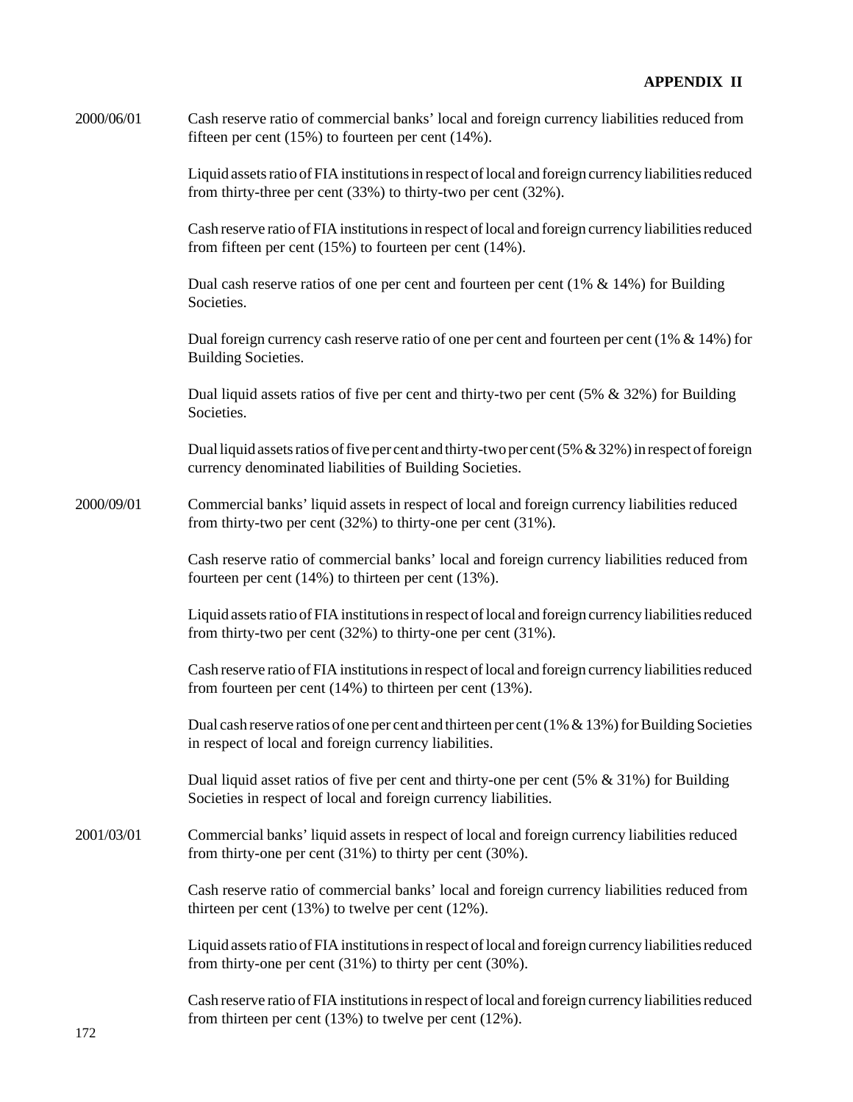| 2000/06/01 | Cash reserve ratio of commercial banks' local and foreign currency liabilities reduced from |
|------------|---------------------------------------------------------------------------------------------|
|            | fifteen per cent $(15\%)$ to fourteen per cent $(14\%)$ .                                   |

Liquid assets ratio of FIA institutions in respect of local and foreign currency liabilities reduced from thirty-three per cent (33%) to thirty-two per cent (32%).

Cash reserve ratio of FIA institutions in respect of local and foreign currency liabilities reduced from fifteen per cent (15%) to fourteen per cent (14%).

Dual cash reserve ratios of one per cent and fourteen per cent  $(1\% \& 14\%)$  for Building **Societies** 

Dual foreign currency cash reserve ratio of one per cent and fourteen per cent  $(1\% \& 14\%)$  for Building Societies.

Dual liquid assets ratios of five per cent and thirty-two per cent (5% & 32%) for Building **Societies** 

Dual liquid assets ratios of five per cent and thirty-two per cent (5% & 32%) in respect of foreign currency denominated liabilities of Building Societies.

2000/09/01 Commercial banks' liquid assets in respect of local and foreign currency liabilities reduced from thirty-two per cent (32%) to thirty-one per cent (31%).

> Cash reserve ratio of commercial banks' local and foreign currency liabilities reduced from fourteen per cent (14%) to thirteen per cent (13%).

> Liquid assets ratio of FIA institutions in respect of local and foreign currency liabilities reduced from thirty-two per cent (32%) to thirty-one per cent (31%).

> Cash reserve ratio of FIA institutions in respect of local and foreign currency liabilities reduced from fourteen per cent (14%) to thirteen per cent (13%).

> Dual cash reserve ratios of one per cent and thirteen per cent  $(1\% \& 13\%)$  for Building Societies in respect of local and foreign currency liabilities.

Dual liquid asset ratios of five per cent and thirty-one per cent (5% & 31%) for Building Societies in respect of local and foreign currency liabilities.

2001/03/01 Commercial banks' liquid assets in respect of local and foreign currency liabilities reduced from thirty-one per cent (31%) to thirty per cent (30%).

> Cash reserve ratio of commercial banks' local and foreign currency liabilities reduced from thirteen per cent (13%) to twelve per cent (12%).

> Liquid assets ratio of FIA institutions in respect of local and foreign currency liabilities reduced from thirty-one per cent (31%) to thirty per cent (30%).

> Cash reserve ratio of FIA institutions in respect of local and foreign currency liabilities reduced from thirteen per cent (13%) to twelve per cent (12%).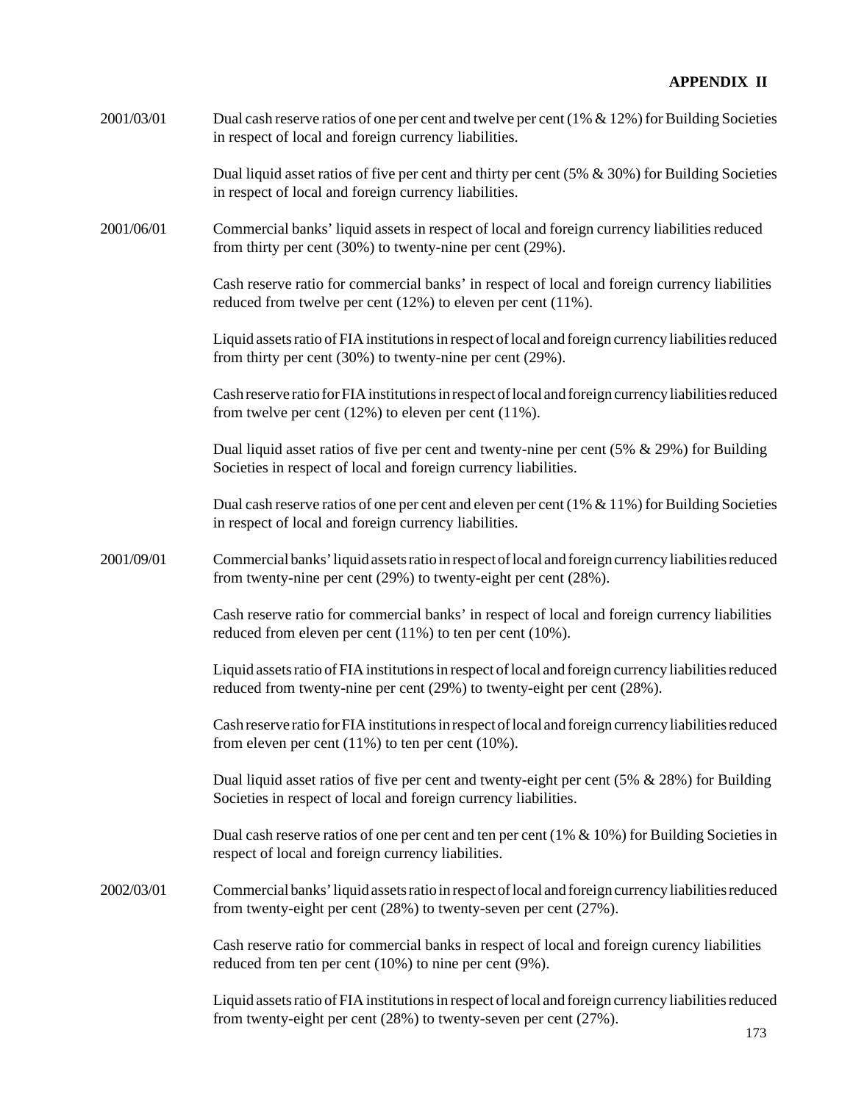| 2001/03/01 | Dual cash reserve ratios of one per cent and twelve per cent (1% $\&$ 12%) for Building Societies |
|------------|---------------------------------------------------------------------------------------------------|
|            | in respect of local and foreign currency liabilities.                                             |

Dual liquid asset ratios of five per cent and thirty per cent  $(5\% \& 30\%)$  for Building Societies in respect of local and foreign currency liabilities.

2001/06/01 Commercial banks' liquid assets in respect of local and foreign currency liabilities reduced from thirty per cent (30%) to twenty-nine per cent (29%).

> Cash reserve ratio for commercial banks' in respect of local and foreign currency liabilities reduced from twelve per cent (12%) to eleven per cent (11%).

Liquid assets ratio of FIA institutions in respect of local and foreign currency liabilities reduced from thirty per cent (30%) to twenty-nine per cent (29%).

Cash reserve ratio for FIA institutions in respect of local and foreign currency liabilities reduced from twelve per cent (12%) to eleven per cent (11%).

Dual liquid asset ratios of five per cent and twenty-nine per cent  $(5\% \& 29\%)$  for Building Societies in respect of local and foreign currency liabilities.

Dual cash reserve ratios of one per cent and eleven per cent  $(1\% \& 11\%)$  for Building Societies in respect of local and foreign currency liabilities.

2001/09/01 Commercial banks' liquid assets ratio in respect of local and foreign currency liabilities reduced from twenty-nine per cent (29%) to twenty-eight per cent (28%).

> Cash reserve ratio for commercial banks' in respect of local and foreign currency liabilities reduced from eleven per cent (11%) to ten per cent (10%).

Liquid assets ratio of FIA institutions in respect of local and foreign currency liabilities reduced reduced from twenty-nine per cent (29%) to twenty-eight per cent (28%).

Cash reserve ratio for FIA institutions in respect of local and foreign currency liabilities reduced from eleven per cent  $(11\%)$  to ten per cent  $(10\%)$ .

Dual liquid asset ratios of five per cent and twenty-eight per cent (5% & 28%) for Building Societies in respect of local and foreign currency liabilities.

Dual cash reserve ratios of one per cent and ten per cent  $(1\% \& 10\%)$  for Building Societies in respect of local and foreign currency liabilities.

2002/03/01 Commercial banks' liquid assets ratio in respect of local and foreign currency liabilities reduced from twenty-eight per cent (28%) to twenty-seven per cent (27%).

> Cash reserve ratio for commercial banks in respect of local and foreign curency liabilities reduced from ten per cent (10%) to nine per cent (9%).

Liquid assets ratio of FIA institutions in respect of local and foreign currency liabilities reduced from twenty-eight per cent (28%) to twenty-seven per cent (27%).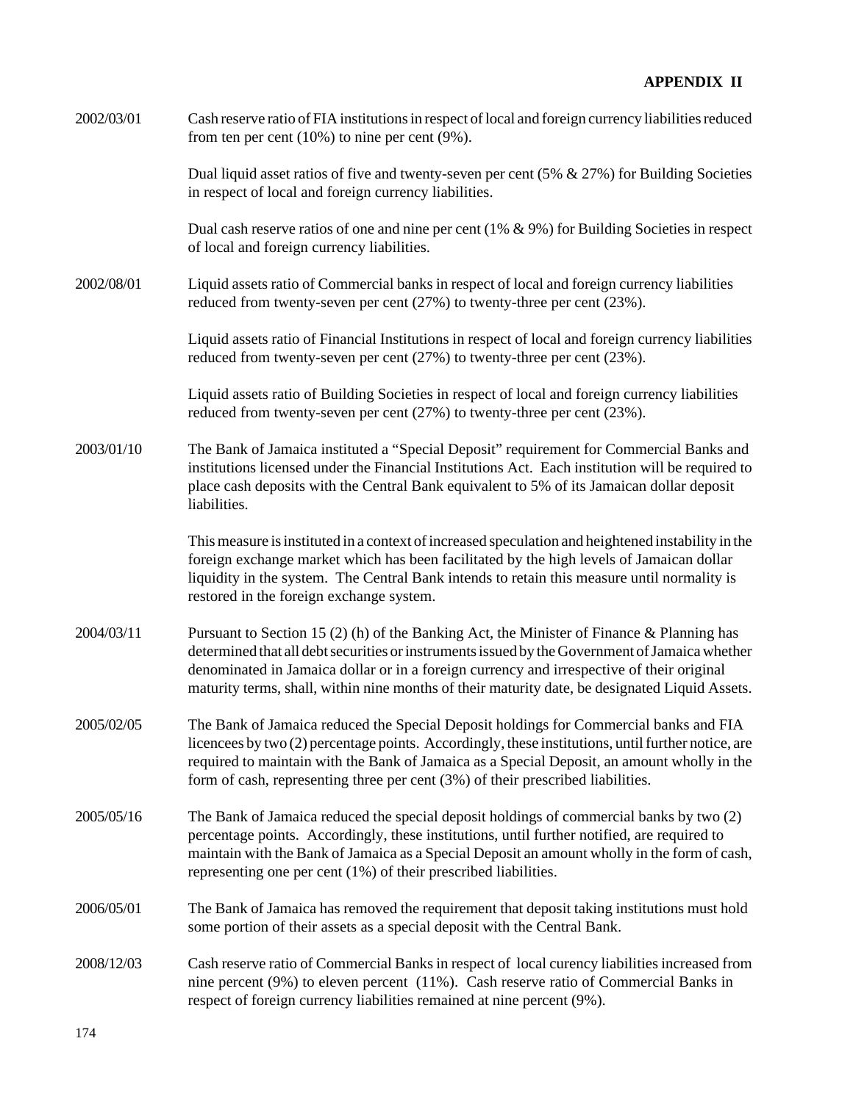2002/03/01 Cash reserve ratio of FIA institutions in respect of local and foreign currency liabilities reduced from ten per cent (10%) to nine per cent (9%).

> Dual liquid asset ratios of five and twenty-seven per cent (5% & 27%) for Building Societies in respect of local and foreign currency liabilities.

> Dual cash reserve ratios of one and nine per cent (1% & 9%) for Building Societies in respect of local and foreign currency liabilities.

2002/08/01 Liquid assets ratio of Commercial banks in respect of local and foreign currency liabilities reduced from twenty-seven per cent (27%) to twenty-three per cent (23%).

> Liquid assets ratio of Financial Institutions in respect of local and foreign currency liabilities reduced from twenty-seven per cent (27%) to twenty-three per cent (23%).

Liquid assets ratio of Building Societies in respect of local and foreign currency liabilities reduced from twenty-seven per cent (27%) to twenty-three per cent (23%).

2003/01/10 The Bank of Jamaica instituted a "Special Deposit" requirement for Commercial Banks and institutions licensed under the Financial Institutions Act. Each institution will be required to place cash deposits with the Central Bank equivalent to 5% of its Jamaican dollar deposit liabilities.

> This measure is instituted in a context of increased speculation and heightened instability in the foreign exchange market which has been facilitated by the high levels of Jamaican dollar liquidity in the system. The Central Bank intends to retain this measure until normality is restored in the foreign exchange system.

- 2004/03/11 Pursuant to Section 15 (2) (h) of the Banking Act, the Minister of Finance & Planning has determined that all debt securities or instruments issued by the Government of Jamaica whether denominated in Jamaica dollar or in a foreign currency and irrespective of their original maturity terms, shall, within nine months of their maturity date, be designated Liquid Assets.
- 2005/02/05 The Bank of Jamaica reduced the Special Deposit holdings for Commercial banks and FIA licencees by two (2) percentage points. Accordingly, these institutions, until further notice, are required to maintain with the Bank of Jamaica as a Special Deposit, an amount wholly in the form of cash, representing three per cent (3%) of their prescribed liabilities.
- 2005/05/16 The Bank of Jamaica reduced the special deposit holdings of commercial banks by two (2) percentage points. Accordingly, these institutions, until further notified, are required to maintain with the Bank of Jamaica as a Special Deposit an amount wholly in the form of cash, representing one per cent (1%) of their prescribed liabilities.
- 2006/05/01 The Bank of Jamaica has removed the requirement that deposit taking institutions must hold some portion of their assets as a special deposit with the Central Bank.
- 2008/12/03 Cash reserve ratio of Commercial Banks in respect of local curency liabilities increased from nine percent (9%) to eleven percent (11%). Cash reserve ratio of Commercial Banks in respect of foreign currency liabilities remained at nine percent (9%).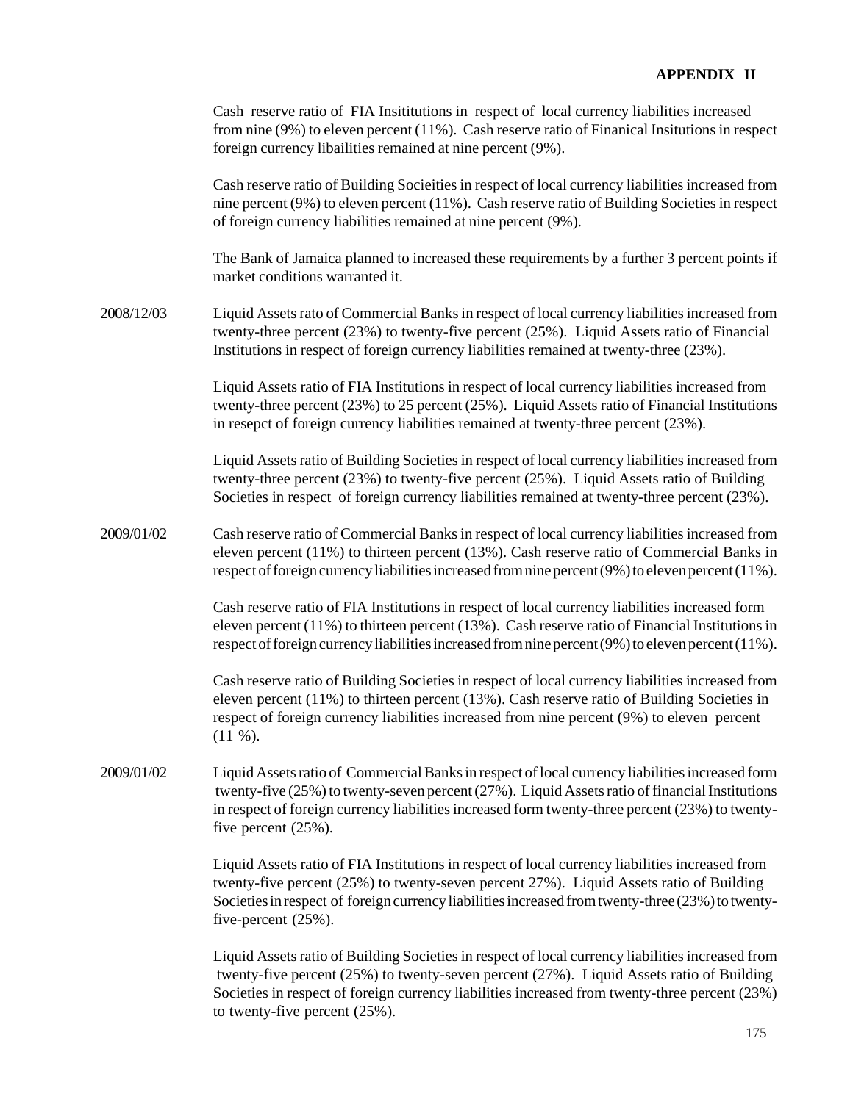Cash reserve ratio of FIA Insititutions in respect of local currency liabilities increased from nine (9%) to eleven percent (11%). Cash reserve ratio of Finanical Insitutions in respect foreign currency libailities remained at nine percent (9%).

Cash reserve ratio of Building Socieities in respect of local currency liabilities increased from nine percent (9%) to eleven percent (11%). Cash reserve ratio of Building Societies in respect of foreign currency liabilities remained at nine percent (9%).

The Bank of Jamaica planned to increased these requirements by a further 3 percent points if market conditions warranted it.

2008/12/03 Liquid Assets rato of Commercial Banks in respect of local currency liabilities increased from twenty-three percent (23%) to twenty-five percent (25%). Liquid Assets ratio of Financial Institutions in respect of foreign currency liabilities remained at twenty-three (23%).

> Liquid Assets ratio of FIA Institutions in respect of local currency liabilities increased from twenty-three percent (23%) to 25 percent (25%). Liquid Assets ratio of Financial Institutions in resepct of foreign currency liabilities remained at twenty-three percent (23%).

> Liquid Assets ratio of Building Societies in respect of local currency liabilities increased from twenty-three percent (23%) to twenty-five percent (25%). Liquid Assets ratio of Building Societies in respect of foreign currency liabilities remained at twenty-three percent (23%).

2009/01/02 Cash reserve ratio of Commercial Banks in respect of local currency liabilities increased from eleven percent (11%) to thirteen percent (13%). Cash reserve ratio of Commercial Banks in respect of foreign currency liabilities increased from nine percent (9%) to eleven percent (11%).

> Cash reserve ratio of FIA Institutions in respect of local currency liabilities increased form eleven percent (11%) to thirteen percent (13%). Cash reserve ratio of Financial Institutions in respect of foreign currency liabilities increased from nine percent (9%) to eleven percent (11%).

> Cash reserve ratio of Building Societies in respect of local currency liabilities increased from eleven percent (11%) to thirteen percent (13%). Cash reserve ratio of Building Societies in respect of foreign currency liabilities increased from nine percent (9%) to eleven percent (11 %).

2009/01/02 Liquid Assets ratio of Commercial Banks in respect of local currency liabilities increased form twenty-five (25%) to twenty-seven percent (27%). Liquid Assets ratio of financial Institutions in respect of foreign currency liabilities increased form twenty-three percent (23%) to twentyfive percent (25%).

> Liquid Assets ratio of FIA Institutions in respect of local currency liabilities increased from twenty-five percent (25%) to twenty-seven percent 27%). Liquid Assets ratio of Building Societies in respect of foreign currency liabilities increased from twenty-three (23%) to twentyfive-percent (25%).

> Liquid Assets ratio of Building Societies in respect of local currency liabilities increased from twenty-five percent (25%) to twenty-seven percent (27%). Liquid Assets ratio of Building Societies in respect of foreign currency liabilities increased from twenty-three percent (23%) to twenty-five percent (25%).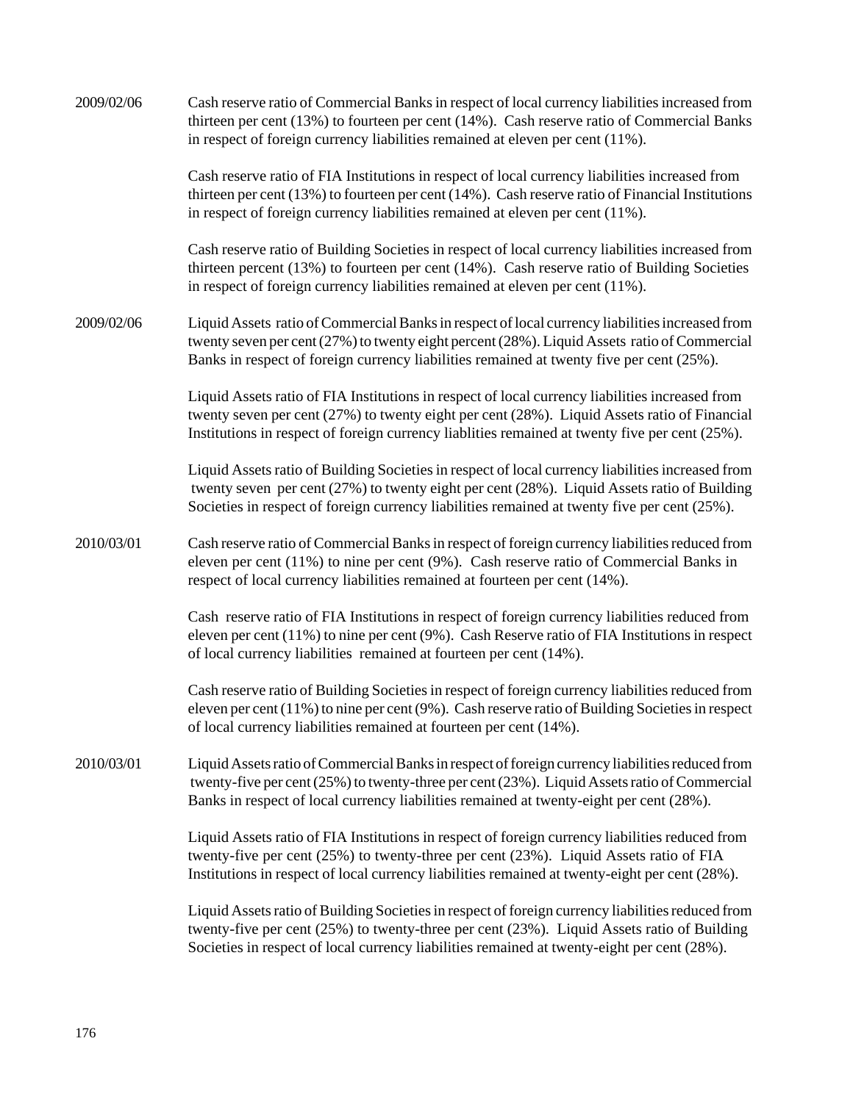| 2009/02/06 | Cash reserve ratio of Commercial Banks in respect of local currency liabilities increased from<br>thirteen per cent (13%) to fourteen per cent (14%). Cash reserve ratio of Commercial Banks<br>in respect of foreign currency liabilities remained at eleven per cent (11%).                     |
|------------|---------------------------------------------------------------------------------------------------------------------------------------------------------------------------------------------------------------------------------------------------------------------------------------------------|
|            | Cash reserve ratio of FIA Institutions in respect of local currency liabilities increased from<br>thirteen per cent (13%) to fourteen per cent (14%). Cash reserve ratio of Financial Institutions<br>in respect of foreign currency liabilities remained at eleven per cent (11%).               |
|            | Cash reserve ratio of Building Societies in respect of local currency liabilities increased from<br>thirteen percent (13%) to fourteen per cent (14%). Cash reserve ratio of Building Societies<br>in respect of foreign currency liabilities remained at eleven per cent (11%).                  |
| 2009/02/06 | Liquid Assets ratio of Commercial Banks in respect of local currency liabilities increased from<br>twenty seven per cent (27%) to twenty eight percent (28%). Liquid Assets ratio of Commercial<br>Banks in respect of foreign currency liabilities remained at twenty five per cent (25%).       |
|            | Liquid Assets ratio of FIA Institutions in respect of local currency liabilities increased from<br>twenty seven per cent (27%) to twenty eight per cent (28%). Liquid Assets ratio of Financial<br>Institutions in respect of foreign currency liablities remained at twenty five per cent (25%). |
|            | Liquid Assets ratio of Building Societies in respect of local currency liabilities increased from<br>twenty seven per cent (27%) to twenty eight per cent (28%). Liquid Assets ratio of Building<br>Societies in respect of foreign currency liabilities remained at twenty five per cent (25%).  |
| 2010/03/01 | Cash reserve ratio of Commercial Banks in respect of foreign currency liabilities reduced from<br>eleven per cent (11%) to nine per cent (9%). Cash reserve ratio of Commercial Banks in<br>respect of local currency liabilities remained at fourteen per cent (14%).                            |
|            | Cash reserve ratio of FIA Institutions in respect of foreign currency liabilities reduced from<br>eleven per cent (11%) to nine per cent (9%). Cash Reserve ratio of FIA Institutions in respect<br>of local currency liabilities remained at fourteen per cent (14%).                            |
|            | Cash reserve ratio of Building Societies in respect of foreign currency liabilities reduced from<br>eleven per cent (11%) to nine per cent (9%). Cash reserve ratio of Building Societies in respect<br>of local currency liabilities remained at fourteen per cent (14%).                        |
| 2010/03/01 | Liquid Assets ratio of Commercial Banks in respect of foreign currency liabilities reduced from<br>twenty-five per cent (25%) to twenty-three per cent (23%). Liquid Assets ratio of Commercial<br>Banks in respect of local currency liabilities remained at twenty-eight per cent (28%).        |
|            | Liquid Assets ratio of FIA Institutions in respect of foreign currency liabilities reduced from<br>twenty-five per cent (25%) to twenty-three per cent (23%). Liquid Assets ratio of FIA<br>Institutions in respect of local currency liabilities remained at twenty-eight per cent (28%).        |
|            | Liquid Assets ratio of Building Societies in respect of foreign currency liabilities reduced from<br>twenty-five per cent (25%) to twenty-three per cent (23%). Liquid Assets ratio of Building<br>Societies in respect of local currency liabilities remained at twenty-eight per cent (28%).    |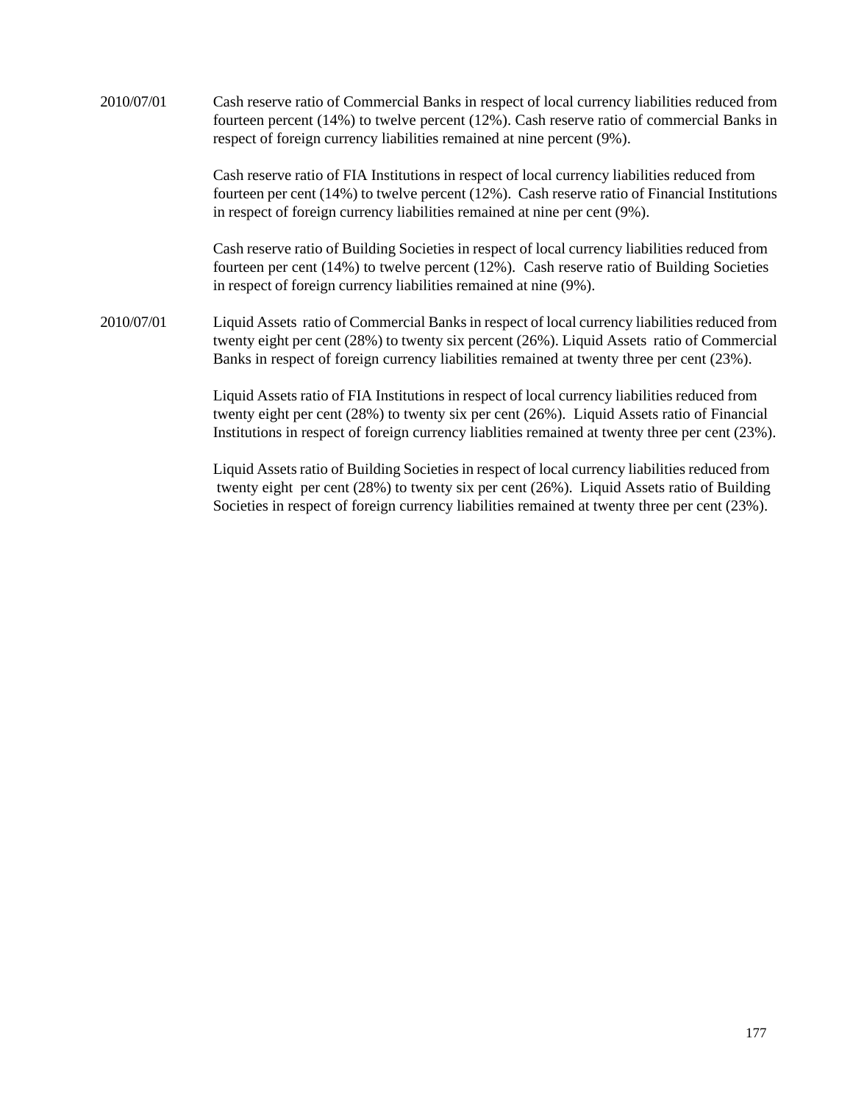2010/07/01 Cash reserve ratio of Commercial Banks in respect of local currency liabilities reduced from fourteen percent (14%) to twelve percent (12%). Cash reserve ratio of commercial Banks in respect of foreign currency liabilities remained at nine percent (9%). Cash reserve ratio of FIA Institutions in respect of local currency liabilities reduced from fourteen per cent (14%) to twelve percent (12%). Cash reserve ratio of Financial Institutions in respect of foreign currency liabilities remained at nine per cent (9%). Cash reserve ratio of Building Societies in respect of local currency liabilities reduced from fourteen per cent (14%) to twelve percent (12%). Cash reserve ratio of Building Societies in respect of foreign currency liabilities remained at nine (9%). 2010/07/01 Liquid Assets ratio of Commercial Banks in respect of local currency liabilities reduced from twenty eight per cent (28%) to twenty six percent (26%). Liquid Assets ratio of Commercial Banks in respect of foreign currency liabilities remained at twenty three per cent (23%). Liquid Assets ratio of FIA Institutions in respect of local currency liabilities reduced from twenty eight per cent (28%) to twenty six per cent (26%). Liquid Assets ratio of Financial Institutions in respect of foreign currency liablities remained at twenty three per cent (23%).

Liquid Assets ratio of Building Societies in respect of local currency liabilities reduced from twenty eight per cent (28%) to twenty six per cent (26%). Liquid Assets ratio of Building Societies in respect of foreign currency liabilities remained at twenty three per cent (23%).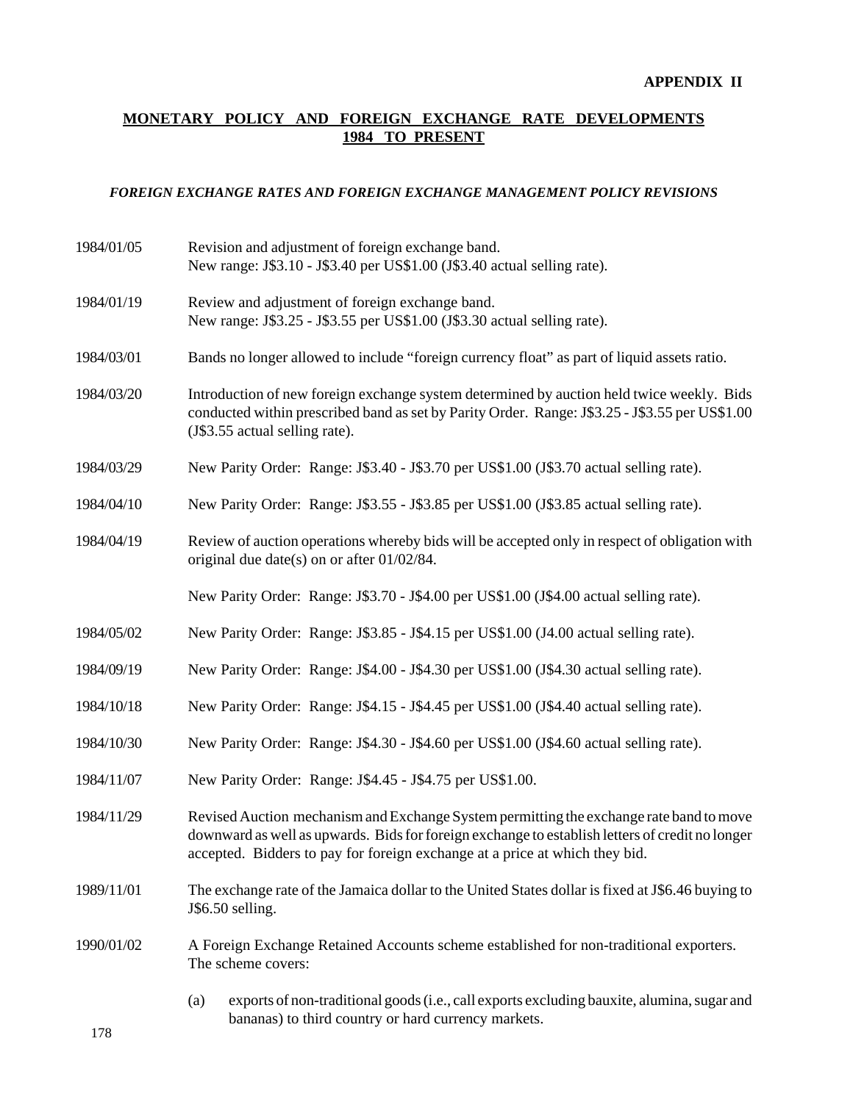# **MONETARY POLICY AND FOREIGN EXCHANGE RATE DEVELOPMENTS 1984 TO PRESENT**

### *FOREIGN EXCHANGE RATES AND FOREIGN EXCHANGE MANAGEMENT POLICY REVISIONS*

1984/01/05 Revision and adjustment of foreign exchange band. New range: J\$3.10 - J\$3.40 per US\$1.00 (J\$3.40 actual selling rate). 1984/01/19 Review and adjustment of foreign exchange band. New range: J\$3.25 - J\$3.55 per US\$1.00 (J\$3.30 actual selling rate). 1984/03/01 Bands no longer allowed to include "foreign currency float" as part of liquid assets ratio. 1984/03/20 Introduction of new foreign exchange system determined by auction held twice weekly. Bids conducted within prescribed band as set by Parity Order. Range: J\$3.25 - J\$3.55 per US\$1.00 (J\$3.55 actual selling rate). 1984/03/29 New Parity Order: Range: J\$3.40 - J\$3.70 per US\$1.00 (J\$3.70 actual selling rate). 1984/04/10 New Parity Order: Range: J\$3.55 - J\$3.85 per US\$1.00 (J\$3.85 actual selling rate). 1984/04/19 Review of auction operations whereby bids will be accepted only in respect of obligation with original due date(s) on or after 01/02/84. New Parity Order: Range: J\$3.70 - J\$4.00 per US\$1.00 (J\$4.00 actual selling rate). 1984/05/02 New Parity Order: Range: J\$3.85 - J\$4.15 per US\$1.00 (J4.00 actual selling rate). 1984/09/19 New Parity Order: Range: J\$4.00 - J\$4.30 per US\$1.00 (J\$4.30 actual selling rate). 1984/10/18 New Parity Order: Range: J\$4.15 - J\$4.45 per US\$1.00 (J\$4.40 actual selling rate). 1984/10/30 New Parity Order: Range: J\$4.30 - J\$4.60 per US\$1.00 (J\$4.60 actual selling rate). 1984/11/07 New Parity Order: Range: J\$4.45 - J\$4.75 per US\$1.00. 1984/11/29 Revised Auction mechanism and Exchange System permitting the exchange rate band to move downward as well as upwards. Bids for foreign exchange to establish letters of credit no longer accepted. Bidders to pay for foreign exchange at a price at which they bid. 1989/11/01 The exchange rate of the Jamaica dollar to the United States dollar is fixed at J\$6.46 buying to J\$6.50 selling. 1990/01/02 A Foreign Exchange Retained Accounts scheme established for non-traditional exporters. The scheme covers: (a) exports of non-traditional goods (i.e., call exports excluding bauxite, alumina, sugar and bananas) to third country or hard currency markets.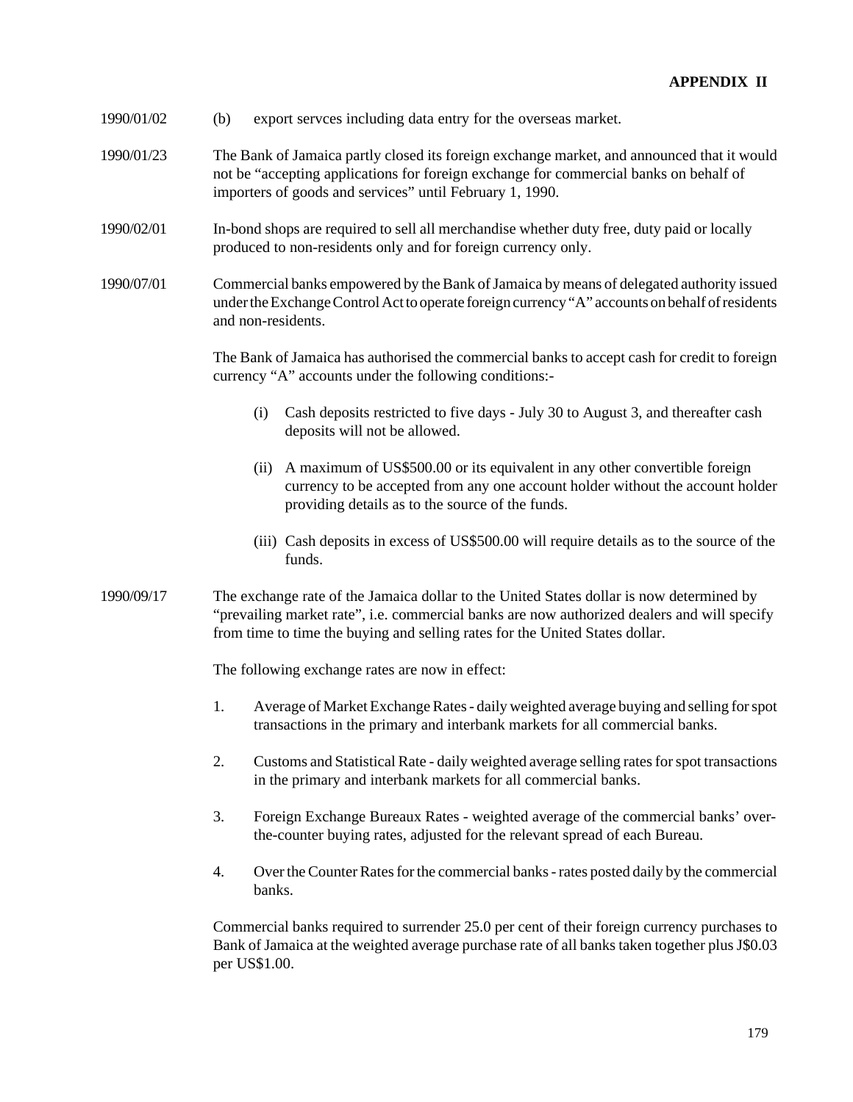- 1990/01/02 (b) export servces including data entry for the overseas market.
- 1990/01/23 The Bank of Jamaica partly closed its foreign exchange market, and announced that it would not be "accepting applications for foreign exchange for commercial banks on behalf of importers of goods and services" until February 1, 1990.
- 1990/02/01 In-bond shops are required to sell all merchandise whether duty free, duty paid or locally produced to non-residents only and for foreign currency only.
- 1990/07/01 Commercial banks empowered by the Bank of Jamaica by means of delegated authority issued under the Exchange Control Act to operate foreign currency "A" accounts on behalf of residents and non-residents.

The Bank of Jamaica has authorised the commercial banks to accept cash for credit to foreign currency "A" accounts under the following conditions:-

- (i) Cash deposits restricted to five days July 30 to August 3, and thereafter cash deposits will not be allowed.
- (ii) A maximum of US\$500.00 or its equivalent in any other convertible foreign currency to be accepted from any one account holder without the account holder providing details as to the source of the funds.
- (iii) Cash deposits in excess of US\$500.00 will require details as to the source of the funds.
- 1990/09/17 The exchange rate of the Jamaica dollar to the United States dollar is now determined by "prevailing market rate", i.e. commercial banks are now authorized dealers and will specify from time to time the buying and selling rates for the United States dollar.

The following exchange rates are now in effect:

- 1. Average of Market Exchange Rates daily weighted average buying and selling for spot transactions in the primary and interbank markets for all commercial banks.
- 2. Customs and Statistical Rate daily weighted average selling rates for spot transactions in the primary and interbank markets for all commercial banks.
- 3. Foreign Exchange Bureaux Rates weighted average of the commercial banks' overthe-counter buying rates, adjusted for the relevant spread of each Bureau.
- 4. Over the Counter Rates for the commercial banks rates posted daily by the commercial banks.

Commercial banks required to surrender 25.0 per cent of their foreign currency purchases to Bank of Jamaica at the weighted average purchase rate of all banks taken together plus J\$0.03 per US\$1.00.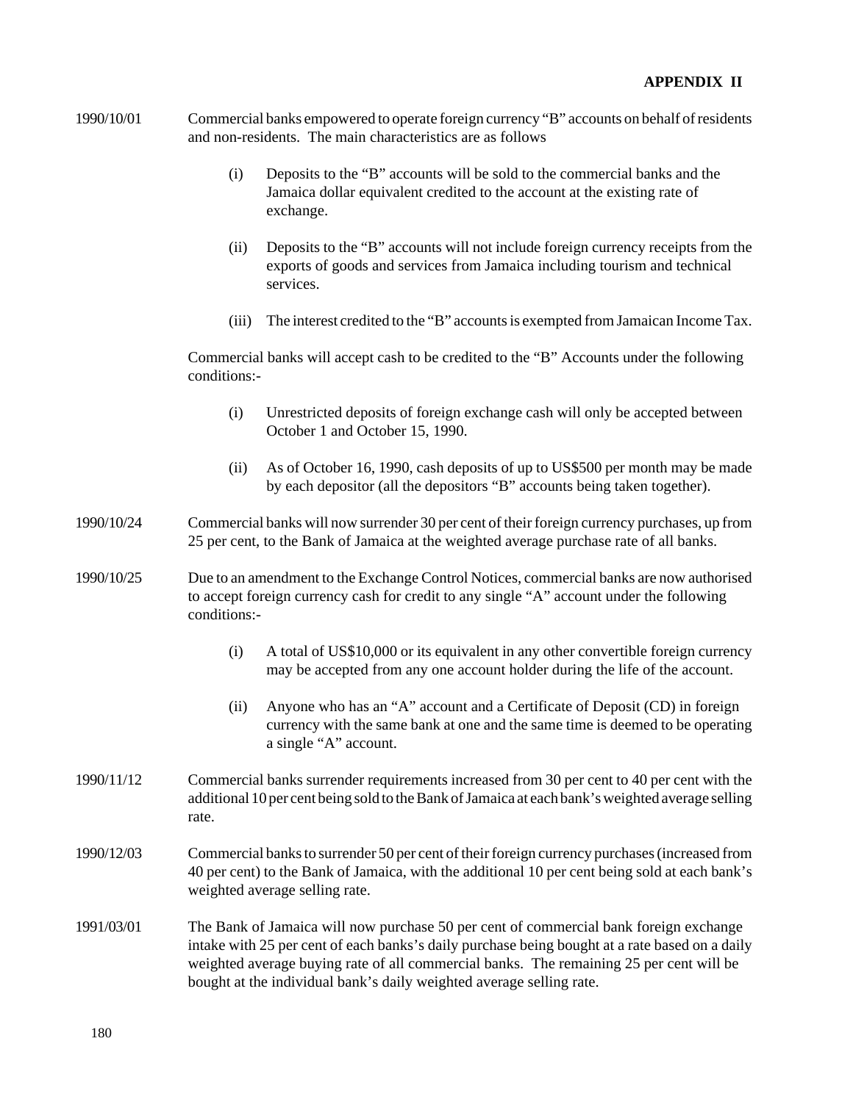- 1990/10/01 Commercial banks empowered to operate foreign currency "B" accounts on behalf of residents and non-residents. The main characteristics are as follows
	- (i) Deposits to the "B" accounts will be sold to the commercial banks and the Jamaica dollar equivalent credited to the account at the existing rate of exchange.
	- (ii) Deposits to the "B" accounts will not include foreign currency receipts from the exports of goods and services from Jamaica including tourism and technical services.
	- (iii) The interest credited to the "B" accounts is exempted from Jamaican Income Tax.

Commercial banks will accept cash to be credited to the "B" Accounts under the following conditions:-

- (i) Unrestricted deposits of foreign exchange cash will only be accepted between October 1 and October 15, 1990.
- (ii) As of October 16, 1990, cash deposits of up to US\$500 per month may be made by each depositor (all the depositors "B" accounts being taken together).
- 1990/10/24 Commercial banks will now surrender 30 per cent of their foreign currency purchases, up from 25 per cent, to the Bank of Jamaica at the weighted average purchase rate of all banks.
- 1990/10/25 Due to an amendment to the Exchange Control Notices, commercial banks are now authorised to accept foreign currency cash for credit to any single "A" account under the following conditions:-
	- (i) A total of US\$10,000 or its equivalent in any other convertible foreign currency may be accepted from any one account holder during the life of the account.
	- (ii) Anyone who has an "A" account and a Certificate of Deposit (CD) in foreign currency with the same bank at one and the same time is deemed to be operating a single "A" account.
- 1990/11/12 Commercial banks surrender requirements increased from 30 per cent to 40 per cent with the additional 10 per cent being sold to the Bank of Jamaica at each bank's weighted average selling rate.
- 1990/12/03 Commercial banks to surrender 50 per cent of their foreign currency purchases (increased from 40 per cent) to the Bank of Jamaica, with the additional 10 per cent being sold at each bank's weighted average selling rate.
- 1991/03/01 The Bank of Jamaica will now purchase 50 per cent of commercial bank foreign exchange intake with 25 per cent of each banks's daily purchase being bought at a rate based on a daily weighted average buying rate of all commercial banks. The remaining 25 per cent will be bought at the individual bank's daily weighted average selling rate.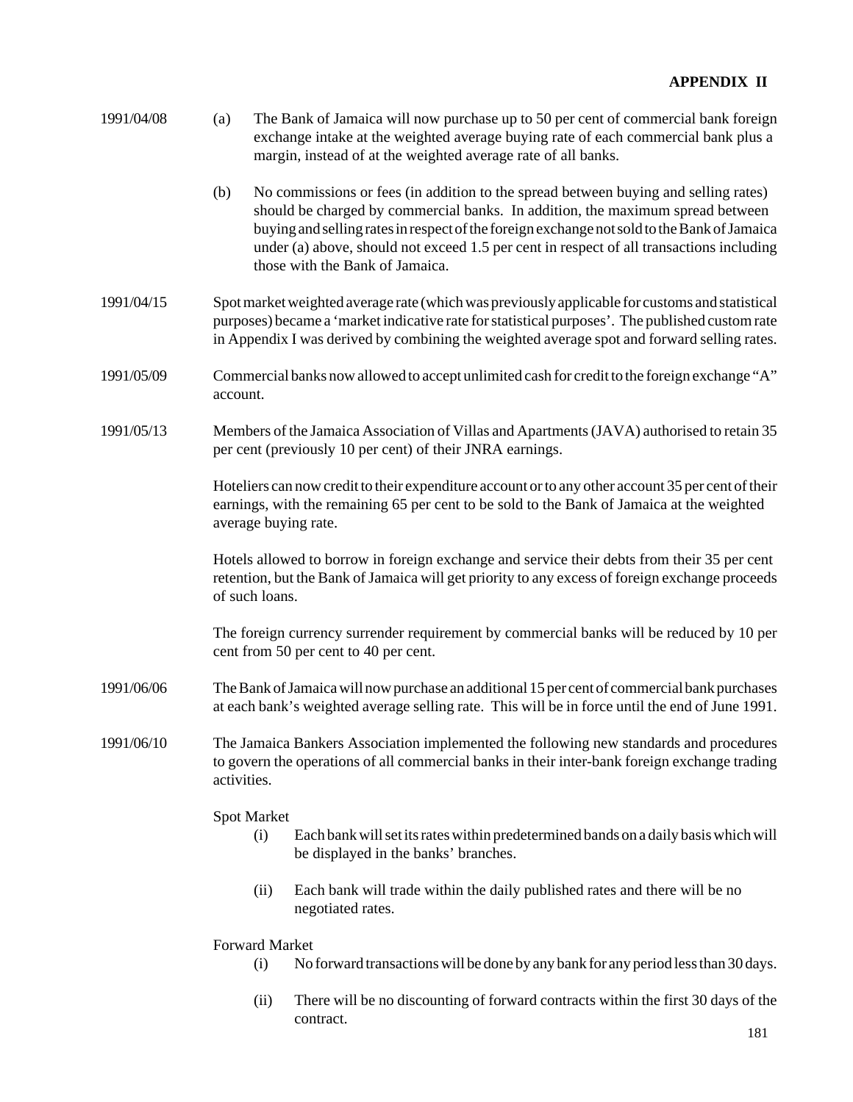| 1991/04/08 | The Bank of Jamaica will now purchase up to 50 per cent of commercial bank foreign<br>(a)<br>exchange intake at the weighted average buying rate of each commercial bank plus a<br>margin, instead of at the weighted average rate of all banks. |                                                                                                                                                                                                                                                                                                                                                                                                     |  |  |  |  |
|------------|--------------------------------------------------------------------------------------------------------------------------------------------------------------------------------------------------------------------------------------------------|-----------------------------------------------------------------------------------------------------------------------------------------------------------------------------------------------------------------------------------------------------------------------------------------------------------------------------------------------------------------------------------------------------|--|--|--|--|
|            | (b)                                                                                                                                                                                                                                              | No commissions or fees (in addition to the spread between buying and selling rates)<br>should be charged by commercial banks. In addition, the maximum spread between<br>buying and selling rates in respect of the foreign exchange not sold to the Bank of Jamaica<br>under (a) above, should not exceed 1.5 per cent in respect of all transactions including<br>those with the Bank of Jamaica. |  |  |  |  |
| 1991/04/15 |                                                                                                                                                                                                                                                  | Spot market weighted average rate (which was previously applicable for customs and statistical<br>purposes) became a 'market indicative rate for statistical purposes'. The published custom rate<br>in Appendix I was derived by combining the weighted average spot and forward selling rates.                                                                                                    |  |  |  |  |
| 1991/05/09 | Commercial banks now allowed to accept unlimited cash for credit to the foreign exchange "A"<br>account.                                                                                                                                         |                                                                                                                                                                                                                                                                                                                                                                                                     |  |  |  |  |
| 1991/05/13 | Members of the Jamaica Association of Villas and Apartments (JAVA) authorised to retain 35<br>per cent (previously 10 per cent) of their JNRA earnings.                                                                                          |                                                                                                                                                                                                                                                                                                                                                                                                     |  |  |  |  |
|            |                                                                                                                                                                                                                                                  | Hoteliers can now credit to their expenditure account or to any other account 35 per cent of their<br>earnings, with the remaining 65 per cent to be sold to the Bank of Jamaica at the weighted<br>average buying rate.                                                                                                                                                                            |  |  |  |  |
|            | Hotels allowed to borrow in foreign exchange and service their debts from their 35 per cent<br>retention, but the Bank of Jamaica will get priority to any excess of foreign exchange proceeds<br>of such loans.                                 |                                                                                                                                                                                                                                                                                                                                                                                                     |  |  |  |  |
|            | The foreign currency surrender requirement by commercial banks will be reduced by 10 per<br>cent from 50 per cent to 40 per cent.                                                                                                                |                                                                                                                                                                                                                                                                                                                                                                                                     |  |  |  |  |
| 1991/06/06 | The Bank of Jamaica will now purchase an additional 15 per cent of commercial bank purchases<br>at each bank's weighted average selling rate. This will be in force until the end of June 1991.                                                  |                                                                                                                                                                                                                                                                                                                                                                                                     |  |  |  |  |
| 1991/06/10 | The Jamaica Bankers Association implemented the following new standards and procedures<br>to govern the operations of all commercial banks in their inter-bank foreign exchange trading<br>activities.                                           |                                                                                                                                                                                                                                                                                                                                                                                                     |  |  |  |  |
|            | <b>Spot Market</b>                                                                                                                                                                                                                               |                                                                                                                                                                                                                                                                                                                                                                                                     |  |  |  |  |
|            |                                                                                                                                                                                                                                                  | Each bank will set its rates within predetermined bands on a daily basis which will<br>(i)<br>be displayed in the banks' branches.                                                                                                                                                                                                                                                                  |  |  |  |  |
|            |                                                                                                                                                                                                                                                  | Each bank will trade within the daily published rates and there will be no<br>(ii)<br>negotiated rates.                                                                                                                                                                                                                                                                                             |  |  |  |  |
|            | Forward Market                                                                                                                                                                                                                                   |                                                                                                                                                                                                                                                                                                                                                                                                     |  |  |  |  |

- (i) No forward transactions will be done by any bank for any period less than 30 days.
- (ii) There will be no discounting of forward contracts within the first 30 days of the contract.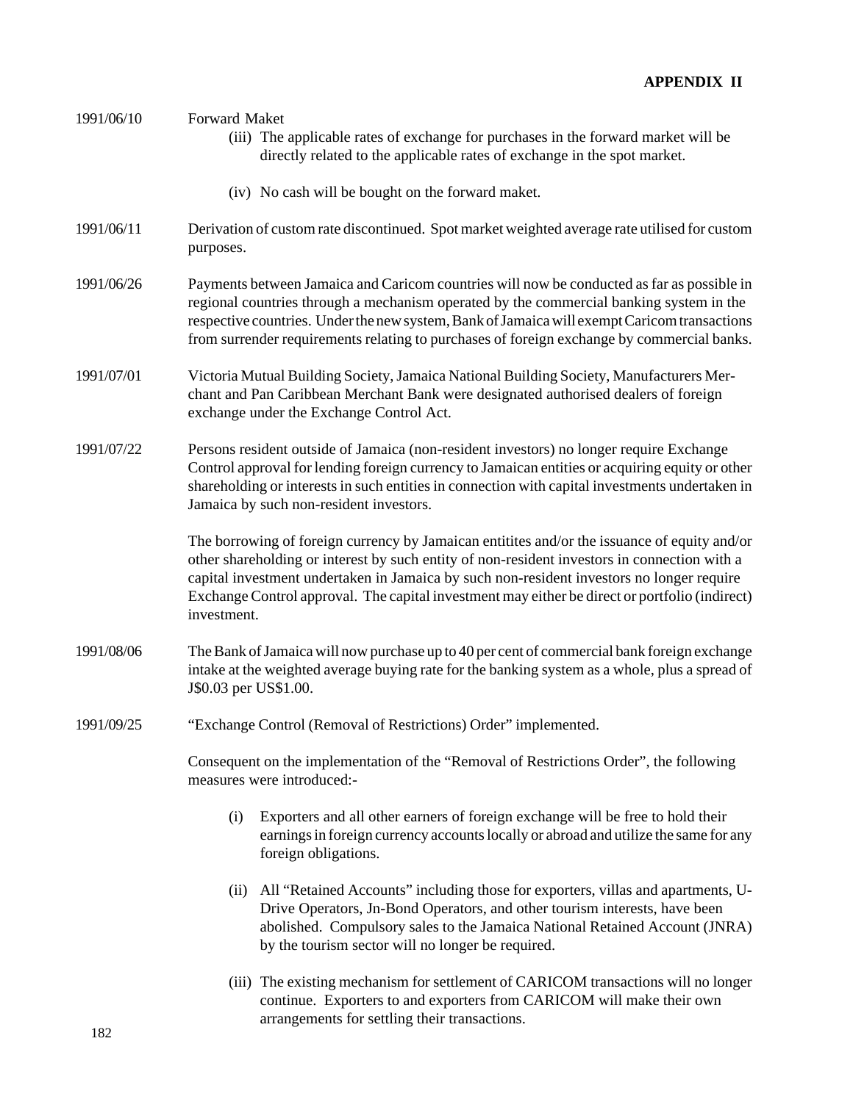| 1991/06/10 | <b>Forward Maket</b><br>(iii) The applicable rates of exchange for purchases in the forward market will be<br>directly related to the applicable rates of exchange in the spot market.                                                                                                                                                                                                                     |  |  |  |  |  |
|------------|------------------------------------------------------------------------------------------------------------------------------------------------------------------------------------------------------------------------------------------------------------------------------------------------------------------------------------------------------------------------------------------------------------|--|--|--|--|--|
|            | (iv) No cash will be bought on the forward maket.                                                                                                                                                                                                                                                                                                                                                          |  |  |  |  |  |
| 1991/06/11 | Derivation of custom rate discontinued. Spot market weighted average rate utilised for custom<br>purposes.                                                                                                                                                                                                                                                                                                 |  |  |  |  |  |
| 1991/06/26 | Payments between Jamaica and Caricom countries will now be conducted as far as possible in<br>regional countries through a mechanism operated by the commercial banking system in the<br>respective countries. Under the new system, Bank of Jamaica will exempt Caricom transactions<br>from surrender requirements relating to purchases of foreign exchange by commercial banks.                        |  |  |  |  |  |
| 1991/07/01 | Victoria Mutual Building Society, Jamaica National Building Society, Manufacturers Mer-<br>chant and Pan Caribbean Merchant Bank were designated authorised dealers of foreign<br>exchange under the Exchange Control Act.                                                                                                                                                                                 |  |  |  |  |  |
| 1991/07/22 | Persons resident outside of Jamaica (non-resident investors) no longer require Exchange<br>Control approval for lending foreign currency to Jamaican entities or acquiring equity or other<br>shareholding or interests in such entities in connection with capital investments undertaken in<br>Jamaica by such non-resident investors.                                                                   |  |  |  |  |  |
|            | The borrowing of foreign currency by Jamaican entitites and/or the issuance of equity and/or<br>other shareholding or interest by such entity of non-resident investors in connection with a<br>capital investment undertaken in Jamaica by such non-resident investors no longer require<br>Exchange Control approval. The capital investment may either be direct or portfolio (indirect)<br>investment. |  |  |  |  |  |
| 1991/08/06 | The Bank of Jamaica will now purchase up to 40 per cent of commercial bank foreign exchange<br>intake at the weighted average buying rate for the banking system as a whole, plus a spread of<br>J\$0.03 per US\$1.00.                                                                                                                                                                                     |  |  |  |  |  |
| 1991/09/25 | "Exchange Control (Removal of Restrictions) Order" implemented.                                                                                                                                                                                                                                                                                                                                            |  |  |  |  |  |
|            | Consequent on the implementation of the "Removal of Restrictions Order", the following<br>measures were introduced:-                                                                                                                                                                                                                                                                                       |  |  |  |  |  |
|            | Exporters and all other earners of foreign exchange will be free to hold their<br>(i)<br>earnings in foreign currency accounts locally or abroad and utilize the same for any<br>foreign obligations.                                                                                                                                                                                                      |  |  |  |  |  |
|            | All "Retained Accounts" including those for exporters, villas and apartments, U-<br>(ii)<br>Drive Operators, Jn-Bond Operators, and other tourism interests, have been<br>abolished. Compulsory sales to the Jamaica National Retained Account (JNRA)<br>by the tourism sector will no longer be required.                                                                                                 |  |  |  |  |  |
|            | (iii) The existing mechanism for settlement of CARICOM transactions will no longer<br>continue. Exporters to and exporters from CARICOM will make their own                                                                                                                                                                                                                                                |  |  |  |  |  |

arrangements for settling their transactions.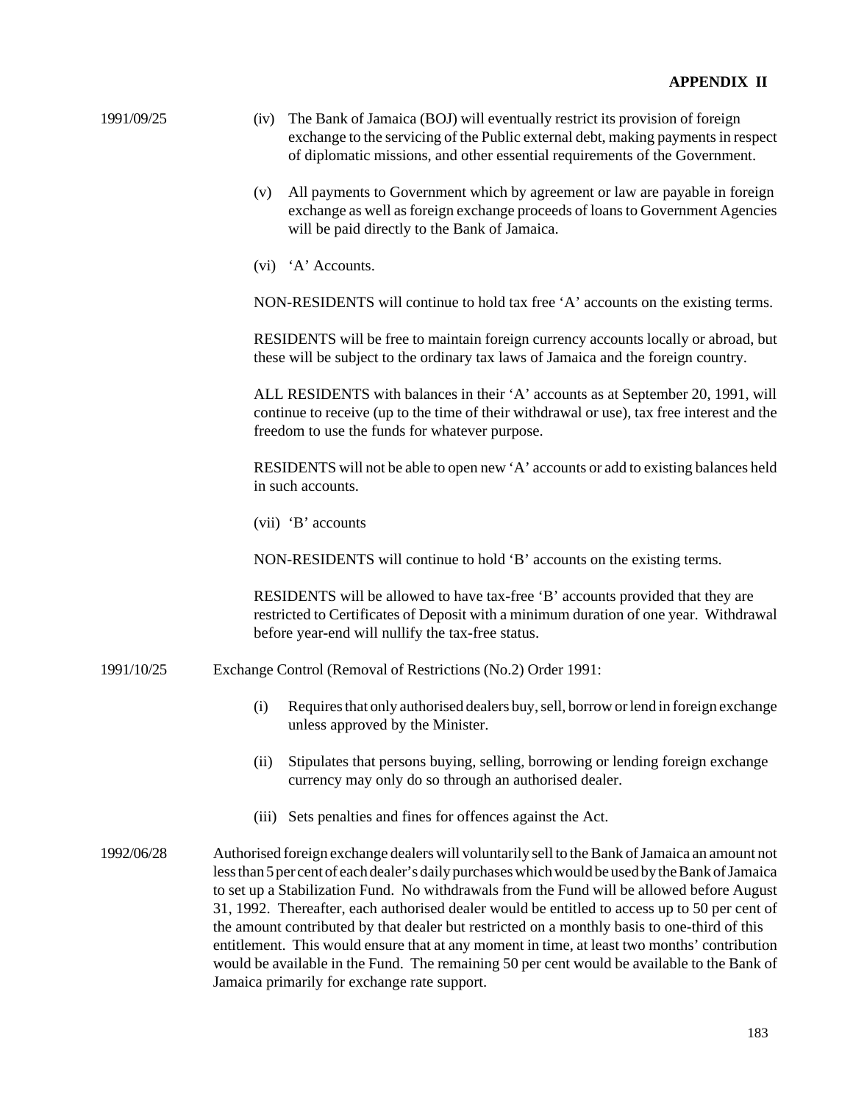| 1991/09/25 | The Bank of Jamaica (BOJ) will eventually restrict its provision of foreign<br>(iv)<br>exchange to the servicing of the Public external debt, making payments in respect<br>of diplomatic missions, and other essential requirements of the Government.                                                                                                                                                                                                                                                                                                                                                                                                                                                                                          |
|------------|--------------------------------------------------------------------------------------------------------------------------------------------------------------------------------------------------------------------------------------------------------------------------------------------------------------------------------------------------------------------------------------------------------------------------------------------------------------------------------------------------------------------------------------------------------------------------------------------------------------------------------------------------------------------------------------------------------------------------------------------------|
|            | All payments to Government which by agreement or law are payable in foreign<br>(v)<br>exchange as well as foreign exchange proceeds of loans to Government Agencies<br>will be paid directly to the Bank of Jamaica.                                                                                                                                                                                                                                                                                                                                                                                                                                                                                                                             |
|            | (vi) 'A' Accounts.                                                                                                                                                                                                                                                                                                                                                                                                                                                                                                                                                                                                                                                                                                                               |
|            | NON-RESIDENTS will continue to hold tax free 'A' accounts on the existing terms.                                                                                                                                                                                                                                                                                                                                                                                                                                                                                                                                                                                                                                                                 |
|            | RESIDENTS will be free to maintain foreign currency accounts locally or abroad, but<br>these will be subject to the ordinary tax laws of Jamaica and the foreign country.                                                                                                                                                                                                                                                                                                                                                                                                                                                                                                                                                                        |
|            | ALL RESIDENTS with balances in their 'A' accounts as at September 20, 1991, will<br>continue to receive (up to the time of their withdrawal or use), tax free interest and the<br>freedom to use the funds for whatever purpose.                                                                                                                                                                                                                                                                                                                                                                                                                                                                                                                 |
|            | RESIDENTS will not be able to open new 'A' accounts or add to existing balances held<br>in such accounts.                                                                                                                                                                                                                                                                                                                                                                                                                                                                                                                                                                                                                                        |
|            | $(vii)$ 'B' accounts                                                                                                                                                                                                                                                                                                                                                                                                                                                                                                                                                                                                                                                                                                                             |
|            | NON-RESIDENTS will continue to hold 'B' accounts on the existing terms.                                                                                                                                                                                                                                                                                                                                                                                                                                                                                                                                                                                                                                                                          |
|            | RESIDENTS will be allowed to have tax-free 'B' accounts provided that they are<br>restricted to Certificates of Deposit with a minimum duration of one year. Withdrawal<br>before year-end will nullify the tax-free status.                                                                                                                                                                                                                                                                                                                                                                                                                                                                                                                     |
| 1991/10/25 | Exchange Control (Removal of Restrictions (No.2) Order 1991:                                                                                                                                                                                                                                                                                                                                                                                                                                                                                                                                                                                                                                                                                     |
|            | Requires that only authorised dealers buy, sell, borrow or lend in foreign exchange<br>(i)<br>unless approved by the Minister.                                                                                                                                                                                                                                                                                                                                                                                                                                                                                                                                                                                                                   |
|            | Stipulates that persons buying, selling, borrowing or lending foreign exchange<br>(ii)<br>currency may only do so through an authorised dealer.                                                                                                                                                                                                                                                                                                                                                                                                                                                                                                                                                                                                  |
|            | Sets penalties and fines for offences against the Act.<br>(iii)                                                                                                                                                                                                                                                                                                                                                                                                                                                                                                                                                                                                                                                                                  |
| 1992/06/28 | Authorised foreign exchange dealers will voluntarily sell to the Bank of Jamaica an amount not<br>less than 5 per cent of each dealer's daily purchases which would be used by the Bank of Jamaica<br>to set up a Stabilization Fund. No withdrawals from the Fund will be allowed before August<br>31, 1992. Thereafter, each authorised dealer would be entitled to access up to 50 per cent of<br>the amount contributed by that dealer but restricted on a monthly basis to one-third of this<br>entitlement. This would ensure that at any moment in time, at least two months' contribution<br>would be available in the Fund. The remaining 50 per cent would be available to the Bank of<br>Jamaica primarily for exchange rate support. |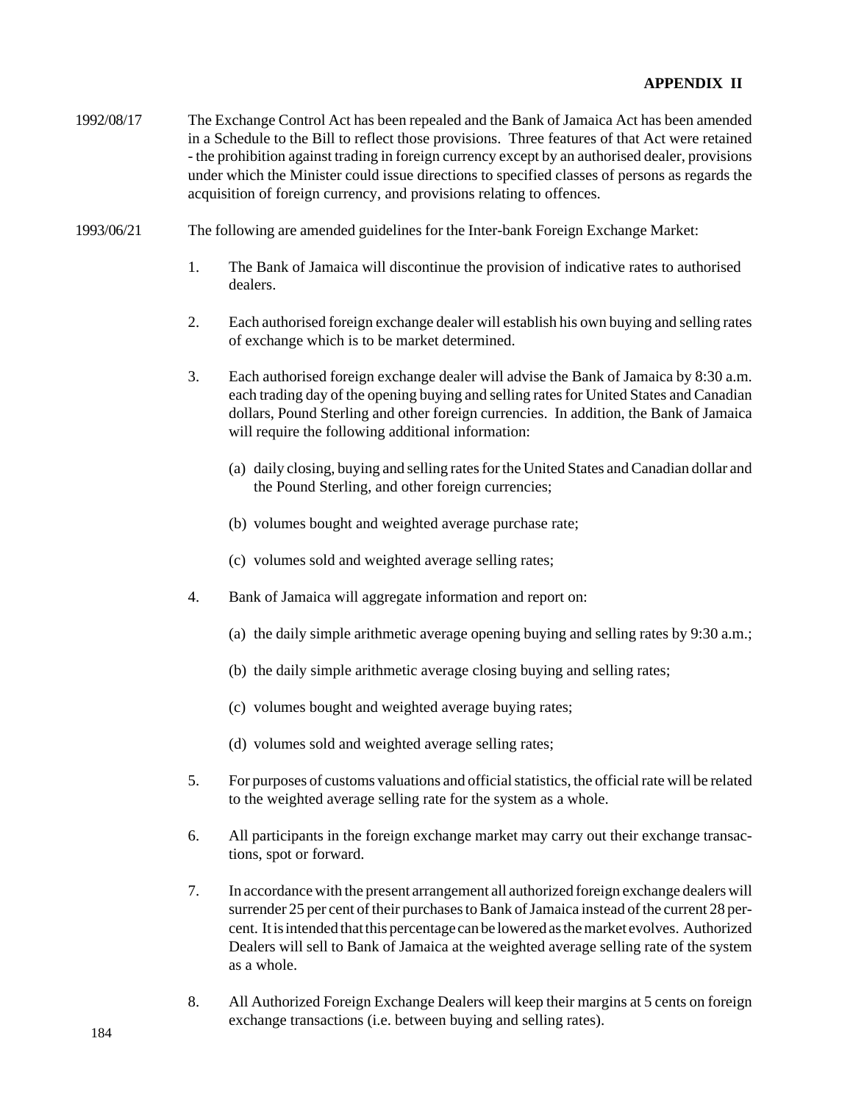- 1992/08/17 The Exchange Control Act has been repealed and the Bank of Jamaica Act has been amended in a Schedule to the Bill to reflect those provisions. Three features of that Act were retained - the prohibition against trading in foreign currency except by an authorised dealer, provisions under which the Minister could issue directions to specified classes of persons as regards the acquisition of foreign currency, and provisions relating to offences.
- 1993/06/21 The following are amended guidelines for the Inter-bank Foreign Exchange Market:
	- 1. The Bank of Jamaica will discontinue the provision of indicative rates to authorised dealers.
	- 2. Each authorised foreign exchange dealer will establish his own buying and selling rates of exchange which is to be market determined.
	- 3. Each authorised foreign exchange dealer will advise the Bank of Jamaica by 8:30 a.m. each trading day of the opening buying and selling rates for United States and Canadian dollars, Pound Sterling and other foreign currencies. In addition, the Bank of Jamaica will require the following additional information:
		- (a) daily closing, buying and selling rates for the United States and Canadian dollar and the Pound Sterling, and other foreign currencies;
		- (b) volumes bought and weighted average purchase rate;
		- (c) volumes sold and weighted average selling rates;
	- 4. Bank of Jamaica will aggregate information and report on:
		- (a) the daily simple arithmetic average opening buying and selling rates by 9:30 a.m.;
		- (b) the daily simple arithmetic average closing buying and selling rates;
		- (c) volumes bought and weighted average buying rates;
		- (d) volumes sold and weighted average selling rates;
	- 5. For purposes of customs valuations and official statistics, the official rate will be related to the weighted average selling rate for the system as a whole.
	- 6. All participants in the foreign exchange market may carry out their exchange transactions, spot or forward.
	- 7. In accordance with the present arrangement all authorized foreign exchange dealers will surrender 25 per cent of their purchases to Bank of Jamaica instead of the current 28 percent. It is intended that this percentage can be lowered as the market evolves. Authorized Dealers will sell to Bank of Jamaica at the weighted average selling rate of the system as a whole.
	- 8. All Authorized Foreign Exchange Dealers will keep their margins at 5 cents on foreign exchange transactions (i.e. between buying and selling rates).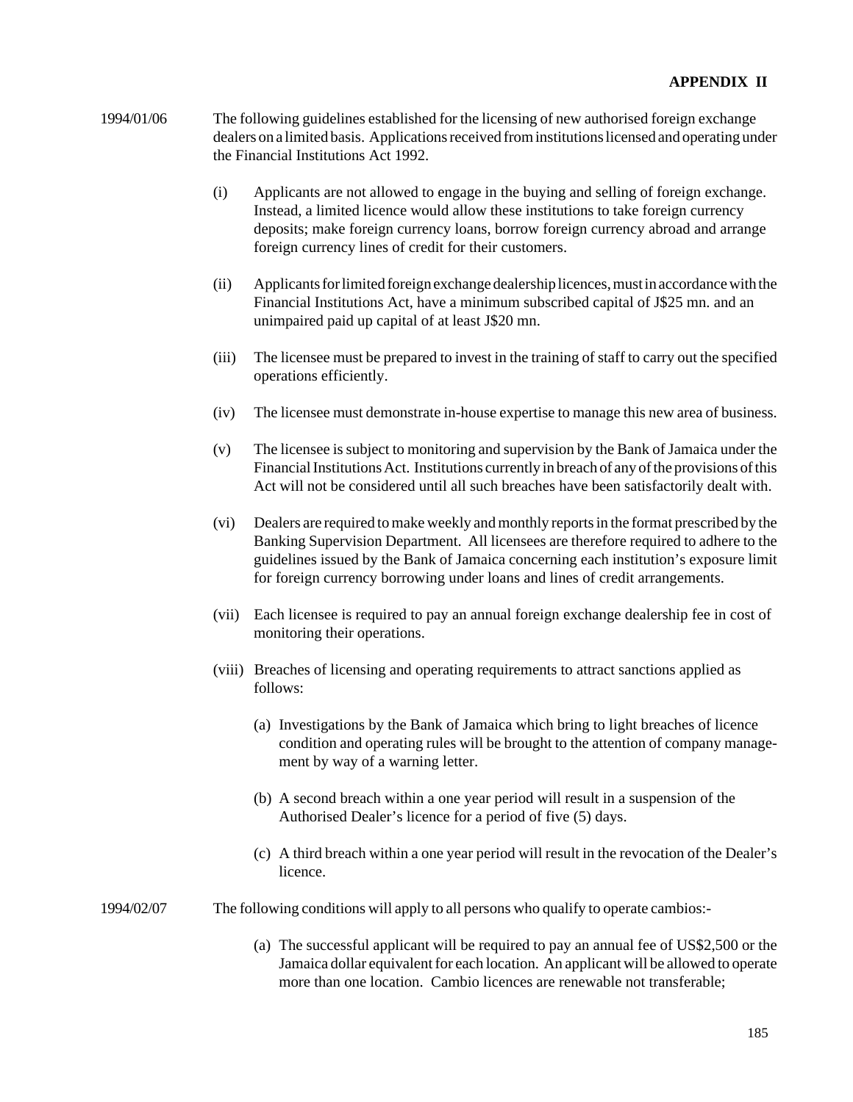- 1994/01/06 The following guidelines established for the licensing of new authorised foreign exchange dealers on a limited basis. Applications received from institutions licensed and operating under the Financial Institutions Act 1992.
	- (i) Applicants are not allowed to engage in the buying and selling of foreign exchange. Instead, a limited licence would allow these institutions to take foreign currency deposits; make foreign currency loans, borrow foreign currency abroad and arrange foreign currency lines of credit for their customers.
	- (ii) Applicants for limited foreign exchange dealership licences, must in accordance with the Financial Institutions Act, have a minimum subscribed capital of J\$25 mn. and an unimpaired paid up capital of at least J\$20 mn.
	- (iii) The licensee must be prepared to invest in the training of staff to carry out the specified operations efficiently.
	- (iv) The licensee must demonstrate in-house expertise to manage this new area of business.
	- (v) The licensee is subject to monitoring and supervision by the Bank of Jamaica under the Financial Institutions Act. Institutions currently in breach of any of the provisions of this Act will not be considered until all such breaches have been satisfactorily dealt with.
	- (vi) Dealers are required to make weekly and monthly reports in the format prescribed by the Banking Supervision Department. All licensees are therefore required to adhere to the guidelines issued by the Bank of Jamaica concerning each institution's exposure limit for foreign currency borrowing under loans and lines of credit arrangements.
	- (vii) Each licensee is required to pay an annual foreign exchange dealership fee in cost of monitoring their operations.
	- (viii) Breaches of licensing and operating requirements to attract sanctions applied as follows:
		- (a) Investigations by the Bank of Jamaica which bring to light breaches of licence condition and operating rules will be brought to the attention of company management by way of a warning letter.
		- (b) A second breach within a one year period will result in a suspension of the Authorised Dealer's licence for a period of five (5) days.
		- (c) A third breach within a one year period will result in the revocation of the Dealer's licence.
- 1994/02/07 The following conditions will apply to all persons who qualify to operate cambios:-
	- (a) The successful applicant will be required to pay an annual fee of US\$2,500 or the Jamaica dollar equivalent for each location. An applicant will be allowed to operate more than one location. Cambio licences are renewable not transferable;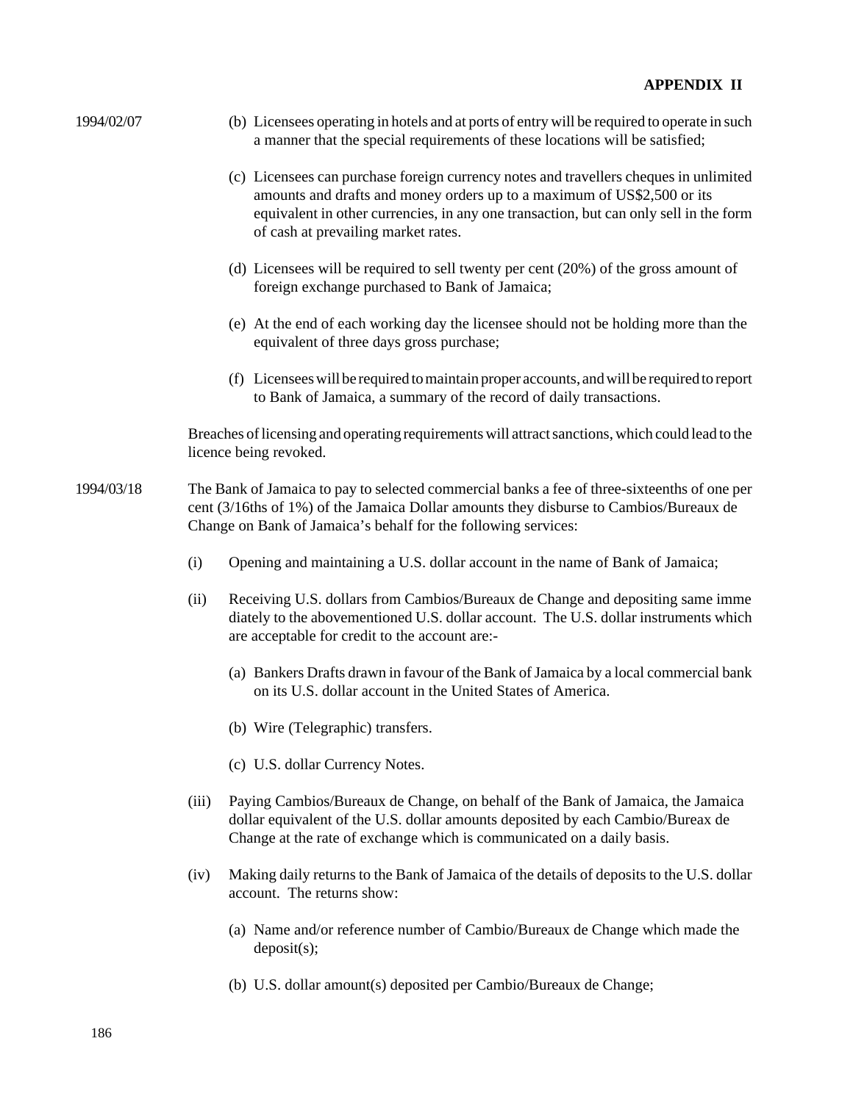| 1994/02/07 | (b) Licensees operating in hotels and at ports of entry will be required to operate in such<br>a manner that the special requirements of these locations will be satisfied;                                                                                                                      |  |  |  |
|------------|--------------------------------------------------------------------------------------------------------------------------------------------------------------------------------------------------------------------------------------------------------------------------------------------------|--|--|--|
|            | (c) Licensees can purchase foreign currency notes and travellers cheques in unlimited<br>amounts and drafts and money orders up to a maximum of US\$2,500 or its<br>equivalent in other currencies, in any one transaction, but can only sell in the form<br>of cash at prevailing market rates. |  |  |  |
|            | (d) Licensees will be required to sell twenty per cent $(20%)$ of the gross amount of<br>foreign exchange purchased to Bank of Jamaica;                                                                                                                                                          |  |  |  |
|            | (e) At the end of each working day the licensee should not be holding more than the<br>equivalent of three days gross purchase;                                                                                                                                                                  |  |  |  |
|            | (f) Licensees will be required to maintain proper accounts, and will be required to report<br>to Bank of Jamaica, a summary of the record of daily transactions.                                                                                                                                 |  |  |  |
|            | Breaches of licensing and operating requirements will attract sanctions, which could lead to the<br>licence being revoked.                                                                                                                                                                       |  |  |  |
| 1994/03/18 | The Bank of Jamaica to pay to selected commercial banks a fee of three-sixteenths of one per<br>cent (3/16ths of 1%) of the Jamaica Dollar amounts they disburse to Cambios/Bureaux de<br>Change on Bank of Jamaica's behalf for the following services:                                         |  |  |  |
|            | (i)<br>Opening and maintaining a U.S. dollar account in the name of Bank of Jamaica;                                                                                                                                                                                                             |  |  |  |
|            | (ii)<br>Receiving U.S. dollars from Cambios/Bureaux de Change and depositing same imme<br>diately to the abovementioned U.S. dollar account. The U.S. dollar instruments which<br>are acceptable for credit to the account are:-                                                                 |  |  |  |
|            | (a) Bankers Drafts drawn in favour of the Bank of Jamaica by a local commercial bank<br>on its U.S. dollar account in the United States of America.                                                                                                                                              |  |  |  |
|            | (b) Wire (Telegraphic) transfers.                                                                                                                                                                                                                                                                |  |  |  |
|            | (c) U.S. dollar Currency Notes.                                                                                                                                                                                                                                                                  |  |  |  |
|            | Paying Cambios/Bureaux de Change, on behalf of the Bank of Jamaica, the Jamaica<br>(iii)<br>dollar equivalent of the U.S. dollar amounts deposited by each Cambio/Bureax de<br>Change at the rate of exchange which is communicated on a daily basis.                                            |  |  |  |
|            | Making daily returns to the Bank of Jamaica of the details of deposits to the U.S. dollar<br>(iv)<br>account. The returns show:                                                                                                                                                                  |  |  |  |
|            | (a) Name and/or reference number of Cambio/Bureaux de Change which made the<br>deposit(s);                                                                                                                                                                                                       |  |  |  |
|            | (b) U.S. dollar amount(s) deposited per Cambio/Bureaux de Change;                                                                                                                                                                                                                                |  |  |  |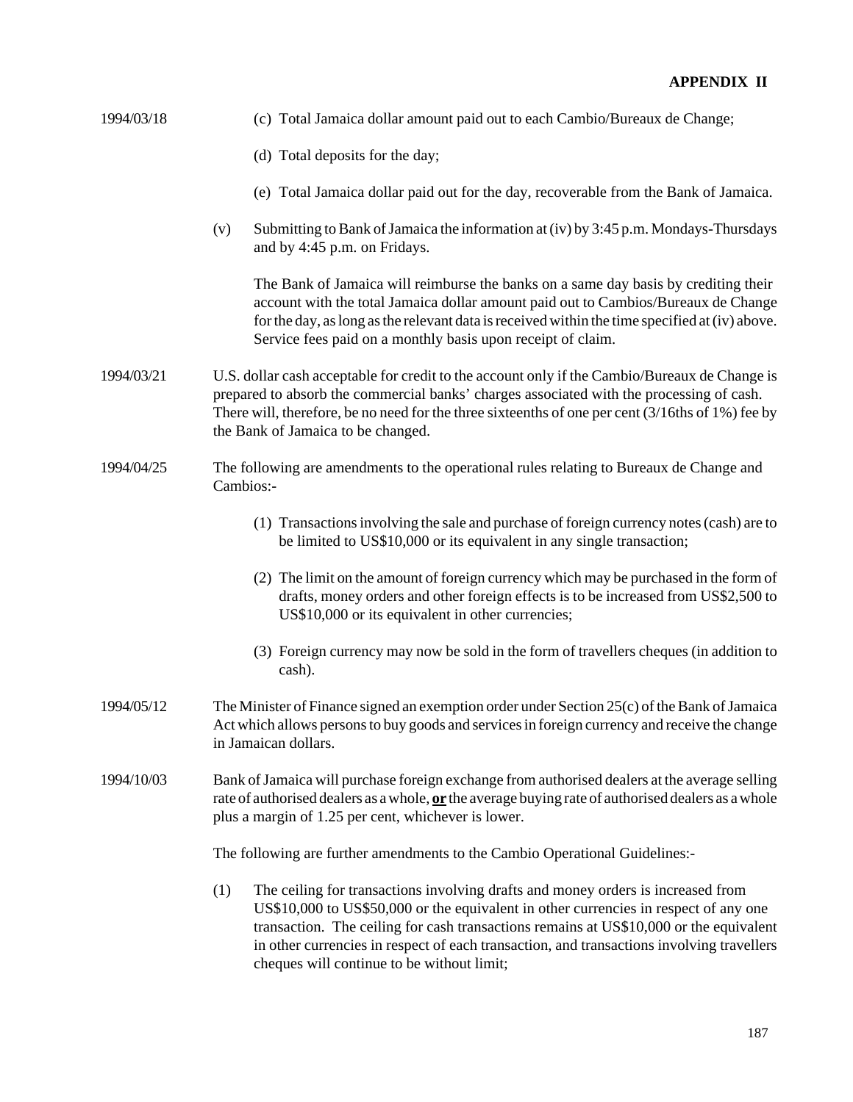- 1994/03/18 (c) Total Jamaica dollar amount paid out to each Cambio/Bureaux de Change;
	- (d) Total deposits for the day;
	- (e) Total Jamaica dollar paid out for the day, recoverable from the Bank of Jamaica.
	- (v) Submitting to Bank of Jamaica the information at (iv) by 3:45 p.m. Mondays-Thursdays and by 4:45 p.m. on Fridays.

The Bank of Jamaica will reimburse the banks on a same day basis by crediting their account with the total Jamaica dollar amount paid out to Cambios/Bureaux de Change for the day, as long as the relevant data is received within the time specified at (iv) above. Service fees paid on a monthly basis upon receipt of claim.

- 1994/03/21 U.S. dollar cash acceptable for credit to the account only if the Cambio/Bureaux de Change is prepared to absorb the commercial banks' charges associated with the processing of cash. There will, therefore, be no need for the three sixteenths of one per cent (3/16ths of 1%) fee by the Bank of Jamaica to be changed.
- 1994/04/25 The following are amendments to the operational rules relating to Bureaux de Change and Cambios:-
	- (1) Transactions involving the sale and purchase of foreign currency notes (cash) are to be limited to US\$10,000 or its equivalent in any single transaction;
	- (2) The limit on the amount of foreign currency which may be purchased in the form of drafts, money orders and other foreign effects is to be increased from US\$2,500 to US\$10,000 or its equivalent in other currencies;
	- (3) Foreign currency may now be sold in the form of travellers cheques (in addition to cash).
- 1994/05/12 The Minister of Finance signed an exemption order under Section 25(c) of the Bank of Jamaica Act which allows persons to buy goods and services in foreign currency and receive the change in Jamaican dollars.
- 1994/10/03 Bank of Jamaica will purchase foreign exchange from authorised dealers at the average selling rate of authorised dealers as a whole, **or** the average buying rate of authorised dealers as a whole plus a margin of 1.25 per cent, whichever is lower.

The following are further amendments to the Cambio Operational Guidelines:-

(1) The ceiling for transactions involving drafts and money orders is increased from US\$10,000 to US\$50,000 or the equivalent in other currencies in respect of any one transaction. The ceiling for cash transactions remains at US\$10,000 or the equivalent in other currencies in respect of each transaction, and transactions involving travellers cheques will continue to be without limit;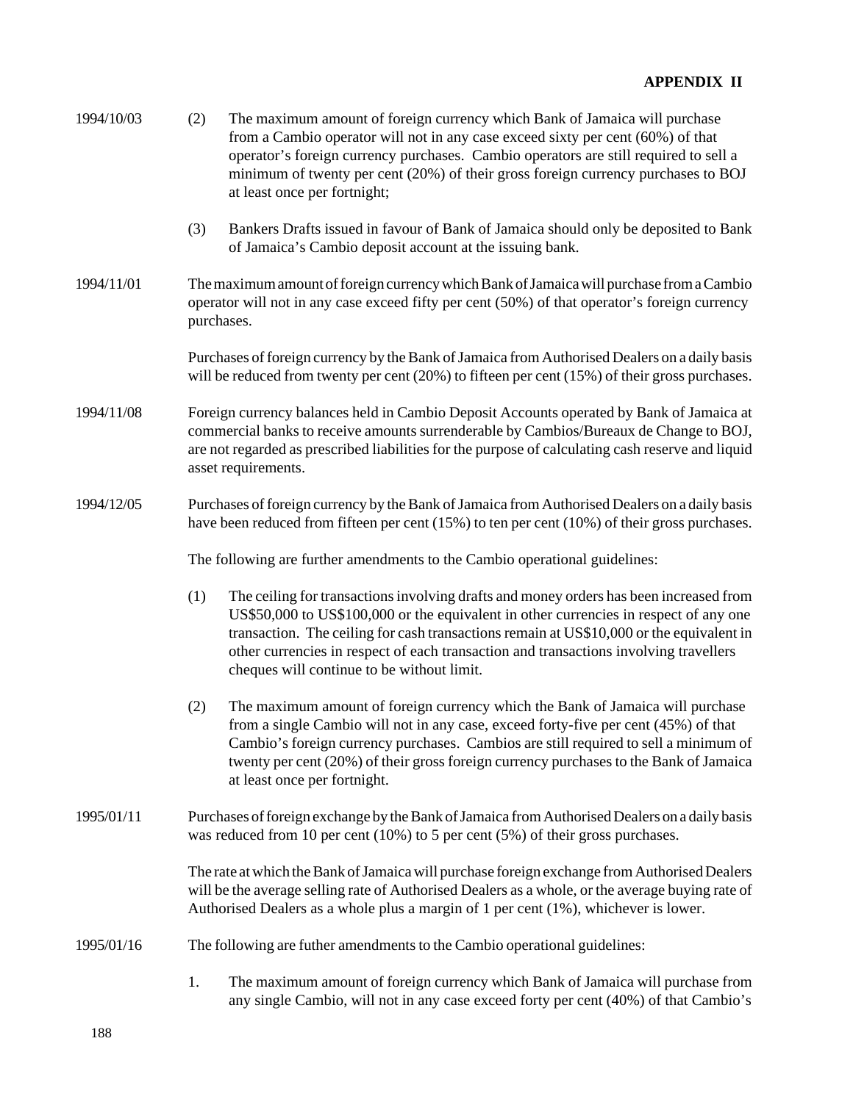| 1994/10/03 | (2)                                                                                                                                                                                                                                                                                                                                                                                                                       | The maximum amount of foreign currency which Bank of Jamaica will purchase<br>from a Cambio operator will not in any case exceed sixty per cent (60%) of that<br>operator's foreign currency purchases. Cambio operators are still required to sell a<br>minimum of twenty per cent (20%) of their gross foreign currency purchases to BOJ<br>at least once per fortnight;              |  |  |  |  |
|------------|---------------------------------------------------------------------------------------------------------------------------------------------------------------------------------------------------------------------------------------------------------------------------------------------------------------------------------------------------------------------------------------------------------------------------|-----------------------------------------------------------------------------------------------------------------------------------------------------------------------------------------------------------------------------------------------------------------------------------------------------------------------------------------------------------------------------------------|--|--|--|--|
|            | (3)                                                                                                                                                                                                                                                                                                                                                                                                                       | Bankers Drafts issued in favour of Bank of Jamaica should only be deposited to Bank<br>of Jamaica's Cambio deposit account at the issuing bank.                                                                                                                                                                                                                                         |  |  |  |  |
| 1994/11/01 | The maximum amount of foreign currency which Bank of Jamaica will purchase from a Cambio<br>operator will not in any case exceed fifty per cent (50%) of that operator's foreign currency<br>purchases.                                                                                                                                                                                                                   |                                                                                                                                                                                                                                                                                                                                                                                         |  |  |  |  |
|            | Purchases of foreign currency by the Bank of Jamaica from Authorised Dealers on a daily basis<br>will be reduced from twenty per cent (20%) to fifteen per cent (15%) of their gross purchases.                                                                                                                                                                                                                           |                                                                                                                                                                                                                                                                                                                                                                                         |  |  |  |  |
| 1994/11/08 | Foreign currency balances held in Cambio Deposit Accounts operated by Bank of Jamaica at<br>commercial banks to receive amounts surrenderable by Cambios/Bureaux de Change to BOJ,<br>are not regarded as prescribed liabilities for the purpose of calculating cash reserve and liquid<br>asset requirements.                                                                                                            |                                                                                                                                                                                                                                                                                                                                                                                         |  |  |  |  |
| 1994/12/05 | Purchases of foreign currency by the Bank of Jamaica from Authorised Dealers on a daily basis<br>have been reduced from fifteen per cent $(15%)$ to ten per cent $(10%)$ of their gross purchases.                                                                                                                                                                                                                        |                                                                                                                                                                                                                                                                                                                                                                                         |  |  |  |  |
|            | The following are further amendments to the Cambio operational guidelines:                                                                                                                                                                                                                                                                                                                                                |                                                                                                                                                                                                                                                                                                                                                                                         |  |  |  |  |
|            | (1)<br>The ceiling for transactions involving drafts and money orders has been increased from<br>US\$50,000 to US\$100,000 or the equivalent in other currencies in respect of any one<br>transaction. The ceiling for cash transactions remain at US\$10,000 or the equivalent in<br>other currencies in respect of each transaction and transactions involving travellers<br>cheques will continue to be without limit. |                                                                                                                                                                                                                                                                                                                                                                                         |  |  |  |  |
|            | (2)                                                                                                                                                                                                                                                                                                                                                                                                                       | The maximum amount of foreign currency which the Bank of Jamaica will purchase<br>from a single Cambio will not in any case, exceed forty-five per cent (45%) of that<br>Cambio's foreign currency purchases. Cambios are still required to sell a minimum of<br>twenty per cent (20%) of their gross foreign currency purchases to the Bank of Jamaica<br>at least once per fortnight. |  |  |  |  |
| 1995/01/11 | Purchases of foreign exchange by the Bank of Jamaica from Authorised Dealers on a daily basis<br>was reduced from 10 per cent $(10\%)$ to 5 per cent $(5\%)$ of their gross purchases.                                                                                                                                                                                                                                    |                                                                                                                                                                                                                                                                                                                                                                                         |  |  |  |  |
|            | The rate at which the Bank of Jamaica will purchase foreign exchange from Authorised Dealers<br>will be the average selling rate of Authorised Dealers as a whole, or the average buying rate of<br>Authorised Dealers as a whole plus a margin of 1 per cent (1%), whichever is lower.                                                                                                                                   |                                                                                                                                                                                                                                                                                                                                                                                         |  |  |  |  |
| 1995/01/16 | The following are futher amendments to the Cambio operational guidelines:                                                                                                                                                                                                                                                                                                                                                 |                                                                                                                                                                                                                                                                                                                                                                                         |  |  |  |  |
|            | 1.                                                                                                                                                                                                                                                                                                                                                                                                                        | The maximum amount of foreign currency which Bank of Jamaica will purchase from<br>any single Cambio, will not in any case exceed forty per cent (40%) of that Cambio's                                                                                                                                                                                                                 |  |  |  |  |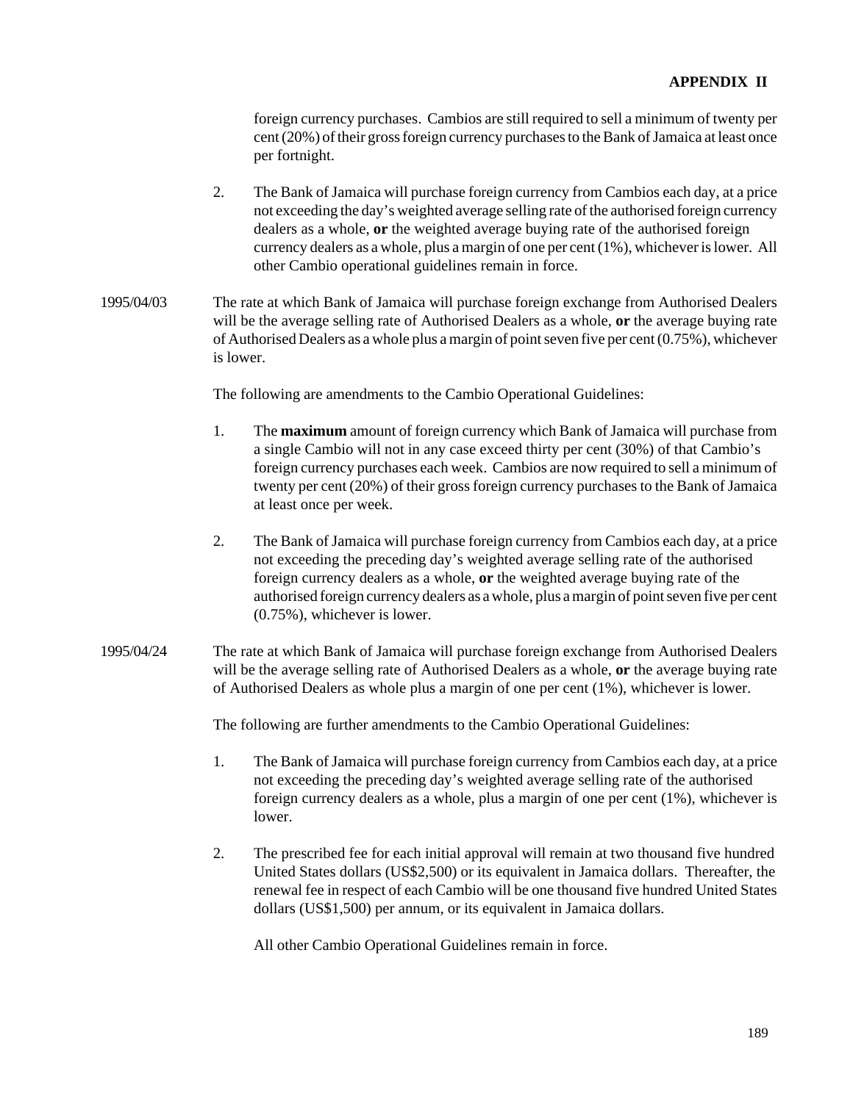foreign currency purchases. Cambios are still required to sell a minimum of twenty per cent (20%) of their gross foreign currency purchases to the Bank of Jamaica at least once per fortnight.

- 2. The Bank of Jamaica will purchase foreign currency from Cambios each day, at a price not exceeding the day's weighted average selling rate of the authorised foreign currency dealers as a whole, **or** the weighted average buying rate of the authorised foreign currency dealers as a whole, plus a margin of one per cent (1%), whichever is lower. All other Cambio operational guidelines remain in force.
- 1995/04/03 The rate at which Bank of Jamaica will purchase foreign exchange from Authorised Dealers will be the average selling rate of Authorised Dealers as a whole, **or** the average buying rate of Authorised Dealers as a whole plus a margin of point seven five per cent (0.75%), whichever is lower.

The following are amendments to the Cambio Operational Guidelines:

- 1. The **maximum** amount of foreign currency which Bank of Jamaica will purchase from a single Cambio will not in any case exceed thirty per cent (30%) of that Cambio's foreign currency purchases each week. Cambios are now required to sell a minimum of twenty per cent (20%) of their gross foreign currency purchases to the Bank of Jamaica at least once per week.
- 2. The Bank of Jamaica will purchase foreign currency from Cambios each day, at a price not exceeding the preceding day's weighted average selling rate of the authorised foreign currency dealers as a whole, **or** the weighted average buying rate of the authorised foreign currency dealers as a whole, plus a margin of point seven five per cent (0.75%), whichever is lower.
- 1995/04/24 The rate at which Bank of Jamaica will purchase foreign exchange from Authorised Dealers will be the average selling rate of Authorised Dealers as a whole, **or** the average buying rate of Authorised Dealers as whole plus a margin of one per cent (1%), whichever is lower.

The following are further amendments to the Cambio Operational Guidelines:

- 1. The Bank of Jamaica will purchase foreign currency from Cambios each day, at a price not exceeding the preceding day's weighted average selling rate of the authorised foreign currency dealers as a whole, plus a margin of one per cent (1%), whichever is lower.
- 2. The prescribed fee for each initial approval will remain at two thousand five hundred United States dollars (US\$2,500) or its equivalent in Jamaica dollars. Thereafter, the renewal fee in respect of each Cambio will be one thousand five hundred United States dollars (US\$1,500) per annum, or its equivalent in Jamaica dollars.

All other Cambio Operational Guidelines remain in force.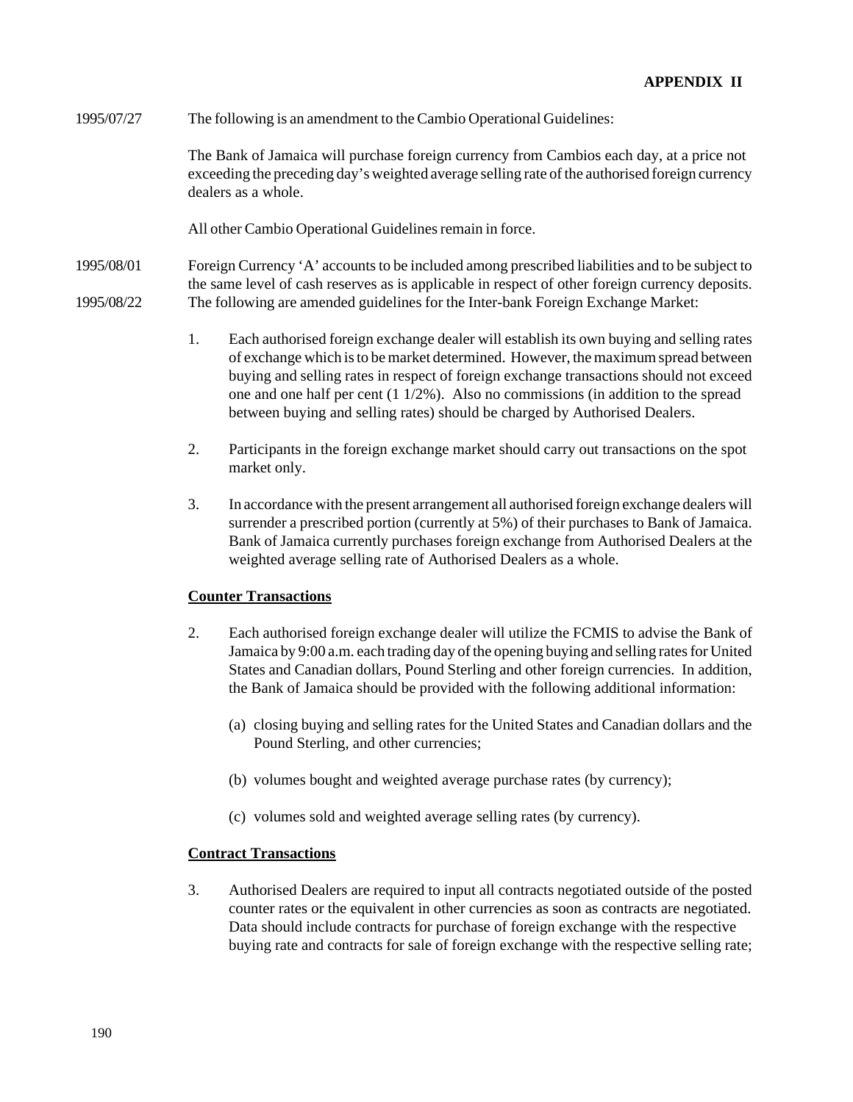## 1995/07/27 The following is an amendment to the Cambio Operational Guidelines:

The Bank of Jamaica will purchase foreign currency from Cambios each day, at a price not exceeding the preceding day's weighted average selling rate of the authorised foreign currency dealers as a whole.

All other Cambio Operational Guidelines remain in force.

1995/08/01 Foreign Currency 'A' accounts to be included among prescribed liabilities and to be subject to the same level of cash reserves as is applicable in respect of other foreign currency deposits. 1995/08/22 The following are amended guidelines for the Inter-bank Foreign Exchange Market:

- 1. Each authorised foreign exchange dealer will establish its own buying and selling rates of exchange which is to be market determined. However, the maximum spread between buying and selling rates in respect of foreign exchange transactions should not exceed one and one half per cent (1 1/2%). Also no commissions (in addition to the spread between buying and selling rates) should be charged by Authorised Dealers.
- 2. Participants in the foreign exchange market should carry out transactions on the spot market only.
- 3. In accordance with the present arrangement all authorised foreign exchange dealers will surrender a prescribed portion (currently at 5%) of their purchases to Bank of Jamaica. Bank of Jamaica currently purchases foreign exchange from Authorised Dealers at the weighted average selling rate of Authorised Dealers as a whole.

#### **Counter Transactions**

- 2. Each authorised foreign exchange dealer will utilize the FCMIS to advise the Bank of Jamaica by 9:00 a.m. each trading day of the opening buying and selling rates for United States and Canadian dollars, Pound Sterling and other foreign currencies. In addition, the Bank of Jamaica should be provided with the following additional information:
	- (a) closing buying and selling rates for the United States and Canadian dollars and the Pound Sterling, and other currencies;
	- (b) volumes bought and weighted average purchase rates (by currency);
	- (c) volumes sold and weighted average selling rates (by currency).

## **Contract Transactions**

3. Authorised Dealers are required to input all contracts negotiated outside of the posted counter rates or the equivalent in other currencies as soon as contracts are negotiated. Data should include contracts for purchase of foreign exchange with the respective buying rate and contracts for sale of foreign exchange with the respective selling rate;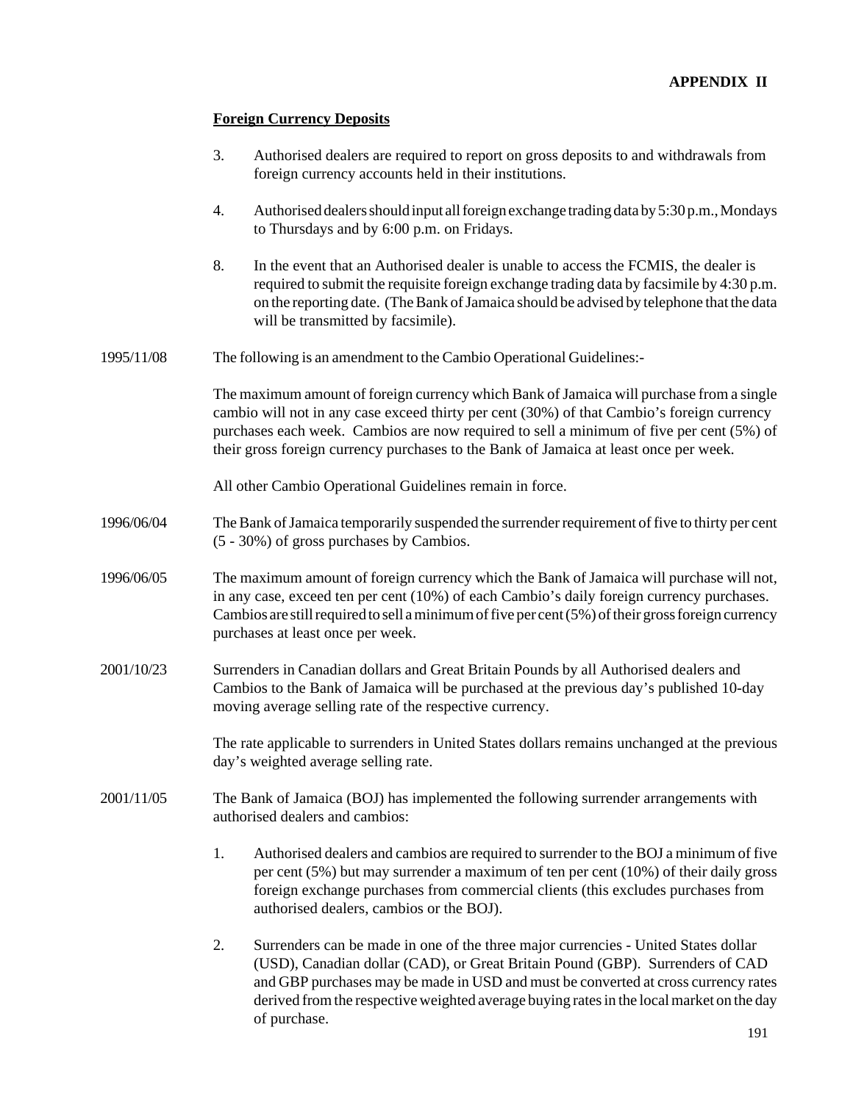## **Foreign Currency Deposits**

- 3. Authorised dealers are required to report on gross deposits to and withdrawals from foreign currency accounts held in their institutions.
- 4. Authorised dealers should input all foreign exchange trading data by 5:30 p.m., Mondays to Thursdays and by 6:00 p.m. on Fridays.
- 8. In the event that an Authorised dealer is unable to access the FCMIS, the dealer is required to submit the requisite foreign exchange trading data by facsimile by 4:30 p.m. on the reporting date. (The Bank of Jamaica should be advised by telephone that the data will be transmitted by facsimile).
- 1995/11/08 The following is an amendment to the Cambio Operational Guidelines:-

The maximum amount of foreign currency which Bank of Jamaica will purchase from a single cambio will not in any case exceed thirty per cent (30%) of that Cambio's foreign currency purchases each week. Cambios are now required to sell a minimum of five per cent (5%) of their gross foreign currency purchases to the Bank of Jamaica at least once per week.

All other Cambio Operational Guidelines remain in force.

- 1996/06/04 The Bank of Jamaica temporarily suspended the surrender requirement of five to thirty per cent (5 - 30%) of gross purchases by Cambios.
- 1996/06/05 The maximum amount of foreign currency which the Bank of Jamaica will purchase will not, in any case, exceed ten per cent (10%) of each Cambio's daily foreign currency purchases. Cambios are still required to sell a minimum of five per cent  $(5\%)$  of their gross foreign currency purchases at least once per week.
- 2001/10/23 Surrenders in Canadian dollars and Great Britain Pounds by all Authorised dealers and Cambios to the Bank of Jamaica will be purchased at the previous day's published 10-day moving average selling rate of the respective currency.

The rate applicable to surrenders in United States dollars remains unchanged at the previous day's weighted average selling rate.

- 2001/11/05 The Bank of Jamaica (BOJ) has implemented the following surrender arrangements with authorised dealers and cambios:
	- 1. Authorised dealers and cambios are required to surrender to the BOJ a minimum of five per cent (5%) but may surrender a maximum of ten per cent (10%) of their daily gross foreign exchange purchases from commercial clients (this excludes purchases from authorised dealers, cambios or the BOJ).
	- 2. Surrenders can be made in one of the three major currencies United States dollar (USD), Canadian dollar (CAD), or Great Britain Pound (GBP). Surrenders of CAD and GBP purchases may be made in USD and must be converted at cross currency rates derived from the respective weighted average buying rates in the local market on the day of purchase.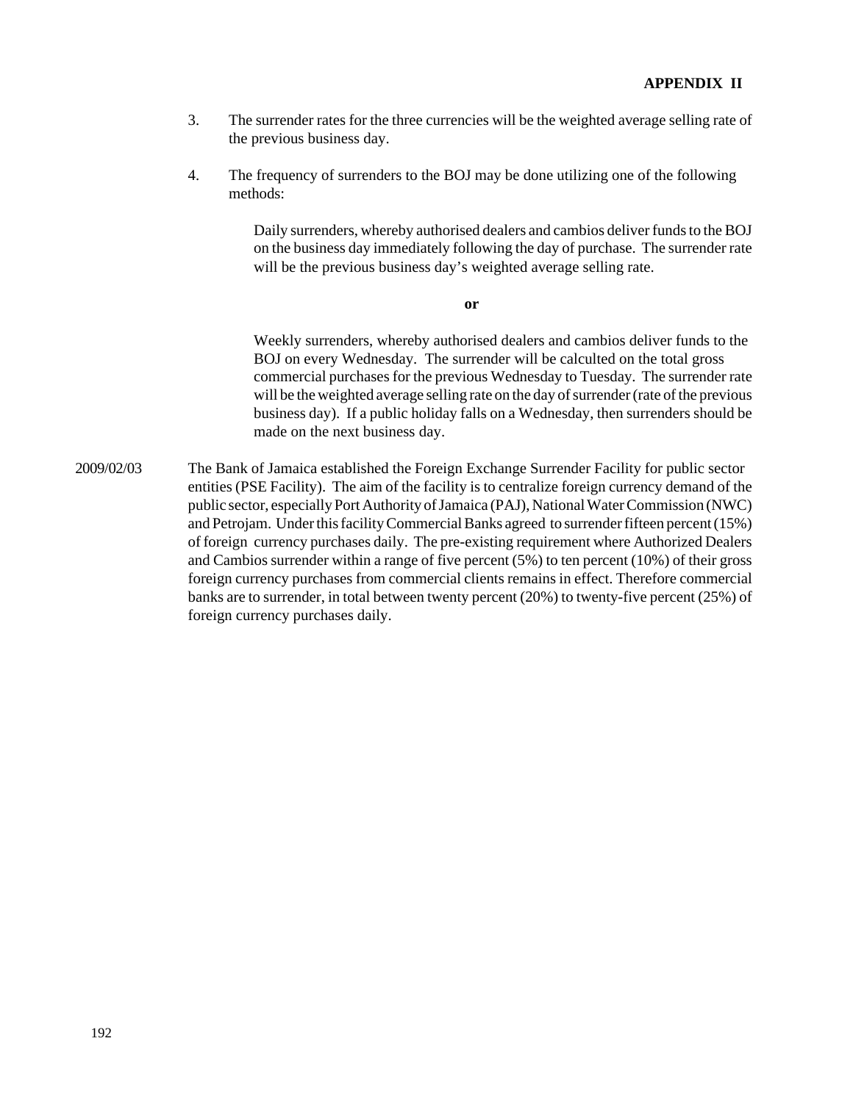- 3. The surrender rates for the three currencies will be the weighted average selling rate of the previous business day.
- 4. The frequency of surrenders to the BOJ may be done utilizing one of the following methods:

Daily surrenders, whereby authorised dealers and cambios deliver funds to the BOJ on the business day immediately following the day of purchase. The surrender rate will be the previous business day's weighted average selling rate.

**or**

Weekly surrenders, whereby authorised dealers and cambios deliver funds to the BOJ on every Wednesday. The surrender will be calculted on the total gross commercial purchases for the previous Wednesday to Tuesday. The surrender rate will be the weighted average selling rate on the day of surrender (rate of the previous business day). If a public holiday falls on a Wednesday, then surrenders should be made on the next business day.

2009/02/03 The Bank of Jamaica established the Foreign Exchange Surrender Facility for public sector entities (PSE Facility). The aim of the facility is to centralize foreign currency demand of the public sector, especially Port Authority of Jamaica (PAJ), National Water Commission (NWC) and Petrojam. Under this facility Commercial Banks agreed to surrender fifteen percent (15%) of foreign currency purchases daily. The pre-existing requirement where Authorized Dealers and Cambios surrender within a range of five percent (5%) to ten percent (10%) of their gross foreign currency purchases from commercial clients remains in effect. Therefore commercial banks are to surrender, in total between twenty percent (20%) to twenty-five percent (25%) of foreign currency purchases daily.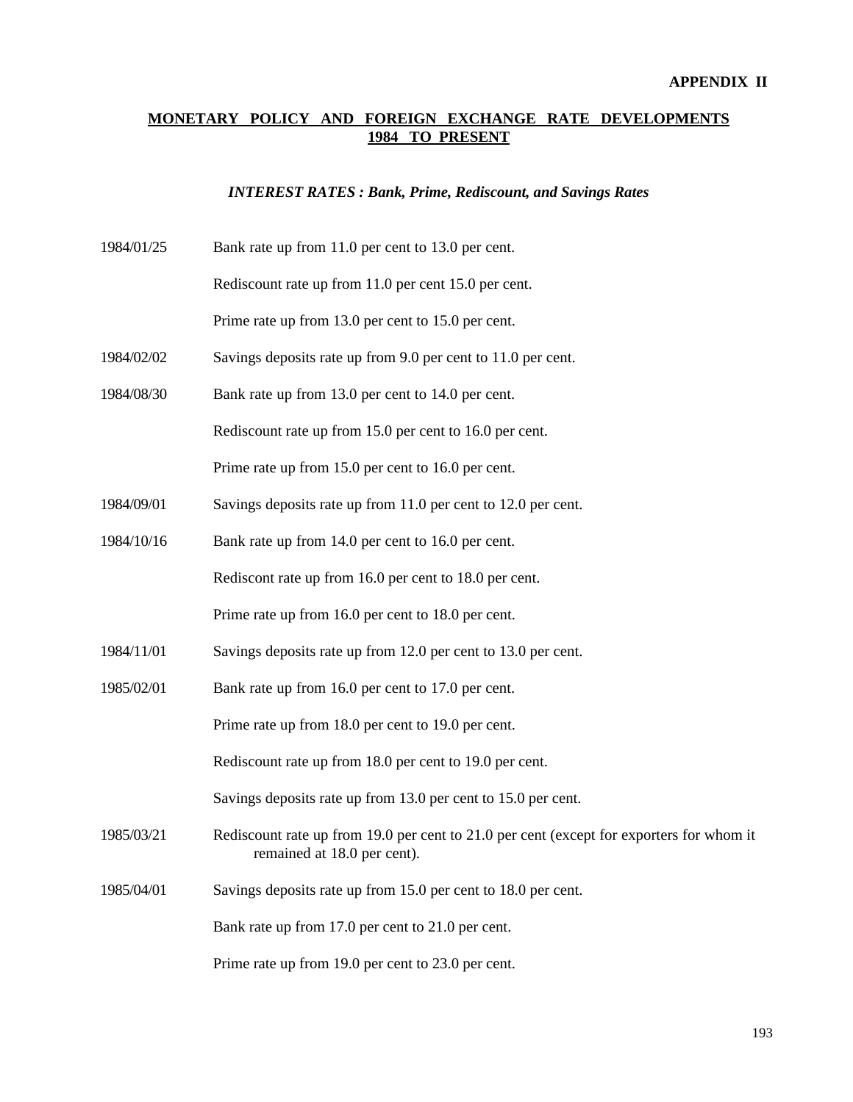# **MONETARY POLICY AND FOREIGN EXCHANGE RATE DEVELOPMENTS 1984 TO PRESENT**

#### *INTEREST RATES : Bank, Prime, Rediscount, and Savings Rates*

1984/01/25 Bank rate up from 11.0 per cent to 13.0 per cent.

Rediscount rate up from 11.0 per cent 15.0 per cent.

Prime rate up from 13.0 per cent to 15.0 per cent.

- 1984/02/02 Savings deposits rate up from 9.0 per cent to 11.0 per cent.
- 1984/08/30 Bank rate up from 13.0 per cent to 14.0 per cent.

Rediscount rate up from 15.0 per cent to 16.0 per cent.

Prime rate up from 15.0 per cent to 16.0 per cent.

- 1984/09/01 Savings deposits rate up from 11.0 per cent to 12.0 per cent.
- 1984/10/16 Bank rate up from 14.0 per cent to 16.0 per cent.

Rediscont rate up from 16.0 per cent to 18.0 per cent.

Prime rate up from 16.0 per cent to 18.0 per cent.

- 1984/11/01 Savings deposits rate up from 12.0 per cent to 13.0 per cent.
- 1985/02/01 Bank rate up from 16.0 per cent to 17.0 per cent.

Prime rate up from 18.0 per cent to 19.0 per cent.

Rediscount rate up from 18.0 per cent to 19.0 per cent.

Savings deposits rate up from 13.0 per cent to 15.0 per cent.

- 1985/03/21 Rediscount rate up from 19.0 per cent to 21.0 per cent (except for exporters for whom it remained at 18.0 per cent).
- 1985/04/01 Savings deposits rate up from 15.0 per cent to 18.0 per cent.

Bank rate up from 17.0 per cent to 21.0 per cent.

Prime rate up from 19.0 per cent to 23.0 per cent.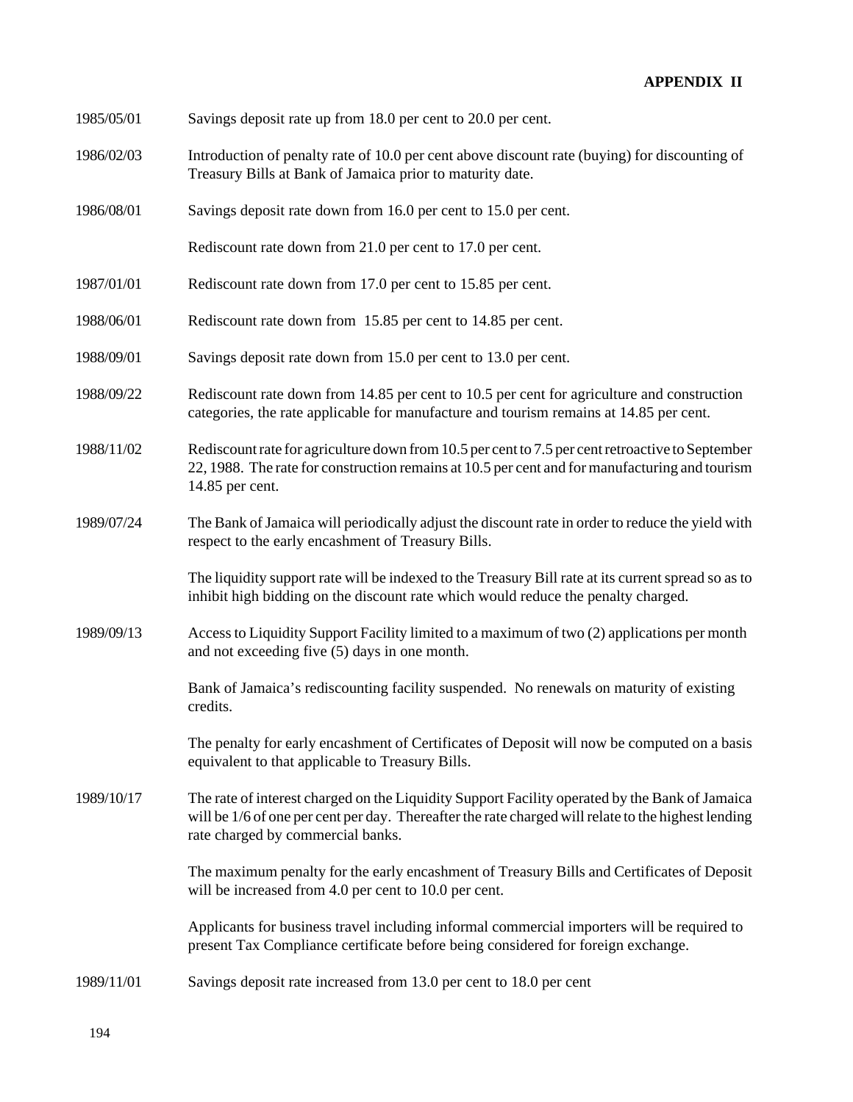| 1985/05/01<br>Savings deposit rate up from 18.0 per cent to 20.0 per cent. |
|----------------------------------------------------------------------------|
|----------------------------------------------------------------------------|

- 1986/02/03 Introduction of penalty rate of 10.0 per cent above discount rate (buying) for discounting of Treasury Bills at Bank of Jamaica prior to maturity date.
- 1986/08/01 Savings deposit rate down from 16.0 per cent to 15.0 per cent.

Rediscount rate down from 21.0 per cent to 17.0 per cent.

- 1987/01/01 Rediscount rate down from 17.0 per cent to 15.85 per cent.
- 1988/06/01 Rediscount rate down from 15.85 per cent to 14.85 per cent.
- 1988/09/01 Savings deposit rate down from 15.0 per cent to 13.0 per cent.
- 1988/09/22 Rediscount rate down from 14.85 per cent to 10.5 per cent for agriculture and construction categories, the rate applicable for manufacture and tourism remains at 14.85 per cent.
- 1988/11/02 Rediscount rate for agriculture down from 10.5 per cent to 7.5 per cent retroactive to September 22, 1988. The rate for construction remains at 10.5 per cent and for manufacturing and tourism 14.85 per cent.
- 1989/07/24 The Bank of Jamaica will periodically adjust the discount rate in order to reduce the yield with respect to the early encashment of Treasury Bills.

The liquidity support rate will be indexed to the Treasury Bill rate at its current spread so as to inhibit high bidding on the discount rate which would reduce the penalty charged.

1989/09/13 Access to Liquidity Support Facility limited to a maximum of two (2) applications per month and not exceeding five (5) days in one month.

> Bank of Jamaica's rediscounting facility suspended. No renewals on maturity of existing credits.

The penalty for early encashment of Certificates of Deposit will now be computed on a basis equivalent to that applicable to Treasury Bills.

1989/10/17 The rate of interest charged on the Liquidity Support Facility operated by the Bank of Jamaica will be  $1/6$  of one per cent per day. Thereafter the rate charged will relate to the highest lending rate charged by commercial banks.

> The maximum penalty for the early encashment of Treasury Bills and Certificates of Deposit will be increased from 4.0 per cent to 10.0 per cent.

Applicants for business travel including informal commercial importers will be required to present Tax Compliance certificate before being considered for foreign exchange.

1989/11/01 Savings deposit rate increased from 13.0 per cent to 18.0 per cent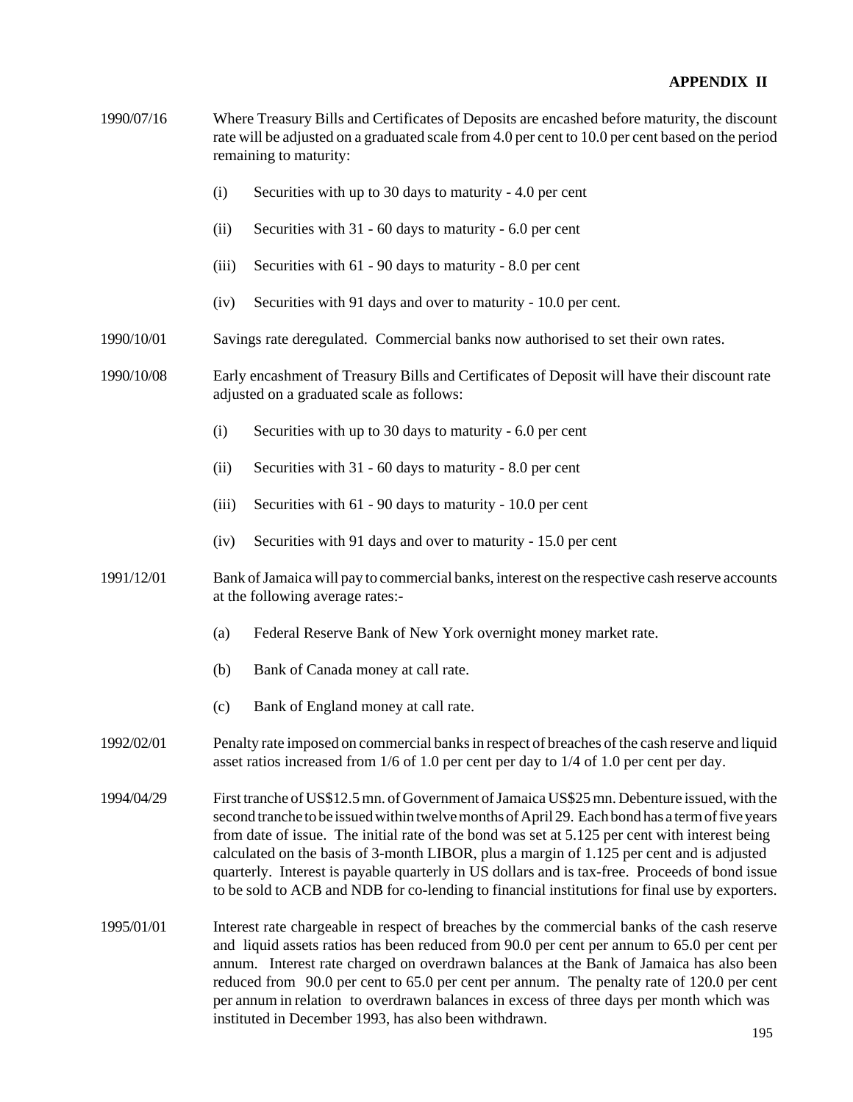| 1990/07/16 | Where Treasury Bills and Certificates of Deposits are encashed before maturity, the discount<br>rate will be adjusted on a graduated scale from 4.0 per cent to 10.0 per cent based on the period<br>remaining to maturity:                                                                                                                                                                                                                                                                                                                                                                         |                                                                                                                                           |  |  |  |
|------------|-----------------------------------------------------------------------------------------------------------------------------------------------------------------------------------------------------------------------------------------------------------------------------------------------------------------------------------------------------------------------------------------------------------------------------------------------------------------------------------------------------------------------------------------------------------------------------------------------------|-------------------------------------------------------------------------------------------------------------------------------------------|--|--|--|
|            | (i)                                                                                                                                                                                                                                                                                                                                                                                                                                                                                                                                                                                                 | Securities with up to 30 days to maturity - 4.0 per cent                                                                                  |  |  |  |
|            | (ii)                                                                                                                                                                                                                                                                                                                                                                                                                                                                                                                                                                                                | Securities with 31 - 60 days to maturity - 6.0 per cent                                                                                   |  |  |  |
|            | (iii)                                                                                                                                                                                                                                                                                                                                                                                                                                                                                                                                                                                               | Securities with 61 - 90 days to maturity - 8.0 per cent                                                                                   |  |  |  |
|            | (iv)                                                                                                                                                                                                                                                                                                                                                                                                                                                                                                                                                                                                | Securities with 91 days and over to maturity - 10.0 per cent.                                                                             |  |  |  |
| 1990/10/01 |                                                                                                                                                                                                                                                                                                                                                                                                                                                                                                                                                                                                     | Savings rate deregulated. Commercial banks now authorised to set their own rates.                                                         |  |  |  |
| 1990/10/08 |                                                                                                                                                                                                                                                                                                                                                                                                                                                                                                                                                                                                     | Early encashment of Treasury Bills and Certificates of Deposit will have their discount rate<br>adjusted on a graduated scale as follows: |  |  |  |
|            | (i)                                                                                                                                                                                                                                                                                                                                                                                                                                                                                                                                                                                                 | Securities with up to 30 days to maturity - 6.0 per cent                                                                                  |  |  |  |
|            | (ii)                                                                                                                                                                                                                                                                                                                                                                                                                                                                                                                                                                                                | Securities with 31 - 60 days to maturity - 8.0 per cent                                                                                   |  |  |  |
|            | (iii)                                                                                                                                                                                                                                                                                                                                                                                                                                                                                                                                                                                               | Securities with 61 - 90 days to maturity - 10.0 per cent                                                                                  |  |  |  |
|            | (iv)                                                                                                                                                                                                                                                                                                                                                                                                                                                                                                                                                                                                | Securities with 91 days and over to maturity - 15.0 per cent                                                                              |  |  |  |
| 1991/12/01 |                                                                                                                                                                                                                                                                                                                                                                                                                                                                                                                                                                                                     | Bank of Jamaica will pay to commercial banks, interest on the respective cash reserve accounts<br>at the following average rates:-        |  |  |  |
|            | (a)                                                                                                                                                                                                                                                                                                                                                                                                                                                                                                                                                                                                 | Federal Reserve Bank of New York overnight money market rate.                                                                             |  |  |  |
|            | (b)                                                                                                                                                                                                                                                                                                                                                                                                                                                                                                                                                                                                 | Bank of Canada money at call rate.                                                                                                        |  |  |  |
|            | (c)                                                                                                                                                                                                                                                                                                                                                                                                                                                                                                                                                                                                 | Bank of England money at call rate.                                                                                                       |  |  |  |
| 1992/02/01 | Penalty rate imposed on commercial banks in respect of breaches of the cash reserve and liquid<br>asset ratios increased from 1/6 of 1.0 per cent per day to 1/4 of 1.0 per cent per day.                                                                                                                                                                                                                                                                                                                                                                                                           |                                                                                                                                           |  |  |  |
| 1994/04/29 | First tranche of US\$12.5 mn. of Government of Jamaica US\$25 mn. Debenture issued, with the<br>second tranche to be issued within twelve months of April 29. Each bond has a term of five years<br>from date of issue. The initial rate of the bond was set at 5.125 per cent with interest being<br>calculated on the basis of 3-month LIBOR, plus a margin of 1.125 per cent and is adjusted<br>quarterly. Interest is payable quarterly in US dollars and is tax-free. Proceeds of bond issue<br>to be sold to ACB and NDB for co-lending to financial institutions for final use by exporters. |                                                                                                                                           |  |  |  |
| 1995/01/01 | Interest rate chargeable in respect of breaches by the commercial banks of the cash reserve<br>and liquid assets ratios has been reduced from 90.0 per cent per annum to 65.0 per cent per<br>annum. Interest rate charged on overdrawn balances at the Bank of Jamaica has also been<br>reduced from 90.0 per cent to 65.0 per cent per annum. The penalty rate of 120.0 per cent<br>per annum in relation to overdrawn balances in excess of three days per month which was                                                                                                                       |                                                                                                                                           |  |  |  |

instituted in December 1993, has also been withdrawn.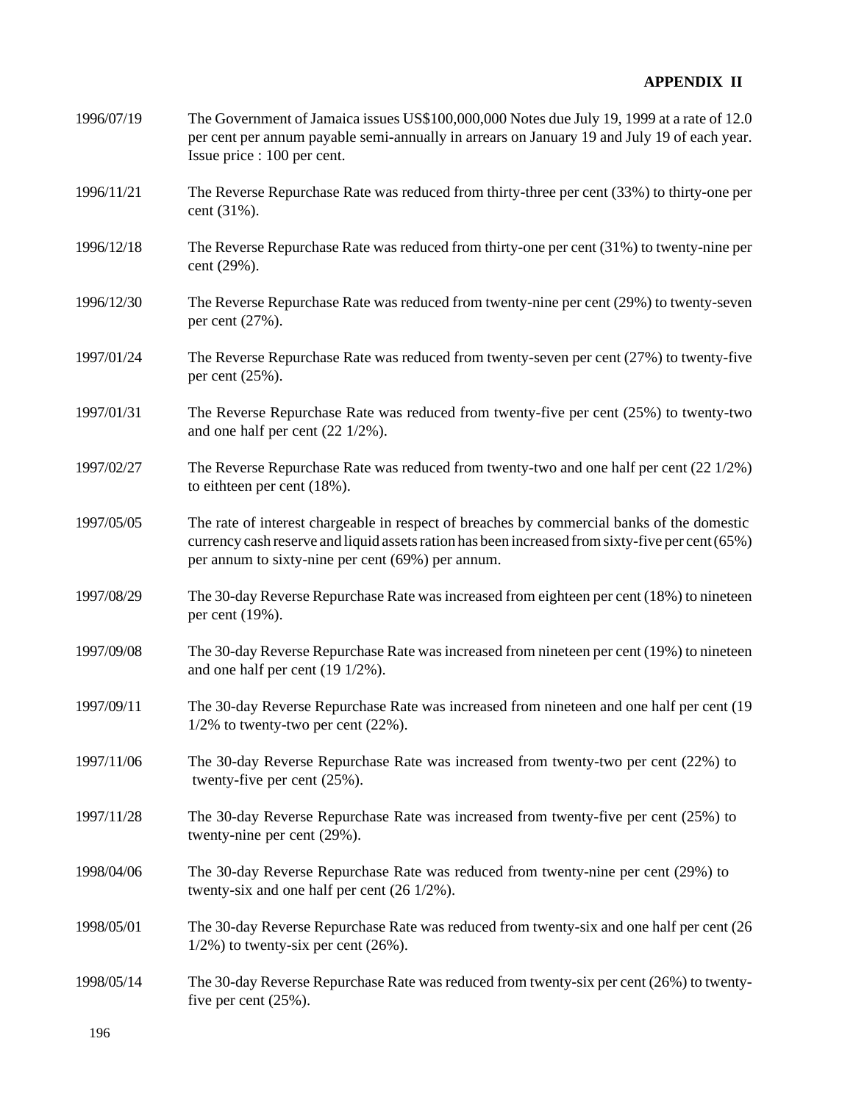| 1996/07/19 | The Government of Jamaica issues US\$100,000,000 Notes due July 19, 1999 at a rate of 12.0<br>per cent per annum payable semi-annually in arrears on January 19 and July 19 of each year.<br>Issue price : 100 per cent.                            |
|------------|-----------------------------------------------------------------------------------------------------------------------------------------------------------------------------------------------------------------------------------------------------|
| 1996/11/21 | The Reverse Repurchase Rate was reduced from thirty-three per cent (33%) to thirty-one per<br>cent (31%).                                                                                                                                           |
| 1996/12/18 | The Reverse Repurchase Rate was reduced from thirty-one per cent (31%) to twenty-nine per<br>cent (29%).                                                                                                                                            |
| 1996/12/30 | The Reverse Repurchase Rate was reduced from twenty-nine per cent (29%) to twenty-seven<br>per cent (27%).                                                                                                                                          |
| 1997/01/24 | The Reverse Repurchase Rate was reduced from twenty-seven per cent (27%) to twenty-five<br>per cent $(25\%)$ .                                                                                                                                      |
| 1997/01/31 | The Reverse Repurchase Rate was reduced from twenty-five per cent (25%) to twenty-two<br>and one half per cent $(22 \frac{1}{2})$ .                                                                                                                 |
| 1997/02/27 | The Reverse Repurchase Rate was reduced from twenty-two and one half per cent $(22\frac{1}{2\%})$<br>to eithteen per cent (18%).                                                                                                                    |
| 1997/05/05 | The rate of interest chargeable in respect of breaches by commercial banks of the domestic<br>currency cash reserve and liquid assets ration has been increased from sixty-five per cent (65%)<br>per annum to sixty-nine per cent (69%) per annum. |
| 1997/08/29 | The 30-day Reverse Repurchase Rate was increased from eighteen per cent (18%) to nineteen<br>per cent (19%).                                                                                                                                        |
| 1997/09/08 | The 30-day Reverse Repurchase Rate was increased from nineteen per cent (19%) to nineteen<br>and one half per cent $(19\ 1/2\%)$ .                                                                                                                  |
| 1997/09/11 | The 30-day Reverse Repurchase Rate was increased from nineteen and one half per cent (19)<br>$1/2\%$ to twenty-two per cent (22%).                                                                                                                  |
| 1997/11/06 | The 30-day Reverse Repurchase Rate was increased from twenty-two per cent (22%) to<br>twenty-five per cent $(25\%)$ .                                                                                                                               |
| 1997/11/28 | The 30-day Reverse Repurchase Rate was increased from twenty-five per cent (25%) to<br>twenty-nine per cent (29%).                                                                                                                                  |
| 1998/04/06 | The 30-day Reverse Repurchase Rate was reduced from twenty-nine per cent (29%) to<br>twenty-six and one half per cent $(26 \frac{1}{2})$ .                                                                                                          |
| 1998/05/01 | The 30-day Reverse Repurchase Rate was reduced from twenty-six and one half per cent (26<br>$1/2\%$ ) to twenty-six per cent (26%).                                                                                                                 |
| 1998/05/14 | The 30-day Reverse Repurchase Rate was reduced from twenty-six per cent (26%) to twenty-<br>five per cent $(25\%)$ .                                                                                                                                |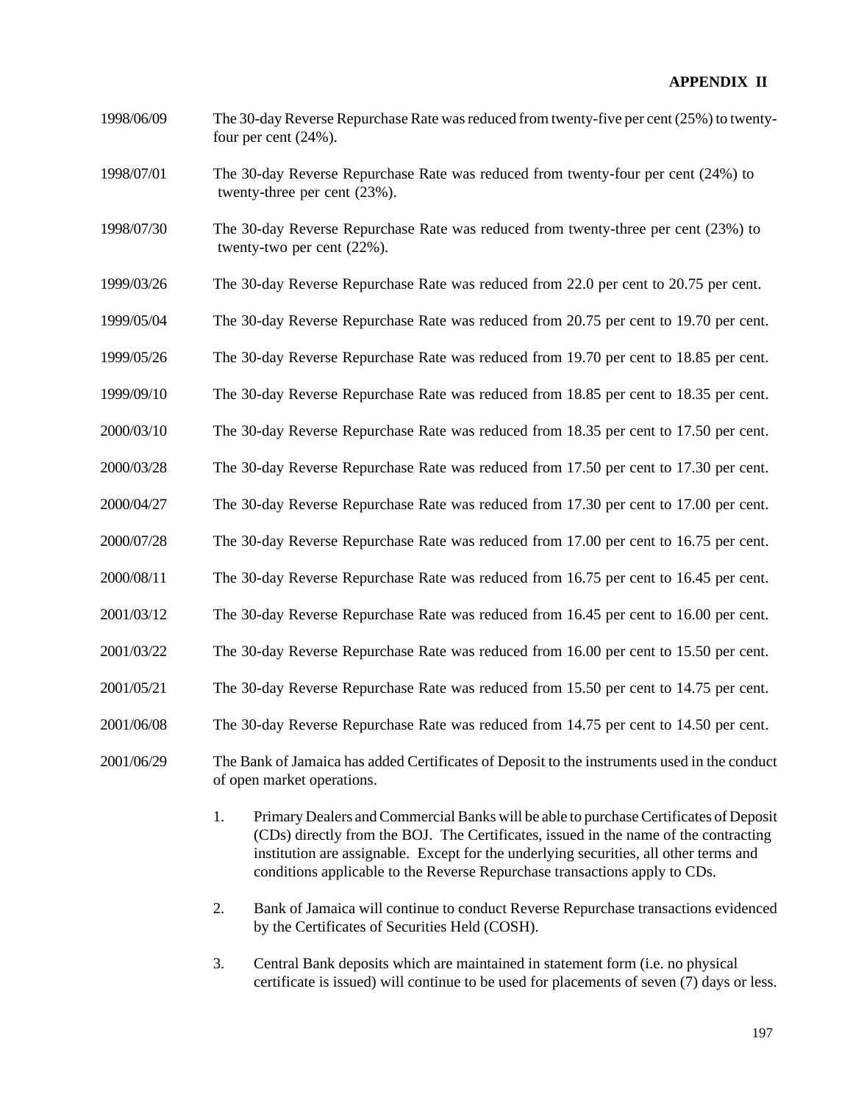- 1998/06/09 The 30-day Reverse Repurchase Rate was reduced from twenty-five per cent (25%) to twentyfour per cent (24%).
- 1998/07/01 The 30-day Reverse Repurchase Rate was reduced from twenty-four per cent (24%) to twenty-three per cent (23%).
- 1998/07/30 The 30-day Reverse Repurchase Rate was reduced from twenty-three per cent (23%) to twenty-two per cent (22%).
- 1999/03/26 The 30-day Reverse Repurchase Rate was reduced from 22.0 per cent to 20.75 per cent.
- 1999/05/04 The 30-day Reverse Repurchase Rate was reduced from 20.75 per cent to 19.70 per cent.
- 1999/05/26 The 30-day Reverse Repurchase Rate was reduced from 19.70 per cent to 18.85 per cent.
- 1999/09/10 The 30-day Reverse Repurchase Rate was reduced from 18.85 per cent to 18.35 per cent.
- 2000/03/10 The 30-day Reverse Repurchase Rate was reduced from 18.35 per cent to 17.50 per cent.
- 2000/03/28 The 30-day Reverse Repurchase Rate was reduced from 17.50 per cent to 17.30 per cent.
- 2000/04/27 The 30-day Reverse Repurchase Rate was reduced from 17.30 per cent to 17.00 per cent.
- 2000/07/28 The 30-day Reverse Repurchase Rate was reduced from 17.00 per cent to 16.75 per cent.
- 2000/08/11 The 30-day Reverse Repurchase Rate was reduced from 16.75 per cent to 16.45 per cent.
- 2001/03/12 The 30-day Reverse Repurchase Rate was reduced from 16.45 per cent to 16.00 per cent.
- 2001/03/22 The 30-day Reverse Repurchase Rate was reduced from 16.00 per cent to 15.50 per cent.
- 2001/05/21 The 30-day Reverse Repurchase Rate was reduced from 15.50 per cent to 14.75 per cent.
- 2001/06/08 The 30-day Reverse Repurchase Rate was reduced from 14.75 per cent to 14.50 per cent.
- 2001/06/29 The Bank of Jamaica has added Certificates of Deposit to the instruments used in the conduct of open market operations.
	- 1. Primary Dealers and Commercial Banks will be able to purchase Certificates of Deposit (CDs) directly from the BOJ. The Certificates, issued in the name of the contracting institution are assignable. Except for the underlying securities, all other terms and conditions applicable to the Reverse Repurchase transactions apply to CDs.
	- 2. Bank of Jamaica will continue to conduct Reverse Repurchase transactions evidenced by the Certificates of Securities Held (COSH).
	- 3. Central Bank deposits which are maintained in statement form (i.e. no physical certificate is issued) will continue to be used for placements of seven (7) days or less.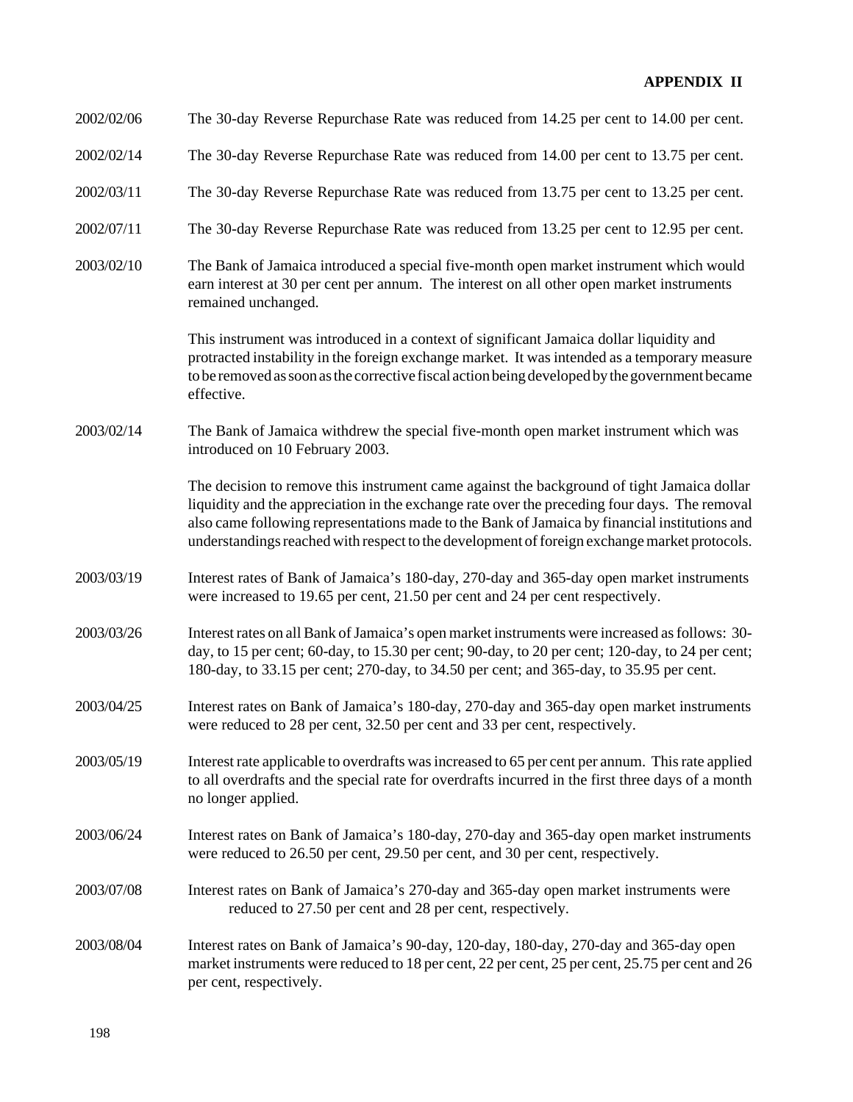| 2002/02/06 | The 30-day Reverse Repurchase Rate was reduced from 14.25 per cent to 14.00 per cent.                                                                                                                                                                                                                                                                                                        |
|------------|----------------------------------------------------------------------------------------------------------------------------------------------------------------------------------------------------------------------------------------------------------------------------------------------------------------------------------------------------------------------------------------------|
| 2002/02/14 | The 30-day Reverse Repurchase Rate was reduced from 14.00 per cent to 13.75 per cent.                                                                                                                                                                                                                                                                                                        |
| 2002/03/11 | The 30-day Reverse Repurchase Rate was reduced from 13.75 per cent to 13.25 per cent.                                                                                                                                                                                                                                                                                                        |
| 2002/07/11 | The 30-day Reverse Repurchase Rate was reduced from 13.25 per cent to 12.95 per cent.                                                                                                                                                                                                                                                                                                        |
| 2003/02/10 | The Bank of Jamaica introduced a special five-month open market instrument which would<br>earn interest at 30 per cent per annum. The interest on all other open market instruments<br>remained unchanged.                                                                                                                                                                                   |
|            | This instrument was introduced in a context of significant Jamaica dollar liquidity and<br>protracted instability in the foreign exchange market. It was intended as a temporary measure<br>to be removed as soon as the corrective fiscal action being developed by the government became<br>effective.                                                                                     |
| 2003/02/14 | The Bank of Jamaica withdrew the special five-month open market instrument which was<br>introduced on 10 February 2003.                                                                                                                                                                                                                                                                      |
|            | The decision to remove this instrument came against the background of tight Jamaica dollar<br>liquidity and the appreciation in the exchange rate over the preceding four days. The removal<br>also came following representations made to the Bank of Jamaica by financial institutions and<br>understandings reached with respect to the development of foreign exchange market protocols. |
| 2003/03/19 | Interest rates of Bank of Jamaica's 180-day, 270-day and 365-day open market instruments<br>were increased to 19.65 per cent, 21.50 per cent and 24 per cent respectively.                                                                                                                                                                                                                   |
| 2003/03/26 | Interest rates on all Bank of Jamaica's open market instruments were increased as follows: 30-<br>day, to 15 per cent; 60-day, to 15.30 per cent; 90-day, to 20 per cent; 120-day, to 24 per cent;<br>180-day, to 33.15 per cent; 270-day, to 34.50 per cent; and 365-day, to 35.95 per cent.                                                                                                |
| 2003/04/25 | Interest rates on Bank of Jamaica's 180-day, 270-day and 365-day open market instruments<br>were reduced to 28 per cent, 32.50 per cent and 33 per cent, respectively.                                                                                                                                                                                                                       |
| 2003/05/19 | Interest rate applicable to overdrafts was increased to 65 per cent per annum. This rate applied<br>to all overdrafts and the special rate for overdrafts incurred in the first three days of a month<br>no longer applied.                                                                                                                                                                  |
| 2003/06/24 | Interest rates on Bank of Jamaica's 180-day, 270-day and 365-day open market instruments<br>were reduced to 26.50 per cent, 29.50 per cent, and 30 per cent, respectively.                                                                                                                                                                                                                   |
| 2003/07/08 | Interest rates on Bank of Jamaica's 270-day and 365-day open market instruments were<br>reduced to 27.50 per cent and 28 per cent, respectively.                                                                                                                                                                                                                                             |
| 2003/08/04 | Interest rates on Bank of Jamaica's 90-day, 120-day, 180-day, 270-day and 365-day open<br>market instruments were reduced to 18 per cent, 22 per cent, 25 per cent, 25.75 per cent and 26<br>per cent, respectively.                                                                                                                                                                         |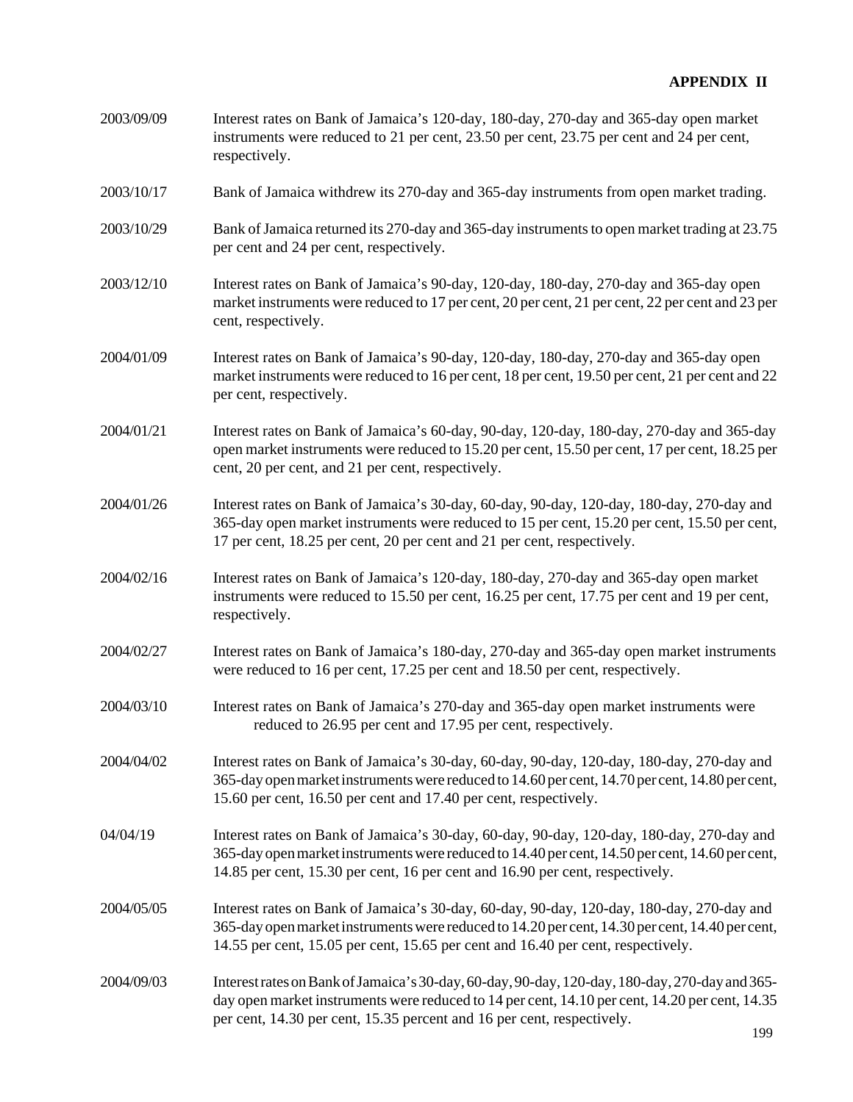| 2003/09/09 | Interest rates on Bank of Jamaica's 120-day, 180-day, 270-day and 365-day open market    |
|------------|------------------------------------------------------------------------------------------|
|            | instruments were reduced to 21 per cent, 23.50 per cent, 23.75 per cent and 24 per cent, |
|            | respectively.                                                                            |

- 2003/10/17 Bank of Jamaica withdrew its 270-day and 365-day instruments from open market trading.
- 2003/10/29 Bank of Jamaica returned its 270-day and 365-day instruments to open market trading at 23.75 per cent and 24 per cent, respectively.
- 2003/12/10 Interest rates on Bank of Jamaica's 90-day, 120-day, 180-day, 270-day and 365-day open market instruments were reduced to 17 per cent, 20 per cent, 21 per cent, 22 per cent and 23 per cent, respectively.
- 2004/01/09 Interest rates on Bank of Jamaica's 90-day, 120-day, 180-day, 270-day and 365-day open market instruments were reduced to 16 per cent, 18 per cent, 19.50 per cent, 21 per cent and 22 per cent, respectively.
- 2004/01/21 Interest rates on Bank of Jamaica's 60-day, 90-day, 120-day, 180-day, 270-day and 365-day open market instruments were reduced to 15.20 per cent, 15.50 per cent, 17 per cent, 18.25 per cent, 20 per cent, and 21 per cent, respectively.
- 2004/01/26 Interest rates on Bank of Jamaica's 30-day, 60-day, 90-day, 120-day, 180-day, 270-day and 365-day open market instruments were reduced to 15 per cent, 15.20 per cent, 15.50 per cent, 17 per cent, 18.25 per cent, 20 per cent and 21 per cent, respectively.
- 2004/02/16 Interest rates on Bank of Jamaica's 120-day, 180-day, 270-day and 365-day open market instruments were reduced to 15.50 per cent, 16.25 per cent, 17.75 per cent and 19 per cent, respectively.
- 2004/02/27 Interest rates on Bank of Jamaica's 180-day, 270-day and 365-day open market instruments were reduced to 16 per cent, 17.25 per cent and 18.50 per cent, respectively.
- 2004/03/10 Interest rates on Bank of Jamaica's 270-day and 365-day open market instruments were reduced to 26.95 per cent and 17.95 per cent, respectively.
- 2004/04/02 Interest rates on Bank of Jamaica's 30-day, 60-day, 90-day, 120-day, 180-day, 270-day and 365-day open market instruments were reduced to 14.60 per cent, 14.70 per cent, 14.80 per cent, 15.60 per cent, 16.50 per cent and 17.40 per cent, respectively.
- 04/04/19 Interest rates on Bank of Jamaica's 30-day, 60-day, 90-day, 120-day, 180-day, 270-day and 365-day open market instruments were reduced to 14.40 per cent, 14.50 per cent, 14.60 per cent, 14.85 per cent, 15.30 per cent, 16 per cent and 16.90 per cent, respectively.
- 2004/05/05 Interest rates on Bank of Jamaica's 30-day, 60-day, 90-day, 120-day, 180-day, 270-day and 365-day open market instruments were reduced to 14.20 per cent, 14.30 per cent, 14.40 per cent, 14.55 per cent, 15.05 per cent, 15.65 per cent and 16.40 per cent, respectively.
- 2004/09/03 Interest rates on Bank of Jamaica's 30-day, 60-day, 90-day, 120-day, 180-day, 270-day and 365 day open market instruments were reduced to 14 per cent, 14.10 per cent, 14.20 per cent, 14.35 per cent, 14.30 per cent, 15.35 percent and 16 per cent, respectively.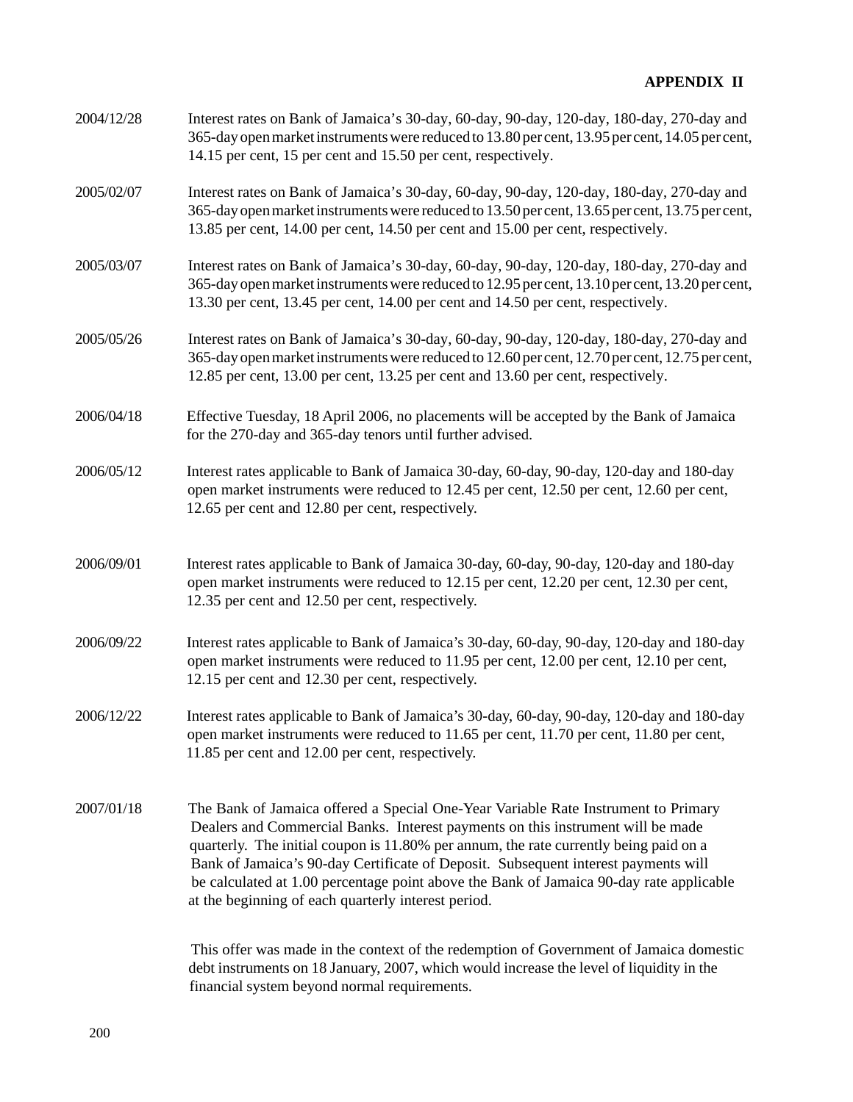| 2004/12/28 | Interest rates on Bank of Jamaica's 30-day, 60-day, 90-day, 120-day, 180-day, 270-day and<br>365-day open market instruments were reduced to 13.80 per cent, 13.95 per cent, 14.05 per cent,<br>14.15 per cent, 15 per cent and 15.50 per cent, respectively.                                                                                                                                                                                                                                          |
|------------|--------------------------------------------------------------------------------------------------------------------------------------------------------------------------------------------------------------------------------------------------------------------------------------------------------------------------------------------------------------------------------------------------------------------------------------------------------------------------------------------------------|
| 2005/02/07 | Interest rates on Bank of Jamaica's 30-day, 60-day, 90-day, 120-day, 180-day, 270-day and<br>365-day open market instruments were reduced to 13.50 per cent, 13.65 per cent, 13.75 per cent,<br>13.85 per cent, 14.00 per cent, 14.50 per cent and 15.00 per cent, respectively.                                                                                                                                                                                                                       |
| 2005/03/07 | Interest rates on Bank of Jamaica's 30-day, 60-day, 90-day, 120-day, 180-day, 270-day and<br>365-day open market instruments were reduced to 12.95 per cent, 13.10 per cent, 13.20 per cent,<br>13.30 per cent, 13.45 per cent, 14.00 per cent and 14.50 per cent, respectively.                                                                                                                                                                                                                       |
| 2005/05/26 | Interest rates on Bank of Jamaica's 30-day, 60-day, 90-day, 120-day, 180-day, 270-day and<br>365-day open market instruments were reduced to 12.60 per cent, 12.70 per cent, 12.75 per cent,<br>12.85 per cent, 13.00 per cent, 13.25 per cent and 13.60 per cent, respectively.                                                                                                                                                                                                                       |
| 2006/04/18 | Effective Tuesday, 18 April 2006, no placements will be accepted by the Bank of Jamaica<br>for the 270-day and 365-day tenors until further advised.                                                                                                                                                                                                                                                                                                                                                   |
| 2006/05/12 | Interest rates applicable to Bank of Jamaica 30-day, 60-day, 90-day, 120-day and 180-day<br>open market instruments were reduced to 12.45 per cent, 12.50 per cent, 12.60 per cent,<br>12.65 per cent and 12.80 per cent, respectively.                                                                                                                                                                                                                                                                |
| 2006/09/01 | Interest rates applicable to Bank of Jamaica 30-day, 60-day, 90-day, 120-day and 180-day<br>open market instruments were reduced to 12.15 per cent, 12.20 per cent, 12.30 per cent,<br>12.35 per cent and 12.50 per cent, respectively.                                                                                                                                                                                                                                                                |
| 2006/09/22 | Interest rates applicable to Bank of Jamaica's 30-day, 60-day, 90-day, 120-day and 180-day<br>open market instruments were reduced to 11.95 per cent, 12.00 per cent, 12.10 per cent,<br>12.15 per cent and 12.30 per cent, respectively.                                                                                                                                                                                                                                                              |
| 2006/12/22 | Interest rates applicable to Bank of Jamaica's 30-day, 60-day, 90-day, 120-day and 180-day<br>open market instruments were reduced to 11.65 per cent, 11.70 per cent, 11.80 per cent,<br>11.85 per cent and 12.00 per cent, respectively.                                                                                                                                                                                                                                                              |
| 2007/01/18 | The Bank of Jamaica offered a Special One-Year Variable Rate Instrument to Primary<br>Dealers and Commercial Banks. Interest payments on this instrument will be made<br>quarterly. The initial coupon is 11.80% per annum, the rate currently being paid on a<br>Bank of Jamaica's 90-day Certificate of Deposit. Subsequent interest payments will<br>be calculated at 1.00 percentage point above the Bank of Jamaica 90-day rate applicable<br>at the beginning of each quarterly interest period. |
|            | This offer was made in the context of the redemption of Government of Jamaica domestic                                                                                                                                                                                                                                                                                                                                                                                                                 |

 This offer was made in the context of the redemption of Government of Jamaica domestic debt instruments on 18 January, 2007, which would increase the level of liquidity in the financial system beyond normal requirements.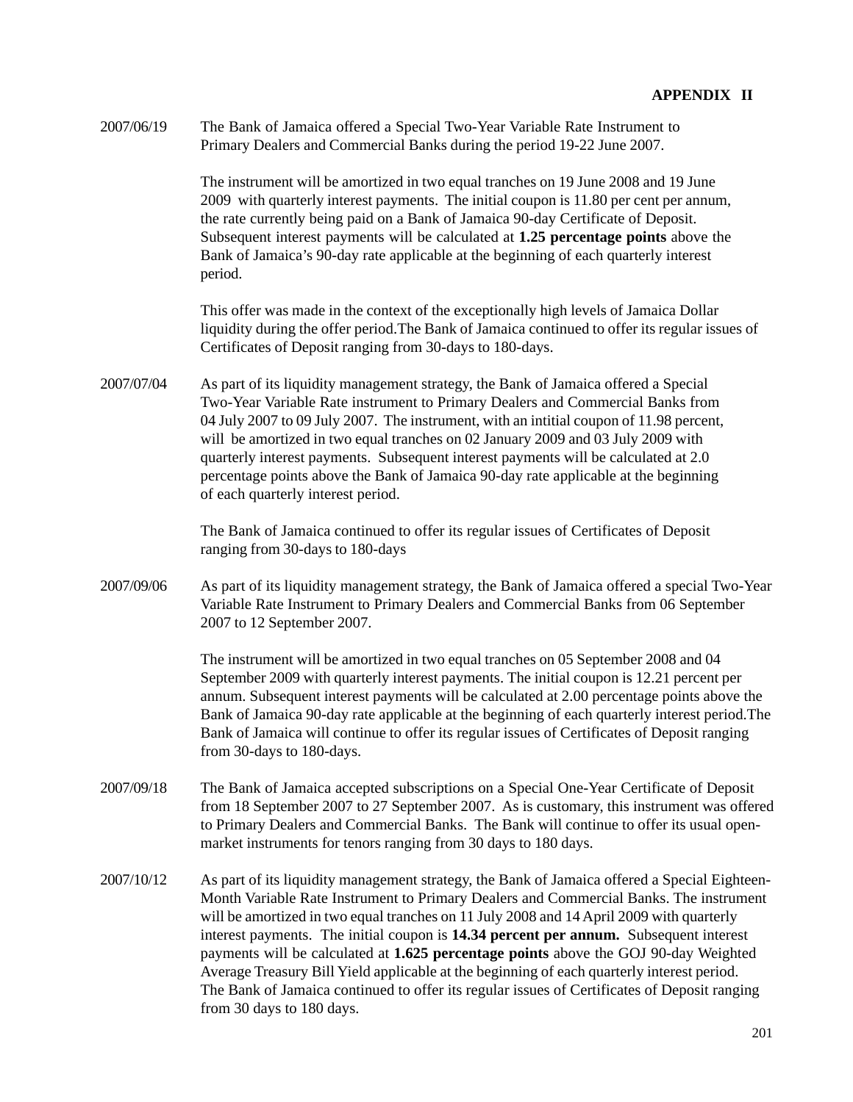2007/06/19 The Bank of Jamaica offered a Special Two-Year Variable Rate Instrument to Primary Dealers and Commercial Banks during the period 19-22 June 2007.

> The instrument will be amortized in two equal tranches on 19 June 2008 and 19 June 2009 with quarterly interest payments. The initial coupon is 11.80 per cent per annum, the rate currently being paid on a Bank of Jamaica 90-day Certificate of Deposit. Subsequent interest payments will be calculated at **1.25 percentage points** above the Bank of Jamaica's 90-day rate applicable at the beginning of each quarterly interest period.

This offer was made in the context of the exceptionally high levels of Jamaica Dollar liquidity during the offer period.The Bank of Jamaica continued to offer its regular issues of Certificates of Deposit ranging from 30-days to 180-days.

2007/07/04 As part of its liquidity management strategy, the Bank of Jamaica offered a Special Two-Year Variable Rate instrument to Primary Dealers and Commercial Banks from 04 July 2007 to 09 July 2007. The instrument, with an intitial coupon of 11.98 percent, will be amortized in two equal tranches on 02 January 2009 and 03 July 2009 with quarterly interest payments. Subsequent interest payments will be calculated at 2.0 percentage points above the Bank of Jamaica 90-day rate applicable at the beginning of each quarterly interest period.

> The Bank of Jamaica continued to offer its regular issues of Certificates of Deposit ranging from 30-days to 180-days

2007/09/06 As part of its liquidity management strategy, the Bank of Jamaica offered a special Two-Year Variable Rate Instrument to Primary Dealers and Commercial Banks from 06 September 2007 to 12 September 2007.

> The instrument will be amortized in two equal tranches on 05 September 2008 and 04 September 2009 with quarterly interest payments. The initial coupon is 12.21 percent per annum. Subsequent interest payments will be calculated at 2.00 percentage points above the Bank of Jamaica 90-day rate applicable at the beginning of each quarterly interest period.The Bank of Jamaica will continue to offer its regular issues of Certificates of Deposit ranging from 30-days to 180-days.

- 2007/09/18 The Bank of Jamaica accepted subscriptions on a Special One-Year Certificate of Deposit from 18 September 2007 to 27 September 2007. As is customary, this instrument was offered to Primary Dealers and Commercial Banks. The Bank will continue to offer its usual openmarket instruments for tenors ranging from 30 days to 180 days.
- 2007/10/12 As part of its liquidity management strategy, the Bank of Jamaica offered a Special Eighteen-Month Variable Rate Instrument to Primary Dealers and Commercial Banks. The instrument will be amortized in two equal tranches on 11 July 2008 and 14 April 2009 with quarterly interest payments. The initial coupon is **14.34 percent per annum.** Subsequent interest payments will be calculated at **1.625 percentage points** above the GOJ 90-day Weighted Average Treasury Bill Yield applicable at the beginning of each quarterly interest period. The Bank of Jamaica continued to offer its regular issues of Certificates of Deposit ranging from 30 days to 180 days.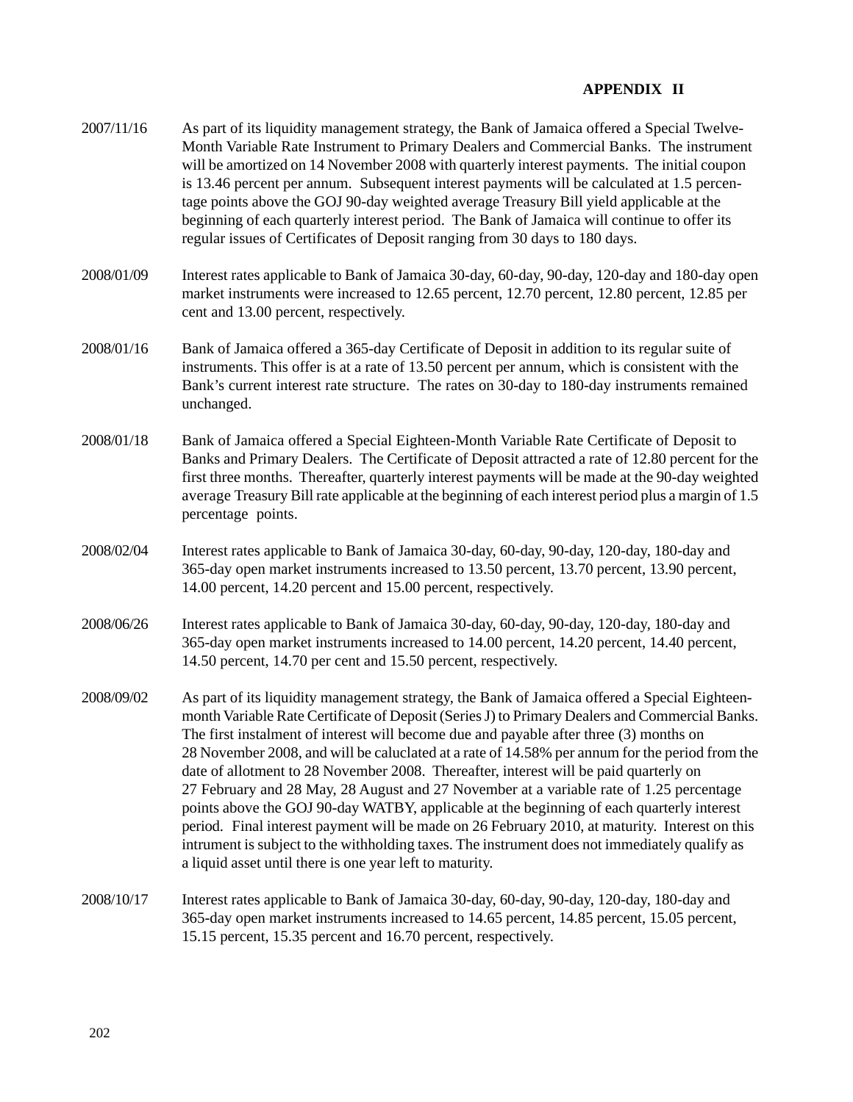- 2007/11/16 As part of its liquidity management strategy, the Bank of Jamaica offered a Special Twelve-Month Variable Rate Instrument to Primary Dealers and Commercial Banks. The instrument will be amortized on 14 November 2008 with quarterly interest payments. The initial coupon is 13.46 percent per annum. Subsequent interest payments will be calculated at 1.5 percentage points above the GOJ 90-day weighted average Treasury Bill yield applicable at the beginning of each quarterly interest period. The Bank of Jamaica will continue to offer its regular issues of Certificates of Deposit ranging from 30 days to 180 days. 2008/01/09 Interest rates applicable to Bank of Jamaica 30-day, 60-day, 90-day, 120-day and 180-day open market instruments were increased to 12.65 percent, 12.70 percent, 12.80 percent, 12.85 per cent and 13.00 percent, respectively. 2008/01/16 Bank of Jamaica offered a 365-day Certificate of Deposit in addition to its regular suite of instruments. This offer is at a rate of 13.50 percent per annum, which is consistent with the Bank's current interest rate structure. The rates on 30-day to 180-day instruments remained unchanged. 2008/01/18 Bank of Jamaica offered a Special Eighteen-Month Variable Rate Certificate of Deposit to Banks and Primary Dealers. The Certificate of Deposit attracted a rate of 12.80 percent for the first three months. Thereafter, quarterly interest payments will be made at the 90-day weighted average Treasury Bill rate applicable at the beginning of each interest period plus a margin of 1.5 percentage points. 2008/02/04 Interest rates applicable to Bank of Jamaica 30-day, 60-day, 90-day, 120-day, 180-day and 365-day open market instruments increased to 13.50 percent, 13.70 percent, 13.90 percent, 14.00 percent, 14.20 percent and 15.00 percent, respectively. 2008/06/26 Interest rates applicable to Bank of Jamaica 30-day, 60-day, 90-day, 120-day, 180-day and 365-day open market instruments increased to 14.00 percent, 14.20 percent, 14.40 percent, 14.50 percent, 14.70 per cent and 15.50 percent, respectively. 2008/09/02 As part of its liquidity management strategy, the Bank of Jamaica offered a Special Eighteenmonth Variable Rate Certificate of Deposit (Series J) to Primary Dealers and Commercial Banks. The first instalment of interest will become due and payable after three (3) months on 28 November 2008, and will be caluclated at a rate of 14.58% per annum for the period from the date of allotment to 28 November 2008. Thereafter, interest will be paid quarterly on 27 February and 28 May, 28 August and 27 November at a variable rate of 1.25 percentage points above the GOJ 90-day WATBY, applicable at the beginning of each quarterly interest period. Final interest payment will be made on 26 February 2010, at maturity. Interest on this intrument is subject to the withholding taxes. The instrument does not immediately qualify as a liquid asset until there is one year left to maturity. 2008/10/17 Interest rates applicable to Bank of Jamaica 30-day, 60-day, 90-day, 120-day, 180-day and
- 365-day open market instruments increased to 14.65 percent, 14.85 percent, 15.05 percent, 15.15 percent, 15.35 percent and 16.70 percent, respectively.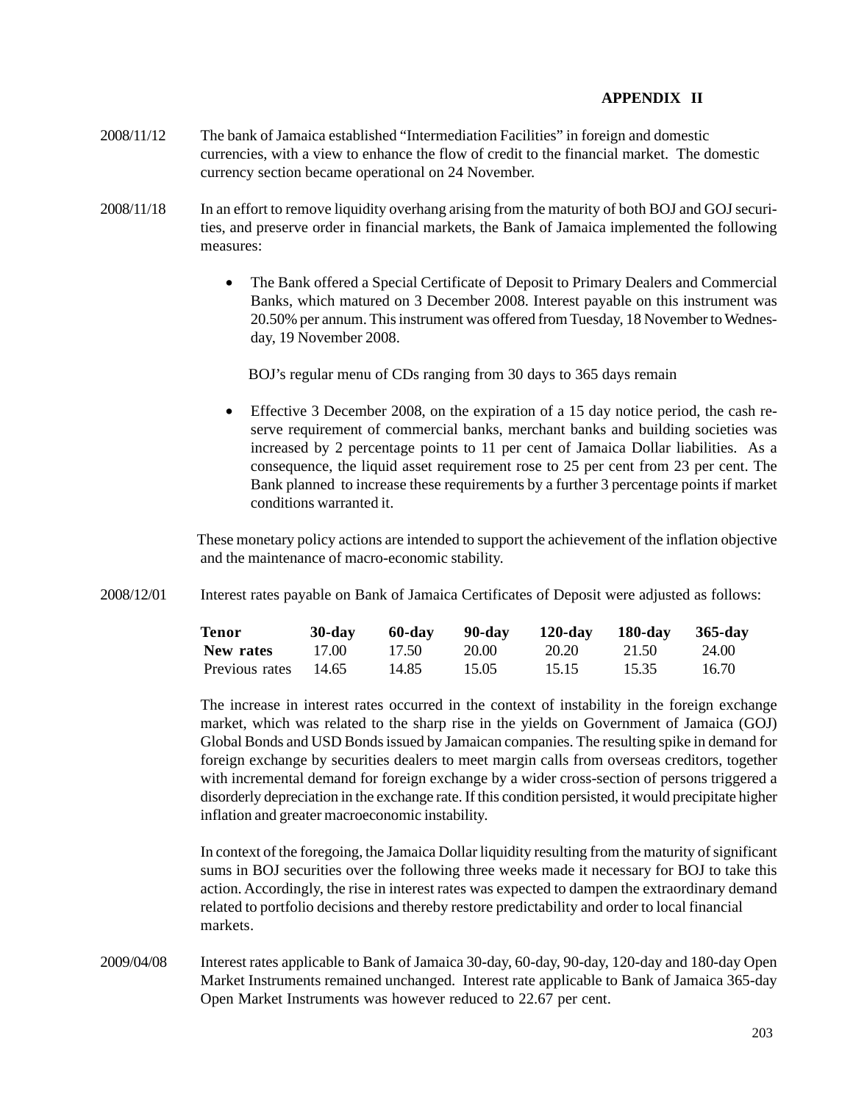- 2008/11/12 The bank of Jamaica established "Intermediation Facilities" in foreign and domestic currencies, with a view to enhance the flow of credit to the financial market. The domestic currency section became operational on 24 November.
- 2008/11/18 In an effort to remove liquidity overhang arising from the maturity of both BOJ and GOJ securities, and preserve order in financial markets, the Bank of Jamaica implemented the following measures:
	- The Bank offered a Special Certificate of Deposit to Primary Dealers and Commercial Banks, which matured on 3 December 2008. Interest payable on this instrument was 20.50% per annum. This instrument was offered from Tuesday, 18 November to Wednesday, 19 November 2008.

BOJ's regular menu of CDs ranging from 30 days to 365 days remain

• Effective 3 December 2008, on the expiration of a 15 day notice period, the cash reserve requirement of commercial banks, merchant banks and building societies was increased by 2 percentage points to 11 per cent of Jamaica Dollar liabilities. As a consequence, the liquid asset requirement rose to 25 per cent from 23 per cent. The Bank planned to increase these requirements by a further 3 percentage points if market conditions warranted it.

 These monetary policy actions are intended to support the achievement of the inflation objective and the maintenance of macro-economic stability.

2008/12/01 Interest rates payable on Bank of Jamaica Certificates of Deposit were adjusted as follows:

| <b>Tenor</b>   | $30$ -day | 60-day | - 90-dav | $120$ -day | 180-day | 365-day |
|----------------|-----------|--------|----------|------------|---------|---------|
| New rates      | 17.00     | 17.50  | 20.00    | 20.20      | 21.50   | 24.00   |
| Previous rates | - 14.65   | 14.85  | 15.05    | 15.15      | 15.35   | 16.70   |

The increase in interest rates occurred in the context of instability in the foreign exchange market, which was related to the sharp rise in the yields on Government of Jamaica (GOJ) Global Bonds and USD Bonds issued by Jamaican companies. The resulting spike in demand for foreign exchange by securities dealers to meet margin calls from overseas creditors, together with incremental demand for foreign exchange by a wider cross-section of persons triggered a disorderly depreciation in the exchange rate. If this condition persisted, it would precipitate higher inflation and greater macroeconomic instability.

In context of the foregoing, the Jamaica Dollar liquidity resulting from the maturity of significant sums in BOJ securities over the following three weeks made it necessary for BOJ to take this action. Accordingly, the rise in interest rates was expected to dampen the extraordinary demand related to portfolio decisions and thereby restore predictability and order to local financial markets.

2009/04/08 Interest rates applicable to Bank of Jamaica 30-day, 60-day, 90-day, 120-day and 180-day Open Market Instruments remained unchanged. Interest rate applicable to Bank of Jamaica 365-day Open Market Instruments was however reduced to 22.67 per cent.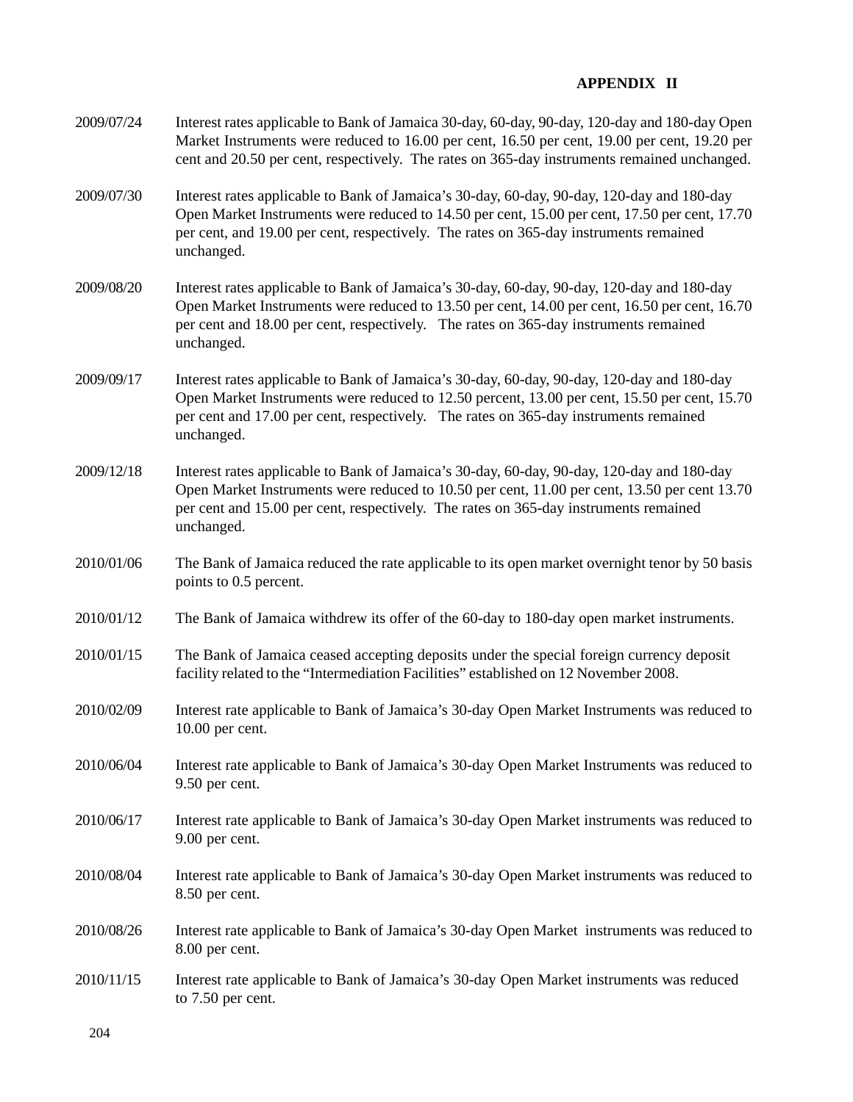| 2009/07/24 | Interest rates applicable to Bank of Jamaica 30-day, 60-day, 90-day, 120-day and 180-day Open<br>Market Instruments were reduced to 16.00 per cent, 16.50 per cent, 19.00 per cent, 19.20 per<br>cent and 20.50 per cent, respectively. The rates on 365-day instruments remained unchanged.       |
|------------|----------------------------------------------------------------------------------------------------------------------------------------------------------------------------------------------------------------------------------------------------------------------------------------------------|
| 2009/07/30 | Interest rates applicable to Bank of Jamaica's 30-day, 60-day, 90-day, 120-day and 180-day<br>Open Market Instruments were reduced to 14.50 per cent, 15.00 per cent, 17.50 per cent, 17.70<br>per cent, and 19.00 per cent, respectively. The rates on 365-day instruments remained<br>unchanged. |
| 2009/08/20 | Interest rates applicable to Bank of Jamaica's 30-day, 60-day, 90-day, 120-day and 180-day<br>Open Market Instruments were reduced to 13.50 per cent, 14.00 per cent, 16.50 per cent, 16.70<br>per cent and 18.00 per cent, respectively. The rates on 365-day instruments remained<br>unchanged.  |
| 2009/09/17 | Interest rates applicable to Bank of Jamaica's 30-day, 60-day, 90-day, 120-day and 180-day<br>Open Market Instruments were reduced to 12.50 percent, 13.00 per cent, 15.50 per cent, 15.70<br>per cent and 17.00 per cent, respectively. The rates on 365-day instruments remained<br>unchanged.   |
| 2009/12/18 | Interest rates applicable to Bank of Jamaica's 30-day, 60-day, 90-day, 120-day and 180-day<br>Open Market Instruments were reduced to 10.50 per cent, 11.00 per cent, 13.50 per cent 13.70<br>per cent and 15.00 per cent, respectively. The rates on 365-day instruments remained<br>unchanged.   |
| 2010/01/06 | The Bank of Jamaica reduced the rate applicable to its open market overnight tenor by 50 basis<br>points to 0.5 percent.                                                                                                                                                                           |
| 2010/01/12 | The Bank of Jamaica withdrew its offer of the 60-day to 180-day open market instruments.                                                                                                                                                                                                           |
| 2010/01/15 | The Bank of Jamaica ceased accepting deposits under the special foreign currency deposit<br>facility related to the "Intermediation Facilities" established on 12 November 2008.                                                                                                                   |
| 2010/02/09 | Interest rate applicable to Bank of Jamaica's 30-day Open Market Instruments was reduced to<br>$10.00$ per cent.                                                                                                                                                                                   |
| 2010/06/04 | Interest rate applicable to Bank of Jamaica's 30-day Open Market Instruments was reduced to<br>9.50 per cent.                                                                                                                                                                                      |
| 2010/06/17 | Interest rate applicable to Bank of Jamaica's 30-day Open Market instruments was reduced to<br>9.00 per cent.                                                                                                                                                                                      |
| 2010/08/04 | Interest rate applicable to Bank of Jamaica's 30-day Open Market instruments was reduced to<br>8.50 per cent.                                                                                                                                                                                      |
| 2010/08/26 | Interest rate applicable to Bank of Jamaica's 30-day Open Market instruments was reduced to<br>8.00 per cent.                                                                                                                                                                                      |
| 2010/11/15 | Interest rate applicable to Bank of Jamaica's 30-day Open Market instruments was reduced<br>to 7.50 per cent.                                                                                                                                                                                      |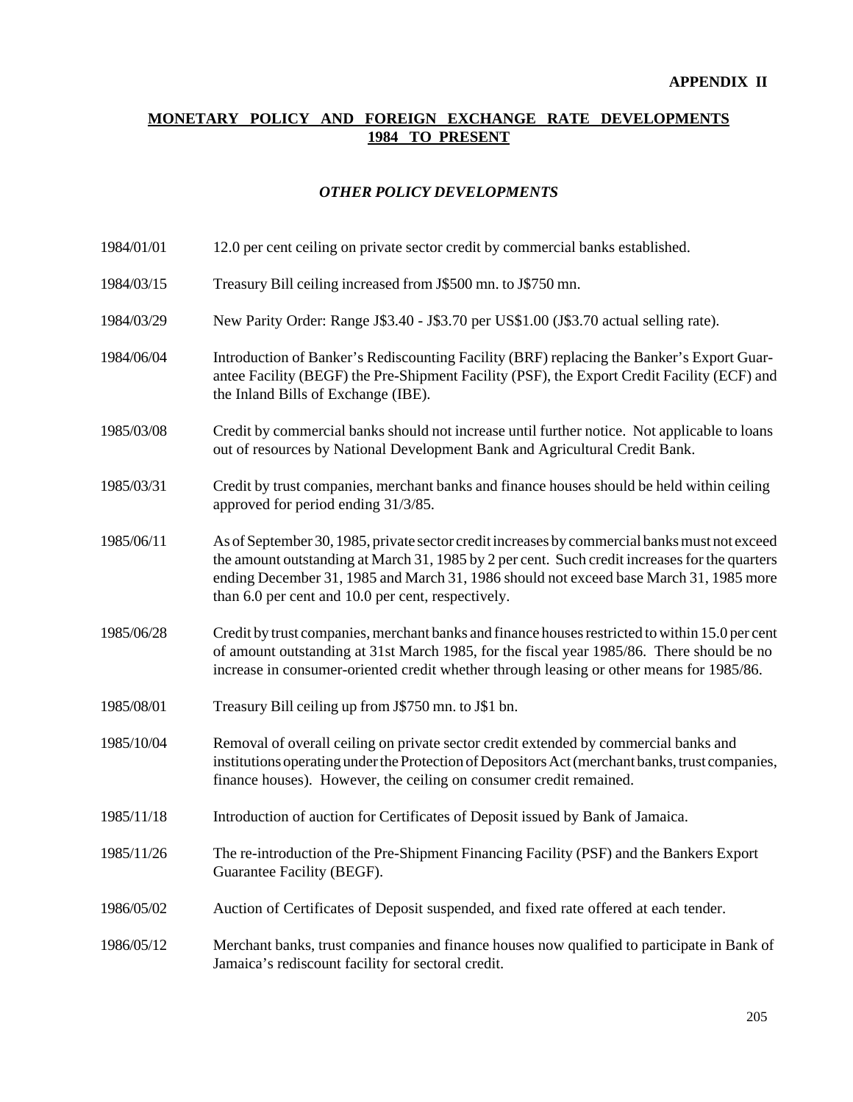# **MONETARY POLICY AND FOREIGN EXCHANGE RATE DEVELOPMENTS 1984 TO PRESENT**

## *OTHER POLICY DEVELOPMENTS*

| 1984/01/01 |  | 12.0 per cent ceiling on private sector credit by commercial banks established. |  |
|------------|--|---------------------------------------------------------------------------------|--|
|            |  |                                                                                 |  |

- 1984/03/15 Treasury Bill ceiling increased from J\$500 mn. to J\$750 mn.
- 1984/03/29 New Parity Order: Range J\$3.40 J\$3.70 per US\$1.00 (J\$3.70 actual selling rate).
- 1984/06/04 Introduction of Banker's Rediscounting Facility (BRF) replacing the Banker's Export Guarantee Facility (BEGF) the Pre-Shipment Facility (PSF), the Export Credit Facility (ECF) and the Inland Bills of Exchange (IBE).
- 1985/03/08 Credit by commercial banks should not increase until further notice. Not applicable to loans out of resources by National Development Bank and Agricultural Credit Bank.
- 1985/03/31 Credit by trust companies, merchant banks and finance houses should be held within ceiling approved for period ending 31/3/85.
- 1985/06/11 As of September 30, 1985, private sector credit increases by commercial banks must not exceed the amount outstanding at March 31, 1985 by 2 per cent. Such credit increases for the quarters ending December 31, 1985 and March 31, 1986 should not exceed base March 31, 1985 more than 6.0 per cent and 10.0 per cent, respectively.
- 1985/06/28 Credit by trust companies, merchant banks and finance houses restricted to within 15.0 per cent of amount outstanding at 31st March 1985, for the fiscal year 1985/86. There should be no increase in consumer-oriented credit whether through leasing or other means for 1985/86.
- 1985/08/01 Treasury Bill ceiling up from J\$750 mn. to J\$1 bn.
- 1985/10/04 Removal of overall ceiling on private sector credit extended by commercial banks and institutions operating under the Protection of Depositors Act (merchant banks, trust companies, finance houses). However, the ceiling on consumer credit remained.
- 1985/11/18 Introduction of auction for Certificates of Deposit issued by Bank of Jamaica.
- 1985/11/26 The re-introduction of the Pre-Shipment Financing Facility (PSF) and the Bankers Export Guarantee Facility (BEGF).
- 1986/05/02 Auction of Certificates of Deposit suspended, and fixed rate offered at each tender.
- 1986/05/12 Merchant banks, trust companies and finance houses now qualified to participate in Bank of Jamaica's rediscount facility for sectoral credit.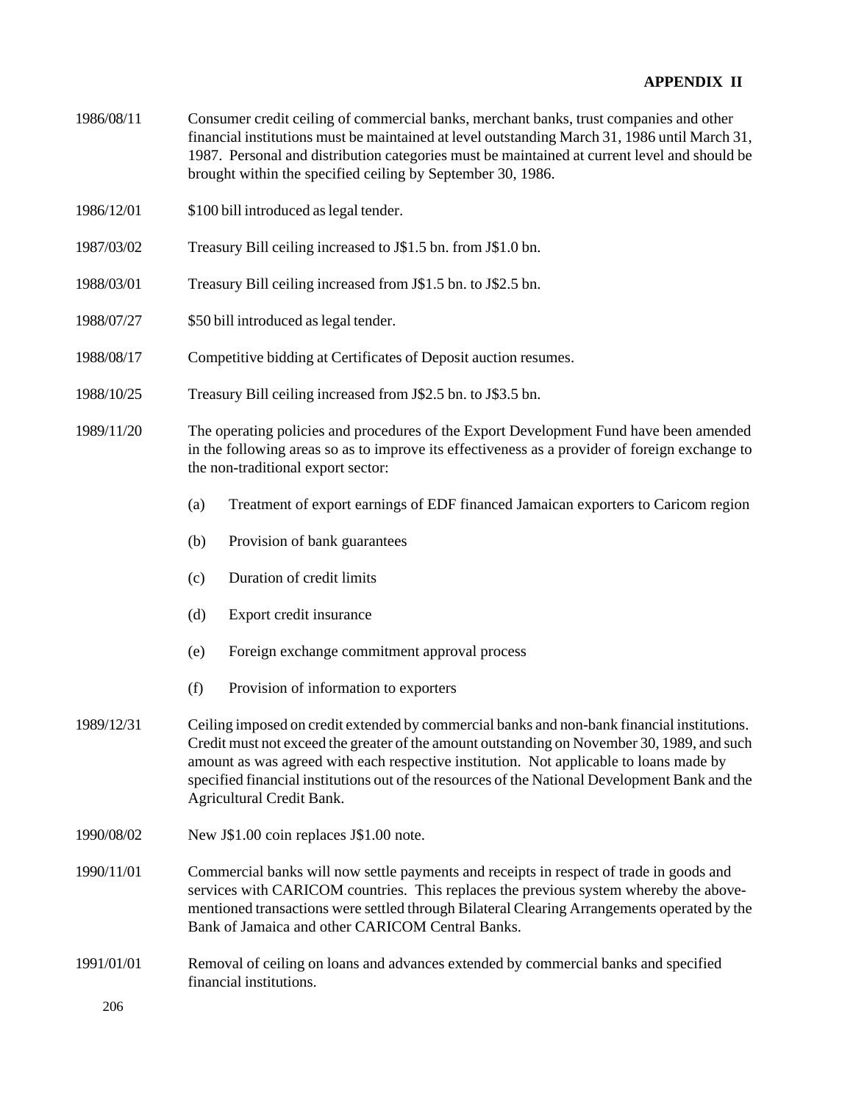- 1986/08/11 Consumer credit ceiling of commercial banks, merchant banks, trust companies and other financial institutions must be maintained at level outstanding March 31, 1986 until March 31, 1987. Personal and distribution categories must be maintained at current level and should be brought within the specified ceiling by September 30, 1986.
- 1986/12/01 \$100 bill introduced as legal tender.
- 1987/03/02 Treasury Bill ceiling increased to J\$1.5 bn. from J\$1.0 bn.
- 1988/03/01 Treasury Bill ceiling increased from J\$1.5 bn. to J\$2.5 bn.
- 1988/07/27 \$50 bill introduced as legal tender.
- 1988/08/17 Competitive bidding at Certificates of Deposit auction resumes.
- 1988/10/25 Treasury Bill ceiling increased from J\$2.5 bn. to J\$3.5 bn.
- 1989/11/20 The operating policies and procedures of the Export Development Fund have been amended in the following areas so as to improve its effectiveness as a provider of foreign exchange to the non-traditional export sector:
	- (a) Treatment of export earnings of EDF financed Jamaican exporters to Caricom region
	- (b) Provision of bank guarantees
	- (c) Duration of credit limits
	- (d) Export credit insurance
	- (e) Foreign exchange commitment approval process
	- (f) Provision of information to exporters
- 1989/12/31 Ceiling imposed on credit extended by commercial banks and non-bank financial institutions. Credit must not exceed the greater of the amount outstanding on November 30, 1989, and such amount as was agreed with each respective institution. Not applicable to loans made by specified financial institutions out of the resources of the National Development Bank and the Agricultural Credit Bank.
- 1990/08/02 New J\$1.00 coin replaces J\$1.00 note.
- 1990/11/01 Commercial banks will now settle payments and receipts in respect of trade in goods and services with CARICOM countries. This replaces the previous system whereby the abovementioned transactions were settled through Bilateral Clearing Arrangements operated by the Bank of Jamaica and other CARICOM Central Banks.
- 1991/01/01 Removal of ceiling on loans and advances extended by commercial banks and specified financial institutions.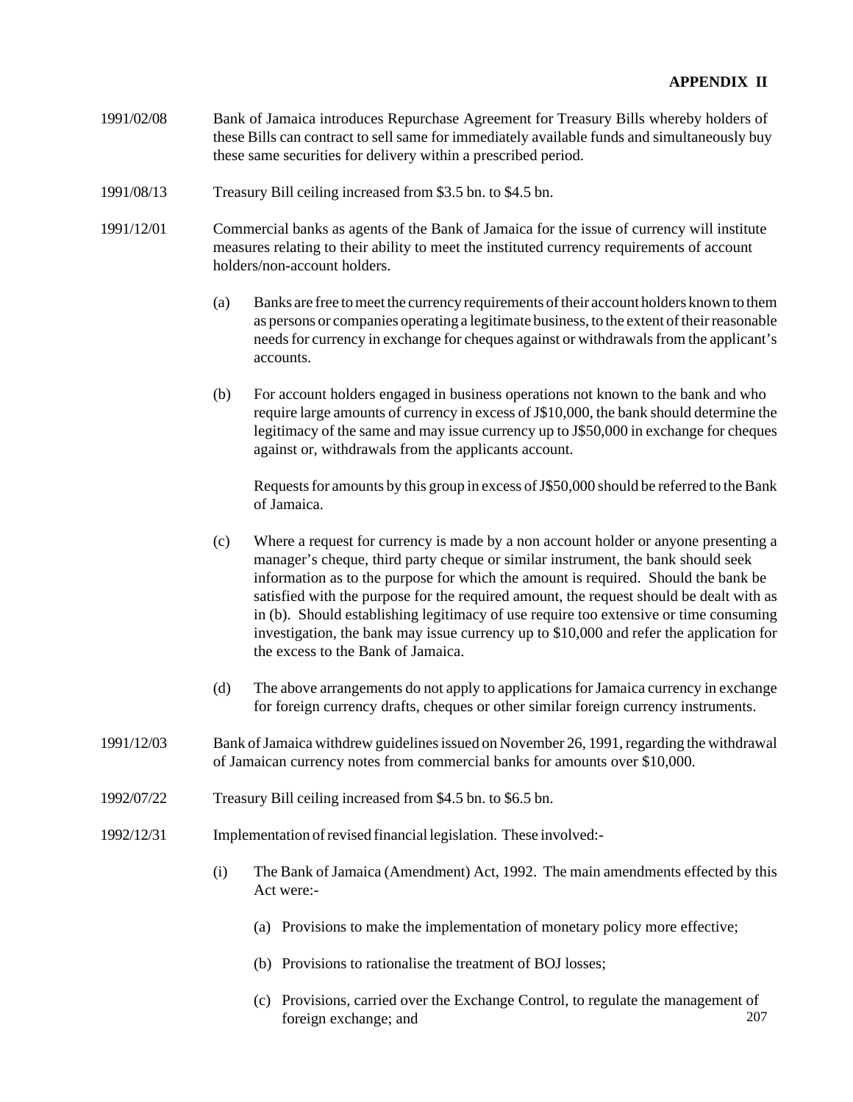- 1991/02/08 Bank of Jamaica introduces Repurchase Agreement for Treasury Bills whereby holders of these Bills can contract to sell same for immediately available funds and simultaneously buy these same securities for delivery within a prescribed period.
- 1991/08/13 Treasury Bill ceiling increased from \$3.5 bn. to \$4.5 bn.
- 1991/12/01 Commercial banks as agents of the Bank of Jamaica for the issue of currency will institute measures relating to their ability to meet the instituted currency requirements of account holders/non-account holders.
	- (a) Banks are free to meet the currency requirements of their account holders known to them as persons or companies operating a legitimate business, to the extent of their reasonable needs for currency in exchange for cheques against or withdrawals from the applicant's accounts.
	- (b) For account holders engaged in business operations not known to the bank and who require large amounts of currency in excess of J\$10,000, the bank should determine the legitimacy of the same and may issue currency up to J\$50,000 in exchange for cheques against or, withdrawals from the applicants account.

Requests for amounts by this group in excess of J\$50,000 should be referred to the Bank of Jamaica.

- (c) Where a request for currency is made by a non account holder or anyone presenting a manager's cheque, third party cheque or similar instrument, the bank should seek information as to the purpose for which the amount is required. Should the bank be satisfied with the purpose for the required amount, the request should be dealt with as in (b). Should establishing legitimacy of use require too extensive or time consuming investigation, the bank may issue currency up to \$10,000 and refer the application for the excess to the Bank of Jamaica.
- (d) The above arrangements do not apply to applications for Jamaica currency in exchange for foreign currency drafts, cheques or other similar foreign currency instruments.
- 1991/12/03 Bank of Jamaica withdrew guidelines issued on November 26, 1991, regarding the withdrawal of Jamaican currency notes from commercial banks for amounts over \$10,000.
- 1992/07/22 Treasury Bill ceiling increased from \$4.5 bn. to \$6.5 bn.
- 1992/12/31 Implementation of revised financial legislation. These involved:-
	- (i) The Bank of Jamaica (Amendment) Act, 1992. The main amendments effected by this Act were:-
		- (a) Provisions to make the implementation of monetary policy more effective;
		- (b) Provisions to rationalise the treatment of BOJ losses;
		- 207 (c) Provisions, carried over the Exchange Control, to regulate the management of foreign exchange; and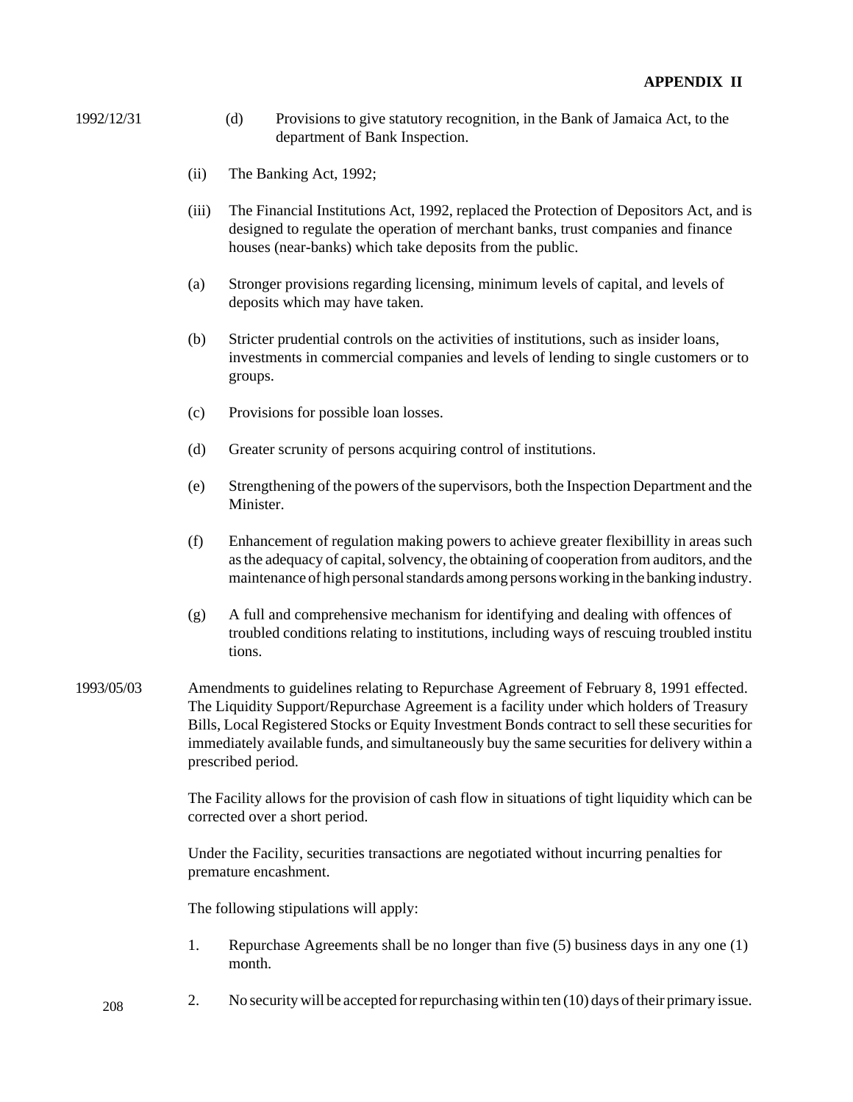- 1992/12/31 (d) Provisions to give statutory recognition, in the Bank of Jamaica Act, to the department of Bank Inspection.
	- (ii) The Banking Act, 1992;
	- (iii) The Financial Institutions Act, 1992, replaced the Protection of Depositors Act, and is designed to regulate the operation of merchant banks, trust companies and finance houses (near-banks) which take deposits from the public.
	- (a) Stronger provisions regarding licensing, minimum levels of capital, and levels of deposits which may have taken.
	- (b) Stricter prudential controls on the activities of institutions, such as insider loans, investments in commercial companies and levels of lending to single customers or to groups.
	- (c) Provisions for possible loan losses.
	- (d) Greater scrunity of persons acquiring control of institutions.
	- (e) Strengthening of the powers of the supervisors, both the Inspection Department and the **Minister**
	- (f) Enhancement of regulation making powers to achieve greater flexibillity in areas such as the adequacy of capital, solvency, the obtaining of cooperation from auditors, and the maintenance of high personal standards among persons working in the banking industry.
	- (g) A full and comprehensive mechanism for identifying and dealing with offences of troubled conditions relating to institutions, including ways of rescuing troubled institu tions.
- 1993/05/03 Amendments to guidelines relating to Repurchase Agreement of February 8, 1991 effected. The Liquidity Support/Repurchase Agreement is a facility under which holders of Treasury Bills, Local Registered Stocks or Equity Investment Bonds contract to sell these securities for immediately available funds, and simultaneously buy the same securities for delivery within a prescribed period.

The Facility allows for the provision of cash flow in situations of tight liquidity which can be corrected over a short period.

Under the Facility, securities transactions are negotiated without incurring penalties for premature encashment.

The following stipulations will apply:

- 1. Repurchase Agreements shall be no longer than five (5) business days in any one (1) month.
- 208 2. No security will be accepted for repurchasing within ten (10) days of their primary issue.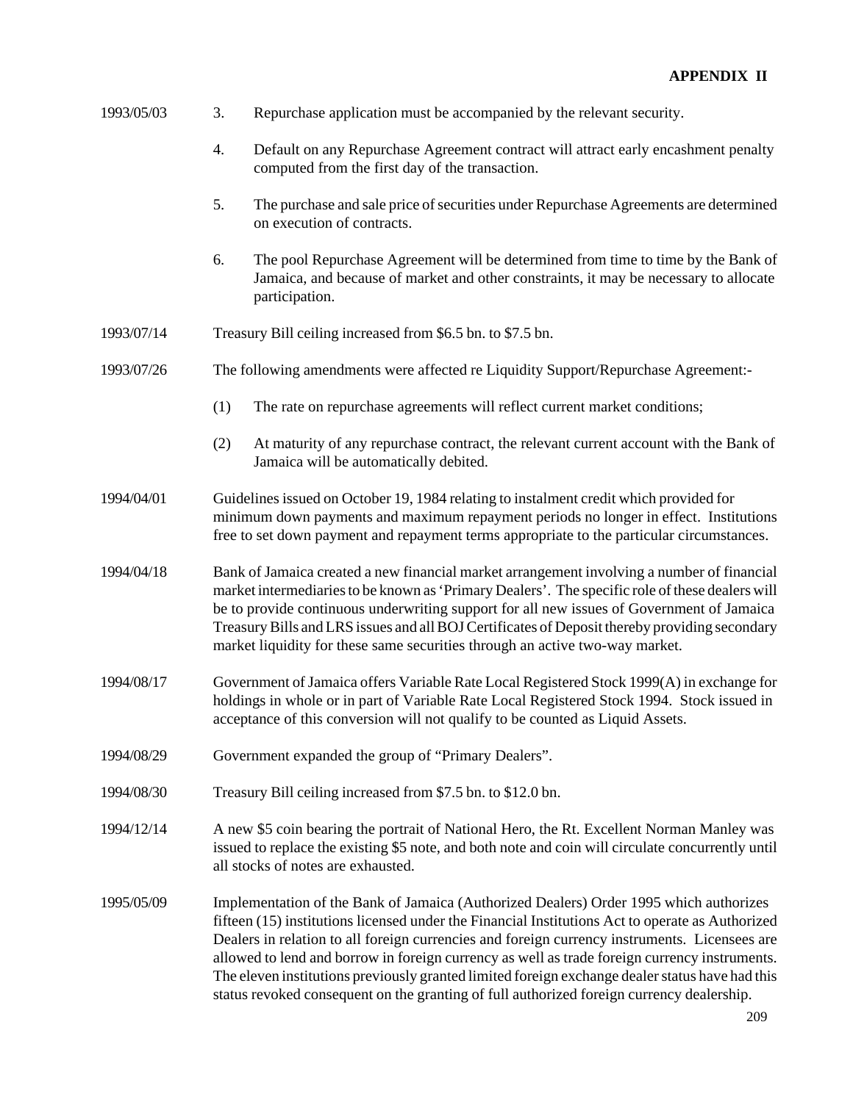| 1993/05/03 | 3.<br>Repurchase application must be accompanied by the relevant security.                                                                                                                                                                                                                                                                                                                                                                                                                                                                                                                   |
|------------|----------------------------------------------------------------------------------------------------------------------------------------------------------------------------------------------------------------------------------------------------------------------------------------------------------------------------------------------------------------------------------------------------------------------------------------------------------------------------------------------------------------------------------------------------------------------------------------------|
|            | 4.<br>Default on any Repurchase Agreement contract will attract early encashment penalty<br>computed from the first day of the transaction.                                                                                                                                                                                                                                                                                                                                                                                                                                                  |
|            | 5.<br>The purchase and sale price of securities under Repurchase Agreements are determined<br>on execution of contracts.                                                                                                                                                                                                                                                                                                                                                                                                                                                                     |
|            | 6.<br>The pool Repurchase Agreement will be determined from time to time by the Bank of<br>Jamaica, and because of market and other constraints, it may be necessary to allocate<br>participation.                                                                                                                                                                                                                                                                                                                                                                                           |
| 1993/07/14 | Treasury Bill ceiling increased from \$6.5 bn. to \$7.5 bn.                                                                                                                                                                                                                                                                                                                                                                                                                                                                                                                                  |
| 1993/07/26 | The following amendments were affected re Liquidity Support/Repurchase Agreement:-                                                                                                                                                                                                                                                                                                                                                                                                                                                                                                           |
|            | (1)<br>The rate on repurchase agreements will reflect current market conditions;                                                                                                                                                                                                                                                                                                                                                                                                                                                                                                             |
|            | (2)<br>At maturity of any repurchase contract, the relevant current account with the Bank of<br>Jamaica will be automatically debited.                                                                                                                                                                                                                                                                                                                                                                                                                                                       |
| 1994/04/01 | Guidelines issued on October 19, 1984 relating to instalment credit which provided for<br>minimum down payments and maximum repayment periods no longer in effect. Institutions<br>free to set down payment and repayment terms appropriate to the particular circumstances.                                                                                                                                                                                                                                                                                                                 |
| 1994/04/18 | Bank of Jamaica created a new financial market arrangement involving a number of financial<br>market intermediaries to be known as 'Primary Dealers'. The specific role of these dealers will<br>be to provide continuous underwriting support for all new issues of Government of Jamaica<br>Treasury Bills and LRS issues and all BOJ Certificates of Deposit thereby providing secondary<br>market liquidity for these same securities through an active two-way market.                                                                                                                  |
| 1994/08/17 | Government of Jamaica offers Variable Rate Local Registered Stock 1999(A) in exchange for<br>holdings in whole or in part of Variable Rate Local Registered Stock 1994. Stock issued in<br>acceptance of this conversion will not qualify to be counted as Liquid Assets.                                                                                                                                                                                                                                                                                                                    |
| 1994/08/29 | Government expanded the group of "Primary Dealers".                                                                                                                                                                                                                                                                                                                                                                                                                                                                                                                                          |
| 1994/08/30 | Treasury Bill ceiling increased from \$7.5 bn. to \$12.0 bn.                                                                                                                                                                                                                                                                                                                                                                                                                                                                                                                                 |
| 1994/12/14 | A new \$5 coin bearing the portrait of National Hero, the Rt. Excellent Norman Manley was<br>issued to replace the existing \$5 note, and both note and coin will circulate concurrently until<br>all stocks of notes are exhausted.                                                                                                                                                                                                                                                                                                                                                         |
| 1995/05/09 | Implementation of the Bank of Jamaica (Authorized Dealers) Order 1995 which authorizes<br>fifteen (15) institutions licensed under the Financial Institutions Act to operate as Authorized<br>Dealers in relation to all foreign currencies and foreign currency instruments. Licensees are<br>allowed to lend and borrow in foreign currency as well as trade foreign currency instruments.<br>The eleven institutions previously granted limited foreign exchange dealer status have had this<br>status revoked consequent on the granting of full authorized foreign currency dealership. |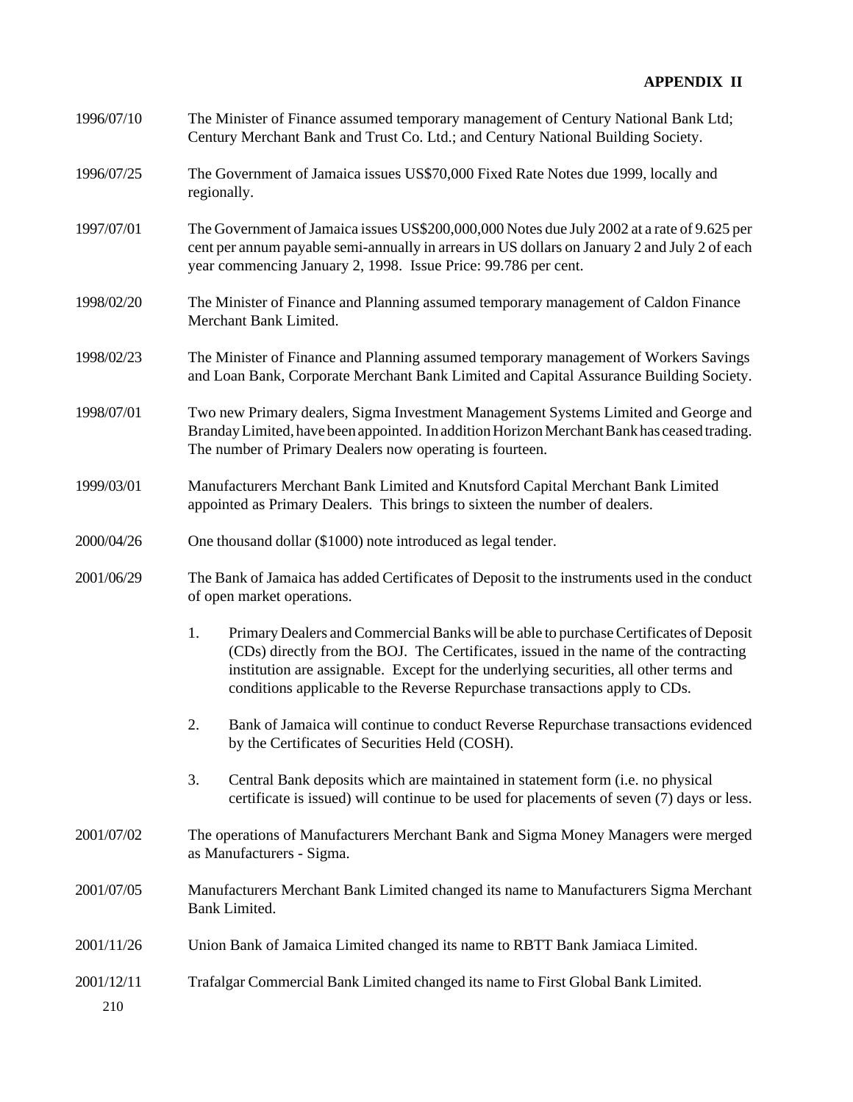| 1996/07/10        | The Minister of Finance assumed temporary management of Century National Bank Ltd;<br>Century Merchant Bank and Trust Co. Ltd.; and Century National Building Society.                                                                                                                                                                                     |  |  |
|-------------------|------------------------------------------------------------------------------------------------------------------------------------------------------------------------------------------------------------------------------------------------------------------------------------------------------------------------------------------------------------|--|--|
| 1996/07/25        | The Government of Jamaica issues US\$70,000 Fixed Rate Notes due 1999, locally and<br>regionally.                                                                                                                                                                                                                                                          |  |  |
| 1997/07/01        | The Government of Jamaica issues US\$200,000,000 Notes due July 2002 at a rate of 9.625 per<br>cent per annum payable semi-annually in arrears in US dollars on January 2 and July 2 of each<br>year commencing January 2, 1998. Issue Price: 99.786 per cent.                                                                                             |  |  |
| 1998/02/20        | The Minister of Finance and Planning assumed temporary management of Caldon Finance<br>Merchant Bank Limited.                                                                                                                                                                                                                                              |  |  |
| 1998/02/23        | The Minister of Finance and Planning assumed temporary management of Workers Savings<br>and Loan Bank, Corporate Merchant Bank Limited and Capital Assurance Building Society.                                                                                                                                                                             |  |  |
| 1998/07/01        | Two new Primary dealers, Sigma Investment Management Systems Limited and George and<br>Branday Limited, have been appointed. In addition Horizon Merchant Bank has ceased trading.<br>The number of Primary Dealers now operating is fourteen.                                                                                                             |  |  |
| 1999/03/01        | Manufacturers Merchant Bank Limited and Knutsford Capital Merchant Bank Limited<br>appointed as Primary Dealers. This brings to sixteen the number of dealers.                                                                                                                                                                                             |  |  |
| 2000/04/26        | One thousand dollar (\$1000) note introduced as legal tender.                                                                                                                                                                                                                                                                                              |  |  |
| 2001/06/29        | The Bank of Jamaica has added Certificates of Deposit to the instruments used in the conduct<br>of open market operations.                                                                                                                                                                                                                                 |  |  |
|                   | 1.<br>Primary Dealers and Commercial Banks will be able to purchase Certificates of Deposit<br>(CDs) directly from the BOJ. The Certificates, issued in the name of the contracting<br>institution are assignable. Except for the underlying securities, all other terms and<br>conditions applicable to the Reverse Repurchase transactions apply to CDs. |  |  |
|                   | Bank of Jamaica will continue to conduct Reverse Repurchase transactions evidenced<br>2.<br>by the Certificates of Securities Held (COSH).                                                                                                                                                                                                                 |  |  |
|                   | Central Bank deposits which are maintained in statement form (i.e. no physical<br>3.<br>certificate is issued) will continue to be used for placements of seven (7) days or less.                                                                                                                                                                          |  |  |
| 2001/07/02        | The operations of Manufacturers Merchant Bank and Sigma Money Managers were merged<br>as Manufacturers - Sigma.                                                                                                                                                                                                                                            |  |  |
| 2001/07/05        | Manufacturers Merchant Bank Limited changed its name to Manufacturers Sigma Merchant<br>Bank Limited.                                                                                                                                                                                                                                                      |  |  |
| 2001/11/26        | Union Bank of Jamaica Limited changed its name to RBTT Bank Jamiaca Limited.                                                                                                                                                                                                                                                                               |  |  |
| 2001/12/11<br>210 | Trafalgar Commercial Bank Limited changed its name to First Global Bank Limited.                                                                                                                                                                                                                                                                           |  |  |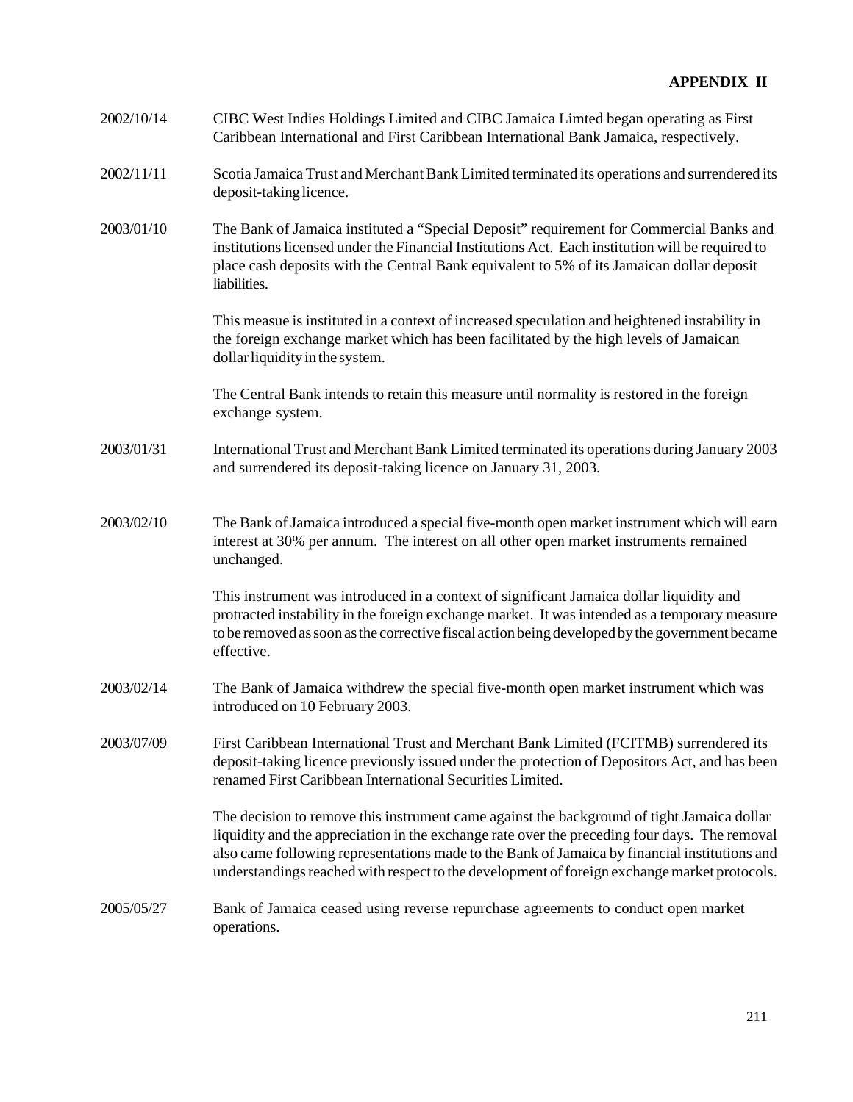| 2002/10/14 | CIBC West Indies Holdings Limited and CIBC Jamaica Limted began operating as First<br>Caribbean International and First Caribbean International Bank Jamaica, respectively.                                                                                                                                                                                                                  |
|------------|----------------------------------------------------------------------------------------------------------------------------------------------------------------------------------------------------------------------------------------------------------------------------------------------------------------------------------------------------------------------------------------------|
| 2002/11/11 | Scotia Jamaica Trust and Merchant Bank Limited terminated its operations and surrendered its<br>deposit-taking licence.                                                                                                                                                                                                                                                                      |
| 2003/01/10 | The Bank of Jamaica instituted a "Special Deposit" requirement for Commercial Banks and<br>institutions licensed under the Financial Institutions Act. Each institution will be required to<br>place cash deposits with the Central Bank equivalent to 5% of its Jamaican dollar deposit<br>liabilities.                                                                                     |
|            | This measue is instituted in a context of increased speculation and heightened instability in<br>the foreign exchange market which has been facilitated by the high levels of Jamaican<br>dollar liquidity in the system.                                                                                                                                                                    |
|            | The Central Bank intends to retain this measure until normality is restored in the foreign<br>exchange system.                                                                                                                                                                                                                                                                               |
| 2003/01/31 | International Trust and Merchant Bank Limited terminated its operations during January 2003<br>and surrendered its deposit-taking licence on January 31, 2003.                                                                                                                                                                                                                               |
| 2003/02/10 | The Bank of Jamaica introduced a special five-month open market instrument which will earn<br>interest at 30% per annum. The interest on all other open market instruments remained<br>unchanged.                                                                                                                                                                                            |
|            | This instrument was introduced in a context of significant Jamaica dollar liquidity and<br>protracted instability in the foreign exchange market. It was intended as a temporary measure<br>to be removed as soon as the corrective fiscal action being developed by the government became<br>effective.                                                                                     |
| 2003/02/14 | The Bank of Jamaica withdrew the special five-month open market instrument which was<br>introduced on 10 February 2003.                                                                                                                                                                                                                                                                      |
| 2003/07/09 | First Caribbean International Trust and Merchant Bank Limited (FCITMB) surrendered its<br>deposit-taking licence previously issued under the protection of Depositors Act, and has been<br>renamed First Caribbean International Securities Limited.                                                                                                                                         |
|            | The decision to remove this instrument came against the background of tight Jamaica dollar<br>liquidity and the appreciation in the exchange rate over the preceding four days. The removal<br>also came following representations made to the Bank of Jamaica by financial institutions and<br>understandings reached with respect to the development of foreign exchange market protocols. |
| 2005/05/27 | Bank of Jamaica ceased using reverse repurchase agreements to conduct open market<br>operations.                                                                                                                                                                                                                                                                                             |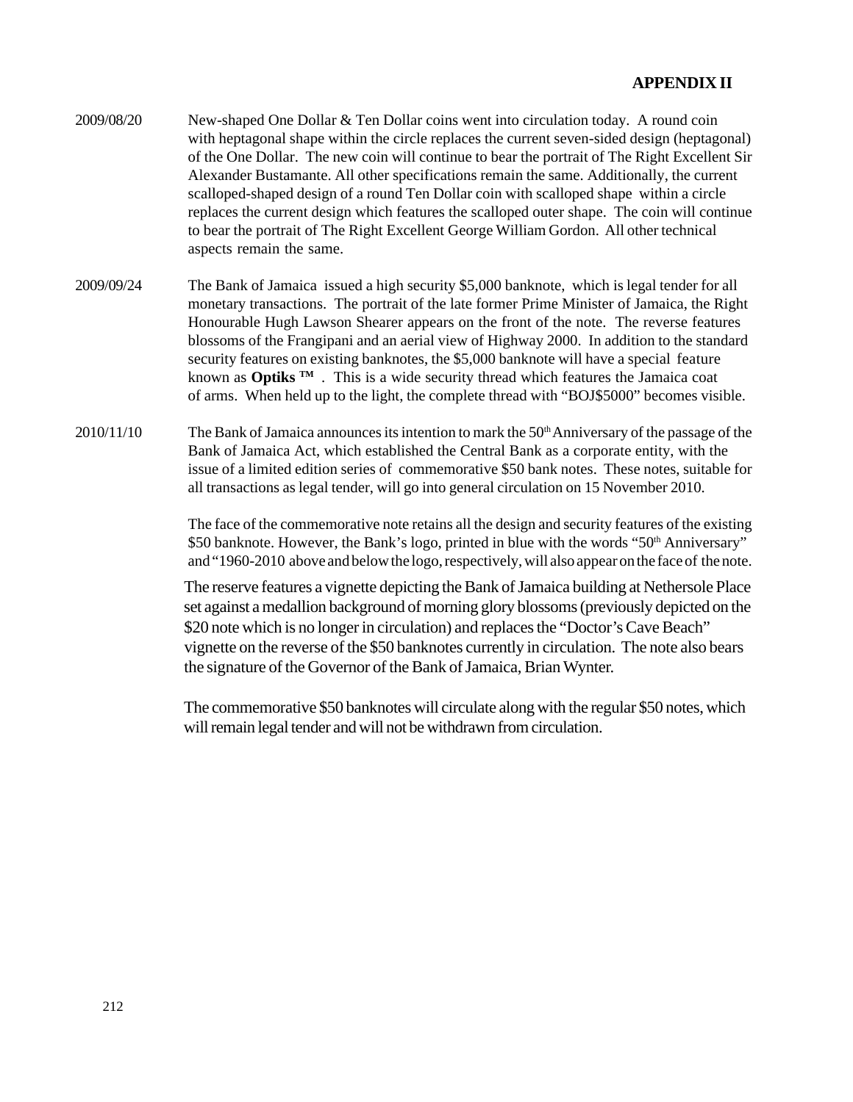- 2009/08/20 New-shaped One Dollar & Ten Dollar coins went into circulation today. A round coin with heptagonal shape within the circle replaces the current seven-sided design (heptagonal) of the One Dollar. The new coin will continue to bear the portrait of The Right Excellent Sir Alexander Bustamante. All other specifications remain the same. Additionally, the current scalloped-shaped design of a round Ten Dollar coin with scalloped shape within a circle replaces the current design which features the scalloped outer shape. The coin will continue to bear the portrait of The Right Excellent George William Gordon. All other technical aspects remain the same.
- 2009/09/24 The Bank of Jamaica issued a high security \$5,000 banknote, which is legal tender for all monetary transactions. The portrait of the late former Prime Minister of Jamaica, the Right Honourable Hugh Lawson Shearer appears on the front of the note. The reverse features blossoms of the Frangipani and an aerial view of Highway 2000. In addition to the standard security features on existing banknotes, the \$5,000 banknote will have a special feature known as **Optiks**  $TM$ . This is a wide security thread which features the Jamaica coat of arms. When held up to the light, the complete thread with "BOJ\$5000" becomes visible.
- $2010/11/10$  The Bank of Jamaica announces its intention to mark the 50<sup>th</sup> Anniversary of the passage of the Bank of Jamaica Act, which established the Central Bank as a corporate entity, with the issue of a limited edition series of commemorative \$50 bank notes. These notes, suitable for all transactions as legal tender, will go into general circulation on 15 November 2010.

The face of the commemorative note retains all the design and security features of the existing \$50 banknote. However, the Bank's logo, printed in blue with the words "50<sup>th</sup> Anniversary" and "1960-2010 above and below the logo, respectively, will also appear on the face of the note.

 The reserve features a vignette depicting the Bank of Jamaica building at Nethersole Place set against a medallion background of morning glory blossoms (previously depicted on the \$20 note which is no longer in circulation) and replaces the "Doctor's Cave Beach" vignette on the reverse of the \$50 banknotes currently in circulation. The note also bears the signature of the Governor of the Bank of Jamaica, Brian Wynter.

 The commemorative \$50 banknotes will circulate along with the regular \$50 notes, which will remain legal tender and will not be withdrawn from circulation.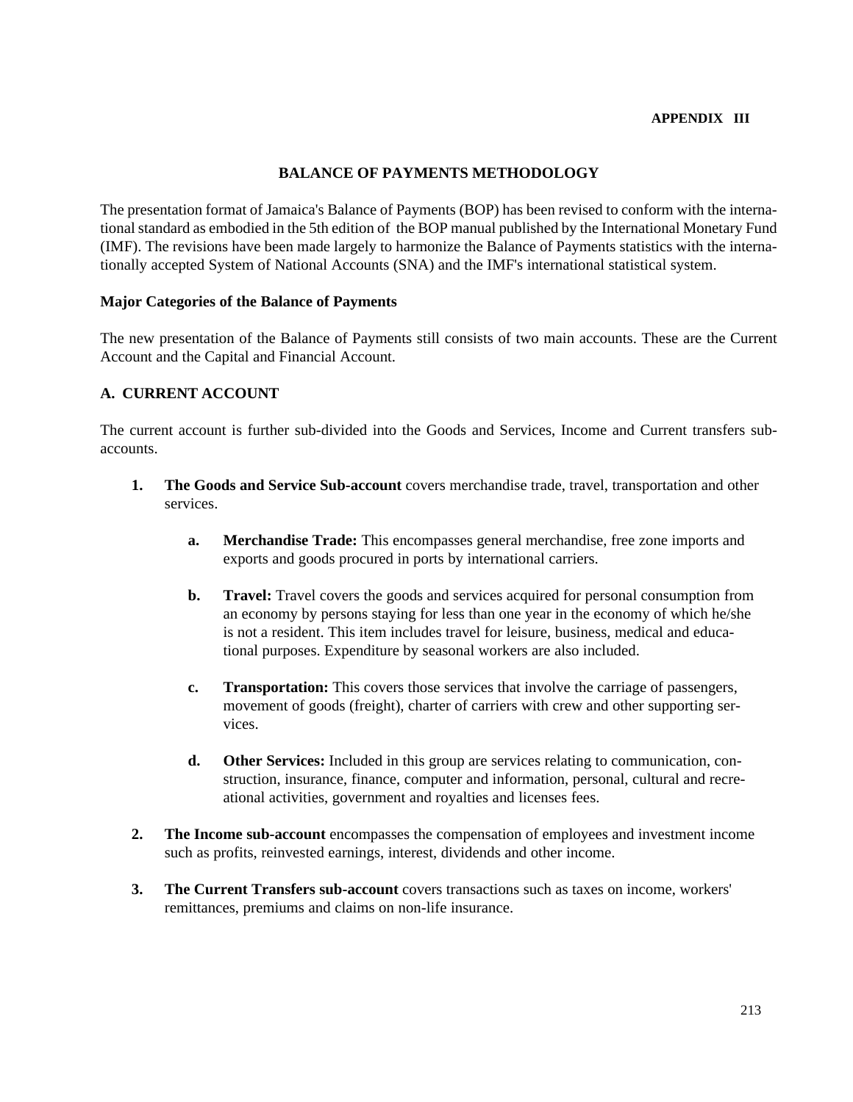# **BALANCE OF PAYMENTS METHODOLOGY**

The presentation format of Jamaica's Balance of Payments (BOP) has been revised to conform with the international standard as embodied in the 5th edition of the BOP manual published by the International Monetary Fund (IMF). The revisions have been made largely to harmonize the Balance of Payments statistics with the internationally accepted System of National Accounts (SNA) and the IMF's international statistical system.

#### **Major Categories of the Balance of Payments**

The new presentation of the Balance of Payments still consists of two main accounts. These are the Current Account and the Capital and Financial Account.

## **A. CURRENT ACCOUNT**

The current account is further sub-divided into the Goods and Services, Income and Current transfers subaccounts.

- **1. The Goods and Service Sub-account** covers merchandise trade, travel, transportation and other services.
	- **a. Merchandise Trade:** This encompasses general merchandise, free zone imports and exports and goods procured in ports by international carriers.
	- **b.** Travel: Travel covers the goods and services acquired for personal consumption from an economy by persons staying for less than one year in the economy of which he/she is not a resident. This item includes travel for leisure, business, medical and educational purposes. Expenditure by seasonal workers are also included.
	- **c. Transportation:** This covers those services that involve the carriage of passengers, movement of goods (freight), charter of carriers with crew and other supporting services.
	- **d. Other Services:** Included in this group are services relating to communication, construction, insurance, finance, computer and information, personal, cultural and recreational activities, government and royalties and licenses fees.
- **2. The Income sub-account** encompasses the compensation of employees and investment income such as profits, reinvested earnings, interest, dividends and other income.
- **3. The Current Transfers sub-account** covers transactions such as taxes on income, workers' remittances, premiums and claims on non-life insurance.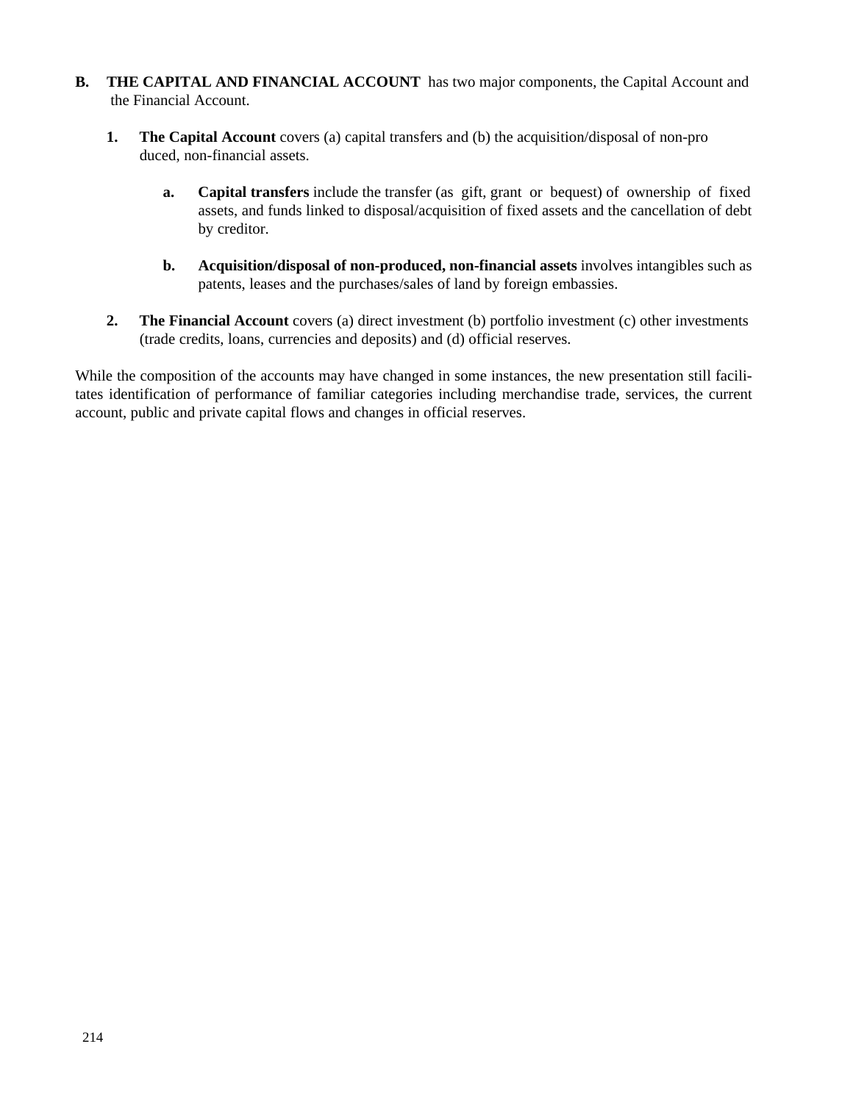- **B. THE CAPITAL AND FINANCIAL ACCOUNT** has two major components, the Capital Account and the Financial Account.
	- **1. The Capital Account** covers (a) capital transfers and (b) the acquisition/disposal of non-pro duced, non-financial assets.
		- **a. Capital transfers** include the transfer (as gift, grant or bequest) of ownership of fixed assets, and funds linked to disposal/acquisition of fixed assets and the cancellation of debt by creditor.
		- **b. Acquisition/disposal of non-produced, non-financial assets** involves intangibles such as patents, leases and the purchases/sales of land by foreign embassies.
	- **2.** The Financial Account covers (a) direct investment (b) portfolio investment (c) other investments (trade credits, loans, currencies and deposits) and (d) official reserves.

While the composition of the accounts may have changed in some instances, the new presentation still facilitates identification of performance of familiar categories including merchandise trade, services, the current account, public and private capital flows and changes in official reserves.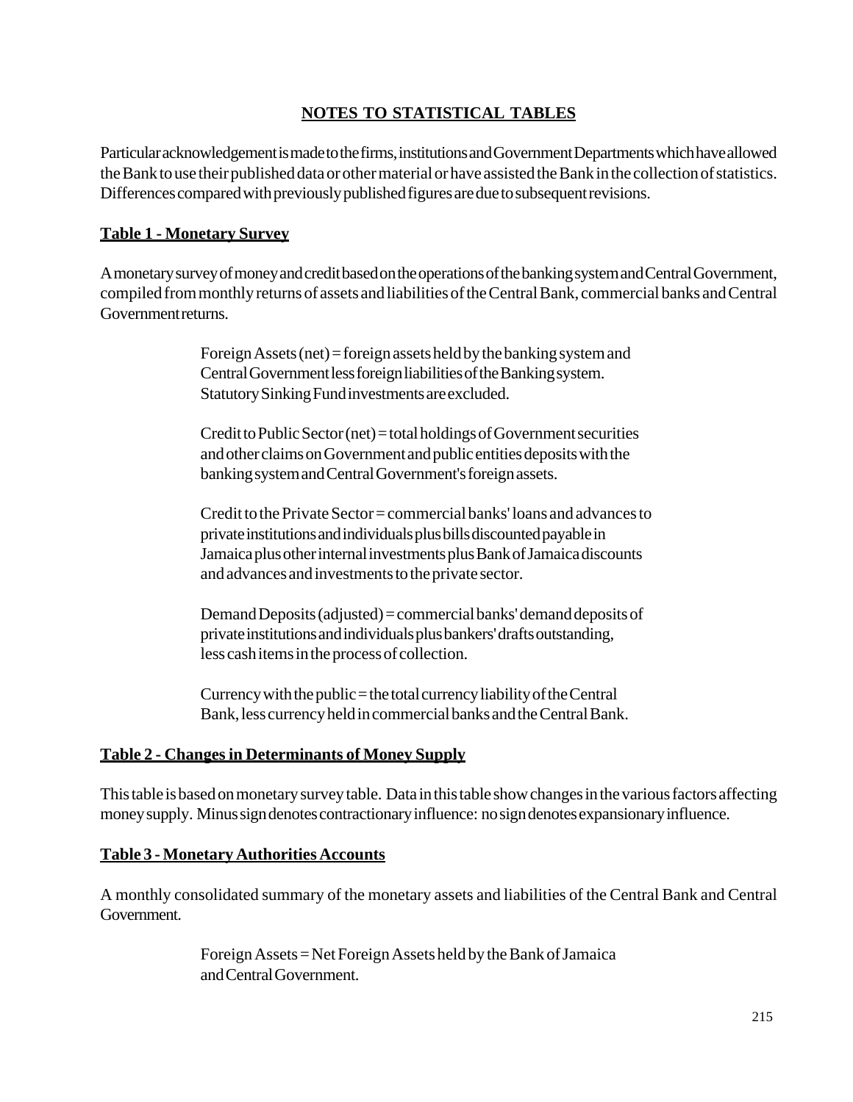### **NOTES TO STATISTICAL TABLES**

Particular acknowledgement is made to the firms, institutions and Government Departments which have allowed the Bank to use their published data or other material or have assisted the Bank in the collection of statistics. Differences compared with previously published figures are due to subsequent revisions.

### **Table 1 - Monetary Survey**

A monetary survey of money and credit based on the operations of the banking system and Central Government, compiled from monthly returns of assets and liabilities of the Central Bank, commercial banks and Central Government returns.

> Foreign Assets (net) = foreign assets held by the banking system and Central Government less foreign liabilities of the Banking system. Statutory Sinking Fund investments are excluded.

Credit to Public Sector (net) = total holdings of Government securities and other claims on Government and public entities deposits with the banking system and Central Government's foreign assets.

Credit to the Private Sector = commercial banks' loans and advances to private institutions and individuals plus bills discounted payable in Jamaica plus other internal investments plus Bank of Jamaica discounts and advances and investments to the private sector.

Demand Deposits (adjusted) = commercial banks' demand deposits of private institutions and individuals plus bankers' drafts outstanding, less cash items in the process of collection.

Currency with the public  $=$  the total currency liability of the Central Bank, less currency held in commercial banks and the Central Bank.

#### **Table 2 - Changes in Determinants of Money Supply**

This table is based on monetary survey table. Data in this table show changes in the various factors affecting money supply. Minus sign denotes contractionary influence: no sign denotes expansionary influence.

#### **Table 3 - Monetary Authorities Accounts**

A monthly consolidated summary of the monetary assets and liabilities of the Central Bank and Central Government.

> Foreign Assets = Net Foreign Assets held by the Bank of Jamaica and Central Government.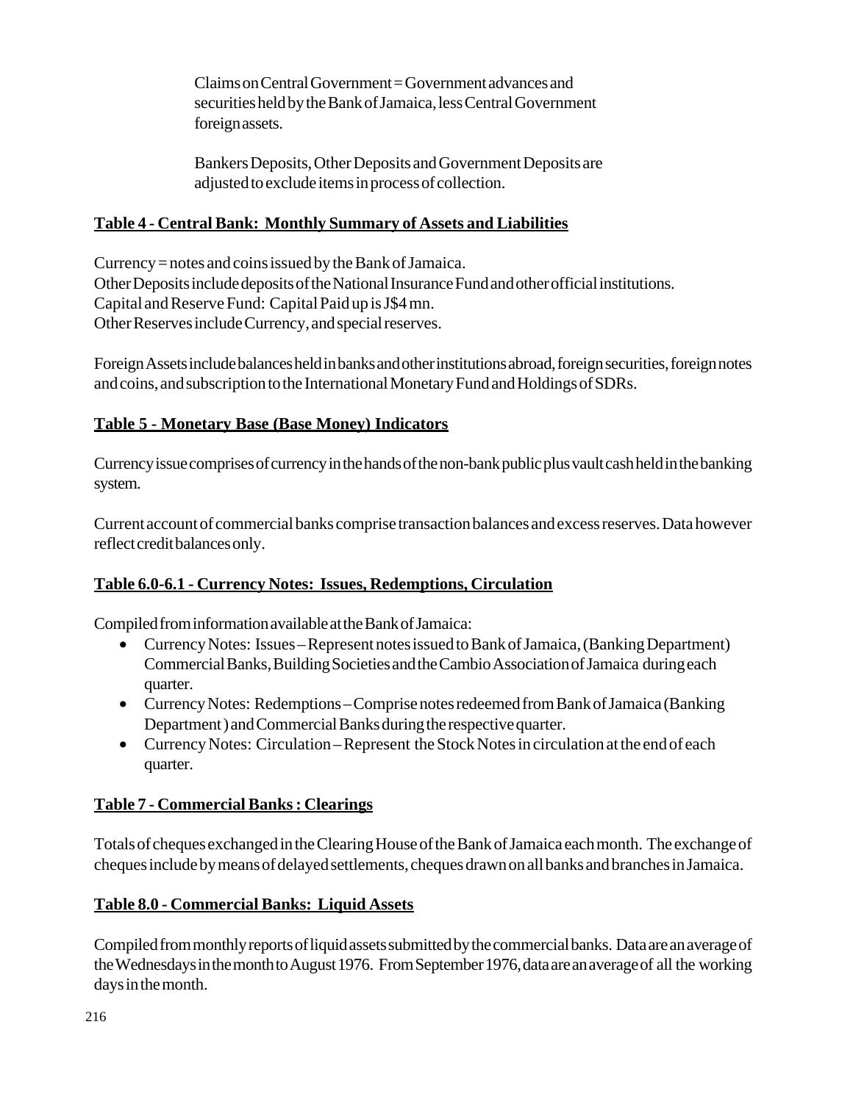Claims on Central Government = Government advances and securities held by the Bank of Jamaica, less Central Government foreign assets.

Bankers Deposits, Other Deposits and Government Deposits are adjusted to exclude items in process of collection.

### **Table 4 - Central Bank: Monthly Summary of Assets and Liabilities**

Currency = notes and coins issued by the Bank of Jamaica. Other Deposits include deposits of the National Insurance Fund and other official institutions. Capital and Reserve Fund: Capital Paid up is J\$4 mn. Other Reserves include Currency, and special reserves.

Foreign Assets include balances held in banks and other institutions abroad, foreign securities, foreign notes and coins, and subscription to the International Monetary Fund and Holdings of SDRs.

### **Table 5 - Monetary Base (Base Money) Indicators**

Currency issue comprises of currency in the hands of the non-bank public plus vault cash held in the banking system.

Current account of commercial banks comprise transaction balances and excess reserves. Data however reflect credit balances only.

# **Table 6.0-6.1 - Currency Notes: Issues, Redemptions, Circulation**

Compiled from information available at the Bank of Jamaica:

- Currency Notes: Issues Represent notes issued to Bank of Jamaica, (Banking Department) Commercial Banks, Building Societies and the Cambio Association of Jamaica during each quarter.
- Currency Notes: Redemptions Comprise notes redeemed from Bank of Jamaica (Banking Department ) and Commercial Banks during the respective quarter.
- Currency Notes: Circulation Represent the Stock Notes in circulation at the end of each quarter.

### **Table 7 - Commercial Banks : Clearings**

Totals of cheques exchanged in the Clearing House of the Bank of Jamaica each month. The exchange of cheques include by means of delayed settlements, cheques drawn on all banks and branches in Jamaica.

### **Table 8.0 - Commercial Banks: Liquid Assets**

Compiled from monthly reports of liquid assets submitted by the commercial banks. Data are an average of the Wednesdays in the month to August 1976. From September 1976, data are an average of all the working days in the month.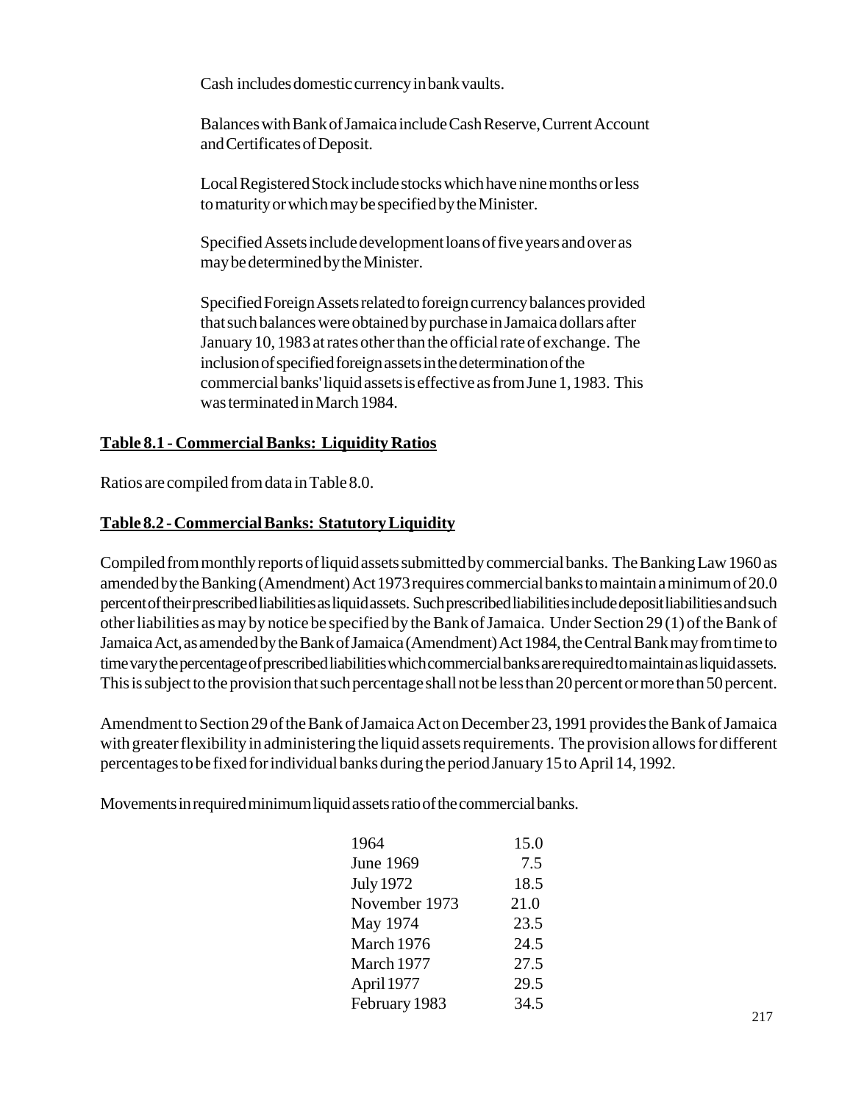Cash includes domestic currency in bank vaults.

Balances with Bank of Jamaica include Cash Reserve, Current Account and Certificates of Deposit.

Local Registered Stock include stocks which have nine months or less to maturity or which may be specified by the Minister.

Specified Assets include development loans of five years and over as may be determined by the Minister.

Specified Foreign Assets related to foreign currency balances provided that such balances were obtained by purchase in Jamaica dollars after January 10, 1983 at rates other than the official rate of exchange. The inclusion of specified foreign assets in the determination of the commercial banks' liquid assets is effective as from June 1, 1983. This was terminated in March 1984.

### **Table 8.1 - Commercial Banks: Liquidity Ratios**

Ratios are compiled from data in Table 8.0.

### **Table 8.2 - Commercial Banks: Statutory Liquidity**

Compiled from monthly reports of liquid assets submitted by commercial banks. The Banking Law 1960 as amended by the Banking (Amendment) Act 1973 requires commercial banks to maintain a minimum of 20.0 percent of their prescribed liabilities as liquid assets. Such prescribed liabilities include deposit liabilities and such other liabilities as may by notice be specified by the Bank of Jamaica. Under Section 29 (1) of the Bank of Jamaica Act, as amended by the Bank of Jamaica (Amendment) Act 1984, the Central Bank may from time to time vary the percentage of prescribed liabilities which commercial banks are required to maintain as liquid assets. This is subject to the provision that such percentage shall not be less than 20 percent or more than 50 percent.

Amendment to Section 29 of the Bank of Jamaica Act on December 23, 1991 provides the Bank of Jamaica with greater flexibility in administering the liquid assets requirements. The provision allows for different percentages to be fixed for individual banks during the period January 15 to April 14, 1992.

Movements in required minimum liquid assets ratio of the commercial banks.

| 1964             | 15.0 |
|------------------|------|
| <b>June 1969</b> | 7.5  |
| <b>July 1972</b> | 18.5 |
| November 1973    | 21.0 |
| May 1974         | 23.5 |
| March 1976       | 24.5 |
| March 1977       | 27.5 |
| April 1977       | 29.5 |
| February 1983    | 34.5 |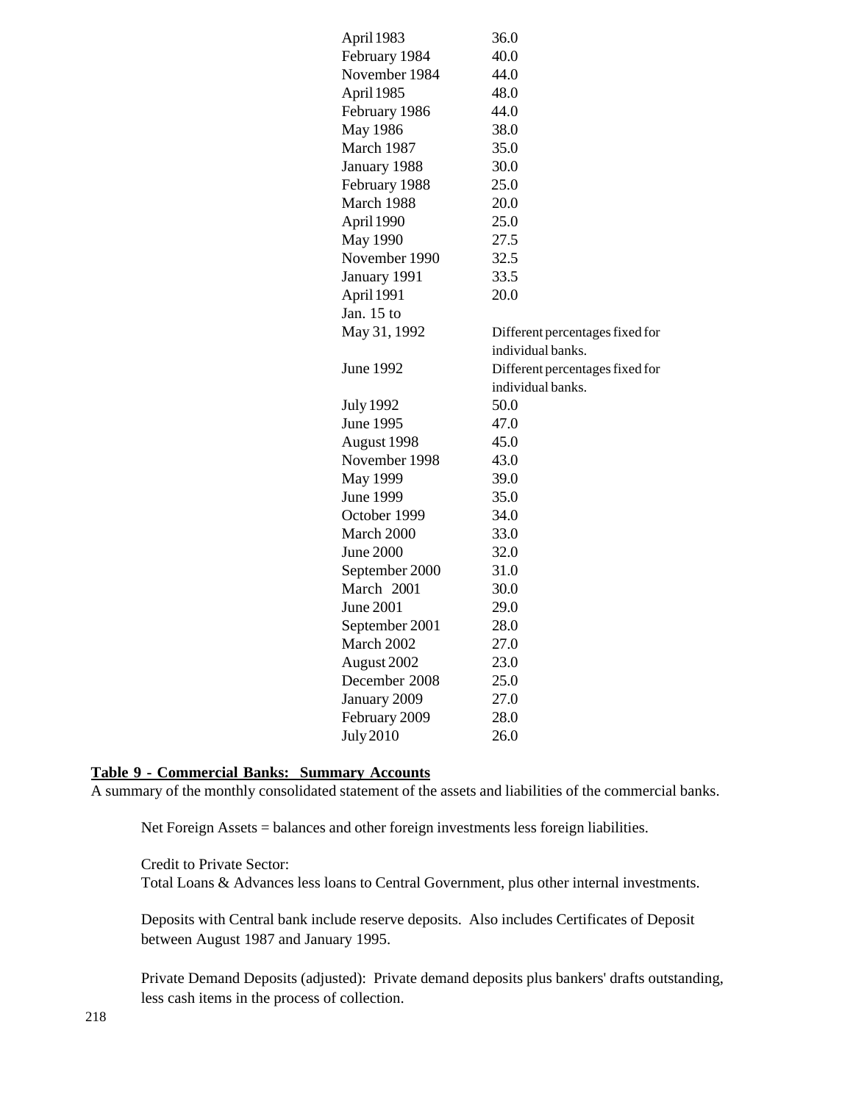| April 1983       | 36.0                            |
|------------------|---------------------------------|
| February 1984    | 40.0                            |
| November 1984    | 44.0                            |
| April 1985       | 48.0                            |
| February 1986    | 44.0                            |
| <b>May 1986</b>  | 38.0                            |
| March 1987       | 35.0                            |
| January 1988     | 30.0                            |
| February 1988    | 25.0                            |
| March 1988       | 20.0                            |
| April 1990       | 25.0                            |
| May 1990         | 27.5                            |
| November 1990    | 32.5                            |
| January 1991     | 33.5                            |
| April 1991       | 20.0                            |
| Jan. $15$ to     |                                 |
| May 31, 1992     | Different percentages fixed for |
|                  | individual banks.               |
| June 1992        | Different percentages fixed for |
|                  | individual banks.               |
| <b>July 1992</b> | 50.0                            |
| June 1995        | 47.0                            |
| August 1998      | 45.0                            |
| November 1998    | 43.0                            |
| May 1999         | 39.0                            |
| June 1999        | 35.0                            |
| October 1999     | 34.0                            |
| March 2000       | 33.0                            |
| June 2000        | 32.0                            |
| September 2000   | 31.0                            |
| March 2001       | 30.0                            |
| June 2001        | 29.0                            |
| September 2001   | 28.0                            |
| March 2002       | 27.0                            |
| August 2002      | 23.0                            |
| December 2008    | 25.0                            |
| January 2009     | 27.0                            |
| February 2009    | 28.0                            |
| July 2010        | 26.0                            |
|                  |                                 |

#### **Table 9 - Commercial Banks: Summary Accounts**

A summary of the monthly consolidated statement of the assets and liabilities of the commercial banks.

Net Foreign Assets = balances and other foreign investments less foreign liabilities.

Credit to Private Sector:

Total Loans & Advances less loans to Central Government, plus other internal investments.

Deposits with Central bank include reserve deposits. Also includes Certificates of Deposit between August 1987 and January 1995.

Private Demand Deposits (adjusted): Private demand deposits plus bankers' drafts outstanding, less cash items in the process of collection.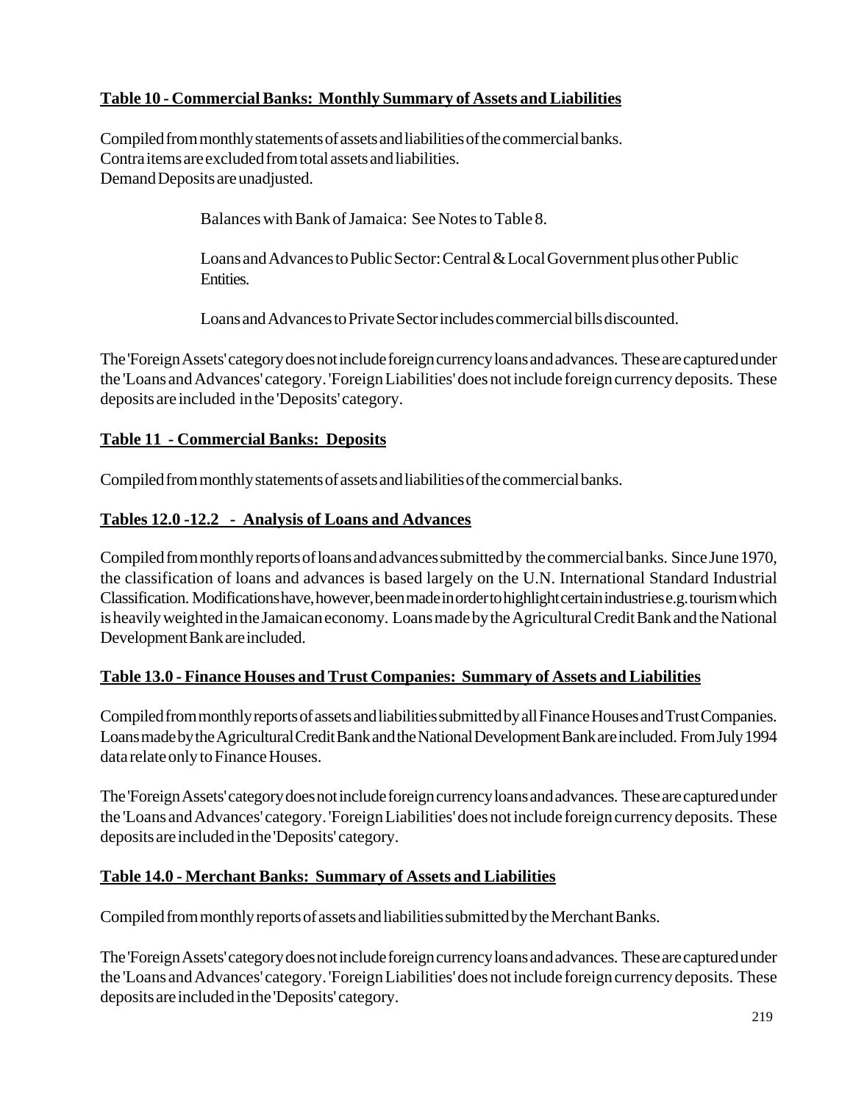# **Table 10 - Commercial Banks: Monthly Summary of Assets and Liabilities**

Compiled from monthly statements of assets and liabilities of the commercial banks. Contra items are excluded from total assets and liabilities. Demand Deposits are unadjusted.

Balances with Bank of Jamaica: See Notes to Table 8.

Loans and Advances to Public Sector: Central & Local Government plus other Public Entities.

Loans and Advances to Private Sector includes commercial bills discounted.

The 'Foreign Assets' category does not include foreign currency loans and advances. These are captured under the 'Loans and Advances' category. 'Foreign Liabilities' does not include foreign currency deposits. These deposits are included in the 'Deposits' category.

### **Table 11 - Commercial Banks: Deposits**

Compiled from monthly statements of assets and liabilities of the commercial banks.

### **Tables 12.0 -12.2 - Analysis of Loans and Advances**

Compiled from monthly reports of loans and advances submitted by the commercial banks. Since June 1970, the classification of loans and advances is based largely on the U.N. International Standard Industrial Classification. Modifications have, however, been made in order to highlight certain industries e.g. tourism which is heavily weighted in the Jamaican economy. Loans made by the Agricultural Credit Bank and the National Development Bank are included.

### **Table 13.0 - Finance Houses and Trust Companies: Summary of Assets and Liabilities**

Compiled from monthly reports of assets and liabilities submitted by all Finance Houses and Trust Companies. Loans made by the Agricultural Credit Bank and the National Development Bank are included. From July 1994 data relate only to Finance Houses.

The 'Foreign Assets' category does not include foreign currency loans and advances. These are captured under the 'Loans and Advances' category. 'Foreign Liabilities' does not include foreign currency deposits. These deposits are included in the 'Deposits' category.

### **Table 14.0 - Merchant Banks: Summary of Assets and Liabilities**

Compiled from monthly reports of assets and liabilities submitted by the Merchant Banks.

The 'Foreign Assets' category does not include foreign currency loans and advances. These are captured under the 'Loans and Advances' category. 'Foreign Liabilities' does not include foreign currency deposits. These deposits are included in the 'Deposits' category.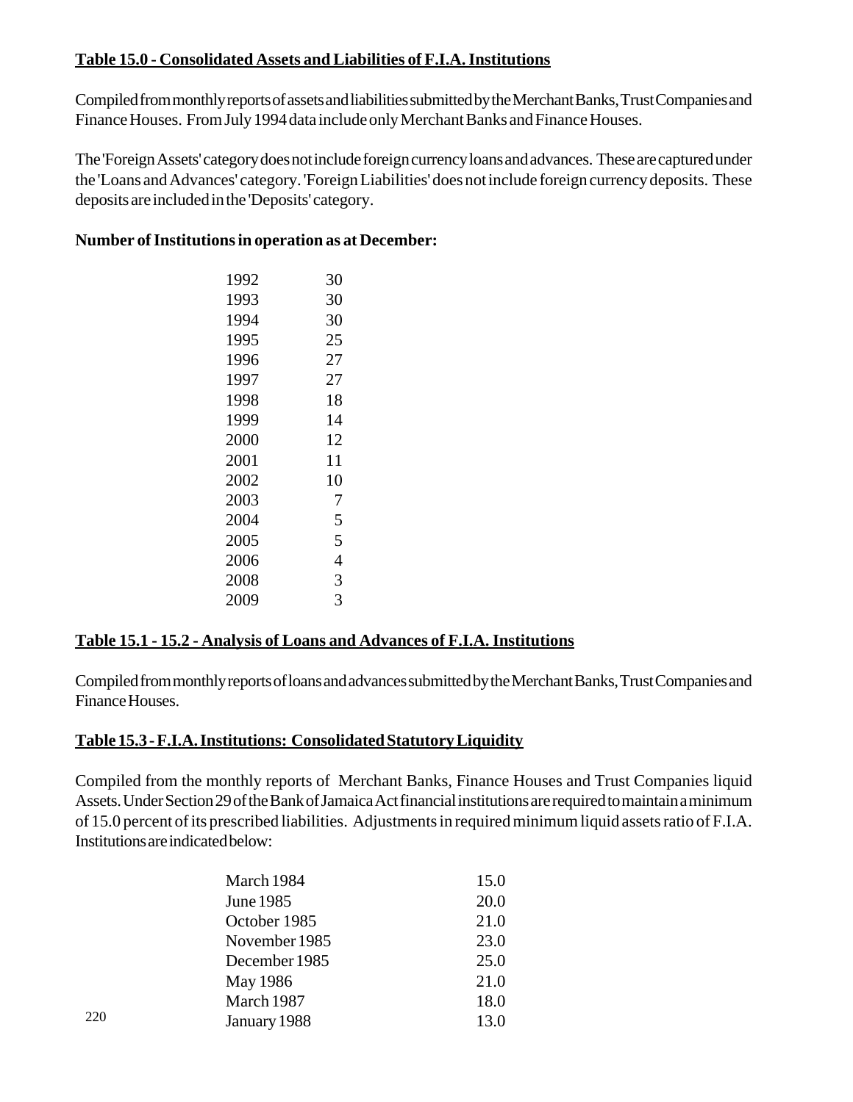### **Table 15.0 - Consolidated Assets and Liabilities of F.I.A. Institutions**

Compiled from monthly reports of assets and liabilities submitted by the Merchant Banks, Trust Companies and Finance Houses. From July 1994 data include only Merchant Banks and Finance Houses.

The 'Foreign Assets' category does not include foreign currency loans and advances. These are captured under the 'Loans and Advances' category. 'Foreign Liabilities' does not include foreign currency deposits. These deposits are included in the 'Deposits' category.

### **Number of Institutions in operation as at December:**

| 1992 | 30 |
|------|----|
| 1993 | 30 |
| 1994 | 30 |
| 1995 | 25 |
| 1996 | 27 |
| 1997 | 27 |
| 1998 | 18 |
| 1999 | 14 |
| 2000 | 12 |
| 2001 | 11 |
| 2002 | 10 |
| 2003 | 7  |
| 2004 | 5  |
| 2005 | 5  |
| 2006 | 4  |
| 2008 | 3  |
| 2009 | 3  |
|      |    |

# **Table 15.1 - 15.2 - Analysis of Loans and Advances of F.I.A. Institutions**

Compiled from monthly reports of loans and advances submitted by the Merchant Banks, Trust Companies and Finance Houses.

### **Table 15.3 - F.I.A. Institutions: Consolidated Statutory Liquidity**

Compiled from the monthly reports of Merchant Banks, Finance Houses and Trust Companies liquid Assets. Under Section 29 of the Bank of Jamaica Act financial institutions are required to maintain a minimum of 15.0 percent of its prescribed liabilities. Adjustments in required minimum liquid assets ratio of F.I.A. Institutions are indicated below:

| March 1984    | 15.0 |
|---------------|------|
| June 1985     | 20.0 |
| October 1985  | 21.0 |
| November 1985 | 23.0 |
| December 1985 | 25.0 |
| May 1986      | 21.0 |
| March 1987    | 18.0 |
| January 1988  | 13.0 |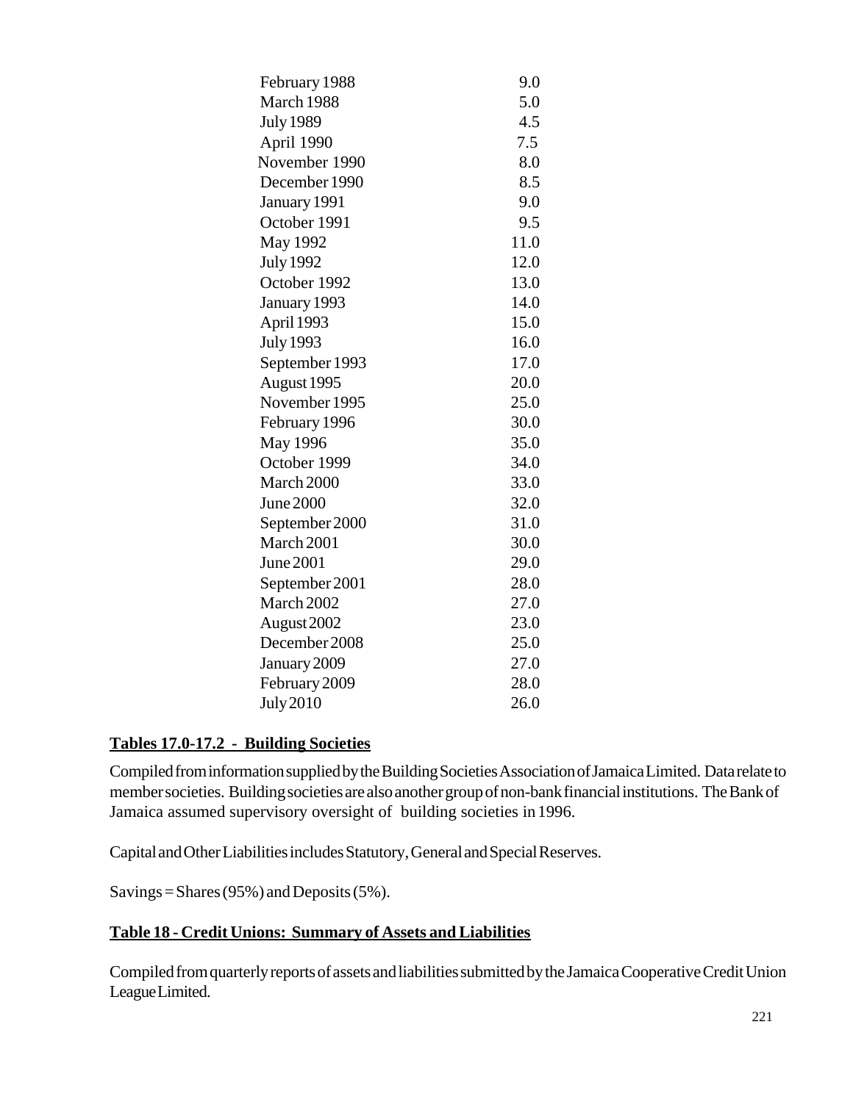| February 1988    | 9.0  |
|------------------|------|
| March 1988       | 5.0  |
| <b>July 1989</b> | 4.5  |
| April 1990       | 7.5  |
| November 1990    | 8.0  |
| December 1990    | 8.5  |
| January 1991     | 9.0  |
| October 1991     | 9.5  |
| <b>May 1992</b>  | 11.0 |
| <b>July 1992</b> | 12.0 |
| October 1992     | 13.0 |
| January 1993     | 14.0 |
| April 1993       | 15.0 |
| <b>July 1993</b> | 16.0 |
| September 1993   | 17.0 |
| August 1995      | 20.0 |
| November 1995    | 25.0 |
| February 1996    | 30.0 |
| <b>May 1996</b>  | 35.0 |
| October 1999     | 34.0 |
| March 2000       | 33.0 |
| June 2000        | 32.0 |
| September 2000   | 31.0 |
| March 2001       | 30.0 |
| June 2001        | 29.0 |
| September 2001   | 28.0 |
| March 2002       | 27.0 |
| August 2002      | 23.0 |
| December 2008    | 25.0 |
| January 2009     | 27.0 |
| February 2009    | 28.0 |
| <b>July 2010</b> | 26.0 |
|                  |      |

### **Tables 17.0-17.2 - Building Societies**

Compiled from information supplied by the Building Societies Association of Jamaica Limited. Data relate to member societies. Building societies are also another group of non-bank financial institutions. The Bank of Jamaica assumed supervisory oversight of building societies in 1996.

Capital and Other Liabilities includes Statutory, General and Special Reserves.

Savings = Shares (95%) and Deposits (5%).

### **Table 18 - Credit Unions: Summary of Assets and Liabilities**

Compiled from quarterly reports of assets and liabilities submitted by the Jamaica Cooperative Credit Union League Limited.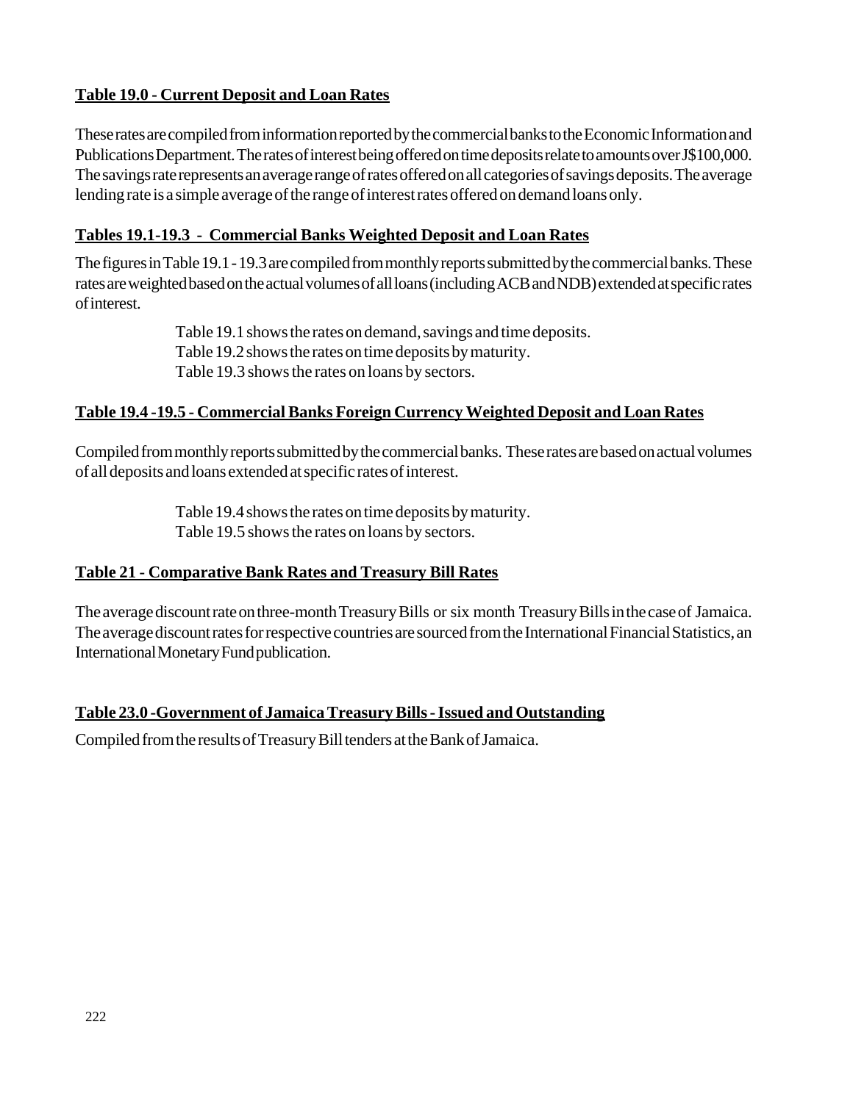# **Table 19.0 - Current Deposit and Loan Rates**

These rates are compiled from information reported by the commercial banks to the Economic Information and Publications Department. The rates of interest being offered on time deposits relate to amounts over J\$100,000. The savings rate represents an average range of rates offered on all categories of savings deposits. The average lending rate is a simple average of the range of interest rates offered on demand loans only.

# **Tables 19.1-19.3 - Commercial Banks Weighted Deposit and Loan Rates**

The figures in Table 19.1 - 19.3 are compiled from monthly reports submitted by the commercial banks. These rates are weighted based on the actual volumes of all loans (including ACB and NDB) extended at specific rates of interest.

> Table 19.1 shows the rates on demand, savings and time deposits. Table 19.2 shows the rates on time deposits by maturity. Table 19.3 shows the rates on loans by sectors.

# **Table 19.4 -19.5 - Commercial Banks Foreign Currency Weighted Deposit and Loan Rates**

Compiled from monthly reports submitted by the commercial banks. These rates are based on actual volumes of all deposits and loans extended at specific rates of interest.

> Table 19.4 shows the rates on time deposits by maturity. Table 19.5 shows the rates on loans by sectors.

# **Table 21 - Comparative Bank Rates and Treasury Bill Rates**

The average discount rate on three-month Treasury Bills or six month Treasury Bills in the case of Jamaica. The average discount rates for respective countries are sourced from the International Financial Statistics, an International Monetary Fund publication.

# **Table 23.0 -Government of Jamaica Treasury Bills - Issued and Outstanding**

Compiled from the results of Treasury Bill tenders at the Bank of Jamaica.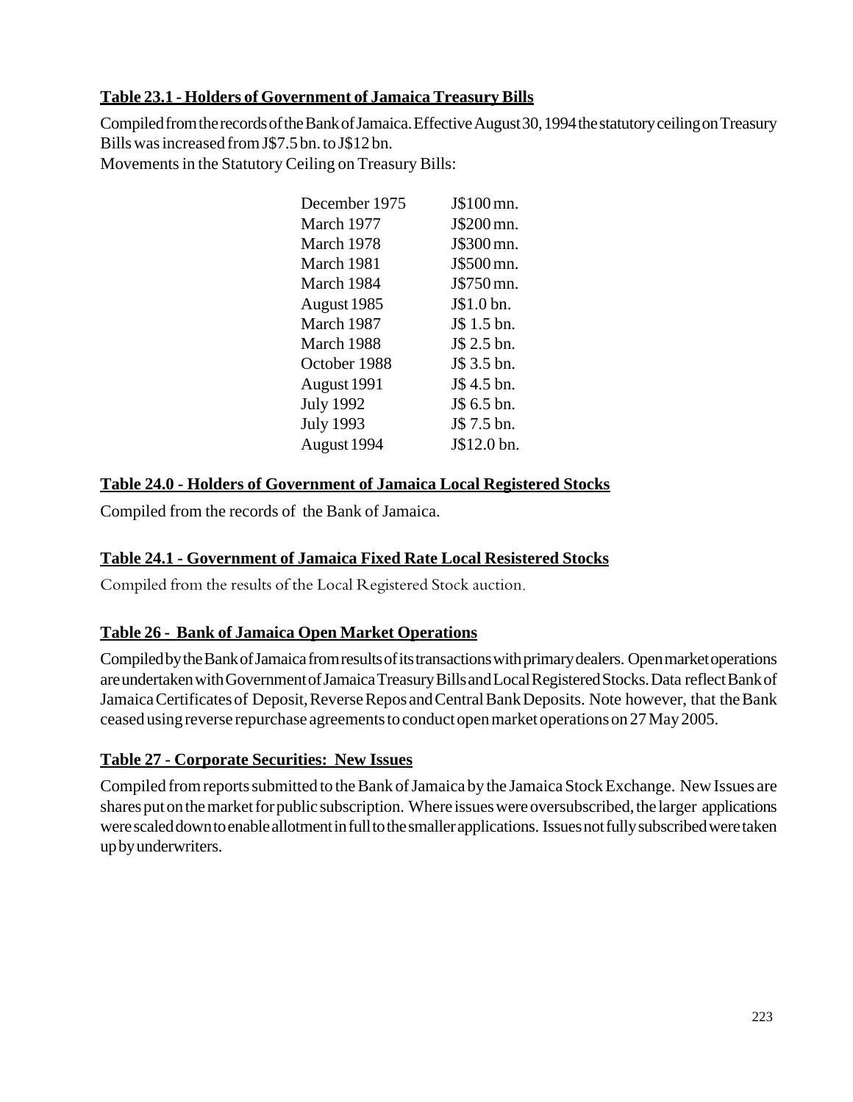### **Table 23.1 - Holders of Government of Jamaica Treasury Bills**

Compiled from the records of the Bank of Jamaica. Effective August 30, 1994 the statutory ceiling on Treasury Bills was increased from J\$7.5 bn. to J\$12 bn. Movements in the Statutory Ceiling on Treasury Bills:

| December 1975    | J\$100 mn.  |
|------------------|-------------|
| March 1977       | J\$200 mn.  |
| March 1978       | J\$300 mn.  |
| March 1981       | J\$500 mn.  |
| March 1984       | J\$750 mn.  |
| August 1985      | J\$1.0 bn.  |
| March 1987       | J\$ 1.5 bn. |
| March 1988       | J\$ 2.5 bn. |
| October 1988     | J\$ 3.5 bn. |
| August 1991      | J\$ 4.5 bn. |
| <b>July 1992</b> | J\$ 6.5 bn. |
| <b>July 1993</b> | J\$ 7.5 bn. |
| August 1994      | J\$12.0 bn. |
|                  |             |

# **Table 24.0 - Holders of Government of Jamaica Local Registered Stocks**

Compiled from the records of the Bank of Jamaica.

# **Table 24.1 - Government of Jamaica Fixed Rate Local Resistered Stocks**

Compiled from the results of the Local Registered Stock auction.

### **Table 26 - Bank of Jamaica Open Market Operations**

Compiled by the Bank of Jamaica from results of its transactions with primary dealers. Open market operations are undertaken with Government of Jamaica Treasury Bills and Local Registered Stocks. Data reflect Bank of Jamaica Certificates of Deposit, Reverse Repos and Central Bank Deposits. Note however, that the Bank ceased using reverse repurchase agreements to conduct open market operations on 27 May 2005.

# **Table 27 - Corporate Securities: New Issues**

Compiled from reports submitted to the Bank of Jamaica by the Jamaica Stock Exchange. New Issues are shares put on the market for public subscription. Where issues were oversubscribed, the larger applications were scaled down to enable allotment in full to the smaller applications. Issues not fully subscribed were taken up by underwriters.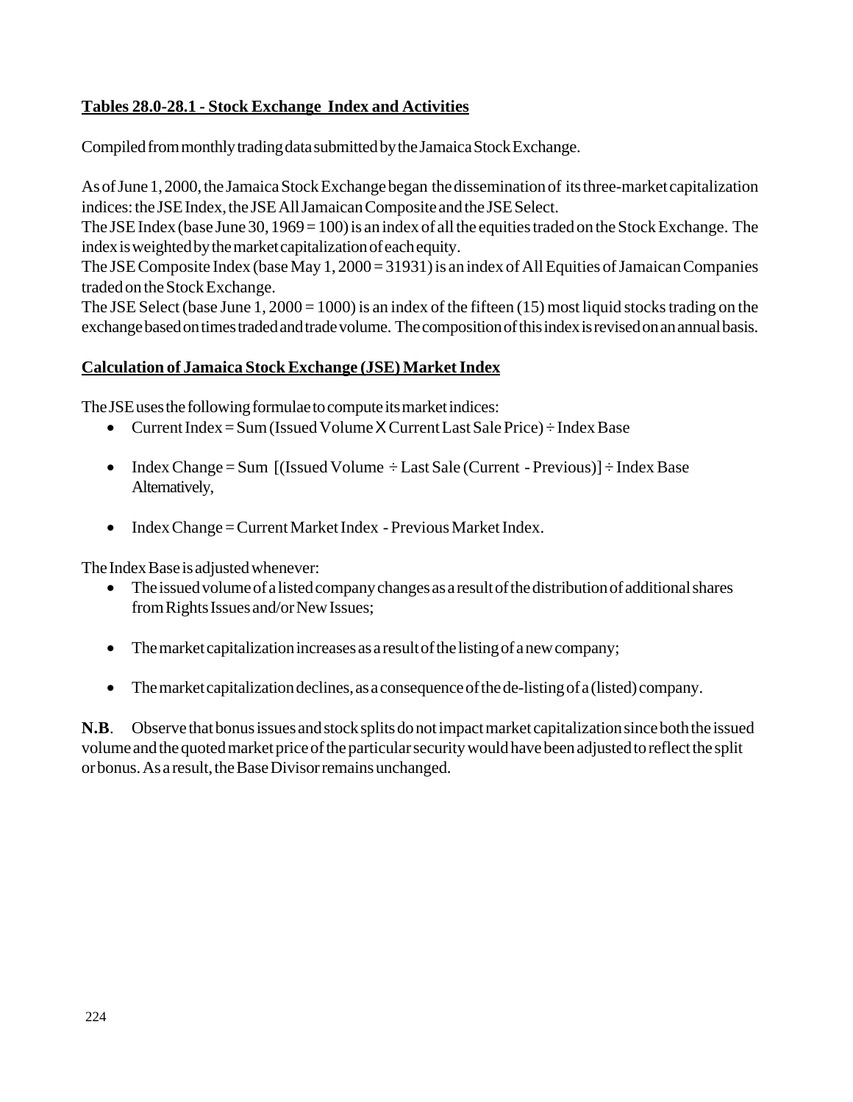### **Tables 28.0-28.1 - Stock Exchange Index and Activities**

Compiled from monthly trading data submitted by the Jamaica Stock Exchange.

As of June 1, 2000, the Jamaica Stock Exchange began the dissemination of its three-market capitalization indices: the JSE Index, the JSE All Jamaican Composite and the JSE Select.

The JSE Index (base June 30, 1969 = 100) is an index of all the equities traded on the Stock Exchange. The index is weighted by the market capitalization of each equity.

The JSE Composite Index (base May 1, 2000 = 31931) is an index of All Equities of Jamaican Companies traded on the Stock Exchange.

The JSE Select (base June 1, 2000 = 1000) is an index of the fifteen (15) most liquid stocks trading on the exchange based on times traded and trade volume. The composition of this index is revised on an annual basis.

### **Calculation of Jamaica Stock Exchange (JSE) Market Index**

The JSE uses the following formulae to compute its market indices:

- Current Index = Sum (Issued Volume X Current Last Sale Price) ÷ Index Base
- Index Change = Sum  $[($ Issued Volume  $\div$  Last Sale (Current Previous) $]\div$  Index Base Alternatively,
- Index Change = Current Market Index Previous Market Index.

The Index Base is adjusted whenever:

- The issued volume of a listed company changes as a result of the distribution of additional shares from Rights Issues and/or New Issues;
- The market capitalization increases as a result of the listing of a new company;
- The market capitalization declines, as a consequence of the de-listing of a (listed) company.

**N.B**. Observe that bonus issues and stock splits do not impact market capitalization since both the issued volume and the quoted market price of the particular security would have been adjusted to reflect the split or bonus. As a result, the Base Divisor remains unchanged.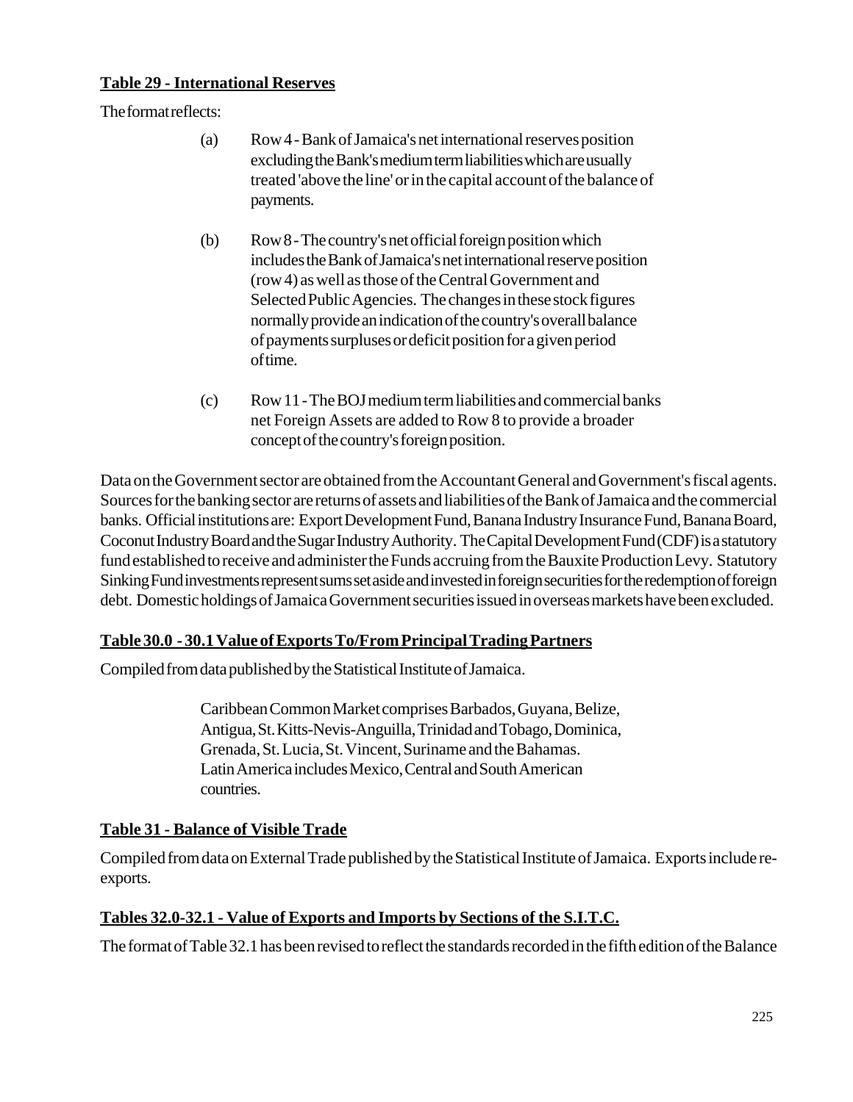### **Table 29 - International Reserves**

The format reflects:

- (a) Row 4 Bank of Jamaica's net international reserves position excluding the Bank's medium term liabilities which are usually treated 'above the line' or in the capital account of the balance of payments.
- (b) Row 8 The country's net official foreign position which includes the Bank of Jamaica's net international reserve position (row 4) as well as those of the Central Government and Selected Public Agencies. The changes in these stock figures normally provide an indication of the country's overall balance of payments surpluses or deficit position for a given period of time.
- (c) Row 11 The BOJ medium term liabilities and commercial banks net Foreign Assets are added to Row 8 to provide a broader concept of the country's foreign position.

Data on the Government sector are obtained from the Accountant General and Government's fiscal agents. Sources for the banking sector are returns of assets and liabilities of the Bank of Jamaica and the commercial banks. Official institutions are: Export Development Fund, Banana Industry Insurance Fund, Banana Board, Coconut Industry Board and the Sugar Industry Authority. The Capital Development Fund (CDF) is a statutory fund established to receive and administer the Funds accruing from the Bauxite Production Levy. Statutory Sinking Fund investments represent sums set aside and invested in foreign securities for the redemption of foreign debt. Domestic holdings of Jamaica Government securities issued in overseas markets have been excluded.

# **Table 30.0 - 30.1 Value of Exports To/From Principal Trading Partners**

Compiled from data published by the Statistical Institute of Jamaica.

Caribbean Common Market comprises Barbados, Guyana, Belize, Antigua, St. Kitts-Nevis-Anguilla, Trinidad and Tobago, Dominica, Grenada, St. Lucia, St. Vincent, Suriname and the Bahamas. Latin America includes Mexico, Central and South American countries.

# **Table 31 - Balance of Visible Trade**

Compiled from data on External Trade published by the Statistical Institute of Jamaica. Exports include reexports.

# **Tables 32.0-32.1 - Value of Exports and Imports by Sections of the S.I.T.C.**

The format of Table 32.1 has been revised to reflect the standards recorded in the fifth edition of the Balance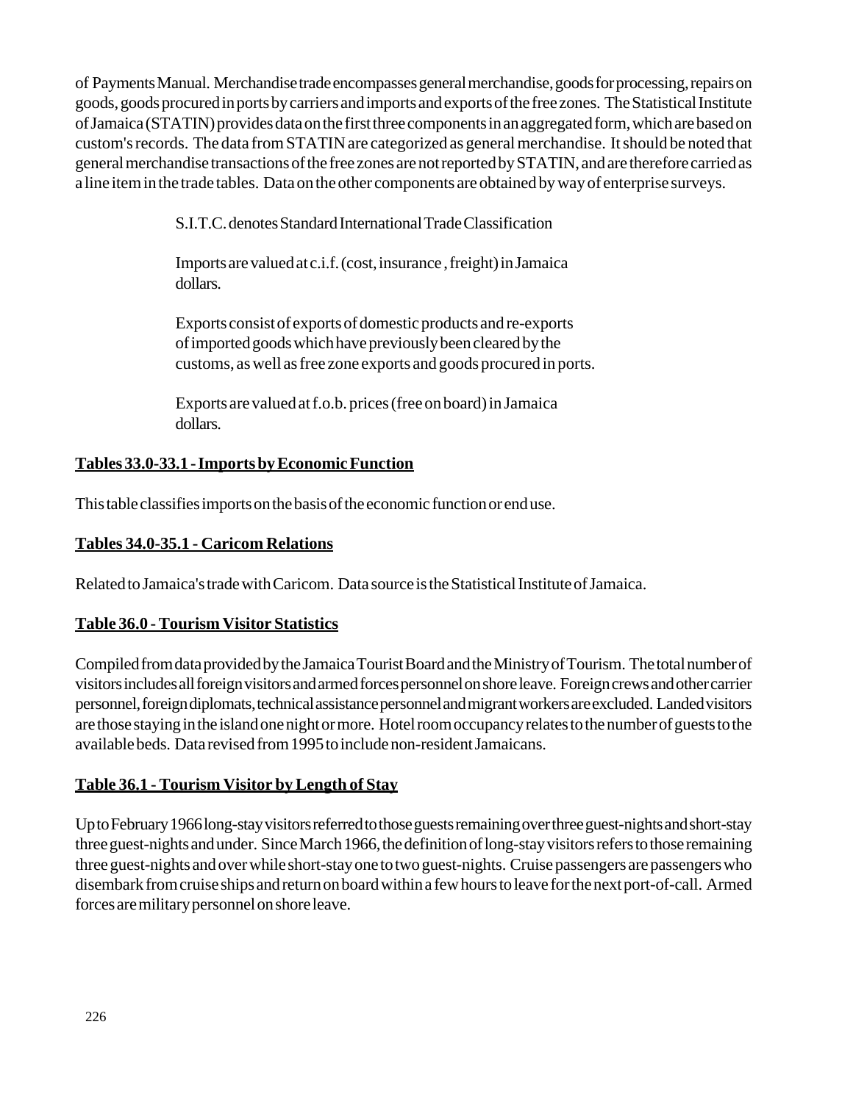of Payments Manual. Merchandise trade encompasses general merchandise, goods for processing, repairs on goods, goods procured in ports by carriers and imports and exports of the free zones. The Statistical Institute of Jamaica (STATIN) provides data on the first three components in an aggregated form, which are based on custom's records. The data from STATIN are categorized as general merchandise. It should be noted that general merchandise transactions of the free zones are not reported by STATIN, and are therefore carried as a line item in the trade tables. Data on the other components are obtained by way of enterprise surveys.

S.I.T.C. denotes Standard International Trade Classification

Imports are valued at c.i.f. (cost, insurance , freight) in Jamaica dollars.

Exports consist of exports of domestic products and re-exports of imported goods which have previously been cleared by the customs, as well as free zone exports and goods procured in ports.

Exports are valued at f.o.b. prices (free on board) in Jamaica dollars.

# **Tables 33.0-33.1 - Imports by Economic Function**

This table classifies imports on the basis of the economic function or end use.

### **Tables 34.0-35.1 - Caricom Relations**

Related to Jamaica's trade with Caricom. Data source is the Statistical Institute of Jamaica.

### **Table 36.0 - Tourism Visitor Statistics**

Compiled from data provided by the Jamaica Tourist Board and the Ministry of Tourism. The total number of visitors includes all foreign visitors and armed forces personnel on shore leave. Foreign crews and other carrier personnel, foreign diplomats, technical assistance personnel and migrant workers are excluded. Landed visitors are those staying in the island one night or more. Hotel room occupancy relates to the number of guests to the available beds. Data revised from 1995 to include non-resident Jamaicans.

# **Table 36.1 - Tourism Visitor by Length of Stay**

Up to February 1966 long-stay visitors referred to those guests remaining over three guest-nights and short-stay three guest-nights and under. Since March 1966, the definition of long-stay visitors refers to those remaining three guest-nights and over while short-stay one to two guest-nights. Cruise passengers are passengers who disembark from cruise ships and return on board within a few hours to leave for the next port-of-call. Armed forces are military personnel on shore leave.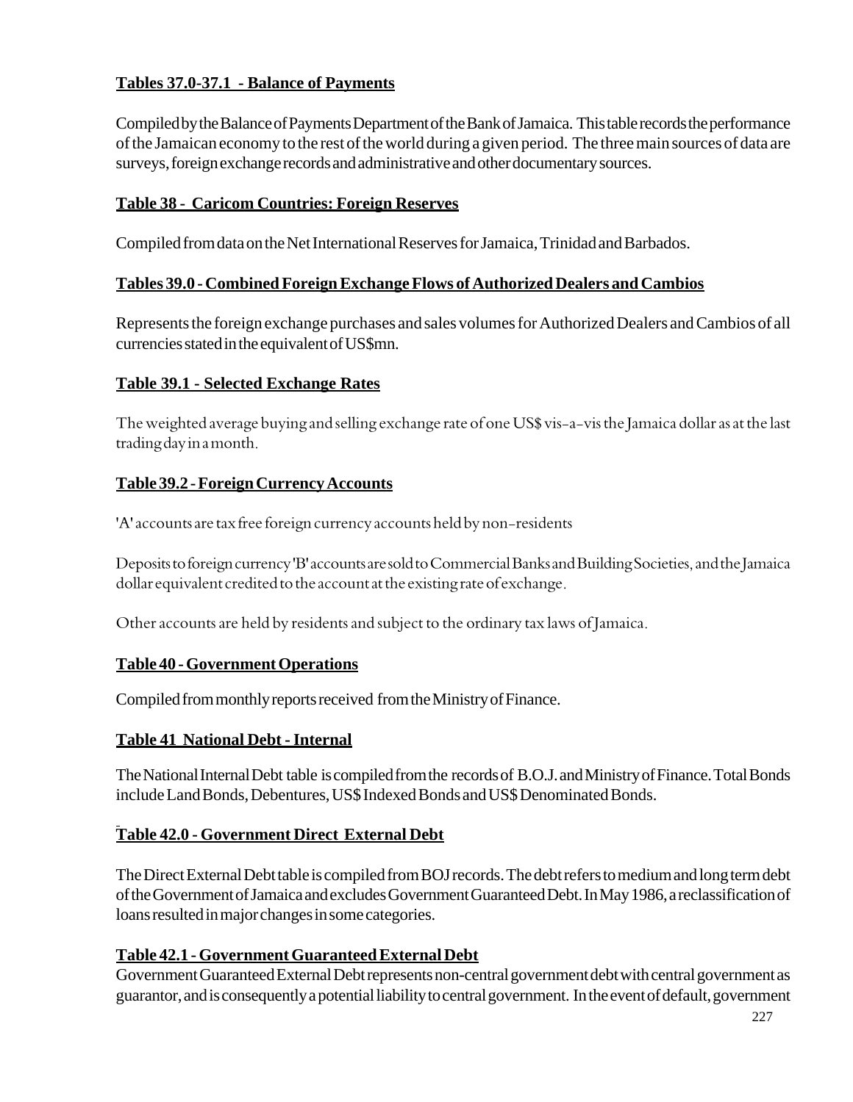# **Tables 37.0-37.1 - Balance of Payments**

Compiled by the Balance of Payments Department of the Bank of Jamaica. This table records the performance of the Jamaican economy to the rest of the world during a given period. The three main sources of data are surveys, foreign exchange records and administrative and other documentary sources.

### **Table 38 - Caricom Countries: Foreign Reserves**

Compiled from data on the Net International Reserves for Jamaica, Trinidad and Barbados.

### **Tables 39.0 - Combined Foreign Exchange Flows of Authorized Dealers and Cambios**

Represents the foreign exchange purchases and sales volumes for Authorized Dealers and Cambios of all currencies stated in the equivalent of US\$mn.

# **Table 39.1 - Selected Exchange Rates**

The weighted average buying and selling exchange rate of one US\$ vis-a-vis the Jamaica dollar as at the last trading day in a month.

### **Table 39.2 - Foreign Currency Accounts**

'A' accounts are tax free foreign currency accounts held by non-residents

Deposits to foreign currency 'B' accounts are sold to Commercial Banks and Building Societies, and the Jamaica dollar equivalent credited to the account at the existing rate of exchange.

Other accounts are held by residents and subject to the ordinary tax laws of Jamaica.

### **Table 40 - Government Operations**

Compiled from monthly reports received from the Ministry of Finance.

### **Table 41 National Debt - Internal**

The National Internal Debt table is compiled from the records of B.O.J. and Ministry of Finance. Total Bonds include Land Bonds, Debentures, US\$ Indexed Bonds and US\$ Denominated Bonds.

# **Table 42.0 - Government Direct External Debt**

The Direct External Debt table is compiled from BOJ records. The debt refers to medium and long term debt of the Government of Jamaica and excludes Government Guaranteed Debt. In May 1986, a reclassification of loans resulted in major changes in some categories.

# **Table 42.1 - Government Guaranteed External Debt**

Government Guaranteed External Debt represents non-central government debt with central government as guarantor, and is consequently a potential liability to central government. In the event of default, government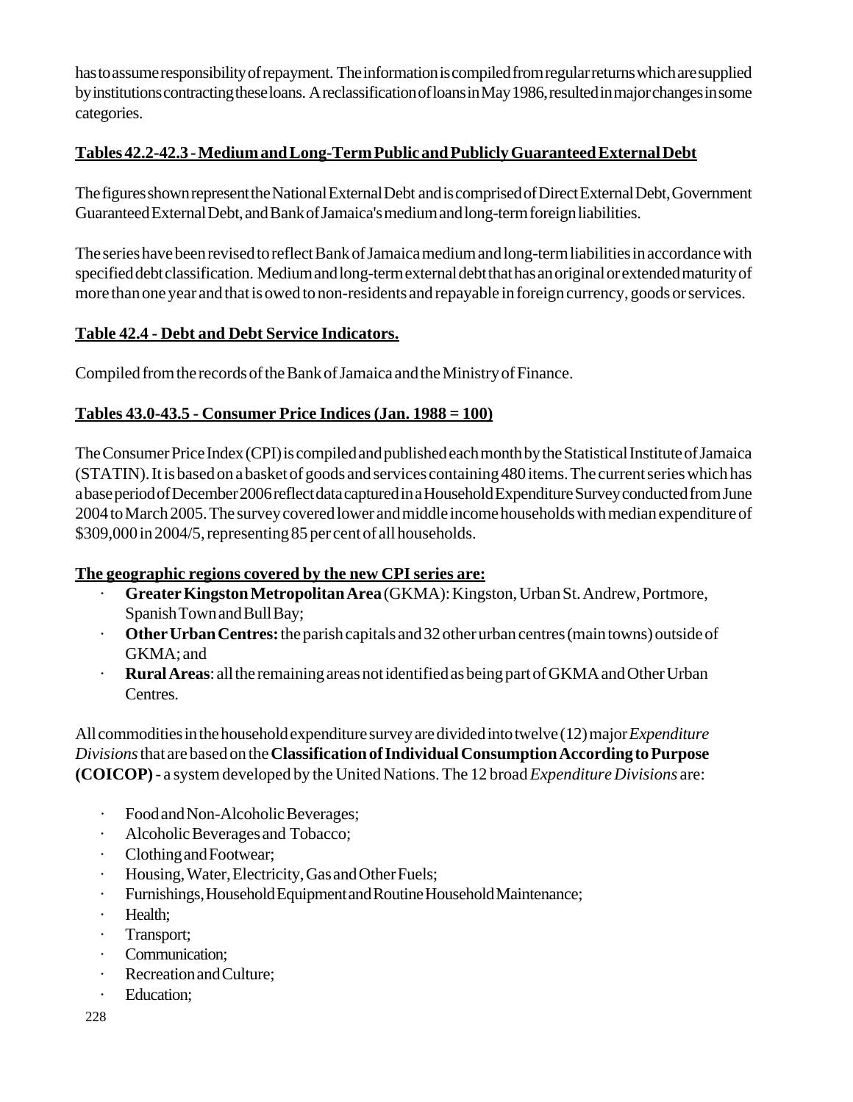has to assume responsibility of repayment. The information is compiled from regular returns which are supplied by institutions contracting these loans. A reclassification of loans in May 1986, resulted in major changes in some categories.

### **Tables 42.2-42.3 - Medium and Long-Term Public and Publicly Guaranteed External Debt**

The figures shown represent the National External Debt and is comprised of Direct External Debt, Government Guaranteed External Debt, and Bank of Jamaica's medium and long-term foreign liabilities.

The series have been revised to reflect Bank of Jamaica medium and long-term liabilities in accordance with specified debt classification. Medium and long-term external debt that has an original or extended maturity of more than one year and that is owed to non-residents and repayable in foreign currency, goods or services.

### **Table 42.4 - Debt and Debt Service Indicators.**

Compiled from the records of the Bank of Jamaica and the Ministry of Finance.

### **Tables 43.0-43.5 - Consumer Price Indices (Jan. 1988 = 100)**

The Consumer Price Index (CPI) is compiled and published each month by the Statistical Institute of Jamaica (STATIN). It is based on a basket of goods and services containing 480 items. The current series which has a base period of December 2006 reflect data captured in a Household Expenditure Survey conducted from June 2004 to March 2005. The survey covered lower and middle income households with median expenditure of \$309,000 in 2004/5, representing 85 per cent of all households.

# **The geographic regions covered by the new CPI series are:**

- · **Greater Kingston Metropolitan Area** (GKMA): Kingston, Urban St. Andrew, Portmore, Spanish Town and Bull Bay;
- Other Urban Centres: the parish capitals and 32 other urban centres (main towns) outside of GKMA; and
- · **Rural Areas**: all the remaining areas not identified as being part of GKMA and Other Urban Centres.

All commodities in the household expenditure survey are divided into twelve (12) major *Expenditure Divisions* that are based on the **Classification of Individual Consumption According to Purpose (COICOP)** - a system developed by the United Nations. The 12 broad *Expenditure Divisions* are:

- *·* Food and Non-Alcoholic Beverages;
- Alcoholic Beverages and Tobacco;
- Clothing and Footwear;
- · Housing, Water, Electricity, Gas and Other Fuels;
- Furnishings, Household Equipment and Routine Household Maintenance;
- · Health;
- · Transport;
- Communication:
- Recreation and Culture:
- Education;